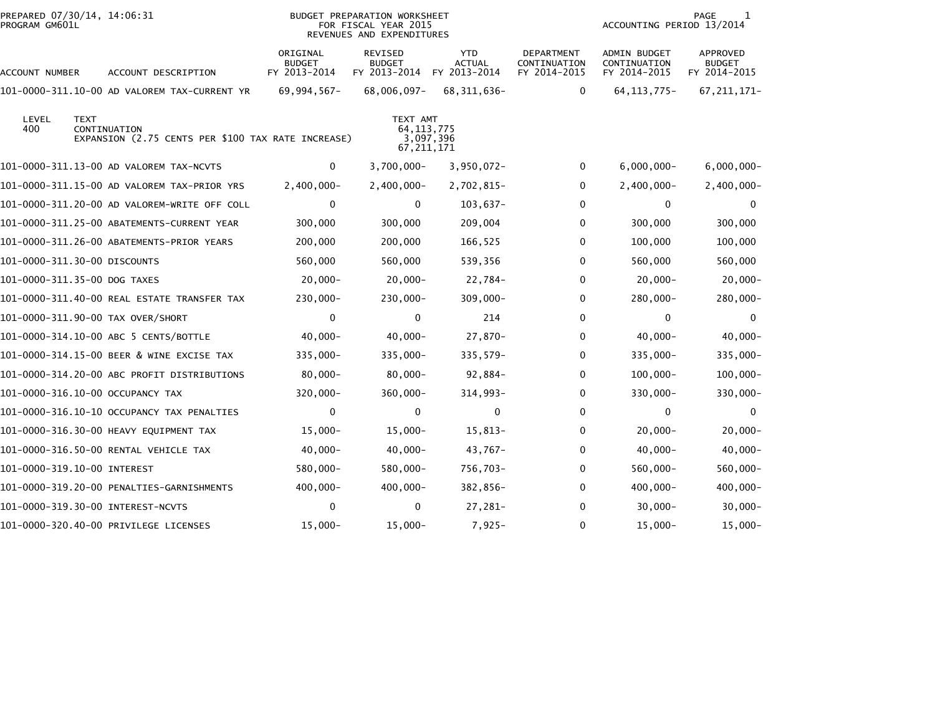| PREPARED 07/30/14, 14:06:31<br>PROGRAM GM601L |                                                                    |                                           | BUDGET PREPARATION WORKSHEET<br>FOR FISCAL YEAR 2015<br>REVENUES AND EXPENDITURES |                                             |                                            | ACCOUNTING PERIOD 13/2014                    | PAGE<br>1                                 |
|-----------------------------------------------|--------------------------------------------------------------------|-------------------------------------------|-----------------------------------------------------------------------------------|---------------------------------------------|--------------------------------------------|----------------------------------------------|-------------------------------------------|
| <b>ACCOUNT NUMBER</b>                         | ACCOUNT DESCRIPTION                                                | ORIGINAL<br><b>BUDGET</b><br>FY 2013-2014 | REVISED<br><b>BUDGET</b><br>FY 2013-2014                                          | <b>YTD</b><br><b>ACTUAL</b><br>FY 2013-2014 | DEPARTMENT<br>CONTINUATION<br>FY 2014-2015 | ADMIN BUDGET<br>CONTINUATION<br>FY 2014-2015 | APPROVED<br><b>BUDGET</b><br>FY 2014-2015 |
|                                               | 101-0000-311.10-00 AD VALOREM TAX-CURRENT YR                       | 69,994,567-                               | 68,006,097-                                                                       | 68, 311, 636-                               | $\mathbf 0$                                | 64, 113, 775-                                | 67, 211, 171-                             |
| LEVEL<br><b>TEXT</b><br>400                   | CONTINUATION<br>EXPANSION (2.75 CENTS PER \$100 TAX RATE INCREASE) |                                           | TEXT AMT<br>64, 113, 775<br>67, 211, 171                                          | 3,097,396                                   |                                            |                                              |                                           |
|                                               | 101-0000-311.13-00 AD VALOREM TAX-NCVTS                            | 0                                         | $3,700,000 -$                                                                     | $3,950,072 -$                               | 0                                          | $6,000,000 -$                                | $6,000,000 -$                             |
|                                               | 101-0000-311.15-00 AD VALOREM TAX-PRIOR YRS                        | $2,400,000 -$                             | $2,400,000 -$                                                                     | 2,702,815-                                  | 0                                          | $2,400,000 -$                                | $2,400,000 -$                             |
|                                               | 101-0000-311.20-00 AD VALOREM-WRITE OFF COLL                       | 0                                         | 0                                                                                 | $103,637-$                                  | 0                                          | 0                                            | 0                                         |
|                                               | 101-0000-311.25-00 ABATEMENTS-CURRENT YEAR                         | 300,000                                   | 300,000                                                                           | 209,004                                     | 0                                          | 300,000                                      | 300,000                                   |
|                                               | 101-0000-311.26-00 ABATEMENTS-PRIOR YEARS                          | 200,000                                   | 200,000                                                                           | 166,525                                     | 0                                          | 100,000                                      | 100,000                                   |
| 101-0000-311.30-00 DISCOUNTS                  |                                                                    | 560,000                                   | 560,000                                                                           | 539,356                                     | 0                                          | 560,000                                      | 560,000                                   |
| 101-0000-311.35-00 DOG TAXES                  |                                                                    | $20,000 -$                                | $20,000 -$                                                                        | 22,784-                                     | 0                                          | $20,000-$                                    | $20,000-$                                 |
|                                               | 101-0000-311.40-00 REAL ESTATE TRANSFER TAX                        | 230,000-                                  | $230,000 -$                                                                       | $309,000 -$                                 | 0                                          | 280,000-                                     | $280,000 -$                               |
| 101-0000-311.90-00 TAX OVER/SHORT             |                                                                    | $\mathbf 0$                               | 0                                                                                 | 214                                         | 0                                          | 0                                            | $\mathbf 0$                               |
|                                               | 101-0000-314.10-00 ABC 5 CENTS/BOTTLE                              | $40,000 -$                                | $40,000 -$                                                                        | 27,870-                                     | 0                                          | $40,000 -$                                   | $40,000 -$                                |
|                                               | 101-0000-314.15-00 BEER & WINE EXCISE TAX                          | 335,000-                                  | 335,000-                                                                          | $335,579-$                                  | 0                                          | 335,000-                                     | $335,000 -$                               |
|                                               | 101-0000-314.20-00 ABC PROFIT DISTRIBUTIONS                        | $80,000 -$                                | $80,000 -$                                                                        | $92,884-$                                   | 0                                          | $100,000 -$                                  | $100,000 -$                               |
| 101-0000-316.10-00 OCCUPANCY TAX              |                                                                    | $320,000 -$                               | $360,000 -$                                                                       | 314,993-                                    | 0                                          | 330,000-                                     | 330,000-                                  |
|                                               | 101-0000-316.10-10 OCCUPANCY TAX PENALTIES                         | $\mathbf 0$                               | 0                                                                                 | $\mathbf 0$                                 | 0                                          | 0                                            | 0                                         |
|                                               | 101-0000-316.30-00 HEAVY EQUIPMENT TAX                             | $15,000 -$                                | $15,000 -$                                                                        | 15,813-                                     | 0                                          | $20,000 -$                                   | $20,000-$                                 |
|                                               | 101-0000-316.50-00 RENTAL VEHICLE TAX                              | $40,000 -$                                | $40,000 -$                                                                        | 43,767-                                     | 0                                          | $40,000 -$                                   | $40,000 -$                                |
| 101-0000-319.10-00 INTEREST                   |                                                                    | 580,000-                                  | 580,000-                                                                          | 756,703-                                    | 0                                          | 560,000-                                     | $560,000 -$                               |
|                                               | 101-0000-319.20-00 PENALTIES-GARNISHMENTS                          | 400,000-                                  | $400,000 -$                                                                       | 382,856-                                    | 0                                          | 400,000-                                     | $400,000 -$                               |
|                                               | 101-0000-319.30-00 INTEREST-NCVTS                                  | $\mathbf{0}$                              | 0                                                                                 | 27,281-                                     | 0                                          | $30,000 -$                                   | $30,000 -$                                |
|                                               | 101-0000-320.40-00 PRIVILEGE LICENSES                              | $15,000 -$                                | $15,000 -$                                                                        | $7,925-$                                    | 0                                          | 15,000-                                      | $15,000 -$                                |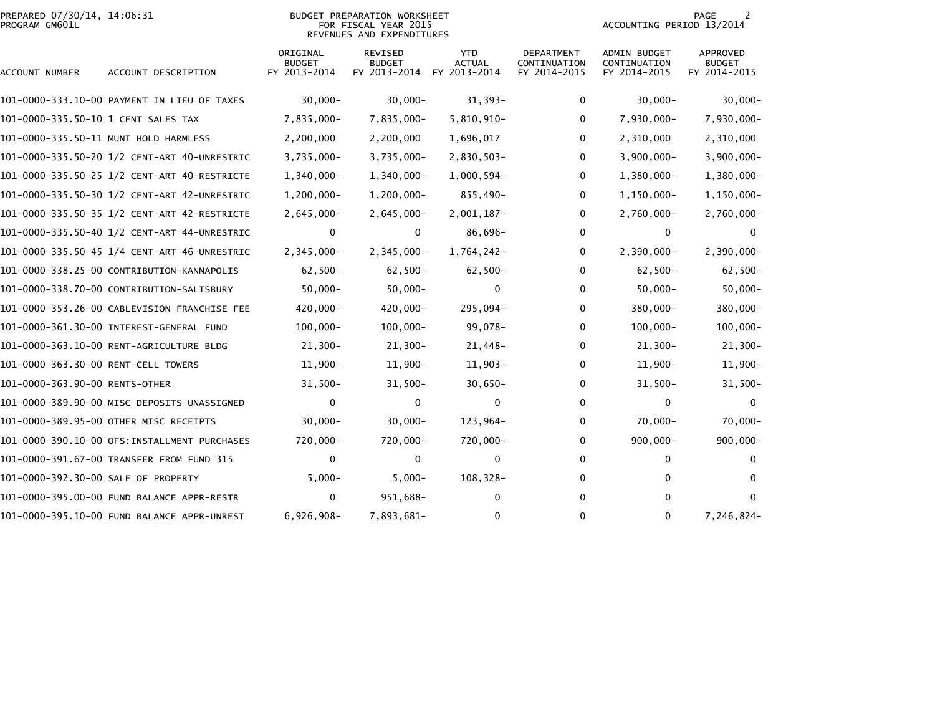| PREPARED 07/30/14, 14:06:31<br>PROGRAM GM601L |                                              |                                           | <b>BUDGET PREPARATION WORKSHEET</b><br>FOR FISCAL YEAR 2015<br>REVENUES AND EXPENDITURES |                                             |                                            | ACCOUNTING PERIOD 13/2014                           | 2<br>PAGE                                        |
|-----------------------------------------------|----------------------------------------------|-------------------------------------------|------------------------------------------------------------------------------------------|---------------------------------------------|--------------------------------------------|-----------------------------------------------------|--------------------------------------------------|
| ACCOUNT NUMBER                                | ACCOUNT DESCRIPTION                          | ORIGINAL<br><b>BUDGET</b><br>FY 2013-2014 | <b>REVISED</b><br><b>BUDGET</b><br>FY 2013-2014                                          | <b>YTD</b><br><b>ACTUAL</b><br>FY 2013-2014 | DEPARTMENT<br>CONTINUATION<br>FY 2014-2015 | <b>ADMIN BUDGET</b><br>CONTINUATION<br>FY 2014-2015 | <b>APPROVED</b><br><b>BUDGET</b><br>FY 2014-2015 |
|                                               | 101-0000-333.10-00 PAYMENT IN LIEU OF TAXES  | $30,000 -$                                | $30,000 -$                                                                               | $31,393-$                                   | $\mathbf{0}$                               | $30,000 -$                                          | $30,000 -$                                       |
| 101-0000-335.50-10 1 CENT SALES TAX           |                                              | 7,835,000-                                | 7,835,000-                                                                               | 5,810,910-                                  | 0                                          | 7,930,000-                                          | 7,930,000-                                       |
|                                               | 101-0000-335.50-11 MUNI HOLD HARMLESS        | 2,200,000                                 | 2,200,000                                                                                | 1,696,017                                   | $\mathbf{0}$                               | 2,310,000                                           | 2,310,000                                        |
|                                               | 101-0000-335.50-20 1/2 CENT-ART 40-UNRESTRIC | $3,735,000 -$                             | $3,735,000 -$                                                                            | 2,830,503-                                  | $\mathbf{0}$                               | $3,900,000 -$                                       | $3,900,000 -$                                    |
|                                               |                                              | 1,340,000-                                | 1,340,000-                                                                               | $1,000,594-$                                | 0                                          | 1,380,000-                                          | $1,380,000 -$                                    |
|                                               |                                              | $1,200,000 -$                             | $1,200,000 -$                                                                            | 855,490-                                    | 0                                          | $1,150,000 -$                                       | $1,150,000 -$                                    |
|                                               |                                              | $2,645,000 -$                             | $2,645,000 -$                                                                            | $2,001,187-$                                | 0                                          | $2,760,000 -$                                       | 2,760,000-                                       |
|                                               |                                              | 0                                         | 0                                                                                        | 86,696-                                     | 0                                          | 0                                                   | $\mathbf{0}$                                     |
|                                               |                                              | $2,345,000 -$                             | 2,345,000-                                                                               | 1,764,242-                                  | 0                                          | $2,390,000 -$                                       | $2,390,000 -$                                    |
|                                               | 101-0000-338.25-00 CONTRIBUTION-KANNAPOLIS   | $62,500 -$                                | $62,500-$                                                                                | $62,500-$                                   | 0                                          | $62,500 -$                                          | $62,500-$                                        |
|                                               | 101-0000-338.70-00 CONTRIBUTION-SALISBURY    | $50,000 -$                                | $50,000 -$                                                                               | $\mathbf 0$                                 | 0                                          | $50,000 -$                                          | $50,000 -$                                       |
|                                               | 101-0000-353.26-00 CABLEVISION FRANCHISE FEE | 420,000-                                  | 420,000-                                                                                 | 295,094-                                    | 0                                          | 380,000-                                            | 380,000-                                         |
|                                               |                                              | $100,000 -$                               | $100,000 -$                                                                              | 99,078-                                     | 0                                          | $100,000 -$                                         | $100,000 -$                                      |
|                                               |                                              | $21,300-$                                 | $21,300-$                                                                                | $21,448-$                                   | 0                                          | $21,300-$                                           | $21,300-$                                        |
|                                               |                                              | $11,900 -$                                | $11,900-$                                                                                | $11,903-$                                   | 0                                          | $11,900 -$                                          | $11,900 -$                                       |
| 101-0000-363.90-00 RENTS-OTHER                |                                              | $31,500-$                                 | $31,500-$                                                                                | $30,650 -$                                  | 0                                          | $31,500 -$                                          | $31,500 -$                                       |
|                                               | 101-0000-389.90-00 MISC DEPOSITS-UNASSIGNED  | $\Omega$                                  | $\Omega$                                                                                 | 0                                           | 0                                          | 0                                                   | $\mathbf{0}$                                     |
|                                               | 101-0000-389.95-00 OTHER MISC RECEIPTS       | $30,000 -$                                | $30,000 -$                                                                               | 123,964-                                    | $\mathbf{0}$                               | $70,000 -$                                          | $70,000 -$                                       |
|                                               | 101-0000-390.10-00 OFS:INSTALLMENT PURCHASES | 720,000-                                  | 720,000-                                                                                 | 720,000-                                    | $\mathbf{0}$                               | $900,000 -$                                         | $900,000 -$                                      |
|                                               | 101-0000-391.67-00 TRANSFER FROM FUND 315    | 0                                         | 0                                                                                        | 0                                           | 0                                          | 0                                                   | $\mathbf{0}$                                     |
| 101-0000-392.30-00 SALE OF PROPERTY           |                                              | $5,000 -$                                 | $5,000 -$                                                                                | 108,328-                                    | 0                                          | 0                                                   | $\mathbf{0}$                                     |
|                                               |                                              | 0                                         | 951,688-                                                                                 | 0                                           | 0                                          | $\bf{0}$                                            | $\mathbf{0}$                                     |
|                                               | 101-0000-395.10-00 FUND BALANCE APPR-UNREST  | $6,926,908-$                              | 7,893,681-                                                                               | 0                                           | $\mathbf{0}$                               | 0                                                   | 7,246,824-                                       |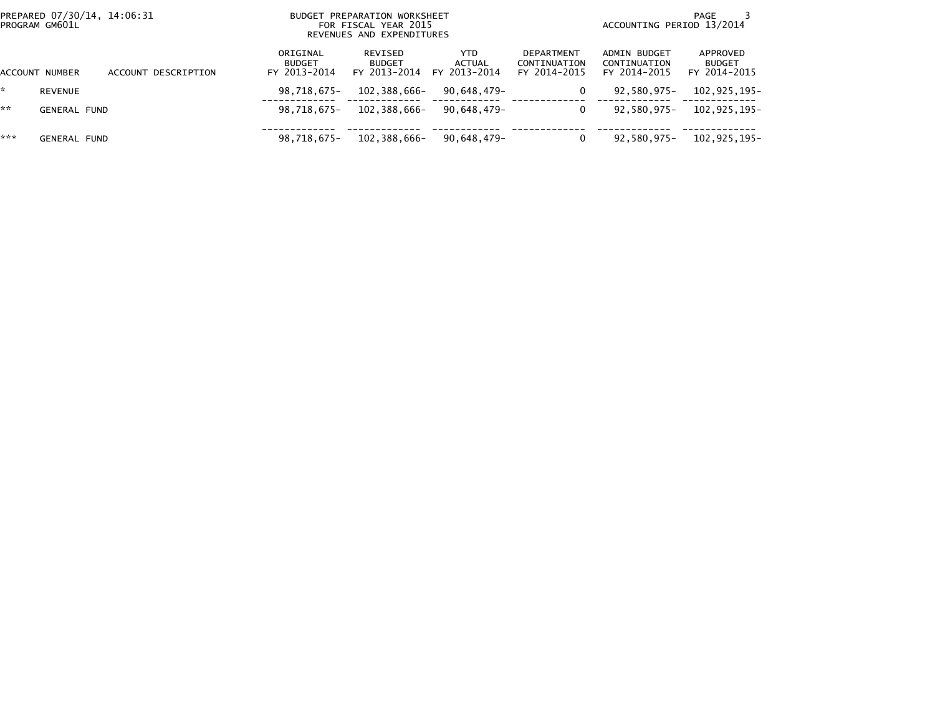|     | PREPARED 07/30/14, 14:06:31<br>PROGRAM GM601L |                     | <b>BUDGET</b>                             | PREPARATION WORKSHEET<br>FOR FISCAL YEAR 2015<br>REVENUES AND EXPENDITURES |                                | PAGE<br>ACCOUNTING PERIOD 13/2014          |                                              |                                           |  |
|-----|-----------------------------------------------|---------------------|-------------------------------------------|----------------------------------------------------------------------------|--------------------------------|--------------------------------------------|----------------------------------------------|-------------------------------------------|--|
|     | ACCOUNT NUMBER                                | ACCOUNT DESCRIPTION | ORIGINAL<br><b>BUDGET</b><br>FY 2013-2014 | REVISED<br><b>BUDGET</b><br>FY 2013-2014                                   | YTD.<br>ACTUAL<br>FY 2013-2014 | DEPARTMENT<br>CONTINUATION<br>FY 2014-2015 | ADMIN BUDGET<br>CONTINUATION<br>FY 2014-2015 | APPROVED<br><b>BUDGET</b><br>FY 2014-2015 |  |
|     | <b>REVENUE</b>                                |                     | 98,718,675-                               | 102,388,666-                                                               | 90,648,479-                    | 0                                          | 92,580,975-                                  | 102,925,195-                              |  |
| **  | <b>GENERAL FUND</b>                           |                     | 98.718.675-                               | 102.388.666-                                                               | 90,648,479-                    |                                            | 92,580,975-                                  | 102,925,195-                              |  |
| *** | <b>GENERAL FUND</b>                           |                     | 98,718,675-                               | 102,388,666-                                                               | 90,648,479-                    |                                            | 92,580,975-                                  | 102,925,195-                              |  |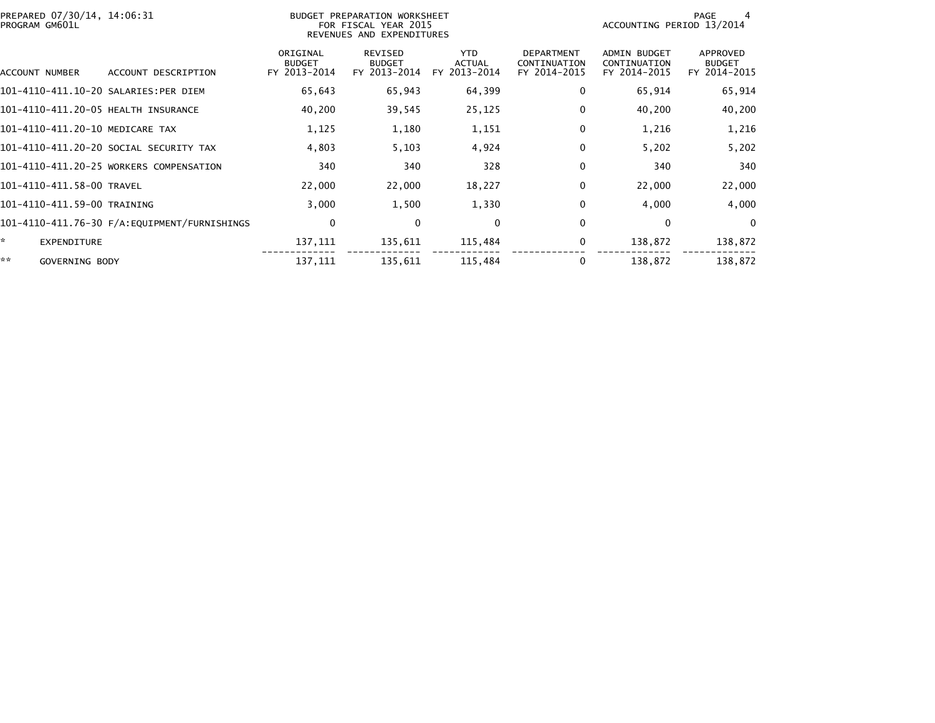| PREPARED 07/30/14, 14:06:31<br>PROGRAM GM601L |                                         |                                           | BUDGET PREPARATION WORKSHEET<br>FOR FISCAL YEAR 2015<br>REVENUES AND EXPENDITURES |                                       |                                                   | ACCOUNTING PERIOD 13/2014                           | PAGE                                      |
|-----------------------------------------------|-----------------------------------------|-------------------------------------------|-----------------------------------------------------------------------------------|---------------------------------------|---------------------------------------------------|-----------------------------------------------------|-------------------------------------------|
| ACCOUNT NUMBER                                | ACCOUNT DESCRIPTION                     | ORIGINAL<br><b>BUDGET</b><br>FY 2013-2014 | REVISED<br><b>BUDGET</b><br>FY 2013-2014                                          | YTD.<br><b>ACTUAL</b><br>FY 2013-2014 | <b>DEPARTMENT</b><br>CONTINUATION<br>FY 2014-2015 | <b>ADMIN BUDGET</b><br>CONTINUATION<br>FY 2014-2015 | APPROVED<br><b>BUDGET</b><br>FY 2014-2015 |
|                                               | 101-4110-411.10-20 SALARIES:PER DIEM    | 65,643                                    | 65,943                                                                            | 64,399                                | 0                                                 | 65,914                                              | 65,914                                    |
|                                               | 101-4110-411.20-05 HEALTH INSURANCE     | 40,200                                    | 39,545                                                                            | 25,125                                | 0                                                 | 40,200                                              | 40,200                                    |
|                                               | 101-4110-411.20-10 MEDICARE TAX         | 1,125                                     | 1,180                                                                             | 1,151                                 | 0                                                 | 1,216                                               | 1,216                                     |
|                                               | 101-4110-411.20-20 SOCIAL SECURITY TAX  | 4,803                                     | 5,103                                                                             | 4,924                                 | 0                                                 | 5,202                                               | 5,202                                     |
|                                               | 101-4110-411.20-25 WORKERS COMPENSATION | 340                                       | 340                                                                               | 328                                   | 0                                                 | 340                                                 | 340                                       |
| 101-4110-411.58-00 TRAVEL                     |                                         | 22,000                                    | 22,000                                                                            | 18,227                                | 0                                                 | 22,000                                              | 22,000                                    |
| 101-4110-411.59-00 TRAINING                   |                                         | 3,000                                     | 1,500                                                                             | 1,330                                 | 0                                                 | 4,000                                               | 4,000                                     |
|                                               |                                         | 0                                         | 0                                                                                 | 0                                     | 0                                                 | 0                                                   | $\Omega$                                  |
| *<br>EXPENDITURE                              |                                         | 137,111                                   | 135,611                                                                           | 115,484                               | 0                                                 | 138,872                                             | 138,872                                   |
| **<br>GOVERNING BODY                          |                                         | 137,111                                   | 135,611                                                                           | 115,484                               | 0                                                 | 138,872                                             | 138,872                                   |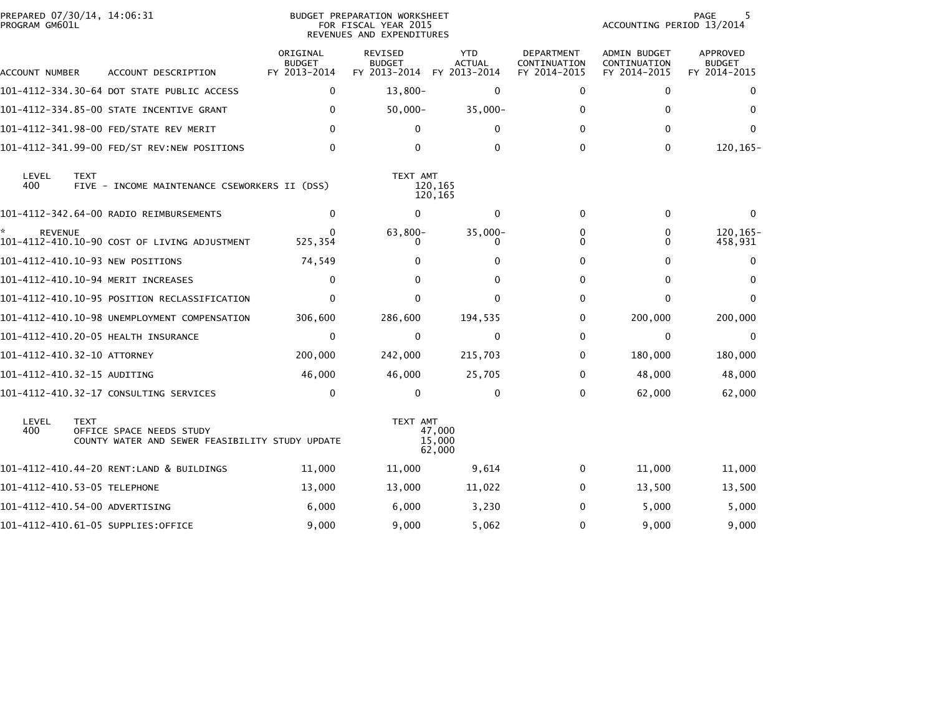| PREPARED 07/30/14, 14:06:31<br>PROGRAM GM601L |             |                                                                             |                                           | BUDGET PREPARATION WORKSHEET<br>FOR FISCAL YEAR 2015<br>REVENUES AND EXPENDITURES |                                             |                                                   | ACCOUNTING PERIOD 13/2014                           | PAGE<br>5                                        |
|-----------------------------------------------|-------------|-----------------------------------------------------------------------------|-------------------------------------------|-----------------------------------------------------------------------------------|---------------------------------------------|---------------------------------------------------|-----------------------------------------------------|--------------------------------------------------|
| ACCOUNT NUMBER                                |             | ACCOUNT DESCRIPTION                                                         | ORIGINAL<br><b>BUDGET</b><br>FY 2013-2014 | <b>REVISED</b><br><b>BUDGET</b><br>FY 2013-2014                                   | <b>YTD</b><br><b>ACTUAL</b><br>FY 2013-2014 | <b>DEPARTMENT</b><br>CONTINUATION<br>FY 2014-2015 | <b>ADMIN BUDGET</b><br>CONTINUATION<br>FY 2014-2015 | <b>APPROVED</b><br><b>BUDGET</b><br>FY 2014-2015 |
|                                               |             | 101-4112-334.30-64 DOT STATE PUBLIC ACCESS                                  | 0                                         | $13,800-$                                                                         | 0                                           | 0                                                 | $\mathbf{0}$                                        | $\Omega$                                         |
|                                               |             | 101-4112-334.85-00 STATE INCENTIVE GRANT                                    | $\mathbf{0}$                              | $50,000 -$                                                                        | $35,000 -$                                  | 0                                                 | 0                                                   | 0                                                |
|                                               |             | 101-4112-341.98-00 FED/STATE REV MERIT                                      | 0                                         | 0                                                                                 | 0                                           | <sup>0</sup>                                      | $\Omega$                                            | $\Omega$                                         |
|                                               |             | 101-4112-341.99-00 FED/ST REV:NEW POSITIONS                                 | $\Omega$                                  | 0                                                                                 | 0                                           | $\Omega$                                          | $\mathbf{0}$                                        | $120, 165 -$                                     |
| LEVEL<br>400                                  | <b>TEXT</b> | FIVE - INCOME MAINTENANCE CSEWORKERS II (DSS)                               |                                           | TEXT AMT                                                                          | 120,165<br>120,165                          |                                                   |                                                     |                                                  |
|                                               |             | 101-4112-342.64-00 RADIO REIMBURSEMENTS                                     | $\mathbf{0}$                              | $\Omega$                                                                          | $\mathbf{0}$                                | $\Omega$                                          | $\mathbf{0}$                                        | $\Omega$                                         |
| <b>REVENUE</b>                                |             | 101-4112-410.10-90 COST OF LIVING ADJUSTMENT                                | <sup>0</sup><br>525,354                   | 63,800-<br>0                                                                      | $35,000 -$<br>0                             | 0<br>0                                            | 0<br>0                                              | 120, 165-<br>458,931                             |
|                                               |             | 101-4112-410.10-93 NEW POSITIONS                                            | 74,549                                    | 0                                                                                 | 0                                           | 0                                                 | $\Omega$                                            | 0                                                |
|                                               |             | 101-4112-410.10-94 MERIT INCREASES                                          | $\mathbf 0$                               | $\Omega$                                                                          | $\Omega$                                    | 0                                                 | $\mathbf{0}$                                        | $\Omega$                                         |
|                                               |             | 101-4112-410.10-95 POSITION RECLASSIFICATION                                | $\mathbf{0}$                              | $\Omega$                                                                          | $\Omega$                                    | $\Omega$                                          | $\mathbf{0}$                                        | $\Omega$                                         |
|                                               |             | 101-4112-410.10-98 UNEMPLOYMENT COMPENSATION                                | 306,600                                   | 286,600                                                                           | 194,535                                     | 0                                                 | 200,000                                             | 200,000                                          |
|                                               |             | 101-4112-410.20-05 HEALTH INSURANCE                                         | $\mathbf{0}$                              | $\Omega$                                                                          | $\mathbf 0$                                 | $\Omega$                                          | $\mathbf{0}$                                        | $\Omega$                                         |
| 101-4112-410.32-10 ATTORNEY                   |             |                                                                             | 200,000                                   | 242,000                                                                           | 215,703                                     | 0                                                 | 180,000                                             | 180,000                                          |
| 101-4112-410.32-15 AUDITING                   |             |                                                                             | 46,000                                    | 46,000                                                                            | 25,705                                      | $\Omega$                                          | 48,000                                              | 48,000                                           |
|                                               |             | 101-4112-410.32-17 CONSULTING SERVICES                                      | $\mathbf 0$                               | $\mathbf{0}$                                                                      | $\mathbf 0$                                 | $\Omega$                                          | 62,000                                              | 62,000                                           |
| LEVEL<br>400                                  | <b>TEXT</b> | OFFICE SPACE NEEDS STUDY<br>COUNTY WATER AND SEWER FEASIBILITY STUDY UPDATE |                                           | TEXT AMT                                                                          | 47,000<br>15,000<br>62,000                  |                                                   |                                                     |                                                  |
|                                               |             | 101-4112-410.44-20 RENT:LAND & BUILDINGS                                    | 11,000                                    | 11,000                                                                            | 9,614                                       | 0                                                 | 11,000                                              | 11,000                                           |
| 101-4112-410.53-05 TELEPHONE                  |             |                                                                             | 13,000                                    | 13,000                                                                            | 11,022                                      | 0                                                 | 13,500                                              | 13,500                                           |
| 101-4112-410.54-00 ADVERTISING                |             |                                                                             | 6,000                                     | 6,000                                                                             | 3,230                                       | 0                                                 | 5,000                                               | 5,000                                            |
|                                               |             | 101-4112-410.61-05 SUPPLIES:OFFICE                                          | 9,000                                     | 9,000                                                                             | 5,062                                       | 0                                                 | 9,000                                               | 9,000                                            |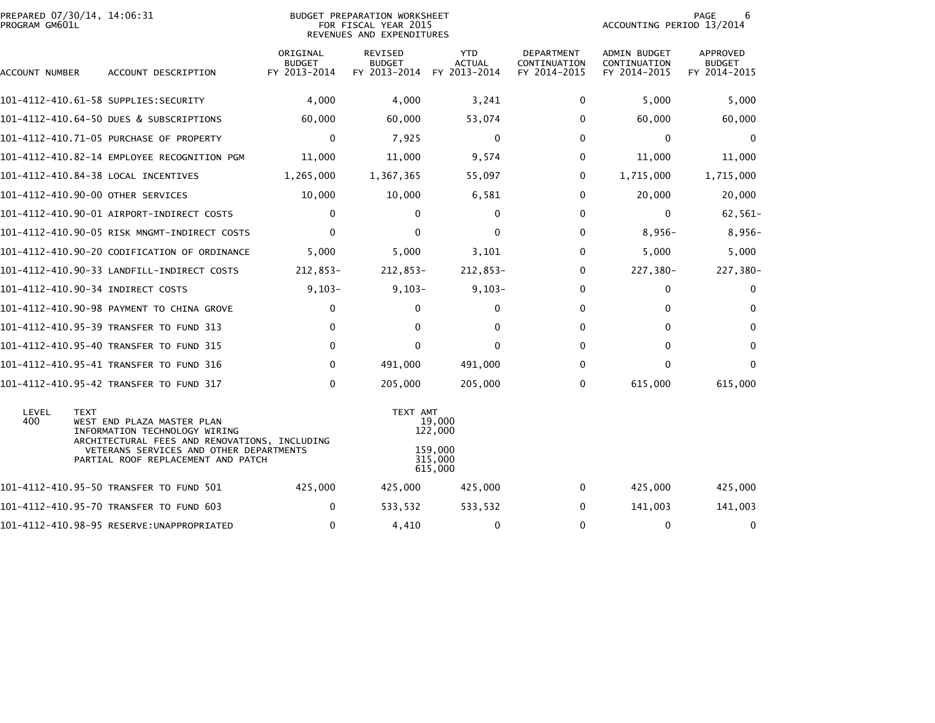| PREPARED 07/30/14, 14:06:31<br>PROGRAM GM601L |             |                                                                                                              |                                           | BUDGET PREPARATION WORKSHEET<br>FOR FISCAL YEAR 2015<br>REVENUES AND EXPENDITURES |                               |                                                   | ACCOUNTING PERIOD 13/2014                           | PAGE<br>6                                 |
|-----------------------------------------------|-------------|--------------------------------------------------------------------------------------------------------------|-------------------------------------------|-----------------------------------------------------------------------------------|-------------------------------|---------------------------------------------------|-----------------------------------------------------|-------------------------------------------|
| ACCOUNT NUMBER                                |             | ACCOUNT DESCRIPTION                                                                                          | ORIGINAL<br><b>BUDGET</b><br>FY 2013-2014 | REVISED<br><b>BUDGET</b><br>FY 2013-2014 FY 2013-2014                             | <b>YTD</b><br><b>ACTUAL</b>   | <b>DEPARTMENT</b><br>CONTINUATION<br>FY 2014-2015 | <b>ADMIN BUDGET</b><br>CONTINUATION<br>FY 2014-2015 | APPROVED<br><b>BUDGET</b><br>FY 2014-2015 |
|                                               |             | 101-4112-410.61-58 SUPPLIES:SECURITY                                                                         | 4,000                                     | 4,000                                                                             | 3,241                         | $\mathbf{0}$                                      | 5,000                                               | 5,000                                     |
|                                               |             | 101-4112-410.64-50 DUES & SUBSCRIPTIONS                                                                      | 60,000                                    | 60,000                                                                            | 53,074                        | 0                                                 | 60,000                                              | 60,000                                    |
|                                               |             | 101-4112-410.71-05 PURCHASE OF PROPERTY                                                                      | 0                                         | 7,925                                                                             | $\mathbf 0$                   | 0                                                 | 0                                                   | 0                                         |
|                                               |             | 101-4112-410.82-14 EMPLOYEE RECOGNITION PGM                                                                  | 11,000                                    | 11,000                                                                            | 9,574                         | 0                                                 | 11,000                                              | 11,000                                    |
| 101-4112-410.84-38 LOCAL INCENTIVES           |             |                                                                                                              | 1,265,000                                 | 1,367,365                                                                         | 55,097                        | 0                                                 | 1,715,000                                           | 1,715,000                                 |
| 101-4112-410.90-00 OTHER SERVICES             |             |                                                                                                              | 10,000                                    | 10,000                                                                            | 6,581                         | 0                                                 | 20,000                                              | 20,000                                    |
|                                               |             |                                                                                                              | 0                                         | $\mathbf{0}$                                                                      | $\Omega$                      | $\mathbf{0}$                                      | $\mathbf 0$                                         | $62,561-$                                 |
|                                               |             | 101-4112-410.90-05 RISK MNGMT-INDIRECT COSTS                                                                 | $\mathbf{0}$                              | $\mathbf 0$                                                                       | $\mathbf 0$                   | 0                                                 | $8,956-$                                            | $8,956-$                                  |
|                                               |             | 101-4112-410.90-20 CODIFICATION OF ORDINANCE                                                                 | 5,000                                     | 5,000                                                                             | 3,101                         | $\mathbf{0}$                                      | 5,000                                               | 5,000                                     |
|                                               |             | 101-4112-410.90-33 LANDFILL-INDIRECT COSTS                                                                   | 212,853-                                  | 212,853-                                                                          | 212,853-                      | $\mathbf{0}$                                      | 227,380-                                            | 227,380-                                  |
| 101-4112-410.90-34 INDIRECT COSTS             |             |                                                                                                              | $9,103-$                                  | $9,103-$                                                                          | $9,103-$                      | 0                                                 | 0                                                   | $\mathbf 0$                               |
|                                               |             | 101-4112-410.90-98 PAYMENT TO CHINA GROVE                                                                    | $\mathbf 0$                               | $\Omega$                                                                          | $\mathbf{0}$                  | 0                                                 | 0                                                   | $\Omega$                                  |
|                                               |             | 101-4112-410.95-39 TRANSFER TO FUND 313                                                                      | $\mathbf{0}$                              | $\Omega$                                                                          | $\Omega$                      | $\Omega$                                          | 0                                                   | $\Omega$                                  |
|                                               |             | 101-4112-410.95-40 TRANSFER TO FUND 315                                                                      | 0                                         | 0                                                                                 | 0                             | 0                                                 | 0                                                   | 0                                         |
|                                               |             | 101-4112-410.95-41 TRANSFER TO FUND 316                                                                      | $\mathbf 0$                               | 491,000                                                                           | 491,000                       | $\Omega$                                          | 0                                                   | $\mathbf{0}$                              |
|                                               |             | 101-4112-410.95-42 TRANSFER TO FUND 317                                                                      | $\mathbf 0$                               | 205,000                                                                           | 205,000                       | 0                                                 | 615,000                                             | 615,000                                   |
| LEVEL<br>400                                  | <b>TEXT</b> | WEST END PLAZA MASTER PLAN<br>INFORMATION TECHNOLOGY WIRING<br>ARCHITECTURAL FEES AND RENOVATIONS, INCLUDING |                                           | TEXT AMT                                                                          | 19,000<br>122,000             |                                                   |                                                     |                                           |
|                                               |             | VETERANS SERVICES AND OTHER DEPARTMENTS<br>PARTIAL ROOF REPLACEMENT AND PATCH                                |                                           |                                                                                   | 159,000<br>315,000<br>615,000 |                                                   |                                                     |                                           |
|                                               |             | 101-4112-410.95-50 TRANSFER TO FUND 501                                                                      | 425,000                                   | 425,000                                                                           | 425,000                       | 0                                                 | 425,000                                             | 425,000                                   |
|                                               |             | 101-4112-410.95-70 TRANSFER TO FUND 603                                                                      | $\mathbf{0}$                              | 533,532                                                                           | 533,532                       | $\mathbf{0}$                                      | 141,003                                             | 141,003                                   |
|                                               |             |                                                                                                              | $\mathbf 0$                               | 4,410                                                                             | 0                             | $\Omega$                                          | 0                                                   | 0                                         |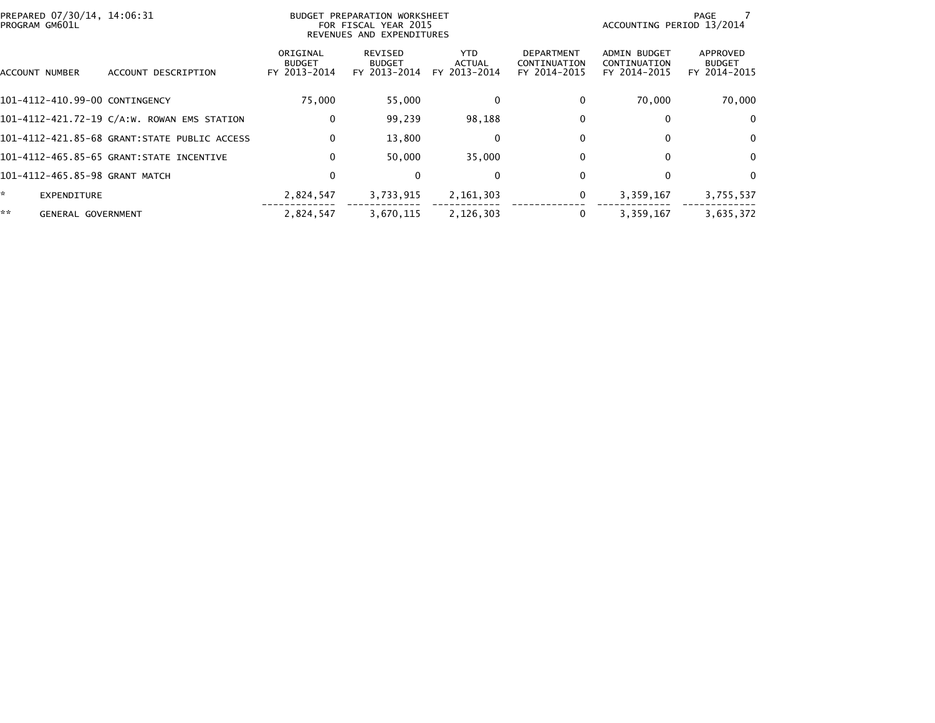| PREPARED 07/30/14, 14:06:31<br>PROGRAM GM601L |                           |                                              |                                           | BUDGET PREPARATION WORKSHEET<br>FOR FISCAL YEAR 2015<br>REVENUES AND EXPENDITURES |                                |                                                   | ACCOUNTING PERIOD 13/2014                           | PAGE                                      |
|-----------------------------------------------|---------------------------|----------------------------------------------|-------------------------------------------|-----------------------------------------------------------------------------------|--------------------------------|---------------------------------------------------|-----------------------------------------------------|-------------------------------------------|
| ACCOUNT NUMBER                                |                           | ACCOUNT DESCRIPTION                          | ORIGINAL<br><b>BUDGET</b><br>FY 2013-2014 | REVISED<br><b>BUDGET</b><br>FY 2013-2014                                          | YTD.<br>ACTUAL<br>FY 2013-2014 | <b>DEPARTMENT</b><br>CONTINUATION<br>FY 2014-2015 | <b>ADMIN BUDGET</b><br>CONTINUATION<br>FY 2014-2015 | APPROVED<br><b>BUDGET</b><br>FY 2014-2015 |
|                                               |                           | 101-4112-410.99-00 CONTINGENCY               | 75.000                                    | 55,000                                                                            | 0                              | 0                                                 | 70.000                                              | 70,000                                    |
|                                               |                           | 101-4112-421.72-19 C/A:W. ROWAN EMS STATION  | 0                                         | 99,239                                                                            | 98,188                         | 0                                                 | 0                                                   | $\Omega$                                  |
|                                               |                           | 101-4112-421.85-68 GRANT:STATE PUBLIC ACCESS | 0                                         | 13,800                                                                            | 0                              | 0                                                 | $\Omega$                                            | $\mathbf{0}$                              |
|                                               |                           | 101-4112-465.85-65 GRANT:STATE INCENTIVE     | 0                                         | 50.000                                                                            | 35,000                         | 0                                                 | 0                                                   | $\Omega$                                  |
|                                               |                           | 101-4112-465.85-98 GRANT MATCH               | 0                                         | $\Omega$                                                                          | 0                              | 0                                                 | 0                                                   | $\Omega$                                  |
| ÷.                                            | EXPENDITURE               |                                              | 2,824,547                                 | 3,733,915                                                                         | 2, 161, 303                    | 0                                                 | 3,359,167                                           | 3,755,537                                 |
| **                                            | <b>GENERAL GOVERNMENT</b> |                                              | 2.824.547                                 | 3.670.115                                                                         | 2,126,303                      | 0                                                 | 3,359,167                                           | 3.635.372                                 |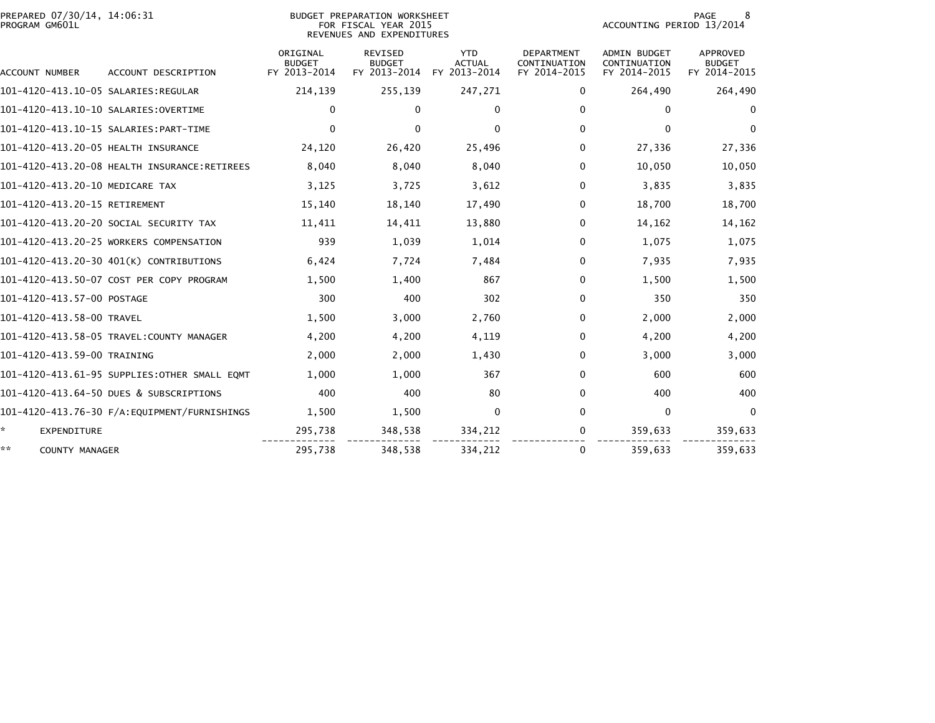| PREPARED 07/30/14, 14:06:31<br>PROGRAM GM601L |                                               |                                           | <b>BUDGET PREPARATION WORKSHEET</b><br>FOR FISCAL YEAR 2015<br>REVENUES AND EXPENDITURES |                                             |                                                   | ACCOUNTING PERIOD 13/2014                           | PAGE<br>8                                        |
|-----------------------------------------------|-----------------------------------------------|-------------------------------------------|------------------------------------------------------------------------------------------|---------------------------------------------|---------------------------------------------------|-----------------------------------------------------|--------------------------------------------------|
| ACCOUNT NUMBER                                | ACCOUNT DESCRIPTION                           | ORIGINAL<br><b>BUDGET</b><br>FY 2013-2014 | <b>REVISED</b><br><b>BUDGET</b><br>FY 2013-2014                                          | <b>YTD</b><br><b>ACTUAL</b><br>FY 2013-2014 | <b>DEPARTMENT</b><br>CONTINUATION<br>FY 2014-2015 | <b>ADMIN BUDGET</b><br>CONTINUATION<br>FY 2014-2015 | <b>APPROVED</b><br><b>BUDGET</b><br>FY 2014-2015 |
|                                               |                                               | 214,139                                   | 255,139                                                                                  | 247,271                                     | 0                                                 | 264,490                                             | 264,490                                          |
|                                               |                                               | 0                                         | $\mathbf{0}$                                                                             | $\bf{0}$                                    | 0                                                 | $\Omega$                                            | 0                                                |
|                                               |                                               | $\mathbf{0}$                              | $\mathbf{0}$                                                                             | $\Omega$                                    | 0                                                 | 0                                                   | $\Omega$                                         |
| 101-4120-413.20-05 HEALTH INSURANCE           |                                               | 24,120                                    | 26,420                                                                                   | 25,496                                      | 0                                                 | 27,336                                              | 27,336                                           |
|                                               | 101-4120-413.20-08 HEALTH INSURANCE:RETIREES  | 8,040                                     | 8,040                                                                                    | 8,040                                       | 0                                                 | 10,050                                              | 10,050                                           |
| 101-4120-413.20-10 MEDICARE TAX               |                                               | 3,125                                     | 3,725                                                                                    | 3,612                                       | 0                                                 | 3,835                                               | 3,835                                            |
| 101-4120-413.20-15 RETIREMENT                 |                                               | 15,140                                    | 18,140                                                                                   | 17,490                                      | 0                                                 | 18.700                                              | 18,700                                           |
|                                               | 101–4120–413.20–20 SOCIAL SECURITY TAX        | 11,411                                    | 14,411                                                                                   | 13,880                                      | 0                                                 | 14,162                                              | 14,162                                           |
|                                               | 101-4120-413.20-25 WORKERS COMPENSATION       | 939                                       | 1,039                                                                                    | 1,014                                       | 0                                                 | 1,075                                               | 1,075                                            |
|                                               | 101-4120-413.20-30 401(K) CONTRIBUTIONS       | 6,424                                     | 7,724                                                                                    | 7,484                                       | 0                                                 | 7,935                                               | 7,935                                            |
|                                               | 101-4120-413.50-07 COST PER COPY PROGRAM      | 1,500                                     | 1,400                                                                                    | 867                                         | 0                                                 | 1,500                                               | 1,500                                            |
| 101-4120-413.57-00 POSTAGE                    |                                               | 300                                       | 400                                                                                      | 302                                         | 0                                                 | 350                                                 | 350                                              |
| 101-4120-413.58-00 TRAVEL                     |                                               | 1,500                                     | 3,000                                                                                    | 2,760                                       | 0                                                 | 2,000                                               | 2,000                                            |
|                                               | 101-4120-413.58-05 TRAVEL:COUNTY MANAGER      | 4,200                                     | 4,200                                                                                    | 4,119                                       | 0                                                 | 4,200                                               | 4,200                                            |
| 101-4120-413.59-00 TRAINING                   |                                               | 2,000                                     | 2,000                                                                                    | 1,430                                       | 0                                                 | 3,000                                               | 3,000                                            |
|                                               | 101-4120-413.61-95 SUPPLIES:OTHER SMALL EQMT  | 1,000                                     | 1,000                                                                                    | 367                                         | 0                                                 | 600                                                 | 600                                              |
|                                               | 101-4120-413.64-50 DUES & SUBSCRIPTIONS       | 400                                       | 400                                                                                      | 80                                          | 0                                                 | 400                                                 | 400                                              |
|                                               | 101-4120-413.76-30 F/A: EQUIPMENT/FURNISHINGS | 1,500                                     | 1,500                                                                                    | $\Omega$                                    | 0                                                 | $\mathbf 0$                                         | $\mathbf{0}$                                     |
| *.<br><b>EXPENDITURE</b>                      |                                               | 295,738                                   | 348,538                                                                                  | 334,212                                     | 0                                                 | 359,633                                             | 359,633                                          |
| **<br><b>COUNTY MANAGER</b>                   |                                               | 295,738                                   | 348,538                                                                                  | 334,212                                     | 0                                                 | 359,633                                             | 359,633                                          |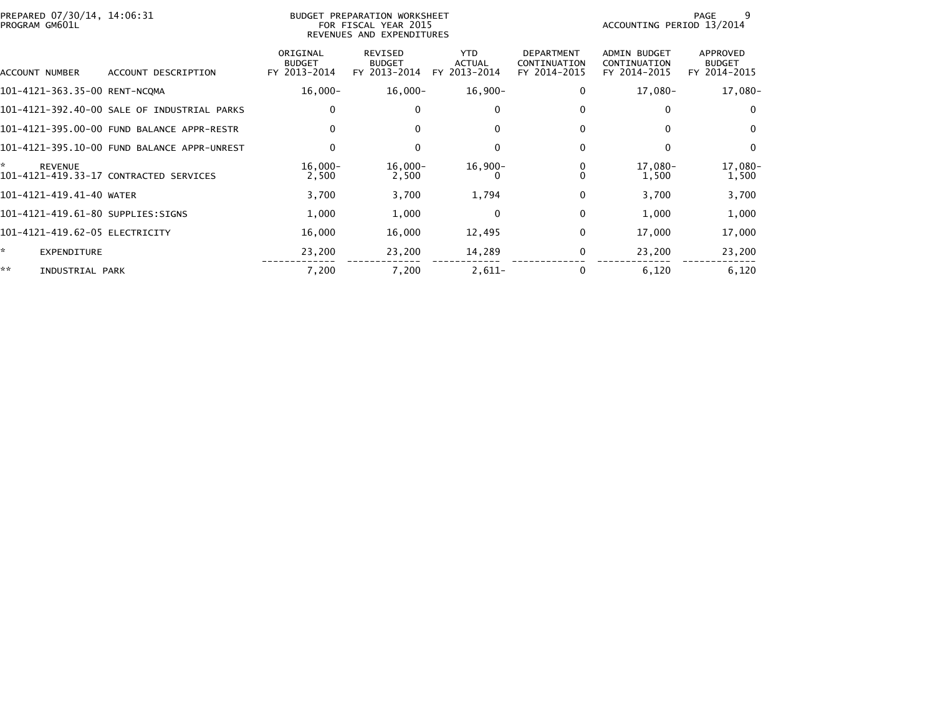| PREPARED 07/30/14, 14:06:31<br>PROGRAM GM601L |                                             |                                           | BUDGET PREPARATION WORKSHEET<br>FOR FISCAL YEAR 2015<br>REVENUES AND EXPENDITURES |                                      |                                                   | ACCOUNTING PERIOD 13/2014                    | 9<br>PAGE                                 |
|-----------------------------------------------|---------------------------------------------|-------------------------------------------|-----------------------------------------------------------------------------------|--------------------------------------|---------------------------------------------------|----------------------------------------------|-------------------------------------------|
| ACCOUNT NUMBER                                | ACCOUNT DESCRIPTION                         | ORIGINAL<br><b>BUDGET</b><br>FY 2013-2014 | REVISED<br><b>BUDGET</b><br>FY 2013-2014                                          | <b>YTD</b><br>ACTUAL<br>FY 2013-2014 | <b>DEPARTMENT</b><br>CONTINUATION<br>FY 2014-2015 | ADMIN BUDGET<br>CONTINUATION<br>FY 2014-2015 | APPROVED<br><b>BUDGET</b><br>FY 2014-2015 |
| 101-4121-363.35-00 RENT-NCQMA                 |                                             | $16,000 -$                                | $16,000 -$                                                                        | 16,900-                              | 0                                                 | 17,080-                                      | 17,080-                                   |
|                                               | 101-4121-392.40-00 SALE OF INDUSTRIAL PARKS | $\mathbf 0$                               | $\Omega$                                                                          | 0                                    | 0                                                 | 0                                            | 0                                         |
|                                               | 101-4121-395.00-00 FUND BALANCE APPR-RESTR  | $\Omega$                                  | $\Omega$                                                                          | $\Omega$                             | $\Omega$                                          | $\mathbf{0}$                                 | $\mathbf{0}$                              |
|                                               | 101-4121-395.10-00 FUND BALANCE APPR-UNREST | 0                                         | $\mathbf{0}$                                                                      | $\Omega$                             | $\Omega$                                          | $\Omega$                                     | $\mathbf{0}$                              |
| ÷.<br><b>REVENUE</b>                          | 101-4121-419.33-17 CONTRACTED SERVICES      | $16,000 -$<br>2,500                       | $16,000-$<br>2,500                                                                | $16,900 -$<br>$\Omega$               |                                                   | 17,080-<br>1,500                             | 17,080-<br>1,500                          |
| 101-4121-419.41-40 WATER                      |                                             | 3,700                                     | 3,700                                                                             | 1,794                                | 0                                                 | 3,700                                        | 3,700                                     |
| 101-4121-419.61-80 SUPPLIES:SIGNS             |                                             | 1,000                                     | 1,000                                                                             | $\Omega$                             | $\Omega$                                          | 1,000                                        | 1,000                                     |
| 101-4121-419.62-05 ELECTRICITY                |                                             | 16,000                                    | 16,000                                                                            | 12,495                               | $\Omega$                                          | 17,000                                       | 17,000                                    |
| ×.<br><b>EXPENDITURE</b>                      |                                             | 23,200                                    | 23,200                                                                            | 14,289                               | 0                                                 | 23,200                                       | 23,200                                    |
| **<br>INDUSTRIAL PARK                         |                                             | 7,200                                     | 7,200                                                                             | $2,611-$                             |                                                   | 6,120                                        | 6,120                                     |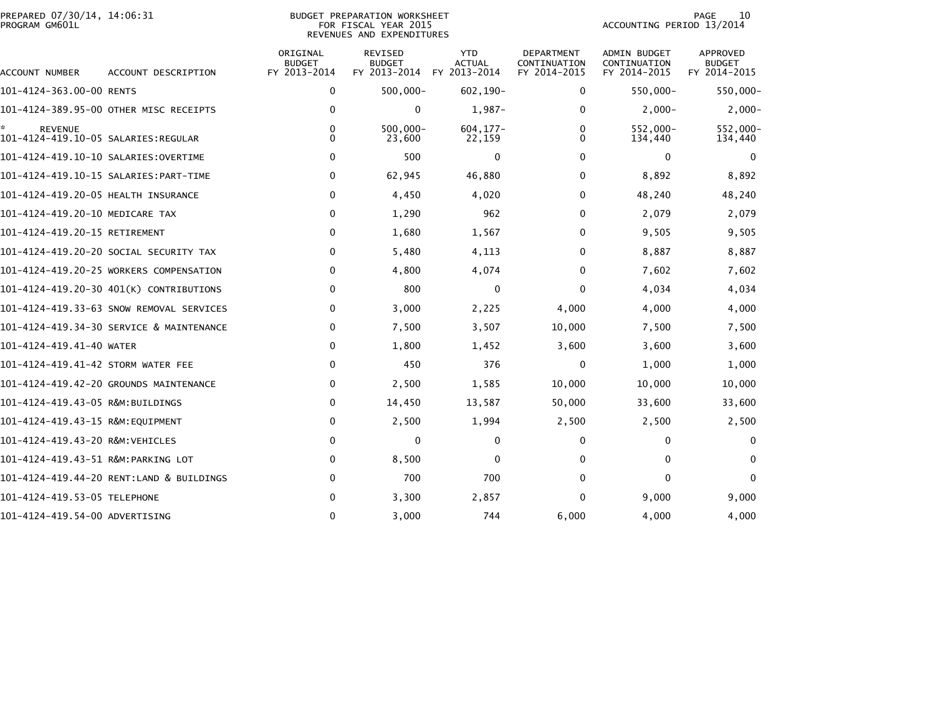| PREPARED 07/30/14, 14:06:31<br>BUDGET PREPARATION WORKSHEET<br>PROGRAM GM601L<br>FOR FISCAL YEAR 2015<br>REVENUES AND EXPENDITURES |                                          |                                           |                                          |                                             |                                            |                                              | 10<br>PAGE<br>ACCOUNTING PERIOD 13/2014   |  |  |
|------------------------------------------------------------------------------------------------------------------------------------|------------------------------------------|-------------------------------------------|------------------------------------------|---------------------------------------------|--------------------------------------------|----------------------------------------------|-------------------------------------------|--|--|
| ACCOUNT NUMBER                                                                                                                     | ACCOUNT DESCRIPTION                      | ORIGINAL<br><b>BUDGET</b><br>FY 2013-2014 | REVISED<br><b>BUDGET</b><br>FY 2013-2014 | <b>YTD</b><br><b>ACTUAL</b><br>FY 2013-2014 | DEPARTMENT<br>CONTINUATION<br>FY 2014-2015 | ADMIN BUDGET<br>CONTINUATION<br>FY 2014-2015 | APPROVED<br><b>BUDGET</b><br>FY 2014-2015 |  |  |
| 101-4124-363.00-00 RENTS                                                                                                           |                                          | 0                                         | $500,000 -$                              | $602, 190 -$                                | 0                                          | 550,000-                                     | 550,000-                                  |  |  |
|                                                                                                                                    | 101-4124-389.95-00 OTHER MISC RECEIPTS   | 0                                         | 0                                        | $1,987-$                                    | 0                                          | $2,000-$                                     | $2,000-$                                  |  |  |
| ÷.<br><b>REVENUE</b><br>101-4124-419.10-05 SALARIES:REGULAR                                                                        |                                          | $\Omega$<br>$\Omega$                      | $500,000 -$<br>23,600                    | $604, 177 -$<br>22,159                      | 0<br>$\Omega$                              | 552,000-<br>134,440                          | 552,000-<br>134,440                       |  |  |
|                                                                                                                                    |                                          | $\Omega$                                  | 500                                      | $\mathbf 0$                                 | 0                                          | $\mathbf{0}$                                 | $\mathbf{0}$                              |  |  |
|                                                                                                                                    |                                          | 0                                         | 62,945                                   | 46,880                                      | 0                                          | 8,892                                        | 8,892                                     |  |  |
| 101-4124-419.20-05 HEALTH INSURANCE                                                                                                |                                          | 0                                         | 4,450                                    | 4,020                                       | 0                                          | 48,240                                       | 48,240                                    |  |  |
| 101-4124-419.20-10 MEDICARE TAX                                                                                                    |                                          | 0                                         | 1,290                                    | 962                                         | 0                                          | 2,079                                        | 2,079                                     |  |  |
| 101-4124-419.20-15 RETIREMENT                                                                                                      |                                          | 0                                         | 1,680                                    | 1,567                                       | 0                                          | 9,505                                        | 9,505                                     |  |  |
|                                                                                                                                    | 101–4124–419.20–20 SOCIAL SECURITY TAX   | 0                                         | 5,480                                    | 4,113                                       | $\Omega$                                   | 8,887                                        | 8,887                                     |  |  |
|                                                                                                                                    | 101-4124-419.20-25 WORKERS COMPENSATION  | 0                                         | 4,800                                    | 4,074                                       | 0                                          | 7,602                                        | 7,602                                     |  |  |
|                                                                                                                                    | 101-4124-419.20-30 401(K) CONTRIBUTIONS  | 0                                         | 800                                      | 0                                           | $\Omega$                                   | 4,034                                        | 4,034                                     |  |  |
|                                                                                                                                    | 101-4124-419.33-63 SNOW REMOVAL SERVICES | 0                                         | 3,000                                    | 2,225                                       | 4,000                                      | 4,000                                        | 4,000                                     |  |  |
|                                                                                                                                    | 101-4124-419.34-30 SERVICE & MAINTENANCE | 0                                         | 7,500                                    | 3,507                                       | 10,000                                     | 7,500                                        | 7,500                                     |  |  |
| 101-4124-419.41-40 WATER                                                                                                           |                                          | 0                                         | 1,800                                    | 1,452                                       | 3,600                                      | 3,600                                        | 3,600                                     |  |  |
| 101-4124-419.41-42 STORM WATER FEE                                                                                                 |                                          | 0                                         | 450                                      | 376                                         | 0                                          | 1,000                                        | 1,000                                     |  |  |
|                                                                                                                                    | 101-4124-419.42-20 GROUNDS MAINTENANCE   | 0                                         | 2,500                                    | 1,585                                       | 10,000                                     | 10,000                                       | 10,000                                    |  |  |
| 101-4124-419.43-05 R&M:BUILDINGS                                                                                                   |                                          | 0                                         | 14,450                                   | 13,587                                      | 50,000                                     | 33,600                                       | 33,600                                    |  |  |
| 101-4124-419.43-15 R&M:EQUIPMENT                                                                                                   |                                          | 0                                         | 2,500                                    | 1,994                                       | 2,500                                      | 2,500                                        | 2,500                                     |  |  |
| 101-4124-419.43-20 R&M:VEHICLES                                                                                                    |                                          | 0                                         | $\Omega$                                 | 0                                           | 0                                          | 0                                            | 0                                         |  |  |
| 101-4124-419.43-51 R&M:PARKING LOT                                                                                                 |                                          | 0                                         | 8,500                                    | 0                                           | 0                                          | $\mathbf{0}$                                 | 0                                         |  |  |
|                                                                                                                                    | 101-4124-419.44-20 RENT:LAND & BUILDINGS | 0                                         | 700                                      | 700                                         | 0                                          | $\mathbf{0}$                                 | $\Omega$                                  |  |  |
| 101-4124-419.53-05 TELEPHONE                                                                                                       |                                          | 0                                         | 3,300                                    | 2,857                                       | 0                                          | 9,000                                        | 9,000                                     |  |  |
| 101-4124-419.54-00 ADVERTISING                                                                                                     |                                          | 0                                         | 3,000                                    | 744                                         | 6,000                                      | 4,000                                        | 4,000                                     |  |  |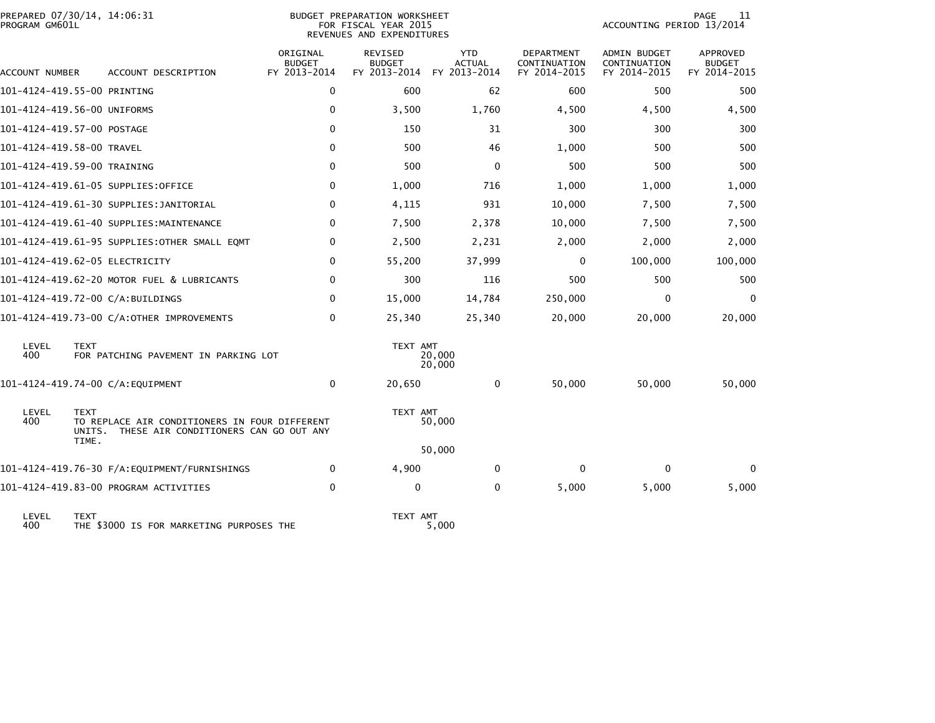| PREPARED 07/30/14, 14:06:31<br>PROGRAM GM601L  |                                                                                        |                                           | BUDGET PREPARATION WORKSHEET<br>FOR FISCAL YEAR 2015<br>REVENUES AND EXPENDITURES |                                             |                                                   | ACCOUNTING PERIOD 13/2014                           | PAGE<br>11                                |
|------------------------------------------------|----------------------------------------------------------------------------------------|-------------------------------------------|-----------------------------------------------------------------------------------|---------------------------------------------|---------------------------------------------------|-----------------------------------------------------|-------------------------------------------|
| ACCOUNT NUMBER                                 | ACCOUNT DESCRIPTION                                                                    | ORIGINAL<br><b>BUDGET</b><br>FY 2013-2014 | <b>REVISED</b><br><b>BUDGET</b><br>FY 2013-2014                                   | <b>YTD</b><br><b>ACTUAL</b><br>FY 2013-2014 | <b>DEPARTMENT</b><br>CONTINUATION<br>FY 2014-2015 | <b>ADMIN BUDGET</b><br>CONTINUATION<br>FY 2014-2015 | APPROVED<br><b>BUDGET</b><br>FY 2014-2015 |
| 101-4124-419.55-00 PRINTING                    |                                                                                        | 0                                         | 600                                                                               | 62                                          | 600                                               | 500                                                 | 500                                       |
| 101-4124-419.56-00 UNIFORMS                    |                                                                                        | $\Omega$                                  | 3,500                                                                             | 1,760                                       | 4,500                                             | 4,500                                               | 4,500                                     |
| 101-4124-419.57-00 POSTAGE                     |                                                                                        | 0                                         | 150                                                                               | 31                                          | 300                                               | 300                                                 | 300                                       |
| 101-4124-419.58-00 TRAVEL                      |                                                                                        | $\Omega$                                  | 500                                                                               | 46                                          | 1,000                                             | 500                                                 | 500                                       |
| 101-4124-419.59-00 TRAINING                    |                                                                                        | $\Omega$                                  | 500                                                                               | $\mathbf{0}$                                | 500                                               | 500                                                 | 500                                       |
|                                                | 101-4124-419.61-05 SUPPLIES:OFFICE                                                     | 0                                         | 1,000                                                                             | 716                                         | 1,000                                             | 1,000                                               | 1,000                                     |
|                                                | 101-4124-419.61-30 SUPPLIES: JANITORIAL                                                | 0                                         | 4,115                                                                             | 931                                         | 10,000                                            | 7,500                                               | 7,500                                     |
|                                                | 101-4124-419.61-40 SUPPLIES:MAINTENANCE                                                | 0                                         | 7,500                                                                             | 2,378                                       | 10,000                                            | 7,500                                               | 7,500                                     |
|                                                | 101-4124-419.61-95 SUPPLIES:OTHER SMALL EQMT                                           | 0                                         | 2,500                                                                             | 2,231                                       | 2,000                                             | 2,000                                               | 2,000                                     |
| 101-4124-419.62-05 ELECTRICITY                 |                                                                                        | 0                                         | 55,200                                                                            | 37,999                                      | 0                                                 | 100,000                                             | 100,000                                   |
|                                                | 101-4124-419.62-20 MOTOR FUEL & LUBRICANTS                                             | 0                                         | 300                                                                               | 116                                         | 500                                               | 500                                                 | 500                                       |
| 101-4124-419.72-00 C/A:BUILDINGS               |                                                                                        | 0                                         | 15,000                                                                            | 14,784                                      | 250,000                                           | $\Omega$                                            | $\Omega$                                  |
|                                                | 101-4124-419.73-00 C/A:OTHER IMPROVEMENTS                                              | 0                                         | 25,340                                                                            | 25,340                                      | 20,000                                            | 20,000                                              | 20,000                                    |
| LEVEL<br><b>TEXT</b><br>400                    | FOR PATCHING PAVEMENT IN PARKING LOT                                                   |                                           | TEXT AMT                                                                          | 20,000<br>20,000                            |                                                   |                                                     |                                           |
| 101-4124-419.74-00 C/A:EQUIPMENT               |                                                                                        | 0                                         | 20,650                                                                            | 0                                           | 50,000                                            | 50,000                                              | 50,000                                    |
| LEVEL<br><b>TEXT</b><br>400<br>UNITS.<br>TIME. | TO REPLACE AIR CONDITIONERS IN FOUR DIFFERENT<br>THESE AIR CONDITIONERS CAN GO OUT ANY |                                           | TEXT AMT                                                                          | 50,000                                      |                                                   |                                                     |                                           |
|                                                |                                                                                        |                                           |                                                                                   | 50,000                                      |                                                   |                                                     |                                           |
|                                                | 101-4124-419.76-30 F/A:EQUIPMENT/FURNISHINGS                                           | 0                                         | 4,900                                                                             | $\mathbf{0}$                                | $\mathbf{0}$                                      | $\Omega$                                            | 0                                         |
|                                                | 101-4124-419.83-00 PROGRAM ACTIVITIES                                                  | 0                                         | 0                                                                                 | 0                                           | 5,000                                             | 5,000                                               | 5,000                                     |

LEVEL TEXT TEXT AMT 400 THE \$3000 IS FOR MARKETING PURPOSES THE 5,000

TEXT AMT<br>5,000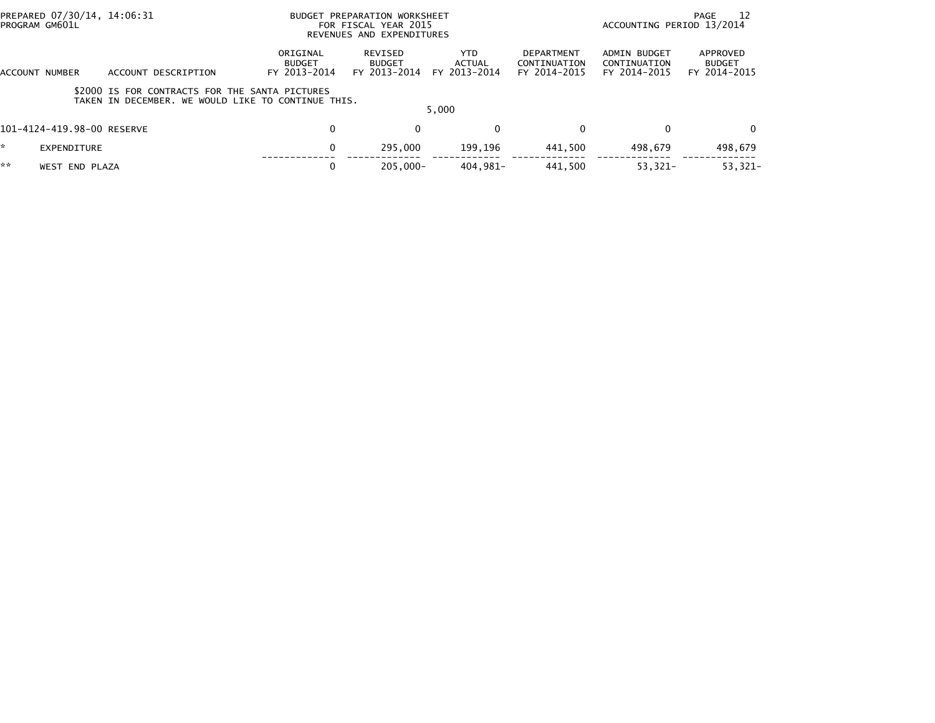|    | PREPARED 07/30/14, 14:06:31<br>PROGRAM GM601L |                                                                                                      |                                           | BUDGET PREPARATION WORKSHEET<br>FOR FISCAL YEAR 2015<br>REVENUES AND EXPENDITURES | - 12<br>PAGE<br>ACCOUNTING PERIOD 13/2014 |                                            |                                              |                                           |
|----|-----------------------------------------------|------------------------------------------------------------------------------------------------------|-------------------------------------------|-----------------------------------------------------------------------------------|-------------------------------------------|--------------------------------------------|----------------------------------------------|-------------------------------------------|
|    | ACCOUNT NUMBER                                | ACCOUNT DESCRIPTION                                                                                  | ORIGINAL<br><b>BUDGET</b><br>FY 2013-2014 | REVISED<br><b>BUDGET</b><br>FY 2013-2014                                          | <b>YTD</b><br>ACTUAL<br>FY 2013-2014      | DEPARTMENT<br>CONTINUATION<br>FY 2014-2015 | ADMIN BUDGET<br>CONTINUATION<br>FY 2014-2015 | APPROVED<br><b>BUDGET</b><br>FY 2014-2015 |
|    |                                               | \$2000 IS FOR CONTRACTS FOR THE SANTA PICTURES<br>TAKEN IN DECEMBER. WE WOULD LIKE TO CONTINUE THIS. |                                           |                                                                                   | 5.000                                     |                                            |                                              |                                           |
|    | 101-4124-419.98-00 RESERVE                    |                                                                                                      | 0                                         | $\Omega$                                                                          | $\mathbf{0}$                              | 0                                          | 0                                            | $\Omega$                                  |
|    | EXPENDITURE                                   |                                                                                                      | 0                                         | 295,000                                                                           | 199.196                                   | 441.500                                    | 498.679                                      | 498,679                                   |
| ** | <b>WEST END PLAZA</b>                         |                                                                                                      | 0                                         | $205.000 -$                                                                       | 404.981-                                  | 441.500                                    | $53,321-$                                    | 53,321-                                   |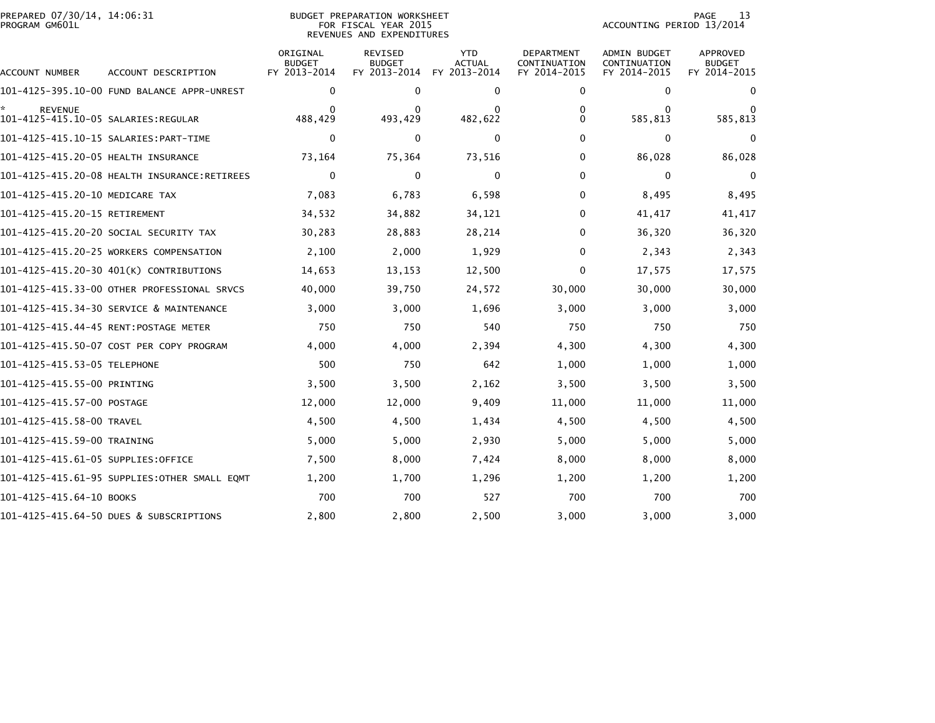| PREPARED 07/30/14, 14:06:31<br>PROGRAM GM601L |                                              |                                           | <b>BUDGET PREPARATION WORKSHEET</b><br>FOR FISCAL YEAR 2015<br>REVENUES AND EXPENDITURES | 13<br>PAGE<br>ACCOUNTING PERIOD 13/2014     |                                            |                                              |                                                  |
|-----------------------------------------------|----------------------------------------------|-------------------------------------------|------------------------------------------------------------------------------------------|---------------------------------------------|--------------------------------------------|----------------------------------------------|--------------------------------------------------|
| ACCOUNT NUMBER                                | ACCOUNT DESCRIPTION                          | ORIGINAL<br><b>BUDGET</b><br>FY 2013-2014 | <b>REVISED</b><br><b>BUDGET</b><br>FY 2013-2014                                          | <b>YTD</b><br><b>ACTUAL</b><br>FY 2013-2014 | DEPARTMENT<br>CONTINUATION<br>FY 2014-2015 | ADMIN BUDGET<br>CONTINUATION<br>FY 2014-2015 | <b>APPROVED</b><br><b>BUDGET</b><br>FY 2014-2015 |
|                                               | 101-4125-395.10-00 FUND BALANCE APPR-UNREST  | 0                                         | 0                                                                                        | 0                                           | 0                                          | 0                                            | $\bf{0}$                                         |
| <b>REVENUE</b>                                |                                              | $\Omega$<br>488,429                       | $\Omega$<br>493,429                                                                      | $\Omega$<br>482,622                         | 0<br>0                                     | $\Omega$<br>585,813                          | $\Omega$<br>585,813                              |
|                                               |                                              | 0                                         | 0                                                                                        | 0                                           | $\Omega$                                   | 0                                            | $\Omega$                                         |
| 101-4125-415.20-05 HEALTH INSURANCE           |                                              | 73,164                                    | 75,364                                                                                   | 73,516                                      | $\Omega$                                   | 86,028                                       | 86,028                                           |
|                                               |                                              | 0                                         | $\mathbf{0}$                                                                             | $\Omega$                                    | $\Omega$                                   | 0                                            | $\mathbf{0}$                                     |
| 101-4125-415.20-10 MEDICARE TAX               |                                              | 7,083                                     | 6,783                                                                                    | 6,598                                       | $\Omega$                                   | 8,495                                        | 8,495                                            |
| 101-4125-415.20-15 RETIREMENT                 |                                              | 34,532                                    | 34,882                                                                                   | 34,121                                      | 0                                          | 41,417                                       | 41,417                                           |
|                                               | 101–4125–415.20–20 SOCIAL SECURITY TAX       | 30,283                                    | 28,883                                                                                   | 28,214                                      | 0                                          | 36,320                                       | 36,320                                           |
|                                               | 101-4125-415.20-25 WORKERS COMPENSATION      | 2,100                                     | 2,000                                                                                    | 1,929                                       | 0                                          | 2,343                                        | 2,343                                            |
|                                               | 101-4125-415.20-30 401(K) CONTRIBUTIONS      | 14,653                                    | 13,153                                                                                   | 12,500                                      | $\Omega$                                   | 17,575                                       | 17,575                                           |
|                                               | 101-4125-415.33-00 OTHER PROFESSIONAL SRVCS  | 40,000                                    | 39,750                                                                                   | 24,572                                      | 30,000                                     | 30,000                                       | 30,000                                           |
|                                               | 101-4125-415.34-30 SERVICE & MAINTENANCE     | 3,000                                     | 3,000                                                                                    | 1,696                                       | 3,000                                      | 3,000                                        | 3,000                                            |
|                                               | 101-4125-415.44-45 RENT:POSTAGE METER        | 750                                       | 750                                                                                      | 540                                         | 750                                        | 750                                          | 750                                              |
|                                               | 101-4125-415.50-07 COST PER COPY PROGRAM     | 4,000                                     | 4,000                                                                                    | 2,394                                       | 4,300                                      | 4,300                                        | 4,300                                            |
| 101-4125-415.53-05 TELEPHONE                  |                                              | 500                                       | 750                                                                                      | 642                                         | 1,000                                      | 1,000                                        | 1,000                                            |
| 101-4125-415.55-00 PRINTING                   |                                              | 3,500                                     | 3,500                                                                                    | 2,162                                       | 3,500                                      | 3,500                                        | 3,500                                            |
| 101-4125-415.57-00 POSTAGE                    |                                              | 12,000                                    | 12,000                                                                                   | 9,409                                       | 11,000                                     | 11,000                                       | 11,000                                           |
| 101-4125-415.58-00 TRAVEL                     |                                              | 4,500                                     | 4,500                                                                                    | 1,434                                       | 4,500                                      | 4,500                                        | 4,500                                            |
| 101-4125-415.59-00 TRAINING                   |                                              | 5,000                                     | 5,000                                                                                    | 2,930                                       | 5,000                                      | 5,000                                        | 5,000                                            |
| 101–4125–415.61–05 SUPPLIES:OFFICE            |                                              | 7,500                                     | 8,000                                                                                    | 7,424                                       | 8,000                                      | 8,000                                        | 8,000                                            |
|                                               | 101-4125-415.61-95 SUPPLIES:OTHER SMALL EQMT | 1,200                                     | 1,700                                                                                    | 1,296                                       | 1,200                                      | 1,200                                        | 1,200                                            |
| 101-4125-415.64-10 BOOKS                      |                                              | 700                                       | 700                                                                                      | 527                                         | 700                                        | 700                                          | 700                                              |
|                                               | 101-4125-415.64-50 DUES & SUBSCRIPTIONS      | 2,800                                     | 2,800                                                                                    | 2,500                                       | 3,000                                      | 3,000                                        | 3,000                                            |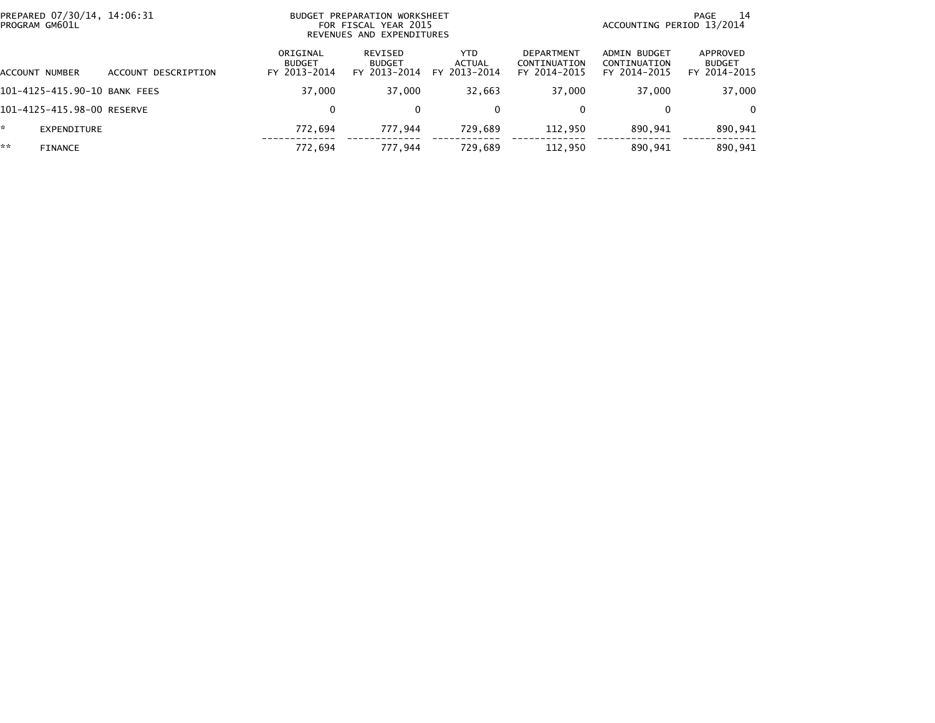|    | PREPARED 07/30/14, 14:06:31<br>BUDGET PREPARATION WORKSHEET<br>PROGRAM GM601L<br>FOR FISCAL YEAR 2015<br>REVENUES AND EXPENDITURES |                     |                                           |                                          |                                      |                                                   | ACCOUNTING PERIOD 13/2014                    | 14<br>PAGE                                |
|----|------------------------------------------------------------------------------------------------------------------------------------|---------------------|-------------------------------------------|------------------------------------------|--------------------------------------|---------------------------------------------------|----------------------------------------------|-------------------------------------------|
|    | ACCOUNT NUMBER                                                                                                                     | ACCOUNT DESCRIPTION | ORIGINAL<br><b>BUDGET</b><br>FY 2013-2014 | REVISED<br><b>BUDGET</b><br>FY 2013-2014 | <b>YTD</b><br>ACTUAL<br>FY 2013-2014 | <b>DEPARTMENT</b><br>CONTINUATION<br>FY 2014-2015 | ADMIN BUDGET<br>CONTINUATION<br>FY 2014-2015 | APPROVED<br><b>BUDGET</b><br>FY 2014-2015 |
|    | 101-4125-415.90-10 BANK FEES                                                                                                       |                     | 37,000                                    | 37.000                                   | 32,663                               | 37,000                                            | 37,000                                       | 37,000                                    |
|    | 101-4125-415.98-00 RESERVE                                                                                                         |                     | 0                                         | $\mathbf{0}$                             | $\mathbf{0}$                         | 0                                                 |                                              | $\Omega$                                  |
| *  | EXPENDITURE                                                                                                                        |                     | 772.694                                   | 777.944                                  | 729,689                              | 112,950                                           | 890,941                                      | 890,941                                   |
| ** | <b>FINANCE</b>                                                                                                                     |                     | 772,694                                   | 777,944                                  | 729,689                              | 112,950                                           | 890,941                                      | 890,941                                   |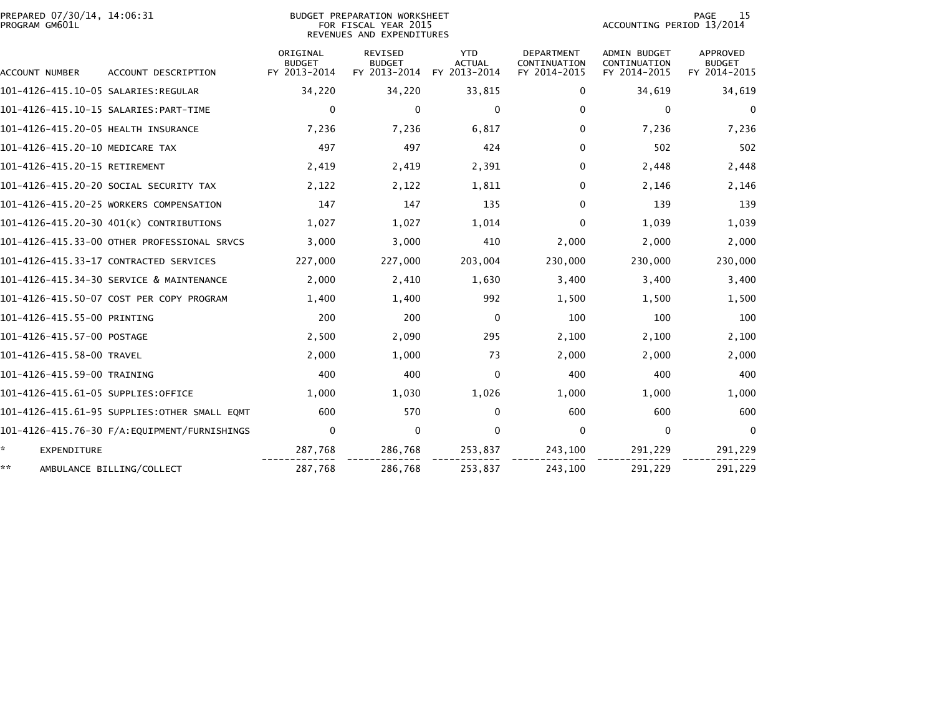| PREPARED 07/30/14, 14:06:31<br>PROGRAM GM601L |                                              |                                           | BUDGET PREPARATION WORKSHEET<br>FOR FISCAL YEAR 2015<br>REVENUES AND EXPENDITURES |                                             |                                            | 15<br><b>PAGE</b><br>ACCOUNTING PERIOD 13/2014 |                                           |  |  |
|-----------------------------------------------|----------------------------------------------|-------------------------------------------|-----------------------------------------------------------------------------------|---------------------------------------------|--------------------------------------------|------------------------------------------------|-------------------------------------------|--|--|
| ACCOUNT NUMBER                                | ACCOUNT DESCRIPTION                          | ORIGINAL<br><b>BUDGET</b><br>FY 2013-2014 | <b>REVISED</b><br><b>BUDGET</b><br>FY 2013-2014                                   | <b>YTD</b><br><b>ACTUAL</b><br>FY 2013-2014 | DEPARTMENT<br>CONTINUATION<br>FY 2014-2015 | ADMIN BUDGET<br>CONTINUATION<br>FY 2014-2015   | APPROVED<br><b>BUDGET</b><br>FY 2014-2015 |  |  |
|                                               |                                              | 34,220                                    | 34,220                                                                            | 33,815                                      | 0                                          | 34,619                                         | 34,619                                    |  |  |
| 101-4126-415.10-15 SALARIES:PART-TIME         |                                              | 0                                         | $\Omega$                                                                          | 0                                           | $\Omega$                                   | 0                                              | $\mathbf{0}$                              |  |  |
| 101-4126-415.20-05 HEALTH INSURANCE           |                                              | 7,236                                     | 7,236                                                                             | 6,817                                       | 0                                          | 7,236                                          | 7,236                                     |  |  |
| 101-4126-415.20-10 MEDICARE TAX               |                                              | 497                                       | 497                                                                               | 424                                         | $\Omega$                                   | 502                                            | 502                                       |  |  |
| 101-4126-415.20-15 RETIREMENT                 |                                              | 2,419                                     | 2,419                                                                             | 2,391                                       | 0                                          | 2,448                                          | 2,448                                     |  |  |
| 101-4126-415.20-20 SOCIAL SECURITY TAX        |                                              | 2,122                                     | 2,122                                                                             | 1,811                                       | 0                                          | 2,146                                          | 2,146                                     |  |  |
|                                               | 101-4126-415.20-25 WORKERS COMPENSATION      | 147                                       | 147                                                                               | 135                                         | 0                                          | 139                                            | 139                                       |  |  |
|                                               | 101-4126-415.20-30 401(K) CONTRIBUTIONS      | 1,027                                     | 1,027                                                                             | 1,014                                       | 0                                          | 1,039                                          | 1,039                                     |  |  |
|                                               | 101-4126-415.33-00 OTHER PROFESSIONAL SRVCS  | 3,000                                     | 3,000                                                                             | 410                                         | 2,000                                      | 2,000                                          | 2,000                                     |  |  |
| 101-4126-415.33-17 CONTRACTED SERVICES        |                                              | 227,000                                   | 227,000                                                                           | 203,004                                     | 230,000                                    | 230,000                                        | 230,000                                   |  |  |
|                                               | 101-4126-415.34-30 SERVICE & MAINTENANCE     | 2,000                                     | 2,410                                                                             | 1,630                                       | 3,400                                      | 3,400                                          | 3,400                                     |  |  |
|                                               | 101-4126-415.50-07 COST PER COPY PROGRAM     | 1,400                                     | 1,400                                                                             | 992                                         | 1,500                                      | 1,500                                          | 1,500                                     |  |  |
| 101-4126-415.55-00 PRINTING                   |                                              | 200                                       | 200                                                                               | $\Omega$                                    | 100                                        | 100                                            | 100                                       |  |  |
| 101-4126-415.57-00 POSTAGE                    |                                              | 2,500                                     | 2,090                                                                             | 295                                         | 2,100                                      | 2,100                                          | 2,100                                     |  |  |
| 101-4126-415.58-00 TRAVEL                     |                                              | 2,000                                     | 1,000                                                                             | 73                                          | 2,000                                      | 2,000                                          | 2,000                                     |  |  |
| 101-4126-415.59-00 TRAINING                   |                                              | 400                                       | 400                                                                               | $\Omega$                                    | 400                                        | 400                                            | 400                                       |  |  |
| 101-4126-415.61-05 SUPPLIES:OFFICE            |                                              | 1,000                                     | 1,030                                                                             | 1,026                                       | 1,000                                      | 1,000                                          | 1,000                                     |  |  |
|                                               | 101-4126-415.61-95 SUPPLIES:OTHER SMALL EOMT | 600                                       | 570                                                                               | $\mathbf{0}$                                | 600                                        | 600                                            | 600                                       |  |  |
|                                               | 101-4126-415.76-30 F/A:EQUIPMENT/FURNISHINGS | $\mathbf 0$                               | $\mathbf 0$                                                                       | $\mathbf 0$                                 | 0                                          | $\mathbf 0$                                    | $\mathbf{0}$                              |  |  |
| ÷.<br><b>EXPENDITURE</b>                      |                                              | 287,768                                   | 286,768                                                                           | 253,837                                     | 243,100                                    | 291,229                                        | 291,229                                   |  |  |
| **                                            | AMBULANCE BILLING/COLLECT                    | 287,768                                   | 286,768                                                                           | 253,837                                     | 243,100                                    | 291,229                                        | 291,229                                   |  |  |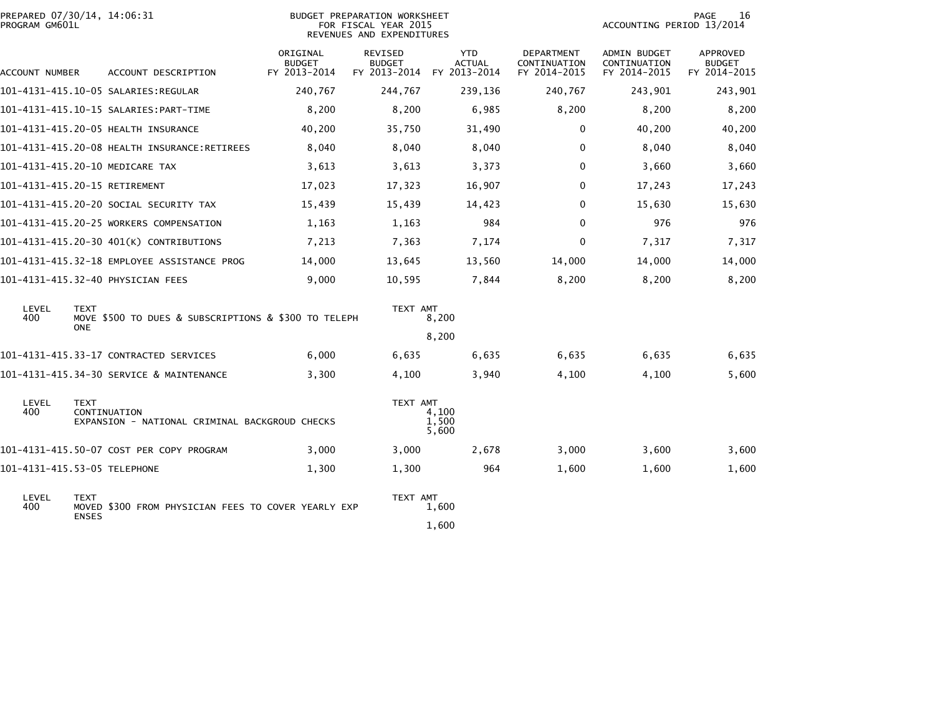| PREPARED 07/30/14, 14:06:31<br>PROGRAM GM601L |                                                                     |                                           | BUDGET PREPARATION WORKSHEET<br>FOR FISCAL YEAR 2015<br>REVENUES AND EXPENDITURES |                                             | PAGE<br>16<br>ACCOUNTING PERIOD 13/2014    |                                              |                                           |
|-----------------------------------------------|---------------------------------------------------------------------|-------------------------------------------|-----------------------------------------------------------------------------------|---------------------------------------------|--------------------------------------------|----------------------------------------------|-------------------------------------------|
| ACCOUNT NUMBER                                | ACCOUNT DESCRIPTION                                                 | ORIGINAL<br><b>BUDGET</b><br>FY 2013-2014 | <b>REVISED</b><br><b>BUDGET</b><br>FY 2013-2014                                   | <b>YTD</b><br><b>ACTUAL</b><br>FY 2013-2014 | DEPARTMENT<br>CONTINUATION<br>FY 2014-2015 | ADMIN BUDGET<br>CONTINUATION<br>FY 2014-2015 | APPROVED<br><b>BUDGET</b><br>FY 2014-2015 |
|                                               |                                                                     | 240,767                                   | 244,767                                                                           | 239,136                                     | 240,767                                    | 243,901                                      | 243,901                                   |
|                                               |                                                                     | 8,200                                     | 8,200                                                                             | 6,985                                       | 8,200                                      | 8,200                                        | 8,200                                     |
|                                               | 101-4131-415.20-05 HEALTH INSURANCE                                 | 40,200                                    | 35,750                                                                            | 31,490                                      | $\mathbf 0$                                | 40,200                                       | 40,200                                    |
|                                               | 101-4131-415.20-08 HEALTH INSURANCE:RETIREES                        | 8,040                                     | 8.040                                                                             | 8,040                                       | 0                                          | 8,040                                        | 8,040                                     |
|                                               | 101-4131-415.20-10 MEDICARE TAX                                     | 3,613                                     | 3,613                                                                             | 3,373                                       | 0                                          | 3,660                                        | 3,660                                     |
| 101-4131-415.20-15 RETIREMENT                 |                                                                     | 17,023                                    | 17,323                                                                            | 16,907                                      | 0                                          | 17,243                                       | 17,243                                    |
|                                               | 101–4131–415.20–20 SOCIAL SECURITY TAX                              | 15,439                                    | 15,439                                                                            | 14,423                                      | 0                                          | 15,630                                       | 15,630                                    |
|                                               | 101-4131-415.20-25 WORKERS COMPENSATION                             | 1,163                                     | 1,163                                                                             | 984                                         | $\Omega$                                   | 976                                          | 976                                       |
|                                               | 101-4131-415.20-30 401(K) CONTRIBUTIONS                             | 7,213                                     | 7,363                                                                             | 7,174                                       | 0                                          | 7.317                                        | 7,317                                     |
|                                               | 101-4131-415.32-18 EMPLOYEE ASSISTANCE PROG                         | 14,000                                    | 13,645                                                                            | 13,560                                      | 14,000                                     | 14,000                                       | 14,000                                    |
|                                               | 101-4131-415.32-40 PHYSICIAN FEES                                   | 9,000                                     | 10,595                                                                            | 7,844                                       | 8,200                                      | 8,200                                        | 8,200                                     |
| LEVEL<br><b>TEXT</b><br>400<br><b>ONE</b>     | MOVE \$500 TO DUES & SUBSCRIPTIONS & \$300 TO TELEPH                |                                           | TEXT AMT                                                                          | 8,200                                       |                                            |                                              |                                           |
|                                               |                                                                     |                                           |                                                                                   | 8,200                                       |                                            |                                              |                                           |
|                                               | 101-4131-415.33-17 CONTRACTED SERVICES                              | 6,000                                     | 6,635                                                                             | 6,635                                       | 6,635                                      | 6,635                                        | 6,635                                     |
|                                               | 101-4131-415.34-30 SERVICE & MAINTENANCE                            | 3,300                                     | 4,100                                                                             | 3,940                                       | 4,100                                      | 4,100                                        | 5,600                                     |
| LEVEL<br><b>TEXT</b><br>400                   | CONTINUATION<br>EXPANSION - NATIONAL CRIMINAL BACKGROUD CHECKS      |                                           | TEXT AMT                                                                          | 4,100<br>1.500<br>5,600                     |                                            |                                              |                                           |
|                                               | 101-4131-415.50-07 COST PER COPY PROGRAM                            | 3,000                                     | 3,000                                                                             | 2,678                                       | 3,000                                      | 3,600                                        | 3,600                                     |
| 101-4131-415.53-05 TELEPHONE                  |                                                                     | 1,300                                     | 1,300                                                                             | 964                                         | 1,600                                      | 1,600                                        | 1,600                                     |
| LEVEL<br><b>TEXT</b><br>400                   | MOVED \$300 FROM PHYSICIAN FEES TO COVER YEARLY EXP<br><b>ENSES</b> |                                           | TEXT AMT                                                                          | 1,600<br>1,600                              |                                            |                                              |                                           |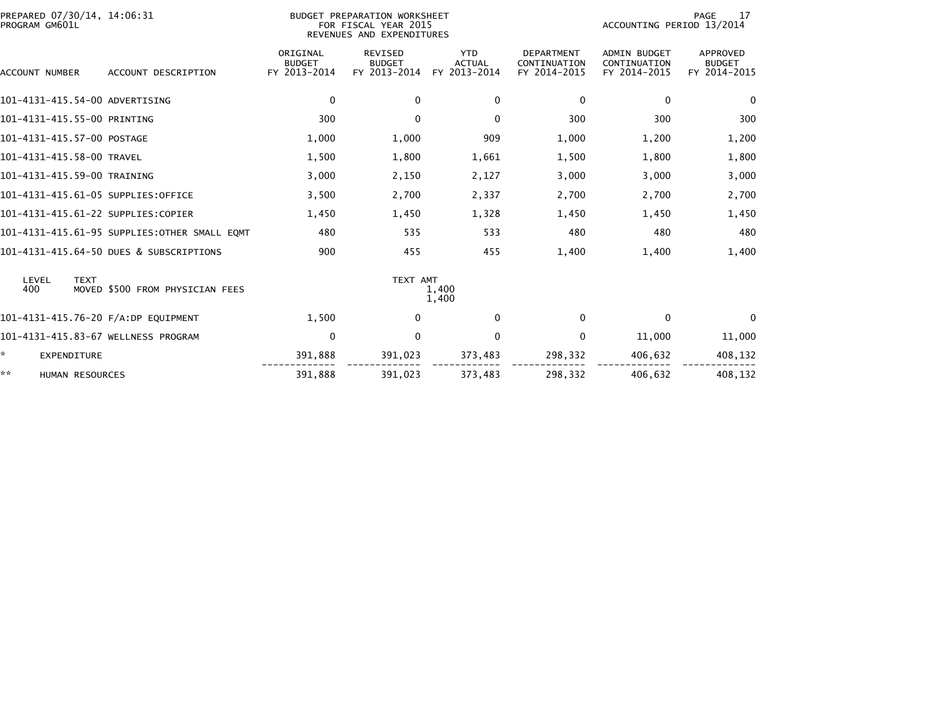| PREPARED 07/30/14, 14:06:31<br>PROGRAM GM601L |                                              |                                           | BUDGET PREPARATION WORKSHEET<br>FOR FISCAL YEAR 2015<br>REVENUES AND EXPENDITURES |                                             | PAGE<br>17<br>ACCOUNTING PERIOD 13/2014           |                                                     |                                           |
|-----------------------------------------------|----------------------------------------------|-------------------------------------------|-----------------------------------------------------------------------------------|---------------------------------------------|---------------------------------------------------|-----------------------------------------------------|-------------------------------------------|
| ACCOUNT NUMBER                                | ACCOUNT DESCRIPTION                          | ORIGINAL<br><b>BUDGET</b><br>FY 2013-2014 | REVISED<br><b>BUDGET</b><br>FY 2013-2014                                          | <b>YTD</b><br><b>ACTUAL</b><br>FY 2013-2014 | <b>DEPARTMENT</b><br>CONTINUATION<br>FY 2014-2015 | <b>ADMIN BUDGET</b><br>CONTINUATION<br>FY 2014-2015 | APPROVED<br><b>BUDGET</b><br>FY 2014-2015 |
| 101-4131-415.54-00 ADVERTISING                |                                              | 0                                         | $\mathbf{0}$                                                                      | 0                                           | 0                                                 | 0                                                   | $\mathbf{0}$                              |
| 101-4131-415.55-00 PRINTING                   |                                              | 300                                       | $\mathbf{0}$                                                                      | $\Omega$                                    | 300                                               | 300                                                 | 300                                       |
| 101-4131-415.57-00 POSTAGE                    |                                              | 1,000                                     | 1,000                                                                             | 909                                         | 1,000                                             | 1,200                                               | 1,200                                     |
| 101-4131-415.58-00 TRAVEL                     |                                              | 1,500                                     | 1,800                                                                             | 1,661                                       | 1,500                                             | 1,800                                               | 1,800                                     |
| 101-4131-415.59-00 TRAINING                   |                                              | 3,000                                     | 2,150                                                                             | 2,127                                       | 3,000                                             | 3,000                                               | 3,000                                     |
| 101-4131-415.61-05 SUPPLIES:OFFICE            |                                              | 3,500                                     | 2,700                                                                             | 2,337                                       | 2,700                                             | 2,700                                               | 2,700                                     |
| 101-4131-415.61-22 SUPPLIES:COPIER            |                                              | 1,450                                     | 1,450                                                                             | 1,328                                       | 1,450                                             | 1,450                                               | 1,450                                     |
|                                               | 101-4131-415.61-95 SUPPLIES:OTHER SMALL EQMT | 480                                       | 535                                                                               | 533                                         | 480                                               | 480                                                 | 480                                       |
|                                               | 101-4131-415.64-50 DUES & SUBSCRIPTIONS      | 900                                       | 455                                                                               | 455                                         | 1,400                                             | 1,400                                               | 1,400                                     |
| LEVEL<br><b>TEXT</b><br>400                   | MOVED \$500 FROM PHYSICIAN FEES              |                                           | TEXT AMT                                                                          | 1,400<br>1,400                              |                                                   |                                                     |                                           |
| 101-4131-415.76-20 F/A:DP EQUIPMENT           |                                              | 1,500                                     | $\bf{0}$                                                                          | $\Omega$                                    | $\Omega$                                          | $\Omega$                                            | $\Omega$                                  |
| 101-4131-415.83-67 WELLNESS PROGRAM           |                                              | 0                                         | $\Omega$                                                                          | $\Omega$                                    | 0                                                 | 11,000                                              | 11,000                                    |
| *<br><b>EXPENDITURE</b>                       |                                              | 391,888                                   | 391,023                                                                           | 373,483                                     | 298,332                                           | 406,632                                             | 408,132                                   |
| **<br><b>HUMAN RESOURCES</b>                  |                                              | 391,888                                   | 391,023                                                                           | 373,483                                     | 298,332                                           | 406,632                                             | 408,132                                   |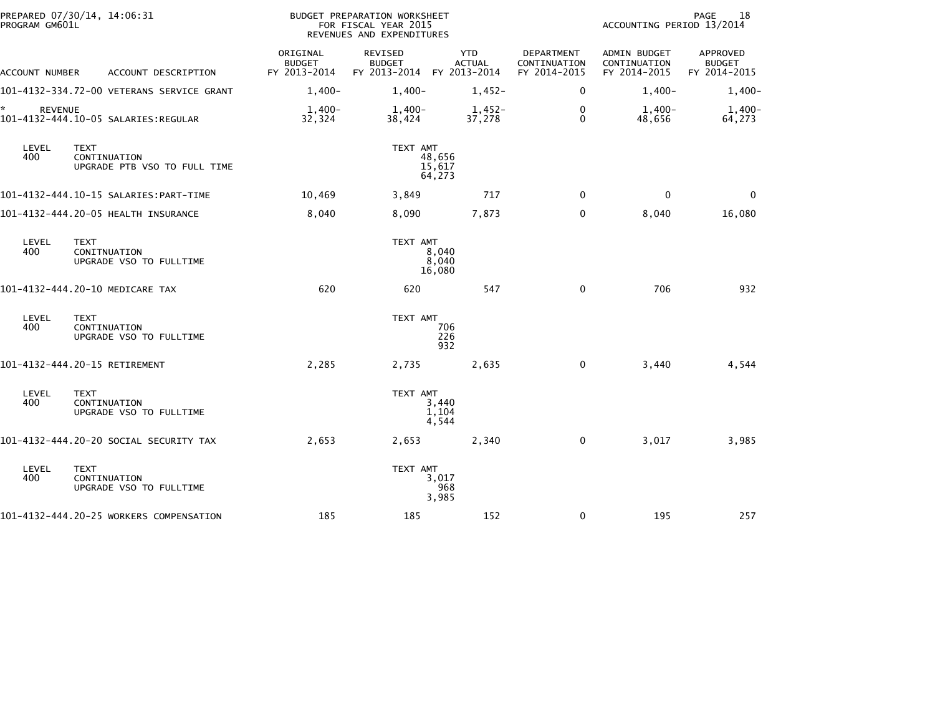| PROGRAM GM601L       | PREPARED 07/30/14, 14:06:31                                 |                                           | BUDGET PREPARATION WORKSHEET<br>FOR FISCAL YEAR 2015<br>REVENUES AND EXPENDITURES |                             | PAGE<br>18<br>ACCOUNTING PERIOD 13/2014           |                                                     |                                           |
|----------------------|-------------------------------------------------------------|-------------------------------------------|-----------------------------------------------------------------------------------|-----------------------------|---------------------------------------------------|-----------------------------------------------------|-------------------------------------------|
| ACCOUNT NUMBER       | ACCOUNT DESCRIPTION                                         | ORIGINAL<br><b>BUDGET</b><br>FY 2013-2014 | <b>REVISED</b><br><b>BUDGET</b><br>FY 2013-2014 FY 2013-2014                      | <b>YTD</b><br><b>ACTUAL</b> | <b>DEPARTMENT</b><br>CONTINUATION<br>FY 2014-2015 | <b>ADMIN BUDGET</b><br>CONTINUATION<br>FY 2014-2015 | APPROVED<br><b>BUDGET</b><br>FY 2014-2015 |
|                      | 101-4132-334.72-00 VETERANS SERVICE GRANT                   | $1,400-$                                  | $1,400-$                                                                          | $1,452-$                    | 0                                                 | $1,400-$                                            | $1,400-$                                  |
| ☆.<br><b>REVENUE</b> | 101-4132-444.10-05 SALARIES:REGULAR                         | $1,400-$<br>32,324                        | 1,400-<br>38,424                                                                  | $1,452-$<br>37,278          | $\mathbf 0$<br>$\mathbf{0}$                       | $1,400-$<br>48,656                                  | $1,400-$<br>64,273                        |
| LEVEL<br>400         | <b>TEXT</b><br>CONTINUATION<br>UPGRADE PTB VSO TO FULL TIME |                                           | TEXT AMT                                                                          | 48,656<br>15,617<br>64,273  |                                                   |                                                     |                                           |
|                      |                                                             | 10,469                                    | 3,849                                                                             | 717                         | $\mathbf{0}$                                      | $\mathbf{0}$                                        | $\mathbf{0}$                              |
|                      | 101-4132-444.20-05 HEALTH INSURANCE                         | 8,040                                     | 8,090                                                                             | 7,873                       | $\mathbf 0$                                       | 8,040                                               | 16,080                                    |
| LEVEL<br>400         | <b>TEXT</b><br>CONITNUATION<br>UPGRADE VSO TO FULLTIME      |                                           | TEXT AMT                                                                          | 8,040<br>8,040<br>16,080    |                                                   |                                                     |                                           |
|                      | 101-4132-444.20-10 MEDICARE TAX                             | 620                                       | 620                                                                               | 547                         | $\Omega$                                          | 706                                                 | 932                                       |
| LEVEL<br>400         | <b>TEXT</b><br>CONTINUATION<br>UPGRADE VSO TO FULLTIME      |                                           | TEXT AMT                                                                          | 706<br>226<br>932           |                                                   |                                                     |                                           |
|                      | 101-4132-444.20-15 RETIREMENT                               | 2,285                                     | 2,735                                                                             | 2,635                       | $\mathbf 0$                                       | 3,440                                               | 4,544                                     |
| LEVEL<br>400         | <b>TEXT</b><br>CONTINUATION<br>UPGRADE VSO TO FULLTIME      |                                           | TEXT AMT                                                                          | 3,440<br>1,104<br>4,544     |                                                   |                                                     |                                           |
|                      | 101-4132-444.20-20 SOCIAL SECURITY TAX                      | 2,653                                     | 2,653                                                                             | 2,340                       | $\mathbf{0}$                                      | 3,017                                               | 3,985                                     |
| LEVEL<br>400         | <b>TEXT</b><br>CONTINUATION<br>UPGRADE VSO TO FULLTIME      |                                           | TEXT AMT                                                                          | 3,017<br>968<br>3,985       |                                                   |                                                     |                                           |
|                      | 101-4132-444.20-25 WORKERS COMPENSATION                     | 185                                       | 185                                                                               | 152                         | 0                                                 | 195                                                 | 257                                       |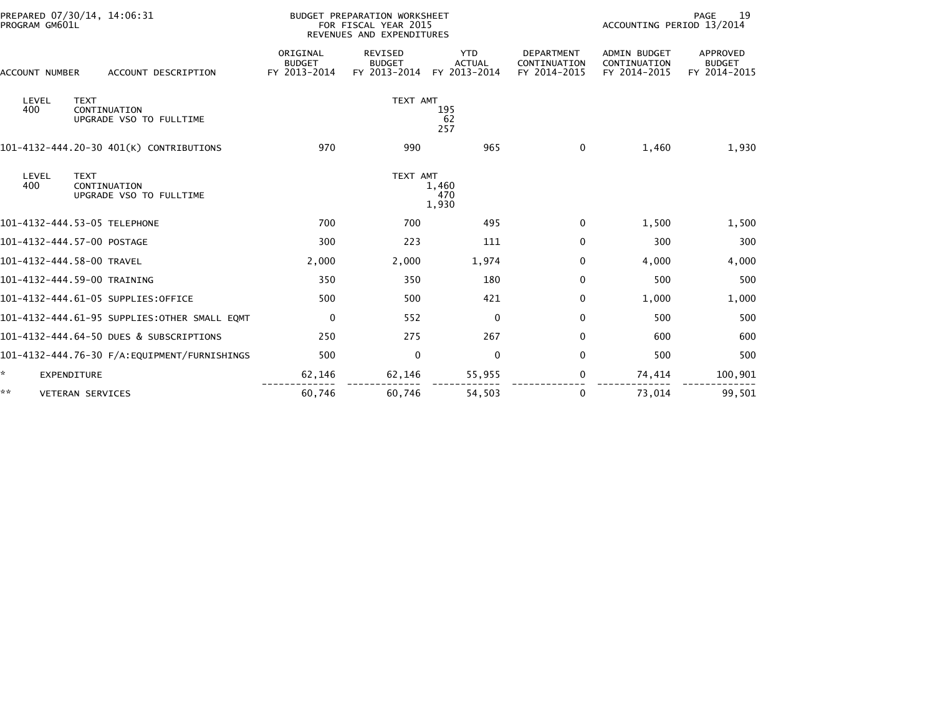| PREPARED 07/30/14, 14:06:31<br>PROGRAM GM601L                          |                                           | BUDGET PREPARATION WORKSHEET<br>FOR FISCAL YEAR 2015<br>REVENUES AND EXPENDITURES | 19<br>PAGE<br>ACCOUNTING PERIOD 13/2014     |                                                   |                                                     |                                           |
|------------------------------------------------------------------------|-------------------------------------------|-----------------------------------------------------------------------------------|---------------------------------------------|---------------------------------------------------|-----------------------------------------------------|-------------------------------------------|
| ACCOUNT DESCRIPTION<br>ACCOUNT NUMBER                                  | ORIGINAL<br><b>BUDGET</b><br>FY 2013-2014 | <b>REVISED</b><br><b>BUDGET</b><br>FY 2013-2014                                   | <b>YTD</b><br><b>ACTUAL</b><br>FY 2013-2014 | <b>DEPARTMENT</b><br>CONTINUATION<br>FY 2014-2015 | <b>ADMIN BUDGET</b><br>CONTINUATION<br>FY 2014-2015 | APPROVED<br><b>BUDGET</b><br>FY 2014-2015 |
| LEVEL<br><b>TEXT</b><br>400<br>CONTINUATION<br>UPGRADE VSO TO FULLTIME |                                           | TEXT AMT                                                                          | 195<br>62<br>257                            |                                                   |                                                     |                                           |
| 101-4132-444.20-30 401(K) CONTRIBUTIONS                                | 970                                       | 990                                                                               | 965                                         | $\Omega$                                          | 1,460                                               | 1,930                                     |
| LEVEL<br><b>TEXT</b><br>400<br>CONTINUATION<br>UPGRADE VSO TO FULLTIME |                                           | TEXT AMT                                                                          | 1,460<br>470<br>1,930                       |                                                   |                                                     |                                           |
| 101-4132-444.53-05 TELEPHONE                                           | 700                                       | 700                                                                               | 495                                         | 0                                                 | 1,500                                               | 1,500                                     |
| 101-4132-444.57-00 POSTAGE                                             | 300                                       | 223                                                                               | 111                                         | $\mathbf 0$                                       | 300                                                 | 300                                       |
| 101-4132-444.58-00 TRAVEL                                              | 2,000                                     | 2,000                                                                             | 1,974                                       | $\Omega$                                          | 4,000                                               | 4,000                                     |
| 101-4132-444.59-00 TRAINING                                            | 350                                       | 350                                                                               | 180                                         | 0                                                 | 500                                                 | 500                                       |
| 101-4132-444.61-05 SUPPLIES:OFFICE                                     | 500                                       | 500                                                                               | 421                                         | $\mathbf 0$                                       | 1,000                                               | 1,000                                     |
| 101-4132-444.61-95 SUPPLIES:OTHER SMALL EQMT                           | $\Omega$                                  | 552                                                                               | $\Omega$                                    | $\Omega$                                          | 500                                                 | 500                                       |
| 101-4132-444.64-50 DUES & SUBSCRIPTIONS                                | 250                                       | 275                                                                               | 267                                         | $\mathbf 0$                                       | 600                                                 | 600                                       |
| 101-4132-444.76-30 F/A:EQUIPMENT/FURNISHINGS                           | 500                                       | $\mathbf 0$                                                                       | $\Omega$                                    | $\mathbf{0}$                                      | 500                                                 | 500                                       |
| <b>EXPENDITURE</b>                                                     | 62,146                                    | 62,146                                                                            | 55,955                                      | 0                                                 | 74,414                                              | 100,901                                   |
| **<br><b>VETERAN SERVICES</b>                                          | 60,746                                    | 60,746                                                                            | 54,503                                      | 0                                                 | 73,014                                              | 99,501                                    |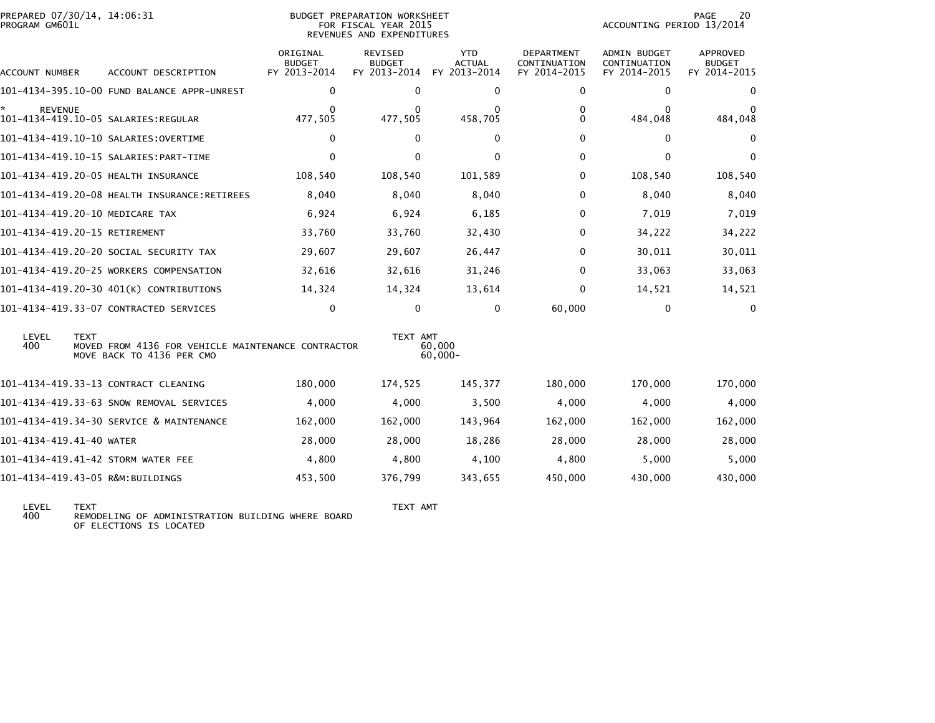| PREPARED 07/30/14, 14:06:31<br>PROGRAM GM601L |             |                                                                                 | BUDGET PREPARATION WORKSHEET<br>FOR FISCAL YEAR 2015<br>REVENUES AND EXPENDITURES |                          |                             |                                   | PAGE<br>20<br>ACCOUNTING PERIOD 13/2014 |                           |  |
|-----------------------------------------------|-------------|---------------------------------------------------------------------------------|-----------------------------------------------------------------------------------|--------------------------|-----------------------------|-----------------------------------|-----------------------------------------|---------------------------|--|
|                                               |             |                                                                                 | ORIGINAL<br><b>BUDGET</b>                                                         | REVISED<br><b>BUDGET</b> | <b>YTD</b><br><b>ACTUAL</b> | <b>DEPARTMENT</b><br>CONTINUATION | <b>ADMIN BUDGET</b><br>CONTINUATION     | APPROVED<br><b>BUDGET</b> |  |
| ACCOUNT NUMBER                                |             | ACCOUNT DESCRIPTION                                                             | FY 2013-2014                                                                      | FY 2013-2014             | FY 2013-2014                | FY 2014-2015                      | FY 2014-2015                            | FY 2014-2015              |  |
|                                               |             | 101-4134-395.10-00 FUND BALANCE APPR-UNREST                                     | 0                                                                                 | $\Omega$                 | $\mathbf{0}$                | 0                                 | $\Omega$                                | $\mathbf{0}$              |  |
| <b>REVENUE</b>                                |             |                                                                                 | 477,505                                                                           | 0<br>477,505             | 458,705                     | 0<br>$\Omega$                     | 0<br>484,048                            | 0<br>484,048              |  |
|                                               |             | 101-4134-419.10-10 SALARIES:OVERTIME                                            | $\mathbf 0$                                                                       | 0                        | $\mathbf{0}$                | $\mathbf 0$                       | $\mathbf{0}$                            | $\mathbf 0$               |  |
|                                               |             |                                                                                 | $\mathbf 0$                                                                       | $\Omega$                 | $\mathbf{0}$                | $\mathbf 0$                       | $\mathbf{0}$                            | $\mathbf 0$               |  |
|                                               |             | 101-4134-419.20-05 HEALTH INSURANCE                                             | 108,540                                                                           | 108,540                  | 101,589                     | 0                                 | 108,540                                 | 108,540                   |  |
|                                               |             | 101-4134-419.20-08 HEALTH INSURANCE:RETIREES                                    | 8,040                                                                             | 8,040                    | 8,040                       | 0                                 | 8,040                                   | 8,040                     |  |
|                                               |             | 101-4134-419.20-10 MEDICARE TAX                                                 | 6,924                                                                             | 6,924                    | 6,185                       | $\mathbf{0}$                      | 7,019                                   | 7,019                     |  |
| 101-4134-419.20-15 RETIREMENT                 |             |                                                                                 | 33,760                                                                            | 33,760                   | 32,430                      | $\Omega$                          | 34,222                                  | 34,222                    |  |
|                                               |             | 101-4134-419.20-20 SOCIAL SECURITY TAX                                          | 29,607                                                                            | 29,607                   | 26,447                      | $\mathbf{0}$                      | 30,011                                  | 30,011                    |  |
|                                               |             | 101-4134-419.20-25 WORKERS COMPENSATION                                         | 32,616                                                                            | 32,616                   | 31,246                      | $\Omega$                          | 33,063                                  | 33,063                    |  |
|                                               |             | 101-4134-419.20-30 401(K) CONTRIBUTIONS                                         | 14,324                                                                            | 14,324                   | 13,614                      | 0                                 | 14,521                                  | 14,521                    |  |
|                                               |             | 101-4134-419.33-07 CONTRACTED SERVICES                                          | 0                                                                                 | $\Omega$                 | $\mathbf{0}$                | 60,000                            | 0                                       | $\mathbf{0}$              |  |
| LEVEL<br>400                                  | <b>TEXT</b> | MOVED FROM 4136 FOR VEHICLE MAINTENANCE CONTRACTOR<br>MOVE BACK TO 4136 PER CMO |                                                                                   | TEXT AMT                 | 60,000<br>$60,000 -$        |                                   |                                         |                           |  |
|                                               |             | 101-4134-419.33-13 CONTRACT CLEANING                                            | 180,000                                                                           | 174,525                  | 145,377                     | 180,000                           | 170,000                                 | 170,000                   |  |
|                                               |             | 101-4134-419.33-63 SNOW REMOVAL SERVICES                                        | 4,000                                                                             | 4,000                    | 3,500                       | 4,000                             | 4,000                                   | 4,000                     |  |
|                                               |             | 101-4134-419.34-30 SERVICE & MAINTENANCE                                        | 162,000                                                                           | 162,000                  | 143,964                     | 162,000                           | 162,000                                 | 162,000                   |  |
| 101-4134-419.41-40 WATER                      |             |                                                                                 | 28,000                                                                            | 28,000                   | 18,286                      | 28,000                            | 28,000                                  | 28,000                    |  |
|                                               |             | 101-4134-419.41-42 STORM WATER FEE                                              | 4,800                                                                             | 4,800                    | 4,100                       | 4,800                             | 5,000                                   | 5,000                     |  |
|                                               |             | 101-4134-419.43-05 R&M:BUILDINGS                                                | 453,500                                                                           | 376,799                  | 343,655                     | 450,000                           | 430,000                                 | 430,000                   |  |

LEVEL TEXT TEXT AMT 400 REMODELING OF ADMINISTRATION BUILDING WHERE BOARD OF ELECTIONS IS LOCATED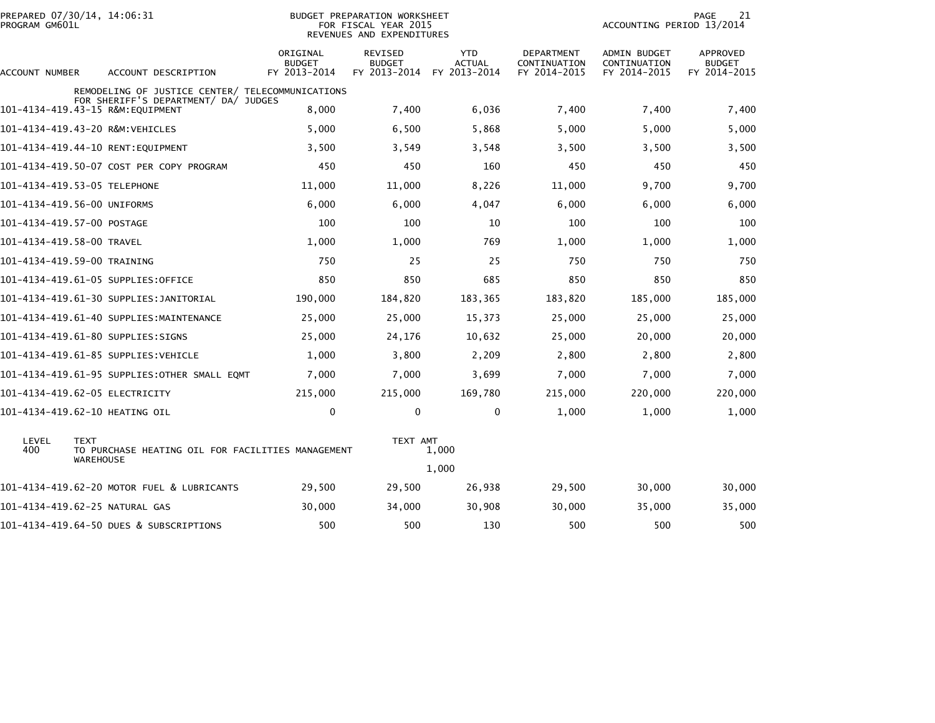| PROGRAM GM601L            | PREPARED 07/30/14, 14:06:31                                              |                                                   | BUDGET PREPARATION WORKSHEET<br>FOR FISCAL YEAR 2015<br>REVENUES AND EXPENDITURES | 21<br><b>PAGE</b><br>ACCOUNTING PERIOD 13/2014 |                                            |                                              |                                           |
|---------------------------|--------------------------------------------------------------------------|---------------------------------------------------|-----------------------------------------------------------------------------------|------------------------------------------------|--------------------------------------------|----------------------------------------------|-------------------------------------------|
| ACCOUNT NUMBER            | ACCOUNT DESCRIPTION                                                      | ORIGINAL<br><b>BUDGET</b><br>FY 2013-2014         | REVISED<br><b>BUDGET</b><br>FY 2013-2014                                          | <b>YTD</b><br><b>ACTUAL</b><br>FY 2013-2014    | DEPARTMENT<br>CONTINUATION<br>FY 2014-2015 | ADMIN BUDGET<br>CONTINUATION<br>FY 2014-2015 | APPROVED<br><b>BUDGET</b><br>FY 2014-2015 |
|                           |                                                                          | REMODELING OF JUSTICE CENTER/ TELECOMMUNICATIONS  |                                                                                   |                                                |                                            |                                              |                                           |
|                           | FOR SHERIFF'S DEPARTMENT/ DA/ JUDGES<br>101-4134-419.43-15 R&M:EQUIPMENT | 8,000                                             | 7,400                                                                             | 6,036                                          | 7,400                                      | 7,400                                        | 7,400                                     |
|                           | 101-4134-419.43-20 R&M:VEHICLES                                          | 5,000                                             | 6,500                                                                             | 5,868                                          | 5.000                                      | 5,000                                        | 5,000                                     |
|                           | 101-4134-419.44-10 RENT:EQUIPMENT                                        | 3,500                                             | 3,549                                                                             | 3,548                                          | 3,500                                      | 3,500                                        | 3,500                                     |
|                           | 101-4134-419.50-07 COST PER COPY PROGRAM                                 | 450                                               | 450                                                                               | 160                                            | 450                                        | 450                                          | 450                                       |
|                           | 101-4134-419.53-05 TELEPHONE                                             | 11,000                                            | 11,000                                                                            | 8,226                                          | 11,000                                     | 9,700                                        | 9,700                                     |
|                           | 101-4134-419.56-00 UNIFORMS                                              | 6,000                                             | 6,000                                                                             | 4,047                                          | 6,000                                      | 6,000                                        | 6,000                                     |
|                           | 101-4134-419.57-00 POSTAGE                                               | 100                                               | 100                                                                               | 10                                             | 100                                        | 100                                          | 100                                       |
| 101–4134–419.58–00 TRAVEL |                                                                          | 1,000                                             | 1,000                                                                             | 769                                            | 1,000                                      | 1,000                                        | 1,000                                     |
|                           | 101-4134-419.59-00 TRAINING                                              | 750                                               | 25                                                                                | 25                                             | 750                                        | 750                                          | 750                                       |
|                           | 101-4134-419.61-05 SUPPLIES:OFFICE                                       | 850                                               | 850                                                                               | 685                                            | 850                                        | 850                                          | 850                                       |
|                           | 101–4134–419.61–30 SUPPLIES:JANITORIAL                                   | 190,000                                           | 184,820                                                                           | 183,365                                        | 183,820                                    | 185,000                                      | 185,000                                   |
|                           | 101-4134-419.61-40 SUPPLIES:MAINTENANCE                                  | 25,000                                            | 25,000                                                                            | 15,373                                         | 25,000                                     | 25,000                                       | 25,000                                    |
|                           | 101–4134–419.61–80 SUPPLIES:SIGNS                                        | 25,000                                            | 24,176                                                                            | 10,632                                         | 25,000                                     | 20,000                                       | 20,000                                    |
|                           | 101-4134-419.61-85 SUPPLIES:VEHICLE                                      | 1.000                                             | 3,800                                                                             | 2,209                                          | 2,800                                      | 2,800                                        | 2,800                                     |
|                           | 101-4134-419.61-95 SUPPLIES:OTHER SMALL EQMT                             | 7,000                                             | 7,000                                                                             | 3,699                                          | 7,000                                      | 7,000                                        | 7,000                                     |
|                           | 101–4134–419.62–05 ELECTRICITY                                           | 215,000                                           | 215,000                                                                           | 169,780                                        | 215,000                                    | 220,000                                      | 220,000                                   |
|                           | 101-4134-419.62-10 HEATING OIL                                           | 0                                                 | 0                                                                                 | 0                                              | 1,000                                      | 1,000                                        | 1,000                                     |
| LEVEL<br>400              | <b>TEXT</b><br><b>WAREHOUSE</b>                                          | TO PURCHASE HEATING OIL FOR FACILITIES MANAGEMENT | TEXT AMT                                                                          | 1,000                                          |                                            |                                              |                                           |
|                           |                                                                          |                                                   |                                                                                   | 1,000                                          |                                            |                                              |                                           |
|                           | 101-4134-419.62-20 MOTOR FUEL & LUBRICANTS                               | 29,500                                            | 29,500                                                                            | 26,938                                         | 29,500                                     | 30,000                                       | 30,000                                    |
|                           | 101-4134-419.62-25 NATURAL GAS                                           | 30,000                                            | 34,000                                                                            | 30,908                                         | 30,000                                     | 35,000                                       | 35,000                                    |
|                           | 101-4134-419.64-50 DUES & SUBSCRIPTIONS                                  | 500                                               | 500                                                                               | 130                                            | 500                                        | 500                                          | 500                                       |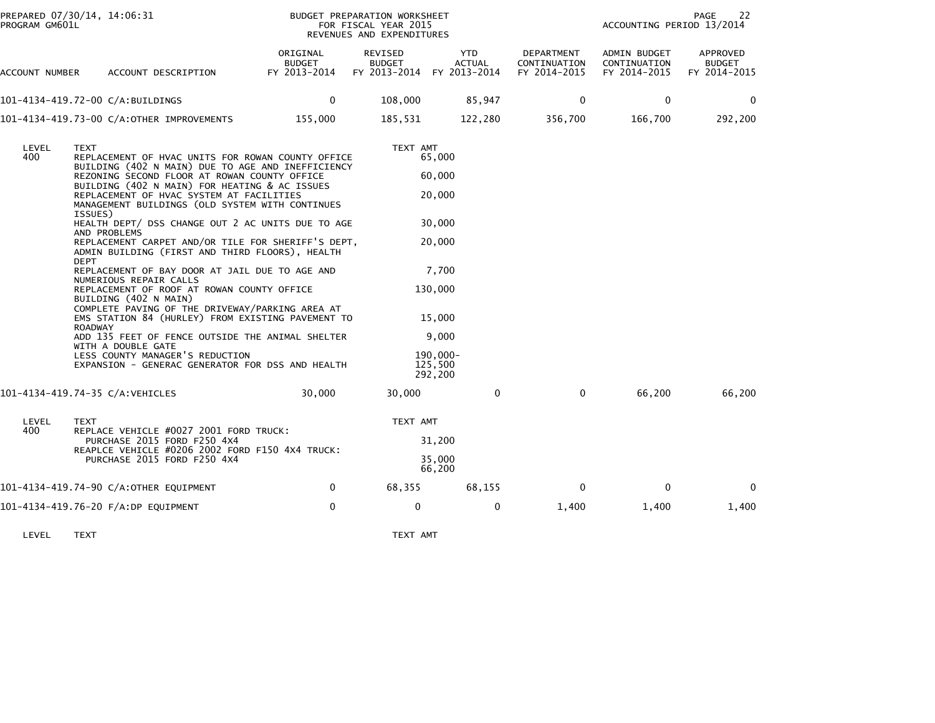| PREPARED 07/30/14, 14:06:31<br>PROGRAM GM601L |                |                                                 |                                                                                               |                                                                                                        | BUDGET PREPARATION WORKSHEET<br>FOR FISCAL YEAR 2015<br>REVENUES AND EXPENDITURES |                                      |                                            | ACCOUNTING PERIOD 13/2014                    | 22<br>PAGE                                       |
|-----------------------------------------------|----------------|-------------------------------------------------|-----------------------------------------------------------------------------------------------|--------------------------------------------------------------------------------------------------------|-----------------------------------------------------------------------------------|--------------------------------------|--------------------------------------------|----------------------------------------------|--------------------------------------------------|
| ACCOUNT NUMBER                                |                | ACCOUNT DESCRIPTION                             |                                                                                               | ORIGINAL<br>BUDGET<br>FY 2013-2014                                                                     | REVISED<br><b>BUDGET</b><br>FY 2013-2014                                          | YTD<br><b>ACTUAL</b><br>FY 2013-2014 | DEPARTMENT<br>CONTINUATION<br>FY 2014-2015 | ADMIN BUDGET<br>CONTINUATION<br>FY 2014-2015 | <b>APPROVED</b><br><b>BUDGET</b><br>FY 2014-2015 |
| 101-4134-419.72-00 C/A:BUILDINGS              |                |                                                 |                                                                                               | $\mathbf{0}$                                                                                           | 108,000                                                                           | 85,947                               | $\Omega$                                   | $\mathbf{0}$                                 | $\Omega$                                         |
| 101-4134-419.73-00 C/A:OTHER IMPROVEMENTS     |                |                                                 |                                                                                               | 155,000                                                                                                | 185,531                                                                           | 122,280                              | 356,700                                    | 166,700                                      | 292,200                                          |
| LEVEL<br>400                                  | <b>TEXT</b>    |                                                 | REZONING SECOND FLOOR AT ROWAN COUNTY OFFICE<br>BUILDING (402 N MAIN) FOR HEATING & AC ISSUES | REPLACEMENT OF HVAC UNITS FOR ROWAN COUNTY OFFICE<br>BUILDING (402 N MAIN) DUE TO AGE AND INEFFICIENCY | TEXT AMT                                                                          | 65,000<br>60,000                     |                                            |                                              |                                                  |
|                                               | ISSUES)        |                                                 | REPLACEMENT OF HVAC SYSTEM AT FACILITIES                                                      | MANAGEMENT BUILDINGS (OLD SYSTEM WITH CONTINUES<br>HEALTH DEPT/ DSS CHANGE OUT 2 AC UNITS DUE TO AGE   |                                                                                   | 20,000<br>30,000                     |                                            |                                              |                                                  |
|                                               |                | AND PROBLEMS                                    |                                                                                               | REPLACEMENT CARPET AND/OR TILE FOR SHERIFF'S DEPT,<br>ADMIN BUILDING (FIRST AND THIRD FLOORS), HEALTH  |                                                                                   | 20,000                               |                                            |                                              |                                                  |
|                                               | <b>DEPT</b>    |                                                 | REPLACEMENT OF BAY DOOR AT JAIL DUE TO AGE AND                                                |                                                                                                        |                                                                                   | 7,700                                |                                            |                                              |                                                  |
|                                               |                | NUMERIOUS REPAIR CALLS<br>BUILDING (402 N MAIN) | REPLACEMENT OF ROOF AT ROWAN COUNTY OFFICE                                                    |                                                                                                        |                                                                                   | 130,000                              |                                            |                                              |                                                  |
|                                               | <b>ROADWAY</b> |                                                 |                                                                                               | COMPLETE PAVING OF THE DRIVEWAY/PARKING AREA AT<br>EMS STATION 84 (HURLEY) FROM EXISTING PAVEMENT TO   |                                                                                   | 15,000                               |                                            |                                              |                                                  |
|                                               |                | WITH A DOUBLE GATE                              |                                                                                               | ADD 135 FEET OF FENCE OUTSIDE THE ANIMAL SHELTER                                                       |                                                                                   | 9,000                                |                                            |                                              |                                                  |
|                                               |                |                                                 | LESS COUNTY MANAGER'S REDUCTION                                                               | EXPANSION - GENERAC GENERATOR FOR DSS AND HEALTH                                                       |                                                                                   | 190,000-<br>125,500<br>292,200       |                                            |                                              |                                                  |
| 101-4134-419.74-35 C/A:VEHICLES               |                |                                                 |                                                                                               | 30,000                                                                                                 | 30,000                                                                            |                                      | 0<br>$\mathbf{0}$                          | 66,200                                       | 66,200                                           |
| LEVEL                                         | <b>TEXT</b>    |                                                 |                                                                                               |                                                                                                        | TEXT AMT                                                                          |                                      |                                            |                                              |                                                  |
| 400                                           |                |                                                 | REPLACE VEHICLE #0027 2001 FORD TRUCK:<br>PURCHASE 2015 FORD F250 4X4                         | REAPLCE VEHICLE #0206 2002 FORD F150 4X4 TRUCK:                                                        |                                                                                   | 31,200                               |                                            |                                              |                                                  |
|                                               |                |                                                 | PURCHASE 2015 FORD F250 4X4                                                                   |                                                                                                        |                                                                                   | 35.000<br>66,200                     |                                            |                                              |                                                  |
| 101-4134-419.74-90 C/A:OTHER EQUIPMENT        |                |                                                 |                                                                                               | 0                                                                                                      | 68,355                                                                            | 68,155                               | $\mathbf 0$                                | $\mathbf 0$                                  | $\mathbf{0}$                                     |
| 101-4134-419.76-20 F/A:DP EQUIPMENT           |                |                                                 |                                                                                               | 0                                                                                                      | $\Omega$                                                                          |                                      | 0<br>1,400                                 | 1,400                                        | 1,400                                            |
|                                               |                |                                                 |                                                                                               |                                                                                                        |                                                                                   |                                      |                                            |                                              |                                                  |

LEVEL TEXT TEXT AMT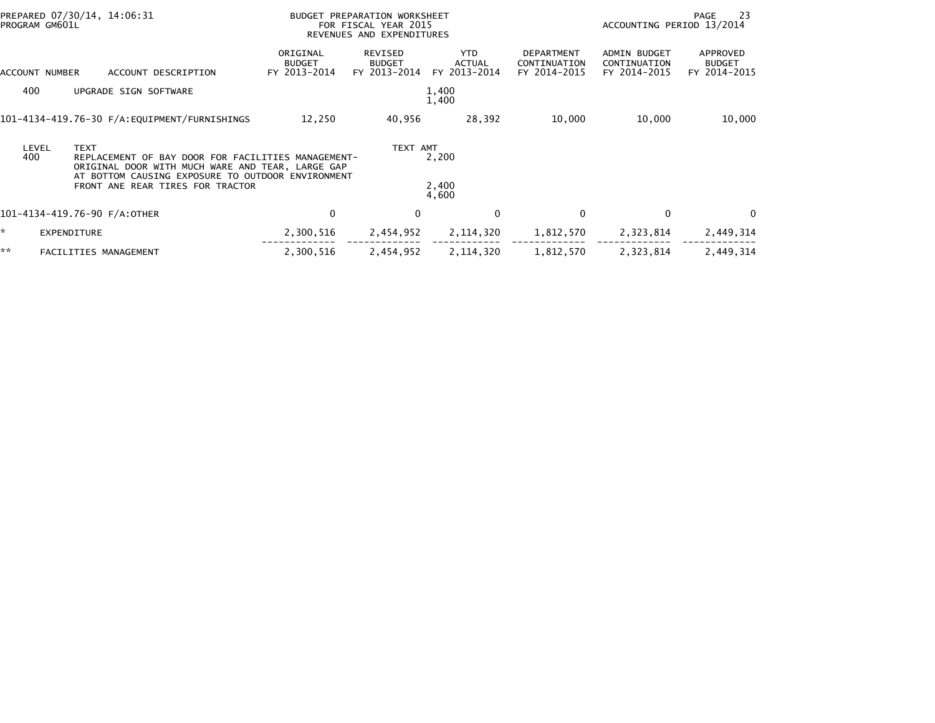| PROGRAM GM601L |                    | PREPARED 07/30/14, 14:06:31                                                                                                                                                                     | BUDGET PREPARATION WORKSHEET<br>FOR FISCAL YEAR 2015<br>REVENUES AND EXPENDITURES |                                          |                                       |                                            | - 23<br>PAGE<br>ACCOUNTING PERIOD 13/2014    |                                           |  |
|----------------|--------------------|-------------------------------------------------------------------------------------------------------------------------------------------------------------------------------------------------|-----------------------------------------------------------------------------------|------------------------------------------|---------------------------------------|--------------------------------------------|----------------------------------------------|-------------------------------------------|--|
| ACCOUNT NUMBER |                    | ACCOUNT DESCRIPTION                                                                                                                                                                             | ORIGINAL<br><b>BUDGET</b><br>FY 2013-2014                                         | REVISED<br><b>BUDGET</b><br>FY 2013-2014 | YTD.<br><b>ACTUAL</b><br>FY 2013-2014 | DEPARTMENT<br>CONTINUATION<br>FY 2014-2015 | ADMIN BUDGET<br>CONTINUATION<br>FY 2014-2015 | APPROVED<br><b>BUDGET</b><br>FY 2014-2015 |  |
| 400            |                    | UPGRADE SIGN SOFTWARE                                                                                                                                                                           |                                                                                   |                                          | 1,400<br>1,400                        |                                            |                                              |                                           |  |
|                |                    | 101-4134-419.76-30 F/A:EQUIPMENT/FURNISHINGS                                                                                                                                                    | 12,250                                                                            | 40,956                                   | 28,392                                | 10,000                                     | 10,000                                       | 10,000                                    |  |
| LEVEL<br>400   | <b>TEXT</b>        | REPLACEMENT OF BAY DOOR FOR FACILITIES MANAGEMENT-<br>ORIGINAL DOOR WITH MUCH WARE AND TEAR, LARGE GAP<br>AT BOTTOM CAUSING EXPOSURE TO OUTDOOR ENVIRONMENT<br>FRONT ANE REAR TIRES FOR TRACTOR |                                                                                   | TEXT AMT                                 | 2,200<br>2,400<br>4,600               |                                            |                                              |                                           |  |
|                |                    | 101-4134-419.76-90 F/A:OTHER                                                                                                                                                                    | 0                                                                                 | $\mathbf{0}$                             | $\mathbf{0}$                          | 0                                          | $\Omega$                                     | $\Omega$                                  |  |
| ×.             | <b>EXPENDITURE</b> |                                                                                                                                                                                                 | 2,300,516                                                                         | 2,454,952                                | 2,114,320                             | 1,812,570                                  | 2,323,814                                    | 2,449,314                                 |  |
| **             |                    | FACILITIES MANAGEMENT                                                                                                                                                                           | 2,300,516                                                                         | 2,454,952                                | 2, 114, 320                           | 1,812,570                                  | 2,323,814                                    | 2,449,314                                 |  |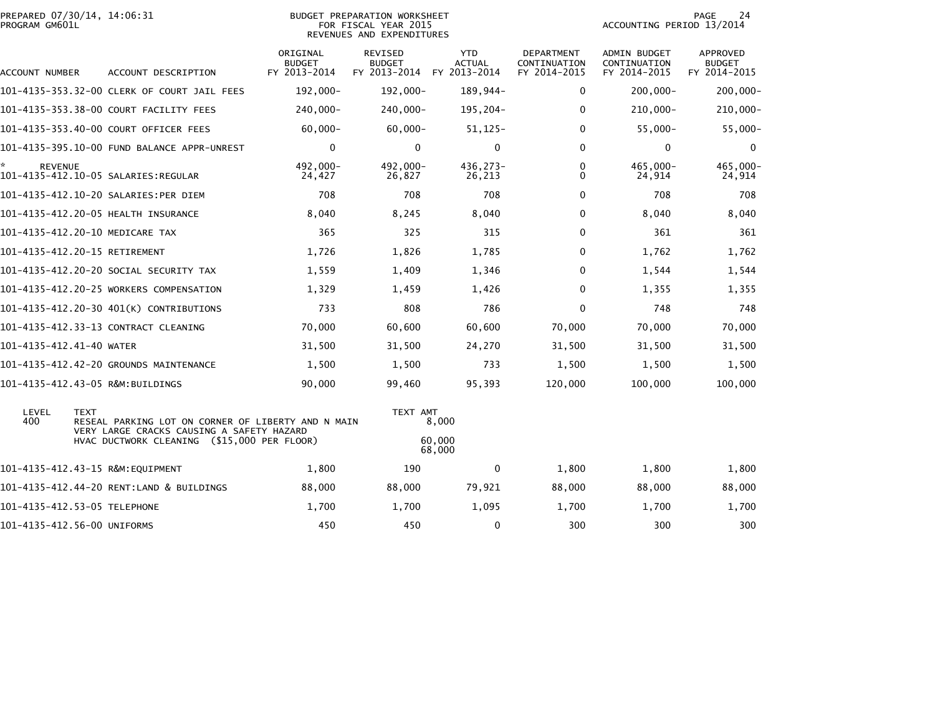| PROGRAM GM601L           | PREPARED 07/30/14, 14:06:31                                                                                    | <b>BUDGET PREPARATION WORKSHEET</b><br>FOR FISCAL YEAR 2015<br>REVENUES AND EXPENDITURES |                                                       |                             |                                            | PAGE<br>24<br>ACCOUNTING PERIOD 13/2014      |                                           |  |
|--------------------------|----------------------------------------------------------------------------------------------------------------|------------------------------------------------------------------------------------------|-------------------------------------------------------|-----------------------------|--------------------------------------------|----------------------------------------------|-------------------------------------------|--|
| ACCOUNT NUMBER           | ACCOUNT DESCRIPTION                                                                                            | ORIGINAL<br><b>BUDGET</b><br>FY 2013-2014                                                | REVISED<br><b>BUDGET</b><br>FY 2013-2014 FY 2013-2014 | <b>YTD</b><br><b>ACTUAL</b> | DEPARTMENT<br>CONTINUATION<br>FY 2014-2015 | ADMIN BUDGET<br>CONTINUATION<br>FY 2014-2015 | APPROVED<br><b>BUDGET</b><br>FY 2014-2015 |  |
|                          | 101-4135-353.32-00 CLERK OF COURT JAIL FEES                                                                    | $192,000 -$                                                                              | $192,000 -$                                           | 189,944-                    | 0                                          | $200,000 -$                                  | $200,000 -$                               |  |
|                          | 101-4135-353.38-00 COURT FACILITY FEES                                                                         | 240,000-                                                                                 | 240,000-                                              | 195,204-                    | $\Omega$                                   | $210,000 -$                                  | $210,000 -$                               |  |
|                          | 101-4135-353.40-00 COURT OFFICER FEES                                                                          | $60,000 -$                                                                               | $60,000 -$                                            | $51, 125 -$                 | 0                                          | $55,000 -$                                   | $55,000 -$                                |  |
|                          | 101-4135-395.10-00 FUND BALANCE APPR-UNREST                                                                    | $\mathbf 0$                                                                              | 0                                                     | 0                           | $\Omega$                                   | 0                                            | 0                                         |  |
| <b>REVENUE</b>           |                                                                                                                | 492,000-<br>24,427                                                                       | 492.000-<br>26,827                                    | 436,273-<br>26,213          | 0<br>$\Omega$                              | 465,000-<br>24,914                           | 465,000-<br>24,914                        |  |
|                          | 101-4135-412.10-20 SALARIES:PER DIEM                                                                           | 708                                                                                      | 708                                                   | 708                         | $\Omega$                                   | 708                                          | 708                                       |  |
|                          | 101-4135-412.20-05 HEALTH INSURANCE                                                                            | 8,040                                                                                    | 8,245                                                 | 8,040                       | $\Omega$                                   | 8,040                                        | 8,040                                     |  |
|                          | 101-4135-412.20-10 MEDICARE TAX                                                                                | 365                                                                                      | 325                                                   | 315                         | $\Omega$                                   | 361                                          | 361                                       |  |
|                          | 101-4135-412.20-15 RETIREMENT                                                                                  | 1,726                                                                                    | 1,826                                                 | 1,785                       | 0                                          | 1,762                                        | 1,762                                     |  |
|                          | 101-4135-412.20-20 SOCIAL SECURITY TAX                                                                         | 1,559                                                                                    | 1,409                                                 | 1,346                       | 0                                          | 1,544                                        | 1,544                                     |  |
|                          | 101-4135-412.20-25 WORKERS COMPENSATION                                                                        | 1,329                                                                                    | 1,459                                                 | 1,426                       | $\Omega$                                   | 1,355                                        | 1,355                                     |  |
|                          | 101-4135-412.20-30 401(K) CONTRIBUTIONS                                                                        | 733                                                                                      | 808                                                   | 786                         | $\Omega$                                   | 748                                          | 748                                       |  |
|                          | 101-4135-412.33-13 CONTRACT CLEANING                                                                           | 70,000                                                                                   | 60,600                                                | 60,600                      | 70,000                                     | 70,000                                       | 70,000                                    |  |
| 101-4135-412.41-40 WATER |                                                                                                                | 31,500                                                                                   | 31,500                                                | 24,270                      | 31,500                                     | 31,500                                       | 31,500                                    |  |
|                          | 101-4135-412.42-20 GROUNDS MAINTENANCE                                                                         | 1,500                                                                                    | 1,500                                                 | 733                         | 1,500                                      | 1,500                                        | 1,500                                     |  |
|                          | 101-4135-412.43-05 R&M:BUILDINGS                                                                               | 90,000                                                                                   | 99,460                                                | 95,393                      | 120,000                                    | 100,000                                      | 100,000                                   |  |
| LEVEL<br>400             | <b>TEXT</b><br>RESEAL PARKING LOT ON CORNER OF LIBERTY AND N MAIN<br>VERY LARGE CRACKS CAUSING A SAFETY HAZARD |                                                                                          | TEXT AMT                                              | 8,000                       |                                            |                                              |                                           |  |
|                          | HVAC DUCTWORK CLEANING (\$15,000 PER FLOOR)                                                                    |                                                                                          |                                                       | 60,000<br>68,000            |                                            |                                              |                                           |  |
|                          | 101-4135-412.43-15 R&M:EQUIPMENT                                                                               | 1,800                                                                                    | 190                                                   | 0                           | 1,800                                      | 1,800                                        | 1,800                                     |  |
|                          | 101-4135-412.44-20 RENT:LAND & BUILDINGS                                                                       | 88,000                                                                                   | 88,000                                                | 79,921                      | 88,000                                     | 88,000                                       | 88,000                                    |  |
|                          | 101-4135-412.53-05 TELEPHONE                                                                                   | 1,700                                                                                    | 1,700                                                 | 1,095                       | 1,700                                      | 1,700                                        | 1,700                                     |  |
|                          | 101-4135-412.56-00 UNIFORMS                                                                                    | 450                                                                                      | 450                                                   | 0                           | 300                                        | 300                                          | 300                                       |  |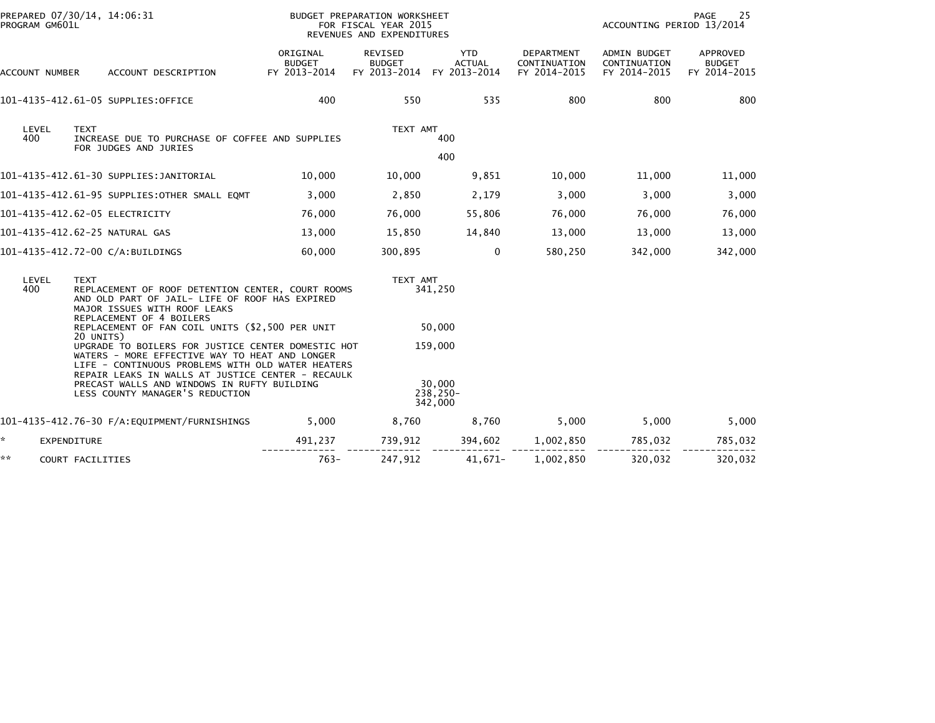| PROGRAM GM601L | PREPARED 07/30/14, 14:06:31                                                                                                                                                                                                                                                                      |                                           | BUDGET PREPARATION WORKSHEET<br>FOR FISCAL YEAR 2015<br>REVENUES AND EXPENDITURES |                                      | PAGE<br>25<br>ACCOUNTING PERIOD 13/2014           |                                              |                                           |
|----------------|--------------------------------------------------------------------------------------------------------------------------------------------------------------------------------------------------------------------------------------------------------------------------------------------------|-------------------------------------------|-----------------------------------------------------------------------------------|--------------------------------------|---------------------------------------------------|----------------------------------------------|-------------------------------------------|
| ACCOUNT NUMBER | ACCOUNT DESCRIPTION                                                                                                                                                                                                                                                                              | ORIGINAL<br><b>BUDGET</b><br>FY 2013-2014 | REVISED<br><b>BUDGET</b><br>FY 2013-2014                                          | <b>YTD</b><br>ACTUAL<br>FY 2013-2014 | <b>DEPARTMENT</b><br>CONTINUATION<br>FY 2014-2015 | ADMIN BUDGET<br>CONTINUATION<br>FY 2014-2015 | APPROVED<br><b>BUDGET</b><br>FY 2014-2015 |
|                | 101-4135-412.61-05 SUPPLIES:OFFICE                                                                                                                                                                                                                                                               | 400                                       | 550                                                                               | 535                                  | 800                                               | 800                                          | 800                                       |
| LEVEL<br>400   | <b>TEXT</b><br>INCREASE DUE TO PURCHASE OF COFFEE AND SUPPLIES<br>FOR JUDGES AND JURIES                                                                                                                                                                                                          |                                           | TEXT AMT                                                                          | 400<br>400                           |                                                   |                                              |                                           |
|                | 101-4135-412.61-30 SUPPLIES:JANITORIAL                                                                                                                                                                                                                                                           | 10,000                                    | 10,000                                                                            | 9,851                                | 10,000                                            | 11,000                                       | 11,000                                    |
|                | 101-4135-412.61-95 SUPPLIES:OTHER SMALL EQMT                                                                                                                                                                                                                                                     | 3,000                                     | 2,850                                                                             | 2,179                                | 3,000                                             | 3,000                                        | 3,000                                     |
|                | 101-4135-412.62-05 ELECTRICITY                                                                                                                                                                                                                                                                   | 76,000                                    | 76,000                                                                            | 55,806                               | 76,000                                            | 76,000                                       | 76,000                                    |
|                | 101-4135-412.62-25 NATURAL GAS                                                                                                                                                                                                                                                                   | 13,000                                    | 15,850                                                                            | 14,840                               | 13,000                                            | 13,000                                       | 13,000                                    |
|                | 101-4135-412.72-00 C/A:BUILDINGS                                                                                                                                                                                                                                                                 | 60,000                                    | 300,895                                                                           | $\mathbf 0$                          | 580,250                                           | 342,000                                      | 342,000                                   |
| LEVEL<br>400   | <b>TEXT</b><br>REPLACEMENT OF ROOF DETENTION CENTER, COURT ROOMS<br>AND OLD PART OF JAIL- LIFE OF ROOF HAS EXPIRED<br>MAJOR ISSUES WITH ROOF LEAKS<br>REPLACEMENT OF 4 BOILERS<br>REPLACEMENT OF FAN COIL UNITS (\$2,500 PER UNIT<br>20 UNITS)                                                   |                                           | TEXT AMT                                                                          | 341,250<br>50,000                    |                                                   |                                              |                                           |
|                | UPGRADE TO BOILERS FOR JUSTICE CENTER DOMESTIC HOT<br>WATERS - MORE EFFECTIVE WAY TO HEAT AND LONGER<br>LIFE - CONTINUOUS PROBLEMS WITH OLD WATER HEATERS<br>REPAIR LEAKS IN WALLS AT JUSTICE CENTER - RECAULK<br>PRECAST WALLS AND WINDOWS IN RUFTY BUILDING<br>LESS COUNTY MANAGER'S REDUCTION |                                           | 159,000<br>30,000<br>238,250-<br>342,000                                          |                                      |                                                   |                                              |                                           |
|                |                                                                                                                                                                                                                                                                                                  | 5,000                                     | 8,760                                                                             | 8,760                                | 5,000                                             | 5,000                                        | 5,000                                     |
| ☆.             | EXPENDITURE                                                                                                                                                                                                                                                                                      | 491,237                                   | 739,912                                                                           | 394,602                              | 1,002,850                                         | 785,032                                      | 785,032                                   |
| **             | COURT FACILITIES                                                                                                                                                                                                                                                                                 | $763-$                                    | 247,912                                                                           | $41,671-$                            | 1,002,850                                         | 320,032                                      | 320,032                                   |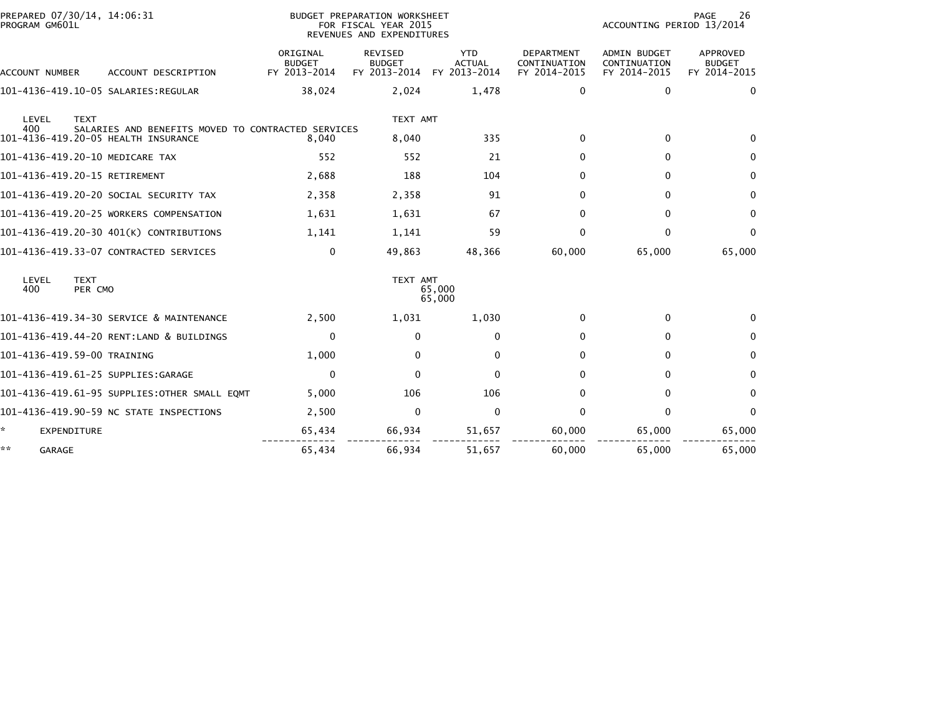| PREPARED 07/30/14, 14:06:31<br>PROGRAM GM601L |                                                    |                                           | BUDGET PREPARATION WORKSHEET<br>FOR FISCAL YEAR 2015<br>REVENUES AND EXPENDITURES |                                             | 26<br>PAGE<br>ACCOUNTING PERIOD 13/2014           |                                                     |                                                  |  |
|-----------------------------------------------|----------------------------------------------------|-------------------------------------------|-----------------------------------------------------------------------------------|---------------------------------------------|---------------------------------------------------|-----------------------------------------------------|--------------------------------------------------|--|
| ACCOUNT NUMBER                                | ACCOUNT DESCRIPTION                                | ORIGINAL<br><b>BUDGET</b><br>FY 2013-2014 | <b>REVISED</b><br><b>BUDGET</b><br>FY 2013-2014                                   | <b>YTD</b><br><b>ACTUAL</b><br>FY 2013-2014 | <b>DEPARTMENT</b><br>CONTINUATION<br>FY 2014-2015 | <b>ADMIN BUDGET</b><br>CONTINUATION<br>FY 2014-2015 | <b>APPROVED</b><br><b>BUDGET</b><br>FY 2014-2015 |  |
|                                               |                                                    | 38,024                                    | 2,024                                                                             | 1,478                                       | 0                                                 | 0                                                   | $\mathbf{0}$                                     |  |
| LEVEL<br><b>TEXT</b><br>400                   | SALARIES AND BENEFITS MOVED TO CONTRACTED SERVICES |                                           | TEXT AMT                                                                          |                                             |                                                   |                                                     |                                                  |  |
| 101-4136-419.20-05 HEALTH INSURANCE           |                                                    | 8,040                                     | 8,040                                                                             | 335                                         | $\mathbf{0}$                                      | $\mathbf 0$                                         | 0                                                |  |
| 101-4136-419.20-10 MEDICARE TAX               |                                                    | 552                                       | 552                                                                               | 21                                          | $\mathbf{0}$                                      | $\mathbf{0}$                                        | $\mathbf{0}$                                     |  |
| 101-4136-419.20-15 RETIREMENT                 |                                                    | 2,688                                     | 188                                                                               | 104                                         | 0                                                 | 0                                                   | $\mathbf{0}$                                     |  |
| 101-4136-419.20-20 SOCIAL SECURITY TAX        |                                                    | 2,358                                     | 2,358                                                                             | 91                                          | $\Omega$                                          | $\mathbf{0}$                                        | $\mathbf{0}$                                     |  |
| 101-4136-419.20-25 WORKERS COMPENSATION       |                                                    | 1,631                                     | 1,631                                                                             | 67                                          | $\mathbf{0}$                                      | $\mathbf{0}$                                        | $\mathbf{0}$                                     |  |
| 101-4136-419.20-30 401(K) CONTRIBUTIONS       |                                                    | 1,141                                     | 1,141                                                                             | 59                                          | $\mathbf{0}$                                      | $\mathbf{0}$                                        | $\mathbf{0}$                                     |  |
| 101-4136-419.33-07 CONTRACTED SERVICES        |                                                    | $\mathbf 0$                               | 49,863                                                                            | 48,366                                      | 60,000                                            | 65,000                                              | 65,000                                           |  |
| LEVEL<br><b>TEXT</b><br>400<br>PER CMO        |                                                    |                                           | TEXT AMT                                                                          | 65,000<br>65,000                            |                                                   |                                                     |                                                  |  |
| 101-4136-419.34-30 SERVICE & MAINTENANCE      |                                                    | 2,500                                     | 1,031                                                                             | 1,030                                       | $\mathbf{0}$                                      | $\mathbf 0$                                         | 0                                                |  |
| 101-4136-419.44-20 RENT:LAND & BUILDINGS      |                                                    | $\mathbf 0$                               | $\Omega$                                                                          | 0                                           | $\Omega$                                          | $\mathbf{0}$                                        | $\mathbf{0}$                                     |  |
| 101-4136-419.59-00 TRAINING                   |                                                    | 1,000                                     | $\Omega$                                                                          | $\mathbf{0}$                                | $\Omega$                                          | $\Omega$                                            | $\Omega$                                         |  |
| 101-4136-419.61-25 SUPPLIES:GARAGE            |                                                    | $\mathbf 0$                               | $\Omega$                                                                          | $\mathbf{0}$                                | $\Omega$                                          | $\mathbf{0}$                                        | $\Omega$                                         |  |
| 101-4136-419.61-95 SUPPLIES:OTHER SMALL EOMT  |                                                    | 5,000                                     | 106                                                                               | 106                                         | $\mathbf{0}$                                      | $\mathbf{0}$                                        | $\mathbf{0}$                                     |  |
| 101-4136-419.90-59 NC STATE INSPECTIONS       |                                                    | 2,500                                     | $\mathbf{0}$                                                                      | $\mathbf 0$                                 | $\Omega$                                          | $\Omega$                                            | $\mathbf{0}$                                     |  |
| ÷.<br><b>EXPENDITURE</b>                      |                                                    | 65,434                                    | 66,934                                                                            | 51,657                                      | 60,000                                            | 65,000                                              | 65,000                                           |  |
| **<br>GARAGE                                  |                                                    | 65,434                                    | 66,934                                                                            | 51,657                                      | 60,000                                            | 65,000                                              | 65,000                                           |  |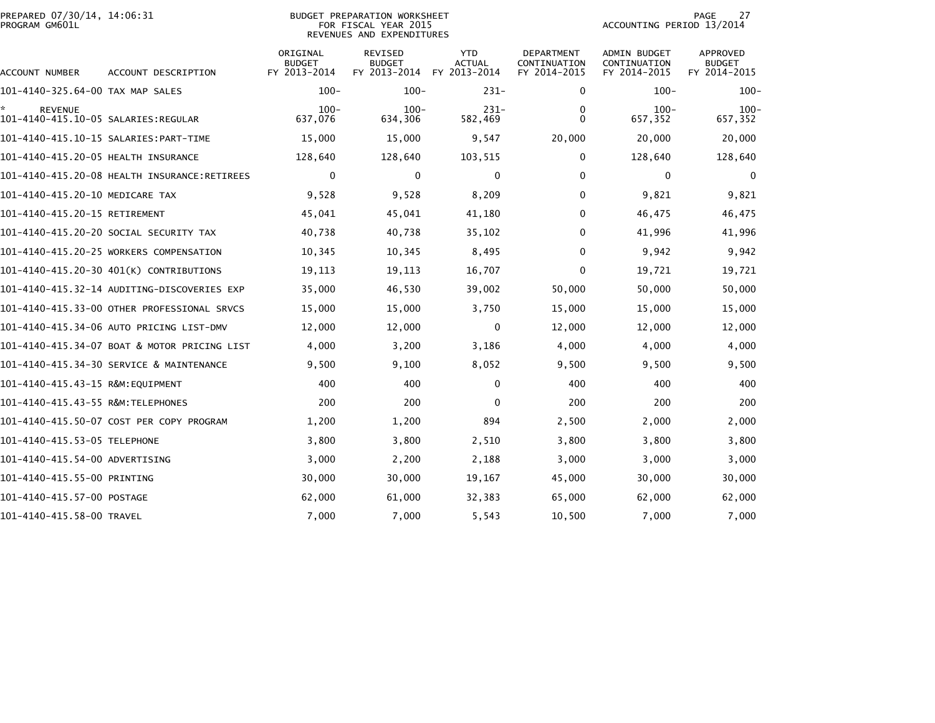| PREPARED 07/30/14, 14:06:31<br>PROGRAM GM601L         |                                              | <b>BUDGET PREPARATION WORKSHEET</b><br>FOR FISCAL YEAR 2015<br>REVENUES AND EXPENDITURES | 27<br>PAGE<br>ACCOUNTING PERIOD 13/2014  |                                             |                                            |                                              |                                                  |
|-------------------------------------------------------|----------------------------------------------|------------------------------------------------------------------------------------------|------------------------------------------|---------------------------------------------|--------------------------------------------|----------------------------------------------|--------------------------------------------------|
| ACCOUNT NUMBER                                        | ACCOUNT DESCRIPTION                          | ORIGINAL<br><b>BUDGET</b><br>FY 2013-2014                                                | REVISED<br><b>BUDGET</b><br>FY 2013-2014 | <b>YTD</b><br><b>ACTUAL</b><br>FY 2013-2014 | DEPARTMENT<br>CONTINUATION<br>FY 2014-2015 | ADMIN BUDGET<br>CONTINUATION<br>FY 2014-2015 | <b>APPROVED</b><br><b>BUDGET</b><br>FY 2014-2015 |
| 101-4140-325.64-00 TAX MAP SALES                      |                                              | $100 -$                                                                                  | $100 -$                                  | $231 -$                                     | 0                                          | $100 -$                                      | $100 -$                                          |
| <b>REVENUE</b><br>101-4140-415.10-05 SALARIES:REGULAR |                                              | $100 -$<br>637,076                                                                       | $100 -$<br>634,306                       | $231-$<br>582,469                           | 0<br>$\Omega$                              | $100 -$<br>657,352                           | $100 -$<br>657,352                               |
|                                                       |                                              | 15,000                                                                                   | 15,000                                   | 9,547                                       | 20,000                                     | 20,000                                       | 20,000                                           |
| 101-4140-415.20-05 HEALTH INSURANCE                   |                                              | 128,640                                                                                  | 128,640                                  | 103,515                                     | $\Omega$                                   | 128,640                                      | 128,640                                          |
|                                                       | 101-4140-415.20-08 HEALTH INSURANCE:RETIREES | $\mathbf 0$                                                                              | 0                                        | 0                                           | 0                                          | 0                                            | $\mathbf 0$                                      |
| 101-4140-415.20-10 MEDICARE TAX                       |                                              | 9,528                                                                                    | 9,528                                    | 8,209                                       | 0                                          | 9,821                                        | 9,821                                            |
| 101-4140-415.20-15 RETIREMENT                         |                                              | 45,041                                                                                   | 45,041                                   | 41,180                                      | 0                                          | 46,475                                       | 46,475                                           |
|                                                       | 101–4140–415.20–20 SOCIAL SECURITY TAX       | 40,738                                                                                   | 40,738                                   | 35,102                                      | 0                                          | 41,996                                       | 41,996                                           |
|                                                       | 101-4140-415.20-25 WORKERS COMPENSATION      | 10,345                                                                                   | 10,345                                   | 8,495                                       | $\Omega$                                   | 9,942                                        | 9,942                                            |
|                                                       | 101-4140-415.20-30 401(K) CONTRIBUTIONS      | 19,113                                                                                   | 19,113                                   | 16,707                                      | $\Omega$                                   | 19,721                                       | 19,721                                           |
|                                                       | 101-4140-415.32-14 AUDITING-DISCOVERIES EXP  | 35,000                                                                                   | 46,530                                   | 39,002                                      | 50,000                                     | 50,000                                       | 50,000                                           |
|                                                       | 101-4140-415.33-00 OTHER PROFESSIONAL SRVCS  | 15,000                                                                                   | 15,000                                   | 3,750                                       | 15,000                                     | 15,000                                       | 15,000                                           |
|                                                       | 101-4140-415.34-06 AUTO PRICING LIST-DMV     | 12,000                                                                                   | 12,000                                   | 0                                           | 12,000                                     | 12,000                                       | 12,000                                           |
|                                                       | 101-4140-415.34-07 BOAT & MOTOR PRICING LIST | 4,000                                                                                    | 3,200                                    | 3,186                                       | 4,000                                      | 4,000                                        | 4,000                                            |
|                                                       | 101-4140-415.34-30 SERVICE & MAINTENANCE     | 9,500                                                                                    | 9,100                                    | 8,052                                       | 9,500                                      | 9,500                                        | 9,500                                            |
| 101-4140-415.43-15 R&M:EQUIPMENT                      |                                              | 400                                                                                      | 400                                      | $\mathbf{0}$                                | 400                                        | 400                                          | 400                                              |
| 101-4140-415.43-55 R&M:TELEPHONES                     |                                              | 200                                                                                      | 200                                      | $\bf{0}$                                    | 200                                        | 200                                          | 200                                              |
|                                                       | 101-4140-415.50-07 COST PER COPY PROGRAM     | 1,200                                                                                    | 1,200                                    | 894                                         | 2,500                                      | 2,000                                        | 2,000                                            |
| 101-4140-415.53-05 TELEPHONE                          |                                              | 3,800                                                                                    | 3,800                                    | 2,510                                       | 3,800                                      | 3,800                                        | 3,800                                            |
| 101-4140-415.54-00 ADVERTISING                        |                                              | 3,000                                                                                    | 2,200                                    | 2,188                                       | 3,000                                      | 3,000                                        | 3,000                                            |
| 101-4140-415.55-00 PRINTING                           |                                              | 30,000                                                                                   | 30,000                                   | 19,167                                      | 45,000                                     | 30,000                                       | 30,000                                           |
| 101-4140-415.57-00 POSTAGE                            |                                              | 62,000                                                                                   | 61,000                                   | 32,383                                      | 65,000                                     | 62,000                                       | 62,000                                           |
| 101-4140-415.58-00 TRAVEL                             |                                              | 7,000                                                                                    | 7,000                                    | 5,543                                       | 10,500                                     | 7,000                                        | 7,000                                            |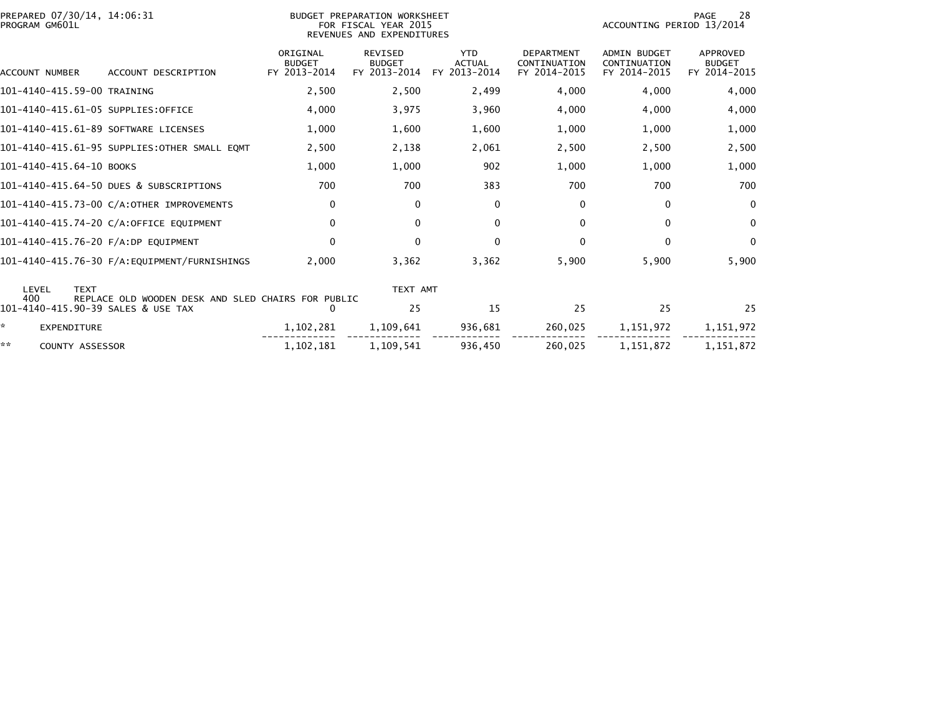| PREPARED 07/30/14, 14:06:31<br>PROGRAM GM601L |                                                                                          | BUDGET PREPARATION WORKSHEET<br>FOR FISCAL YEAR 2015<br>REVENUES AND EXPENDITURES |                                                 | PAGE<br>28<br>ACCOUNTING PERIOD 13/2014     |                                                   |                                              |                                           |
|-----------------------------------------------|------------------------------------------------------------------------------------------|-----------------------------------------------------------------------------------|-------------------------------------------------|---------------------------------------------|---------------------------------------------------|----------------------------------------------|-------------------------------------------|
| ACCOUNT NUMBER                                | ACCOUNT DESCRIPTION                                                                      | ORIGINAL<br><b>BUDGET</b><br>FY 2013-2014                                         | <b>REVISED</b><br><b>BUDGET</b><br>FY 2013-2014 | <b>YTD</b><br><b>ACTUAL</b><br>FY 2013-2014 | <b>DEPARTMENT</b><br>CONTINUATION<br>FY 2014-2015 | ADMIN BUDGET<br>CONTINUATION<br>FY 2014-2015 | APPROVED<br><b>BUDGET</b><br>FY 2014-2015 |
| 101-4140-415.59-00 TRAINING                   |                                                                                          | 2,500                                                                             | 2,500                                           | 2,499                                       | 4,000                                             | 4,000                                        | 4,000                                     |
|                                               | 101-4140-415.61-05 SUPPLIES:OFFICE                                                       | 4,000                                                                             | 3,975                                           | 3,960                                       | 4,000                                             | 4,000                                        | 4,000                                     |
|                                               | 101-4140-415.61-89 SOFTWARE LICENSES                                                     | 1,000                                                                             | 1,600                                           | 1,600                                       | 1,000                                             | 1,000                                        | 1,000                                     |
|                                               | 101-4140-415.61-95 SUPPLIES:OTHER SMALL EQMT                                             | 2,500                                                                             | 2,138                                           | 2,061                                       | 2,500                                             | 2,500                                        | 2,500                                     |
| 101-4140-415.64-10 BOOKS                      |                                                                                          | 1,000                                                                             | 1,000                                           | 902                                         | 1,000                                             | 1,000                                        | 1,000                                     |
|                                               | 101-4140-415.64-50 DUES & SUBSCRIPTIONS                                                  | 700                                                                               | 700                                             | 383                                         | 700                                               | 700                                          | 700                                       |
|                                               | 101-4140-415.73-00 C/A:OTHER IMPROVEMENTS                                                | $\mathbf 0$                                                                       | $\Omega$                                        | $\mathbf{0}$                                | 0                                                 | 0                                            | $\mathbf{0}$                              |
|                                               | 101-4140-415.74-20 C/A:OFFICE EQUIPMENT                                                  | $\Omega$                                                                          | $\mathbf{0}$                                    | $\mathbf{0}$                                | $\Omega$                                          | $\Omega$                                     | $\mathbf{0}$                              |
|                                               | 101-4140-415.76-20 F/A:DP EQUIPMENT                                                      | $\Omega$                                                                          | $\Omega$                                        | $\mathbf{0}$                                | $\Omega$                                          | $\Omega$                                     | $\mathbf{0}$                              |
|                                               |                                                                                          | 2,000                                                                             | 3,362                                           | 3,362                                       | 5,900                                             | 5,900                                        | 5,900                                     |
| LEVEL<br><b>TEXT</b>                          |                                                                                          |                                                                                   | TEXT AMT                                        |                                             |                                                   |                                              |                                           |
| 400                                           | REPLACE OLD WOODEN DESK AND SLED CHAIRS FOR PUBLIC<br>101-4140-415.90-39 SALES & USE TAX | 0                                                                                 | 25                                              | 15                                          | 25                                                | 25                                           | 25                                        |
| ×.<br><b>EXPENDITURE</b>                      |                                                                                          | 1,102,281                                                                         | 1,109,641                                       | 936,681                                     | 260,025                                           | 1,151,972                                    | 1,151,972                                 |
| **<br><b>COUNTY ASSESSOR</b>                  |                                                                                          | 1,102,181                                                                         | 1,109,541                                       | 936,450                                     | 260,025                                           | 1,151,872                                    | 1,151,872                                 |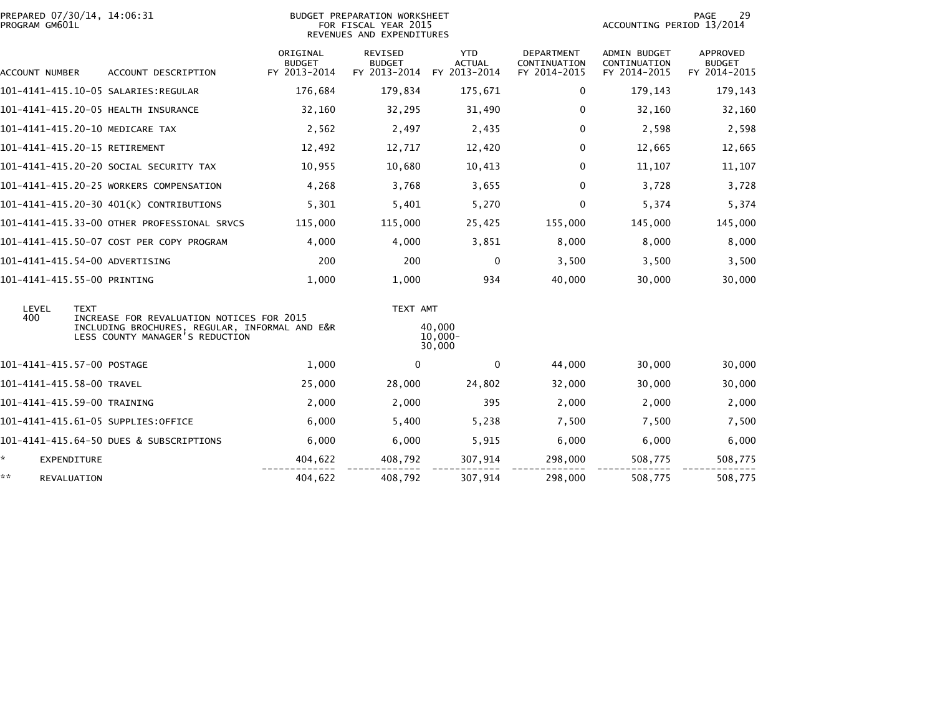| PREPARED 07/30/14, 14:06:31<br>PROGRAM GM601L |                                                                                                                                |                                           | BUDGET PREPARATION WORKSHEET<br>FOR FISCAL YEAR 2015<br>REVENUES AND EXPENDITURES | PAGE<br>29<br>ACCOUNTING PERIOD 13/2014     |                                                   |                                                     |                                                  |
|-----------------------------------------------|--------------------------------------------------------------------------------------------------------------------------------|-------------------------------------------|-----------------------------------------------------------------------------------|---------------------------------------------|---------------------------------------------------|-----------------------------------------------------|--------------------------------------------------|
| ACCOUNT NUMBER                                | ACCOUNT DESCRIPTION                                                                                                            | ORIGINAL<br><b>BUDGET</b><br>FY 2013-2014 | <b>REVISED</b><br><b>BUDGET</b><br>FY 2013-2014                                   | <b>YTD</b><br><b>ACTUAL</b><br>FY 2013-2014 | <b>DEPARTMENT</b><br>CONTINUATION<br>FY 2014-2015 | <b>ADMIN BUDGET</b><br>CONTINUATION<br>FY 2014-2015 | <b>APPROVED</b><br><b>BUDGET</b><br>FY 2014-2015 |
|                                               |                                                                                                                                | 176,684                                   | 179,834                                                                           | 175,671                                     | $\mathbf{0}$                                      | 179,143                                             | 179,143                                          |
|                                               | 101-4141-415.20-05 HEALTH INSURANCE                                                                                            | 32,160                                    | 32,295                                                                            | 31,490                                      | $\mathbf{0}$                                      | 32,160                                              | 32,160                                           |
| 101-4141-415.20-10 MEDICARE TAX               |                                                                                                                                | 2,562                                     | 2,497                                                                             | 2,435                                       | 0                                                 | 2,598                                               | 2,598                                            |
| 101-4141-415.20-15 RETIREMENT                 |                                                                                                                                | 12,492                                    | 12,717                                                                            | 12,420                                      | 0                                                 | 12,665                                              | 12,665                                           |
|                                               | 101-4141-415.20-20 SOCIAL SECURITY TAX                                                                                         | 10,955                                    | 10,680                                                                            | 10,413                                      | 0                                                 | 11,107                                              | 11,107                                           |
|                                               | 101-4141-415.20-25 WORKERS COMPENSATION                                                                                        | 4,268                                     | 3,768                                                                             | 3,655                                       | 0                                                 | 3,728                                               | 3,728                                            |
|                                               | 101-4141-415.20-30 401(K) CONTRIBUTIONS                                                                                        | 5,301                                     | 5,401                                                                             | 5,270                                       | $\Omega$                                          | 5,374                                               | 5,374                                            |
|                                               | 101-4141-415.33-00 OTHER PROFESSIONAL SRVCS                                                                                    | 115,000                                   | 115,000                                                                           | 25,425                                      | 155,000                                           | 145,000                                             | 145,000                                          |
|                                               | 101-4141-415.50-07 COST PER COPY PROGRAM                                                                                       | 4,000                                     | 4.000                                                                             | 3,851                                       | 8,000                                             | 8,000                                               | 8,000                                            |
| 101-4141-415.54-00 ADVERTISING                |                                                                                                                                | 200                                       | 200                                                                               | $\mathbf{0}$                                | 3,500                                             | 3,500                                               | 3,500                                            |
| 101-4141-415.55-00 PRINTING                   |                                                                                                                                | 1,000                                     | 1,000                                                                             | 934                                         | 40,000                                            | 30,000                                              | 30,000                                           |
| LEVEL<br><b>TEXT</b>                          |                                                                                                                                |                                           | TEXT AMT                                                                          |                                             |                                                   |                                                     |                                                  |
| 400                                           | INCREASE FOR REVALUATION NOTICES FOR 2015<br>INCLUDING BROCHURES, REGULAR, INFORMAL AND E&R<br>LESS COUNTY MANAGER'S REDUCTION |                                           |                                                                                   | 40,000<br>$10.000 -$<br>30,000              |                                                   |                                                     |                                                  |
| 101-4141-415.57-00 POSTAGE                    |                                                                                                                                | 1,000                                     | 0                                                                                 | $\mathbf{0}$                                | 44,000                                            | 30,000                                              | 30,000                                           |
| 101-4141-415.58-00 TRAVEL                     |                                                                                                                                | 25,000                                    | 28,000                                                                            | 24,802                                      | 32,000                                            | 30,000                                              | 30,000                                           |
| 101-4141-415.59-00 TRAINING                   |                                                                                                                                | 2,000                                     | 2,000                                                                             | 395                                         | 2,000                                             | 2,000                                               | 2,000                                            |
| 101-4141-415.61-05 SUPPLIES:OFFICE            |                                                                                                                                | 6,000                                     | 5,400                                                                             | 5,238                                       | 7,500                                             | 7,500                                               | 7,500                                            |
|                                               | 101-4141-415.64-50 DUES & SUBSCRIPTIONS                                                                                        | 6,000                                     | 6,000                                                                             | 5,915                                       | 6,000                                             | 6,000                                               | 6,000                                            |
| ÷.<br>EXPENDITURE                             |                                                                                                                                | 404,622                                   | 408,792                                                                           | 307,914                                     | 298,000                                           | 508,775                                             | 508,775                                          |
| **<br>REVALUATION                             |                                                                                                                                | 404,622                                   | 408,792                                                                           | 307,914                                     | 298,000                                           | 508,775                                             | 508,775                                          |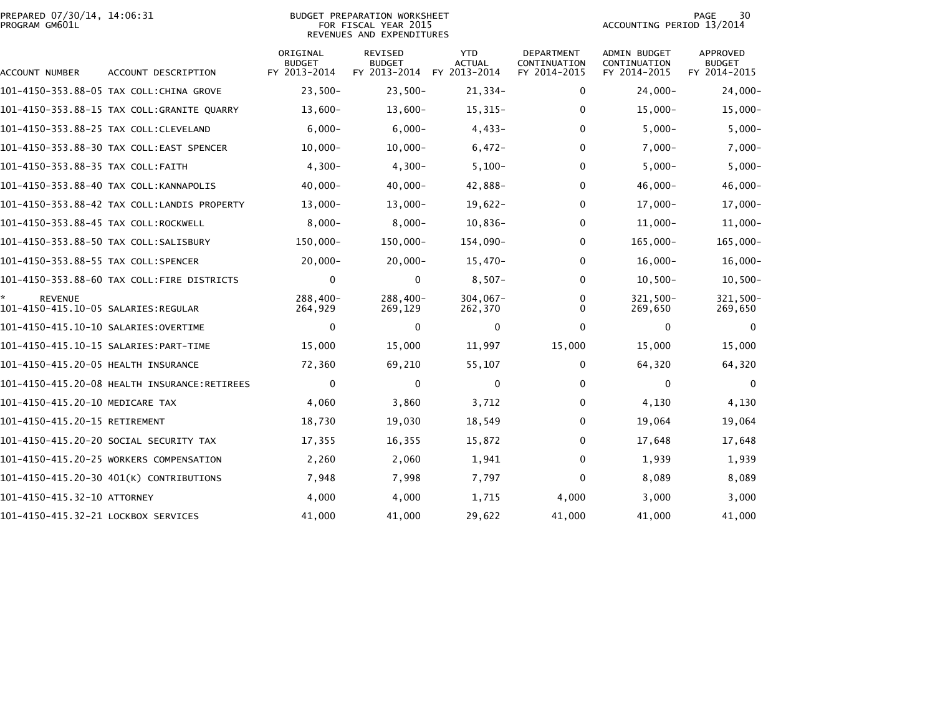|                | PREPARED 07/30/14, 14:06:31 |  |
|----------------|-----------------------------|--|
| PROGRAM GM601L |                             |  |

## PREPARED 07/30/14, 14:06:31 BUDGET PREPARATION WORKSHEET PAGE 30PROGRAM GM601L FOR FISCAL YEAR 2015 ACCOUNTING PERIOD 13/2014 REVENUES AND EXPENDITURES

PAGE 30<br>ACCOUNTING PERIOD 13/2014

| ACCOUNT NUMBER                       | ACCOUNT DESCRIPTION                         | ORIGINAL<br><b>BUDGET</b><br>FY 2013-2014 | REVISED<br><b>BUDGET</b><br>FY 2013-2014 | <b>YTD</b><br><b>ACTUAL</b><br>FY 2013-2014 | DEPARTMENT<br>CONTINUATION<br>FY 2014-2015 | <b>ADMIN BUDGET</b><br>CONTINUATION<br>FY 2014-2015 | APPROVED<br><b>BUDGET</b><br>FY 2014-2015 |
|--------------------------------------|---------------------------------------------|-------------------------------------------|------------------------------------------|---------------------------------------------|--------------------------------------------|-----------------------------------------------------|-------------------------------------------|
|                                      | 101-4150-353.88-05 TAX COLL:CHINA GROVE     | $23,500-$                                 | $23,500-$                                | $21,334-$                                   | 0                                          | $24,000 -$                                          | $24,000 -$                                |
|                                      | 101-4150-353.88-15 TAX COLL:GRANITE QUARRY  | $13,600 -$                                | $13,600-$                                | $15,315-$                                   | 0                                          | $15,000 -$                                          | $15,000 -$                                |
|                                      | 101-4150-353.88-25 TAX COLL:CLEVELAND       | $6,000 -$                                 | $6,000 -$                                | $4,433-$                                    | $\Omega$                                   | $5,000-$                                            | $5,000 -$                                 |
|                                      | 101-4150-353.88-30 TAX COLL:EAST SPENCER    | $10,000 -$                                | $10,000 -$                               | $6,472-$                                    | 0                                          | $7,000 -$                                           | $7,000 -$                                 |
| 101-4150-353.88-35 TAX COLL:FAITH    |                                             | $4,300-$                                  | $4,300-$                                 | $5,100-$                                    | $\Omega$                                   | $5,000 -$                                           | $5,000 -$                                 |
|                                      | 101-4150-353.88-40 TAX COLL:KANNAPOLIS      | $40,000 -$                                | $40,000 -$                               | 42,888-                                     | 0                                          | $46,000 -$                                          | $46,000 -$                                |
|                                      | 101-4150-353.88-42 TAX COLL:LANDIS PROPERTY | $13,000-$                                 | $13,000 -$                               | $19,622-$                                   | 0                                          | $17,000 -$                                          | $17,000-$                                 |
| 101-4150-353.88-45 TAX COLL:ROCKWELL |                                             | $8,000-$                                  | $8,000-$                                 | $10,836-$                                   | 0                                          | $11,000 -$                                          | $11,000 -$                                |
|                                      | 101-4150-353.88-50 TAX COLL:SALISBURY       | 150,000-                                  | 150,000-                                 | 154,090-                                    | 0                                          | 165,000-                                            | $165,000 -$                               |
| 101-4150-353.88-55 TAX COLL:SPENCER  |                                             | $20,000-$                                 | $20,000 -$                               | $15,470-$                                   | 0                                          | $16,000-$                                           | $16,000 -$                                |
|                                      | 101-4150-353.88-60 TAX COLL:FIRE DISTRICTS  | $\mathbf 0$                               | 0                                        | $8,507-$                                    | 0                                          | $10,500 -$                                          | $10,500 -$                                |
| ÷.<br><b>REVENUE</b>                 |                                             | 288.400-<br>264,929                       | 288.400-<br>269,129                      | $304.067 -$<br>262,370                      | 0<br>0                                     | 321.500-<br>269,650                                 | 321.500-<br>269,650                       |
| 101-4150-415.10-10 SALARIES:OVERTIME |                                             | 0                                         | 0                                        | $\mathbf{0}$                                | 0                                          | 0                                                   | $\Omega$                                  |
|                                      | 101-4150-415.10-15 SALARIES: PART-TIME      | 15,000                                    | 15,000                                   | 11,997                                      | 15,000                                     | 15,000                                              | 15,000                                    |
| 101-4150-415.20-05 HEALTH INSURANCE  |                                             | 72,360                                    | 69,210                                   | 55,107                                      | 0                                          | 64,320                                              | 64,320                                    |
|                                      |                                             | 0                                         | 0                                        | $\mathbf{0}$                                | 0                                          | 0                                                   | $\mathbf{0}$                              |
| 101-4150-415.20-10 MEDICARE TAX      |                                             | 4,060                                     | 3,860                                    | 3,712                                       | 0                                          | 4,130                                               | 4,130                                     |
| 101-4150-415.20-15 RETIREMENT        |                                             | 18,730                                    | 19,030                                   | 18,549                                      | 0                                          | 19,064                                              | 19,064                                    |
|                                      | 101-4150-415.20-20 SOCIAL SECURITY TAX      | 17,355                                    | 16,355                                   | 15,872                                      | 0                                          | 17,648                                              | 17,648                                    |
|                                      | 101-4150-415.20-25 WORKERS COMPENSATION     | 2,260                                     | 2,060                                    | 1,941                                       | 0                                          | 1,939                                               | 1,939                                     |
|                                      | 101-4150-415.20-30 401(K) CONTRIBUTIONS     | 7,948                                     | 7,998                                    | 7,797                                       | 0                                          | 8,089                                               | 8,089                                     |
| 101-4150-415.32-10 ATTORNEY          |                                             | 4,000                                     | 4,000                                    | 1,715                                       | 4,000                                      | 3,000                                               | 3,000                                     |
| 101-4150-415.32-21 LOCKBOX SERVICES  |                                             | 41,000                                    | 41,000                                   | 29,622                                      | 41,000                                     | 41.000                                              | 41,000                                    |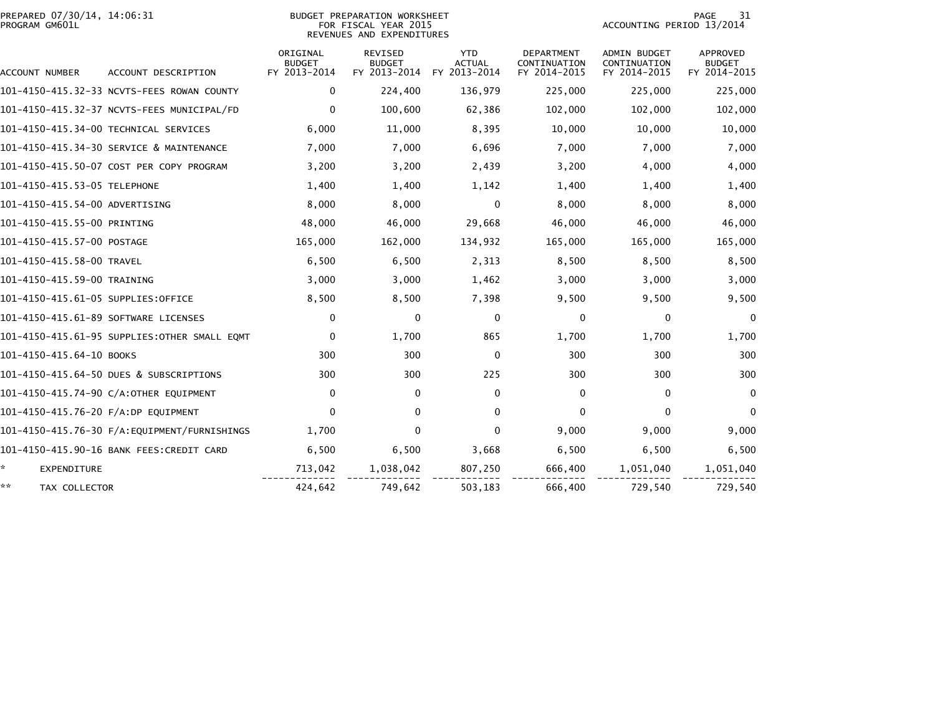| PROGRAM GM601L                       | PREPARED 07/30/14, 14:06:31<br><b>BUDGET PREPARATION WORKSHEET</b><br>FOR FISCAL YEAR 2015<br>REVENUES AND EXPENDITURES |                                           |                                          |                                             |                                            | 31<br><b>PAGE</b><br>ACCOUNTING PERIOD 13/2014      |                                           |  |
|--------------------------------------|-------------------------------------------------------------------------------------------------------------------------|-------------------------------------------|------------------------------------------|---------------------------------------------|--------------------------------------------|-----------------------------------------------------|-------------------------------------------|--|
| ACCOUNT NUMBER                       | ACCOUNT DESCRIPTION                                                                                                     | ORIGINAL<br><b>BUDGET</b><br>FY 2013-2014 | REVISED<br><b>BUDGET</b><br>FY 2013-2014 | <b>YTD</b><br><b>ACTUAL</b><br>FY 2013-2014 | DEPARTMENT<br>CONTINUATION<br>FY 2014-2015 | <b>ADMIN BUDGET</b><br>CONTINUATION<br>FY 2014-2015 | APPROVED<br><b>BUDGET</b><br>FY 2014-2015 |  |
|                                      | 101-4150-415.32-33 NCVTS-FEES ROWAN COUNTY                                                                              | 0                                         | 224,400                                  | 136,979                                     | 225,000                                    | 225,000                                             | 225,000                                   |  |
|                                      | 101-4150-415.32-37 NCVTS-FEES MUNICIPAL/FD                                                                              | $\mathbf 0$                               | 100,600                                  | 62,386                                      | 102,000                                    | 102,000                                             | 102,000                                   |  |
|                                      | 101-4150-415.34-00 TECHNICAL SERVICES                                                                                   | 6,000                                     | 11,000                                   | 8,395                                       | 10,000                                     | 10,000                                              | 10,000                                    |  |
|                                      | 101-4150-415.34-30 SERVICE & MAINTENANCE                                                                                | 7,000                                     | 7,000                                    | 6,696                                       | 7,000                                      | 7,000                                               | 7,000                                     |  |
|                                      | 101-4150-415.50-07 COST PER COPY PROGRAM                                                                                | 3,200                                     | 3,200                                    | 2,439                                       | 3,200                                      | 4,000                                               | 4,000                                     |  |
| 101-4150-415.53-05 TELEPHONE         |                                                                                                                         | 1,400                                     | 1,400                                    | 1,142                                       | 1,400                                      | 1,400                                               | 1,400                                     |  |
| 101-4150-415.54-00 ADVERTISING       |                                                                                                                         | 8,000                                     | 8,000                                    | 0                                           | 8,000                                      | 8,000                                               | 8,000                                     |  |
| 101-4150-415.55-00 PRINTING          |                                                                                                                         | 48,000                                    | 46,000                                   | 29,668                                      | 46,000                                     | 46,000                                              | 46,000                                    |  |
| 101-4150-415.57-00 POSTAGE           |                                                                                                                         | 165,000                                   | 162,000                                  | 134,932                                     | 165,000                                    | 165,000                                             | 165,000                                   |  |
| 101-4150-415.58-00 TRAVEL            |                                                                                                                         | 6,500                                     | 6,500                                    | 2,313                                       | 8,500                                      | 8,500                                               | 8,500                                     |  |
| 101-4150-415.59-00 TRAINING          |                                                                                                                         | 3,000                                     | 3,000                                    | 1,462                                       | 3,000                                      | 3,000                                               | 3,000                                     |  |
| 101-4150-415.61-05 SUPPLIES:OFFICE   |                                                                                                                         | 8,500                                     | 8,500                                    | 7,398                                       | 9,500                                      | 9,500                                               | 9,500                                     |  |
| 101-4150-415.61-89 SOFTWARE LICENSES |                                                                                                                         | 0                                         | 0                                        | 0                                           | 0                                          | 0                                                   | $\mathbf 0$                               |  |
|                                      | 101-4150-415.61-95 SUPPLIES:OTHER SMALL EOMT                                                                            | $\mathbf 0$                               | 1,700                                    | 865                                         | 1,700                                      | 1,700                                               | 1,700                                     |  |
| 101-4150-415.64-10 BOOKS             |                                                                                                                         | 300                                       | 300                                      | $\Omega$                                    | 300                                        | 300                                                 | 300                                       |  |
|                                      | 101-4150-415.64-50 DUES & SUBSCRIPTIONS                                                                                 | 300                                       | 300                                      | 225                                         | 300                                        | 300                                                 | 300                                       |  |
|                                      | 101-4150-415.74-90 C/A:OTHER EQUIPMENT                                                                                  | 0                                         | $\mathbf{0}$                             | $\mathbf{0}$                                | $\mathbf{0}$                               | $\mathbf{0}$                                        | $\Omega$                                  |  |
| 101-4150-415.76-20 F/A:DP EQUIPMENT  |                                                                                                                         | $\mathbf{0}$                              | $\mathbf{0}$                             | $\mathbf{0}$                                | $\Omega$                                   | $\mathbf{0}$                                        | $\Omega$                                  |  |
|                                      |                                                                                                                         | 1,700                                     | $\Omega$                                 | $\Omega$                                    | 9,000                                      | 9,000                                               | 9,000                                     |  |
|                                      | 101-4150-415.90-16 BANK FEES:CREDIT CARD                                                                                | 6,500                                     | 6,500                                    | 3,668                                       | 6,500                                      | 6,500                                               | 6,500                                     |  |
| ×.<br><b>EXPENDITURE</b>             |                                                                                                                         | 713,042                                   | 1,038,042                                | 807,250                                     | 666,400                                    | 1,051,040                                           | 1,051,040                                 |  |
| **<br>TAX COLLECTOR                  |                                                                                                                         | 424,642                                   | 749,642                                  | 503,183                                     | 666,400                                    | 729,540                                             | 729,540                                   |  |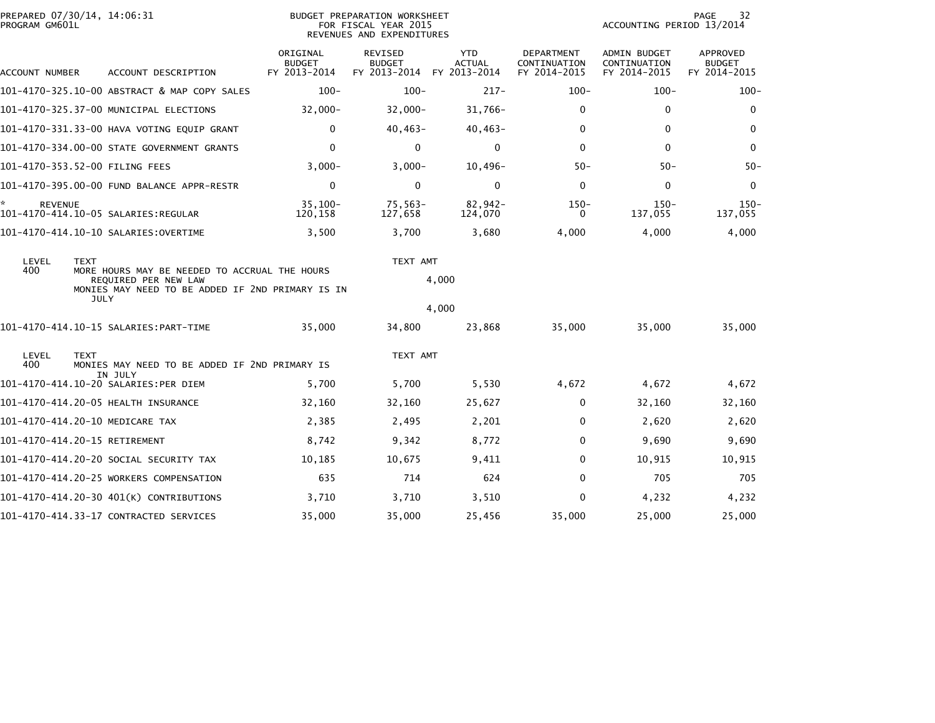| PROGRAM GM601L      | PREPARED 07/30/14, 14:06:31                                                                                                                             |                                           | <b>BUDGET PREPARATION WORKSHEET</b><br>FOR FISCAL YEAR 2015<br>REVENUES AND EXPENDITURES |                             |                                                   | ACCOUNTING PERIOD 13/2014                    | PAGE<br>32                                |
|---------------------|---------------------------------------------------------------------------------------------------------------------------------------------------------|-------------------------------------------|------------------------------------------------------------------------------------------|-----------------------------|---------------------------------------------------|----------------------------------------------|-------------------------------------------|
| ACCOUNT NUMBER      | ACCOUNT DESCRIPTION                                                                                                                                     | ORIGINAL<br><b>BUDGET</b><br>FY 2013-2014 | <b>REVISED</b><br><b>BUDGET</b><br>FY 2013-2014 FY 2013-2014                             | <b>YTD</b><br><b>ACTUAL</b> | <b>DEPARTMENT</b><br>CONTINUATION<br>FY 2014-2015 | ADMIN BUDGET<br>CONTINUATION<br>FY 2014-2015 | APPROVED<br><b>BUDGET</b><br>FY 2014-2015 |
|                     | 101-4170-325.10-00 ABSTRACT & MAP COPY SALES                                                                                                            | $100 -$                                   | $100 -$                                                                                  | $217 -$                     | $100 -$                                           | $100 -$                                      | $100 -$                                   |
|                     | 101-4170-325.37-00 MUNICIPAL ELECTIONS                                                                                                                  | $32,000 -$                                | $32,000 -$                                                                               | $31,766-$                   | 0                                                 | 0                                            | $\mathbf 0$                               |
|                     | 101-4170-331.33-00 HAVA VOTING EQUIP GRANT                                                                                                              | $\mathbf 0$                               | $40,463-$                                                                                | $40,463-$                   | $\Omega$                                          | 0                                            | 0                                         |
|                     | 101-4170-334.00-00 STATE GOVERNMENT GRANTS                                                                                                              | $\mathbf 0$                               | 0                                                                                        | 0                           | $\mathbf{0}$                                      | $\mathbf{0}$                                 | $\mathbf 0$                               |
|                     | 101-4170-353.52-00 FILING FEES                                                                                                                          | $3,000-$                                  | $3,000-$                                                                                 | $10,496-$                   | $50 -$                                            | $50 -$                                       | $50-$                                     |
|                     | 101-4170-395.00-00 FUND BALANCE APPR-RESTR                                                                                                              | $\mathbf 0$                               | $\mathbf 0$                                                                              | $\mathbf 0$                 | $\Omega$                                          | 0                                            | $\mathbf 0$                               |
| *<br><b>REVENUE</b> |                                                                                                                                                         | $35.100 -$<br>120,158                     | $75,563-$<br>127,658                                                                     | $82,942-$<br>124,070        | $150 -$<br>$\mathbf{0}$                           | $150 -$<br>137,055                           | $150 -$<br>137,055                        |
|                     |                                                                                                                                                         | 3,500                                     | 3,700                                                                                    | 3,680                       | 4,000                                             | 4,000                                        | 4,000                                     |
| LEVEL<br>400        | <b>TEXT</b><br>MORE HOURS MAY BE NEEDED TO ACCRUAL THE HOURS<br>REQUIRED PER NEW LAW<br>MONIES MAY NEED TO BE ADDED IF 2ND PRIMARY IS IN<br><b>JULY</b> |                                           | TEXT AMT                                                                                 | 4,000                       |                                                   |                                              |                                           |
|                     |                                                                                                                                                         |                                           |                                                                                          | 4,000                       |                                                   |                                              |                                           |
|                     |                                                                                                                                                         | 35,000                                    | 34,800                                                                                   | 23,868                      | 35,000                                            | 35,000                                       | 35,000                                    |
| LEVEL<br>400        | <b>TEXT</b><br>MONIES MAY NEED TO BE ADDED IF 2ND PRIMARY IS                                                                                            |                                           | TEXT AMT                                                                                 |                             |                                                   |                                              |                                           |
|                     | IN JULY<br>101-4170-414.10-20 SALARIES:PER DIEM                                                                                                         | 5,700                                     | 5,700                                                                                    | 5,530                       | 4,672                                             | 4,672                                        | 4,672                                     |
|                     | 101-4170-414.20-05 HEALTH INSURANCE                                                                                                                     | 32,160                                    | 32,160                                                                                   | 25,627                      | 0                                                 | 32,160                                       | 32,160                                    |
|                     | 101-4170-414.20-10 MEDICARE TAX                                                                                                                         | 2,385                                     | 2,495                                                                                    | 2,201                       | 0                                                 | 2,620                                        | 2,620                                     |
|                     | 101-4170-414.20-15 RETIREMENT                                                                                                                           | 8,742                                     | 9,342                                                                                    | 8,772                       | $\Omega$                                          | 9,690                                        | 9,690                                     |
|                     | 101–4170–414.20–20 SOCIAL SECURITY TAX                                                                                                                  | 10,185                                    | 10,675                                                                                   | 9,411                       | 0                                                 | 10,915                                       | 10,915                                    |
|                     | 101-4170-414.20-25 WORKERS COMPENSATION                                                                                                                 | 635                                       | 714                                                                                      | 624                         | $\Omega$                                          | 705                                          | 705                                       |
|                     | 101-4170-414.20-30 401(K) CONTRIBUTIONS                                                                                                                 | 3,710                                     | 3,710                                                                                    | 3,510                       | $\Omega$                                          | 4,232                                        | 4,232                                     |
|                     | 101-4170-414.33-17 CONTRACTED SERVICES                                                                                                                  | 35,000                                    | 35,000                                                                                   | 25,456                      | 35,000                                            | 25,000                                       | 25,000                                    |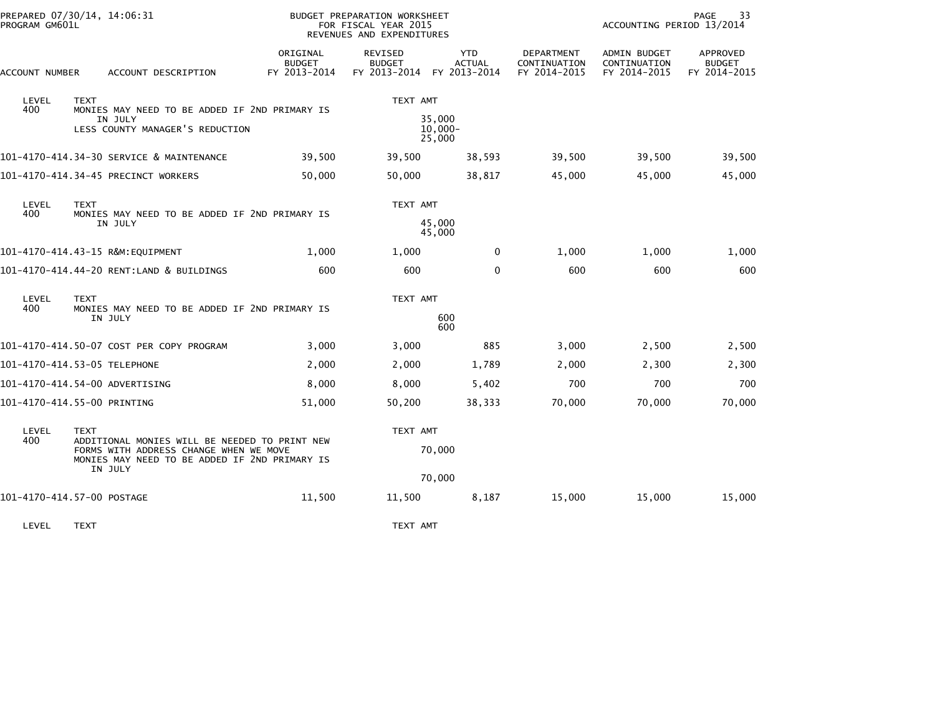|                                | PREPARED 07/30/14, 14:06:31<br>PROGRAM GM601L                                                                                                       |                                                          |                                           | <b>BUDGET PREPARATION WORKSHEET</b><br>FOR FISCAL YEAR 2015<br>REVENUES AND EXPENDITURES |                                             | 33<br>PAGE<br>ACCOUNTING PERIOD 13/2014    |                                              |                                           |
|--------------------------------|-----------------------------------------------------------------------------------------------------------------------------------------------------|----------------------------------------------------------|-------------------------------------------|------------------------------------------------------------------------------------------|---------------------------------------------|--------------------------------------------|----------------------------------------------|-------------------------------------------|
|                                | ACCOUNT NUMBER<br>ACCOUNT DESCRIPTION                                                                                                               |                                                          | ORIGINAL<br><b>BUDGET</b><br>FY 2013-2014 | REVISED<br><b>BUDGET</b><br>FY 2013-2014                                                 | <b>YTD</b><br><b>ACTUAL</b><br>FY 2013-2014 | DEPARTMENT<br>CONTINUATION<br>FY 2014-2015 | ADMIN BUDGET<br>CONTINUATION<br>FY 2014-2015 | APPROVED<br><b>BUDGET</b><br>FY 2014-2015 |
| LEVEL<br>400                   | <b>TEXT</b>                                                                                                                                         | MONIES MAY NEED TO BE ADDED IF 2ND PRIMARY IS            | TEXT AMT                                  |                                                                                          |                                             |                                            |                                              |                                           |
|                                |                                                                                                                                                     | IN JULY<br>LESS COUNTY MANAGER'S REDUCTION               | 35,000<br>$10,000 -$<br>25,000            |                                                                                          |                                             |                                            |                                              |                                           |
|                                |                                                                                                                                                     | 101-4170-414.34-30 SERVICE & MAINTENANCE                 | 39,500                                    | 39,500                                                                                   | 38,593                                      | 39,500                                     | 39,500                                       | 39,500                                    |
|                                |                                                                                                                                                     | 101-4170-414.34-45 PRECINCT WORKERS                      | 50,000                                    | 50,000                                                                                   | 38,817                                      | 45,000                                     | 45,000                                       | 45,000                                    |
| LEVEL                          | <b>TEXT</b><br>400<br>MONIES MAY NEED TO BE ADDED IF 2ND PRIMARY IS<br>IN JULY                                                                      |                                                          |                                           | TEXT AMT                                                                                 |                                             |                                            |                                              |                                           |
|                                |                                                                                                                                                     |                                                          | 45,000<br>45,000                          |                                                                                          |                                             |                                            |                                              |                                           |
|                                |                                                                                                                                                     | 101-4170-414.43-15 R&M:EQUIPMENT                         | 1,000                                     | 1,000                                                                                    | $\mathbf 0$                                 | 1,000                                      | 1,000                                        | 1,000                                     |
|                                |                                                                                                                                                     | 101-4170-414.44-20 RENT:LAND & BUILDINGS                 | 600                                       | 600                                                                                      | $\mathbf{0}$                                | 600                                        | 600                                          | 600                                       |
| LEVEL<br>400                   | <b>TEXT</b>                                                                                                                                         |                                                          | TEXT AMT                                  |                                                                                          |                                             |                                            |                                              |                                           |
|                                |                                                                                                                                                     | MONIES MAY NEED TO BE ADDED IF 2ND PRIMARY IS<br>IN JULY |                                           | 600<br>600                                                                               |                                             |                                            |                                              |                                           |
|                                |                                                                                                                                                     | 101-4170-414.50-07 COST PER COPY PROGRAM                 | 3,000                                     | 3,000                                                                                    | 885                                         | 3,000                                      | 2,500                                        | 2,500                                     |
| 101-4170-414.53-05 TELEPHONE   |                                                                                                                                                     |                                                          | 2,000                                     | 2,000                                                                                    | 1,789                                       | 2,000                                      | 2,300                                        | 2,300                                     |
| 101-4170-414.54-00 ADVERTISING |                                                                                                                                                     |                                                          | 8,000                                     | 8,000                                                                                    | 5,402                                       | 700                                        | 700                                          | 700                                       |
| 101-4170-414.55-00 PRINTING    |                                                                                                                                                     |                                                          | 51,000                                    | 50,200                                                                                   | 38,333                                      | 70,000                                     | 70,000                                       | 70,000                                    |
| LEVEL<br>400                   | <b>TEXT</b>                                                                                                                                         |                                                          |                                           | TEXT AMT                                                                                 |                                             |                                            |                                              |                                           |
|                                | ADDITIONAL MONIES WILL BE NEEDED TO PRINT NEW<br>FORMS WITH ADDRESS CHANGE WHEN WE MOVE<br>MONIES MAY NEED TO BE ADDED IF 2ND PRIMARY IS<br>IN JULY |                                                          |                                           | 70,000                                                                                   |                                             |                                            |                                              |                                           |
|                                |                                                                                                                                                     |                                                          |                                           |                                                                                          | 70,000                                      |                                            |                                              |                                           |
| 101-4170-414.57-00 POSTAGE     |                                                                                                                                                     |                                                          | 11,500                                    | 11,500                                                                                   | 8,187                                       | 15,000                                     | 15,000                                       | 15,000                                    |
| LEVEL                          | <b>TEXT</b>                                                                                                                                         |                                                          |                                           | TEXT AMT                                                                                 |                                             |                                            |                                              |                                           |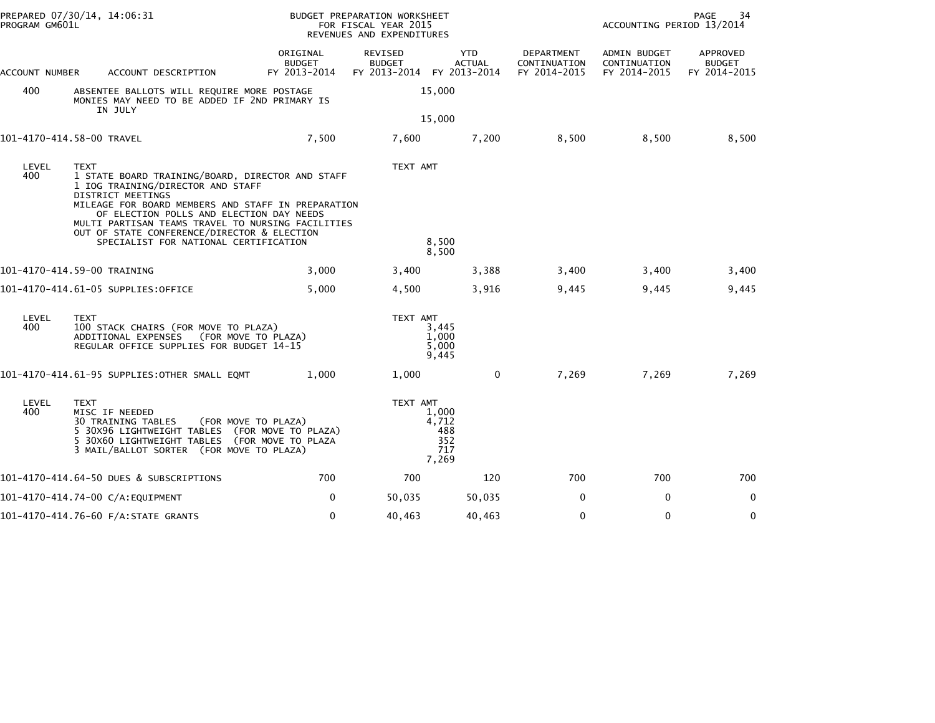| PROGRAM GM601L | PREPARED 07/30/14, 14:06:31                                                                                                                                                                                                                                                                                                                                              |                                           | BUDGET PREPARATION WORKSHEET<br>FOR FISCAL YEAR 2015<br>REVENUES AND EXPENDITURES |                                              |                                            | PAGE<br>34<br>ACCOUNTING PERIOD 13/2014      |                                           |  |
|----------------|--------------------------------------------------------------------------------------------------------------------------------------------------------------------------------------------------------------------------------------------------------------------------------------------------------------------------------------------------------------------------|-------------------------------------------|-----------------------------------------------------------------------------------|----------------------------------------------|--------------------------------------------|----------------------------------------------|-------------------------------------------|--|
| ACCOUNT NUMBER | ACCOUNT DESCRIPTION                                                                                                                                                                                                                                                                                                                                                      | ORIGINAL<br><b>BUDGET</b><br>FY 2013-2014 | REVISED<br><b>BUDGET</b><br>FY 2013-2014                                          | <b>YTD</b><br><b>ACTUAL</b><br>FY 2013-2014  | DEPARTMENT<br>CONTINUATION<br>FY 2014-2015 | ADMIN BUDGET<br>CONTINUATION<br>FY 2014-2015 | APPROVED<br><b>BUDGET</b><br>FY 2014-2015 |  |
| 400            | ABSENTEE BALLOTS WILL REQUIRE MORE POSTAGE<br>MONIES MAY NEED TO BE ADDED IF 2ND PRIMARY IS<br>IN JULY                                                                                                                                                                                                                                                                   |                                           |                                                                                   | 15,000                                       |                                            |                                              |                                           |  |
|                | 101-4170-414.58-00 TRAVEL                                                                                                                                                                                                                                                                                                                                                | 7,500                                     | 7,600                                                                             | 15,000<br>7,200                              | 8,500                                      | 8,500                                        | 8,500                                     |  |
| LEVEL<br>400   | <b>TEXT</b><br>1 STATE BOARD TRAINING/BOARD, DIRECTOR AND STAFF<br>1 IOG TRAINING/DIRECTOR AND STAFF<br>DISTRICT MEETINGS<br>MILEAGE FOR BOARD MEMBERS AND STAFF IN PREPARATION<br>OF ELECTION POLLS AND ELECTION DAY NEEDS<br>MULTI PARTISAN TEAMS TRAVEL TO NURSING FACILITIES<br>OUT OF STATE CONFERENCE/DIRECTOR & ELECTION<br>SPECIALIST FOR NATIONAL CERTIFICATION |                                           | TEXT AMT                                                                          | 8,500<br>8,500                               |                                            |                                              |                                           |  |
|                | 101-4170-414.59-00 TRAINING                                                                                                                                                                                                                                                                                                                                              | 3,000                                     | 3,400                                                                             | 3,388                                        | 3,400                                      | 3,400                                        | 3,400                                     |  |
|                | 101-4170-414.61-05 SUPPLIES:OFFICE                                                                                                                                                                                                                                                                                                                                       | 5,000                                     | 4,500                                                                             | 3,916                                        | 9,445                                      | 9,445                                        | 9,445                                     |  |
| LEVEL<br>400   | <b>TEXT</b><br>100 STACK CHAIRS (FOR MOVE TO PLAZA)<br>ADDITIONAL EXPENSES<br>(FOR MOVE TO PLAZA)<br>REGULAR OFFICE SUPPLIES FOR BUDGET 14-15                                                                                                                                                                                                                            |                                           | TEXT AMT                                                                          | 3,445<br>1,000<br>5,000<br>9,445             |                                            |                                              |                                           |  |
|                | 101-4170-414.61-95 SUPPLIES:OTHER SMALL EQMT                                                                                                                                                                                                                                                                                                                             | 1,000                                     | 1,000                                                                             | 0                                            | 7,269                                      | 7,269                                        | 7,269                                     |  |
| LEVEL<br>400   | <b>TEXT</b><br>MISC IF NEEDED<br><b>30 TRAINING TABLES</b><br>(FOR MOVE TO PLAZA)<br>5 30X96 LIGHTWEIGHT TABLES (FOR MOVE TO PLAZA)<br>5 30X60 LIGHTWEIGHT TABLES (FOR MOVE TO PLAZA<br>3 MAIL/BALLOT SORTER (FOR MOVE TO PLAZA)                                                                                                                                         |                                           | TEXT AMT                                                                          | 1,000<br>4,712<br>488<br>352<br>717<br>7,269 |                                            |                                              |                                           |  |
|                | 101-4170-414.64-50 DUES & SUBSCRIPTIONS                                                                                                                                                                                                                                                                                                                                  | 700                                       | 700                                                                               | 120                                          | 700                                        | 700                                          | 700                                       |  |
|                | 101-4170-414.74-00 C/A:EQUIPMENT                                                                                                                                                                                                                                                                                                                                         | 0                                         | 50,035                                                                            | 50,035                                       | 0                                          | 0                                            | 0                                         |  |
|                | 101-4170-414.76-60 F/A:STATE GRANTS                                                                                                                                                                                                                                                                                                                                      | $\mathbf{0}$                              | 40,463                                                                            | 40,463                                       | $\Omega$                                   | $\mathbf{0}$                                 | $\mathbf{0}$                              |  |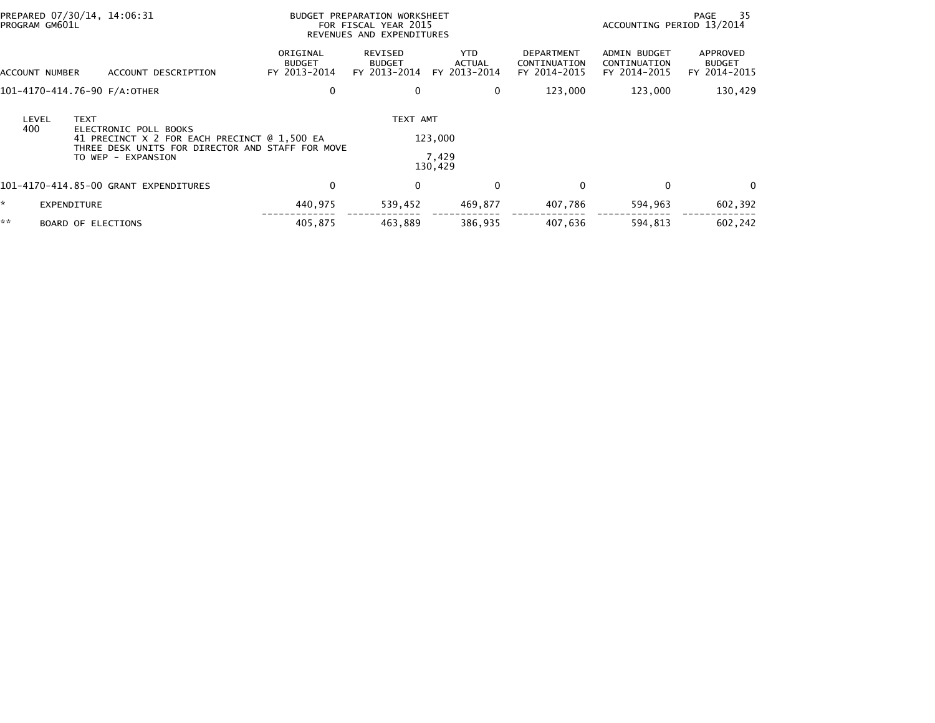| PREPARED 07/30/14, 14:06:31<br>PROGRAM GM601L |                           |                                                                                                                                                 | BUDGET PREPARATION WORKSHEET<br>FOR FISCAL YEAR 2015<br>REVENUES AND EXPENDITURES |                                          |                                       |                                            | - 35<br>PAGE<br>ACCOUNTING PERIOD 13/2014    |                                           |  |
|-----------------------------------------------|---------------------------|-------------------------------------------------------------------------------------------------------------------------------------------------|-----------------------------------------------------------------------------------|------------------------------------------|---------------------------------------|--------------------------------------------|----------------------------------------------|-------------------------------------------|--|
| ACCOUNT NUMBER                                |                           | ACCOUNT DESCRIPTION                                                                                                                             | ORIGINAL<br><b>BUDGET</b><br>FY 2013-2014                                         | REVISED<br><b>BUDGET</b><br>FY 2013-2014 | YTD.<br><b>ACTUAL</b><br>FY 2013-2014 | DEPARTMENT<br>CONTINUATION<br>FY 2014-2015 | ADMIN BUDGET<br>CONTINUATION<br>FY 2014-2015 | APPROVED<br><b>BUDGET</b><br>FY 2014-2015 |  |
|                                               |                           | 101-4170-414.76-90 F/A:OTHER                                                                                                                    | 0                                                                                 |                                          | 0                                     | 123,000                                    | 123,000                                      | 130,429                                   |  |
| LEVEL<br>400                                  | <b>TEXT</b>               | ELECTRONIC POLL BOOKS<br>41 PRECINCT X 2 FOR EACH PRECINCT @ 1,500 EA<br>THREE DESK UNITS FOR DIRECTOR AND STAFF FOR MOVE<br>TO WEP - EXPANSION |                                                                                   | TEXT AMT                                 | 123,000<br>7,429<br>130,429           |                                            |                                              |                                           |  |
|                                               |                           | 101-4170-414.85-00 GRANT EXPENDITURES                                                                                                           | 0                                                                                 | $\mathbf{0}$                             | $\mathbf{0}$                          | 0                                          | $\Omega$                                     | $\Omega$                                  |  |
|                                               | EXPENDITURE               |                                                                                                                                                 | 440,975                                                                           | 539,452                                  | 469,877                               | 407,786                                    | 594,963                                      | 602,392                                   |  |
| **                                            | <b>BOARD OF ELECTIONS</b> |                                                                                                                                                 | 405,875                                                                           | 463,889                                  | 386,935                               | 407,636                                    | 594,813                                      | 602.242                                   |  |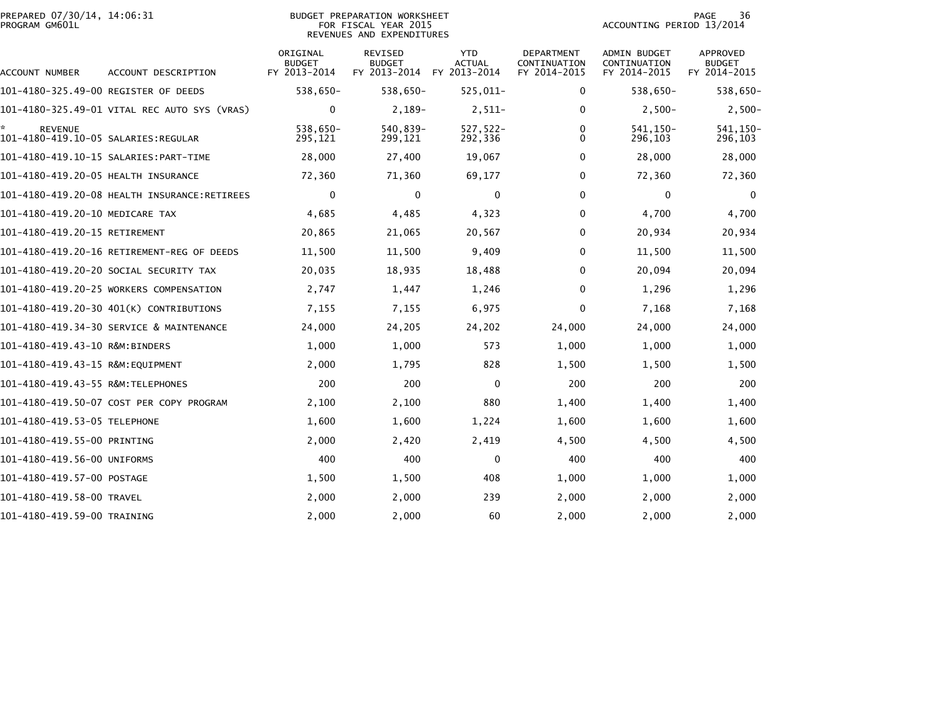| PREPARED 07/30/14, 14:06:31<br>PROGRAM GM601L         |                                              | BUDGET PREPARATION WORKSHEET<br>FOR FISCAL YEAR 2015<br>REVENUES AND EXPENDITURES |                                          |                                             |                                            | 36<br>PAGE<br>ACCOUNTING PERIOD 13/2014      |                                                  |
|-------------------------------------------------------|----------------------------------------------|-----------------------------------------------------------------------------------|------------------------------------------|---------------------------------------------|--------------------------------------------|----------------------------------------------|--------------------------------------------------|
| ACCOUNT NUMBER                                        | ACCOUNT DESCRIPTION                          | ORIGINAL<br><b>BUDGET</b><br>FY 2013-2014                                         | REVISED<br><b>BUDGET</b><br>FY 2013-2014 | <b>YTD</b><br><b>ACTUAL</b><br>FY 2013-2014 | DEPARTMENT<br>CONTINUATION<br>FY 2014-2015 | ADMIN BUDGET<br>CONTINUATION<br>FY 2014-2015 | <b>APPROVED</b><br><b>BUDGET</b><br>FY 2014-2015 |
| 101-4180-325.49-00 REGISTER OF DEEDS                  |                                              | 538,650-                                                                          | 538,650-                                 | $525,011-$                                  | 0                                          | 538,650-                                     | 538,650-                                         |
|                                                       | 101-4180-325.49-01 VITAL REC AUTO SYS (VRAS) | 0                                                                                 | $2,189-$                                 | $2,511-$                                    | 0                                          | $2,500-$                                     | $2,500-$                                         |
| <b>REVENUE</b><br>101-4180-419.10-05 SALARIES:REGULAR |                                              | 538,650-<br>295,121                                                               | 540,839-<br>299,121                      | $527,522-$<br>292,336                       | 0<br>$\Omega$                              | 541.150-<br>296,103                          | 541, 150-<br>296,103                             |
|                                                       |                                              | 28,000                                                                            | 27,400                                   | 19,067                                      | $\Omega$                                   | 28,000                                       | 28,000                                           |
| 101-4180-419.20-05 HEALTH INSURANCE                   |                                              | 72,360                                                                            | 71,360                                   | 69,177                                      | 0                                          | 72,360                                       | 72,360                                           |
|                                                       |                                              | 0                                                                                 | 0                                        | 0                                           | 0                                          | 0                                            | $\Omega$                                         |
| 101-4180-419.20-10 MEDICARE TAX                       |                                              | 4,685                                                                             | 4,485                                    | 4,323                                       | 0                                          | 4,700                                        | 4,700                                            |
| 101-4180-419.20-15 RETIREMENT                         |                                              | 20,865                                                                            | 21,065                                   | 20,567                                      | $\Omega$                                   | 20,934                                       | 20,934                                           |
|                                                       | 101-4180-419.20-16 RETIREMENT-REG OF DEEDS   | 11,500                                                                            | 11,500                                   | 9,409                                       | $\Omega$                                   | 11,500                                       | 11,500                                           |
|                                                       | 101-4180-419.20-20 SOCIAL SECURITY TAX       | 20,035                                                                            | 18,935                                   | 18,488                                      | 0                                          | 20,094                                       | 20,094                                           |
|                                                       | 101-4180-419.20-25 WORKERS COMPENSATION      | 2,747                                                                             | 1,447                                    | 1,246                                       | 0                                          | 1,296                                        | 1,296                                            |
|                                                       | 101-4180-419.20-30 401(K) CONTRIBUTIONS      | 7,155                                                                             | 7,155                                    | 6,975                                       | 0                                          | 7,168                                        | 7,168                                            |
|                                                       | 101-4180-419.34-30 SERVICE & MAINTENANCE     | 24,000                                                                            | 24,205                                   | 24,202                                      | 24,000                                     | 24,000                                       | 24,000                                           |
| 101-4180-419.43-10 R&M:BINDERS                        |                                              | 1,000                                                                             | 1,000                                    | 573                                         | 1,000                                      | 1,000                                        | 1,000                                            |
| 101-4180-419.43-15 R&M:EQUIPMENT                      |                                              | 2,000                                                                             | 1,795                                    | 828                                         | 1,500                                      | 1,500                                        | 1,500                                            |
| 101-4180-419.43-55 R&M:TELEPHONES                     |                                              | 200                                                                               | 200                                      | $\mathbf 0$                                 | 200                                        | 200                                          | 200                                              |
|                                                       | 101-4180-419.50-07 COST PER COPY PROGRAM     | 2,100                                                                             | 2,100                                    | 880                                         | 1,400                                      | 1,400                                        | 1,400                                            |
| 101-4180-419.53-05 TELEPHONE                          |                                              | 1,600                                                                             | 1,600                                    | 1,224                                       | 1,600                                      | 1,600                                        | 1,600                                            |
| 101-4180-419.55-00 PRINTING                           |                                              | 2,000                                                                             | 2,420                                    | 2,419                                       | 4,500                                      | 4,500                                        | 4,500                                            |
| 101-4180-419.56-00 UNIFORMS                           |                                              | 400                                                                               | 400                                      | 0                                           | 400                                        | 400                                          | 400                                              |
| 101-4180-419.57-00 POSTAGE                            |                                              | 1,500                                                                             | 1,500                                    | 408                                         | 1,000                                      | 1,000                                        | 1,000                                            |
| 101-4180-419.58-00 TRAVEL                             |                                              | 2,000                                                                             | 2,000                                    | 239                                         | 2,000                                      | 2,000                                        | 2,000                                            |
| 101-4180-419.59-00 TRAINING                           |                                              | 2,000                                                                             | 2,000                                    | 60                                          | 2,000                                      | 2,000                                        | 2,000                                            |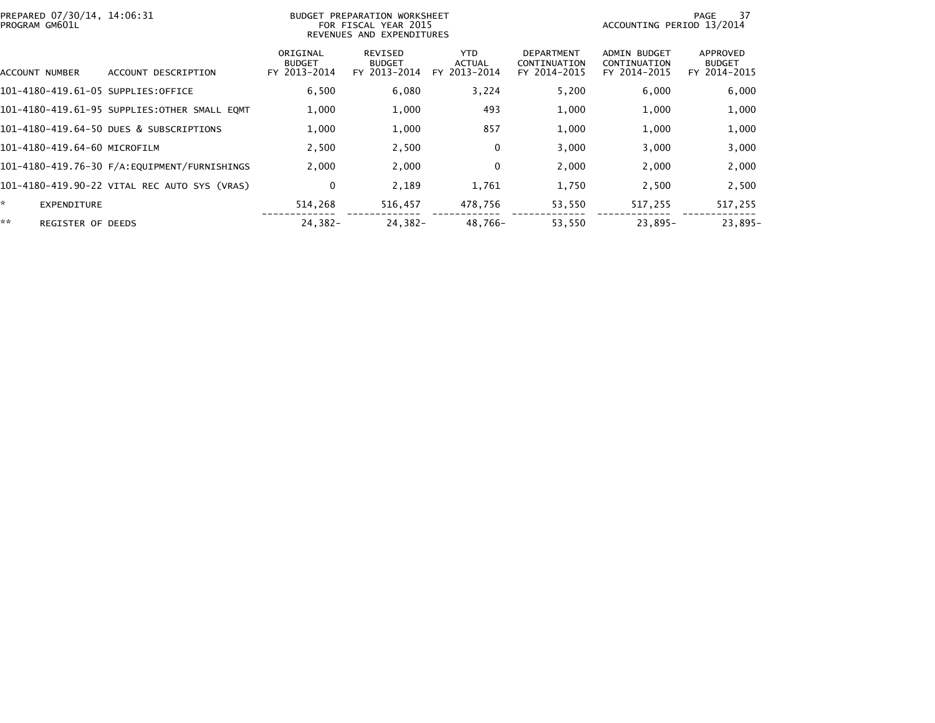| PREPARED 07/30/14, 14:06:31<br>PROGRAM GM601L |                                              |                                           | BUDGET PREPARATION WORKSHEET<br>FOR FISCAL YEAR 2015<br>REVENUES AND EXPENDITURES | 37<br>PAGE<br>ACCOUNTING PERIOD 13/2014 |                                                   |                                                     |                                           |
|-----------------------------------------------|----------------------------------------------|-------------------------------------------|-----------------------------------------------------------------------------------|-----------------------------------------|---------------------------------------------------|-----------------------------------------------------|-------------------------------------------|
| ACCOUNT NUMBER                                | ACCOUNT DESCRIPTION                          | ORIGINAL<br><b>BUDGET</b><br>FY 2013-2014 | REVISED<br><b>BUDGET</b><br>FY 2013-2014                                          | YTD.<br><b>ACTUAL</b><br>FY 2013-2014   | <b>DEPARTMENT</b><br>CONTINUATION<br>FY 2014-2015 | <b>ADMIN BUDGET</b><br>CONTINUATION<br>FY 2014-2015 | APPROVED<br><b>BUDGET</b><br>FY 2014-2015 |
| 101-4180-419.61-05 SUPPLIES:OFFICE            |                                              | 6,500                                     | 6,080                                                                             | 3,224                                   | 5,200                                             | 6,000                                               | 6,000                                     |
|                                               | 101-4180-419.61-95 SUPPLIES:OTHER SMALL EQMT | 1,000                                     | 1,000                                                                             | 493                                     | 1,000                                             | 1,000                                               | 1,000                                     |
|                                               | 101-4180-419.64-50 DUES & SUBSCRIPTIONS      | 1,000                                     | 1,000                                                                             | 857                                     | 1,000                                             | 1,000                                               | 1,000                                     |
| 101-4180-419.64-60 MICROFILM                  |                                              | 2.500                                     | 2,500                                                                             | $\mathbf 0$                             | 3,000                                             | 3,000                                               | 3,000                                     |
|                                               |                                              | 2,000                                     | 2,000                                                                             | $\mathbf 0$                             | 2,000                                             | 2,000                                               | 2,000                                     |
|                                               | 101-4180-419.90-22 VITAL REC AUTO SYS (VRAS) | 0                                         | 2,189                                                                             | 1,761                                   | 1,750                                             | 2,500                                               | 2,500                                     |
| ×.<br><b>EXPENDITURE</b>                      |                                              | 514,268                                   | 516,457                                                                           | 478,756                                 | 53,550                                            | 517,255                                             | 517,255                                   |
| **<br><b>REGISTER OF DEEDS</b>                |                                              | $24.382 -$                                | $24.382 -$                                                                        | 48.766-                                 | 53,550                                            | $23.895 -$                                          | $23.895 -$                                |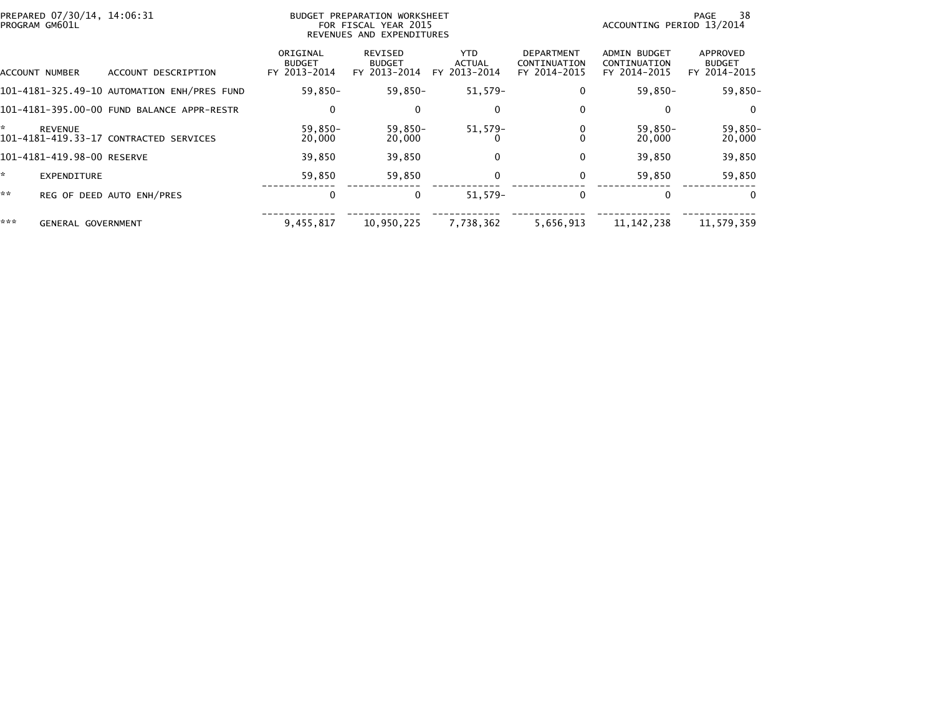|     | PREPARED 07/30/14, 14:06:31<br>PROGRAM GM601L |                                             | <b>BUDGET PREPARATION WORKSHEET</b><br>FOR FISCAL YEAR 2015<br>REVENUES AND EXPENDITURES |                                          |                                       |                                                   |                                              | 38<br>PAGE<br>ACCOUNTING PERIOD 13/2014   |  |  |
|-----|-----------------------------------------------|---------------------------------------------|------------------------------------------------------------------------------------------|------------------------------------------|---------------------------------------|---------------------------------------------------|----------------------------------------------|-------------------------------------------|--|--|
|     | ACCOUNT NUMBER                                | ACCOUNT DESCRIPTION                         | ORIGINAL<br><b>BUDGET</b><br>FY 2013-2014                                                | REVISED<br><b>BUDGET</b><br>FY 2013-2014 | YTD.<br><b>ACTUAL</b><br>FY 2013-2014 | <b>DEPARTMENT</b><br>CONTINUATION<br>FY 2014-2015 | ADMIN BUDGET<br>CONTINUATION<br>FY 2014-2015 | APPROVED<br><b>BUDGET</b><br>FY 2014-2015 |  |  |
|     |                                               | 101-4181-325.49-10 AUTOMATION ENH/PRES FUND | 59,850-                                                                                  | 59,850-                                  | 51,579-                               | 0                                                 | 59,850-                                      | 59,850-                                   |  |  |
|     |                                               | 101-4181-395.00-00 FUND BALANCE APPR-RESTR  | 0                                                                                        | $\Omega$                                 | 0                                     | 0                                                 | 0                                            | $\Omega$                                  |  |  |
| ÷.  | <b>REVENUE</b>                                | 101-4181-419.33-17 CONTRACTED SERVICES      | 59,850-<br>20,000                                                                        | 59,850-<br>20,000                        | $51,579-$                             |                                                   | $59,850-$<br>20,000                          | 59,850-<br>20,000                         |  |  |
|     | 101-4181-419.98-00 RESERVE                    |                                             | 39,850                                                                                   | 39,850                                   | $\Omega$                              | $\Omega$                                          | 39,850                                       | 39,850                                    |  |  |
| ×.  | <b>EXPENDITURE</b>                            |                                             | 59,850                                                                                   | 59,850                                   | $\mathbf 0$                           | 0                                                 | 59,850                                       | 59,850                                    |  |  |
| **  |                                               | REG OF DEED AUTO ENH/PRES                   | 0                                                                                        | $\mathbf{0}$                             | $51.579-$                             | 0                                                 | $\Omega$                                     | $\Omega$                                  |  |  |
| *** | <b>GENERAL GOVERNMENT</b>                     |                                             | 9,455,817                                                                                | 10,950,225                               | 7,738,362                             | 5,656,913                                         | 11, 142, 238                                 | 11,579,359                                |  |  |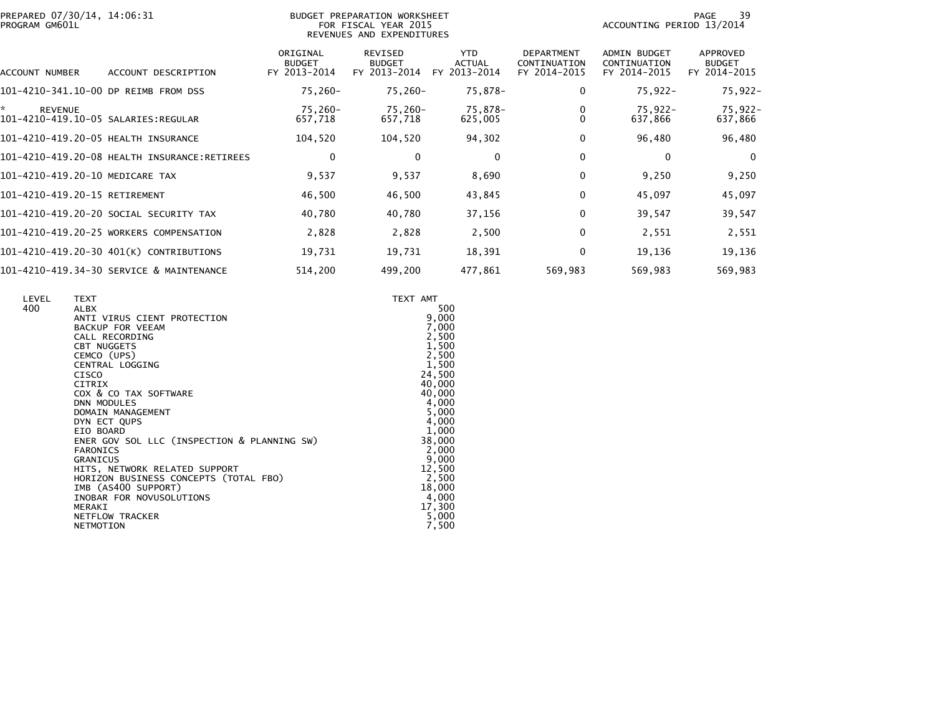| PREPARED 07/30/14, 14:06:31 |  |
|-----------------------------|--|
| PROGRAM GM601L              |  |

## PREPARED 07/30/14, 14:06:31 BUDGET PREPARATION WORKSHEET PAGE 39PROGRAM GM601L FOR FISCAL YEAR 2015 ACCOUNTING PERIOD 13/2014 REVENUES AND EXPENDITURES

PAGE 39<br>ACCOUNTING PERIOD 13/2014

| ACCOUNT DESCRIPTION<br>ACCOUNT NUMBER                 | ORIGINAL<br><b>BUDGET</b><br>FY 2013-2014 | REVISED<br><b>BUDGET</b><br>FY 2013-2014 | <b>YTD</b><br><b>ACTUAL</b><br>2013-2014<br>FY. | <b>DEPARTMENT</b><br>CONTINUATION<br>FY 2014-2015 | <b>ADMIN BUDGET</b><br>CONTINUATION<br>FY 2014-2015 | APPROVED<br><b>BUDGET</b><br>FY 2014-2015 |
|-------------------------------------------------------|-------------------------------------------|------------------------------------------|-------------------------------------------------|---------------------------------------------------|-----------------------------------------------------|-------------------------------------------|
| 101-4210-341.10-00 DP REIMB FROM DSS                  | $75,260 -$                                | 75,260-                                  | 75,878-                                         | 0                                                 | $75,922 -$                                          | 75,922-                                   |
| <b>REVENUE</b><br>101-4210-419.10-05 SALARIES:REGULAR | 75.260-<br>657,718                        | 75,260-<br>657,718                       | 75,878-<br>625,005                              |                                                   | $75.922 -$<br>637,866                               | 75,922-<br>637,866                        |
| 101-4210-419.20-05 HEALTH INSURANCE                   | 104,520                                   | 104,520                                  | 94,302                                          | 0                                                 | 96,480                                              | 96,480                                    |
| 101-4210-419.20-08 HEALTH INSURANCE:RETIREES          | 0                                         | 0                                        | $\mathbf{0}$                                    | $\Omega$                                          | $\Omega$                                            | $\overline{0}$                            |
| 101-4210-419.20-10 MEDICARE TAX                       | 9,537                                     | 9,537                                    | 8,690                                           | 0                                                 | 9,250                                               | 9,250                                     |
| 101-4210-419.20-15 RETIREMENT                         | 46,500                                    | 46,500                                   | 43,845                                          | $\Omega$                                          | 45,097                                              | 45,097                                    |
| 101-4210-419.20-20 SOCIAL SECURITY TAX                | 40,780                                    | 40,780                                   | 37,156                                          | 0                                                 | 39,547                                              | 39,547                                    |
| 101-4210-419.20-25 WORKERS COMPENSATION               | 2,828                                     | 2,828                                    | 2,500                                           | 0                                                 | 2,551                                               | 2,551                                     |
| 101-4210-419.20-30 401(K) CONTRIBUTIONS               | 19,731                                    | 19,731                                   | 18,391                                          | 0                                                 | 19,136                                              | 19,136                                    |
| 101-4210-419.34-30 SERVICE & MAINTENANCE              | 514,200                                   | 499,200                                  | 477,861                                         | 569,983                                           | 569,983                                             | 569,983                                   |

| LEVEL | <b>TEXT</b>                                 | TEXT AMT |
|-------|---------------------------------------------|----------|
| 400   | ALBX                                        | 500      |
|       | ANTI VIRUS CIENT PROTECTION                 | 9,000    |
|       | BACKUP FOR VEEAM                            | 7,000    |
|       | CALL RECORDING                              | 2,500    |
|       | <b>CBT NUGGETS</b>                          | 1,500    |
|       | CEMCO (UPS)                                 | 2,500    |
|       | CENTRAL LOGGING                             | 1,500    |
|       | <b>CISCO</b>                                | 24,500   |
|       | <b>CITRIX</b>                               | 40,000   |
|       | COX & CO TAX SOFTWARE                       | 40,000   |
|       | <b>DNN MODULES</b>                          | 4,000    |
|       | DOMAIN MANAGEMENT                           | 5,000    |
|       | DYN ECT QUPS                                | 4,000    |
|       | EIO BOARD                                   | 1,000    |
|       |                                             | 38,000   |
|       | ENER GOV SOL LLC (INSPECTION & PLANNING SW) |          |
|       | <b>FARONICS</b>                             | 2,000    |
|       | <b>GRANICUS</b>                             | 9,000    |
|       | HITS, NETWORK RELATED SUPPORT               | 12,500   |
|       | HORIZON BUSINESS CONCEPTS (TOTAL FBO)       | 2,500    |
|       | IMB (AS400 SUPPORT)                         | 18,000   |
|       | INOBAR FOR NOVUSOLUTIONS                    | 4,000    |
|       | MERAKI                                      | 17,300   |
|       | NETFLOW TRACKER                             | 5,000    |
|       | NETMOTION                                   | 7,500    |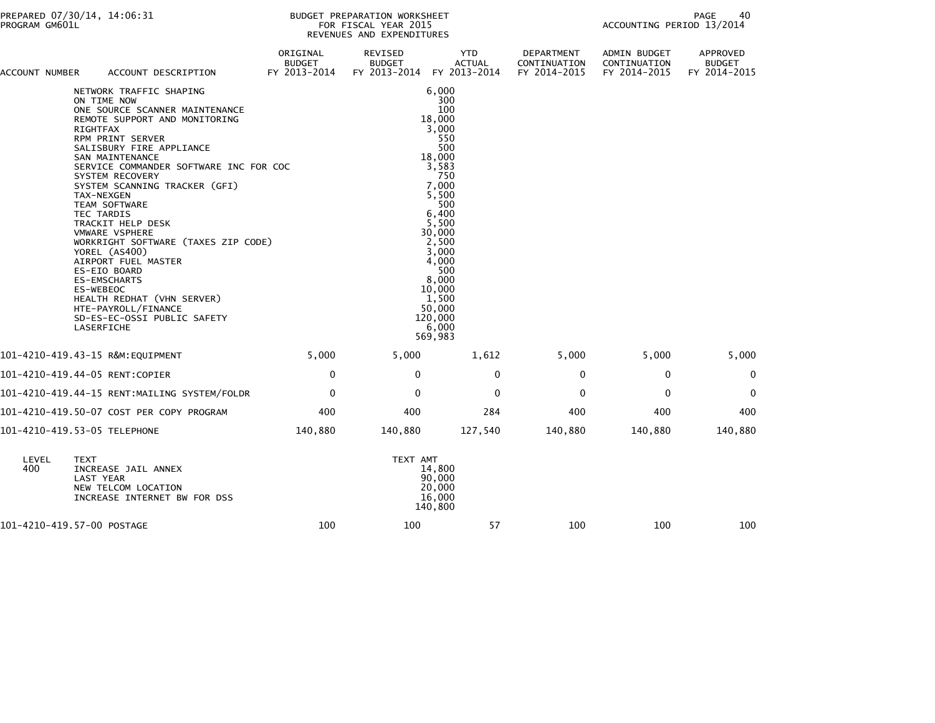| ACCOUNT NUMBER | ACCOUNT DESCRIPTION                                                                                                                                                                                                                                                                                                                                                                                                                                                                                                                                                                                                                  | ORIGINAL<br><b>BUDGET</b><br>FY 2013-2014 | REVISED<br><b>BUDGET</b><br>FY 2013-2014 | <b>YTD</b><br><b>ACTUAL</b><br>FY 2013-2014                                                                                                                                                                                                | DEPARTMENT<br>CONTINUATION<br>FY 2014-2015 | ADMIN BUDGET<br>CONTINUATION<br>FY 2014-2015 | APPROVED<br><b>BUDGET</b><br>FY 2014-2015 |
|----------------|--------------------------------------------------------------------------------------------------------------------------------------------------------------------------------------------------------------------------------------------------------------------------------------------------------------------------------------------------------------------------------------------------------------------------------------------------------------------------------------------------------------------------------------------------------------------------------------------------------------------------------------|-------------------------------------------|------------------------------------------|--------------------------------------------------------------------------------------------------------------------------------------------------------------------------------------------------------------------------------------------|--------------------------------------------|----------------------------------------------|-------------------------------------------|
|                | NETWORK TRAFFIC SHAPING<br>ON TIME NOW<br>ONE SOURCE SCANNER MAINTENANCE<br>REMOTE SUPPORT AND MONITORING<br><b>RIGHTFAX</b><br>RPM PRINT SERVER<br>SALISBURY FIRE APPLIANCE<br>SAN MAINTENANCE<br>SERVICE COMMANDER SOFTWARE INC FOR COC<br>SYSTEM RECOVERY<br>SYSTEM SCANNING TRACKER (GFI)<br>TAX-NEXGEN<br><b>TEAM SOFTWARE</b><br>TEC TARDIS<br>TRACKIT HELP DESK<br><b>VMWARE VSPHERE</b><br>WORKRIGHT SOFTWARE (TAXES ZIP CODE)<br>YOREL (AS400)<br>AIRPORT FUEL MASTER<br>ES-EIO BOARD<br><b>ES-EMSCHARTS</b><br>ES-WEBEOC<br>HEALTH REDHAT (VHN SERVER)<br>HTE-PAYROLL/FINANCE<br>SD-ES-EC-OSSI PUBLIC SAFETY<br>LASERFICHE |                                           |                                          | 6,000<br>300<br>100<br>18,000<br>3.000<br>550<br>500<br>18,000<br>3,583<br>750<br>7,000<br>5,500<br>500<br>6,400<br>5,500<br>30,000<br>2,500<br>3,000<br>4,000<br>500<br>8,000<br>10,000<br>1,500<br>50,000<br>120,000<br>6,000<br>569,983 |                                            |                                              |                                           |
|                | 101-4210-419.43-15 R&M:EQUIPMENT                                                                                                                                                                                                                                                                                                                                                                                                                                                                                                                                                                                                     | 5,000                                     | 5,000                                    | 1,612                                                                                                                                                                                                                                      | 5,000                                      | 5,000                                        | 5,000                                     |
|                | 101-4210-419.44-05 RENT:COPIER                                                                                                                                                                                                                                                                                                                                                                                                                                                                                                                                                                                                       | 0                                         | $\Omega$                                 | $\mathbf{0}$                                                                                                                                                                                                                               | 0                                          | $\mathbf 0$                                  | $\Omega$                                  |
|                | 101-4210-419.44-15 RENT:MAILING SYSTEM/FOLDR                                                                                                                                                                                                                                                                                                                                                                                                                                                                                                                                                                                         | $\mathbf 0$                               | $\Omega$                                 | $\mathbf 0$                                                                                                                                                                                                                                | 0                                          | $\mathbf{0}$                                 | $\Omega$                                  |
|                | 101-4210-419.50-07 COST PER COPY PROGRAM                                                                                                                                                                                                                                                                                                                                                                                                                                                                                                                                                                                             | 400                                       | 400                                      | 284                                                                                                                                                                                                                                        | 400                                        | 400                                          | 400                                       |
|                | 101-4210-419.53-05 TELEPHONE                                                                                                                                                                                                                                                                                                                                                                                                                                                                                                                                                                                                         | 140,880                                   | 140,880                                  | 127,540                                                                                                                                                                                                                                    | 140,880                                    | 140,880                                      | 140,880                                   |
| LEVEL<br>400   | <b>TEXT</b><br>INCREASE JAIL ANNEX<br>LAST YEAR<br>NEW TELCOM LOCATION<br>INCREASE INTERNET BW FOR DSS                                                                                                                                                                                                                                                                                                                                                                                                                                                                                                                               |                                           | TEXT AMT                                 | 14,800<br>90,000<br>20,000<br>16,000<br>140,800                                                                                                                                                                                            |                                            |                                              |                                           |
|                | 101-4210-419.57-00 POSTAGE                                                                                                                                                                                                                                                                                                                                                                                                                                                                                                                                                                                                           | 100                                       | 100                                      | 57                                                                                                                                                                                                                                         | 100                                        | 100                                          | 100                                       |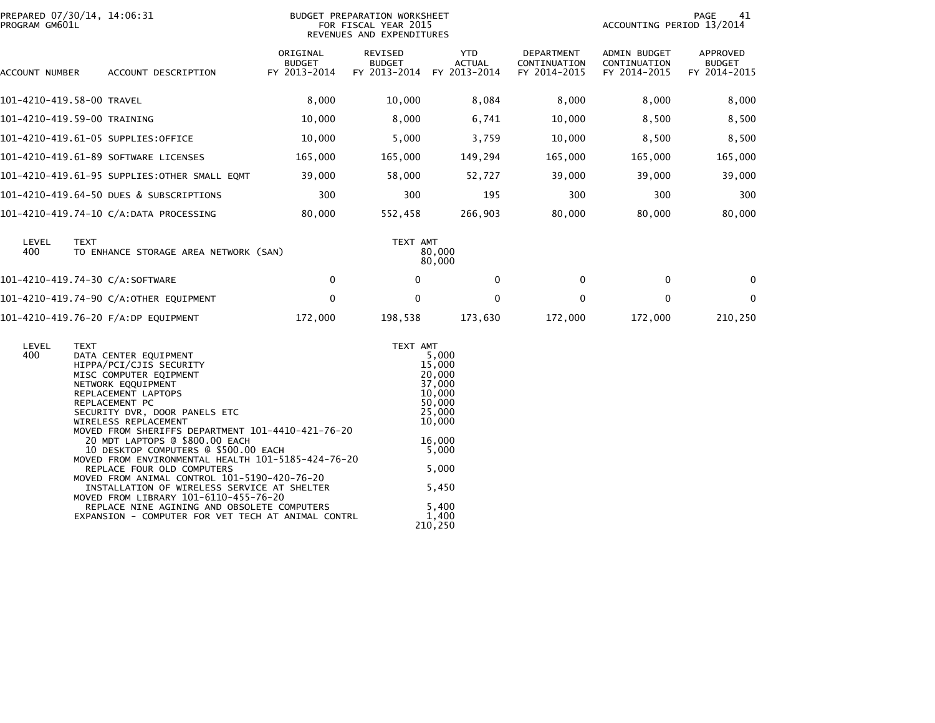| PROGRAM GM601L | PREPARED 07/30/14, 14:06:31                                                                                                                                                                                                                                                                                                                                                                                                                                                                                                                                                                                                                                                       | BUDGET PREPARATION WORKSHEET<br>FOR FISCAL YEAR 2015<br>REVENUES AND EXPENDITURES |                                                       |                                                                                                                                               |                                            | PAGE<br>41<br>ACCOUNTING PERIOD 13/2014      |                                           |
|----------------|-----------------------------------------------------------------------------------------------------------------------------------------------------------------------------------------------------------------------------------------------------------------------------------------------------------------------------------------------------------------------------------------------------------------------------------------------------------------------------------------------------------------------------------------------------------------------------------------------------------------------------------------------------------------------------------|-----------------------------------------------------------------------------------|-------------------------------------------------------|-----------------------------------------------------------------------------------------------------------------------------------------------|--------------------------------------------|----------------------------------------------|-------------------------------------------|
| ACCOUNT NUMBER | ACCOUNT DESCRIPTION                                                                                                                                                                                                                                                                                                                                                                                                                                                                                                                                                                                                                                                               | ORIGINAL<br><b>BUDGET</b><br>FY 2013-2014                                         | REVISED<br><b>BUDGET</b><br>FY 2013-2014 FY 2013-2014 | YTD<br><b>ACTUAL</b>                                                                                                                          | DEPARTMENT<br>CONTINUATION<br>FY 2014-2015 | ADMIN BUDGET<br>CONTINUATION<br>FY 2014-2015 | APPROVED<br><b>BUDGET</b><br>FY 2014-2015 |
|                | 101-4210-419.58-00 TRAVEL                                                                                                                                                                                                                                                                                                                                                                                                                                                                                                                                                                                                                                                         | 8,000                                                                             | 10,000                                                | 8,084                                                                                                                                         | 8,000                                      | 8,000                                        | 8,000                                     |
|                | 101-4210-419.59-00 TRAINING                                                                                                                                                                                                                                                                                                                                                                                                                                                                                                                                                                                                                                                       | 10,000                                                                            | 8,000                                                 | 6,741                                                                                                                                         | 10,000                                     | 8,500                                        | 8,500                                     |
|                | 101-4210-419.61-05 SUPPLIES:OFFICE                                                                                                                                                                                                                                                                                                                                                                                                                                                                                                                                                                                                                                                | 10,000                                                                            | 5,000                                                 | 3,759                                                                                                                                         | 10,000                                     | 8,500                                        | 8,500                                     |
|                | 101-4210-419.61-89 SOFTWARE LICENSES                                                                                                                                                                                                                                                                                                                                                                                                                                                                                                                                                                                                                                              | 165,000                                                                           | 165,000                                               | 149,294                                                                                                                                       | 165,000                                    | 165,000                                      | 165,000                                   |
|                | 101-4210-419.61-95 SUPPLIES:OTHER SMALL EQMT                                                                                                                                                                                                                                                                                                                                                                                                                                                                                                                                                                                                                                      | 39,000                                                                            | 58,000                                                | 52,727                                                                                                                                        | 39,000                                     | 39,000                                       | 39,000                                    |
|                | 101-4210-419.64-50 DUES & SUBSCRIPTIONS                                                                                                                                                                                                                                                                                                                                                                                                                                                                                                                                                                                                                                           | 300                                                                               | 300                                                   | 195                                                                                                                                           | 300                                        | 300                                          | 300                                       |
|                | 101-4210-419.74-10 C/A:DATA PROCESSING                                                                                                                                                                                                                                                                                                                                                                                                                                                                                                                                                                                                                                            | 80,000                                                                            | 552,458                                               | 266,903                                                                                                                                       | 80,000                                     | 80,000                                       | 80,000                                    |
| LEVEL<br>400   | <b>TEXT</b><br>TO ENHANCE STORAGE AREA NETWORK (SAN)                                                                                                                                                                                                                                                                                                                                                                                                                                                                                                                                                                                                                              | TEXT AMT<br>80,000<br>80,000                                                      |                                                       |                                                                                                                                               |                                            |                                              |                                           |
|                | 101-4210-419.74-30 C/A:SOFTWARE                                                                                                                                                                                                                                                                                                                                                                                                                                                                                                                                                                                                                                                   | 0                                                                                 | $\mathbf 0$                                           | 0                                                                                                                                             | $\mathbf 0$                                | $\mathbf 0$                                  | $\mathbf 0$                               |
|                | 101-4210-419.74-90 C/A:OTHER EQUIPMENT                                                                                                                                                                                                                                                                                                                                                                                                                                                                                                                                                                                                                                            | $\mathbf 0$                                                                       | $\mathbf{0}$                                          | $\mathbf{0}$                                                                                                                                  | $\mathbf{0}$                               | $\mathbf 0$                                  | 0                                         |
|                | 101-4210-419.76-20 F/A:DP EQUIPMENT                                                                                                                                                                                                                                                                                                                                                                                                                                                                                                                                                                                                                                               | 172,000                                                                           | 198,538                                               | 173,630                                                                                                                                       | 172,000                                    | 172,000                                      | 210,250                                   |
| LEVEL<br>400   | <b>TEXT</b><br>DATA CENTER EQUIPMENT<br>HIPPA/PCI/CJIS SECURITY<br>MISC COMPUTER EQIPMENT<br>NETWORK EQQUIPMENT<br>REPLACEMENT LAPTOPS<br>REPLACEMENT PC<br>SECURITY DVR, DOOR PANELS ETC<br>WIRELESS REPLACEMENT<br>MOVED FROM SHERIFFS DEPARTMENT 101-4410-421-76-20<br>20 MDT LAPTOPS @ \$800.00 EACH<br>10 DESKTOP COMPUTERS @ \$500.00 EACH<br>MOVED FROM ENVIRONMENTAL HEALTH 101-5185-424-76-20<br>REPLACE FOUR OLD COMPUTERS<br>MOVED FROM ANIMAL CONTROL 101-5190-420-76-20<br>INSTALLATION OF WIRELESS SERVICE AT SHELTER<br>MOVED FROM LIBRARY 101-6110-455-76-20<br>REPLACE NINE AGINING AND OBSOLETE COMPUTERS<br>EXPANSION - COMPUTER FOR VET TECH AT ANIMAL CONTRL |                                                                                   | TEXT AMT                                              | 5,000<br>15,000<br>20,000<br>37,000<br>10,000<br>50,000<br>25,000<br>10,000<br>16,000<br>5,000<br>5,000<br>5,450<br>5,400<br>1,400<br>210,250 |                                            |                                              |                                           |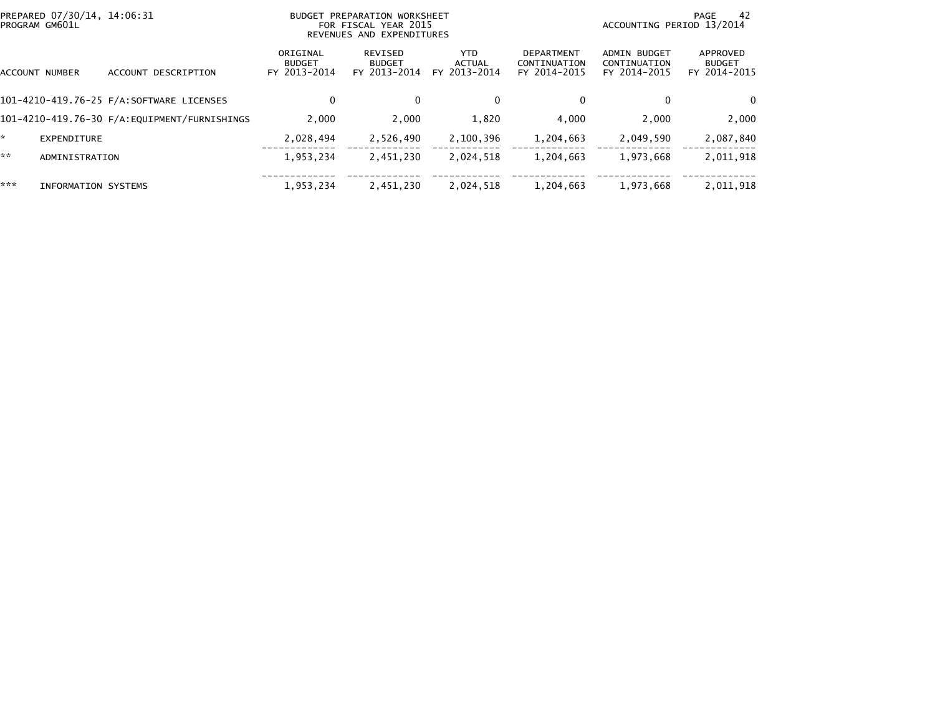|     | PREPARED 07/30/14, 14:06:31<br>PROGRAM GM601L |                                              | PREPARATION WORKSHEET<br>BUDGET<br>FOR FISCAL YEAR 2015<br>REVENUES AND EXPENDITURES |                                          |                                       |                                                   | ACCOUNTING PERIOD 13/2014                           | 42<br>PAGE                                |
|-----|-----------------------------------------------|----------------------------------------------|--------------------------------------------------------------------------------------|------------------------------------------|---------------------------------------|---------------------------------------------------|-----------------------------------------------------|-------------------------------------------|
|     | ACCOUNT NUMBER                                | DESCRIPTION<br><b>ACCOUNT</b>                | ORIGINAL<br><b>BUDGET</b><br>FY 2013-2014                                            | REVISED<br><b>BUDGET</b><br>FY 2013-2014 | YTD.<br><b>ACTUAL</b><br>FY 2013-2014 | <b>DEPARTMENT</b><br>CONTINUATION<br>FY 2014-2015 | <b>ADMIN BUDGET</b><br>CONTINUATION<br>FY 2014-2015 | APPROVED<br><b>BUDGET</b><br>FY 2014-2015 |
|     |                                               | 101-4210-419.76-25 F/A:SOFTWARE LICENSES     | 0                                                                                    | $\mathbf{0}$                             | $\mathbf{0}$                          | 0                                                 | $\Omega$                                            | $\Omega$                                  |
|     |                                               | 101-4210-419.76-30 F/A:EQUIPMENT/FURNISHINGS | 2.000                                                                                | 2,000                                    | 1,820                                 | 4,000                                             | 2,000                                               | 2,000                                     |
|     | <b>EXPENDITURE</b>                            |                                              | 2,028,494                                                                            | 2,526,490                                | 2,100,396                             | 1,204,663                                         | 2,049,590                                           | 2,087,840                                 |
| **  | ADMINISTRATION                                |                                              | 1,953,234                                                                            | 2,451,230                                | 2,024,518                             | 1,204,663                                         | 1,973,668                                           | 2,011,918                                 |
| *** | INFORMATION SYSTEMS                           |                                              | 1,953,234                                                                            | 2,451,230                                | 2,024,518                             | 1,204,663                                         | 1,973,668                                           | 2,011,918                                 |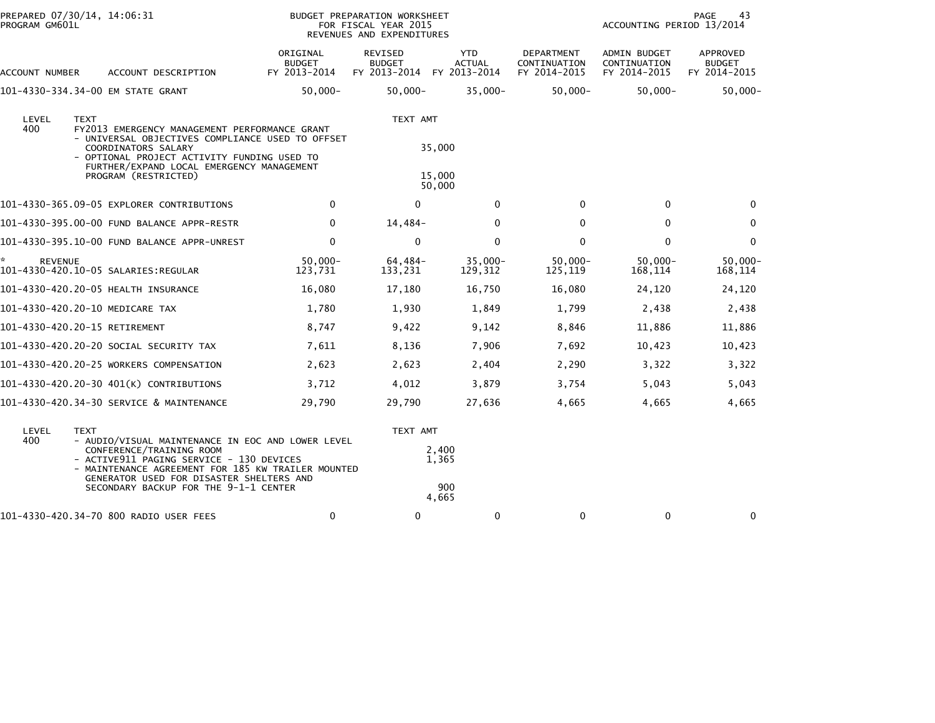| PREPARED 07/30/14, 14:06:31<br>BUDGET PREPARATION WORKSHEET<br>PROGRAM GM601L<br>FOR FISCAL YEAR 2015<br>REVENUES AND EXPENDITURES |                                                                                                                                                                                                                                                                      |                                           |                                                       | PAGE<br>43<br>ACCOUNTING PERIOD 13/2014 |                                            |                                              |                                           |
|------------------------------------------------------------------------------------------------------------------------------------|----------------------------------------------------------------------------------------------------------------------------------------------------------------------------------------------------------------------------------------------------------------------|-------------------------------------------|-------------------------------------------------------|-----------------------------------------|--------------------------------------------|----------------------------------------------|-------------------------------------------|
| ACCOUNT NUMBER                                                                                                                     | ACCOUNT DESCRIPTION                                                                                                                                                                                                                                                  | ORIGINAL<br><b>BUDGET</b><br>FY 2013-2014 | REVISED<br><b>BUDGET</b><br>FY 2013-2014 FY 2013-2014 | <b>YTD</b><br><b>ACTUAL</b>             | DEPARTMENT<br>CONTINUATION<br>FY 2014-2015 | ADMIN BUDGET<br>CONTINUATION<br>FY 2014-2015 | APPROVED<br><b>BUDGET</b><br>FY 2014-2015 |
| 101-4330-334.34-00 EM STATE GRANT                                                                                                  |                                                                                                                                                                                                                                                                      | $50,000 -$                                | $50,000 -$                                            | $35,000 -$                              | $50,000 -$                                 | $50,000 -$                                   | $50,000 -$                                |
| LEVEL<br><b>TEXT</b><br>400                                                                                                        | FY2013 EMERGENCY MANAGEMENT PERFORMANCE GRANT<br>- UNIVERSAL OBJECTIVES COMPLIANCE USED TO OFFSET<br>COORDINATORS SALARY<br>- OPTIONAL PROJECT ACTIVITY FUNDING USED TO<br>FURTHER/EXPAND LOCAL EMERGENCY MANAGEMENT<br>PROGRAM (RESTRICTED)                         |                                           | TEXT AMT                                              | 35,000<br>15,000<br>50,000              |                                            |                                              |                                           |
|                                                                                                                                    | 101-4330-365.09-05 EXPLORER CONTRIBUTIONS                                                                                                                                                                                                                            | 0                                         | $\mathbf{0}$                                          | $\mathbf{0}$                            | $\mathbf{0}$                               | $\mathbf{0}$                                 | $\Omega$                                  |
|                                                                                                                                    | 101-4330-395.00-00 FUND BALANCE APPR-RESTR                                                                                                                                                                                                                           | 0                                         | 14,484-                                               | $\mathbf{0}$                            | $\Omega$                                   | $\Omega$                                     | $\Omega$                                  |
|                                                                                                                                    | 101-4330-395.10-00 FUND BALANCE APPR-UNREST                                                                                                                                                                                                                          | $\mathbf 0$                               | $\mathbf{0}$                                          | $\mathbf{0}$                            | $\Omega$                                   | $\mathbf{0}$                                 | $\Omega$                                  |
| ×.<br><b>REVENUE</b><br>101-4330-420.10-05 SALARIES:REGULAR                                                                        |                                                                                                                                                                                                                                                                      | $50.000 -$<br>123,731                     | 64,484-<br>133,231                                    | $35,000 -$<br>129,312                   | $50,000 -$<br>125,119                      | $50.000 -$<br>168,114                        | $50.000 -$<br>168,114                     |
| 101-4330-420.20-05 HEALTH INSURANCE                                                                                                |                                                                                                                                                                                                                                                                      | 16,080                                    | 17,180                                                | 16,750                                  | 16,080                                     | 24,120                                       | 24,120                                    |
| 101-4330-420.20-10 MEDICARE TAX                                                                                                    |                                                                                                                                                                                                                                                                      | 1,780                                     | 1,930                                                 | 1,849                                   | 1,799                                      | 2,438                                        | 2,438                                     |
| 101-4330-420.20-15 RETIREMENT                                                                                                      |                                                                                                                                                                                                                                                                      | 8,747                                     | 9,422                                                 | 9,142                                   | 8,846                                      | 11,886                                       | 11,886                                    |
|                                                                                                                                    | 101–4330–420.20–20 SOCIAL SECURITY TAX                                                                                                                                                                                                                               | 7,611                                     | 8,136                                                 | 7,906                                   | 7,692                                      | 10,423                                       | 10,423                                    |
|                                                                                                                                    | 101-4330-420.20-25 WORKERS COMPENSATION                                                                                                                                                                                                                              | 2,623                                     | 2,623                                                 | 2,404                                   | 2,290                                      | 3,322                                        | 3,322                                     |
|                                                                                                                                    | 101-4330-420.20-30 401(K) CONTRIBUTIONS                                                                                                                                                                                                                              | 3,712                                     | 4,012                                                 | 3,879                                   | 3,754                                      | 5,043                                        | 5,043                                     |
|                                                                                                                                    | 101-4330-420.34-30 SERVICE & MAINTENANCE                                                                                                                                                                                                                             | 29,790                                    | 29,790                                                | 27,636                                  | 4,665                                      | 4,665                                        | 4,665                                     |
| LEVEL<br><b>TEXT</b><br>400                                                                                                        | - AUDIO/VISUAL MAINTENANCE IN EOC AND LOWER LEVEL<br>CONFERENCE/TRAINING ROOM<br>- ACTIVE911 PAGING SERVICE - 130 DEVICES<br>- MAINTENANCE AGREEMENT FOR 185 KW TRAILER MOUNTED<br>GENERATOR USED FOR DISASTER SHELTERS AND<br>SECONDARY BACKUP FOR THE 9-1-1 CENTER |                                           | TEXT AMT                                              | 2,400<br>1,365<br>900<br>4,665          |                                            |                                              |                                           |

101-4330-420.34-70 800 RADIO USER FEES 0 0 0 0 0 0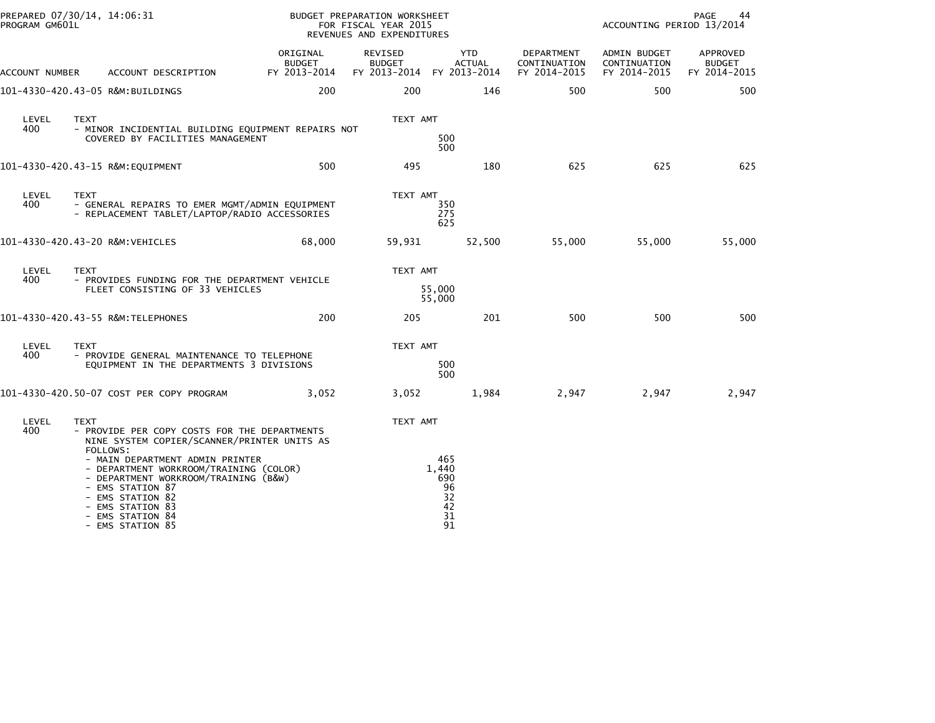| PROGRAM GM601L | PREPARED 07/30/14, 14:06:31                                                                                                                                                                                           |                                    | BUDGET PREPARATION WORKSHEET<br>FOR FISCAL YEAR 2015<br>REVENUES AND EXPENDITURES |                                                                |                                            | ACCOUNTING PERIOD 13/2014                    | PAGE<br>44                                |
|----------------|-----------------------------------------------------------------------------------------------------------------------------------------------------------------------------------------------------------------------|------------------------------------|-----------------------------------------------------------------------------------|----------------------------------------------------------------|--------------------------------------------|----------------------------------------------|-------------------------------------------|
| ACCOUNT NUMBER | ACCOUNT DESCRIPTION                                                                                                                                                                                                   | ORIGINAL<br>BUDGET<br>FY 2013-2014 | REVISED<br><b>BUDGET</b><br>FY 2013-2014 FY 2013-2014                             | YTD<br><b>ACTUAL</b>                                           | DEPARTMENT<br>CONTINUATION<br>FY 2014-2015 | ADMIN BUDGET<br>CONTINUATION<br>FY 2014-2015 | APPROVED<br><b>BUDGET</b><br>FY 2014-2015 |
|                | 101-4330-420.43-05 R&M:BUILDINGS                                                                                                                                                                                      | 200                                | 200                                                                               | 146                                                            | 500                                        | 500                                          | 500                                       |
| LEVEL<br>400   | <b>TEXT</b><br>- MINOR INCIDENTIAL BUILDING EQUIPMENT REPAIRS NOT<br>COVERED BY FACILITIES MANAGEMENT                                                                                                                 |                                    | TEXT AMT                                                                          | 500<br>500                                                     |                                            |                                              |                                           |
|                | 101-4330-420.43-15 R&M:EQUIPMENT                                                                                                                                                                                      | 500                                | 495                                                                               | 180                                                            | 625                                        | 625                                          | 625                                       |
| LEVEL<br>400   | <b>TEXT</b><br>- GENERAL REPAIRS TO EMER MGMT/ADMIN EQUIPMENT<br>- REPLACEMENT TABLET/LAPTOP/RADIO ACCESSORIES                                                                                                        |                                    | TEXT AMT                                                                          | 350<br>275<br>625                                              |                                            |                                              |                                           |
|                | 101-4330-420.43-20 R&M:VEHICLES                                                                                                                                                                                       | 68,000                             | 59,931                                                                            | 52,500                                                         | 55,000                                     | 55,000                                       | 55,000                                    |
| LEVEL<br>400   | <b>TEXT</b><br>- PROVIDES FUNDING FOR THE DEPARTMENT VEHICLE<br>FLEET CONSISTING OF 33 VEHICLES                                                                                                                       |                                    | TEXT AMT                                                                          | 55,000<br>55,000                                               |                                            |                                              |                                           |
|                | 101-4330-420.43-55 R&M:TELEPHONES                                                                                                                                                                                     | 200                                | 205                                                                               | 201                                                            | 500                                        | 500                                          | 500                                       |
| LEVEL<br>400   | <b>TEXT</b><br>- PROVIDE GENERAL MAINTENANCE TO TELEPHONE<br>EQUIPMENT IN THE DEPARTMENTS 3 DIVISIONS                                                                                                                 |                                    | TEXT AMT                                                                          | 500<br>500                                                     |                                            |                                              |                                           |
|                | 101-4330-420.50-07 COST PER COPY PROGRAM                                                                                                                                                                              | 3,052                              | 3,052                                                                             | 1,984                                                          | 2,947                                      | 2,947                                        | 2,947                                     |
| LEVEL<br>400   | <b>TEXT</b><br>- PROVIDE PER COPY COSTS FOR THE DEPARTMENTS<br>NINE SYSTEM COPIER/SCANNER/PRINTER UNITS AS<br>FOLLOWS:                                                                                                |                                    | TEXT AMT                                                                          |                                                                |                                            |                                              |                                           |
|                | - MAIN DEPARTMENT ADMIN PRINTER<br>- DEPARTMENT WORKROOM/TRAINING (COLOR)<br>- DEPARTMENT WORKROOM/TRAINING (B&W)<br>- EMS STATION 87<br>- EMS STATION 82<br>- EMS STATION 83<br>- EMS STATION 84<br>- EMS STATION 85 |                                    |                                                                                   | 465<br>1,440<br>690<br>96<br>32<br>42<br>$3\overline{1}$<br>91 |                                            |                                              |                                           |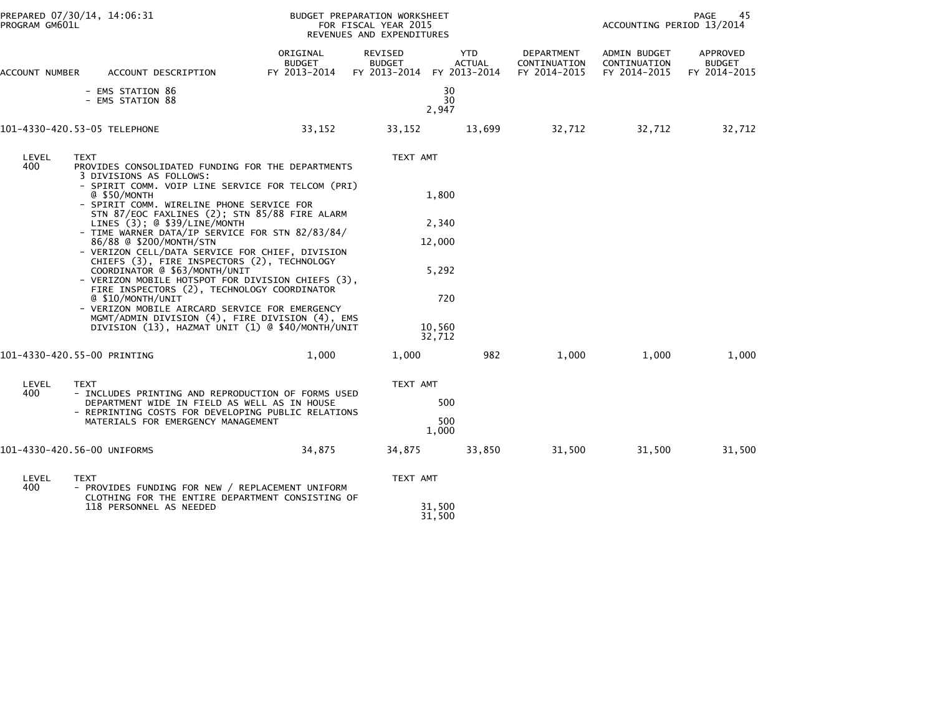| PREPARED 07/30/14, 14:06:31<br>PROGRAM GM601L |                                                                                                                                                                                                                                                                                                                                                                                                                                                                                                                                                                                                                                                                                                                                                                                                   |                                           | BUDGET PREPARATION WORKSHEET<br>ACCOUNTING PERIOD 13/2014<br>FOR FISCAL YEAR 2015<br>REVENUES AND EXPENDITURES |                                                              |                                            |                                              | PAGE<br>45                                |
|-----------------------------------------------|---------------------------------------------------------------------------------------------------------------------------------------------------------------------------------------------------------------------------------------------------------------------------------------------------------------------------------------------------------------------------------------------------------------------------------------------------------------------------------------------------------------------------------------------------------------------------------------------------------------------------------------------------------------------------------------------------------------------------------------------------------------------------------------------------|-------------------------------------------|----------------------------------------------------------------------------------------------------------------|--------------------------------------------------------------|--------------------------------------------|----------------------------------------------|-------------------------------------------|
| ACCOUNT NUMBER                                | ACCOUNT DESCRIPTION                                                                                                                                                                                                                                                                                                                                                                                                                                                                                                                                                                                                                                                                                                                                                                               | ORIGINAL<br><b>BUDGET</b><br>FY 2013-2014 | REVISED<br><b>BUDGET</b><br>FY 2013-2014 FY 2013-2014                                                          | <b>YTD</b><br><b>ACTUAL</b>                                  | DEPARTMENT<br>CONTINUATION<br>FY 2014-2015 | ADMIN BUDGET<br>CONTINUATION<br>FY 2014-2015 | APPROVED<br><b>BUDGET</b><br>FY 2014-2015 |
|                                               | - EMS STATION 86<br>- EMS STATION 88                                                                                                                                                                                                                                                                                                                                                                                                                                                                                                                                                                                                                                                                                                                                                              |                                           |                                                                                                                | 30<br>30<br>2,947                                            |                                            |                                              |                                           |
|                                               | 101-4330-420.53-05 TELEPHONE                                                                                                                                                                                                                                                                                                                                                                                                                                                                                                                                                                                                                                                                                                                                                                      | 33,152                                    | 33,152                                                                                                         | 13,699                                                       | 32,712                                     | 32,712                                       | 32,712                                    |
| LEVEL<br>400                                  | <b>TEXT</b><br>PROVIDES CONSOLIDATED FUNDING FOR THE DEPARTMENTS<br>3 DIVISIONS AS FOLLOWS:<br>- SPIRIT COMM. VOIP LINE SERVICE FOR TELCOM (PRI)<br>@ \$50/MONTH<br>- SPIRIT COMM. WIRELINE PHONE SERVICE FOR<br>STN 87/EOC FAXLINES (2); STN 85/88 FIRE ALARM<br>LINES (3); @ \$39/LINE/MONTH<br>- TIME WARNER DATA/IP SERVICE FOR STN 82/83/84/<br>86/88 @ \$200/MONTH/STN<br>- VERIZON CELL/DATA SERVICE FOR CHIEF, DIVISION<br>CHIEFS (3), FIRE INSPECTORS (2), TECHNOLOGY<br>COORDINATOR @ \$63/MONTH/UNIT<br>- VERIZON MOBILE HOTSPOT FOR DIVISION CHIEFS (3),<br>FIRE INSPECTORS (2), TECHNOLOGY COORDINATOR<br>@ \$10/MONTH/UNIT<br>- VERIZON MOBILE AIRCARD SERVICE FOR EMERGENCY<br>MGMT/ADMIN DIVISION (4), FIRE DIVISION (4), EMS<br>DIVISION (13), HAZMAT UNIT (1) @ \$40/MONTH/UNIT |                                           | TEXT AMT                                                                                                       | 1,800<br>2,340<br>12,000<br>5,292<br>720<br>10,560<br>32,712 |                                            |                                              |                                           |
|                                               | 101-4330-420.55-00 PRINTING                                                                                                                                                                                                                                                                                                                                                                                                                                                                                                                                                                                                                                                                                                                                                                       | 1,000                                     | 1,000                                                                                                          | 982                                                          | 1,000                                      | 1,000                                        | 1,000                                     |
| LEVEL<br>400                                  | <b>TEXT</b><br>- INCLUDES PRINTING AND REPRODUCTION OF FORMS USED<br>DEPARTMENT WIDE IN FIELD AS WELL AS IN HOUSE<br>- REPRINTING COSTS FOR DEVELOPING PUBLIC RELATIONS<br>MATERIALS FOR EMERGENCY MANAGEMENT                                                                                                                                                                                                                                                                                                                                                                                                                                                                                                                                                                                     |                                           | TEXT AMT                                                                                                       | 500<br>500<br>1,000                                          |                                            |                                              |                                           |
|                                               | 101-4330-420.56-00 UNIFORMS                                                                                                                                                                                                                                                                                                                                                                                                                                                                                                                                                                                                                                                                                                                                                                       | 34,875                                    | 34,875                                                                                                         | 33,850                                                       | 31,500                                     | 31,500                                       | 31,500                                    |
| LEVEL<br>400                                  | <b>TEXT</b><br>- PROVIDES FUNDING FOR NEW / REPLACEMENT UNIFORM<br>CLOTHING FOR THE ENTIRE DEPARTMENT CONSISTING OF<br>118 PERSONNEL AS NEEDED                                                                                                                                                                                                                                                                                                                                                                                                                                                                                                                                                                                                                                                    |                                           | TEXT AMT                                                                                                       | 31,500                                                       |                                            |                                              |                                           |
|                                               |                                                                                                                                                                                                                                                                                                                                                                                                                                                                                                                                                                                                                                                                                                                                                                                                   |                                           |                                                                                                                | 31,500                                                       |                                            |                                              |                                           |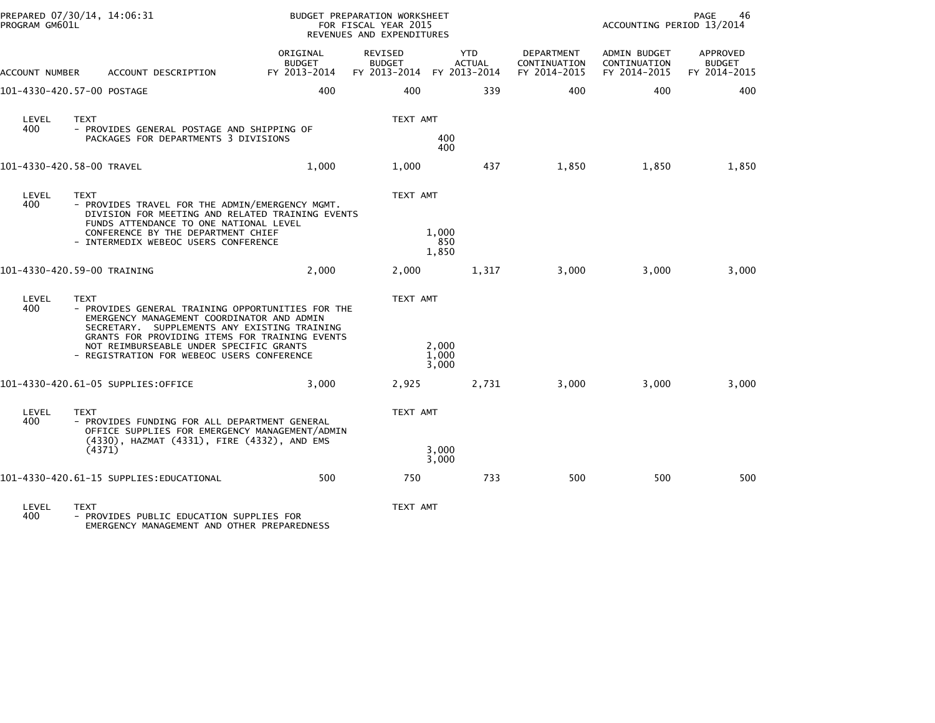| REVENUES AND EXPENDITURES                                                                                                                                                                                                                                                                                                                                        |                                            |                                                     |                                           |
|------------------------------------------------------------------------------------------------------------------------------------------------------------------------------------------------------------------------------------------------------------------------------------------------------------------------------------------------------------------|--------------------------------------------|-----------------------------------------------------|-------------------------------------------|
| ORIGINAL<br><b>REVISED</b><br><b>YTD</b><br><b>BUDGET</b><br><b>BUDGET</b><br><b>ACTUAL</b><br>FY 2013-2014<br>FY 2013-2014<br>FY 2013-2014<br>ACCOUNT DESCRIPTION<br>ACCOUNT NUMBER                                                                                                                                                                             | DEPARTMENT<br>CONTINUATION<br>FY 2014-2015 | <b>ADMIN BUDGET</b><br>CONTINUATION<br>FY 2014-2015 | APPROVED<br><b>BUDGET</b><br>FY 2014-2015 |
| 400<br>400<br>339<br>101-4330-420.57-00 POSTAGE                                                                                                                                                                                                                                                                                                                  | 400                                        | 400                                                 | 400                                       |
| <b>TEXT</b><br>LEVEL<br>TEXT AMT<br>400<br>- PROVIDES GENERAL POSTAGE AND SHIPPING OF<br>400<br>PACKAGES FOR DEPARTMENTS 3 DIVISIONS<br>400                                                                                                                                                                                                                      |                                            |                                                     |                                           |
| 1,000<br>101-4330-420.58-00 TRAVEL<br>1,000<br>437                                                                                                                                                                                                                                                                                                               | 1,850                                      | 1,850                                               | 1,850                                     |
| LEVEL<br><b>TEXT</b><br>TEXT AMT<br>400<br>- PROVIDES TRAVEL FOR THE ADMIN/EMERGENCY MGMT.<br>DIVISION FOR MEETING AND RELATED TRAINING EVENTS<br>FUNDS ATTENDANCE TO ONE NATIONAL LEVEL<br>1,000<br>CONFERENCE BY THE DEPARTMENT CHIEF<br>850<br>- INTERMEDIX WEBEOC USERS CONFERENCE<br>1,850                                                                  |                                            |                                                     |                                           |
| 101-4330-420.59-00 TRAINING<br>2,000<br>2,000<br>1,317                                                                                                                                                                                                                                                                                                           | 3,000                                      | 3,000                                               | 3,000                                     |
| LEVEL<br>TEXT AMT<br><b>TEXT</b><br>400<br>- PROVIDES GENERAL TRAINING OPPORTUNITIES FOR THE<br>EMERGENCY MANAGEMENT COORDINATOR AND ADMIN<br>SECRETARY, SUPPLEMENTS ANY EXISTING TRAINING<br>GRANTS FOR PROVIDING ITEMS FOR TRAINING EVENTS<br>2,000<br>NOT REIMBURSEABLE UNDER SPECIFIC GRANTS<br>1,000<br>- REGISTRATION FOR WEBEOC USERS CONFERENCE<br>3,000 |                                            |                                                     |                                           |
| 101-4330-420.61-05 SUPPLIES:OFFICE<br>3,000<br>2,925<br>2,731                                                                                                                                                                                                                                                                                                    | 3,000                                      | 3,000                                               | 3,000                                     |
| LEVEL<br><b>TEXT</b><br>TEXT AMT<br>400<br>- PROVIDES FUNDING FOR ALL DEPARTMENT GENERAL<br>OFFICE SUPPLIES FOR EMERGENCY MANAGEMENT/ADMIN<br>(4330), HAZMAT (4331), FIRE (4332), AND EMS<br>3,000<br>(4371)<br>3,000                                                                                                                                            |                                            |                                                     |                                           |
| 101-4330-420.61-15 SUPPLIES:EDUCATIONAL<br>500<br>750<br>733                                                                                                                                                                                                                                                                                                     | 500                                        | 500                                                 | 500                                       |

LEVEL TEXT TEXT AMT 400 - PROVIDES PUBLIC EDUCATION SUPPLIES FOR EMERGENCY MANAGEMENT AND OTHER PREPAREDNESS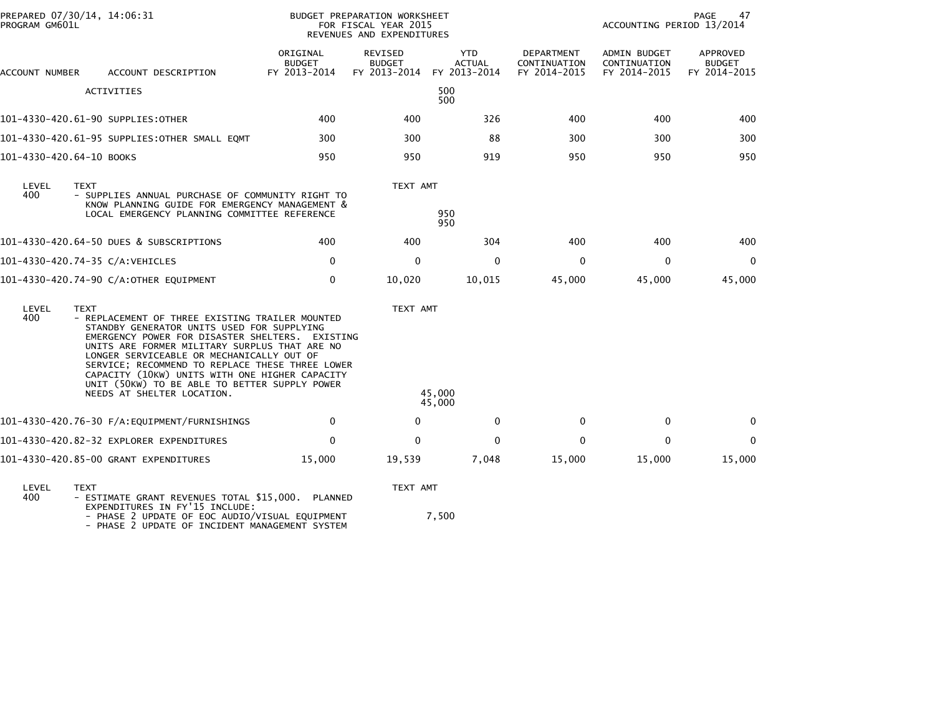| PROGRAM GM601L           | PREPARED 07/30/14, 14:06:31                                                                                                                                                                                                                                                                                                                                                                                                                       | BUDGET PREPARATION WORKSHEET<br>FOR FISCAL YEAR 2015<br>REVENUES AND EXPENDITURES |                                          |                                             |                                            | PAGE<br>47<br>ACCOUNTING PERIOD 13/2014      |                                           |  |
|--------------------------|---------------------------------------------------------------------------------------------------------------------------------------------------------------------------------------------------------------------------------------------------------------------------------------------------------------------------------------------------------------------------------------------------------------------------------------------------|-----------------------------------------------------------------------------------|------------------------------------------|---------------------------------------------|--------------------------------------------|----------------------------------------------|-------------------------------------------|--|
| ACCOUNT NUMBER           | ACCOUNT DESCRIPTION                                                                                                                                                                                                                                                                                                                                                                                                                               | ORIGINAL<br><b>BUDGET</b><br>FY 2013-2014                                         | REVISED<br><b>BUDGET</b><br>FY 2013-2014 | <b>YTD</b><br><b>ACTUAL</b><br>FY 2013-2014 | DEPARTMENT<br>CONTINUATION<br>FY 2014-2015 | ADMIN BUDGET<br>CONTINUATION<br>FY 2014-2015 | APPROVED<br><b>BUDGET</b><br>FY 2014-2015 |  |
|                          | <b>ACTIVITIES</b>                                                                                                                                                                                                                                                                                                                                                                                                                                 |                                                                                   |                                          | 500<br>500                                  |                                            |                                              |                                           |  |
|                          | 101-4330-420.61-90 SUPPLIES:OTHER                                                                                                                                                                                                                                                                                                                                                                                                                 | 400                                                                               | 400                                      | 326                                         | 400                                        | 400                                          | 400                                       |  |
|                          | 101-4330-420.61-95 SUPPLIES:OTHER SMALL EQMT                                                                                                                                                                                                                                                                                                                                                                                                      | 300                                                                               | 300                                      | 88                                          | 300                                        | 300                                          | 300                                       |  |
| 101-4330-420.64-10 BOOKS |                                                                                                                                                                                                                                                                                                                                                                                                                                                   | 950                                                                               | 950                                      | 919                                         | 950                                        | 950                                          | 950                                       |  |
| LEVEL<br>400             | <b>TEXT</b><br>- SUPPLIES ANNUAL PURCHASE OF COMMUNITY RIGHT TO<br>KNOW PLANNING GUIDE FOR EMERGENCY MANAGEMENT &<br>LOCAL EMERGENCY PLANNING COMMITTEE REFERENCE                                                                                                                                                                                                                                                                                 |                                                                                   | TEXT AMT                                 | 950<br>950                                  |                                            |                                              |                                           |  |
|                          | 101-4330-420.64-50 DUES & SUBSCRIPTIONS                                                                                                                                                                                                                                                                                                                                                                                                           | 400                                                                               | 400                                      | 304                                         | 400                                        | 400                                          | 400                                       |  |
|                          | 101-4330-420.74-35 C/A:VEHICLES                                                                                                                                                                                                                                                                                                                                                                                                                   | $\mathbf{0}$                                                                      | $\Omega$                                 | $\Omega$                                    | $\mathbf{0}$                               | $\mathbf{0}$                                 | $\Omega$                                  |  |
|                          | 101-4330-420.74-90 C/A:OTHER EQUIPMENT                                                                                                                                                                                                                                                                                                                                                                                                            | 0                                                                                 | 10,020                                   | 10,015                                      | 45,000                                     | 45,000                                       | 45,000                                    |  |
| LEVEL<br>400             | <b>TEXT</b><br>- REPLACEMENT OF THREE EXISTING TRAILER MOUNTED<br>STANDBY GENERATOR UNITS USED FOR SUPPLYING<br>EMERGENCY POWER FOR DISASTER SHELTERS. EXISTING<br>UNITS ARE FORMER MILITARY SURPLUS THAT ARE NO<br>LONGER SERVICEABLE OR MECHANICALLY OUT OF<br>SERVICE; RECOMMEND TO REPLACE THESE THREE LOWER<br>CAPACITY (10KW) UNITS WITH ONE HIGHER CAPACITY<br>UNIT (50KW) TO BE ABLE TO BETTER SUPPLY POWER<br>NEEDS AT SHELTER LOCATION. |                                                                                   | TEXT AMT                                 | 45,000<br>45,000                            |                                            |                                              |                                           |  |
|                          | 101-4330-420.76-30 F/A:EQUIPMENT/FURNISHINGS                                                                                                                                                                                                                                                                                                                                                                                                      | $\mathbf 0$                                                                       | $\mathbf 0$                              | $\mathbf 0$                                 | 0                                          | 0                                            | $\mathbf 0$                               |  |
|                          | 101-4330-420.82-32 EXPLORER EXPENDITURES                                                                                                                                                                                                                                                                                                                                                                                                          | $\mathbf 0$                                                                       | $\mathbf{0}$                             | $\Omega$                                    | 0                                          | $\mathbf{0}$                                 | $\Omega$                                  |  |
|                          | 101-4330-420.85-00 GRANT EXPENDITURES                                                                                                                                                                                                                                                                                                                                                                                                             | 15,000                                                                            | 19,539                                   | 7,048                                       | 15,000                                     | 15,000                                       | 15,000                                    |  |
| LEVEL                    | <b>TEXT</b>                                                                                                                                                                                                                                                                                                                                                                                                                                       |                                                                                   | TEXT AMT                                 |                                             |                                            |                                              |                                           |  |

| LEVEL | I F A I                                           |
|-------|---------------------------------------------------|
| 400   | - ESTIMATE GRANT REVENUES TOTAL \$15,000. PLANNED |
|       |                                                   |
|       | EXPENDITURES IN FY'15 INCLUDE:                    |
|       |                                                   |
|       | DUACE 2 UDDATE OF FOC AUDIO ALTEUAL FOUTDMENT     |

- PHASE 2 UPDATE OF EOC AUDIO/VISUAL EQUIPMENT 7,500<br>- PHASE 2 UPDATE OF INCIDENT MANAGEMENT SYSTEM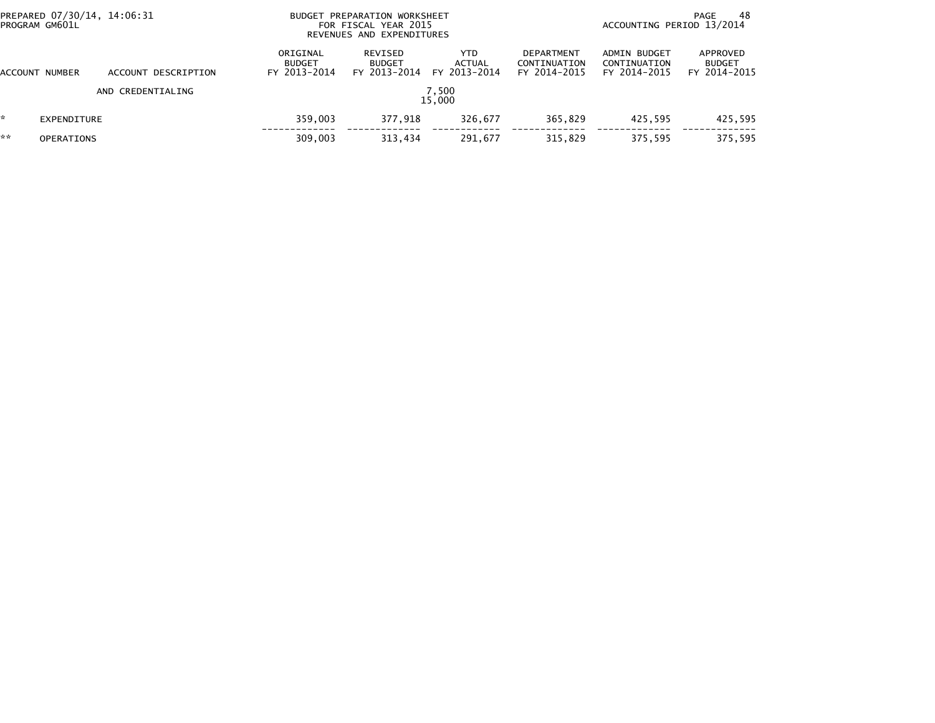| PREPARED 07/30/14, 14:06:31<br>PROGRAM GM601L |                   |                     |                                           | BUDGET PREPARATION WORKSHEET<br>FOR FISCAL YEAR 2015<br>REVENUES AND EXPENDITURES |                                |                                                   |                                              | 48<br>PAGE<br>ACCOUNTING PERIOD 13/2014   |  |  |
|-----------------------------------------------|-------------------|---------------------|-------------------------------------------|-----------------------------------------------------------------------------------|--------------------------------|---------------------------------------------------|----------------------------------------------|-------------------------------------------|--|--|
| ACCOUNT                                       | NUMBER            | ACCOUNT DESCRIPTION | ORIGINAL<br><b>BUDGET</b><br>FY 2013-2014 | REVISED<br><b>BUDGET</b><br>FY 2013-2014                                          | YTD.<br>ACTUAL<br>FY 2013-2014 | <b>DEPARTMENT</b><br>CONTINUATION<br>FY 2014-2015 | ADMIN BUDGET<br>CONTINUATION<br>FY 2014-2015 | APPROVED<br><b>BUDGET</b><br>FY 2014-2015 |  |  |
|                                               |                   | AND CREDENTIALING   |                                           |                                                                                   | 7,500<br>15.000                |                                                   |                                              |                                           |  |  |
| ŵ.                                            | EXPENDITURE       |                     | 359,003                                   | 377.918                                                                           | 326.677                        | 365.829                                           | 425.595                                      | 425,595                                   |  |  |
| **                                            | <b>OPERATIONS</b> |                     | 309,003                                   | 313,434                                                                           | 291,677                        | 315,829                                           | 375,595                                      | 375,595                                   |  |  |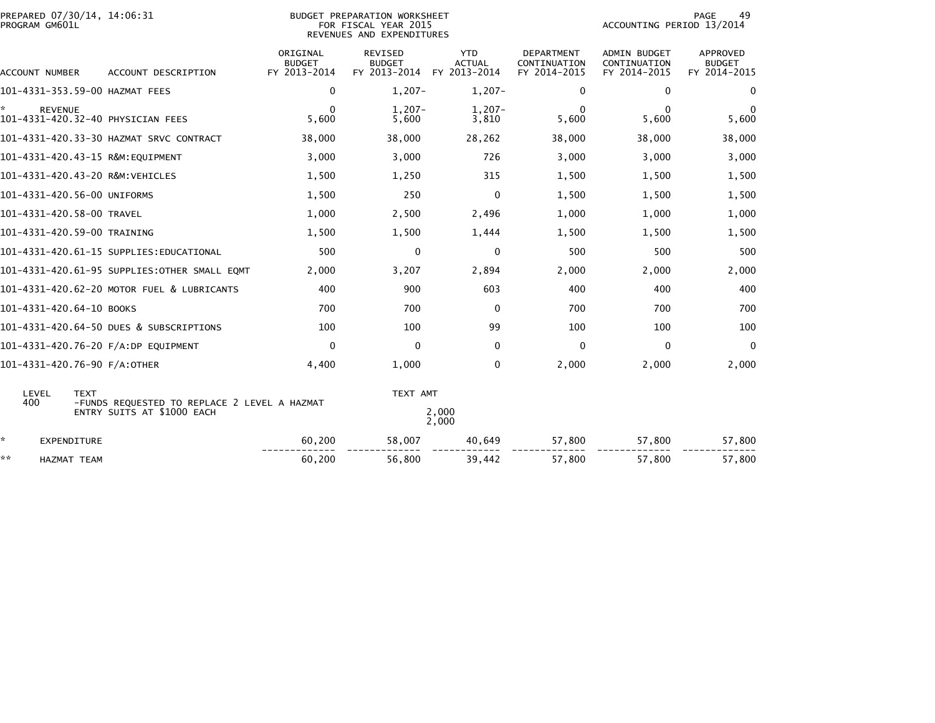| PREPARED 07/30/14, 14:06:31<br>PROGRAM GM601L |                                                             | <b>BUDGET PREPARATION WORKSHEET</b><br>FOR FISCAL YEAR 2015<br>REVENUES AND EXPENDITURES | 49<br>PAGE<br>ACCOUNTING PERIOD 13/2014         |                                             |                                                   |                                                     |                                           |
|-----------------------------------------------|-------------------------------------------------------------|------------------------------------------------------------------------------------------|-------------------------------------------------|---------------------------------------------|---------------------------------------------------|-----------------------------------------------------|-------------------------------------------|
| ACCOUNT NUMBER                                | ACCOUNT DESCRIPTION                                         | ORIGINAL<br><b>BUDGET</b><br>FY 2013-2014                                                | <b>REVISED</b><br><b>BUDGET</b><br>FY 2013-2014 | <b>YTD</b><br><b>ACTUAL</b><br>FY 2013-2014 | <b>DEPARTMENT</b><br>CONTINUATION<br>FY 2014-2015 | <b>ADMIN BUDGET</b><br>CONTINUATION<br>FY 2014-2015 | APPROVED<br><b>BUDGET</b><br>FY 2014-2015 |
|                                               | 101-4331-353.59-00 HAZMAT FEES                              | 0                                                                                        | $1,207-$                                        | $1,207-$                                    | 0                                                 | 0                                                   | 0                                         |
| ÷.<br><b>REVENUE</b>                          | 101-4331-420.32-40 PHYSICIAN FEES                           | $\mathbf{0}$<br>5,600                                                                    | $1,207-$<br>5,600                               | $1,207-$<br>3,810                           | $\Omega$<br>5,600                                 | $\Omega$<br>5,600                                   | 0<br>5,600                                |
|                                               |                                                             | 38,000                                                                                   | 38,000                                          | 28,262                                      | 38,000                                            | 38,000                                              | 38,000                                    |
|                                               | 101-4331-420.43-15 R&M:EQUIPMENT                            | 3,000                                                                                    | 3,000                                           | 726                                         | 3,000                                             | 3,000                                               | 3,000                                     |
|                                               | 101-4331-420.43-20 R&M:VEHICLES                             | 1,500                                                                                    | 1,250                                           | 315                                         | 1,500                                             | 1,500                                               | 1,500                                     |
| 101-4331-420.56-00 UNIFORMS                   |                                                             | 1,500                                                                                    | 250                                             | 0                                           | 1,500                                             | 1,500                                               | 1,500                                     |
| 101-4331-420.58-00 TRAVEL                     |                                                             | 1,000                                                                                    | 2,500                                           | 2,496                                       | 1,000                                             | 1,000                                               | 1,000                                     |
| 101-4331-420.59-00 TRAINING                   |                                                             | 1,500                                                                                    | 1,500                                           | 1,444                                       | 1,500                                             | 1,500                                               | 1,500                                     |
|                                               | 101–4331–420.61–15 SUPPLIES:EDUCATIONAL                     | 500                                                                                      | 0                                               | 0                                           | 500                                               | 500                                                 | 500                                       |
|                                               | 101-4331-420.61-95 SUPPLIES:OTHER SMALL EQMT                | 2,000                                                                                    | 3,207                                           | 2,894                                       | 2,000                                             | 2,000                                               | 2,000                                     |
|                                               | 101-4331-420.62-20 MOTOR FUEL & LUBRICANTS                  | 400                                                                                      | 900                                             | 603                                         | 400                                               | 400                                                 | 400                                       |
| 101-4331-420.64-10 BOOKS                      |                                                             | 700                                                                                      | 700                                             | $\Omega$                                    | 700                                               | 700                                                 | 700                                       |
|                                               | 101-4331-420.64-50 DUES & SUBSCRIPTIONS                     | 100                                                                                      | 100                                             | 99                                          | 100                                               | 100                                                 | 100                                       |
|                                               | 101-4331-420.76-20 F/A:DP EQUIPMENT                         | $\mathbf 0$                                                                              | 0                                               | $\mathbf{0}$                                | $\Omega$                                          | 0                                                   | $\mathbf{0}$                              |
| 101-4331-420.76-90 F/A:OTHER                  |                                                             | 4,400                                                                                    | 1,000                                           | 0                                           | 2,000                                             | 2,000                                               | 2,000                                     |
| LEVEL<br>400                                  | <b>TEXT</b><br>-FUNDS REQUESTED TO REPLACE 2 LEVEL A HAZMAT |                                                                                          | TEXT AMT                                        |                                             |                                                   |                                                     |                                           |
|                                               | ENTRY SUITS AT \$1000 EACH                                  |                                                                                          |                                                 | 2,000<br>2,000                              |                                                   |                                                     |                                           |
| *.<br><b>EXPENDITURE</b>                      |                                                             | 60,200                                                                                   | 58,007                                          | 40,649                                      | 57,800                                            | 57,800                                              | 57,800                                    |
| **<br><b>HAZMAT TEAM</b>                      |                                                             | 60,200                                                                                   | 56,800                                          | 39,442                                      | 57,800                                            | 57,800                                              | 57,800                                    |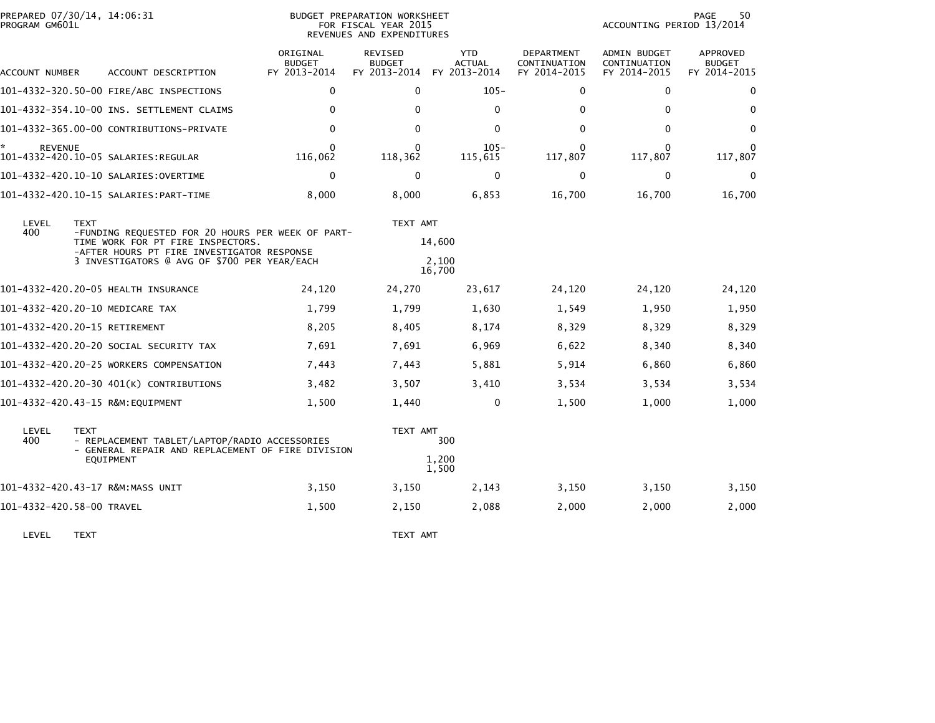| PROGRAM GM601L       | PREPARED 07/30/14, 14:06:31                                                                                                                                                                         |                                           | BUDGET PREPARATION WORKSHEET<br>FOR FISCAL YEAR 2015<br>REVENUES AND EXPENDITURES | PAGE<br>50<br>ACCOUNTING PERIOD 13/2014     |                                                   |                                                     |                                                  |
|----------------------|-----------------------------------------------------------------------------------------------------------------------------------------------------------------------------------------------------|-------------------------------------------|-----------------------------------------------------------------------------------|---------------------------------------------|---------------------------------------------------|-----------------------------------------------------|--------------------------------------------------|
| ACCOUNT NUMBER       | ACCOUNT DESCRIPTION                                                                                                                                                                                 | ORIGINAL<br><b>BUDGET</b><br>FY 2013-2014 | <b>REVISED</b><br><b>BUDGET</b><br>FY 2013-2014                                   | <b>YTD</b><br><b>ACTUAL</b><br>FY 2013-2014 | <b>DEPARTMENT</b><br>CONTINUATION<br>FY 2014-2015 | <b>ADMIN BUDGET</b><br>CONTINUATION<br>FY 2014-2015 | <b>APPROVED</b><br><b>BUDGET</b><br>FY 2014-2015 |
|                      | 101-4332-320.50-00 FIRE/ABC INSPECTIONS                                                                                                                                                             | $\mathbf 0$                               | $\Omega$                                                                          | $105 -$                                     | 0                                                 | $\mathbf{0}$                                        | $\mathbf{0}$                                     |
|                      | 101-4332-354.10-00 INS. SETTLEMENT CLAIMS                                                                                                                                                           | $\mathbf{0}$                              | $\mathbf{0}$                                                                      | $\mathbf{0}$                                | 0                                                 | $\Omega$                                            | $\Omega$                                         |
|                      | 101-4332-365.00-00 CONTRIBUTIONS-PRIVATE                                                                                                                                                            | $\mathbf 0$                               | $\mathbf{0}$                                                                      | $\mathbf{0}$                                | 0                                                 | $\Omega$                                            | 0                                                |
| ×.<br><b>REVENUE</b> | 101-4332-420.10-05 SALARIES:REGULAR                                                                                                                                                                 | $\Omega$<br>116,062                       | $\Omega$<br>118,362                                                               | $105 -$<br>115,615                          | 0<br>117,807                                      | $\Omega$<br>117,807                                 | $\Omega$<br>117,807                              |
|                      | 101-4332-420.10-10 SALARIES: OVERTIME                                                                                                                                                               | 0                                         | $\mathbf 0$                                                                       | 0                                           | 0                                                 | $\mathbf 0$                                         | 0                                                |
|                      | 101-4332-420.10-15 SALARIES: PART-TIME                                                                                                                                                              | 8,000                                     | 8,000                                                                             | 6,853                                       | 16,700                                            | 16,700                                              | 16,700                                           |
| LEVEL<br>400         | <b>TEXT</b><br>-FUNDING REQUESTED FOR 20 HOURS PER WEEK OF PART-<br>TIME WORK FOR PT FIRE INSPECTORS.<br>-AFTER HOURS PT FIRE INVESTIGATOR RESPONSE<br>3 INVESTIGATORS @ AVG OF \$700 PER YEAR/EACH |                                           | TEXT AMT                                                                          | 14,600<br>2,100<br>16,700                   |                                                   |                                                     |                                                  |
|                      | 101-4332-420.20-05 HEALTH INSURANCE                                                                                                                                                                 | 24,120                                    | 24,270                                                                            | 23,617                                      | 24,120                                            | 24,120                                              | 24,120                                           |
|                      | 101-4332-420.20-10 MEDICARE TAX                                                                                                                                                                     | 1,799                                     | 1,799                                                                             | 1,630                                       | 1,549                                             | 1,950                                               | 1,950                                            |
|                      | 101-4332-420.20-15 RETIREMENT                                                                                                                                                                       | 8,205                                     | 8,405                                                                             | 8,174                                       | 8,329                                             | 8,329                                               | 8,329                                            |
|                      | 101–4332–420.20–20 SOCIAL SECURITY TAX                                                                                                                                                              | 7,691                                     | 7,691                                                                             | 6,969                                       | 6,622                                             | 8,340                                               | 8,340                                            |
|                      | 101-4332-420.20-25 WORKERS COMPENSATION                                                                                                                                                             | 7,443                                     | 7,443                                                                             | 5,881                                       | 5,914                                             | 6,860                                               | 6,860                                            |
|                      | 101-4332-420.20-30 401(K) CONTRIBUTIONS                                                                                                                                                             | 3,482                                     | 3,507                                                                             | 3,410                                       | 3,534                                             | 3,534                                               | 3,534                                            |
|                      | 101-4332-420.43-15 R&M:EQUIPMENT                                                                                                                                                                    | 1,500                                     | 1,440                                                                             | $\mathbf{0}$                                | 1,500                                             | 1,000                                               | 1,000                                            |
| LEVEL<br>400         | <b>TEXT</b><br>- REPLACEMENT TABLET/LAPTOP/RADIO ACCESSORIES<br>- GENERAL REPAIR AND REPLACEMENT OF FIRE DIVISION<br>EQUIPMENT                                                                      |                                           | TEXT AMT                                                                          | 300<br>1,200<br>1,500                       |                                                   |                                                     |                                                  |
|                      | 101-4332-420.43-17 R&M:MASS UNIT                                                                                                                                                                    | 3,150                                     | 3,150                                                                             | 2,143                                       | 3,150                                             | 3,150                                               | 3,150                                            |
|                      | 101-4332-420.58-00 TRAVEL                                                                                                                                                                           | 1,500                                     | 2,150                                                                             | 2,088                                       | 2,000                                             | 2,000                                               | 2,000                                            |
|                      |                                                                                                                                                                                                     |                                           |                                                                                   |                                             |                                                   |                                                     |                                                  |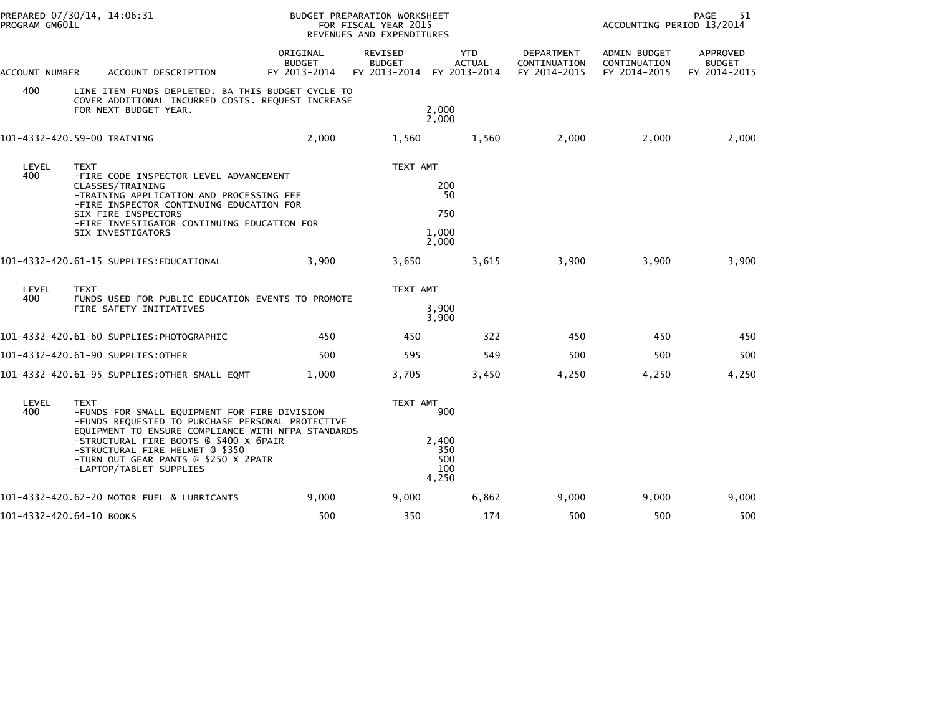| PROGRAM GM601L           | PREPARED 07/30/14, 14:06:31                                                                                                                                                                                                                                                                                           |                                           | BUDGET PREPARATION WORKSHEET<br>FOR FISCAL YEAR 2015<br>REVENUES AND EXPENDITURES |                                             |                                                   | 51<br>PAGE<br>ACCOUNTING PERIOD 13/2014      |                                           |  |  |
|--------------------------|-----------------------------------------------------------------------------------------------------------------------------------------------------------------------------------------------------------------------------------------------------------------------------------------------------------------------|-------------------------------------------|-----------------------------------------------------------------------------------|---------------------------------------------|---------------------------------------------------|----------------------------------------------|-------------------------------------------|--|--|
| ACCOUNT NUMBER           | ACCOUNT DESCRIPTION                                                                                                                                                                                                                                                                                                   | ORIGINAL<br><b>BUDGET</b><br>FY 2013-2014 | REVISED<br><b>BUDGET</b><br>FY 2013-2014                                          | <b>YTD</b><br><b>ACTUAL</b><br>FY 2013-2014 | <b>DEPARTMENT</b><br>CONTINUATION<br>FY 2014-2015 | ADMIN BUDGET<br>CONTINUATION<br>FY 2014-2015 | APPROVED<br><b>BUDGET</b><br>FY 2014-2015 |  |  |
| 400                      | LINE ITEM FUNDS DEPLETED. BA THIS BUDGET CYCLE TO<br>COVER ADDITIONAL INCURRED COSTS. REQUEST INCREASE<br>FOR NEXT BUDGET YEAR.                                                                                                                                                                                       |                                           |                                                                                   | 2,000<br>2,000                              |                                                   |                                              |                                           |  |  |
|                          | 101-4332-420.59-00 TRAINING                                                                                                                                                                                                                                                                                           | 2,000                                     | 1,560                                                                             | 1,560                                       | 2,000                                             | 2,000                                        | 2,000                                     |  |  |
| LEVEL<br>400             | <b>TEXT</b><br>-FIRE CODE INSPECTOR LEVEL ADVANCEMENT<br>CLASSES/TRAINING<br>-TRAINING APPLICATION AND PROCESSING FEE<br>-FIRE INSPECTOR CONTINUING EDUCATION FOR<br>SIX FIRE INSPECTORS<br>-FIRE INVESTIGATOR CONTINUING EDUCATION FOR<br>SIX INVESTIGATORS                                                          |                                           | TEXT AMT                                                                          | 200<br>50<br>750<br>1,000<br>2,000          |                                                   |                                              |                                           |  |  |
|                          | 101-4332-420.61-15 SUPPLIES:EDUCATIONAL                                                                                                                                                                                                                                                                               | 3,900                                     | 3,650                                                                             | 3,615                                       | 3,900                                             | 3,900                                        | 3,900                                     |  |  |
| LEVEL<br>400             | <b>TEXT</b><br>FUNDS USED FOR PUBLIC EDUCATION EVENTS TO PROMOTE<br>FIRE SAFETY INITIATIVES                                                                                                                                                                                                                           |                                           | TEXT AMT                                                                          | 3,900<br>3,900                              |                                                   |                                              |                                           |  |  |
|                          | 101-4332-420.61-60 SUPPLIES:PHOTOGRAPHIC                                                                                                                                                                                                                                                                              | 450                                       | 450                                                                               | 322                                         | 450                                               | 450                                          | 450                                       |  |  |
|                          | 101-4332-420.61-90 SUPPLIES:OTHER                                                                                                                                                                                                                                                                                     | 500                                       | 595                                                                               | 549                                         | 500                                               | 500                                          | 500                                       |  |  |
|                          | 101-4332-420.61-95 SUPPLIES:OTHER SMALL EQMT                                                                                                                                                                                                                                                                          | 1.000                                     | 3,705                                                                             | 3,450                                       | 4,250                                             | 4,250                                        | 4,250                                     |  |  |
| LEVEL<br>400             | <b>TEXT</b><br>-FUNDS FOR SMALL EQUIPMENT FOR FIRE DIVISION<br>-FUNDS REQUESTED TO PURCHASE PERSONAL PROTECTIVE<br>EQUIPMENT TO ENSURE COMPLIANCE WITH NFPA STANDARDS<br>-STRUCTURAL FIRE BOOTS @ \$400 X 6PAIR<br>-STRUCTURAL FIRE HELMET @ \$350<br>-TURN OUT GEAR PANTS @ \$250 X 2PAIR<br>-LAPTOP/TABLET SUPPLIES |                                           | TEXT AMT                                                                          | 900<br>2,400<br>350<br>500<br>100<br>4,250  |                                                   |                                              |                                           |  |  |
|                          | 101-4332-420.62-20 MOTOR FUEL & LUBRICANTS                                                                                                                                                                                                                                                                            | 9,000                                     | 9,000                                                                             | 6,862                                       | 9,000                                             | 9,000                                        | 9,000                                     |  |  |
| 101-4332-420.64-10 BOOKS |                                                                                                                                                                                                                                                                                                                       | 500                                       | 350                                                                               | 174                                         | 500                                               | 500                                          | 500                                       |  |  |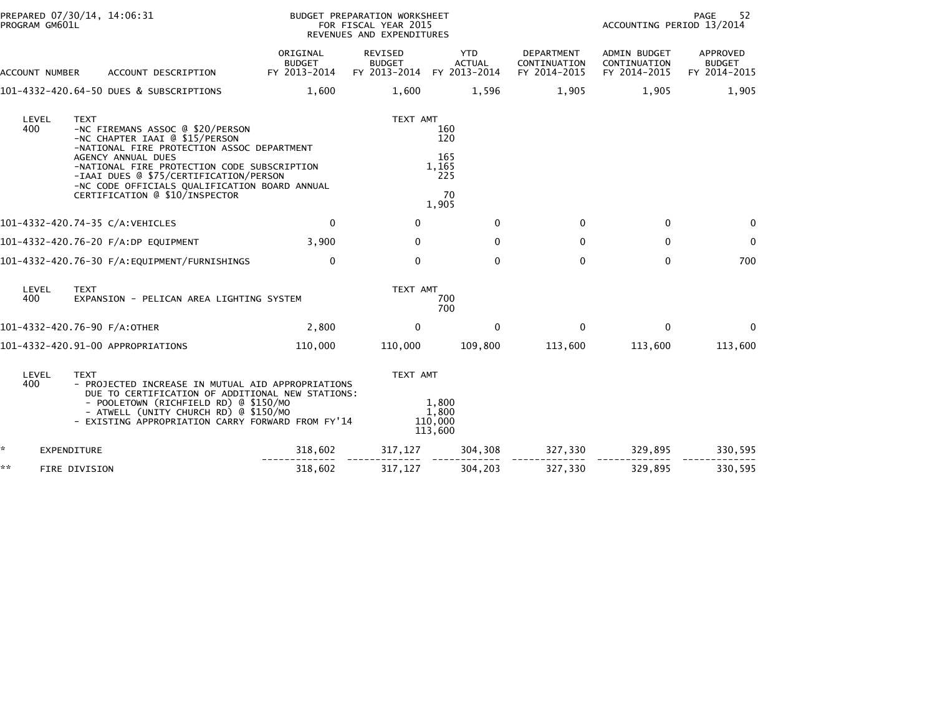| PROGRAM GM601L | PREPARED 07/30/14, 14:06:31                                                                                                                                                                                                                                                                                                       |                                           | BUDGET PREPARATION WORKSHEET<br>FOR FISCAL YEAR 2015<br>REVENUES AND EXPENDITURES | 52<br>PAGE<br>ACCOUNTING PERIOD 13/2014          |                                                   |                                                     |                                           |
|----------------|-----------------------------------------------------------------------------------------------------------------------------------------------------------------------------------------------------------------------------------------------------------------------------------------------------------------------------------|-------------------------------------------|-----------------------------------------------------------------------------------|--------------------------------------------------|---------------------------------------------------|-----------------------------------------------------|-------------------------------------------|
| ACCOUNT NUMBER | ACCOUNT DESCRIPTION                                                                                                                                                                                                                                                                                                               | ORIGINAL<br><b>BUDGET</b><br>FY 2013-2014 | REVISED<br><b>BUDGET</b><br>FY 2013-2014 FY 2013-2014                             | <b>YTD</b><br><b>ACTUAL</b>                      | <b>DEPARTMENT</b><br>CONTINUATION<br>FY 2014-2015 | <b>ADMIN BUDGET</b><br>CONTINUATION<br>FY 2014-2015 | APPROVED<br><b>BUDGET</b><br>FY 2014-2015 |
|                | 101-4332-420.64-50 DUES & SUBSCRIPTIONS                                                                                                                                                                                                                                                                                           | 1,600                                     | 1,600                                                                             | 1,596                                            | 1,905                                             | 1,905                                               | 1,905                                     |
| LEVEL<br>400   | <b>TEXT</b><br>-NC FIREMANS ASSOC @ \$20/PERSON<br>-NC CHAPTER IAAI @ \$15/PERSON<br>-NATIONAL FIRE PROTECTION ASSOC DEPARTMENT<br>AGENCY ANNUAL DUES<br>-NATIONAL FIRE PROTECTION CODE SUBSCRIPTION<br>-IAAI DUES @ \$75/CERTIFICATION/PERSON<br>-NC CODE OFFICIALS QUALIFICATION BOARD ANNUAL<br>CERTIFICATION @ \$10/INSPECTOR |                                           | TEXT AMT                                                                          | 160<br>120<br>165<br>1,165<br>225<br>70<br>1,905 |                                                   |                                                     |                                           |
|                | 101-4332-420.74-35 C/A:VEHICLES                                                                                                                                                                                                                                                                                                   | 0                                         | $\mathbf{0}$                                                                      | $\Omega$                                         | $\mathbf{0}$                                      | $\mathbf 0$                                         | $\Omega$                                  |
|                | 101-4332-420.76-20 F/A:DP EQUIPMENT                                                                                                                                                                                                                                                                                               | 3,900                                     | $\mathbf{0}$                                                                      | $\Omega$                                         | $\mathbf{0}$                                      | $\mathbf{0}$                                        | 0                                         |
|                |                                                                                                                                                                                                                                                                                                                                   | 0                                         | $\Omega$                                                                          | $\Omega$                                         | $\mathbf{0}$                                      | 0                                                   | 700                                       |
| LEVEL<br>400   | <b>TEXT</b><br>EXPANSION - PELICAN AREA LIGHTING SYSTEM                                                                                                                                                                                                                                                                           |                                           | TEXT AMT                                                                          | 700<br>700                                       |                                                   |                                                     |                                           |
|                | 101-4332-420.76-90 F/A:OTHER                                                                                                                                                                                                                                                                                                      | 2,800                                     | $\mathbf{0}$                                                                      | $\Omega$                                         | $\Omega$                                          | $\mathbf 0$                                         | $\Omega$                                  |
|                | 101-4332-420.91-00 APPROPRIATIONS                                                                                                                                                                                                                                                                                                 | 110,000                                   | 110,000                                                                           | 109,800                                          | 113,600                                           | 113,600                                             | 113,600                                   |
| LEVEL<br>400   | <b>TEXT</b><br>- PROJECTED INCREASE IN MUTUAL AID APPROPRIATIONS<br>DUE TO CERTIFICATION OF ADDITIONAL NEW STATIONS:<br>- POOLETOWN (RICHFIELD RD) @ \$150/MO<br>- ATWELL (UNITY CHURCH RD) @ \$150/MO<br>- EXISTING APPROPRIATION CARRY FORWARD FROM FY'14                                                                       |                                           | TEXT AMT                                                                          | 1,800<br>1.800<br>110,000<br>113,600             |                                                   |                                                     |                                           |
| *.             | <b>EXPENDITURE</b>                                                                                                                                                                                                                                                                                                                | 318,602                                   | 317,127                                                                           | 304,308                                          | 327,330                                           | 329,895                                             | 330,595                                   |
| **             | FIRE DIVISION                                                                                                                                                                                                                                                                                                                     | 318,602                                   | 317,127                                                                           | 304,203                                          | 327,330                                           | 329,895                                             | 330,595                                   |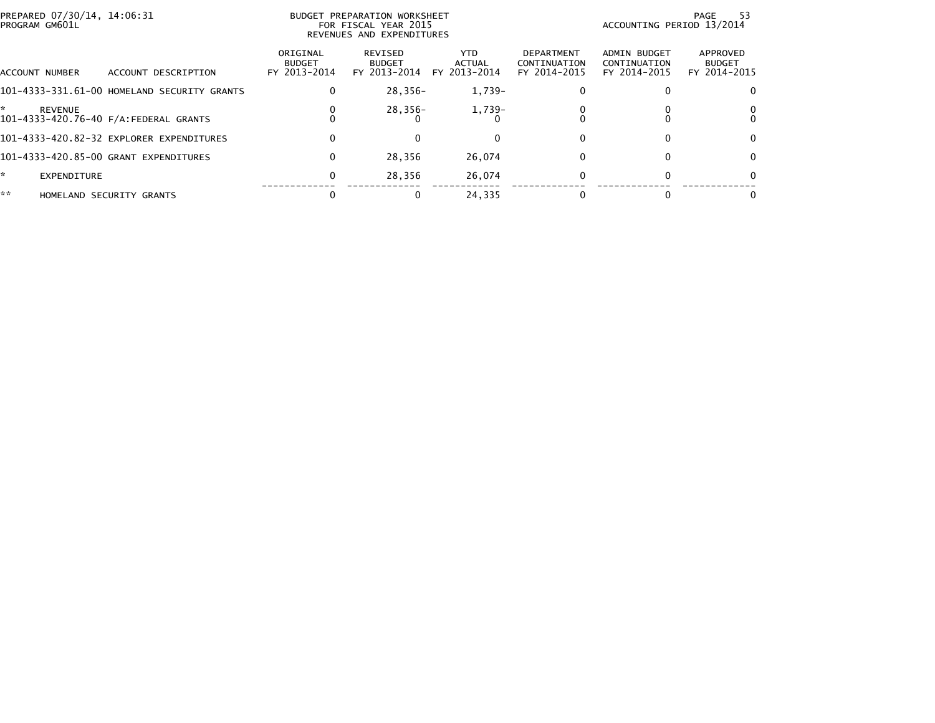| PREPARED 07/30/14, 14:06:31<br>PROGRAM GM601L |                                             |                                           | BUDGET PREPARATION WORKSHEET<br>FOR FISCAL YEAR 2015<br>REVENUES AND EXPENDITURES | ACCOUNTING PERIOD 13/2014            | -53<br>PAGE                                |                                              |                                           |
|-----------------------------------------------|---------------------------------------------|-------------------------------------------|-----------------------------------------------------------------------------------|--------------------------------------|--------------------------------------------|----------------------------------------------|-------------------------------------------|
| ACCOUNT NUMBER                                | ACCOUNT DESCRIPTION                         | ORIGINAL<br><b>BUDGET</b><br>FY 2013-2014 | REVISED<br><b>BUDGET</b><br>FY 2013-2014                                          | <b>YTD</b><br>ACTUAL<br>FY 2013-2014 | DEPARTMENT<br>CONTINUATION<br>FY 2014-2015 | ADMIN BUDGET<br>CONTINUATION<br>FY 2014-2015 | APPROVED<br><b>BUDGET</b><br>FY 2014-2015 |
|                                               | 101-4333-331.61-00 HOMELAND SECURITY GRANTS | 0                                         | 28.356-                                                                           | $1,739-$                             |                                            |                                              |                                           |
| REVENUE                                       | 101-4333-420.76-40 F/A: FEDERAL GRANTS      | 0                                         | 28,356-                                                                           | 1,739-                               |                                            |                                              |                                           |
|                                               | 101-4333-420.82-32 EXPLORER EXPENDITURES    | 0                                         |                                                                                   |                                      |                                            |                                              |                                           |
|                                               | 101-4333-420.85-00 GRANT EXPENDITURES       | 0                                         | 28,356                                                                            | 26,074                               |                                            |                                              | 0                                         |
| $\star$<br>EXPENDITURE                        |                                             | 0                                         | 28,356                                                                            | 26,074                               |                                            |                                              | $\Omega$                                  |
| **                                            | HOMELAND SECURITY GRANTS                    |                                           |                                                                                   | 24,335                               |                                            |                                              |                                           |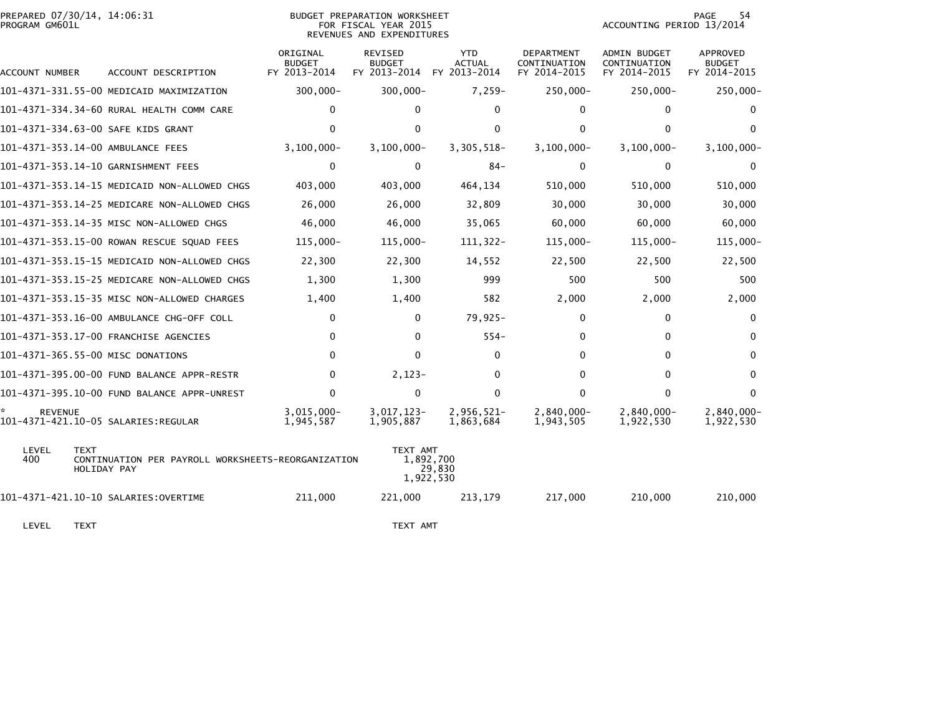| PREPARED 07/30/14, 14:06:31<br>PROGRAM GM601L         |                                                                   | BUDGET PREPARATION WORKSHEET<br>FOR FISCAL YEAR 2015<br>REVENUES AND EXPENDITURES |                                                 |                                             |                                                   |                                                     | PAGE<br>54<br>ACCOUNTING PERIOD 13/2014          |  |  |
|-------------------------------------------------------|-------------------------------------------------------------------|-----------------------------------------------------------------------------------|-------------------------------------------------|---------------------------------------------|---------------------------------------------------|-----------------------------------------------------|--------------------------------------------------|--|--|
| ACCOUNT NUMBER                                        | ACCOUNT DESCRIPTION                                               | ORIGINAL<br><b>BUDGET</b><br>FY 2013-2014                                         | <b>REVISED</b><br><b>BUDGET</b><br>FY 2013-2014 | <b>YTD</b><br><b>ACTUAL</b><br>FY 2013-2014 | <b>DEPARTMENT</b><br>CONTINUATION<br>FY 2014-2015 | <b>ADMIN BUDGET</b><br>CONTINUATION<br>FY 2014-2015 | <b>APPROVED</b><br><b>BUDGET</b><br>FY 2014-2015 |  |  |
|                                                       | 101-4371-331.55-00 MEDICAID MAXIMIZATION                          | $300,000 -$                                                                       | $300,000 -$                                     | $7,259-$                                    | 250,000-                                          | $250,000 -$                                         | $250,000 -$                                      |  |  |
|                                                       | 101-4371-334.34-60 RURAL HEALTH COMM CARE                         | 0                                                                                 | 0                                               | $\Omega$                                    | $\Omega$                                          | 0                                                   | 0                                                |  |  |
| 101-4371-334.63-00 SAFE KIDS GRANT                    |                                                                   | $\mathbf{0}$                                                                      | 0                                               | $\mathbf{0}$                                | $\Omega$                                          | $\mathbf{0}$                                        | <sup>0</sup>                                     |  |  |
| 101-4371-353.14-00 AMBULANCE FEES                     |                                                                   | $3, 100, 000 -$                                                                   | $3, 100, 000 -$                                 | 3,305,518-                                  | $3,100,000 -$                                     | $3,100,000 -$                                       | $3,100,000 -$                                    |  |  |
| 101-4371-353.14-10 GARNISHMENT FEES                   |                                                                   | $\mathbf 0$                                                                       | $\Omega$                                        | $84 -$                                      | $\mathbf{0}$                                      | 0                                                   | $\mathbf{0}$                                     |  |  |
|                                                       | 101-4371-353.14-15 MEDICAID NON-ALLOWED CHGS                      | 403,000                                                                           | 403,000                                         | 464,134                                     | 510,000                                           | 510,000                                             | 510,000                                          |  |  |
|                                                       | 101-4371-353.14-25 MEDICARE NON-ALLOWED CHGS                      | 26,000                                                                            | 26,000                                          | 32,809                                      | 30,000                                            | 30,000                                              | 30,000                                           |  |  |
|                                                       | 101-4371-353.14-35 MISC NON-ALLOWED CHGS                          | 46,000                                                                            | 46,000                                          | 35,065                                      | 60,000                                            | 60,000                                              | 60,000                                           |  |  |
|                                                       | 101-4371-353.15-00 ROWAN RESCUE SQUAD FEES                        | $115,000 -$                                                                       | $115,000 -$                                     | $111, 322 -$                                | $115,000 -$                                       | $115,000 -$                                         | 115,000-                                         |  |  |
|                                                       | 101-4371-353.15-15 MEDICAID NON-ALLOWED CHGS                      | 22,300                                                                            | 22,300                                          | 14,552                                      | 22,500                                            | 22,500                                              | 22,500                                           |  |  |
|                                                       | 101-4371-353.15-25 MEDICARE NON-ALLOWED CHGS                      | 1,300                                                                             | 1,300                                           | 999                                         | 500                                               | 500                                                 | 500                                              |  |  |
|                                                       | 101-4371-353.15-35 MISC NON-ALLOWED CHARGES                       | 1,400                                                                             | 1,400                                           | 582                                         | 2,000                                             | 2,000                                               | 2,000                                            |  |  |
|                                                       | 101-4371-353.16-00 AMBULANCE CHG-OFF COLL                         | 0                                                                                 | $\mathbf{0}$                                    | $79,925-$                                   | 0                                                 | 0                                                   | 0                                                |  |  |
|                                                       | 101-4371-353.17-00 FRANCHISE AGENCIES                             | 0                                                                                 | $\mathbf{0}$                                    | $554-$                                      | 0                                                 | 0                                                   | 0                                                |  |  |
| 101-4371-365.55-00 MISC DONATIONS                     |                                                                   | $\Omega$                                                                          | 0                                               | $\mathbf{0}$                                | $\Omega$                                          | 0                                                   | $\mathbf{0}$                                     |  |  |
|                                                       | 101-4371-395.00-00 FUND BALANCE APPR-RESTR                        | $\mathbf{0}$                                                                      | $2,123-$                                        | $\Omega$                                    | $\Omega$                                          | $\mathbf{0}$                                        | $\mathbf{0}$                                     |  |  |
|                                                       | 101-4371-395.10-00 FUND BALANCE APPR-UNREST                       | $\Omega$                                                                          | $\Omega$                                        | $\mathbf{0}$                                | $\Omega$                                          | $\mathbf{0}$                                        | $\Omega$                                         |  |  |
| <b>REVENUE</b><br>101-4371-421.10-05 SALARIES:REGULAR |                                                                   | $3,015,000 -$<br>1,945,587                                                        | 3,017,123-<br>1,905,887                         | 2,956,521-<br>1,863,684                     | $2,840,000 -$<br>1,943,505                        | $2,840,000 -$<br>1,922,530                          | 2,840,000-<br>1,922,530                          |  |  |
| LEVEL<br><b>TEXT</b><br>400                           | CONTINUATION PER PAYROLL WORKSHEETS-REORGANIZATION<br>HOLIDAY PAY |                                                                                   | TEXT AMT                                        | 1,892,700<br>29,830<br>1,922,530            |                                                   |                                                     |                                                  |  |  |
|                                                       |                                                                   | 211,000                                                                           | 221,000                                         | 213,179                                     | 217,000                                           | 210,000                                             | 210,000                                          |  |  |

LEVEL TEXT NOTE: THE SERVE THAT THE SERVE THE SERVE THAT THE SERVE THE SERVE THAT THE SERVE THE SERVE THE SERVE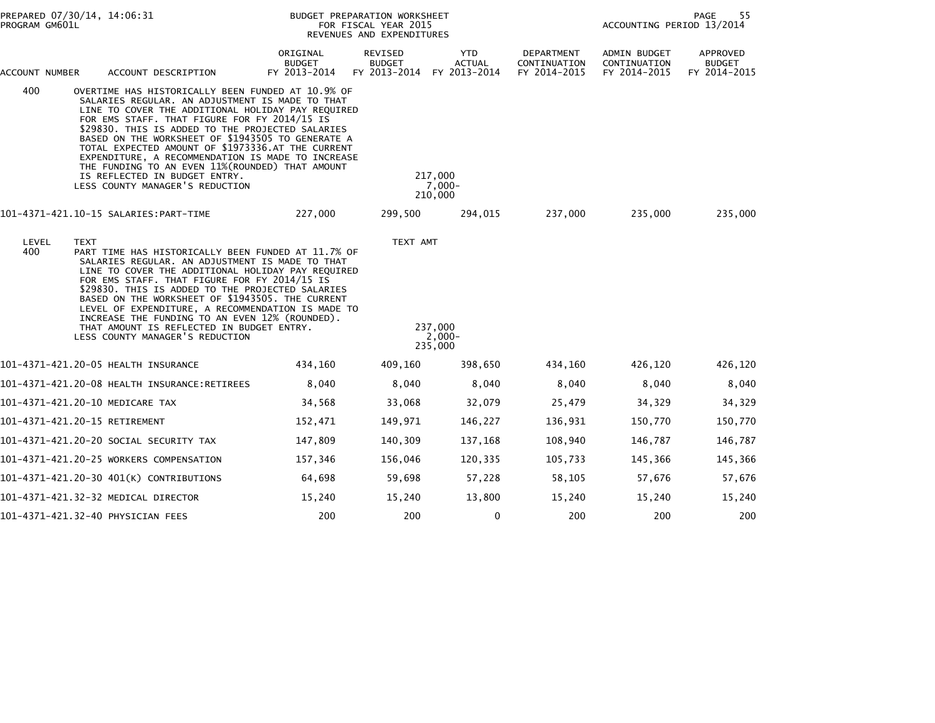| PREPARED 07/30/14, 14:06:31<br>PROGRAM GM601L |                                                                                                                                                                                                                                                                                                                                                                                                                                                                                                                                                      | BUDGET PREPARATION WORKSHEET<br>FOR FISCAL YEAR 2015<br>REVENUES AND EXPENDITURES |                                                              | PAGE<br>55<br>ACCOUNTING PERIOD 13/2014 |                                            |                                              |                                           |
|-----------------------------------------------|------------------------------------------------------------------------------------------------------------------------------------------------------------------------------------------------------------------------------------------------------------------------------------------------------------------------------------------------------------------------------------------------------------------------------------------------------------------------------------------------------------------------------------------------------|-----------------------------------------------------------------------------------|--------------------------------------------------------------|-----------------------------------------|--------------------------------------------|----------------------------------------------|-------------------------------------------|
| ACCOUNT NUMBER                                | ACCOUNT DESCRIPTION                                                                                                                                                                                                                                                                                                                                                                                                                                                                                                                                  | ORIGINAL<br><b>BUDGET</b><br>FY 2013-2014                                         | <b>REVISED</b><br><b>BUDGET</b><br>FY 2013-2014 FY 2013-2014 | <b>YTD</b><br><b>ACTUAL</b>             | DEPARTMENT<br>CONTINUATION<br>FY 2014-2015 | ADMIN BUDGET<br>CONTINUATION<br>FY 2014-2015 | APPROVED<br><b>BUDGET</b><br>FY 2014-2015 |
| 400                                           | OVERTIME HAS HISTORICALLY BEEN FUNDED AT 10.9% OF<br>SALARIES REGULAR. AN ADJUSTMENT IS MADE TO THAT<br>LINE TO COVER THE ADDITIONAL HOLIDAY PAY REQUIRED<br>FOR EMS STAFF. THAT FIGURE FOR FY 2014/15 IS<br>\$29830. THIS IS ADDED TO THE PROJECTED SALARIES<br>BASED ON THE WORKSHEET OF \$1943505 TO GENERATE A<br>TOTAL EXPECTED AMOUNT OF \$1973336.AT THE CURRENT<br>EXPENDITURE, A RECOMMENDATION IS MADE TO INCREASE<br>THE FUNDING TO AN EVEN 11% (ROUNDED) THAT AMOUNT<br>IS REFLECTED IN BUDGET ENTRY.<br>LESS COUNTY MANAGER'S REDUCTION |                                                                                   |                                                              | 217,000<br>$7,000 -$<br>210,000         |                                            |                                              |                                           |
|                                               |                                                                                                                                                                                                                                                                                                                                                                                                                                                                                                                                                      | 227,000                                                                           | 299,500                                                      | 294,015                                 | 237,000                                    | 235,000                                      | 235,000                                   |
| LEVEL<br>400                                  | <b>TEXT</b><br>PART TIME HAS HISTORICALLY BEEN FUNDED AT 11.7% OF<br>SALARIES REGULAR. AN ADJUSTMENT IS MADE TO THAT<br>LINE TO COVER THE ADDITIONAL HOLIDAY PAY REQUIRED<br>FOR EMS STAFF. THAT FIGURE FOR FY 2014/15 IS<br>\$29830. THIS IS ADDED TO THE PROJECTED SALARIES<br>BASED ON THE WORKSHEET OF \$1943505. THE CURRENT<br>LEVEL OF EXPENDITURE, A RECOMMENDATION IS MADE TO<br>INCREASE THE FUNDING TO AN EVEN 12% (ROUNDED).<br>THAT AMOUNT IS REFLECTED IN BUDGET ENTRY.<br>LESS COUNTY MANAGER'S REDUCTION                             |                                                                                   | TEXT AMT                                                     | 237,000<br>$2,000 -$<br>235,000         |                                            |                                              |                                           |
|                                               | 101-4371-421.20-05 HEALTH INSURANCE                                                                                                                                                                                                                                                                                                                                                                                                                                                                                                                  | 434,160                                                                           | 409,160                                                      | 398,650                                 | 434,160                                    | 426,120                                      | 426,120                                   |
|                                               |                                                                                                                                                                                                                                                                                                                                                                                                                                                                                                                                                      | 8,040                                                                             | 8,040                                                        | 8,040                                   | 8,040                                      | 8,040                                        | 8,040                                     |
|                                               | 101-4371-421.20-10 MEDICARE TAX                                                                                                                                                                                                                                                                                                                                                                                                                                                                                                                      | 34,568                                                                            | 33,068                                                       | 32,079                                  | 25,479                                     | 34,329                                       | 34,329                                    |
|                                               | 101-4371-421.20-15 RETIREMENT                                                                                                                                                                                                                                                                                                                                                                                                                                                                                                                        | 152,471                                                                           | 149,971                                                      | 146,227                                 | 136,931                                    | 150,770                                      | 150,770                                   |
|                                               | 101–4371–421.20–20 SOCIAL SECURITY TAX                                                                                                                                                                                                                                                                                                                                                                                                                                                                                                               | 147,809                                                                           | 140,309                                                      | 137,168                                 | 108,940                                    | 146,787                                      | 146,787                                   |
|                                               | 101-4371-421.20-25 WORKERS COMPENSATION                                                                                                                                                                                                                                                                                                                                                                                                                                                                                                              | 157,346                                                                           | 156,046                                                      | 120,335                                 | 105,733                                    | 145,366                                      | 145,366                                   |
|                                               | 101-4371-421.20-30 401(K) CONTRIBUTIONS                                                                                                                                                                                                                                                                                                                                                                                                                                                                                                              | 64,698                                                                            | 59,698                                                       | 57,228                                  | 58,105                                     | 57,676                                       | 57,676                                    |
|                                               | 101-4371-421.32-32 MEDICAL DIRECTOR                                                                                                                                                                                                                                                                                                                                                                                                                                                                                                                  | 15,240                                                                            | 15,240                                                       | 13,800                                  | 15,240                                     | 15,240                                       | 15,240                                    |
|                                               | 101-4371-421.32-40 PHYSICIAN FEES                                                                                                                                                                                                                                                                                                                                                                                                                                                                                                                    | 200                                                                               | 200                                                          | 0                                       | 200                                        | 200                                          | 200                                       |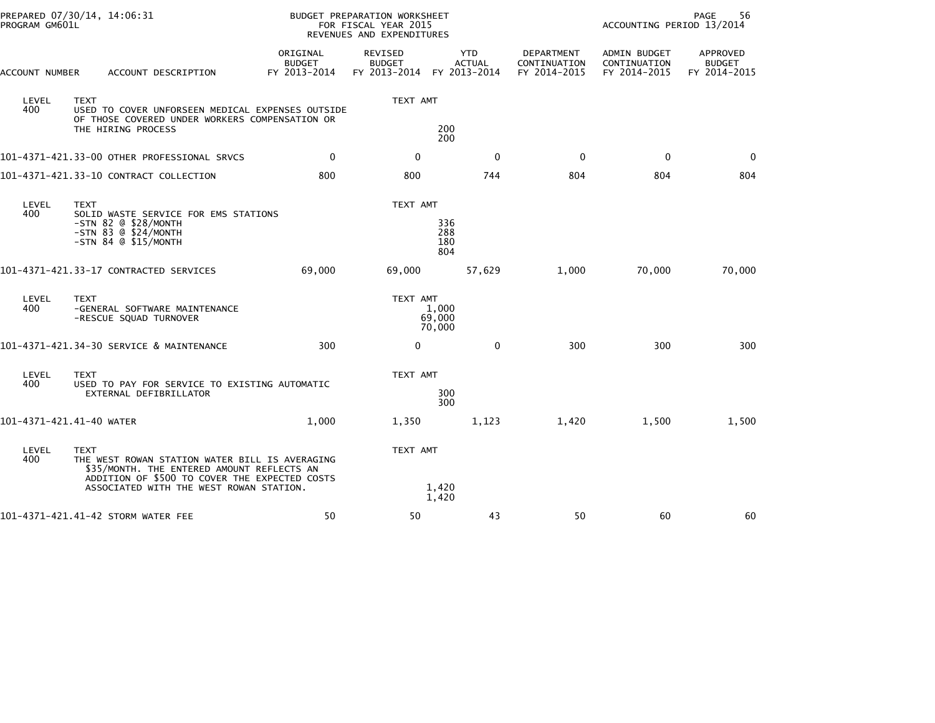| PROGRAM GM601L           | PREPARED 07/30/14, 14:06:31                                                                                                                                                                             |                                           | BUDGET PREPARATION WORKSHEET<br>FOR FISCAL YEAR 2015<br>REVENUES AND EXPENDITURES |                             | 56<br>PAGE<br>ACCOUNTING PERIOD 13/2014    |                                              |                                           |  |
|--------------------------|---------------------------------------------------------------------------------------------------------------------------------------------------------------------------------------------------------|-------------------------------------------|-----------------------------------------------------------------------------------|-----------------------------|--------------------------------------------|----------------------------------------------|-------------------------------------------|--|
| ACCOUNT NUMBER           | ACCOUNT DESCRIPTION                                                                                                                                                                                     | ORIGINAL<br><b>BUDGET</b><br>FY 2013-2014 | REVISED<br><b>BUDGET</b><br>FY 2013-2014 FY 2013-2014                             | <b>YTD</b><br><b>ACTUAL</b> | DEPARTMENT<br>CONTINUATION<br>FY 2014-2015 | ADMIN BUDGET<br>CONTINUATION<br>FY 2014-2015 | APPROVED<br><b>BUDGET</b><br>FY 2014-2015 |  |
| LEVEL<br>400             | <b>TEXT</b><br>USED TO COVER UNFORSEEN MEDICAL EXPENSES OUTSIDE<br>OF THOSE COVERED UNDER WORKERS COMPENSATION OR                                                                                       |                                           | TEXT AMT                                                                          |                             |                                            |                                              |                                           |  |
|                          | THE HIRING PROCESS                                                                                                                                                                                      |                                           |                                                                                   | 200<br>200                  |                                            |                                              |                                           |  |
|                          | 101-4371-421.33-00 OTHER PROFESSIONAL SRVCS                                                                                                                                                             | $\mathbf 0$                               | $\mathbf{0}$                                                                      | $\Omega$                    | $\Omega$                                   | $\mathbf 0$                                  | 0                                         |  |
|                          | 101-4371-421.33-10 CONTRACT COLLECTION                                                                                                                                                                  | 800                                       | 800                                                                               | 744                         | 804                                        | 804                                          | 804                                       |  |
| LEVEL<br>400             | <b>TEXT</b><br>SOLID WASTE SERVICE FOR EMS STATIONS<br>$-STN$ 82 $@$ \$28/MONTH<br>$-STN$ 83 $@$ \$24/MONTH<br>$-STN$ 84 $@$ \$15/MONTH                                                                 |                                           | TEXT AMT                                                                          | 336<br>288<br>180<br>804    |                                            |                                              |                                           |  |
|                          | 101-4371-421.33-17 CONTRACTED SERVICES                                                                                                                                                                  | 69,000                                    | 69,000                                                                            | 57,629                      | 1,000                                      | 70,000                                       | 70,000                                    |  |
| LEVEL<br>400             | <b>TEXT</b><br>-GENERAL SOFTWARE MAINTENANCE<br>-RESCUE SQUAD TURNOVER                                                                                                                                  |                                           | TEXT AMT                                                                          | 1,000<br>69,000<br>70,000   |                                            |                                              |                                           |  |
|                          | 101-4371-421.34-30 SERVICE & MAINTENANCE                                                                                                                                                                | 300                                       | $\Omega$                                                                          | $\Omega$                    | 300                                        | 300                                          | 300                                       |  |
| LEVEL<br>400             | <b>TEXT</b><br>USED TO PAY FOR SERVICE TO EXISTING AUTOMATIC<br>EXTERNAL DEFIBRILLATOR                                                                                                                  |                                           | TEXT AMT                                                                          | 300<br>300                  |                                            |                                              |                                           |  |
| 101-4371-421.41-40 WATER |                                                                                                                                                                                                         | 1,000                                     | 1,350                                                                             | 1,123                       | 1,420                                      | 1,500                                        | 1,500                                     |  |
| LEVEL<br>400             | <b>TEXT</b><br>THE WEST ROWAN STATION WATER BILL IS AVERAGING<br>\$35/MONTH. THE ENTERED AMOUNT REFLECTS AN<br>ADDITION OF \$500 TO COVER THE EXPECTED COSTS<br>ASSOCIATED WITH THE WEST ROWAN STATION. |                                           | TEXT AMT                                                                          | 1,420                       |                                            |                                              |                                           |  |
|                          | 101-4371-421.41-42 STORM WATER FEE                                                                                                                                                                      | 50                                        | 50                                                                                | 1,420<br>43                 | 50                                         | 60                                           | 60                                        |  |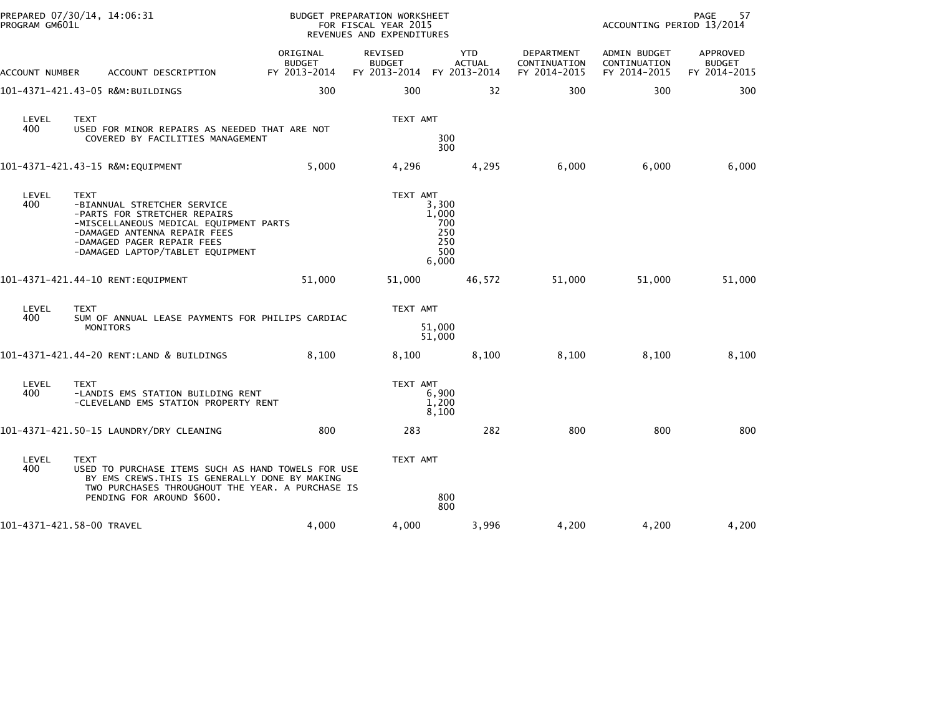| PROGRAM GM601L | PREPARED 07/30/14, 14:06:31                                                                                                                                                                                     | BUDGET PREPARATION WORKSHEET<br>FOR FISCAL YEAR 2015<br>REVENUES AND EXPENDITURES |                                                       |                                                     |                                            | PAGE<br>57<br>ACCOUNTING PERIOD 13/2014      |                                           |  |
|----------------|-----------------------------------------------------------------------------------------------------------------------------------------------------------------------------------------------------------------|-----------------------------------------------------------------------------------|-------------------------------------------------------|-----------------------------------------------------|--------------------------------------------|----------------------------------------------|-------------------------------------------|--|
| ACCOUNT NUMBER | ACCOUNT DESCRIPTION                                                                                                                                                                                             | ORIGINAL<br>BUDGET<br>FY 2013-2014                                                | REVISED<br><b>BUDGET</b><br>FY 2013-2014 FY 2013-2014 | YTD<br>ACTUAL                                       | DEPARTMENT<br>CONTINUATION<br>FY 2014-2015 | ADMIN BUDGET<br>CONTINUATION<br>FY 2014-2015 | APPROVED<br><b>BUDGET</b><br>FY 2014-2015 |  |
|                | 101-4371-421.43-05 R&M:BUILDINGS                                                                                                                                                                                | 300                                                                               | 300                                                   | 32                                                  | 300                                        | 300                                          | 300                                       |  |
| LEVEL<br>400   | <b>TEXT</b><br>USED FOR MINOR REPAIRS AS NEEDED THAT ARE NOT<br>COVERED BY FACILITIES MANAGEMENT                                                                                                                |                                                                                   | TEXT AMT                                              | 300<br>300                                          |                                            |                                              |                                           |  |
|                |                                                                                                                                                                                                                 | 5,000                                                                             | 4,296                                                 | 4,295                                               | 6,000                                      | 6,000                                        | 6,000                                     |  |
| LEVEL<br>400   | TEXT<br>-BIANNUAL STRETCHER SERVICE<br>-PARTS FOR STRETCHER REPAIRS<br>-MISCELLANEOUS MEDICAL EQUIPMENT PARTS<br>-DAMAGED ANTENNA REPAIR FEES<br>-DAMAGED PAGER REPAIR FEES<br>-DAMAGED LAPTOP/TABLET EQUIPMENT |                                                                                   | TEXT AMT                                              | 3,300<br>1,000<br>700<br>250<br>250<br>500<br>6,000 |                                            |                                              |                                           |  |
|                | 101-4371-421.44-10 RENT:EQUIPMENT                                                                                                                                                                               | 51,000                                                                            | 51,000                                                | 46,572                                              | 51,000                                     | 51,000                                       | 51,000                                    |  |
| LEVEL<br>400   | <b>TEXT</b><br>SUM OF ANNUAL LEASE PAYMENTS FOR PHILIPS CARDIAC<br>MONITORS                                                                                                                                     |                                                                                   | TEXT AMT                                              | 51,000<br>51,000                                    |                                            |                                              |                                           |  |
|                | 101-4371-421.44-20 RENT:LAND & BUILDINGS                                                                                                                                                                        | 8,100                                                                             | 8,100                                                 | 8,100                                               | 8,100                                      | 8,100                                        | 8,100                                     |  |
| LEVEL<br>400   | <b>TEXT</b><br>-LANDIS EMS STATION BUILDING RENT<br>-CLEVELAND EMS STATION PROPERTY RENT                                                                                                                        |                                                                                   | TEXT AMT                                              | 6,900<br>1,200<br>8,100                             |                                            |                                              |                                           |  |
|                | 101-4371-421.50-15 LAUNDRY/DRY CLEANING                                                                                                                                                                         | 800                                                                               | 283                                                   | 282                                                 | 800                                        | 800                                          | 800                                       |  |
| LEVEL<br>400   | <b>TEXT</b><br>USED TO PURCHASE ITEMS SUCH AS HAND TOWELS FOR USE<br>BY EMS CREWS. THIS IS GENERALLY DONE BY MAKING<br>TWO PURCHASES THROUGHOUT THE YEAR. A PURCHASE IS<br>PENDING FOR AROUND \$600.            |                                                                                   | TEXT AMT                                              | 800<br>800                                          |                                            |                                              |                                           |  |
|                | 101-4371-421.58-00 TRAVEL                                                                                                                                                                                       | 4,000                                                                             | 4,000                                                 | 3,996                                               | 4,200                                      | 4,200                                        | 4,200                                     |  |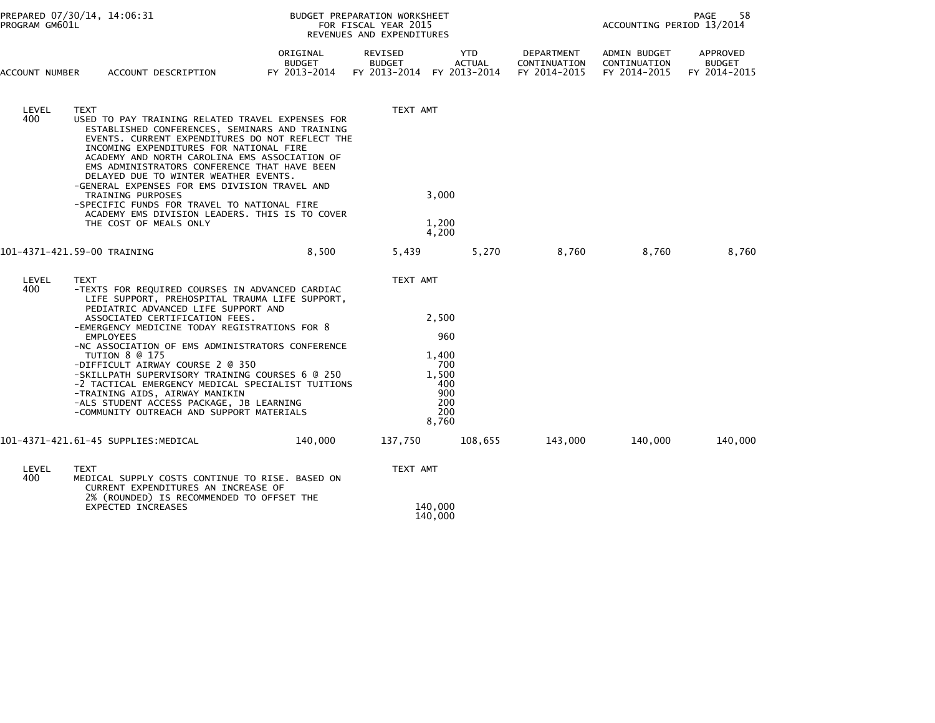| PROGRAM GM601L              | PREPARED 07/30/14, 14:06:31                                                                                                                                                                                                                                                                                                                                                                                                                                                                                                                                                                                 |                                    | BUDGET PREPARATION WORKSHEET<br>FOR FISCAL YEAR 2015<br>REVENUES AND EXPENDITURES | PAGE<br>58<br>ACCOUNTING PERIOD 13/2014                                    |                                            |                                              |                                           |
|-----------------------------|-------------------------------------------------------------------------------------------------------------------------------------------------------------------------------------------------------------------------------------------------------------------------------------------------------------------------------------------------------------------------------------------------------------------------------------------------------------------------------------------------------------------------------------------------------------------------------------------------------------|------------------------------------|-----------------------------------------------------------------------------------|----------------------------------------------------------------------------|--------------------------------------------|----------------------------------------------|-------------------------------------------|
| ACCOUNT NUMBER              | ACCOUNT DESCRIPTION                                                                                                                                                                                                                                                                                                                                                                                                                                                                                                                                                                                         | ORIGINAL<br>BUDGET<br>FY 2013-2014 | REVISED<br><b>BUDGET</b><br>FY 2013-2014 FY 2013-2014                             | <b>YTD</b><br><b>ACTUAL</b>                                                | DEPARTMENT<br>CONTINUATION<br>FY 2014-2015 | ADMIN BUDGET<br>CONTINUATION<br>FY 2014-2015 | APPROVED<br><b>BUDGET</b><br>FY 2014-2015 |
| LEVEL<br>400                | <b>TEXT</b><br>USED TO PAY TRAINING RELATED TRAVEL EXPENSES FOR<br>ESTABLISHED CONFERENCES, SEMINARS AND TRAINING<br>EVENTS. CURRENT EXPENDITURES DO NOT REFLECT THE<br>INCOMING EXPENDITURES FOR NATIONAL FIRE<br>ACADEMY AND NORTH CAROLINA EMS ASSOCIATION OF<br>EMS ADMINISTRATORS CONFERENCE THAT HAVE BEEN<br>DELAYED DUE TO WINTER WEATHER EVENTS.<br>-GENERAL EXPENSES FOR EMS DIVISION TRAVEL AND<br>TRAINING PURPOSES<br>-SPECIFIC FUNDS FOR TRAVEL TO NATIONAL FIRE<br>ACADEMY EMS DIVISION LEADERS. THIS IS TO COVER<br>THE COST OF MEALS ONLY                                                  |                                    | TEXT AMT                                                                          | 3,000<br>1,200<br>4,200                                                    |                                            |                                              |                                           |
| 101-4371-421.59-00 TRAINING |                                                                                                                                                                                                                                                                                                                                                                                                                                                                                                                                                                                                             | 8,500                              | 5,439                                                                             | 5,270                                                                      | 8,760                                      | 8,760                                        | 8,760                                     |
| LEVEL<br>400                | <b>TEXT</b><br>-TEXTS FOR REQUIRED COURSES IN ADVANCED CARDIAC<br>LIFE SUPPORT, PREHOSPITAL TRAUMA LIFE SUPPORT,<br>PEDIATRIC ADVANCED LIFE SUPPORT AND<br>ASSOCIATED CERTIFICATION FEES.<br>-EMERGENCY MEDICINE TODAY REGISTRATIONS FOR 8<br><b>EMPLOYEES</b><br>-NC ASSOCIATION OF EMS ADMINISTRATORS CONFERENCE<br>TUTION 8 @ 175<br>-DIFFICULT AIRWAY COURSE 2 @ 350<br>-SKILLPATH SUPERVISORY TRAINING COURSES 6 @ 250<br>-2 TACTICAL EMERGENCY MEDICAL SPECIALIST TUITIONS<br>-TRAINING AIDS, AIRWAY MANIKIN<br>-ALS STUDENT ACCESS PACKAGE, JB LEARNING<br>-COMMUNITY OUTREACH AND SUPPORT MATERIALS |                                    | TEXT AMT                                                                          | 2,500<br>960<br>1,400<br>700<br>1,500<br>400<br>900<br>200<br>200<br>8,760 |                                            |                                              |                                           |
|                             | 101–4371–421.61–45 SUPPLIES:MEDICAL                                                                                                                                                                                                                                                                                                                                                                                                                                                                                                                                                                         | 140,000                            | 137,750                                                                           | 108,655                                                                    | 143,000                                    | 140,000                                      | 140,000                                   |
| LEVEL<br>400                | <b>TEXT</b><br>MEDICAL SUPPLY COSTS CONTINUE TO RISE. BASED ON<br>CURRENT EXPENDITURES AN INCREASE OF<br>2% (ROUNDED) IS RECOMMENDED TO OFFSET THE<br><b>EXPECTED INCREASES</b>                                                                                                                                                                                                                                                                                                                                                                                                                             |                                    | TEXT AMT<br>140,000<br>140,000                                                    |                                                                            |                                            |                                              |                                           |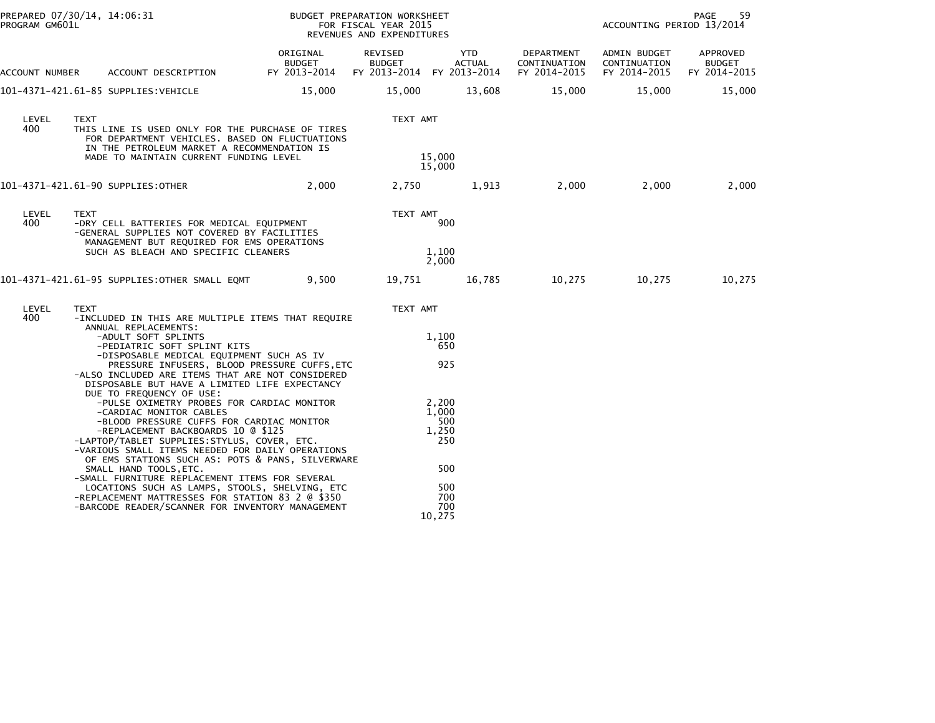| PREPARED 07/30/14, 14:06:31<br>PROGRAM GM601L |                                                                                                                                                                                                                                                                                                                                                                                                                                                                                                                                                                                                                                                                                        |                                           | BUDGET PREPARATION WORKSHEET<br>FOR FISCAL YEAR 2015<br>REVENUES AND EXPENDITURES |                                                                             |                                            | PAGE<br>59<br>ACCOUNTING PERIOD 13/2014      |                                           |  |
|-----------------------------------------------|----------------------------------------------------------------------------------------------------------------------------------------------------------------------------------------------------------------------------------------------------------------------------------------------------------------------------------------------------------------------------------------------------------------------------------------------------------------------------------------------------------------------------------------------------------------------------------------------------------------------------------------------------------------------------------------|-------------------------------------------|-----------------------------------------------------------------------------------|-----------------------------------------------------------------------------|--------------------------------------------|----------------------------------------------|-------------------------------------------|--|
| ACCOUNT NUMBER                                | ACCOUNT DESCRIPTION                                                                                                                                                                                                                                                                                                                                                                                                                                                                                                                                                                                                                                                                    | ORIGINAL<br><b>BUDGET</b><br>FY 2013-2014 | REVISED<br><b>BUDGET</b><br>FY 2013-2014 FY 2013-2014                             | YTD<br><b>ACTUAL</b>                                                        | DEPARTMENT<br>CONTINUATION<br>FY 2014-2015 | ADMIN BUDGET<br>CONTINUATION<br>FY 2014-2015 | APPROVED<br><b>BUDGET</b><br>FY 2014-2015 |  |
|                                               | 101-4371-421.61-85 SUPPLIES:VEHICLE                                                                                                                                                                                                                                                                                                                                                                                                                                                                                                                                                                                                                                                    | 15,000                                    | 15,000                                                                            | 13,608                                                                      | 15,000                                     | 15,000                                       | 15,000                                    |  |
| LEVEL<br>400                                  | <b>TEXT</b><br>THIS LINE IS USED ONLY FOR THE PURCHASE OF TIRES<br>FOR DEPARTMENT VEHICLES. BASED ON FLUCTUATIONS<br>IN THE PETROLEUM MARKET A RECOMMENDATION IS<br>MADE TO MAINTAIN CURRENT FUNDING LEVEL                                                                                                                                                                                                                                                                                                                                                                                                                                                                             |                                           | TEXT AMT                                                                          | 15,000<br>15,000                                                            |                                            |                                              |                                           |  |
|                                               | 101-4371-421.61-90 SUPPLIES:OTHER                                                                                                                                                                                                                                                                                                                                                                                                                                                                                                                                                                                                                                                      | 2,000                                     | 2,750                                                                             | 1,913                                                                       | 2,000                                      | 2,000                                        | 2,000                                     |  |
| LEVEL<br>400                                  | <b>TEXT</b><br>-DRY CELL BATTERIES FOR MEDICAL EQUIPMENT<br>-GENERAL SUPPLIES NOT COVERED BY FACILITIES<br>MANAGEMENT BUT REQUIRED FOR EMS OPERATIONS<br>SUCH AS BLEACH AND SPECIFIC CLEANERS                                                                                                                                                                                                                                                                                                                                                                                                                                                                                          |                                           | TEXT AMT                                                                          | 900<br>1,100<br>2,000                                                       |                                            |                                              |                                           |  |
|                                               | 101–4371–421.61–95 SUPPLIES:OTHER SMALL EQMT                                                                                                                                                                                                                                                                                                                                                                                                                                                                                                                                                                                                                                           | 9,500                                     | 19,751                                                                            | 16,785                                                                      | 10,275                                     | 10,275                                       | 10,275                                    |  |
| LEVEL<br>400                                  | TEXT<br>-INCLUDED IN THIS ARE MULTIPLE ITEMS THAT REQUIRE<br>ANNUAL REPLACEMENTS:<br>-ADULT SOFT SPLINTS<br>-PEDIATRIC SOFT SPLINT KITS<br>-DISPOSABLE MEDICAL EQUIPMENT SUCH AS IV<br>PRESSURE INFUSERS, BLOOD PRESSURE CUFFS, ETC                                                                                                                                                                                                                                                                                                                                                                                                                                                    |                                           | TEXT AMT                                                                          | 1,100<br>650<br>925                                                         |                                            |                                              |                                           |  |
|                                               | -ALSO INCLUDED ARE ITEMS THAT ARE NOT CONSIDERED<br>DISPOSABLE BUT HAVE A LIMITED LIFE EXPECTANCY<br>DUE TO FREQUENCY OF USE:<br>-PULSE OXIMETRY PROBES FOR CARDIAC MONITOR<br>-CARDIAC MONITOR CABLES<br>-BLOOD PRESSURE CUFFS FOR CARDIAC MONITOR<br>-REPLACEMENT BACKBOARDS 10 @ \$125<br>-LAPTOP/TABLET SUPPLIES:STYLUS, COVER, ETC.<br>-VARIOUS SMALL ITEMS NEEDED FOR DAILY OPERATIONS<br>OF EMS STATIONS SUCH AS: POTS & PANS, SILVERWARE<br>SMALL HAND TOOLS, ETC.<br>-SMALL FURNITURE REPLACEMENT ITEMS FOR SEVERAL<br>LOCATIONS SUCH AS LAMPS, STOOLS, SHELVING, ETC<br>-REPLACEMENT MATTRESSES FOR STATION 83 2 @ \$350<br>-BARCODE READER/SCANNER FOR INVENTORY MANAGEMENT |                                           |                                                                                   | 2,200<br>1,000<br>500<br>1,250<br>250<br>500<br>500<br>700<br>700<br>10,275 |                                            |                                              |                                           |  |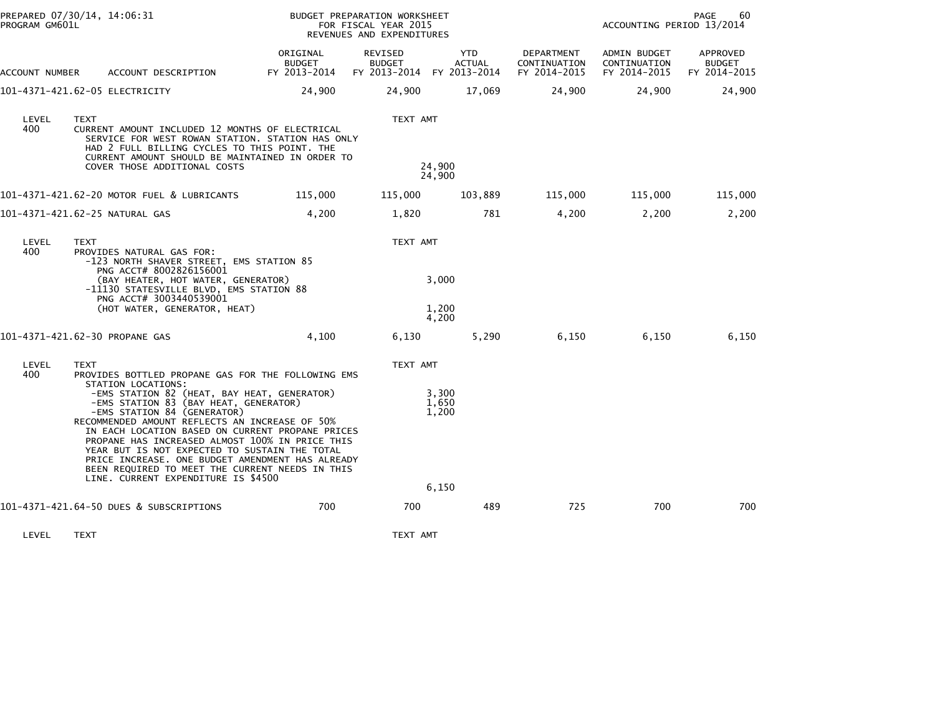| PROGRAM GM601L | PREPARED 07/30/14, 14:06:31                                                                                                                                                                                                                                                                                                                                                                                                                                                 |                                           | BUDGET PREPARATION WORKSHEET<br>FOR FISCAL YEAR 2015<br>REVENUES AND EXPENDITURES | PAGE<br>60<br>ACCOUNTING PERIOD 13/2014 |                                            |                                              |                                           |
|----------------|-----------------------------------------------------------------------------------------------------------------------------------------------------------------------------------------------------------------------------------------------------------------------------------------------------------------------------------------------------------------------------------------------------------------------------------------------------------------------------|-------------------------------------------|-----------------------------------------------------------------------------------|-----------------------------------------|--------------------------------------------|----------------------------------------------|-------------------------------------------|
| ACCOUNT NUMBER | ACCOUNT DESCRIPTION                                                                                                                                                                                                                                                                                                                                                                                                                                                         | ORIGINAL<br><b>BUDGET</b><br>FY 2013-2014 | REVISED<br><b>BUDGET</b><br>FY 2013-2014 FY 2013-2014                             | YTD<br><b>ACTUAL</b>                    | DEPARTMENT<br>CONTINUATION<br>FY 2014-2015 | ADMIN BUDGET<br>CONTINUATION<br>FY 2014-2015 | APPROVED<br><b>BUDGET</b><br>FY 2014-2015 |
|                | 101-4371-421.62-05 ELECTRICITY                                                                                                                                                                                                                                                                                                                                                                                                                                              | 24,900                                    | 24,900                                                                            | 17,069                                  | 24,900                                     | 24,900                                       | 24,900                                    |
| LEVEL<br>400   | <b>TEXT</b><br>CURRENT AMOUNT INCLUDED 12 MONTHS OF ELECTRICAL<br>SERVICE FOR WEST ROWAN STATION. STATION HAS ONLY<br>HAD 2 FULL BILLING CYCLES TO THIS POINT. THE<br>CURRENT AMOUNT SHOULD BE MAINTAINED IN ORDER TO<br>COVER THOSE ADDITIONAL COSTS                                                                                                                                                                                                                       |                                           | TEXT AMT<br>24,900<br>24,900                                                      |                                         |                                            |                                              |                                           |
|                | 101-4371-421.62-20 MOTOR FUEL & LUBRICANTS                                                                                                                                                                                                                                                                                                                                                                                                                                  | 115,000                                   | 115,000                                                                           | 103,889                                 | 115,000                                    | 115,000                                      | 115,000                                   |
|                | 101-4371-421.62-25 NATURAL GAS                                                                                                                                                                                                                                                                                                                                                                                                                                              | 4,200                                     | 1,820                                                                             | 781                                     | 4,200                                      | 2,200                                        | 2,200                                     |
| LEVEL<br>400   | <b>TEXT</b><br>PROVIDES NATURAL GAS FOR:<br>-123 NORTH SHAVER STREET, EMS STATION 85<br>PNG ACCT# 8002826156001<br>(BAY HEATER, HOT WATER, GENERATOR)<br>-11130 STATESVILLE BLVD, EMS STATION 88<br>PNG ACCT# 3003440539001<br>(HOT WATER, GENERATOR, HEAT)                                                                                                                                                                                                                 |                                           | TEXT AMT<br>3,000<br>1,200<br>4,200                                               |                                         |                                            |                                              |                                           |
|                | 101-4371-421.62-30 PROPANE GAS                                                                                                                                                                                                                                                                                                                                                                                                                                              | 4,100                                     | 6,130                                                                             | 5,290                                   | 6,150                                      | 6,150                                        | 6,150                                     |
| LEVEL<br>400   | TEXT<br>PROVIDES BOTTLED PROPANE GAS FOR THE FOLLOWING EMS<br>STATION LOCATIONS:                                                                                                                                                                                                                                                                                                                                                                                            |                                           | TEXT AMT                                                                          |                                         |                                            |                                              |                                           |
|                | -EMS STATION 82 (HEAT, BAY HEAT, GENERATOR)<br>-EMS STATION 83 (BAY HEAT, GENERATOR)<br>-EMS STATION 84 (GENERATOR)<br>RECOMMENDED AMOUNT REFLECTS AN INCREASE OF 50%<br>IN EACH LOCATION BASED ON CURRENT PROPANE PRICES<br>PROPANE HAS INCREASED ALMOST 100% IN PRICE THIS<br>YEAR BUT IS NOT EXPECTED TO SUSTAIN THE TOTAL<br>PRICE INCREASE. ONE BUDGET AMENDMENT HAS ALREADY<br>BEEN REQUIRED TO MEET THE CURRENT NEEDS IN THIS<br>LINE. CURRENT EXPENDITURE IS \$4500 |                                           | 3,300<br>1,650<br>1,200<br>6,150                                                  |                                         |                                            |                                              |                                           |
|                | 101-4371-421.64-50 DUES & SUBSCRIPTIONS                                                                                                                                                                                                                                                                                                                                                                                                                                     | 700                                       | 700                                                                               | 489                                     | 725                                        | 700                                          | 700                                       |
| LEVEL          | <b>TEXT</b>                                                                                                                                                                                                                                                                                                                                                                                                                                                                 |                                           | TEXT AMT                                                                          |                                         |                                            |                                              |                                           |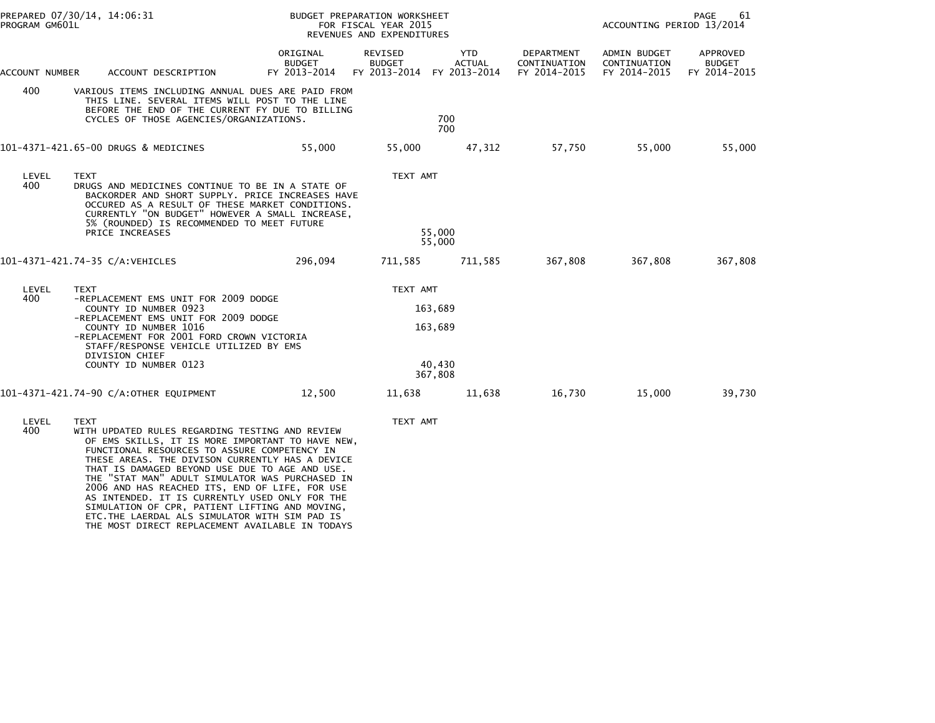| PROGRAM GM601L | PREPARED 07/30/14, 14:06:31                                                                                                                                                                                                                                                                                                                                                                                                                                                                                                                                                           |                                    | BUDGET PREPARATION WORKSHEET<br>FOR FISCAL YEAR 2015<br>REVENUES AND EXPENDITURES |                                         |                                            |                                              | PAGE<br>61<br>ACCOUNTING PERIOD 13/2014   |  |  |
|----------------|---------------------------------------------------------------------------------------------------------------------------------------------------------------------------------------------------------------------------------------------------------------------------------------------------------------------------------------------------------------------------------------------------------------------------------------------------------------------------------------------------------------------------------------------------------------------------------------|------------------------------------|-----------------------------------------------------------------------------------|-----------------------------------------|--------------------------------------------|----------------------------------------------|-------------------------------------------|--|--|
| ACCOUNT NUMBER | ACCOUNT DESCRIPTION                                                                                                                                                                                                                                                                                                                                                                                                                                                                                                                                                                   | ORIGINAL<br>BUDGET<br>FY 2013-2014 | REVISED<br><b>BUDGET</b><br>FY 2013-2014 FY 2013-2014                             | YTD<br><b>ACTUAL</b>                    | DEPARTMENT<br>CONTINUATION<br>FY 2014-2015 | ADMIN BUDGET<br>CONTINUATION<br>FY 2014-2015 | APPROVED<br><b>BUDGET</b><br>FY 2014-2015 |  |  |
| 400            | VARIOUS ITEMS INCLUDING ANNUAL DUES ARE PAID FROM<br>THIS LINE. SEVERAL ITEMS WILL POST TO THE LINE<br>BEFORE THE END OF THE CURRENT FY DUE TO BILLING<br>CYCLES OF THOSE AGENCIES/ORGANIZATIONS.                                                                                                                                                                                                                                                                                                                                                                                     | 700<br>700                         |                                                                                   |                                         |                                            |                                              |                                           |  |  |
|                | 101-4371-421.65-00 DRUGS & MEDICINES                                                                                                                                                                                                                                                                                                                                                                                                                                                                                                                                                  | 55,000                             | 55,000                                                                            | 47,312                                  | 57,750                                     | 55,000                                       | 55,000                                    |  |  |
| LEVEL<br>400   | <b>TEXT</b><br>DRUGS AND MEDICINES CONTINUE TO BE IN A STATE OF<br>BACKORDER AND SHORT SUPPLY. PRICE INCREASES HAVE<br>OCCURED AS A RESULT OF THESE MARKET CONDITIONS.<br>CURRENTLY "ON BUDGET" HOWEVER A SMALL INCREASE,<br>5% (ROUNDED) IS RECOMMENDED TO MEET FUTURE<br>PRICE INCREASES                                                                                                                                                                                                                                                                                            |                                    | TEXT AMT                                                                          | 55,000<br>55.000                        |                                            |                                              |                                           |  |  |
|                | 101-4371-421.74-35 C/A:VEHICLES                                                                                                                                                                                                                                                                                                                                                                                                                                                                                                                                                       | 296,094                            | 711,585                                                                           | 711,585                                 | 367,808                                    | 367,808                                      | 367,808                                   |  |  |
| LEVEL<br>400   | <b>TEXT</b><br>-REPLACEMENT EMS UNIT FOR 2009 DODGE<br>COUNTY ID NUMBER 0923<br>-REPLACEMENT EMS UNIT FOR 2009 DODGE<br>COUNTY ID NUMBER 1016<br>-REPLACEMENT FOR 2001 FORD CROWN VICTORIA<br>STAFF/RESPONSE VEHICLE UTILIZED BY EMS<br>DIVISION CHIEF<br>COUNTY ID NUMBER 0123                                                                                                                                                                                                                                                                                                       |                                    | TEXT AMT                                                                          | 163,689<br>163,689<br>40,430<br>367,808 |                                            |                                              |                                           |  |  |
|                | 101-4371-421.74-90 C/A:OTHER EQUIPMENT                                                                                                                                                                                                                                                                                                                                                                                                                                                                                                                                                | 12,500                             | 11,638                                                                            | 11,638                                  | 16,730                                     | 15,000                                       | 39,730                                    |  |  |
| LEVEL<br>400   | <b>TEXT</b><br>WITH UPDATED RULES REGARDING TESTING AND REVIEW<br>OF EMS SKILLS, IT IS MORE IMPORTANT TO HAVE NEW,<br>FUNCTIONAL RESOURCES TO ASSURE COMPETENCY IN<br>THESE AREAS. THE DIVISON CURRENTLY HAS A DEVICE<br>THAT IS DAMAGED BEYOND USE DUE TO AGE AND USE.<br>THE "STAT MAN" ADULT SIMULATOR WAS PURCHASED IN<br>2006 AND HAS REACHED ITS, END OF LIFE, FOR USE<br>AS INTENDED. IT IS CURRENTLY USED ONLY FOR THE<br>SIMULATION OF CPR, PATIENT LIFTING AND MOVING,<br>ETC. THE LAERDAL ALS SIMULATOR WITH SIM PAD IS<br>THE MOST DIRECT REPLACEMENT AVAILABLE IN TODAYS |                                    | TEXT AMT                                                                          |                                         |                                            |                                              |                                           |  |  |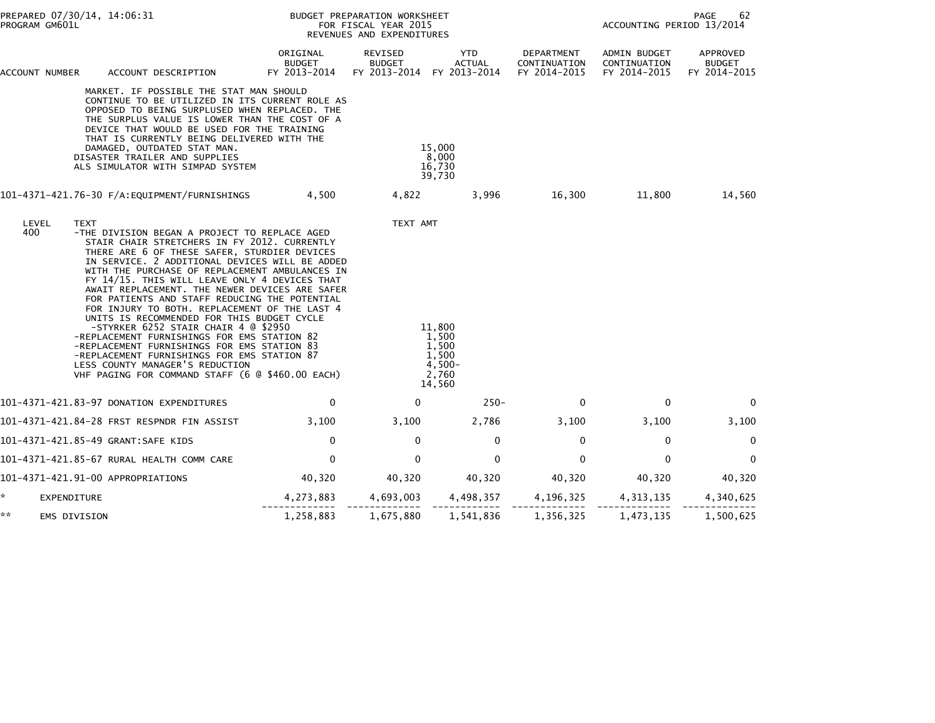| PROGRAM GM601L     | PREPARED 07/30/14, 14:06:31                                                                                                                                                                                                                                                                                                                                                                                                                                                                                                                                                                                                                                                                                                                                                                     |                                           | BUDGET PREPARATION WORKSHEET<br>FOR FISCAL YEAR 2015<br>REVENUES AND EXPENDITURES | 62<br>PAGE<br>ACCOUNTING PERIOD 13/2014                          |                                            |                                              |                                           |
|--------------------|-------------------------------------------------------------------------------------------------------------------------------------------------------------------------------------------------------------------------------------------------------------------------------------------------------------------------------------------------------------------------------------------------------------------------------------------------------------------------------------------------------------------------------------------------------------------------------------------------------------------------------------------------------------------------------------------------------------------------------------------------------------------------------------------------|-------------------------------------------|-----------------------------------------------------------------------------------|------------------------------------------------------------------|--------------------------------------------|----------------------------------------------|-------------------------------------------|
| ACCOUNT NUMBER     | ACCOUNT DESCRIPTION                                                                                                                                                                                                                                                                                                                                                                                                                                                                                                                                                                                                                                                                                                                                                                             | ORIGINAL<br><b>BUDGET</b><br>FY 2013-2014 | REVISED<br><b>BUDGET</b>                                                          | YTD<br>ACTUAL<br>FY 2013-2014 FY 2013-2014                       | DEPARTMENT<br>CONTINUATION<br>FY 2014-2015 | ADMIN BUDGET<br>CONTINUATION<br>FY 2014-2015 | APPROVED<br><b>BUDGET</b><br>FY 2014-2015 |
|                    | MARKET. IF POSSIBLE THE STAT MAN SHOULD<br>CONTINUE TO BE UTILIZED IN ITS CURRENT ROLE AS<br>OPPOSED TO BEING SURPLUSED WHEN REPLACED. THE<br>THE SURPLUS VALUE IS LOWER THAN THE COST OF A<br>DEVICE THAT WOULD BE USED FOR THE TRAINING<br>THAT IS CURRENTLY BEING DELIVERED WITH THE<br>DAMAGED, OUTDATED STAT MAN.<br>DISASTER TRAILER AND SUPPLIES<br>ALS SIMULATOR WITH SIMPAD SYSTEM                                                                                                                                                                                                                                                                                                                                                                                                     |                                           |                                                                                   | 15,000<br>8,000<br>16,730<br>39,730                              |                                            |                                              |                                           |
|                    | 101-4371-421.76-30 F/A:EQUIPMENT/FURNISHINGS 4,500                                                                                                                                                                                                                                                                                                                                                                                                                                                                                                                                                                                                                                                                                                                                              |                                           | 4,822                                                                             | 3,996                                                            |                                            | 16,300 11,800                                | 14,560                                    |
| LEVEL<br>400       | <b>TEXT</b><br>-THE DIVISION BEGAN A PROJECT TO REPLACE AGED<br>STAIR CHAIR STRETCHERS IN FY 2012. CURRENTLY<br>THERE ARE 6 OF THESE SAFER, STURDIER DEVICES<br>IN SERVICE. 2 ADDITIONAL DEVICES WILL BE ADDED<br>WITH THE PURCHASE OF REPLACEMENT AMBULANCES IN<br>FY 14/15. THIS WILL LEAVE ONLY 4 DEVICES THAT<br>AWAIT REPLACEMENT. THE NEWER DEVICES ARE SAFER<br>FOR PATIENTS AND STAFF REDUCING THE POTENTIAL<br>FOR INJURY TO BOTH. REPLACEMENT OF THE LAST 4<br>UNITS IS RECOMMENDED FOR THIS BUDGET CYCLE<br>-STYRKER 6252 STAIR CHAIR 4 @ \$2950<br>-REPLACEMENT FURNISHINGS FOR EMS STATION 82<br>-REPLACEMENT FURNISHINGS FOR EMS STATION 83<br>-REPLACEMENT FURNISHINGS FOR EMS STATION 87<br>LESS COUNTY MANAGER'S REDUCTION<br>VHF PAGING FOR COMMAND STAFF (6 @ \$460.00 EACH) |                                           | TEXT AMT                                                                          | 11,800<br>1,500<br>1,500<br>1,500<br>$4,500-$<br>2,760<br>14,560 |                                            |                                              |                                           |
|                    | 101-4371-421.83-97 DONATION EXPENDITURES                                                                                                                                                                                                                                                                                                                                                                                                                                                                                                                                                                                                                                                                                                                                                        | 0                                         | 0                                                                                 | $250 -$                                                          | $\mathbf 0$                                | 0                                            | 0                                         |
|                    | 101-4371-421.84-28 FRST RESPNDR FIN ASSIST                                                                                                                                                                                                                                                                                                                                                                                                                                                                                                                                                                                                                                                                                                                                                      | 3,100                                     | 3,100                                                                             | 2,786                                                            | 3,100                                      | 3,100                                        | 3,100                                     |
|                    | 101-4371-421.85-49 GRANT:SAFE KIDS                                                                                                                                                                                                                                                                                                                                                                                                                                                                                                                                                                                                                                                                                                                                                              | $\mathbf 0$                               | $\mathbf 0$                                                                       | $\mathbf 0$                                                      | $\mathbf 0$                                | $\mathbf 0$                                  | $\mathbf 0$                               |
|                    | 101-4371-421.85-67 RURAL HEALTH COMM CARE                                                                                                                                                                                                                                                                                                                                                                                                                                                                                                                                                                                                                                                                                                                                                       | $\mathbf{0}$                              | $\mathbf{0}$                                                                      | $\mathbf{0}$                                                     | $\mathbf{0}$                               | $\Omega$                                     | $\mathbf 0$                               |
|                    | 101-4371-421.91-00 APPROPRIATIONS                                                                                                                                                                                                                                                                                                                                                                                                                                                                                                                                                                                                                                                                                                                                                               | 40,320                                    | 40,320                                                                            | 40,320                                                           | 40,320                                     | 40,320                                       | 40,320                                    |
| *.<br>EXPENDITURE  |                                                                                                                                                                                                                                                                                                                                                                                                                                                                                                                                                                                                                                                                                                                                                                                                 | 4,273,883                                 |                                                                                   |                                                                  | 4,693,003 4,498,357 4,196,325 4,313,135    |                                              | 4,340,625                                 |
| **<br>EMS DIVISION |                                                                                                                                                                                                                                                                                                                                                                                                                                                                                                                                                                                                                                                                                                                                                                                                 | 1,258,883                                 | 1,675,880                                                                         | 1,541,836                                                        | 1,356,325                                  | 1,473,135                                    | 1,500,625                                 |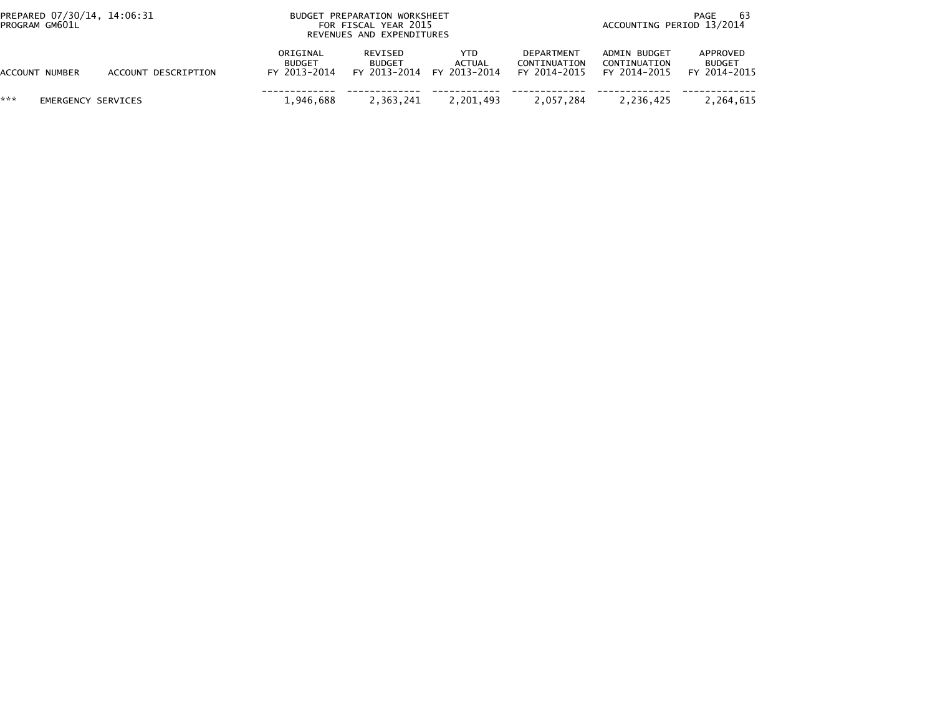| PREPARED 07/30/14, 14:06:31<br>PROGRAM GM601L |                     | BUDGET PREPARATION WORKSHEET<br>FOR FISCAL YEAR 2015<br>REVENUES AND EXPENDITURES | -63<br>PAGE<br>ACCOUNTING PERIOD 13/2014 |                                             |                                            |                                              |                                           |
|-----------------------------------------------|---------------------|-----------------------------------------------------------------------------------|------------------------------------------|---------------------------------------------|--------------------------------------------|----------------------------------------------|-------------------------------------------|
| ACCOUNT NUMBER                                | ACCOUNT DESCRIPTION | ORIGINAL<br><b>BUDGET</b><br>FY 2013-2014                                         | REVISED<br><b>BUDGET</b>                 | YTD.<br>ACTUAL<br>FY 2013-2014 FY 2013-2014 | DEPARTMENT<br>CONTINUATION<br>FY 2014-2015 | ADMIN BUDGET<br>CONTINUATION<br>FY 2014-2015 | APPROVED<br><b>BUDGET</b><br>FY 2014-2015 |
| ***<br>EMERGENCY SERVICES                     |                     | 1.946.688                                                                         | 2,363,241                                | 2,201,493                                   | 2,057,284                                  | 2,236,425                                    | 2,264,615                                 |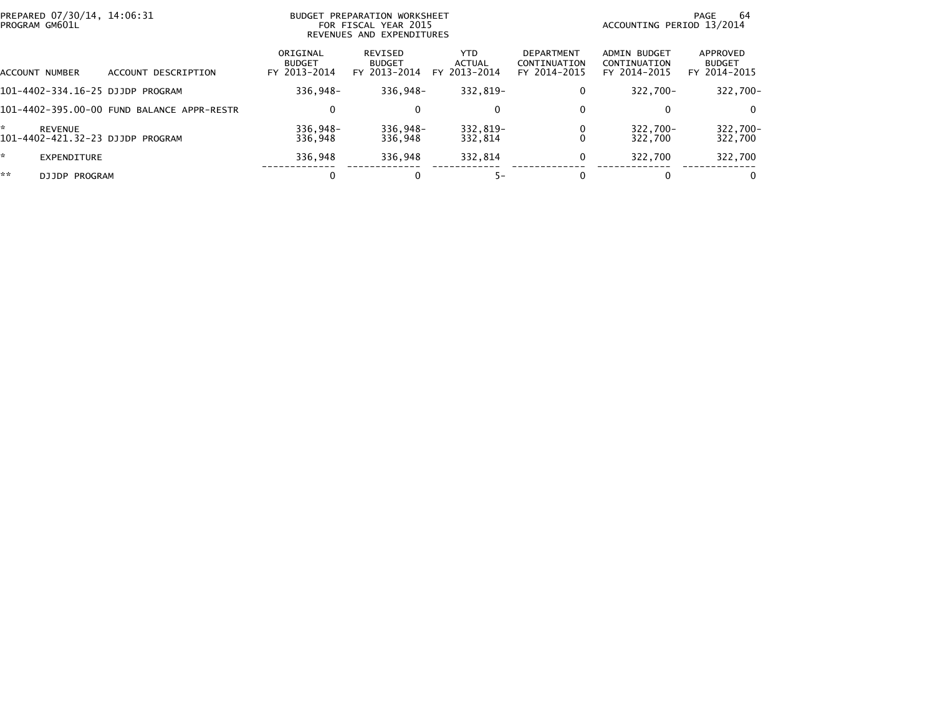| PREPARED 07/30/14, 14:06:31<br>PROGRAM GM601L |                    |                                            | BUDGET PREPARATION WORKSHEET<br>FOR FISCAL YEAR 2015<br>REVENUES AND EXPENDITURES |                                          |                                       |                                                   | PAGE<br>ACCOUNTING PERIOD 13/2014                   |                                           |  |  |
|-----------------------------------------------|--------------------|--------------------------------------------|-----------------------------------------------------------------------------------|------------------------------------------|---------------------------------------|---------------------------------------------------|-----------------------------------------------------|-------------------------------------------|--|--|
|                                               | ACCOUNT NUMBER     | ACCOUNT DESCRIPTION                        | ORIGINAL<br><b>BUDGET</b><br>FY 2013-2014                                         | REVISED<br><b>BUDGET</b><br>FY 2013-2014 | YTD.<br><b>ACTUAL</b><br>FY 2013-2014 | <b>DEPARTMENT</b><br>CONTINUATION<br>FY 2014-2015 | <b>ADMIN BUDGET</b><br>CONTINUATION<br>FY 2014-2015 | APPROVED<br><b>BUDGET</b><br>FY 2014-2015 |  |  |
|                                               |                    | 101-4402-334.16-25 DJJDP PROGRAM           | 336.948-                                                                          | 336.948-                                 | 332.819-                              | 0                                                 | 322.700-                                            | 322,700-                                  |  |  |
|                                               |                    | 101-4402-395.00-00 FUND BALANCE APPR-RESTR | 0                                                                                 |                                          | $\mathbf{0}$                          | 0                                                 | 0                                                   | $\Omega$                                  |  |  |
| ÷                                             | <b>REVENUE</b>     | 101-4402-421.32-23 DJJDP PROGRAM           | $336.948 -$<br>336.948                                                            | $336.948 -$<br>336,948                   | 332.819-<br>332,814                   |                                                   | 322,700-<br>322.700                                 | 322,700-<br>322,700                       |  |  |
| *.                                            | <b>EXPENDITURE</b> |                                            | 336.948                                                                           | 336,948                                  | 332,814                               |                                                   | 322.700                                             | 322,700                                   |  |  |
| **                                            | DJJDP PROGRAM      |                                            | 0                                                                                 |                                          | $5-$                                  |                                                   | 0                                                   | $\bf{0}$                                  |  |  |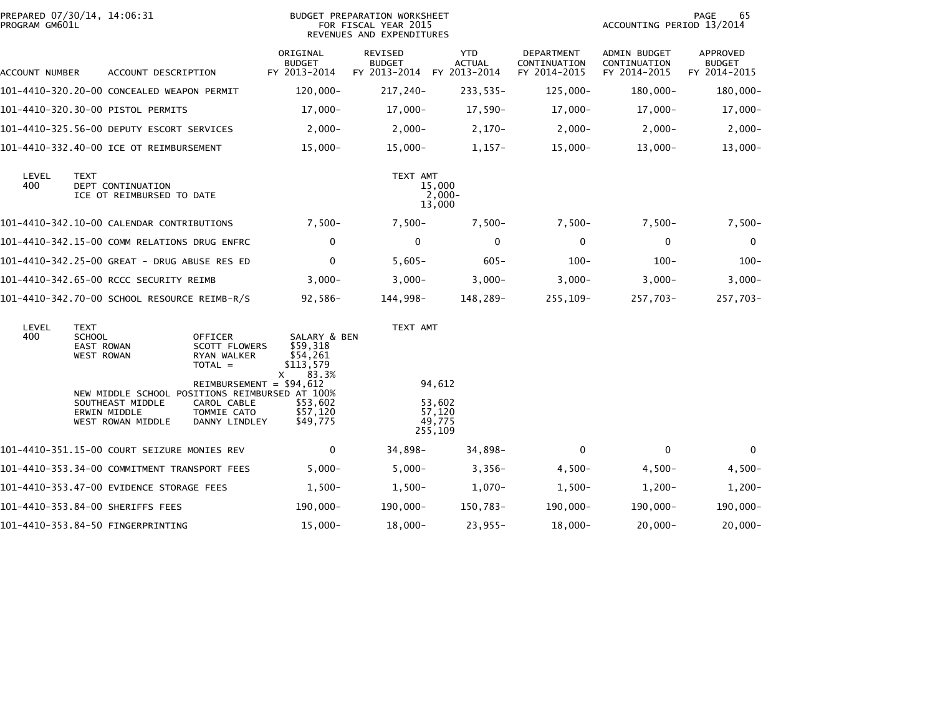| PREPARED 07/30/14, 14:06:31<br>PROGRAM GM601L |                                                          |                                                                                                         |                                                                                                                                         |                                                                                                     | BUDGET PREPARATION WORKSHEET<br>FOR FISCAL YEAR 2015<br>REVENUES AND EXPENDITURES |                                                 |                                            |                                                     | 65<br>PAGE<br>ACCOUNTING PERIOD 13/2014   |  |  |
|-----------------------------------------------|----------------------------------------------------------|---------------------------------------------------------------------------------------------------------|-----------------------------------------------------------------------------------------------------------------------------------------|-----------------------------------------------------------------------------------------------------|-----------------------------------------------------------------------------------|-------------------------------------------------|--------------------------------------------|-----------------------------------------------------|-------------------------------------------|--|--|
| ACCOUNT NUMBER                                |                                                          | ACCOUNT DESCRIPTION                                                                                     |                                                                                                                                         | ORIGINAL<br><b>BUDGET</b><br>FY 2013-2014                                                           | <b>REVISED</b><br><b>BUDGET</b><br>FY 2013-2014                                   | <b>YTD</b><br><b>ACTUAL</b><br>FY 2013-2014     | DEPARTMENT<br>CONTINUATION<br>FY 2014-2015 | <b>ADMIN BUDGET</b><br>CONTINUATION<br>FY 2014-2015 | APPROVED<br><b>BUDGET</b><br>FY 2014-2015 |  |  |
|                                               |                                                          | 101-4410-320.20-00 CONCEALED WEAPON PERMIT                                                              |                                                                                                                                         | 120,000-                                                                                            | 217,240-                                                                          | $233,535-$                                      | $125,000 -$                                | 180,000-                                            | 180,000-                                  |  |  |
|                                               |                                                          |                                                                                                         |                                                                                                                                         | $17,000-$                                                                                           | $17,000-$                                                                         | $17,590-$                                       | $17,000-$                                  | $17,000-$                                           | 17,000-                                   |  |  |
|                                               |                                                          | 101-4410-325.56-00 DEPUTY ESCORT SERVICES                                                               |                                                                                                                                         | $2,000-$                                                                                            | $2,000-$                                                                          | $2,170-$                                        | $2,000-$                                   | $2,000-$                                            | $2,000-$                                  |  |  |
|                                               |                                                          | 101-4410-332.40-00 ICE OT REIMBURSEMENT                                                                 |                                                                                                                                         | $15,000 -$                                                                                          | $15,000 -$                                                                        | $1,157-$                                        | $15,000 -$                                 | $13,000 -$                                          | $13,000 -$                                |  |  |
| LEVEL<br>400                                  | <b>TEXT</b>                                              | DEPT CONTINUATION<br>ICE OT REIMBURSED TO DATE                                                          |                                                                                                                                         |                                                                                                     | TEXT AMT                                                                          | 15,000<br>$2,000-$<br>13,000                    |                                            |                                                     |                                           |  |  |
|                                               |                                                          | 101-4410-342.10-00 CALENDAR CONTRIBUTIONS                                                               |                                                                                                                                         | $7,500-$                                                                                            | $7,500-$                                                                          | $7,500-$                                        | $7,500-$                                   | $7,500-$                                            | $7,500-$                                  |  |  |
|                                               |                                                          | 101-4410-342.15-00 COMM RELATIONS DRUG ENFRC                                                            |                                                                                                                                         | 0                                                                                                   | $\mathbf 0$                                                                       | $\mathbf 0$                                     | $\mathbf 0$                                | $\mathbf 0$                                         | $\mathbf 0$                               |  |  |
|                                               |                                                          | 101-4410-342.25-00 GREAT - DRUG ABUSE RES ED                                                            |                                                                                                                                         | $\mathbf{0}$                                                                                        | $5,605-$                                                                          | $605 -$                                         | $100 -$                                    | $100 -$                                             | $100 -$                                   |  |  |
|                                               |                                                          | 101-4410-342.65-00 RCCC SECURITY REIMB                                                                  |                                                                                                                                         | $3,000-$                                                                                            | $3,000-$                                                                          | $3,000 -$                                       | $3,000-$                                   | $3,000-$                                            | $3,000-$                                  |  |  |
|                                               |                                                          | 101-4410-342.70-00 SCHOOL RESOURCE REIMB-R/S                                                            |                                                                                                                                         | $92,586-$                                                                                           | 144,998–                                                                          | 148,289-                                        | 255,109-                                   | 257,703-                                            | 257,703-                                  |  |  |
| LEVEL<br>400                                  | TEXT<br><b>SCHOOL</b><br>EAST ROWAN<br><b>WEST ROWAN</b> | NEW MIDDLE SCHOOL POSITIONS REIMBURSED AT 100%<br>SOUTHEAST MIDDLE<br>ERWIN MIDDLE<br>WEST ROWAN MIDDLE | OFFICER<br><b>SCOTT FLOWERS</b><br>RYAN WALKER<br>$TOTAL =$<br>REIMBURSEMENT = $$94,612$<br>CAROL CABLE<br>TOMMIE CATO<br>DANNY LINDLEY | SALARY & BEN<br>\$59,318<br>\$54,261<br>\$113,579<br>83.3%<br>х<br>\$53,602<br>\$57,120<br>\$49,775 | TEXT AMT                                                                          | 94,612<br>53,602<br>57,120<br>49,775<br>255,109 |                                            |                                                     |                                           |  |  |
|                                               |                                                          | 101-4410-351.15-00 COURT SEIZURE MONIES REV                                                             |                                                                                                                                         | 0                                                                                                   | 34,898-                                                                           | 34,898-                                         | $\mathbf{0}$                               | $\mathbf{0}$                                        | $\mathbf{0}$                              |  |  |
|                                               |                                                          | 101-4410-353.34-00 COMMITMENT TRANSPORT FEES                                                            |                                                                                                                                         | $5,000 -$                                                                                           | $5,000 -$                                                                         | $3,356-$                                        | $4,500-$                                   | $4,500-$                                            | $4,500-$                                  |  |  |
|                                               |                                                          | 101-4410-353.47-00 EVIDENCE STORAGE FEES                                                                |                                                                                                                                         | $1,500-$                                                                                            | $1,500-$                                                                          | $1,070-$                                        | $1,500-$                                   | $1,200-$                                            | $1,200-$                                  |  |  |
|                                               |                                                          | 101-4410-353.84-00 SHERIFFS FEES                                                                        |                                                                                                                                         | 190,000-                                                                                            | $190,000 -$                                                                       | 150,783-                                        | 190,000-                                   | 190,000-                                            | 190,000-                                  |  |  |
|                                               |                                                          | 101-4410-353.84-50 FINGERPRINTING                                                                       |                                                                                                                                         | $15,000-$                                                                                           | $18,000-$                                                                         | $23,955-$                                       | $18,000-$                                  | $20,000 -$                                          | $20,000 -$                                |  |  |
|                                               |                                                          |                                                                                                         |                                                                                                                                         |                                                                                                     |                                                                                   |                                                 |                                            |                                                     |                                           |  |  |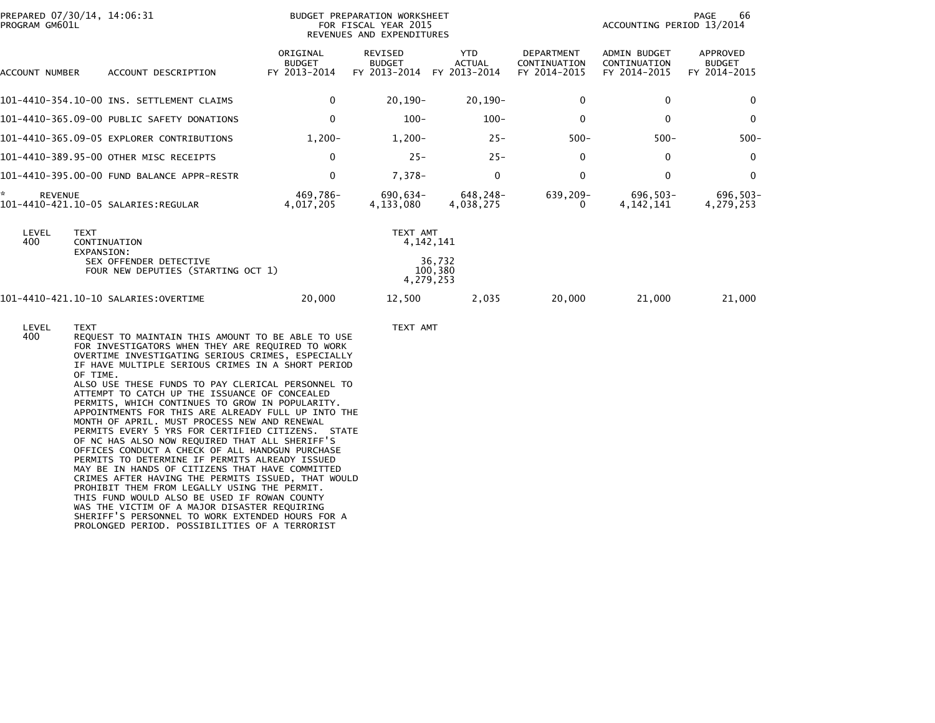| PREPARED 07/30/14, 14:06:31<br>PROGRAM GM601L |                                                              |                                           | <b>BUDGET PREPARATION WORKSHEET</b><br>FOR FISCAL YEAR 2015<br>REVENUES AND EXPENDITURES | 66<br>PAGE<br>ACCOUNTING PERIOD 13/2014     |                                                   |                                                     |                                                  |
|-----------------------------------------------|--------------------------------------------------------------|-------------------------------------------|------------------------------------------------------------------------------------------|---------------------------------------------|---------------------------------------------------|-----------------------------------------------------|--------------------------------------------------|
| ACCOUNT NUMBER                                | ACCOUNT DESCRIPTION                                          | ORIGINAL<br><b>BUDGET</b><br>FY 2013-2014 | <b>REVISED</b><br><b>BUDGET</b><br>FY 2013-2014                                          | <b>YTD</b><br><b>ACTUAL</b><br>FY 2013-2014 | <b>DEPARTMENT</b><br>CONTINUATION<br>FY 2014-2015 | <b>ADMIN BUDGET</b><br>CONTINUATION<br>FY 2014-2015 | <b>APPROVED</b><br><b>BUDGET</b><br>FY 2014-2015 |
|                                               | 101-4410-354.10-00 INS. SETTLEMENT CLAIMS                    | $\mathbf 0$                               | $20,190 -$                                                                               | $20.190 -$                                  | $\mathbf{0}$                                      | $\mathbf{0}$                                        | $\mathbf{0}$                                     |
|                                               | 101-4410-365.09-00 PUBLIC SAFETY DONATIONS                   | $\mathbf 0$                               | $100 -$                                                                                  | $100 -$                                     | $\Omega$                                          | $\mathbf{0}$                                        | $\Omega$                                         |
|                                               | 101-4410-365.09-05 EXPLORER CONTRIBUTIONS                    | $1,200-$                                  | $1,200-$                                                                                 | $25 -$                                      | $500 -$                                           | $500 -$                                             | $500 -$                                          |
|                                               | 101-4410-389.95-00 OTHER MISC RECEIPTS                       | 0                                         | $25 -$                                                                                   | $25 -$                                      | $\Omega$                                          | 0                                                   | $\mathbf{0}$                                     |
|                                               | 101-4410-395.00-00 FUND BALANCE APPR-RESTR                   | $\mathbf 0$                               | 7,378-                                                                                   | 0                                           | $\Omega$                                          | $\mathbf{0}$                                        | $\mathbf{0}$                                     |
| *<br><b>REVENUE</b>                           |                                                              | 469.786-<br>4,017,205                     | 690,634-<br>4,133,080                                                                    | 648,248-<br>4,038,275                       | 639,209-                                          | 696,503-<br>4, 142, 141                             | 696,503-<br>4,279,253                            |
| LEVEL<br><b>TEXT</b><br>400                   | CONTINUATION<br>EXPANSION:                                   |                                           | TEXT AMT                                                                                 | 4, 142, 141                                 |                                                   |                                                     |                                                  |
|                                               | SEX OFFENDER DETECTIVE<br>FOUR NEW DEPUTIES (STARTING OCT 1) |                                           |                                                                                          | 36,732<br>100,380<br>4,279,253              |                                                   |                                                     |                                                  |
|                                               |                                                              | 20,000                                    | 12,500                                                                                   | 2,035                                       | 20,000                                            | 21,000                                              | 21,000                                           |

 400 REQUEST TO MAINTAIN THIS AMOUNT TO BE ABLE TO USE FOR INVESTIGATORS WHEN THEY ARE REQUIRED TO WORK OVERTIME INVESTIGATING SERIOUS CRIMES, ESPECIALLY IF HAVE MULTIPLE SERIOUS CRIMES IN A SHORT PERIODOF TIME.

 ALSO USE THESE FUNDS TO PAY CLERICAL PERSONNEL TO ATTEMPT TO CATCH UP THE ISSUANCE OF CONCEALED PERMITS, WHICH CONTINUES TO GROW IN POPULARITY. APPOINTMENTS FOR THIS ARE ALREADY FULL UP INTO THE MONTH OF APRIL. MUST PROCESS NEW AND RENEWAL PERMITS EVERY 5 YRS FOR CERTIFIED CITIZENS. STATE OF NC HAS ALSO NOW REQUIRED THAT ALL SHERIFF'S OFFICES CONDUCT A CHECK OF ALL HANDGUN PURCHASE PERMITS TO DETERMINE IF PERMITS ALREADY ISSUED MAY BE IN HANDS OF CITIZENS THAT HAVE COMMITTED CRIMES AFTER HAVING THE PERMITS ISSUED, THAT WOULD PROHIBIT THEM FROM LEGALLY USING THE PERMIT. THIS FUND WOULD ALSO BE USED IF ROWAN COUNTY WAS THE VICTIM OF A MAJOR DISASTER REQUIRING SHERIFF'S PERSONNEL TO WORK EXTENDED HOURS FOR APROLONGED PERIOD. POSSIBILITIES OF A TERRORIST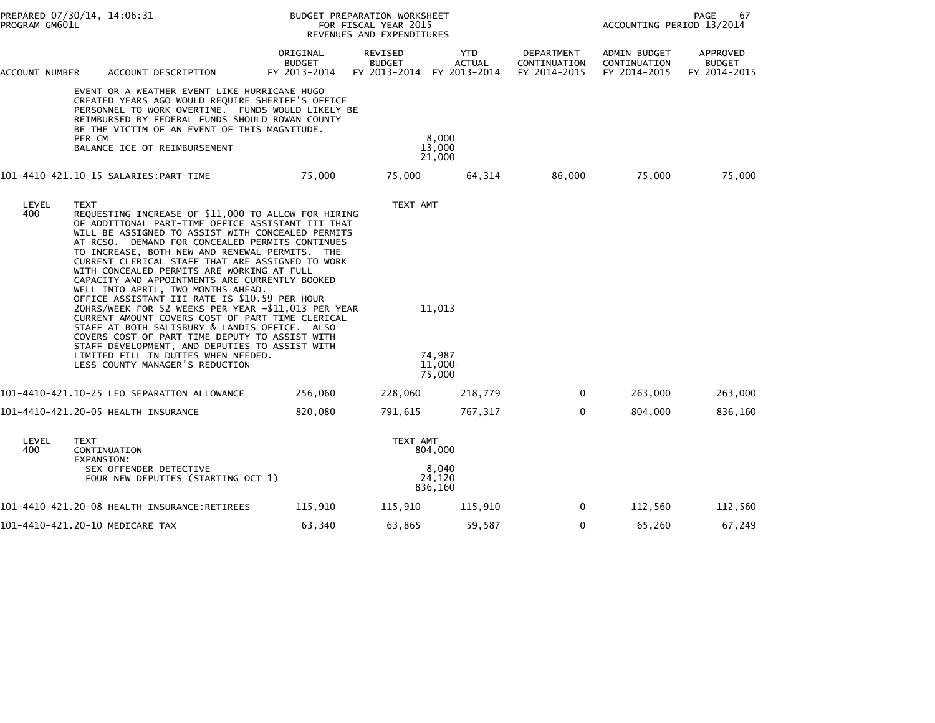|                                                                                                                                                                                                                                                                                                                                                                                                                                                                                                                                                                                                                                                                                                                                                                                                                                                                                        | PREPARED 07/30/14, 14:06:31<br>PROGRAM GM601L                                                                                                                                                                                                                                                      |                                           | BUDGET PREPARATION WORKSHEET<br>FOR FISCAL YEAR 2015<br>REVENUES AND EXPENDITURES | PAGE<br>67<br>ACCOUNTING PERIOD 13/2014                  |                                            |                                              |                                           |
|----------------------------------------------------------------------------------------------------------------------------------------------------------------------------------------------------------------------------------------------------------------------------------------------------------------------------------------------------------------------------------------------------------------------------------------------------------------------------------------------------------------------------------------------------------------------------------------------------------------------------------------------------------------------------------------------------------------------------------------------------------------------------------------------------------------------------------------------------------------------------------------|----------------------------------------------------------------------------------------------------------------------------------------------------------------------------------------------------------------------------------------------------------------------------------------------------|-------------------------------------------|-----------------------------------------------------------------------------------|----------------------------------------------------------|--------------------------------------------|----------------------------------------------|-------------------------------------------|
| ACCOUNT NUMBER                                                                                                                                                                                                                                                                                                                                                                                                                                                                                                                                                                                                                                                                                                                                                                                                                                                                         | ACCOUNT DESCRIPTION                                                                                                                                                                                                                                                                                | ORIGINAL<br><b>BUDGET</b><br>FY 2013-2014 | REVISED<br><b>BUDGET</b>                                                          | <b>YTD</b><br><b>ACTUAL</b><br>FY 2013-2014 FY 2013-2014 | DEPARTMENT<br>CONTINUATION<br>FY 2014-2015 | ADMIN BUDGET<br>CONTINUATION<br>FY 2014-2015 | APPROVED<br><b>BUDGET</b><br>FY 2014-2015 |
|                                                                                                                                                                                                                                                                                                                                                                                                                                                                                                                                                                                                                                                                                                                                                                                                                                                                                        | EVENT OR A WEATHER EVENT LIKE HURRICANE HUGO<br>CREATED YEARS AGO WOULD REQUIRE SHERIFF'S OFFICE<br>PERSONNEL TO WORK OVERTIME. FUNDS WOULD LIKELY BE<br>REIMBURSED BY FEDERAL FUNDS SHOULD ROWAN COUNTY<br>BE THE VICTIM OF AN EVENT OF THIS MAGNITUDE.<br>PER CM<br>BALANCE ICE OT REIMBURSEMENT |                                           | 8,000<br>13,000<br>21,000                                                         |                                                          |                                            |                                              |                                           |
|                                                                                                                                                                                                                                                                                                                                                                                                                                                                                                                                                                                                                                                                                                                                                                                                                                                                                        |                                                                                                                                                                                                                                                                                                    | 75,000                                    | 75,000                                                                            | 64,314                                                   | 86,000                                     | 75,000                                       | 75,000                                    |
| LEVEL<br><b>TEXT</b><br>400<br>REQUESTING INCREASE OF \$11,000 TO ALLOW FOR HIRING<br>OF ADDITIONAL PART-TIME OFFICE ASSISTANT III THAT<br>WILL BE ASSIGNED TO ASSIST WITH CONCEALED PERMITS<br>AT RCSO. DEMAND FOR CONCEALED PERMITS CONTINUES<br>TO INCREASE, BOTH NEW AND RENEWAL PERMITS. THE<br>CURRENT CLERICAL STAFF THAT ARE ASSIGNED TO WORK<br>WITH CONCEALED PERMITS ARE WORKING AT FULL<br>CAPACITY AND APPOINTMENTS ARE CURRENTLY BOOKED<br>WELL INTO APRIL, TWO MONTHS AHEAD.<br>OFFICE ASSISTANT III RATE IS \$10.59 PER HOUR<br>20HRS/WEEK FOR 52 WEEKS PER YEAR =\$11,013 PER YEAR<br>CURRENT AMOUNT COVERS COST OF PART TIME CLERICAL<br>STAFF AT BOTH SALISBURY & LANDIS OFFICE. ALSO<br>COVERS COST OF PART-TIME DEPUTY TO ASSIST WITH<br>STAFF DEVELOPMENT, AND DEPUTIES TO ASSIST WITH<br>LIMITED FILL IN DUTIES WHEN NEEDED.<br>LESS COUNTY MANAGER'S REDUCTION |                                                                                                                                                                                                                                                                                                    |                                           | TEXT AMT                                                                          | 11,013<br>74,987<br>$11.000 -$<br>75,000                 |                                            |                                              |                                           |
|                                                                                                                                                                                                                                                                                                                                                                                                                                                                                                                                                                                                                                                                                                                                                                                                                                                                                        | 101-4410-421.10-25 LEO SEPARATION ALLOWANCE                                                                                                                                                                                                                                                        | 256,060                                   | 228,060                                                                           | 218,779                                                  | $\mathbf{0}$                               | 263,000                                      | 263,000                                   |
|                                                                                                                                                                                                                                                                                                                                                                                                                                                                                                                                                                                                                                                                                                                                                                                                                                                                                        | 101-4410-421.20-05 HEALTH INSURANCE                                                                                                                                                                                                                                                                | 820,080                                   | 791,615                                                                           | 767,317                                                  | $\mathbf{0}$                               | 804,000                                      | 836,160                                   |
| LEVEL<br>400                                                                                                                                                                                                                                                                                                                                                                                                                                                                                                                                                                                                                                                                                                                                                                                                                                                                           | <b>TEXT</b><br>CONTINUATION<br>EXPANSION:<br>SEX OFFENDER DETECTIVE<br>FOUR NEW DEPUTIES (STARTING OCT 1)                                                                                                                                                                                          |                                           | TEXT AMT                                                                          | 804,000<br>8,040<br>24.120<br>836,160                    |                                            |                                              |                                           |
|                                                                                                                                                                                                                                                                                                                                                                                                                                                                                                                                                                                                                                                                                                                                                                                                                                                                                        |                                                                                                                                                                                                                                                                                                    | 115,910                                   | 115,910                                                                           | 115,910                                                  | $\mathbf{0}$                               | 112,560                                      | 112,560                                   |
|                                                                                                                                                                                                                                                                                                                                                                                                                                                                                                                                                                                                                                                                                                                                                                                                                                                                                        | 101-4410-421.20-10 MEDICARE TAX                                                                                                                                                                                                                                                                    | 63,340                                    | 63,865                                                                            | 59,587                                                   | 0                                          | 65,260                                       | 67,249                                    |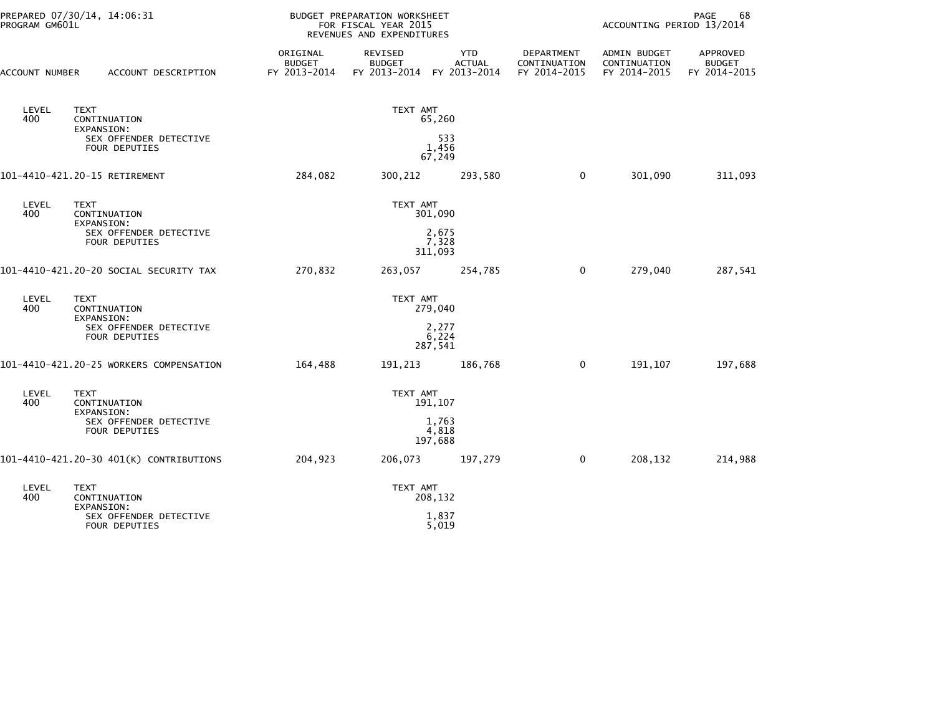| PROGRAM GM601L                                                               | PREPARED 07/30/14, 14:06:31                                                                        |                                           | <b>BUDGET PREPARATION WORKSHEET</b><br>FOR FISCAL YEAR 2015<br>REVENUES AND EXPENDITURES |                             | PAGE<br>68<br>ACCOUNTING PERIOD 13/2014           |                                              |                                           |
|------------------------------------------------------------------------------|----------------------------------------------------------------------------------------------------|-------------------------------------------|------------------------------------------------------------------------------------------|-----------------------------|---------------------------------------------------|----------------------------------------------|-------------------------------------------|
| ACCOUNT NUMBER                                                               | ACCOUNT DESCRIPTION                                                                                | ORIGINAL<br><b>BUDGET</b><br>FY 2013-2014 | REVISED<br><b>BUDGET</b><br>FY 2013-2014 FY 2013-2014                                    | <b>YTD</b><br><b>ACTUAL</b> | <b>DEPARTMENT</b><br>CONTINUATION<br>FY 2014-2015 | ADMIN BUDGET<br>CONTINUATION<br>FY 2014-2015 | APPROVED<br><b>BUDGET</b><br>FY 2014-2015 |
| LEVEL<br>400                                                                 | <b>TEXT</b><br>CONTINUATION<br><b>EXPANSION:</b><br>SEX OFFENDER DETECTIVE<br><b>FOUR DEPUTIES</b> |                                           | TEXT AMT<br>65,260<br>533<br>1,456                                                       |                             |                                                   |                                              |                                           |
|                                                                              | 101-4410-421.20-15 RETIREMENT                                                                      | 284,082                                   | 67,249<br>300,212                                                                        | 293,580                     | $\mathbf 0$                                       | 301,090                                      | 311,093                                   |
| LEVEL<br>400                                                                 | <b>TEXT</b><br>CONTINUATION<br><b>EXPANSION:</b><br>SEX OFFENDER DETECTIVE<br>FOUR DEPUTIES        |                                           | TEXT AMT<br>301,090<br>2,675<br>7,328<br>311,093                                         |                             |                                                   |                                              |                                           |
| 101–4410–421.20–20 SOCIAL SECURITY TAX                                       |                                                                                                    | 270,832                                   | 263,057                                                                                  | 254,785                     | 0                                                 | 279,040                                      | 287,541                                   |
| LEVEL<br>400                                                                 | <b>TEXT</b><br>CONTINUATION<br>EXPANSION:<br>SEX OFFENDER DETECTIVE<br><b>FOUR DEPUTIES</b>        |                                           | TEXT AMT<br>279,040<br>2,277<br>6,224<br>287,541                                         |                             |                                                   |                                              |                                           |
|                                                                              | 101-4410-421.20-25 WORKERS COMPENSATION                                                            | 164,488                                   | 191,213                                                                                  | 186,768                     | 0                                                 | 191,107                                      | 197,688                                   |
| LEVEL<br>400                                                                 | <b>TEXT</b><br>CONTINUATION<br>EXPANSION:<br>SEX OFFENDER DETECTIVE<br><b>FOUR DEPUTIES</b>        |                                           | TEXT AMT<br>191,107<br>1,763<br>4,818<br>197,688                                         |                             |                                                   |                                              |                                           |
| 101-4410-421.20-30 401(K) CONTRIBUTIONS                                      |                                                                                                    | 204,923                                   | 206,073                                                                                  | 197,279                     | $\mathbf 0$                                       | 208,132                                      | 214,988                                   |
| LEVEL<br>TEXT<br>400<br>CONTINUATION<br>EXPANSION:<br>SEX OFFENDER DETECTIVE |                                                                                                    | TEXT AMT<br>208,132<br>1,837              |                                                                                          |                             |                                                   |                                              |                                           |
|                                                                              | FOUR DEPUTIES                                                                                      |                                           | 5,019                                                                                    |                             |                                                   |                                              |                                           |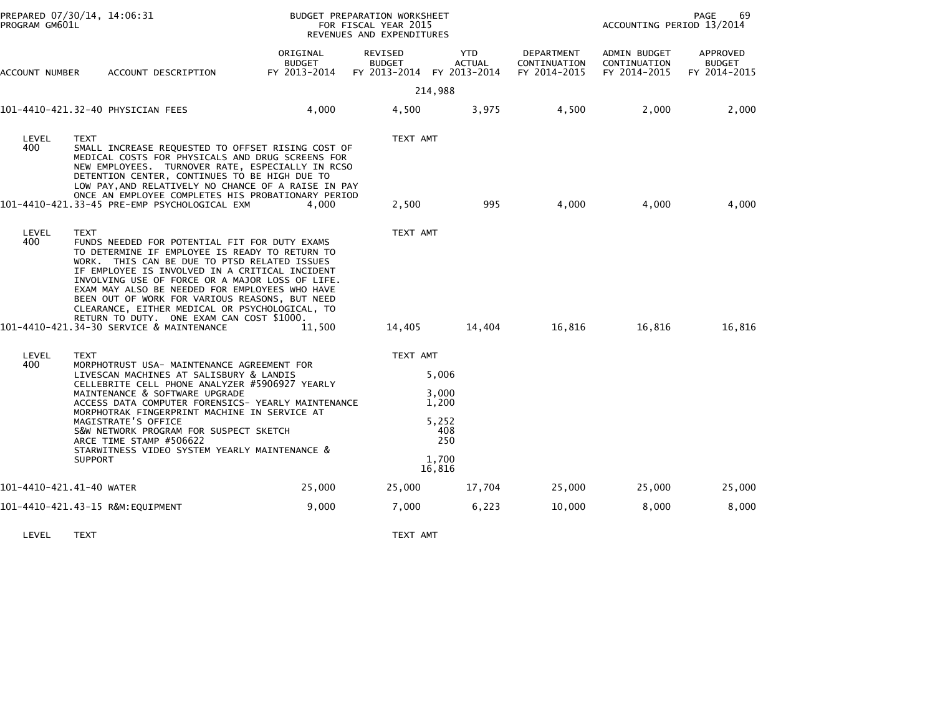| PROGRAM GM601L           | PREPARED 07/30/14, 14:06:31                             |                                                                                                                                                                                                                                                                                                                                                                                                      |                                                                                                                                                                                                                                                                        | BUDGET PREPARATION WORKSHEET<br>FOR FISCAL YEAR 2015<br>REVENUES AND EXPENDITURES |                                                          |                                            | ACCOUNTING PERIOD 13/2014                           | PAGE<br>69                                |
|--------------------------|---------------------------------------------------------|------------------------------------------------------------------------------------------------------------------------------------------------------------------------------------------------------------------------------------------------------------------------------------------------------------------------------------------------------------------------------------------------------|------------------------------------------------------------------------------------------------------------------------------------------------------------------------------------------------------------------------------------------------------------------------|-----------------------------------------------------------------------------------|----------------------------------------------------------|--------------------------------------------|-----------------------------------------------------|-------------------------------------------|
| ACCOUNT NUMBER           |                                                         | ACCOUNT DESCRIPTION                                                                                                                                                                                                                                                                                                                                                                                  | ORIGINAL<br><b>BUDGET</b><br>FY 2013-2014                                                                                                                                                                                                                              | REVISED<br><b>BUDGET</b>                                                          | <b>YTD</b><br><b>ACTUAL</b><br>FY 2013-2014 FY 2013-2014 | DEPARTMENT<br>CONTINUATION<br>FY 2014-2015 | <b>ADMIN BUDGET</b><br>CONTINUATION<br>FY 2014-2015 | APPROVED<br><b>BUDGET</b><br>FY 2014-2015 |
|                          |                                                         |                                                                                                                                                                                                                                                                                                                                                                                                      |                                                                                                                                                                                                                                                                        |                                                                                   | 214,988                                                  |                                            |                                                     |                                           |
|                          | 101-4410-421.32-40 PHYSICIAN FEES                       |                                                                                                                                                                                                                                                                                                                                                                                                      | 4,000                                                                                                                                                                                                                                                                  | 4,500                                                                             | 3,975                                                    | 4,500                                      | 2,000                                               | 2,000                                     |
| LEVEL<br>400             | <b>TEXT</b>                                             | DETENTION CENTER, CONTINUES TO BE HIGH DUE TO                                                                                                                                                                                                                                                                                                                                                        | SMALL INCREASE REQUESTED TO OFFSET RISING COST OF<br>MEDICAL COSTS FOR PHYSICALS AND DRUG SCREENS FOR<br>NEW EMPLOYEES. TURNOVER RATE, ESPECIALLY IN RCSO<br>LOW PAY, AND RELATIVELY NO CHANCE OF A RAISE IN PAY<br>ONCE AN EMPLOYEE COMPLETES HIS PROBATIONARY PERIOD | TEXT AMT                                                                          |                                                          |                                            |                                                     |                                           |
|                          |                                                         | 101-4410-421.33-45 PRE-EMP PSYCHOLOGICAL EXM                                                                                                                                                                                                                                                                                                                                                         | 4.000                                                                                                                                                                                                                                                                  | 2,500                                                                             | 995                                                      | 4,000                                      | 4,000                                               | 4,000                                     |
| LEVEL<br>400             | <b>TEXT</b><br>101-4410-421.34-30 SERVICE & MAINTENANCE | FUNDS NEEDED FOR POTENTIAL FIT FOR DUTY EXAMS<br>TO DETERMINE IF EMPLOYEE IS READY TO RETURN TO<br>WORK. THIS CAN BE DUE TO PTSD RELATED ISSUES<br>IF EMPLOYEE IS INVOLVED IN A CRITICAL INCIDENT<br>EXAM MAY ALSO BE NEEDED FOR EMPLOYEES WHO HAVE<br>BEEN OUT OF WORK FOR VARIOUS REASONS, BUT NEED<br>CLEARANCE, EITHER MEDICAL OR PSYCHOLOGICAL, TO<br>RETURN TO DUTY. ONE EXAM CAN COST \$1000. | INVOLVING USE OF FORCE OR A MAJOR LOSS OF LIFE.<br>11.500                                                                                                                                                                                                              | TEXT AMT<br>14,405                                                                | 14,404                                                   | 16,816                                     | 16,816                                              | 16,816                                    |
|                          |                                                         |                                                                                                                                                                                                                                                                                                                                                                                                      |                                                                                                                                                                                                                                                                        |                                                                                   |                                                          |                                            |                                                     |                                           |
| LEVEL<br>400             | <b>TEXT</b>                                             | MORPHOTRUST USA- MAINTENANCE AGREEMENT FOR                                                                                                                                                                                                                                                                                                                                                           |                                                                                                                                                                                                                                                                        | TEXT AMT                                                                          | 5,006                                                    |                                            |                                                     |                                           |
|                          |                                                         | LIVESCAN MACHINES AT SALISBURY & LANDIS<br>CELLEBRITE CELL PHONE ANALYZER #5906927 YEARLY<br>MAINTENANCE & SOFTWARE UPGRADE                                                                                                                                                                                                                                                                          |                                                                                                                                                                                                                                                                        |                                                                                   | 3,000                                                    |                                            |                                                     |                                           |
|                          |                                                         | MORPHOTRAK FINGERPRINT MACHINE IN SERVICE AT                                                                                                                                                                                                                                                                                                                                                         | ACCESS DATA COMPUTER FORENSICS- YEARLY MAINTENANCE                                                                                                                                                                                                                     |                                                                                   | 1,200                                                    |                                            |                                                     |                                           |
|                          | MAGISTRATE'S OFFICE<br>ARCE TIME STAMP #506622          | S&W NETWORK PROGRAM FOR SUSPECT SKETCH<br>STARWITNESS VIDEO SYSTEM YEARLY MAINTENANCE &                                                                                                                                                                                                                                                                                                              |                                                                                                                                                                                                                                                                        |                                                                                   | 5,252<br>408<br>250                                      |                                            |                                                     |                                           |
|                          | <b>SUPPORT</b>                                          |                                                                                                                                                                                                                                                                                                                                                                                                      |                                                                                                                                                                                                                                                                        |                                                                                   | 1.700<br>16,816                                          |                                            |                                                     |                                           |
| 101-4410-421.41-40 WATER |                                                         |                                                                                                                                                                                                                                                                                                                                                                                                      | 25,000                                                                                                                                                                                                                                                                 | 25,000                                                                            | 17,704                                                   | 25,000                                     | 25,000                                              | 25,000                                    |
|                          | 101-4410-421.43-15 R&M:EQUIPMENT                        |                                                                                                                                                                                                                                                                                                                                                                                                      | 9,000                                                                                                                                                                                                                                                                  | 7,000                                                                             | 6,223                                                    | 10,000                                     | 8,000                                               | 8,000                                     |
|                          |                                                         |                                                                                                                                                                                                                                                                                                                                                                                                      |                                                                                                                                                                                                                                                                        |                                                                                   |                                                          |                                            |                                                     |                                           |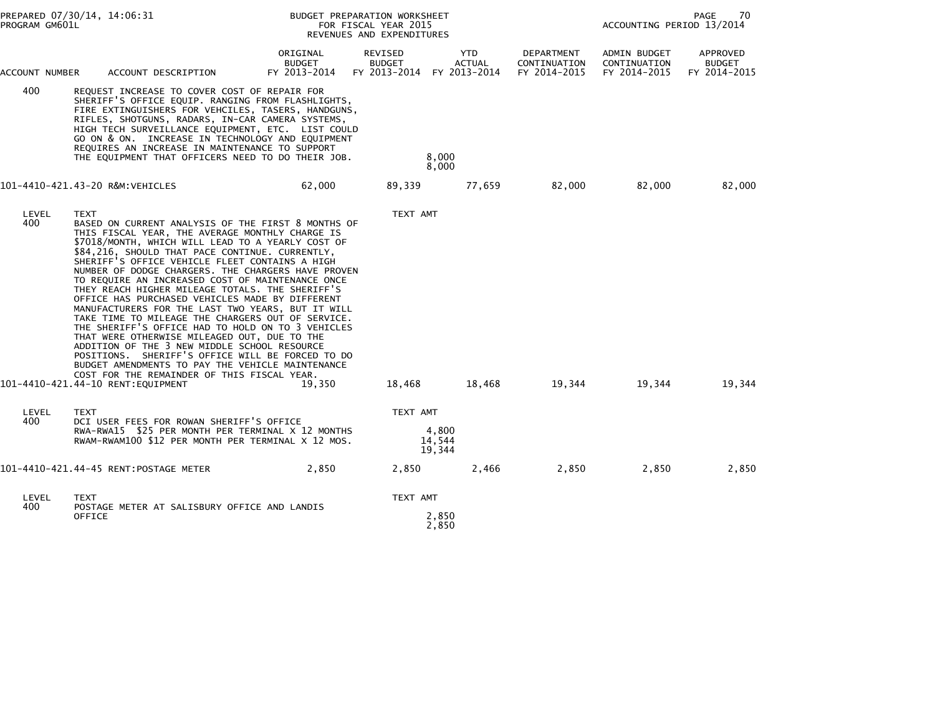| PREPARED 07/30/14, 14:06:31<br>PROGRAM GM601L |                                                                                                                                                                                                                                                                                                                                                                                                                                                                                                                                                                                                                                                                                                                                                                                                                                                                                                                      | BUDGET PREPARATION WORKSHEET<br>FOR FISCAL YEAR 2015<br>REVENUES AND EXPENDITURES |                                          |                               | 70<br>PAGE<br>ACCOUNTING PERIOD 13/2014    |                                              |                                           |
|-----------------------------------------------|----------------------------------------------------------------------------------------------------------------------------------------------------------------------------------------------------------------------------------------------------------------------------------------------------------------------------------------------------------------------------------------------------------------------------------------------------------------------------------------------------------------------------------------------------------------------------------------------------------------------------------------------------------------------------------------------------------------------------------------------------------------------------------------------------------------------------------------------------------------------------------------------------------------------|-----------------------------------------------------------------------------------|------------------------------------------|-------------------------------|--------------------------------------------|----------------------------------------------|-------------------------------------------|
| ACCOUNT NUMBER                                | ACCOUNT DESCRIPTION                                                                                                                                                                                                                                                                                                                                                                                                                                                                                                                                                                                                                                                                                                                                                                                                                                                                                                  | ORIGINAL<br><b>BUDGET</b><br>FY 2013-2014                                         | REVISED<br><b>BUDGET</b><br>FY 2013-2014 | YTD<br>ACTUAL<br>FY 2013-2014 | DEPARTMENT<br>CONTINUATION<br>FY 2014-2015 | ADMIN BUDGET<br>CONTINUATION<br>FY 2014-2015 | APPROVED<br><b>BUDGET</b><br>FY 2014-2015 |
| 400                                           | REQUEST INCREASE TO COVER COST OF REPAIR FOR<br>SHERIFF'S OFFICE EQUIP. RANGING FROM FLASHLIGHTS,<br>FIRE EXTINGUISHERS FOR VEHCILES, TASERS, HANDGUNS,<br>RIFLES, SHOTGUNS, RADARS, IN-CAR CAMERA SYSTEMS,<br>HIGH TECH SURVEILLANCE EQUIPMENT, ETC. LIST COULD<br>GO ON & ON. INCREASE IN TECHNOLOGY AND EQUIPMENT<br>REQUIRES AN INCREASE IN MAINTENANCE TO SUPPORT<br>THE EQUIPMENT THAT OFFICERS NEED TO DO THEIR JOB.                                                                                                                                                                                                                                                                                                                                                                                                                                                                                          |                                                                                   |                                          | 8,000<br>8,000                |                                            |                                              |                                           |
|                                               | 101-4410-421.43-20 R&M:VEHICLES                                                                                                                                                                                                                                                                                                                                                                                                                                                                                                                                                                                                                                                                                                                                                                                                                                                                                      | 62,000                                                                            | 89,339                                   | 77,659                        | 82,000                                     | 82,000                                       | 82,000                                    |
| LEVEL<br>400                                  | <b>TEXT</b><br>BASED ON CURRENT ANALYSIS OF THE FIRST 8 MONTHS OF<br>THIS FISCAL YEAR, THE AVERAGE MONTHLY CHARGE IS<br>\$7018/MONTH, WHICH WILL LEAD TO A YEARLY COST OF<br>\$84,216, SHOULD THAT PACE CONTINUE. CURRENTLY,<br>SHERIFF'S OFFICE VEHICLE FLEET CONTAINS A HIGH<br>NUMBER OF DODGE CHARGERS. THE CHARGERS HAVE PROVEN<br>TO REQUIRE AN INCREASED COST OF MAINTENANCE ONCE<br>THEY REACH HIGHER MILEAGE TOTALS. THE SHERIFF'S<br>OFFICE HAS PURCHASED VEHICLES MADE BY DIFFERENT<br>MANUFACTURERS FOR THE LAST TWO YEARS, BUT IT WILL<br>TAKE TIME TO MILEAGE THE CHARGERS OUT OF SERVICE.<br>THE SHERIFF'S OFFICE HAD TO HOLD ON TO 3 VEHICLES<br>THAT WERE OTHERWISE MILEAGED OUT, DUE TO THE<br>ADDITION OF THE 3 NEW MIDDLE SCHOOL RESOURCE<br>POSITIONS. SHERIFF'S OFFICE WILL BE FORCED TO DO<br>BUDGET AMENDMENTS TO PAY THE VEHICLE MAINTENANCE<br>COST FOR THE REMAINDER OF THIS FISCAL YEAR. |                                                                                   | TEXT AMT                                 |                               |                                            |                                              |                                           |
|                                               | 101-4410-421.44-10 RENT:EQUIPMENT                                                                                                                                                                                                                                                                                                                                                                                                                                                                                                                                                                                                                                                                                                                                                                                                                                                                                    | 19.350                                                                            | 18,468                                   | 18,468                        | 19,344                                     | 19,344                                       | 19,344                                    |
| LEVEL<br>400                                  | <b>TEXT</b><br>DCI USER FEES FOR ROWAN SHERIFF'S OFFICE<br>RWA-RWA15 \$25 PER MONTH PER TERMINAL X 12 MONTHS<br>RWAM-RWAM100 \$12 PER MONTH PER TERMINAL X 12 MOS.                                                                                                                                                                                                                                                                                                                                                                                                                                                                                                                                                                                                                                                                                                                                                   |                                                                                   | TEXT AMT<br>4,800<br>14,544<br>19,344    |                               |                                            |                                              |                                           |
|                                               | 101-4410-421.44-45 RENT:POSTAGE METER                                                                                                                                                                                                                                                                                                                                                                                                                                                                                                                                                                                                                                                                                                                                                                                                                                                                                | 2,850                                                                             | 2,850                                    | 2,466                         | 2,850                                      | 2,850                                        | 2,850                                     |
| LEVEL<br>400                                  | TEXT<br>POSTAGE METER AT SALISBURY OFFICE AND LANDIS<br><b>OFFICE</b>                                                                                                                                                                                                                                                                                                                                                                                                                                                                                                                                                                                                                                                                                                                                                                                                                                                |                                                                                   | TEXT AMT                                 | 2,850<br>2,850                |                                            |                                              |                                           |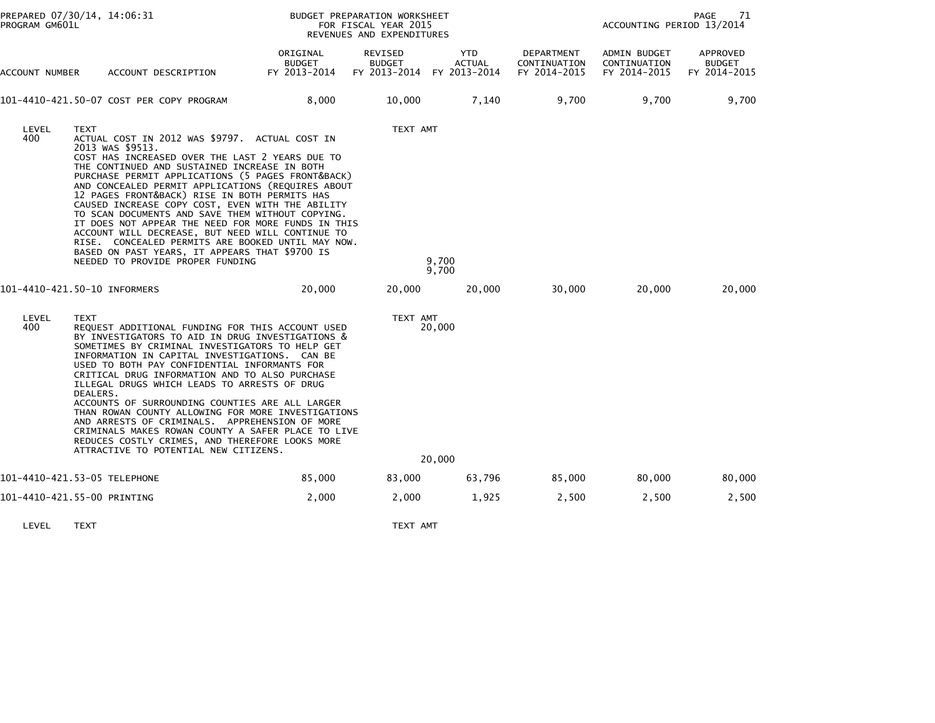| PREPARED 07/30/14, 14:06:31<br>PROGRAM GM601L |                                                                                                                                                                                                                                                                                                                                                                                                                                                                                                                                                                                                                                                                                                       | BUDGET PREPARATION WORKSHEET<br>FOR FISCAL YEAR 2015<br>REVENUES AND EXPENDITURES |                                                       |                      |                                            | PAGE<br>71<br>ACCOUNTING PERIOD 13/2014      |                                           |  |
|-----------------------------------------------|-------------------------------------------------------------------------------------------------------------------------------------------------------------------------------------------------------------------------------------------------------------------------------------------------------------------------------------------------------------------------------------------------------------------------------------------------------------------------------------------------------------------------------------------------------------------------------------------------------------------------------------------------------------------------------------------------------|-----------------------------------------------------------------------------------|-------------------------------------------------------|----------------------|--------------------------------------------|----------------------------------------------|-------------------------------------------|--|
| ACCOUNT NUMBER                                | ACCOUNT DESCRIPTION                                                                                                                                                                                                                                                                                                                                                                                                                                                                                                                                                                                                                                                                                   | ORIGINAL<br><b>BUDGET</b><br>FY 2013-2014                                         | REVISED<br><b>BUDGET</b><br>FY 2013-2014 FY 2013-2014 | YTD<br><b>ACTUAL</b> | DEPARTMENT<br>CONTINUATION<br>FY 2014-2015 | ADMIN BUDGET<br>CONTINUATION<br>FY 2014-2015 | APPROVED<br><b>BUDGET</b><br>FY 2014-2015 |  |
|                                               | 101-4410-421.50-07 COST PER COPY PROGRAM                                                                                                                                                                                                                                                                                                                                                                                                                                                                                                                                                                                                                                                              | 8,000                                                                             | 10,000                                                | 7,140                | 9,700                                      | 9,700                                        | 9,700                                     |  |
| LEVEL<br>400                                  | TEXT<br>ACTUAL COST IN 2012 WAS \$9797. ACTUAL COST IN<br>2013 WAS \$9513.<br>COST HAS INCREASED OVER THE LAST 2 YEARS DUE TO<br>THE CONTINUED AND SUSTAINED INCREASE IN BOTH<br>PURCHASE PERMIT APPLICATIONS (5 PAGES FRONT&BACK)<br>AND CONCEALED PERMIT APPLICATIONS (REQUIRES ABOUT<br>12 PAGES FRONT&BACK) RISE IN BOTH PERMITS HAS<br>CAUSED INCREASE COPY COST, EVEN WITH THE ABILITY<br>TO SCAN DOCUMENTS AND SAVE THEM WITHOUT COPYING.<br>IT DOES NOT APPEAR THE NEED FOR MORE FUNDS IN THIS<br>ACCOUNT WILL DECREASE, BUT NEED WILL CONTINUE TO<br>RISE. CONCEALED PERMITS ARE BOOKED UNTIL MAY NOW.<br>BASED ON PAST YEARS, IT APPEARS THAT \$9700 IS<br>NEEDED TO PROVIDE PROPER FUNDING |                                                                                   | TEXT AMT                                              | 9,700<br>9,700       |                                            |                                              |                                           |  |
|                                               | 101-4410-421.50-10 INFORMERS                                                                                                                                                                                                                                                                                                                                                                                                                                                                                                                                                                                                                                                                          | 20,000                                                                            | 20,000                                                | 20,000               | 30,000                                     | 20,000                                       | 20,000                                    |  |
| LEVEL<br>400                                  | TEXT<br>REQUEST ADDITIONAL FUNDING FOR THIS ACCOUNT USED<br>BY INVESTIGATORS TO AID IN DRUG INVESTIGATIONS &<br>SOMETIMES BY CRIMINAL INVESTIGATORS TO HELP GET<br>INFORMATION IN CAPITAL INVESTIGATIONS. CAN BE<br>USED TO BOTH PAY CONFIDENTIAL INFORMANTS FOR<br>CRITICAL DRUG INFORMATION AND TO ALSO PURCHASE<br>ILLEGAL DRUGS WHICH LEADS TO ARRESTS OF DRUG<br>DEALERS.<br>ACCOUNTS OF SURROUNDING COUNTIES ARE ALL LARGER<br>THAN ROWAN COUNTY ALLOWING FOR MORE INVESTIGATIONS<br>AND ARRESTS OF CRIMINALS. APPREHENSION OF MORE<br>CRIMINALS MAKES ROWAN COUNTY A SAFER PLACE TO LIVE<br>REDUCES COSTLY CRIMES, AND THEREFORE LOOKS MORE<br>ATTRACTIVE TO POTENTIAL NEW CITIZENS.           |                                                                                   | TEXT AMT                                              | 20,000               |                                            |                                              |                                           |  |
|                                               |                                                                                                                                                                                                                                                                                                                                                                                                                                                                                                                                                                                                                                                                                                       |                                                                                   |                                                       | 20,000               |                                            |                                              |                                           |  |
|                                               | 101-4410-421.53-05 TELEPHONE<br>101-4410-421.55-00 PRINTING                                                                                                                                                                                                                                                                                                                                                                                                                                                                                                                                                                                                                                           | 85,000<br>2,000                                                                   | 83,000<br>2,000                                       | 63,796<br>1,925      | 85,000<br>2,500                            | 80,000<br>2,500                              | 80,000<br>2,500                           |  |
|                                               |                                                                                                                                                                                                                                                                                                                                                                                                                                                                                                                                                                                                                                                                                                       |                                                                                   |                                                       |                      |                                            |                                              |                                           |  |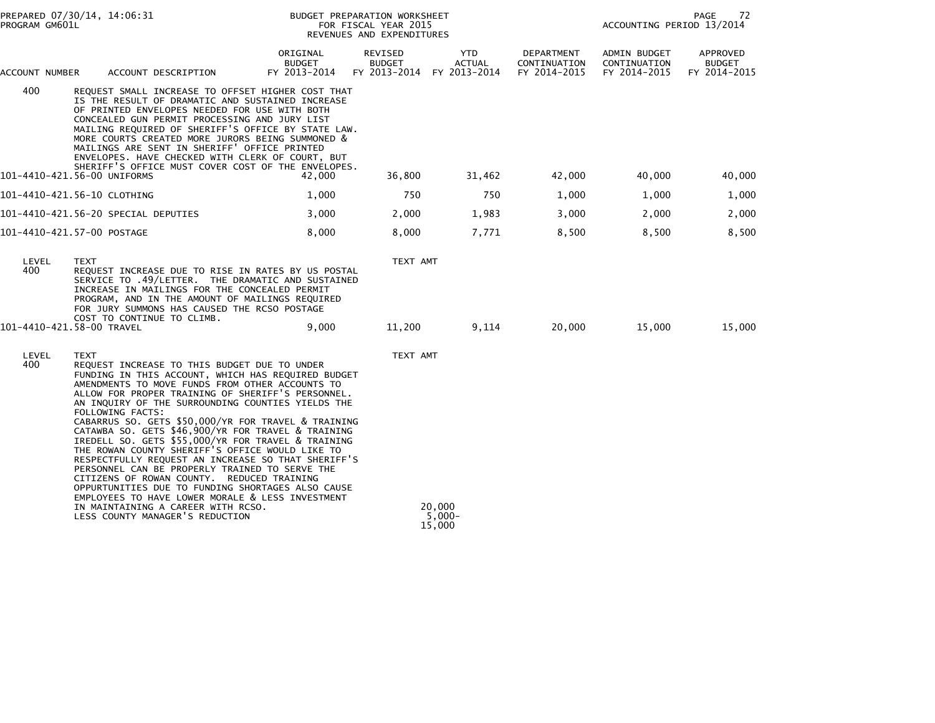| PREPARED 07/30/14, 14:06:31<br>PROGRAM GM601L |                                                                                                                                                                                                                                                                                                                                                                                                                                                                                                                                                                                                                                                                                                                                                                                                                                                           | BUDGET PREPARATION WORKSHEET<br>FOR FISCAL YEAR 2015<br>REVENUES AND EXPENDITURES |                                          |                                      |                                            | PAGE<br>72<br>ACCOUNTING PERIOD 13/2014      |                                           |
|-----------------------------------------------|-----------------------------------------------------------------------------------------------------------------------------------------------------------------------------------------------------------------------------------------------------------------------------------------------------------------------------------------------------------------------------------------------------------------------------------------------------------------------------------------------------------------------------------------------------------------------------------------------------------------------------------------------------------------------------------------------------------------------------------------------------------------------------------------------------------------------------------------------------------|-----------------------------------------------------------------------------------|------------------------------------------|--------------------------------------|--------------------------------------------|----------------------------------------------|-------------------------------------------|
| ACCOUNT NUMBER                                | ACCOUNT DESCRIPTION                                                                                                                                                                                                                                                                                                                                                                                                                                                                                                                                                                                                                                                                                                                                                                                                                                       | ORIGINAL<br><b>BUDGET</b><br>FY 2013-2014                                         | REVISED<br><b>BUDGET</b><br>FY 2013-2014 | YTD<br><b>ACTUAL</b><br>FY 2013-2014 | DEPARTMENT<br>CONTINUATION<br>FY 2014-2015 | ADMIN BUDGET<br>CONTINUATION<br>FY 2014-2015 | APPROVED<br><b>BUDGET</b><br>FY 2014-2015 |
| 400                                           | REQUEST SMALL INCREASE TO OFFSET HIGHER COST THAT<br>IS THE RESULT OF DRAMATIC AND SUSTAINED INCREASE<br>OF PRINTED ENVELOPES NEEDED FOR USE WITH BOTH<br>CONCEALED GUN PERMIT PROCESSING AND JURY LIST<br>MAILING REQUIRED OF SHERIFF'S OFFICE BY STATE LAW.<br>MORE COURTS CREATED MORE JURORS BEING SUMMONED &<br>MAILINGS ARE SENT IN SHERIFF' OFFICE PRINTED<br>ENVELOPES. HAVE CHECKED WITH CLERK OF COURT, BUT<br>SHERIFF'S OFFICE MUST COVER COST OF THE ENVELOPES.                                                                                                                                                                                                                                                                                                                                                                               |                                                                                   |                                          |                                      |                                            |                                              |                                           |
|                                               | 101-4410-421.56-00 UNIFORMS                                                                                                                                                                                                                                                                                                                                                                                                                                                                                                                                                                                                                                                                                                                                                                                                                               | 42.000                                                                            | 36,800                                   | 31,462                               | 42,000                                     | 40,000                                       | 40,000                                    |
|                                               | 101-4410-421.56-10 CLOTHING                                                                                                                                                                                                                                                                                                                                                                                                                                                                                                                                                                                                                                                                                                                                                                                                                               | 1,000                                                                             | 750                                      | 750                                  | 1,000                                      | 1,000                                        | 1,000                                     |
|                                               | 101-4410-421.56-20 SPECIAL DEPUTIES                                                                                                                                                                                                                                                                                                                                                                                                                                                                                                                                                                                                                                                                                                                                                                                                                       | 3,000                                                                             | 2,000                                    | 1,983                                | 3,000                                      | 2,000                                        | 2,000                                     |
|                                               | 101-4410-421.57-00 POSTAGE                                                                                                                                                                                                                                                                                                                                                                                                                                                                                                                                                                                                                                                                                                                                                                                                                                | 8,000                                                                             | 8,000                                    | 7,771                                | 8,500                                      | 8,500                                        | 8,500                                     |
| LEVEL<br>400                                  | <b>TEXT</b><br>REQUEST INCREASE DUE TO RISE IN RATES BY US POSTAL<br>SERVICE TO .49/LETTER. THE DRAMATIC AND SUSTAINED<br>INCREASE IN MAILINGS FOR THE CONCEALED PERMIT<br>PROGRAM, AND IN THE AMOUNT OF MAILINGS REQUIRED<br>FOR JURY SUMMONS HAS CAUSED THE RCSO POSTAGE<br>COST TO CONTINUE TO CLIMB.                                                                                                                                                                                                                                                                                                                                                                                                                                                                                                                                                  |                                                                                   | TEXT AMT                                 |                                      |                                            |                                              |                                           |
|                                               | 101-4410-421.58-00 TRAVEL                                                                                                                                                                                                                                                                                                                                                                                                                                                                                                                                                                                                                                                                                                                                                                                                                                 | 9,000                                                                             | 11,200                                   | 9,114                                | 20,000                                     | 15,000                                       | 15,000                                    |
| LEVEL<br>400                                  | TEXT<br>REQUEST INCREASE TO THIS BUDGET DUE TO UNDER<br>FUNDING IN THIS ACCOUNT, WHICH HAS REQUIRED BUDGET<br>AMENDMENTS TO MOVE FUNDS FROM OTHER ACCOUNTS TO<br>ALLOW FOR PROPER TRAINING OF SHERIFF'S PERSONNEL.<br>AN INQUIRY OF THE SURROUNDING COUNTIES YIELDS THE<br>FOLLOWING FACTS:<br>CABARRUS SO. GETS \$50,000/YR FOR TRAVEL & TRAINING<br>CATAWBA SO. GETS \$46,900/YR FOR TRAVEL & TRAINING<br>IREDELL SO. GETS \$55,000/YR FOR TRAVEL & TRAINING<br>THE ROWAN COUNTY SHERIFF'S OFFICE WOULD LIKE TO<br>RESPECTFULLY REQUEST AN INCREASE SO THAT SHERIFF'S<br>PERSONNEL CAN BE PROPERLY TRAINED TO SERVE THE<br>CITIZENS OF ROWAN COUNTY. REDUCED TRAINING<br>OPPURTUNITIES DUE TO FUNDING SHORTAGES ALSO CAUSE<br>EMPLOYEES TO HAVE LOWER MORALE & LESS INVESTMENT<br>IN MAINTAINING A CAREER WITH RCSO.<br>LESS COUNTY MANAGER'S REDUCTION |                                                                                   | TEXT AMT                                 | 20,000<br>$5,000-$                   |                                            |                                              |                                           |
|                                               |                                                                                                                                                                                                                                                                                                                                                                                                                                                                                                                                                                                                                                                                                                                                                                                                                                                           |                                                                                   |                                          | 15,000                               |                                            |                                              |                                           |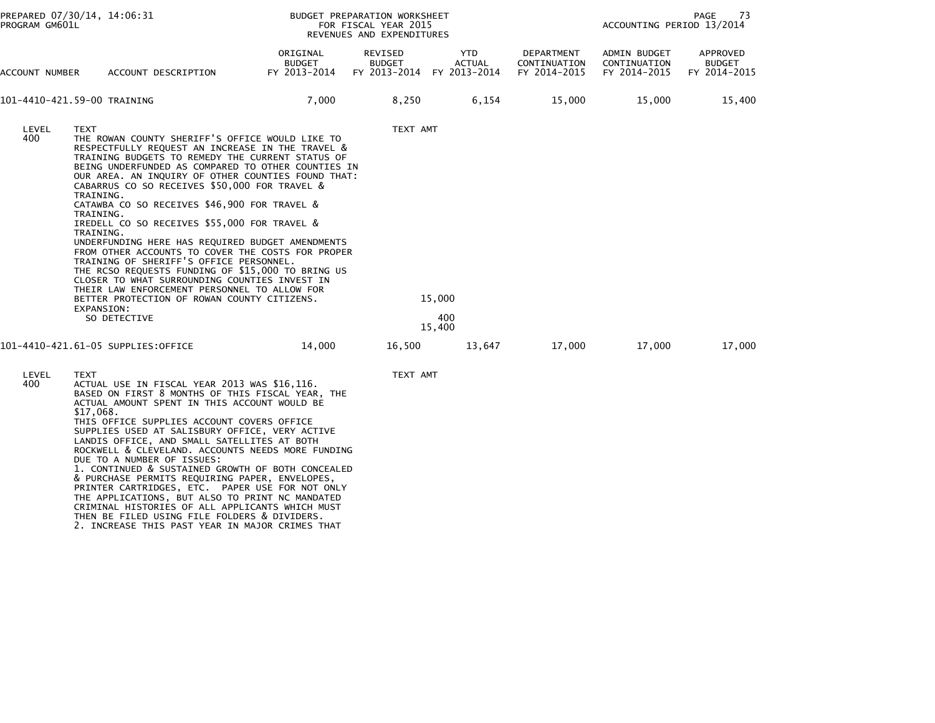| PROGRAM GM601L | PREPARED 07/30/14, 14:06:31                                                                                                                                                                                                                                                                                                                                                                                                                                                                                                                                                                                                                                                                                                                                                                                                                                | BUDGET PREPARATION WORKSHEET<br>PAGE<br>-73<br>ACCOUNTING PERIOD 13/2014<br>FOR FISCAL YEAR 2015<br>REVENUES AND EXPENDITURES |                                                       |                         |                                            |                                              |                                           |
|----------------|------------------------------------------------------------------------------------------------------------------------------------------------------------------------------------------------------------------------------------------------------------------------------------------------------------------------------------------------------------------------------------------------------------------------------------------------------------------------------------------------------------------------------------------------------------------------------------------------------------------------------------------------------------------------------------------------------------------------------------------------------------------------------------------------------------------------------------------------------------|-------------------------------------------------------------------------------------------------------------------------------|-------------------------------------------------------|-------------------------|--------------------------------------------|----------------------------------------------|-------------------------------------------|
| ACCOUNT NUMBER | ACCOUNT DESCRIPTION                                                                                                                                                                                                                                                                                                                                                                                                                                                                                                                                                                                                                                                                                                                                                                                                                                        | ORIGINAL<br>BUDGET<br>FY 2013-2014                                                                                            | REVISED<br><b>BUDGET</b><br>FY 2013-2014 FY 2013-2014 | YTD<br><b>ACTUAL</b>    | DEPARTMENT<br>CONTINUATION<br>FY 2014-2015 | ADMIN BUDGET<br>CONTINUATION<br>FY 2014-2015 | APPROVED<br><b>BUDGET</b><br>FY 2014-2015 |
|                | 101-4410-421.59-00 TRAINING                                                                                                                                                                                                                                                                                                                                                                                                                                                                                                                                                                                                                                                                                                                                                                                                                                | 7,000                                                                                                                         | 8,250                                                 | 6,154                   | 15,000                                     | 15,000                                       | 15,400                                    |
| LEVEL<br>400   | TEXT<br>THE ROWAN COUNTY SHERIFF'S OFFICE WOULD LIKE TO<br>RESPECTFULLY REQUEST AN INCREASE IN THE TRAVEL &<br>TRAINING BUDGETS TO REMEDY THE CURRENT STATUS OF<br>BEING UNDERFUNDED AS COMPARED TO OTHER COUNTIES IN<br>OUR AREA. AN INQUIRY OF OTHER COUNTIES FOUND THAT:<br>CABARRUS CO SO RECEIVES \$50,000 FOR TRAVEL &<br>TRAINING.<br>CATAWBA CO SO RECEIVES \$46,900 FOR TRAVEL &<br>TRAINING.<br>IREDELL CO SO RECEIVES \$55,000 FOR TRAVEL &<br>TRAINING.<br>UNDERFUNDING HERE HAS REQUIRED BUDGET AMENDMENTS<br>FROM OTHER ACCOUNTS TO COVER THE COSTS FOR PROPER<br>TRAINING OF SHERIFF'S OFFICE PERSONNEL.<br>THE RCSO REQUESTS FUNDING OF \$15,000 TO BRING US<br>CLOSER TO WHAT SURROUNDING COUNTIES INVEST IN<br>THEIR LAW ENFORCEMENT PERSONNEL TO ALLOW FOR<br>BETTER PROTECTION OF ROWAN COUNTY CITIZENS.<br>EXPANSION:<br>SO DETECTIVE |                                                                                                                               | TEXT AMT                                              | 15,000<br>400<br>15,400 |                                            |                                              |                                           |
|                | 101-4410-421.61-05 SUPPLIES:OFFICE                                                                                                                                                                                                                                                                                                                                                                                                                                                                                                                                                                                                                                                                                                                                                                                                                         | 14,000                                                                                                                        | 16,500                                                | 13,647                  | 17,000                                     | 17,000                                       | 17,000                                    |
| LEVEL<br>400   | <b>TEXT</b><br>ACTUAL USE IN FISCAL YEAR 2013 WAS \$16,116.<br>BASED ON FIRST 8 MONTHS OF THIS FISCAL YEAR, THE<br>ACTUAL AMOUNT SPENT IN THIS ACCOUNT WOULD BE<br>\$17,068.<br>THIS OFFICE SUPPLIES ACCOUNT COVERS OFFICE<br>SUPPLIES USED AT SALISBURY OFFICE, VERY ACTIVE<br>LANDIS OFFICE, AND SMALL SATELLITES AT BOTH<br>ROCKWELL & CLEVELAND. ACCOUNTS NEEDS MORE FUNDING<br>DUE TO A NUMBER OF ISSUES:<br>1. CONTINUED & SUSTAINED GROWTH OF BOTH CONCEALED<br>& PURCHASE PERMITS REQUIRING PAPER, ENVELOPES,<br>PRINTER CARTRIDGES, ETC. PAPER USE FOR NOT ONLY<br>THE APPLICATIONS, BUT ALSO TO PRINT NC MANDATED<br>CRIMINAL HISTORIES OF ALL APPLICANTS WHICH MUST<br>THEN BE ETLED HETNE ETLE FOLDEDE & DIVIDEDE                                                                                                                              |                                                                                                                               | TEXT AMT                                              |                         |                                            |                                              |                                           |

THEN BE FILED USING FILE FOLDERS & DIVIDERS. 2. INCREASE THIS PAST YEAR IN MAJOR CRIMES THAT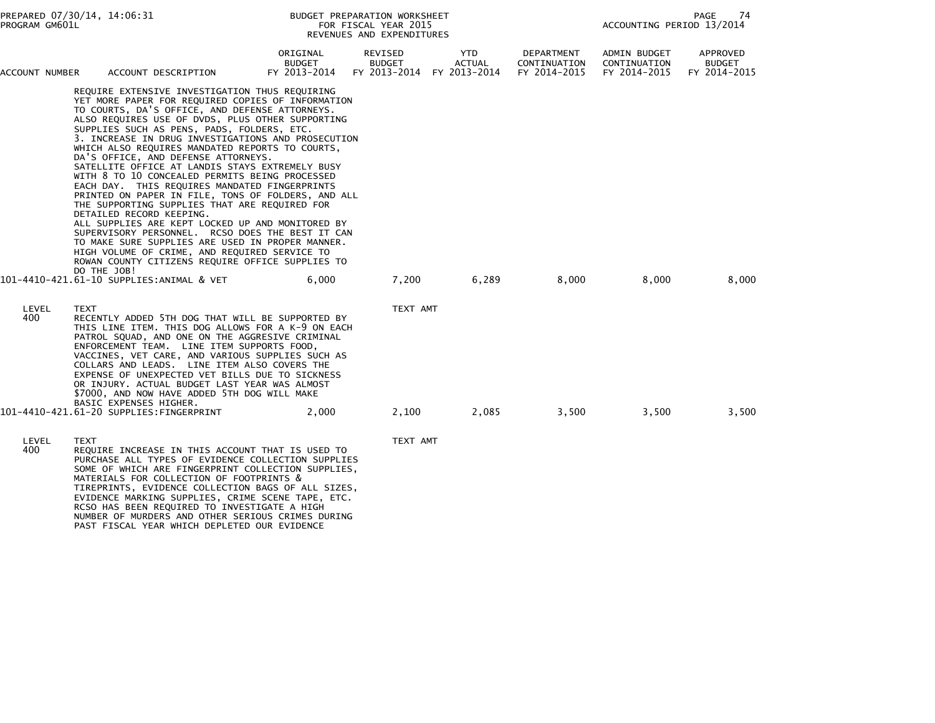| PROGRAM GM601L | PREPARED 07/30/14, 14:06:31<br>BUDGET PREPARATION WORKSHEET<br>PAGE<br>ACCOUNTING PERIOD 13/2014<br>FOR FISCAL YEAR 2015<br>REVENUES AND EXPENDITURES |                                                                                                                                                                                                                                                                                                                                                                                                                                                                                                                                                                                                                                                                                                                                                                                                                                                                                                                                                                   |                                    |                          |                                                   | 74                                         |                                              |                                           |
|----------------|-------------------------------------------------------------------------------------------------------------------------------------------------------|-------------------------------------------------------------------------------------------------------------------------------------------------------------------------------------------------------------------------------------------------------------------------------------------------------------------------------------------------------------------------------------------------------------------------------------------------------------------------------------------------------------------------------------------------------------------------------------------------------------------------------------------------------------------------------------------------------------------------------------------------------------------------------------------------------------------------------------------------------------------------------------------------------------------------------------------------------------------|------------------------------------|--------------------------|---------------------------------------------------|--------------------------------------------|----------------------------------------------|-------------------------------------------|
| ACCOUNT NUMBER |                                                                                                                                                       | ACCOUNT DESCRIPTION                                                                                                                                                                                                                                                                                                                                                                                                                                                                                                                                                                                                                                                                                                                                                                                                                                                                                                                                               | ORIGINAL<br>BUDGET<br>FY 2013-2014 | REVISED<br><b>BUDGET</b> | YTD<br><b>ACTUAL</b><br>FY 2013-2014 FY 2013-2014 | DEPARTMENT<br>CONTINUATION<br>FY 2014-2015 | ADMIN BUDGET<br>CONTINUATION<br>FY 2014-2015 | APPROVED<br><b>BUDGET</b><br>FY 2014-2015 |
|                | DO THE JOB!                                                                                                                                           | REQUIRE EXTENSIVE INVESTIGATION THUS REQUIRING<br>YET MORE PAPER FOR REQUIRED COPIES OF INFORMATION<br>TO COURTS, DA'S OFFICE, AND DEFENSE ATTORNEYS.<br>ALSO REQUIRES USE OF DVDS, PLUS OTHER SUPPORTING<br>SUPPLIES SUCH AS PENS, PADS, FOLDERS, ETC.<br>3. INCREASE IN DRUG INVESTIGATIONS AND PROSECUTION<br>WHICH ALSO REQUIRES MANDATED REPORTS TO COURTS,<br>DA'S OFFICE, AND DEFENSE ATTORNEYS.<br>SATELLITE OFFICE AT LANDIS STAYS EXTREMELY BUSY<br>WITH 8 TO 10 CONCEALED PERMITS BEING PROCESSED<br>EACH DAY. THIS REQUIRES MANDATED FINGERPRINTS<br>PRINTED ON PAPER IN FILE, TONS OF FOLDERS, AND ALL<br>THE SUPPORTING SUPPLIES THAT ARE REQUIRED FOR<br>DETAILED RECORD KEEPING.<br>ALL SUPPLIES ARE KEPT LOCKED UP AND MONITORED BY<br>SUPERVISORY PERSONNEL. RCSO DOES THE BEST IT CAN<br>TO MAKE SURE SUPPLIES ARE USED IN PROPER MANNER.<br>HIGH VOLUME OF CRIME, AND REQUIRED SERVICE TO<br>ROWAN COUNTY CITIZENS REQUIRE OFFICE SUPPLIES TO |                                    |                          |                                                   |                                            |                                              |                                           |
|                |                                                                                                                                                       | 101-4410-421.61-10 SUPPLIES:ANIMAL & VET                                                                                                                                                                                                                                                                                                                                                                                                                                                                                                                                                                                                                                                                                                                                                                                                                                                                                                                          | 6,000                              | 7,200                    | 6,289                                             | 8,000                                      | 8,000                                        | 8,000                                     |
| LEVEL<br>400   | TEXT                                                                                                                                                  | RECENTLY ADDED 5TH DOG THAT WILL BE SUPPORTED BY<br>THIS LINE ITEM. THIS DOG ALLOWS FOR A K-9 ON EACH<br>PATROL SQUAD, AND ONE ON THE AGGRESIVE CRIMINAL<br>ENFORCEMENT TEAM. LINE ITEM SUPPORTS FOOD,<br>VACCINES, VET CARE, AND VARIOUS SUPPLIES SUCH AS<br>COLLARS AND LEADS. LINE ITEM ALSO COVERS THE<br>EXPENSE OF UNEXPECTED VET BILLS DUE TO SICKNESS<br>OR INJURY. ACTUAL BUDGET LAST YEAR WAS ALMOST<br>\$7000, AND NOW HAVE ADDED 5TH DOG WILL MAKE<br>BASIC EXPENSES HIGHER.                                                                                                                                                                                                                                                                                                                                                                                                                                                                          |                                    | TEXT AMT                 |                                                   |                                            |                                              |                                           |
|                |                                                                                                                                                       | 101-4410-421.61-20 SUPPLIES:FINGERPRINT                                                                                                                                                                                                                                                                                                                                                                                                                                                                                                                                                                                                                                                                                                                                                                                                                                                                                                                           | 2,000                              | 2,100                    | 2,085                                             | 3,500                                      | 3,500                                        | 3,500                                     |
| LEVEL<br>400   | <b>TEXT</b>                                                                                                                                           | REQUIRE INCREASE IN THIS ACCOUNT THAT IS USED TO<br>PURCHASE ALL TYPES OF EVIDENCE COLLECTION SUPPLIES<br>SOME OF WHICH ARE FINGERPRINT COLLECTION SUPPLIES,<br>MATERIALS FOR COLLECTION OF FOOTPRINTS &<br>TIREPRINTS, EVIDENCE COLLECTION BAGS OF ALL SIZES,<br>EVIDENCE MARKING SUPPLIES, CRIME SCENE TAPE, ETC.<br>RCSO HAS BEEN REQUIRED TO INVESTIGATE A HIGH<br>NUMBER OF MURDERS AND OTHER SERIOUS CRIMES DURING<br>PAST FISCAL YEAR WHICH DEPLETED OUR EVIDENCE                                                                                                                                                                                                                                                                                                                                                                                                                                                                                          |                                    | TEXT AMT                 |                                                   |                                            |                                              |                                           |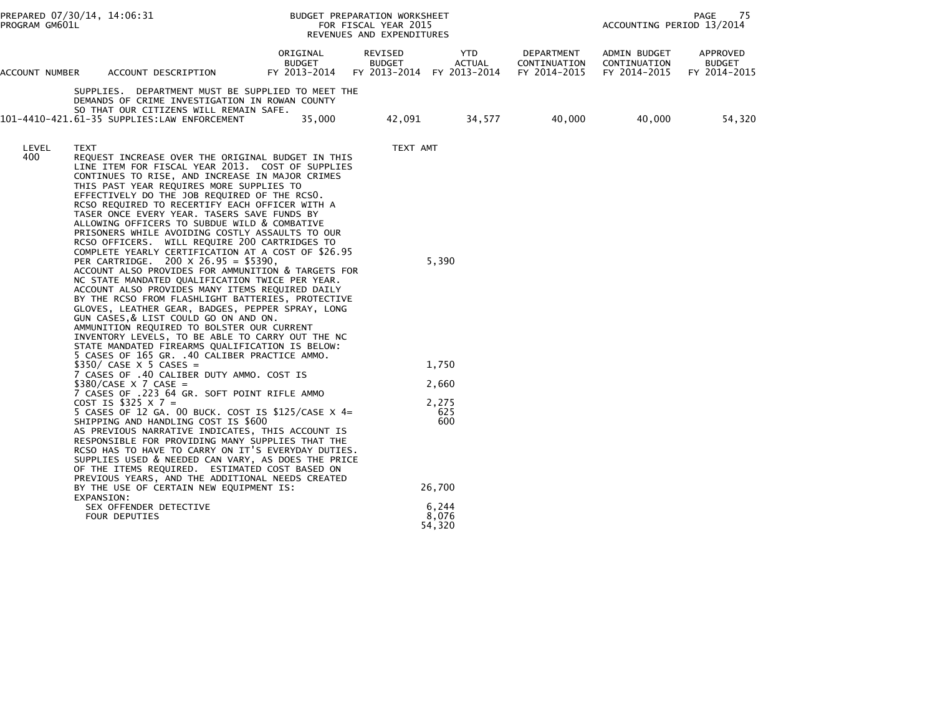| PROGRAM GM601L | PREPARED 07/30/14, 14:06:31                                                                                                                                                                                                                                                                                                                                                                                                                                                                                                                                                                                                                                                                                                                                                                                                                                                                                                                                                                                                                                                                                                         |                                           | BUDGET PREPARATION WORKSHEET<br>FOR FISCAL YEAR 2015<br>REVENUES AND EXPENDITURES |                                            |                                            | ACCOUNTING PERIOD 13/2014                    | PAGE<br>75                                |
|----------------|-------------------------------------------------------------------------------------------------------------------------------------------------------------------------------------------------------------------------------------------------------------------------------------------------------------------------------------------------------------------------------------------------------------------------------------------------------------------------------------------------------------------------------------------------------------------------------------------------------------------------------------------------------------------------------------------------------------------------------------------------------------------------------------------------------------------------------------------------------------------------------------------------------------------------------------------------------------------------------------------------------------------------------------------------------------------------------------------------------------------------------------|-------------------------------------------|-----------------------------------------------------------------------------------|--------------------------------------------|--------------------------------------------|----------------------------------------------|-------------------------------------------|
| ACCOUNT NUMBER | ACCOUNT DESCRIPTION                                                                                                                                                                                                                                                                                                                                                                                                                                                                                                                                                                                                                                                                                                                                                                                                                                                                                                                                                                                                                                                                                                                 | ORIGINAL<br><b>BUDGET</b><br>FY 2013-2014 | REVISED<br><b>BUDGET</b>                                                          | YTD<br>ACTUAL<br>FY 2013-2014 FY 2013-2014 | DEPARTMENT<br>CONTINUATION<br>FY 2014-2015 | ADMIN BUDGET<br>CONTINUATION<br>FY 2014-2015 | APPROVED<br><b>BUDGET</b><br>FY 2014-2015 |
|                | SUPPLIES. DEPARTMENT MUST BE SUPPLIED TO MEET THE<br>DEMANDS OF CRIME INVESTIGATION IN ROWAN COUNTY<br>SO THAT OUR CITIZENS WILL REMAIN SAFE.<br>101-4410-421.61-35 SUPPLIES:LAW ENFORCEMENT                                                                                                                                                                                                                                                                                                                                                                                                                                                                                                                                                                                                                                                                                                                                                                                                                                                                                                                                        | 35,000                                    | 42,091                                                                            | 34,577                                     | 40,000                                     | 40,000                                       | 54,320                                    |
| LEVEL<br>400   | TEXT<br>REQUEST INCREASE OVER THE ORIGINAL BUDGET IN THIS<br>LINE ITEM FOR FISCAL YEAR 2013. COST OF SUPPLIES<br>CONTINUES TO RISE, AND INCREASE IN MAJOR CRIMES<br>THIS PAST YEAR REQUIRES MORE SUPPLIES TO<br>EFFECTIVELY DO THE JOB REQUIRED OF THE RCSO.<br>RCSO REQUIRED TO RECERTIFY EACH OFFICER WITH A<br>TASER ONCE EVERY YEAR. TASERS SAVE FUNDS BY<br>ALLOWING OFFICERS TO SUBDUE WILD & COMBATIVE<br>PRISONERS WHILE AVOIDING COSTLY ASSAULTS TO OUR<br>RCSO OFFICERS. WILL REQUIRE 200 CARTRIDGES TO<br>COMPLETE YEARLY CERTIFICATION AT A COST OF \$26.95<br>PER CARTRIDGE. 200 X 26.95 = \$5390,<br>ACCOUNT ALSO PROVIDES FOR AMMUNITION & TARGETS FOR<br>NC STATE MANDATED QUALIFICATION TWICE PER YEAR.<br>ACCOUNT ALSO PROVIDES MANY ITEMS REQUIRED DAILY<br>BY THE RCSO FROM FLASHLIGHT BATTERIES, PROTECTIVE<br>GLOVES, LEATHER GEAR, BADGES, PEPPER SPRAY, LONG<br>GUN CASES, & LIST COULD GO ON AND ON.<br>AMMUNITION REQUIRED TO BOLSTER OUR CURRENT<br>INVENTORY LEVELS, TO BE ABLE TO CARRY OUT THE NC<br>STATE MANDATED FIREARMS QUALIFICATION IS BELOW:<br>5 CASES OF 165 GR. .40 CALIBER PRACTICE AMMO. |                                           | TEXT AMT                                                                          | 5,390                                      |                                            |                                              |                                           |
|                | $$350/ CASE X 5 CASE =$<br>7 CASES OF .40 CALIBER DUTY AMMO. COST IS                                                                                                                                                                                                                                                                                                                                                                                                                                                                                                                                                                                                                                                                                                                                                                                                                                                                                                                                                                                                                                                                |                                           |                                                                                   | 1,750                                      |                                            |                                              |                                           |
|                | $$380/CASE$ X 7 CASE =<br>7 CASES OF .223 64 GR. SOFT POINT RIFLE AMMO                                                                                                                                                                                                                                                                                                                                                                                                                                                                                                                                                                                                                                                                                                                                                                                                                                                                                                                                                                                                                                                              |                                           |                                                                                   | 2,660                                      |                                            |                                              |                                           |
|                | COST IS \$325 $\times$ 7 =<br>5 CASES OF 12 GA. 00 BUCK. COST IS \$125/CASE $\times$ 4=<br>SHIPPING AND HANDLING COST IS \$600<br>AS PREVIOUS NARRATIVE INDICATES, THIS ACCOUNT IS<br>RESPONSIBLE FOR PROVIDING MANY SUPPLIES THAT THE<br>RCSO HAS TO HAVE TO CARRY ON IT'S EVERYDAY DUTIES.<br>SUPPLIES USED & NEEDED CAN VARY, AS DOES THE PRICE<br>OF THE ITEMS REQUIRED. ESTIMATED COST BASED ON<br>PREVIOUS YEARS, AND THE ADDITIONAL NEEDS CREATED                                                                                                                                                                                                                                                                                                                                                                                                                                                                                                                                                                                                                                                                            |                                           |                                                                                   | 2,275<br>625<br>600                        |                                            |                                              |                                           |
|                | BY THE USE OF CERTAIN NEW EQUIPMENT IS:<br>EXPANSION:                                                                                                                                                                                                                                                                                                                                                                                                                                                                                                                                                                                                                                                                                                                                                                                                                                                                                                                                                                                                                                                                               |                                           |                                                                                   | 26,700                                     |                                            |                                              |                                           |
|                | SEX OFFENDER DETECTIVE<br>FOUR DEPUTIES                                                                                                                                                                                                                                                                                                                                                                                                                                                                                                                                                                                                                                                                                                                                                                                                                                                                                                                                                                                                                                                                                             |                                           |                                                                                   | 6,244<br>8,076<br>54,320                   |                                            |                                              |                                           |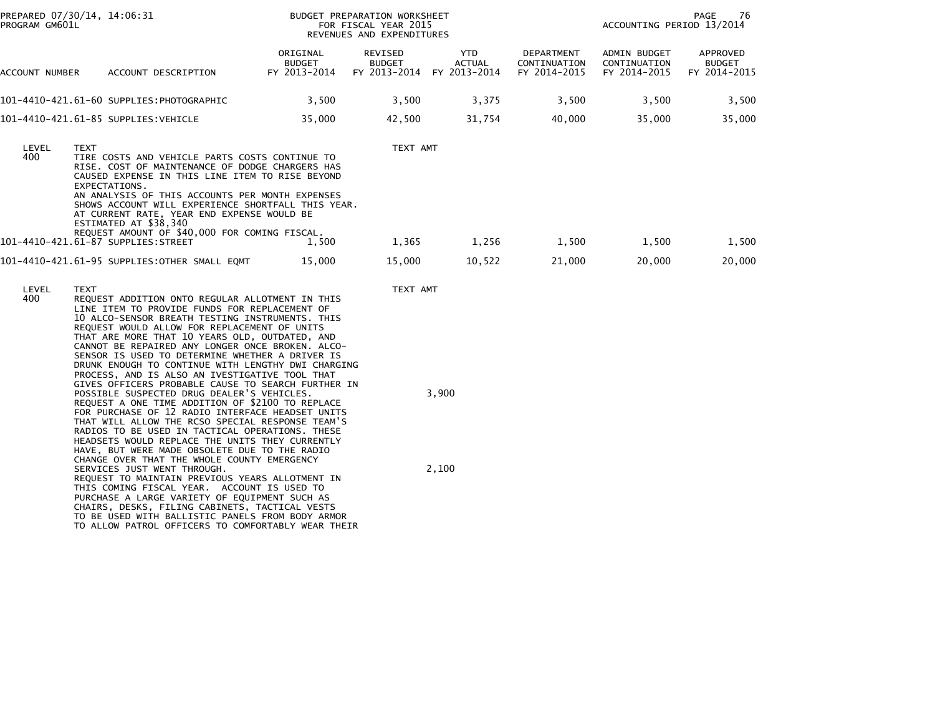| PREPARED 07/30/14, 14:06:31<br>PROGRAM GM601L |             |                                                                                                                                                                                                                                                                                                                                                                                                                                                                                                                            |                                           | BUDGET PREPARATION WORKSHEET<br>FOR FISCAL YEAR 2015<br>REVENUES AND EXPENDITURES |                                             |                                            | ACCOUNTING PERIOD 13/2014                                                        | PAGE<br>76                                |
|-----------------------------------------------|-------------|----------------------------------------------------------------------------------------------------------------------------------------------------------------------------------------------------------------------------------------------------------------------------------------------------------------------------------------------------------------------------------------------------------------------------------------------------------------------------------------------------------------------------|-------------------------------------------|-----------------------------------------------------------------------------------|---------------------------------------------|--------------------------------------------|----------------------------------------------------------------------------------|-------------------------------------------|
| ACCOUNT NUMBER                                |             | ACCOUNT DESCRIPTION                                                                                                                                                                                                                                                                                                                                                                                                                                                                                                        | ORIGINAL<br><b>BUDGET</b><br>FY 2013-2014 | REVISED<br><b>BUDGET</b><br>FY 2013-2014                                          | <b>YTD</b><br><b>ACTUAL</b><br>FY 2013-2014 | DEPARTMENT<br>CONTINUATION<br>FY 2014-2015 | <b>ADMIN BUDGET</b><br>CONTINUATION<br>FY 2014-2015<br>35.000<br>1,500<br>20,000 | APPROVED<br><b>BUDGET</b><br>FY 2014-2015 |
|                                               |             | 101-4410-421.61-60 SUPPLIES:PHOTOGRAPHIC                                                                                                                                                                                                                                                                                                                                                                                                                                                                                   | 3,500                                     | 3,500                                                                             | 3,375                                       | 3,500                                      | 3,500                                                                            | 3,500                                     |
|                                               |             | 101-4410-421.61-85 SUPPLIES: VEHICLE                                                                                                                                                                                                                                                                                                                                                                                                                                                                                       | 35,000                                    | 42,500                                                                            | 31,754                                      | 40,000                                     |                                                                                  | 35,000                                    |
| LEVEL<br>400                                  | <b>TEXT</b> | TIRE COSTS AND VEHICLE PARTS COSTS CONTINUE TO<br>RISE. COST OF MAINTENANCE OF DODGE CHARGERS HAS<br>CAUSED EXPENSE IN THIS LINE ITEM TO RISE BEYOND<br>EXPECTATIONS.<br>AN ANALYSIS OF THIS ACCOUNTS PER MONTH EXPENSES<br>SHOWS ACCOUNT WILL EXPERIENCE SHORTFALL THIS YEAR.<br>AT CURRENT RATE, YEAR END EXPENSE WOULD BE<br>ESTIMATED AT \$38,340<br>REQUEST AMOUNT OF \$40,000 FOR COMING FISCAL.<br>101-4410-421.61-87 SUPPLIES:STREET                                                                               | 1,500                                     | TEXT AMT<br>1,365                                                                 | 1,256                                       | 1,500                                      |                                                                                  | 1,500                                     |
|                                               |             | 101-4410-421.61-95 SUPPLIES:OTHER SMALL EQMT                                                                                                                                                                                                                                                                                                                                                                                                                                                                               | 15,000                                    | 15,000                                                                            | 10,522                                      | 21,000                                     |                                                                                  | 20,000                                    |
| LEVEL<br>400                                  | <b>TEXT</b> | REQUEST ADDITION ONTO REGULAR ALLOTMENT IN THIS<br>LINE ITEM TO PROVIDE FUNDS FOR REPLACEMENT OF<br>10 ALCO-SENSOR BREATH TESTING INSTRUMENTS. THIS<br>REQUEST WOULD ALLOW FOR REPLACEMENT OF UNITS<br>THAT ARE MORE THAT 10 YEARS OLD, OUTDATED, AND<br>CANNOT BE REPAIRED ANY LONGER ONCE BROKEN. ALCO-<br>SENSOR IS USED TO DETERMINE WHETHER A DRIVER IS<br>DRUNK ENOUGH TO CONTINUE WITH LENGTHY DWI CHARGING<br>PROCESS, AND IS ALSO AN IVESTIGATIVE TOOL THAT<br>GIVES OFFICERS PROBABLE CAUSE TO SEARCH FURTHER IN |                                           | TEXT AMT                                                                          | $\sim$ 000                                  |                                            |                                                                                  |                                           |

POSSIBLE SUSPECTED DRUG DEALER'S VEHICLES. 3,900 REQUEST A ONE TIME ADDITION OF \$2100 TO REPLACE FOR PURCHASE OF 12 RADIO INTERFACE HEADSET UNITS THAT WILL ALLOW THE RCSO SPECIAL RESPONSE TEAM'S RADIOS TO BE USED IN TACTICAL OPERATIONS. THESE HEADSETS WOULD REPLACE THE UNITS THEY CURRENTLY HAVE, BUT WERE MADE OBSOLETE DUE TO THE RADIO CHANGE OVER THAT THE WHOLE COUNTY EMERGENCY SERVICES JUST WENT THROUGH. 2,100 REQUEST TO MAINTAIN PREVIOUS YEARS ALLOTMENT IN THIS COMING FISCAL YEAR. ACCOUNT IS USED TO PURCHASE A LARGE VARIETY OF EQUIPMENT SUCH ASCHAIRS, DESKS, FILING CABINETS, TACTICAL VESTS

 TO BE USED WITH BALLISTIC PANELS FROM BODY ARMORTO ALLOW PATROL OFFICERS TO COMFORTABLY WEAR THEIR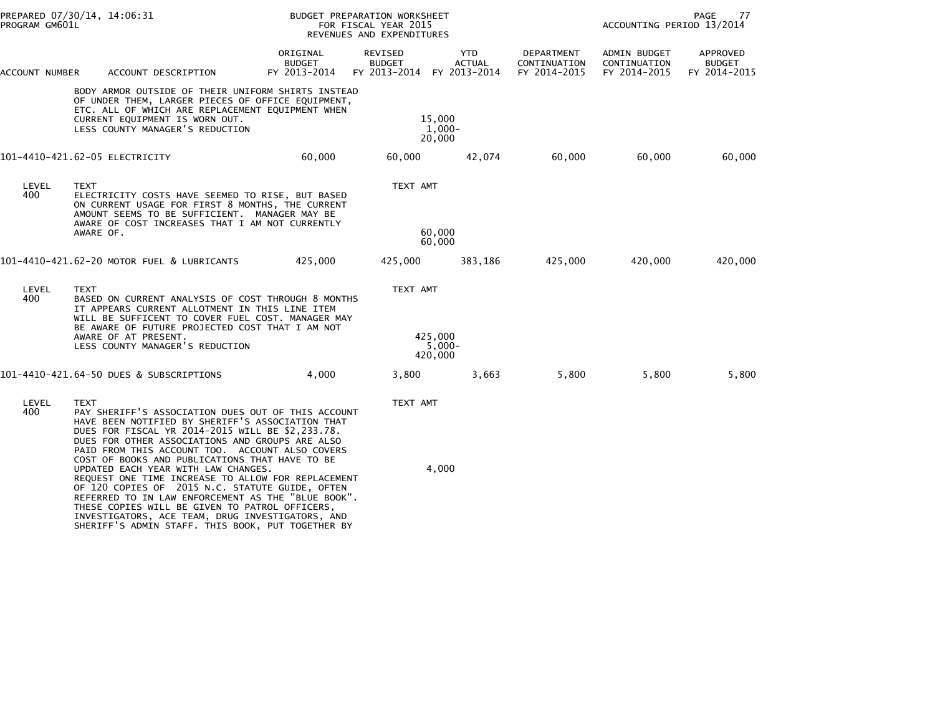| PROGRAM GM601L | PREPARED 07/30/14, 14:06:31                                                                                                                                                                                                                                                                                                                                              |                                           | BUDGET PREPARATION WORKSHEET<br>FOR FISCAL YEAR 2015<br>REVENUES AND EXPENDITURES |                                      |                                            |                                                         | PAGE<br>77                                |
|----------------|--------------------------------------------------------------------------------------------------------------------------------------------------------------------------------------------------------------------------------------------------------------------------------------------------------------------------------------------------------------------------|-------------------------------------------|-----------------------------------------------------------------------------------|--------------------------------------|--------------------------------------------|---------------------------------------------------------|-------------------------------------------|
| ACCOUNT NUMBER | ACCOUNT DESCRIPTION                                                                                                                                                                                                                                                                                                                                                      | ORIGINAL<br><b>BUDGET</b><br>FY 2013-2014 | REVISED<br><b>BUDGET</b><br>FY 2013-2014                                          | <b>YTD</b><br>ACTUAL<br>FY 2013-2014 | DEPARTMENT<br>CONTINUATION<br>FY 2014-2015 | ADMIN BUDGET<br>CONTINUATION<br>FY 2014-2015            | APPROVED<br><b>BUDGET</b><br>FY 2014-2015 |
|                | BODY ARMOR OUTSIDE OF THEIR UNIFORM SHIRTS INSTEAD<br>OF UNDER THEM, LARGER PIECES OF OFFICE EQUIPMENT,<br>ETC. ALL OF WHICH ARE REPLACEMENT EQUIPMENT WHEN<br>CURRENT EQUIPMENT IS WORN OUT.<br>LESS COUNTY MANAGER'S REDUCTION                                                                                                                                         |                                           | 15,000<br>20,000                                                                  | 1,000-                               |                                            |                                                         |                                           |
|                | 101-4410-421.62-05 ELECTRICITY                                                                                                                                                                                                                                                                                                                                           | 60,000                                    | 60,000                                                                            | 42,074                               | 60,000                                     | ACCOUNTING PERIOD 13/2014<br>60,000<br>420,000<br>5,800 | 60,000                                    |
| LEVEL<br>400   | <b>TEXT</b><br>ELECTRICITY COSTS HAVE SEEMED TO RISE, BUT BASED<br>ON CURRENT USAGE FOR FIRST 8 MONTHS, THE CURRENT<br>AMOUNT SEEMS TO BE SUFFICIENT. MANAGER MAY BE<br>AWARE OF COST INCREASES THAT I AM NOT CURRENTLY                                                                                                                                                  |                                           | TEXT AMT                                                                          |                                      |                                            |                                                         |                                           |
|                | AWARE OF.                                                                                                                                                                                                                                                                                                                                                                |                                           | 60,000<br>60,000                                                                  |                                      |                                            |                                                         |                                           |
|                | 101-4410-421.62-20 MOTOR FUEL & LUBRICANTS                                                                                                                                                                                                                                                                                                                               | 425,000                                   | 425,000                                                                           | 383,186                              | 425,000                                    |                                                         | 420,000                                   |
| LEVEL<br>400   | <b>TEXT</b><br>BASED ON CURRENT ANALYSIS OF COST THROUGH 8 MONTHS<br>IT APPEARS CURRENT ALLOTMENT IN THIS LINE ITEM<br>WILL BE SUFFICENT TO COVER FUEL COST. MANAGER MAY                                                                                                                                                                                                 |                                           | TEXT AMT                                                                          |                                      |                                            |                                                         |                                           |
|                | BE AWARE OF FUTURE PROJECTED COST THAT I AM NOT<br>AWARE OF AT PRESENT.<br>LESS COUNTY MANAGER'S REDUCTION                                                                                                                                                                                                                                                               |                                           | 425,000<br>420,000                                                                | $5,000-$                             |                                            |                                                         |                                           |
|                | 101-4410-421.64-50 DUES & SUBSCRIPTIONS                                                                                                                                                                                                                                                                                                                                  | 4,000                                     | 3,800                                                                             | 3,663                                | 5,800                                      |                                                         | 5,800                                     |
| LEVEL<br>400   | <b>TEXT</b><br>PAY SHERIFF'S ASSOCIATION DUES OUT OF THIS ACCOUNT<br>HAVE BEEN NOTIFIED BY SHERIFF'S ASSOCIATION THAT<br>DUES FOR FISCAL YR 2014-2015 WILL BE \$2,233.78.<br>DUES FOR OTHER ASSOCIATIONS AND GROUPS ARE ALSO<br>PAID FROM THIS ACCOUNT TOO. ACCOUNT ALSO COVERS<br>COST OF BOOKS AND PUBLICATIONS THAT HAVE TO BE<br>UPDATED EACH YEAR WITH LAW CHANGES. |                                           | TEXT AMT                                                                          | 4,000                                |                                            |                                                         |                                           |
|                | REQUEST ONE TIME INCREASE TO ALLOW FOR REPLACEMENT<br>OF 120 COPIES OF 2015 N.C. STATUTE GUIDE, OFTEN<br>REFERRED TO IN LAW ENFORCEMENT AS THE "BLUE BOOK".<br>THESE COPIES WILL BE GIVEN TO PATROL OFFICERS,<br>INVESTIGATORS, ACE TEAM, DRUG INVESTIGATORS, AND<br>SHERIFF'S ADMIN STAFF. THIS BOOK, PUT TOGETHER BY                                                   |                                           |                                                                                   |                                      |                                            |                                                         |                                           |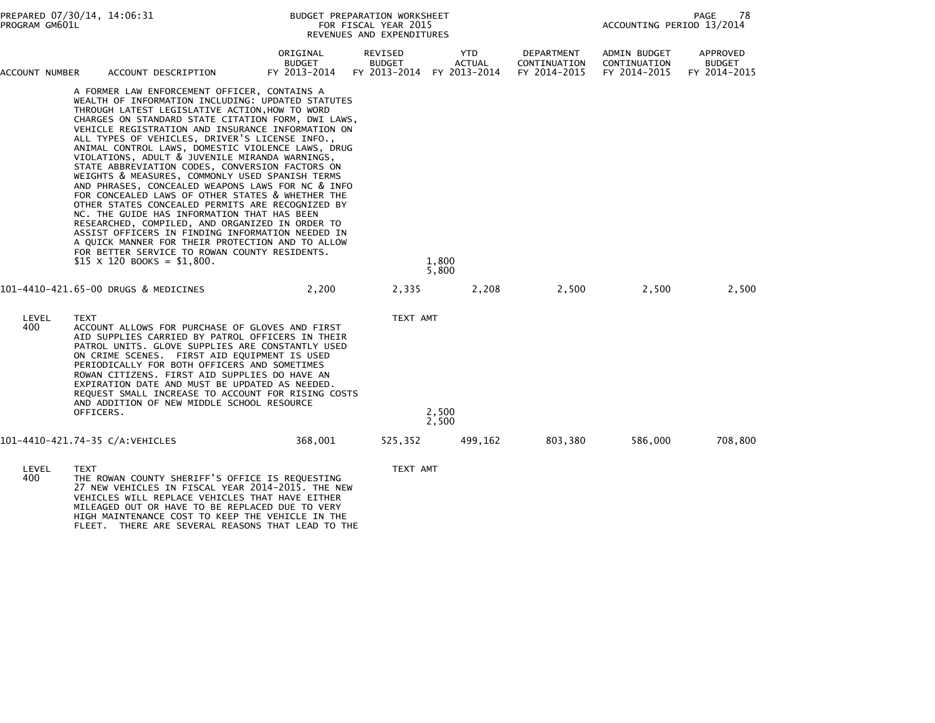| PREPARED 07/30/14, 14:06:31<br>PROGRAM GM601L |                          | PAGE<br>78<br>BUDGET PREPARATION WORKSHEET<br>ACCOUNTING PERIOD 13/2014<br>FOR FISCAL YEAR 2015<br>REVENUES AND EXPENDITURES                                                                                                                                                                                                                                                                                                                                                                                                                                                                                                                                                                                                                                                                                                                                                                                                                                                               |                                           |                                          |                                      |                                            |                                              |                                           |
|-----------------------------------------------|--------------------------|--------------------------------------------------------------------------------------------------------------------------------------------------------------------------------------------------------------------------------------------------------------------------------------------------------------------------------------------------------------------------------------------------------------------------------------------------------------------------------------------------------------------------------------------------------------------------------------------------------------------------------------------------------------------------------------------------------------------------------------------------------------------------------------------------------------------------------------------------------------------------------------------------------------------------------------------------------------------------------------------|-------------------------------------------|------------------------------------------|--------------------------------------|--------------------------------------------|----------------------------------------------|-------------------------------------------|
| ACCOUNT NUMBER                                |                          | ACCOUNT DESCRIPTION                                                                                                                                                                                                                                                                                                                                                                                                                                                                                                                                                                                                                                                                                                                                                                                                                                                                                                                                                                        | ORIGINAL<br><b>BUDGET</b><br>FY 2013-2014 | REVISED<br><b>BUDGET</b><br>FY 2013-2014 | YTD<br><b>ACTUAL</b><br>FY 2013-2014 | DEPARTMENT<br>CONTINUATION<br>FY 2014-2015 | ADMIN BUDGET<br>CONTINUATION<br>FY 2014-2015 | APPROVED<br><b>BUDGET</b><br>FY 2014-2015 |
|                                               |                          | A FORMER LAW ENFORCEMENT OFFICER, CONTAINS A<br>WEALTH OF INFORMATION INCLUDING: UPDATED STATUTES<br>THROUGH LATEST LEGISLATIVE ACTION, HOW TO WORD<br>CHARGES ON STANDARD STATE CITATION FORM, DWI LAWS,<br>VEHICLE REGISTRATION AND INSURANCE INFORMATION ON<br>ALL TYPES OF VEHICLES, DRIVER'S LICENSE INFO.,<br>ANIMAL CONTROL LAWS, DOMESTIC VIOLENCE LAWS, DRUG<br>VIOLATIONS, ADULT & JUVENILE MIRANDA WARNINGS,<br>STATE ABBREVIATION CODES, CONVERSION FACTORS ON<br>WEIGHTS & MEASURES, COMMONLY USED SPANISH TERMS<br>AND PHRASES, CONCEALED WEAPONS LAWS FOR NC & INFO<br>FOR CONCEALED LAWS OF OTHER STATES & WHETHER THE<br>OTHER STATES CONCEALED PERMITS ARE RECOGNIZED BY<br>NC. THE GUIDE HAS INFORMATION THAT HAS BEEN<br>RESEARCHED, COMPILED, AND ORGANIZED IN ORDER TO<br>ASSIST OFFICERS IN FINDING INFORMATION NEEDED IN<br>A QUICK MANNER FOR THEIR PROTECTION AND TO ALLOW<br>FOR BETTER SERVICE TO ROWAN COUNTY RESIDENTS.<br>$$15 \times 120$ BOOKS = \$1,800. |                                           |                                          | 1,800<br>5,800                       |                                            |                                              |                                           |
|                                               |                          | 101-4410-421.65-00 DRUGS & MEDICINES                                                                                                                                                                                                                                                                                                                                                                                                                                                                                                                                                                                                                                                                                                                                                                                                                                                                                                                                                       | 2,200                                     | 2,335                                    | 2,208                                | 2,500                                      | 2,500                                        | 2,500                                     |
| LEVEL<br>400                                  | <b>TEXT</b><br>OFFICERS. | ACCOUNT ALLOWS FOR PURCHASE OF GLOVES AND FIRST<br>AID SUPPLIES CARRIED BY PATROL OFFICERS IN THEIR<br>PATROL UNITS. GLOVE SUPPLIES ARE CONSTANTLY USED<br>ON CRIME SCENES. FIRST AID EQUIPMENT IS USED<br>PERIODICALLY FOR BOTH OFFICERS AND SOMETIMES<br>ROWAN CITIZENS. FIRST AID SUPPLIES DO HAVE AN<br>EXPIRATION DATE AND MUST BE UPDATED AS NEEDED.<br>REQUEST SMALL INCREASE TO ACCOUNT FOR RISING COSTS<br>AND ADDITION OF NEW MIDDLE SCHOOL RESOURCE                                                                                                                                                                                                                                                                                                                                                                                                                                                                                                                             |                                           | TEXT AMT                                 | 2,500<br>2,500                       |                                            |                                              |                                           |
|                                               |                          | 101-4410-421.74-35 C/A:VEHICLES                                                                                                                                                                                                                                                                                                                                                                                                                                                                                                                                                                                                                                                                                                                                                                                                                                                                                                                                                            | 368,001                                   | 525,352                                  | 499,162                              | 803,380                                    | 586,000                                      | 708,800                                   |
| LEVEL<br>400                                  | <b>TEXT</b>              | THE ROWAN COUNTY SHERIFF'S OFFICE IS REQUESTING<br>27 NEW VEHTCLES TN ETSCAL VEAD 2014-2015 THE NEW                                                                                                                                                                                                                                                                                                                                                                                                                                                                                                                                                                                                                                                                                                                                                                                                                                                                                        |                                           | TEXT AMT                                 |                                      |                                            |                                              |                                           |

27 NEW VEHICLES IN FISCAL YEAR 2014-2015. THE NEW<br>VEHICLES WILL REPLACE VEHICLES THAT HAVE EITHER<br>MILEAGED OUT OR HAVE TO BE REPLACED DUE TO VERY<br>HIGH MAINTENANCE COST TO KEEP THE VEHICLE IN THE<br>FLEET. THERE ARE SEVERAL RE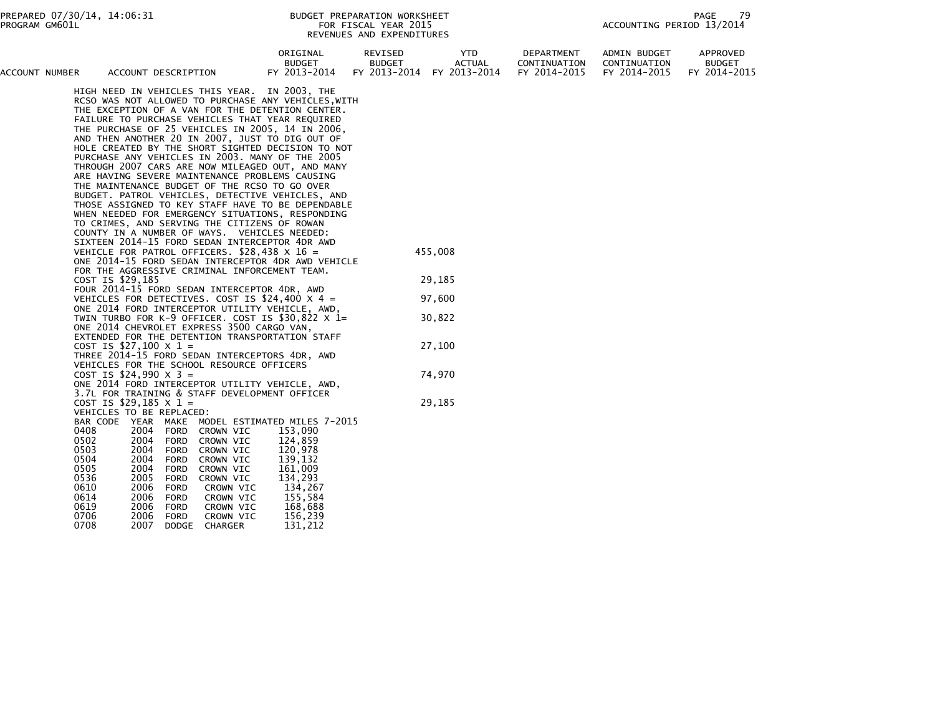PAGE 79<br>ACCOUNTING PERIOD 13/2014

| ACCOUNT NUMBER | ACCOUNT DESCRIPTION                                                                                     | ORIGINAL<br><b>BUDGET</b><br>FY 2013-2014 | REVISED<br><b>BUDGET</b><br>FY 2013-2014 | <b>YTD</b><br><b>ACTUAL</b><br>FY 2013-2014 | DEPARTMENT<br>CONTINUATION<br>FY 2014-2015 | <b>ADMIN BUDGET</b><br>CONTINUATION<br>FY 2014-2015 | APPROVED<br><b>BUDGET</b><br>FY 2014-2015 |
|----------------|---------------------------------------------------------------------------------------------------------|-------------------------------------------|------------------------------------------|---------------------------------------------|--------------------------------------------|-----------------------------------------------------|-------------------------------------------|
|                |                                                                                                         |                                           |                                          |                                             |                                            |                                                     |                                           |
|                | HIGH NEED IN VEHICLES THIS YEAR. IN 2003, THE                                                           |                                           |                                          |                                             |                                            |                                                     |                                           |
|                | RCSO WAS NOT ALLOWED TO PURCHASE ANY VEHICLES, WITH<br>THE EXCEPTION OF A VAN FOR THE DETENTION CENTER. |                                           |                                          |                                             |                                            |                                                     |                                           |
|                | FAILURE TO PURCHASE VEHICLES THAT YEAR REQUIRED                                                         |                                           |                                          |                                             |                                            |                                                     |                                           |
|                | THE PURCHASE OF 25 VEHICLES IN 2005, 14 IN 2006,                                                        |                                           |                                          |                                             |                                            |                                                     |                                           |
|                | AND THEN ANOTHER 20 IN 2007, JUST TO DIG OUT OF                                                         |                                           |                                          |                                             |                                            |                                                     |                                           |
|                | HOLE CREATED BY THE SHORT SIGHTED DECISION TO NOT                                                       |                                           |                                          |                                             |                                            |                                                     |                                           |
|                | PURCHASE ANY VEHICLES IN 2003. MANY OF THE 2005                                                         |                                           |                                          |                                             |                                            |                                                     |                                           |
|                | THROUGH 2007 CARS ARE NOW MILEAGED OUT, AND MANY                                                        |                                           |                                          |                                             |                                            |                                                     |                                           |
|                | ARE HAVING SEVERE MAINTENANCE PROBLEMS CAUSING                                                          |                                           |                                          |                                             |                                            |                                                     |                                           |
|                | THE MAINTENANCE BUDGET OF THE RCSO TO GO OVER                                                           |                                           |                                          |                                             |                                            |                                                     |                                           |
|                | BUDGET. PATROL VEHICLES, DETECTIVE VEHICLES, AND                                                        |                                           |                                          |                                             |                                            |                                                     |                                           |
|                | THOSE ASSIGNED TO KEY STAFF HAVE TO BE DEPENDABLE                                                       |                                           |                                          |                                             |                                            |                                                     |                                           |
|                | WHEN NEEDED FOR EMERGENCY SITUATIONS, RESPONDING                                                        |                                           |                                          |                                             |                                            |                                                     |                                           |
|                | TO CRIMES, AND SERVING THE CITIZENS OF ROWAN<br>COUNTY IN A NUMBER OF WAYS. VEHICLES NEEDED:            |                                           |                                          |                                             |                                            |                                                     |                                           |
|                | SIXTEEN 2014-15 FORD SEDAN INTERCEPTOR 4DR AWD                                                          |                                           |                                          |                                             |                                            |                                                     |                                           |
|                | VEHICLE FOR PATROL OFFICERS. \$28,438 X 16 =                                                            |                                           |                                          | 455,008                                     |                                            |                                                     |                                           |
|                | ONE 2014-15 FORD SEDAN INTERCEPTOR 4DR AWD VEHICLE                                                      |                                           |                                          |                                             |                                            |                                                     |                                           |
|                | FOR THE AGGRESSIVE CRIMINAL INFORCEMENT TEAM.                                                           |                                           |                                          |                                             |                                            |                                                     |                                           |
|                | COST IS \$29,185                                                                                        |                                           |                                          | 29,185                                      |                                            |                                                     |                                           |
|                | FOUR 2014-15 FORD SEDAN INTERCEPTOR 4DR, AWD                                                            |                                           |                                          |                                             |                                            |                                                     |                                           |
|                | VEHICLES FOR DETECTIVES. COST IS \$24,400 $\times$ 4 =                                                  |                                           |                                          | 97,600                                      |                                            |                                                     |                                           |
|                | ONE 2014 FORD INTERCEPTOR UTILITY VEHICLE, AWD,                                                         |                                           |                                          |                                             |                                            |                                                     |                                           |
|                | TWIN TURBO FOR K-9 OFFICER. COST IS $$30,822 \times 1=$                                                 |                                           |                                          | 30,822                                      |                                            |                                                     |                                           |
|                | ONE 2014 CHEVROLET EXPRESS 3500 CARGO VAN,<br>EXTENDED FOR THE DETENTION TRANSPORTATION STAFF           |                                           |                                          |                                             |                                            |                                                     |                                           |
|                | COST IS \$27,100 $\times$ 1 =                                                                           |                                           |                                          | 27,100                                      |                                            |                                                     |                                           |
|                | THREE 2014-15 FORD SEDAN INTERCEPTORS 4DR, AWD                                                          |                                           |                                          |                                             |                                            |                                                     |                                           |
|                | VEHICLES FOR THE SCHOOL RESOURCE OFFICERS                                                               |                                           |                                          |                                             |                                            |                                                     |                                           |
|                | COST IS \$24,990 $\times$ 3 =                                                                           |                                           |                                          | 74,970                                      |                                            |                                                     |                                           |
|                | ONE 2014 FORD INTERCEPTOR UTILITY VEHICLE, AWD,                                                         |                                           |                                          |                                             |                                            |                                                     |                                           |
|                | 3.7L FOR TRAINING & STAFF DEVELOPMENT OFFICER                                                           |                                           |                                          |                                             |                                            |                                                     |                                           |
|                | COST IS \$29,185 $\times$ 1 =                                                                           |                                           |                                          | 29,185                                      |                                            |                                                     |                                           |
|                | VEHICLES TO BE REPLACED:                                                                                |                                           |                                          |                                             |                                            |                                                     |                                           |
|                | MAKE MODEL ESTIMATED MILES 7-2015<br>BAR CODE<br>YEAR                                                   |                                           |                                          |                                             |                                            |                                                     |                                           |
|                | 2004<br>0408<br>FORD<br>CROWN VIC<br>0502<br>2004<br>FORD<br>CROWN VIC                                  | 153,090<br>124,859                        |                                          |                                             |                                            |                                                     |                                           |
|                | 0503<br>2004<br>CROWN VIC<br>FORD                                                                       | 120,978                                   |                                          |                                             |                                            |                                                     |                                           |
|                | 0504<br>2004<br>FORD<br>CROWN VIC                                                                       | 139,132                                   |                                          |                                             |                                            |                                                     |                                           |
|                | 0505<br>2004<br>FORD<br>CROWN VIC                                                                       | 161,009                                   |                                          |                                             |                                            |                                                     |                                           |
|                | 0536<br>2005<br><b>FORD</b><br>CROWN VIC                                                                | 134,293                                   |                                          |                                             |                                            |                                                     |                                           |
|                | 0610<br>2006<br>FORD<br>CROWN VIC                                                                       | 134,267                                   |                                          |                                             |                                            |                                                     |                                           |
|                | 0614<br>2006<br>FORD<br>CROWN VIC                                                                       | 155,584                                   |                                          |                                             |                                            |                                                     |                                           |
|                | 0619<br>2006<br>FORD<br>CROWN VIC                                                                       | 168,688                                   |                                          |                                             |                                            |                                                     |                                           |
|                | 0706<br>2006<br>FORD<br>CROWN VIC                                                                       | 156,239                                   |                                          |                                             |                                            |                                                     |                                           |
|                | 0708<br>2007<br><b>DODGE</b><br><b>CHARGER</b>                                                          | 131,212                                   |                                          |                                             |                                            |                                                     |                                           |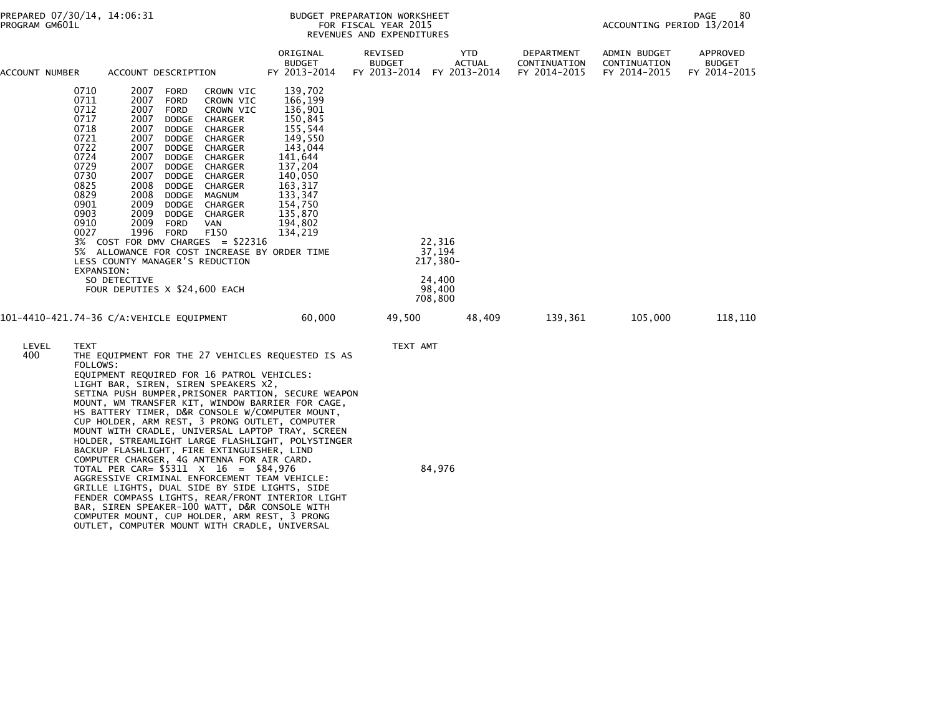## BUDGET PREPARATION WORKSHEET<br>FOR FISCAL YEAR 2015 REVENUES AND EXPENDITURES

PAGE 80<br>ACCOUNTING PERIOD 13/2014

| ACCOUNT NUMBER | ACCOUNT DESCRIPTION                                                                                                                                                                                                                                                                                                                                                                                                                                                                                                                                                                                                                                                                                                                                                                                                                                                                                                                     | ORIGINAL<br><b>BUDGET</b><br>FY 2013-2014                                                                                                                                    | REVISED<br><b>BUDGET</b><br>FY 2013-2014 | YTD<br><b>ACTUAL</b><br>FY 2013-2014                        | DEPARTMENT<br>CONTINUATION<br>FY 2014-2015 | <b>ADMIN BUDGET</b><br>CONTINUATION<br>FY 2014-2015 | APPROVED<br><b>BUDGET</b><br>FY 2014-2015 |
|----------------|-----------------------------------------------------------------------------------------------------------------------------------------------------------------------------------------------------------------------------------------------------------------------------------------------------------------------------------------------------------------------------------------------------------------------------------------------------------------------------------------------------------------------------------------------------------------------------------------------------------------------------------------------------------------------------------------------------------------------------------------------------------------------------------------------------------------------------------------------------------------------------------------------------------------------------------------|------------------------------------------------------------------------------------------------------------------------------------------------------------------------------|------------------------------------------|-------------------------------------------------------------|--------------------------------------------|-----------------------------------------------------|-------------------------------------------|
|                | 0710<br>2007<br><b>FORD</b><br>CROWN VIC<br>0711<br>2007<br><b>FORD</b><br>CROWN VIC<br>0712<br>2007<br><b>FORD</b><br>CROWN VIC<br>0717<br>2007<br><b>DODGE</b><br>CHARGER<br>0718<br>2007<br><b>DODGE</b><br>CHARGER<br>0721<br>2007<br><b>DODGE</b><br>CHARGER<br>0722<br>2007<br>DODGE<br>CHARGER<br>0724<br>2007<br>DODGE<br>CHARGER<br>0729<br>2007<br>DODGE<br>CHARGER<br>0730<br>2007<br>DODGE<br>CHARGER<br>0825<br>2008<br>DODGE<br>CHARGER<br>0829<br>2008<br>DODGE<br>MAGNUM<br>0901<br>2009<br>DODGE<br>CHARGER<br>0903<br>2009<br>DODGE<br>CHARGER<br>0910<br>2009<br><b>FORD</b><br>VAN<br>0027<br>1996<br>F150<br>FORD<br>3% COST FOR DMV CHARGES = \$22316<br>5% ALLOWANCE FOR COST INCREASE BY ORDER TIME<br>LESS COUNTY MANAGER'S REDUCTION<br>EXPANSION:<br>SO DETECTIVE<br>FOUR DEPUTIES X \$24,600 EACH                                                                                                           | 139,702<br>166,199<br>136,901<br>150,845<br>155,544<br>149,550<br>143,044<br>141,644<br>137,204<br>140,050<br>163,317<br>133,347<br>154,750<br>135,870<br>194,802<br>134,219 |                                          | 22,316<br>37.194<br>217,380-<br>24,400<br>98,400<br>708,800 |                                            |                                                     |                                           |
|                | 101-4410-421.74-36 C/A:VEHICLE EQUIPMENT                                                                                                                                                                                                                                                                                                                                                                                                                                                                                                                                                                                                                                                                                                                                                                                                                                                                                                | 60,000                                                                                                                                                                       | 49,500                                   | 48,409                                                      | 139,361                                    | 105,000                                             | 118,110                                   |
| LEVEL<br>400   | TEXT<br>THE EQUIPMENT FOR THE 27 VEHICLES REQUESTED IS AS<br>FOLLOWS:<br>EQUIPMENT REQUIRED FOR 16 PATROL VEHICLES:<br>LIGHT BAR, SIREN, SIREN SPEAKERS X2,<br>SETINA PUSH BUMPER, PRISONER PARTION, SECURE WEAPON<br>MOUNT, WM TRANSFER KIT, WINDOW BARRIER FOR CAGE,<br>HS BATTERY TIMER, D&R CONSOLE W/COMPUTER MOUNT,<br>CUP HOLDER, ARM REST, 3 PRONG OUTLET, COMPUTER<br>MOUNT WITH CRADLE, UNIVERSAL LAPTOP TRAY, SCREEN<br>HOLDER, STREAMLIGHT LARGE FLASHLIGHT, POLYSTINGER<br>BACKUP FLASHLIGHT, FIRE EXTINGUISHER, LIND<br>COMPUTER CHARGER, 4G ANTENNA FOR AIR CARD.<br>TOTAL PER CAR= $$5311 \times 16 = $84,976$<br>AGGRESSIVE CRIMINAL ENFORCEMENT TEAM VEHICLE:<br>GRILLE LIGHTS, DUAL SIDE BY SIDE LIGHTS, SIDE<br>FENDER COMPASS LIGHTS, REAR/FRONT INTERIOR LIGHT<br>BAR, SIREN SPEAKER-100 WATT, D&R CONSOLE WITH<br>COMPUTER MOUNT, CUP HOLDER, ARM REST, 3 PRONG<br>OUTLET, COMPUTER MOUNT WITH CRADLE, UNIVERSAL |                                                                                                                                                                              | TEXT AMT                                 | 84,976                                                      |                                            |                                                     |                                           |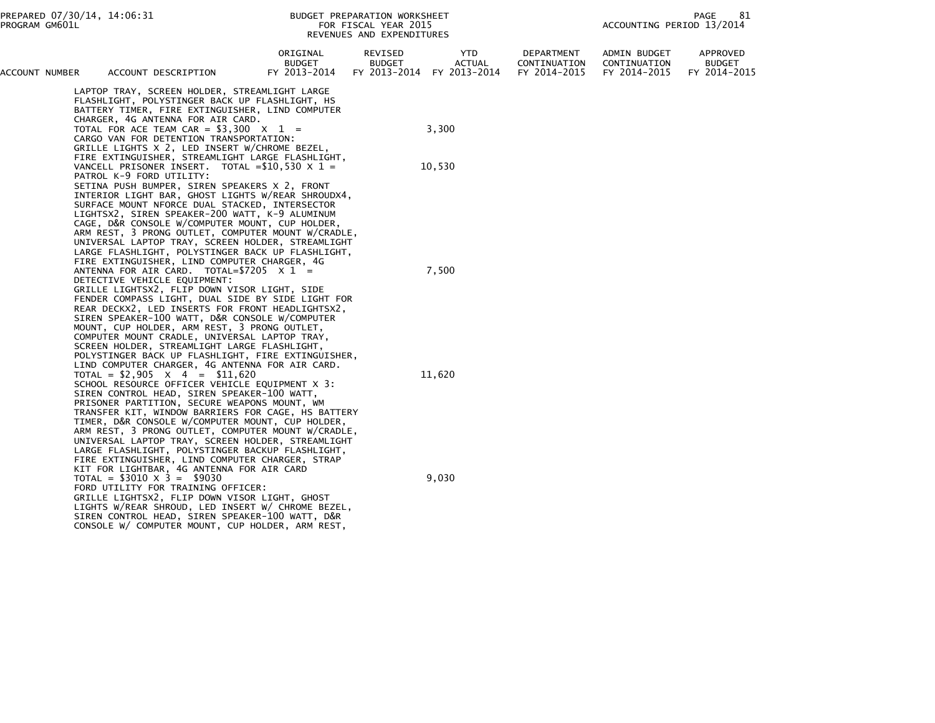| ACCOUNT NUMBER | ACCOUNT DESCRIPTION                                                                                                                                                                                                                                                                                                                                      | ORIGINAL<br><b>BUDGET</b><br>FY 2013-2014 | REVISED<br><b>BUDGET</b><br>FY 2013-2014 | YTD.<br><b>ACTUAL</b><br>FY 2013-2014 | DEPARTMENT<br>CONTINUATION<br>FY 2014-2015 | ADMIN BUDGET<br>CONTINUATION<br>FY 2014-2015 | APPROVED<br><b>BUDGET</b><br>FY 2014-2015 |
|----------------|----------------------------------------------------------------------------------------------------------------------------------------------------------------------------------------------------------------------------------------------------------------------------------------------------------------------------------------------------------|-------------------------------------------|------------------------------------------|---------------------------------------|--------------------------------------------|----------------------------------------------|-------------------------------------------|
|                | LAPTOP TRAY, SCREEN HOLDER, STREAMLIGHT LARGE<br>FLASHLIGHT, POLYSTINGER BACK UP FLASHLIGHT, HS<br>BATTERY TIMER, FIRE EXTINGUISHER, LIND COMPUTER<br>CHARGER, 4G ANTENNA FOR AIR CARD.<br>TOTAL FOR ACE TEAM CAR = $$3,300 \times 1$ =                                                                                                                  |                                           |                                          | 3,300                                 |                                            |                                              |                                           |
|                | CARGO VAN FOR DETENTION TRANSPORTATION:<br>GRILLE LIGHTS X 2, LED INSERT W/CHROME BEZEL,<br>FIRE EXTINGUISHER, STREAMLIGHT LARGE FLASHLIGHT,<br>VANCELL PRISONER INSERT. TOTAL = $$10,530 \times 1 =$                                                                                                                                                    |                                           |                                          | 10,530                                |                                            |                                              |                                           |
|                | PATROL K-9 FORD UTILITY:<br>SETINA PUSH BUMPER, SIREN SPEAKERS X 2, FRONT<br>INTERIOR LIGHT BAR, GHOST LIGHTS W/REAR SHROUDX4,<br>SURFACE MOUNT NFORCE DUAL STACKED, INTERSECTOR<br>LIGHTSX2, SIREN SPEAKER-200 WATT, K-9 ALUMINUM<br>CAGE, D&R CONSOLE W/COMPUTER MOUNT, CUP HOLDER,                                                                    |                                           |                                          |                                       |                                            |                                              |                                           |
|                | ARM REST, 3 PRONG OUTLET, COMPUTER MOUNT W/CRADLE,<br>UNIVERSAL LAPTOP TRAY, SCREEN HOLDER, STREAMLIGHT<br>LARGE FLASHLIGHT, POLYSTINGER BACK UP FLASHLIGHT,<br>FIRE EXTINGUISHER, LIND COMPUTER CHARGER, 4G<br>ANTENNA FOR AIR CARD. TOTAL= $$7205 \times 1 =$<br>DETECTIVE VEHICLE EQUIPMENT:                                                          |                                           |                                          | 7,500                                 |                                            |                                              |                                           |
|                | GRILLE LIGHTSX2, FLIP DOWN VISOR LIGHT, SIDE<br>FENDER COMPASS LIGHT, DUAL SIDE BY SIDE LIGHT FOR<br>REAR DECKX2, LED INSERTS FOR FRONT HEADLIGHTSX2,<br>SIREN SPEAKER-100 WATT, D&R CONSOLE W/COMPUTER<br>MOUNT, CUP HOLDER, ARM REST, 3 PRONG OUTLET,<br>COMPUTER MOUNT CRADLE, UNIVERSAL LAPTOP TRAY,<br>SCREEN HOLDER, STREAMLIGHT LARGE FLASHLIGHT, |                                           |                                          |                                       |                                            |                                              |                                           |
|                | POLYSTINGER BACK UP FLASHLIGHT, FIRE EXTINGUISHER,<br>LIND COMPUTER CHARGER, 4G ANTENNA FOR AIR CARD.<br>TOTAL = $$2,905 \times 4 = $11,620$<br>SCHOOL RESOURCE OFFICER VEHICLE EQUIPMENT X 3:<br>SIREN CONTROL HEAD, SIREN SPEAKER-100 WATT,<br>PRISONER PARTITION, SECURE WEAPONS MOUNT, WM<br>TRANSFER KIT, WINDOW BARRIERS FOR CAGE, HS BATTERY      |                                           |                                          | 11,620                                |                                            |                                              |                                           |
|                | TIMER, D&R CONSOLE W/COMPUTER MOUNT, CUP HOLDER,<br>ARM REST, 3 PRONG OUTLET, COMPUTER MOUNT W/CRADLE,<br>UNIVERSAL LAPTOP TRAY, SCREEN HOLDER, STREAMLIGHT<br>LARGE FLASHLIGHT, POLYSTINGER BACKUP FLASHLIGHT,<br>FIRE EXTINGUISHER, LIND COMPUTER CHARGER, STRAP<br>KIT FOR LIGHTBAR, 4G ANTENNA FOR AIR CARD                                          |                                           |                                          |                                       |                                            |                                              |                                           |
|                | $TOTAL = $3010 \times 3 = $9030$<br>FORD UTILITY FOR TRAINING OFFICER:<br>GRILLE LIGHTSX2, FLIP DOWN VISOR LIGHT, GHOST<br>LIGHTS W/REAR SHROUD, LED INSERT W/ CHROME BEZEL,<br>SIREN CONTROL HEAD, SIREN SPEAKER-100 WATT, D&R<br>CONSOLE W/ COMPUTER MOUNT, CUP HOLDER, ARM REST,                                                                      |                                           |                                          | 9,030                                 |                                            |                                              |                                           |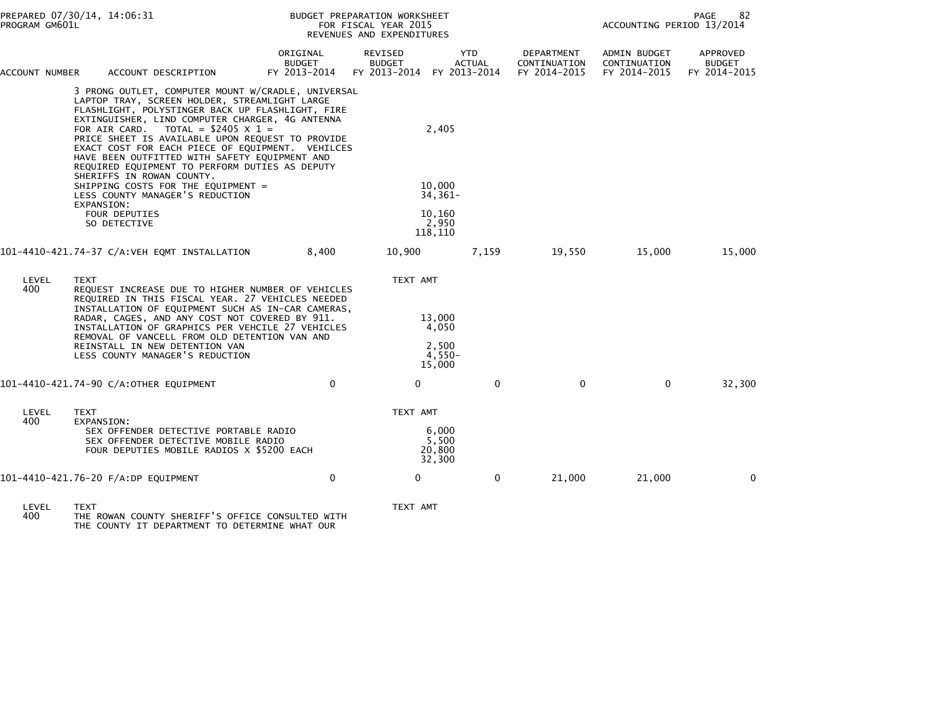| PREPARED 07/30/14, 14:06:31<br>PROGRAM GM601L |                           |                                                                                                                                                                                                                                                                                                                                                                                                                                                                                                |                                           |             | BUDGET PREPARATION WORKSHEET<br>FOR FISCAL YEAR 2015<br>REVENUES AND EXPENDITURES |                                                |               |                                            | ACCOUNTING PERIOD 13/2014                    | 82<br>PAGE                                |
|-----------------------------------------------|---------------------------|------------------------------------------------------------------------------------------------------------------------------------------------------------------------------------------------------------------------------------------------------------------------------------------------------------------------------------------------------------------------------------------------------------------------------------------------------------------------------------------------|-------------------------------------------|-------------|-----------------------------------------------------------------------------------|------------------------------------------------|---------------|--------------------------------------------|----------------------------------------------|-------------------------------------------|
| ACCOUNT NUMBER                                |                           | ACCOUNT DESCRIPTION                                                                                                                                                                                                                                                                                                                                                                                                                                                                            | ORIGINAL<br><b>BUDGET</b><br>FY 2013-2014 |             | REVISED<br><b>BUDGET</b><br>FY 2013-2014 FY 2013-2014                             | <b>YTD</b>                                     | <b>ACTUAL</b> | DEPARTMENT<br>CONTINUATION<br>FY 2014-2015 | ADMIN BUDGET<br>CONTINUATION<br>FY 2014-2015 | APPROVED<br><b>BUDGET</b><br>FY 2014-2015 |
|                                               |                           | 3 PRONG OUTLET, COMPUTER MOUNT W/CRADLE, UNIVERSAL<br>LAPTOP TRAY, SCREEN HOLDER, STREAMLIGHT LARGE<br>FLASHLIGHT, POLYSTINGER BACK UP FLASHLIGHT, FIRE<br>EXTINGUISHER, LIND COMPUTER CHARGER, 4G ANTENNA<br>FOR AIR CARD. TOTAL = $$2405 \times 1$ =<br>PRICE SHEET IS AVAILABLE UPON REQUEST TO PROVIDE<br>EXACT COST FOR EACH PIECE OF EQUIPMENT. VEHILCES<br>HAVE BEEN OUTFITTED WITH SAFETY EQUIPMENT AND<br>REQUIRED EQUIPMENT TO PERFORM DUTIES AS DEPUTY<br>SHERIFFS IN ROWAN COUNTY. |                                           |             |                                                                                   | 2,405                                          |               |                                            |                                              |                                           |
|                                               | EXPANSION:                | SHIPPING COSTS FOR THE EQUIPMENT =<br>LESS COUNTY MANAGER'S REDUCTION                                                                                                                                                                                                                                                                                                                                                                                                                          |                                           |             |                                                                                   | 10,000<br>$34,361-$                            |               |                                            |                                              |                                           |
|                                               |                           | <b>FOUR DEPUTIES</b><br>SO DETECTIVE                                                                                                                                                                                                                                                                                                                                                                                                                                                           |                                           |             |                                                                                   | 10.160<br>2,950<br>118,110                     |               |                                            |                                              |                                           |
|                                               |                           |                                                                                                                                                                                                                                                                                                                                                                                                                                                                                                |                                           | 8,400       | 10,900                                                                            |                                                | 7,159         | 19,550                                     | 15,000                                       | 15,000                                    |
| LEVEL<br>400                                  | <b>TEXT</b>               | REQUEST INCREASE DUE TO HIGHER NUMBER OF VEHICLES<br>REQUIRED IN THIS FISCAL YEAR. 27 VEHICLES NEEDED<br>INSTALLATION OF EQUIPMENT SUCH AS IN-CAR CAMERAS,<br>RADAR, CAGES, AND ANY COST NOT COVERED BY 911.<br>INSTALLATION OF GRAPHICS PER VEHCILE 27 VEHICLES<br>REMOVAL OF VANCELL FROM OLD DETENTION VAN AND<br>REINSTALL IN NEW DETENTION VAN<br>LESS COUNTY MANAGER'S REDUCTION                                                                                                         |                                           |             | TEXT AMT                                                                          | 13,000<br>4,050<br>2,500<br>$4,550-$<br>15,000 |               |                                            |                                              |                                           |
|                                               |                           | 101-4410-421.74-90 C/A:OTHER EQUIPMENT                                                                                                                                                                                                                                                                                                                                                                                                                                                         |                                           | $\Omega$    | $\Omega$                                                                          |                                                | $\Omega$      | $\Omega$                                   | $\Omega$                                     | 32,300                                    |
| LEVEL<br>400                                  | <b>TEXT</b><br>EXPANSION: | SEX OFFENDER DETECTIVE PORTABLE RADIO<br>SEX OFFENDER DETECTIVE MOBILE RADIO<br>FOUR DEPUTIES MOBILE RADIOS X \$5200 EACH                                                                                                                                                                                                                                                                                                                                                                      |                                           |             | TEXT AMT                                                                          | 6,000<br>5,500<br>20,800<br>32,300             |               |                                            |                                              |                                           |
|                                               |                           | 101-4410-421.76-20 F/A:DP EQUIPMENT                                                                                                                                                                                                                                                                                                                                                                                                                                                            |                                           | $\mathbf 0$ | 0                                                                                 |                                                | 0             | 21,000                                     | 21,000                                       | $\mathbf{0}$                              |
|                                               |                           |                                                                                                                                                                                                                                                                                                                                                                                                                                                                                                |                                           |             |                                                                                   |                                                |               |                                            |                                              |                                           |

LEVEL TEXT TEXT AMT 400 THE ROWAN COUNTY SHERIFF'S OFFICE CONSULTED WITH THE COUNTY IT DEPARTMENT TO DETERMINE WHAT OUR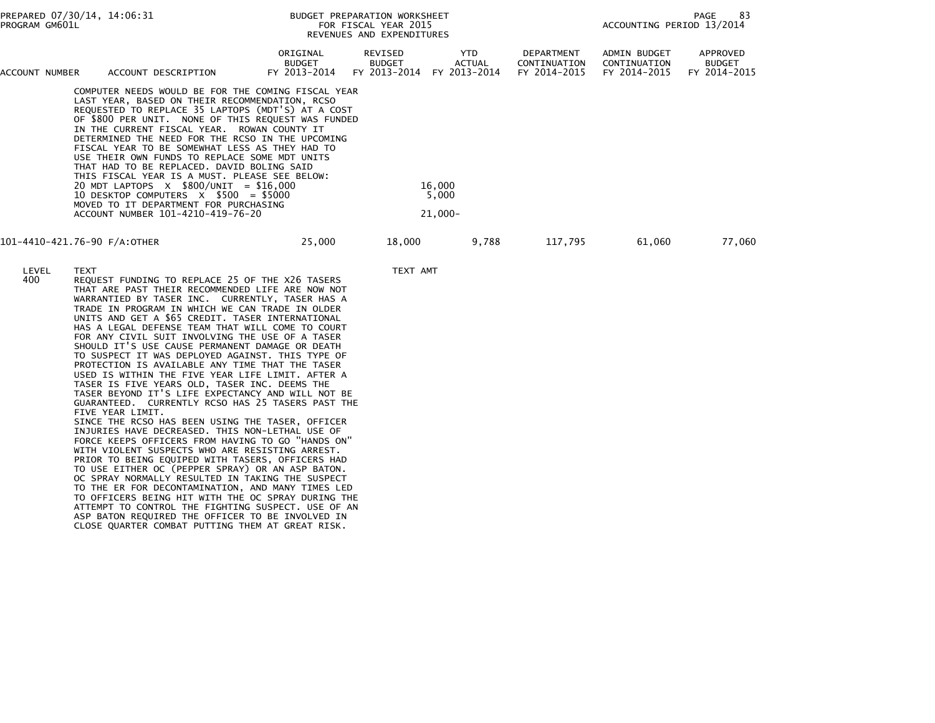| PROGRAM GM601L | PREPARED 07/30/14, 14:06:31                                                                                                                                                                                                                                                                                                                                                                                                                                                                                                                                                                                                                                                                                                                                                                                                                                                                                                                                                                                                                                                                                                                                                                                                                                                                                                                                                      |                                           | BUDGET PREPARATION WORKSHEET<br>FOR FISCAL YEAR 2015<br>REVENUES AND EXPENDITURES |                                             |                                                   | ACCOUNTING PERIOD 13/2014                    | PAGE<br>83                                |
|----------------|----------------------------------------------------------------------------------------------------------------------------------------------------------------------------------------------------------------------------------------------------------------------------------------------------------------------------------------------------------------------------------------------------------------------------------------------------------------------------------------------------------------------------------------------------------------------------------------------------------------------------------------------------------------------------------------------------------------------------------------------------------------------------------------------------------------------------------------------------------------------------------------------------------------------------------------------------------------------------------------------------------------------------------------------------------------------------------------------------------------------------------------------------------------------------------------------------------------------------------------------------------------------------------------------------------------------------------------------------------------------------------|-------------------------------------------|-----------------------------------------------------------------------------------|---------------------------------------------|---------------------------------------------------|----------------------------------------------|-------------------------------------------|
| ACCOUNT NUMBER | ACCOUNT DESCRIPTION                                                                                                                                                                                                                                                                                                                                                                                                                                                                                                                                                                                                                                                                                                                                                                                                                                                                                                                                                                                                                                                                                                                                                                                                                                                                                                                                                              | ORIGINAL<br><b>BUDGET</b><br>FY 2013-2014 | REVISED<br><b>BUDGET</b><br>FY 2013-2014                                          | <b>YTD</b><br><b>ACTUAL</b><br>FY 2013-2014 | <b>DEPARTMENT</b><br>CONTINUATION<br>FY 2014-2015 | ADMIN BUDGET<br>CONTINUATION<br>FY 2014-2015 | APPROVED<br><b>BUDGET</b><br>FY 2014-2015 |
|                | COMPUTER NEEDS WOULD BE FOR THE COMING FISCAL YEAR<br>LAST YEAR, BASED ON THEIR RECOMMENDATION, RCSO<br>REQUESTED TO REPLACE 35 LAPTOPS (MDT'S) AT A COST<br>OF \$800 PER UNIT. NONE OF THIS REQUEST WAS FUNDED<br>IN THE CURRENT FISCAL YEAR. ROWAN COUNTY IT<br>DETERMINED THE NEED FOR THE RCSO IN THE UPCOMING<br>FISCAL YEAR TO BE SOMEWHAT LESS AS THEY HAD TO<br>USE THEIR OWN FUNDS TO REPLACE SOME MDT UNITS<br>THAT HAD TO BE REPLACED. DAVID BOLING SAID<br>THIS FISCAL YEAR IS A MUST. PLEASE SEE BELOW:<br>20 MDT LAPTOPS $X$ \$800/UNIT = \$16,000<br>10 DESKTOP COMPUTERS $X$ \$500 = \$5000<br>MOVED TO IT DEPARTMENT FOR PURCHASING<br>ACCOUNT NUMBER 101-4210-419-76-20                                                                                                                                                                                                                                                                                                                                                                                                                                                                                                                                                                                                                                                                                        |                                           |                                                                                   | 16,000<br>5,000<br>$21,000 -$               |                                                   |                                              |                                           |
|                | 101-4410-421.76-90 F/A:OTHER                                                                                                                                                                                                                                                                                                                                                                                                                                                                                                                                                                                                                                                                                                                                                                                                                                                                                                                                                                                                                                                                                                                                                                                                                                                                                                                                                     | 25,000                                    | 18,000                                                                            | 9,788                                       | 117,795                                           | 61,060                                       | 77,060                                    |
| LEVEL<br>400   | <b>TEXT</b><br>REQUEST FUNDING TO REPLACE 25 OF THE X26 TASERS<br>THAT ARE PAST THEIR RECOMMENDED LIFE ARE NOW NOT<br>WARRANTIED BY TASER INC. CURRENTLY, TASER HAS A<br>TRADE IN PROGRAM IN WHICH WE CAN TRADE IN OLDER<br>UNITS AND GET A \$65 CREDIT. TASER INTERNATIONAL<br>HAS A LEGAL DEFENSE TEAM THAT WILL COME TO COURT<br>FOR ANY CIVIL SUIT INVOLVING THE USE OF A TASER<br>SHOULD IT'S USE CAUSE PERMANENT DAMAGE OR DEATH<br>TO SUSPECT IT WAS DEPLOYED AGAINST. THIS TYPE OF<br>PROTECTION IS AVAILABLE ANY TIME THAT THE TASER<br>USED IS WITHIN THE FIVE YEAR LIFE LIMIT. AFTER A<br>TASER IS FIVE YEARS OLD, TASER INC. DEEMS THE<br>TASER BEYOND IT'S LIFE EXPECTANCY AND WILL NOT BE<br>GUARANTEED. CURRENTLY RCSO HAS 25 TASERS PAST THE<br>FIVE YEAR LIMIT.<br>SINCE THE RCSO HAS BEEN USING THE TASER, OFFICER<br>INJURIES HAVE DECREASED. THIS NON-LETHAL USE OF<br>FORCE KEEPS OFFICERS FROM HAVING TO GO "HANDS ON"<br>WITH VIOLENT SUSPECTS WHO ARE RESISTING ARREST.<br>PRIOR TO BEING EQUIPED WITH TASERS, OFFICERS HAD<br>TO USE EITHER OC (PEPPER SPRAY) OR AN ASP BATON.<br>OC SPRAY NORMALLY RESULTED IN TAKING THE SUSPECT<br>TO THE ER FOR DECONTAMINATION, AND MANY TIMES LED<br>TO OFFICERS BEING HIT WITH THE OC SPRAY DURING THE<br>ATTEMPT TO CONTROL THE FIGHTING SUSPECT. USE OF AN<br>ASP RATON REQUIRED THE OFFICER TO BE INVOLVED IN |                                           | TEXT AMT                                                                          |                                             |                                                   |                                              |                                           |

ASP BATON REQUIRED THE OFFICER TO BE INVOLVED IN CLOSE QUARTER COMBAT PUTTING THEM AT GREAT RISK.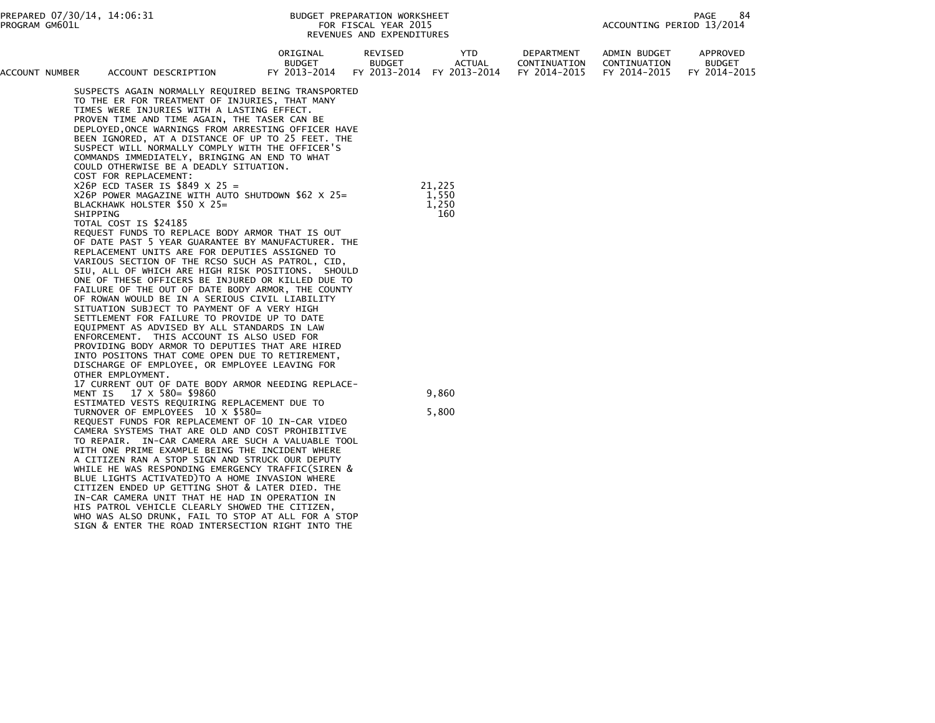| ACCOUNT NUMBER |          | ACCOUNT DESCRIPTION                                                                                                                                                                                                                                                                                                                                                                                                                                                                                                                                                                                                                                                                                                                                                                                                                                                                                                                   | ORIGINAL<br><b>BUDGET</b><br>FY 2013-2014 | REVISED<br><b>BUDGET</b><br>FY 2013-2014 FY 2013-2014 |                          | <b>YTD</b><br><b>ACTUAL</b> | DEPARTMENT<br>CONTINUATION<br>FY 2014-2015 | ADMIN BUDGET<br>CONTINUATION<br>FY 2014-2015 | APPROVED<br><b>BUDGET</b><br>FY 2014-2015 |
|----------------|----------|---------------------------------------------------------------------------------------------------------------------------------------------------------------------------------------------------------------------------------------------------------------------------------------------------------------------------------------------------------------------------------------------------------------------------------------------------------------------------------------------------------------------------------------------------------------------------------------------------------------------------------------------------------------------------------------------------------------------------------------------------------------------------------------------------------------------------------------------------------------------------------------------------------------------------------------|-------------------------------------------|-------------------------------------------------------|--------------------------|-----------------------------|--------------------------------------------|----------------------------------------------|-------------------------------------------|
|                |          | SUSPECTS AGAIN NORMALLY REQUIRED BEING TRANSPORTED<br>TO THE ER FOR TREATMENT OF INJURIES, THAT MANY<br>TIMES WERE INJURIES WITH A LASTING EFFECT.<br>PROVEN TIME AND TIME AGAIN, THE TASER CAN BE<br>DEPLOYED, ONCE WARNINGS FROM ARRESTING OFFICER HAVE<br>BEEN IGNORED, AT A DISTANCE OF UP TO 25 FEET. THE<br>SUSPECT WILL NORMALLY COMPLY WITH THE OFFICER'S<br>COMMANDS IMMEDIATELY, BRINGING AN END TO WHAT<br>COULD OTHERWISE BE A DEADLY SITUATION.<br>COST FOR REPLACEMENT:                                                                                                                                                                                                                                                                                                                                                                                                                                                 |                                           |                                                       |                          |                             |                                            |                                              |                                           |
|                | SHIPPING | $X26P$ ECD TASER IS \$849 X 25 =<br>$X26P$ POWER MAGAZINE WITH AUTO SHUTDOWN \$62 X 25=<br>BLACKHAWK HOLSTER \$50 X 25=<br>TOTAL COST IS \$24185<br>REQUEST FUNDS TO REPLACE BODY ARMOR THAT IS OUT<br>OF DATE PAST 5 YEAR GUARANTEE BY MANUFACTURER. THE<br>REPLACEMENT UNITS ARE FOR DEPUTIES ASSIGNED TO<br>VARIOUS SECTION OF THE RCSO SUCH AS PATROL, CID,<br>SIU, ALL OF WHICH ARE HIGH RISK POSITIONS. SHOULD<br>ONE OF THESE OFFICERS BE INJURED OR KILLED DUE TO<br>FAILURE OF THE OUT OF DATE BODY ARMOR, THE COUNTY<br>OF ROWAN WOULD BE IN A SERIOUS CIVIL LIABILITY<br>SITUATION SUBJECT TO PAYMENT OF A VERY HIGH<br>SETTLEMENT FOR FAILURE TO PROVIDE UP TO DATE<br>EQUIPMENT AS ADVISED BY ALL STANDARDS IN LAW<br>ENFORCEMENT. THIS ACCOUNT IS ALSO USED FOR<br>PROVIDING BODY ARMOR TO DEPUTIES THAT ARE HIRED<br>INTO POSITONS THAT COME OPEN DUE TO RETIREMENT,<br>DISCHARGE OF EMPLOYEE, OR EMPLOYEE LEAVING FOR |                                           |                                                       | 21,225<br>1,550<br>1,250 | 160                         |                                            |                                              |                                           |
|                | MENT IS  | OTHER EMPLOYMENT.<br>17 CURRENT OUT OF DATE BODY ARMOR NEEDING REPLACE-<br>17 X 580= \$9860<br>ESTIMATED VESTS REQUIRING REPLACEMENT DUE TO<br>TURNOVER OF EMPLOYEES 10 X \$580=<br>REQUEST FUNDS FOR REPLACEMENT OF 10 IN-CAR VIDEO<br>CAMERA SYSTEMS THAT ARE OLD AND COST PROHIBITIVE<br>TO REPAIR. IN-CAR CAMERA ARE SUCH A VALUABLE TOOL<br>WITH ONE PRIME EXAMPLE BEING THE INCIDENT WHERE<br>A CITIZEN RAN A STOP SIGN AND STRUCK OUR DEPUTY<br>WHILE HE WAS RESPONDING EMERGENCY TRAFFIC(SIREN &<br>BLUE LIGHTS ACTIVATED) TO A HOME INVASION WHERE<br>CITIZEN ENDED UP GETTING SHOT & LATER DIED. THE<br>IN-CAR CAMERA UNIT THAT HE HAD IN OPERATION IN<br>HIS PATROL VEHICLE CLEARLY SHOWED THE CITIZEN,<br>WHO WAS ALSO DRUNK, FAIL TO STOP AT ALL FOR A STOP<br>SIGN & ENTER THE ROAD INTERSECTION RIGHT INTO THE                                                                                                         |                                           |                                                       | 9,860<br>5,800           |                             |                                            |                                              |                                           |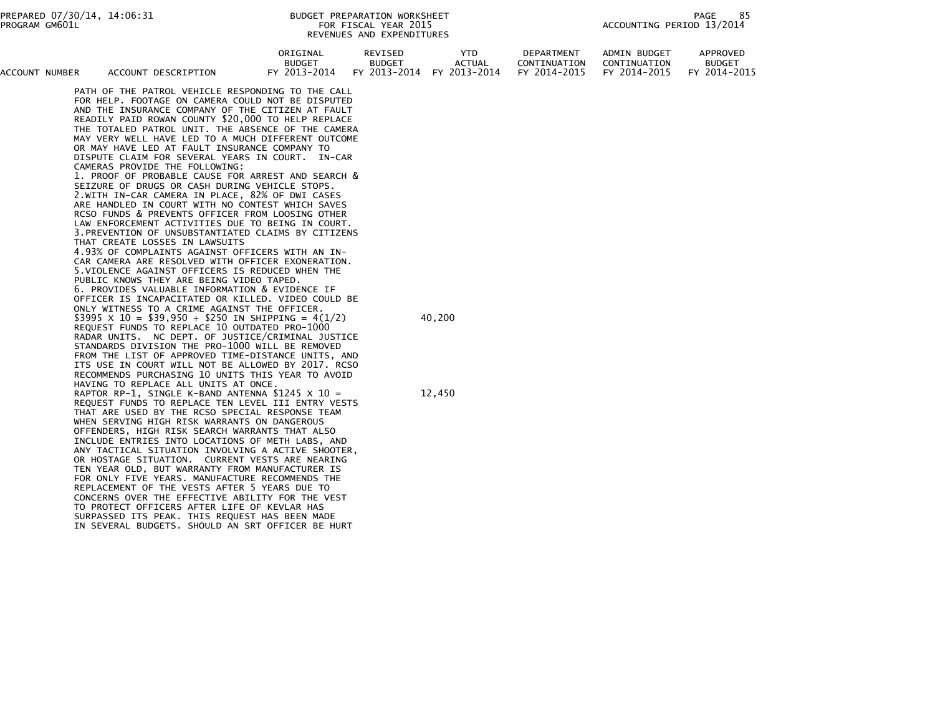| ACCOUNT NUMBER | ACCOUNT DESCRIPTION                                                                                                                                                                                                                                                                                                                                                                                                                                                                                                                                                                                                                                                                                                                                                                                                                                                                                                                                                                                                                                                                                                                              | ORIGINAL<br><b>BUDGET</b><br>FY 2013-2014 | REVISED<br><b>BUDGET</b><br>FY 2013-2014 | <b>YTD</b><br>ACTUAL<br>FY 2013-2014 | DEPARTMENT<br>CONTINUATION<br>FY 2014-2015 | <b>ADMIN BUDGET</b><br>CONTINUATION<br>FY 2014-2015 | APPROVED<br><b>BUDGET</b><br>FY 2014-2015 |
|----------------|--------------------------------------------------------------------------------------------------------------------------------------------------------------------------------------------------------------------------------------------------------------------------------------------------------------------------------------------------------------------------------------------------------------------------------------------------------------------------------------------------------------------------------------------------------------------------------------------------------------------------------------------------------------------------------------------------------------------------------------------------------------------------------------------------------------------------------------------------------------------------------------------------------------------------------------------------------------------------------------------------------------------------------------------------------------------------------------------------------------------------------------------------|-------------------------------------------|------------------------------------------|--------------------------------------|--------------------------------------------|-----------------------------------------------------|-------------------------------------------|
|                | PATH OF THE PATROL VEHICLE RESPONDING TO THE CALL<br>FOR HELP. FOOTAGE ON CAMERA COULD NOT BE DISPUTED<br>AND THE INSURANCE COMPANY OF THE CITIZEN AT FAULT<br>READILY PAID ROWAN COUNTY \$20,000 TO HELP REPLACE<br>THE TOTALED PATROL UNIT. THE ABSENCE OF THE CAMERA<br>MAY VERY WELL HAVE LED TO A MUCH DIFFERENT OUTCOME<br>OR MAY HAVE LED AT FAULT INSURANCE COMPANY TO<br>DISPUTE CLAIM FOR SEVERAL YEARS IN COURT. IN-CAR<br>CAMERAS PROVIDE THE FOLLOWING:<br>1. PROOF OF PROBABLE CAUSE FOR ARREST AND SEARCH &<br>SEIZURE OF DRUGS OR CASH DURING VEHICLE STOPS.<br>2.WITH IN-CAR CAMERA IN PLACE, 82% OF DWI CASES<br>ARE HANDLED IN COURT WITH NO CONTEST WHICH SAVES<br>RCSO FUNDS & PREVENTS OFFICER FROM LOOSING OTHER<br>LAW ENFORCEMENT ACTIVITIES DUE TO BEING IN COURT.<br>3. PREVENTION OF UNSUBSTANTIATED CLAIMS BY CITIZENS<br>THAT CREATE LOSSES IN LAWSUITS<br>4.93% OF COMPLAINTS AGAINST OFFICERS WITH AN IN-<br>CAR CAMERA ARE RESOLVED WITH OFFICER EXONERATION.<br>5. VIOLENCE AGAINST OFFICERS IS REDUCED WHEN THE<br>PUBLIC KNOWS THEY ARE BEING VIDEO TAPED.<br>6. PROVIDES VALUABLE INFORMATION & EVIDENCE IF |                                           |                                          |                                      |                                            |                                                     |                                           |
|                | OFFICER IS INCAPACITATED OR KILLED. VIDEO COULD BE<br>ONLY WITNESS TO A CRIME AGAINST THE OFFICER.<br>\$3995 $\times$ 10 = \$39,950 + \$250 IN SHIPPING = 4(1/2)<br>REQUEST FUNDS TO REPLACE 10 OUTDATED PRO-1000<br>RADAR UNITS. NC DEPT. OF JUSTICE/CRIMINAL JUSTICE<br>STANDARDS DIVISION THE PRO-1000 WILL BE REMOVED<br>FROM THE LIST OF APPROVED TIME-DISTANCE UNITS, AND<br>ITS USE IN COURT WILL NOT BE ALLOWED BY 2017. RCSO<br>RECOMMENDS PURCHASING 10 UNITS THIS YEAR TO AVOID                                                                                                                                                                                                                                                                                                                                                                                                                                                                                                                                                                                                                                                       |                                           |                                          | 40,200                               |                                            |                                                     |                                           |
|                | HAVING TO REPLACE ALL UNITS AT ONCE.<br>RAPTOR RP-1, SINGLE K-BAND ANTENNA \$1245 $\times$ 10 =<br>REQUEST FUNDS TO REPLACE TEN LEVEL III ENTRY VESTS<br>THAT ARE USED BY THE RCSO SPECIAL RESPONSE TEAM<br>WHEN SERVING HIGH RISK WARRANTS ON DANGEROUS<br>OFFENDERS, HIGH RISK SEARCH WARRANTS THAT ALSO<br>INCLUDE ENTRIES INTO LOCATIONS OF METH LABS, AND<br>ANY TACTICAL SITUATION INVOLVING A ACTIVE SHOOTER,<br>OR HOSTAGE SITUATION. CURRENT VESTS ARE NEARING<br>TEN YEAR OLD, BUT WARRANTY FROM MANUFACTURER IS<br>FOR ONLY FIVE YEARS. MANUFACTURE RECOMMENDS THE<br>REPLACEMENT OF THE VESTS AFTER 5 YEARS DUE TO<br>CONCERNS OVER THE EFFECTIVE ABILITY FOR THE VEST<br>TO PROTECT OFFICERS AFTER LIFE OF KEVLAR HAS<br>SURPASSED ITS PEAK. THIS REQUEST HAS BEEN MADE<br>IN SEVERAL BUDGETS. SHOULD AN SRT OFFICER BE HURT                                                                                                                                                                                                                                                                                                        |                                           |                                          | 12,450                               |                                            |                                                     |                                           |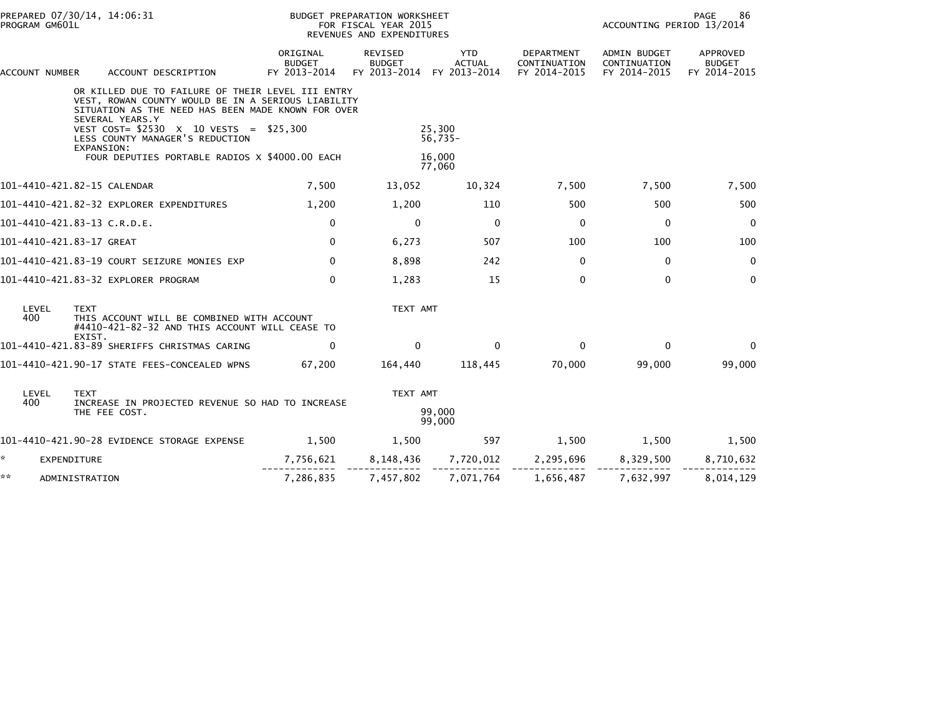|                             | PREPARED 07/30/14, 14:06:31<br>PROGRAM GM601L |                                                                                                                                                               |                                           | BUDGET PREPARATION WORKSHEET<br>FOR FISCAL YEAR 2015<br>REVENUES AND EXPENDITURES |                                             |                                                   |                                                     | 86<br><b>PAGE</b><br>ACCOUNTING PERIOD 13/2014 |  |  |
|-----------------------------|-----------------------------------------------|---------------------------------------------------------------------------------------------------------------------------------------------------------------|-------------------------------------------|-----------------------------------------------------------------------------------|---------------------------------------------|---------------------------------------------------|-----------------------------------------------------|------------------------------------------------|--|--|
| ACCOUNT NUMBER              |                                               | ACCOUNT DESCRIPTION                                                                                                                                           | ORIGINAL<br><b>BUDGET</b><br>FY 2013-2014 | REVISED<br><b>BUDGET</b><br>FY 2013-2014                                          | <b>YTD</b><br><b>ACTUAL</b><br>FY 2013-2014 | <b>DEPARTMENT</b><br>CONTINUATION<br>FY 2014-2015 | <b>ADMIN BUDGET</b><br>CONTINUATION<br>FY 2014-2015 | APPROVED<br><b>BUDGET</b><br>FY 2014-2015      |  |  |
|                             | SEVERAL YEARS.Y                               | OR KILLED DUE TO FAILURE OF THEIR LEVEL III ENTRY<br>VEST, ROWAN COUNTY WOULD BE IN A SERIOUS LIABILITY<br>SITUATION AS THE NEED HAS BEEN MADE KNOWN FOR OVER |                                           |                                                                                   |                                             |                                                   |                                                     |                                                |  |  |
|                             |                                               | VEST COST= \$2530 X 10 VESTS = \$25,300<br>LESS COUNTY MANAGER'S REDUCTION                                                                                    |                                           |                                                                                   | 25,300<br>$56,735-$                         |                                                   |                                                     |                                                |  |  |
|                             | EXPANSION:                                    | FOUR DEPUTIES PORTABLE RADIOS X \$4000.00 EACH                                                                                                                |                                           |                                                                                   | 16.000<br>77,060                            |                                                   |                                                     |                                                |  |  |
| 101-4410-421.82-15 CALENDAR |                                               |                                                                                                                                                               | 7,500                                     | 13,052                                                                            | 10,324                                      | 7,500                                             | 7,500                                               | 7,500                                          |  |  |
|                             |                                               | 101-4410-421.82-32 EXPLORER EXPENDITURES                                                                                                                      | 1,200                                     | 1,200                                                                             | 110                                         | 500                                               | 500                                                 | 500                                            |  |  |
| 101-4410-421.83-13 C.R.D.E. |                                               |                                                                                                                                                               | $\mathbf 0$                               | $\mathbf{0}$                                                                      | $\Omega$                                    | $\Omega$                                          | $\mathbf{0}$                                        | $\mathbf{0}$                                   |  |  |
| 101-4410-421.83-17 GREAT    |                                               |                                                                                                                                                               | $\mathbf 0$                               | 6,273                                                                             | 507                                         | 100                                               | 100                                                 | 100                                            |  |  |
|                             |                                               | 101-4410-421.83-19 COURT SEIZURE MONIES EXP                                                                                                                   | $\mathbf{0}$                              | 8,898                                                                             | 242                                         | $\mathbf{0}$                                      | 0                                                   | $\mathbf 0$                                    |  |  |
|                             |                                               | 101-4410-421.83-32 EXPLORER PROGRAM                                                                                                                           | $\Omega$                                  | 1,283                                                                             | 15                                          | $\Omega$                                          | $\Omega$                                            | $\mathbf{0}$                                   |  |  |
| LEVEL<br>400                | <b>TEXT</b>                                   | THIS ACCOUNT WILL BE COMBINED WITH ACCOUNT<br>#4410-421-82-32 AND THIS ACCOUNT WILL CEASE TO                                                                  |                                           | TEXT AMT                                                                          |                                             |                                                   |                                                     |                                                |  |  |
|                             | EXIST.                                        | 101-4410-421.83-89 SHERIFFS CHRISTMAS CARING                                                                                                                  | $\mathbf{0}$                              | $\Omega$                                                                          | $\Omega$                                    | $\Omega$                                          | $\mathbf{0}$                                        | $\Omega$                                       |  |  |
|                             |                                               | 101-4410-421.90-17 STATE FEES-CONCEALED WPNS                                                                                                                  | 67.200                                    | 164,440                                                                           | 118,445                                     | 70,000                                            | 99,000                                              | 99,000                                         |  |  |
| LEVEL<br>400                | <b>TEXT</b><br>THE FEE COST.                  | INCREASE IN PROJECTED REVENUE SO HAD TO INCREASE                                                                                                              |                                           | TEXT AMT                                                                          | 99,000<br>99,000                            |                                                   |                                                     |                                                |  |  |
|                             |                                               | 101-4410-421.90-28 EVIDENCE STORAGE EXPENSE                                                                                                                   | 1,500                                     | 1,500                                                                             | 597                                         | 1,500                                             | 1,500                                               | 1,500                                          |  |  |
| *.                          | EXPENDITURE                                   |                                                                                                                                                               | 7,756,621                                 | 8,148,436                                                                         | 7,720,012                                   | 2,295,696                                         | 8,329,500                                           | 8,710,632                                      |  |  |
| **                          | ADMINISTRATION                                |                                                                                                                                                               | 7,286,835                                 | 7,457,802                                                                         | 7,071,764                                   | 1,656,487                                         | 7,632,997                                           | 8,014,129                                      |  |  |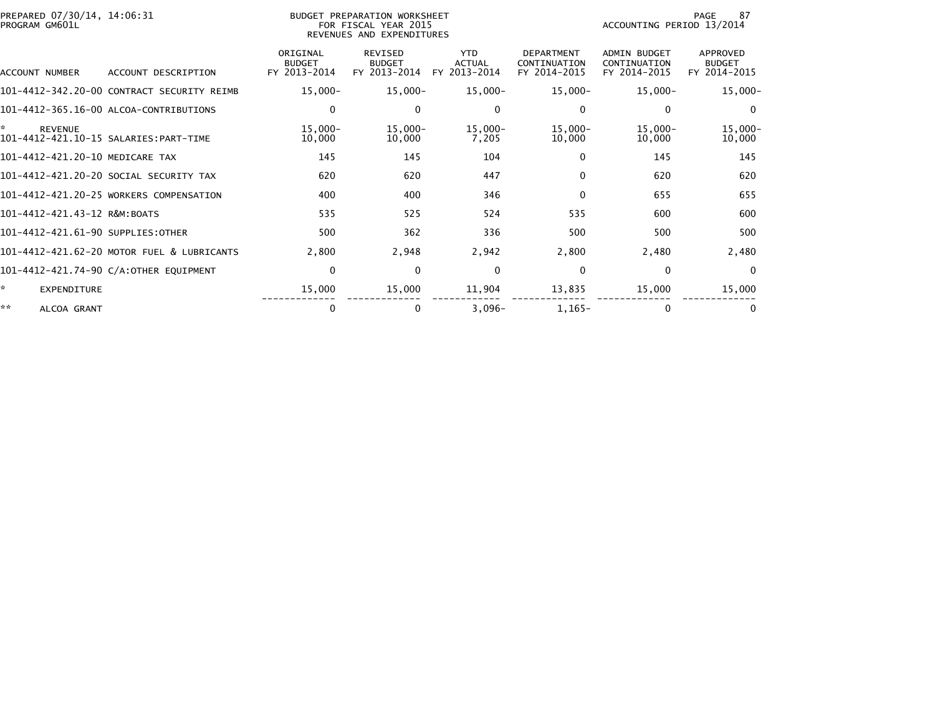| PREPARED 07/30/14, 14:06:31<br>PROGRAM GM601L | BUDGET PREPARATION WORKSHEET<br>FOR FISCAL YEAR 2015<br>REVENUES AND EXPENDITURES |                                           |                                                 |                                             |                                                   | 87<br>PAGE<br>ACCOUNTING PERIOD 13/2014      |                                           |  |
|-----------------------------------------------|-----------------------------------------------------------------------------------|-------------------------------------------|-------------------------------------------------|---------------------------------------------|---------------------------------------------------|----------------------------------------------|-------------------------------------------|--|
| ACCOUNT NUMBER                                | ACCOUNT DESCRIPTION                                                               | ORIGINAL<br><b>BUDGET</b><br>FY 2013-2014 | <b>REVISED</b><br><b>BUDGET</b><br>FY 2013-2014 | <b>YTD</b><br><b>ACTUAL</b><br>FY 2013-2014 | <b>DEPARTMENT</b><br>CONTINUATION<br>FY 2014-2015 | ADMIN BUDGET<br>CONTINUATION<br>FY 2014-2015 | APPROVED<br><b>BUDGET</b><br>FY 2014-2015 |  |
|                                               | 101-4412-342.20-00 CONTRACT SECURITY REIMB                                        | $15,000 -$                                | $15,000 -$                                      | 15,000-                                     | $15,000 -$                                        | $15,000 -$                                   | $15,000 -$                                |  |
|                                               | 101-4412-365.16-00 ALCOA-CONTRIBUTIONS                                            | $\mathbf 0$                               | $\Omega$                                        | $\Omega$                                    | 0                                                 | $\Omega$                                     | $\mathbf{0}$                              |  |
| ×.<br><b>REVENUE</b>                          |                                                                                   | $15,000 -$<br>10,000                      | 15,000-<br>10,000                               | 15,000-<br>7,205                            | $15,000 -$<br>10,000                              | $15,000 -$<br>10,000                         | $15,000 -$<br>10,000                      |  |
| 101-4412-421.20-10 MEDICARE TAX               |                                                                                   | 145                                       | 145                                             | 104                                         | $\Omega$                                          | 145                                          | 145                                       |  |
|                                               | 101–4412–421.20–20 SOCIAL SECURITY TAX                                            | 620                                       | 620                                             | 447                                         | $\Omega$                                          | 620                                          | 620                                       |  |
|                                               | 101-4412-421.20-25 WORKERS COMPENSATION                                           | 400                                       | 400                                             | 346                                         | $\Omega$                                          | 655                                          | 655                                       |  |
| 101-4412-421.43-12 R&M:BOATS                  |                                                                                   | 535                                       | 525                                             | 524                                         | 535                                               | 600                                          | 600                                       |  |
| 101-4412-421.61-90 SUPPLIES:OTHER             |                                                                                   | 500                                       | 362                                             | 336                                         | 500                                               | 500                                          | 500                                       |  |
|                                               | 101-4412-421.62-20 MOTOR FUEL & LUBRICANTS                                        | 2,800                                     | 2,948                                           | 2,942                                       | 2,800                                             | 2,480                                        | 2,480                                     |  |
|                                               | 101-4412-421.74-90 C/A:OTHER EQUIPMENT                                            | $\mathbf 0$                               | $\mathbf{0}$                                    | $\Omega$                                    | $\Omega$                                          | $\Omega$                                     | $\Omega$                                  |  |
| ×.<br>EXPENDITURE                             |                                                                                   | 15,000                                    | 15,000                                          | 11,904                                      | 13,835                                            | 15,000                                       | 15,000                                    |  |
| **<br>ALCOA GRANT                             |                                                                                   | 0                                         | 0                                               | $3,096-$                                    | $1,165-$                                          | 0                                            | 0                                         |  |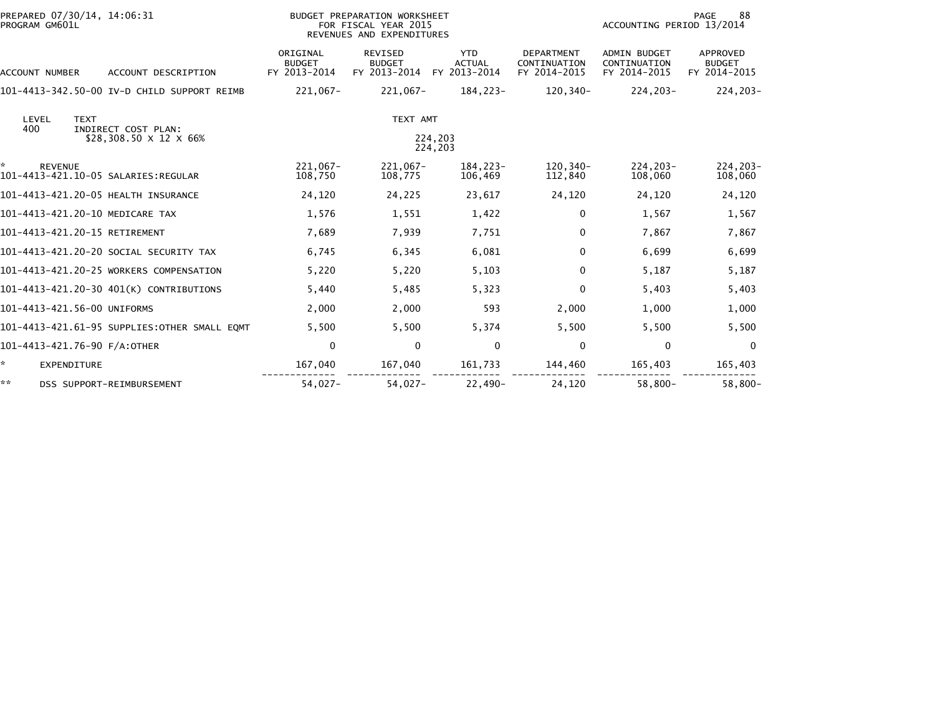| PREPARED 07/30/14, 14:06:31<br>PROGRAM GM601L                                              |                                           | BUDGET PREPARATION WORKSHEET<br>FOR FISCAL YEAR 2015<br>REVENUES AND EXPENDITURES |                                             | 88<br><b>PAGE</b><br>ACCOUNTING PERIOD 13/2014 |                                                     |                                           |
|--------------------------------------------------------------------------------------------|-------------------------------------------|-----------------------------------------------------------------------------------|---------------------------------------------|------------------------------------------------|-----------------------------------------------------|-------------------------------------------|
| <b>ACCOUNT NUMBER</b><br>ACCOUNT DESCRIPTION                                               | ORIGINAL<br><b>BUDGET</b><br>FY 2013-2014 | <b>REVISED</b><br><b>BUDGET</b><br>FY 2013-2014                                   | <b>YTD</b><br><b>ACTUAL</b><br>FY 2013-2014 | DEPARTMENT<br>CONTINUATION<br>FY 2014-2015     | <b>ADMIN BUDGET</b><br>CONTINUATION<br>FY 2014-2015 | APPROVED<br><b>BUDGET</b><br>FY 2014-2015 |
| 101-4413-342.50-00 IV-D CHILD SUPPORT REIMB                                                | $221,067-$                                | $221,067-$                                                                        | 184,223-                                    | 120,340-                                       | $224, 203 -$                                        | 224,203-                                  |
| LEVEL<br><b>TEXT</b><br>400<br>INDIRECT COST PLAN:<br>\$28,308.50 $\times$ 12 $\times$ 66% |                                           | TEXT AMT                                                                          | 224,203<br>224,203                          |                                                |                                                     |                                           |
| <b>REVENUE</b><br>101-4413-421.10-05 SALARIES: REGULAR                                     | 221,067-<br>108,750                       | 221,067-<br>108,775                                                               | 184,223-<br>106,469                         | 120,340-<br>112,840                            | $224, 203 -$<br>108,060                             | 224,203-<br>108,060                       |
| 101-4413-421.20-05 HEALTH INSURANCE                                                        | 24,120                                    | 24,225                                                                            | 23,617                                      | 24,120                                         | 24,120                                              | 24,120                                    |
| 101-4413-421.20-10 MEDICARE TAX                                                            | 1,576                                     | 1,551                                                                             | 1,422                                       | $\mathbf{0}$                                   | 1,567                                               | 1,567                                     |
| 101-4413-421.20-15 RETIREMENT                                                              | 7,689                                     | 7,939                                                                             | 7,751                                       | $\Omega$                                       | 7,867                                               | 7,867                                     |
| 101-4413-421.20-20 SOCIAL SECURITY TAX                                                     | 6,745                                     | 6,345                                                                             | 6,081                                       | $\Omega$                                       | 6,699                                               | 6,699                                     |
| 101-4413-421.20-25 WORKERS COMPENSATION                                                    | 5,220                                     | 5,220                                                                             | 5,103                                       | 0                                              | 5,187                                               | 5,187                                     |
| 101-4413-421.20-30 401(K) CONTRIBUTIONS                                                    | 5,440                                     | 5,485                                                                             | 5,323                                       | 0                                              | 5,403                                               | 5,403                                     |
| 101-4413-421.56-00 UNIFORMS                                                                | 2,000                                     | 2,000                                                                             | 593                                         | 2,000                                          | 1,000                                               | 1,000                                     |
| 101-4413-421.61-95 SUPPLIES:OTHER SMALL EOMT                                               | 5,500                                     | 5,500                                                                             | 5,374                                       | 5,500                                          | 5,500                                               | 5,500                                     |
| 101-4413-421.76-90 F/A:OTHER                                                               | 0                                         | $\mathbf{0}$                                                                      | 0                                           | $\Omega$                                       | 0                                                   | $\Omega$                                  |
| <b>EXPENDITURE</b>                                                                         | 167,040                                   | 167,040                                                                           | 161,733                                     | 144,460                                        | 165,403                                             | 165,403                                   |
| **<br>DSS SUPPORT-REIMBURSEMENT                                                            | $54,027-$                                 | $54.027 -$                                                                        | $22.490 -$                                  | 24.120                                         | $58.800 -$                                          | $58.800 -$                                |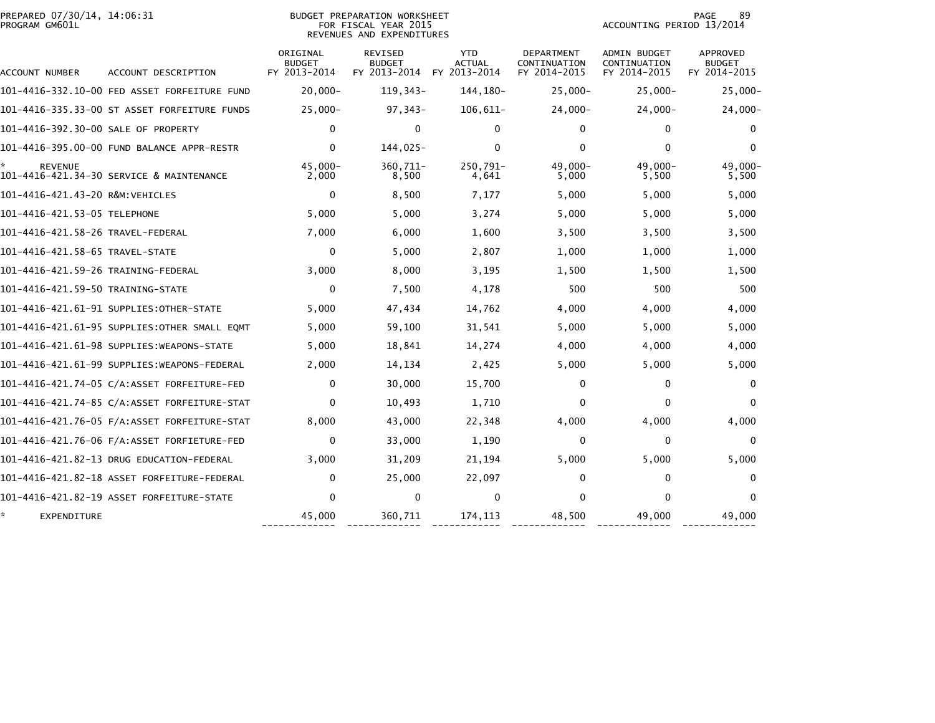| PREPARED 07/30/14, 14:06:31<br>PROGRAM GM601L |                                               |                                           | BUDGET PREPARATION WORKSHEET<br>FOR FISCAL YEAR 2015<br>REVENUES AND EXPENDITURES |                                             |                                            | ACCOUNTING PERIOD 13/2014                           | 89<br>PAGE                                       |
|-----------------------------------------------|-----------------------------------------------|-------------------------------------------|-----------------------------------------------------------------------------------|---------------------------------------------|--------------------------------------------|-----------------------------------------------------|--------------------------------------------------|
| ACCOUNT NUMBER                                | ACCOUNT DESCRIPTION                           | ORIGINAL<br><b>BUDGET</b><br>FY 2013-2014 | REVISED<br><b>BUDGET</b><br>FY 2013-2014                                          | <b>YTD</b><br><b>ACTUAL</b><br>FY 2013-2014 | DEPARTMENT<br>CONTINUATION<br>FY 2014-2015 | <b>ADMIN BUDGET</b><br>CONTINUATION<br>FY 2014-2015 | <b>APPROVED</b><br><b>BUDGET</b><br>FY 2014-2015 |
|                                               | 101-4416-332.10-00 FED ASSET FORFEITURE FUND  | $20,000 -$                                | 119, 343-                                                                         | 144, 180-                                   | $25,000 -$                                 | $25,000 -$                                          | $25,000 -$                                       |
|                                               | 101-4416-335.33-00 ST ASSET FORFEITURE FUNDS  | $25.000 -$                                | $97,343-$                                                                         | $106,611-$                                  | $24,000 -$                                 | $24,000 -$                                          | 24,000-                                          |
| 101-4416-392.30-00 SALE OF PROPERTY           |                                               | 0                                         | 0                                                                                 | $\Omega$                                    | $\mathbf{0}$                               | $\Omega$                                            | 0                                                |
|                                               | 101-4416-395.00-00 FUND BALANCE APPR-RESTR    | $\mathbf{0}$                              | $144,025-$                                                                        | $\Omega$                                    | $\mathbf{0}$                               | $\Omega$                                            | 0                                                |
| <b>REVENUE</b>                                | 101-4416-421.34-30 SERVICE & MAINTENANCE      | $45,000 -$<br>2,000                       | 360,711-<br>8,500                                                                 | 250,791-<br>4,641                           | $49,000 -$<br>5,000                        | $49,000 -$<br>5,500                                 | 49,000-<br>5,500                                 |
| 101-4416-421.43-20 R&M:VEHICLES               |                                               | $\mathbf{0}$                              | 8,500                                                                             | 7,177                                       | 5,000                                      | 5,000                                               | 5,000                                            |
| 101-4416-421.53-05 TELEPHONE                  |                                               | 5,000                                     | 5,000                                                                             | 3,274                                       | 5,000                                      | 5,000                                               | 5,000                                            |
|                                               |                                               | 7,000                                     | 6,000                                                                             | 1,600                                       | 3,500                                      | 3,500                                               | 3,500                                            |
| 101-4416-421.58-65 TRAVEL-STATE               |                                               | $\mathbf{0}$                              | 5,000                                                                             | 2,807                                       | 1,000                                      | 1,000                                               | 1,000                                            |
| 101-4416-421.59-26 TRAINING-FEDERAL           |                                               | 3,000                                     | 8,000                                                                             | 3,195                                       | 1,500                                      | 1,500                                               | 1,500                                            |
| 101-4416-421.59-50 TRAINING-STATE             |                                               | $\mathbf{0}$                              | 7,500                                                                             | 4,178                                       | 500                                        | 500                                                 | 500                                              |
|                                               | 101-4416-421.61-91 SUPPLIES:OTHER-STATE       | 5,000                                     | 47,434                                                                            | 14,762                                      | 4,000                                      | 4,000                                               | 4,000                                            |
|                                               | 101-4416-421.61-95 SUPPLIES: OTHER SMALL EQMT | 5,000                                     | 59,100                                                                            | 31,541                                      | 5,000                                      | 5,000                                               | 5,000                                            |
|                                               | 101-4416-421.61-98 SUPPLIES: WEAPONS-STATE    | 5,000                                     | 18,841                                                                            | 14,274                                      | 4,000                                      | 4,000                                               | 4,000                                            |
|                                               |                                               | 2,000                                     | 14,134                                                                            | 2,425                                       | 5,000                                      | 5,000                                               | 5,000                                            |
|                                               | 101-4416-421.74-05 C/A:ASSET FORFEITURE-FED   | $\mathbf{0}$                              | 30,000                                                                            | 15,700                                      | 0                                          | $\Omega$                                            | $\mathbf{0}$                                     |
|                                               |                                               | $\Omega$                                  | 10,493                                                                            | 1,710                                       | $\Omega$                                   | 0                                                   | $\mathbf{0}$                                     |
|                                               |                                               | 8,000                                     | 43,000                                                                            | 22,348                                      | 4,000                                      | 4,000                                               | 4,000                                            |
|                                               |                                               | 0                                         | 33,000                                                                            | 1,190                                       | $\Omega$                                   | $\Omega$                                            | $\Omega$                                         |
|                                               | 101-4416-421.82-13 DRUG EDUCATION-FEDERAL     | 3,000                                     | 31,209                                                                            | 21,194                                      | 5,000                                      | 5,000                                               | 5,000                                            |
|                                               | 101-4416-421.82-18 ASSET FORFEITURE-FEDERAL   | 0                                         | 25,000                                                                            | 22,097                                      | $\mathbf{0}$                               | 0                                                   | $\mathbf{0}$                                     |
|                                               |                                               | 0                                         | 0                                                                                 | 0                                           | $\Omega$                                   | 0                                                   | 0                                                |
| EXPENDITURE                                   |                                               | 45,000                                    | 360,711                                                                           | 174,113                                     | 48,500                                     | 49,000                                              | 49,000                                           |

------------- ------------- ------------ ------------- ------------- -------------

-------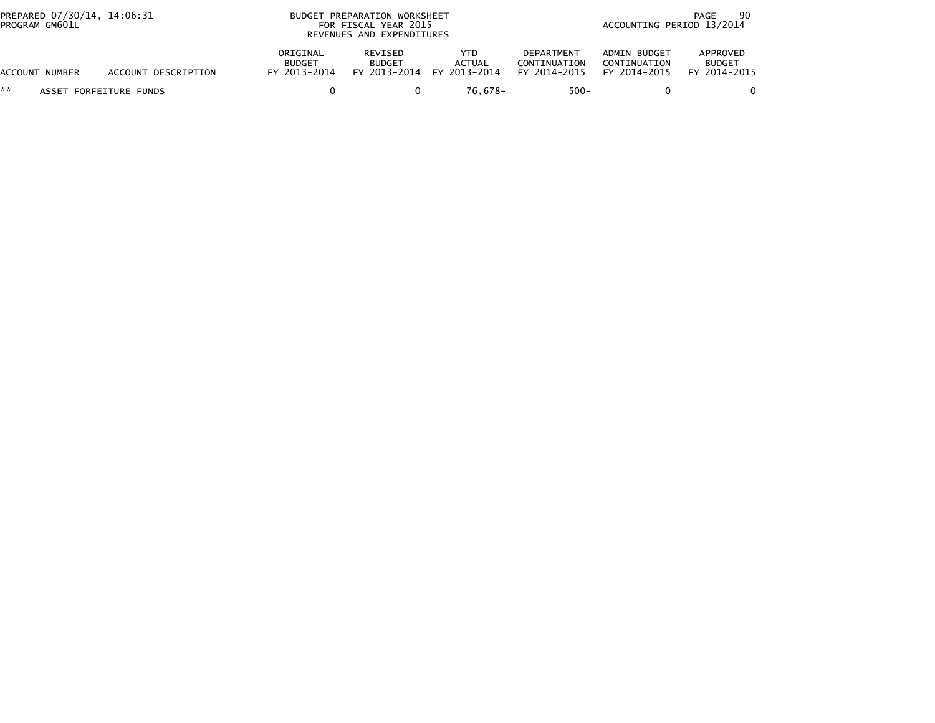| PREPARED 07/30/14, 14:06:31<br>PROGRAM GM601L |                     | BUDGET PREPARATION WORKSHEET<br>FOR FISCAL YEAR 2015<br>REVENUES AND EXPENDITURES |                          |                                                   |                                            |                                              | 90<br>PAGE<br>ACCOUNTING PERIOD 13/2014   |  |  |
|-----------------------------------------------|---------------------|-----------------------------------------------------------------------------------|--------------------------|---------------------------------------------------|--------------------------------------------|----------------------------------------------|-------------------------------------------|--|--|
| ACCOUNT NUMBER                                | ACCOUNT DESCRIPTION | ORIGINAL<br><b>BUDGET</b><br>FY 2013-2014                                         | REVISED<br><b>BUDGET</b> | YTD<br><b>ACTUAL</b><br>FY 2013-2014 FY 2013-2014 | DEPARTMENT<br>CONTINUATION<br>FY 2014-2015 | ADMIN BUDGET<br>CONTINUATION<br>FY 2014-2015 | APPROVED<br><b>BUDGET</b><br>FY 2014-2015 |  |  |
| **<br>ASSET FORFEITURE FUNDS                  |                     |                                                                                   |                          | 76.678-                                           | $500 -$                                    |                                              |                                           |  |  |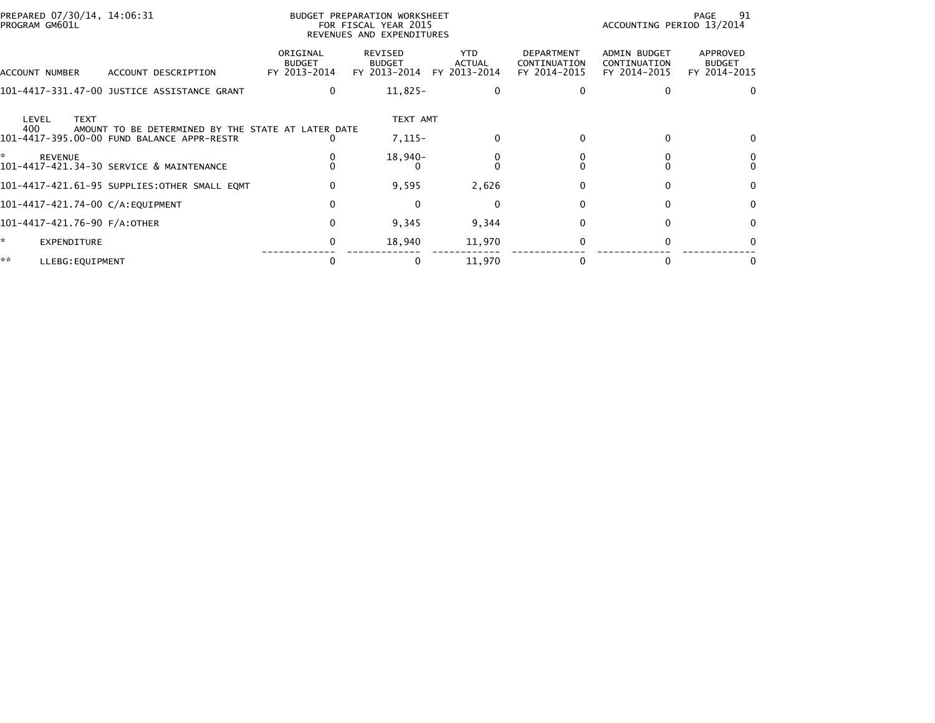| PREPARED 07/30/14, 14:06:31<br>PROGRAM GM601L                                                                                   |                                           | BUDGET PREPARATION WORKSHEET<br>FOR FISCAL YEAR 2015<br>REVENUES AND EXPENDITURES |                               |                                            | ACCOUNTING PERIOD 13/2014                    | 91<br>PAGE                                |
|---------------------------------------------------------------------------------------------------------------------------------|-------------------------------------------|-----------------------------------------------------------------------------------|-------------------------------|--------------------------------------------|----------------------------------------------|-------------------------------------------|
| ACCOUNT DESCRIPTION<br>ACCOUNT NUMBER                                                                                           | ORIGINAL<br><b>BUDGET</b><br>FY 2013-2014 | REVISED<br><b>BUDGET</b><br>FY 2013-2014                                          | YTD<br>ACTUAL<br>FY 2013-2014 | DEPARTMENT<br>CONTINUATION<br>FY 2014-2015 | ADMIN BUDGET<br>CONTINUATION<br>FY 2014-2015 | APPROVED<br><b>BUDGET</b><br>FY 2014-2015 |
| 101-4417-331.47-00 JUSTICE ASSISTANCE GRANT                                                                                     | 0                                         | $11,825-$                                                                         | 0                             |                                            |                                              | $\Omega$                                  |
| <b>TEXT</b><br>LEVEL<br>400<br>AMOUNT TO BE DETERMINED BY THE STATE AT LATER DATE<br>101-4417-395.00-00 FUND BALANCE APPR-RESTR |                                           | TEXT AMT<br>$7,115-$                                                              | $\mathbf{0}$                  |                                            | $\Omega$                                     |                                           |
| ÷.<br><b>REVENUE</b><br>101-4417-421.34-30 SERVICE & MAINTENANCE                                                                |                                           | 18,940-                                                                           | 0                             |                                            |                                              |                                           |
| 101-4417-421.61-95 SUPPLIES:OTHER SMALL EQMT                                                                                    | 0                                         | 9,595                                                                             | 2,626                         |                                            | 0                                            | $\Omega$                                  |
| 101-4417-421.74-00 C/A:EQUIPMENT                                                                                                | 0                                         | $\Omega$                                                                          | 0                             |                                            | $\Omega$                                     | $\bf{0}$                                  |
| 101-4417-421.76-90 F/A:OTHER                                                                                                    | 0                                         | 9,345                                                                             | 9,344                         |                                            | $\Omega$                                     | 0                                         |
| *<br>EXPENDITURE                                                                                                                | 0                                         | 18,940                                                                            | 11,970                        |                                            | 0                                            |                                           |
| **<br>LLEBG: EQUIPMENT                                                                                                          |                                           | 0                                                                                 | 11,970                        |                                            |                                              |                                           |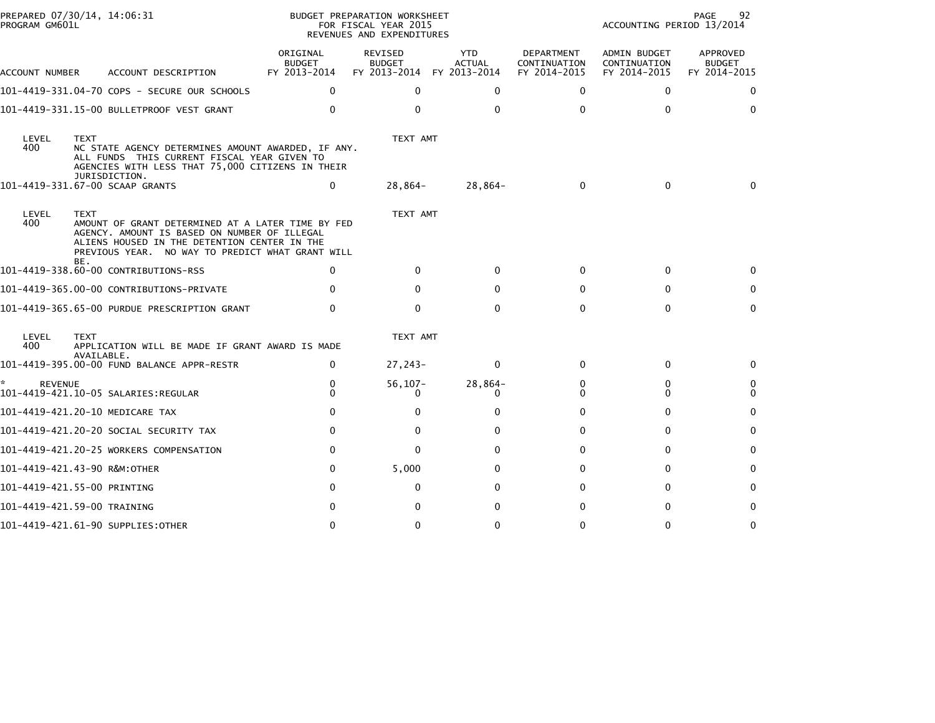| PROGRAM GM601L      | PREPARED 07/30/14, 14:06:31                                                                                                                                                                                          |                                           | BUDGET PREPARATION WORKSHEET<br>FOR FISCAL YEAR 2015<br>REVENUES AND EXPENDITURES |                                             |                                            | ACCOUNTING PERIOD 13/2014                    | 92<br><b>PAGE</b>                         |
|---------------------|----------------------------------------------------------------------------------------------------------------------------------------------------------------------------------------------------------------------|-------------------------------------------|-----------------------------------------------------------------------------------|---------------------------------------------|--------------------------------------------|----------------------------------------------|-------------------------------------------|
| ACCOUNT NUMBER      | ACCOUNT DESCRIPTION                                                                                                                                                                                                  | ORIGINAL<br><b>BUDGET</b><br>FY 2013-2014 | <b>REVISED</b><br><b>BUDGET</b><br>FY 2013-2014                                   | <b>YTD</b><br><b>ACTUAL</b><br>FY 2013-2014 | DEPARTMENT<br>CONTINUATION<br>FY 2014-2015 | ADMIN BUDGET<br>CONTINUATION<br>FY 2014-2015 | APPROVED<br><b>BUDGET</b><br>FY 2014-2015 |
|                     | 101-4419-331.04-70 COPS - SECURE OUR SCHOOLS                                                                                                                                                                         | $\mathbf{0}$                              | 0                                                                                 | $\Omega$                                    | $\Omega$                                   | 0                                            | 0                                         |
|                     | 101-4419-331.15-00 BULLETPROOF VEST GRANT                                                                                                                                                                            | $\Omega$                                  | $\mathbf{0}$                                                                      | $\Omega$                                    | $\Omega$                                   | 0                                            | $\mathbf{0}$                              |
| LEVEL<br>400        | <b>TEXT</b><br>NC STATE AGENCY DETERMINES AMOUNT AWARDED, IF ANY.<br>ALL FUNDS THIS CURRENT FISCAL YEAR GIVEN TO<br>AGENCIES WITH LESS THAT 75,000 CITIZENS IN THEIR<br>JURISDICTION.                                |                                           | TEXT AMT                                                                          |                                             |                                            |                                              |                                           |
|                     | 101-4419-331.67-00 SCAAP GRANTS                                                                                                                                                                                      | 0                                         | 28,864-                                                                           | 28,864-                                     | $\mathbf{0}$                               | 0                                            | 0                                         |
| LEVEL<br>400        | <b>TEXT</b><br>AMOUNT OF GRANT DETERMINED AT A LATER TIME BY FED<br>AGENCY. AMOUNT IS BASED ON NUMBER OF ILLEGAL<br>ALIENS HOUSED IN THE DETENTION CENTER IN THE<br>PREVIOUS YEAR. NO WAY TO PREDICT WHAT GRANT WILL |                                           | TEXT AMT                                                                          |                                             |                                            |                                              |                                           |
|                     | BE.<br>101-4419-338.60-00 CONTRIBUTIONS-RSS                                                                                                                                                                          | 0                                         | $\Omega$                                                                          | <sup>0</sup>                                | 0                                          | 0                                            | 0                                         |
|                     | 101-4419-365.00-00 CONTRIBUTIONS-PRIVATE                                                                                                                                                                             |                                           | 0                                                                                 | o                                           | 0                                          | 0                                            | 0                                         |
|                     | 101-4419-365.65-00 PURDUE PRESCRIPTION GRANT                                                                                                                                                                         | 0                                         | 0                                                                                 | $\Omega$                                    | $\Omega$                                   | $\mathbf{0}$                                 | $\mathbf{0}$                              |
| LEVEL<br>400        | <b>TEXT</b><br>APPLICATION WILL BE MADE IF GRANT AWARD IS MADE                                                                                                                                                       |                                           | TEXT AMT                                                                          |                                             |                                            |                                              |                                           |
|                     | AVAILABLE.<br>101-4419-395.00-00 FUND BALANCE APPR-RESTR                                                                                                                                                             | $\mathbf{0}$                              | 27,243-                                                                           | $\Omega$                                    | $\mathbf{0}$                               | 0                                            | 0                                         |
| *<br><b>REVENUE</b> |                                                                                                                                                                                                                      | 0<br>0                                    | $56, 107 -$<br>0                                                                  | $28,864-$<br>0                              | 0<br>0                                     | 0<br>0                                       | 0<br>0                                    |
|                     | 101-4419-421.20-10 MEDICARE TAX                                                                                                                                                                                      | $\Omega$                                  | 0                                                                                 | $\Omega$                                    | 0                                          | $\Omega$                                     | $\Omega$                                  |
|                     | 101–4419–421.20–20 SOCIAL SECURITY TAX                                                                                                                                                                               | 0                                         | $\mathbf{0}$                                                                      | 0                                           | 0                                          | 0                                            | $\mathbf{0}$                              |
|                     | 101-4419-421.20-25 WORKERS COMPENSATION                                                                                                                                                                              | 0                                         | 0                                                                                 | ŋ                                           | 0                                          | 0                                            | 0                                         |
|                     | 101-4419-421.43-90 R&M:OTHER                                                                                                                                                                                         | 0                                         | 5,000                                                                             | <sup>0</sup>                                | 0                                          | 0                                            | 0                                         |
|                     | 101-4419-421.55-00 PRINTING                                                                                                                                                                                          | $\Omega$                                  | $\mathbf{0}$                                                                      | 0                                           | 0                                          | $\Omega$                                     | 0                                         |
|                     | 101-4419-421.59-00 TRAINING                                                                                                                                                                                          |                                           | 0                                                                                 | O                                           | 0                                          | 0                                            | 0                                         |
|                     | 101-4419-421.61-90 SUPPLIES:OTHER                                                                                                                                                                                    | 0                                         | 0                                                                                 | 0                                           | 0                                          | 0                                            | 0                                         |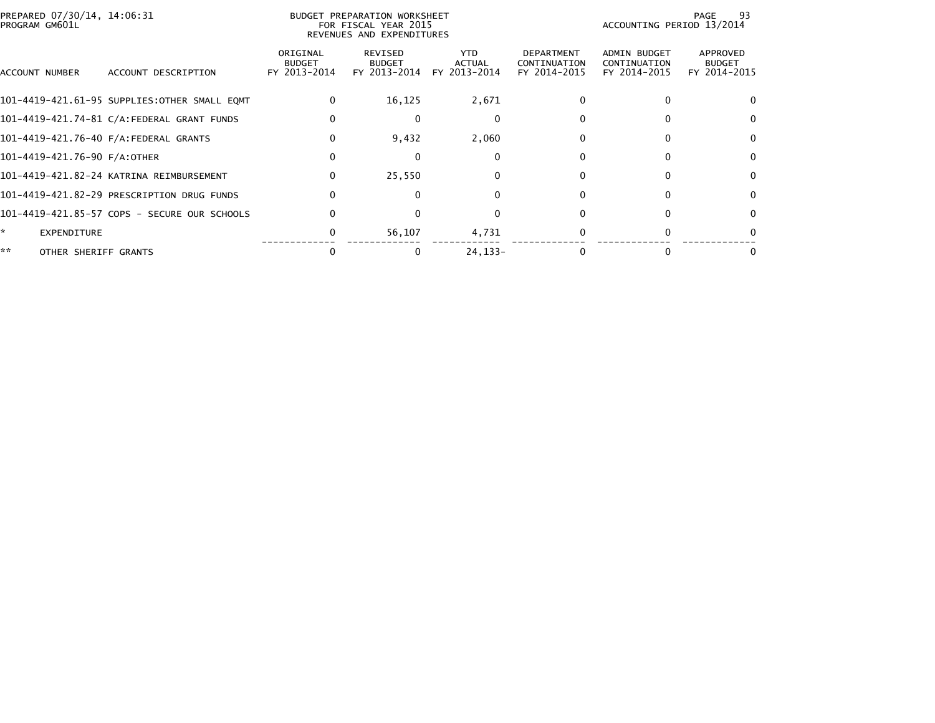| PREPARED 07/30/14, 14:06:31<br>PROGRAM GM601L |                                              |                                           | BUDGET PREPARATION WORKSHEET<br>FOR FISCAL YEAR 2015<br>REVENUES AND EXPENDITURES |                                       |                                                   | ACCOUNTING PERIOD 13/2014                           | 93<br>PAGE                                |
|-----------------------------------------------|----------------------------------------------|-------------------------------------------|-----------------------------------------------------------------------------------|---------------------------------------|---------------------------------------------------|-----------------------------------------------------|-------------------------------------------|
| ACCOUNT NUMBER                                | ACCOUNT DESCRIPTION                          | ORIGINAL<br><b>BUDGET</b><br>FY 2013-2014 | REVISED<br><b>BUDGET</b><br>FY 2013-2014                                          | YTD.<br><b>ACTUAL</b><br>FY 2013-2014 | <b>DEPARTMENT</b><br>CONTINUATION<br>FY 2014-2015 | <b>ADMIN BUDGET</b><br>CONTINUATION<br>FY 2014-2015 | APPROVED<br><b>BUDGET</b><br>FY 2014-2015 |
|                                               | 101-4419-421.61-95 SUPPLIES:OTHER SMALL EOMT | $\mathbf{0}$                              | 16,125                                                                            | 2,671                                 | 0                                                 | 0                                                   | $\Omega$                                  |
|                                               | 101-4419-421.74-81 C/A:FEDERAL GRANT FUNDS   | 0                                         | $\Omega$                                                                          | $\mathbf 0$                           |                                                   |                                                     | $\Omega$                                  |
|                                               | 101-4419-421.76-40 F/A:FEDERAL GRANTS        | 0                                         | 9,432                                                                             | 2,060                                 |                                                   |                                                     | $\Omega$                                  |
| 101-4419-421.76-90 F/A:OTHER                  |                                              | 0                                         |                                                                                   | 0                                     |                                                   |                                                     | 0                                         |
|                                               | 101-4419-421.82-24 KATRINA REIMBURSEMENT     | $\mathbf{0}$                              | 25,550                                                                            | 0                                     |                                                   |                                                     | $\bf{0}$                                  |
|                                               | 101-4419-421.82-29 PRESCRIPTION DRUG FUNDS   | $\mathbf{0}$                              |                                                                                   | $\Omega$                              |                                                   |                                                     | $\Omega$                                  |
|                                               | 101-4419-421.85-57 COPS - SECURE OUR SCHOOLS | $\Omega$                                  |                                                                                   | $\Omega$                              | <sup>0</sup>                                      | 0                                                   | $\Omega$                                  |
| <b>EXPENDITURE</b>                            |                                              | 0                                         | 56,107                                                                            | 4,731                                 |                                                   |                                                     | $\Omega$                                  |
| **<br>OTHER SHERIFF GRANTS                    |                                              | 0                                         |                                                                                   | 24, 133-                              |                                                   |                                                     | 0                                         |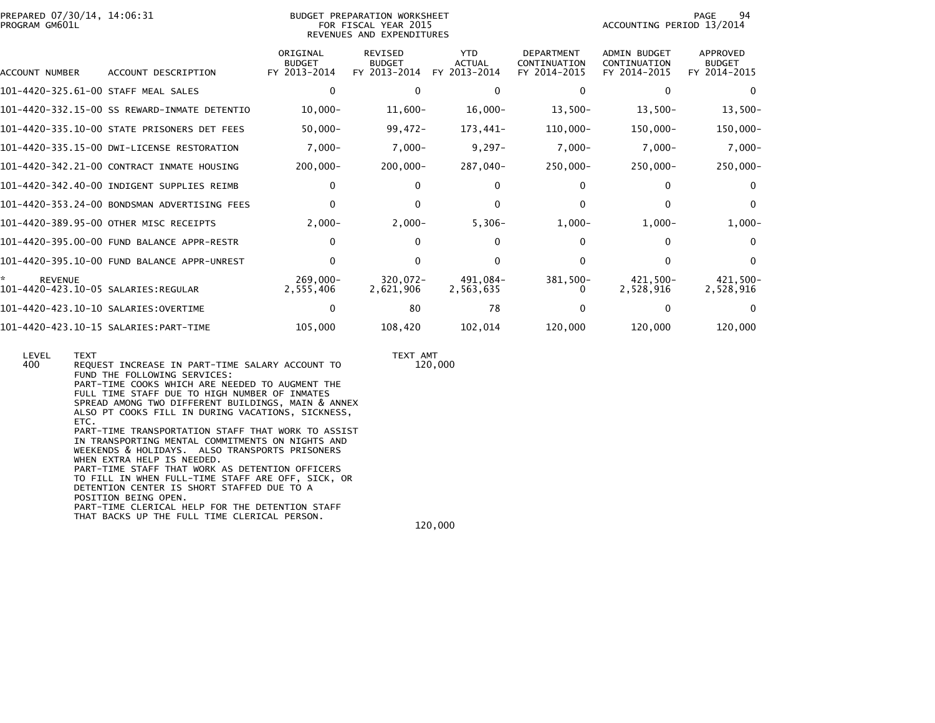| PREPARED 07/30/14, 14:06:31<br>PROGRAM GM601L              |                                              |                                           | BUDGET PREPARATION WORKSHEET<br>FOR FISCAL YEAR 2015<br>REVENUES AND EXPENDITURES | 94<br>PAGE<br>ACCOUNTING PERIOD 13/2014 |                                                   |                                              |                                           |
|------------------------------------------------------------|----------------------------------------------|-------------------------------------------|-----------------------------------------------------------------------------------|-----------------------------------------|---------------------------------------------------|----------------------------------------------|-------------------------------------------|
| ACCOUNT NUMBER                                             | ACCOUNT DESCRIPTION                          | ORIGINAL<br><b>BUDGET</b><br>FY 2013-2014 | <b>REVISED</b><br><b>BUDGET</b><br>FY 2013-2014                                   | <b>YTD</b><br>ACTUAL<br>FY 2013-2014    | <b>DEPARTMENT</b><br>CONTINUATION<br>FY 2014-2015 | ADMIN BUDGET<br>CONTINUATION<br>FY 2014-2015 | APPROVED<br><b>BUDGET</b><br>FY 2014-2015 |
| 101-4420-325.61-00 STAFF MEAL SALES                        |                                              | 0                                         | 0                                                                                 | 0                                       | 0                                                 | $\mathbf{0}$                                 | $\Omega$                                  |
|                                                            | 101-4420-332.15-00 SS REWARD-INMATE DETENTIO | $10,000 -$                                | 11,600-                                                                           | $16,000-$                               | $13,500-$                                         | $13,500-$                                    | $13,500-$                                 |
|                                                            | 101-4420-335.10-00 STATE PRISONERS DET FEES  | $50,000 -$                                | 99,472-                                                                           | 173,441-                                | $110,000 -$                                       | 150,000-                                     | $150,000 -$                               |
|                                                            | 101-4420-335.15-00 DWI-LICENSE RESTORATION   | $7,000 -$                                 | $7,000 -$                                                                         | $9,297-$                                | $7,000-$                                          | $7,000-$                                     | $7,000-$                                  |
|                                                            | 101-4420-342.21-00 CONTRACT INMATE HOUSING   | $200,000 -$                               | $200,000 -$                                                                       | -040, 287                               | $250,000 -$                                       | $250,000 -$                                  | $250,000 -$                               |
|                                                            | 101-4420-342.40-00 INDIGENT SUPPLIES REIMB   | 0                                         | $\Omega$                                                                          | 0                                       |                                                   | 0                                            | $\mathbf{0}$                              |
|                                                            | 101-4420-353.24-00 BONDSMAN ADVERTISING FEES | 0                                         | 0                                                                                 | $\Omega$                                |                                                   | $\Omega$                                     | $\mathbf{0}$                              |
|                                                            | 101-4420-389.95-00 OTHER MISC RECEIPTS       | $2,000-$                                  | $2,000-$                                                                          | $5,306-$                                | $1,000-$                                          | $1,000-$                                     | $1,000-$                                  |
|                                                            | 101-4420-395.00-00 FUND BALANCE APPR-RESTR   | 0                                         | 0                                                                                 | $\Omega$                                | 0                                                 | 0                                            | $\Omega$                                  |
|                                                            | 101-4420-395.10-00 FUND BALANCE APPR-UNREST  |                                           | 0                                                                                 | <sup>0</sup>                            | 0                                                 | 0                                            | $\Omega$                                  |
| *<br><b>REVENUE</b><br>101-4420-423.10-05 SALARIES:REGULAR |                                              | $269.000 -$<br>2,555,406                  | $320.072 -$<br>2,621,906                                                          | 491.084-<br>2,563,635                   | 381,500-                                          | 421,500-<br>2.528.916                        | 421,500-<br>2,528,916                     |
| 101-4420-423.10-10 SALARIES:OVERTIME                       |                                              |                                           | 80                                                                                | 78                                      |                                                   | 0                                            | $\Omega$                                  |
|                                                            | 101-4420-423.10-15 SALARIES:PART-TIME        | 105,000                                   | 108,420                                                                           | 102,014                                 | 120,000                                           | 120,000                                      | 120,000                                   |

 LEVEL TEXT TEXT AMT120,000 400 REQUEST INCREASE IN PART-TIME SALARY ACCOUNT TO FUND THE FOLLOWING SERVICES: PART-TIME COOKS WHICH ARE NEEDED TO AUGMENT THE FULL TIME STAFF DUE TO HIGH NUMBER OF INMATES SPREAD AMONG TWO DIFFERENT BUILDINGS, MAIN & ANNEX ALSO PT COOKS FILL IN DURING VACATIONS, SICKNESS, ETC. PART-TIME TRANSPORTATION STAFF THAT WORK TO ASSIST IN TRANSPORTING MENTAL COMMITMENTS ON NIGHTS AND WEEKENDS & HOLIDAYS. ALSO TRANSPORTS PRISONERS WHEN EXTRA HELP IS NEEDED. PART-TIME STAFF THAT WORK AS DETENTION OFFICERS TO FILL IN WHEN FULL-TIME STAFF ARE OFF, SICK, OR DETENTION CENTER IS SHORT STAFFED DUE TO A POSITION BEING OPEN. PART-TIME CLERICAL HELP FOR THE DETENTION STAFF THAT BACKS UP THE FULL TIME CLERICAL PERSON. $120,000$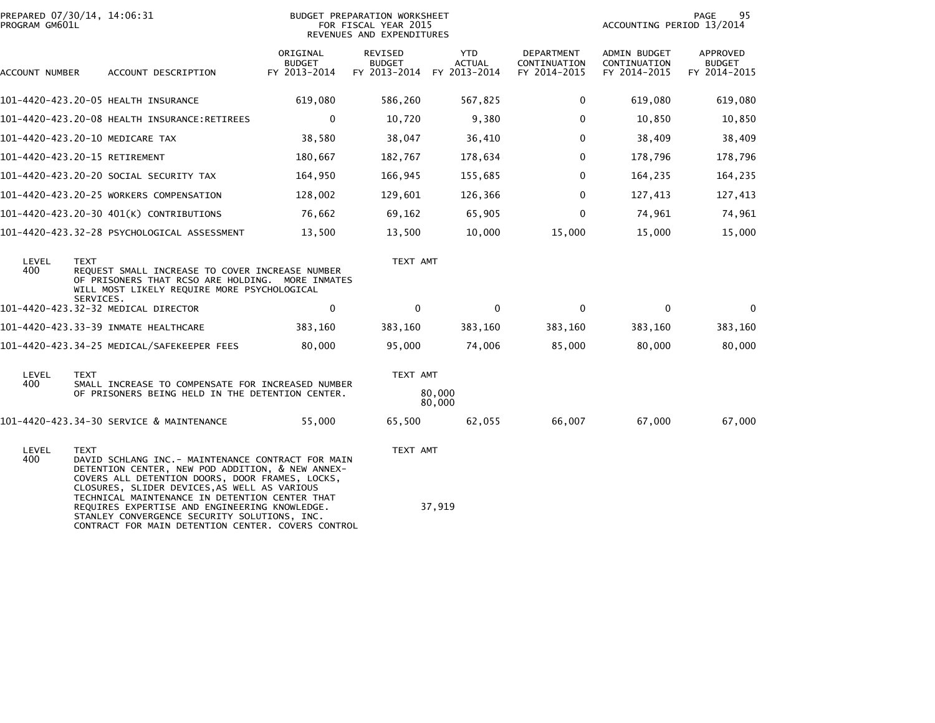| PROGRAM GM601L | PREPARED 07/30/14, 14:06:31                                                                                                                                                                                                                                                                                                                                                 |                                           | BUDGET PREPARATION WORKSHEET<br>FOR FISCAL YEAR 2015<br>REVENUES AND EXPENDITURES |                      |                                            | 95<br>PAGE<br>ACCOUNTING PERIOD 13/2014      |                                           |  |
|----------------|-----------------------------------------------------------------------------------------------------------------------------------------------------------------------------------------------------------------------------------------------------------------------------------------------------------------------------------------------------------------------------|-------------------------------------------|-----------------------------------------------------------------------------------|----------------------|--------------------------------------------|----------------------------------------------|-------------------------------------------|--|
| ACCOUNT NUMBER | ACCOUNT DESCRIPTION                                                                                                                                                                                                                                                                                                                                                         | ORIGINAL<br><b>BUDGET</b><br>FY 2013-2014 | REVISED<br><b>BUDGET</b><br>FY 2013-2014 FY 2013-2014                             | YTD<br><b>ACTUAL</b> | DEPARTMENT<br>CONTINUATION<br>FY 2014-2015 | ADMIN BUDGET<br>CONTINUATION<br>FY 2014-2015 | APPROVED<br><b>BUDGET</b><br>FY 2014-2015 |  |
|                | 101-4420-423.20-05 HEALTH INSURANCE                                                                                                                                                                                                                                                                                                                                         | 619,080                                   | 586,260                                                                           | 567,825              | $\mathbf 0$                                | 619,080                                      | 619,080                                   |  |
|                | 101-4420-423.20-08 HEALTH INSURANCE:RETIREES                                                                                                                                                                                                                                                                                                                                | $\mathbf 0$                               | 10,720                                                                            | 9,380                | $\mathbf 0$                                | 10,850                                       | 10,850                                    |  |
|                | 101-4420-423.20-10 MEDICARE TAX                                                                                                                                                                                                                                                                                                                                             | 38,580                                    | 38,047                                                                            | 36,410               | $\Omega$                                   | 38,409                                       | 38,409                                    |  |
|                | 101-4420-423.20-15 RETIREMENT                                                                                                                                                                                                                                                                                                                                               | 180,667                                   | 182,767                                                                           | 178,634              | $\mathbf{0}$                               | 178,796                                      | 178,796                                   |  |
|                | 101-4420-423.20-20 SOCIAL SECURITY TAX                                                                                                                                                                                                                                                                                                                                      | 164,950                                   | 166,945                                                                           | 155,685              | $\mathbf 0$                                | 164,235                                      | 164,235                                   |  |
|                | 101-4420-423.20-25 WORKERS COMPENSATION                                                                                                                                                                                                                                                                                                                                     | 128,002                                   | 129,601                                                                           | 126,366              | $\mathbf{0}$                               | 127,413                                      | 127,413                                   |  |
|                | 101-4420-423.20-30 401(K) CONTRIBUTIONS                                                                                                                                                                                                                                                                                                                                     | 76,662                                    | 69,162                                                                            | 65,905               | $\mathbf{0}$                               | 74,961                                       | 74,961                                    |  |
|                | 101-4420-423.32-28 PSYCHOLOGICAL ASSESSMENT                                                                                                                                                                                                                                                                                                                                 | 13,500                                    | 13,500                                                                            | 10,000               | 15,000                                     | 15,000                                       | 15,000                                    |  |
| LEVEL<br>400   | <b>TEXT</b><br>REQUEST SMALL INCREASE TO COVER INCREASE NUMBER<br>OF PRISONERS THAT RCSO ARE HOLDING. MORE INMATES<br>WILL MOST LIKELY REQUIRE MORE PSYCHOLOGICAL<br>SERVICES.                                                                                                                                                                                              |                                           | TEXT AMT                                                                          |                      |                                            |                                              |                                           |  |
|                | 101-4420-423.32-32 MEDICAL DIRECTOR                                                                                                                                                                                                                                                                                                                                         | $\mathbf 0$                               | $\mathbf{0}$                                                                      | $\mathbf{0}$         | $\mathbf{0}$                               | $\mathbf{0}$                                 | $\mathbf{0}$                              |  |
|                | 101-4420-423.33-39 INMATE HEALTHCARE                                                                                                                                                                                                                                                                                                                                        | 383,160                                   | 383,160                                                                           | 383,160              | 383,160                                    | 383,160                                      | 383,160                                   |  |
|                | 101-4420-423.34-25 MEDICAL/SAFEKEEPER FEES                                                                                                                                                                                                                                                                                                                                  | 80,000                                    | 95,000                                                                            | 74,006               | 85,000                                     | 80,000                                       | 80,000                                    |  |
| LEVEL          | <b>TEXT</b>                                                                                                                                                                                                                                                                                                                                                                 |                                           | TEXT AMT                                                                          |                      |                                            |                                              |                                           |  |
| 400            | SMALL INCREASE TO COMPENSATE FOR INCREASED NUMBER<br>OF PRISONERS BEING HELD IN THE DETENTION CENTER.                                                                                                                                                                                                                                                                       |                                           |                                                                                   | 80,000<br>80,000     |                                            |                                              |                                           |  |
|                | 101-4420-423.34-30 SERVICE & MAINTENANCE                                                                                                                                                                                                                                                                                                                                    | 55,000                                    | 65,500                                                                            | 62,055               | 66,007                                     | 67,000                                       | 67,000                                    |  |
| LEVEL<br>400   | <b>TEXT</b><br>DAVID SCHLANG INC. - MAINTENANCE CONTRACT FOR MAIN<br>DETENTION CENTER, NEW POD ADDITION, & NEW ANNEX-<br>COVERS ALL DETENTION DOORS, DOOR FRAMES, LOCKS,<br>CLOSURES, SLIDER DEVICES, AS WELL AS VARIOUS<br>TECHNICAL MAINTENANCE IN DETENTION CENTER THAT<br>REQUIRES EXPERTISE AND ENGINEERING KNOWLEDGE.<br>STANLEY CONVERGENCE SECURITY SOLUTIONS, INC. |                                           | TEXT AMT                                                                          | 37,919               |                                            |                                              |                                           |  |
|                | CONTRACT FOR MAIN DETENTION CENTER. COVERS CONTROL                                                                                                                                                                                                                                                                                                                          |                                           |                                                                                   |                      |                                            |                                              |                                           |  |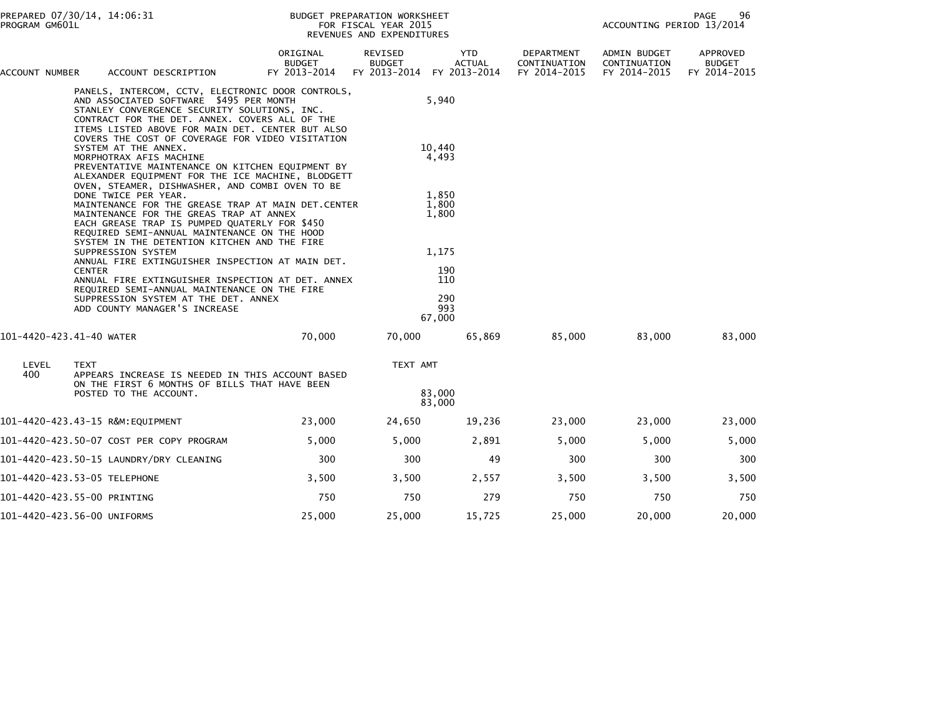| ACCOUNT NUMBER                                                                                                        | ACCOUNT DESCRIPTION                                                                                                                                                                                                                                                       | ORIGINAL<br><b>BUDGET</b><br>FY 2013-2014 | REVISED<br><b>BUDGET</b><br>FY 2013-2014 | <b>YTD</b><br><b>ACTUAL</b><br>FY 2013-2014 | DEPARTMENT<br>CONTINUATION<br>FY 2014-2015 | <b>ADMIN BUDGET</b><br>CONTINUATION<br>FY 2014-2015 | APPROVED<br><b>BUDGET</b><br>FY 2014-2015 |
|-----------------------------------------------------------------------------------------------------------------------|---------------------------------------------------------------------------------------------------------------------------------------------------------------------------------------------------------------------------------------------------------------------------|-------------------------------------------|------------------------------------------|---------------------------------------------|--------------------------------------------|-----------------------------------------------------|-------------------------------------------|
|                                                                                                                       | PANELS, INTERCOM, CCTV, ELECTRONIC DOOR CONTROLS,<br>AND ASSOCIATED SOFTWARE \$495 PER MONTH<br>STANLEY CONVERGENCE SECURITY SOLUTIONS, INC.<br>CONTRACT FOR THE DET. ANNEX. COVERS ALL OF THE<br>ITEMS LISTED ABOVE FOR MAIN DET. CENTER BUT ALSO                        |                                           |                                          | 5,940                                       |                                            |                                                     |                                           |
|                                                                                                                       | COVERS THE COST OF COVERAGE FOR VIDEO VISITATION<br>SYSTEM AT THE ANNEX.<br>MORPHOTRAX AFIS MACHINE<br>PREVENTATIVE MAINTENANCE ON KITCHEN EQUIPMENT BY<br>ALEXANDER EQUIPMENT FOR THE ICE MACHINE, BLODGETT                                                              |                                           |                                          | 10.440<br>4,493                             |                                            |                                                     |                                           |
|                                                                                                                       | OVEN, STEAMER, DISHWASHER, AND COMBI OVEN TO BE<br>DONE TWICE PER YEAR.<br>MAINTENANCE FOR THE GREASE TRAP AT MAIN DET.CENTER<br>MAINTENANCE FOR THE GREAS TRAP AT ANNEX<br>EACH GREASE TRAP IS PUMPED QUATERLY FOR \$450<br>REQUIRED SEMI-ANNUAL MAINTENANCE ON THE HOOD |                                           |                                          | 1,850<br>1,800<br>1,800                     |                                            |                                                     |                                           |
|                                                                                                                       | SYSTEM IN THE DETENTION KITCHEN AND THE FIRE<br>SUPPRESSION SYSTEM<br>ANNUAL FIRE EXTINGUISHER INSPECTION AT MAIN DET.<br><b>CENTER</b><br>ANNUAL FIRE EXTINGUISHER INSPECTION AT DET. ANNEX                                                                              |                                           |                                          | 1,175<br>190<br>110                         |                                            |                                                     |                                           |
| REQUIRED SEMI-ANNUAL MAINTENANCE ON THE FIRE<br>SUPPRESSION SYSTEM AT THE DET. ANNEX<br>ADD COUNTY MANAGER'S INCREASE |                                                                                                                                                                                                                                                                           |                                           | 290<br>993<br>67,000                     |                                             |                                            |                                                     |                                           |
| 101-4420-423.41-40 WATER                                                                                              |                                                                                                                                                                                                                                                                           | 70,000                                    | 70,000                                   | 65,869                                      | 85,000                                     | 83,000                                              | 83,000                                    |
| LEVEL<br>400                                                                                                          | <b>TEXT</b><br>APPEARS INCREASE IS NEEDED IN THIS ACCOUNT BASED<br>ON THE FIRST 6 MONTHS OF BILLS THAT HAVE BEEN                                                                                                                                                          |                                           | TEXT AMT                                 |                                             |                                            |                                                     |                                           |
|                                                                                                                       | POSTED TO THE ACCOUNT.                                                                                                                                                                                                                                                    |                                           |                                          | 83,000<br>83,000                            |                                            |                                                     |                                           |
|                                                                                                                       | 101-4420-423.43-15 R&M:EQUIPMENT                                                                                                                                                                                                                                          | 23,000                                    | 24,650                                   | 19,236                                      | 23,000                                     | 23,000                                              | 23,000                                    |
|                                                                                                                       | 101-4420-423.50-07 COST PER COPY PROGRAM                                                                                                                                                                                                                                  | 5,000                                     | 5,000                                    | 2,891                                       | 5,000                                      | 5,000                                               | 5,000                                     |
|                                                                                                                       | 101-4420-423.50-15 LAUNDRY/DRY CLEANING                                                                                                                                                                                                                                   | 300                                       | 300                                      | 49                                          | 300                                        | 300                                                 | 300                                       |
|                                                                                                                       | 101-4420-423.53-05 TELEPHONE                                                                                                                                                                                                                                              | 3,500                                     | 3,500                                    | 2,557                                       | 3,500                                      | 3,500                                               | 3,500                                     |
|                                                                                                                       | 101-4420-423.55-00 PRINTING                                                                                                                                                                                                                                               | 750                                       | 750                                      | 279                                         | 750                                        | 750                                                 | 750                                       |
|                                                                                                                       | 101-4420-423.56-00 UNIFORMS                                                                                                                                                                                                                                               | 25,000                                    | 25,000                                   | 15,725                                      | 25,000                                     | 20,000                                              | 20,000                                    |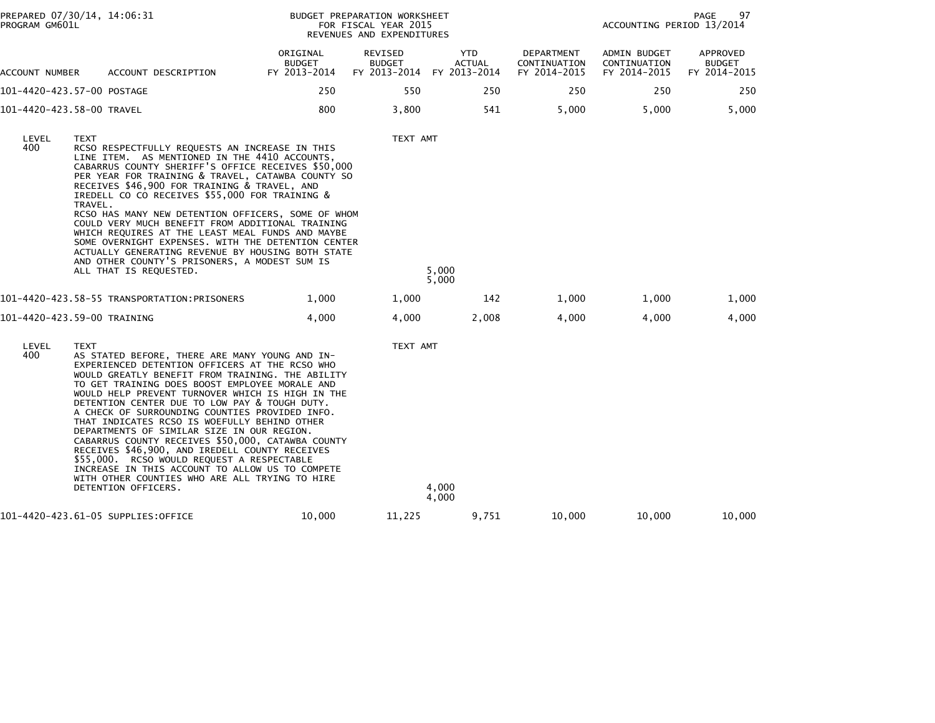| PREPARED 07/30/14, 14:06:31<br>PROGRAM GM601L |                        |                                                                                                                                                                                                                                                                                                                                                                                                                                                                                                                                                                                                                                                                                                                                              |                                           | BUDGET PREPARATION WORKSHEET<br>FOR FISCAL YEAR 2015<br>REVENUES AND EXPENDITURES |                                      |                                            | ACCOUNTING PERIOD 13/2014                    | 97<br>PAGE                                |
|-----------------------------------------------|------------------------|----------------------------------------------------------------------------------------------------------------------------------------------------------------------------------------------------------------------------------------------------------------------------------------------------------------------------------------------------------------------------------------------------------------------------------------------------------------------------------------------------------------------------------------------------------------------------------------------------------------------------------------------------------------------------------------------------------------------------------------------|-------------------------------------------|-----------------------------------------------------------------------------------|--------------------------------------|--------------------------------------------|----------------------------------------------|-------------------------------------------|
| ACCOUNT NUMBER                                |                        | ACCOUNT DESCRIPTION                                                                                                                                                                                                                                                                                                                                                                                                                                                                                                                                                                                                                                                                                                                          | ORIGINAL<br><b>BUDGET</b><br>FY 2013-2014 | <b>REVISED</b><br><b>BUDGET</b><br>FY 2013-2014                                   | YTD<br><b>ACTUAL</b><br>FY 2013-2014 | DEPARTMENT<br>CONTINUATION<br>FY 2014-2015 | ADMIN BUDGET<br>CONTINUATION<br>FY 2014-2015 | APPROVED<br><b>BUDGET</b><br>FY 2014-2015 |
| 101-4420-423.57-00 POSTAGE                    |                        |                                                                                                                                                                                                                                                                                                                                                                                                                                                                                                                                                                                                                                                                                                                                              | 250                                       | 550                                                                               | 250                                  | 250                                        | 250                                          | 250                                       |
| 101-4420-423.58-00 TRAVEL                     |                        |                                                                                                                                                                                                                                                                                                                                                                                                                                                                                                                                                                                                                                                                                                                                              | 800                                       | 3,800                                                                             | 541                                  | 5,000                                      | 5,000                                        | 5,000                                     |
| LEVEL<br>400                                  | <b>TEXT</b><br>TRAVEL. | RCSO RESPECTFULLY REQUESTS AN INCREASE IN THIS<br>LINE ITEM. AS MENTIONED IN THE 4410 ACCOUNTS,<br>CABARRUS COUNTY SHERIFF'S OFFICE RECEIVES \$50,000<br>PER YEAR FOR TRAINING & TRAVEL, CATAWBA COUNTY SO<br>RECEIVES \$46,900 FOR TRAINING & TRAVEL, AND<br>IREDELL CO CO RECEIVES \$55,000 FOR TRAINING &<br>RCSO HAS MANY NEW DETENTION OFFICERS, SOME OF WHOM<br>COULD VERY MUCH BENEFIT FROM ADDITIONAL TRAINING<br>WHICH REQUIRES AT THE LEAST MEAL FUNDS AND MAYBE<br>SOME OVERNIGHT EXPENSES. WITH THE DETENTION CENTER<br>ACTUALLY GENERATING REVENUE BY HOUSING BOTH STATE<br>AND OTHER COUNTY'S PRISONERS, A MODEST SUM IS<br>ALL THAT IS REQUESTED.                                                                             |                                           | TEXT AMT                                                                          | 5,000<br>5,000                       |                                            |                                              |                                           |
|                                               |                        | 101-4420-423.58-55 TRANSPORTATION:PRISONERS                                                                                                                                                                                                                                                                                                                                                                                                                                                                                                                                                                                                                                                                                                  | 1,000                                     | 1,000                                                                             | 142                                  | 1,000                                      | 1,000                                        | 1,000                                     |
| 101-4420-423.59-00 TRAINING                   |                        |                                                                                                                                                                                                                                                                                                                                                                                                                                                                                                                                                                                                                                                                                                                                              | 4,000                                     | 4,000                                                                             | 2,008                                | 4,000                                      | 4,000                                        | 4,000                                     |
| LEVEL<br>400                                  | <b>TEXT</b>            | AS STATED BEFORE, THERE ARE MANY YOUNG AND IN-<br>EXPERIENCED DETENTION OFFICERS AT THE RCSO WHO<br>WOULD GREATLY BENEFIT FROM TRAINING. THE ABILITY<br>TO GET TRAINING DOES BOOST EMPLOYEE MORALE AND<br>WOULD HELP PREVENT TURNOVER WHICH IS HIGH IN THE<br>DETENTION CENTER DUE TO LOW PAY & TOUGH DUTY.<br>A CHECK OF SURROUNDING COUNTIES PROVIDED INFO.<br>THAT INDICATES RCSO IS WOEFULLY BEHIND OTHER<br>DEPARTMENTS OF SIMILAR SIZE IN OUR REGION.<br>CABARRUS COUNTY RECEIVES \$50,000, CATAWBA COUNTY<br>RECEIVES \$46,900, AND IREDELL COUNTY RECEIVES<br>\$55,000. RCSO WOULD REQUEST A RESPECTABLE<br>INCREASE IN THIS ACCOUNT TO ALLOW US TO COMPETE<br>WITH OTHER COUNTIES WHO ARE ALL TRYING TO HIRE<br>DETENTION OFFICERS. |                                           | TEXT AMT                                                                          | 4,000<br>4,000                       |                                            |                                              |                                           |
|                                               |                        | 101-4420-423.61-05 SUPPLIES:OFFICE                                                                                                                                                                                                                                                                                                                                                                                                                                                                                                                                                                                                                                                                                                           | 10,000                                    | 11,225                                                                            | 9,751                                | 10,000                                     | 10,000                                       | 10,000                                    |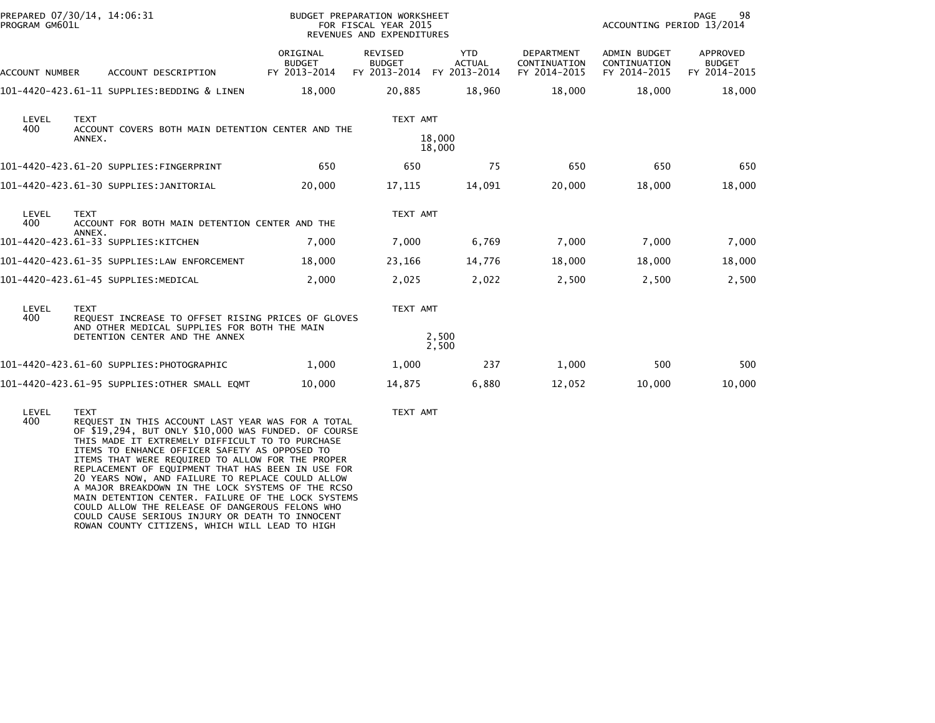| PROGRAM GM601L | PREPARED 07/30/14, 14:06:31                                                                                                                         | <b>BUDGET PREPARATION WORKSHEET</b><br>FOR FISCAL YEAR 2015<br>REVENUES AND EXPENDITURES |                                                 |                                             |                                                   | 98<br>PAGE<br>ACCOUNTING PERIOD 13/2014             |                                           |  |
|----------------|-----------------------------------------------------------------------------------------------------------------------------------------------------|------------------------------------------------------------------------------------------|-------------------------------------------------|---------------------------------------------|---------------------------------------------------|-----------------------------------------------------|-------------------------------------------|--|
| ACCOUNT NUMBER | ACCOUNT DESCRIPTION                                                                                                                                 | ORIGINAL<br><b>BUDGET</b><br>FY 2013-2014                                                | <b>REVISED</b><br><b>BUDGET</b><br>FY 2013-2014 | <b>YTD</b><br><b>ACTUAL</b><br>FY 2013-2014 | <b>DEPARTMENT</b><br>CONTINUATION<br>FY 2014-2015 | <b>ADMIN BUDGET</b><br>CONTINUATION<br>FY 2014-2015 | APPROVED<br><b>BUDGET</b><br>FY 2014-2015 |  |
|                | 101-4420-423.61-11 SUPPLIES:BEDDING & LINEN                                                                                                         | 18,000                                                                                   | 20,885                                          | 18,960                                      | 18,000                                            | 18,000                                              | 18,000                                    |  |
| LEVEL<br>400   | <b>TEXT</b><br>ACCOUNT COVERS BOTH MAIN DETENTION CENTER AND THE<br>ANNEX.                                                                          |                                                                                          | TEXT AMT                                        | 18,000<br>18,000                            |                                                   |                                                     |                                           |  |
|                | 101-4420-423.61-20 SUPPLIES:FINGERPRINT                                                                                                             | 650                                                                                      | 650                                             | 75                                          | 650                                               | 650                                                 | 650                                       |  |
|                | 101-4420-423.61-30 SUPPLIES:JANITORIAL                                                                                                              | 20,000                                                                                   | 17,115                                          | 14,091                                      | 20,000                                            | 18,000                                              | 18,000                                    |  |
| LEVEL<br>400   | TEXT AMT<br><b>TEXT</b><br>ACCOUNT FOR BOTH MAIN DETENTION CENTER AND THE                                                                           |                                                                                          |                                                 |                                             |                                                   |                                                     |                                           |  |
|                | ANNEX.<br>101-4420-423.61-33 SUPPLIES:KITCHEN                                                                                                       | 7,000                                                                                    | 7,000                                           | 6,769                                       | 7,000                                             | 7,000                                               | 7,000                                     |  |
|                | 101-4420-423.61-35 SUPPLIES:LAW ENFORCEMENT                                                                                                         | 18,000                                                                                   | 23,166                                          | 14,776                                      | 18,000                                            | 18,000                                              | 18,000                                    |  |
|                | 101-4420-423.61-45 SUPPLIES:MEDICAL                                                                                                                 | 2,000                                                                                    | 2,025                                           | 2,022                                       | 2,500                                             | 2,500                                               | 2,500                                     |  |
| LEVEL<br>400   | <b>TEXT</b><br>REQUEST INCREASE TO OFFSET RISING PRICES OF GLOVES<br>AND OTHER MEDICAL SUPPLIES FOR BOTH THE MAIN<br>DETENTION CENTER AND THE ANNEX |                                                                                          | TEXT AMT                                        | 2,500                                       |                                                   |                                                     |                                           |  |
|                |                                                                                                                                                     |                                                                                          |                                                 | 2,500                                       |                                                   |                                                     |                                           |  |
|                | 101-4420-423.61-60 SUPPLIES:PHOTOGRAPHIC                                                                                                            | 1,000                                                                                    | 1,000                                           | 237                                         | 1,000                                             | 500                                                 | 500                                       |  |
|                | 101-4420-423.61-95 SUPPLIES:OTHER SMALL EOMT                                                                                                        | 10,000                                                                                   | 14,875                                          | 6,880                                       | 12,052                                            | 10,000                                              | 10,000                                    |  |
|                |                                                                                                                                                     |                                                                                          |                                                 |                                             |                                                   |                                                     |                                           |  |

 LEVEL TEXT TEXT AMT 400 REQUEST IN THIS ACCOUNT LAST YEAR WAS FOR A TOTAL OF \$19,294, BUT ONLY \$10,000 WAS FUNDED. OF COURSE THIS MADE IT EXTREMELY DIFFICULT TO TO PURCHASE ITEMS TO ENHANCE OFFICER SAFETY AS OPPOSED TO ITEMS THAT WERE REQUIRED TO ALLOW FOR THE PROPER REPLACEMENT OF EQUIPMENT THAT HAS BEEN IN USE FOR 20 YEARS NOW, AND FAILURE TO REPLACE COULD ALLOW A MAJOR BREAKDOWN IN THE LOCK SYSTEMS OF THE RCSO MAIN DETENTION CENTER. FAILURE OF THE LOCK SYSTEMS COULD ALLOW THE RELEASE OF DANGEROUS FELONS WHOCOULD CAUSE SERIOUS INJURY OR DEATH TO INNOCENT ROWAN COUNTY CITIZENS, WHICH WILL LEAD TO HIGH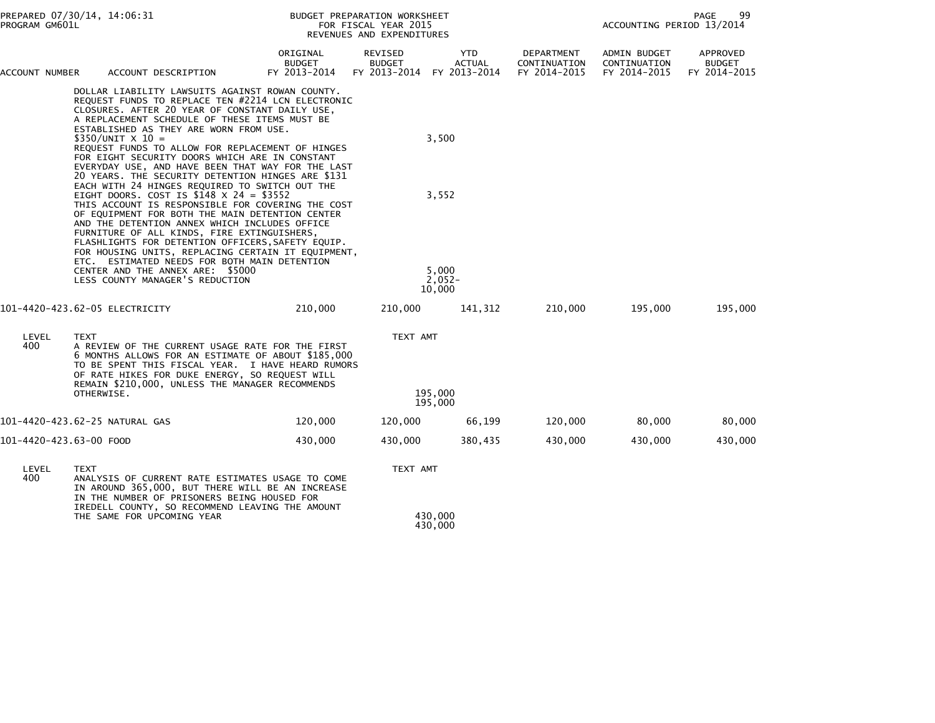| PROGRAM GM601L                 | PREPARED 07/30/14, 14:06:31 |                                                                                                                                                                                                                                                                                                                                                                                                                                                                                              |                                           | BUDGET PREPARATION WORKSHEET<br>FOR FISCAL YEAR 2015<br>REVENUES AND EXPENDITURES | 99<br><b>PAGE</b><br>ACCOUNTING PERIOD 13/2014 |                                            |                                              |                                           |
|--------------------------------|-----------------------------|----------------------------------------------------------------------------------------------------------------------------------------------------------------------------------------------------------------------------------------------------------------------------------------------------------------------------------------------------------------------------------------------------------------------------------------------------------------------------------------------|-------------------------------------------|-----------------------------------------------------------------------------------|------------------------------------------------|--------------------------------------------|----------------------------------------------|-------------------------------------------|
| ACCOUNT NUMBER                 |                             | ACCOUNT DESCRIPTION                                                                                                                                                                                                                                                                                                                                                                                                                                                                          | ORIGINAL<br><b>BUDGET</b><br>FY 2013-2014 | REVISED<br><b>BUDGET</b><br>FY 2013-2014                                          | <b>YTD</b><br><b>ACTUAL</b><br>FY 2013-2014    | DEPARTMENT<br>CONTINUATION<br>FY 2014-2015 | ADMIN BUDGET<br>CONTINUATION<br>FY 2014-2015 | APPROVED<br><b>BUDGET</b><br>FY 2014-2015 |
|                                |                             | DOLLAR LIABILITY LAWSUITS AGAINST ROWAN COUNTY.<br>REQUEST FUNDS TO REPLACE TEN #2214 LCN ELECTRONIC<br>CLOSURES. AFTER 20 YEAR OF CONSTANT DAILY USE,<br>A REPLACEMENT SCHEDULE OF THESE ITEMS MUST BE<br>ESTABLISHED AS THEY ARE WORN FROM USE.<br>$$350/UNIT \times 10 =$<br>REQUEST FUNDS TO ALLOW FOR REPLACEMENT OF HINGES<br>FOR EIGHT SECURITY DOORS WHICH ARE IN CONSTANT<br>EVERYDAY USE, AND HAVE BEEN THAT WAY FOR THE LAST<br>20 YEARS. THE SECURITY DETENTION HINGES ARE \$131 |                                           |                                                                                   | 3,500                                          |                                            |                                              |                                           |
|                                |                             | EACH WITH 24 HINGES REQUIRED TO SWITCH OUT THE<br>EIGHT DOORS. COST IS $$148 \times 24 = $3552$<br>THIS ACCOUNT IS RESPONSIBLE FOR COVERING THE COST<br>OF EQUIPMENT FOR BOTH THE MAIN DETENTION CENTER<br>AND THE DETENTION ANNEX WHICH INCLUDES OFFICE<br>FURNITURE OF ALL KINDS, FIRE EXTINGUISHERS,<br>FLASHLIGHTS FOR DETENTION OFFICERS, SAFETY EQUIP.<br>FOR HOUSING UNITS, REPLACING CERTAIN IT EQUIPMENT,<br>ETC. ESTIMATED NEEDS FOR BOTH MAIN DETENTION                           |                                           |                                                                                   | 3,552                                          |                                            |                                              |                                           |
|                                |                             | CENTER AND THE ANNEX ARE: \$5000<br>LESS COUNTY MANAGER'S REDUCTION                                                                                                                                                                                                                                                                                                                                                                                                                          |                                           |                                                                                   | 5,000<br>$2,052-$<br>10,000                    |                                            |                                              |                                           |
| 101-4420-423.62-05 ELECTRICITY |                             |                                                                                                                                                                                                                                                                                                                                                                                                                                                                                              | 210,000                                   | 210,000                                                                           | 141,312                                        | 210,000                                    | 195,000                                      | 195,000                                   |
| LEVEL<br>400                   | <b>TEXT</b>                 | A REVIEW OF THE CURRENT USAGE RATE FOR THE FIRST<br>6 MONTHS ALLOWS FOR AN ESTIMATE OF ABOUT \$185,000<br>TO BE SPENT THIS FISCAL YEAR. I HAVE HEARD RUMORS<br>OF RATE HIKES FOR DUKE ENERGY, SO REQUEST WILL<br>REMAIN \$210,000, UNLESS THE MANAGER RECOMMENDS                                                                                                                                                                                                                             |                                           | TEXT AMT                                                                          |                                                |                                            |                                              |                                           |
|                                | OTHERWISE.                  |                                                                                                                                                                                                                                                                                                                                                                                                                                                                                              |                                           |                                                                                   | 195,000<br>195,000                             |                                            |                                              |                                           |
| 101-4420-423.62-25 NATURAL GAS |                             |                                                                                                                                                                                                                                                                                                                                                                                                                                                                                              | 120,000                                   | 120,000                                                                           | 66,199                                         | 120,000                                    | 80,000                                       | 80,000                                    |
| 101-4420-423.63-00 FOOD        |                             |                                                                                                                                                                                                                                                                                                                                                                                                                                                                                              | 430,000                                   | 430,000                                                                           | 380,435                                        | 430,000                                    | 430,000                                      | 430,000                                   |
| LEVEL<br>400                   | <b>TEXT</b>                 | ANALYSIS OF CURRENT RATE ESTIMATES USAGE TO COME<br>IN AROUND 365,000, BUT THERE WILL BE AN INCREASE<br>IN THE NUMBER OF PRISONERS BEING HOUSED FOR<br>IREDELL COUNTY, SO RECOMMEND LEAVING THE AMOUNT                                                                                                                                                                                                                                                                                       |                                           | TEXT AMT                                                                          |                                                |                                            |                                              |                                           |
|                                |                             | THE SAME FOR UPCOMING YEAR                                                                                                                                                                                                                                                                                                                                                                                                                                                                   |                                           |                                                                                   | 430,000<br>430,000                             |                                            |                                              |                                           |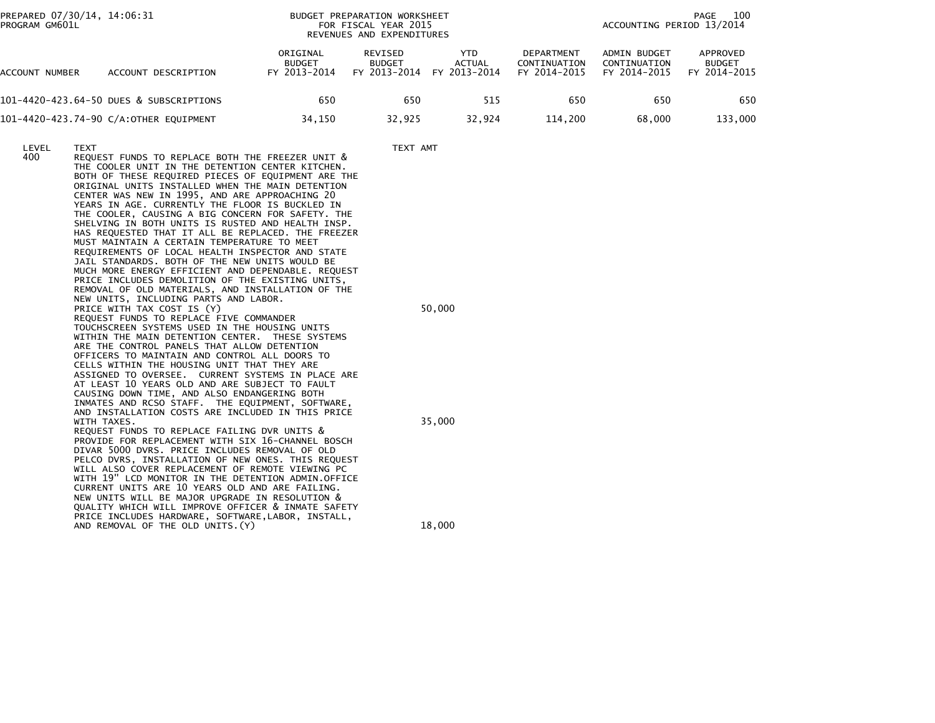| PREPARED 07/30/14, 14:06:31<br>PROGRAM GM601L |                            |                                                                                                                                                                                                                                                                                                                                                                                                                                                                                                                                                                                                                                                                                                                                                                                                                                |                                                                                                                                                                                                                                                                                                                                                                                                                                                                                                                                                                                                                                                                                                                                                                                                                                                                                                                                                                                                                                                                                                                                                     | BUDGET PREPARATION WORKSHEET<br>FOR FISCAL YEAR 2015<br>REVENUES AND EXPENDITURES |                  |               |                                            | ACCOUNTING PERIOD 13/2014                    | PAGE<br>100                               |
|-----------------------------------------------|----------------------------|--------------------------------------------------------------------------------------------------------------------------------------------------------------------------------------------------------------------------------------------------------------------------------------------------------------------------------------------------------------------------------------------------------------------------------------------------------------------------------------------------------------------------------------------------------------------------------------------------------------------------------------------------------------------------------------------------------------------------------------------------------------------------------------------------------------------------------|-----------------------------------------------------------------------------------------------------------------------------------------------------------------------------------------------------------------------------------------------------------------------------------------------------------------------------------------------------------------------------------------------------------------------------------------------------------------------------------------------------------------------------------------------------------------------------------------------------------------------------------------------------------------------------------------------------------------------------------------------------------------------------------------------------------------------------------------------------------------------------------------------------------------------------------------------------------------------------------------------------------------------------------------------------------------------------------------------------------------------------------------------------|-----------------------------------------------------------------------------------|------------------|---------------|--------------------------------------------|----------------------------------------------|-------------------------------------------|
| ACCOUNT NUMBER                                |                            | ACCOUNT DESCRIPTION                                                                                                                                                                                                                                                                                                                                                                                                                                                                                                                                                                                                                                                                                                                                                                                                            | ORIGINAL<br><b>BUDGET</b><br>FY 2013-2014                                                                                                                                                                                                                                                                                                                                                                                                                                                                                                                                                                                                                                                                                                                                                                                                                                                                                                                                                                                                                                                                                                           | REVISED<br><b>BUDGET</b><br>FY 2013-2014 FY 2013-2014                             |                  | YTD<br>ACTUAL | DEPARTMENT<br>CONTINUATION<br>FY 2014-2015 | ADMIN BUDGET<br>CONTINUATION<br>FY 2014-2015 | APPROVED<br><b>BUDGET</b><br>FY 2014-2015 |
|                                               |                            | 101-4420-423.64-50 DUES & SUBSCRIPTIONS                                                                                                                                                                                                                                                                                                                                                                                                                                                                                                                                                                                                                                                                                                                                                                                        | 650                                                                                                                                                                                                                                                                                                                                                                                                                                                                                                                                                                                                                                                                                                                                                                                                                                                                                                                                                                                                                                                                                                                                                 | 650                                                                               |                  | 515           | 650                                        | 650                                          | 650                                       |
|                                               |                            | 101-4420-423.74-90 C/A:OTHER EQUIPMENT                                                                                                                                                                                                                                                                                                                                                                                                                                                                                                                                                                                                                                                                                                                                                                                         | 34,150                                                                                                                                                                                                                                                                                                                                                                                                                                                                                                                                                                                                                                                                                                                                                                                                                                                                                                                                                                                                                                                                                                                                              | 32,925                                                                            |                  | 32,924        | 114,200                                    | 68,000                                       | 133,000                                   |
| LEVEL<br>400                                  | <b>TEXT</b><br>WITH TAXES. | CENTER WAS NEW IN 1995, AND ARE APPROACHING 20<br>YEARS IN AGE. CURRENTLY THE FLOOR IS BUCKLED IN<br>MUST MAINTAIN A CERTAIN TEMPERATURE TO MEET<br>JAIL STANDARDS. BOTH OF THE NEW UNITS WOULD BE<br>NEW UNITS, INCLUDING PARTS AND LABOR.<br>PRICE WITH TAX COST IS (Y)<br>REQUEST FUNDS TO REPLACE FIVE COMMANDER<br>TOUCHSCREEN SYSTEMS USED IN THE HOUSING UNITS<br>ARE THE CONTROL PANELS THAT ALLOW DETENTION<br>OFFICERS TO MAINTAIN AND CONTROL ALL DOORS TO<br>CELLS WITHIN THE HOUSING UNIT THAT THEY ARE<br>AT LEAST 10 YEARS OLD AND ARE SUBJECT TO FAULT<br>CAUSING DOWN TIME, AND ALSO ENDANGERING BOTH<br>REQUEST FUNDS TO REPLACE FAILING DVR UNITS &<br>DIVAR 5000 DVRS. PRICE INCLUDES REMOVAL OF OLD<br>CURRENT UNITS ARE 10 YEARS OLD AND ARE FAILING.<br>NEW UNITS WILL BE MAJOR UPGRADE IN RESOLUTION & | REQUEST FUNDS TO REPLACE BOTH THE FREEZER UNIT &<br>THE COOLER UNIT IN THE DETENTION CENTER KITCHEN.<br>BOTH OF THESE REQUIRED PIECES OF EQUIPMENT ARE THE<br>ORIGINAL UNITS INSTALLED WHEN THE MAIN DETENTION<br>THE COOLER, CAUSING A BIG CONCERN FOR SAFETY. THE<br>SHELVING IN BOTH UNITS IS RUSTED AND HEALTH INSP.<br>HAS REQUESTED THAT IT ALL BE REPLACED. THE FREEZER<br>REQUIREMENTS OF LOCAL HEALTH INSPECTOR AND STATE<br>MUCH MORE ENERGY EFFICIENT AND DEPENDABLE. REQUEST<br>PRICE INCLUDES DEMOLITION OF THE EXISTING UNITS,<br>REMOVAL OF OLD MATERIALS, AND INSTALLATION OF THE<br>WITHIN THE MAIN DETENTION CENTER. THESE SYSTEMS<br>ASSIGNED TO OVERSEE. CURRENT SYSTEMS IN PLACE ARE<br>INMATES AND RCSO STAFF. THE EQUIPMENT, SOFTWARE,<br>AND INSTALLATION COSTS ARE INCLUDED IN THIS PRICE<br>PROVIDE FOR REPLACEMENT WITH SIX 16-CHANNEL BOSCH<br>PELCO DVRS, INSTALLATION OF NEW ONES. THIS REQUEST<br>WILL ALSO COVER REPLACEMENT OF REMOTE VIEWING PC<br>WITH 19" LCD MONITOR IN THE DETENTION ADMIN.OFFICE<br>QUALITY WHICH WILL IMPROVE OFFICER & INMATE SAFETY<br>PRICE INCLUDES HARDWARE, SOFTWARE, LABOR, INSTALL, | TEXT AMT                                                                          | 50,000<br>35,000 |               |                                            |                                              |                                           |
|                                               |                            | AND REMOVAL OF THE OLD UNITS. (Y)                                                                                                                                                                                                                                                                                                                                                                                                                                                                                                                                                                                                                                                                                                                                                                                              |                                                                                                                                                                                                                                                                                                                                                                                                                                                                                                                                                                                                                                                                                                                                                                                                                                                                                                                                                                                                                                                                                                                                                     |                                                                                   | 18,000           |               |                                            |                                              |                                           |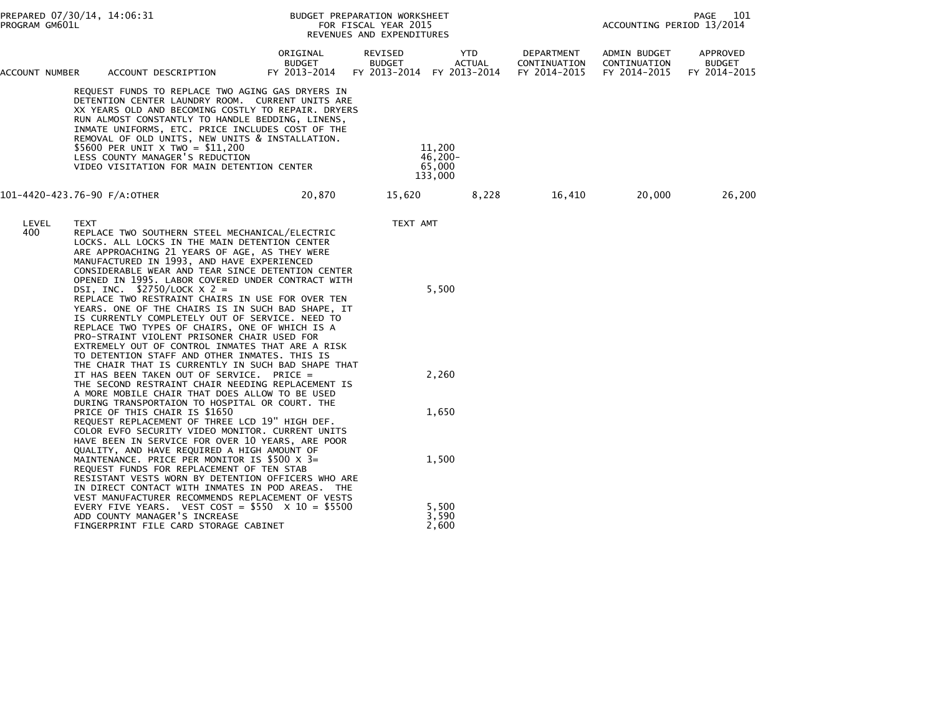| PROGRAM GM601L | PREPARED 07/30/14, 14:06:31                                                                                                                                                                                                                                                                                                                                                                                                                                                                                                                                                                                                                                                                                                                                              |                                           | BUDGET PREPARATION WORKSHEET<br>FOR FISCAL YEAR 2015<br>REVENUES AND EXPENDITURES |                                                   |                                            | 101<br>PAGE<br>ACCOUNTING PERIOD 13/2014     |                                           |  |
|----------------|--------------------------------------------------------------------------------------------------------------------------------------------------------------------------------------------------------------------------------------------------------------------------------------------------------------------------------------------------------------------------------------------------------------------------------------------------------------------------------------------------------------------------------------------------------------------------------------------------------------------------------------------------------------------------------------------------------------------------------------------------------------------------|-------------------------------------------|-----------------------------------------------------------------------------------|---------------------------------------------------|--------------------------------------------|----------------------------------------------|-------------------------------------------|--|
| ACCOUNT NUMBER | ACCOUNT DESCRIPTION                                                                                                                                                                                                                                                                                                                                                                                                                                                                                                                                                                                                                                                                                                                                                      | ORIGINAL<br><b>BUDGET</b><br>FY 2013-2014 | REVISED<br><b>BUDGET</b>                                                          | YTD<br><b>ACTUAL</b><br>FY 2013-2014 FY 2013-2014 | DEPARTMENT<br>CONTINUATION<br>FY 2014-2015 | ADMIN BUDGET<br>CONTINUATION<br>FY 2014-2015 | APPROVED<br><b>BUDGET</b><br>FY 2014-2015 |  |
|                | REQUEST FUNDS TO REPLACE TWO AGING GAS DRYERS IN<br>DETENTION CENTER LAUNDRY ROOM. CURRENT UNITS ARE<br>XX YEARS OLD AND BECOMING COSTLY TO REPAIR. DRYERS<br>RUN ALMOST CONSTANTLY TO HANDLE BEDDING, LINENS,<br>INMATE UNIFORMS, ETC. PRICE INCLUDES COST OF THE<br>REMOVAL OF OLD UNITS, NEW UNITS & INSTALLATION.<br>\$5600 PER UNIT X TWO = \$11,200<br>LESS COUNTY MANAGER'S REDUCTION<br>VIDEO VISITATION FOR MAIN DETENTION CENTER                                                                                                                                                                                                                                                                                                                               |                                           |                                                                                   | 11,200<br>$46,200 -$<br>65,000<br>133,000         |                                            |                                              |                                           |  |
|                | 101-4420-423.76-90 F/A:OTHER                                                                                                                                                                                                                                                                                                                                                                                                                                                                                                                                                                                                                                                                                                                                             | 20,870                                    | 15,620                                                                            | 8,228                                             | 16,410                                     | 20,000                                       | 26,200                                    |  |
| LEVEL<br>400   | TEXT<br>REPLACE TWO SOUTHERN STEEL MECHANICAL/ELECTRIC<br>LOCKS. ALL LOCKS IN THE MAIN DETENTION CENTER<br>ARE APPROACHING 21 YEARS OF AGE, AS THEY WERE<br>MANUFACTURED IN 1993, AND HAVE EXPERIENCED<br>CONSIDERABLE WEAR AND TEAR SINCE DETENTION CENTER<br>OPENED IN 1995. LABOR COVERED UNDER CONTRACT WITH<br>DSI, INC. $$2750/LOCK X 2 =$<br>REPLACE TWO RESTRAINT CHAIRS IN USE FOR OVER TEN<br>YEARS. ONE OF THE CHAIRS IS IN SUCH BAD SHAPE, IT<br>IS CURRENTLY COMPLETELY OUT OF SERVICE. NEED TO<br>REPLACE TWO TYPES OF CHAIRS, ONE OF WHICH IS A<br>PRO-STRAINT VIOLENT PRISONER CHAIR USED FOR<br>EXTREMELY OUT OF CONTROL INMATES THAT ARE A RISK<br>TO DETENTION STAFF AND OTHER INMATES. THIS IS<br>THE CHAIR THAT IS CURRENTLY IN SUCH BAD SHAPE THAT |                                           | TEXT AMT                                                                          | 5,500                                             |                                            |                                              |                                           |  |
|                | IT HAS BEEN TAKEN OUT OF SERVICE. PRICE =<br>THE SECOND RESTRAINT CHAIR NEEDING REPLACEMENT IS<br>A MORE MOBILE CHAIR THAT DOES ALLOW TO BE USED<br>DURING TRANSPORTAION TO HOSPITAL OR COURT. THE                                                                                                                                                                                                                                                                                                                                                                                                                                                                                                                                                                       |                                           |                                                                                   | 2,260                                             |                                            |                                              |                                           |  |
|                | PRICE OF THIS CHAIR IS \$1650<br>REQUEST REPLACEMENT OF THREE LCD 19" HIGH DEF.<br>COLOR EVFO SECURITY VIDEO MONITOR. CURRENT UNITS<br>HAVE BEEN IN SERVICE FOR OVER 10 YEARS, ARE POOR<br>QUALITY, AND HAVE REQUIRED A HIGH AMOUNT OF                                                                                                                                                                                                                                                                                                                                                                                                                                                                                                                                   |                                           |                                                                                   | 1,650                                             |                                            |                                              |                                           |  |
|                | MAINTENANCE. PRICE PER MONITOR IS \$500 X 3=<br>REQUEST FUNDS FOR REPLACEMENT OF TEN STAB<br>RESISTANT VESTS WORN BY DETENTION OFFICERS WHO ARE<br>IN DIRECT CONTACT WITH INMATES IN POD AREAS. THE<br>VEST MANUFACTURER RECOMMENDS REPLACEMENT OF VESTS                                                                                                                                                                                                                                                                                                                                                                                                                                                                                                                 |                                           |                                                                                   | 1,500                                             |                                            |                                              |                                           |  |
|                | EVERY FIVE YEARS. VEST COST = $$550 \times 10 = $5500$<br>ADD COUNTY MANAGER'S INCREASE<br>FINGERPRINT FILE CARD STORAGE CABINET                                                                                                                                                                                                                                                                                                                                                                                                                                                                                                                                                                                                                                         |                                           |                                                                                   | 5,500<br>3,590<br>2,600                           |                                            |                                              |                                           |  |
|                |                                                                                                                                                                                                                                                                                                                                                                                                                                                                                                                                                                                                                                                                                                                                                                          |                                           |                                                                                   |                                                   |                                            |                                              |                                           |  |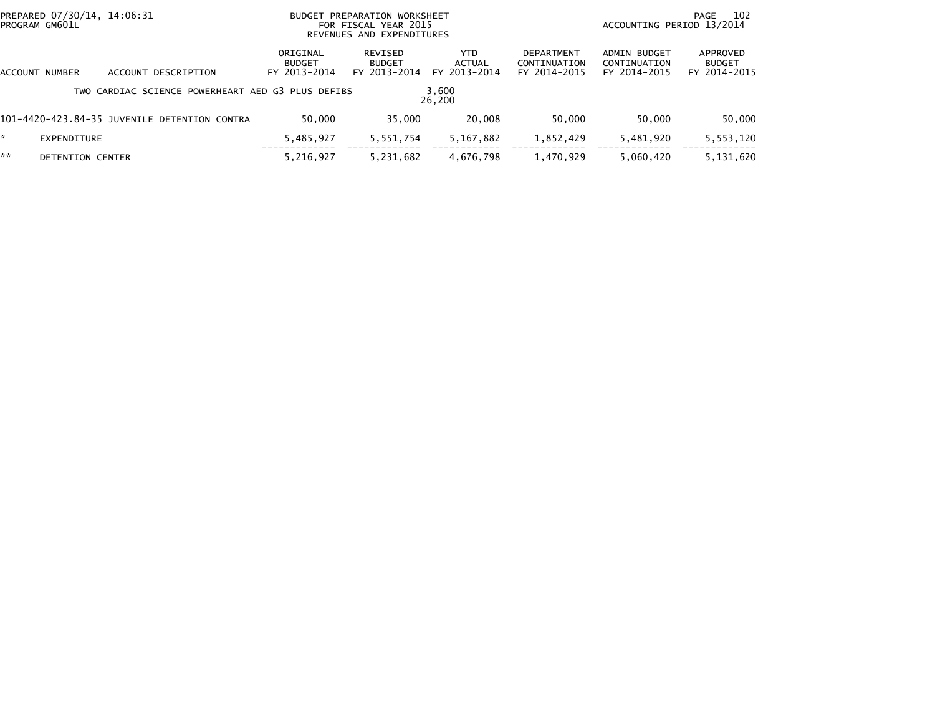|         | PREPARED 07/30/14, 14:06:31<br>BUDGET PREPARATION WORKSHEET<br>PROGRAM GM601L<br>FOR FISCAL YEAR 2015<br>REVENUES AND EXPENDITURES |                                                   |                                           |                                          |                                      |                                            | ACCOUNTING PERIOD 13/2014                    | 102<br>PAGE                               |
|---------|------------------------------------------------------------------------------------------------------------------------------------|---------------------------------------------------|-------------------------------------------|------------------------------------------|--------------------------------------|--------------------------------------------|----------------------------------------------|-------------------------------------------|
| ACCOUNT | NUMBER                                                                                                                             | ACCOUNT DESCRIPTION                               | ORIGINAL<br><b>BUDGET</b><br>FY 2013-2014 | REVISED<br><b>BUDGET</b><br>FY 2013-2014 | <b>YTD</b><br>ACTUAL<br>FY 2013-2014 | DEPARTMENT<br>CONTINUATION<br>FY 2014-2015 | ADMIN BUDGET<br>CONTINUATION<br>FY 2014-2015 | APPROVED<br><b>BUDGET</b><br>FY 2014-2015 |
|         |                                                                                                                                    | TWO CARDIAC SCIENCE POWERHEART AED G3 PLUS DEFIBS |                                           |                                          | 3,600<br>26,200                      |                                            |                                              |                                           |
|         |                                                                                                                                    | 101-4420-423.84-35 JUVENILE DETENTION CONTRA      | 50,000                                    | 35,000                                   | 20,008                               | 50,000                                     | 50,000                                       | 50,000                                    |
| *.      | EXPENDITURE                                                                                                                        |                                                   | 5,485,927                                 | 5,551,754                                | 5,167,882                            | 1,852,429                                  | 5,481,920                                    | 5,553,120                                 |
| **      | DETENTION CENTER                                                                                                                   |                                                   | 5,216,927                                 | 5,231,682                                | 4,676,798                            | 1,470,929                                  | 5,060,420                                    | 5,131,620                                 |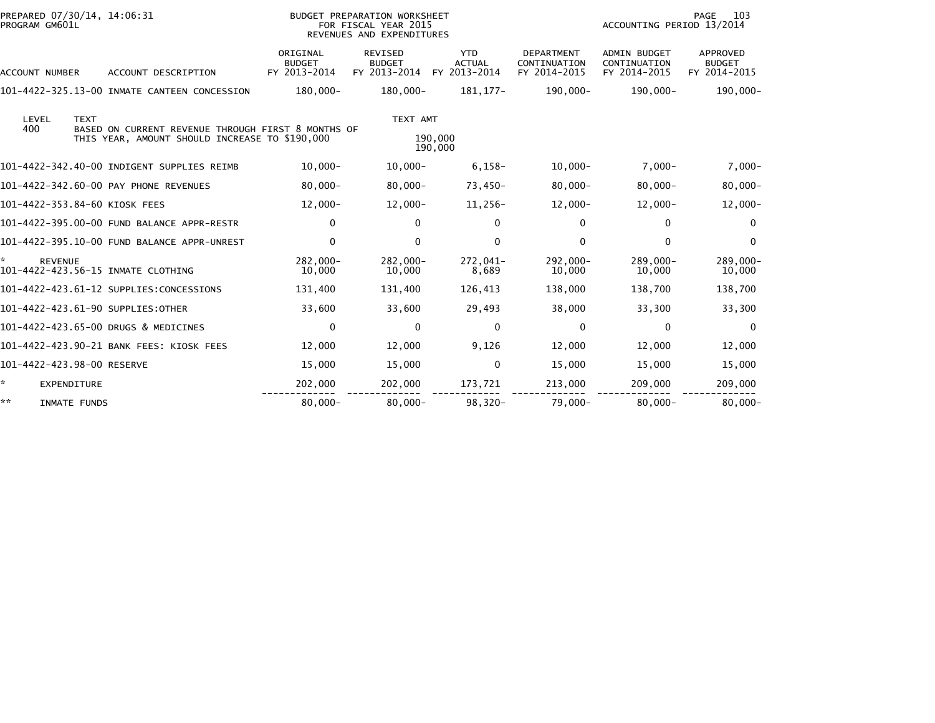| PREPARED 07/30/14, 14:06:31<br>PROGRAM GM601L             |                                                                                                      |                                           | BUDGET PREPARATION WORKSHEET<br>FOR FISCAL YEAR 2015<br>REVENUES AND EXPENDITURES |                                             |                                                   | PAGE<br>103<br>ACCOUNTING PERIOD 13/2014            |                                           |  |
|-----------------------------------------------------------|------------------------------------------------------------------------------------------------------|-------------------------------------------|-----------------------------------------------------------------------------------|---------------------------------------------|---------------------------------------------------|-----------------------------------------------------|-------------------------------------------|--|
| <b>ACCOUNT NUMBER</b>                                     | ACCOUNT DESCRIPTION                                                                                  | ORIGINAL<br><b>BUDGET</b><br>FY 2013-2014 | <b>REVISED</b><br><b>BUDGET</b><br>FY 2013-2014                                   | <b>YTD</b><br><b>ACTUAL</b><br>FY 2013-2014 | <b>DEPARTMENT</b><br>CONTINUATION<br>FY 2014-2015 | <b>ADMIN BUDGET</b><br>CONTINUATION<br>FY 2014-2015 | APPROVED<br><b>BUDGET</b><br>FY 2014-2015 |  |
|                                                           | 101-4422-325.13-00 INMATE CANTEEN CONCESSION                                                         | 180,000-                                  | 180,000-                                                                          | 181, 177-                                   | 190,000-                                          | 190,000-                                            | 190,000-                                  |  |
| LEVEL<br><b>TEXT</b><br>400                               | BASED ON CURRENT REVENUE THROUGH FIRST 8 MONTHS OF<br>THIS YEAR, AMOUNT SHOULD INCREASE TO \$190,000 |                                           | TEXT AMT                                                                          | 190,000<br>190,000                          |                                                   |                                                     |                                           |  |
|                                                           | 101-4422-342.40-00 INDIGENT SUPPLIES REIMB                                                           | $10,000 -$                                | $10,000 -$                                                                        | $6,158-$                                    | $10,000-$                                         | $7,000 -$                                           | $7,000-$                                  |  |
|                                                           | 101-4422-342.60-00 PAY PHONE REVENUES                                                                | $80,000 -$                                | $80,000 -$                                                                        | $73,450-$                                   | $80,000 -$                                        | $80,000 -$                                          | $80,000 -$                                |  |
| 101-4422-353.84-60 KIOSK FEES                             |                                                                                                      | $12,000 -$                                | $12,000 -$                                                                        | 11,256-                                     | $12,000 -$                                        | $12,000-$                                           | $12,000-$                                 |  |
|                                                           | 101-4422-395.00-00 FUND BALANCE APPR-RESTR                                                           | $\mathbf{0}$                              | $\Omega$                                                                          | $\mathbf{0}$                                | 0                                                 | $\mathbf{0}$                                        | $\Omega$                                  |  |
|                                                           | 101-4422-395.10-00 FUND BALANCE APPR-UNREST                                                          | 0                                         | $\mathbf{0}$                                                                      | $\mathbf 0$                                 | 0                                                 | 0                                                   | $\Omega$                                  |  |
| ☆<br><b>REVENUE</b><br>101-4422-423.56-15 INMATE CLOTHING |                                                                                                      | 282,000-<br>10,000                        | $282.000 -$<br>10,000                                                             | 272,041-<br>8,689                           | 292,000-<br>10,000                                | 289,000-<br>10,000                                  | 289,000-<br>10,000                        |  |
|                                                           | 101-4422-423.61-12 SUPPLIES:CONCESSIONS                                                              | 131,400                                   | 131,400                                                                           | 126,413                                     | 138,000                                           | 138.700                                             | 138,700                                   |  |
| 101-4422-423.61-90 SUPPLIES:OTHER                         |                                                                                                      | 33,600                                    | 33,600                                                                            | 29,493                                      | 38,000                                            | 33,300                                              | 33,300                                    |  |
| 101-4422-423.65-00 DRUGS & MEDICINES                      |                                                                                                      | $\mathbf 0$                               | $\mathbf{0}$                                                                      | $\mathbf 0$                                 | $\mathbf{0}$                                      | $\mathbf 0$                                         | $\Omega$                                  |  |
|                                                           | 101-4422-423.90-21 BANK FEES: KIOSK FEES                                                             | 12,000                                    | 12,000                                                                            | 9,126                                       | 12,000                                            | 12,000                                              | 12,000                                    |  |
| 101-4422-423.98-00 RESERVE                                |                                                                                                      | 15,000                                    | 15,000                                                                            | $\mathbf 0$                                 | 15,000                                            | 15,000                                              | 15,000                                    |  |
| ÷.<br><b>EXPENDITURE</b>                                  |                                                                                                      | 202,000                                   | 202,000                                                                           | 173,721                                     | 213,000                                           | 209,000                                             | 209,000                                   |  |
| **<br>INMATE FUNDS                                        |                                                                                                      | $80,000 -$                                | $80.000 -$                                                                        | $98.320 -$                                  | $79.000 -$                                        | $80.000 -$                                          | $80.000 -$                                |  |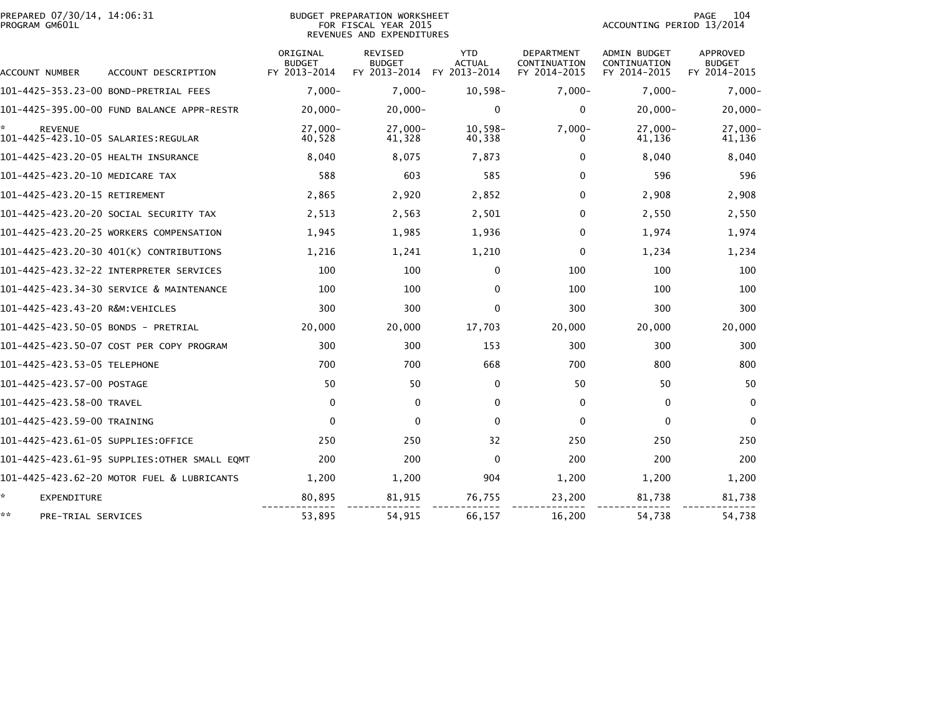| PREPARED 07/30/14, 14:06:31<br>PROGRAM GM601L |                                              |                                           | <b>BUDGET PREPARATION WORKSHEET</b><br>FOR FISCAL YEAR 2015<br>REVENUES AND EXPENDITURES | 104<br><b>PAGE</b><br>ACCOUNTING PERIOD 13/2014 |                                            |                                              |                                           |
|-----------------------------------------------|----------------------------------------------|-------------------------------------------|------------------------------------------------------------------------------------------|-------------------------------------------------|--------------------------------------------|----------------------------------------------|-------------------------------------------|
| ACCOUNT NUMBER                                | ACCOUNT DESCRIPTION                          | ORIGINAL<br><b>BUDGET</b><br>FY 2013-2014 | <b>REVISED</b><br><b>BUDGET</b><br>FY 2013-2014                                          | <b>YTD</b><br><b>ACTUAL</b><br>FY 2013-2014     | DEPARTMENT<br>CONTINUATION<br>FY 2014-2015 | ADMIN BUDGET<br>CONTINUATION<br>FY 2014-2015 | APPROVED<br><b>BUDGET</b><br>FY 2014-2015 |
| 101-4425-353.23-00 BOND-PRETRIAL FEES         |                                              | $7.000 -$                                 | $7,000 -$                                                                                | $10,598-$                                       | $7,000 -$                                  | $7.000 -$                                    | $7,000-$                                  |
|                                               | 101-4425-395.00-00 FUND BALANCE APPR-RESTR   | $20,000 -$                                | $20,000 -$                                                                               | $\mathbf{0}$                                    | $\mathbf{0}$                               | $20,000 -$                                   | 20,000-                                   |
| *.<br><b>REVENUE</b>                          |                                              | $27.000 -$<br>40,528                      | $27.000 -$<br>41,328                                                                     | $10.598 -$<br>40,338                            | $7.000 -$<br>0                             | $27.000 -$<br>41,136                         | 27.000-<br>41,136                         |
| 101-4425-423.20-05 HEALTH INSURANCE           |                                              | 8,040                                     | 8,075                                                                                    | 7,873                                           | 0                                          | 8.040                                        | 8,040                                     |
| 101-4425-423.20-10 MEDICARE TAX               |                                              | 588                                       | 603                                                                                      | 585                                             | 0                                          | 596                                          | 596                                       |
| 101-4425-423.20-15 RETIREMENT                 |                                              | 2,865                                     | 2,920                                                                                    | 2,852                                           | $\mathbf{0}$                               | 2,908                                        | 2,908                                     |
|                                               | 101–4425–423.20–20 SOCIAL SECURITY TAX       | 2,513                                     | 2,563                                                                                    | 2,501                                           | $\mathbf{0}$                               | 2,550                                        | 2,550                                     |
|                                               | 101-4425-423.20-25 WORKERS COMPENSATION      | 1,945                                     | 1,985                                                                                    | 1,936                                           | 0                                          | 1,974                                        | 1,974                                     |
|                                               | 101-4425-423.20-30 401(K) CONTRIBUTIONS      | 1,216                                     | 1,241                                                                                    | 1,210                                           | $\mathbf{0}$                               | 1,234                                        | 1,234                                     |
|                                               |                                              | 100                                       | 100                                                                                      | $\mathbf{0}$                                    | 100                                        | 100                                          | 100                                       |
|                                               | 101-4425-423.34-30 SERVICE & MAINTENANCE     | 100                                       | 100                                                                                      | $\mathbf{0}$                                    | 100                                        | 100                                          | 100                                       |
| 101-4425-423.43-20 R&M:VEHICLES               |                                              | 300                                       | 300                                                                                      | $\mathbf{0}$                                    | 300                                        | 300                                          | 300                                       |
| 101-4425-423.50-05 BONDS - PRETRIAL           |                                              | 20,000                                    | 20,000                                                                                   | 17,703                                          | 20,000                                     | 20,000                                       | 20,000                                    |
|                                               | 101-4425-423.50-07 COST PER COPY PROGRAM     | 300                                       | 300                                                                                      | 153                                             | 300                                        | 300                                          | 300                                       |
| 101-4425-423.53-05 TELEPHONE                  |                                              | 700                                       | 700                                                                                      | 668                                             | 700                                        | 800                                          | 800                                       |
| 101-4425-423.57-00 POSTAGE                    |                                              | 50                                        | 50                                                                                       | $\mathbf{0}$                                    | 50                                         | 50                                           | 50                                        |
| 101-4425-423.58-00 TRAVEL                     |                                              | $\mathbf 0$                               | $\mathbf{0}$                                                                             | $\mathbf{0}$                                    | $\mathbf{0}$                               | $\mathbf{0}$                                 | $\Omega$                                  |
| 101-4425-423.59-00 TRAINING                   |                                              | $\mathbf{0}$                              | $\Omega$                                                                                 | $\Omega$                                        | $\Omega$                                   | $\Omega$                                     | $\Omega$                                  |
| 101–4425–423.61–05 SUPPLIES:OFFICE            |                                              | 250                                       | 250                                                                                      | 32                                              | 250                                        | 250                                          | 250                                       |
|                                               | 101-4425-423.61-95 SUPPLIES:OTHER SMALL EQMT | 200                                       | 200                                                                                      | $\mathbf{0}$                                    | 200                                        | 200                                          | 200                                       |
|                                               | 101-4425-423.62-20 MOTOR FUEL & LUBRICANTS   | 1.200                                     | 1,200                                                                                    | 904                                             | 1,200                                      | 1.200                                        | 1,200                                     |
| *<br><b>EXPENDITURE</b>                       |                                              | 80,895                                    | 81,915                                                                                   | 76,755                                          | 23,200                                     | 81,738                                       | 81,738                                    |
| **<br>PRE-TRIAL SERVICES                      |                                              | 53,895                                    | 54,915                                                                                   | 66,157                                          | 16,200                                     | 54,738                                       | 54,738                                    |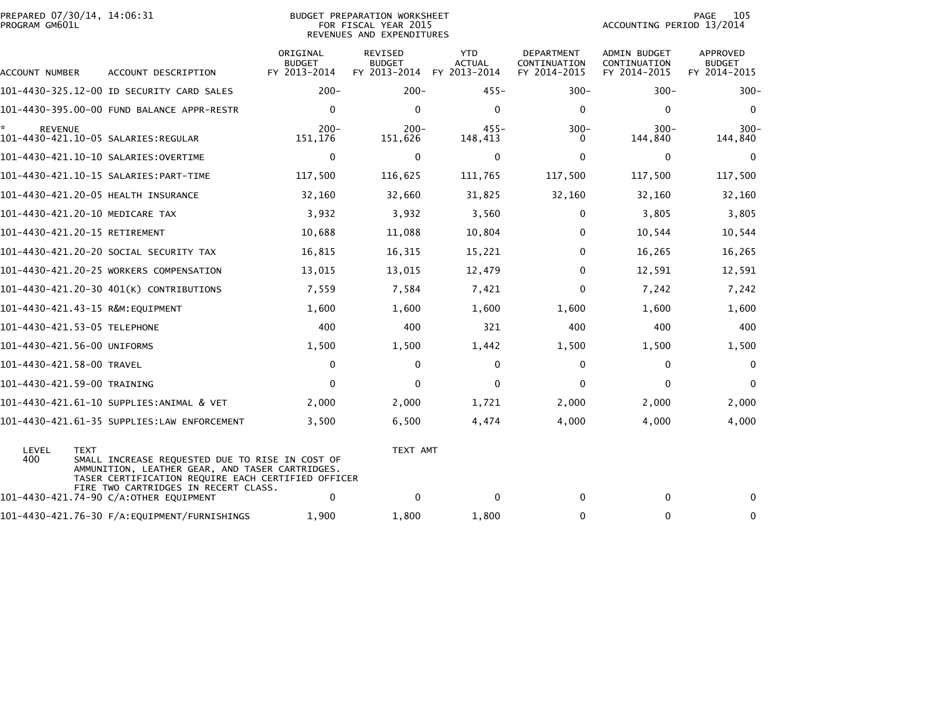| PREPARED 07/30/14, 14:06:31<br>PROGRAM GM601L |                                                                                                                                                          |                                           | BUDGET PREPARATION WORKSHEET<br>FOR FISCAL YEAR 2015<br>REVENUES AND EXPENDITURES |                                             | 105<br>PAGE<br>ACCOUNTING PERIOD 13/2014   |                                              |                                           |
|-----------------------------------------------|----------------------------------------------------------------------------------------------------------------------------------------------------------|-------------------------------------------|-----------------------------------------------------------------------------------|---------------------------------------------|--------------------------------------------|----------------------------------------------|-------------------------------------------|
| ACCOUNT NUMBER                                | ACCOUNT DESCRIPTION                                                                                                                                      | ORIGINAL<br><b>BUDGET</b><br>FY 2013-2014 | REVISED<br><b>BUDGET</b><br>FY 2013-2014                                          | <b>YTD</b><br><b>ACTUAL</b><br>FY 2013-2014 | DEPARTMENT<br>CONTINUATION<br>FY 2014-2015 | ADMIN BUDGET<br>CONTINUATION<br>FY 2014-2015 | APPROVED<br><b>BUDGET</b><br>FY 2014-2015 |
|                                               | 101-4430-325.12-00 ID SECURITY CARD SALES                                                                                                                | $200 -$                                   | $200 -$                                                                           | $455 -$                                     | $300 -$                                    | $300 -$                                      | $300 -$                                   |
|                                               | 101-4430-395.00-00 FUND BALANCE APPR-RESTR                                                                                                               | $\Omega$                                  | $\mathbf{0}$                                                                      | $\mathbf{0}$                                | $\mathbf{0}$                               | $\mathbf{0}$                                 | $\Omega$                                  |
| *.<br><b>REVENUE</b>                          | 101–4430–421.10–05 SALARIES:REGULAR                                                                                                                      | $200 -$<br>151,176                        | $200 -$<br>151,626                                                                | $455 -$<br>148,413                          | $300 -$<br>$\Omega$                        | $300 -$<br>144,840                           | $300 -$<br>144,840                        |
|                                               |                                                                                                                                                          | $\mathbf 0$                               | $\mathbf 0$                                                                       | $\mathbf 0$                                 | $\mathbf{0}$                               | $\mathbf 0$                                  | $\Omega$                                  |
|                                               |                                                                                                                                                          | 117,500                                   | 116,625                                                                           | 111,765                                     | 117,500                                    | 117,500                                      | 117,500                                   |
|                                               | 101-4430-421.20-05 HEALTH INSURANCE                                                                                                                      | 32,160                                    | 32,660                                                                            | 31,825                                      | 32,160                                     | 32,160                                       | 32,160                                    |
| 101-4430-421.20-10 MEDICARE TAX               |                                                                                                                                                          | 3,932                                     | 3,932                                                                             | 3,560                                       | 0                                          | 3,805                                        | 3,805                                     |
| 101-4430-421.20-15 RETIREMENT                 |                                                                                                                                                          | 10,688                                    | 11,088                                                                            | 10,804                                      | 0                                          | 10,544                                       | 10,544                                    |
|                                               | 101–4430–421.20–20 SOCIAL SECURITY TAX                                                                                                                   | 16,815                                    | 16,315                                                                            | 15,221                                      | $\mathbf{0}$                               | 16,265                                       | 16,265                                    |
|                                               | 101-4430-421.20-25 WORKERS COMPENSATION                                                                                                                  | 13,015                                    | 13,015                                                                            | 12,479                                      | $\Omega$                                   | 12,591                                       | 12,591                                    |
|                                               | 101-4430-421.20-30 401(K) CONTRIBUTIONS                                                                                                                  | 7,559                                     | 7,584                                                                             | 7,421                                       | $\Omega$                                   | 7,242                                        | 7,242                                     |
| 101-4430-421.43-15 R&M:EQUIPMENT              |                                                                                                                                                          | 1,600                                     | 1,600                                                                             | 1,600                                       | 1,600                                      | 1,600                                        | 1,600                                     |
| 101-4430-421.53-05 TELEPHONE                  |                                                                                                                                                          | 400                                       | 400                                                                               | 321                                         | 400                                        | 400                                          | 400                                       |
| 101-4430-421.56-00 UNIFORMS                   |                                                                                                                                                          | 1,500                                     | 1,500                                                                             | 1,442                                       | 1,500                                      | 1,500                                        | 1,500                                     |
| 101-4430-421.58-00 TRAVEL                     |                                                                                                                                                          | 0                                         | 0                                                                                 | 0                                           | 0                                          | 0                                            | 0                                         |
| 101-4430-421.59-00 TRAINING                   |                                                                                                                                                          | $\Omega$                                  | $\mathbf{0}$                                                                      | $\mathbf 0$                                 | $\Omega$                                   | $\mathbf 0$                                  | $\mathbf{0}$                              |
|                                               | 101-4430-421.61-10 SUPPLIES:ANIMAL & VET                                                                                                                 | 2,000                                     | 2,000                                                                             | 1,721                                       | 2,000                                      | 2,000                                        | 2,000                                     |
|                                               | 101-4430-421.61-35 SUPPLIES:LAW ENFORCEMENT                                                                                                              | 3,500                                     | 6,500                                                                             | 4,474                                       | 4,000                                      | 4,000                                        | 4,000                                     |
| LEVEL<br><b>TEXT</b><br>400                   | SMALL INCREASE REQUESTED DUE TO RISE IN COST OF<br>AMMUNITION, LEATHER GEAR, AND TASER CARTRIDGES.<br>TASER CERTIFICATION REQUIRE EACH CERTIFIED OFFICER |                                           | TEXT AMT                                                                          |                                             |                                            |                                              |                                           |
|                                               | FIRE TWO CARTRIDGES IN RECERT CLASS.<br>101-4430-421.74-90 C/A:OTHER EQUIPMENT                                                                           | 0                                         | $\Omega$                                                                          | $\mathbf{0}$                                | 0                                          | $\mathbf{0}$                                 | 0                                         |
|                                               |                                                                                                                                                          | 1,900                                     | 1,800                                                                             | 1,800                                       | $\mathbf{0}$                               | $\mathbf{0}$                                 | $\mathbf{0}$                              |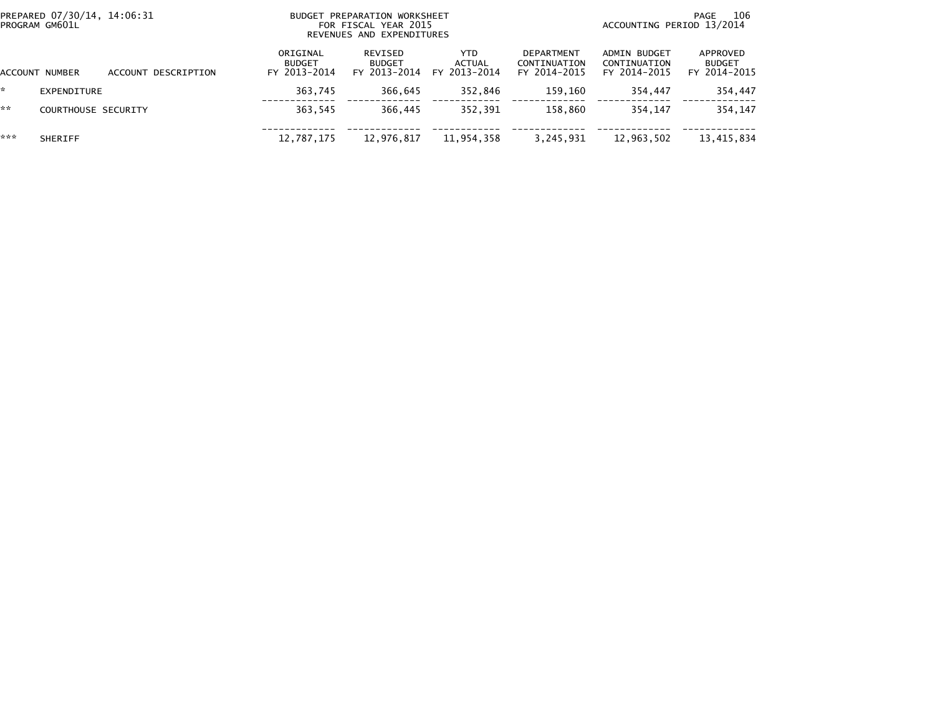|         | PREPARED 07/30/14, 14:06:31<br>PROGRAM GM601L |                     | BUDGET PREPARATION WORKSHEET<br>FOR FISCAL YEAR 2015<br>REVENUES AND EXPENDITURES | 106<br>PAGE<br>ACCOUNTING PERIOD 13/2014 |                                |                                            |                                              |                                           |
|---------|-----------------------------------------------|---------------------|-----------------------------------------------------------------------------------|------------------------------------------|--------------------------------|--------------------------------------------|----------------------------------------------|-------------------------------------------|
| ACCOUNT | NUMBER                                        | ACCOUNT DESCRIPTION | ORIGINAL<br><b>BUDGET</b><br>FY 2013-2014                                         | REVISED<br><b>BUDGET</b><br>FY 2013-2014 | YTD.<br>ACTUAL<br>FY 2013-2014 | DEPARTMENT<br>CONTINUATION<br>FY 2014-2015 | ADMIN BUDGET<br>CONTINUATION<br>FY 2014-2015 | APPROVED<br><b>BUDGET</b><br>FY 2014-2015 |
| ☆       | EXPENDITURE                                   |                     | 363,745                                                                           | 366,645                                  | 352,846                        | 159.160                                    | 354,447                                      | 354,447                                   |
| **      | <b>COURTHOUSE SECURITY</b>                    |                     | 363.545                                                                           | 366.445                                  | 352.391                        | 158.860                                    | 354.147                                      | 354,147                                   |
| ***     | <b>SHERIFF</b>                                |                     | 12,787,175                                                                        | 12,976,817                               | 11,954,358                     | 3,245,931                                  | 12,963,502                                   | 13,415,834                                |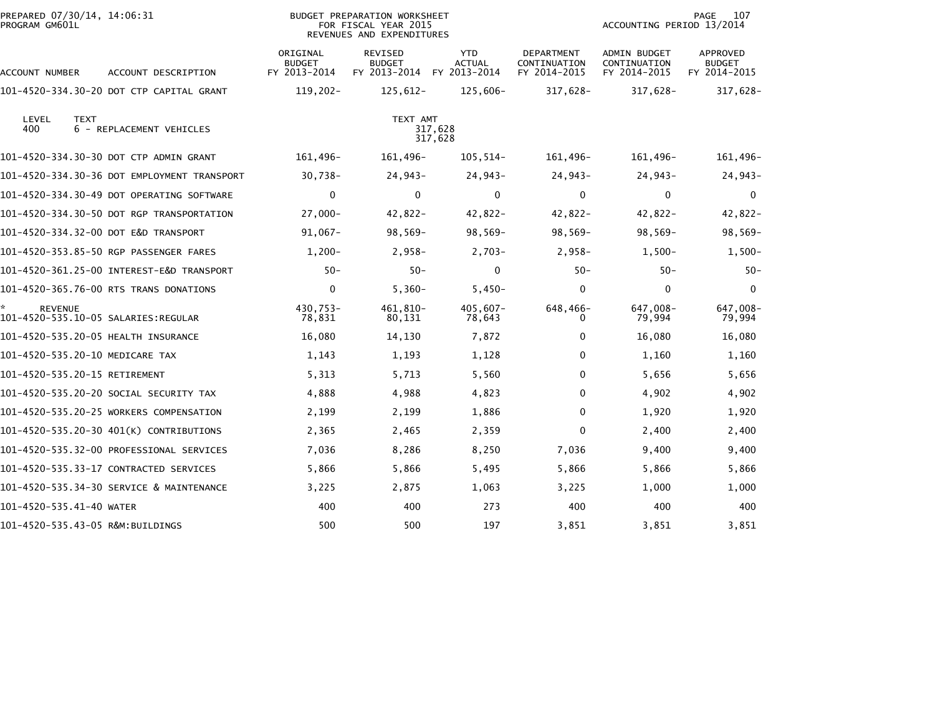| PREPARED 07/30/14, 14:06:31<br>PROGRAM GM601L |                                             |                                           | <b>BUDGET PREPARATION WORKSHEET</b><br>FOR FISCAL YEAR 2015<br>REVENUES AND EXPENDITURES |                                             |                                            | 107<br><b>PAGE</b><br>ACCOUNTING PERIOD 13/2014 |                                    |  |
|-----------------------------------------------|---------------------------------------------|-------------------------------------------|------------------------------------------------------------------------------------------|---------------------------------------------|--------------------------------------------|-------------------------------------------------|------------------------------------|--|
| ACCOUNT NUMBER                                | ACCOUNT DESCRIPTION                         | ORIGINAL<br><b>BUDGET</b><br>FY 2013-2014 | REVISED<br><b>BUDGET</b><br>FY 2013-2014                                                 | <b>YTD</b><br><b>ACTUAL</b><br>FY 2013-2014 | DEPARTMENT<br>CONTINUATION<br>FY 2014-2015 | ADMIN BUDGET<br>CONTINUATION<br>FY 2014-2015    | APPROVED<br>BUDGET<br>FY 2014-2015 |  |
|                                               | 101-4520-334.30-20 DOT CTP CAPITAL GRANT    | 119,202-                                  | 125,612-                                                                                 | 125,606-                                    | 317,628-                                   | 317,628-                                        | 317,628-                           |  |
| LEVEL<br><b>TEXT</b><br>400                   | 6 - REPLACEMENT VEHICLES                    |                                           | TEXT AMT                                                                                 | 317,628<br>317,628                          |                                            |                                                 |                                    |  |
|                                               | 101-4520-334.30-30 DOT CTP ADMIN GRANT      | 161,496-                                  | 161,496-                                                                                 | $105, 514-$                                 | 161,496-                                   | 161,496-                                        | 161,496-                           |  |
|                                               | 101-4520-334.30-36 DOT EMPLOYMENT TRANSPORT | 30,738-                                   | 24,943-                                                                                  | 24,943-                                     | $24,943-$                                  | $24,943-$                                       | 24,943-                            |  |
|                                               | 101-4520-334.30-49 DOT OPERATING SOFTWARE   | $\mathbf 0$                               | $\mathbf{0}$                                                                             | $\mathbf 0$                                 | $\mathbf{0}$                               | $\mathbf 0$                                     | $\mathbf{0}$                       |  |
|                                               | 101-4520-334.30-50 DOT RGP TRANSPORTATION   | $27,000 -$                                | $42,822 -$                                                                               | $42,822-$                                   | 42,822-                                    | 42,822-                                         | 42,822-                            |  |
| 101-4520-334.32-00 DOT E&D TRANSPORT          |                                             | 91,067-                                   | $98,569-$                                                                                | $98,569-$                                   | $98,569-$                                  | $98,569-$                                       | $98,569-$                          |  |
|                                               | 101-4520-353.85-50 RGP PASSENGER FARES      | $1,200-$                                  | $2,958-$                                                                                 | $2,703-$                                    | $2,958-$                                   | $1,500-$                                        | $1,500-$                           |  |
|                                               |                                             | $50 -$                                    | $50 -$                                                                                   | $\mathbf{0}$                                | $50 -$                                     | $50-$                                           | $50 -$                             |  |
|                                               | 101-4520-365.76-00 RTS TRANS DONATIONS      | $\mathbf 0$                               | $5,360-$                                                                                 | $5,450-$                                    | $\Omega$                                   | $\mathbf 0$                                     | $\mathbf{0}$                       |  |
| <b>REVENUE</b>                                |                                             | 430,753-<br>78,831                        | 461,810-<br>80,131                                                                       | 405,607-<br>78,643                          | 648,466-<br>0                              | 647,008-<br>79,994                              | 647,008-<br>79,994                 |  |
| 101-4520-535.20-05 HEALTH INSURANCE           |                                             | 16,080                                    | 14,130                                                                                   | 7,872                                       | 0                                          | 16,080                                          | 16,080                             |  |
| 101-4520-535.20-10 MEDICARE TAX               |                                             | 1,143                                     | 1,193                                                                                    | 1,128                                       | 0                                          | 1,160                                           | 1,160                              |  |
| 101-4520-535.20-15 RETIREMENT                 |                                             | 5,313                                     | 5,713                                                                                    | 5,560                                       | $\Omega$                                   | 5,656                                           | 5,656                              |  |
|                                               | 101-4520-535.20-20 SOCIAL SECURITY TAX      | 4,888                                     | 4,988                                                                                    | 4,823                                       | $\Omega$                                   | 4,902                                           | 4,902                              |  |
|                                               | 101-4520-535.20-25 WORKERS COMPENSATION     | 2,199                                     | 2,199                                                                                    | 1,886                                       | $\Omega$                                   | 1,920                                           | 1,920                              |  |
|                                               | 101-4520-535.20-30 401(K) CONTRIBUTIONS     | 2,365                                     | 2,465                                                                                    | 2,359                                       | $\Omega$                                   | 2,400                                           | 2,400                              |  |
|                                               | 101–4520–535.32–00 PROFESSIONAL SERVICES    | 7,036                                     | 8,286                                                                                    | 8,250                                       | 7,036                                      | 9,400                                           | 9,400                              |  |
|                                               | 101-4520-535.33-17 CONTRACTED SERVICES      | 5,866                                     | 5,866                                                                                    | 5,495                                       | 5,866                                      | 5,866                                           | 5,866                              |  |
|                                               | 101-4520-535.34-30 SERVICE & MAINTENANCE    | 3,225                                     | 2,875                                                                                    | 1,063                                       | 3,225                                      | 1,000                                           | 1,000                              |  |
| 101-4520-535.41-40 WATER                      |                                             | 400                                       | 400                                                                                      | 273                                         | 400                                        | 400                                             | 400                                |  |
| 101-4520-535.43-05 R&M:BUILDINGS              |                                             | 500                                       | 500                                                                                      | 197                                         | 3,851                                      | 3,851                                           | 3,851                              |  |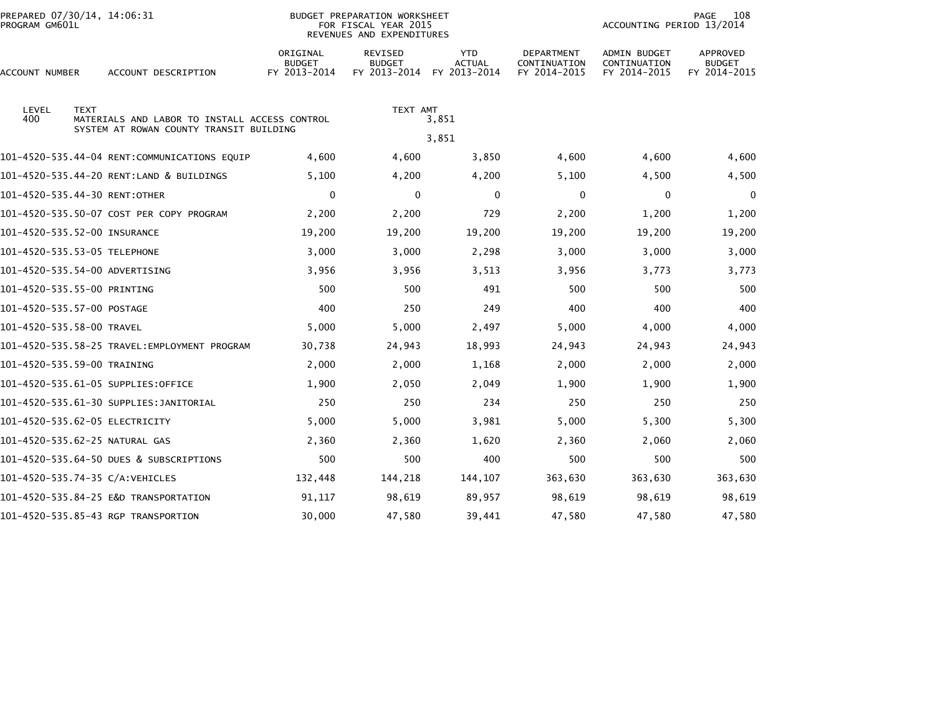| PREPARED 07/30/14, 14:06:31<br>PROGRAM GM601L |                                         |                                               |                                           | BUDGET PREPARATION WORKSHEET<br>FOR FISCAL YEAR 2015<br>REVENUES AND EXPENDITURES |                                             | 108<br>PAGE<br>ACCOUNTING PERIOD 13/2014          |                                              |                                           |  |
|-----------------------------------------------|-----------------------------------------|-----------------------------------------------|-------------------------------------------|-----------------------------------------------------------------------------------|---------------------------------------------|---------------------------------------------------|----------------------------------------------|-------------------------------------------|--|
| ACCOUNT NUMBER                                |                                         | ACCOUNT DESCRIPTION                           | ORIGINAL<br><b>BUDGET</b><br>FY 2013-2014 | <b>REVISED</b><br><b>BUDGET</b><br>FY 2013-2014                                   | <b>YTD</b><br><b>ACTUAL</b><br>FY 2013-2014 | <b>DEPARTMENT</b><br>CONTINUATION<br>FY 2014-2015 | ADMIN BUDGET<br>CONTINUATION<br>FY 2014-2015 | APPROVED<br><b>BUDGET</b><br>FY 2014-2015 |  |
| LEVEL<br>400                                  | <b>TEXT</b>                             | MATERIALS AND LABOR TO INSTALL ACCESS CONTROL |                                           | TEXT AMT                                                                          | 3,851                                       |                                                   |                                              |                                           |  |
|                                               | SYSTEM AT ROWAN COUNTY TRANSIT BUILDING |                                               |                                           |                                                                                   | 3,851                                       |                                                   |                                              |                                           |  |
|                                               |                                         | 101-4520-535.44-04 RENT:COMMUNICATIONS EQUIP  | 4,600                                     | 4,600                                                                             | 3,850                                       | 4,600                                             | 4,600                                        | 4,600                                     |  |
|                                               |                                         | 101-4520-535.44-20 RENT:LAND & BUILDINGS      | 5,100                                     | 4,200                                                                             | 4,200                                       | 5,100                                             | 4,500                                        | 4,500                                     |  |
| 101-4520-535.44-30 RENT:OTHER                 |                                         |                                               | 0                                         | 0                                                                                 | 0                                           | 0                                                 | 0                                            | $\mathbf{0}$                              |  |
|                                               |                                         | 101-4520-535.50-07 COST PER COPY PROGRAM      | 2,200                                     | 2,200                                                                             | 729                                         | 2,200                                             | 1,200                                        | 1,200                                     |  |
| 101-4520-535.52-00 INSURANCE                  |                                         |                                               | 19,200                                    | 19,200                                                                            | 19,200                                      | 19,200                                            | 19,200                                       | 19,200                                    |  |
| 101-4520-535.53-05 TELEPHONE                  |                                         |                                               | 3,000                                     | 3,000                                                                             | 2,298                                       | 3,000                                             | 3,000                                        | 3,000                                     |  |
| 101-4520-535.54-00 ADVERTISING                |                                         |                                               | 3,956                                     | 3,956                                                                             | 3,513                                       | 3,956                                             | 3,773                                        | 3,773                                     |  |
| 101-4520-535.55-00 PRINTING                   |                                         |                                               | 500                                       | 500                                                                               | 491                                         | 500                                               | 500                                          | 500                                       |  |
| 101-4520-535.57-00 POSTAGE                    |                                         |                                               | 400                                       | 250                                                                               | 249                                         | 400                                               | 400                                          | 400                                       |  |
| 101-4520-535.58-00 TRAVEL                     |                                         |                                               | 5,000                                     | 5,000                                                                             | 2,497                                       | 5,000                                             | 4,000                                        | 4,000                                     |  |
|                                               |                                         |                                               | 30,738                                    | 24,943                                                                            | 18,993                                      | 24,943                                            | 24,943                                       | 24,943                                    |  |
| 101-4520-535.59-00 TRAINING                   |                                         |                                               | 2,000                                     | 2,000                                                                             | 1,168                                       | 2,000                                             | 2,000                                        | 2,000                                     |  |
| 101-4520-535.61-05 SUPPLIES:OFFICE            |                                         |                                               | 1,900                                     | 2,050                                                                             | 2,049                                       | 1,900                                             | 1,900                                        | 1,900                                     |  |
| 101-4520-535.61-30 SUPPLIES:JANITORIAL        |                                         |                                               | 250                                       | 250                                                                               | 234                                         | 250                                               | 250                                          | 250                                       |  |
| 101-4520-535.62-05 ELECTRICITY                |                                         |                                               | 5,000                                     | 5,000                                                                             | 3,981                                       | 5,000                                             | 5,300                                        | 5,300                                     |  |
| 101-4520-535.62-25 NATURAL GAS                |                                         |                                               | 2,360                                     | 2,360                                                                             | 1,620                                       | 2,360                                             | 2,060                                        | 2,060                                     |  |
| 101-4520-535.64-50 DUES & SUBSCRIPTIONS       |                                         |                                               | 500                                       | 500                                                                               | 400                                         | 500                                               | 500                                          | 500                                       |  |
| 101-4520-535.74-35 C/A: VEHICLES              |                                         |                                               | 132,448                                   | 144,218                                                                           | 144,107                                     | 363,630                                           | 363,630                                      | 363,630                                   |  |
| 101-4520-535.84-25 E&D TRANSPORTATION         |                                         |                                               | 91,117                                    | 98,619                                                                            | 89,957                                      | 98,619                                            | 98,619                                       | 98,619                                    |  |
| 101-4520-535.85-43 RGP TRANSPORTION           |                                         |                                               | 30,000                                    | 47,580                                                                            | 39,441                                      | 47,580                                            | 47,580                                       | 47,580                                    |  |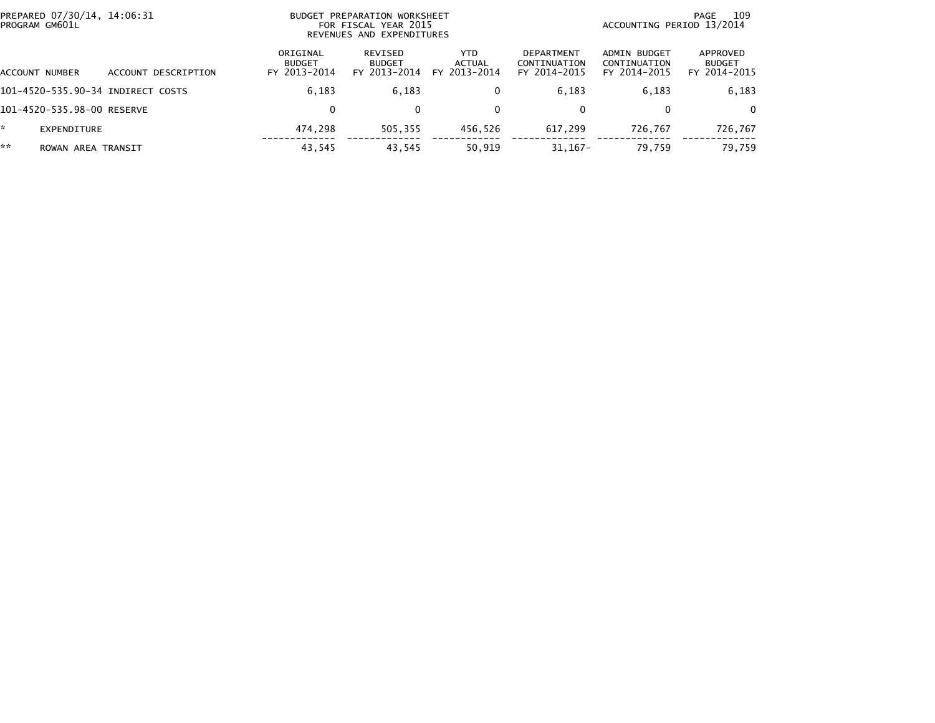| PREPARED 07/30/14, 14:06:31<br>PROGRAM GM601L |                     | BUDGET PREPARATION WORKSHEET<br>FOR FISCAL YEAR 2015<br>REVENUES AND EXPENDITURES | 109<br>PAGE<br>ACCOUNTING PERIOD 13/2014 |                                      |                                                   |                                              |                                           |
|-----------------------------------------------|---------------------|-----------------------------------------------------------------------------------|------------------------------------------|--------------------------------------|---------------------------------------------------|----------------------------------------------|-------------------------------------------|
| ACCOUNT NUMBER                                | ACCOUNT DESCRIPTION | ORIGINAL<br><b>BUDGET</b><br>FY 2013-2014                                         | REVISED<br><b>BUDGET</b><br>FY 2013-2014 | <b>YTD</b><br>ACTUAL<br>FY 2013-2014 | <b>DEPARTMENT</b><br>CONTINUATION<br>FY 2014-2015 | ADMIN BUDGET<br>CONTINUATION<br>FY 2014-2015 | APPROVED<br><b>BUDGET</b><br>FY 2014-2015 |
| 101-4520-535.90-34 INDIRECT COSTS             |                     | 6.183                                                                             | 6,183                                    | $\bf{0}$                             | 6,183                                             | 6.183                                        | 6,183                                     |
| 101-4520-535.98-00 RESERVE                    |                     | 0                                                                                 | $\mathbf{0}$                             | $\mathbf{0}$                         | 0                                                 |                                              | $\Omega$                                  |
| *<br><b>EXPENDITURE</b>                       |                     | 474.298                                                                           | 505.355                                  | 456.526                              | 617.299                                           | 726.767                                      | 726.767                                   |
| **<br>ROWAN AREA TRANSIT                      |                     | 43,545                                                                            | 43,545                                   | 50,919                               | $31,167-$                                         | 79,759                                       | 79,759                                    |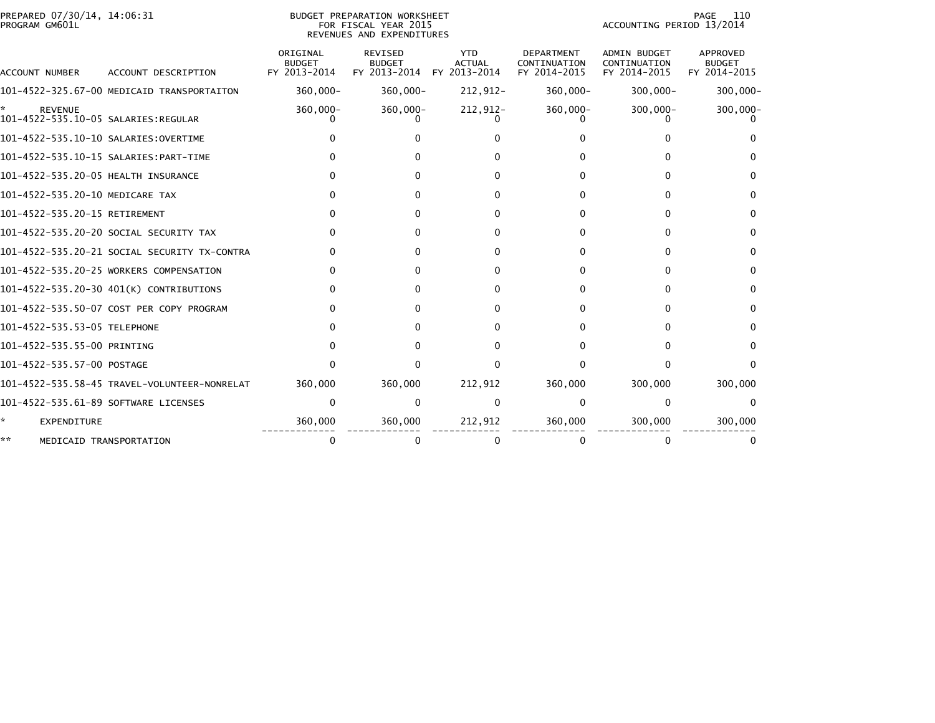| PREPARED 07/30/14, 14:06:31<br>PROGRAM GM601L         |                                              | BUDGET PREPARATION WORKSHEET<br>FOR FISCAL YEAR 2015<br>REVENUES AND EXPENDITURES |                                                 |                                             |                                                   | 110<br>PAGE<br>ACCOUNTING PERIOD 13/2014            |                                           |  |  |
|-------------------------------------------------------|----------------------------------------------|-----------------------------------------------------------------------------------|-------------------------------------------------|---------------------------------------------|---------------------------------------------------|-----------------------------------------------------|-------------------------------------------|--|--|
| ACCOUNT NUMBER                                        | ACCOUNT DESCRIPTION                          | ORIGINAL<br><b>BUDGET</b><br>FY 2013-2014                                         | <b>REVISED</b><br><b>BUDGET</b><br>FY 2013-2014 | <b>YTD</b><br><b>ACTUAL</b><br>FY 2013-2014 | <b>DEPARTMENT</b><br>CONTINUATION<br>FY 2014-2015 | <b>ADMIN BUDGET</b><br>CONTINUATION<br>FY 2014-2015 | APPROVED<br><b>BUDGET</b><br>FY 2014-2015 |  |  |
|                                                       | 101-4522-325.67-00 MEDICAID TRANSPORTAITON   | $360,000 -$                                                                       | $360,000 -$                                     | 212,912-                                    | $360,000 -$                                       | $300,000 -$                                         | $300,000 -$                               |  |  |
| <b>REVENUE</b><br>101-4522-535.10-05 SALARIES:REGULAR |                                              | $360,000 -$                                                                       | $360,000 -$                                     | 212,912-                                    | 360,000-                                          | $300,000 -$                                         | 300,000-                                  |  |  |
| 101-4522-535.10-10 SALARIES:OVERTIME                  |                                              |                                                                                   |                                                 | U                                           |                                                   |                                                     |                                           |  |  |
|                                                       | 101-4522-535.10-15 SALARIES: PART-TIME       |                                                                                   |                                                 |                                             |                                                   | O.                                                  |                                           |  |  |
| 101-4522-535.20-05 HEALTH INSURANCE                   |                                              |                                                                                   |                                                 |                                             |                                                   | 0                                                   | <sup>0</sup>                              |  |  |
| 101-4522-535.20-10 MEDICARE TAX                       |                                              |                                                                                   |                                                 | 0                                           |                                                   | 0                                                   | 0                                         |  |  |
| 101-4522-535.20-15 RETIREMENT                         |                                              |                                                                                   |                                                 | O                                           |                                                   | 0                                                   | $\Omega$                                  |  |  |
|                                                       | 101-4522-535.20-20 SOCIAL SECURITY TAX       |                                                                                   |                                                 | 0                                           |                                                   | 0                                                   | $\Omega$                                  |  |  |
|                                                       | 101-4522-535.20-21 SOCIAL SECURITY TX-CONTRA |                                                                                   |                                                 | O                                           | n                                                 | $\Omega$                                            | 0                                         |  |  |
|                                                       | 101-4522-535.20-25 WORKERS COMPENSATION      |                                                                                   |                                                 | 0                                           |                                                   | 0                                                   | 0                                         |  |  |
|                                                       | 101-4522-535.20-30 401(K) CONTRIBUTIONS      |                                                                                   |                                                 | 0                                           |                                                   | 0                                                   | $\Omega$                                  |  |  |
|                                                       | 101-4522-535.50-07 COST PER COPY PROGRAM     |                                                                                   |                                                 | 0                                           |                                                   | 0                                                   | <sup>0</sup>                              |  |  |
| 101-4522-535.53-05 TELEPHONE                          |                                              |                                                                                   |                                                 |                                             |                                                   | 0                                                   | 0                                         |  |  |
| 101-4522-535.55-00 PRINTING                           |                                              |                                                                                   |                                                 |                                             |                                                   | 0                                                   | 0                                         |  |  |
| 101-4522-535.57-00 POSTAGE                            |                                              |                                                                                   |                                                 | U                                           |                                                   | 0                                                   | ∩                                         |  |  |
|                                                       | 101-4522-535.58-45 TRAVEL-VOLUNTEER-NONRELAT | 360,000                                                                           | 360,000                                         | 212,912                                     | 360,000                                           | 300,000                                             | 300,000                                   |  |  |
| 101-4522-535.61-89 SOFTWARE LICENSES                  |                                              |                                                                                   | <sup>0</sup>                                    | $\Omega$                                    |                                                   | $\Omega$                                            |                                           |  |  |
| EXPENDITURE                                           |                                              | 360,000                                                                           | 360,000                                         | 212,912                                     | 360,000                                           | 300,000                                             | 300,000                                   |  |  |
| **                                                    | MEDICAID TRANSPORTATION                      |                                                                                   |                                                 | 0                                           |                                                   |                                                     |                                           |  |  |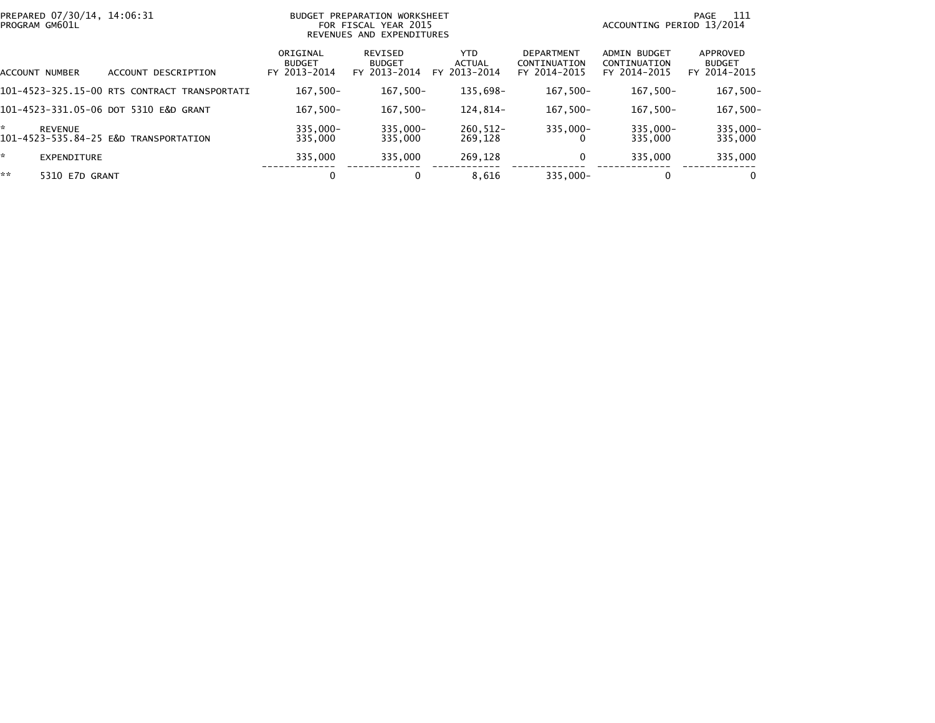| PREPARED 07/30/14, 14:06:31<br>PROGRAM GM601L |                                              | BUDGET                                    | PREPARATION WORKSHEET<br>FOR FISCAL YEAR 2015<br>REVENUES AND EXPENDITURES | ACCOUNTING PERIOD 13/2014      | -111<br>PAGE                                      |                                                     |                                           |
|-----------------------------------------------|----------------------------------------------|-------------------------------------------|----------------------------------------------------------------------------|--------------------------------|---------------------------------------------------|-----------------------------------------------------|-------------------------------------------|
| ACCOUNT NUMBER                                | ACCOUNT DESCRIPTION                          | ORIGINAL<br><b>BUDGET</b><br>FY 2013-2014 | REVISED<br><b>BUDGET</b><br>FY 2013-2014                                   | YTD.<br>ACTUAL<br>FY 2013-2014 | <b>DEPARTMENT</b><br>CONTINUATION<br>FY 2014-2015 | <b>ADMIN BUDGET</b><br>CONTINUATION<br>FY 2014-2015 | APPROVED<br><b>BUDGET</b><br>FY 2014-2015 |
|                                               | 101-4523-325.15-00 RTS CONTRACT TRANSPORTATI | $167.500 -$                               | $167,500-$                                                                 | 135.698-                       | $167.500 -$                                       | $167.500 -$                                         | $167,500-$                                |
|                                               | 101-4523-331.05-06 DOT 5310 E&D GRANT        | $167.500 -$                               | 167,500-                                                                   | 124.814-                       | $167,500-$                                        | $167.500 -$                                         | 167,500-                                  |
| ÷<br><b>REVENUE</b>                           | 101-4523-535.84-25 E&D TRANSPORTATION        | $335.000 -$<br>335,000                    | $335,000 -$<br>335,000                                                     | $260.512 -$<br>269.128         | $335,000 -$                                       | $335,000 -$<br>335,000                              | 335,000-<br>335,000                       |
| ×.<br><b>EXPENDITURE</b>                      |                                              | 335,000                                   | 335,000                                                                    | 269,128                        | 0                                                 | 335.000                                             | 335,000                                   |
| **<br>5310 E7D GRANT                          |                                              | 0                                         |                                                                            | 8,616                          | $335.000 -$                                       | 0                                                   | $\mathbf{0}$                              |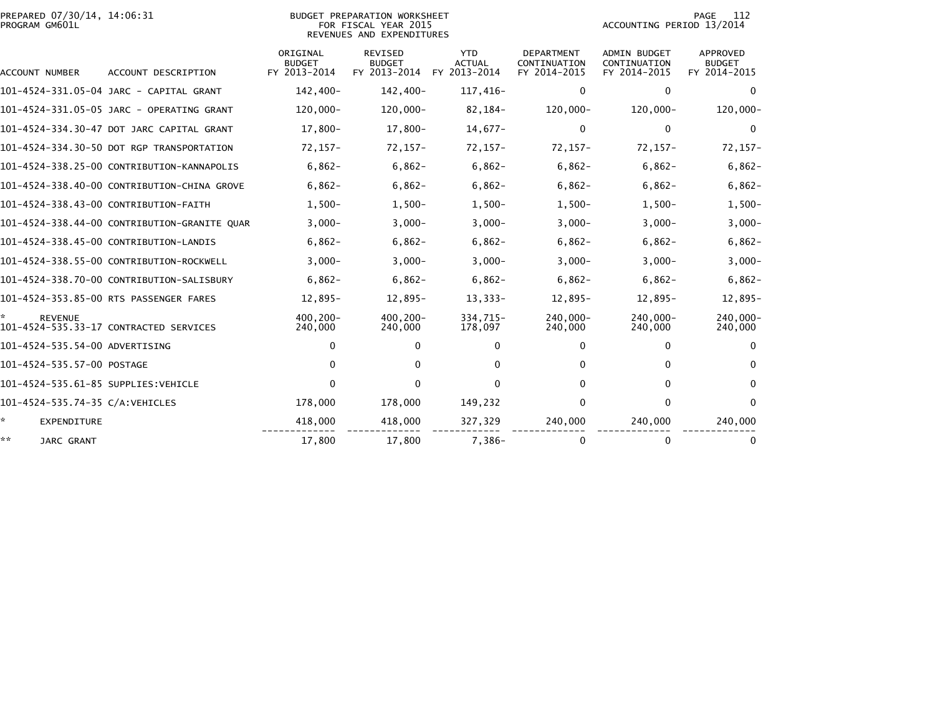|                | PREPARED 07/30/14, 14:06:31 |  |
|----------------|-----------------------------|--|
| PROGRAM GM601L |                             |  |

## BUDGET PREPARATION WORKSHEET PROGRAM GM601L FOR FISCAL YEAR 2015 ACCOUNTING PERIOD 13/2014 REVENUES AND EXPENDITURES

PAGE 112<br>ACCOUNTING PERIOD 13/2014

|                                     |                                              | ORIGINAL<br><b>BUDGET</b> | <b>REVISED</b><br><b>BUDGET</b> | <b>YTD</b><br><b>ACTUAL</b> | <b>DEPARTMENT</b><br>CONTINUATION | <b>ADMIN BUDGET</b><br>CONTINUATION | APPROVED<br><b>BUDGET</b> |
|-------------------------------------|----------------------------------------------|---------------------------|---------------------------------|-----------------------------|-----------------------------------|-------------------------------------|---------------------------|
| <b>ACCOUNT NUMBER</b>               | ACCOUNT DESCRIPTION                          | FY 2013-2014              | FY 2013-2014                    | FY 2013-2014                | FY 2014-2015                      | FY 2014-2015                        | FY 2014-2015              |
|                                     | 101-4524-331.05-04 JARC - CAPITAL GRANT      | 142,400-                  | $142,400-$                      | 117,416-                    | 0                                 | 0                                   | $\mathbf 0$               |
|                                     | 101-4524-331.05-05 JARC - OPERATING GRANT    | 120,000-                  | 120,000-                        | $82,184-$                   | 120,000-                          | 120.000-                            | 120,000-                  |
|                                     | 101-4524-334.30-47 DOT JARC CAPITAL GRANT    | 17,800-                   | 17,800-                         | $14,677-$                   | $\mathbf{0}$                      | $\mathbf{0}$                        | $\Omega$                  |
|                                     | 101-4524-334.30-50 DOT RGP TRANSPORTATION    | $72, 157 -$               | $72, 157 -$                     | $72, 157 -$                 | $72, 157 -$                       | $72, 157 -$                         | $72, 157 -$               |
|                                     | 101-4524-338.25-00 CONTRIBUTION-KANNAPOLIS   | $6,862-$                  | $6,862-$                        | $6,862-$                    | $6,862-$                          | $6,862-$                            | $6,862-$                  |
|                                     | 101-4524-338.40-00 CONTRIBUTION-CHINA GROVE  | $6,862-$                  | $6,862-$                        | $6,862-$                    | $6,862-$                          | $6,862-$                            | $6,862-$                  |
|                                     | 101-4524-338.43-00 CONTRIBUTION-FAITH        | $1,500-$                  | $1,500-$                        | $1,500-$                    | $1,500-$                          | $1,500-$                            | $1,500-$                  |
|                                     | 101-4524-338.44-00 CONTRIBUTION-GRANITE QUAR | $3,000 -$                 | $3,000-$                        | $3,000 -$                   | $3,000-$                          | $3,000-$                            | $3,000-$                  |
|                                     | 101-4524-338.45-00 CONTRIBUTION-LANDIS       | $6,862-$                  | $6,862-$                        | $6,862-$                    | $6,862-$                          | $6,862-$                            | $6,862-$                  |
|                                     | 101-4524-338.55-00 CONTRIBUTION-ROCKWELL     | $3,000 -$                 | $3,000-$                        | $3,000 -$                   | $3,000-$                          | $3,000-$                            | $3,000-$                  |
|                                     | 101-4524-338.70-00 CONTRIBUTION-SALISBURY    | $6,862-$                  | $6,862-$                        | $6,862-$                    | $6,862-$                          | $6,862-$                            | $6,862-$                  |
|                                     | 101-4524-353.85-00 RTS PASSENGER FARES       | 12,895-                   | 12,895-                         | $13,333-$                   | $12,895-$                         | 12,895-                             | $12,895-$                 |
| <b>REVENUE</b>                      | 101-4524-535.33-17 CONTRACTED SERVICES       | $400.200 -$<br>240,000    | $400, 200 -$<br>240,000         | 334,715-<br>178,097         | 240,000-<br>240,000               | 240.000-<br>240,000                 | 240,000-<br>240,000       |
| 101-4524-535.54-00 ADVERTISING      |                                              | $\Omega$                  | $\Omega$                        | $\mathbf 0$                 | 0                                 | $\Omega$                            | $\Omega$                  |
| 101-4524-535.57-00 POSTAGE          |                                              | $\mathbf{0}$              | 0                               | $\Omega$                    | 0                                 | 0                                   | <sup>0</sup>              |
| 101-4524-535.61-85 SUPPLIES:VEHICLE |                                              | $\Omega$                  | 0                               | 0                           | 0                                 | 0                                   | $\Omega$                  |
| 101-4524-535.74-35 C/A:VEHICLES     |                                              | 178,000                   | 178,000                         | 149,232                     | 0                                 | 0                                   | $\mathbf{0}$              |
| * .<br>EXPENDITURE                  |                                              | 418,000                   | 418,000                         | 327,329                     | 240,000                           | 240,000                             | 240,000                   |
| **<br>JARC GRANT                    |                                              | 17,800                    | 17,800                          | $7,386-$                    |                                   | 0                                   | 0                         |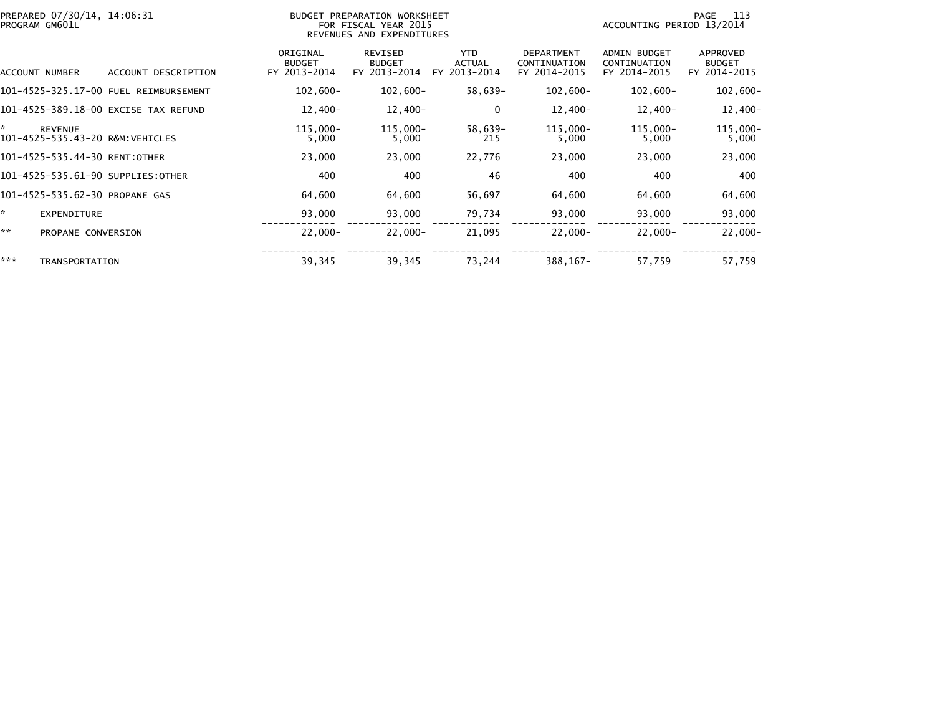| PREPARED 07/30/14, 14:06:31<br>PROGRAM GM601L           | BUDGET PREPARATION WORKSHEET<br>FOR FISCAL YEAR 2015<br>REVENUES AND EXPENDITURES |                                           |                                                 |                                                 |                                                   |                                                     | 113<br>PAGE<br>ACCOUNTING PERIOD 13/2014  |  |  |
|---------------------------------------------------------|-----------------------------------------------------------------------------------|-------------------------------------------|-------------------------------------------------|-------------------------------------------------|---------------------------------------------------|-----------------------------------------------------|-------------------------------------------|--|--|
| ACCOUNT NUMBER                                          | ACCOUNT DESCRIPTION                                                               | ORIGINAL<br><b>BUDGET</b><br>FY 2013-2014 | <b>REVISED</b><br><b>BUDGET</b><br>FY 2013-2014 | <b>YTD</b><br><b>ACTUAL</b><br>2013-2014<br>FY. | <b>DEPARTMENT</b><br>CONTINUATION<br>FY 2014-2015 | <b>ADMIN BUDGET</b><br>CONTINUATION<br>FY 2014-2015 | APPROVED<br><b>BUDGET</b><br>FY 2014-2015 |  |  |
|                                                         |                                                                                   | $102,600 -$                               | $102,600 -$                                     | 58,639-                                         | $102,600 -$                                       | $102,600 -$                                         | $102,600-$                                |  |  |
|                                                         | 101-4525-389.18-00 EXCISE TAX REFUND                                              | $12,400-$                                 | $12,400-$                                       | 0                                               | $12,400-$                                         | $12,400-$                                           | $12,400-$                                 |  |  |
| ×.<br><b>REVENUE</b><br>101-4525-535.43-20 R&M:VEHICLES |                                                                                   | $115,000 -$<br>5,000                      | 115,000-<br>5,000                               | 58,639-<br>215                                  | 115,000-<br>5,000                                 | $115,000 -$<br>5,000                                | $115,000 -$<br>5,000                      |  |  |
| 101-4525-535.44-30 RENT:OTHER                           |                                                                                   | 23,000                                    | 23,000                                          | 22,776                                          | 23,000                                            | 23,000                                              | 23,000                                    |  |  |
| 101-4525-535.61-90 SUPPLIES:OTHER                       |                                                                                   | 400                                       | 400                                             | 46                                              | 400                                               | 400                                                 | 400                                       |  |  |
| 101-4525-535.62-30 PROPANE GAS                          |                                                                                   | 64,600                                    | 64,600                                          | 56,697                                          | 64,600                                            | 64,600                                              | 64,600                                    |  |  |
| ÷.<br><b>EXPENDITURE</b>                                |                                                                                   | 93,000                                    | 93,000                                          | 79,734                                          | 93,000                                            | 93,000                                              | 93,000                                    |  |  |
| **<br>PROPANE CONVERSION                                |                                                                                   | $22,000 -$                                | $22,000 -$                                      | 21,095                                          | $22,000 -$                                        | $22,000 -$                                          | $22,000 -$                                |  |  |
| ***<br>TRANSPORTATION                                   |                                                                                   | 39,345                                    | 39,345                                          | 73,244                                          | 388, 167-                                         | 57,759                                              | 57,759                                    |  |  |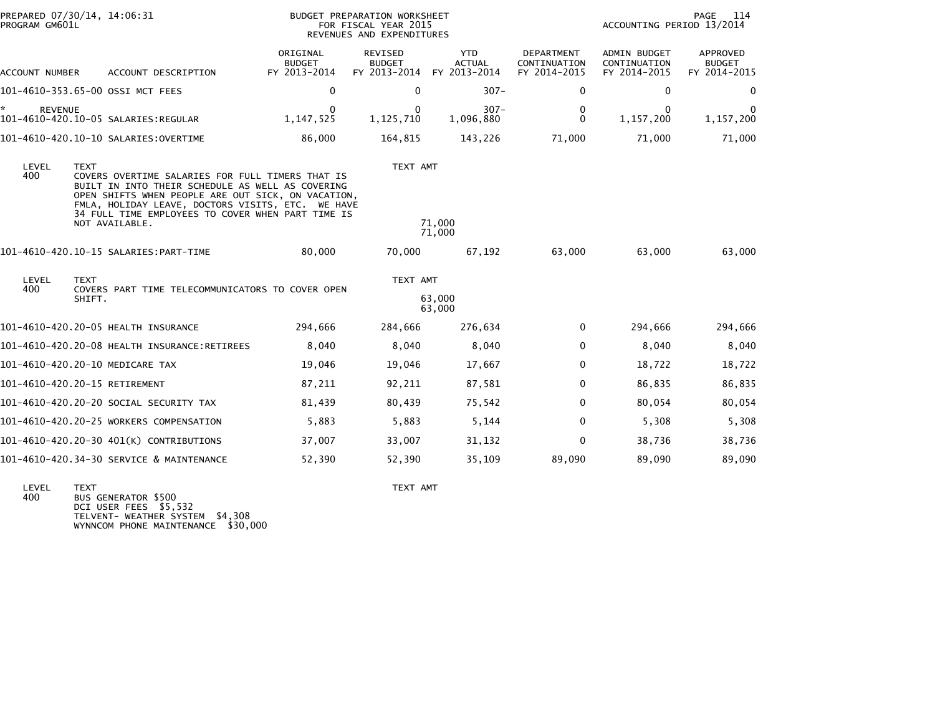| PREPARED 07/30/14, 14:06:31<br>PROGRAM GM601L |                                                                                                                                                                                                                                                                                        |                                           | BUDGET PREPARATION WORKSHEET<br>FOR FISCAL YEAR 2015<br>REVENUES AND EXPENDITURES |                                             | 114<br>PAGE<br>ACCOUNTING PERIOD 13/2014          |                                                     |                                           |
|-----------------------------------------------|----------------------------------------------------------------------------------------------------------------------------------------------------------------------------------------------------------------------------------------------------------------------------------------|-------------------------------------------|-----------------------------------------------------------------------------------|---------------------------------------------|---------------------------------------------------|-----------------------------------------------------|-------------------------------------------|
| ACCOUNT NUMBER                                | ACCOUNT DESCRIPTION                                                                                                                                                                                                                                                                    | ORIGINAL<br><b>BUDGET</b><br>FY 2013-2014 | REVISED<br><b>BUDGET</b><br>FY 2013-2014                                          | <b>YTD</b><br><b>ACTUAL</b><br>FY 2013-2014 | <b>DEPARTMENT</b><br>CONTINUATION<br>FY 2014-2015 | <b>ADMIN BUDGET</b><br>CONTINUATION<br>FY 2014-2015 | APPROVED<br><b>BUDGET</b><br>FY 2014-2015 |
|                                               | 101-4610-353.65-00 OSSI MCT FEES                                                                                                                                                                                                                                                       | 0                                         | 0                                                                                 | $307 -$                                     | $\Omega$                                          | 0                                                   | 0                                         |
| *<br><b>REVENUE</b>                           |                                                                                                                                                                                                                                                                                        | 0<br>1, 147, 525                          | 0<br>1, 125, 710                                                                  | $307 -$<br>1,096,880                        | 0<br>$\Omega$                                     | 0<br>1,157,200                                      | 0<br>1,157,200                            |
|                                               |                                                                                                                                                                                                                                                                                        | 86,000                                    | 164,815                                                                           | 143,226                                     | 71,000                                            | 71,000                                              | 71,000                                    |
| LEVEL<br><b>TEXT</b><br>400                   | COVERS OVERTIME SALARIES FOR FULL TIMERS THAT IS<br>BUILT IN INTO THEIR SCHEDULE AS WELL AS COVERING<br>OPEN SHIFTS WHEN PEOPLE ARE OUT SICK, ON VACATION,<br>FMLA, HOLIDAY LEAVE, DOCTORS VISITS, ETC. WE HAVE<br>34 FULL TIME EMPLOYEES TO COVER WHEN PART TIME IS<br>NOT AVAILABLE. |                                           | TEXT AMT                                                                          | 71,000                                      |                                                   |                                                     |                                           |
|                                               |                                                                                                                                                                                                                                                                                        | 80,000                                    | 70,000                                                                            | 71,000<br>67,192                            | 63,000                                            | 63,000                                              | 63,000                                    |
| LEVEL<br><b>TEXT</b>                          |                                                                                                                                                                                                                                                                                        |                                           | TEXT AMT                                                                          |                                             |                                                   |                                                     |                                           |
| 400                                           | COVERS PART TIME TELECOMMUNICATORS TO COVER OPEN<br>SHIFT.                                                                                                                                                                                                                             |                                           |                                                                                   | 63,000<br>63,000                            |                                                   |                                                     |                                           |
|                                               | 101-4610-420.20-05 HEALTH INSURANCE                                                                                                                                                                                                                                                    | 294,666                                   | 284,666                                                                           | 276,634                                     | $\mathbf{0}$                                      | 294,666                                             | 294,666                                   |
|                                               |                                                                                                                                                                                                                                                                                        | 8,040                                     | 8,040                                                                             | 8,040                                       | $\Omega$                                          | 8,040                                               | 8,040                                     |
|                                               | 101-4610-420.20-10 MEDICARE TAX                                                                                                                                                                                                                                                        | 19,046                                    | 19,046                                                                            | 17,667                                      | $\Omega$                                          | 18,722                                              | 18,722                                    |
| 101-4610-420.20-15 RETIREMENT                 |                                                                                                                                                                                                                                                                                        | 87,211                                    | 92,211                                                                            | 87,581                                      | $\Omega$                                          | 86,835                                              | 86,835                                    |
|                                               | 101-4610-420.20-20 SOCIAL SECURITY TAX                                                                                                                                                                                                                                                 | 81,439                                    | 80,439                                                                            | 75,542                                      | $\Omega$                                          | 80,054                                              | 80,054                                    |
|                                               | 101-4610-420.20-25 WORKERS COMPENSATION                                                                                                                                                                                                                                                | 5,883                                     | 5,883                                                                             | 5,144                                       | 0                                                 | 5,308                                               | 5,308                                     |
|                                               | 101-4610-420.20-30 401(K) CONTRIBUTIONS                                                                                                                                                                                                                                                | 37,007                                    | 33,007                                                                            | 31,132                                      | $\mathbf{0}$                                      | 38,736                                              | 38,736                                    |
|                                               | 101-4610-420.34-30 SERVICE & MAINTENANCE                                                                                                                                                                                                                                               | 52,390                                    | 52,390                                                                            | 35,109                                      | 89,090                                            | 89,090                                              | 89,090                                    |

LEVEL TEXT TEXT AMT 400 BUS GENERATOR \$500 DCI USER FEES \$5,532 TELVENT- WEATHER SYSTEM \$4,308 WYNNCOM PHONE MAINTENANCE \$30,000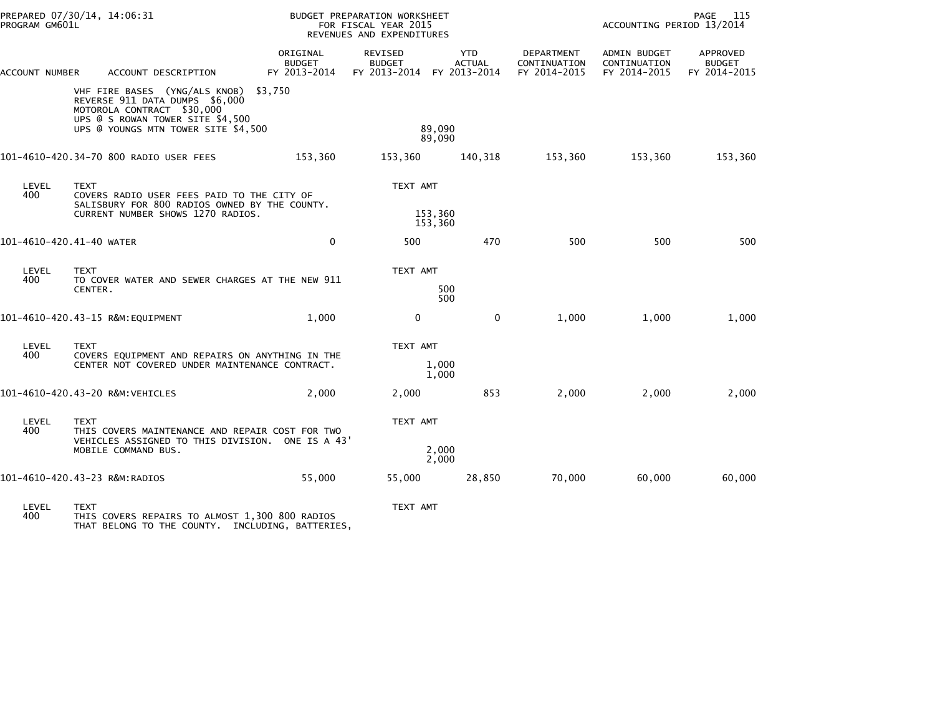| PROGRAM GM601L           | PREPARED 07/30/14, 14:06:31                                                                                                                                              | <b>BUDGET PREPARATION WORKSHEET</b><br>FOR FISCAL YEAR 2015<br>REVENUES AND EXPENDITURES |                                                       |                             |                                            | PAGE<br>115<br>ACCOUNTING PERIOD 13/2014     |                                           |
|--------------------------|--------------------------------------------------------------------------------------------------------------------------------------------------------------------------|------------------------------------------------------------------------------------------|-------------------------------------------------------|-----------------------------|--------------------------------------------|----------------------------------------------|-------------------------------------------|
| ACCOUNT NUMBER           | ACCOUNT DESCRIPTION                                                                                                                                                      | ORIGINAL<br><b>BUDGET</b><br>FY 2013-2014                                                | REVISED<br><b>BUDGET</b><br>FY 2013-2014 FY 2013-2014 | <b>YTD</b><br><b>ACTUAL</b> | DEPARTMENT<br>CONTINUATION<br>FY 2014-2015 | ADMIN BUDGET<br>CONTINUATION<br>FY 2014-2015 | APPROVED<br><b>BUDGET</b><br>FY 2014-2015 |
|                          | VHF FIRE BASES (YNG/ALS KNOB)<br>REVERSE 911 DATA DUMPS \$6,000<br>MOTOROLA CONTRACT \$30,000<br>UPS @ S ROWAN TOWER SITE \$4,500<br>UPS @ YOUNGS MTN TOWER SITE \$4,500 | \$3,750                                                                                  |                                                       | 89,090<br>89,090            |                                            |                                              |                                           |
|                          | 101-4610-420.34-70 800 RADIO USER FEES                                                                                                                                   | 153,360                                                                                  | 153,360                                               | 140,318                     | 153,360                                    | 153,360                                      | 153,360                                   |
| LEVEL<br>400             | <b>TEXT</b><br>COVERS RADIO USER FEES PAID TO THE CITY OF<br>SALISBURY FOR 800 RADIOS OWNED BY THE COUNTY.                                                               |                                                                                          | TEXT AMT<br>153,360<br>153,360                        |                             |                                            |                                              |                                           |
|                          | CURRENT NUMBER SHOWS 1270 RADIOS.                                                                                                                                        |                                                                                          |                                                       |                             |                                            |                                              |                                           |
| 101-4610-420.41-40 WATER |                                                                                                                                                                          | $\mathbf 0$                                                                              | 500                                                   | 470                         | 500                                        | 500                                          | 500                                       |
| LEVEL<br>400             | <b>TEXT</b><br>TO COVER WATER AND SEWER CHARGES AT THE NEW 911                                                                                                           |                                                                                          | TEXT AMT                                              |                             |                                            |                                              |                                           |
|                          | CENTER.                                                                                                                                                                  |                                                                                          | 500<br>500                                            |                             |                                            |                                              |                                           |
|                          | 101-4610-420.43-15 R&M:EQUIPMENT                                                                                                                                         | 1.000                                                                                    | $\mathbf 0$                                           | $\mathbf{0}$                | 1,000                                      | 1.000                                        | 1,000                                     |
| LEVEL<br>400             | <b>TEXT</b><br>COVERS EQUIPMENT AND REPAIRS ON ANYTHING IN THE                                                                                                           |                                                                                          | TEXT AMT                                              |                             |                                            |                                              |                                           |
|                          | CENTER NOT COVERED UNDER MAINTENANCE CONTRACT.                                                                                                                           |                                                                                          | 1.000<br>1,000                                        |                             |                                            |                                              |                                           |
|                          | 101-4610-420.43-20 R&M:VEHICLES                                                                                                                                          | 2,000                                                                                    | 2,000                                                 | 853                         | 2,000                                      | 2,000                                        | 2,000                                     |
| LEVEL<br>400             | <b>TEXT</b><br>THIS COVERS MAINTENANCE AND REPAIR COST FOR TWO                                                                                                           |                                                                                          | TEXT AMT                                              |                             |                                            |                                              |                                           |
|                          | VEHICLES ASSIGNED TO THIS DIVISION. ONE IS A 43'<br>MOBILE COMMAND BUS.                                                                                                  |                                                                                          |                                                       | 2,000<br>2,000              |                                            |                                              |                                           |
|                          | 101-4610-420.43-23 R&M:RADIOS                                                                                                                                            | 55,000                                                                                   | 55,000                                                | 28,850                      | 70,000                                     | 60,000                                       | 60,000                                    |
|                          |                                                                                                                                                                          |                                                                                          |                                                       |                             |                                            |                                              |                                           |

LEVEL TEXT TEXT AMT 400 THIS COVERS REPAIRS TO ALMOST 1,300 800 RADIOS THAT BELONG TO THE COUNTY. INCLUDING, BATTERIES,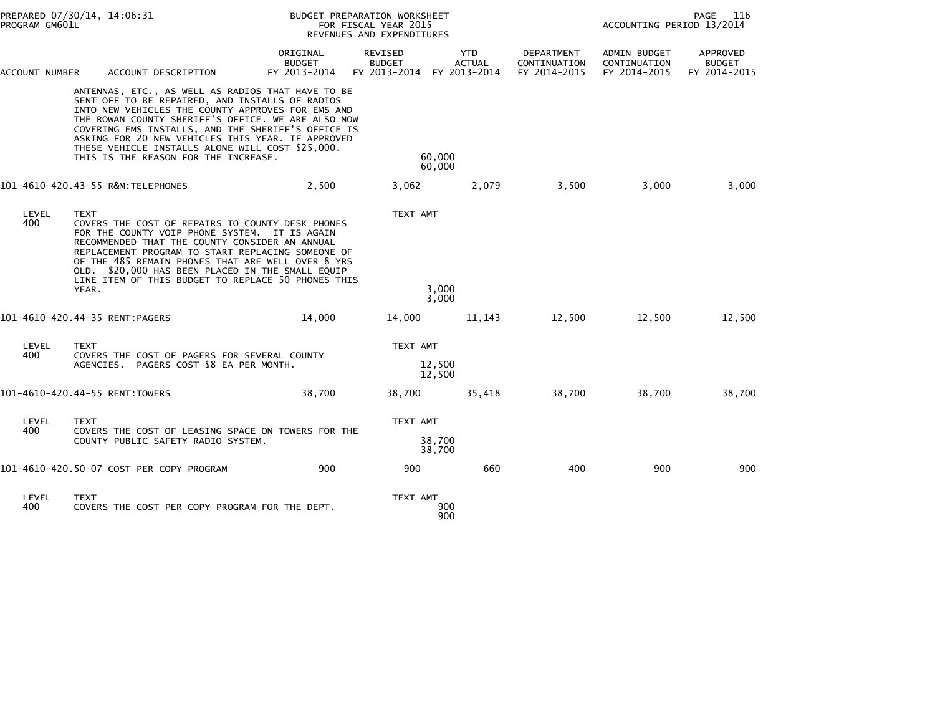| PREPARED 07/30/14, 14:06:31<br>PROGRAM GM601L |             |                                                                                                                                                                                                                                                                                                                                                                                                                        | BUDGET PREPARATION WORKSHEET<br>FOR FISCAL YEAR 2015<br>REVENUES AND EXPENDITURES |                                                 |                                             |                                            |                                              | PAGE<br>116<br>ACCOUNTING PERIOD 13/2014  |  |
|-----------------------------------------------|-------------|------------------------------------------------------------------------------------------------------------------------------------------------------------------------------------------------------------------------------------------------------------------------------------------------------------------------------------------------------------------------------------------------------------------------|-----------------------------------------------------------------------------------|-------------------------------------------------|---------------------------------------------|--------------------------------------------|----------------------------------------------|-------------------------------------------|--|
| ACCOUNT NUMBER                                |             | ACCOUNT DESCRIPTION                                                                                                                                                                                                                                                                                                                                                                                                    | ORIGINAL<br><b>BUDGET</b><br>FY 2013-2014                                         | <b>REVISED</b><br><b>BUDGET</b><br>FY 2013-2014 | <b>YTD</b><br><b>ACTUAL</b><br>FY 2013-2014 | DEPARTMENT<br>CONTINUATION<br>FY 2014-2015 | ADMIN BUDGET<br>CONTINUATION<br>FY 2014-2015 | APPROVED<br><b>BUDGET</b><br>FY 2014-2015 |  |
|                                               |             | ANTENNAS, ETC., AS WELL AS RADIOS THAT HAVE TO BE<br>SENT OFF TO BE REPAIRED, AND INSTALLS OF RADIOS<br>INTO NEW VEHICLES THE COUNTY APPROVES FOR EMS AND<br>THE ROWAN COUNTY SHERIFF'S OFFICE. WE ARE ALSO NOW<br>COVERING EMS INSTALLS, AND THE SHERIFF'S OFFICE IS<br>ASKING FOR 20 NEW VEHICLES THIS YEAR. IF APPROVED<br>THESE VEHICLE INSTALLS ALONE WILL COST \$25,000.<br>THIS IS THE REASON FOR THE INCREASE. |                                                                                   |                                                 | 60,000<br>60,000                            |                                            |                                              |                                           |  |
|                                               |             | 101-4610-420.43-55 R&M:TELEPHONES                                                                                                                                                                                                                                                                                                                                                                                      | 2,500                                                                             | 3,062                                           | 2,079                                       | 3,500                                      | 3,000                                        | 3,000                                     |  |
| LEVEL<br>400                                  | <b>TEXT</b> | COVERS THE COST OF REPAIRS TO COUNTY DESK PHONES<br>FOR THE COUNTY VOIP PHONE SYSTEM. IT IS AGAIN<br>RECOMMENDED THAT THE COUNTY CONSIDER AN ANNUAL<br>REPLACEMENT PROGRAM TO START REPLACING SOMEONE OF<br>OF THE 485 REMAIN PHONES THAT ARE WELL OVER 8 YRS<br>OLD. \$20,000 HAS BEEN PLACED IN THE SMALL EQUIP<br>LINE ITEM OF THIS BUDGET TO REPLACE 50 PHONES THIS                                                |                                                                                   | TEXT AMT                                        |                                             |                                            |                                              |                                           |  |
|                                               | YEAR.       |                                                                                                                                                                                                                                                                                                                                                                                                                        |                                                                                   |                                                 | 3,000<br>3,000                              |                                            |                                              |                                           |  |
| 101-4610-420.44-35 RENT:PAGERS                |             |                                                                                                                                                                                                                                                                                                                                                                                                                        | 14,000                                                                            | 14,000                                          | 11,143                                      | 12,500                                     | 12,500                                       | 12,500                                    |  |
| LEVEL<br>400                                  | <b>TEXT</b> | COVERS THE COST OF PAGERS FOR SEVERAL COUNTY<br>AGENCIES. PAGERS COST \$8 EA PER MONTH.                                                                                                                                                                                                                                                                                                                                |                                                                                   | TEXT AMT                                        | 12,500<br>12,500                            |                                            |                                              |                                           |  |
| 101-4610-420.44-55 RENT:TOWERS                |             |                                                                                                                                                                                                                                                                                                                                                                                                                        | 38,700                                                                            | 38,700                                          | 35,418                                      | 38,700                                     | 38,700                                       | 38,700                                    |  |
| LEVEL<br>400                                  | <b>TEXT</b> | COVERS THE COST OF LEASING SPACE ON TOWERS FOR THE<br>COUNTY PUBLIC SAFETY RADIO SYSTEM.                                                                                                                                                                                                                                                                                                                               |                                                                                   | TEXT AMT                                        | 38,700<br>38,700                            |                                            |                                              |                                           |  |
|                                               |             | 101-4610-420.50-07 COST PER COPY PROGRAM                                                                                                                                                                                                                                                                                                                                                                               | 900                                                                               | 900                                             | 660                                         | 400                                        | 900                                          | 900                                       |  |
| LEVEL<br>400                                  | TEXT        | COVERS THE COST PER COPY PROGRAM FOR THE DEPT.                                                                                                                                                                                                                                                                                                                                                                         |                                                                                   | TEXT AMT                                        | 900<br>900                                  |                                            |                                              |                                           |  |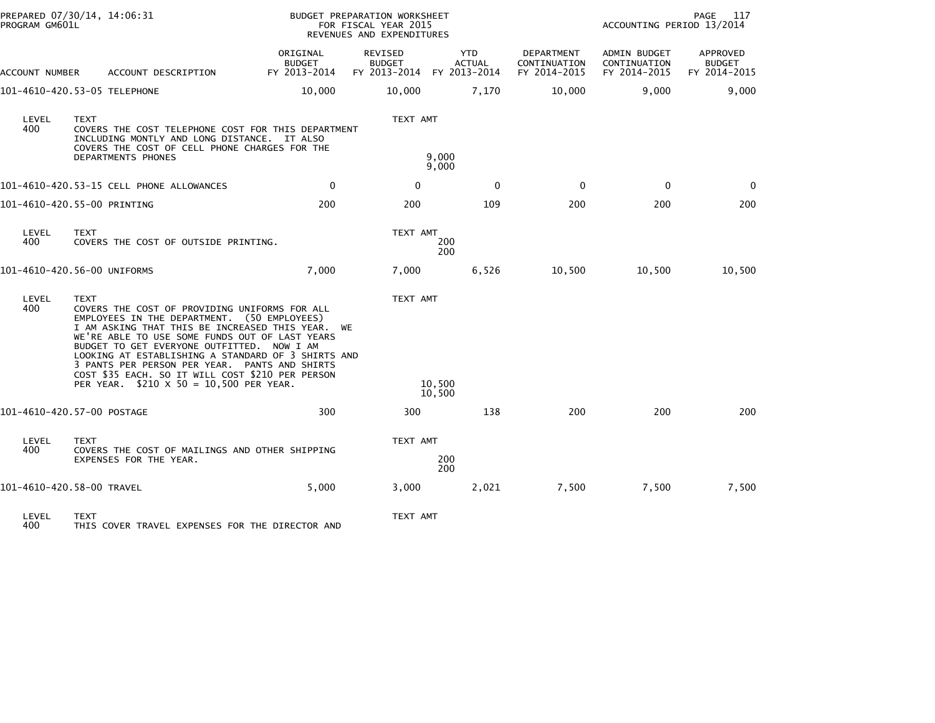|                              | PREPARED 07/30/14, 14:06:31<br>PROGRAM GM601L |                                                                                                                                                                                                                                                                                                                                                                                                                                                        |                                           | BUDGET PREPARATION WORKSHEET<br>FOR FISCAL YEAR 2015<br>REVENUES AND EXPENDITURES |                                             |                                                   | PAGE<br>117<br>ACCOUNTING PERIOD 13/2014     |                                           |  |
|------------------------------|-----------------------------------------------|--------------------------------------------------------------------------------------------------------------------------------------------------------------------------------------------------------------------------------------------------------------------------------------------------------------------------------------------------------------------------------------------------------------------------------------------------------|-------------------------------------------|-----------------------------------------------------------------------------------|---------------------------------------------|---------------------------------------------------|----------------------------------------------|-------------------------------------------|--|
| ACCOUNT NUMBER               |                                               | ACCOUNT DESCRIPTION                                                                                                                                                                                                                                                                                                                                                                                                                                    | ORIGINAL<br><b>BUDGET</b><br>FY 2013-2014 | <b>REVISED</b><br><b>BUDGET</b><br>FY 2013-2014                                   | <b>YTD</b><br><b>ACTUAL</b><br>FY 2013-2014 | <b>DEPARTMENT</b><br>CONTINUATION<br>FY 2014-2015 | ADMIN BUDGET<br>CONTINUATION<br>FY 2014-2015 | APPROVED<br><b>BUDGET</b><br>FY 2014-2015 |  |
| 101-4610-420.53-05 TELEPHONE |                                               |                                                                                                                                                                                                                                                                                                                                                                                                                                                        | 10,000                                    | 10,000                                                                            | 7,170                                       | 10,000                                            | 9,000                                        | 9,000                                     |  |
| LEVEL<br>400                 | <b>TEXT</b><br>DEPARTMENTS PHONES             | COVERS THE COST TELEPHONE COST FOR THIS DEPARTMENT<br>INCLUDING MONTLY AND LONG DISTANCE. IT ALSO<br>COVERS THE COST OF CELL PHONE CHARGES FOR THE                                                                                                                                                                                                                                                                                                     |                                           | TEXT AMT                                                                          | 9,000<br>9,000                              |                                                   |                                              |                                           |  |
|                              |                                               | 101-4610-420.53-15 CELL PHONE ALLOWANCES                                                                                                                                                                                                                                                                                                                                                                                                               | $\mathbf 0$                               | 0                                                                                 | $\mathbf 0$                                 | $\Omega$                                          | $\mathbf 0$                                  | 0                                         |  |
| 101-4610-420.55-00 PRINTING  |                                               |                                                                                                                                                                                                                                                                                                                                                                                                                                                        | 200                                       | 200                                                                               | 109                                         | 200                                               | 200                                          | 200                                       |  |
| LEVEL<br>400                 | <b>TEXT</b>                                   | COVERS THE COST OF OUTSIDE PRINTING.                                                                                                                                                                                                                                                                                                                                                                                                                   |                                           | TEXT AMT                                                                          | 200<br>200                                  |                                                   |                                              |                                           |  |
| 101-4610-420.56-00 UNIFORMS  |                                               |                                                                                                                                                                                                                                                                                                                                                                                                                                                        | 7,000                                     | 7,000                                                                             | 6,526                                       | 10,500                                            | 10,500                                       | 10,500                                    |  |
| LEVEL<br>400                 | <b>TEXT</b>                                   | COVERS THE COST OF PROVIDING UNIFORMS FOR ALL<br>EMPLOYEES IN THE DEPARTMENT. (50 EMPLOYEES)<br>I AM ASKING THAT THIS BE INCREASED THIS YEAR. WE<br>WE'RE ABLE TO USE SOME FUNDS OUT OF LAST YEARS<br>BUDGET TO GET EVERYONE OUTFITTED. NOW I AM<br>LOOKING AT ESTABLISHING A STANDARD OF 3 SHIRTS AND<br>3 PANTS PER PERSON PER YEAR. PANTS AND SHIRTS<br>COST \$35 EACH. SO IT WILL COST \$210 PER PERSON<br>PER YEAR. \$210 X 50 = 10,500 PER YEAR. |                                           | TEXT AMT                                                                          | 10.500                                      |                                                   |                                              |                                           |  |
|                              |                                               |                                                                                                                                                                                                                                                                                                                                                                                                                                                        |                                           |                                                                                   | 10,500                                      |                                                   |                                              |                                           |  |
| 101-4610-420.57-00 POSTAGE   |                                               |                                                                                                                                                                                                                                                                                                                                                                                                                                                        | 300                                       | 300                                                                               | 138                                         | 200                                               | 200                                          | 200                                       |  |
| LEVEL<br>400                 | <b>TEXT</b>                                   | COVERS THE COST OF MAILINGS AND OTHER SHIPPING<br>EXPENSES FOR THE YEAR.                                                                                                                                                                                                                                                                                                                                                                               |                                           | TEXT AMT                                                                          | 200<br>200                                  |                                                   |                                              |                                           |  |
| 101-4610-420.58-00 TRAVEL    |                                               |                                                                                                                                                                                                                                                                                                                                                                                                                                                        | 5,000                                     | 3,000                                                                             | 2,021                                       | 7,500                                             | 7,500                                        | 7,500                                     |  |
| LEVEL<br>400                 | <b>TEXT</b>                                   | THIS COVER TRAVEL EXPENSES FOR THE DIRECTOR AND                                                                                                                                                                                                                                                                                                                                                                                                        |                                           | TEXT AMT                                                                          |                                             |                                                   |                                              |                                           |  |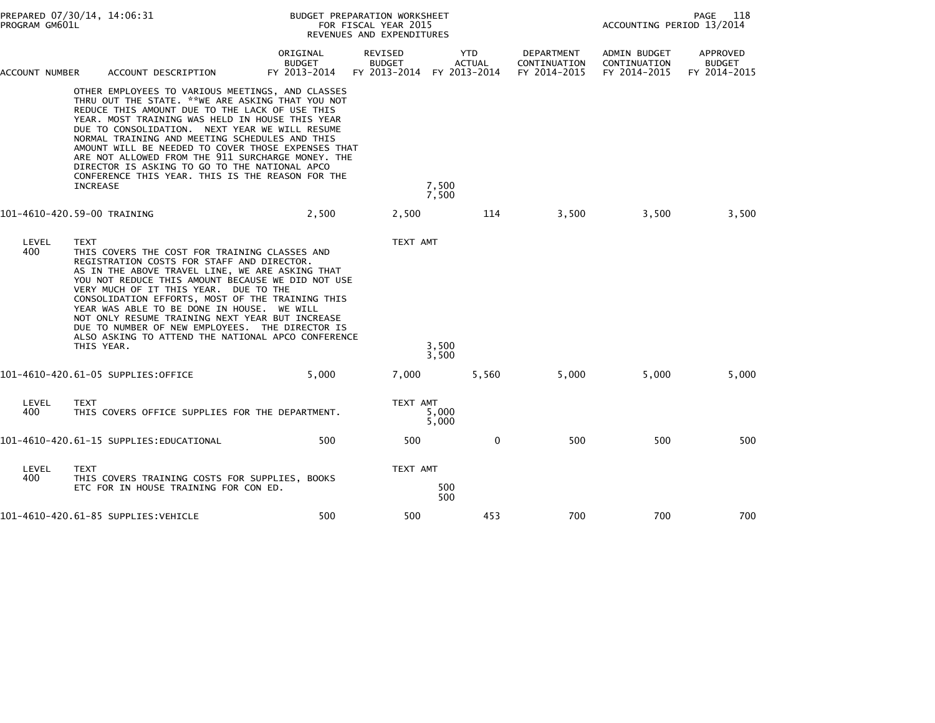| PREPARED 07/30/14, 14:06:31<br>PROGRAM GM601L |                           |                                                                                                                                                                                                                                                                                                                                                                                                                                                                                                                               | BUDGET PREPARATION WORKSHEET<br>FOR FISCAL YEAR 2015<br>REVENUES AND EXPENDITURES |                          |                                                          |                                            | PAGE<br>118<br>ACCOUNTING PERIOD 13/2014     |                                           |  |
|-----------------------------------------------|---------------------------|-------------------------------------------------------------------------------------------------------------------------------------------------------------------------------------------------------------------------------------------------------------------------------------------------------------------------------------------------------------------------------------------------------------------------------------------------------------------------------------------------------------------------------|-----------------------------------------------------------------------------------|--------------------------|----------------------------------------------------------|--------------------------------------------|----------------------------------------------|-------------------------------------------|--|
| ACCOUNT NUMBER                                |                           | ACCOUNT DESCRIPTION                                                                                                                                                                                                                                                                                                                                                                                                                                                                                                           | ORIGINAL<br><b>BUDGET</b><br>FY 2013-2014                                         | REVISED<br><b>BUDGET</b> | <b>YTD</b><br><b>ACTUAL</b><br>FY 2013-2014 FY 2013-2014 | DEPARTMENT<br>CONTINUATION<br>FY 2014-2015 | ADMIN BUDGET<br>CONTINUATION<br>FY 2014-2015 | APPROVED<br><b>BUDGET</b><br>FY 2014-2015 |  |
|                                               | INCREASE                  | OTHER EMPLOYEES TO VARIOUS MEETINGS, AND CLASSES<br>THRU OUT THE STATE. **WE ARE ASKING THAT YOU NOT<br>REDUCE THIS AMOUNT DUE TO THE LACK OF USE THIS<br>YEAR. MOST TRAINING WAS HELD IN HOUSE THIS YEAR<br>DUE TO CONSOLIDATION. NEXT YEAR WE WILL RESUME<br>NORMAL TRAINING AND MEETING SCHEDULES AND THIS<br>AMOUNT WILL BE NEEDED TO COVER THOSE EXPENSES THAT<br>ARE NOT ALLOWED FROM THE 911 SURCHARGE MONEY. THE<br>DIRECTOR IS ASKING TO GO TO THE NATIONAL APCO<br>CONFERENCE THIS YEAR. THIS IS THE REASON FOR THE |                                                                                   |                          | 7,500<br>7,500                                           |                                            |                                              |                                           |  |
| 101-4610-420.59-00 TRAINING                   |                           |                                                                                                                                                                                                                                                                                                                                                                                                                                                                                                                               | 2,500                                                                             | 2,500                    | 114                                                      | 3,500                                      | 3.500                                        | 3,500                                     |  |
| LEVEL<br>400                                  | <b>TEXT</b><br>THIS YEAR. | THIS COVERS THE COST FOR TRAINING CLASSES AND<br>REGISTRATION COSTS FOR STAFF AND DIRECTOR.<br>AS IN THE ABOVE TRAVEL LINE, WE ARE ASKING THAT<br>YOU NOT REDUCE THIS AMOUNT BECAUSE WE DID NOT USE<br>VERY MUCH OF IT THIS YEAR. DUE TO THE<br>CONSOLIDATION EFFORTS, MOST OF THE TRAINING THIS<br>YEAR WAS ABLE TO BE DONE IN HOUSE. WE WILL<br>NOT ONLY RESUME TRAINING NEXT YEAR BUT INCREASE<br>DUE TO NUMBER OF NEW EMPLOYEES. THE DIRECTOR IS<br>ALSO ASKING TO ATTEND THE NATIONAL APCO CONFERENCE                    |                                                                                   | TEXT AMT                 | 3,500<br>3,500                                           |                                            |                                              |                                           |  |
|                                               |                           | 101-4610-420.61-05 SUPPLIES:OFFICE                                                                                                                                                                                                                                                                                                                                                                                                                                                                                            | 5,000                                                                             | 7,000                    | 5,560                                                    | 5,000                                      | 5,000                                        | 5,000                                     |  |
| LEVEL<br>400                                  | <b>TEXT</b>               | THIS COVERS OFFICE SUPPLIES FOR THE DEPARTMENT.                                                                                                                                                                                                                                                                                                                                                                                                                                                                               |                                                                                   | TEXT AMT                 | 5,000<br>5,000                                           |                                            |                                              |                                           |  |
|                                               |                           | 101-4610-420.61-15 SUPPLIES:EDUCATIONAL                                                                                                                                                                                                                                                                                                                                                                                                                                                                                       | 500                                                                               | 500                      | $\mathbf 0$                                              | 500                                        | 500                                          | 500                                       |  |
| LEVEL<br>400                                  | <b>TEXT</b>               | THIS COVERS TRAINING COSTS FOR SUPPLIES, BOOKS<br>ETC FOR IN HOUSE TRAINING FOR CON ED.                                                                                                                                                                                                                                                                                                                                                                                                                                       |                                                                                   | TEXT AMT                 | 500<br>500                                               |                                            |                                              |                                           |  |
|                                               |                           | 101-4610-420.61-85 SUPPLIES:VEHICLE                                                                                                                                                                                                                                                                                                                                                                                                                                                                                           | 500                                                                               | 500                      | 453                                                      | 700                                        | 700                                          | 700                                       |  |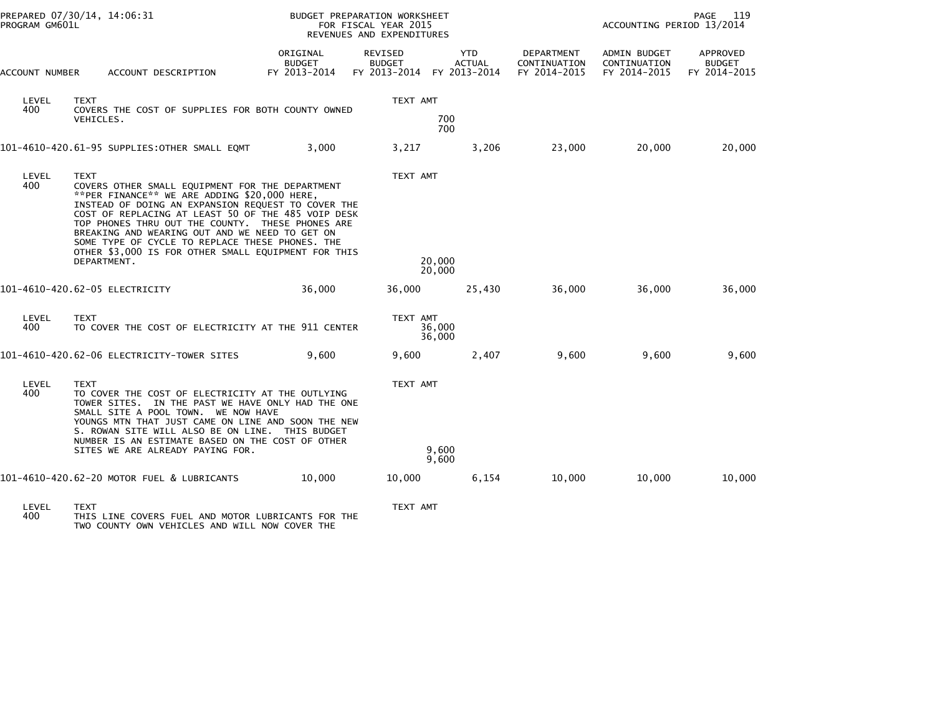| PROGRAM GM601L | PREPARED 07/30/14, 14:06:31                                                                                                                                                                                                                                                                                                                                                                                                                               |                                           | <b>BUDGET PREPARATION WORKSHEET</b><br>FOR FISCAL YEAR 2015<br>REVENUES AND EXPENDITURES |                                             |                                            | PAGE<br>119<br>ACCOUNTING PERIOD 13/2014     |                                           |  |
|----------------|-----------------------------------------------------------------------------------------------------------------------------------------------------------------------------------------------------------------------------------------------------------------------------------------------------------------------------------------------------------------------------------------------------------------------------------------------------------|-------------------------------------------|------------------------------------------------------------------------------------------|---------------------------------------------|--------------------------------------------|----------------------------------------------|-------------------------------------------|--|
| ACCOUNT NUMBER | ACCOUNT DESCRIPTION                                                                                                                                                                                                                                                                                                                                                                                                                                       | ORIGINAL<br><b>BUDGET</b><br>FY 2013-2014 | <b>REVISED</b><br><b>BUDGET</b><br>FY 2013-2014                                          | <b>YTD</b><br><b>ACTUAL</b><br>FY 2013-2014 | DEPARTMENT<br>CONTINUATION<br>FY 2014-2015 | ADMIN BUDGET<br>CONTINUATION<br>FY 2014-2015 | APPROVED<br><b>BUDGET</b><br>FY 2014-2015 |  |
| LEVEL<br>400   | <b>TEXT</b><br>COVERS THE COST OF SUPPLIES FOR BOTH COUNTY OWNED<br>VEHICLES.                                                                                                                                                                                                                                                                                                                                                                             |                                           | TEXT AMT                                                                                 | 700                                         |                                            |                                              |                                           |  |
|                | 101-4610-420.61-95 SUPPLIES:OTHER SMALL EQMT                                                                                                                                                                                                                                                                                                                                                                                                              | 3,000                                     | 3,217                                                                                    | 700<br>3,206                                | 23,000                                     | 20,000                                       | 20,000                                    |  |
| LEVEL<br>400   | <b>TEXT</b><br>COVERS OTHER SMALL EQUIPMENT FOR THE DEPARTMENT<br>**PER FINANCE** WE ARE ADDING \$20,000 HERE,<br>INSTEAD OF DOING AN EXPANSION REQUEST TO COVER THE<br>COST OF REPLACING AT LEAST 50 OF THE 485 VOIP DESK<br>TOP PHONES THRU OUT THE COUNTY. THESE PHONES ARE<br>BREAKING AND WEARING OUT AND WE NEED TO GET ON<br>SOME TYPE OF CYCLE TO REPLACE THESE PHONES. THE<br>OTHER \$3,000 IS FOR OTHER SMALL EQUIPMENT FOR THIS<br>DEPARTMENT. |                                           | TEXT AMT<br>20,000<br>20,000                                                             |                                             |                                            |                                              |                                           |  |
|                | 101-4610-420.62-05 ELECTRICITY                                                                                                                                                                                                                                                                                                                                                                                                                            | 36,000                                    | 36,000                                                                                   | 25,430                                      | 36,000                                     | 36,000                                       | 36,000                                    |  |
| LEVEL<br>400   | <b>TEXT</b><br>TO COVER THE COST OF ELECTRICITY AT THE 911 CENTER                                                                                                                                                                                                                                                                                                                                                                                         |                                           | TEXT AMT<br>36,000<br>36,000                                                             |                                             |                                            |                                              |                                           |  |
|                | 101-4610-420.62-06 ELECTRICITY-TOWER SITES                                                                                                                                                                                                                                                                                                                                                                                                                | 9,600                                     | 9,600                                                                                    | 2,407                                       | 9,600                                      | 9,600                                        | 9,600                                     |  |
| LEVEL<br>400   | <b>TEXT</b><br>TO COVER THE COST OF ELECTRICITY AT THE OUTLYING<br>TOWER SITES. IN THE PAST WE HAVE ONLY HAD THE ONE<br>SMALL SITE A POOL TOWN. WE NOW HAVE<br>YOUNGS MTN THAT JUST CAME ON LINE AND SOON THE NEW<br>S. ROWAN SITE WILL ALSO BE ON LINE. THIS BUDGET<br>NUMBER IS AN ESTIMATE BASED ON THE COST OF OTHER<br>SITES WE ARE ALREADY PAYING FOR.                                                                                              |                                           | TEXT AMT<br>9,600                                                                        | 9,600                                       |                                            |                                              |                                           |  |
|                | 101-4610-420.62-20 MOTOR FUEL & LUBRICANTS                                                                                                                                                                                                                                                                                                                                                                                                                | 10,000                                    | 10,000                                                                                   | 6,154                                       | 10,000                                     | 10,000                                       | 10,000                                    |  |
| <b>LEVEL</b>   | <b>TEXT</b>                                                                                                                                                                                                                                                                                                                                                                                                                                               |                                           | TEXT AMT                                                                                 |                                             |                                            |                                              |                                           |  |

LEVEL TEXT TEXT AMT 400 THIS LINE COVERS FUEL AND MOTOR LUBRICANTS FOR THE TWO COUNTY OWN VEHICLES AND WILL NOW COVER THE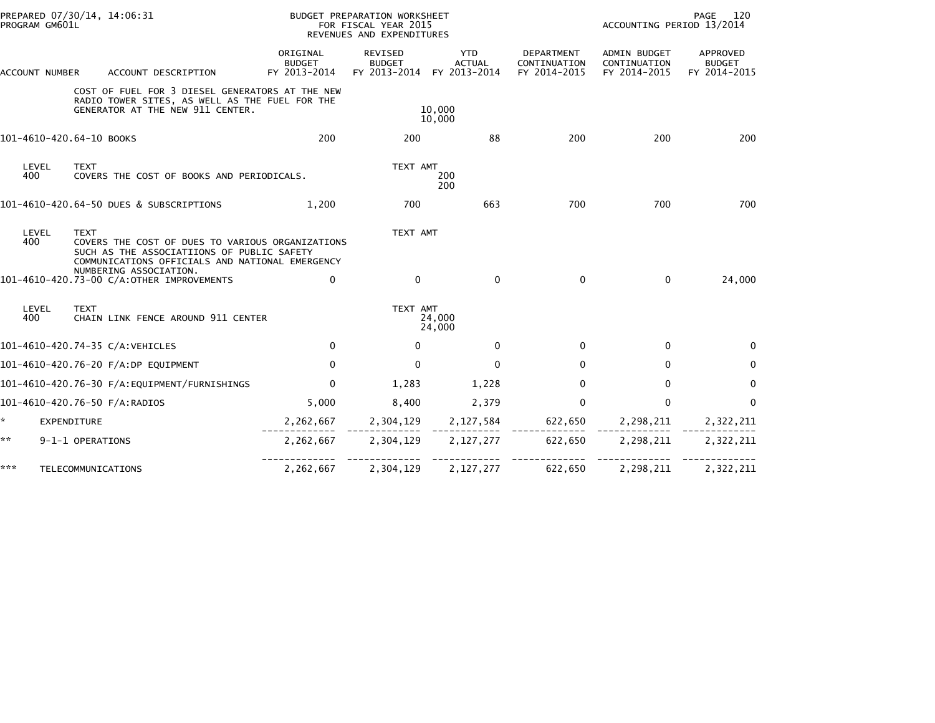| PROGRAM GM601L           | PREPARED 07/30/14, 14:06:31                                                                                                                                                                                                             | BUDGET PREPARATION WORKSHEET<br>FOR FISCAL YEAR 2015<br>REVENUES AND EXPENDITURES |                                          |                                      |                                            | 120<br>PAGE<br>ACCOUNTING PERIOD 13/2014     |                                           |  |
|--------------------------|-----------------------------------------------------------------------------------------------------------------------------------------------------------------------------------------------------------------------------------------|-----------------------------------------------------------------------------------|------------------------------------------|--------------------------------------|--------------------------------------------|----------------------------------------------|-------------------------------------------|--|
| ACCOUNT NUMBER           | ACCOUNT DESCRIPTION                                                                                                                                                                                                                     | ORIGINAL<br><b>BUDGET</b><br>FY 2013-2014                                         | REVISED<br><b>BUDGET</b><br>FY 2013-2014 | YTD<br><b>ACTUAL</b><br>FY 2013-2014 | DEPARTMENT<br>CONTINUATION<br>FY 2014-2015 | ADMIN BUDGET<br>CONTINUATION<br>FY 2014-2015 | APPROVED<br><b>BUDGET</b><br>FY 2014-2015 |  |
|                          | COST OF FUEL FOR 3 DIESEL GENERATORS AT THE NEW<br>RADIO TOWER SITES, AS WELL AS THE FUEL FOR THE<br>GENERATOR AT THE NEW 911 CENTER.                                                                                                   |                                                                                   |                                          | 10,000<br>10,000                     |                                            |                                              |                                           |  |
| 101-4610-420.64-10 BOOKS |                                                                                                                                                                                                                                         | 200                                                                               | 200                                      | 88                                   | 200                                        | 200                                          | 200                                       |  |
| LEVEL<br>400             | <b>TEXT</b><br>COVERS THE COST OF BOOKS AND PERIODICALS.                                                                                                                                                                                |                                                                                   | TEXT AMT                                 | 200<br>200                           |                                            |                                              |                                           |  |
|                          | 101-4610-420.64-50 DUES & SUBSCRIPTIONS                                                                                                                                                                                                 | 1.200                                                                             | 700                                      | 663                                  | 700                                        | 700                                          | 700                                       |  |
| LEVEL<br>400             | <b>TEXT</b><br>COVERS THE COST OF DUES TO VARIOUS ORGANIZATIONS<br>SUCH AS THE ASSOCIATIIONS OF PUBLIC SAFETY<br>COMMUNICATIONS OFFICIALS AND NATIONAL EMERGENCY<br>NUMBERING ASSOCIATION.<br>101-4610-420.73-00 C/A:OTHER IMPROVEMENTS | $\mathbf{0}$                                                                      | TEXT AMT<br>$\Omega$                     | 0                                    | 0                                          | $\mathbf{0}$                                 | 24,000                                    |  |
|                          |                                                                                                                                                                                                                                         |                                                                                   |                                          |                                      |                                            |                                              |                                           |  |
| LEVEL<br>400             | <b>TEXT</b><br>CHAIN LINK FENCE AROUND 911 CENTER                                                                                                                                                                                       |                                                                                   | TEXT AMT                                 | 24,000<br>24,000                     |                                            |                                              |                                           |  |
|                          | 101-4610-420.74-35 C/A:VEHICLES                                                                                                                                                                                                         | $\mathbf 0$                                                                       | $\Omega$                                 | $\mathbf 0$                          | 0                                          | $\mathbf 0$                                  | $\Omega$                                  |  |
|                          | 101-4610-420.76-20 F/A:DP EQUIPMENT                                                                                                                                                                                                     | $\mathbf{0}$                                                                      | $\mathbf{0}$                             | $\mathbf{0}$                         | $\Omega$                                   | $\mathbf{0}$                                 | 0                                         |  |
|                          | 101-4610-420.76-30 F/A:EQUIPMENT/FURNISHINGS                                                                                                                                                                                            | $\mathbf{0}$                                                                      | 1,283                                    | 1,228                                | $\Omega$                                   | $\mathbf{0}$                                 | $\Omega$                                  |  |
|                          | 101-4610-420.76-50 F/A:RADIOS                                                                                                                                                                                                           | 5,000                                                                             | 8,400                                    | 2,379                                | $\Omega$                                   | $\mathbf{0}$                                 | $\Omega$                                  |  |
| ÷.<br>EXPENDITURE        |                                                                                                                                                                                                                                         | 2,262,667                                                                         | 2,304,129                                | 2,127,584                            | 622,650                                    | 2,298,211                                    | 2,322,211                                 |  |
| **                       | 9-1-1 OPERATIONS                                                                                                                                                                                                                        | 2,262,667                                                                         | 2,304,129                                | 2,127,277                            | 622,650                                    | 2,298,211                                    | 2,322,211                                 |  |
| ***                      | TELECOMMUNICATIONS                                                                                                                                                                                                                      | 2,262,667                                                                         | 2,304,129                                | 2,127,277                            | 622,650                                    | 2,298,211                                    | 2,322,211                                 |  |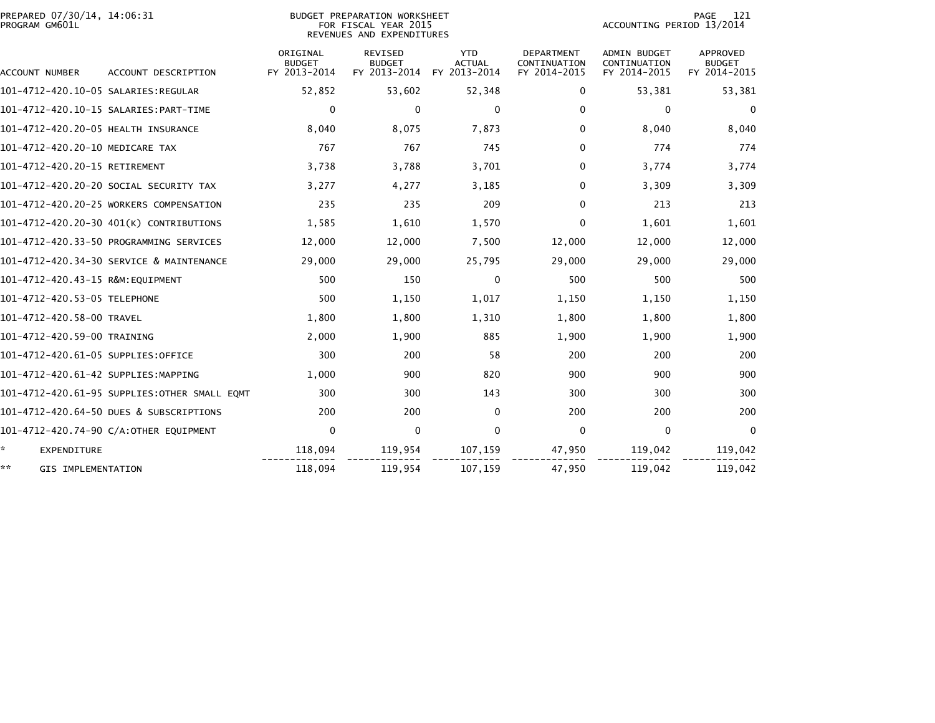| PREPARED 07/30/14, 14:06:31<br>PROGRAM GM601L |                                              |                                           | BUDGET PREPARATION WORKSHEET<br>FOR FISCAL YEAR 2015<br>REVENUES AND EXPENDITURES |                                             | 121<br>PAGE<br>ACCOUNTING PERIOD 13/2014   |                                              |                                           |  |
|-----------------------------------------------|----------------------------------------------|-------------------------------------------|-----------------------------------------------------------------------------------|---------------------------------------------|--------------------------------------------|----------------------------------------------|-------------------------------------------|--|
| ACCOUNT NUMBER                                | ACCOUNT DESCRIPTION                          | ORIGINAL<br><b>BUDGET</b><br>FY 2013-2014 | <b>REVISED</b><br><b>BUDGET</b><br>FY 2013-2014                                   | <b>YTD</b><br><b>ACTUAL</b><br>FY 2013-2014 | DEPARTMENT<br>CONTINUATION<br>FY 2014-2015 | ADMIN BUDGET<br>CONTINUATION<br>FY 2014-2015 | APPROVED<br><b>BUDGET</b><br>FY 2014-2015 |  |
|                                               |                                              | 52,852                                    | 53,602                                                                            | 52,348                                      | 0                                          | 53,381                                       | 53,381                                    |  |
|                                               |                                              | $\mathbf 0$                               | $\Omega$                                                                          |                                             | $\Omega$                                   |                                              |                                           |  |
|                                               |                                              |                                           |                                                                                   | 0                                           |                                            | 0                                            | $\mathbf{0}$                              |  |
| 101-4712-420.20-05 HEALTH INSURANCE           |                                              | 8,040                                     | 8,075                                                                             | 7,873                                       | $\Omega$                                   | 8,040                                        | 8,040                                     |  |
| 101-4712-420.20-10 MEDICARE TAX               |                                              | 767                                       | 767                                                                               | 745                                         | $\Omega$                                   | 774                                          | 774                                       |  |
| 101-4712-420.20-15 RETIREMENT                 |                                              | 3,738                                     | 3,788                                                                             | 3,701                                       | 0                                          | 3,774                                        | 3,774                                     |  |
|                                               | 101-4712-420.20-20 SOCIAL SECURITY TAX       | 3,277                                     | 4,277                                                                             | 3,185                                       | 0                                          | 3,309                                        | 3,309                                     |  |
|                                               | 101-4712-420.20-25 WORKERS COMPENSATION      | 235                                       | 235                                                                               | 209                                         | 0                                          | 213                                          | 213                                       |  |
|                                               | 101-4712-420.20-30 401(K) CONTRIBUTIONS      | 1,585                                     | 1,610                                                                             | 1,570                                       | $\Omega$                                   | 1,601                                        | 1,601                                     |  |
|                                               | 101-4712-420.33-50 PROGRAMMING SERVICES      | 12,000                                    | 12,000                                                                            | 7,500                                       | 12,000                                     | 12,000                                       | 12,000                                    |  |
|                                               | 101-4712-420.34-30 SERVICE & MAINTENANCE     | 29,000                                    | 29,000                                                                            | 25,795                                      | 29,000                                     | 29,000                                       | 29,000                                    |  |
| 101-4712-420.43-15 R&M:EQUIPMENT              |                                              | 500                                       | 150                                                                               | 0                                           | 500                                        | 500                                          | 500                                       |  |
| 101-4712-420.53-05 TELEPHONE                  |                                              | 500                                       | 1,150                                                                             | 1,017                                       | 1,150                                      | 1,150                                        | 1,150                                     |  |
| 101-4712-420.58-00 TRAVEL                     |                                              | 1,800                                     | 1,800                                                                             | 1,310                                       | 1,800                                      | 1,800                                        | 1,800                                     |  |
| 101-4712-420.59-00 TRAINING                   |                                              | 2,000                                     | 1,900                                                                             | 885                                         | 1,900                                      | 1,900                                        | 1,900                                     |  |
| 101-4712-420.61-05 SUPPLIES:OFFICE            |                                              | 300                                       | 200                                                                               | 58                                          | 200                                        | 200                                          | 200                                       |  |
| 101-4712-420.61-42 SUPPLIES:MAPPING           |                                              | 1,000                                     | 900                                                                               | 820                                         | 900                                        | 900                                          | 900                                       |  |
|                                               | 101-4712-420.61-95 SUPPLIES:OTHER SMALL EQMT | 300                                       | 300                                                                               | 143                                         | 300                                        | 300                                          | 300                                       |  |
|                                               | 101-4712-420.64-50 DUES & SUBSCRIPTIONS      | 200                                       | 200                                                                               | $\mathbf{0}$                                | 200                                        | 200                                          | 200                                       |  |
|                                               | 101-4712-420.74-90 C/A:OTHER EQUIPMENT       | $\mathbf 0$                               | $\mathbf 0$                                                                       | $\mathbf 0$                                 | 0                                          | $\mathbf 0$                                  | $\mathbf{0}$                              |  |
| ÷.<br><b>EXPENDITURE</b>                      |                                              | 118,094                                   | 119,954                                                                           | 107,159                                     | 47,950                                     | 119,042                                      | 119,042                                   |  |
| **<br>GIS IMPLEMENTATION                      |                                              | 118,094                                   | 119,954                                                                           | 107,159                                     | 47,950                                     | 119,042                                      | 119,042                                   |  |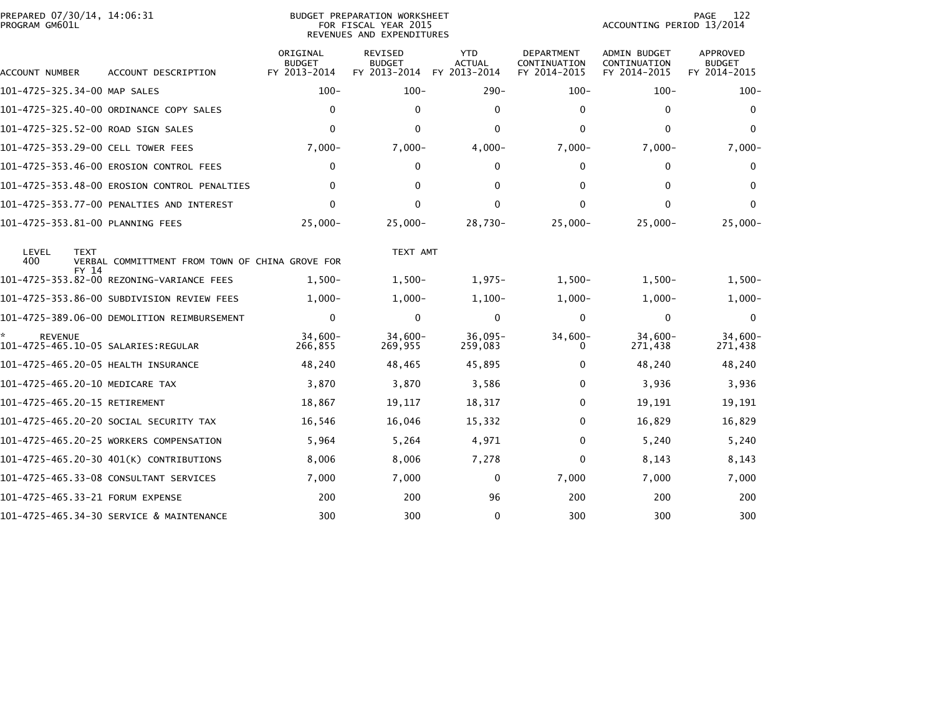| PREPARED 07/30/14, 14:06:31<br>PROGRAM GM601L |                                                 | <b>BUDGET PREPARATION WORKSHEET</b><br>FOR FISCAL YEAR 2015<br>REVENUES AND EXPENDITURES |                                                 |                                             |                                                   |                                                     | PAGE<br>122<br>ACCOUNTING PERIOD 13/2014  |  |  |
|-----------------------------------------------|-------------------------------------------------|------------------------------------------------------------------------------------------|-------------------------------------------------|---------------------------------------------|---------------------------------------------------|-----------------------------------------------------|-------------------------------------------|--|--|
| ACCOUNT NUMBER                                | ACCOUNT DESCRIPTION                             | ORIGINAL<br><b>BUDGET</b><br>FY 2013-2014                                                | <b>REVISED</b><br><b>BUDGET</b><br>FY 2013-2014 | <b>YTD</b><br><b>ACTUAL</b><br>FY 2013-2014 | <b>DEPARTMENT</b><br>CONTINUATION<br>FY 2014-2015 | <b>ADMIN BUDGET</b><br>CONTINUATION<br>FY 2014-2015 | APPROVED<br><b>BUDGET</b><br>FY 2014-2015 |  |  |
| 101-4725-325.34-00 MAP SALES                  |                                                 | $100 -$                                                                                  | $100 -$                                         | $290 -$                                     | $100 -$                                           | $100 -$                                             | $100 -$                                   |  |  |
|                                               | 101-4725-325.40-00 ORDINANCE COPY SALES         | $\mathbf{0}$                                                                             | $\Omega$                                        | $\Omega$                                    | $\mathbf{0}$                                      | 0                                                   | $\mathbf{0}$                              |  |  |
| 101-4725-325.52-00 ROAD SIGN SALES            |                                                 | $\mathbf{0}$                                                                             | $\mathbf{0}$                                    | $\Omega$                                    | $\Omega$                                          | $\Omega$                                            | $\Omega$                                  |  |  |
| 101-4725-353.29-00 CELL TOWER FEES            |                                                 | $7,000-$                                                                                 | $7,000-$                                        | $4,000-$                                    | $7,000-$                                          | $7,000-$                                            | $7,000-$                                  |  |  |
|                                               | 101-4725-353.46-00 EROSION CONTROL FEES         | 0                                                                                        | 0                                               | $\Omega$                                    | $\Omega$                                          | 0                                                   | 0                                         |  |  |
|                                               | 101-4725-353.48-00 EROSION CONTROL PENALTIES    | $\mathbf{0}$                                                                             | $\Omega$                                        | $\Omega$                                    | $\Omega$                                          | 0                                                   | $\Omega$                                  |  |  |
|                                               | 101-4725-353.77-00 PENALTIES AND INTEREST       | $\Omega$                                                                                 | $\mathbf{0}$                                    | $\mathbf{0}$                                | $\Omega$                                          | $\mathbf{0}$                                        | 0                                         |  |  |
| 101-4725-353.81-00 PLANNING FEES              |                                                 | $25,000 -$                                                                               | $25,000 -$                                      | $28,730-$                                   | $25,000-$                                         | $25,000-$                                           | $25,000 -$                                |  |  |
| <b>LEVEL</b><br><b>TEXT</b><br>400            | VERBAL COMMITTMENT FROM TOWN OF CHINA GROVE FOR |                                                                                          | TEXT AMT                                        |                                             |                                                   |                                                     |                                           |  |  |
| FY 14                                         | 101-4725-353.82-00 REZONING-VARIANCE FEES       | $1.500 -$                                                                                | $1,500-$                                        | $1,975-$                                    | $1,500-$                                          | $1,500-$                                            | $1,500-$                                  |  |  |
|                                               | 101-4725-353.86-00 SUBDIVISION REVIEW FEES      | $1,000-$                                                                                 | $1,000 -$                                       | $1,100-$                                    | $1,000-$                                          | $1,000-$                                            | $1,000-$                                  |  |  |
|                                               | 101-4725-389.06-00 DEMOLITION REIMBURSEMENT     | $\mathbf 0$                                                                              | $\mathbf{0}$                                    | $\Omega$                                    | $\Omega$                                          | 0                                                   | $\mathbf 0$                               |  |  |
| <b>REVENUE</b>                                |                                                 | $34.600 -$<br>266,855                                                                    | $34,600-$<br>269,955                            | $36,095-$<br>259,083                        | 34,600-<br>$\Omega$                               | $34,600-$<br>271,438                                | $34,600 -$<br>271,438                     |  |  |
| 101-4725-465.20-05 HEALTH INSURANCE           |                                                 | 48,240                                                                                   | 48,465                                          | 45,895                                      | $\Omega$                                          | 48,240                                              | 48,240                                    |  |  |
| 101-4725-465.20-10 MEDICARE TAX               |                                                 | 3,870                                                                                    | 3,870                                           | 3,586                                       | 0                                                 | 3,936                                               | 3,936                                     |  |  |
| 101-4725-465.20-15 RETIREMENT                 |                                                 | 18,867                                                                                   | 19,117                                          | 18,317                                      | 0                                                 | 19,191                                              | 19,191                                    |  |  |
|                                               | 101-4725-465.20-20 SOCIAL SECURITY TAX          | 16,546                                                                                   | 16,046                                          | 15,332                                      | 0                                                 | 16,829                                              | 16,829                                    |  |  |
|                                               | 101-4725-465.20-25 WORKERS COMPENSATION         | 5,964                                                                                    | 5,264                                           | 4,971                                       | $\Omega$                                          | 5,240                                               | 5,240                                     |  |  |
|                                               | 101-4725-465.20-30 401(K) CONTRIBUTIONS         | 8,006                                                                                    | 8,006                                           | 7,278                                       | 0                                                 | 8,143                                               | 8,143                                     |  |  |
|                                               |                                                 | 7,000                                                                                    | 7,000                                           | 0                                           | 7,000                                             | 7,000                                               | 7,000                                     |  |  |
| 101-4725-465.33-21 FORUM EXPENSE              |                                                 | 200                                                                                      | 200                                             | 96                                          | 200                                               | 200                                                 | 200                                       |  |  |
|                                               | 101-4725-465.34-30 SERVICE & MAINTENANCE        | 300                                                                                      | 300                                             | $\mathbf 0$                                 | 300                                               | 300                                                 | 300                                       |  |  |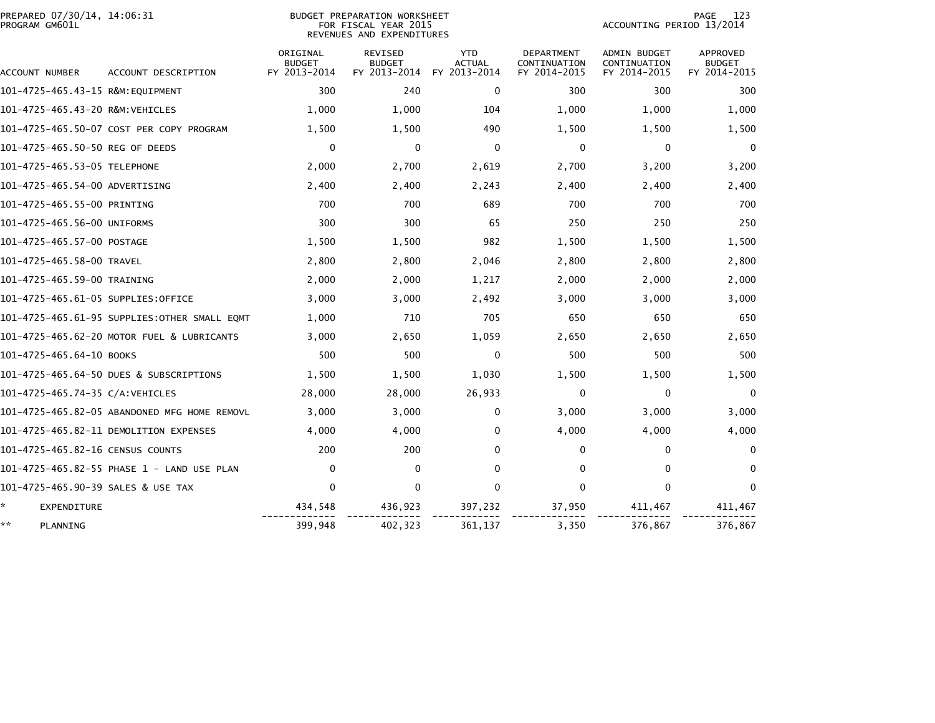| PREPARED 07/30/14, 14:06:31<br>PROGRAM GM601L |                                              |                                           | <b>BUDGET PREPARATION WORKSHEET</b><br>FOR FISCAL YEAR 2015<br>REVENUES AND EXPENDITURES | 123<br>PAGE<br>ACCOUNTING PERIOD 13/2014    |                                            |                                                     |                                           |
|-----------------------------------------------|----------------------------------------------|-------------------------------------------|------------------------------------------------------------------------------------------|---------------------------------------------|--------------------------------------------|-----------------------------------------------------|-------------------------------------------|
| ACCOUNT NUMBER                                | ACCOUNT DESCRIPTION                          | ORIGINAL<br><b>BUDGET</b><br>FY 2013-2014 | <b>REVISED</b><br><b>BUDGET</b><br>FY 2013-2014                                          | <b>YTD</b><br><b>ACTUAL</b><br>FY 2013-2014 | DEPARTMENT<br>CONTINUATION<br>FY 2014-2015 | <b>ADMIN BUDGET</b><br>CONTINUATION<br>FY 2014-2015 | APPROVED<br><b>BUDGET</b><br>FY 2014-2015 |
| 101-4725-465.43-15 R&M:EQUIPMENT              |                                              | 300                                       | 240                                                                                      | 0                                           | 300                                        | 300                                                 | 300                                       |
| 101-4725-465.43-20 R&M:VEHICLES               |                                              | 1,000                                     | 1,000                                                                                    | 104                                         | 1,000                                      | 1,000                                               | 1,000                                     |
|                                               | 101-4725-465.50-07 COST PER COPY PROGRAM     | 1,500                                     | 1,500                                                                                    | 490                                         | 1,500                                      | 1,500                                               | 1,500                                     |
| 101-4725-465.50-50 REG OF DEEDS               |                                              | 0                                         | 0                                                                                        | 0                                           | 0                                          | 0                                                   | 0                                         |
| 101-4725-465.53-05 TELEPHONE                  |                                              | 2,000                                     | 2,700                                                                                    | 2,619                                       | 2,700                                      | 3,200                                               | 3,200                                     |
| 101-4725-465.54-00 ADVERTISING                |                                              | 2,400                                     | 2,400                                                                                    | 2,243                                       | 2,400                                      | 2,400                                               | 2,400                                     |
| 101-4725-465.55-00 PRINTING                   |                                              | 700                                       | 700                                                                                      | 689                                         | 700                                        | 700                                                 | 700                                       |
| 101-4725-465.56-00 UNIFORMS                   |                                              | 300                                       | 300                                                                                      | 65                                          | 250                                        | 250                                                 | 250                                       |
| 101-4725-465.57-00 POSTAGE                    |                                              | 1,500                                     | 1,500                                                                                    | 982                                         | 1,500                                      | 1,500                                               | 1,500                                     |
| 101-4725-465.58-00 TRAVEL                     |                                              | 2,800                                     | 2,800                                                                                    | 2,046                                       | 2,800                                      | 2,800                                               | 2,800                                     |
| 101-4725-465.59-00 TRAINING                   |                                              | 2,000                                     | 2,000                                                                                    | 1,217                                       | 2,000                                      | 2,000                                               | 2,000                                     |
| 101-4725-465.61-05 SUPPLIES:OFFICE            |                                              | 3,000                                     | 3,000                                                                                    | 2,492                                       | 3,000                                      | 3,000                                               | 3,000                                     |
|                                               |                                              | 1,000                                     | 710                                                                                      | 705                                         | 650                                        | 650                                                 | 650                                       |
|                                               | 101-4725-465.62-20 MOTOR FUEL & LUBRICANTS   | 3,000                                     | 2,650                                                                                    | 1,059                                       | 2,650                                      | 2,650                                               | 2,650                                     |
| 101-4725-465.64-10 BOOKS                      |                                              | 500                                       | 500                                                                                      | $\Omega$                                    | 500                                        | 500                                                 | 500                                       |
|                                               | 101-4725-465.64-50 DUES & SUBSCRIPTIONS      | 1,500                                     | 1,500                                                                                    | 1,030                                       | 1,500                                      | 1,500                                               | 1,500                                     |
| 101-4725-465.74-35 C/A:VEHICLES               |                                              | 28,000                                    | 28,000                                                                                   | 26,933                                      | 0                                          | 0                                                   | $\bf{0}$                                  |
|                                               | 101-4725-465.82-05 ABANDONED MFG HOME REMOVL | 3,000                                     | 3,000                                                                                    | $\mathbf{0}$                                | 3,000                                      | 3,000                                               | 3,000                                     |
|                                               |                                              | 4,000                                     | 4,000                                                                                    | 0                                           | 4,000                                      | 4,000                                               | 4,000                                     |
| 101-4725-465.82-16 CENSUS COUNTS              |                                              | 200                                       | 200                                                                                      | 0                                           | 0                                          | 0                                                   | $\bf{0}$                                  |
|                                               | 101-4725-465.82-55 PHASE 1 - LAND USE PLAN   | 0                                         | $\mathbf{0}$                                                                             | 0                                           | $\mathbf{0}$                               | $\mathbf{0}$                                        | $\Omega$                                  |
| 101-4725-465.90-39 SALES & USE TAX            |                                              | $\mathbf{0}$                              | $\Omega$                                                                                 | $\Omega$                                    | $\mathbf{0}$                               | $\mathbf{0}$                                        | $\mathbf{0}$                              |
| ×.<br><b>EXPENDITURE</b>                      |                                              | 434,548                                   | 436,923                                                                                  | 397,232                                     | 37,950                                     | 411,467                                             | 411,467                                   |
| **<br>PLANNING                                |                                              | 399,948                                   | 402,323                                                                                  | 361,137                                     | 3,350                                      | 376,867                                             | 376,867                                   |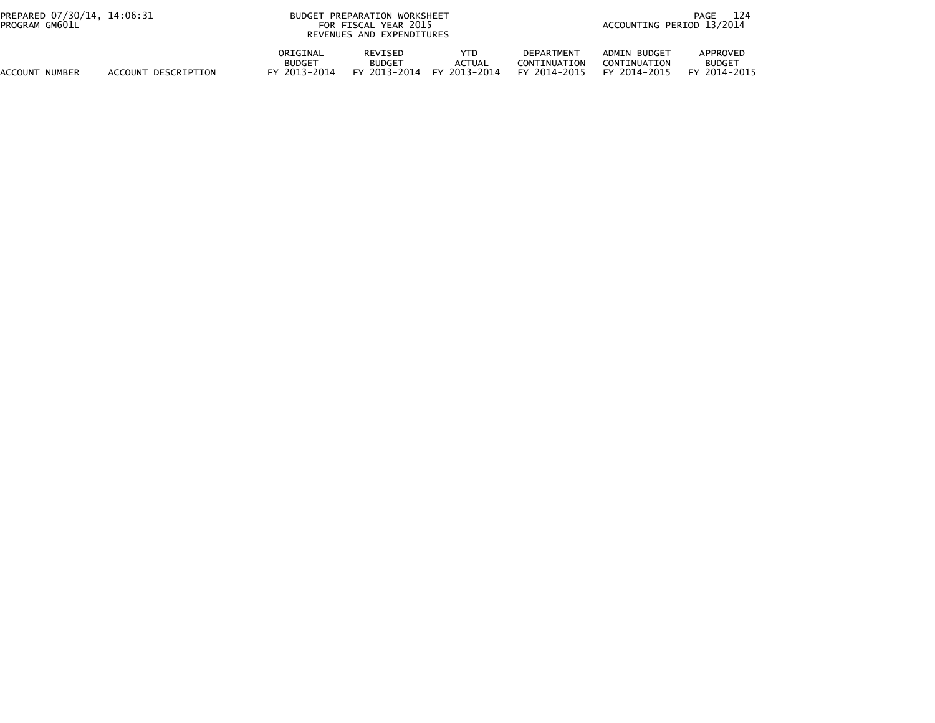| PREPARED 07/30/14, 14:06:31<br>PROGRAM GM601L |                     | <b>BUDGET</b>                             | PREPARATION WORKSHEET<br>FOR FISCAL YEAR 2015<br>REVENUES AND EXPENDITURES |                                      |                                                   | 124<br>PAGE<br>ACCOUNTING PERIOD 13/2014     |                                                     |  |  |
|-----------------------------------------------|---------------------|-------------------------------------------|----------------------------------------------------------------------------|--------------------------------------|---------------------------------------------------|----------------------------------------------|-----------------------------------------------------|--|--|
| ACCOUNT NUMBER                                | ACCOUNT DESCRIPTION | ORIGINAL<br><b>BUDGET</b><br>FY 2013-2014 | REVISED<br><b>BUDGET</b><br>FY 2013-2014                                   | YTD<br><b>ACTUAL</b><br>FY 2013-2014 | <b>DEPARTMENT</b><br>CONTINUATION<br>FY 2014-2015 | ADMIN BUDGET<br>CONTINUATION<br>FY 2014-2015 | APPROVED<br><b>BUDGET</b><br>2014-2015<br><b>EV</b> |  |  |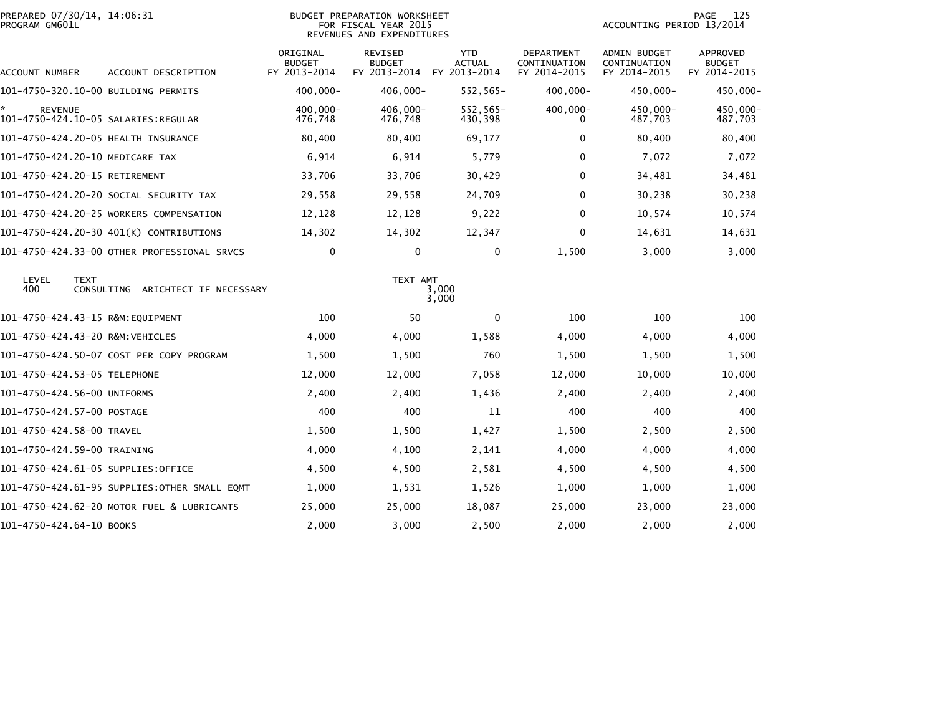| PROGRAM GM601L           | PREPARED 07/30/14, 14:06:31                      |                                           | BUDGET PREPARATION WORKSHEET<br>FOR FISCAL YEAR 2015<br>REVENUES AND EXPENDITURES |                                             |                                            | ACCOUNTING PERIOD 13/2014                    | 125<br>PAGE                               |
|--------------------------|--------------------------------------------------|-------------------------------------------|-----------------------------------------------------------------------------------|---------------------------------------------|--------------------------------------------|----------------------------------------------|-------------------------------------------|
| ACCOUNT NUMBER           | ACCOUNT DESCRIPTION                              | ORIGINAL<br><b>BUDGET</b><br>FY 2013-2014 | REVISED<br><b>BUDGET</b><br>FY 2013-2014                                          | <b>YTD</b><br><b>ACTUAL</b><br>FY 2013-2014 | DEPARTMENT<br>CONTINUATION<br>FY 2014-2015 | ADMIN BUDGET<br>CONTINUATION<br>FY 2014-2015 | APPROVED<br><b>BUDGET</b><br>FY 2014-2015 |
|                          | 101-4750-320.10-00 BUILDING PERMITS              | $400,000 -$                               | 406,000-                                                                          | 552,565-                                    | 400,000-                                   | 450,000-                                     | 450,000-                                  |
| <b>REVENUE</b>           |                                                  | 400,000-<br>476,748                       | 406,000-<br>476,748                                                               | 552,565-<br>430,398                         | $400,000 -$<br>0                           | 450,000-<br>487,703                          | 450,000-<br>487,703                       |
|                          | 101-4750-424.20-05 HEALTH INSURANCE              | 80,400                                    | 80,400                                                                            | 69,177                                      | 0                                          | 80,400                                       | 80,400                                    |
|                          | 101-4750-424.20-10 MEDICARE TAX                  | 6,914                                     | 6,914                                                                             | 5,779                                       | 0                                          | 7,072                                        | 7,072                                     |
|                          | 101-4750-424.20-15 RETIREMENT                    | 33,706                                    | 33,706                                                                            | 30,429                                      | 0                                          | 34,481                                       | 34,481                                    |
|                          | 101-4750-424.20-20 SOCIAL SECURITY TAX           | 29,558                                    | 29,558                                                                            | 24,709                                      | 0                                          | 30,238                                       | 30,238                                    |
|                          | 101-4750-424.20-25 WORKERS COMPENSATION          | 12,128                                    | 12,128                                                                            | 9,222                                       | 0                                          | 10,574                                       | 10,574                                    |
|                          | 101-4750-424.20-30 401(K) CONTRIBUTIONS          | 14,302                                    | 14,302                                                                            | 12,347                                      | 0                                          | 14,631                                       | 14,631                                    |
|                          | 101-4750-424.33-00 OTHER PROFESSIONAL SRVCS      | $\mathbf 0$                               | $\mathbf 0$                                                                       | $\mathbf{0}$                                | 1,500                                      | 3,000                                        | 3,000                                     |
| LEVEL<br>400             | <b>TEXT</b><br>CONSULTING ARICHTECT IF NECESSARY |                                           | TEXT AMT                                                                          | 3,000<br>3,000                              |                                            |                                              |                                           |
|                          | 101-4750-424.43-15 R&M:EQUIPMENT                 | 100                                       | 50                                                                                | $\mathbf{0}$                                | 100                                        | 100                                          | 100                                       |
|                          | 101-4750-424.43-20 R&M:VEHICLES                  | 4,000                                     | 4,000                                                                             | 1,588                                       | 4,000                                      | 4,000                                        | 4,000                                     |
|                          | 101-4750-424.50-07 COST PER COPY PROGRAM         | 1,500                                     | 1,500                                                                             | 760                                         | 1,500                                      | 1,500                                        | 1,500                                     |
|                          | 101-4750-424.53-05 TELEPHONE                     | 12,000                                    | 12,000                                                                            | 7,058                                       | 12,000                                     | 10,000                                       | 10,000                                    |
|                          | 101-4750-424.56-00 UNIFORMS                      | 2,400                                     | 2,400                                                                             | 1,436                                       | 2,400                                      | 2,400                                        | 2,400                                     |
|                          | 101-4750-424.57-00 POSTAGE                       | 400                                       | 400                                                                               | 11                                          | 400                                        | 400                                          | 400                                       |
|                          | 101-4750-424.58-00 TRAVEL                        | 1,500                                     | 1,500                                                                             | 1,427                                       | 1,500                                      | 2,500                                        | 2,500                                     |
|                          | 101-4750-424.59-00 TRAINING                      | 4,000                                     | 4,100                                                                             | 2,141                                       | 4,000                                      | 4,000                                        | 4,000                                     |
|                          | 101-4750-424.61-05 SUPPLIES:OFFICE               | 4,500                                     | 4,500                                                                             | 2,581                                       | 4,500                                      | 4,500                                        | 4,500                                     |
|                          | 101-4750-424.61-95 SUPPLIES:OTHER SMALL EQMT     | 1,000                                     | 1,531                                                                             | 1,526                                       | 1,000                                      | 1,000                                        | 1,000                                     |
|                          | 101-4750-424.62-20 MOTOR FUEL & LUBRICANTS       | 25,000                                    | 25,000                                                                            | 18,087                                      | 25,000                                     | 23,000                                       | 23,000                                    |
| 101-4750-424.64-10 BOOKS |                                                  | 2,000                                     | 3,000                                                                             | 2,500                                       | 2,000                                      | 2,000                                        | 2,000                                     |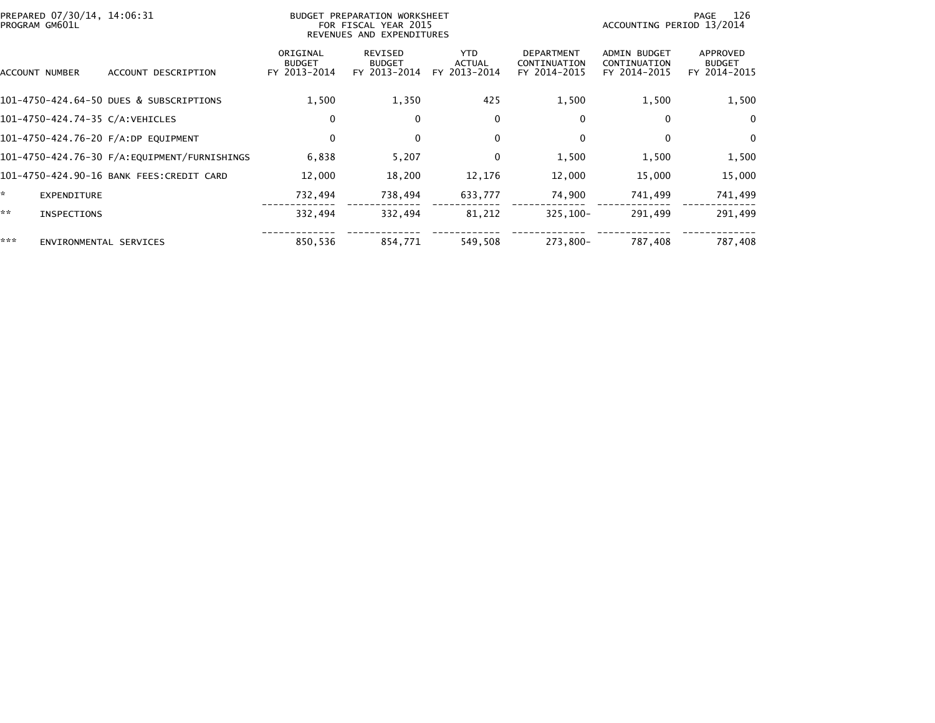|     | PREPARED 07/30/14, 14:06:31<br>PROGRAM GM601L |                                          |                                           | BUDGET PREPARATION WORKSHEET<br>FOR FISCAL YEAR 2015<br>REVENUES AND EXPENDITURES | 126<br>PAGE<br>ACCOUNTING PERIOD 13/2014 |                                                   |                                                     |                                           |
|-----|-----------------------------------------------|------------------------------------------|-------------------------------------------|-----------------------------------------------------------------------------------|------------------------------------------|---------------------------------------------------|-----------------------------------------------------|-------------------------------------------|
|     | ACCOUNT NUMBER                                | ACCOUNT DESCRIPTION                      | ORIGINAL<br><b>BUDGET</b><br>FY 2013-2014 | REVISED<br><b>BUDGET</b><br>FY 2013-2014                                          | YTD.<br><b>ACTUAL</b><br>FY 2013-2014    | <b>DEPARTMENT</b><br>CONTINUATION<br>FY 2014-2015 | <b>ADMIN BUDGET</b><br>CONTINUATION<br>FY 2014-2015 | APPROVED<br><b>BUDGET</b><br>FY 2014-2015 |
|     |                                               | 101-4750-424.64-50 DUES & SUBSCRIPTIONS  | 1,500                                     | 1,350                                                                             | 425                                      | 1,500                                             | 1,500                                               | 1,500                                     |
|     |                                               | 101-4750-424.74-35 C/A:VEHICLES          | 0                                         | 0                                                                                 | 0                                        | 0                                                 | 0                                                   | 0                                         |
|     |                                               | 101-4750-424.76-20 F/A:DP EQUIPMENT      | 0                                         | $\Omega$                                                                          | 0                                        | 0                                                 | 0                                                   | 0                                         |
|     |                                               |                                          | 6,838                                     | 5,207                                                                             | 0                                        | 1,500                                             | 1,500                                               | 1,500                                     |
|     |                                               | 101-4750-424.90-16 BANK FEES:CREDIT CARD | 12,000                                    | 18,200                                                                            | 12,176                                   | 12,000                                            | 15,000                                              | 15,000                                    |
| *   | EXPENDITURE                                   |                                          | 732,494                                   | 738,494                                                                           | 633,777                                  | 74,900                                            | 741,499                                             | 741,499                                   |
| **  | <b>INSPECTIONS</b>                            |                                          | 332,494                                   | 332,494                                                                           | 81,212                                   | $325,100 -$                                       | 291,499                                             | 291,499                                   |
| *** | ENVIRONMENTAL SERVICES                        |                                          | 850,536                                   | 854,771                                                                           | 549,508                                  | 273,800-                                          | 787,408                                             | 787,408                                   |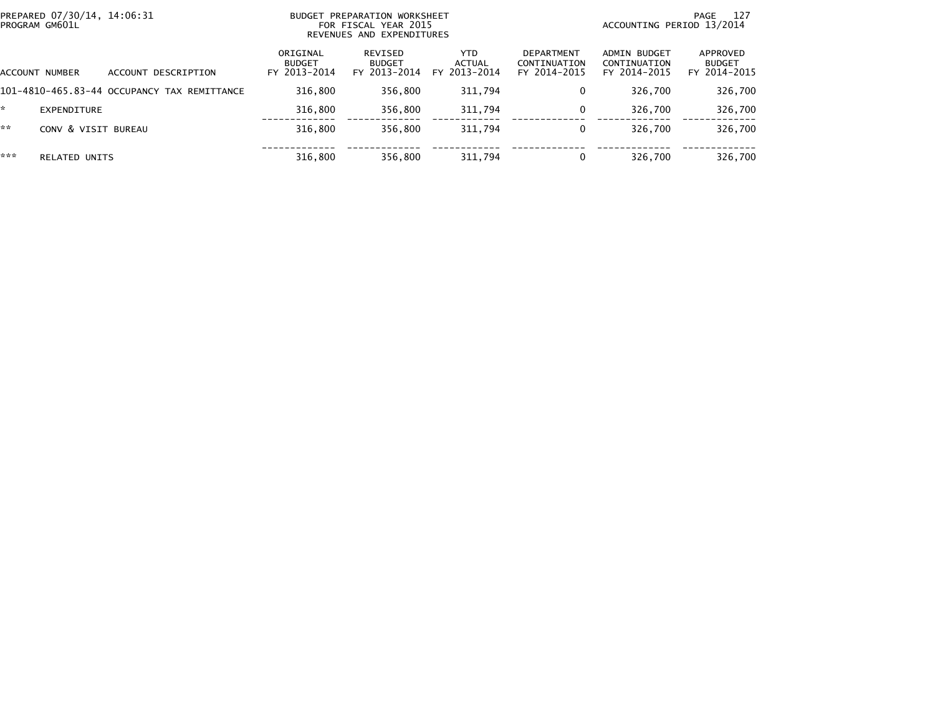| PROGRAM GM601L | PREPARED 07/30/14, 14:06:31                 | BUDGET PREPARATION WORKSHEET<br>FOR FISCAL YEAR 2015<br>REVENUES AND EXPENDITURES |                                          |                                      |                                                   | -127<br>PAGE<br>ACCOUNTING PERIOD 13/2014    |                                           |  |
|----------------|---------------------------------------------|-----------------------------------------------------------------------------------|------------------------------------------|--------------------------------------|---------------------------------------------------|----------------------------------------------|-------------------------------------------|--|
| ACCOUNT NUMBER | ACCOUNT DESCRIPTION                         | ORIGINAL<br><b>BUDGET</b><br>FY 2013-2014                                         | REVISED<br><b>BUDGET</b><br>FY 2013-2014 | <b>YTD</b><br>ACTUAL<br>FY 2013-2014 | <b>DEPARTMENT</b><br>CONTINUATION<br>FY 2014-2015 | ADMIN BUDGET<br>CONTINUATION<br>FY 2014-2015 | APPROVED<br><b>BUDGET</b><br>FY 2014-2015 |  |
|                | 101-4810-465.83-44 OCCUPANCY TAX REMITTANCE | 316.800                                                                           | 356,800                                  | 311,794                              | 0                                                 | 326,700                                      | 326,700                                   |  |
| EXPENDITURE    |                                             | 316.800                                                                           | 356,800                                  | 311.794                              | 0                                                 | 326.700                                      | 326,700                                   |  |
| **             | CONV & VISIT BUREAU                         | 316,800                                                                           | 356,800                                  | 311,794                              | 0                                                 | 326.700                                      | 326,700                                   |  |
| ***            | <b>RELATED UNITS</b>                        | 316,800                                                                           | 356,800                                  | 311,794                              | 0                                                 | 326,700                                      | 326,700                                   |  |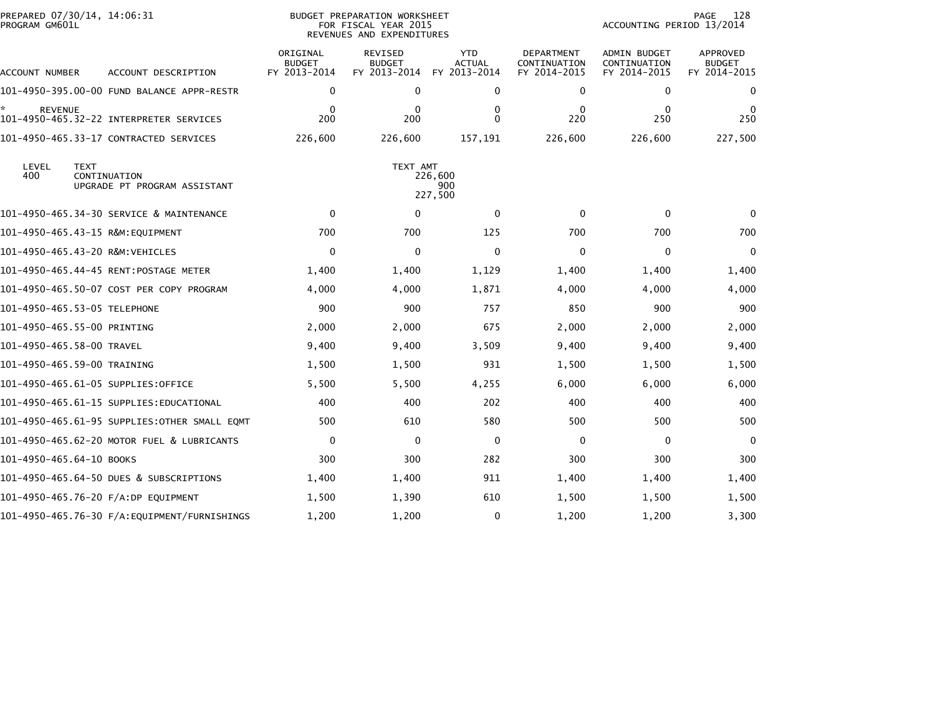| PREPARED 07/30/14, 14:06:31<br>PROGRAM GM601L                               |                                           | <b>BUDGET PREPARATION WORKSHEET</b><br>FOR FISCAL YEAR 2015<br>REVENUES AND EXPENDITURES | 128<br>PAGE<br>ACCOUNTING PERIOD 13/2014    |                                                   |                                                     |                                           |
|-----------------------------------------------------------------------------|-------------------------------------------|------------------------------------------------------------------------------------------|---------------------------------------------|---------------------------------------------------|-----------------------------------------------------|-------------------------------------------|
| ACCOUNT DESCRIPTION<br>ACCOUNT NUMBER                                       | ORIGINAL<br><b>BUDGET</b><br>FY 2013-2014 | <b>REVISED</b><br><b>BUDGET</b><br>FY 2013-2014                                          | <b>YTD</b><br><b>ACTUAL</b><br>FY 2013-2014 | <b>DEPARTMENT</b><br>CONTINUATION<br>FY 2014-2015 | <b>ADMIN BUDGET</b><br>CONTINUATION<br>FY 2014-2015 | APPROVED<br><b>BUDGET</b><br>FY 2014-2015 |
| 101-4950-395.00-00 FUND BALANCE APPR-RESTR                                  | $\mathbf 0$                               | $\mathbf 0$                                                                              | 0                                           | 0                                                 | 0                                                   | 0                                         |
| *<br><b>REVENUE</b>                                                         | $\mathbf 0$<br>200                        | $\mathbf 0$<br>200                                                                       | 0<br>$\Omega$                               | 0<br>220                                          | $\mathbf{0}$<br>250                                 | 0<br>250                                  |
| 101-4950-465.33-17 CONTRACTED SERVICES                                      | 226,600                                   | 226,600                                                                                  | 157,191                                     | 226,600                                           | 226,600                                             | 227,500                                   |
| LEVEL<br><b>TEXT</b><br>400<br>CONTINUATION<br>UPGRADE PT PROGRAM ASSISTANT |                                           | TEXT AMT                                                                                 | 226,600<br>900<br>227,500                   |                                                   |                                                     |                                           |
| 101-4950-465.34-30 SERVICE & MAINTENANCE                                    | $\mathbf 0$                               | 0                                                                                        | $\mathbf 0$                                 | $\mathbf{0}$                                      | $\mathbf 0$                                         | 0                                         |
|                                                                             | 700                                       | 700                                                                                      | 125                                         | 700                                               | 700                                                 | 700                                       |
| 101-4950-465.43-20 R&M:VEHICLES                                             | $\mathbf 0$                               | $\Omega$                                                                                 | $\Omega$                                    | $\Omega$                                          | $\Omega$                                            | $\Omega$                                  |
| 101-4950-465.44-45 RENT:POSTAGE METER                                       | 1,400                                     | 1,400                                                                                    | 1,129                                       | 1,400                                             | 1,400                                               | 1,400                                     |
| 101-4950-465.50-07 COST PER COPY PROGRAM                                    | 4,000                                     | 4,000                                                                                    | 1,871                                       | 4,000                                             | 4,000                                               | 4,000                                     |
| 101-4950-465.53-05 TELEPHONE                                                | 900                                       | 900                                                                                      | 757                                         | 850                                               | 900                                                 | 900                                       |
| 101-4950-465.55-00 PRINTING                                                 | 2,000                                     | 2,000                                                                                    | 675                                         | 2,000                                             | 2,000                                               | 2,000                                     |
| 101-4950-465.58-00 TRAVEL                                                   | 9,400                                     | 9,400                                                                                    | 3,509                                       | 9,400                                             | 9,400                                               | 9,400                                     |
| 101-4950-465.59-00 TRAINING                                                 | 1,500                                     | 1,500                                                                                    | 931                                         | 1,500                                             | 1,500                                               | 1,500                                     |
| 101–4950–465.61–05 SUPPLIES:OFFICE                                          | 5,500                                     | 5,500                                                                                    | 4,255                                       | 6,000                                             | 6,000                                               | 6,000                                     |
| 101–4950–465.61–15 SUPPLIES:EDUCATIONAL                                     | 400                                       | 400                                                                                      | 202                                         | 400                                               | 400                                                 | 400                                       |
| 101-4950-465.61-95 SUPPLIES:OTHER SMALL EQMT                                | 500                                       | 610                                                                                      | 580                                         | 500                                               | 500                                                 | 500                                       |
| 101-4950-465.62-20 MOTOR FUEL & LUBRICANTS                                  | $\mathbf 0$                               | $\mathbf{0}$                                                                             | 0                                           | $\mathbf{0}$                                      | $\Omega$                                            | $\Omega$                                  |
| 101-4950-465.64-10 BOOKS                                                    | 300                                       | 300                                                                                      | 282                                         | 300                                               | 300                                                 | 300                                       |
| 101-4950-465.64-50 DUES & SUBSCRIPTIONS                                     | 1,400                                     | 1,400                                                                                    | 911                                         | 1,400                                             | 1,400                                               | 1,400                                     |
| 101-4950-465.76-20 F/A:DP EQUIPMENT                                         | 1,500                                     | 1,390                                                                                    | 610                                         | 1,500                                             | 1,500                                               | 1,500                                     |
| 101–4950–465.76–30 F/A:EQUIPMENT/FURNISHINGS                                | 1,200                                     | 1,200                                                                                    | 0                                           | 1,200                                             | 1,200                                               | 3,300                                     |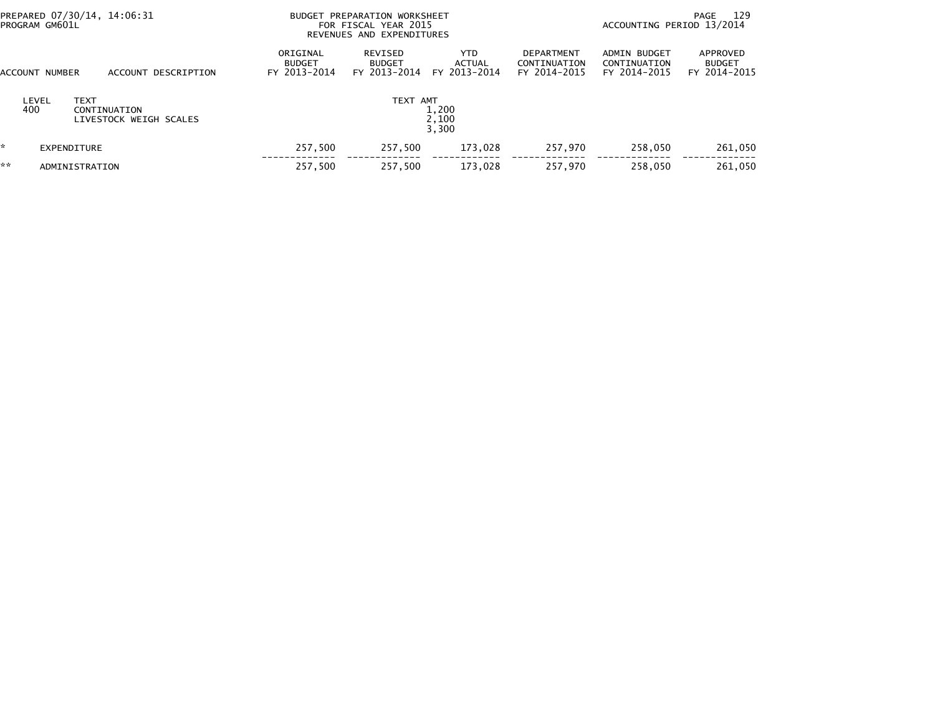| PREPARED 07/30/14, 14:06:31<br>PROGRAM GM601L |                             |                                        |                                           | BUDGET PREPARATION WORKSHEET<br>FOR FISCAL YEAR 2015<br>REVENUES AND EXPENDITURES |                                       |                                            |                                              | 129<br>PAGE<br>ACCOUNTING PERIOD 13/2014  |  |
|-----------------------------------------------|-----------------------------|----------------------------------------|-------------------------------------------|-----------------------------------------------------------------------------------|---------------------------------------|--------------------------------------------|----------------------------------------------|-------------------------------------------|--|
|                                               | ACCOUNT NUMBER              | ACCOUNT DESCRIPTION                    | ORIGINAL<br><b>BUDGET</b><br>FY 2013-2014 | REVISED<br><b>BUDGET</b><br>FY 2013-2014                                          | YTD.<br><b>ACTUAL</b><br>FY 2013-2014 | DEPARTMENT<br>CONTINUATION<br>FY 2014-2015 | ADMIN BUDGET<br>CONTINUATION<br>FY 2014-2015 | APPROVED<br><b>BUDGET</b><br>FY 2014-2015 |  |
|                                               | LEVEL<br><b>TEXT</b><br>400 | CONTINUATION<br>LIVESTOCK WEIGH SCALES |                                           | TEXT AMT                                                                          | 1,200<br>2,100<br>3,300               |                                            |                                              |                                           |  |
|                                               | EXPENDITURE                 |                                        | 257,500                                   | 257.500                                                                           | 173.028                               | 257,970                                    | 258.050                                      | 261,050                                   |  |
| **                                            | ADMINISTRATION              |                                        | 257,500                                   | 257,500                                                                           | 173,028                               | 257,970                                    | 258.050                                      | 261,050                                   |  |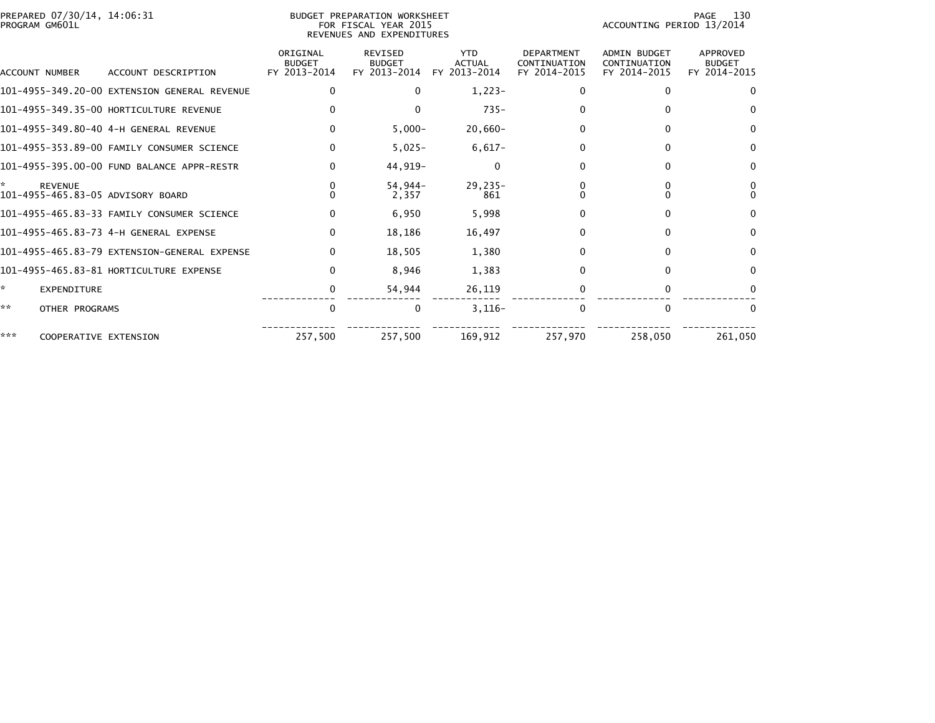| PREPARED 07/30/14, 14:06:31<br>PROGRAM GM601L |                                              |                                           | BUDGET PREPARATION WORKSHEET<br>FOR FISCAL YEAR 2015<br>REVENUES AND EXPENDITURES | 130<br>PAGE<br>ACCOUNTING PERIOD 13/2014    |                                                   |                                              |                                           |
|-----------------------------------------------|----------------------------------------------|-------------------------------------------|-----------------------------------------------------------------------------------|---------------------------------------------|---------------------------------------------------|----------------------------------------------|-------------------------------------------|
| <b>ACCOUNT NUMBER</b>                         | ACCOUNT DESCRIPTION                          | ORIGINAL<br><b>BUDGET</b><br>FY 2013-2014 | REVISED<br><b>BUDGET</b><br>FY 2013-2014                                          | <b>YTD</b><br><b>ACTUAL</b><br>FY 2013-2014 | <b>DEPARTMENT</b><br>CONTINUATION<br>FY 2014-2015 | ADMIN BUDGET<br>CONTINUATION<br>FY 2014-2015 | APPROVED<br><b>BUDGET</b><br>FY 2014-2015 |
|                                               | 101-4955-349.20-00 EXTENSION GENERAL REVENUE | 0                                         | $\Omega$                                                                          | $1,223-$                                    | 0                                                 | 0                                            | $\Omega$                                  |
|                                               | 101-4955-349.35-00 HORTICULTURE REVENUE      |                                           | $\Omega$                                                                          | $735 -$                                     |                                                   | 0                                            | 0                                         |
|                                               |                                              | $\Omega$                                  | $5,000-$                                                                          | $20,660-$                                   | $\mathbf{0}$                                      | 0                                            | $\mathbf{0}$                              |
|                                               | 101-4955-353.89-00 FAMILY CONSUMER SCIENCE   | $\Omega$                                  | $5,025-$                                                                          | $6,617-$                                    | 0                                                 | $\Omega$                                     | $\Omega$                                  |
|                                               | 101-4955-395.00-00 FUND BALANCE APPR-RESTR   | $\Omega$                                  | 44,919-                                                                           | $\Omega$                                    | 0                                                 | 0                                            | 0                                         |
| ÷.<br><b>REVENUE</b>                          | 101-4955-465.83-05 ADVISORY BOARD            |                                           | $54,944-$<br>2,357                                                                | $29,235-$<br>861                            |                                                   |                                              |                                           |
|                                               | 101-4955-465.83-33 FAMILY CONSUMER SCIENCE   | $\Omega$                                  | 6,950                                                                             | 5,998                                       | 0                                                 | 0                                            | $\Omega$                                  |
|                                               |                                              | $\mathbf{0}$                              | 18,186                                                                            | 16,497                                      | 0                                                 | 0                                            | $\mathbf{0}$                              |
|                                               | 101-4955-465.83-79 EXTENSION-GENERAL EXPENSE | $\Omega$                                  | 18,505                                                                            | 1,380                                       | 0                                                 | $\Omega$                                     | $\Omega$                                  |
|                                               | 101-4955-465.83-81 HORTICULTURE EXPENSE      | O                                         | 8,946                                                                             | 1,383                                       | <sup>0</sup>                                      | $\Omega$                                     | 0                                         |
| ÷.<br><b>EXPENDITURE</b>                      |                                              | 0                                         | 54,944                                                                            | 26,119                                      |                                                   | 0                                            |                                           |
| **<br>OTHER PROGRAMS                          |                                              | $\mathbf{0}$                              | 0                                                                                 | $3,116-$                                    |                                                   | $\Omega$                                     | $\Omega$                                  |
| ***                                           | COOPERATIVE EXTENSION                        | 257,500                                   | 257,500                                                                           | 169,912                                     | 257,970                                           | 258,050                                      | 261,050                                   |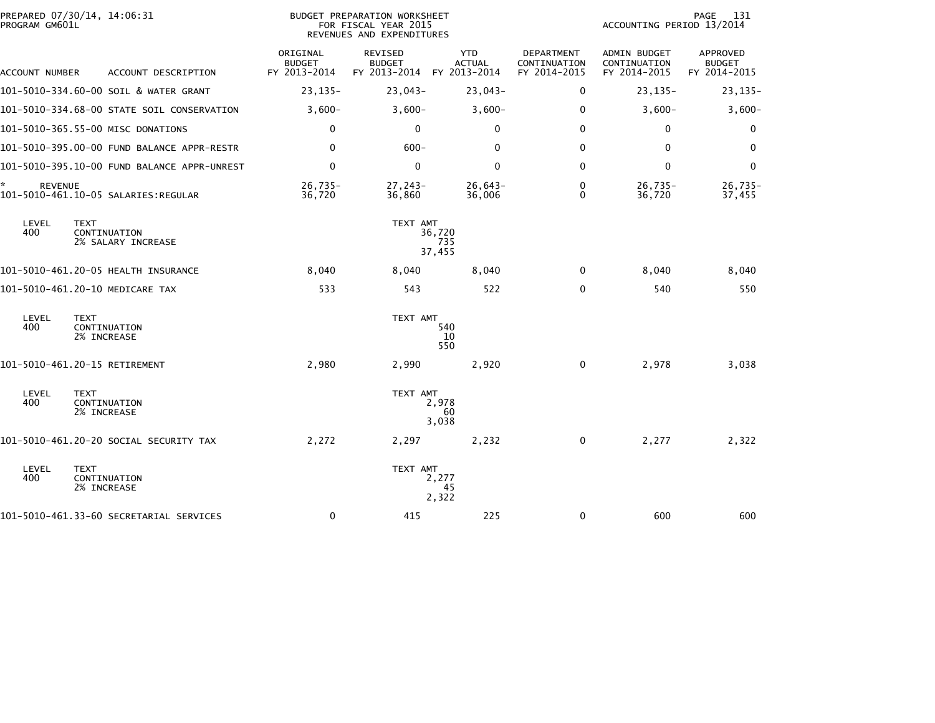| PREPARED 07/30/14, 14:06:31<br>PROGRAM GM601L                     |                                           | BUDGET PREPARATION WORKSHEET<br>FOR FISCAL YEAR 2015<br>REVENUES AND EXPENDITURES | PAGE<br>131<br>ACCOUNTING PERIOD 13/2014 |                                            |                                                     |                                           |
|-------------------------------------------------------------------|-------------------------------------------|-----------------------------------------------------------------------------------|------------------------------------------|--------------------------------------------|-----------------------------------------------------|-------------------------------------------|
| ACCOUNT NUMBER<br>ACCOUNT DESCRIPTION                             | ORIGINAL<br><b>BUDGET</b><br>FY 2013-2014 | REVISED<br><b>BUDGET</b><br>FY 2013-2014 FY 2013-2014                             | <b>YTD</b><br><b>ACTUAL</b>              | DEPARTMENT<br>CONTINUATION<br>FY 2014-2015 | <b>ADMIN BUDGET</b><br>CONTINUATION<br>FY 2014-2015 | APPROVED<br><b>BUDGET</b><br>FY 2014-2015 |
| 101-5010-334.60-00 SOIL & WATER GRANT                             | $23, 135 -$                               | $23,043-$                                                                         | $23,043-$                                | 0                                          | $23, 135 -$                                         | $23, 135 -$                               |
| 101-5010-334.68-00 STATE SOIL CONSERVATION                        | $3,600-$                                  | $3,600-$                                                                          | $3,600-$                                 | $\Omega$                                   | $3,600-$                                            | $3,600-$                                  |
| 101-5010-365.55-00 MISC DONATIONS                                 | 0                                         | $\mathbf{0}$                                                                      | $\Omega$                                 | $\mathbf{0}$                               | 0                                                   | 0                                         |
| 101-5010-395.00-00 FUND BALANCE APPR-RESTR                        | $\mathbf 0$                               | $600 -$                                                                           | $\mathbf 0$                              | 0                                          | 0                                                   | 0                                         |
|                                                                   | $\mathbf 0$                               | $\mathbf{0}$                                                                      | $\Omega$                                 | $\mathbf{0}$                               | $\Omega$                                            | $\Omega$                                  |
| *<br><b>REVENUE</b><br>101-5010-461.10-05 SALARIES:REGULAR        | $26,735-$<br>36,720                       | $27, 243 -$<br>36,860                                                             | $26,643-$<br>36,006                      | 0<br>$\Omega$                              | $26,735-$<br>36,720                                 | $26,735-$<br>37,455                       |
| LEVEL<br><b>TEXT</b><br>400<br>CONTINUATION<br>2% SALARY INCREASE |                                           | TEXT AMT                                                                          | 36,720<br>735<br>37,455                  |                                            |                                                     |                                           |
| 101-5010-461.20-05 HEALTH INSURANCE                               | 8,040                                     | 8,040                                                                             | 8,040                                    | 0                                          | 8,040                                               | 8,040                                     |
| 101-5010-461.20-10 MEDICARE TAX                                   | 533                                       | 543                                                                               | 522                                      | $\mathbf{0}$                               | 540                                                 | 550                                       |
| LEVEL<br><b>TEXT</b><br>400<br>CONTINUATION<br>2% INCREASE        |                                           | TEXT AMT                                                                          | 540<br>10<br>550                         |                                            |                                                     |                                           |
| 101-5010-461.20-15 RETIREMENT                                     | 2,980                                     | 2,990                                                                             | 2,920                                    | $\mathbf 0$                                | 2,978                                               | 3,038                                     |
| LEVEL<br><b>TEXT</b><br>400<br>CONTINUATION<br>2% INCREASE        |                                           | TEXT AMT                                                                          | 2,978<br>60<br>3,038                     |                                            |                                                     |                                           |
| 101–5010–461.20–20 SOCIAL SECURITY TAX                            | 2,272                                     | 2,297                                                                             | 2,232                                    | 0                                          | 2,277                                               | 2,322                                     |
| LEVEL<br><b>TEXT</b><br>400<br>CONTINUATION<br>2% INCREASE        |                                           | TEXT AMT                                                                          | 2,277<br>45<br>2,322                     |                                            |                                                     |                                           |
| 101-5010-461.33-60 SECRETARIAL SERVICES                           | $\mathbf 0$                               | 415                                                                               | 225                                      | 0                                          | 600                                                 | 600                                       |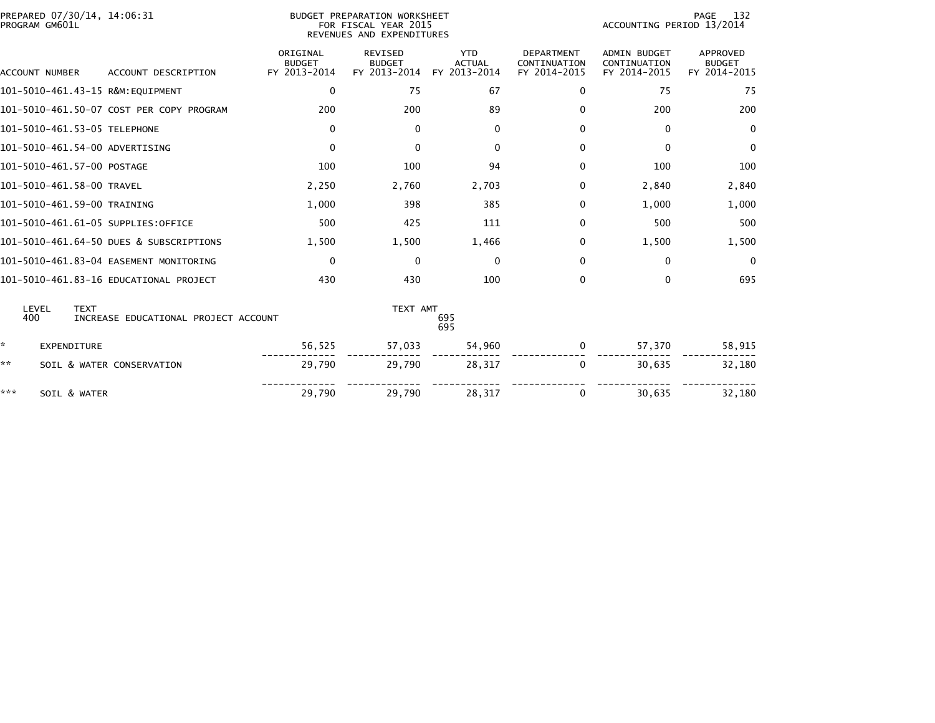| PREPARED 07/30/14, 14:06:31<br>PROGRAM GM601L |                                          | BUDGET PREPARATION WORKSHEET<br>FOR FISCAL YEAR 2015<br>REVENUES AND EXPENDITURES |                                                 |                                             |                                                   | 132<br>PAGE<br>ACCOUNTING PERIOD 13/2014            |                                           |  |
|-----------------------------------------------|------------------------------------------|-----------------------------------------------------------------------------------|-------------------------------------------------|---------------------------------------------|---------------------------------------------------|-----------------------------------------------------|-------------------------------------------|--|
| <b>ACCOUNT NUMBER</b>                         | ACCOUNT DESCRIPTION                      | ORIGINAL<br><b>BUDGET</b><br>FY 2013-2014                                         | <b>REVISED</b><br><b>BUDGET</b><br>FY 2013-2014 | <b>YTD</b><br><b>ACTUAL</b><br>FY 2013-2014 | <b>DEPARTMENT</b><br>CONTINUATION<br>FY 2014-2015 | <b>ADMIN BUDGET</b><br>CONTINUATION<br>FY 2014-2015 | APPROVED<br><b>BUDGET</b><br>FY 2014-2015 |  |
| 101-5010-461.43-15 R&M:EQUIPMENT              |                                          | 0                                                                                 | 75                                              | 67                                          | 0                                                 | 75                                                  | 75                                        |  |
|                                               | 101-5010-461.50-07 COST PER COPY PROGRAM | 200                                                                               | 200                                             | 89                                          | 0                                                 | 200                                                 | 200                                       |  |
| 101-5010-461.53-05 TELEPHONE                  |                                          | $\mathbf 0$                                                                       | $\Omega$                                        | $\mathbf{0}$                                | $\Omega$                                          | $\Omega$                                            | $\mathbf 0$                               |  |
| 101-5010-461.54-00 ADVERTISING                |                                          | $\mathbf 0$                                                                       | $\mathbf{0}$                                    | $\Omega$                                    | 0                                                 | $\Omega$                                            | 0                                         |  |
| 101-5010-461.57-00 POSTAGE                    |                                          | 100                                                                               | 100                                             | 94                                          | 0                                                 | 100                                                 | 100                                       |  |
| 101-5010-461.58-00 TRAVEL                     |                                          | 2,250                                                                             | 2,760                                           | 2,703                                       | 0                                                 | 2,840                                               | 2,840                                     |  |
| 101-5010-461.59-00 TRAINING                   |                                          | 1,000                                                                             | 398                                             | 385                                         | 0                                                 | 1,000                                               | 1,000                                     |  |
| 101-5010-461.61-05 SUPPLIES:OFFICE            |                                          | 500                                                                               | 425                                             | 111                                         | $\Omega$                                          | 500                                                 | 500                                       |  |
|                                               | 101-5010-461.64-50 DUES & SUBSCRIPTIONS  | 1,500                                                                             | 1,500                                           | 1,466                                       | 0                                                 | 1,500                                               | 1,500                                     |  |
|                                               | 101-5010-461.83-04 EASEMENT MONITORING   | $\mathbf 0$                                                                       | 0                                               | $\mathbf{0}$                                | 0                                                 | $\mathbf 0$                                         | $\mathbf 0$                               |  |
|                                               | 101-5010-461.83-16 EDUCATIONAL PROJECT   | 430                                                                               | 430                                             | 100                                         | 0                                                 | $\mathbf{0}$                                        | 695                                       |  |
| LEVEL<br><b>TEXT</b><br>400                   | INCREASE EDUCATIONAL PROJECT ACCOUNT     |                                                                                   | TEXT AMT                                        | 695<br>695                                  |                                                   |                                                     |                                           |  |
| ÷.<br>EXPENDITURE                             |                                          | 56,525                                                                            | 57,033                                          | 54,960                                      | 0                                                 | 57,370                                              | 58,915                                    |  |
| **                                            | SOIL & WATER CONSERVATION                | 29,790                                                                            | 29,790                                          | 28,317                                      | 0                                                 | 30,635                                              | 32,180                                    |  |
| ***<br>SOIL & WATER                           |                                          | 29,790                                                                            | 29,790                                          | 28,317                                      | 0                                                 | 30,635                                              | 32,180                                    |  |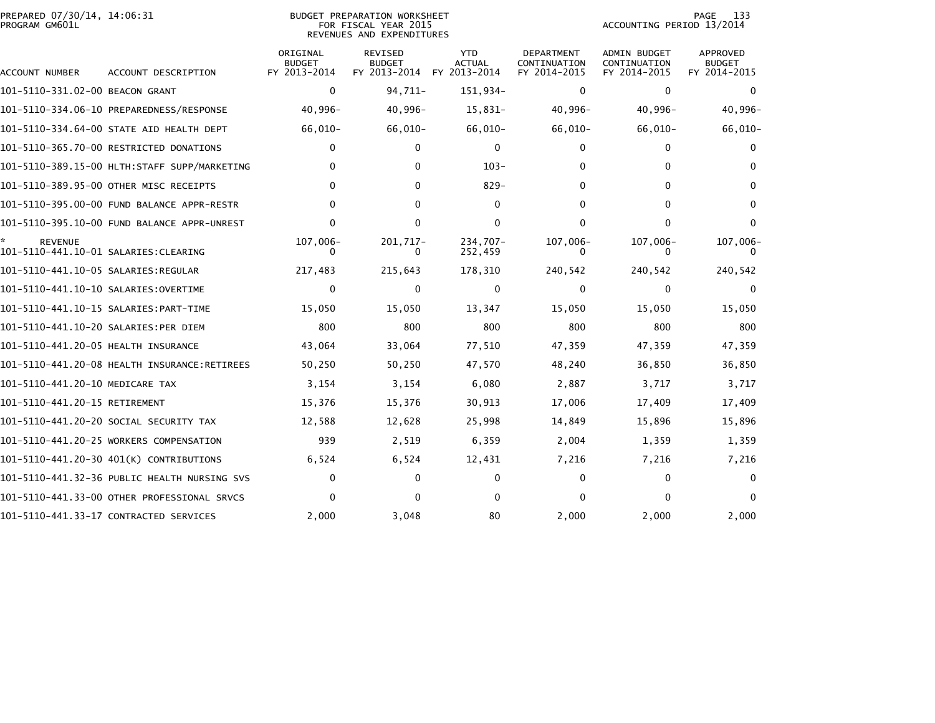| PREPARED 07/30/14, 14:06:31<br>PROGRAM GM601L |                                              | BUDGET PREPARATION WORKSHEET<br>FOR FISCAL YEAR 2015<br>REVENUES AND EXPENDITURES |                                                 |                                             |                                            |                                                     | 133<br>PAGE<br>ACCOUNTING PERIOD 13/2014         |  |  |
|-----------------------------------------------|----------------------------------------------|-----------------------------------------------------------------------------------|-------------------------------------------------|---------------------------------------------|--------------------------------------------|-----------------------------------------------------|--------------------------------------------------|--|--|
| ACCOUNT NUMBER                                | ACCOUNT DESCRIPTION                          | ORIGINAL<br><b>BUDGET</b><br>FY 2013-2014                                         | <b>REVISED</b><br><b>BUDGET</b><br>FY 2013-2014 | <b>YTD</b><br><b>ACTUAL</b><br>FY 2013-2014 | DEPARTMENT<br>CONTINUATION<br>FY 2014-2015 | <b>ADMIN BUDGET</b><br>CONTINUATION<br>FY 2014-2015 | <b>APPROVED</b><br><b>BUDGET</b><br>FY 2014-2015 |  |  |
| 101-5110-331.02-00 BEACON GRANT               |                                              | $\mathbf 0$                                                                       | 94,711-                                         | 151,934-                                    | $\mathbf{0}$                               | 0                                                   | 0                                                |  |  |
|                                               |                                              | 40,996-                                                                           | $40,996 -$                                      | 15,831-                                     | $40,996 -$                                 | 40,996-                                             | $40,996-$                                        |  |  |
|                                               | 101-5110-334.64-00 STATE AID HEALTH DEPT     | $66,010-$                                                                         | $66,010-$                                       | $66,010-$                                   | $66,010-$                                  | $66,010-$                                           | $66,010-$                                        |  |  |
|                                               | 101-5110-365.70-00 RESTRICTED DONATIONS      | 0                                                                                 | $\Omega$                                        | $\mathbf{0}$                                | $\Omega$                                   | 0                                                   | 0                                                |  |  |
|                                               |                                              | $\Omega$                                                                          | 0                                               | $103 -$                                     | 0                                          | $\mathbf{0}$                                        | 0                                                |  |  |
|                                               | 101-5110-389.95-00 OTHER MISC RECEIPTS       | $\Omega$                                                                          | $\Omega$                                        | $829 -$                                     | 0                                          | $\Omega$                                            | $\Omega$                                         |  |  |
|                                               | 101-5110-395.00-00 FUND BALANCE APPR-RESTR   | $\Omega$                                                                          | $\Omega$                                        | $\mathbf{0}$                                | $\Omega$                                   | $\Omega$                                            | $\Omega$                                         |  |  |
|                                               | 101-5110-395.10-00 FUND BALANCE APPR-UNREST  | 0                                                                                 | 0                                               | $\mathbf{0}$                                | 0                                          | $\mathbf{0}$                                        | 0                                                |  |  |
| <b>REVENUE</b>                                |                                              | 107,006-                                                                          | 201,717-<br>0                                   | 234.707-<br>252,459                         | 107,006-                                   | $107,006-$                                          | $107,006 -$                                      |  |  |
|                                               |                                              | 217,483                                                                           | 215,643                                         | 178,310                                     | 240,542                                    | 240,542                                             | 240,542                                          |  |  |
| 101–5110–441.10–10 SALARIES:OVERTIME          |                                              | $\mathbf 0$                                                                       | $\mathbf{0}$                                    | $\mathbf 0$                                 | $\mathbf{0}$                               | $\mathbf{0}$                                        | $\mathbf{0}$                                     |  |  |
|                                               |                                              | 15,050                                                                            | 15,050                                          | 13,347                                      | 15,050                                     | 15,050                                              | 15,050                                           |  |  |
| 101-5110-441.10-20 SALARIES:PER DIEM          |                                              | 800                                                                               | 800                                             | 800                                         | 800                                        | 800                                                 | 800                                              |  |  |
| 101-5110-441.20-05 HEALTH INSURANCE           |                                              | 43,064                                                                            | 33,064                                          | 77,510                                      | 47,359                                     | 47,359                                              | 47,359                                           |  |  |
|                                               |                                              | 50,250                                                                            | 50,250                                          | 47,570                                      | 48,240                                     | 36,850                                              | 36,850                                           |  |  |
| 101-5110-441.20-10 MEDICARE TAX               |                                              | 3,154                                                                             | 3,154                                           | 6,080                                       | 2,887                                      | 3,717                                               | 3,717                                            |  |  |
| 101-5110-441.20-15 RETIREMENT                 |                                              | 15,376                                                                            | 15,376                                          | 30,913                                      | 17,006                                     | 17,409                                              | 17,409                                           |  |  |
|                                               | 101–5110–441.20–20 SOCIAL SECURITY TAX       | 12,588                                                                            | 12,628                                          | 25,998                                      | 14,849                                     | 15,896                                              | 15,896                                           |  |  |
|                                               | 101-5110-441.20-25 WORKERS COMPENSATION      | 939                                                                               | 2,519                                           | 6,359                                       | 2,004                                      | 1,359                                               | 1,359                                            |  |  |
|                                               | 101-5110-441.20-30 401(K) CONTRIBUTIONS      | 6,524                                                                             | 6,524                                           | 12,431                                      | 7,216                                      | 7,216                                               | 7,216                                            |  |  |
|                                               | 101-5110-441.32-36 PUBLIC HEALTH NURSING SVS | 0                                                                                 | 0                                               | $\mathbf{0}$                                | $\mathbf{0}$                               | $\mathbf{0}$                                        | 0                                                |  |  |
|                                               | 101-5110-441.33-00 OTHER PROFESSIONAL SRVCS  | ŋ                                                                                 |                                                 | <sup>0</sup>                                | 0                                          | O                                                   |                                                  |  |  |
|                                               | 101-5110-441.33-17 CONTRACTED SERVICES       | 2,000                                                                             | 3,048                                           | 80                                          | 2,000                                      | 2,000                                               | 2,000                                            |  |  |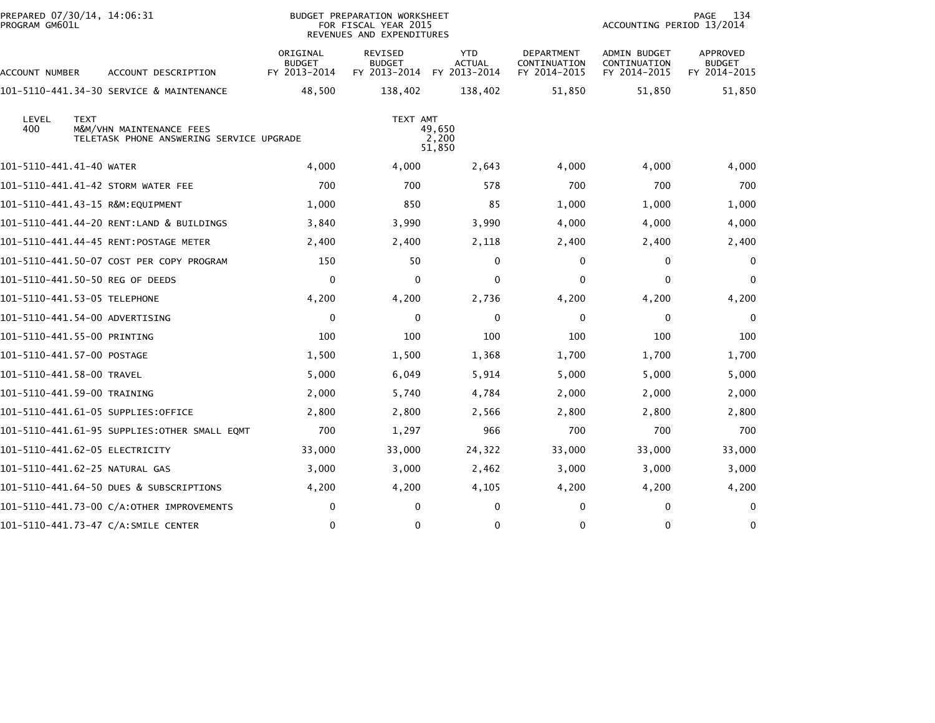| PREPARED 07/30/14, 14:06:31<br>PROGRAM GM601L |                                                                      | <b>BUDGET PREPARATION WORKSHEET</b><br>FOR FISCAL YEAR 2015<br>REVENUES AND EXPENDITURES |                                                 |                                             |                                            | 134<br>PAGE<br>ACCOUNTING PERIOD 13/2014     |                                    |  |  |
|-----------------------------------------------|----------------------------------------------------------------------|------------------------------------------------------------------------------------------|-------------------------------------------------|---------------------------------------------|--------------------------------------------|----------------------------------------------|------------------------------------|--|--|
| ACCOUNT NUMBER                                | ACCOUNT DESCRIPTION                                                  | ORIGINAL<br><b>BUDGET</b><br>FY 2013-2014                                                | <b>REVISED</b><br><b>BUDGET</b><br>FY 2013-2014 | <b>YTD</b><br><b>ACTUAL</b><br>FY 2013-2014 | DEPARTMENT<br>CONTINUATION<br>FY 2014-2015 | ADMIN BUDGET<br>CONTINUATION<br>FY 2014-2015 | APPROVED<br>BUDGET<br>FY 2014-2015 |  |  |
|                                               | 101-5110-441.34-30 SERVICE & MAINTENANCE                             | 48,500                                                                                   | 138,402                                         | 138,402                                     | 51,850                                     | 51,850                                       | 51,850                             |  |  |
| <b>TEXT</b><br>LEVEL<br>400                   | M&M/VHN MAINTENANCE FEES<br>TELETASK PHONE ANSWERING SERVICE UPGRADE |                                                                                          | TEXT AMT                                        | 49,650<br>2,200<br>51,850                   |                                            |                                              |                                    |  |  |
| 101-5110-441.41-40 WATER                      |                                                                      | 4,000                                                                                    | 4,000                                           | 2,643                                       | 4,000                                      | 4,000                                        | 4,000                              |  |  |
| 101-5110-441.41-42 STORM WATER FEE            |                                                                      | 700                                                                                      | 700                                             | 578                                         | 700                                        | 700                                          | 700                                |  |  |
| 101-5110-441.43-15 R&M: EQUIPMENT             |                                                                      | 1,000                                                                                    | 850                                             | 85                                          | 1,000                                      | 1,000                                        | 1,000                              |  |  |
|                                               | 101-5110-441.44-20 RENT:LAND & BUILDINGS                             | 3,840                                                                                    | 3,990                                           | 3,990                                       | 4,000                                      | 4,000                                        | 4,000                              |  |  |
|                                               |                                                                      | 2,400                                                                                    | 2,400                                           | 2,118                                       | 2,400                                      | 2,400                                        | 2,400                              |  |  |
|                                               | 101-5110-441.50-07 COST PER COPY PROGRAM                             | 150                                                                                      | 50                                              | 0                                           | 0                                          | 0                                            | $\mathbf{0}$                       |  |  |
| 101-5110-441.50-50 REG OF DEEDS               |                                                                      | 0                                                                                        | 0                                               | 0                                           | 0                                          | 0                                            | $\mathbf{0}$                       |  |  |
| 101-5110-441.53-05 TELEPHONE                  |                                                                      | 4,200                                                                                    | 4,200                                           | 2,736                                       | 4,200                                      | 4,200                                        | 4,200                              |  |  |
| 101-5110-441.54-00 ADVERTISING                |                                                                      | 0                                                                                        | 0                                               | $\mathbf 0$                                 | 0                                          | 0                                            | 0                                  |  |  |
| 101-5110-441.55-00 PRINTING                   |                                                                      | 100                                                                                      | 100                                             | 100                                         | 100                                        | 100                                          | 100                                |  |  |
| 101-5110-441.57-00 POSTAGE                    |                                                                      | 1,500                                                                                    | 1,500                                           | 1,368                                       | 1,700                                      | 1,700                                        | 1,700                              |  |  |
| 101-5110-441.58-00 TRAVEL                     |                                                                      | 5,000                                                                                    | 6,049                                           | 5,914                                       | 5,000                                      | 5,000                                        | 5,000                              |  |  |
| 101-5110-441.59-00 TRAINING                   |                                                                      | 2,000                                                                                    | 5,740                                           | 4,784                                       | 2,000                                      | 2,000                                        | 2,000                              |  |  |
| 101-5110-441.61-05 SUPPLIES:OFFICE            |                                                                      | 2,800                                                                                    | 2,800                                           | 2,566                                       | 2,800                                      | 2,800                                        | 2,800                              |  |  |
|                                               | 101-5110-441.61-95 SUPPLIES:OTHER SMALL EQMT                         | 700                                                                                      | 1,297                                           | 966                                         | 700                                        | 700                                          | 700                                |  |  |
| 101-5110-441.62-05 ELECTRICITY                |                                                                      | 33,000                                                                                   | 33,000                                          | 24,322                                      | 33,000                                     | 33,000                                       | 33,000                             |  |  |
| 101-5110-441.62-25 NATURAL GAS                |                                                                      | 3,000                                                                                    | 3,000                                           | 2,462                                       | 3,000                                      | 3,000                                        | 3,000                              |  |  |
|                                               | 101-5110-441.64-50 DUES & SUBSCRIPTIONS                              | 4,200                                                                                    | 4,200                                           | 4,105                                       | 4,200                                      | 4,200                                        | 4,200                              |  |  |
|                                               | 101-5110-441.73-00 C/A:OTHER IMPROVEMENTS                            | 0                                                                                        | 0                                               | $\mathbf{0}$                                | 0                                          | 0                                            | $\mathbf{0}$                       |  |  |
|                                               | 101-5110-441.73-47 C/A:SMILE CENTER                                  | 0                                                                                        | 0                                               | 0                                           | 0                                          | 0                                            | 0                                  |  |  |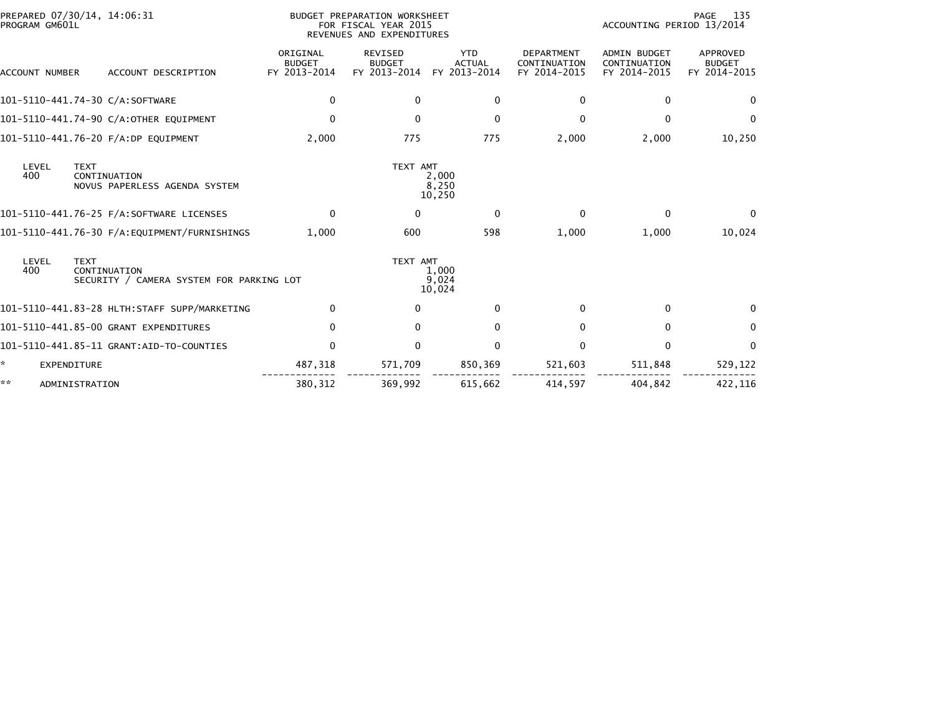| PROGRAM GM601L | PREPARED 07/30/14, 14:06:31                                             | BUDGET PREPARATION WORKSHEET<br>FOR FISCAL YEAR 2015<br>REVENUES AND EXPENDITURES |                                                 |                                             |                                                   | 135<br>PAGE<br>ACCOUNTING PERIOD 13/2014            |                                           |  |  |
|----------------|-------------------------------------------------------------------------|-----------------------------------------------------------------------------------|-------------------------------------------------|---------------------------------------------|---------------------------------------------------|-----------------------------------------------------|-------------------------------------------|--|--|
| ACCOUNT NUMBER | ACCOUNT DESCRIPTION                                                     | ORIGINAL<br><b>BUDGET</b><br>FY 2013-2014                                         | <b>REVISED</b><br><b>BUDGET</b><br>FY 2013-2014 | <b>YTD</b><br><b>ACTUAL</b><br>FY 2013-2014 | <b>DEPARTMENT</b><br>CONTINUATION<br>FY 2014-2015 | <b>ADMIN BUDGET</b><br>CONTINUATION<br>FY 2014-2015 | APPROVED<br><b>BUDGET</b><br>FY 2014-2015 |  |  |
|                | 101-5110-441.74-30 C/A:SOFTWARE                                         | 0                                                                                 | $\mathbf{0}$                                    | $\mathbf{0}$                                | 0                                                 | $\bf{0}$                                            | 0                                         |  |  |
|                | 101-5110-441.74-90 C/A:OTHER EQUIPMENT                                  | $\mathbf{0}$                                                                      | $\Omega$                                        | $\Omega$                                    | 0                                                 | $\Omega$                                            | $\Omega$                                  |  |  |
|                | 101-5110-441.76-20 F/A:DP EQUIPMENT                                     | 2,000                                                                             | 775                                             | 775                                         | 2,000                                             | 2,000                                               | 10,250                                    |  |  |
| LEVEL<br>400   | <b>TEXT</b><br>CONTINUATION<br>NOVUS PAPERLESS AGENDA SYSTEM            |                                                                                   | TEXT AMT                                        | 2,000<br>8,250<br>10,250                    |                                                   |                                                     |                                           |  |  |
|                |                                                                         | $\mathbf 0$                                                                       | $\bf{0}$                                        | 0                                           | $\mathbf{0}$                                      | 0                                                   | $\Omega$                                  |  |  |
|                | 101-5110-441.76-30 F/A:EQUIPMENT/FURNISHINGS                            | 1.000                                                                             | 600                                             | 598                                         | 1,000                                             | 1,000                                               | 10,024                                    |  |  |
| LEVEL<br>400   | <b>TEXT</b><br>CONTINUATION<br>SECURITY / CAMERA SYSTEM FOR PARKING LOT |                                                                                   | TEXT AMT                                        | 1,000<br>9,024<br>10,024                    |                                                   |                                                     |                                           |  |  |
|                |                                                                         | $\Omega$                                                                          | $\Omega$                                        | $\Omega$                                    | 0                                                 | $\Omega$                                            | $\Omega$                                  |  |  |
|                | 101-5110-441.85-00 GRANT EXPENDITURES                                   | $\mathbf 0$                                                                       | $\mathbf{0}$                                    | $\mathbf{0}$                                | $\Omega$                                          | $\mathbf{0}$                                        | 0                                         |  |  |
|                |                                                                         | $\mathbf{0}$                                                                      | $\Omega$                                        | $\Omega$                                    | 0                                                 | 0                                                   | $\Omega$                                  |  |  |
| ÷.             | <b>EXPENDITURE</b>                                                      | 487,318                                                                           | 571,709                                         | 850,369                                     | 521,603                                           | 511,848                                             | 529,122                                   |  |  |
| **             | ADMINISTRATION                                                          | 380, 312                                                                          | 369.992                                         | 615,662                                     | 414.597                                           | 404.842                                             | 422,116                                   |  |  |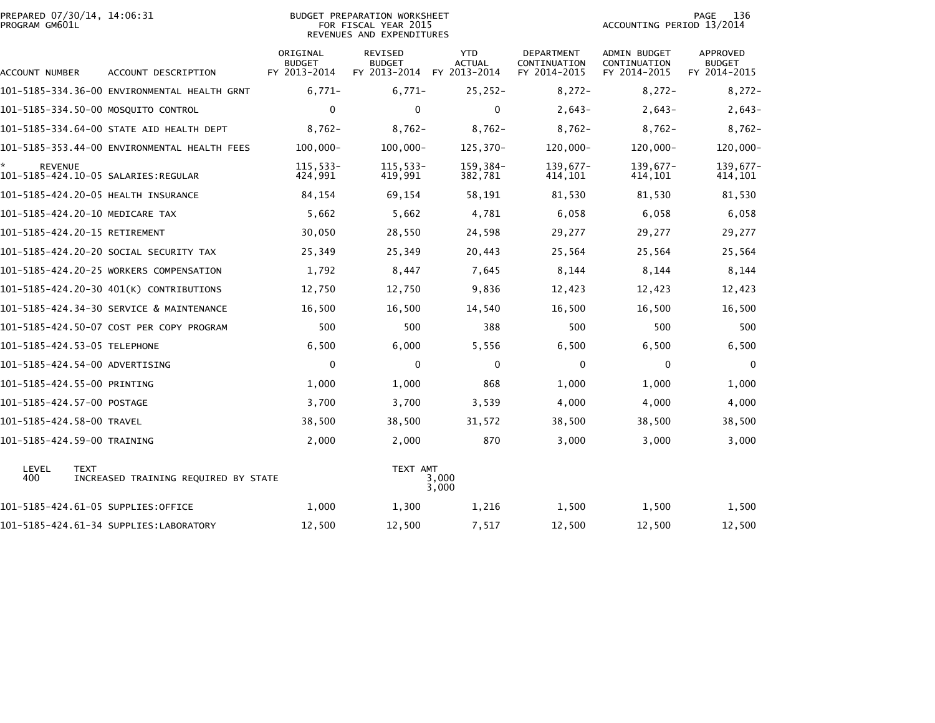| PROGRAM GM601L            | PREPARED 07/30/14, 14:06:31                         | BUDGET PREPARATION WORKSHEET<br>FOR FISCAL YEAR 2015<br>REVENUES AND EXPENDITURES |                                          |                                             |                                            | 136<br>PAGE<br>ACCOUNTING PERIOD 13/2014     |                                           |  |
|---------------------------|-----------------------------------------------------|-----------------------------------------------------------------------------------|------------------------------------------|---------------------------------------------|--------------------------------------------|----------------------------------------------|-------------------------------------------|--|
| ACCOUNT NUMBER            | ACCOUNT DESCRIPTION                                 | ORIGINAL<br><b>BUDGET</b><br>FY 2013-2014                                         | REVISED<br><b>BUDGET</b><br>FY 2013-2014 | <b>YTD</b><br><b>ACTUAL</b><br>FY 2013-2014 | DEPARTMENT<br>CONTINUATION<br>FY 2014-2015 | ADMIN BUDGET<br>CONTINUATION<br>FY 2014-2015 | APPROVED<br><b>BUDGET</b><br>FY 2014-2015 |  |
|                           | 101-5185-334.36-00 ENVIRONMENTAL HEALTH GRNT        | $6,771-$                                                                          | $6,771-$                                 | $25, 252 -$                                 | $8,272-$                                   | $8,272-$                                     | $8,272-$                                  |  |
|                           | 101-5185-334.50-00 MOSQUITO CONTROL                 | $\mathbf 0$                                                                       | $\mathbf{0}$                             | $\mathbf 0$                                 | $2,643-$                                   | $2,643-$                                     | $2,643-$                                  |  |
|                           | 101-5185-334.64-00 STATE AID HEALTH DEPT            | $8,762-$                                                                          | $8,762-$                                 | $8,762-$                                    | $8,762-$                                   | $8.762 -$                                    | $8,762-$                                  |  |
|                           | 101-5185-353.44-00 ENVIRONMENTAL HEALTH FEES        | $100,000 -$                                                                       | $100,000 -$                              | 125,370-                                    | $120,000 -$                                | $120,000 -$                                  | 120,000-                                  |  |
| ÷.<br><b>REVENUE</b>      |                                                     | $115,533-$<br>424,991                                                             | 115,533-<br>419,991                      | 159,384-<br>382,781                         | 139,677-<br>414,101                        | 139,677-<br>414,101                          | 139,677-<br>414,101                       |  |
|                           | 101-5185-424.20-05 HEALTH INSURANCE                 | 84,154                                                                            | 69,154                                   | 58,191                                      | 81,530                                     | 81,530                                       | 81,530                                    |  |
|                           | 101-5185-424.20-10 MEDICARE TAX                     | 5,662                                                                             | 5,662                                    | 4,781                                       | 6,058                                      | 6,058                                        | 6,058                                     |  |
|                           | 101-5185-424.20-15 RETIREMENT                       | 30,050                                                                            | 28,550                                   | 24,598                                      | 29,277                                     | 29,277                                       | 29,277                                    |  |
|                           | 101-5185-424.20-20 SOCIAL SECURITY TAX              | 25,349                                                                            | 25,349                                   | 20,443                                      | 25,564                                     | 25,564                                       | 25,564                                    |  |
|                           | 101-5185-424.20-25 WORKERS COMPENSATION             | 1,792                                                                             | 8,447                                    | 7,645                                       | 8,144                                      | 8,144                                        | 8,144                                     |  |
|                           | 101-5185-424.20-30 401(K) CONTRIBUTIONS             | 12,750                                                                            | 12,750                                   | 9,836                                       | 12,423                                     | 12,423                                       | 12,423                                    |  |
|                           | 101-5185-424.34-30 SERVICE & MAINTENANCE            | 16,500                                                                            | 16,500                                   | 14,540                                      | 16,500                                     | 16,500                                       | 16,500                                    |  |
|                           | 101-5185-424.50-07 COST PER COPY PROGRAM            | 500                                                                               | 500                                      | 388                                         | 500                                        | 500                                          | 500                                       |  |
|                           | 101-5185-424.53-05 TELEPHONE                        | 6,500                                                                             | 6,000                                    | 5,556                                       | 6,500                                      | 6,500                                        | 6,500                                     |  |
|                           | 101-5185-424.54-00 ADVERTISING                      | $\mathbf 0$                                                                       | $\mathbf{0}$                             | $\mathbf 0$                                 | $\mathbf{0}$                               | $\Omega$                                     | $\Omega$                                  |  |
|                           | 101-5185-424.55-00 PRINTING                         | 1,000                                                                             | 1,000                                    | 868                                         | 1,000                                      | 1,000                                        | 1,000                                     |  |
|                           | 101-5185-424.57-00 POSTAGE                          | 3,700                                                                             | 3,700                                    | 3,539                                       | 4,000                                      | 4,000                                        | 4,000                                     |  |
| 101-5185-424.58-00 TRAVEL |                                                     | 38,500                                                                            | 38,500                                   | 31,572                                      | 38,500                                     | 38,500                                       | 38,500                                    |  |
|                           | 101-5185-424.59-00 TRAINING                         | 2,000                                                                             | 2,000                                    | 870                                         | 3,000                                      | 3,000                                        | 3,000                                     |  |
| LEVEL<br>400              | <b>TEXT</b><br>INCREASED TRAINING REQUIRED BY STATE |                                                                                   | TEXT AMT                                 | 3,000<br>3,000                              |                                            |                                              |                                           |  |
|                           | 101-5185-424.61-05 SUPPLIES:OFFICE                  | 1,000                                                                             | 1,300                                    | 1,216                                       | 1,500                                      | 1,500                                        | 1,500                                     |  |
|                           | 101-5185-424.61-34 SUPPLIES: LABORATORY             | 12,500                                                                            | 12,500                                   | 7,517                                       | 12,500                                     | 12,500                                       | 12,500                                    |  |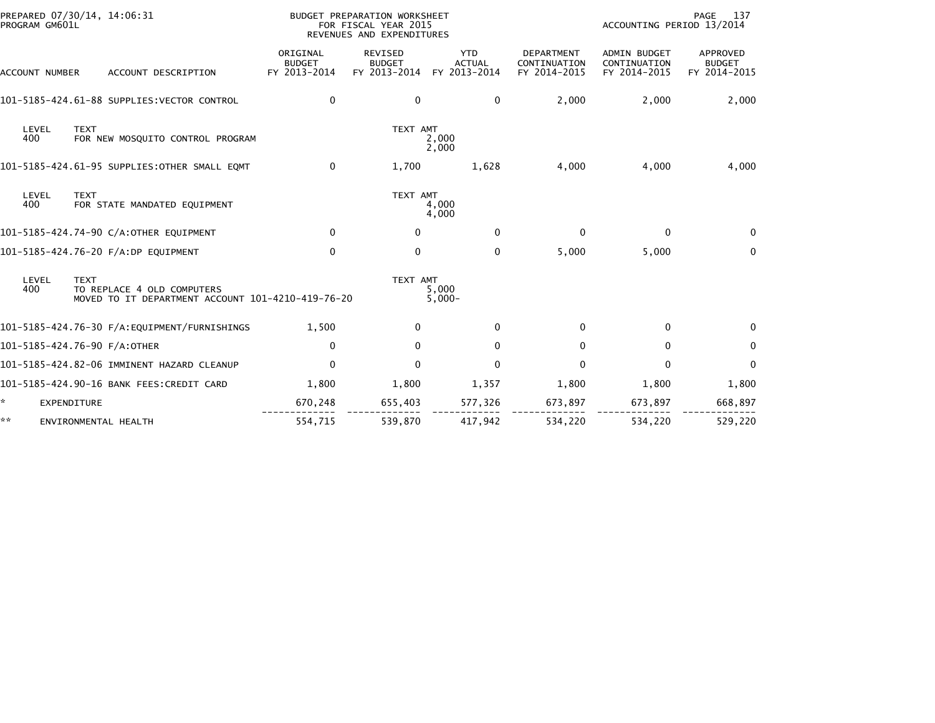| PREPARED 07/30/14, 14:06:31<br>PROGRAM GM601L                                                                  | BUDGET PREPARATION WORKSHEET<br>FOR FISCAL YEAR 2015<br>REVENUES AND EXPENDITURES |                                                 |                                             |                                                   | PAGE<br>137<br>ACCOUNTING PERIOD 13/2014            |                                           |  |
|----------------------------------------------------------------------------------------------------------------|-----------------------------------------------------------------------------------|-------------------------------------------------|---------------------------------------------|---------------------------------------------------|-----------------------------------------------------|-------------------------------------------|--|
| ACCOUNT DESCRIPTION<br>ACCOUNT NUMBER                                                                          | ORIGINAL<br><b>BUDGET</b><br>FY 2013-2014                                         | <b>REVISED</b><br><b>BUDGET</b><br>FY 2013-2014 | <b>YTD</b><br><b>ACTUAL</b><br>FY 2013-2014 | <b>DEPARTMENT</b><br>CONTINUATION<br>FY 2014-2015 | <b>ADMIN BUDGET</b><br>CONTINUATION<br>FY 2014-2015 | APPROVED<br><b>BUDGET</b><br>FY 2014-2015 |  |
| 101-5185-424.61-88 SUPPLIES: VECTOR CONTROL                                                                    | 0                                                                                 | 0                                               | 0                                           | 2,000                                             | 2,000                                               | 2,000                                     |  |
| LEVEL<br><b>TEXT</b><br>400<br>FOR NEW MOSQUITO CONTROL PROGRAM                                                |                                                                                   | TEXT AMT                                        | 2,000<br>2,000                              |                                                   |                                                     |                                           |  |
| 101-5185-424.61-95 SUPPLIES: OTHER SMALL EQMT                                                                  | $\mathbf{0}$                                                                      | 1,700                                           | 1,628                                       | 4,000                                             | 4,000                                               | 4,000                                     |  |
| LEVEL<br><b>TEXT</b><br>400<br>FOR STATE MANDATED EQUIPMENT                                                    |                                                                                   | TEXT AMT                                        | 4,000<br>4,000                              |                                                   |                                                     |                                           |  |
| 101-5185-424.74-90 C/A:OTHER EQUIPMENT                                                                         | $\Omega$                                                                          | $\bf{0}$                                        | $\Omega$                                    | $\bf{0}$                                          | $\mathbf{0}$                                        | $\Omega$                                  |  |
| 101-5185-424.76-20 F/A:DP EQUIPMENT                                                                            | $\mathbf 0$                                                                       | 0                                               | 0                                           | 5,000                                             | 5,000                                               | $\mathbf 0$                               |  |
| LEVEL<br><b>TEXT</b><br>400<br>TO REPLACE 4 OLD COMPUTERS<br>MOVED TO IT DEPARTMENT ACCOUNT 101-4210-419-76-20 |                                                                                   | TEXT AMT                                        | 5,000<br>$5,000 -$                          |                                                   |                                                     |                                           |  |
| 101-5185-424.76-30 F/A:EQUIPMENT/FURNISHINGS                                                                   | 1,500                                                                             | 0                                               | $\Omega$                                    | 0                                                 | $\mathbf{0}$                                        | $\Omega$                                  |  |
| 101-5185-424.76-90 F/A:OTHER                                                                                   | $\mathbf{0}$                                                                      | $\mathbf{0}$                                    | $\mathbf{0}$                                | 0                                                 | $\mathbf{0}$                                        | $\Omega$                                  |  |
| 101-5185-424.82-06 IMMINENT HAZARD CLEANUP                                                                     | $\mathbf 0$                                                                       | $\mathbf{0}$                                    | $\mathbf{0}$                                | 0                                                 | $\mathbf{0}$                                        | $\Omega$                                  |  |
| 101-5185-424.90-16 BANK FEES:CREDIT CARD                                                                       | 1,800                                                                             | 1,800                                           | 1,357                                       | 1,800                                             | 1,800                                               | 1,800                                     |  |
| <b>EXPENDITURE</b>                                                                                             | 670,248                                                                           | 655,403                                         | 577,326                                     | 673,897                                           | 673,897                                             | 668,897                                   |  |
| **<br>ENVIRONMENTAL HEALTH                                                                                     | 554,715                                                                           | 539,870                                         | 417,942                                     | 534,220                                           | 534,220                                             | 529,220                                   |  |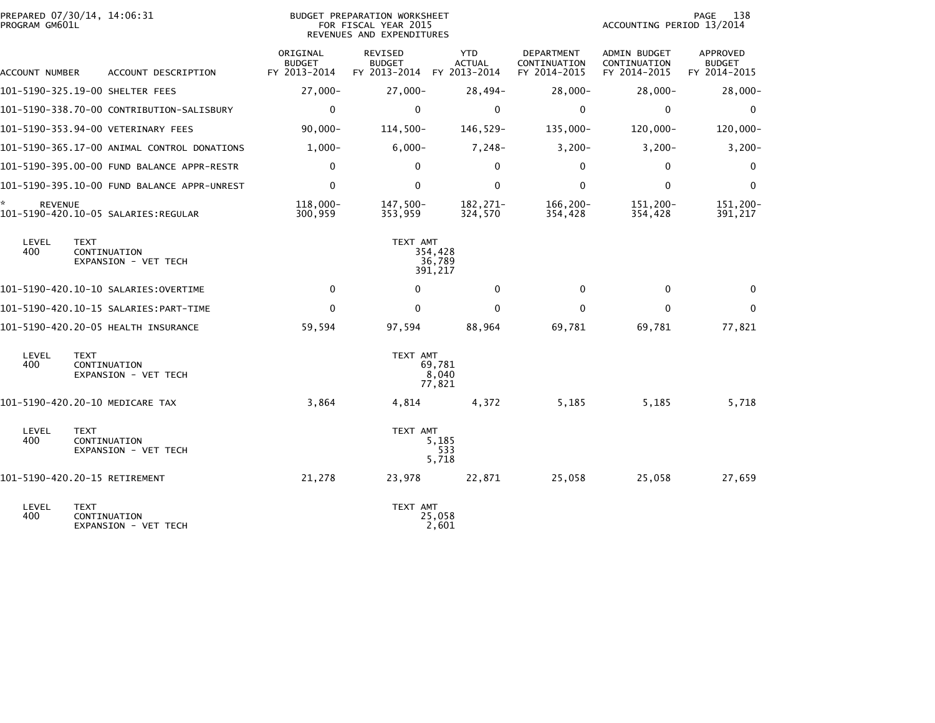| PROGRAM GM601L      | PREPARED 07/30/14, 14:06:31                         | BUDGET PREPARATION WORKSHEET<br>FOR FISCAL YEAR 2015<br>REVENUES AND EXPENDITURES |                                                              |                              |                                                   | 138<br>PAGE<br>ACCOUNTING PERIOD 13/2014     |                                           |  |
|---------------------|-----------------------------------------------------|-----------------------------------------------------------------------------------|--------------------------------------------------------------|------------------------------|---------------------------------------------------|----------------------------------------------|-------------------------------------------|--|
| ACCOUNT NUMBER      | ACCOUNT DESCRIPTION                                 | ORIGINAL<br><b>BUDGET</b><br>FY 2013-2014                                         | <b>REVISED</b><br><b>BUDGET</b><br>FY 2013-2014 FY 2013-2014 | <b>YTD</b><br><b>ACTUAL</b>  | <b>DEPARTMENT</b><br>CONTINUATION<br>FY 2014-2015 | ADMIN BUDGET<br>CONTINUATION<br>FY 2014-2015 | APPROVED<br><b>BUDGET</b><br>FY 2014-2015 |  |
|                     | 101-5190-325.19-00 SHELTER FEES                     | $27,000-$                                                                         | $27,000-$                                                    | $28,494-$                    | $28,000-$                                         | $28,000-$                                    | $28,000 -$                                |  |
|                     | 101-5190-338.70-00 CONTRIBUTION-SALISBURY           | 0                                                                                 | 0                                                            | 0                            | 0                                                 | 0                                            | 0                                         |  |
|                     | 101-5190-353.94-00 VETERINARY FEES                  | $90,000 -$                                                                        | $114,500-$                                                   | 146,529-                     | $135,000 -$                                       | $120,000 -$                                  | 120,000-                                  |  |
|                     | 101-5190-365.17-00 ANIMAL CONTROL DONATIONS         | $1,000-$                                                                          | $6,000-$                                                     | $7,248-$                     | $3,200-$                                          | $3,200-$                                     | $3,200 -$                                 |  |
|                     | 101-5190-395.00-00 FUND BALANCE APPR-RESTR          | $\mathbf{0}$                                                                      | $\mathbf{0}$                                                 | $\mathbf{0}$                 | $\Omega$                                          | $\mathbf 0$                                  | $\mathbf 0$                               |  |
|                     |                                                     | $\mathbf{0}$                                                                      | $\Omega$                                                     | $\mathbf{0}$                 | $\Omega$                                          | $\mathbf{0}$                                 | $\mathbf 0$                               |  |
| *<br><b>REVENUE</b> | 101-5190-420.10-05 SALARIES:REGULAR                 | 118.000-<br>300,959                                                               | 147,500-<br>353,959                                          | 182,271-<br>324,570          | 166,200-<br>354,428                               | 151.200-<br>354,428                          | 151,200-<br>391,217                       |  |
| LEVEL<br>400        | <b>TEXT</b><br>CONTINUATION<br>EXPANSION - VET TECH |                                                                                   | TEXT AMT                                                     | 354,428<br>36,789<br>391,217 |                                                   |                                              |                                           |  |
|                     | 101-5190-420.10-10 SALARIES:OVERTIME                | 0                                                                                 | $\mathbf 0$                                                  | 0                            | 0                                                 | 0                                            | $\mathbf{0}$                              |  |
|                     |                                                     | 0                                                                                 | 0                                                            | $\mathbf{0}$                 | 0                                                 | $\mathbf{0}$                                 | 0                                         |  |
|                     | 101-5190-420.20-05 HEALTH INSURANCE                 | 59,594                                                                            | 97,594                                                       | 88,964                       | 69,781                                            | 69,781                                       | 77,821                                    |  |
| LEVEL<br>400        | <b>TEXT</b><br>CONTINUATION<br>EXPANSION - VET TECH |                                                                                   | TEXT AMT                                                     | 69,781<br>8,040<br>77,821    |                                                   |                                              |                                           |  |
|                     | 101-5190-420.20-10 MEDICARE TAX                     | 3,864                                                                             | 4,814                                                        | 4,372                        | 5,185                                             | 5,185                                        | 5,718                                     |  |
| LEVEL<br>400        | <b>TEXT</b><br>CONTINUATION<br>EXPANSION - VET TECH |                                                                                   | TEXT AMT                                                     | 5,185<br>533<br>5,718        |                                                   |                                              |                                           |  |
|                     | 101-5190-420.20-15 RETIREMENT                       | 21,278                                                                            | 23,978                                                       | 22,871                       | 25,058                                            | 25,058                                       | 27,659                                    |  |
| LEVEL<br>400        | <b>TEXT</b><br>CONTINUATION<br>EXPANSION - VET TECH |                                                                                   | TEXT AMT                                                     | 25,058<br>2,601              |                                                   |                                              |                                           |  |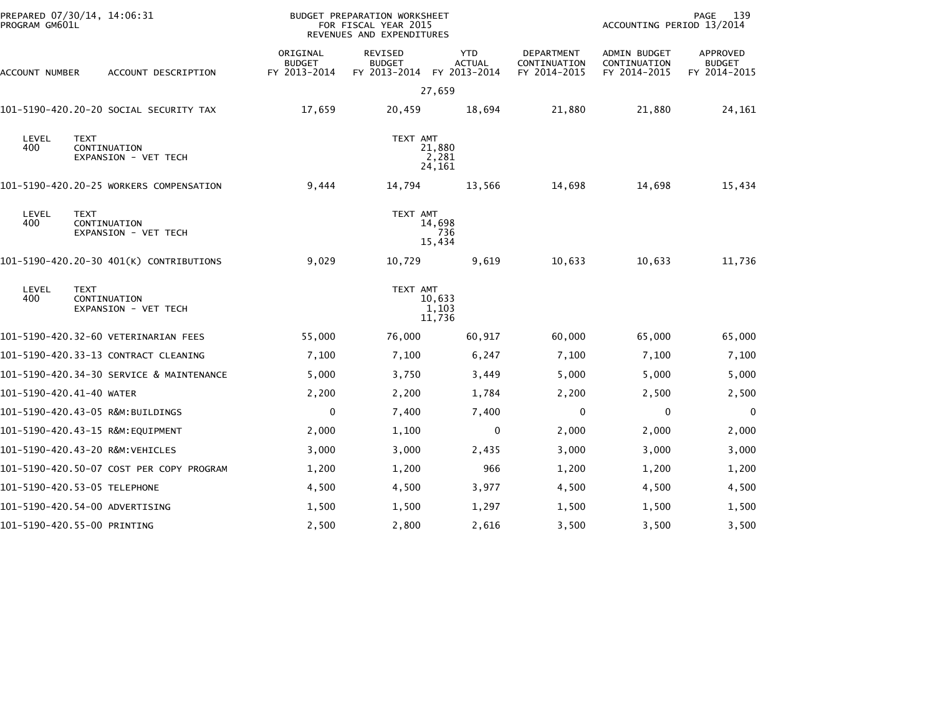| PREPARED 07/30/14, 14:06:31<br>PROGRAM GM601L                       |                                           | BUDGET PREPARATION WORKSHEET<br>FOR FISCAL YEAR 2015<br>REVENUES AND EXPENDITURES |                                             |                                            | ACCOUNTING PERIOD 13/2014                           | 139<br>PAGE                                      |
|---------------------------------------------------------------------|-------------------------------------------|-----------------------------------------------------------------------------------|---------------------------------------------|--------------------------------------------|-----------------------------------------------------|--------------------------------------------------|
| ACCOUNT NUMBER<br>ACCOUNT DESCRIPTION                               | ORIGINAL<br><b>BUDGET</b><br>FY 2013-2014 | REVISED<br><b>BUDGET</b><br>FY 2013-2014                                          | <b>YTD</b><br><b>ACTUAL</b><br>FY 2013-2014 | DEPARTMENT<br>CONTINUATION<br>FY 2014-2015 | <b>ADMIN BUDGET</b><br>CONTINUATION<br>FY 2014-2015 | <b>APPROVED</b><br><b>BUDGET</b><br>FY 2014-2015 |
|                                                                     |                                           |                                                                                   | 27,659                                      |                                            |                                                     |                                                  |
| 101-5190-420.20-20 SOCIAL SECURITY TAX                              | 17,659                                    | 20,459                                                                            | 18,694                                      | 21,880                                     | 21,880                                              | 24,161                                           |
| LEVEL<br><b>TEXT</b><br>400<br>CONTINUATION<br>EXPANSION - VET TECH |                                           | TEXT AMT                                                                          | 21,880<br>2,281<br>24,161                   |                                            |                                                     |                                                  |
| 101-5190-420.20-25 WORKERS COMPENSATION                             | 9,444                                     | 14,794                                                                            | 13,566                                      | 14,698                                     | 14,698                                              | 15,434                                           |
| LEVEL<br><b>TEXT</b><br>400<br>CONTINUATION<br>EXPANSION - VET TECH |                                           | TEXT AMT                                                                          | 14,698<br>736<br>15,434                     |                                            |                                                     |                                                  |
| 101-5190-420.20-30 401(K) CONTRIBUTIONS                             | 9,029                                     | 10,729                                                                            | 9,619                                       | 10,633                                     | 10,633                                              | 11,736                                           |
| LEVEL<br><b>TEXT</b><br>400<br>CONTINUATION<br>EXPANSION - VET TECH |                                           | TEXT AMT                                                                          | 10,633<br>1,103<br>11,736                   |                                            |                                                     |                                                  |
| 101-5190-420.32-60 VETERINARIAN FEES                                | 55,000                                    | 76,000                                                                            | 60,917                                      | 60,000                                     | 65,000                                              | 65,000                                           |
| 101-5190-420.33-13 CONTRACT CLEANING                                | 7,100                                     | 7,100                                                                             | 6,247                                       | 7,100                                      | 7,100                                               | 7,100                                            |
| 101-5190-420.34-30 SERVICE & MAINTENANCE                            | 5,000                                     | 3,750                                                                             | 3,449                                       | 5,000                                      | 5,000                                               | 5,000                                            |
| 101-5190-420.41-40 WATER                                            | 2,200                                     | 2,200                                                                             | 1,784                                       | 2,200                                      | 2,500                                               | 2,500                                            |
| 101-5190-420.43-05 R&M:BUILDINGS                                    | $\mathbf 0$                               | 7,400                                                                             | 7,400                                       | 0                                          | $\mathbf 0$                                         | 0                                                |
| 101-5190-420.43-15 R&M:EQUIPMENT                                    | 2,000                                     | 1,100                                                                             | $\mathbf{0}$                                | 2,000                                      | 2,000                                               | 2,000                                            |
| 101-5190-420.43-20 R&M:VEHICLES                                     | 3,000                                     | 3,000                                                                             | 2,435                                       | 3,000                                      | 3,000                                               | 3,000                                            |
| 101-5190-420.50-07 COST PER COPY PROGRAM                            | 1,200                                     | 1,200                                                                             | 966                                         | 1,200                                      | 1,200                                               | 1,200                                            |
| 101-5190-420.53-05 TELEPHONE                                        | 4,500                                     | 4,500                                                                             | 3,977                                       | 4,500                                      | 4,500                                               | 4,500                                            |
| 101-5190-420.54-00 ADVERTISING                                      | 1,500                                     | 1,500                                                                             | 1,297                                       | 1,500                                      | 1,500                                               | 1,500                                            |
| 101-5190-420.55-00 PRINTING                                         | 2,500                                     | 2,800                                                                             | 2,616                                       | 3,500                                      | 3,500                                               | 3,500                                            |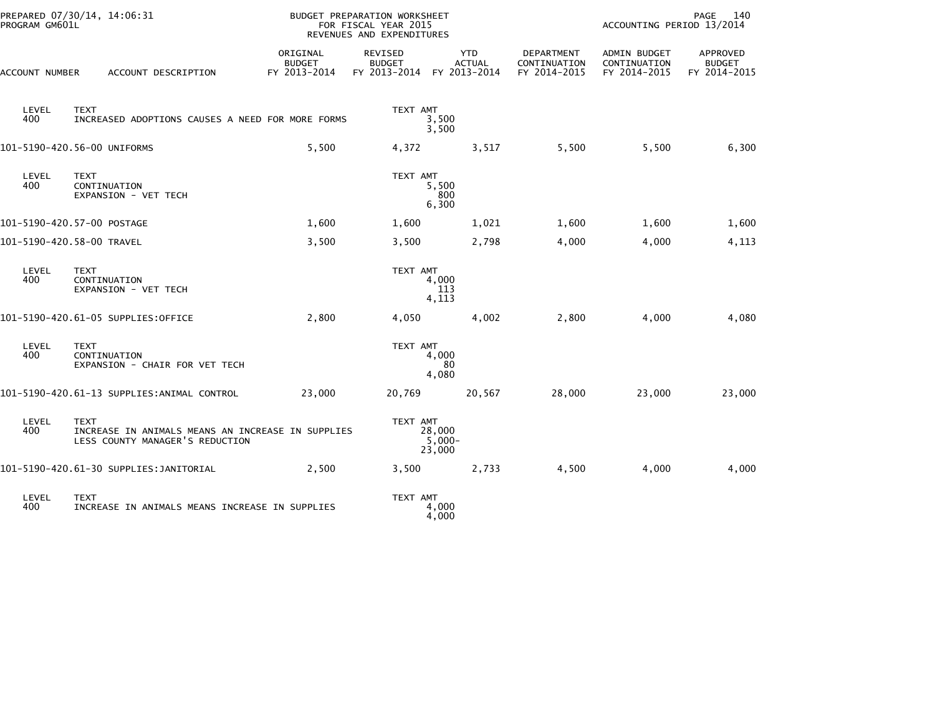| PROGRAM GM601L | PREPARED 07/30/14, 14:06:31                                                                         |                                           | BUDGET PREPARATION WORKSHEET<br>FOR FISCAL YEAR 2015<br>REVENUES AND EXPENDITURES |                                             |                                            | PAGE<br>140<br>ACCOUNTING PERIOD 13/2014     |                                           |  |
|----------------|-----------------------------------------------------------------------------------------------------|-------------------------------------------|-----------------------------------------------------------------------------------|---------------------------------------------|--------------------------------------------|----------------------------------------------|-------------------------------------------|--|
| ACCOUNT NUMBER | ACCOUNT DESCRIPTION                                                                                 | ORIGINAL<br><b>BUDGET</b><br>FY 2013-2014 | <b>REVISED</b><br><b>BUDGET</b><br>FY 2013-2014                                   | <b>YTD</b><br><b>ACTUAL</b><br>FY 2013-2014 | DEPARTMENT<br>CONTINUATION<br>FY 2014-2015 | ADMIN BUDGET<br>CONTINUATION<br>FY 2014-2015 | APPROVED<br><b>BUDGET</b><br>FY 2014-2015 |  |
| LEVEL<br>400   | <b>TEXT</b><br>INCREASED ADOPTIONS CAUSES A NEED FOR MORE FORMS                                     |                                           | TEXT AMT                                                                          | 3,500<br>3,500                              |                                            |                                              |                                           |  |
|                | 101-5190-420.56-00 UNIFORMS                                                                         | 5,500                                     | 4,372                                                                             | 3,517                                       | 5,500                                      | 5,500                                        | 6,300                                     |  |
| LEVEL<br>400   | <b>TEXT</b><br>CONTINUATION<br>EXPANSION - VET TECH                                                 |                                           | TEXT AMT                                                                          | 5,500<br>800<br>6,300                       |                                            |                                              |                                           |  |
|                | 101-5190-420.57-00 POSTAGE                                                                          | 1,600                                     | 1,600                                                                             | 1,021                                       | 1,600                                      | 1,600                                        | 1,600                                     |  |
|                | 101-5190-420.58-00 TRAVEL                                                                           | 3,500                                     | 3,500                                                                             | 2,798                                       | 4,000                                      | 4,000                                        | 4,113                                     |  |
| LEVEL<br>400   | <b>TEXT</b><br>CONTINUATION<br>EXPANSION - VET TECH                                                 |                                           | TEXT AMT                                                                          | 4,000<br>113<br>4,113                       |                                            |                                              |                                           |  |
|                | 101-5190-420.61-05 SUPPLIES:OFFICE                                                                  | 2,800                                     | 4,050                                                                             | 4,002                                       | 2,800                                      | 4,000                                        | 4,080                                     |  |
| LEVEL<br>400   | <b>TEXT</b><br>CONTINUATION<br>EXPANSION - CHAIR FOR VET TECH                                       |                                           | TEXT AMT                                                                          | 4,000<br>80<br>4,080                        |                                            |                                              |                                           |  |
|                | 101-5190-420.61-13 SUPPLIES:ANIMAL CONTROL                                                          | 23,000                                    | 20,769                                                                            | 20,567                                      | 28,000                                     | 23,000                                       | 23,000                                    |  |
| LEVEL<br>400   | <b>TEXT</b><br>INCREASE IN ANIMALS MEANS AN INCREASE IN SUPPLIES<br>LESS COUNTY MANAGER'S REDUCTION |                                           | TEXT AMT                                                                          | 28,000<br>$5.000 -$<br>23,000               |                                            |                                              |                                           |  |
|                | 101-5190-420.61-30 SUPPLIES: JANITORIAL                                                             | 2,500                                     | 3,500                                                                             | 2,733                                       | 4,500                                      | 4,000                                        | 4,000                                     |  |
| LEVEL<br>400   | <b>TEXT</b><br>INCREASE IN ANIMALS MEANS INCREASE IN SUPPLIES                                       |                                           | TEXT AMT                                                                          | 4,000<br>4,000                              |                                            |                                              |                                           |  |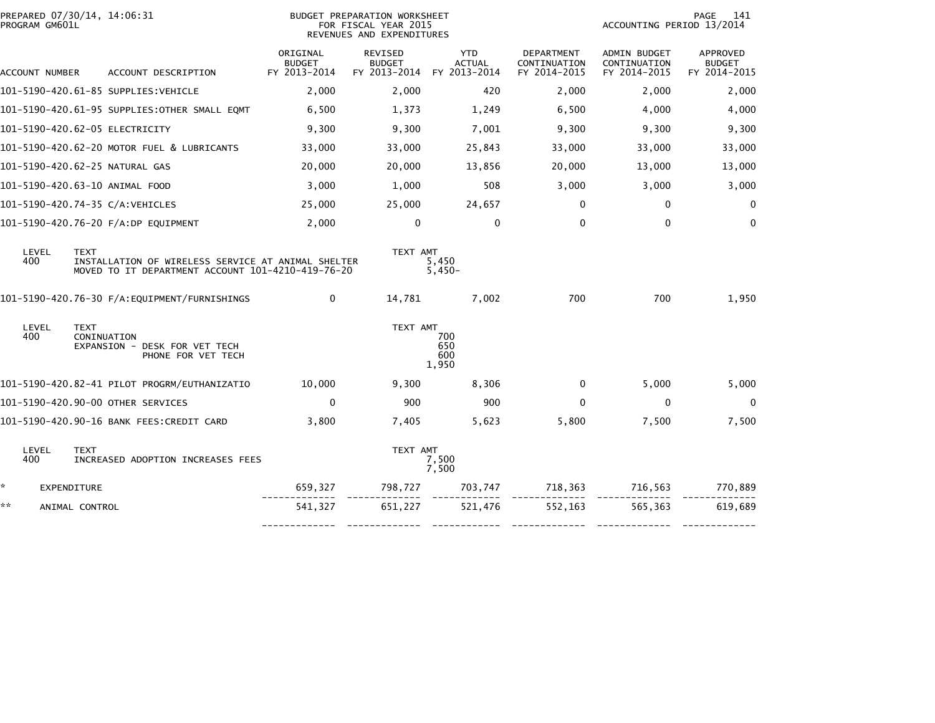|    | PREPARED 07/30/14, 14:06:31<br>PROGRAM GM601L |                            |                                                                                                         | BUDGET PREPARATION WORKSHEET<br>FOR FISCAL YEAR 2015<br>REVENUES AND EXPENDITURES |                                          |                                             |                                            | 141<br>PAGE<br>ACCOUNTING PERIOD 13/2014     |                                           |  |
|----|-----------------------------------------------|----------------------------|---------------------------------------------------------------------------------------------------------|-----------------------------------------------------------------------------------|------------------------------------------|---------------------------------------------|--------------------------------------------|----------------------------------------------|-------------------------------------------|--|
|    | ACCOUNT NUMBER                                |                            | ACCOUNT DESCRIPTION                                                                                     | ORIGINAL<br><b>BUDGET</b><br>FY 2013-2014                                         | REVISED<br><b>BUDGET</b><br>FY 2013-2014 | <b>YTD</b><br><b>ACTUAL</b><br>FY 2013-2014 | DEPARTMENT<br>CONTINUATION<br>FY 2014-2015 | ADMIN BUDGET<br>CONTINUATION<br>FY 2014-2015 | APPROVED<br><b>BUDGET</b><br>FY 2014-2015 |  |
|    |                                               |                            | 101-5190-420.61-85 SUPPLIES:VEHICLE                                                                     | 2,000                                                                             | 2.000                                    | 420                                         | 2.000                                      | 2,000                                        | 2,000                                     |  |
|    |                                               |                            | 101-5190-420.61-95 SUPPLIES:OTHER SMALL EQMT                                                            | 6,500                                                                             | 1,373                                    | 1,249                                       | 6,500                                      | 4,000                                        | 4,000                                     |  |
|    |                                               |                            | 101-5190-420.62-05 ELECTRICITY                                                                          | 9,300                                                                             | 9,300                                    | 7,001                                       | 9,300                                      | 9,300                                        | 9,300                                     |  |
|    |                                               |                            | 101-5190-420.62-20 MOTOR FUEL & LUBRICANTS                                                              | 33,000                                                                            | 33,000                                   | 25,843                                      | 33,000                                     | 33,000                                       | 33,000                                    |  |
|    |                                               |                            | 101-5190-420.62-25 NATURAL GAS                                                                          | 20,000                                                                            | 20,000                                   | 13,856                                      | 20,000                                     | 13,000                                       | 13,000                                    |  |
|    |                                               |                            | 101-5190-420.63-10 ANIMAL FOOD                                                                          | 3,000                                                                             | 1,000                                    | 508                                         | 3,000                                      | 3,000                                        | 3,000                                     |  |
|    |                                               |                            | 101-5190-420.74-35 C/A:VEHICLES                                                                         | 25,000                                                                            | 25,000                                   | 24,657                                      | $\mathbf 0$                                | $\mathbf 0$                                  | 0                                         |  |
|    |                                               |                            | 101-5190-420.76-20 F/A:DP EQUIPMENT                                                                     | 2,000                                                                             | $\mathbf 0$                              | $\mathbf{0}$                                | $\mathbf 0$                                | $\mathbf{0}$                                 | $\mathbf 0$                               |  |
|    | LEVEL<br>400                                  | <b>TEXT</b>                | INSTALLATION OF WIRELESS SERVICE AT ANIMAL SHELTER<br>MOVED TO IT DEPARTMENT ACCOUNT 101-4210-419-76-20 |                                                                                   | TEXT AMT                                 | 5,450<br>$5,450-$                           |                                            |                                              |                                           |  |
|    |                                               |                            | 101-5190-420.76-30 F/A:EQUIPMENT/FURNISHINGS                                                            | $\Omega$                                                                          | 14,781                                   | 7,002                                       | 700                                        | 700                                          | 1,950                                     |  |
|    | LEVEL<br>400                                  | <b>TEXT</b><br>CONINUATION | EXPANSION - DESK FOR VET TECH<br>PHONE FOR VET TECH                                                     |                                                                                   | TEXT AMT                                 | 700<br>650<br>600<br>1,950                  |                                            |                                              |                                           |  |
|    |                                               |                            | 101-5190-420.82-41 PILOT PROGRM/EUTHANIZATIO                                                            | 10,000                                                                            | 9,300                                    | 8,306                                       | $\mathbf 0$                                | 5,000                                        | 5,000                                     |  |
|    |                                               |                            | 101-5190-420.90-00 OTHER SERVICES                                                                       | $\Omega$                                                                          | 900                                      | 900                                         | $\mathbf{0}$                               | $\mathbf{0}$                                 | $\mathbf 0$                               |  |
|    |                                               |                            | 101-5190-420.90-16 BANK FEES:CREDIT CARD                                                                | 3,800                                                                             | 7,405                                    | 5,623                                       | 5,800                                      | 7,500                                        | 7,500                                     |  |
|    | LEVEL<br>400                                  | <b>TEXT</b>                | INCREASED ADOPTION INCREASES FEES                                                                       |                                                                                   | TEXT AMT                                 | 7,500<br>7,500                              |                                            |                                              |                                           |  |
| *. | EXPENDITURE                                   |                            |                                                                                                         | 659,327                                                                           | 798,727                                  |                                             | 703,747 718,363                            | 716,563                                      | 770,889                                   |  |
| ** |                                               | ANIMAL CONTROL             |                                                                                                         | 541,327                                                                           | 651,227                                  | 521,476                                     | 552,163                                    | 565,363                                      | 619,689                                   |  |
|    |                                               |                            |                                                                                                         |                                                                                   |                                          |                                             | -------------                              |                                              |                                           |  |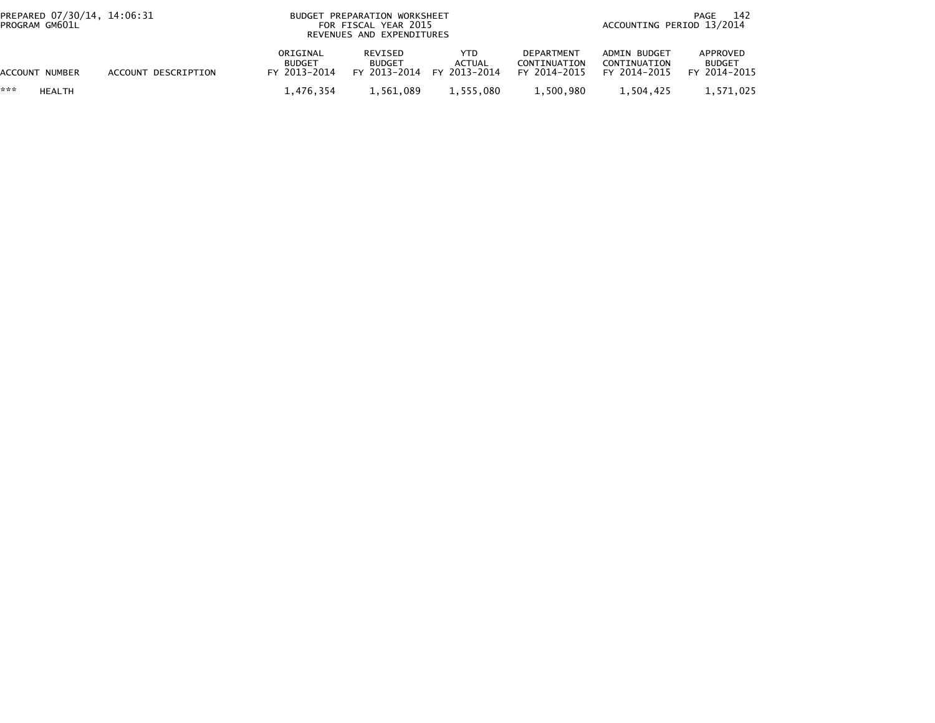| PREPARED 07/30/14, 14:06:31<br>PROGRAM GM601L |                     | BUDGET PREPARATION WORKSHEET<br>FOR FISCAL YEAR 2015<br>REVENUES AND EXPENDITURES | 142<br>PAGE<br>ACCOUNTING PERIOD 13/2014 |                                      |                                                   |                                              |                                           |  |
|-----------------------------------------------|---------------------|-----------------------------------------------------------------------------------|------------------------------------------|--------------------------------------|---------------------------------------------------|----------------------------------------------|-------------------------------------------|--|
| ACCOUNT NUMBER                                | ACCOUNT DESCRIPTION | ORIGINAL<br>BUDGET<br>FY 2013-2014                                                | REVISED<br><b>BUDGET</b><br>FY 2013-2014 | <b>YTD</b><br>ACTUAL<br>FY 2013-2014 | <b>DEPARTMENT</b><br>CONTINUATION<br>FY 2014-2015 | ADMIN BUDGET<br>CONTINUATION<br>FY 2014-2015 | APPROVED<br><b>BUDGET</b><br>FY 2014-2015 |  |
| ***<br>HEALTH                                 |                     | 1,476,354                                                                         | 1.561.089                                | 1.555.080                            | 1.500.980                                         | 1.504.425                                    | 1,571,025                                 |  |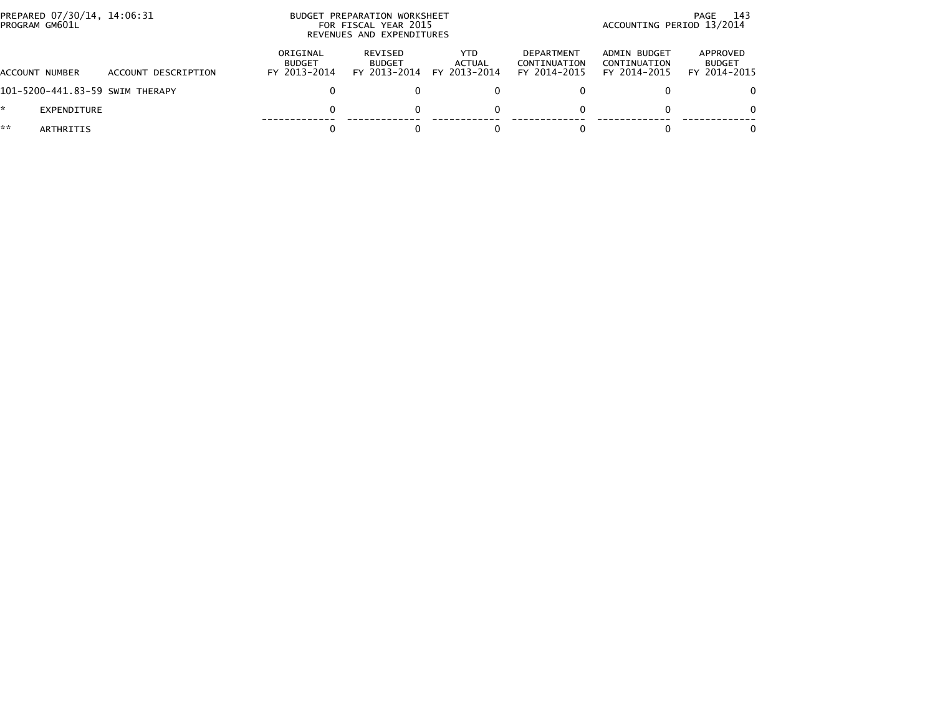| PREPARED 07/30/14, 14:06:31<br>PROGRAM GM601L |             |                                 |                                           | BUDGET PREPARATION WORKSHEET<br>FOR FISCAL YEAR 2015<br>REVENUES AND EXPENDITURES | -143<br>PAGE<br>ACCOUNTING PERIOD 13/2014 |                                            |                                              |                                           |
|-----------------------------------------------|-------------|---------------------------------|-------------------------------------------|-----------------------------------------------------------------------------------|-------------------------------------------|--------------------------------------------|----------------------------------------------|-------------------------------------------|
| ACCOUNT NUMBER                                |             | ACCOUNT DESCRIPTION             | ORIGINAL<br><b>BUDGET</b><br>FY 2013-2014 | REVISED<br><b>BUDGET</b><br>FY 2013-2014                                          | YTD.<br>ACTUAL<br>FY 2013-2014            | DEPARTMENT<br>CONTINUATION<br>FY 2014-2015 | ADMIN BUDGET<br>CONTINUATION<br>FY 2014-2015 | APPROVED<br><b>BUDGET</b><br>FY 2014-2015 |
|                                               |             | 101-5200-441.83-59 SWIM THERAPY |                                           |                                                                                   |                                           |                                            |                                              | 0.                                        |
|                                               | EXPENDITURE |                                 |                                           |                                                                                   |                                           |                                            |                                              | 0                                         |
| **                                            | ARTHRITIS   |                                 |                                           |                                                                                   |                                           |                                            |                                              | 0                                         |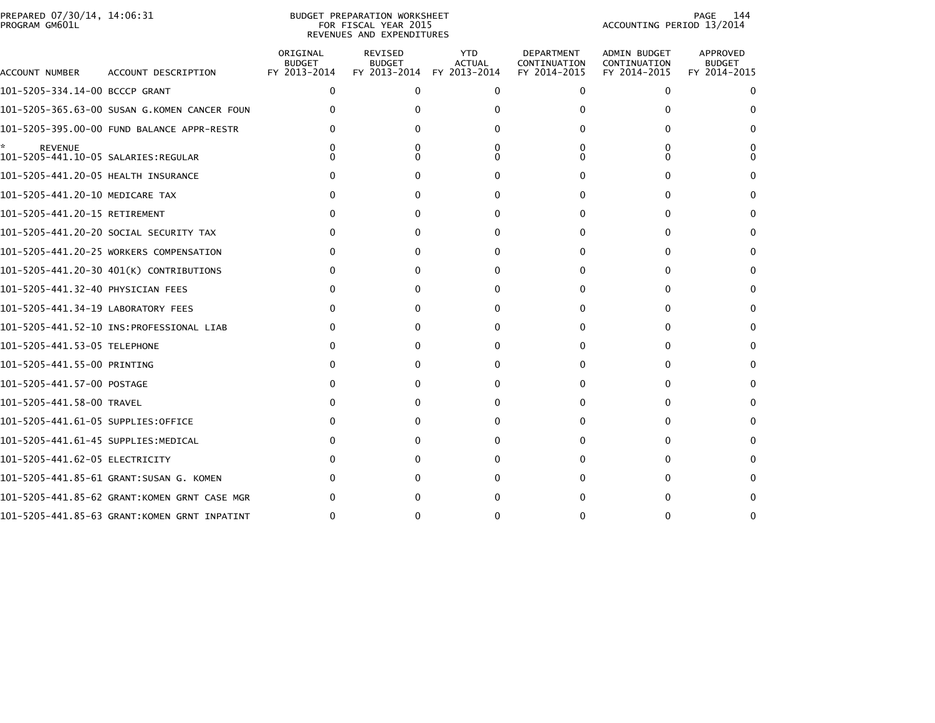|                | PREPARED 07/30/14. 14:06:31 |  |
|----------------|-----------------------------|--|
| PROGRAM GM601L |                             |  |

## PREPARED 07/30/14, 14:06:31 PREPARATION WORKSHEET PREPARATION WORKSHEET PREPARATION WORKSHEET<br>FOR FISCAL YEAR 2015 ACCOUNTING PERIOD 13/2014<br>REVENUES AND EXPENDITURES

PAGE 144<br>ACCOUNTING PERIOD 13/2014

| ACCOUNT NUMBER                      | ACCOUNT DESCRIPTION                          | ORIGINAL<br><b>BUDGET</b><br>FY 2013-2014 | <b>REVISED</b><br><b>BUDGET</b><br>FY 2013-2014 | <b>YTD</b><br><b>ACTUAL</b><br>FY 2013-2014 | <b>DEPARTMENT</b><br>CONTINUATION<br>FY 2014-2015 | <b>ADMIN BUDGET</b><br>CONTINUATION<br>FY 2014-2015 | APPROVED<br><b>BUDGET</b><br>FY 2014-2015 |
|-------------------------------------|----------------------------------------------|-------------------------------------------|-------------------------------------------------|---------------------------------------------|---------------------------------------------------|-----------------------------------------------------|-------------------------------------------|
| 101-5205-334.14-00 BCCCP GRANT      |                                              | $\mathbf{0}$                              | $\mathbf{0}$                                    | $\Omega$                                    | $\mathbf{0}$                                      | $\mathbf{0}$                                        | 0                                         |
|                                     | 101-5205-365.63-00 SUSAN G.KOMEN CANCER FOUN |                                           | U                                               |                                             | 0                                                 | 0                                                   |                                           |
|                                     | 101-5205-395.00-00 FUND BALANCE APPR-RESTR   |                                           |                                                 |                                             | 0                                                 | 0                                                   | 0                                         |
| <b>REVENUE</b>                      |                                              |                                           |                                                 |                                             | 0<br>n                                            | 0<br>∩                                              |                                           |
| 101-5205-441.20-05 HEALTH INSURANCE |                                              |                                           |                                                 | n                                           | 0                                                 | O                                                   |                                           |
| 101-5205-441.20-10 MEDICARE TAX     |                                              | $\Omega$                                  | 0                                               | 0                                           | 0                                                 | 0                                                   | <sup>0</sup>                              |
| 101-5205-441.20-15 RETIREMENT       |                                              |                                           | 0                                               | 0                                           | 0                                                 | 0                                                   | <sup>0</sup>                              |
|                                     | 101-5205-441.20-20 SOCIAL SECURITY TAX       | O                                         | 0                                               | 0                                           | 0                                                 | 0                                                   | 0                                         |
|                                     | 101-5205-441.20-25 WORKERS COMPENSATION      | $\Omega$                                  | 0                                               | 0                                           | 0                                                 | 0                                                   | <sup>0</sup>                              |
|                                     | 101-5205-441.20-30 401(K) CONTRIBUTIONS      | 0                                         | 0                                               | 0                                           | 0                                                 | 0                                                   | 0                                         |
| 101-5205-441.32-40 PHYSICIAN FEES   |                                              | O                                         | 0                                               | 0                                           | 0                                                 | 0                                                   | 0                                         |
| 101-5205-441.34-19 LABORATORY FEES  |                                              | 0                                         | 0                                               | 0                                           | 0                                                 | 0                                                   | 0                                         |
|                                     |                                              | 0                                         | 0                                               | 0                                           | 0                                                 | 0                                                   | 0                                         |
| 101-5205-441.53-05 TELEPHONE        |                                              | 0                                         | 0                                               | 0                                           | 0                                                 | 0                                                   | 0                                         |
| 101-5205-441.55-00 PRINTING         |                                              | O                                         | 0                                               | $\Omega$                                    | 0                                                 | 0                                                   | 0                                         |
| 101–5205–441.57–00 POSTAGE          |                                              |                                           | 0                                               | 0                                           | 0                                                 | 0                                                   | 0                                         |
| 101-5205-441.58-00 TRAVEL           |                                              |                                           | 0                                               | 0                                           | 0                                                 | 0                                                   | 0                                         |
| 101-5205-441.61-05 SUPPLIES:OFFICE  |                                              |                                           | 0                                               | $\Omega$                                    | 0                                                 | 0                                                   | 0                                         |
| 101-5205-441.61-45 SUPPLIES:MEDICAL |                                              |                                           | 0                                               | 0                                           | 0                                                 | 0                                                   | $\Omega$                                  |
| 101-5205-441.62-05 ELECTRICITY      |                                              |                                           | 0                                               | O                                           | 0                                                 | 0                                                   | 0                                         |
|                                     | 101-5205-441.85-61 GRANT:SUSAN G. KOMEN      |                                           | 0                                               | n                                           | 0                                                 | 0                                                   |                                           |
|                                     | 101-5205-441.85-62 GRANT:KOMEN GRNT CASE MGR |                                           |                                                 |                                             |                                                   | O                                                   | <sup>0</sup>                              |
|                                     | 101-5205-441.85-63 GRANT:KOMEN GRNT INPATINT |                                           |                                                 | ŋ                                           | 0                                                 | 0                                                   | n                                         |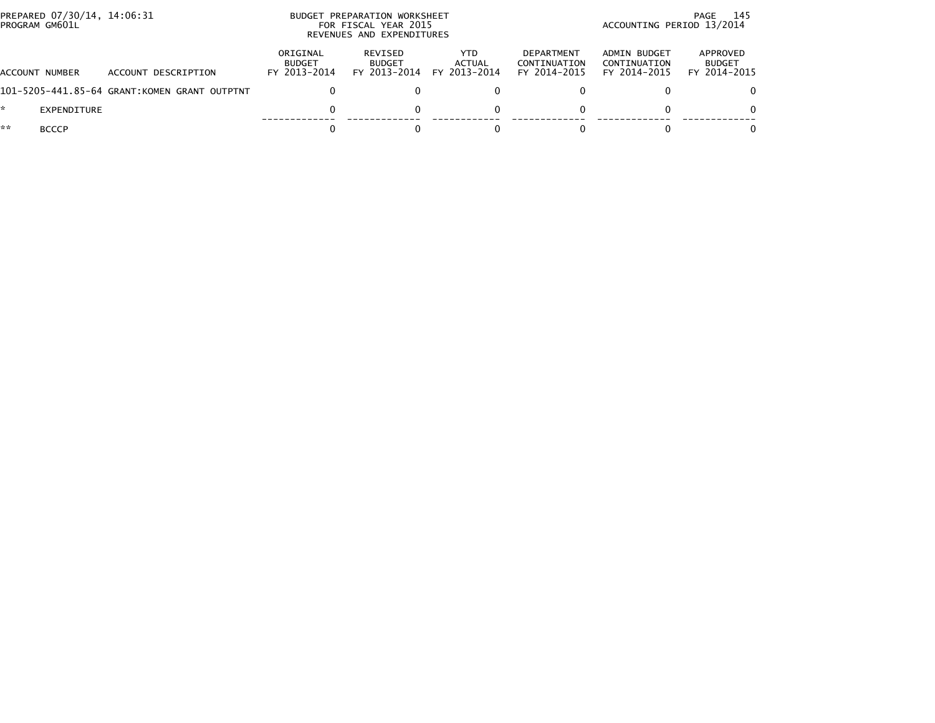| PREPARED 07/30/14, 14:06:31<br>PROGRAM GM601L |                                              |                                           | BUDGET PREPARATION WORKSHEET<br>FOR FISCAL YEAR 2015<br>REVENUES AND EXPENDITURES | 145<br>PAGE<br>ACCOUNTING PERIOD 13/2014 |                                            |                                              |                                           |
|-----------------------------------------------|----------------------------------------------|-------------------------------------------|-----------------------------------------------------------------------------------|------------------------------------------|--------------------------------------------|----------------------------------------------|-------------------------------------------|
| ACCOUNT NUMBER                                | ACCOUNT DESCRIPTION                          | ORIGINAL<br><b>BUDGET</b><br>FY 2013-2014 | <b>REVISED</b><br><b>BUDGET</b><br>FY 2013-2014                                   | YTD.<br>ACTUAL<br>FY 2013-2014           | DEPARTMENT<br>CONTINUATION<br>FY 2014-2015 | ADMIN BUDGET<br>CONTINUATION<br>FY 2014-2015 | APPROVED<br><b>BUDGET</b><br>FY 2014-2015 |
|                                               | 101-5205-441.85-64 GRANT:KOMEN GRANT OUTPTNT |                                           |                                                                                   |                                          |                                            |                                              | 0.                                        |
| EXPENDITURE                                   |                                              |                                           |                                                                                   |                                          | 0                                          |                                              | 0                                         |
| **<br><b>BCCCP</b>                            |                                              |                                           |                                                                                   |                                          |                                            |                                              | 0                                         |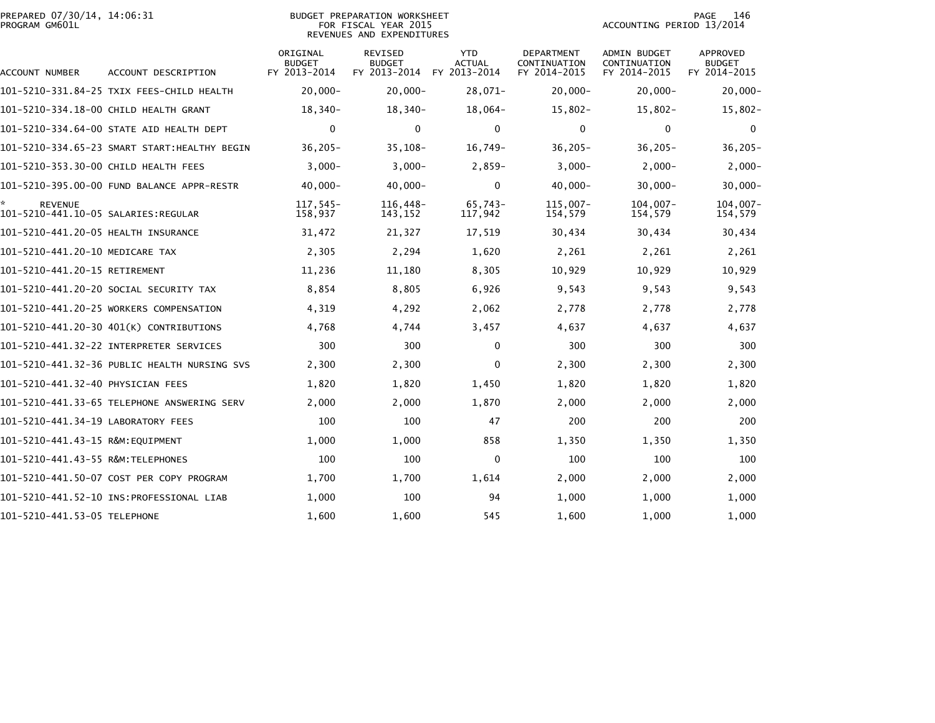| PROGRAM GM601L                       |                                              |                                           | FOR FISCAL YEAR 2015<br>REVENUES AND EXPENDITURES |                                             | ACCOUNTING PERIOD 13/2014                         |                                                     |                                           |
|--------------------------------------|----------------------------------------------|-------------------------------------------|---------------------------------------------------|---------------------------------------------|---------------------------------------------------|-----------------------------------------------------|-------------------------------------------|
| ACCOUNT NUMBER                       | ACCOUNT DESCRIPTION                          | ORIGINAL<br><b>BUDGET</b><br>FY 2013-2014 | <b>REVISED</b><br><b>BUDGET</b><br>FY 2013-2014   | <b>YTD</b><br><b>ACTUAL</b><br>FY 2013-2014 | <b>DEPARTMENT</b><br>CONTINUATION<br>FY 2014-2015 | <b>ADMIN BUDGET</b><br>CONTINUATION<br>FY 2014-2015 | APPROVED<br><b>BUDGET</b><br>FY 2014-2015 |
|                                      | 101-5210-331.84-25 TXIX FEES-CHILD HEALTH    | $20,000 -$                                | $20,000 -$                                        | $28,071-$                                   | $20,000 -$                                        | $20,000 -$                                          | $20,000 -$                                |
|                                      | 101-5210-334.18-00 CHILD HEALTH GRANT        | 18,340-                                   | 18,340-                                           | $18,064-$                                   | $15,802 -$                                        | $15,802 -$                                          | $15,802 -$                                |
|                                      | 101-5210-334.64-00 STATE AID HEALTH DEPT     | 0                                         | 0                                                 | 0                                           | 0                                                 | 0                                                   | 0                                         |
|                                      | 101-5210-334.65-23 SMART START:HEALTHY BEGIN | $36,205 -$                                | $35,108-$                                         | $16,749-$                                   | $36,205 -$                                        | $36,205 -$                                          | $36, 205 -$                               |
| 101-5210-353.30-00 CHILD HEALTH FEES |                                              | $3,000-$                                  | $3,000-$                                          | $2,859-$                                    | $3,000-$                                          | $2,000 -$                                           | $2,000-$                                  |
|                                      | 101-5210-395.00-00 FUND BALANCE APPR-RESTR   | $40,000 -$                                | $40,000 -$                                        | $\mathbf{0}$                                | $40,000 -$                                        | $30,000 -$                                          | $30,000 -$                                |
| <b>REVENUE</b>                       |                                              | 117,545-<br>158,937                       | 116,448-<br>143,152                               | $65,743-$<br>117,942                        | 115,007-<br>154,579                               | $104,007-$<br>154,579                               | $104,007 -$<br>154,579                    |
| 101-5210-441.20-05 HEALTH INSURANCE  |                                              | 31,472                                    | 21,327                                            | 17,519                                      | 30,434                                            | 30,434                                              | 30,434                                    |
| 101-5210-441.20-10 MEDICARE TAX      |                                              | 2,305                                     | 2,294                                             | 1,620                                       | 2,261                                             | 2,261                                               | 2,261                                     |
| 101-5210-441.20-15 RETIREMENT        |                                              | 11,236                                    | 11,180                                            | 8,305                                       | 10,929                                            | 10,929                                              | 10,929                                    |
|                                      | 101–5210–441.20–20 SOCIAL SECURITY TAX       | 8,854                                     | 8,805                                             | 6,926                                       | 9,543                                             | 9,543                                               | 9,543                                     |
|                                      | 101-5210-441.20-25 WORKERS COMPENSATION      | 4,319                                     | 4,292                                             | 2,062                                       | 2,778                                             | 2,778                                               | 2,778                                     |
|                                      | 101-5210-441.20-30 401(K) CONTRIBUTIONS      | 4,768                                     | 4,744                                             | 3,457                                       | 4,637                                             | 4,637                                               | 4,637                                     |
|                                      |                                              | 300                                       | 300                                               | $\mathbf{0}$                                | 300                                               | 300                                                 | 300                                       |
|                                      | 101-5210-441.32-36 PUBLIC HEALTH NURSING SVS | 2,300                                     | 2,300                                             | $\Omega$                                    | 2,300                                             | 2,300                                               | 2,300                                     |
| 101-5210-441.32-40 PHYSICIAN FEES    |                                              | 1,820                                     | 1,820                                             | 1,450                                       | 1,820                                             | 1,820                                               | 1,820                                     |
|                                      |                                              | 2,000                                     | 2,000                                             | 1,870                                       | 2,000                                             | 2,000                                               | 2,000                                     |
| 101-5210-441.34-19 LABORATORY FEES   |                                              | 100                                       | 100                                               | 47                                          | 200                                               | 200                                                 | 200                                       |
| 101-5210-441.43-15 R&M:EOUIPMENT     |                                              | 1,000                                     | 1,000                                             | 858                                         | 1,350                                             | 1,350                                               | 1,350                                     |
|                                      |                                              | 100                                       | 100                                               | 0                                           | 100                                               | 100                                                 | 100                                       |
|                                      | 101-5210-441.50-07 COST PER COPY PROGRAM     | 1,700                                     | 1,700                                             | 1,614                                       | 2,000                                             | 2,000                                               | 2,000                                     |
|                                      |                                              | 1,000                                     | 100                                               | 94                                          | 1,000                                             | 1,000                                               | 1,000                                     |
| 101-5210-441.53-05 TELEPHONE         |                                              | 1,600                                     | 1,600                                             | 545                                         | 1,600                                             | 1,000                                               | 1.000                                     |

PREPARED 07/30/14, 14:06:31 BUDGET PREPARATION WORKSHEET PAGE 146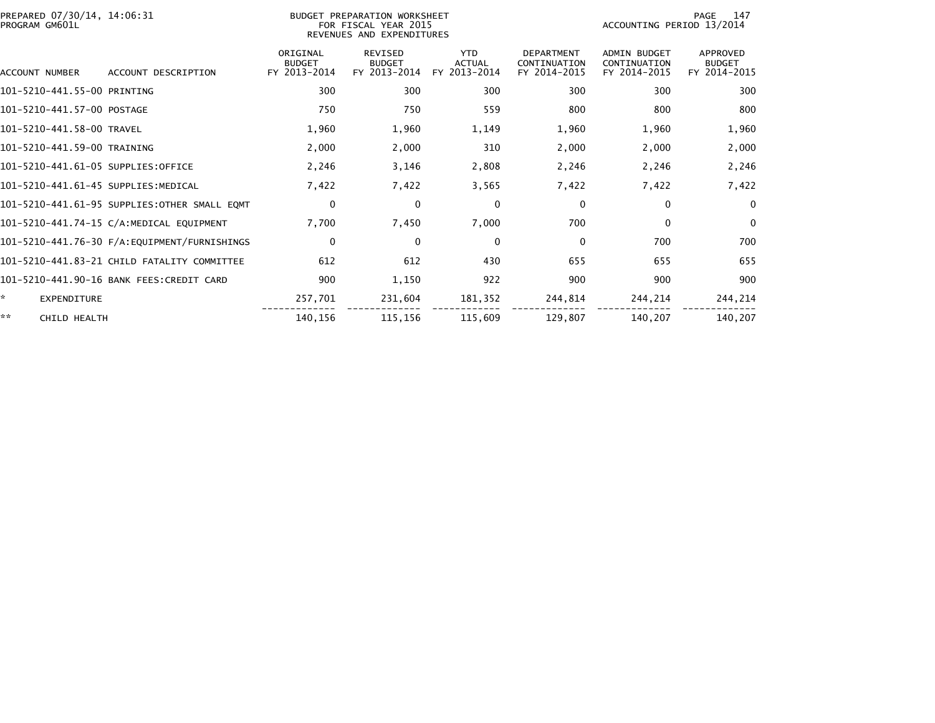| PREPARED 07/30/14, 14:06:31<br>PROGRAM GM601L |                                              |                                           | BUDGET PREPARATION WORKSHEET<br>FOR FISCAL YEAR 2015<br>REVENUES AND EXPENDITURES |                                             |                                                   |                                                     | PAGE<br>147<br>ACCOUNTING PERIOD 13/2014         |  |  |
|-----------------------------------------------|----------------------------------------------|-------------------------------------------|-----------------------------------------------------------------------------------|---------------------------------------------|---------------------------------------------------|-----------------------------------------------------|--------------------------------------------------|--|--|
| ACCOUNT NUMBER                                | ACCOUNT DESCRIPTION                          | ORIGINAL<br><b>BUDGET</b><br>FY 2013-2014 | <b>REVISED</b><br><b>BUDGET</b><br>FY 2013-2014                                   | <b>YTD</b><br><b>ACTUAL</b><br>FY 2013-2014 | <b>DEPARTMENT</b><br>CONTINUATION<br>FY 2014-2015 | <b>ADMIN BUDGET</b><br>CONTINUATION<br>FY 2014-2015 | <b>APPROVED</b><br><b>BUDGET</b><br>FY 2014-2015 |  |  |
| 101-5210-441.55-00 PRINTING                   |                                              | 300                                       | 300                                                                               | 300                                         | 300                                               | 300                                                 | 300                                              |  |  |
| 101-5210-441.57-00 POSTAGE                    |                                              | 750                                       | 750                                                                               | 559                                         | 800                                               | 800                                                 | 800                                              |  |  |
| 101-5210-441.58-00 TRAVEL                     |                                              | 1,960                                     | 1,960                                                                             | 1,149                                       | 1,960                                             | 1,960                                               | 1,960                                            |  |  |
| 101-5210-441.59-00 TRAINING                   |                                              | 2,000                                     | 2,000                                                                             | 310                                         | 2,000                                             | 2,000                                               | 2,000                                            |  |  |
| 101-5210-441.61-05 SUPPLIES:OFFICE            |                                              | 2,246                                     | 3,146                                                                             | 2,808                                       | 2,246                                             | 2,246                                               | 2,246                                            |  |  |
| 101-5210-441.61-45 SUPPLIES:MEDICAL           |                                              | 7,422                                     | 7,422                                                                             | 3,565                                       | 7,422                                             | 7,422                                               | 7,422                                            |  |  |
|                                               | 101-5210-441.61-95 SUPPLIES:OTHER SMALL EQMT | 0                                         | $\mathbf{0}$                                                                      | $\mathbf 0$                                 | $\Omega$                                          | 0                                                   | $\mathbf 0$                                      |  |  |
|                                               | 101-5210-441.74-15 C/A:MEDICAL EQUIPMENT     | 7,700                                     | 7,450                                                                             | 7,000                                       | 700                                               | $\mathbf{0}$                                        | $\Omega$                                         |  |  |
|                                               |                                              | $\mathbf 0$                               | $\mathbf{0}$                                                                      | $\mathbf{0}$                                | $\Omega$                                          | 700                                                 | 700                                              |  |  |
|                                               | 101-5210-441.83-21 CHILD FATALITY COMMITTEE  | 612                                       | 612                                                                               | 430                                         | 655                                               | 655                                                 | 655                                              |  |  |
|                                               | 101-5210-441.90-16 BANK FEES:CREDIT CARD     | 900                                       | 1,150                                                                             | 922                                         | 900                                               | 900                                                 | 900                                              |  |  |
| ×.<br><b>EXPENDITURE</b>                      |                                              | 257,701                                   | 231,604                                                                           | 181,352                                     | 244,814                                           | 244,214                                             | 244,214                                          |  |  |
| **<br>CHILD HEALTH                            |                                              | 140,156                                   | 115,156                                                                           | 115,609                                     | 129,807                                           | 140,207                                             | 140,207                                          |  |  |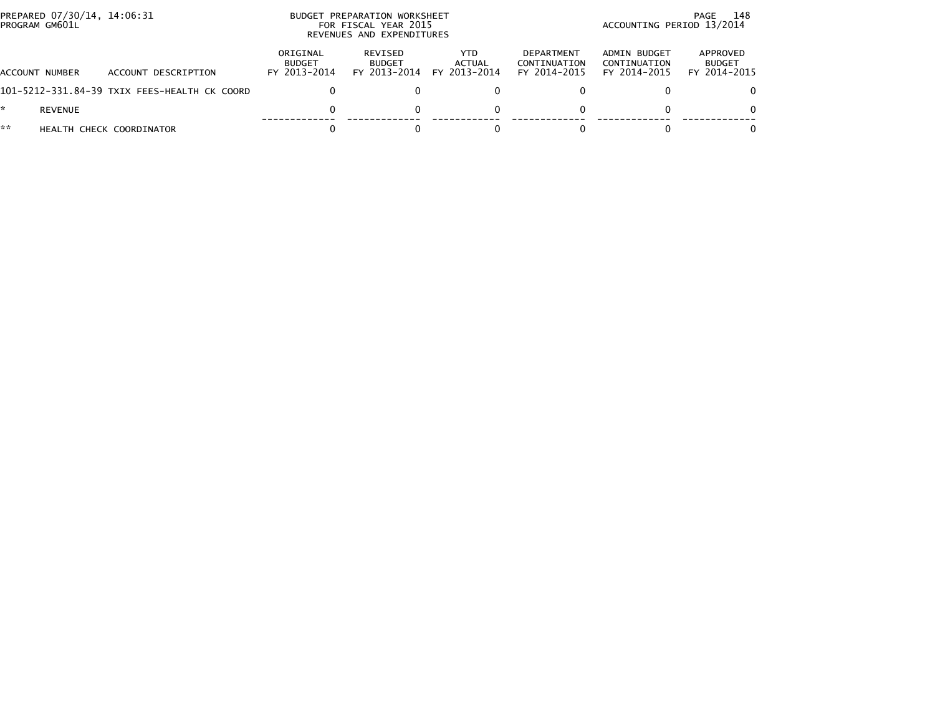| PROGRAM GM601L | PREPARED 07/30/14, 14:06:31 |                                              |                                           | BUDGET PREPARATION WORKSHEET<br>FOR FISCAL YEAR 2015<br>REVENUES AND EXPENDITURES | 148<br>PAGE<br>ACCOUNTING PERIOD 13/2014 |                                            |                                              |                                           |
|----------------|-----------------------------|----------------------------------------------|-------------------------------------------|-----------------------------------------------------------------------------------|------------------------------------------|--------------------------------------------|----------------------------------------------|-------------------------------------------|
| ACCOUNT NUMBER |                             | ACCOUNT DESCRIPTION                          | ORIGINAL<br><b>BUDGET</b><br>FY 2013-2014 | REVISED<br><b>BUDGET</b><br>FY 2013-2014                                          | YTD.<br><b>ACTUAL</b><br>FY 2013-2014    | DEPARTMENT<br>CONTINUATION<br>FY 2014-2015 | ADMIN BUDGET<br>CONTINUATION<br>FY 2014-2015 | APPROVED<br><b>BUDGET</b><br>FY 2014-2015 |
|                |                             | 101-5212-331.84-39 TXIX FEES-HEALTH CK COORD |                                           |                                                                                   |                                          |                                            |                                              | 0                                         |
| *.             | <b>REVENUE</b>              |                                              |                                           |                                                                                   |                                          |                                            |                                              | 0                                         |
| **             |                             | HEALTH CHECK COORDINATOR                     |                                           |                                                                                   |                                          |                                            |                                              | 0                                         |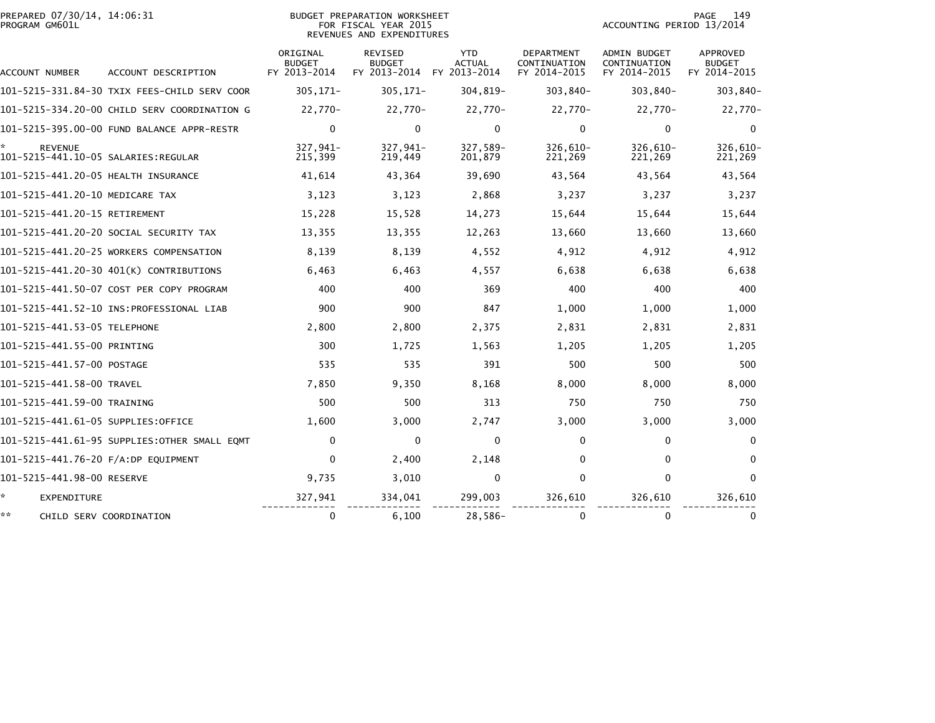| PREPARED 07/30/14, 14:06:31<br>PROGRAM GM601L |                                              | <b>BUDGET PREPARATION WORKSHEET</b><br>FOR FISCAL YEAR 2015<br>REVENUES AND EXPENDITURES |                                                 |                                             |                                            | 149<br>PAGE<br>ACCOUNTING PERIOD 13/2014            |                                           |  |
|-----------------------------------------------|----------------------------------------------|------------------------------------------------------------------------------------------|-------------------------------------------------|---------------------------------------------|--------------------------------------------|-----------------------------------------------------|-------------------------------------------|--|
| ACCOUNT NUMBER                                | ACCOUNT DESCRIPTION                          | ORIGINAL<br><b>BUDGET</b><br>FY 2013-2014                                                | <b>REVISED</b><br><b>BUDGET</b><br>FY 2013-2014 | <b>YTD</b><br><b>ACTUAL</b><br>FY 2013-2014 | DEPARTMENT<br>CONTINUATION<br>FY 2014-2015 | <b>ADMIN BUDGET</b><br>CONTINUATION<br>FY 2014-2015 | APPROVED<br><b>BUDGET</b><br>FY 2014-2015 |  |
|                                               | 101-5215-331.84-30 TXIX FEES-CHILD SERV COOR | $305, 171 -$                                                                             | $305, 171 -$                                    | 304,819-                                    | 303,840-                                   | 303,840-                                            | 303,840-                                  |  |
|                                               | 101–5215–334.20–00 CHILD SERV COORDINATION G | 22,770-                                                                                  | 22,770-                                         | 22,770-                                     | 22,770-                                    | 22,770-                                             | 22,770-                                   |  |
|                                               | 101-5215-395.00-00 FUND BALANCE APPR-RESTR   | $\mathbf 0$                                                                              | $\mathbf{0}$                                    | $\mathbf{0}$                                | $\mathbf{0}$                               | 0                                                   | $\mathbf{0}$                              |  |
| <b>REVENUE</b>                                |                                              | 327,941-<br>215,399                                                                      | 327,941-<br>219,449                             | 327,589-<br>201,879                         | $326,610-$<br>221,269                      | 326,610-<br>221,269                                 | 326,610-<br>221,269                       |  |
| 101-5215-441.20-05 HEALTH INSURANCE           |                                              | 41,614                                                                                   | 43,364                                          | 39,690                                      | 43,564                                     | 43,564                                              | 43,564                                    |  |
| 101-5215-441.20-10 MEDICARE TAX               |                                              | 3,123                                                                                    | 3,123                                           | 2,868                                       | 3,237                                      | 3,237                                               | 3,237                                     |  |
| 101-5215-441.20-15 RETIREMENT                 |                                              | 15,228                                                                                   | 15,528                                          | 14,273                                      | 15,644                                     | 15,644                                              | 15,644                                    |  |
|                                               | 101–5215–441.20–20 SOCIAL SECURITY TAX       | 13,355                                                                                   | 13,355                                          | 12,263                                      | 13,660                                     | 13,660                                              | 13,660                                    |  |
|                                               | 101-5215-441.20-25 WORKERS COMPENSATION      | 8,139                                                                                    | 8,139                                           | 4,552                                       | 4,912                                      | 4,912                                               | 4,912                                     |  |
|                                               | 101-5215-441.20-30 401(K) CONTRIBUTIONS      | 6,463                                                                                    | 6,463                                           | 4,557                                       | 6,638                                      | 6,638                                               | 6,638                                     |  |
|                                               | 101-5215-441.50-07 COST PER COPY PROGRAM     | 400                                                                                      | 400                                             | 369                                         | 400                                        | 400                                                 | 400                                       |  |
|                                               |                                              | 900                                                                                      | 900                                             | 847                                         | 1,000                                      | 1,000                                               | 1,000                                     |  |
| 101-5215-441.53-05 TELEPHONE                  |                                              | 2,800                                                                                    | 2,800                                           | 2,375                                       | 2,831                                      | 2,831                                               | 2,831                                     |  |
| 101-5215-441.55-00 PRINTING                   |                                              | 300                                                                                      | 1,725                                           | 1,563                                       | 1,205                                      | 1,205                                               | 1,205                                     |  |
| 101-5215-441.57-00 POSTAGE                    |                                              | 535                                                                                      | 535                                             | 391                                         | 500                                        | 500                                                 | 500                                       |  |
| 101-5215-441.58-00 TRAVEL                     |                                              | 7,850                                                                                    | 9,350                                           | 8,168                                       | 8,000                                      | 8,000                                               | 8,000                                     |  |
| 101-5215-441.59-00 TRAINING                   |                                              | 500                                                                                      | 500                                             | 313                                         | 750                                        | 750                                                 | 750                                       |  |
| 101-5215-441.61-05 SUPPLIES:OFFICE            |                                              | 1,600                                                                                    | 3,000                                           | 2,747                                       | 3,000                                      | 3,000                                               | 3,000                                     |  |
|                                               | 101-5215-441.61-95 SUPPLIES:OTHER SMALL EQMT | 0                                                                                        | $\mathbf{0}$                                    | $\Omega$                                    | 0                                          | 0                                                   | $\mathbf{0}$                              |  |
| 101-5215-441.76-20 F/A:DP EQUIPMENT           |                                              | $\mathbf 0$                                                                              | 2,400                                           | 2,148                                       | $\Omega$                                   | $\mathbf{0}$                                        | $\Omega$                                  |  |
| 101-5215-441.98-00 RESERVE                    |                                              | 9,735                                                                                    | 3,010                                           | $\Omega$                                    | $\mathbf{0}$                               | $\mathbf{0}$                                        | $\mathbf{0}$                              |  |
| *<br>EXPENDITURE                              |                                              | 327,941                                                                                  | 334,041                                         | 299,003                                     | 326,610                                    | 326,610                                             | 326,610                                   |  |
| **                                            | CHILD SERV COORDINATION                      | 0                                                                                        | 6,100                                           | 28,586-                                     | $\Omega$                                   | $\mathbf{0}$                                        |                                           |  |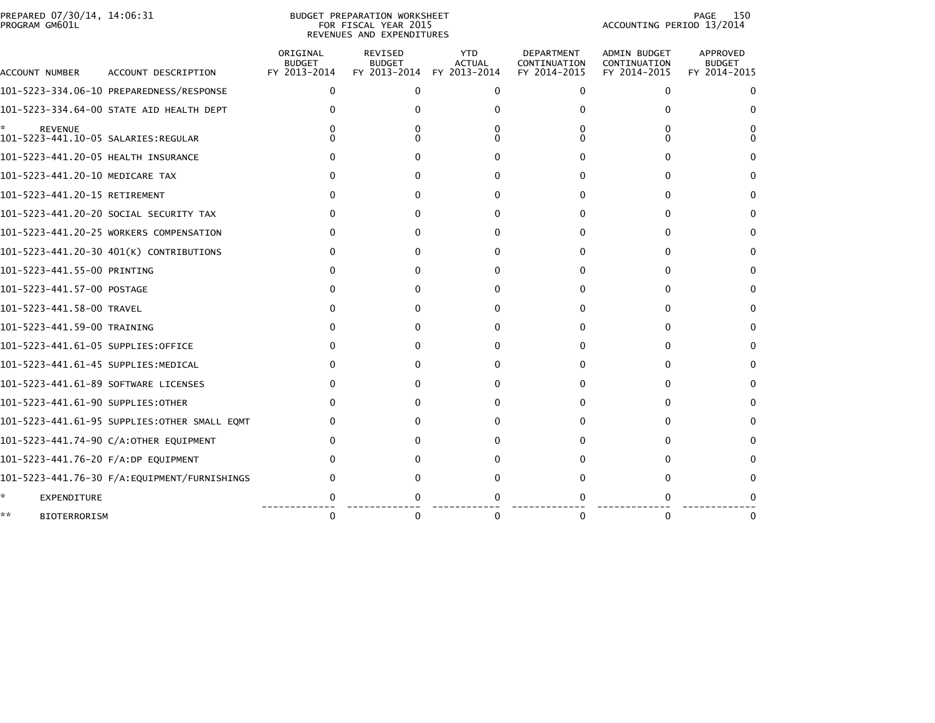| PREPARED 07/30/14, 14:06:31<br>PROGRAM GM601L |                                              |                                           | BUDGET PREPARATION WORKSHEET<br>FOR FISCAL YEAR 2015<br>REVENUES AND EXPENDITURES | 150<br>PAGE<br>ACCOUNTING PERIOD 13/2014 |                                                   |                                                     |                                           |
|-----------------------------------------------|----------------------------------------------|-------------------------------------------|-----------------------------------------------------------------------------------|------------------------------------------|---------------------------------------------------|-----------------------------------------------------|-------------------------------------------|
| ACCOUNT NUMBER                                | ACCOUNT DESCRIPTION                          | ORIGINAL<br><b>BUDGET</b><br>FY 2013-2014 | <b>REVISED</b><br><b>BUDGET</b><br>FY 2013-2014 FY 2013-2014                      | <b>YTD</b><br><b>ACTUAL</b>              | <b>DEPARTMENT</b><br>CONTINUATION<br>FY 2014-2015 | <b>ADMIN BUDGET</b><br>CONTINUATION<br>FY 2014-2015 | APPROVED<br><b>BUDGET</b><br>FY 2014-2015 |
|                                               |                                              | 0                                         | $\Omega$                                                                          | $\Omega$                                 | 0                                                 | 0                                                   | 0                                         |
|                                               | 101-5223-334.64-00 STATE AID HEALTH DEPT     |                                           |                                                                                   | 0                                        |                                                   | 0                                                   | $\Omega$                                  |
| *.<br><b>REVENUE</b>                          |                                              |                                           |                                                                                   | 0<br>$^{\circ}$                          | O                                                 | 0                                                   | 0<br>0                                    |
| 101-5223-441.20-05 HEALTH INSURANCE           |                                              |                                           |                                                                                   | 0                                        |                                                   | O                                                   | 0                                         |
| 101-5223-441.20-10 MEDICARE TAX               |                                              | 0                                         |                                                                                   | 0                                        | ŋ                                                 | 0                                                   | 0                                         |
| 101-5223-441.20-15 RETIREMENT                 |                                              |                                           |                                                                                   | 0                                        | o                                                 | 0                                                   | 0                                         |
|                                               | 101-5223-441.20-20 SOCIAL SECURITY TAX       |                                           | $\Omega$                                                                          | 0                                        | 0                                                 | 0                                                   | 0                                         |
|                                               | 101-5223-441.20-25 WORKERS COMPENSATION      |                                           |                                                                                   | 0                                        |                                                   | 0                                                   | 0                                         |
|                                               | 101-5223-441.20-30 401(K) CONTRIBUTIONS      | 0                                         | O                                                                                 | 0                                        | o                                                 | 0                                                   | $\Omega$                                  |
| 101-5223-441.55-00 PRINTING                   |                                              |                                           |                                                                                   | 0                                        |                                                   | 0                                                   | 0                                         |
| 101-5223-441.57-00 POSTAGE                    |                                              |                                           |                                                                                   | $\Omega$                                 |                                                   | 0                                                   | 0                                         |
| 101-5223-441.58-00 TRAVEL                     |                                              |                                           |                                                                                   | 0                                        |                                                   |                                                     | 0                                         |
| 101-5223-441.59-00 TRAINING                   |                                              |                                           |                                                                                   | 0                                        |                                                   | 0                                                   | 0                                         |
| 101-5223-441.61-05 SUPPLIES:OFFICE            |                                              |                                           |                                                                                   | 0                                        |                                                   | 0                                                   | 0                                         |
| 101-5223-441.61-45 SUPPLIES:MEDICAL           |                                              |                                           | 0                                                                                 | 0                                        | 0                                                 | 0                                                   | 0                                         |
| 101-5223-441.61-89 SOFTWARE LICENSES          |                                              |                                           |                                                                                   | 0                                        | 0                                                 | 0                                                   | 0                                         |
| 101-5223-441.61-90 SUPPLIES:OTHER             |                                              | 0                                         |                                                                                   | 0                                        | o                                                 | $\Omega$                                            | 0                                         |
|                                               | 101-5223-441.61-95 SUPPLIES:OTHER SMALL EQMT | $\Omega$                                  |                                                                                   | 0                                        | 0                                                 | 0                                                   | 0                                         |
|                                               | 101-5223-441.74-90 C/A:OTHER EQUIPMENT       |                                           |                                                                                   | $\Omega$                                 |                                                   | $^{(1)}$                                            | $^{(1)}$                                  |
| 101-5223-441.76-20 F/A:DP EQUIPMENT           |                                              |                                           |                                                                                   | $^{\circ}$                               |                                                   |                                                     | $^{(1)}$                                  |
|                                               | 101-5223-441.76-30 F/A:EQUIPMENT/FURNISHINGS |                                           |                                                                                   | 0                                        |                                                   |                                                     | 0                                         |
| ÷.<br>EXPENDITURE                             |                                              |                                           |                                                                                   |                                          |                                                   |                                                     |                                           |
| **<br><b>BIOTERRORISM</b>                     |                                              | $\Omega$                                  | 0                                                                                 | 0                                        |                                                   | $\Omega$                                            | 0                                         |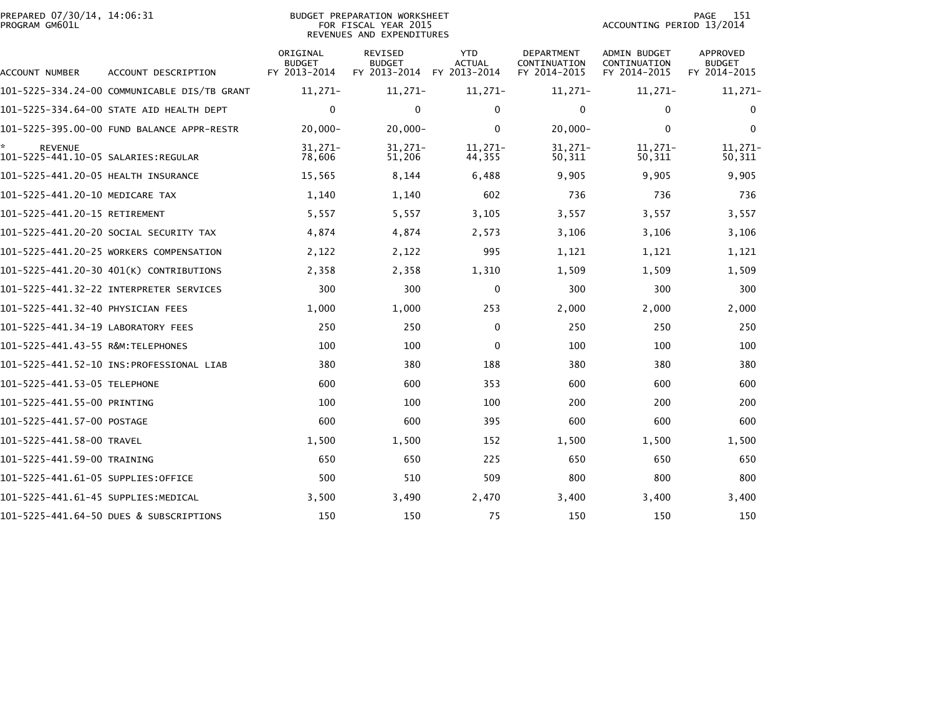| PREPARED 07/30/14, 14:06:31<br>PROGRAM GM601L |                                              |                                           | <b>BUDGET PREPARATION WORKSHEET</b><br>FOR FISCAL YEAR 2015<br>REVENUES AND EXPENDITURES | 151<br><b>PAGE</b><br>ACCOUNTING PERIOD 13/2014 |                                            |                                                     |                                                  |
|-----------------------------------------------|----------------------------------------------|-------------------------------------------|------------------------------------------------------------------------------------------|-------------------------------------------------|--------------------------------------------|-----------------------------------------------------|--------------------------------------------------|
| ACCOUNT NUMBER                                | ACCOUNT DESCRIPTION                          | ORIGINAL<br><b>BUDGET</b><br>FY 2013-2014 | <b>REVISED</b><br><b>BUDGET</b><br>FY 2013-2014                                          | <b>YTD</b><br><b>ACTUAL</b><br>FY 2013-2014     | DEPARTMENT<br>CONTINUATION<br>FY 2014-2015 | <b>ADMIN BUDGET</b><br>CONTINUATION<br>FY 2014-2015 | <b>APPROVED</b><br><b>BUDGET</b><br>FY 2014-2015 |
|                                               | 101-5225-334.24-00 COMMUNICABLE DIS/TB GRANT | $11,271-$                                 | $11,271-$                                                                                | $11,271-$                                       | $11,271-$                                  | $11,271-$                                           | $11,271-$                                        |
|                                               | 101-5225-334.64-00 STATE AID HEALTH DEPT     | $\mathbf 0$                               | $\mathbf{0}$                                                                             | $\Omega$                                        | $\mathbf{0}$                               | 0                                                   | $\Omega$                                         |
|                                               | 101-5225-395.00-00 FUND BALANCE APPR-RESTR   | $20,000 -$                                | $20,000 -$                                                                               | $\Omega$                                        | $20,000 -$                                 | $\Omega$                                            | $\mathbf{0}$                                     |
| <b>REVENUE</b>                                |                                              | $31,271-$<br>78,606                       | $31,271-$<br>51,206                                                                      | $11.271-$<br>44,355                             | $31,271-$<br>50,311                        | $11,271-$<br>50,311                                 | 11,271-<br>50,311                                |
|                                               |                                              | 15,565                                    | 8,144                                                                                    | 6,488                                           | 9,905                                      | 9,905                                               | 9,905                                            |
| 101-5225-441.20-10 MEDICARE TAX               |                                              | 1,140                                     | 1,140                                                                                    | 602                                             | 736                                        | 736                                                 | 736                                              |
| 101-5225-441.20-15 RETIREMENT                 |                                              | 5,557                                     | 5,557                                                                                    | 3,105                                           | 3,557                                      | 3,557                                               | 3,557                                            |
|                                               | 101-5225-441.20-20 SOCIAL SECURITY TAX       | 4,874                                     | 4,874                                                                                    | 2,573                                           | 3,106                                      | 3,106                                               | 3,106                                            |
|                                               | 101-5225-441.20-25 WORKERS COMPENSATION      | 2,122                                     | 2,122                                                                                    | 995                                             | 1,121                                      | 1,121                                               | 1,121                                            |
|                                               | 101-5225-441.20-30 401(K) CONTRIBUTIONS      | 2,358                                     | 2,358                                                                                    | 1,310                                           | 1,509                                      | 1,509                                               | 1,509                                            |
|                                               |                                              | 300                                       | 300                                                                                      | $\mathbf 0$                                     | 300                                        | 300                                                 | 300                                              |
| 101-5225-441.32-40 PHYSICIAN FEES             |                                              | 1,000                                     | 1,000                                                                                    | 253                                             | 2,000                                      | 2,000                                               | 2,000                                            |
| 101-5225-441.34-19 LABORATORY FEES            |                                              | 250                                       | 250                                                                                      | $\Omega$                                        | 250                                        | 250                                                 | 250                                              |
| 101-5225-441.43-55 R&M:TELEPHONES             |                                              | 100                                       | 100                                                                                      | $\mathbf 0$                                     | 100                                        | 100                                                 | 100                                              |
|                                               |                                              | 380                                       | 380                                                                                      | 188                                             | 380                                        | 380                                                 | 380                                              |
| 101-5225-441.53-05 TELEPHONE                  |                                              | 600                                       | 600                                                                                      | 353                                             | 600                                        | 600                                                 | 600                                              |
| 101-5225-441.55-00 PRINTING                   |                                              | 100                                       | 100                                                                                      | 100                                             | 200                                        | 200                                                 | 200                                              |
| 101–5225–441.57–00 POSTAGE                    |                                              | 600                                       | 600                                                                                      | 395                                             | 600                                        | 600                                                 | 600                                              |
| 101-5225-441.58-00 TRAVEL                     |                                              | 1,500                                     | 1,500                                                                                    | 152                                             | 1,500                                      | 1,500                                               | 1,500                                            |
| 101-5225-441.59-00 TRAINING                   |                                              | 650                                       | 650                                                                                      | 225                                             | 650                                        | 650                                                 | 650                                              |
| 101-5225-441.61-05 SUPPLIES:OFFICE            |                                              | 500                                       | 510                                                                                      | 509                                             | 800                                        | 800                                                 | 800                                              |
| 101–5225–441.61–45 SUPPLIES:MEDICAL           |                                              | 3,500                                     | 3,490                                                                                    | 2,470                                           | 3,400                                      | 3,400                                               | 3,400                                            |
|                                               | 101-5225-441.64-50 DUES & SUBSCRIPTIONS      | 150                                       | 150                                                                                      | 75                                              | 150                                        | 150                                                 | 150                                              |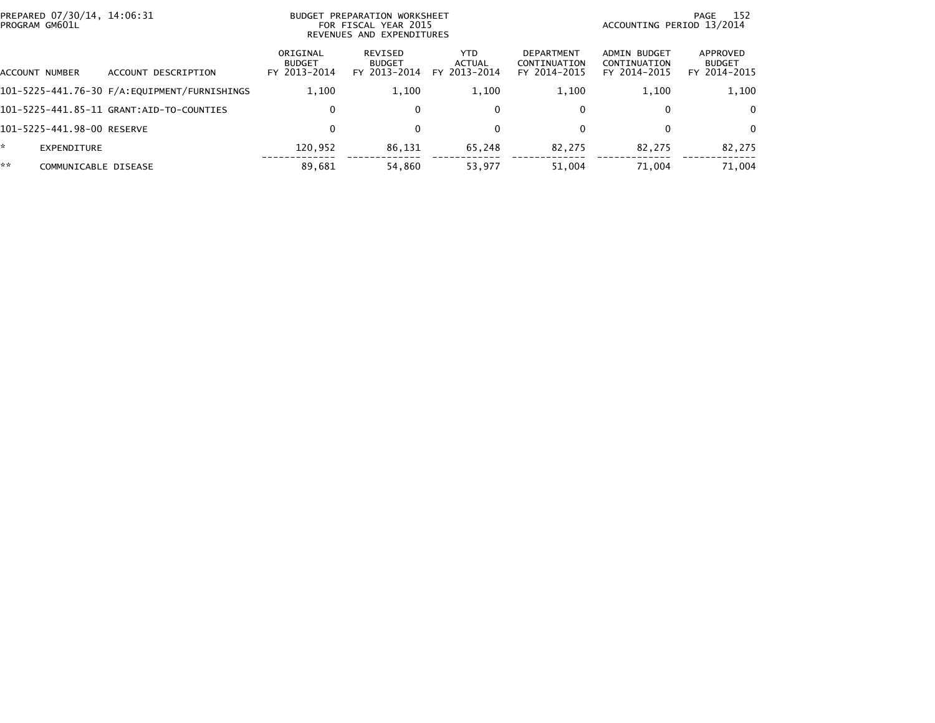|    | PREPARED 07/30/14, 14:06:31<br>PROGRAM GM601L |                                          | <b>BUDGET</b>                             | PREPARATION WORKSHEET<br>FOR FISCAL YEAR 2015<br>REVENUES AND EXPENDITURES | ACCOUNTING PERIOD 13/2014      | -152<br>PAGE                                      |                                                     |                                           |
|----|-----------------------------------------------|------------------------------------------|-------------------------------------------|----------------------------------------------------------------------------|--------------------------------|---------------------------------------------------|-----------------------------------------------------|-------------------------------------------|
|    | ACCOUNT NUMBER                                | ACCOUNT DESCRIPTION                      | ORIGINAL<br><b>BUDGET</b><br>FY 2013-2014 | REVISED<br><b>BUDGET</b><br>FY 2013-2014                                   | YTD.<br>ACTUAL<br>FY 2013-2014 | <b>DEPARTMENT</b><br>CONTINUATION<br>FY 2014-2015 | <b>ADMIN BUDGET</b><br>CONTINUATION<br>FY 2014-2015 | APPROVED<br><b>BUDGET</b><br>FY 2014-2015 |
|    |                                               |                                          | 1,100                                     | 1,100                                                                      | 1,100                          | 1,100                                             | 1.100                                               | 1,100                                     |
|    |                                               | 101-5225-441.85-11 GRANT:AID-TO-COUNTIES | 0                                         | 0                                                                          | $\mathbf{0}$                   |                                                   | $\mathbf{0}$                                        | $\Omega$                                  |
|    | 101-5225-441.98-00 RESERVE                    |                                          | 0                                         |                                                                            | $\mathbf{0}$                   |                                                   | $\mathbf{0}$                                        | $\Omega$                                  |
|    | EXPENDITURE                                   |                                          | 120.952                                   | 86,131                                                                     | 65,248                         | 82,275                                            | 82,275                                              | 82,275                                    |
| ** | COMMUNICABLE DISEASE                          |                                          | 89.681                                    | 54,860                                                                     | 53.977                         | 51.004                                            | 71.004                                              | 71.004                                    |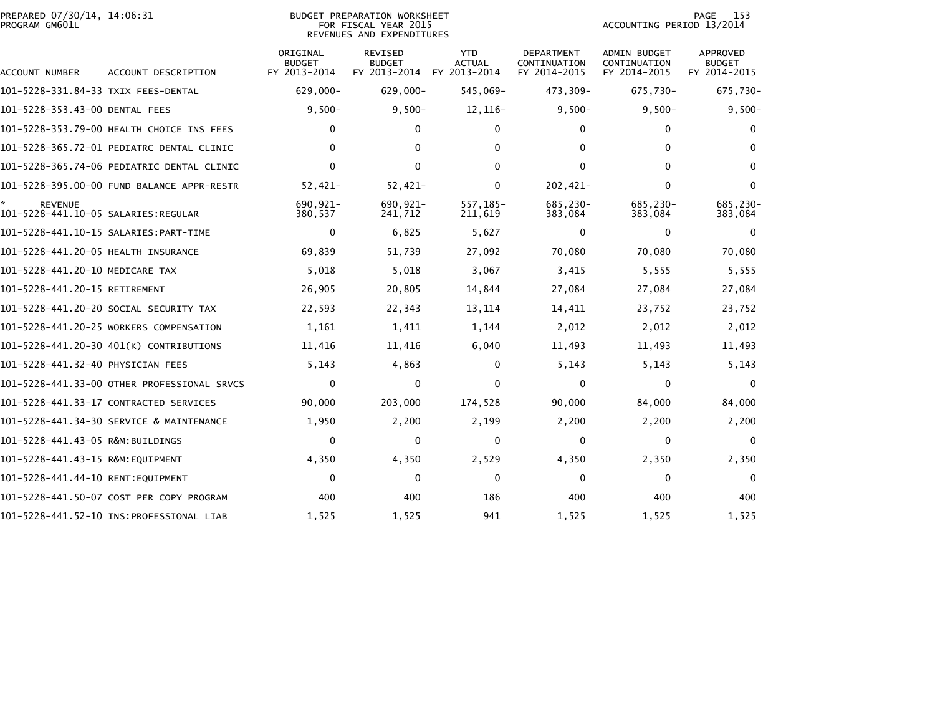|                | PREPARED 07/30/14, 14:06:31 |  |
|----------------|-----------------------------|--|
| PROGRAM GM601L |                             |  |

## PREPARED 07/30/14, 14:06:31 PREPARATION WORKSHEET PREPARATION WORKSHEET PREPARATION WORKSHEET<br>FOR FISCAL YEAR 2015 ACCOUNTING PERIOD 13/2014<br>REVENUES AND EXPENDITURES

PAGE 153<br>ACCOUNTING PERIOD 13/2014

| ACCOUNT NUMBER                                        | ACCOUNT DESCRIPTION                         | ORIGINAL<br><b>BUDGET</b><br>FY 2013-2014 | <b>REVISED</b><br><b>BUDGET</b><br>FY 2013-2014 | <b>YTD</b><br><b>ACTUAL</b><br>FY 2013-2014 | DEPARTMENT<br>CONTINUATION<br>FY 2014-2015 | <b>ADMIN BUDGET</b><br>CONTINUATION<br>FY 2014-2015 | <b>APPROVED</b><br><b>BUDGET</b><br>FY 2014-2015 |
|-------------------------------------------------------|---------------------------------------------|-------------------------------------------|-------------------------------------------------|---------------------------------------------|--------------------------------------------|-----------------------------------------------------|--------------------------------------------------|
| 101-5228-331.84-33 TXIX FEES-DENTAL                   |                                             | $629,000 -$                               | $629,000 -$                                     | 545,069-                                    | 473,309-                                   | 675,730-                                            | 675,730-                                         |
| 101-5228-353.43-00 DENTAL FEES                        |                                             | $9,500-$                                  | $9,500-$                                        | 12,116-                                     | $9,500-$                                   | $9,500 -$                                           | $9,500-$                                         |
|                                                       | 101-5228-353.79-00 HEALTH CHOICE INS FEES   | 0                                         | 0                                               | 0                                           | $\mathbf{0}$                               | $\mathbf{0}$                                        | $\bf{0}$                                         |
|                                                       | 101-5228-365.72-01 PEDIATRC DENTAL CLINIC   | 0                                         | 0                                               | 0                                           | $\mathbf{0}$                               | $\Omega$                                            |                                                  |
|                                                       | 101-5228-365.74-06 PEDIATRIC DENTAL CLINIC  | 0                                         | $\mathbf{0}$                                    | 0                                           | $\mathbf{0}$                               | $\Omega$                                            | $\Omega$                                         |
|                                                       | 101-5228-395.00-00 FUND BALANCE APPR-RESTR  | $52,421-$                                 | $52,421-$                                       | 0                                           | 202,421-                                   | $\Omega$                                            | $\Omega$                                         |
| <b>REVENUE</b><br>101-5228-441.10-05 SALARIES:REGULAR |                                             | 690.921-<br>380,537                       | 690,921-<br>241,712                             | 557,185-<br>211,619                         | 685,230-<br>383,084                        | 685,230-<br>383,084                                 | 685,230-<br>383,084                              |
|                                                       | 101-5228-441.10-15 SALARIES: PART-TIME      | $\Omega$                                  | 6,825                                           | 5,627                                       | $\mathbf{0}$                               | $\mathbf{0}$                                        | $\Omega$                                         |
| 101-5228-441.20-05 HEALTH INSURANCE                   |                                             | 69,839                                    | 51,739                                          | 27,092                                      | 70,080                                     | 70,080                                              | 70,080                                           |
| 101-5228-441.20-10 MEDICARE TAX                       |                                             | 5,018                                     | 5,018                                           | 3,067                                       | 3,415                                      | 5,555                                               | 5,555                                            |
| 101-5228-441.20-15 RETIREMENT                         |                                             | 26,905                                    | 20,805                                          | 14,844                                      | 27,084                                     | 27,084                                              | 27,084                                           |
|                                                       | 101–5228–441.20–20 SOCIAL SECURITY TAX      | 22,593                                    | 22,343                                          | 13,114                                      | 14,411                                     | 23,752                                              | 23,752                                           |
|                                                       | 101-5228-441.20-25 WORKERS COMPENSATION     | 1,161                                     | 1,411                                           | 1,144                                       | 2,012                                      | 2,012                                               | 2,012                                            |
|                                                       | 101-5228-441.20-30 401(K) CONTRIBUTIONS     | 11,416                                    | 11,416                                          | 6,040                                       | 11,493                                     | 11,493                                              | 11,493                                           |
| 101-5228-441.32-40 PHYSICIAN FEES                     |                                             | 5,143                                     | 4,863                                           | 0                                           | 5,143                                      | 5,143                                               | 5,143                                            |
|                                                       | 101-5228-441.33-00 OTHER PROFESSIONAL SRVCS | $\Omega$                                  | $\Omega$                                        | 0                                           | $\Omega$                                   | $\Omega$                                            | $\Omega$                                         |
|                                                       | 101-5228-441.33-17 CONTRACTED SERVICES      | 90,000                                    | 203,000                                         | 174,528                                     | 90,000                                     | 84,000                                              | 84,000                                           |
|                                                       | 101-5228-441.34-30 SERVICE & MAINTENANCE    | 1,950                                     | 2,200                                           | 2,199                                       | 2,200                                      | 2,200                                               | 2,200                                            |
| 101-5228-441.43-05 R&M:BUILDINGS                      |                                             | $\Omega$                                  | 0                                               | 0                                           | $\mathbf{0}$                               | 0                                                   | $\mathbf{0}$                                     |
| 101-5228-441.43-15 R&M:EQUIPMENT                      |                                             | 4,350                                     | 4,350                                           | 2,529                                       | 4,350                                      | 2,350                                               | 2,350                                            |
| 101-5228-441.44-10 RENT:EQUIPMENT                     |                                             | $\mathbf{0}$                              | 0                                               | $\mathbf{0}$                                | 0                                          | $\mathbf{0}$                                        | $\Omega$                                         |
|                                                       | 101-5228-441.50-07 COST PER COPY PROGRAM    | 400                                       | 400                                             | 186                                         | 400                                        | 400                                                 | 400                                              |
|                                                       | 101-5228-441.52-10 INS:PROFESSIONAL LIAB    | 1,525                                     | 1,525                                           | 941                                         | 1,525                                      | 1,525                                               | 1,525                                            |
|                                                       |                                             |                                           |                                                 |                                             |                                            |                                                     |                                                  |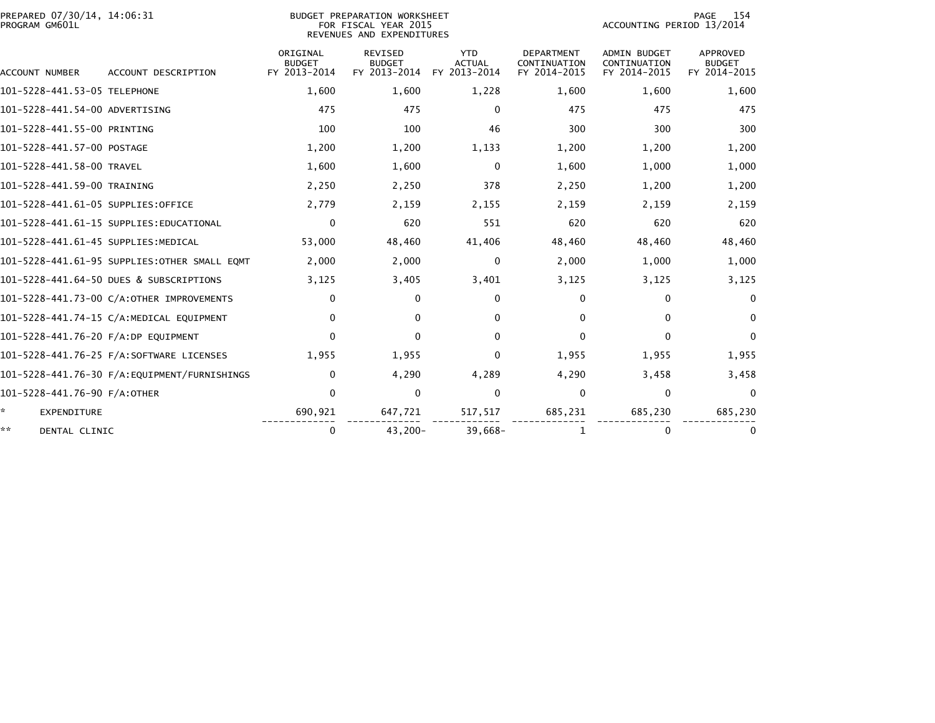| PREPARED 07/30/14, 14:06:31<br>PROGRAM GM601L |                                              | <b>BUDGET PREPARATION WORKSHEET</b><br>FOR FISCAL YEAR 2015<br>REVENUES AND EXPENDITURES | 154<br>PAGE<br>ACCOUNTING PERIOD 13/2014 |                                             |                                            |                                                     |                                           |
|-----------------------------------------------|----------------------------------------------|------------------------------------------------------------------------------------------|------------------------------------------|---------------------------------------------|--------------------------------------------|-----------------------------------------------------|-------------------------------------------|
| <b>ACCOUNT NUMBER</b>                         | ACCOUNT DESCRIPTION                          | ORIGINAL<br><b>BUDGET</b><br>FY 2013-2014                                                | REVISED<br><b>BUDGET</b><br>FY 2013-2014 | <b>YTD</b><br><b>ACTUAL</b><br>FY 2013-2014 | DEPARTMENT<br>CONTINUATION<br>FY 2014-2015 | <b>ADMIN BUDGET</b><br>CONTINUATION<br>FY 2014-2015 | APPROVED<br><b>BUDGET</b><br>FY 2014-2015 |
| 101-5228-441.53-05 TELEPHONE                  |                                              | 1,600                                                                                    | 1,600                                    | 1,228                                       | 1,600                                      | 1,600                                               | 1,600                                     |
| 101-5228-441.54-00 ADVERTISING                |                                              | 475                                                                                      | 475                                      | $\mathbf{0}$                                | 475                                        | 475                                                 | 475                                       |
| 101-5228-441.55-00 PRINTING                   |                                              | 100                                                                                      | 100                                      | 46                                          | 300                                        | 300                                                 | 300                                       |
| 101-5228-441.57-00 POSTAGE                    |                                              | 1,200                                                                                    | 1,200                                    | 1,133                                       | 1,200                                      | 1,200                                               | 1,200                                     |
| 101-5228-441.58-00 TRAVEL                     |                                              | 1,600                                                                                    | 1,600                                    | $\Omega$                                    | 1,600                                      | 1,000                                               | 1,000                                     |
| 101-5228-441.59-00 TRAINING                   |                                              | 2,250                                                                                    | 2,250                                    | 378                                         | 2,250                                      | 1,200                                               | 1,200                                     |
| 101-5228-441.61-05 SUPPLIES:OFFICE            |                                              | 2,779                                                                                    | 2,159                                    | 2,155                                       | 2,159                                      | 2,159                                               | 2,159                                     |
|                                               | 101-5228-441.61-15 SUPPLIES:EDUCATIONAL      | $\mathbf 0$                                                                              | 620                                      | 551                                         | 620                                        | 620                                                 | 620                                       |
| 101-5228-441.61-45 SUPPLIES:MEDICAL           |                                              | 53,000                                                                                   | 48,460                                   | 41,406                                      | 48,460                                     | 48,460                                              | 48,460                                    |
|                                               | 101-5228-441.61-95 SUPPLIES:OTHER SMALL EQMT | 2,000                                                                                    | 2,000                                    | 0                                           | 2,000                                      | 1,000                                               | 1,000                                     |
|                                               | 101-5228-441.64-50 DUES & SUBSCRIPTIONS      | 3,125                                                                                    | 3,405                                    | 3,401                                       | 3,125                                      | 3,125                                               | 3,125                                     |
|                                               | 101-5228-441.73-00 C/A:OTHER IMPROVEMENTS    | $\mathbf 0$                                                                              | $\mathbf{0}$                             | $\mathbf{0}$                                | $\Omega$                                   | $\mathbf{0}$                                        | $\mathbf{0}$                              |
|                                               | 101-5228-441.74-15 C/A:MEDICAL EQUIPMENT     | 0                                                                                        | $\mathbf{0}$                             | 0                                           | $\Omega$                                   | 0                                                   | $\mathbf{0}$                              |
| 101-5228-441.76-20 F/A:DP EQUIPMENT           |                                              | $\mathbf 0$                                                                              | $\mathbf{0}$                             | $\mathbf{0}$                                | $\Omega$                                   | $\mathbf{0}$                                        | $\Omega$                                  |
|                                               |                                              | 1.955                                                                                    | 1,955                                    | 0                                           | 1,955                                      | 1,955                                               | 1,955                                     |
|                                               | 101-5228-441.76-30 F/A:EQUIPMENT/FURNISHINGS | $\mathbf 0$                                                                              | 4,290                                    | 4,289                                       | 4,290                                      | 3,458                                               | 3,458                                     |
| 101-5228-441.76-90 F/A:OTHER                  |                                              | $\mathbf 0$                                                                              | $\mathbf{0}$                             | $\mathbf{0}$                                | $\Omega$                                   | $\mathbf 0$                                         | $\Omega$                                  |
| ÷.<br><b>EXPENDITURE</b>                      |                                              | 690,921                                                                                  | 647,721                                  | 517,517                                     | 685,231                                    | 685,230                                             | 685,230                                   |
| **<br>DENTAL CLINIC                           |                                              | 0                                                                                        | 43,200-                                  | $39,668-$                                   | 1                                          | 0                                                   | $\bf{0}$                                  |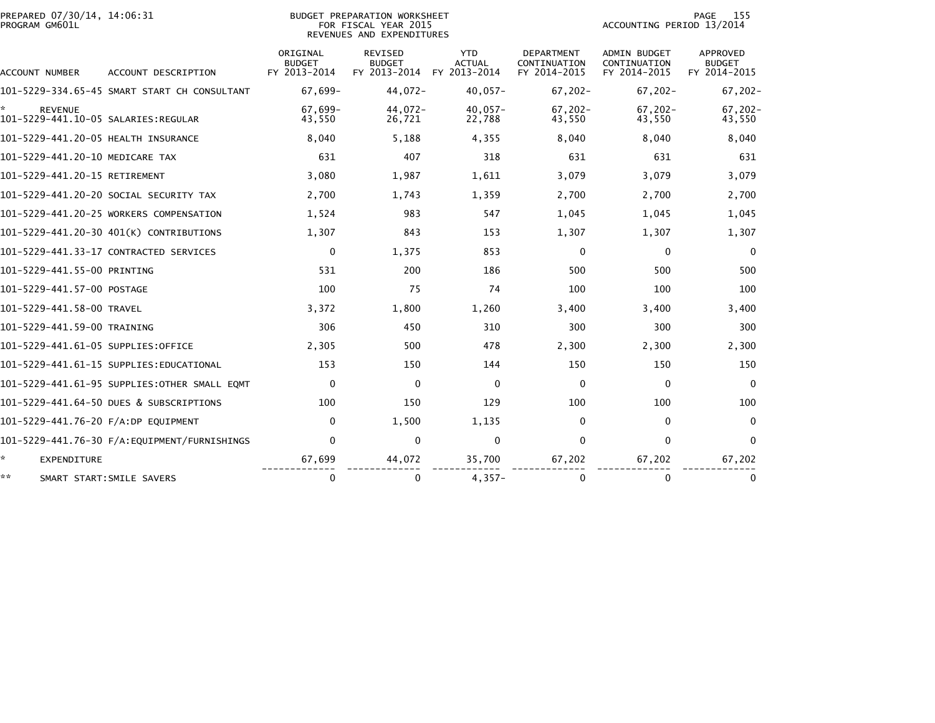| PREPARED 07/30/14, 14:06:31<br>PROGRAM GM601L |                                              |                                           | BUDGET PREPARATION WORKSHEET<br>FOR FISCAL YEAR 2015<br>REVENUES AND EXPENDITURES |                                             | 155<br><b>PAGE</b><br>ACCOUNTING PERIOD 13/2014   |                                                     |                                           |  |
|-----------------------------------------------|----------------------------------------------|-------------------------------------------|-----------------------------------------------------------------------------------|---------------------------------------------|---------------------------------------------------|-----------------------------------------------------|-------------------------------------------|--|
| ACCOUNT NUMBER                                | ACCOUNT DESCRIPTION                          | ORIGINAL<br><b>BUDGET</b><br>FY 2013-2014 | <b>REVISED</b><br><b>BUDGET</b><br>FY 2013-2014                                   | <b>YTD</b><br><b>ACTUAL</b><br>FY 2013-2014 | <b>DEPARTMENT</b><br>CONTINUATION<br>FY 2014-2015 | <b>ADMIN BUDGET</b><br>CONTINUATION<br>FY 2014-2015 | APPROVED<br><b>BUDGET</b><br>FY 2014-2015 |  |
|                                               | 101-5229-334.65-45 SMART START CH CONSULTANT | $67.699 -$                                | $44.072 -$                                                                        | $40.057 -$                                  | $67.202 -$                                        | $67.202 -$                                          | $67,202 -$                                |  |
| <b>REVENUE</b>                                |                                              | $67.699 -$<br>43,550                      | 44,072-<br>26,721                                                                 | $40.057 -$<br>22,788                        | $67.202 -$<br>43,550                              | $67.202 -$<br>43,550                                | $67.202 -$<br>43,550                      |  |
| 101-5229-441.20-05 HEALTH INSURANCE           |                                              | 8,040                                     | 5,188                                                                             | 4,355                                       | 8,040                                             | 8,040                                               | 8,040                                     |  |
| 101-5229-441.20-10 MEDICARE TAX               |                                              | 631                                       | 407                                                                               | 318                                         | 631                                               | 631                                                 | 631                                       |  |
| 101-5229-441.20-15 RETIREMENT                 |                                              | 3,080                                     | 1,987                                                                             | 1,611                                       | 3,079                                             | 3,079                                               | 3,079                                     |  |
| 101-5229-441.20-20 SOCIAL SECURITY TAX        |                                              | 2,700                                     | 1.743                                                                             | 1,359                                       | 2.700                                             | 2.700                                               | 2,700                                     |  |
| 101-5229-441.20-25 WORKERS COMPENSATION       |                                              | 1,524                                     | 983                                                                               | 547                                         | 1.045                                             | 1.045                                               | 1,045                                     |  |
| 101-5229-441.20-30 401(K) CONTRIBUTIONS       |                                              | 1,307                                     | 843                                                                               | 153                                         | 1,307                                             | 1,307                                               | 1,307                                     |  |
| 101-5229-441.33-17 CONTRACTED SERVICES        |                                              | $\mathbf 0$                               | 1,375                                                                             | 853                                         | $\mathbf{0}$                                      | $\mathbf{0}$                                        | $\Omega$                                  |  |
| 101-5229-441.55-00 PRINTING                   |                                              | 531                                       | 200                                                                               | 186                                         | 500                                               | 500                                                 | 500                                       |  |
| 101-5229-441.57-00 POSTAGE                    |                                              | 100                                       | 75                                                                                | 74                                          | 100                                               | 100                                                 | 100                                       |  |
| 101-5229-441.58-00 TRAVEL                     |                                              | 3,372                                     | 1,800                                                                             | 1,260                                       | 3,400                                             | 3,400                                               | 3,400                                     |  |
| 101-5229-441.59-00 TRAINING                   |                                              | 306                                       | 450                                                                               | 310                                         | 300                                               | 300                                                 | 300                                       |  |
| 101-5229-441.61-05 SUPPLIES:OFFICE            |                                              | 2,305                                     | 500                                                                               | 478                                         | 2,300                                             | 2,300                                               | 2,300                                     |  |
| 101-5229-441.61-15 SUPPLIES:EDUCATIONAL       |                                              | 153                                       | 150                                                                               | 144                                         | 150                                               | 150                                                 | 150                                       |  |
|                                               | 101–5229–441.61–95 SUPPLIES:OTHER SMALL EOMT | $\mathbf 0$                               | $\mathbf{0}$                                                                      | $\Omega$                                    | $\mathbf{0}$                                      | $\Omega$                                            | $\Omega$                                  |  |
| 101-5229-441.64-50 DUES & SUBSCRIPTIONS       |                                              | 100                                       | 150                                                                               | 129                                         | 100                                               | 100                                                 | 100                                       |  |
| 101-5229-441.76-20 F/A:DP EQUIPMENT           |                                              | 0                                         | 1,500                                                                             | 1,135                                       | $\mathbf{0}$                                      | $\mathbf{0}$                                        | $\Omega$                                  |  |
|                                               |                                              | $\mathbf{0}$                              | $\Omega$                                                                          | $\Omega$                                    | $\mathbf{0}$                                      | $\Omega$                                            | $\Omega$                                  |  |
| ÷.<br>EXPENDITURE                             |                                              | 67,699                                    | 44,072                                                                            | 35,700                                      | 67,202                                            | 67,202                                              | 67,202                                    |  |
| **<br>SMART START: SMILE SAVERS               |                                              | 0                                         | 0                                                                                 | $4,357-$                                    | $\mathbf{0}$                                      | 0                                                   | 0                                         |  |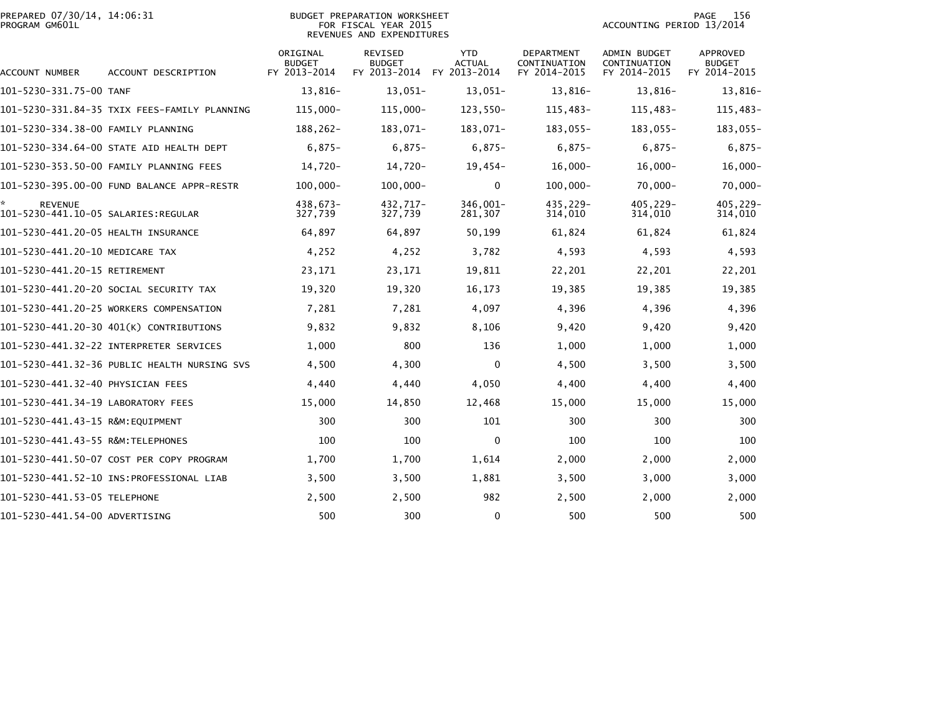| PREPARED 07/30/14, 14:06:31<br>PROGRAM GM601L |                                              |                                           | <b>BUDGET PREPARATION WORKSHEET</b><br>FOR FISCAL YEAR 2015<br>REVENUES AND EXPENDITURES | 156<br>PAGE<br>ACCOUNTING PERIOD 13/2014    |                                            |                                              |                                                  |
|-----------------------------------------------|----------------------------------------------|-------------------------------------------|------------------------------------------------------------------------------------------|---------------------------------------------|--------------------------------------------|----------------------------------------------|--------------------------------------------------|
| ACCOUNT NUMBER                                | ACCOUNT DESCRIPTION                          | ORIGINAL<br><b>BUDGET</b><br>FY 2013-2014 | REVISED<br><b>BUDGET</b><br>FY 2013-2014                                                 | <b>YTD</b><br><b>ACTUAL</b><br>FY 2013-2014 | DEPARTMENT<br>CONTINUATION<br>FY 2014-2015 | ADMIN BUDGET<br>CONTINUATION<br>FY 2014-2015 | <b>APPROVED</b><br><b>BUDGET</b><br>FY 2014-2015 |
| 101-5230-331.75-00 TANF                       |                                              | 13,816-                                   | $13,051-$                                                                                | $13,051-$                                   | 13,816-                                    | 13,816-                                      | 13,816-                                          |
|                                               | 101–5230–331.84–35 TXIX FEES-FAMILY PLANNING | $115,000 -$                               | 115,000-                                                                                 | 123,550-                                    | 115,483-                                   | 115,483-                                     | 115,483-                                         |
| 101-5230-334.38-00 FAMILY PLANNING            |                                              | $188, 262 -$                              | 183,071-                                                                                 | 183,071-                                    | 183,055-                                   | 183,055-                                     | 183,055-                                         |
|                                               | 101-5230-334.64-00 STATE AID HEALTH DEPT     | $6,875-$                                  | $6,875-$                                                                                 | $6,875-$                                    | $6,875-$                                   | $6,875-$                                     | $6,875-$                                         |
|                                               | 101-5230-353.50-00 FAMILY PLANNING FEES      | 14,720-                                   | 14,720-                                                                                  | $19,454-$                                   | $16,000 -$                                 | $16,000 -$                                   | $16,000 -$                                       |
|                                               | 101-5230-395.00-00 FUND BALANCE APPR-RESTR   | $100,000 -$                               | $100,000 -$                                                                              | $\mathbf{0}$                                | $100,000 -$                                | $70,000 -$                                   | $70,000 -$                                       |
| *<br><b>REVENUE</b>                           |                                              | 438,673-<br>327,739                       | 432,717-<br>327,739                                                                      | 346,001-<br>281,307                         | 435,229-<br>314,010                        | 405,229-<br>314,010                          | 405,229-<br>314,010                              |
| 101-5230-441.20-05 HEALTH INSURANCE           |                                              | 64,897                                    | 64,897                                                                                   | 50,199                                      | 61,824                                     | 61,824                                       | 61,824                                           |
| 101-5230-441.20-10 MEDICARE TAX               |                                              | 4,252                                     | 4,252                                                                                    | 3,782                                       | 4,593                                      | 4,593                                        | 4,593                                            |
| 101-5230-441.20-15 RETIREMENT                 |                                              | 23,171                                    | 23,171                                                                                   | 19,811                                      | 22,201                                     | 22,201                                       | 22,201                                           |
|                                               | 101–5230–441.20–20 SOCIAL SECURITY TAX       | 19,320                                    | 19,320                                                                                   | 16,173                                      | 19,385                                     | 19,385                                       | 19,385                                           |
|                                               | 101-5230-441.20-25 WORKERS COMPENSATION      | 7,281                                     | 7,281                                                                                    | 4,097                                       | 4,396                                      | 4,396                                        | 4,396                                            |
|                                               | 101-5230-441.20-30 401(K) CONTRIBUTIONS      | 9,832                                     | 9,832                                                                                    | 8,106                                       | 9,420                                      | 9,420                                        | 9,420                                            |
|                                               |                                              | 1,000                                     | 800                                                                                      | 136                                         | 1,000                                      | 1,000                                        | 1,000                                            |
|                                               | 101-5230-441.32-36 PUBLIC HEALTH NURSING SVS | 4,500                                     | 4,300                                                                                    | $\mathbf{0}$                                | 4,500                                      | 3,500                                        | 3,500                                            |
| 101-5230-441.32-40 PHYSICIAN FEES             |                                              | 4,440                                     | 4,440                                                                                    | 4,050                                       | 4,400                                      | 4,400                                        | 4,400                                            |
| 101-5230-441.34-19 LABORATORY FEES            |                                              | 15,000                                    | 14,850                                                                                   | 12,468                                      | 15,000                                     | 15,000                                       | 15,000                                           |
| 101-5230-441.43-15 R&M:EQUIPMENT              |                                              | 300                                       | 300                                                                                      | 101                                         | 300                                        | 300                                          | 300                                              |
| 101-5230-441.43-55 R&M:TELEPHONES             |                                              | 100                                       | 100                                                                                      | $\mathbf 0$                                 | 100                                        | 100                                          | 100                                              |
|                                               | 101-5230-441.50-07 COST PER COPY PROGRAM     | 1,700                                     | 1,700                                                                                    | 1,614                                       | 2,000                                      | 2,000                                        | 2,000                                            |
|                                               |                                              | 3,500                                     | 3,500                                                                                    | 1,881                                       | 3,500                                      | 3,000                                        | 3,000                                            |
| 101-5230-441.53-05 TELEPHONE                  |                                              | 2,500                                     | 2,500                                                                                    | 982                                         | 2,500                                      | 2,000                                        | 2,000                                            |
| 101-5230-441.54-00 ADVERTISING                |                                              | 500                                       | 300                                                                                      | 0                                           | 500                                        | 500                                          | 500                                              |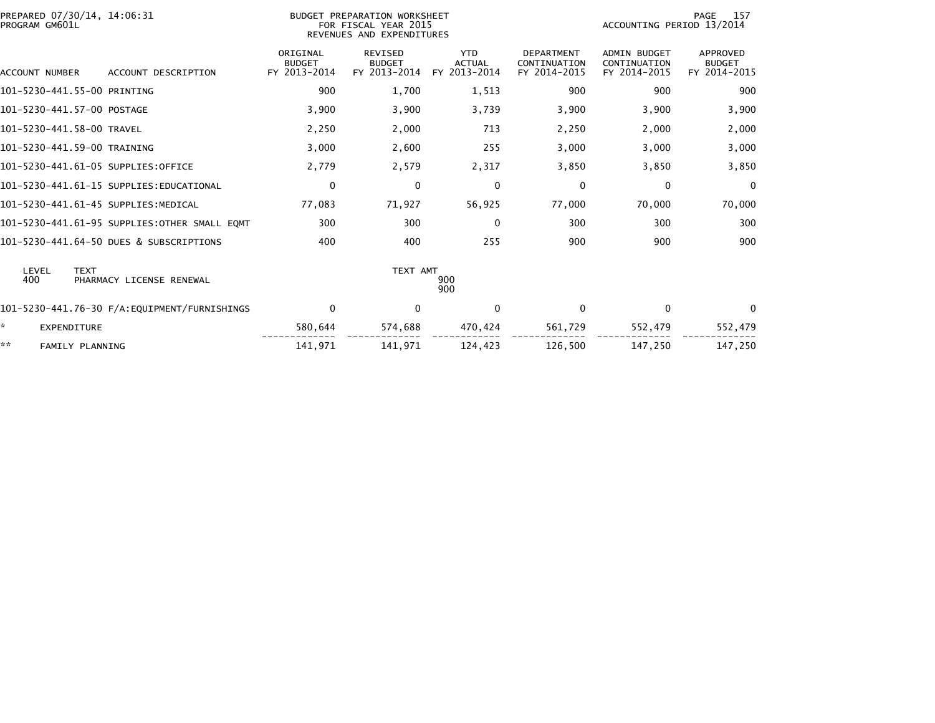| PREPARED 07/30/14, 14:06:31<br>PROGRAM GM601L           |                           | BUDGET PREPARATION WORKSHEET<br>FOR FISCAL YEAR 2015<br>REVENUES AND EXPENDITURES |                             |                                   | 157<br>PAGE<br>ACCOUNTING PERIOD 13/2014 |                                  |  |  |
|---------------------------------------------------------|---------------------------|-----------------------------------------------------------------------------------|-----------------------------|-----------------------------------|------------------------------------------|----------------------------------|--|--|
|                                                         | ORIGINAL<br><b>BUDGET</b> | <b>REVISED</b><br><b>BUDGET</b>                                                   | <b>YTD</b><br><b>ACTUAL</b> | <b>DEPARTMENT</b><br>CONTINUATION | <b>ADMIN BUDGET</b><br>CONTINUATION      | <b>APPROVED</b><br><b>BUDGET</b> |  |  |
| ACCOUNT DESCRIPTION<br>ACCOUNT NUMBER                   | FY 2013-2014              | FY 2013-2014                                                                      | FY 2013-2014                | FY 2014-2015                      | FY 2014-2015                             | FY 2014-2015                     |  |  |
| 101-5230-441.55-00 PRINTING                             | 900                       | 1,700                                                                             | 1,513                       | 900                               | 900                                      | 900                              |  |  |
| 101-5230-441.57-00 POSTAGE                              | 3,900                     | 3,900                                                                             | 3,739                       | 3,900                             | 3,900                                    | 3,900                            |  |  |
| 101-5230-441.58-00 TRAVEL                               | 2,250                     | 2,000                                                                             | 713                         | 2,250                             | 2,000                                    | 2,000                            |  |  |
| 101-5230-441.59-00 TRAINING                             | 3,000                     | 2,600                                                                             | 255                         | 3,000                             | 3,000                                    | 3,000                            |  |  |
| 101-5230-441.61-05 SUPPLIES:OFFICE                      | 2,779                     | 2,579                                                                             | 2,317                       | 3,850                             | 3,850                                    | 3,850                            |  |  |
| 101-5230-441.61-15 SUPPLIES:EDUCATIONAL                 | $\mathbf 0$               | 0                                                                                 | $\mathbf 0$                 | 0                                 | 0                                        | $\Omega$                         |  |  |
| 101-5230-441.61-45 SUPPLIES:MEDICAL                     | 77,083                    | 71,927                                                                            | 56,925                      | 77,000                            | 70,000                                   | 70,000                           |  |  |
| 101-5230-441.61-95 SUPPLIES:OTHER SMALL EOMT            | 300                       | 300                                                                               | 0                           | 300                               | 300                                      | 300                              |  |  |
| 101-5230-441.64-50 DUES & SUBSCRIPTIONS                 | 400                       | 400                                                                               | 255                         | 900                               | 900                                      | 900                              |  |  |
| LEVEL<br><b>TEXT</b><br>400<br>PHARMACY LICENSE RENEWAL |                           | TEXT AMT                                                                          | 900<br>900                  |                                   |                                          |                                  |  |  |
| 101-5230-441.76-30 F/A:EQUIPMENT/FURNISHINGS            | $\mathbf 0$               | 0                                                                                 | $\mathbf 0$                 | 0                                 | 0                                        | $\Omega$                         |  |  |
| ×.<br><b>EXPENDITURE</b>                                | 580,644                   | 574,688                                                                           | 470,424                     | 561,729                           | 552,479                                  | 552,479                          |  |  |
| **<br>FAMILY PLANNING                                   | 141,971                   | 141,971                                                                           | 124,423                     | 126,500                           | 147,250                                  | 147,250                          |  |  |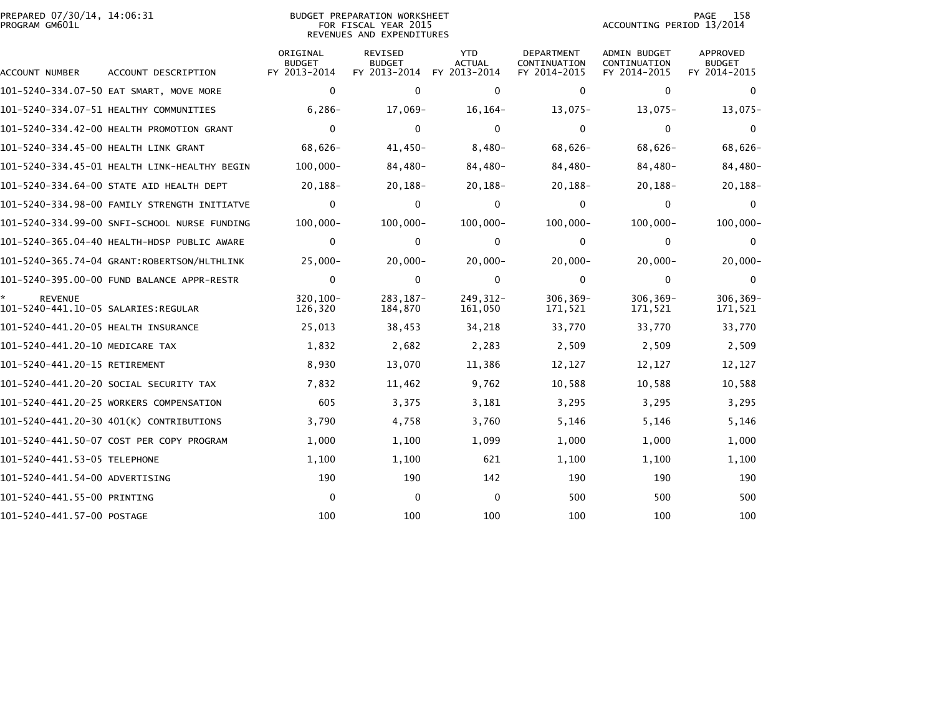|                | PREPARED 07/30/14, 14:06:31 |  |
|----------------|-----------------------------|--|
| PROGRAM GM601L |                             |  |

## BUDGET PREPARATION WORKSHEET PROGRAM GM601L FOR FISCAL YEAR 2015 ACCOUNTING PERIOD 13/2014 REVENUES AND EXPENDITURES

PAGE 158<br>ACCOUNTING PERIOD 13/2014

| ACCOUNT NUMBER                       | ACCOUNT DESCRIPTION                          | ORIGINAL<br><b>BUDGET</b><br>FY 2013-2014 | REVISED<br><b>BUDGET</b><br>FY 2013-2014 | <b>YTD</b><br><b>ACTUAL</b><br>FY 2013-2014 | DEPARTMENT<br>CONTINUATION<br>FY 2014-2015 | <b>ADMIN BUDGET</b><br>CONTINUATION<br>FY 2014-2015 | APPROVED<br><b>BUDGET</b><br>FY 2014-2015 |
|--------------------------------------|----------------------------------------------|-------------------------------------------|------------------------------------------|---------------------------------------------|--------------------------------------------|-----------------------------------------------------|-------------------------------------------|
|                                      | 101-5240-334.07-50 EAT SMART, MOVE MORE      | $\mathbf 0$                               | $\mathbf{0}$                             | $\mathbf 0$                                 | 0                                          | $\mathbf 0$                                         | $\Omega$                                  |
|                                      | 101-5240-334.07-51 HEALTHY COMMUNITIES       | $6,286-$                                  | 17,069-                                  | $16, 164 -$                                 | $13,075-$                                  | $13,075-$                                           | $13,075-$                                 |
|                                      | 101-5240-334.42-00 HEALTH PROMOTION GRANT    | $\Omega$                                  | $\Omega$                                 | $\mathbf{0}$                                | $\Omega$                                   | $\Omega$                                            | $\Omega$                                  |
| 101-5240-334.45-00 HEALTH LINK GRANT |                                              | 68,626-                                   | $41,450-$                                | $8,480-$                                    | $68,626-$                                  | 68,626-                                             | 68,626-                                   |
|                                      | 101-5240-334.45-01 HEALTH LINK-HEALTHY BEGIN | $100,000 -$                               | 84,480-                                  | 84,480-                                     | 84,480-                                    | 84,480-                                             | 84,480-                                   |
|                                      | 101-5240-334.64-00 STATE AID HEALTH DEPT     | $20, 188 -$                               | $20, 188 -$                              | $20,188-$                                   | $20, 188 -$                                | $20, 188 -$                                         | 20,188-                                   |
|                                      | 101-5240-334.98-00 FAMILY STRENGTH INITIATVE | $\mathbf{0}$                              | $\mathbf{0}$                             | $\mathbf{0}$                                | 0                                          | 0                                                   | $\Omega$                                  |
|                                      | 101-5240-334.99-00 SNFI-SCHOOL NURSE FUNDING | $100,000 -$                               | $100,000 -$                              | $100,000 -$                                 | $100,000 -$                                | $100,000 -$                                         | $100,000 -$                               |
|                                      |                                              | $\mathbf 0$                               | $\mathbf 0$                              | 0                                           | 0                                          | $\mathbf{0}$                                        | $\Omega$                                  |
|                                      | 101-5240-365.74-04 GRANT:ROBERTSON/HLTHLINK  | $25,000 -$                                | $20,000 -$                               | $20,000 -$                                  | $20,000 -$                                 | $20,000 -$                                          | $20,000 -$                                |
|                                      | 101-5240-395.00-00 FUND BALANCE APPR-RESTR   | $\mathbf{0}$                              | $\mathbf{0}$                             | $\mathbf{0}$                                | $\Omega$                                   | $\mathbf{0}$                                        | $\Omega$                                  |
| <b>REVENUE</b>                       |                                              | 320.100-<br>126,320                       | $283.187 -$<br>184,870                   | $249.312 -$<br>161,050                      | 306,369-<br>171,521                        | $306.369 -$<br>171,521                              | 306,369-<br>171,521                       |
| 101-5240-441.20-05 HEALTH INSURANCE  |                                              | 25,013                                    | 38,453                                   | 34,218                                      | 33,770                                     | 33,770                                              | 33,770                                    |
| 101-5240-441.20-10 MEDICARE TAX      |                                              | 1,832                                     | 2,682                                    | 2,283                                       | 2,509                                      | 2,509                                               | 2,509                                     |
| 101-5240-441.20-15 RETIREMENT        |                                              | 8,930                                     | 13,070                                   | 11,386                                      | 12,127                                     | 12,127                                              | 12,127                                    |
|                                      | 101-5240-441.20-20 SOCIAL SECURITY TAX       | 7,832                                     | 11,462                                   | 9,762                                       | 10,588                                     | 10,588                                              | 10,588                                    |
|                                      | 101-5240-441.20-25 WORKERS COMPENSATION      | 605                                       | 3,375                                    | 3,181                                       | 3,295                                      | 3,295                                               | 3,295                                     |
|                                      | 101-5240-441.20-30 401(K) CONTRIBUTIONS      | 3,790                                     | 4,758                                    | 3,760                                       | 5,146                                      | 5,146                                               | 5,146                                     |
|                                      | 101-5240-441.50-07 COST PER COPY PROGRAM     | 1,000                                     | 1,100                                    | 1,099                                       | 1,000                                      | 1,000                                               | 1,000                                     |
| 101-5240-441.53-05 TELEPHONE         |                                              | 1,100                                     | 1,100                                    | 621                                         | 1,100                                      | 1,100                                               | 1,100                                     |
| 101-5240-441.54-00 ADVERTISING       |                                              | 190                                       | 190                                      | 142                                         | 190                                        | 190                                                 | 190                                       |
| 101-5240-441.55-00 PRINTING          |                                              | $\mathbf 0$                               | $\mathbf{0}$                             | $\mathbf{0}$                                | 500                                        | 500                                                 | 500                                       |
| 101-5240-441.57-00 POSTAGE           |                                              | 100                                       | 100                                      | 100                                         | 100                                        | 100                                                 | 100                                       |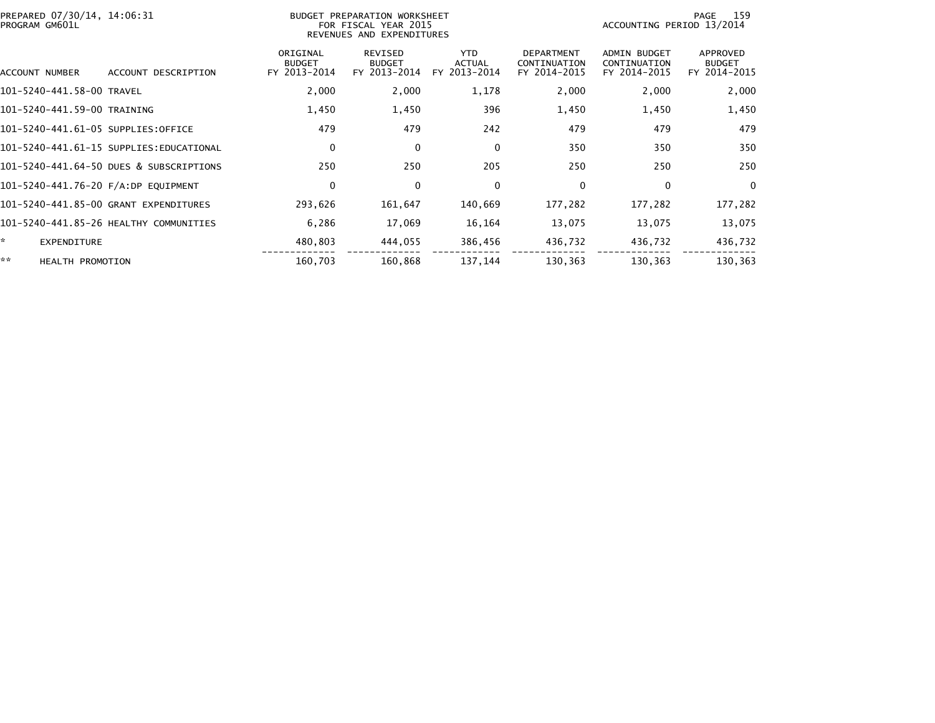| PREPARED 07/30/14, 14:06:31<br>PROGRAM GM601L |                                         |                                           | BUDGET PREPARATION WORKSHEET<br>FOR FISCAL YEAR 2015<br>REVENUES AND EXPENDITURES |                                             |                                                   |                                                     | 159<br>PAGE<br>ACCOUNTING PERIOD 13/2014  |  |  |  |
|-----------------------------------------------|-----------------------------------------|-------------------------------------------|-----------------------------------------------------------------------------------|---------------------------------------------|---------------------------------------------------|-----------------------------------------------------|-------------------------------------------|--|--|--|
| ACCOUNT NUMBER                                | ACCOUNT DESCRIPTION                     | ORIGINAL<br><b>BUDGET</b><br>FY 2013-2014 | REVISED<br><b>BUDGET</b><br>FY 2013-2014                                          | <b>YTD</b><br><b>ACTUAL</b><br>FY 2013-2014 | <b>DEPARTMENT</b><br>CONTINUATION<br>FY 2014-2015 | <b>ADMIN BUDGET</b><br>CONTINUATION<br>FY 2014-2015 | APPROVED<br><b>BUDGET</b><br>FY 2014-2015 |  |  |  |
| 101-5240-441.58-00 TRAVEL                     |                                         | 2,000                                     | 2,000                                                                             | 1,178                                       | 2,000                                             | 2,000                                               | 2,000                                     |  |  |  |
| 101-5240-441.59-00 TRAINING                   |                                         | 1,450                                     | 1,450                                                                             | 396                                         | 1,450                                             | 1,450                                               | 1,450                                     |  |  |  |
| 101-5240-441.61-05 SUPPLIES:OFFICE            |                                         | 479                                       | 479                                                                               | 242                                         | 479                                               | 479                                                 | 479                                       |  |  |  |
|                                               | 101-5240-441.61-15 SUPPLIES:EDUCATIONAL | 0                                         | 0                                                                                 | $\mathbf 0$                                 | 350                                               | 350                                                 | 350                                       |  |  |  |
|                                               | 101-5240-441.64-50 DUES & SUBSCRIPTIONS | 250                                       | 250                                                                               | 205                                         | 250                                               | 250                                                 | 250                                       |  |  |  |
| 101-5240-441.76-20 F/A:DP EQUIPMENT           |                                         | $\mathbf 0$                               | $\Omega$                                                                          | $\Omega$                                    | 0                                                 | $\Omega$                                            | $\Omega$                                  |  |  |  |
|                                               | 101-5240-441.85-00 GRANT EXPENDITURES   | 293,626                                   | 161,647                                                                           | 140,669                                     | 177,282                                           | 177,282                                             | 177,282                                   |  |  |  |
|                                               | 101-5240-441.85-26 HEALTHY COMMUNITIES  | 6,286                                     | 17,069                                                                            | 16,164                                      | 13,075                                            | 13,075                                              | 13,075                                    |  |  |  |
| $\mathbf{x}$<br>EXPENDITURE                   |                                         | 480,803                                   | 444,055                                                                           | 386,456                                     | 436,732                                           | 436,732                                             | 436,732                                   |  |  |  |
| **<br><b>HEALTH PROMOTION</b>                 |                                         | 160,703                                   | 160,868                                                                           | 137,144                                     | 130,363                                           | 130,363                                             | 130,363                                   |  |  |  |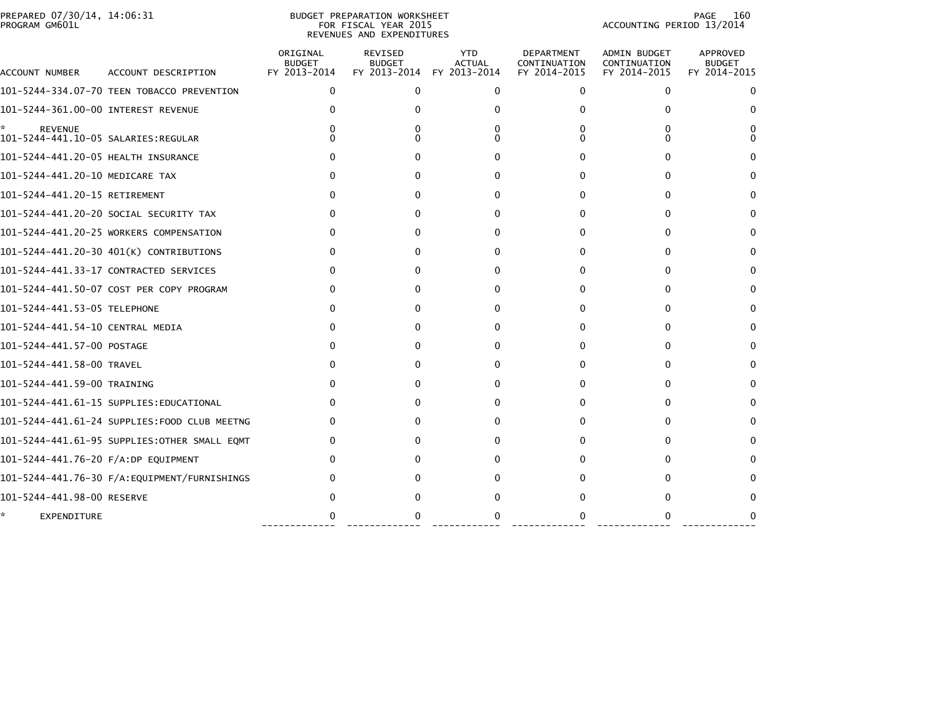| PREPARED 07/30/14, 14:06:31<br>PROGRAM GM601L |                                              |                                           | BUDGET PREPARATION WORKSHEET<br>FOR FISCAL YEAR 2015<br>REVENUES AND EXPENDITURES | 160<br>PAGE<br>ACCOUNTING PERIOD 13/2014    |                                                   |                                                     |                                           |
|-----------------------------------------------|----------------------------------------------|-------------------------------------------|-----------------------------------------------------------------------------------|---------------------------------------------|---------------------------------------------------|-----------------------------------------------------|-------------------------------------------|
| ACCOUNT NUMBER                                | ACCOUNT DESCRIPTION                          | ORIGINAL<br><b>BUDGET</b><br>FY 2013-2014 | <b>REVISED</b><br><b>BUDGET</b><br>FY 2013-2014                                   | <b>YTD</b><br><b>ACTUAL</b><br>FY 2013-2014 | <b>DEPARTMENT</b><br>CONTINUATION<br>FY 2014-2015 | <b>ADMIN BUDGET</b><br>CONTINUATION<br>FY 2014-2015 | APPROVED<br><b>BUDGET</b><br>FY 2014-2015 |
|                                               | 101-5244-334.07-70 TEEN TOBACCO PREVENTION   | $\Omega$                                  | $\mathbf{0}$                                                                      | 0                                           | $\mathbf{0}$                                      | $\Omega$                                            | 0                                         |
| 101-5244-361.00-00 INTEREST REVENUE           |                                              | 0                                         | <sup>0</sup>                                                                      | 0                                           | 0                                                 |                                                     |                                           |
| <b>REVENUE</b>                                |                                              |                                           | 0                                                                                 | 0<br>0                                      | 0<br>0                                            |                                                     |                                           |
| 101-5244-441.20-05 HEALTH INSURANCE           |                                              | $\Omega$                                  | $\Omega$                                                                          | 0                                           | 0                                                 | 0                                                   |                                           |
| 101-5244-441.20-10 MEDICARE TAX               |                                              | 0                                         | $\Omega$                                                                          | 0                                           | 0                                                 | $^{\circ}$                                          |                                           |
| 101-5244-441.20-15 RETIREMENT                 |                                              | 0                                         | $\Omega$                                                                          | 0                                           | $\Omega$                                          | 0                                                   |                                           |
|                                               | 101-5244-441.20-20 SOCIAL SECURITY TAX       | 0                                         | 0                                                                                 | 0                                           | 0                                                 | 0                                                   |                                           |
|                                               | 101-5244-441.20-25 WORKERS COMPENSATION      |                                           | <sup>0</sup>                                                                      | 0                                           | 0                                                 |                                                     |                                           |
|                                               | 101-5244-441.20-30 401(K) CONTRIBUTIONS      |                                           | 0                                                                                 | 0                                           | 0                                                 | $\Omega$                                            |                                           |
|                                               | 101-5244-441.33-17 CONTRACTED SERVICES       |                                           | 0                                                                                 | 0                                           | 0                                                 |                                                     |                                           |
|                                               | 101-5244-441.50-07 COST PER COPY PROGRAM     |                                           | 0                                                                                 | 0                                           | $\Omega$                                          | 0                                                   |                                           |
| 101-5244-441.53-05 TELEPHONE                  |                                              | 0                                         | 0                                                                                 | 0                                           | $\mathbf{0}$                                      | 0                                                   |                                           |
| 101-5244-441.54-10 CENTRAL MEDIA              |                                              | $\Omega$                                  | 0                                                                                 | 0                                           | 0                                                 | 0                                                   |                                           |
| 101-5244-441.57-00 POSTAGE                    |                                              | 0                                         | 0                                                                                 | 0                                           | $\Omega$                                          | 0                                                   |                                           |
| 101-5244-441.58-00 TRAVEL                     |                                              | 0                                         | O                                                                                 | 0                                           | $\Omega$                                          |                                                     |                                           |
| 101-5244-441.59-00 TRAINING                   |                                              | 0                                         | O                                                                                 | 0                                           | 0                                                 | 0                                                   |                                           |
|                                               | 101-5244-441.61-15 SUPPLIES:EDUCATIONAL      | 0                                         | <sup>0</sup>                                                                      | 0                                           | 0                                                 | $\Omega$                                            |                                           |
|                                               | 101-5244-441.61-24 SUPPLIES:FOOD CLUB MEETNG | 0                                         | 0                                                                                 | 0                                           | $\Omega$                                          |                                                     |                                           |
|                                               | 101-5244-441.61-95 SUPPLIES:OTHER SMALL EQMT |                                           | 0                                                                                 | 0                                           | $\Omega$                                          |                                                     |                                           |
| 101-5244-441.76-20 F/A:DP EQUIPMENT           |                                              |                                           | 0                                                                                 | 0                                           | 0                                                 |                                                     |                                           |
|                                               |                                              |                                           | 0                                                                                 | o                                           | 0                                                 |                                                     |                                           |
| 101-5244-441.98-00 RESERVE                    |                                              |                                           |                                                                                   | 0                                           | 0                                                 |                                                     |                                           |
| EXPENDITURE                                   |                                              |                                           | 0                                                                                 | 0                                           | $\Omega$                                          |                                                     |                                           |

------------- ------------- ------------ ------------- ------------- -------------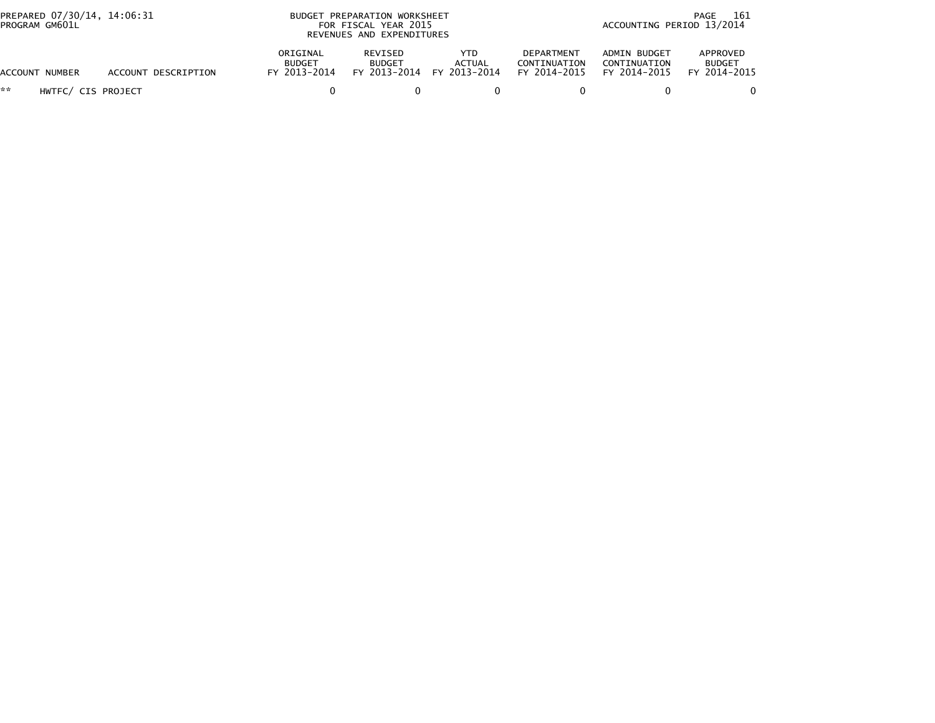| PREPARED 07/30/14, 14:06:31<br>PROGRAM GM601L |                     |                                           | BUDGET PREPARATION WORKSHEET<br>FOR FISCAL YEAR 2015<br>REVENUES AND EXPENDITURES |                                            |                                            |                                              | 161<br>PAGE<br>ACCOUNTING PERIOD 13/2014  |  |
|-----------------------------------------------|---------------------|-------------------------------------------|-----------------------------------------------------------------------------------|--------------------------------------------|--------------------------------------------|----------------------------------------------|-------------------------------------------|--|
| ACCOUNT NUMBER                                | ACCOUNT DESCRIPTION | ORIGINAL<br><b>BUDGET</b><br>FY 2013-2014 | REVISED<br><b>BUDGET</b>                                                          | YTD<br>ACTUAL<br>FY 2013-2014 FY 2013-2014 | DEPARTMENT<br>CONTINUATION<br>FY 2014-2015 | ADMIN BUDGET<br>CONTINUATION<br>FY 2014-2015 | APPROVED<br><b>BUDGET</b><br>FY 2014-2015 |  |
| **<br>HWTFC/ CIS PROJECT                      |                     |                                           |                                                                                   |                                            |                                            |                                              |                                           |  |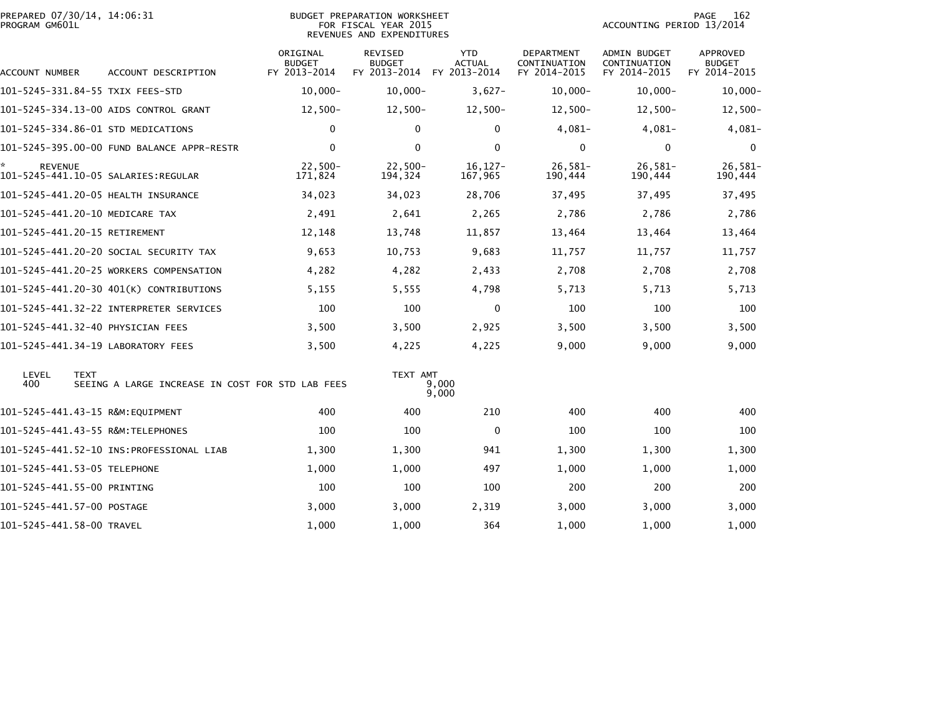| PREPARED 07/30/14, 14:06:31<br><b>BUDGET PREPARATION WORKSHEET</b><br>PROGRAM GM601L<br>FOR FISCAL YEAR 2015<br>REVENUES AND EXPENDITURES |                                                  |                                           |                                                 |                                             |                                            | 162<br><b>PAGE</b><br>ACCOUNTING PERIOD 13/2014     |                                                  |  |
|-------------------------------------------------------------------------------------------------------------------------------------------|--------------------------------------------------|-------------------------------------------|-------------------------------------------------|---------------------------------------------|--------------------------------------------|-----------------------------------------------------|--------------------------------------------------|--|
| ACCOUNT NUMBER                                                                                                                            | ACCOUNT DESCRIPTION                              | ORIGINAL<br><b>BUDGET</b><br>FY 2013-2014 | <b>REVISED</b><br><b>BUDGET</b><br>FY 2013-2014 | <b>YTD</b><br><b>ACTUAL</b><br>FY 2013-2014 | DEPARTMENT<br>CONTINUATION<br>FY 2014-2015 | <b>ADMIN BUDGET</b><br>CONTINUATION<br>FY 2014-2015 | <b>APPROVED</b><br><b>BUDGET</b><br>FY 2014-2015 |  |
| 101–5245–331.84–55 TXIX FEES–STD                                                                                                          |                                                  | $10,000 -$                                | $10,000 -$                                      | $3,627-$                                    | $10,000 -$                                 | $10,000 -$                                          | $10,000 -$                                       |  |
|                                                                                                                                           | 101-5245-334.13-00 AIDS CONTROL GRANT            | $12,500-$                                 | $12,500-$                                       | $12,500-$                                   | $12,500-$                                  | $12,500-$                                           | $12,500-$                                        |  |
| 101-5245-334.86-01 STD MEDICATIONS                                                                                                        |                                                  | $\mathbf 0$                               | $\Omega$                                        | $\Omega$                                    | $4,081-$                                   | $4,081-$                                            | $4,081-$                                         |  |
|                                                                                                                                           | 101-5245-395.00-00 FUND BALANCE APPR-RESTR       | $\mathbf 0$                               | $\mathbf 0$                                     | $\mathbf 0$                                 | 0                                          | 0                                                   | 0                                                |  |
| <b>REVENUE</b>                                                                                                                            |                                                  | $22,500-$<br>171,824                      | $22,500-$<br>194,324                            | $16, 127 -$<br>167,965                      | $26,581-$<br>190,444                       | $26,581-$<br>190,444                                | 26,581-<br>190,444                               |  |
| 101-5245-441.20-05 HEALTH INSURANCE                                                                                                       |                                                  | 34,023                                    | 34,023                                          | 28,706                                      | 37,495                                     | 37,495                                              | 37,495                                           |  |
| 101-5245-441.20-10 MEDICARE TAX                                                                                                           |                                                  | 2,491                                     | 2,641                                           | 2,265                                       | 2,786                                      | 2,786                                               | 2,786                                            |  |
| 101-5245-441.20-15 RETIREMENT                                                                                                             |                                                  | 12,148                                    | 13,748                                          | 11,857                                      | 13,464                                     | 13,464                                              | 13,464                                           |  |
|                                                                                                                                           | 101–5245–441.20–20 SOCIAL SECURITY TAX           | 9,653                                     | 10,753                                          | 9,683                                       | 11,757                                     | 11,757                                              | 11,757                                           |  |
|                                                                                                                                           | 101-5245-441.20-25 WORKERS COMPENSATION          | 4,282                                     | 4,282                                           | 2,433                                       | 2,708                                      | 2,708                                               | 2,708                                            |  |
|                                                                                                                                           | 101-5245-441.20-30 401(K) CONTRIBUTIONS          | 5,155                                     | 5,555                                           | 4,798                                       | 5,713                                      | 5,713                                               | 5,713                                            |  |
|                                                                                                                                           |                                                  | 100                                       | 100                                             | $\mathbf 0$                                 | 100                                        | 100                                                 | 100                                              |  |
| 101-5245-441.32-40 PHYSICIAN FEES                                                                                                         |                                                  | 3,500                                     | 3,500                                           | 2,925                                       | 3,500                                      | 3,500                                               | 3,500                                            |  |
| 101-5245-441.34-19 LABORATORY FEES                                                                                                        |                                                  | 3,500                                     | 4,225                                           | 4,225                                       | 9,000                                      | 9,000                                               | 9,000                                            |  |
| LEVEL<br><b>TEXT</b><br>400                                                                                                               | SEEING A LARGE INCREASE IN COST FOR STD LAB FEES |                                           | TEXT AMT                                        | 9,000<br>9,000                              |                                            |                                                     |                                                  |  |
| 101-5245-441.43-15 R&M:EQUIPMENT                                                                                                          |                                                  | 400                                       | 400                                             | 210                                         | 400                                        | 400                                                 | 400                                              |  |
|                                                                                                                                           |                                                  | 100                                       | 100                                             | 0                                           | 100                                        | 100                                                 | 100                                              |  |
|                                                                                                                                           |                                                  | 1,300                                     | 1,300                                           | 941                                         | 1,300                                      | 1,300                                               | 1,300                                            |  |
| 101-5245-441.53-05 TELEPHONE                                                                                                              |                                                  | 1,000                                     | 1,000                                           | 497                                         | 1,000                                      | 1,000                                               | 1,000                                            |  |
| 101-5245-441.55-00 PRINTING                                                                                                               |                                                  | 100                                       | 100                                             | 100                                         | 200                                        | 200                                                 | 200                                              |  |
| 101-5245-441.57-00 POSTAGE                                                                                                                |                                                  | 3,000                                     | 3,000                                           | 2,319                                       | 3,000                                      | 3,000                                               | 3,000                                            |  |
| 101-5245-441.58-00 TRAVEL                                                                                                                 |                                                  | 1,000                                     | 1,000                                           | 364                                         | 1,000                                      | 1,000                                               | 1,000                                            |  |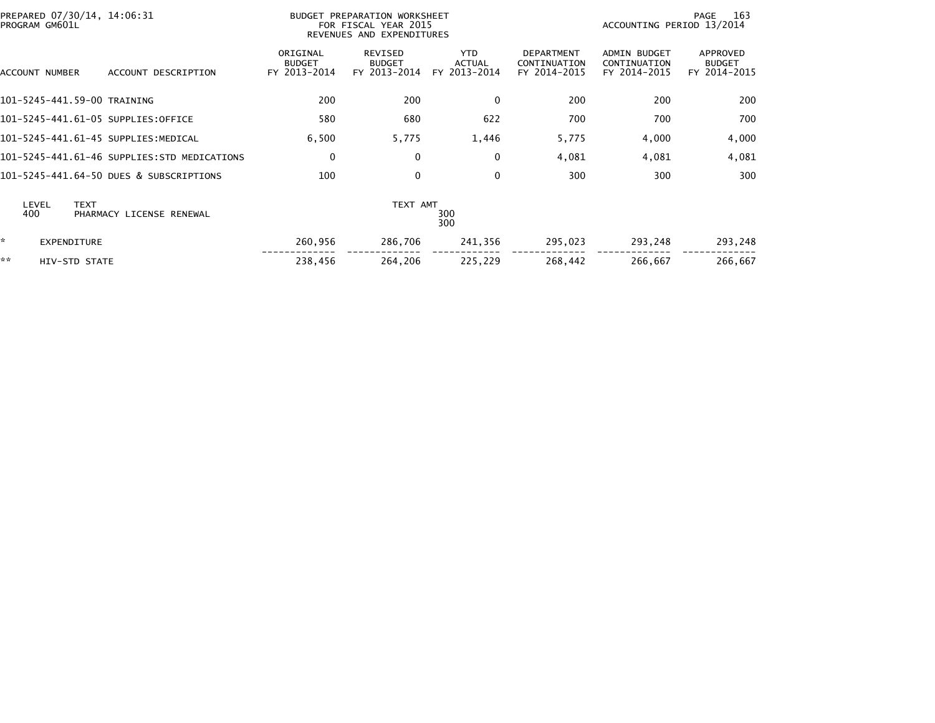|    | PROGRAM GM601L     | PREPARED 07/30/14, 14:06:31                 |                                           | BUDGET PREPARATION WORKSHEET<br>FOR FISCAL YEAR 2015<br>REVENUES AND EXPENDITURES | 163<br>PAGE<br>ACCOUNTING PERIOD 13/2014    |                                                   |                                                     |                                           |
|----|--------------------|---------------------------------------------|-------------------------------------------|-----------------------------------------------------------------------------------|---------------------------------------------|---------------------------------------------------|-----------------------------------------------------|-------------------------------------------|
|    | ACCOUNT NUMBER     | ACCOUNT DESCRIPTION                         | ORIGINAL<br><b>BUDGET</b><br>FY 2013-2014 | REVISED<br><b>BUDGET</b><br>FY 2013-2014                                          | <b>YTD</b><br><b>ACTUAL</b><br>FY 2013-2014 | <b>DEPARTMENT</b><br>CONTINUATION<br>FY 2014-2015 | <b>ADMIN BUDGET</b><br>CONTINUATION<br>FY 2014-2015 | APPROVED<br><b>BUDGET</b><br>FY 2014-2015 |
|    |                    | 101-5245-441.59-00 TRAINING                 | 200                                       | 200                                                                               | $\mathbf{0}$                                | 200                                               | 200                                                 | 200                                       |
|    |                    | 101-5245-441.61-05 SUPPLIES:OFFICE          | 580                                       | 680                                                                               | 622                                         | 700                                               | 700                                                 | 700                                       |
|    |                    | 101-5245-441.61-45 SUPPLIES:MEDICAL         | 6,500                                     | 5,775                                                                             | 1,446                                       | 5,775                                             | 4,000                                               | 4,000                                     |
|    |                    | 101-5245-441.61-46 SUPPLIES:STD MEDICATIONS | $\mathbf 0$                               | $\Omega$                                                                          | $\mathbf{0}$                                | 4,081                                             | 4,081                                               | 4,081                                     |
|    |                    | 101-5245-441.64-50 DUES & SUBSCRIPTIONS     | 100                                       | $\mathbf{0}$                                                                      | $\mathbf{0}$                                | 300                                               | 300                                                 | 300                                       |
|    | LEVEL<br>400       | <b>TEXT</b><br>PHARMACY LICENSE RENEWAL     |                                           | TEXT AMT                                                                          | 300<br>300                                  |                                                   |                                                     |                                           |
| *  | <b>EXPENDITURE</b> |                                             | 260,956                                   | 286,706                                                                           | 241,356                                     | 295,023                                           | 293,248                                             | 293,248                                   |
| ** | HIV-STD STATE      |                                             | 238,456                                   | 264,206                                                                           | 225,229                                     | 268,442                                           | 266,667                                             | 266,667                                   |
|    |                    |                                             |                                           |                                                                                   |                                             |                                                   |                                                     |                                           |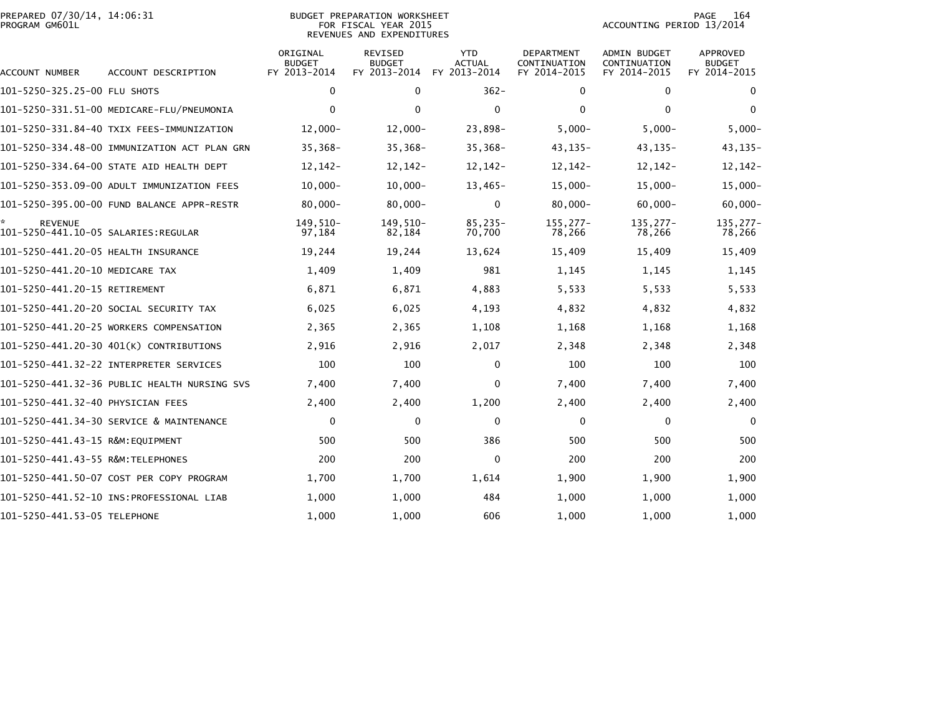| PREPARED 07/30/14, 14:06:31<br>PROGRAM GM601L |                                              | <b>BUDGET PREPARATION WORKSHEET</b><br>FOR FISCAL YEAR 2015<br>REVENUES AND EXPENDITURES | 164<br>PAGE<br>ACCOUNTING PERIOD 13/2014        |                                             |                                            |                                                     |                                                  |
|-----------------------------------------------|----------------------------------------------|------------------------------------------------------------------------------------------|-------------------------------------------------|---------------------------------------------|--------------------------------------------|-----------------------------------------------------|--------------------------------------------------|
| ACCOUNT NUMBER                                | ACCOUNT DESCRIPTION                          | ORIGINAL<br><b>BUDGET</b><br>FY 2013-2014                                                | <b>REVISED</b><br><b>BUDGET</b><br>FY 2013-2014 | <b>YTD</b><br><b>ACTUAL</b><br>FY 2013-2014 | DEPARTMENT<br>CONTINUATION<br>FY 2014-2015 | <b>ADMIN BUDGET</b><br>CONTINUATION<br>FY 2014-2015 | <b>APPROVED</b><br><b>BUDGET</b><br>FY 2014-2015 |
| 101-5250-325.25-00 FLU SHOTS                  |                                              | 0                                                                                        | $\mathbf 0$                                     | $362 -$                                     | 0                                          | 0                                                   | $\mathbf 0$                                      |
|                                               | 101-5250-331.51-00 MEDICARE-FLU/PNEUMONIA    | $\mathbf 0$                                                                              | 0                                               | $\mathbf 0$                                 | 0                                          | $\Omega$                                            | $\mathbf{0}$                                     |
|                                               | 101-5250-331.84-40 TXIX FEES-IMMUNIZATION    | $12,000 -$                                                                               | $12,000 -$                                      | 23,898-                                     | $5,000 -$                                  | $5,000 -$                                           | $5,000 -$                                        |
|                                               | 101-5250-334.48-00 IMMUNIZATION ACT PLAN GRN | $35,368-$                                                                                | $35,368-$                                       | $35,368-$                                   | $43, 135 -$                                | $43, 135 -$                                         | 43, 135-                                         |
|                                               | 101-5250-334.64-00 STATE AID HEALTH DEPT     | 12, 142 -                                                                                | 12,142-                                         | $12, 142 -$                                 | $12, 142 -$                                | $12, 142 -$                                         | $12, 142 -$                                      |
|                                               | 101-5250-353.09-00 ADULT IMMUNIZATION FEES   | $10,000 -$                                                                               | $10,000 -$                                      | $13,465-$                                   | $15,000 -$                                 | $15,000 -$                                          | $15,000 -$                                       |
|                                               |                                              | $80.000 -$                                                                               | $80,000 -$                                      | $\mathbf{0}$                                | $80,000 -$                                 | $60.000 -$                                          | $60,000 -$                                       |
| <b>REVENUE</b>                                |                                              | 149,510-<br>97,184                                                                       | 149,510-<br>82,184                              | 85,235-<br>70,700                           | $155, 277 -$<br>78,266                     | $135, 277 -$<br>78,266                              | 135, 277-<br>78,266                              |
| 101-5250-441.20-05 HEALTH INSURANCE           |                                              | 19,244                                                                                   | 19,244                                          | 13,624                                      | 15,409                                     | 15,409                                              | 15,409                                           |
| 101-5250-441.20-10 MEDICARE TAX               |                                              | 1,409                                                                                    | 1,409                                           | 981                                         | 1,145                                      | 1,145                                               | 1,145                                            |
| 101-5250-441.20-15 RETIREMENT                 |                                              | 6,871                                                                                    | 6,871                                           | 4,883                                       | 5,533                                      | 5,533                                               | 5,533                                            |
|                                               | 101-5250-441.20-20 SOCIAL SECURITY TAX       | 6,025                                                                                    | 6,025                                           | 4,193                                       | 4,832                                      | 4,832                                               | 4,832                                            |
|                                               | 101-5250-441.20-25 WORKERS COMPENSATION      | 2,365                                                                                    | 2,365                                           | 1,108                                       | 1,168                                      | 1,168                                               | 1,168                                            |
|                                               | 101-5250-441.20-30 401(K) CONTRIBUTIONS      | 2,916                                                                                    | 2,916                                           | 2,017                                       | 2,348                                      | 2,348                                               | 2,348                                            |
|                                               |                                              | 100                                                                                      | 100                                             | 0                                           | 100                                        | 100                                                 | 100                                              |
|                                               | 101-5250-441.32-36 PUBLIC HEALTH NURSING SVS | 7,400                                                                                    | 7,400                                           | $\mathbf{0}$                                | 7,400                                      | 7,400                                               | 7,400                                            |
| 101–5250–441.32–40 PHYSICIAN FEES             |                                              | 2,400                                                                                    | 2,400                                           | 1,200                                       | 2,400                                      | 2,400                                               | 2,400                                            |
|                                               | 101-5250-441.34-30 SERVICE & MAINTENANCE     | $\mathbf 0$                                                                              | $\Omega$                                        | $\mathbf 0$                                 | $\mathbf{0}$                               | 0                                                   | $\mathbf{0}$                                     |
| 101–5250–441.43–15 R&M:EOUIPMENT              |                                              | 500                                                                                      | 500                                             | 386                                         | 500                                        | 500                                                 | 500                                              |
|                                               |                                              | 200                                                                                      | 200                                             | 0                                           | 200                                        | 200                                                 | 200                                              |
|                                               | 101-5250-441.50-07 COST PER COPY PROGRAM     | 1,700                                                                                    | 1,700                                           | 1,614                                       | 1,900                                      | 1,900                                               | 1,900                                            |
|                                               |                                              | 1,000                                                                                    | 1,000                                           | 484                                         | 1,000                                      | 1,000                                               | 1,000                                            |
| 101-5250-441.53-05 TELEPHONE                  |                                              | 1,000                                                                                    | 1,000                                           | 606                                         | 1,000                                      | 1,000                                               | 1,000                                            |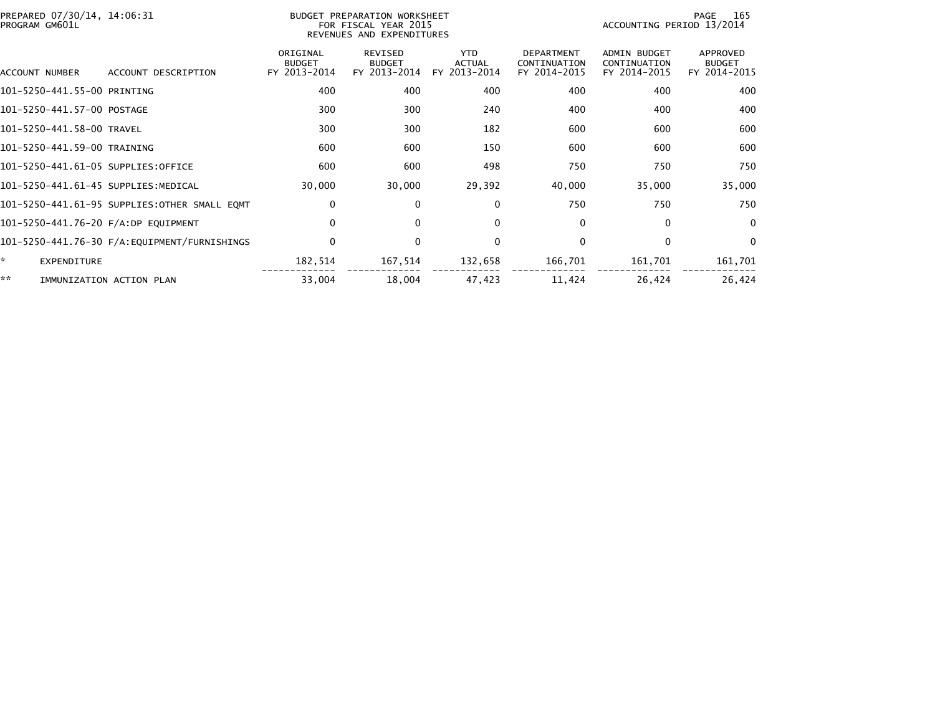| PREPARED 07/30/14, 14:06:31<br>PROGRAM GM601L |                                              |                                           | BUDGET PREPARATION WORKSHEET<br>FOR FISCAL YEAR 2015<br>REVENUES AND EXPENDITURES | PAGE<br>165<br>ACCOUNTING PERIOD 13/2014    |                                                   |                                                     |                                           |
|-----------------------------------------------|----------------------------------------------|-------------------------------------------|-----------------------------------------------------------------------------------|---------------------------------------------|---------------------------------------------------|-----------------------------------------------------|-------------------------------------------|
| ACCOUNT NUMBER                                | ACCOUNT DESCRIPTION                          | ORIGINAL<br><b>BUDGET</b><br>FY 2013-2014 | <b>REVISED</b><br><b>BUDGET</b><br>FY 2013-2014                                   | <b>YTD</b><br><b>ACTUAL</b><br>FY 2013-2014 | <b>DEPARTMENT</b><br>CONTINUATION<br>FY 2014-2015 | <b>ADMIN BUDGET</b><br>CONTINUATION<br>FY 2014-2015 | APPROVED<br><b>BUDGET</b><br>FY 2014-2015 |
| 101-5250-441.55-00 PRINTING                   |                                              | 400                                       | 400                                                                               | 400                                         | 400                                               | 400                                                 | 400                                       |
| 101-5250-441.57-00 POSTAGE                    |                                              | 300                                       | 300                                                                               | 240                                         | 400                                               | 400                                                 | 400                                       |
| 101-5250-441.58-00 TRAVEL                     |                                              | 300                                       | 300                                                                               | 182                                         | 600                                               | 600                                                 | 600                                       |
| 101-5250-441.59-00 TRAINING                   |                                              | 600                                       | 600                                                                               | 150                                         | 600                                               | 600                                                 | 600                                       |
| 101-5250-441.61-05 SUPPLIES:OFFICE            |                                              | 600                                       | 600                                                                               | 498                                         | 750                                               | 750                                                 | 750                                       |
| 101-5250-441.61-45 SUPPLIES:MEDICAL           |                                              | 30,000                                    | 30,000                                                                            | 29,392                                      | 40,000                                            | 35,000                                              | 35,000                                    |
|                                               | 101-5250-441.61-95 SUPPLIES:OTHER SMALL EQMT | 0                                         | $\bf{0}$                                                                          | $\mathbf{0}$                                | 750                                               | 750                                                 | 750                                       |
| 101-5250-441.76-20 F/A:DP EQUIPMENT           |                                              | $\mathbf 0$                               | $\mathbf{0}$                                                                      | 0                                           | 0                                                 | 0                                                   | $\Omega$                                  |
|                                               |                                              | $\mathbf 0$                               | $\mathbf{0}$                                                                      | $\mathbf{0}$                                | 0                                                 | $\mathbf{0}$                                        | $\overline{0}$                            |
| ×.<br><b>EXPENDITURE</b>                      |                                              | 182,514                                   | 167,514                                                                           | 132,658                                     | 166,701                                           | 161,701                                             | 161,701                                   |
| **                                            | IMMUNIZATION ACTION PLAN                     | 33,004                                    | 18,004                                                                            | 47,423                                      | 11,424                                            | 26,424                                              | 26,424                                    |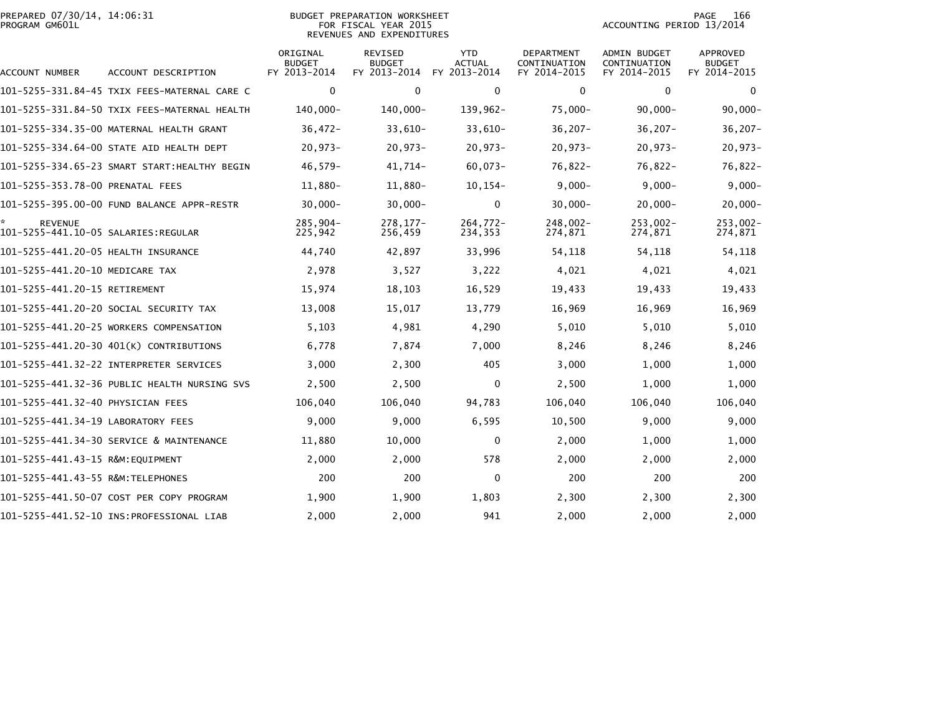| PREPARED 07/30/14, 14:06:31<br>PROGRAM GM601L |                                              | <b>BUDGET PREPARATION WORKSHEET</b><br>FOR FISCAL YEAR 2015<br>REVENUES AND EXPENDITURES |                                                 | 166<br>PAGE<br>ACCOUNTING PERIOD 13/2014    |                                            |                                              |                                           |
|-----------------------------------------------|----------------------------------------------|------------------------------------------------------------------------------------------|-------------------------------------------------|---------------------------------------------|--------------------------------------------|----------------------------------------------|-------------------------------------------|
| ACCOUNT NUMBER                                | ACCOUNT DESCRIPTION                          | ORIGINAL<br><b>BUDGET</b><br>FY 2013-2014                                                | <b>REVISED</b><br><b>BUDGET</b><br>FY 2013-2014 | <b>YTD</b><br><b>ACTUAL</b><br>FY 2013-2014 | DEPARTMENT<br>CONTINUATION<br>FY 2014-2015 | ADMIN BUDGET<br>CONTINUATION<br>FY 2014-2015 | APPROVED<br><b>BUDGET</b><br>FY 2014-2015 |
|                                               | 101-5255-331.84-45 TXIX FEES-MATERNAL CARE C | 0                                                                                        | $\mathbf 0$                                     | 0                                           | $\mathbf 0$                                | $\mathbf 0$                                  | $\mathbf 0$                               |
|                                               | 101-5255-331.84-50 TXIX FEES-MATERNAL HEALTH | 140,000-                                                                                 | 140,000-                                        | 139,962-                                    | $75,000 -$                                 | $90,000 -$                                   | $90,000 -$                                |
|                                               | 101-5255-334.35-00 MATERNAL HEALTH GRANT     | $36,472-$                                                                                | $33,610-$                                       | $33,610-$                                   | $36, 207 -$                                | $36,207 -$                                   | $36, 207 -$                               |
|                                               | 101-5255-334.64-00 STATE AID HEALTH DEPT     | $20,973-$                                                                                | $20,973-$                                       | $20,973-$                                   | $20,973-$                                  | $20,973-$                                    | $20,973-$                                 |
|                                               |                                              | $46,579-$                                                                                | $41,714-$                                       | $60,073-$                                   | $76,822 -$                                 | $76,822 -$                                   | 76,822-                                   |
| 101-5255-353.78-00 PRENATAL FEES              |                                              | 11,880-                                                                                  | 11,880-                                         | $10, 154 -$                                 | $9,000 -$                                  | $9,000 -$                                    | $9,000 -$                                 |
|                                               | 101-5255-395.00-00 FUND BALANCE APPR-RESTR   | $30,000 -$                                                                               | $30,000 -$                                      | $\mathbf{0}$                                | $30,000 -$                                 | $20,000 -$                                   | $20,000 -$                                |
| <b>REVENUE</b>                                |                                              | 285,904-<br>225,942                                                                      | $278, 177 -$<br>256,459                         | $264,772-$<br>234,353                       | $248,002 -$<br>274,871                     | $253,002 -$<br>274,871                       | $253,002 -$<br>274,871                    |
| 101-5255-441.20-05 HEALTH INSURANCE           |                                              | 44,740                                                                                   | 42,897                                          | 33,996                                      | 54,118                                     | 54,118                                       | 54,118                                    |
| 101-5255-441.20-10 MEDICARE TAX               |                                              | 2,978                                                                                    | 3,527                                           | 3,222                                       | 4,021                                      | 4,021                                        | 4,021                                     |
| 101-5255-441.20-15 RETIREMENT                 |                                              | 15,974                                                                                   | 18,103                                          | 16,529                                      | 19,433                                     | 19,433                                       | 19,433                                    |
|                                               | 101-5255-441.20-20 SOCIAL SECURITY TAX       | 13,008                                                                                   | 15,017                                          | 13,779                                      | 16,969                                     | 16,969                                       | 16,969                                    |
|                                               | 101-5255-441.20-25 WORKERS COMPENSATION      | 5,103                                                                                    | 4,981                                           | 4,290                                       | 5,010                                      | 5,010                                        | 5,010                                     |
|                                               | 101-5255-441.20-30 401(K) CONTRIBUTIONS      | 6,778                                                                                    | 7,874                                           | 7,000                                       | 8,246                                      | 8,246                                        | 8,246                                     |
|                                               |                                              | 3,000                                                                                    | 2,300                                           | 405                                         | 3,000                                      | 1,000                                        | 1,000                                     |
|                                               | 101-5255-441.32-36 PUBLIC HEALTH NURSING SVS | 2,500                                                                                    | 2,500                                           | $\mathbf 0$                                 | 2,500                                      | 1,000                                        | 1,000                                     |
| 101–5255–441.32–40 PHYSICIAN FEES             |                                              | 106,040                                                                                  | 106,040                                         | 94,783                                      | 106,040                                    | 106,040                                      | 106,040                                   |
| 101-5255-441.34-19 LABORATORY FEES            |                                              | 9,000                                                                                    | 9,000                                           | 6,595                                       | 10,500                                     | 9,000                                        | 9,000                                     |
|                                               | 101-5255-441.34-30 SERVICE & MAINTENANCE     | 11,880                                                                                   | 10,000                                          | $\mathbf{0}$                                | 2,000                                      | 1,000                                        | 1,000                                     |
| 101-5255-441.43-15 R&M:EQUIPMENT              |                                              | 2,000                                                                                    | 2,000                                           | 578                                         | 2,000                                      | 2,000                                        | 2,000                                     |
| 101-5255-441.43-55 R&M:TELEPHONES             |                                              | 200                                                                                      | 200                                             | 0                                           | 200                                        | 200                                          | 200                                       |
|                                               | 101-5255-441.50-07 COST PER COPY PROGRAM     | 1,900                                                                                    | 1,900                                           | 1,803                                       | 2,300                                      | 2,300                                        | 2,300                                     |
|                                               |                                              | 2,000                                                                                    | 2,000                                           | 941                                         | 2,000                                      | 2,000                                        | 2,000                                     |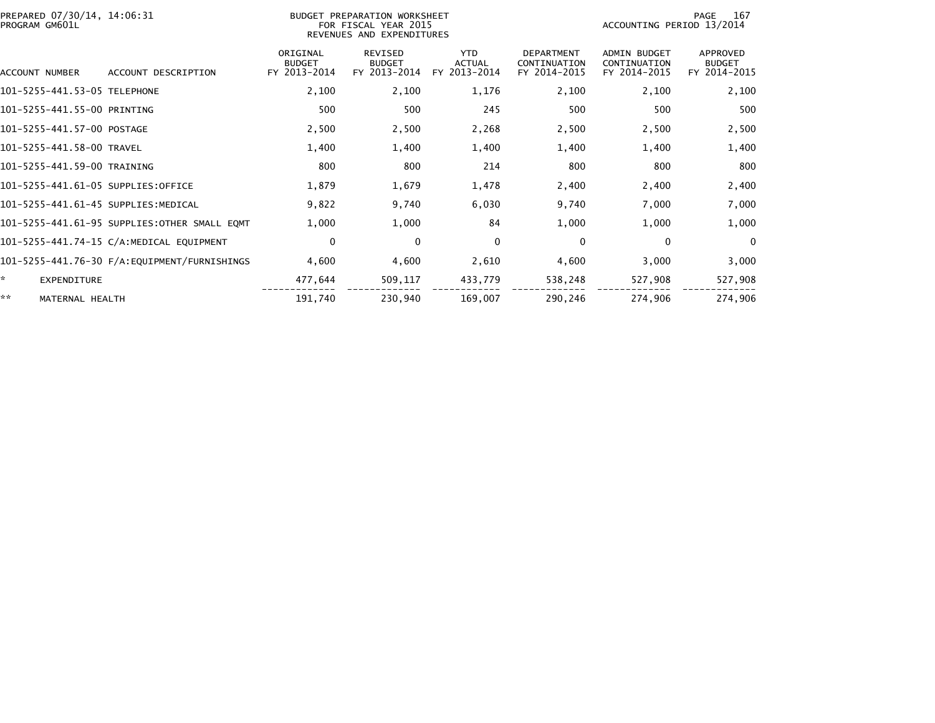| PREPARED 07/30/14, 14:06:31<br>PROGRAM GM601L |                                              |                                           | BUDGET PREPARATION WORKSHEET<br>FOR FISCAL YEAR 2015<br>REVENUES AND EXPENDITURES | PAGE<br>-167<br>ACCOUNTING PERIOD 13/2014   |                                                   |                                                     |                                           |
|-----------------------------------------------|----------------------------------------------|-------------------------------------------|-----------------------------------------------------------------------------------|---------------------------------------------|---------------------------------------------------|-----------------------------------------------------|-------------------------------------------|
| ACCOUNT NUMBER                                | ACCOUNT DESCRIPTION                          | ORIGINAL<br><b>BUDGET</b><br>FY 2013-2014 | <b>REVISED</b><br><b>BUDGET</b><br>FY 2013-2014                                   | <b>YTD</b><br><b>ACTUAL</b><br>FY 2013-2014 | <b>DEPARTMENT</b><br>CONTINUATION<br>FY 2014-2015 | <b>ADMIN BUDGET</b><br>CONTINUATION<br>FY 2014-2015 | APPROVED<br><b>BUDGET</b><br>FY 2014-2015 |
| 101-5255-441.53-05 TELEPHONE                  |                                              | 2,100                                     | 2,100                                                                             | 1,176                                       | 2,100                                             | 2,100                                               | 2,100                                     |
| 101-5255-441.55-00 PRINTING                   |                                              | 500                                       | 500                                                                               | 245                                         | 500                                               | 500                                                 | 500                                       |
| 101-5255-441.57-00 POSTAGE                    |                                              | 2,500                                     | 2,500                                                                             | 2,268                                       | 2,500                                             | 2,500                                               | 2,500                                     |
| 101-5255-441.58-00 TRAVEL                     |                                              | 1,400                                     | 1,400                                                                             | 1,400                                       | 1,400                                             | 1,400                                               | 1,400                                     |
| 101-5255-441.59-00 TRAINING                   |                                              | 800                                       | 800                                                                               | 214                                         | 800                                               | 800                                                 | 800                                       |
| 101-5255-441.61-05 SUPPLIES:OFFICE            |                                              | 1,879                                     | 1,679                                                                             | 1,478                                       | 2,400                                             | 2,400                                               | 2,400                                     |
| 101-5255-441.61-45 SUPPLIES:MEDICAL           |                                              | 9,822                                     | 9,740                                                                             | 6,030                                       | 9,740                                             | 7,000                                               | 7,000                                     |
|                                               | 101-5255-441.61-95 SUPPLIES:OTHER SMALL EQMT | 1,000                                     | 1,000                                                                             | 84                                          | 1,000                                             | 1,000                                               | 1,000                                     |
|                                               | 101-5255-441.74-15 C/A:MEDICAL EQUIPMENT     | 0                                         | $\mathbf{0}$                                                                      | $\mathbf{0}$                                | $\mathbf{0}$                                      | $\Omega$                                            | $\Omega$                                  |
|                                               |                                              | 4,600                                     | 4,600                                                                             | 2,610                                       | 4,600                                             | 3,000                                               | 3,000                                     |
| ÷.<br><b>EXPENDITURE</b>                      |                                              | 477,644                                   | 509,117                                                                           | 433,779                                     | 538,248                                           | 527,908                                             | 527,908                                   |
| **<br>MATERNAL HEALTH                         |                                              | 191,740                                   | 230,940                                                                           | 169,007                                     | 290,246                                           | 274,906                                             | 274,906                                   |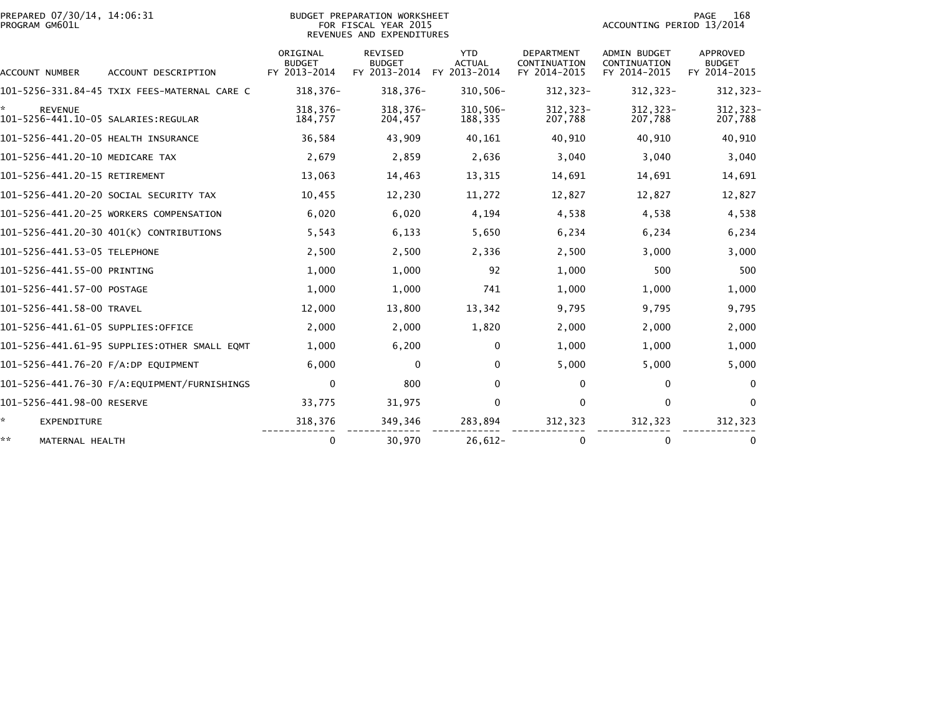| PREPARED 07/30/14, 14:06:31<br>PROGRAM GM601L |                                              | BUDGET PREPARATION WORKSHEET<br>FOR FISCAL YEAR 2015<br>REVENUES AND EXPENDITURES |                                                 |                                             |                                                   | 168<br>PAGE<br>ACCOUNTING PERIOD 13/2014            |                                           |  |
|-----------------------------------------------|----------------------------------------------|-----------------------------------------------------------------------------------|-------------------------------------------------|---------------------------------------------|---------------------------------------------------|-----------------------------------------------------|-------------------------------------------|--|
| ACCOUNT NUMBER                                | ACCOUNT DESCRIPTION                          | ORIGINAL<br><b>BUDGET</b><br>FY 2013-2014                                         | <b>REVISED</b><br><b>BUDGET</b><br>FY 2013-2014 | <b>YTD</b><br><b>ACTUAL</b><br>FY 2013-2014 | <b>DEPARTMENT</b><br>CONTINUATION<br>FY 2014-2015 | <b>ADMIN BUDGET</b><br>CONTINUATION<br>FY 2014-2015 | APPROVED<br><b>BUDGET</b><br>FY 2014-2015 |  |
|                                               | 101-5256-331.84-45 TXIX FEES-MATERNAL CARE C | $318.376 -$                                                                       | $318,376-$                                      | $310.506 -$                                 | 312,323-                                          | $312, 323 -$                                        | 312, 323-                                 |  |
| ÷.<br><b>REVENUE</b>                          |                                              | 318,376-<br>184,757                                                               | 318, 376-<br>204,457                            | $310,506 -$<br>188,335                      | 312, 323-<br>207,788                              | $312, 323 -$<br>207,788                             | 312, 323-<br>207,788                      |  |
| 101-5256-441.20-05 HEALTH INSURANCE           |                                              | 36,584                                                                            | 43,909                                          | 40,161                                      | 40,910                                            | 40,910                                              | 40,910                                    |  |
| 101-5256-441.20-10 MEDICARE TAX               |                                              | 2,679                                                                             | 2,859                                           | 2,636                                       | 3,040                                             | 3,040                                               | 3,040                                     |  |
| 101-5256-441.20-15 RETIREMENT                 |                                              | 13,063                                                                            | 14,463                                          | 13,315                                      | 14,691                                            | 14,691                                              | 14,691                                    |  |
|                                               | 101-5256-441.20-20 SOCIAL SECURITY TAX       | 10,455                                                                            | 12,230                                          | 11,272                                      | 12,827                                            | 12,827                                              | 12,827                                    |  |
|                                               | 101-5256-441.20-25 WORKERS COMPENSATION      | 6,020                                                                             | 6,020                                           | 4,194                                       | 4,538                                             | 4,538                                               | 4,538                                     |  |
|                                               | 101-5256-441.20-30 401(K) CONTRIBUTIONS      | 5,543                                                                             | 6,133                                           | 5,650                                       | 6,234                                             | 6,234                                               | 6,234                                     |  |
| 101-5256-441.53-05 TELEPHONE                  |                                              | 2,500                                                                             | 2,500                                           | 2,336                                       | 2,500                                             | 3,000                                               | 3,000                                     |  |
| 101-5256-441.55-00 PRINTING                   |                                              | 1,000                                                                             | 1,000                                           | 92                                          | 1.000                                             | 500                                                 | 500                                       |  |
| 101-5256-441.57-00 POSTAGE                    |                                              | 1,000                                                                             | 1,000                                           | 741                                         | 1,000                                             | 1,000                                               | 1,000                                     |  |
| 101-5256-441.58-00 TRAVEL                     |                                              | 12,000                                                                            | 13,800                                          | 13,342                                      | 9,795                                             | 9,795                                               | 9,795                                     |  |
| 101-5256-441.61-05 SUPPLIES:OFFICE            |                                              | 2,000                                                                             | 2,000                                           | 1,820                                       | 2,000                                             | 2,000                                               | 2,000                                     |  |
|                                               | 101-5256-441.61-95 SUPPLIES:OTHER SMALL EQMT | 1,000                                                                             | 6,200                                           | $\mathbf 0$                                 | 1,000                                             | 1,000                                               | 1,000                                     |  |
| 101-5256-441.76-20 F/A:DP EQUIPMENT           |                                              | 6,000                                                                             | $\mathbf{0}$                                    | $\mathbf{0}$                                | 5,000                                             | 5,000                                               | 5,000                                     |  |
|                                               | 101-5256-441.76-30 F/A:EQUIPMENT/FURNISHINGS | $\mathbf 0$                                                                       | 800                                             | $\mathbf{0}$                                | $\Omega$                                          | 0                                                   | $\Omega$                                  |  |
| 101-5256-441.98-00 RESERVE                    |                                              | 33,775                                                                            | 31,975                                          | $\mathbf 0$                                 | 0                                                 | 0                                                   | 0                                         |  |
| ÷.<br><b>EXPENDITURE</b>                      |                                              | 318,376                                                                           | 349,346                                         | 283,894                                     | 312,323                                           | 312,323                                             | 312,323                                   |  |
| **<br>MATERNAL HEALTH                         |                                              | 0                                                                                 | 30,970                                          | $26,612-$                                   | 0                                                 | $\Omega$                                            | $\bf{0}$                                  |  |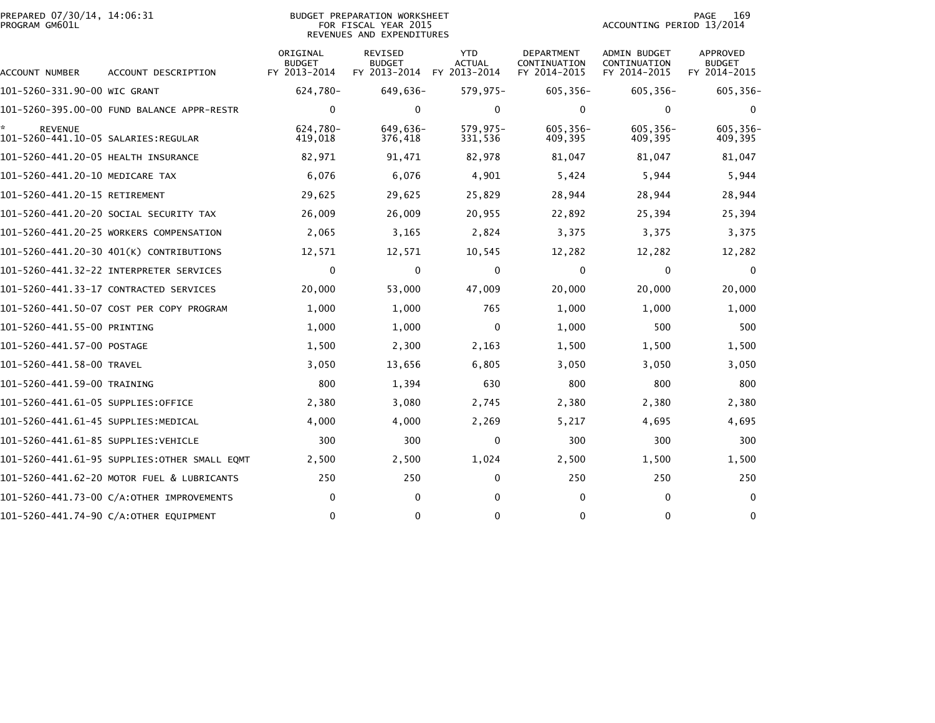| PREPARED 07/30/14, 14:06:31<br>PROGRAM GM601L |                                            | <b>BUDGET PREPARATION WORKSHEET</b><br>FOR FISCAL YEAR 2015<br>REVENUES AND EXPENDITURES |                                                 |                                             |                                            |                                              |                                                  |  |
|-----------------------------------------------|--------------------------------------------|------------------------------------------------------------------------------------------|-------------------------------------------------|---------------------------------------------|--------------------------------------------|----------------------------------------------|--------------------------------------------------|--|
| ACCOUNT NUMBER                                | ACCOUNT DESCRIPTION                        | ORIGINAL<br><b>BUDGET</b><br>FY 2013-2014                                                | <b>REVISED</b><br><b>BUDGET</b><br>FY 2013-2014 | <b>YTD</b><br><b>ACTUAL</b><br>FY 2013-2014 | DEPARTMENT<br>CONTINUATION<br>FY 2014-2015 | ADMIN BUDGET<br>CONTINUATION<br>FY 2014-2015 | <b>APPROVED</b><br><b>BUDGET</b><br>FY 2014-2015 |  |
| 101-5260-331.90-00 WIC GRANT                  |                                            | 624,780-                                                                                 | 649,636-                                        | $579,975-$                                  | 605,356-                                   | $605, 356 -$                                 | 605,356-                                         |  |
|                                               | 101-5260-395.00-00 FUND BALANCE APPR-RESTR | $\mathbf 0$                                                                              | 0                                               | $\mathbf 0$                                 | $\Omega$                                   | $\mathbf 0$                                  | 0                                                |  |
| <b>REVENUE</b>                                |                                            | 624,780-<br>419,018                                                                      | 649,636-<br>376,418                             | $579,975-$<br>331,536                       | 605,356-<br>409,395                        | 605,356-<br>409,395                          | 605,356-<br>409,395                              |  |
| 101-5260-441.20-05 HEALTH INSURANCE           |                                            | 82,971                                                                                   | 91,471                                          | 82,978                                      | 81,047                                     | 81,047                                       | 81,047                                           |  |
| 101-5260-441.20-10 MEDICARE TAX               |                                            | 6,076                                                                                    | 6,076                                           | 4,901                                       | 5,424                                      | 5,944                                        | 5,944                                            |  |
| 101-5260-441.20-15 RETIREMENT                 |                                            | 29,625                                                                                   | 29,625                                          | 25,829                                      | 28,944                                     | 28,944                                       | 28,944                                           |  |
|                                               | 101-5260-441.20-20 SOCIAL SECURITY TAX     | 26,009                                                                                   | 26,009                                          | 20,955                                      | 22,892                                     | 25,394                                       | 25,394                                           |  |
|                                               | 101-5260-441.20-25 WORKERS COMPENSATION    | 2,065                                                                                    | 3,165                                           | 2,824                                       | 3,375                                      | 3,375                                        | 3,375                                            |  |
|                                               | 101-5260-441.20-30 401(K) CONTRIBUTIONS    | 12,571                                                                                   | 12,571                                          | 10,545                                      | 12,282                                     | 12,282                                       | 12,282                                           |  |
|                                               |                                            | 0                                                                                        | $\mathbf{0}$                                    | $\mathbf{0}$                                | $\mathbf{0}$                               | 0                                            | $\Omega$                                         |  |
|                                               | 101-5260-441.33-17 CONTRACTED SERVICES     | 20,000                                                                                   | 53,000                                          | 47,009                                      | 20,000                                     | 20,000                                       | 20,000                                           |  |
|                                               | 101-5260-441.50-07 COST PER COPY PROGRAM   | 1,000                                                                                    | 1,000                                           | 765                                         | 1,000                                      | 1,000                                        | 1,000                                            |  |
| 101-5260-441.55-00 PRINTING                   |                                            | 1,000                                                                                    | 1,000                                           | $\Omega$                                    | 1,000                                      | 500                                          | 500                                              |  |
| 101-5260-441.57-00 POSTAGE                    |                                            | 1,500                                                                                    | 2,300                                           | 2,163                                       | 1,500                                      | 1,500                                        | 1,500                                            |  |
| 101-5260-441.58-00 TRAVEL                     |                                            | 3,050                                                                                    | 13,656                                          | 6,805                                       | 3,050                                      | 3,050                                        | 3,050                                            |  |
| 101-5260-441.59-00 TRAINING                   |                                            | 800                                                                                      | 1,394                                           | 630                                         | 800                                        | 800                                          | 800                                              |  |
| 101–5260–441.61–05 SUPPLIES:OFFICE            |                                            | 2,380                                                                                    | 3,080                                           | 2,745                                       | 2,380                                      | 2,380                                        | 2,380                                            |  |
| 101-5260-441.61-45 SUPPLIES:MEDICAL           |                                            | 4,000                                                                                    | 4,000                                           | 2,269                                       | 5,217                                      | 4,695                                        | 4,695                                            |  |
| 101–5260–441.61–85 SUPPLIES:VEHICLE           |                                            | 300                                                                                      | 300                                             | $\mathbf{0}$                                | 300                                        | 300                                          | 300                                              |  |
|                                               |                                            | 2,500                                                                                    | 2,500                                           | 1,024                                       | 2,500                                      | 1,500                                        | 1,500                                            |  |
|                                               | 101-5260-441.62-20 MOTOR FUEL & LUBRICANTS | 250                                                                                      | 250                                             | 0                                           | 250                                        | 250                                          | 250                                              |  |
|                                               | 101-5260-441.73-00 C/A:OTHER IMPROVEMENTS  | 0                                                                                        | $\Omega$                                        | $\Omega$                                    | $\Omega$                                   | $\mathbf{0}$                                 | $\Omega$                                         |  |
|                                               | 101-5260-441.74-90 C/A:OTHER EQUIPMENT     | $\mathbf 0$                                                                              | $\mathbf{0}$                                    | 0                                           | $\Omega$                                   | $\mathbf{0}$                                 | $\mathbf{0}$                                     |  |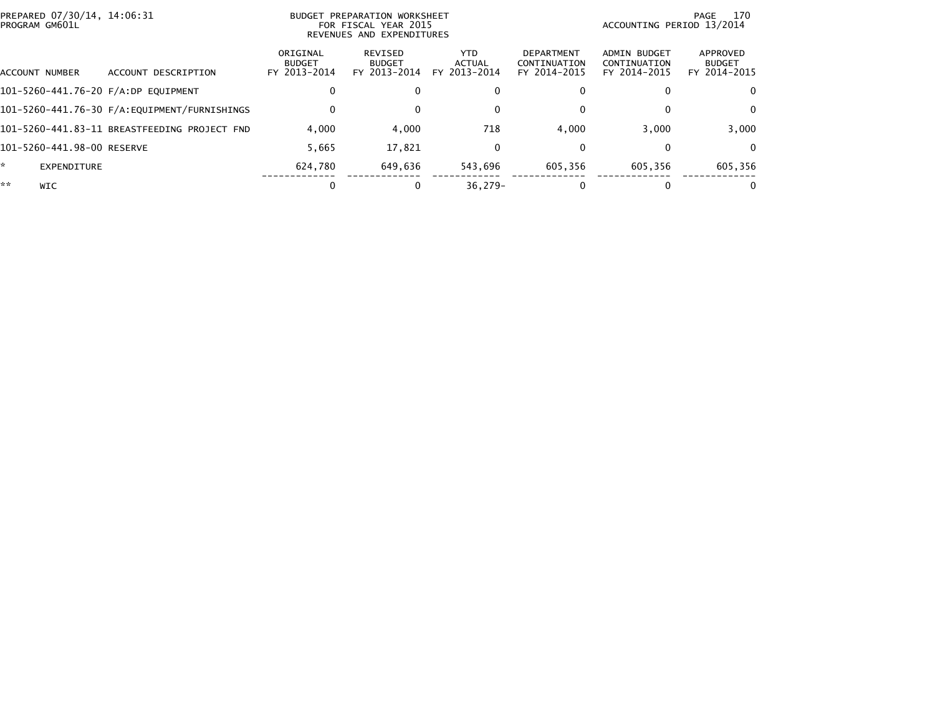| PREPARED 07/30/14, 14:06:31<br>PROGRAM GM601L |                                              |                                           | BUDGET PREPARATION WORKSHEET<br>FOR FISCAL YEAR 2015<br>REVENUES AND EXPENDITURES | 170<br>PAGE<br>ACCOUNTING PERIOD 13/2014 |                                                   |                                              |                                           |
|-----------------------------------------------|----------------------------------------------|-------------------------------------------|-----------------------------------------------------------------------------------|------------------------------------------|---------------------------------------------------|----------------------------------------------|-------------------------------------------|
| ACCOUNT NUMBER                                | DESCRIPTION<br><b>ACCOUNT</b>                | ORIGINAL<br><b>BUDGET</b><br>FY 2013-2014 | REVISED<br><b>BUDGET</b><br>FY 2013-2014                                          | YTD.<br><b>ACTUAL</b><br>FY 2013-2014    | <b>DEPARTMENT</b><br>CONTINUATION<br>FY 2014-2015 | ADMIN BUDGET<br>CONTINUATION<br>FY 2014-2015 | APPROVED<br><b>BUDGET</b><br>FY 2014-2015 |
|                                               | 101-5260-441.76-20 F/A:DP EQUIPMENT          | 0                                         |                                                                                   | $\mathbf{0}$                             |                                                   |                                              | $\Omega$                                  |
|                                               | 101-5260-441.76-30 F/A:EQUIPMENT/FURNISHINGS | 0                                         |                                                                                   | $\bf{0}$                                 |                                                   |                                              | $\Omega$                                  |
|                                               | 101-5260-441.83-11 BREASTFEEDING PROJECT FND | 4.000                                     | 4,000                                                                             | 718                                      | 4,000                                             | 3.000                                        | 3,000                                     |
| 101-5260-441.98-00 RESERVE                    |                                              | 5,665                                     | 17.821                                                                            | 0                                        | 0                                                 |                                              | 0                                         |
| ÷.<br>EXPENDITURE                             |                                              | 624.780                                   | 649.636                                                                           | 543.696                                  | 605.356                                           | 605.356                                      | 605,356                                   |
| **<br><b>WIC</b>                              |                                              | 0                                         |                                                                                   | $36.279 -$                               |                                                   |                                              |                                           |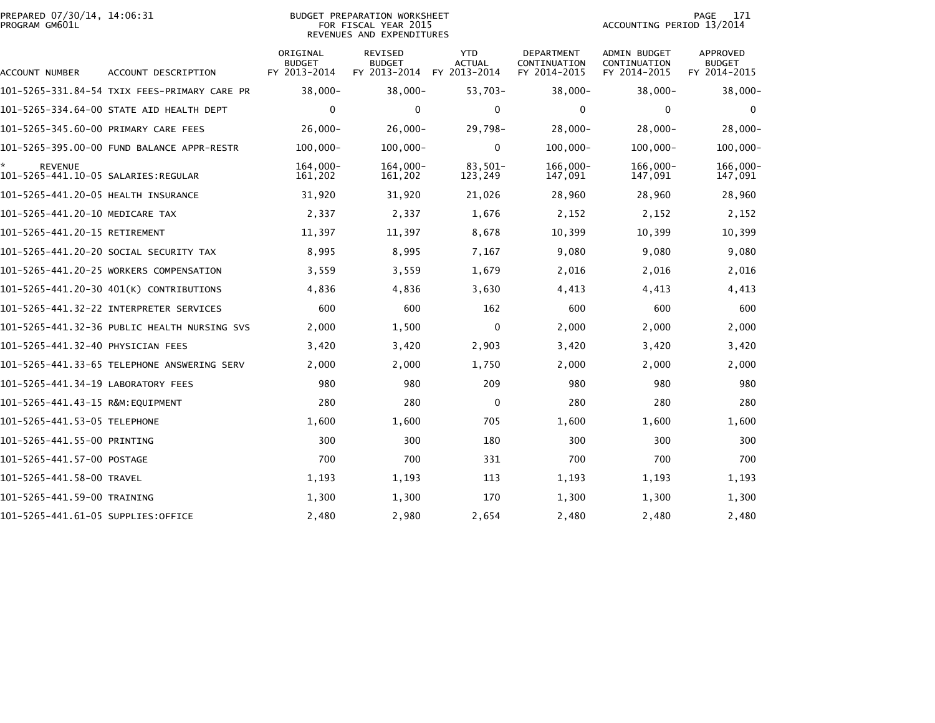|                | PREPARED 07/30/14, 14:06:31 |  |
|----------------|-----------------------------|--|
| PROGRAM GM601L |                             |  |

## PREPARED 07/30/14, 14:06:31 BUDGET PREPARATION WORKSHEET PAGE 171PROGRAM GM601L FOR FISCAL YEAR 2015 ACCOUNTING PERIOD 13/2014REVENUES AND EXPENDITURES

PAGE 171<br>ACCOUNTING PERIOD 13/2014

| ACCOUNT NUMBER                                        | ACCOUNT DESCRIPTION                          | ORIGINAL<br><b>BUDGET</b><br>FY 2013-2014 | REVISED<br><b>BUDGET</b><br>FY 2013-2014 | <b>YTD</b><br><b>ACTUAL</b><br>FY 2013-2014 | <b>DEPARTMENT</b><br>CONTINUATION<br>FY 2014-2015 | ADMIN BUDGET<br>CONTINUATION<br>FY 2014-2015 | APPROVED<br><b>BUDGET</b><br>FY 2014-2015 |
|-------------------------------------------------------|----------------------------------------------|-------------------------------------------|------------------------------------------|---------------------------------------------|---------------------------------------------------|----------------------------------------------|-------------------------------------------|
|                                                       | 101-5265-331.84-54 TXIX FEES-PRIMARY CARE PR | $38.000 -$                                | $38,000 -$                               | $53.703 -$                                  | $38,000 -$                                        | $38.000 -$                                   | $38,000 -$                                |
|                                                       | 101-5265-334.64-00 STATE AID HEALTH DEPT     | 0                                         | $\mathbf 0$                              | $\mathbf 0$                                 | $\mathbf 0$                                       | 0                                            | 0                                         |
| 101-5265-345.60-00 PRIMARY CARE FEES                  |                                              | $26,000 -$                                | $26,000 -$                               | 29,798-                                     | $28,000 -$                                        | $28,000 -$                                   | 28,000-                                   |
|                                                       | 101-5265-395.00-00 FUND BALANCE APPR-RESTR   | $100,000 -$                               | $100,000 -$                              | $\mathbf{0}$                                | $100,000 -$                                       | $100,000 -$                                  | $100,000 -$                               |
| <b>REVENUE</b><br>101-5265-441.10-05 SALARIES:REGULAR |                                              | $164.000 -$<br>161,202                    | $164.000 -$<br>161,202                   | $83.501 -$<br>123,249                       | $166.000 -$<br>147,091                            | $166.000 -$<br>147,091                       | $166.000 -$<br>147,091                    |
| 101-5265-441.20-05 HEALTH INSURANCE                   |                                              | 31,920                                    | 31,920                                   | 21,026                                      | 28,960                                            | 28,960                                       | 28,960                                    |
| 101-5265-441.20-10 MEDICARE TAX                       |                                              | 2,337                                     | 2,337                                    | 1,676                                       | 2,152                                             | 2,152                                        | 2,152                                     |
| 101-5265-441.20-15 RETIREMENT                         |                                              | 11,397                                    | 11,397                                   | 8,678                                       | 10,399                                            | 10,399                                       | 10,399                                    |
|                                                       | 101-5265-441.20-20 SOCIAL SECURITY TAX       | 8,995                                     | 8,995                                    | 7,167                                       | 9,080                                             | 9,080                                        | 9,080                                     |
|                                                       | 101-5265-441.20-25 WORKERS COMPENSATION      | 3,559                                     | 3,559                                    | 1,679                                       | 2,016                                             | 2,016                                        | 2,016                                     |
|                                                       | 101-5265-441.20-30 401(K) CONTRIBUTIONS      | 4,836                                     | 4,836                                    | 3,630                                       | 4,413                                             | 4,413                                        | 4,413                                     |
|                                                       | 101-5265-441.32-22 INTERPRETER SERVICES      | 600                                       | 600                                      | 162                                         | 600                                               | 600                                          | 600                                       |
|                                                       | 101-5265-441.32-36 PUBLIC HEALTH NURSING SVS | 2,000                                     | 1,500                                    | $\mathbf 0$                                 | 2,000                                             | 2,000                                        | 2,000                                     |
| 101-5265-441.32-40 PHYSICIAN FEES                     |                                              | 3,420                                     | 3,420                                    | 2,903                                       | 3,420                                             | 3,420                                        | 3,420                                     |
|                                                       | 101-5265-441.33-65 TELEPHONE ANSWERING SERV  | 2,000                                     | 2,000                                    | 1,750                                       | 2,000                                             | 2,000                                        | 2,000                                     |
| 101-5265-441.34-19 LABORATORY FEES                    |                                              | 980                                       | 980                                      | 209                                         | 980                                               | 980                                          | 980                                       |
| 101-5265-441.43-15 R&M:EQUIPMENT                      |                                              | 280                                       | 280                                      | 0                                           | 280                                               | 280                                          | 280                                       |
| 101-5265-441.53-05 TELEPHONE                          |                                              | 1,600                                     | 1,600                                    | 705                                         | 1,600                                             | 1,600                                        | 1,600                                     |
| 101-5265-441.55-00 PRINTING                           |                                              | 300                                       | 300                                      | 180                                         | 300                                               | 300                                          | 300                                       |
| 101-5265-441.57-00 POSTAGE                            |                                              | 700                                       | 700                                      | 331                                         | 700                                               | 700                                          | 700                                       |
| 101-5265-441.58-00 TRAVEL                             |                                              | 1,193                                     | 1,193                                    | 113                                         | 1,193                                             | 1,193                                        | 1,193                                     |
| 101-5265-441.59-00 TRAINING                           |                                              | 1,300                                     | 1,300                                    | 170                                         | 1,300                                             | 1,300                                        | 1,300                                     |
| 101-5265-441.61-05 SUPPLIES:OFFICE                    |                                              | 2,480                                     | 2,980                                    | 2,654                                       | 2,480                                             | 2,480                                        | 2,480                                     |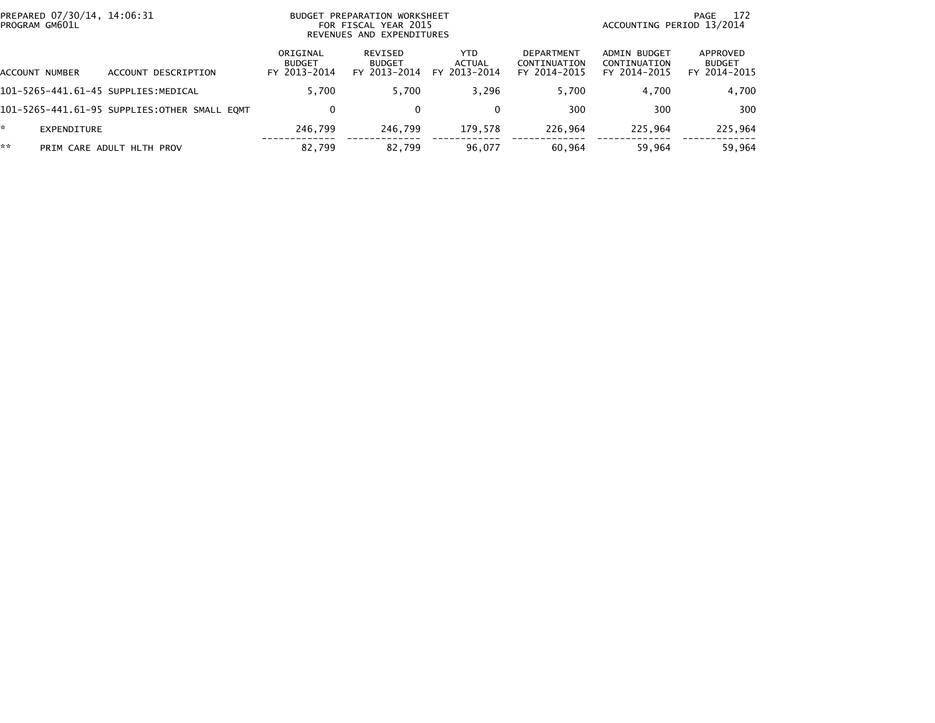| PREPARED 07/30/14, 14:06:31<br>PROGRAM GM601L |                                              | BUDGET PREPARATION WORKSHEET<br>FOR FISCAL YEAR 2015<br>REVENUES AND EXPENDITURES |                                          |                                      |                                            | 172<br>PAGE<br>ACCOUNTING PERIOD 13/2014     |                                           |  |
|-----------------------------------------------|----------------------------------------------|-----------------------------------------------------------------------------------|------------------------------------------|--------------------------------------|--------------------------------------------|----------------------------------------------|-------------------------------------------|--|
| ACCOUNT NUMBER                                | ACCOUNT DESCRIPTION                          | ORIGINAL<br><b>BUDGET</b><br>FY 2013-2014                                         | REVISED<br><b>BUDGET</b><br>FY 2013-2014 | <b>YTD</b><br>ACTUAL<br>FY 2013-2014 | DEPARTMENT<br>CONTINUATION<br>FY 2014-2015 | ADMIN BUDGET<br>CONTINUATION<br>FY 2014-2015 | APPROVED<br><b>BUDGET</b><br>FY 2014-2015 |  |
| 101-5265-441.61-45 SUPPLIES:MEDICAL           |                                              | 5.700                                                                             | 5.700                                    | 3.296                                | 5.700                                      | 4.700                                        | 4,700                                     |  |
|                                               | 101-5265-441.61-95 SUPPLIES:OTHER SMALL EOMT | 0                                                                                 |                                          | $\Omega$                             | 300                                        | 300                                          | 300                                       |  |
| *.<br>EXPENDITURE                             |                                              | 246.799                                                                           | 246.799                                  | 179.578                              | 226.964                                    | 225.964                                      | 225,964                                   |  |
| **                                            | PRIM CARE ADULT HLTH PROV                    | 82,799                                                                            | 82.799                                   | 96,077                               | 60,964                                     | 59.964                                       | 59,964                                    |  |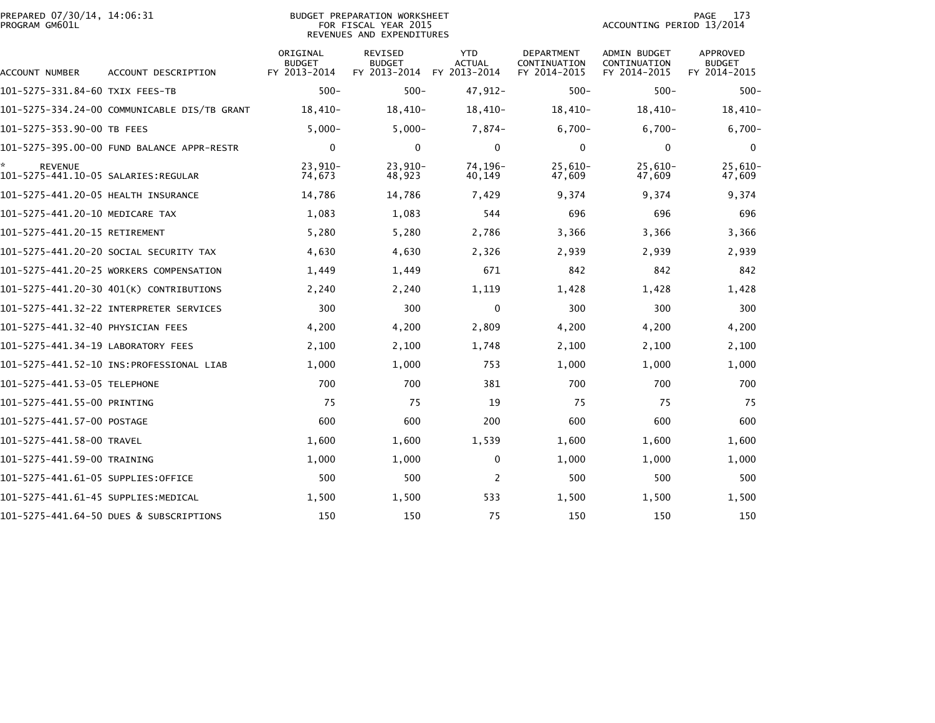| PREPARED 07/30/14, 14:06:31<br>PROGRAM GM601L         |                                              |                                           | <b>BUDGET PREPARATION WORKSHEET</b><br>FOR FISCAL YEAR 2015<br>REVENUES AND EXPENDITURES |                                             | 173<br>PAGE<br>ACCOUNTING PERIOD 13/2014   |                                              |                                           |  |
|-------------------------------------------------------|----------------------------------------------|-------------------------------------------|------------------------------------------------------------------------------------------|---------------------------------------------|--------------------------------------------|----------------------------------------------|-------------------------------------------|--|
| ACCOUNT NUMBER                                        | ACCOUNT DESCRIPTION                          | ORIGINAL<br><b>BUDGET</b><br>FY 2013-2014 | REVISED<br><b>BUDGET</b><br>FY 2013-2014                                                 | <b>YTD</b><br><b>ACTUAL</b><br>FY 2013-2014 | DEPARTMENT<br>CONTINUATION<br>FY 2014-2015 | ADMIN BUDGET<br>CONTINUATION<br>FY 2014-2015 | APPROVED<br><b>BUDGET</b><br>FY 2014-2015 |  |
| 101-5275-331.84-60 TXIX FEES-TB                       |                                              | $500 -$                                   | $500 -$                                                                                  | 47,912-                                     | $500 -$                                    | $500 -$                                      | $500 -$                                   |  |
|                                                       | 101-5275-334.24-00 COMMUNICABLE DIS/TB GRANT | 18,410-                                   | $18,410-$                                                                                | 18,410-                                     | 18,410-                                    | 18,410-                                      | $18,410-$                                 |  |
| 101-5275-353.90-00 TB FEES                            |                                              | $5,000 -$                                 | $5,000-$                                                                                 | 7,874-                                      | $6,700-$                                   | $6,700-$                                     | $6,700-$                                  |  |
|                                                       |                                              | 0                                         | $\mathbf{0}$                                                                             | $\mathbf{0}$                                | $\mathbf{0}$                               | 0                                            | 0                                         |  |
| <b>REVENUE</b><br>101–5275–441.10–05 SALARIES:REGULAR |                                              | $23,910-$<br>74,673                       | $23,910-$<br>48,923                                                                      | 74,196-<br>40,149                           | $25,610-$<br>47,609                        | $25,610-$<br>47,609                          | $25,610-$<br>47,609                       |  |
| 101-5275-441.20-05 HEALTH INSURANCE                   |                                              | 14,786                                    | 14,786                                                                                   | 7,429                                       | 9,374                                      | 9,374                                        | 9,374                                     |  |
| 101-5275-441.20-10 MEDICARE TAX                       |                                              | 1,083                                     | 1,083                                                                                    | 544                                         | 696                                        | 696                                          | 696                                       |  |
| 101-5275-441.20-15 RETIREMENT                         |                                              | 5,280                                     | 5,280                                                                                    | 2,786                                       | 3,366                                      | 3,366                                        | 3,366                                     |  |
|                                                       | 101–5275–441.20–20 SOCIAL SECURITY TAX       | 4,630                                     | 4,630                                                                                    | 2,326                                       | 2,939                                      | 2,939                                        | 2,939                                     |  |
|                                                       | 101-5275-441.20-25 WORKERS COMPENSATION      | 1,449                                     | 1,449                                                                                    | 671                                         | 842                                        | 842                                          | 842                                       |  |
|                                                       | 101-5275-441.20-30 401(K) CONTRIBUTIONS      | 2,240                                     | 2,240                                                                                    | 1,119                                       | 1,428                                      | 1,428                                        | 1,428                                     |  |
|                                                       | 101-5275-441.32-22 INTERPRETER SERVICES      | 300                                       | 300                                                                                      | 0                                           | 300                                        | 300                                          | 300                                       |  |
| 101–5275–441.32–40 PHYSICIAN FEES                     |                                              | 4,200                                     | 4,200                                                                                    | 2,809                                       | 4,200                                      | 4,200                                        | 4,200                                     |  |
| 101-5275-441.34-19 LABORATORY FEES                    |                                              | 2,100                                     | 2,100                                                                                    | 1,748                                       | 2,100                                      | 2,100                                        | 2,100                                     |  |
|                                                       |                                              | 1,000                                     | 1,000                                                                                    | 753                                         | 1,000                                      | 1,000                                        | 1,000                                     |  |
| 101-5275-441.53-05 TELEPHONE                          |                                              | 700                                       | 700                                                                                      | 381                                         | 700                                        | 700                                          | 700                                       |  |
| 101-5275-441.55-00 PRINTING                           |                                              | 75                                        | 75                                                                                       | 19                                          | 75                                         | 75                                           | 75                                        |  |
| 101-5275-441.57-00 POSTAGE                            |                                              | 600                                       | 600                                                                                      | 200                                         | 600                                        | 600                                          | 600                                       |  |
| 101-5275-441.58-00 TRAVEL                             |                                              | 1,600                                     | 1,600                                                                                    | 1,539                                       | 1,600                                      | 1,600                                        | 1,600                                     |  |
| 101-5275-441.59-00 TRAINING                           |                                              | 1,000                                     | 1,000                                                                                    | 0                                           | 1,000                                      | 1,000                                        | 1,000                                     |  |
| 101–5275–441.61–05 SUPPLIES:OFFICE                    |                                              | 500                                       | 500                                                                                      | 2                                           | 500                                        | 500                                          | 500                                       |  |
| 101–5275–441.61–45 SUPPLIES:MEDICAL                   |                                              | 1,500                                     | 1,500                                                                                    | 533                                         | 1,500                                      | 1,500                                        | 1,500                                     |  |
|                                                       | 101-5275-441.64-50 DUES & SUBSCRIPTIONS      | 150                                       | 150                                                                                      | 75                                          | 150                                        | 150                                          | 150                                       |  |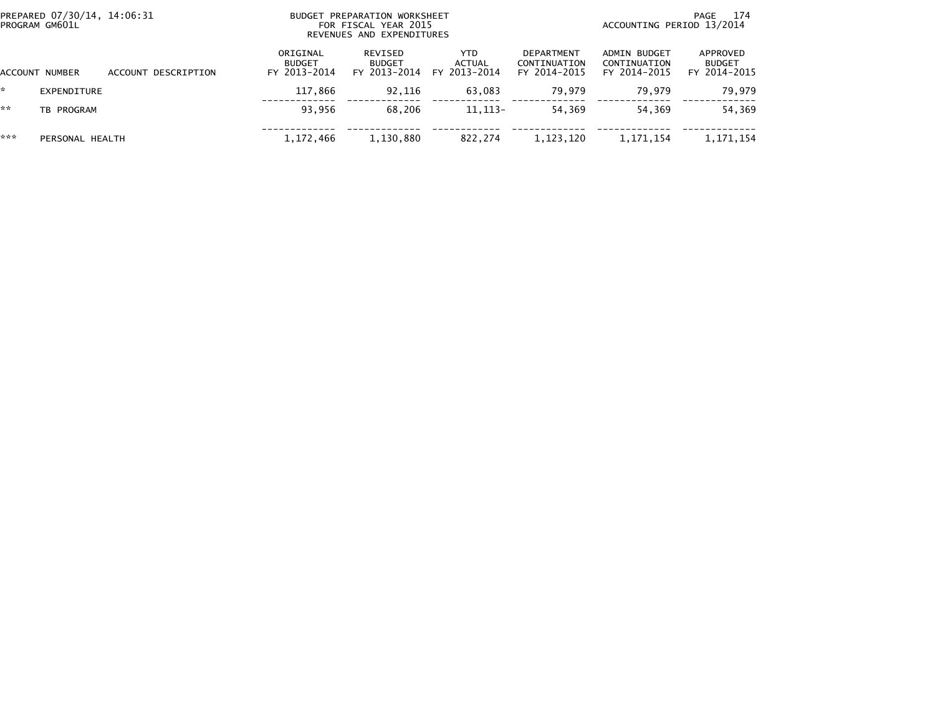| PREPARED 07/30/14, 14:06:31<br>PROGRAM GM601L |                 |                     |                                           | BUDGET PREPARATION WORKSHEET<br>FOR FISCAL YEAR 2015<br>REVENUES AND EXPENDITURES |                                             | 174<br>PAGE<br>ACCOUNTING PERIOD 13/2014   |                                              |                                           |  |
|-----------------------------------------------|-----------------|---------------------|-------------------------------------------|-----------------------------------------------------------------------------------|---------------------------------------------|--------------------------------------------|----------------------------------------------|-------------------------------------------|--|
|                                               | ACCOUNT NUMBER  | ACCOUNT DESCRIPTION | ORIGINAL<br><b>BUDGET</b><br>FY 2013-2014 | REVISED<br><b>BUDGET</b><br>FY 2013-2014                                          | <b>YTD</b><br><b>ACTUAL</b><br>FY 2013-2014 | DEPARTMENT<br>CONTINUATION<br>FY 2014-2015 | ADMIN BUDGET<br>CONTINUATION<br>FY 2014-2015 | APPROVED<br><b>BUDGET</b><br>FY 2014-2015 |  |
|                                               | EXPENDITURE     |                     | 117,866                                   | 92,116                                                                            | 63,083                                      | 79.979                                     | 79.979                                       | 79,979                                    |  |
| **                                            | TB PROGRAM      |                     | 93,956                                    | 68.206                                                                            | $11.113-$                                   | 54.369                                     | 54.369                                       | 54,369                                    |  |
| ***                                           | PERSONAL HEALTH |                     | 1,172,466                                 | 1,130,880                                                                         | 822,274                                     | 1,123,120                                  | 1,171,154                                    | 1,171,154                                 |  |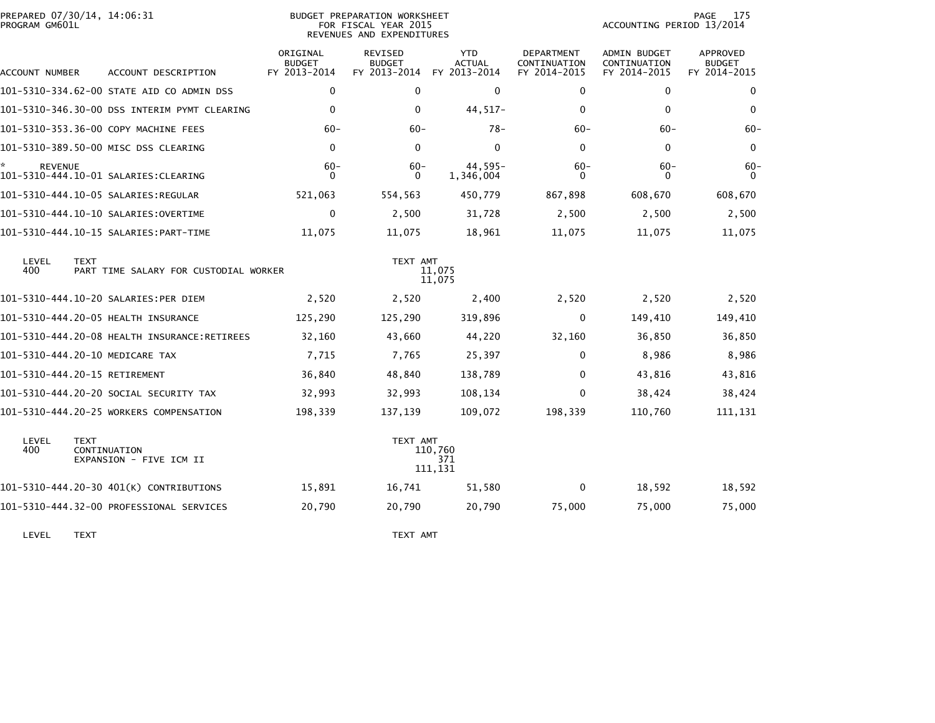| PROGRAM GM601L | PREPARED 07/30/14, 14:06:31<br><b>BUDGET PREPARATION WORKSHEET</b><br>FOR FISCAL YEAR 2015<br>REVENUES AND EXPENDITURES |                                           |                                                 |                                             |                                                   | 175<br>PAGE<br>ACCOUNTING PERIOD 13/2014            |                                                  |  |
|----------------|-------------------------------------------------------------------------------------------------------------------------|-------------------------------------------|-------------------------------------------------|---------------------------------------------|---------------------------------------------------|-----------------------------------------------------|--------------------------------------------------|--|
| ACCOUNT NUMBER | ACCOUNT DESCRIPTION                                                                                                     | ORIGINAL<br><b>BUDGET</b><br>FY 2013-2014 | <b>REVISED</b><br><b>BUDGET</b><br>FY 2013-2014 | <b>YTD</b><br><b>ACTUAL</b><br>FY 2013-2014 | <b>DEPARTMENT</b><br>CONTINUATION<br>FY 2014-2015 | <b>ADMIN BUDGET</b><br>CONTINUATION<br>FY 2014-2015 | <b>APPROVED</b><br><b>BUDGET</b><br>FY 2014-2015 |  |
|                | 101-5310-334.62-00 STATE AID CO ADMIN DSS                                                                               | $\mathbf 0$                               | 0                                               | 0                                           | 0                                                 | 0                                                   | 0                                                |  |
|                | 101-5310-346.30-00 DSS INTERIM PYMT CLEARING                                                                            | $\mathbf 0$                               | 0                                               | 44,517-                                     | 0                                                 | $\mathbf{0}$                                        | 0                                                |  |
|                | 101-5310-353.36-00 COPY MACHINE FEES                                                                                    | $60 -$                                    | $60 -$                                          | $78-$                                       | $60-$                                             | $60 -$                                              | $60 -$                                           |  |
|                | 101-5310-389.50-00 MISC DSS CLEARING                                                                                    | $\mathbf{0}$                              | $\mathbf{0}$                                    | $\mathbf{0}$                                | $\Omega$                                          | $\mathbf{0}$                                        | 0                                                |  |
| <b>REVENUE</b> |                                                                                                                         | $60 -$<br>$\Omega$                        | $60 -$<br>0                                     | 44.595-<br>1,346,004                        | $60 -$<br>0                                       | $60 -$<br>$\Omega$                                  | $60-$<br>$\Omega$                                |  |
|                |                                                                                                                         | 521,063                                   | 554,563                                         | 450,779                                     | 867,898                                           | 608,670                                             | 608,670                                          |  |
|                |                                                                                                                         | $\mathbf 0$                               | 2,500                                           | 31,728                                      | 2,500                                             | 2,500                                               | 2,500                                            |  |
|                |                                                                                                                         | 11,075                                    | 11,075                                          | 18,961                                      | 11,075                                            | 11,075                                              | 11,075                                           |  |
| LEVEL<br>400   | <b>TEXT</b><br>PART TIME SALARY FOR CUSTODIAL WORKER                                                                    |                                           | TEXT AMT                                        | 11,075<br>11,075                            |                                                   |                                                     |                                                  |  |
|                | 101-5310-444.10-20 SALARIES:PER DIEM                                                                                    | 2,520                                     | 2,520                                           | 2,400                                       | 2,520                                             | 2,520                                               | 2,520                                            |  |
|                | 101-5310-444.20-05 HEALTH INSURANCE                                                                                     | 125,290                                   | 125,290                                         | 319,896                                     | $\Omega$                                          | 149,410                                             | 149,410                                          |  |
|                | 101-5310-444.20-08 HEALTH INSURANCE:RETIREES                                                                            | 32,160                                    | 43,660                                          | 44,220                                      | 32,160                                            | 36,850                                              | 36,850                                           |  |
|                | 101-5310-444.20-10 MEDICARE TAX                                                                                         | 7,715                                     | 7,765                                           | 25,397                                      | $\Omega$                                          | 8,986                                               | 8,986                                            |  |
|                | 101-5310-444.20-15 RETIREMENT                                                                                           | 36,840                                    | 48,840                                          | 138,789                                     | $\Omega$                                          | 43,816                                              | 43,816                                           |  |
|                | 101-5310-444.20-20 SOCIAL SECURITY TAX                                                                                  | 32,993                                    | 32,993                                          | 108,134                                     | $\Omega$                                          | 38,424                                              | 38,424                                           |  |
|                | 101-5310-444.20-25 WORKERS COMPENSATION                                                                                 | 198,339                                   | 137,139                                         | 109,072                                     | 198,339                                           | 110,760                                             | 111,131                                          |  |
| LEVEL<br>400   | <b>TEXT</b><br>CONTINUATION<br>EXPANSION - FIVE ICM II                                                                  |                                           | TEXT AMT                                        | 110,760<br>371<br>111,131                   |                                                   |                                                     |                                                  |  |
|                | 101-5310-444.20-30 401(K) CONTRIBUTIONS                                                                                 | 15,891                                    | 16,741                                          | 51,580                                      | $\Omega$                                          | 18,592                                              | 18,592                                           |  |
|                | 101-5310-444.32-00 PROFESSIONAL SERVICES                                                                                | 20,790                                    | 20,790                                          | 20,790                                      | 75,000                                            | 75,000                                              | 75,000                                           |  |
|                |                                                                                                                         |                                           |                                                 |                                             |                                                   |                                                     |                                                  |  |

LEVEL TEXT TEXT AMT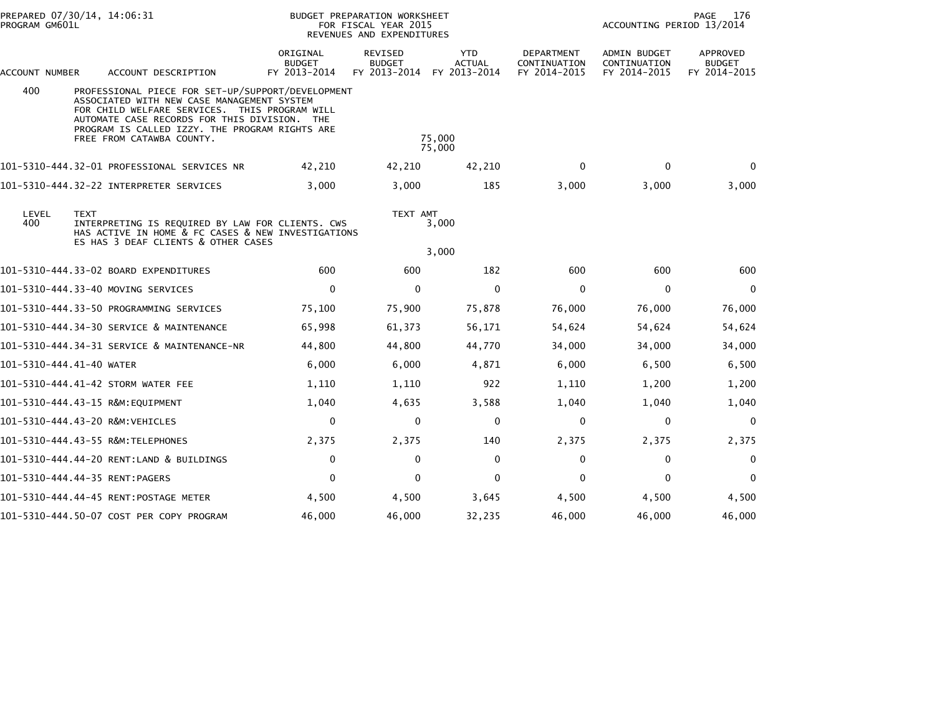| PROGRAM GM601L           | PREPARED 07/30/14, 14:06:31                                                                                                                                                                                                                                                     | <b>BUDGET PREPARATION WORKSHEET</b><br>FOR FISCAL YEAR 2015<br>REVENUES AND EXPENDITURES |                                          |                                             |                                            | 176<br>PAGE<br>ACCOUNTING PERIOD 13/2014            |                                           |  |
|--------------------------|---------------------------------------------------------------------------------------------------------------------------------------------------------------------------------------------------------------------------------------------------------------------------------|------------------------------------------------------------------------------------------|------------------------------------------|---------------------------------------------|--------------------------------------------|-----------------------------------------------------|-------------------------------------------|--|
| ACCOUNT NUMBER           | ACCOUNT DESCRIPTION                                                                                                                                                                                                                                                             | ORIGINAL<br><b>BUDGET</b><br>FY 2013-2014                                                | REVISED<br><b>BUDGET</b><br>FY 2013-2014 | <b>YTD</b><br><b>ACTUAL</b><br>FY 2013-2014 | DEPARTMENT<br>CONTINUATION<br>FY 2014-2015 | <b>ADMIN BUDGET</b><br>CONTINUATION<br>FY 2014-2015 | APPROVED<br><b>BUDGET</b><br>FY 2014-2015 |  |
| 400                      | PROFESSIONAL PIECE FOR SET-UP/SUPPORT/DEVELOPMENT<br>ASSOCIATED WITH NEW CASE MANAGEMENT SYSTEM<br>FOR CHILD WELFARE SERVICES. THIS PROGRAM WILL<br>AUTOMATE CASE RECORDS FOR THIS DIVISION. THE<br>PROGRAM IS CALLED IZZY. THE PROGRAM RIGHTS ARE<br>FREE FROM CATAWBA COUNTY. |                                                                                          |                                          | 75,000<br>75,000                            |                                            |                                                     |                                           |  |
|                          | 101-5310-444.32-01 PROFESSIONAL SERVICES NR                                                                                                                                                                                                                                     | 42,210                                                                                   | 42,210                                   | 42,210                                      | $\mathbf{0}$                               | $\Omega$                                            | $\Omega$                                  |  |
|                          | 101-5310-444.32-22 INTERPRETER SERVICES                                                                                                                                                                                                                                         | 3,000                                                                                    | 3,000                                    | 185                                         | 3,000                                      | 3,000                                               | 3,000                                     |  |
| LEVEL<br>400             | <b>TEXT</b><br>INTERPRETING IS REQUIRED BY LAW FOR CLIENTS. CWS<br>HAS ACTIVE IN HOME & FC CASES & NEW INVESTIGATIONS<br>ES HAS 3 DEAF CLIENTS & OTHER CASES                                                                                                                    |                                                                                          | TEXT AMT                                 | 3,000<br>3,000                              |                                            |                                                     |                                           |  |
|                          | 101-5310-444.33-02 BOARD EXPENDITURES                                                                                                                                                                                                                                           | 600                                                                                      | 600                                      | 182                                         | 600                                        | 600                                                 | 600                                       |  |
|                          | 101–5310–444.33–40 MOVING SERVICES                                                                                                                                                                                                                                              | $\mathbf{0}$                                                                             | $\mathbf{0}$                             | $\Omega$                                    | $\mathbf{0}$                               | $\Omega$                                            | $\Omega$                                  |  |
|                          | 101-5310-444.33-50 PROGRAMMING SERVICES                                                                                                                                                                                                                                         | 75,100                                                                                   | 75,900                                   | 75,878                                      | 76,000                                     | 76,000                                              | 76,000                                    |  |
|                          | 101-5310-444.34-30 SERVICE & MAINTENANCE                                                                                                                                                                                                                                        | 65,998                                                                                   | 61,373                                   | 56,171                                      | 54,624                                     | 54,624                                              | 54,624                                    |  |
|                          | 101-5310-444.34-31 SERVICE & MAINTENANCE-NR                                                                                                                                                                                                                                     | 44,800                                                                                   | 44,800                                   | 44,770                                      | 34,000                                     | 34,000                                              | 34,000                                    |  |
| 101-5310-444.41-40 WATER |                                                                                                                                                                                                                                                                                 | 6,000                                                                                    | 6,000                                    | 4,871                                       | 6,000                                      | 6,500                                               | 6,500                                     |  |
|                          | 101-5310-444.41-42 STORM WATER FEE                                                                                                                                                                                                                                              | 1,110                                                                                    | 1,110                                    | 922                                         | 1,110                                      | 1,200                                               | 1,200                                     |  |
|                          | 101-5310-444.43-15 R&M:EQUIPMENT                                                                                                                                                                                                                                                | 1,040                                                                                    | 4,635                                    | 3,588                                       | 1,040                                      | 1,040                                               | 1,040                                     |  |
|                          | 101-5310-444.43-20 R&M:VEHICLES                                                                                                                                                                                                                                                 | $\mathbf 0$                                                                              | $\mathbf{0}$                             | $\Omega$                                    | $\mathbf{0}$                               | $\mathbf 0$                                         | $\mathbf{0}$                              |  |
|                          | 101-5310-444.43-55 R&M:TELEPHONES                                                                                                                                                                                                                                               | 2,375                                                                                    | 2,375                                    | 140                                         | 2,375                                      | 2,375                                               | 2,375                                     |  |
|                          | 101-5310-444.44-20 RENT:LAND & BUILDINGS                                                                                                                                                                                                                                        | $\mathbf 0$                                                                              | $\Omega$                                 | $\Omega$                                    | $\Omega$                                   | 0                                                   | $\Omega$                                  |  |
|                          | 101-5310-444.44-35 RENT:PAGERS                                                                                                                                                                                                                                                  | $\mathbf 0$                                                                              | 0                                        | $\mathbf 0$                                 | $\mathbf{0}$                               | $\mathbf 0$                                         | $\mathbf{0}$                              |  |
|                          |                                                                                                                                                                                                                                                                                 | 4,500                                                                                    | 4,500                                    | 3,645                                       | 4,500                                      | 4,500                                               | 4,500                                     |  |
|                          | 101-5310-444.50-07 COST PER COPY PROGRAM                                                                                                                                                                                                                                        | 46,000                                                                                   | 46,000                                   | 32,235                                      | 46,000                                     | 46,000                                              | 46,000                                    |  |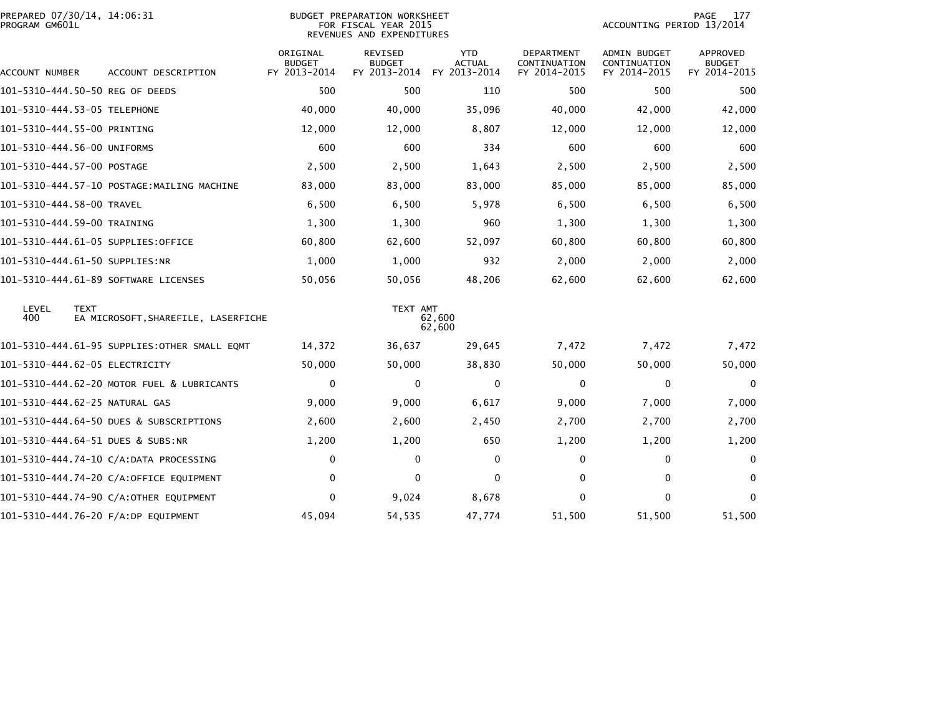| PREPARED 07/30/14, 14:06:31<br>PROGRAM GM601L | BUDGET PREPARATION WORKSHEET<br>FOR FISCAL YEAR 2015<br>REVENUES AND EXPENDITURES |                                           |                                                 |                                             |                                                   | <b>PAGE</b><br>177<br>ACCOUNTING PERIOD 13/2014     |                                                  |  |  |
|-----------------------------------------------|-----------------------------------------------------------------------------------|-------------------------------------------|-------------------------------------------------|---------------------------------------------|---------------------------------------------------|-----------------------------------------------------|--------------------------------------------------|--|--|
| ACCOUNT NUMBER                                | ACCOUNT DESCRIPTION                                                               | ORIGINAL<br><b>BUDGET</b><br>FY 2013-2014 | <b>REVISED</b><br><b>BUDGET</b><br>FY 2013-2014 | <b>YTD</b><br><b>ACTUAL</b><br>FY 2013-2014 | <b>DEPARTMENT</b><br>CONTINUATION<br>FY 2014-2015 | <b>ADMIN BUDGET</b><br>CONTINUATION<br>FY 2014-2015 | <b>APPROVED</b><br><b>BUDGET</b><br>FY 2014-2015 |  |  |
| 101-5310-444.50-50 REG OF DEEDS               |                                                                                   | 500                                       | 500                                             | 110                                         | 500                                               | 500                                                 | 500                                              |  |  |
| 101-5310-444.53-05 TELEPHONE                  |                                                                                   | 40,000                                    | 40,000                                          | 35,096                                      | 40,000                                            | 42,000                                              | 42,000                                           |  |  |
| 101-5310-444.55-00 PRINTING                   |                                                                                   | 12,000                                    | 12,000                                          | 8,807                                       | 12,000                                            | 12,000                                              | 12,000                                           |  |  |
| 101-5310-444.56-00 UNIFORMS                   |                                                                                   | 600                                       | 600                                             | 334                                         | 600                                               | 600                                                 | 600                                              |  |  |
| 101-5310-444.57-00 POSTAGE                    |                                                                                   | 2,500                                     | 2,500                                           | 1,643                                       | 2,500                                             | 2,500                                               | 2,500                                            |  |  |
|                                               | 101-5310-444.57-10 POSTAGE:MAILING MACHINE                                        | 83,000                                    | 83,000                                          | 83,000                                      | 85,000                                            | 85,000                                              | 85,000                                           |  |  |
| 101-5310-444.58-00 TRAVEL                     |                                                                                   | 6,500                                     | 6,500                                           | 5,978                                       | 6,500                                             | 6,500                                               | 6,500                                            |  |  |
| 101-5310-444.59-00 TRAINING                   |                                                                                   | 1,300                                     | 1,300                                           | 960                                         | 1,300                                             | 1,300                                               | 1,300                                            |  |  |
|                                               | 101-5310-444.61-05 SUPPLIES:OFFICE                                                | 60,800                                    | 62,600                                          | 52,097                                      | 60,800                                            | 60,800                                              | 60,800                                           |  |  |
| 101-5310-444.61-50 SUPPLIES:NR                |                                                                                   | 1,000                                     | 1,000                                           | 932                                         | 2,000                                             | 2,000                                               | 2,000                                            |  |  |
|                                               | 101-5310-444.61-89 SOFTWARE LICENSES                                              | 50,056                                    | 50,056                                          | 48,206                                      | 62,600                                            | 62,600                                              | 62,600                                           |  |  |
| LEVEL<br>TEXT<br>400                          | EA MICROSOFT, SHAREFILE, LASERFICHE                                               |                                           | TEXT AMT                                        | 62,600<br>62,600                            |                                                   |                                                     |                                                  |  |  |
|                                               | 101–5310–444.61–95 SUPPLIES:OTHER SMALL EQMT                                      | 14,372                                    | 36,637                                          | 29,645                                      | 7,472                                             | 7,472                                               | 7,472                                            |  |  |
| 101-5310-444.62-05 ELECTRICITY                |                                                                                   | 50,000                                    | 50,000                                          | 38,830                                      | 50,000                                            | 50,000                                              | 50,000                                           |  |  |
|                                               | 101-5310-444.62-20 MOTOR FUEL & LUBRICANTS                                        | $\mathbf 0$                               | 0                                               | $\mathbf 0$                                 | $\Omega$                                          | $\mathbf 0$                                         | $\mathbf 0$                                      |  |  |
| 101-5310-444.62-25 NATURAL GAS                |                                                                                   | 9,000                                     | 9,000                                           | 6,617                                       | 9,000                                             | 7,000                                               | 7,000                                            |  |  |
|                                               | 101-5310-444.64-50 DUES & SUBSCRIPTIONS                                           | 2,600                                     | 2,600                                           | 2,450                                       | 2,700                                             | 2,700                                               | 2,700                                            |  |  |
| 101-5310-444.64-51 DUES & SUBS:NR             |                                                                                   | 1,200                                     | 1,200                                           | 650                                         | 1,200                                             | 1,200                                               | 1,200                                            |  |  |
|                                               | 101-5310-444.74-10 C/A:DATA PROCESSING                                            | 0                                         | 0                                               | $\mathbf{0}$                                | 0                                                 | $\mathbf{0}$                                        | 0                                                |  |  |
|                                               | 101-5310-444.74-20 C/A:OFFICE EQUIPMENT                                           | $\mathbf{0}$                              | $\Omega$                                        | $\Omega$                                    | 0                                                 | $\mathbf{0}$                                        | $\Omega$                                         |  |  |
|                                               | 101-5310-444.74-90 C/A:OTHER EQUIPMENT                                            | $\mathbf 0$                               | 9,024                                           | 8,678                                       | 0                                                 | $\Omega$                                            | $\mathbf{0}$                                     |  |  |
|                                               | 101-5310-444.76-20 F/A:DP EQUIPMENT                                               | 45,094                                    | 54,535                                          | 47,774                                      | 51,500                                            | 51,500                                              | 51,500                                           |  |  |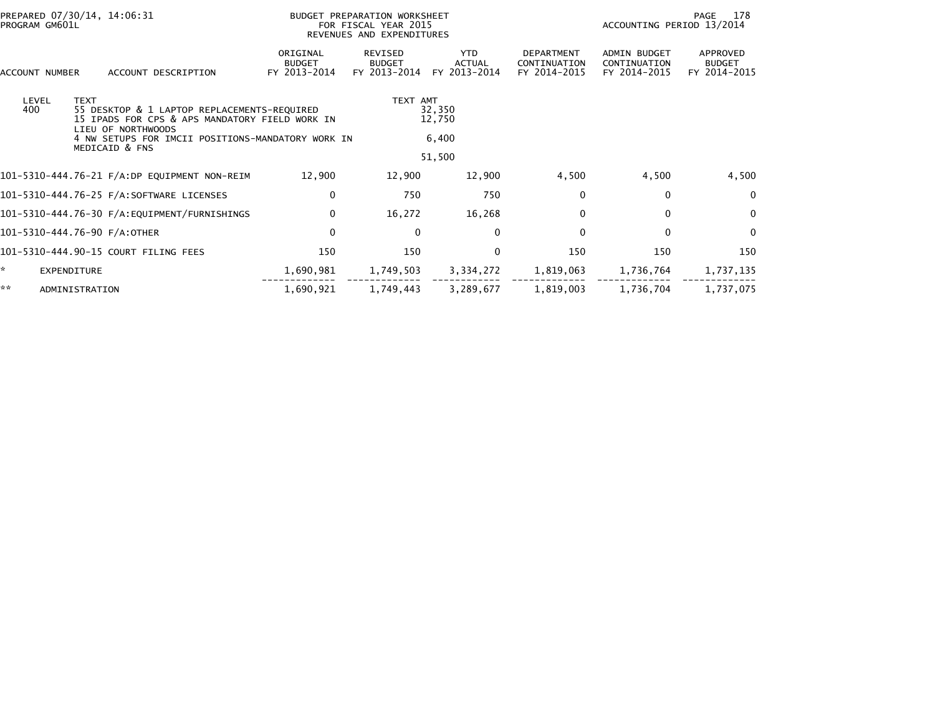| PREPARED 07/30/14, 14:06:31<br>PROGRAM GM601L |                                                                                                                                    |                                                                      | BUDGET PREPARATION WORKSHEET<br>FOR FISCAL YEAR 2015<br>REVENUES AND EXPENDITURES |                                      | 178<br>PAGE<br>ACCOUNTING PERIOD 13/2014   |                                                     |                                           |  |  |
|-----------------------------------------------|------------------------------------------------------------------------------------------------------------------------------------|----------------------------------------------------------------------|-----------------------------------------------------------------------------------|--------------------------------------|--------------------------------------------|-----------------------------------------------------|-------------------------------------------|--|--|
| ACCOUNT NUMBER                                | ACCOUNT DESCRIPTION                                                                                                                | ORIGINAL<br><b>BUDGET</b><br>FY 2013-2014                            | <b>REVISED</b><br><b>BUDGET</b><br>FY 2013-2014                                   | <b>YTD</b><br>ACTUAL<br>FY 2013-2014 | DEPARTMENT<br>CONTINUATION<br>FY 2014-2015 | <b>ADMIN BUDGET</b><br>CONTINUATION<br>FY 2014-2015 | APPROVED<br><b>BUDGET</b><br>FY 2014-2015 |  |  |
| LEVEL<br>400                                  | <b>TEXT</b><br>55 DESKTOP & 1 LAPTOP REPLACEMENTS-REQUIRED<br>15 IPADS FOR CPS & APS MANDATORY FIELD WORK IN<br>LIEU OF NORTHWOODS | TEXT AMT<br>32,350<br>12,750                                         |                                                                                   |                                      |                                            |                                                     |                                           |  |  |
|                                               | MEDICAID & FNS                                                                                                                     | 6,400<br>4 NW SETUPS FOR IMCII POSITIONS-MANDATORY WORK IN<br>51,500 |                                                                                   |                                      |                                            |                                                     |                                           |  |  |
|                                               |                                                                                                                                    | 12,900                                                               | 12,900                                                                            | 12,900                               | 4,500                                      | 4,500                                               | 4,500                                     |  |  |
|                                               |                                                                                                                                    | 0                                                                    | 750                                                                               | 750                                  | $\Omega$                                   | $\mathbf{0}$                                        | $\mathbf{0}$                              |  |  |
|                                               |                                                                                                                                    | $\Omega$                                                             | 16,272                                                                            | 16,268                               | $\Omega$                                   | $\mathbf{0}$                                        | $\mathbf{0}$                              |  |  |
|                                               | 101-5310-444.76-90 F/A:OTHER                                                                                                       | $\mathbf 0$                                                          | $\mathbf{0}$                                                                      | 0                                    | $\Omega$                                   | $\Omega$                                            | $\Omega$                                  |  |  |
|                                               | 101-5310-444.90-15 COURT FILING FEES                                                                                               | 150                                                                  | 150                                                                               | $\mathbf 0$                          | 150                                        | 150                                                 | 150                                       |  |  |
| ×.                                            | EXPENDITURE                                                                                                                        | 1,690,981                                                            | 1,749,503                                                                         | 3,334,272                            | 1,819,063                                  | 1,736,764                                           | 1,737,135                                 |  |  |
| **                                            | ADMINISTRATION                                                                                                                     | 1,690,921                                                            | 1,749,443                                                                         | 3,289,677                            | 1,819,003                                  | 1,736,704                                           | 1,737,075                                 |  |  |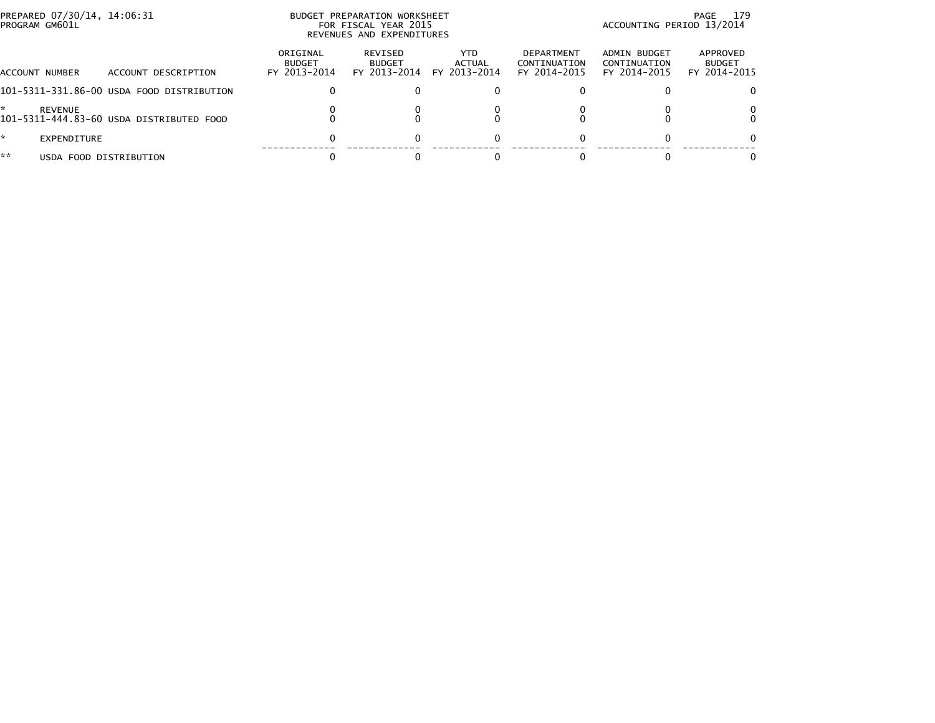| PREPARED 07/30/14, 14:06:31<br>PROGRAM GM601L |                                           | BUDGET PREPARATION WORKSHEET<br>FOR FISCAL YEAR 2015<br>REVENUES AND EXPENDITURES |                                          |                                | 179<br>PAGE<br>ACCOUNTING PERIOD 13/2014          |                                              |                                           |
|-----------------------------------------------|-------------------------------------------|-----------------------------------------------------------------------------------|------------------------------------------|--------------------------------|---------------------------------------------------|----------------------------------------------|-------------------------------------------|
| ACCOUNT NUMBER                                | ACCOUNT DESCRIPTION                       | ORIGINAL<br><b>BUDGET</b><br>FY 2013-2014                                         | REVISED<br><b>BUDGET</b><br>FY 2013-2014 | YTD.<br>ACTUAL<br>FY 2013-2014 | <b>DEPARTMENT</b><br>CONTINUATION<br>FY 2014-2015 | ADMIN BUDGET<br>CONTINUATION<br>FY 2014-2015 | APPROVED<br><b>BUDGET</b><br>FY 2014-2015 |
|                                               | 101-5311-331.86-00 USDA FOOD DISTRIBUTION |                                                                                   |                                          |                                |                                                   |                                              |                                           |
| *.<br><b>REVENUE</b>                          | 101-5311-444.83-60 USDA DISTRIBUTED FOOD  |                                                                                   |                                          |                                |                                                   |                                              |                                           |
| $\mathcal{H}$<br>EXPENDITURE                  |                                           | O                                                                                 |                                          |                                |                                                   |                                              |                                           |
| **                                            | USDA FOOD DISTRIBUTION                    |                                                                                   |                                          |                                |                                                   |                                              |                                           |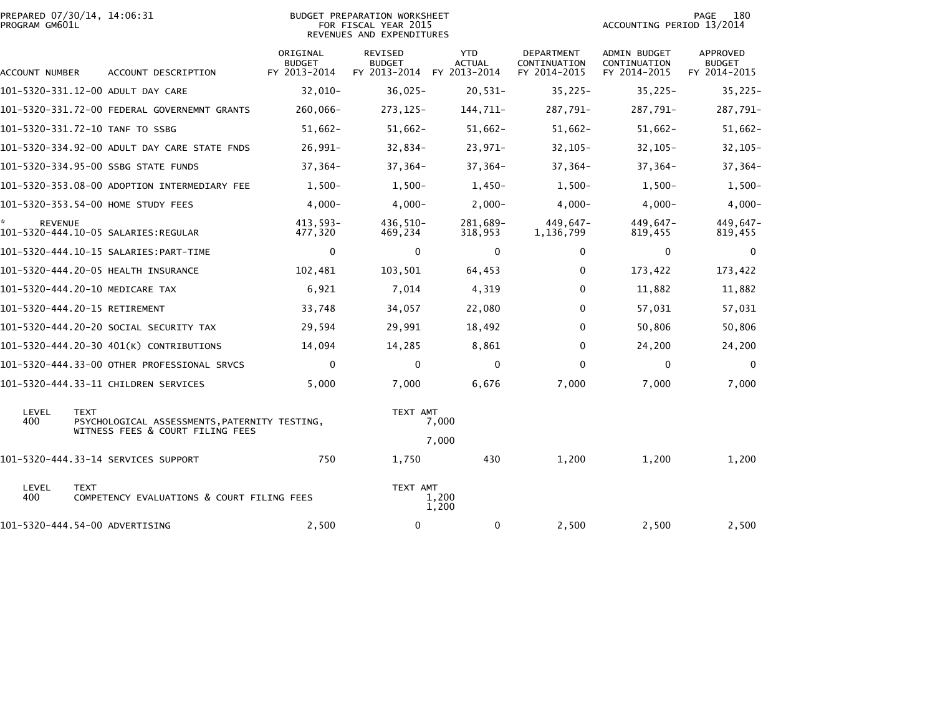| PREPARED 07/30/14, 14:06:31<br>PROGRAM GM601L |                                                                                                  | BUDGET PREPARATION WORKSHEET<br>FOR FISCAL YEAR 2015<br>REVENUES AND EXPENDITURES |                                                 |                                             |                                            | 180<br>PAGE<br>ACCOUNTING PERIOD 13/2014            |                                                  |  |
|-----------------------------------------------|--------------------------------------------------------------------------------------------------|-----------------------------------------------------------------------------------|-------------------------------------------------|---------------------------------------------|--------------------------------------------|-----------------------------------------------------|--------------------------------------------------|--|
| ACCOUNT NUMBER                                | ACCOUNT DESCRIPTION                                                                              | ORIGINAL<br><b>BUDGET</b><br>FY 2013-2014                                         | <b>REVISED</b><br><b>BUDGET</b><br>FY 2013-2014 | <b>YTD</b><br><b>ACTUAL</b><br>FY 2013-2014 | DEPARTMENT<br>CONTINUATION<br>FY 2014-2015 | <b>ADMIN BUDGET</b><br>CONTINUATION<br>FY 2014-2015 | <b>APPROVED</b><br><b>BUDGET</b><br>FY 2014-2015 |  |
|                                               | 101-5320-331.12-00 ADULT DAY CARE                                                                | 32,010-                                                                           | $36,025-$                                       | $20,531-$                                   | $35,225-$                                  | $35,225-$                                           | $35,225-$                                        |  |
|                                               | 101-5320-331.72-00 FEDERAL GOVERNEMNT GRANTS                                                     | $260,066 -$                                                                       | 273, 125-                                       | 144,711-                                    | 287,791-                                   | 287,791-                                            | 287,791-                                         |  |
|                                               | 101-5320-331.72-10 TANF TO SSBG                                                                  | $51,662-$                                                                         | $51,662-$                                       | $51,662-$                                   | $51,662-$                                  | $51,662-$                                           | $51,662-$                                        |  |
|                                               | 101-5320-334.92-00 ADULT DAY CARE STATE FNDS                                                     | $26,991 -$                                                                        | $32,834-$                                       | $23,971-$                                   | $32,105-$                                  | $32,105 -$                                          | $32, 105 -$                                      |  |
|                                               | 101-5320-334.95-00 SSBG STATE FUNDS                                                              | $37,364-$                                                                         | $37,364-$                                       | 37,364-                                     | 37,364-                                    | 37,364-                                             | $37,364-$                                        |  |
|                                               | 101-5320-353.08-00 ADOPTION INTERMEDIARY FEE                                                     | $1,500-$                                                                          | $1,500-$                                        | $1,450-$                                    | $1,500-$                                   | $1,500-$                                            | $1,500-$                                         |  |
|                                               | 101-5320-353.54-00 HOME STUDY FEES                                                               | $4,000 -$                                                                         | $4.000 -$                                       | $2,000-$                                    | $4.000 -$                                  | $4.000 -$                                           | $4,000 -$                                        |  |
| <b>REVENUE</b>                                | 101-5320-444.10-05 SALARIES:REGULAR                                                              | 413,593-<br>477,320                                                               | 436,510-<br>469,234                             | 281,689-<br>318,953                         | $449.647 -$<br>1,136,799                   | 449,647-<br>819,455                                 | 449,647-<br>819,455                              |  |
|                                               |                                                                                                  | $\mathbf 0$                                                                       | $\mathbf 0$                                     | $\mathbf 0$                                 | 0                                          | $\mathbf 0$                                         | $\mathbf 0$                                      |  |
|                                               | 101-5320-444.20-05 HEALTH INSURANCE                                                              | 102,481                                                                           | 103,501                                         | 64,453                                      | 0                                          | 173,422                                             | 173,422                                          |  |
|                                               | 101-5320-444.20-10 MEDICARE TAX                                                                  | 6,921                                                                             | 7,014                                           | 4,319                                       | $\Omega$                                   | 11,882                                              | 11,882                                           |  |
|                                               | 101-5320-444.20-15 RETIREMENT                                                                    | 33,748                                                                            | 34,057                                          | 22,080                                      | $\Omega$                                   | 57,031                                              | 57,031                                           |  |
|                                               | 101-5320-444.20-20 SOCIAL SECURITY TAX                                                           | 29,594                                                                            | 29,991                                          | 18,492                                      | $\Omega$                                   | 50,806                                              | 50,806                                           |  |
|                                               | 101-5320-444.20-30 401(K) CONTRIBUTIONS                                                          | 14,094                                                                            | 14,285                                          | 8,861                                       | $\Omega$                                   | 24,200                                              | 24,200                                           |  |
|                                               | 101-5320-444.33-00 OTHER PROFESSIONAL SRVCS                                                      | $\Omega$                                                                          | $\Omega$                                        | $\mathbf{0}$                                | $\Omega$                                   | $\mathbf{0}$                                        | $\Omega$                                         |  |
|                                               | 101-5320-444.33-11 CHILDREN SERVICES                                                             | 5,000                                                                             | 7,000                                           | 6,676                                       | 7,000                                      | 7,000                                               | 7,000                                            |  |
| LEVEL<br>400                                  | <b>TEXT</b><br>PSYCHOLOGICAL ASSESSMENTS, PATERNITY TESTING,<br>WITNESS FEES & COURT FILING FEES |                                                                                   | TEXT AMT<br>7,000                               |                                             |                                            |                                                     |                                                  |  |
|                                               |                                                                                                  | 7,000                                                                             |                                                 |                                             |                                            |                                                     |                                                  |  |
|                                               | 101-5320-444.33-14 SERVICES SUPPORT                                                              | 750                                                                               | 1,750                                           | 430                                         | 1,200                                      | 1,200                                               | 1,200                                            |  |
| LEVEL<br>400                                  | <b>TEXT</b><br>COMPETENCY EVALUATIONS & COURT FILING FEES                                        |                                                                                   |                                                 | TEXT AMT<br>1,200<br>1,200                  |                                            |                                                     |                                                  |  |
|                                               | 101-5320-444.54-00 ADVERTISING                                                                   | 2,500                                                                             | $\Omega$                                        | $\mathbf{0}$                                | 2,500                                      | 2,500                                               | 2,500                                            |  |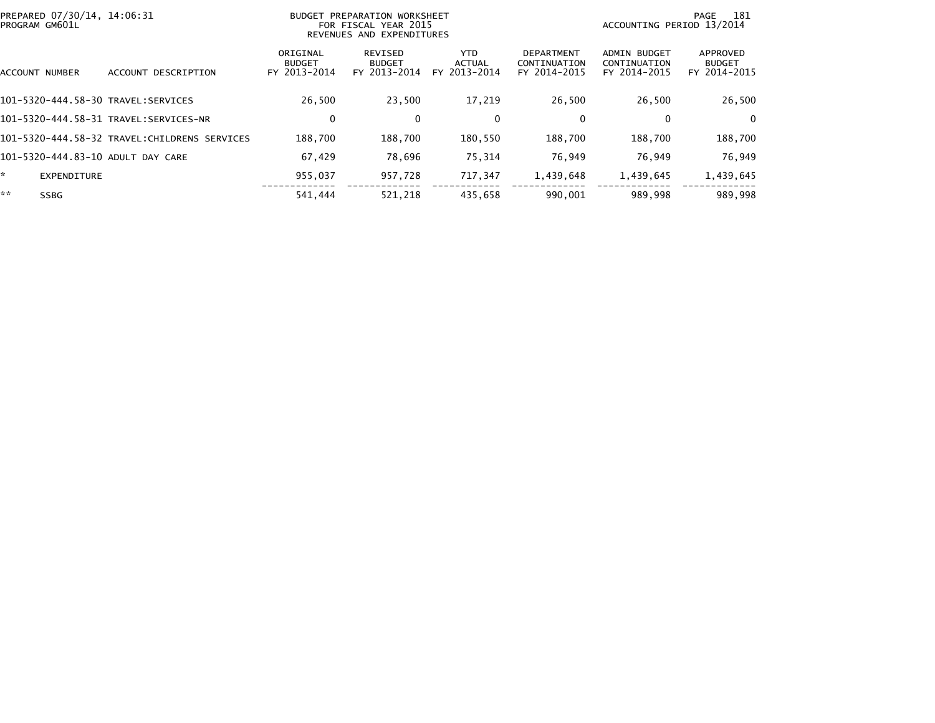| PREPARED 07/30/14, 14:06:31<br>PROGRAM GM601L |                                              | PREPARATION WORKSHEET<br>BUDGET<br>FOR FISCAL YEAR 2015<br>REVENUES AND EXPENDITURES | -181<br>PAGE<br>ACCOUNTING PERIOD 13/2014 |                                       |                                                   |                                                     |                                           |
|-----------------------------------------------|----------------------------------------------|--------------------------------------------------------------------------------------|-------------------------------------------|---------------------------------------|---------------------------------------------------|-----------------------------------------------------|-------------------------------------------|
| ACCOUNT NUMBER                                | DESCRIPTION<br><b>ACCOUNT</b>                | ORIGINAL<br><b>BUDGET</b><br>FY 2013-2014                                            | REVISED<br><b>BUDGET</b><br>FY 2013-2014  | YTD.<br><b>ACTUAL</b><br>FY 2013-2014 | <b>DEPARTMENT</b><br>CONTINUATION<br>FY 2014-2015 | <b>ADMIN BUDGET</b><br>CONTINUATION<br>FY 2014-2015 | APPROVED<br><b>BUDGET</b><br>FY 2014-2015 |
| 101-5320-444.58-30 TRAVEL:SERVICES            |                                              | 26.500                                                                               | 23.500                                    | 17,219                                | 26,500                                            | 26,500                                              | 26,500                                    |
|                                               | 101-5320-444.58-31 TRAVEL:SERVICES-NR        | 0                                                                                    | 0                                         | 0                                     | 0                                                 | 0                                                   | $\Omega$                                  |
|                                               | 101-5320-444.58-32 TRAVEL:CHILDRENS SERVICES | 188.700                                                                              | 188,700                                   | 180,550                               | 188,700                                           | 188,700                                             | 188,700                                   |
| 101-5320-444.83-10 ADULT DAY CARE             |                                              | 67,429                                                                               | 78,696                                    | 75,314                                | 76,949                                            | 76,949                                              | 76,949                                    |
| EXPENDITURE                                   |                                              | 955,037                                                                              | 957,728                                   | 717,347                               | 1,439,648                                         | 1,439,645                                           | 1,439,645                                 |
| **<br><b>SSBG</b>                             |                                              | 541.444                                                                              | 521.218                                   | 435,658                               | 990.001                                           | 989,998                                             | 989.998                                   |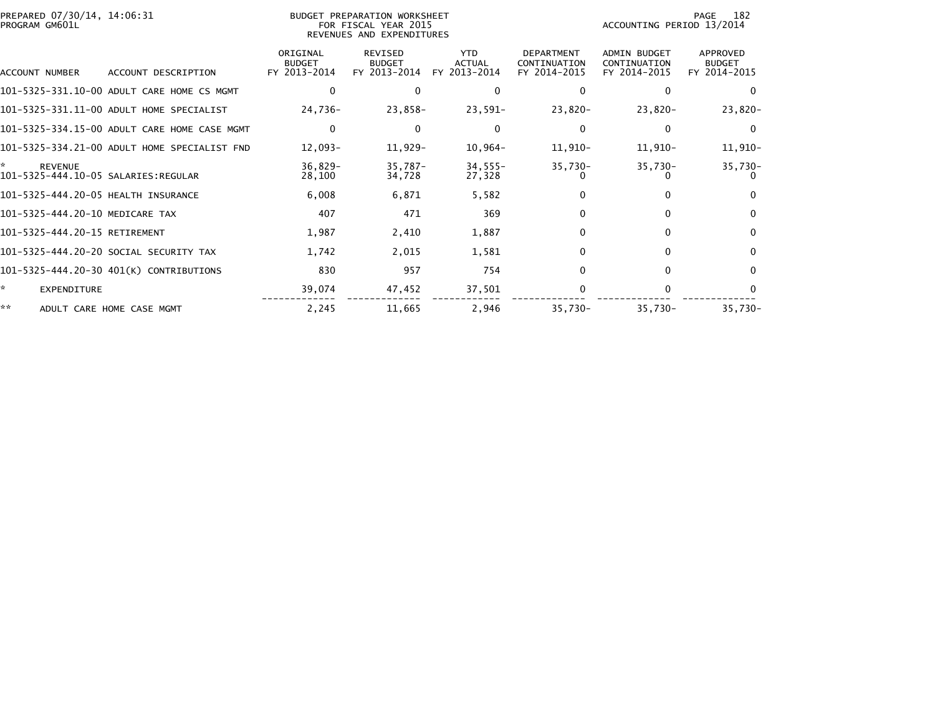| PREPARED 07/30/14, 14:06:31<br>PROGRAM GM601L |                                              |                                           | BUDGET PREPARATION WORKSHEET<br>FOR FISCAL YEAR 2015<br>REVENUES AND EXPENDITURES | 182<br>PAGE<br>ACCOUNTING PERIOD 13/2014    |                                                   |                                                     |                                           |
|-----------------------------------------------|----------------------------------------------|-------------------------------------------|-----------------------------------------------------------------------------------|---------------------------------------------|---------------------------------------------------|-----------------------------------------------------|-------------------------------------------|
| ACCOUNT NUMBER                                | ACCOUNT DESCRIPTION                          | ORIGINAL<br><b>BUDGET</b><br>FY 2013-2014 | REVISED<br><b>BUDGET</b><br>FY 2013-2014                                          | <b>YTD</b><br><b>ACTUAL</b><br>FY 2013-2014 | <b>DEPARTMENT</b><br>CONTINUATION<br>FY 2014-2015 | <b>ADMIN BUDGET</b><br>CONTINUATION<br>FY 2014-2015 | APPROVED<br><b>BUDGET</b><br>FY 2014-2015 |
|                                               | 101-5325-331.10-00 ADULT CARE HOME CS MGMT   |                                           | $\Omega$                                                                          | 0                                           |                                                   |                                                     | 0                                         |
|                                               | 101-5325-331.11-00 ADULT HOME SPECIALIST     | 24,736-                                   | 23,858-                                                                           | $23,591-$                                   | 23,820-                                           | $23,820-$                                           | $23,820-$                                 |
|                                               | 101-5325-334.15-00 ADULT CARE HOME CASE MGMT | $\mathbf{0}$                              | $\Omega$                                                                          | $\Omega$                                    |                                                   | 0                                                   | $\mathbf{0}$                              |
|                                               | 101-5325-334.21-00 ADULT HOME SPECIALIST FND | 12,093-                                   | 11,929-                                                                           | 10,964-                                     | 11,910-                                           | 11,910-                                             | 11,910-                                   |
| ×.<br><b>REVENUE</b>                          |                                              | $36,829-$<br>28,100                       | $35,787-$<br>34,728                                                               | $34,555 -$<br>27,328                        | $35,730-$                                         | $35,730-$                                           | $35,730-$                                 |
| 101-5325-444.20-05 HEALTH INSURANCE           |                                              | 6,008                                     | 6,871                                                                             | 5,582                                       |                                                   |                                                     | $\Omega$                                  |
| 101-5325-444.20-10 MEDICARE TAX               |                                              | 407                                       | 471                                                                               | 369                                         | $\Omega$                                          | $\mathbf{0}$                                        | $\mathbf{0}$                              |
| 101-5325-444.20-15 RETIREMENT                 |                                              | 1,987                                     | 2,410                                                                             | 1,887                                       |                                                   | $\Omega$                                            | $\bf{0}$                                  |
|                                               | 101-5325-444.20-20 SOCIAL SECURITY TAX       | 1,742                                     | 2,015                                                                             | 1,581                                       |                                                   | 0                                                   | $\mathbf{0}$                              |
|                                               | 101-5325-444.20-30 401(K) CONTRIBUTIONS      | 830                                       | 957                                                                               | 754                                         | $\Omega$                                          | $\Omega$                                            | $\Omega$                                  |
| ×.<br><b>EXPENDITURE</b>                      |                                              | 39,074                                    | 47,452                                                                            | 37,501                                      |                                                   | 0                                                   | $\Omega$                                  |
| **                                            | ADULT CARE HOME CASE MGMT                    | 2,245                                     | 11,665                                                                            | 2,946                                       | $35,730-$                                         | $35,730-$                                           | $35,730-$                                 |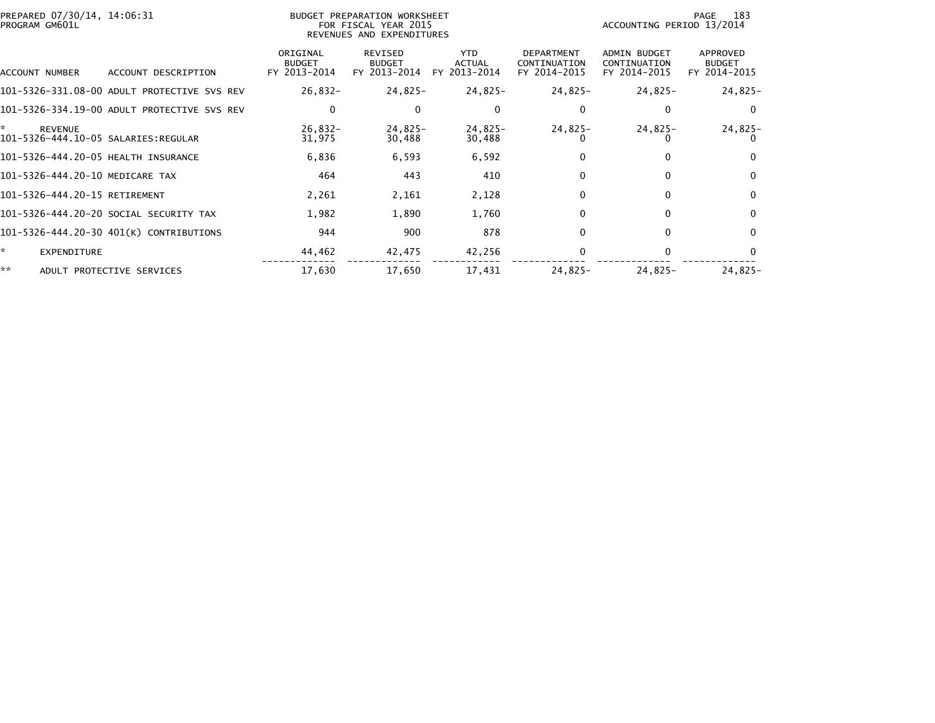| PREPARED 07/30/14, 14:06:31<br>PROGRAM GM601L                |                                           | BUDGET PREPARATION WORKSHEET<br>FOR FISCAL YEAR 2015<br>REVENUES AND EXPENDITURES |                                             |                                                   | 183<br>PAGE<br>ACCOUNTING PERIOD 13/2014            |                                           |  |  |
|--------------------------------------------------------------|-------------------------------------------|-----------------------------------------------------------------------------------|---------------------------------------------|---------------------------------------------------|-----------------------------------------------------|-------------------------------------------|--|--|
| ACCOUNT DESCRIPTION<br>ACCOUNT NUMBER                        | ORIGINAL<br><b>BUDGET</b><br>FY 2013-2014 | REVISED<br><b>BUDGET</b><br>FY 2013-2014                                          | <b>YTD</b><br><b>ACTUAL</b><br>FY 2013-2014 | <b>DEPARTMENT</b><br>CONTINUATION<br>FY 2014-2015 | <b>ADMIN BUDGET</b><br>CONTINUATION<br>FY 2014-2015 | APPROVED<br><b>BUDGET</b><br>FY 2014-2015 |  |  |
| 101-5326-331.08-00 ADULT PROTECTIVE SVS REV                  | $26,832-$                                 | 24,825-                                                                           | 24,825-                                     | 24,825-                                           | $24,825-$                                           | $24,825-$                                 |  |  |
| 101-5326-334.19-00 ADULT PROTECTIVE SVS REV                  | 0                                         | 0                                                                                 | 0                                           | 0                                                 | 0                                                   | 0                                         |  |  |
| *.<br><b>REVENUE</b><br>101-5326-444.10-05 SALARIES: REGULAR | $26,832 -$<br>31,975                      | 24,825-<br>30,488                                                                 | 24,825-<br>30,488                           | 24,825-                                           | $24,825-$                                           | $24,825-$<br>O                            |  |  |
| 101-5326-444.20-05 HEALTH INSURANCE                          | 6,836                                     | 6,593                                                                             | 6,592                                       |                                                   | 0                                                   | $\Omega$                                  |  |  |
| 101-5326-444.20-10 MEDICARE TAX                              | 464                                       | 443                                                                               | 410                                         | $\Omega$                                          | $\Omega$                                            | $\mathbf{0}$                              |  |  |
| 101-5326-444.20-15 RETIREMENT                                | 2,261                                     | 2,161                                                                             | 2,128                                       |                                                   | $\mathbf{0}$                                        | 0                                         |  |  |
| 101-5326-444.20-20 SOCIAL SECURITY TAX                       | 1,982                                     | 1,890                                                                             | 1,760                                       |                                                   | $\Omega$                                            | $\mathbf{0}$                              |  |  |
| 101-5326-444.20-30 401(K) CONTRIBUTIONS                      | 944                                       | 900                                                                               | 878                                         | $\Omega$                                          | $\Omega$                                            | $\mathbf{0}$                              |  |  |
| ŵ.<br>EXPENDITURE                                            | 44,462                                    | 42,475                                                                            | 42,256                                      |                                                   |                                                     | $\bf{0}$                                  |  |  |
| **<br>ADULT PROTECTIVE SERVICES                              | 17,630                                    | 17,650                                                                            | 17,431                                      | 24,825-                                           | $24,825-$                                           | 24,825-                                   |  |  |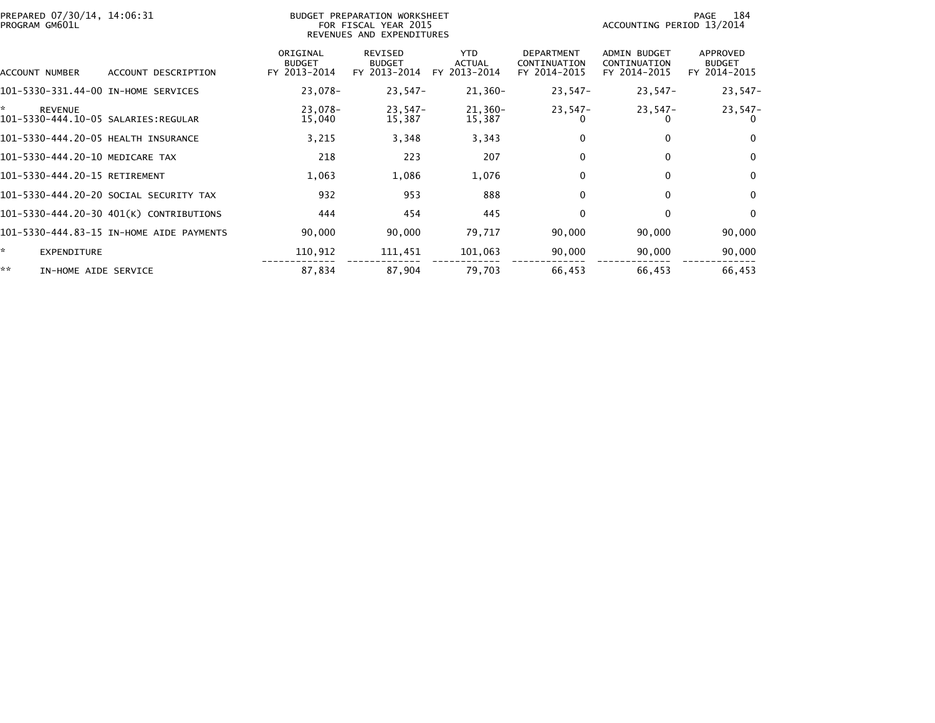| PREPARED 07/30/14, 14:06:31<br>PROGRAM GM601L |                                          |                                           | BUDGET PREPARATION WORKSHEET<br>FOR FISCAL YEAR 2015<br>REVENUES AND EXPENDITURES |                                             | 184<br>PAGE<br>ACCOUNTING PERIOD 13/2014          |                                                     |                                           |
|-----------------------------------------------|------------------------------------------|-------------------------------------------|-----------------------------------------------------------------------------------|---------------------------------------------|---------------------------------------------------|-----------------------------------------------------|-------------------------------------------|
| ACCOUNT NUMBER                                | ACCOUNT DESCRIPTION                      | ORIGINAL<br><b>BUDGET</b><br>FY 2013-2014 | <b>REVISED</b><br><b>BUDGET</b><br>FY 2013-2014                                   | <b>YTD</b><br><b>ACTUAL</b><br>FY 2013-2014 | <b>DEPARTMENT</b><br>CONTINUATION<br>FY 2014-2015 | <b>ADMIN BUDGET</b><br>CONTINUATION<br>FY 2014-2015 | APPROVED<br><b>BUDGET</b><br>FY 2014-2015 |
| 101-5330-331.44-00 IN-HOME SERVICES           |                                          | 23,078-                                   | 23,547-                                                                           | $21,360-$                                   | $23,547-$                                         | $23,547-$                                           | $23,547-$                                 |
| ×.<br><b>REVENUE</b>                          |                                          | 23,078-<br>15,040                         | 23,547-<br>15,387                                                                 | 21,360-<br>15,387                           | $23,547-$<br>$\Omega$                             | 23,547-                                             | $23,547-$<br>0                            |
| 101-5330-444.20-05 HEALTH INSURANCE           |                                          | 3,215                                     | 3,348                                                                             | 3,343                                       | 0                                                 | 0                                                   | $\mathbf 0$                               |
| 101-5330-444.20-10 MEDICARE TAX               |                                          | 218                                       | 223                                                                               | 207                                         | $\mathbf{0}$                                      | $\mathbf{0}$                                        | $\mathbf 0$                               |
| 101-5330-444.20-15 RETIREMENT                 |                                          | 1,063                                     | 1,086                                                                             | 1,076                                       | $\mathbf{0}$                                      | $\mathbf{0}$                                        | $\mathbf 0$                               |
| 101-5330-444.20-20 SOCIAL SECURITY TAX        |                                          | 932                                       | 953                                                                               | 888                                         | 0                                                 | $\mathbf{0}$                                        | $\mathbf 0$                               |
| 101-5330-444.20-30 401(K) CONTRIBUTIONS       |                                          | 444                                       | 454                                                                               | 445                                         | $\mathbf{0}$                                      | $\mathbf{0}$                                        | $\Omega$                                  |
|                                               | 101-5330-444.83-15 IN-HOME AIDE PAYMENTS | 90,000                                    | 90,000                                                                            | 79,717                                      | 90,000                                            | 90,000                                              | 90,000                                    |
| ŵ.<br><b>EXPENDITURE</b>                      |                                          | 110,912                                   | 111,451                                                                           | 101,063                                     | 90,000                                            | 90,000                                              | 90,000                                    |
| **<br>IN-HOME AIDE SERVICE                    |                                          | 87,834                                    | 87,904                                                                            | 79.703                                      | 66,453                                            | 66,453                                              | 66,453                                    |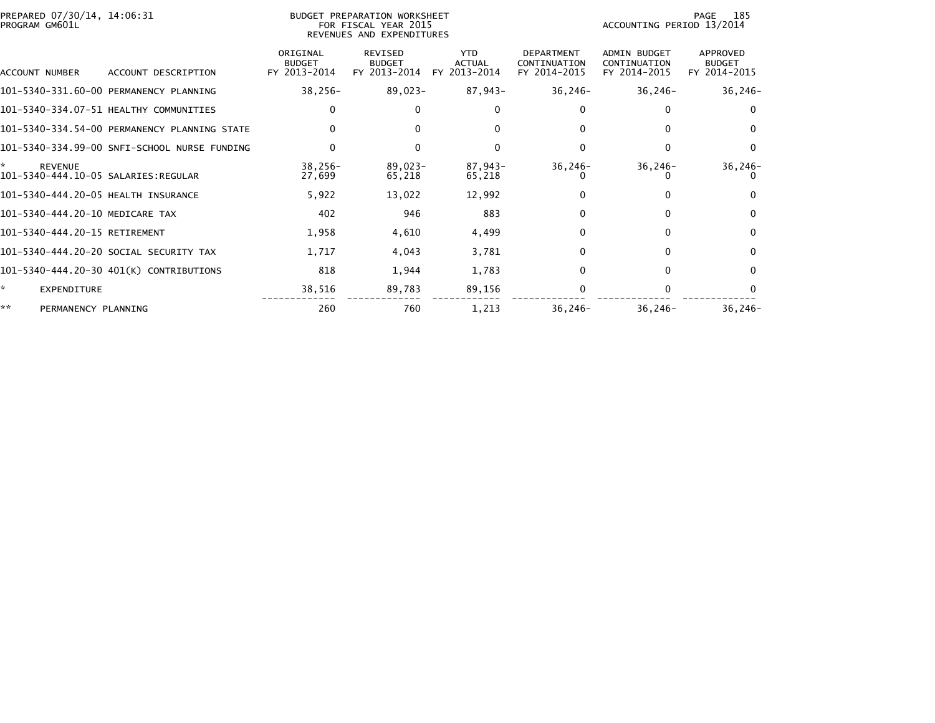| PREPARED 07/30/14, 14:06:31<br>PROGRAM GM601L |                                              | BUDGET PREPARATION WORKSHEET<br>FOR FISCAL YEAR 2015<br>REVENUES AND EXPENDITURES |                                          |                                             |                                                   | 185<br>PAGE<br>ACCOUNTING PERIOD 13/2014            |                                           |  |
|-----------------------------------------------|----------------------------------------------|-----------------------------------------------------------------------------------|------------------------------------------|---------------------------------------------|---------------------------------------------------|-----------------------------------------------------|-------------------------------------------|--|
| ACCOUNT NUMBER                                | ACCOUNT DESCRIPTION                          | ORIGINAL<br><b>BUDGET</b><br>FY 2013-2014                                         | REVISED<br><b>BUDGET</b><br>FY 2013-2014 | <b>YTD</b><br><b>ACTUAL</b><br>FY 2013-2014 | <b>DEPARTMENT</b><br>CONTINUATION<br>FY 2014-2015 | <b>ADMIN BUDGET</b><br>CONTINUATION<br>FY 2014-2015 | APPROVED<br><b>BUDGET</b><br>FY 2014-2015 |  |
|                                               | 101-5340-331.60-00 PERMANENCY PLANNING       | $38,256 -$                                                                        | 89,023-                                  | 87,943-                                     | $36, 246 -$                                       | $36, 246 -$                                         | $36, 246 -$                               |  |
|                                               | 101-5340-334.07-51 HEALTHY COMMUNITIES       | 0                                                                                 | $\Omega$                                 | $\mathbf{0}$                                |                                                   |                                                     | $\Omega$                                  |  |
|                                               | 101-5340-334.54-00 PERMANENCY PLANNING STATE | $\mathbf{0}$                                                                      | $\Omega$                                 | $\Omega$                                    |                                                   |                                                     | $\mathbf{0}$                              |  |
|                                               | 101-5340-334.99-00 SNFI-SCHOOL NURSE FUNDING | $\Omega$                                                                          | 0                                        | 0                                           |                                                   | $\Omega$                                            | $\bf{0}$                                  |  |
| ×.<br><b>REVENUE</b>                          |                                              | $38,256 -$<br>27,699                                                              | 89,023-<br>65,218                        | 87,943-<br>65,218                           | $36, 246 -$                                       | $36, 246 -$                                         | $36, 246 -$                               |  |
| 101-5340-444.20-05 HEALTH INSURANCE           |                                              | 5,922                                                                             | 13,022                                   | 12,992                                      |                                                   |                                                     | $\Omega$                                  |  |
| 101-5340-444.20-10 MEDICARE TAX               |                                              | 402                                                                               | 946                                      | 883                                         | $\Omega$                                          | $\mathbf{0}$                                        | $\mathbf{0}$                              |  |
| 101-5340-444.20-15 RETIREMENT                 |                                              | 1,958                                                                             | 4,610                                    | 4,499                                       |                                                   | $\Omega$                                            | $\Omega$                                  |  |
|                                               | 101-5340-444.20-20 SOCIAL SECURITY TAX       | 1,717                                                                             | 4,043                                    | 3,781                                       | 0                                                 | 0                                                   | $\mathbf{0}$                              |  |
|                                               | 101-5340-444.20-30 401(K) CONTRIBUTIONS      | 818                                                                               | 1,944                                    | 1,783                                       | $\Omega$                                          | $\mathbf{0}$                                        | $\mathbf{0}$                              |  |
| *<br><b>EXPENDITURE</b>                       |                                              | 38,516                                                                            | 89,783                                   | 89,156                                      |                                                   | 0                                                   | $\Omega$                                  |  |
| **<br>PERMANENCY PLANNING                     |                                              | 260                                                                               | 760                                      | 1,213                                       | $36, 246 -$                                       | $36, 246 -$                                         | $36, 246 -$                               |  |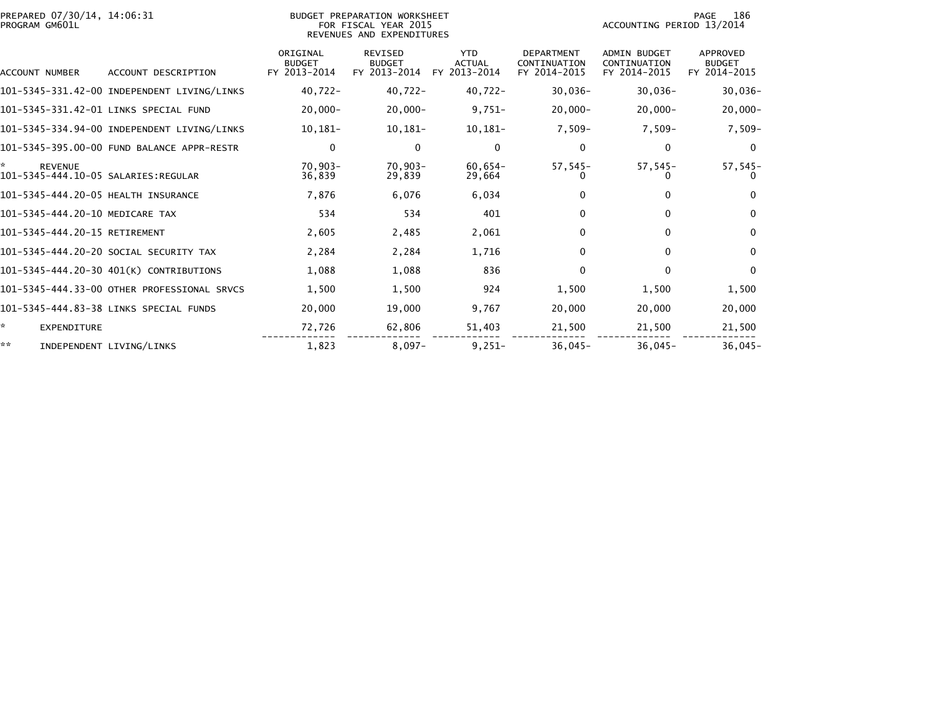| PREPARED 07/30/14, 14:06:31<br>PROGRAM GM601L |                                             | BUDGET PREPARATION WORKSHEET<br>FOR FISCAL YEAR 2015<br>REVENUES AND EXPENDITURES |                                                 |                                             |                                                   | 186<br>PAGE<br>ACCOUNTING PERIOD 13/2014            |                                           |  |
|-----------------------------------------------|---------------------------------------------|-----------------------------------------------------------------------------------|-------------------------------------------------|---------------------------------------------|---------------------------------------------------|-----------------------------------------------------|-------------------------------------------|--|
| ACCOUNT NUMBER                                | ACCOUNT DESCRIPTION                         | ORIGINAL<br><b>BUDGET</b><br>FY 2013-2014                                         | <b>REVISED</b><br><b>BUDGET</b><br>FY 2013-2014 | <b>YTD</b><br><b>ACTUAL</b><br>FY 2013-2014 | <b>DEPARTMENT</b><br>CONTINUATION<br>FY 2014-2015 | <b>ADMIN BUDGET</b><br>CONTINUATION<br>FY 2014-2015 | APPROVED<br><b>BUDGET</b><br>FY 2014-2015 |  |
|                                               | 101-5345-331.42-00 INDEPENDENT LIVING/LINKS | $40,722 -$                                                                        | 40,722-                                         | 40,722-                                     | $30,036-$                                         | $30,036 -$                                          | $30,036-$                                 |  |
|                                               | 101-5345-331.42-01 LINKS SPECIAL FUND       | $20,000 -$                                                                        | $20,000-$                                       | $9,751-$                                    | $20,000 -$                                        | $20,000 -$                                          | $20,000-$                                 |  |
|                                               | 101-5345-334.94-00 INDEPENDENT LIVING/LINKS | $10,181-$                                                                         | 10,181-                                         | $10,181-$                                   | 7,509-                                            | $7.509 -$                                           | $7,509-$                                  |  |
|                                               | 101-5345-395.00-00 FUND BALANCE APPR-RESTR  | 0                                                                                 | 0                                               | 0                                           | 0                                                 | 0                                                   | 0                                         |  |
| *<br><b>REVENUE</b>                           |                                             | $70,903 -$<br>36,839                                                              | 70,903-<br>29,839                               | $60,654-$<br>29,664                         | $57,545-$<br>$_{0}$                               | $57,545-$<br>0                                      | $57,545-$<br>0                            |  |
| 101-5345-444.20-05 HEALTH INSURANCE           |                                             | 7,876                                                                             | 6,076                                           | 6,034                                       | 0                                                 | $\mathbf{0}$                                        | $\Omega$                                  |  |
| 101-5345-444.20-10 MEDICARE TAX               |                                             | 534                                                                               | 534                                             | 401                                         | 0                                                 | 0                                                   | $\mathbf{0}$                              |  |
| 101-5345-444.20-15 RETIREMENT                 |                                             | 2,605                                                                             | 2,485                                           | 2,061                                       | 0                                                 | 0                                                   | $\mathbf{0}$                              |  |
|                                               | 101-5345-444.20-20 SOCIAL SECURITY TAX      | 2,284                                                                             | 2,284                                           | 1,716                                       | 0                                                 | 0                                                   | $\mathbf{0}$                              |  |
|                                               | 101-5345-444.20-30 401(K) CONTRIBUTIONS     | 1,088                                                                             | 1,088                                           | 836                                         | $\Omega$                                          | $\Omega$                                            | $\mathbf{0}$                              |  |
|                                               | 101-5345-444.33-00 OTHER PROFESSIONAL SRVCS | 1,500                                                                             | 1,500                                           | 924                                         | 1,500                                             | 1,500                                               | 1,500                                     |  |
|                                               | 101-5345-444.83-38 LINKS SPECIAL FUNDS      | 20,000                                                                            | 19,000                                          | 9,767                                       | 20,000                                            | 20,000                                              | 20,000                                    |  |
| ŵ.<br>EXPENDITURE                             |                                             | 72,726                                                                            | 62,806                                          | 51,403                                      | 21,500                                            | 21,500                                              | 21,500                                    |  |
| **                                            | INDEPENDENT LIVING/LINKS                    | 1,823                                                                             | $8,097-$                                        | $9,251-$                                    | $36,045-$                                         | $36,045-$                                           | $36,045-$                                 |  |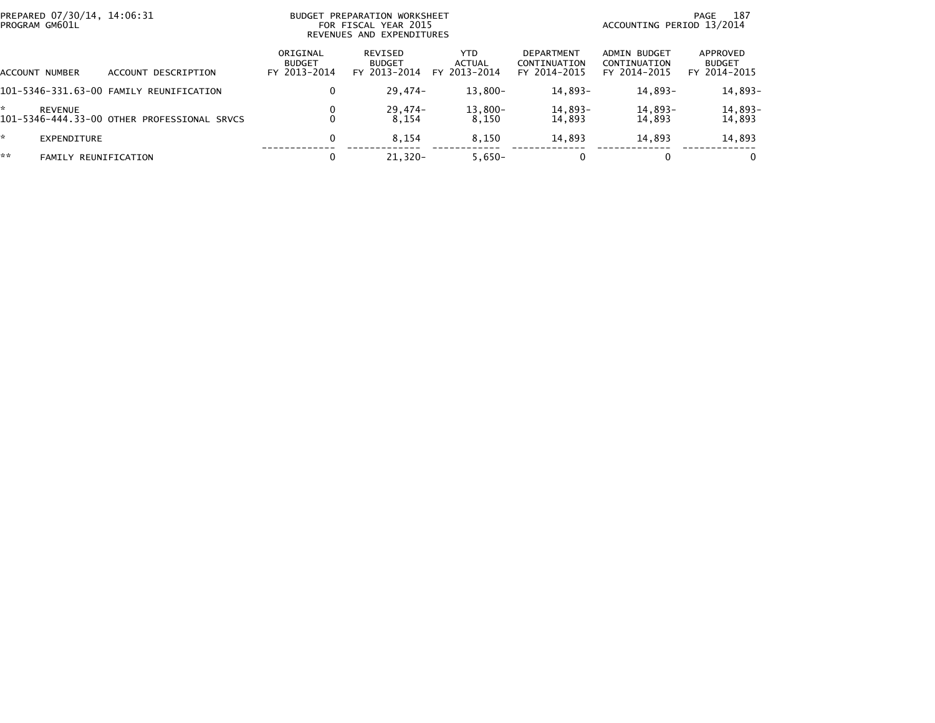| PREPARED 07/30/14, 14:06:31<br>PROGRAM GM601L |                                             |                                           | BUDGET PREPARATION WORKSHEET<br>FOR FISCAL YEAR 2015<br>REVENUES AND EXPENDITURES | 187<br>PAGE<br>ACCOUNTING PERIOD 13/2014 |                                                   |                                              |                                           |
|-----------------------------------------------|---------------------------------------------|-------------------------------------------|-----------------------------------------------------------------------------------|------------------------------------------|---------------------------------------------------|----------------------------------------------|-------------------------------------------|
| <b>ACCOUNT NUMBER</b>                         | ACCOUNT DESCRIPTION                         | ORIGINAL<br><b>BUDGET</b><br>FY 2013-2014 | REVISED<br><b>BUDGET</b><br>FY 2013-2014                                          | <b>YTD</b><br>ACTUAL<br>FY 2013-2014     | <b>DEPARTMENT</b><br>CONTINUATION<br>FY 2014-2015 | ADMIN BUDGET<br>CONTINUATION<br>FY 2014-2015 | APPROVED<br><b>BUDGET</b><br>FY 2014-2015 |
|                                               | 101-5346-331.63-00 FAMILY REUNIFICATION     | 0                                         | $29.474-$                                                                         | 13,800-                                  | 14,893-                                           | 14,893-                                      | 14,893-                                   |
| <b>REVENUE</b>                                | 101-5346-444.33-00 OTHER PROFESSIONAL SRVCS | 0                                         | 29,474-<br>8.154                                                                  | $13,800-$<br>8.150                       | 14,893-<br>14,893                                 | 14,893-<br>14.893                            | 14,893-<br>14,893                         |
| *<br><b>EXPENDITURE</b>                       |                                             | 0                                         | 8.154                                                                             | 8.150                                    | 14,893                                            | 14,893                                       | 14,893                                    |
| **<br>FAMILY                                  | REUNIFICATION                               | 0                                         | $21.320 -$                                                                        | $5,650-$                                 |                                                   |                                              | $\bf{0}$                                  |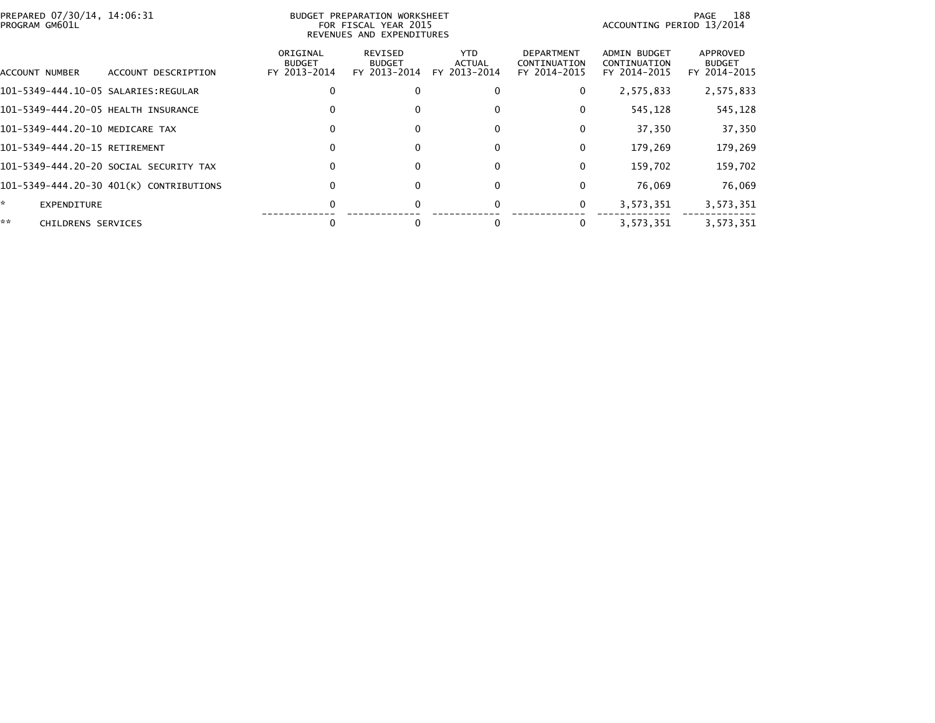| PREPARED 07/30/14, 14:06:31<br>PROGRAM GM601L |                                         |                                           | BUDGET PREPARATION WORKSHEET<br>FOR FISCAL YEAR 2015<br>REVENUES AND EXPENDITURES | 188<br>PAGE<br>ACCOUNTING PERIOD 13/2014 |                                                   |                                                     |                                           |
|-----------------------------------------------|-----------------------------------------|-------------------------------------------|-----------------------------------------------------------------------------------|------------------------------------------|---------------------------------------------------|-----------------------------------------------------|-------------------------------------------|
| ACCOUNT NUMBER                                | ACCOUNT DESCRIPTION                     | ORIGINAL<br><b>BUDGET</b><br>FY 2013-2014 | REVISED<br><b>BUDGET</b><br>FY 2013-2014                                          | YTD.<br><b>ACTUAL</b><br>FY 2013-2014    | <b>DEPARTMENT</b><br>CONTINUATION<br>FY 2014-2015 | <b>ADMIN BUDGET</b><br>CONTINUATION<br>FY 2014-2015 | APPROVED<br><b>BUDGET</b><br>FY 2014-2015 |
|                                               |                                         |                                           |                                                                                   |                                          | 0                                                 | 2,575,833                                           | 2,575,833                                 |
| 101-5349-444.20-05 HEALTH INSURANCE           |                                         |                                           | 0                                                                                 |                                          | 0                                                 | 545,128                                             | 545,128                                   |
| 101-5349-444.20-10 MEDICARE TAX               |                                         | 0                                         | 0                                                                                 |                                          | 0                                                 | 37,350                                              | 37,350                                    |
| 101-5349-444.20-15 RETIREMENT                 |                                         |                                           | 0                                                                                 |                                          | 0                                                 | 179,269                                             | 179,269                                   |
|                                               | 101–5349–444.20–20 SOCIAL SECURITY TAX  | 0                                         |                                                                                   |                                          | 0                                                 | 159,702                                             | 159,702                                   |
|                                               | 101-5349-444.20-30 401(K) CONTRIBUTIONS | O                                         | 0                                                                                 |                                          | 0                                                 | 76.069                                              | 76,069                                    |
| *.<br><b>EXPENDITURE</b>                      |                                         |                                           |                                                                                   |                                          | 0                                                 | 3,573,351                                           | 3,573,351                                 |
| **<br>CHILDRENS SERVICES                      |                                         |                                           |                                                                                   |                                          | 0                                                 | 3,573,351                                           | 3,573,351                                 |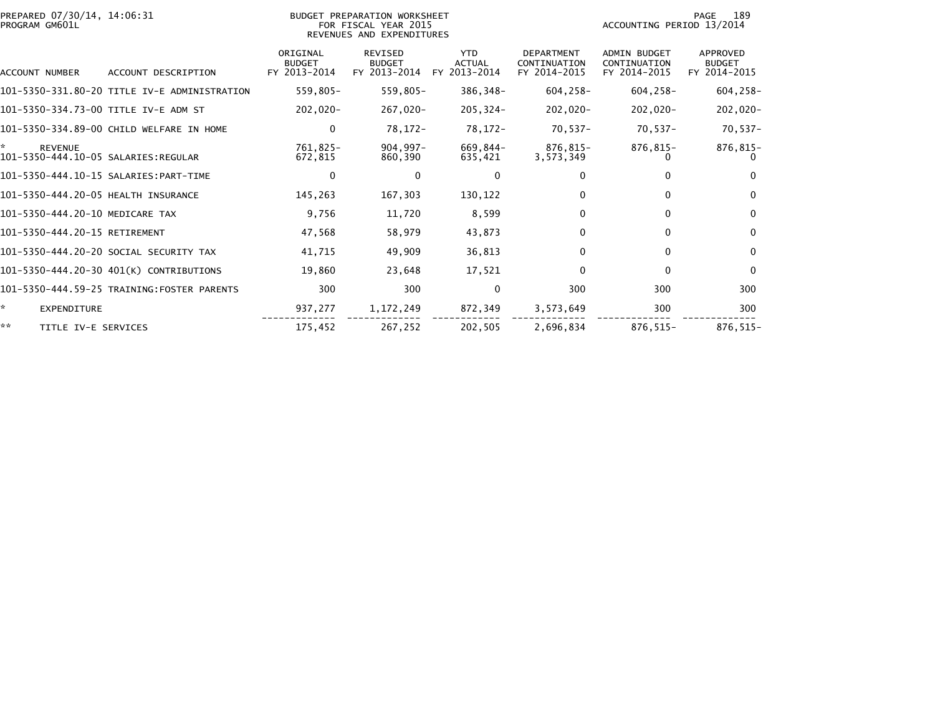| PREPARED 07/30/14, 14:06:31<br>PROGRAM GM601L |                                           | BUDGET PREPARATION WORKSHEET<br>FOR FISCAL YEAR 2015<br>REVENUES AND EXPENDITURES |                                             | 189<br>PAGE<br>ACCOUNTING PERIOD 13/2014          |                                                     |                                           |
|-----------------------------------------------|-------------------------------------------|-----------------------------------------------------------------------------------|---------------------------------------------|---------------------------------------------------|-----------------------------------------------------|-------------------------------------------|
| <b>ACCOUNT NUMBER</b><br>ACCOUNT DESCRIPTION  | ORIGINAL<br><b>BUDGET</b><br>FY 2013-2014 | <b>REVISED</b><br><b>BUDGET</b><br>FY 2013-2014                                   | <b>YTD</b><br><b>ACTUAL</b><br>FY 2013-2014 | <b>DEPARTMENT</b><br>CONTINUATION<br>FY 2014-2015 | <b>ADMIN BUDGET</b><br>CONTINUATION<br>FY 2014-2015 | APPROVED<br><b>BUDGET</b><br>FY 2014-2015 |
| 101-5350-331.80-20 TITLE IV-E ADMINISTRATION  | 559,805-                                  | 559,805-                                                                          | 386,348-                                    | $604, 258 -$                                      | $604, 258 -$                                        | $604, 258 -$                              |
| 101–5350–334.73–00 TITLE IV-E ADM ST          | -020, 202                                 | 267,020-                                                                          | $205.324 -$                                 | -020, 202                                         | 202,020-                                            | $202,020-$                                |
| 101-5350-334.89-00 CHILD WELFARE IN HOME      | 0                                         | 78,172-                                                                           | 78,172-                                     | 70.537-                                           | $70,537-$                                           | $70,537-$                                 |
| ×.<br><b>REVENUE</b>                          | 761,825-<br>672,815                       | $904.997 -$<br>860,390                                                            | 669,844-<br>635,421                         | 876,815-<br>3,573,349                             | 876,815-<br>0                                       | 876,815-                                  |
|                                               | 0                                         | $\Omega$                                                                          | $\mathbf 0$                                 |                                                   | $\Omega$                                            | $\Omega$                                  |
| 101-5350-444.20-05 HEALTH INSURANCE           | 145,263                                   | 167,303                                                                           | 130,122                                     |                                                   | $\mathbf{0}$                                        | $\Omega$                                  |
| 101-5350-444.20-10 MEDICARE TAX               | 9,756                                     | 11,720                                                                            | 8,599                                       | 0                                                 | $\Omega$                                            | $\Omega$                                  |
| 101-5350-444.20-15 RETIREMENT                 | 47,568                                    | 58,979                                                                            | 43,873                                      | 0                                                 | $\mathbf{0}$                                        | $\Omega$                                  |
| 101-5350-444.20-20 SOCIAL SECURITY TAX        | 41.715                                    | 49,909                                                                            | 36,813                                      | 0                                                 | $\mathbf{0}$                                        | $\Omega$                                  |
| 101-5350-444.20-30 401(K) CONTRIBUTIONS       | 19,860                                    | 23,648                                                                            | 17,521                                      | 0                                                 | $\Omega$                                            | $\Omega$                                  |
| 101-5350-444.59-25 TRAINING:FOSTER PARENTS    | 300                                       | 300                                                                               | 0                                           | 300                                               | 300                                                 | 300                                       |
| ŵ.<br>EXPENDITURE                             | 937,277                                   | 1,172,249                                                                         | 872,349                                     | 3,573,649                                         | 300                                                 | 300                                       |
| **<br>TITLE IV-E SERVICES                     | 175,452                                   | 267,252                                                                           | 202,505                                     | 2,696,834                                         | 876,515-                                            | 876,515-                                  |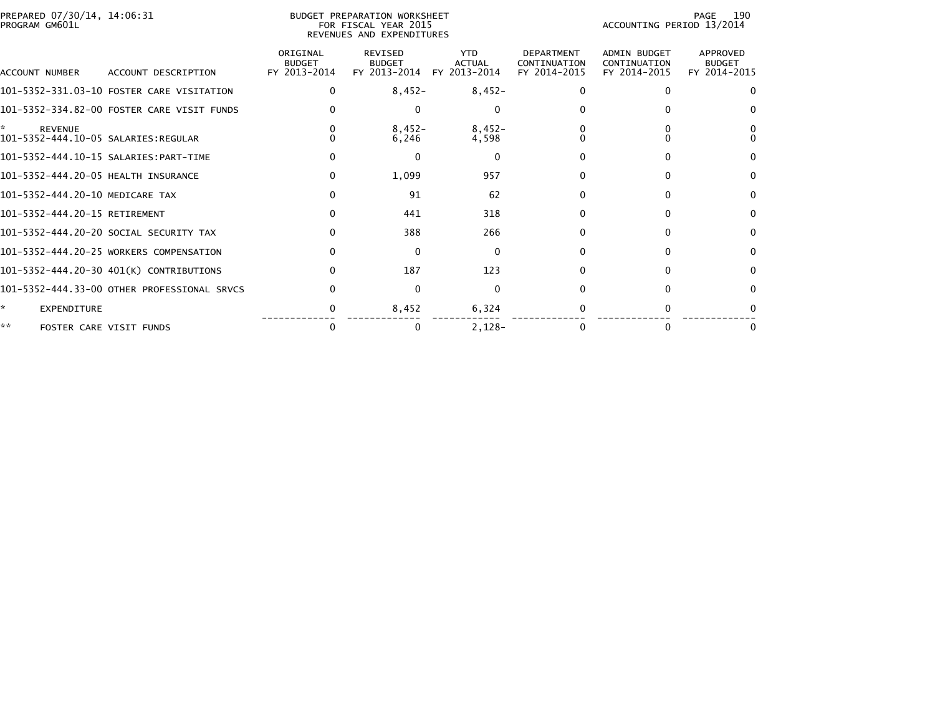| PREPARED 07/30/14, 14:06:31<br>BUDGET PREPARATION WORKSHEET<br>PROGRAM GM601L<br>FOR FISCAL YEAR 2015<br>REVENUES AND EXPENDITURES |                                             |                                           |                                                 |                                             |                                                   |                                                     | 190<br>PAGE<br>ACCOUNTING PERIOD 13/2014  |  |  |
|------------------------------------------------------------------------------------------------------------------------------------|---------------------------------------------|-------------------------------------------|-------------------------------------------------|---------------------------------------------|---------------------------------------------------|-----------------------------------------------------|-------------------------------------------|--|--|
| ACCOUNT NUMBER                                                                                                                     | ACCOUNT DESCRIPTION                         | ORIGINAL<br><b>BUDGET</b><br>FY 2013-2014 | <b>REVISED</b><br><b>BUDGET</b><br>FY 2013-2014 | <b>YTD</b><br><b>ACTUAL</b><br>FY 2013-2014 | <b>DEPARTMENT</b><br>CONTINUATION<br>FY 2014-2015 | <b>ADMIN BUDGET</b><br>CONTINUATION<br>FY 2014-2015 | APPROVED<br><b>BUDGET</b><br>FY 2014-2015 |  |  |
|                                                                                                                                    | 101-5352-331.03-10 FOSTER CARE VISITATION   | 0                                         | $8,452-$                                        | $8,452-$                                    |                                                   | 0                                                   | $\Omega$                                  |  |  |
|                                                                                                                                    | 101-5352-334.82-00 FOSTER CARE VISIT FUNDS  |                                           | 0                                               | $\Omega$                                    |                                                   |                                                     | $\Omega$                                  |  |  |
| *<br><b>REVENUE</b>                                                                                                                |                                             |                                           | $8,452-$<br>6,246                               | $8,452-$<br>4,598                           |                                                   |                                                     |                                           |  |  |
|                                                                                                                                    |                                             |                                           | $\Omega$                                        | $\Omega$                                    |                                                   | 0                                                   | $\Omega$                                  |  |  |
| 101-5352-444.20-05 HEALTH INSURANCE                                                                                                |                                             | 0                                         | 1,099                                           | 957                                         |                                                   | $\Omega$                                            | $\Omega$                                  |  |  |
| 101-5352-444.20-10 MEDICARE TAX                                                                                                    |                                             | 0                                         | 91                                              | 62                                          |                                                   | 0                                                   | 0                                         |  |  |
| 101-5352-444.20-15 RETIREMENT                                                                                                      |                                             | <sup>0</sup>                              | 441                                             | 318                                         |                                                   | 0                                                   | $\Omega$                                  |  |  |
|                                                                                                                                    | 101-5352-444.20-20 SOCIAL SECURITY TAX      | <sup>0</sup>                              | 388                                             | 266                                         |                                                   | 0                                                   | 0                                         |  |  |
|                                                                                                                                    | 101-5352-444.20-25 WORKERS COMPENSATION     |                                           | $\Omega$                                        | $\mathbf{0}$                                |                                                   | $\Omega$                                            | $\Omega$                                  |  |  |
|                                                                                                                                    | 101-5352-444.20-30 401(K) CONTRIBUTIONS     | <sup>0</sup>                              | 187                                             | 123                                         |                                                   | 0                                                   | <sup>0</sup>                              |  |  |
|                                                                                                                                    | 101-5352-444.33-00 OTHER PROFESSIONAL SRVCS |                                           | $\Omega$                                        | $\Omega$                                    |                                                   | <sup>0</sup>                                        | $\Omega$                                  |  |  |
| ☆.<br>EXPENDITURE                                                                                                                  |                                             |                                           | 8,452                                           | 6,324                                       |                                                   |                                                     |                                           |  |  |
| **                                                                                                                                 | FOSTER CARE VISIT FUNDS                     | 0                                         | 0                                               | $2.128 -$                                   |                                                   | 0                                                   | 0                                         |  |  |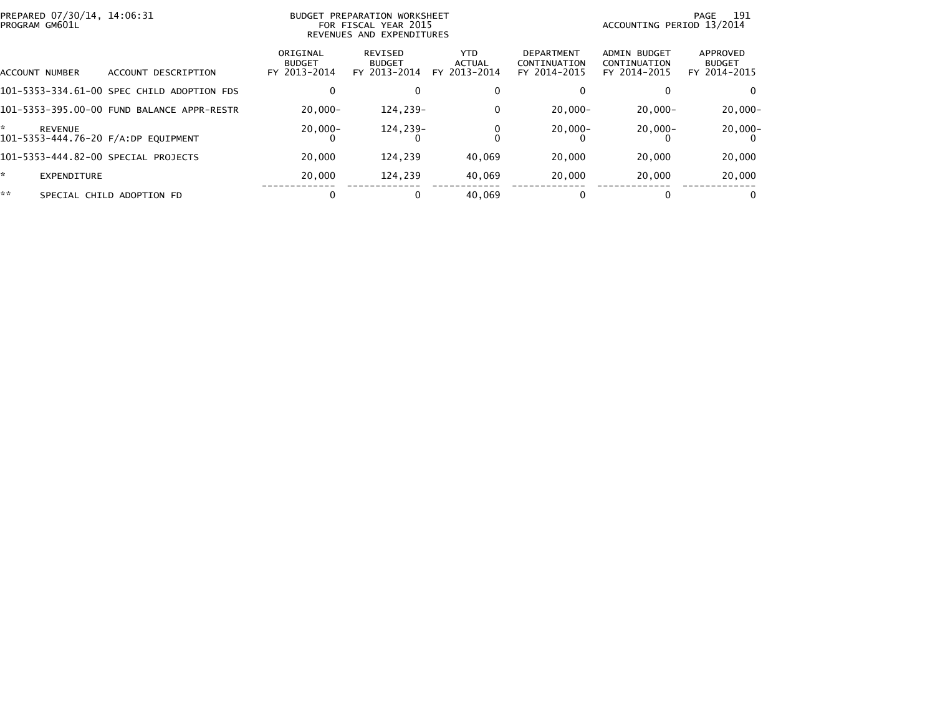| PREPARED 07/30/14, 14:06:31<br>PROGRAM GM601L       |                                            | BUDGET PREPARATION WORKSHEET<br>ACCOUNTING PERIOD 13/2014<br>FOR FISCAL YEAR 2015<br>REVENUES AND EXPENDITURES |                                          |                                      |                                                   |                                              |                                           |
|-----------------------------------------------------|--------------------------------------------|----------------------------------------------------------------------------------------------------------------|------------------------------------------|--------------------------------------|---------------------------------------------------|----------------------------------------------|-------------------------------------------|
| ACCOUNT NUMBER                                      | ACCOUNT DESCRIPTION                        | ORIGINAL<br><b>BUDGET</b><br>FY 2013-2014                                                                      | REVISED<br><b>BUDGET</b><br>FY 2013-2014 | <b>YTD</b><br>ACTUAL<br>FY 2013-2014 | <b>DEPARTMENT</b><br>CONTINUATION<br>FY 2014-2015 | ADMIN BUDGET<br>CONTINUATION<br>FY 2014-2015 | APPROVED<br><b>BUDGET</b><br>FY 2014-2015 |
|                                                     | 101-5353-334.61-00 SPEC CHILD ADOPTION FDS |                                                                                                                | 0                                        | 0                                    |                                                   |                                              |                                           |
|                                                     | 101-5353-395.00-00 FUND BALANCE APPR-RESTR | $20.000 -$                                                                                                     | 124,239-                                 | 0                                    | $20,000 -$                                        | $20.000 -$                                   | $20,000 -$                                |
| *<br>REVENUE<br>101-5353-444.76-20 F/A:DP EOUIPMENT |                                            | $20,000 -$                                                                                                     | 124,239-                                 |                                      | $20,000 -$                                        | $20,000 -$                                   | $20,000 -$                                |
| 101-5353-444.82-00 SPECIAL PROJECTS                 |                                            | 20,000                                                                                                         | 124.239                                  | 40.069                               | 20,000                                            | 20,000                                       | 20,000                                    |
| ÷.<br>EXPENDITURE                                   |                                            | 20,000                                                                                                         | 124,239                                  | 40,069                               | 20,000                                            | 20,000                                       | 20,000                                    |
| **                                                  | SPECIAL CHILD ADOPTION FD                  |                                                                                                                | $\bf{0}$                                 | 40.069                               |                                                   | 0                                            | 0                                         |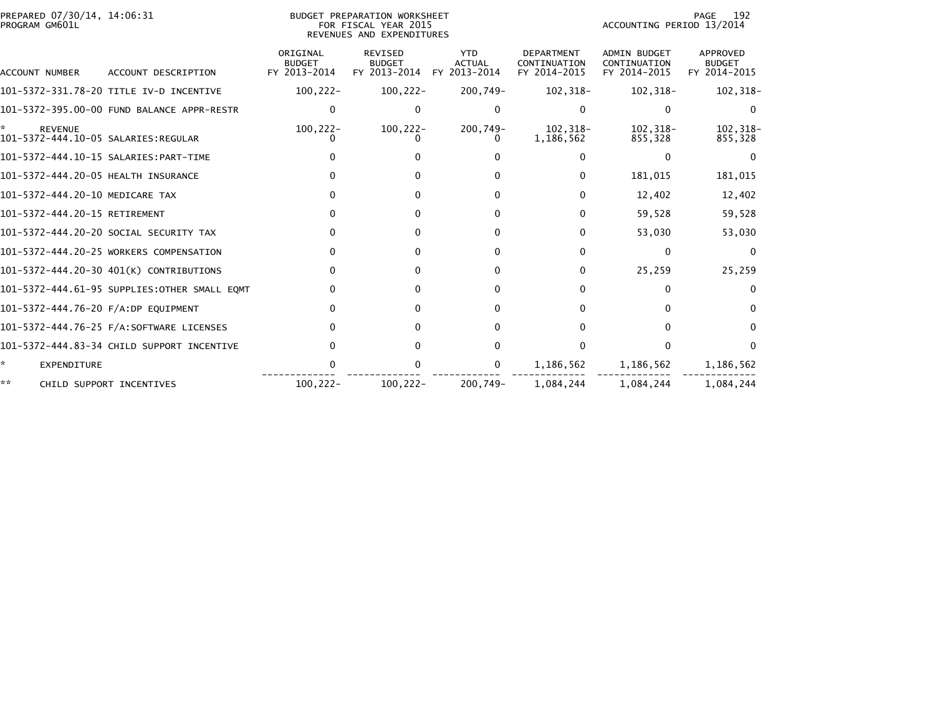| PREPARED 07/30/14, 14:06:31<br>PROGRAM GM601L |                                              |                                           | <b>BUDGET PREPARATION WORKSHEET</b><br>FOR FISCAL YEAR 2015<br>REVENUES AND EXPENDITURES | 192<br>PAGE<br>ACCOUNTING PERIOD 13/2014    |                                                   |                                                     |                                           |
|-----------------------------------------------|----------------------------------------------|-------------------------------------------|------------------------------------------------------------------------------------------|---------------------------------------------|---------------------------------------------------|-----------------------------------------------------|-------------------------------------------|
| <b>ACCOUNT NUMBER</b>                         | ACCOUNT DESCRIPTION                          | ORIGINAL<br><b>BUDGET</b><br>FY 2013-2014 | <b>REVISED</b><br><b>BUDGET</b><br>FY 2013-2014                                          | <b>YTD</b><br><b>ACTUAL</b><br>FY 2013-2014 | <b>DEPARTMENT</b><br>CONTINUATION<br>FY 2014-2015 | <b>ADMIN BUDGET</b><br>CONTINUATION<br>FY 2014-2015 | APPROVED<br><b>BUDGET</b><br>FY 2014-2015 |
|                                               | 101-5372-331.78-20 TITLE IV-D INCENTIVE      | $100, 222 -$                              | $100, 222 -$                                                                             | 200,749-                                    | 102,318-                                          | 102,318-                                            | 102,318-                                  |
|                                               | 101-5372-395.00-00 FUND BALANCE APPR-RESTR   | $\mathbf{0}$                              | $\Omega$                                                                                 | <sup>0</sup>                                | 0                                                 | 0                                                   | $\Omega$                                  |
| ÷.<br><b>REVENUE</b>                          |                                              | $100, 222 -$                              | $100, 222 -$                                                                             | 200,749-                                    | 102,318-<br>1,186,562                             | 102,318-<br>855,328                                 | 102,318-<br>855,328                       |
|                                               |                                              |                                           |                                                                                          |                                             | 0                                                 | $\Omega$                                            |                                           |
| 101-5372-444.20-05 HEALTH INSURANCE           |                                              | 0                                         |                                                                                          |                                             | 0                                                 | 181,015                                             | 181,015                                   |
| 101-5372-444.20-10 MEDICARE TAX               |                                              | $\Omega$                                  | 0                                                                                        | <sup>0</sup>                                | 0                                                 | 12,402                                              | 12,402                                    |
| 101-5372-444.20-15 RETIREMENT                 |                                              | $\Omega$                                  | $\Omega$                                                                                 | <sup>0</sup>                                | 0                                                 | 59,528                                              | 59,528                                    |
|                                               | 101-5372-444.20-20 SOCIAL SECURITY TAX       | 0                                         | 0                                                                                        | 0                                           | 0                                                 | 53,030                                              | 53,030                                    |
|                                               | 101-5372-444.20-25 WORKERS COMPENSATION      | 0                                         | 0                                                                                        | <sup>0</sup>                                | 0                                                 | 0                                                   | $\Omega$                                  |
|                                               | 101-5372-444.20-30 401(K) CONTRIBUTIONS      | 0                                         | $\Omega$                                                                                 | <sup>0</sup>                                | 0                                                 | 25,259                                              | 25,259                                    |
|                                               | 101-5372-444.61-95 SUPPLIES:OTHER SMALL EQMT | 0                                         | $\Omega$                                                                                 | U                                           | 0                                                 | $\Omega$                                            | $\Omega$                                  |
| 101-5372-444.76-20 F/A:DP EQUIPMENT           |                                              | $\Omega$                                  | $\Omega$                                                                                 | <sup>0</sup>                                | 0                                                 | $\Omega$                                            | $\Omega$                                  |
|                                               |                                              | 0                                         | $\Omega$                                                                                 | <sup>0</sup>                                | 0                                                 | 0                                                   | $\Omega$                                  |
|                                               | 101-5372-444.83-34 CHILD SUPPORT INCENTIVE   | $\Omega$                                  |                                                                                          | <sup>0</sup>                                | 0                                                 | <sup>0</sup>                                        | $\Omega$                                  |
| *<br><b>EXPENDITURE</b>                       |                                              | <sup>0</sup>                              |                                                                                          | 0                                           | 1,186,562                                         | 1,186,562                                           | 1,186,562                                 |
| **                                            | CHILD SUPPORT INCENTIVES                     | $100.222 -$                               | $100.222 -$                                                                              | $200.749 -$                                 | 1.084.244                                         | 1.084.244                                           | 1.084.244                                 |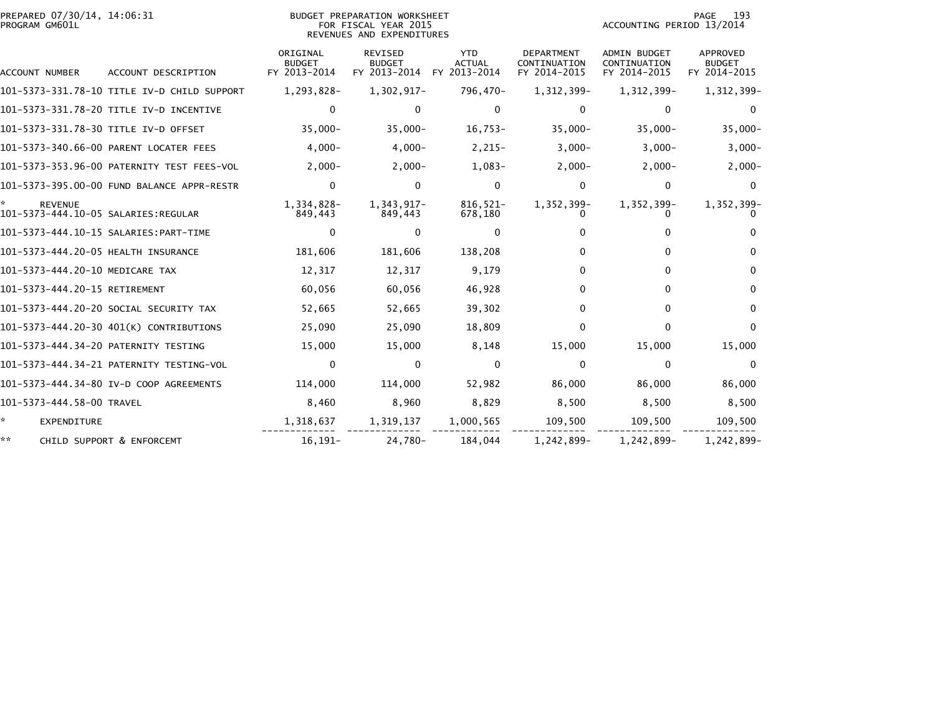| PREPARED 07/30/14, 14:06:31<br>PROGRAM GM601L         |                                             |                                           | <b>BUDGET PREPARATION WORKSHEET</b><br>FOR FISCAL YEAR 2015<br>REVENUES AND EXPENDITURES |                                             |                                                   | ACCOUNTING PERIOD 13/2014                           | 193<br>PAGE                               |
|-------------------------------------------------------|---------------------------------------------|-------------------------------------------|------------------------------------------------------------------------------------------|---------------------------------------------|---------------------------------------------------|-----------------------------------------------------|-------------------------------------------|
| <b>ACCOUNT NUMBER</b>                                 | ACCOUNT DESCRIPTION                         | ORIGINAL<br><b>BUDGET</b><br>FY 2013-2014 | <b>REVISED</b><br><b>BUDGET</b><br>FY 2013-2014                                          | <b>YTD</b><br><b>ACTUAL</b><br>FY 2013-2014 | <b>DEPARTMENT</b><br>CONTINUATION<br>FY 2014-2015 | <b>ADMIN BUDGET</b><br>CONTINUATION<br>FY 2014-2015 | APPROVED<br><b>BUDGET</b><br>FY 2014-2015 |
|                                                       | 101-5373-331.78-10 TITLE IV-D CHILD SUPPORT | 1,293,828-                                | 1,302,917-                                                                               | 796,470-                                    | 1,312,399-                                        | 1,312,399-                                          | 1,312,399-                                |
|                                                       | 101-5373-331.78-20 TITLE IV-D INCENTIVE     | 0                                         | $\Omega$                                                                                 | $\mathbf 0$                                 | $\mathbf{0}$                                      | $\mathbf 0$                                         | $\Omega$                                  |
|                                                       | 101-5373-331.78-30 TITLE IV-D OFFSET        | $35,000 -$                                | $35,000 -$                                                                               | $16,753-$                                   | $35,000 -$                                        | $35,000 -$                                          | $35,000-$                                 |
|                                                       | 101-5373-340.66-00 PARENT LOCATER FEES      | $4,000-$                                  | $4,000-$                                                                                 | $2,215-$                                    | $3,000-$                                          | $3,000-$                                            | $3,000-$                                  |
|                                                       | 101-5373-353.96-00 PATERNITY TEST FEES-VOL  | $2,000-$                                  | $2,000-$                                                                                 | $1,083-$                                    | $2,000-$                                          | $2,000-$                                            | $2,000-$                                  |
|                                                       | 101-5373-395.00-00 FUND BALANCE APPR-RESTR  | $\mathbf 0$                               | $\Omega$                                                                                 | $\Omega$                                    | 0                                                 | 0                                                   | 0                                         |
| <b>REVENUE</b><br>101-5373-444.10-05 SALARIES:REGULAR |                                             | 1,334,828-<br>849,443                     | 1,343,917-<br>849,443                                                                    | 816,521-<br>678,180                         | 1,352,399-                                        | 1,352,399-                                          | 1,352,399-                                |
|                                                       |                                             | 0                                         | 0                                                                                        | 0                                           | 0                                                 | 0                                                   |                                           |
| 101-5373-444.20-05 HEALTH INSURANCE                   |                                             | 181,606                                   | 181,606                                                                                  | 138,208                                     | 0                                                 | 0                                                   | <sup>0</sup>                              |
| 101-5373-444.20-10 MEDICARE TAX                       |                                             | 12,317                                    | 12,317                                                                                   | 9,179                                       | 0                                                 | 0                                                   | 0                                         |
| 101-5373-444.20-15 RETIREMENT                         |                                             | 60,056                                    | 60,056                                                                                   | 46,928                                      | $\Omega$                                          | 0                                                   | 0                                         |
|                                                       | 101-5373-444.20-20 SOCIAL SECURITY TAX      | 52,665                                    | 52,665                                                                                   | 39,302                                      | 0                                                 | 0                                                   | 0                                         |
|                                                       | 101-5373-444.20-30 401(K) CONTRIBUTIONS     | 25,090                                    | 25,090                                                                                   | 18,809                                      | 0                                                 | $\mathbf{0}$                                        | $\Omega$                                  |
|                                                       | 101-5373-444.34-20 PATERNITY TESTING        | 15,000                                    | 15,000                                                                                   | 8,148                                       | 15,000                                            | 15,000                                              | 15,000                                    |
|                                                       |                                             | 0                                         | $\Omega$                                                                                 | $\Omega$                                    | $\Omega$                                          | 0                                                   | $\Omega$                                  |
|                                                       | 101-5373-444.34-80 IV-D COOP AGREEMENTS     | 114,000                                   | 114,000                                                                                  | 52,982                                      | 86,000                                            | 86,000                                              | 86,000                                    |
| 101-5373-444.58-00 TRAVEL                             |                                             | 8,460                                     | 8,960                                                                                    | 8,829                                       | 8,500                                             | 8,500                                               | 8,500                                     |
| ☆.<br><b>EXPENDITURE</b>                              |                                             | 1,318,637                                 | 1,319,137                                                                                | 1,000,565                                   | 109,500                                           | 109,500                                             | 109,500                                   |
| **                                                    | CHILD SUPPORT & ENFORCEMT                   | $16, 191 -$                               | 24,780-                                                                                  | 184,044                                     | 1,242,899-                                        | 1,242,899-                                          | 1,242,899-                                |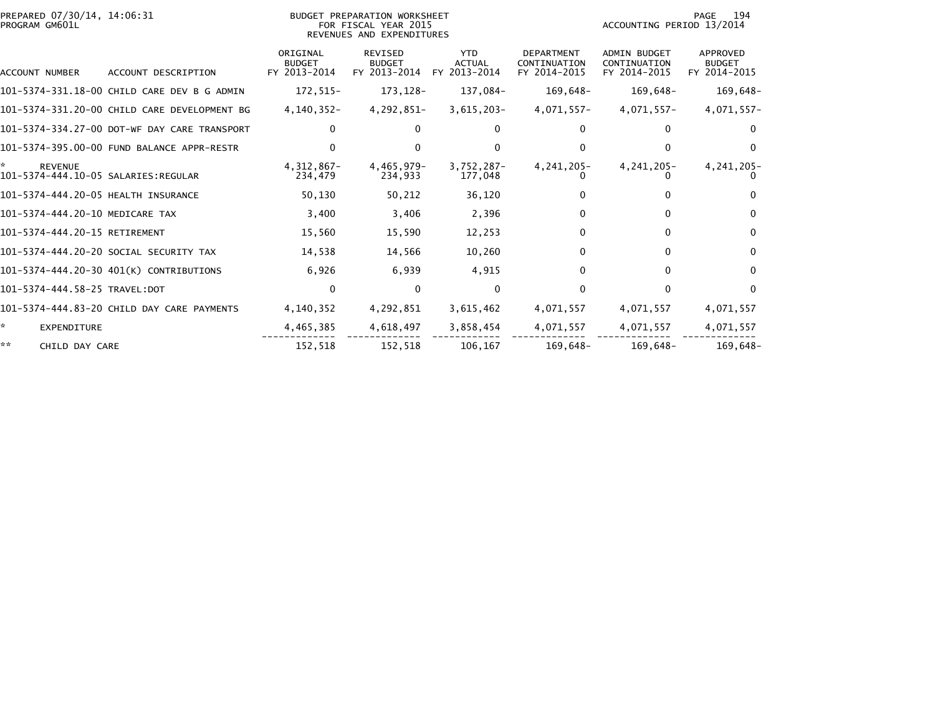| PREPARED 07/30/14, 14:06:31<br>PROGRAM GM601L         |                                              |                                           | BUDGET PREPARATION WORKSHEET<br>FOR FISCAL YEAR 2015<br>REVENUES AND EXPENDITURES |                                             |                                                   | ACCOUNTING PERIOD 13/2014                           | 194<br>PAGE                               |
|-------------------------------------------------------|----------------------------------------------|-------------------------------------------|-----------------------------------------------------------------------------------|---------------------------------------------|---------------------------------------------------|-----------------------------------------------------|-------------------------------------------|
| <b>ACCOUNT NUMBER</b>                                 | ACCOUNT DESCRIPTION                          | ORIGINAL<br><b>BUDGET</b><br>FY 2013-2014 | <b>REVISED</b><br><b>BUDGET</b><br>FY 2013-2014                                   | <b>YTD</b><br><b>ACTUAL</b><br>FY 2013-2014 | <b>DEPARTMENT</b><br>CONTINUATION<br>FY 2014-2015 | <b>ADMIN BUDGET</b><br>CONTINUATION<br>FY 2014-2015 | APPROVED<br><b>BUDGET</b><br>FY 2014-2015 |
|                                                       | 101-5374-331.18-00 CHILD CARE DEV B G ADMIN  | 172,515-                                  | 173, 128-                                                                         | 137,084-                                    | 169,648-                                          | 169,648-                                            | 169,648-                                  |
|                                                       | 101-5374-331.20-00 CHILD CARE DEVELOPMENT BG | 4,140,352-                                | 4,292,851-                                                                        | $3,615,203-$                                | 4,071,557-                                        | 4,071,557-                                          | 4,071,557-                                |
|                                                       | 101-5374-334.27-00 DOT-WF DAY CARE TRANSPORT | $\Omega$                                  | 0                                                                                 | 0                                           | $\Omega$                                          | 0                                                   | $\Omega$                                  |
|                                                       | 101-5374-395.00-00 FUND BALANCE APPR-RESTR   | 0                                         | $\Omega$                                                                          | $\Omega$                                    | 0                                                 | 0                                                   | $\Omega$                                  |
| <b>REVENUE</b><br>101-5374-444.10-05 SALARIES:REGULAR |                                              | $4,312,867-$<br>234,479                   | 4,465,979-<br>234,933                                                             | $3,752,287-$<br>177.048                     | 4, 241, 205-                                      | 4, 241, 205-                                        | 4, 241, 205-                              |
| 101-5374-444.20-05 HEALTH INSURANCE                   |                                              | 50,130                                    | 50,212                                                                            | 36,120                                      |                                                   | 0                                                   | 0                                         |
| 101-5374-444.20-10 MEDICARE TAX                       |                                              | 3,400                                     | 3,406                                                                             | 2,396                                       | 0                                                 | 0                                                   | 0                                         |
| 101-5374-444.20-15 RETIREMENT                         |                                              | 15,560                                    | 15,590                                                                            | 12,253                                      | 0                                                 | 0                                                   | 0                                         |
|                                                       | 101-5374-444.20-20 SOCIAL SECURITY TAX       | 14,538                                    | 14,566                                                                            | 10,260                                      | $\Omega$                                          | 0                                                   | $\mathbf{0}$                              |
|                                                       | 101-5374-444.20-30 401(K) CONTRIBUTIONS      | 6,926                                     | 6,939                                                                             | 4,915                                       | $\Omega$                                          | 0                                                   | $\mathbf{0}$                              |
| 101-5374-444.58-25 TRAVEL:DOT                         |                                              | $\mathbf 0$                               | $\Omega$                                                                          | $\Omega$                                    | 0                                                 | $\Omega$                                            | $\Omega$                                  |
|                                                       | 101-5374-444.83-20 CHILD DAY CARE PAYMENTS   | 4,140,352                                 | 4,292,851                                                                         | 3,615,462                                   | 4,071,557                                         | 4,071,557                                           | 4,071,557                                 |
| *.<br><b>EXPENDITURE</b>                              |                                              | 4,465,385                                 | 4,618,497                                                                         | 3,858,454                                   | 4,071,557                                         | 4,071,557                                           | 4,071,557                                 |
| **<br>CHILD DAY CARE                                  |                                              | 152,518                                   | 152,518                                                                           | 106,167                                     | 169,648-                                          | 169,648–                                            | 169,648-                                  |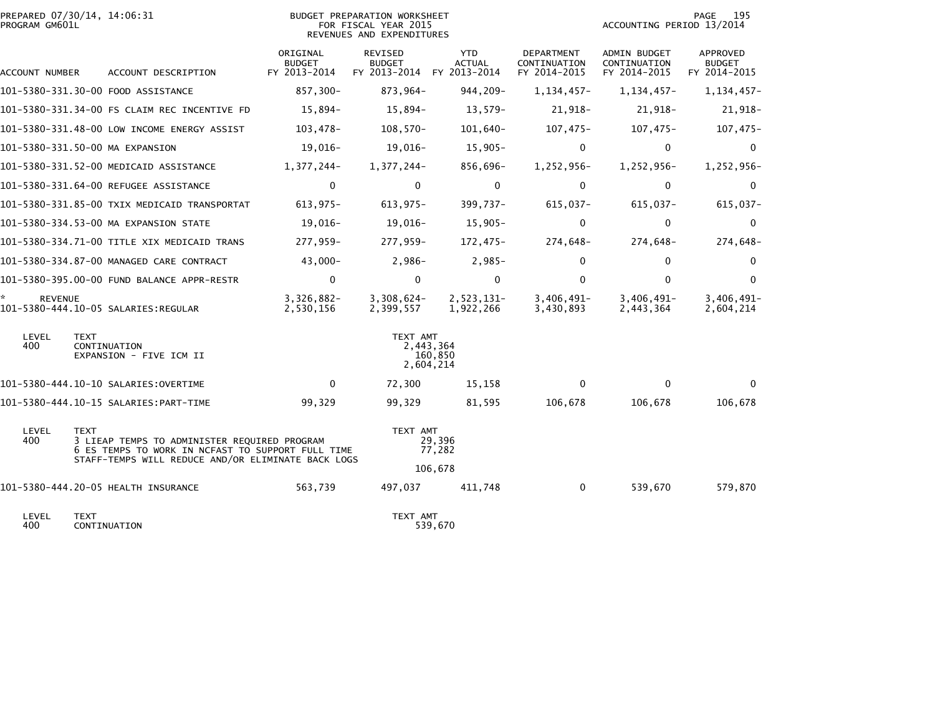| PROGRAM GM601L       | PREPARED 07/30/14, 14:06:31                                                                                      |                                           | BUDGET PREPARATION WORKSHEET<br>FOR FISCAL YEAR 2015<br>REVENUES AND EXPENDITURES |                         |                                                   | 195<br>PAGE<br>ACCOUNTING PERIOD 13/2014     |                                           |  |
|----------------------|------------------------------------------------------------------------------------------------------------------|-------------------------------------------|-----------------------------------------------------------------------------------|-------------------------|---------------------------------------------------|----------------------------------------------|-------------------------------------------|--|
| ACCOUNT NUMBER       | ACCOUNT DESCRIPTION                                                                                              | ORIGINAL<br><b>BUDGET</b><br>FY 2013-2014 | REVISED<br><b>BUDGET</b><br>FY 2013-2014 FY 2013-2014                             | YTD.<br><b>ACTUAL</b>   | <b>DEPARTMENT</b><br>CONTINUATION<br>FY 2014-2015 | ADMIN BUDGET<br>CONTINUATION<br>FY 2014-2015 | APPROVED<br><b>BUDGET</b><br>FY 2014-2015 |  |
|                      | 101-5380-331.30-00 FOOD ASSISTANCE                                                                               | 857,300-                                  | 873,964-                                                                          | 944,209-                | 1, 134, 457-                                      | $1, 134, 457 -$                              | 1,134,457-                                |  |
|                      | 101-5380-331.34-00 FS CLAIM REC INCENTIVE FD                                                                     | 15,894-                                   | 15,894-                                                                           | $13,579-$               | 21,918-                                           | 21,918-                                      | 21,918-                                   |  |
|                      | 101-5380-331.48-00 LOW INCOME ENERGY ASSIST                                                                      | $103,478-$                                | $108,570-$                                                                        | $101,640-$              | $107,475-$                                        | $107,475-$                                   | $107,475-$                                |  |
|                      | 101-5380-331.50-00 MA EXPANSION                                                                                  | 19,016-                                   | 19,016-                                                                           | $15,905-$               | $\mathbf 0$                                       | $\mathbf 0$                                  | $\mathbf{0}$                              |  |
|                      | 101-5380-331.52-00 MEDICAID ASSISTANCE                                                                           | 1,377,244-                                | 1,377,244-                                                                        | 856,696-                | 1,252,956-                                        | 1,252,956-                                   | 1,252,956-                                |  |
|                      | 101-5380-331.64-00 REFUGEE ASSISTANCE                                                                            | $\Omega$                                  | $\Omega$                                                                          | $\mathbf{0}$            | $\Omega$                                          | $\Omega$                                     | $\Omega$                                  |  |
|                      | 101–5380–331.85–00 TXIX MEDICAID TRANSPORTAT                                                                     | $613,975-$                                | $613,975-$                                                                        | $399,737 -$             | 615,037-                                          | 615,037-                                     | 615,037-                                  |  |
|                      | 101-5380-334.53-00 MA EXPANSION STATE                                                                            | 19,016-                                   | 19,016-                                                                           | 15,905-                 | 0                                                 | $\mathbf 0$                                  | $\mathbf 0$                               |  |
|                      | 101-5380-334.71-00 TITLE XIX MEDICAID TRANS                                                                      | 277,959-                                  | 277,959-                                                                          | 172,475-                | 274,648-                                          | 274,648-                                     | 274,648-                                  |  |
|                      | 101-5380-334.87-00 MANAGED CARE CONTRACT                                                                         | $43,000 -$                                | 2,986-                                                                            | $2,985-$                | $\Omega$                                          | $\mathbf 0$                                  | $\mathbf 0$                               |  |
|                      | 101-5380-395.00-00 FUND BALANCE APPR-RESTR                                                                       | 0                                         | $\mathbf 0$                                                                       | $\mathbf{0}$            | $\Omega$                                          | $\mathbf{0}$                                 | $\mathbf{0}$                              |  |
| *.<br><b>REVENUE</b> | 101-5380-444.10-05 SALARIES:REGULAR                                                                              | $3,326,882-$<br>2,530,156                 | $3,308,624-$<br>2,399,557                                                         | 2,523,131-<br>1,922,266 | $3,406,491 -$<br>3,430,893                        | $3,406,491 -$<br>2,443,364                   | $3,406,491 -$<br>2,604,214                |  |
| LEVEL<br>400         | <b>TEXT</b><br>CONTINUATION<br>EXPANSION - FIVE ICM II                                                           |                                           | TEXT AMT<br>2,443,364<br>2,604,214                                                | 160,850                 |                                                   |                                              |                                           |  |
|                      |                                                                                                                  | $\mathbf{0}$                              | 72,300                                                                            | 15,158                  | $\Omega$                                          | $\mathbf{0}$                                 | $\Omega$                                  |  |
|                      |                                                                                                                  | 99,329                                    | 99,329                                                                            | 81,595                  | 106,678                                           | 106,678                                      | 106,678                                   |  |
| LEVEL<br>400         | <b>TEXT</b><br>3 LIEAP TEMPS TO ADMINISTER REQUIRED PROGRAM<br>6 ES TEMPS TO WORK IN NCFAST TO SUPPORT FULL TIME |                                           | TEXT AMT                                                                          | 29,396<br>77,282        |                                                   |                                              |                                           |  |
|                      | STAFF-TEMPS WILL REDUCE AND/OR ELIMINATE BACK LOGS                                                               |                                           |                                                                                   | 106,678                 |                                                   |                                              |                                           |  |
|                      | 101-5380-444.20-05 HEALTH INSURANCE                                                                              | 563,739                                   | 497,037                                                                           | 411,748                 | $\Omega$                                          | 539,670                                      | 579,870                                   |  |
| LEVEL<br>400         | <b>TEXT</b><br>CONTINUATION                                                                                      |                                           | TEXT AMT                                                                          | 539,670                 |                                                   |                                              |                                           |  |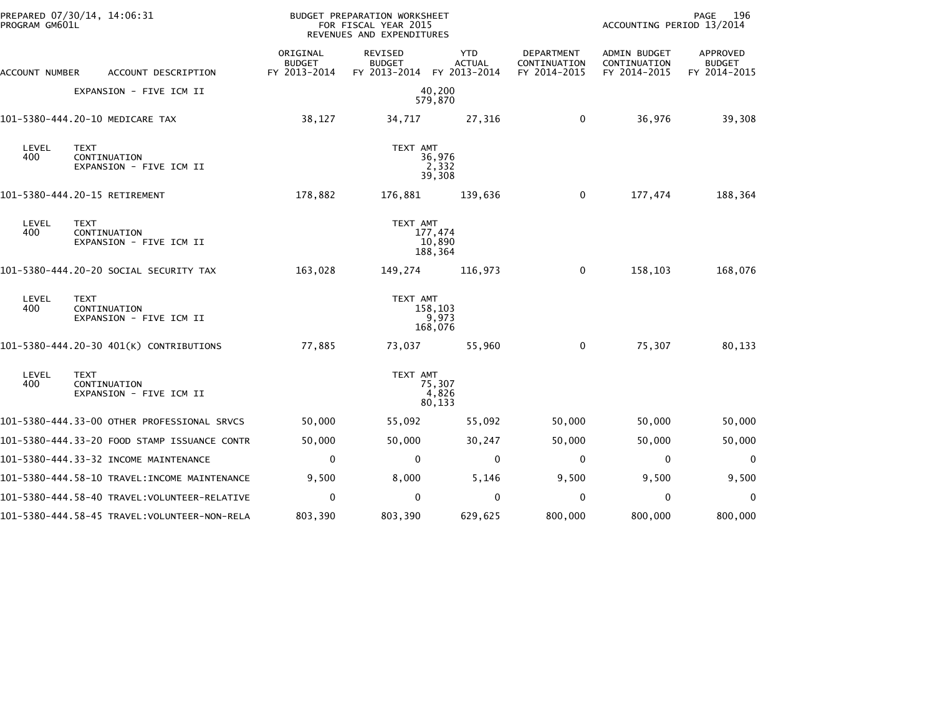| PROGRAM GM601L | PREPARED 07/30/14, 14:06:31                            |                                           | BUDGET PREPARATION WORKSHEET<br>FOR FISCAL YEAR 2015<br>REVENUES AND EXPENDITURES |                                             |                                            | ACCOUNTING PERIOD 13/2014                    | PAGE<br>196                               |
|----------------|--------------------------------------------------------|-------------------------------------------|-----------------------------------------------------------------------------------|---------------------------------------------|--------------------------------------------|----------------------------------------------|-------------------------------------------|
| ACCOUNT NUMBER | ACCOUNT DESCRIPTION                                    | ORIGINAL<br><b>BUDGET</b><br>FY 2013-2014 | REVISED<br><b>BUDGET</b><br>FY 2013-2014                                          | <b>YTD</b><br><b>ACTUAL</b><br>FY 2013-2014 | DEPARTMENT<br>CONTINUATION<br>FY 2014-2015 | ADMIN BUDGET<br>CONTINUATION<br>FY 2014-2015 | APPROVED<br><b>BUDGET</b><br>FY 2014-2015 |
|                | EXPANSION - FIVE ICM II                                |                                           |                                                                                   | 40,200<br>579,870                           |                                            |                                              |                                           |
|                | 101-5380-444.20-10 MEDICARE TAX                        | 38,127                                    | 34,717                                                                            | 27,316                                      | $\mathbf 0$                                | 36,976                                       | 39,308                                    |
| LEVEL<br>400   | <b>TEXT</b><br>CONTINUATION<br>EXPANSION - FIVE ICM II |                                           | TEXT AMT                                                                          | 36,976<br>2,332<br>39,308                   |                                            |                                              |                                           |
|                | 101-5380-444.20-15 RETIREMENT                          | 178,882                                   | 176,881                                                                           | 139,636                                     | 0                                          | 177,474                                      | 188,364                                   |
| LEVEL<br>400   | <b>TEXT</b><br>CONTINUATION<br>EXPANSION - FIVE ICM II |                                           | TEXT AMT                                                                          | 177,474<br>10,890<br>188,364                |                                            |                                              |                                           |
|                | 101-5380-444.20-20 SOCIAL SECURITY TAX                 | 163,028                                   | 149,274                                                                           | 116,973                                     | 0                                          | 158,103                                      | 168,076                                   |
| LEVEL<br>400   | <b>TEXT</b><br>CONTINUATION<br>EXPANSION - FIVE ICM II |                                           | TEXT AMT                                                                          | 158,103<br>9,973<br>168,076                 |                                            |                                              |                                           |
|                | 101-5380-444.20-30 401(K) CONTRIBUTIONS                | 77,885                                    | 73,037                                                                            | 55,960                                      | 0                                          | 75,307                                       | 80,133                                    |
| LEVEL<br>400   | <b>TEXT</b><br>CONTINUATION<br>EXPANSION - FIVE ICM II |                                           | TEXT AMT                                                                          | 75,307<br>4,826<br>80,133                   |                                            |                                              |                                           |
|                | 101-5380-444.33-00 OTHER PROFESSIONAL SRVCS            | 50,000                                    | 55,092                                                                            | 55,092                                      | 50,000                                     | 50,000                                       | 50,000                                    |
|                | 101-5380-444.33-20 FOOD STAMP ISSUANCE CONTR           | 50,000                                    | 50,000                                                                            | 30,247                                      | 50,000                                     | 50,000                                       | 50,000                                    |
|                | 101-5380-444.33-32 INCOME MAINTENANCE                  | $\Omega$                                  | $\mathbf{0}$                                                                      | 0                                           | $\Omega$                                   | $\Omega$                                     | 0                                         |
|                | 101-5380-444.58-10 TRAVEL:INCOME MAINTENANCE           | 9,500                                     | 8,000                                                                             | 5,146                                       | 9,500                                      | 9,500                                        | 9,500                                     |
|                | 101-5380-444.58-40 TRAVEL:VOLUNTEER-RELATIVE           | $\mathbf 0$                               | 0                                                                                 | $\mathbf{0}$                                | 0                                          | 0                                            | 0                                         |
|                |                                                        | 803,390                                   | 803,390                                                                           | 629,625                                     | 800,000                                    | 800,000                                      | 800,000                                   |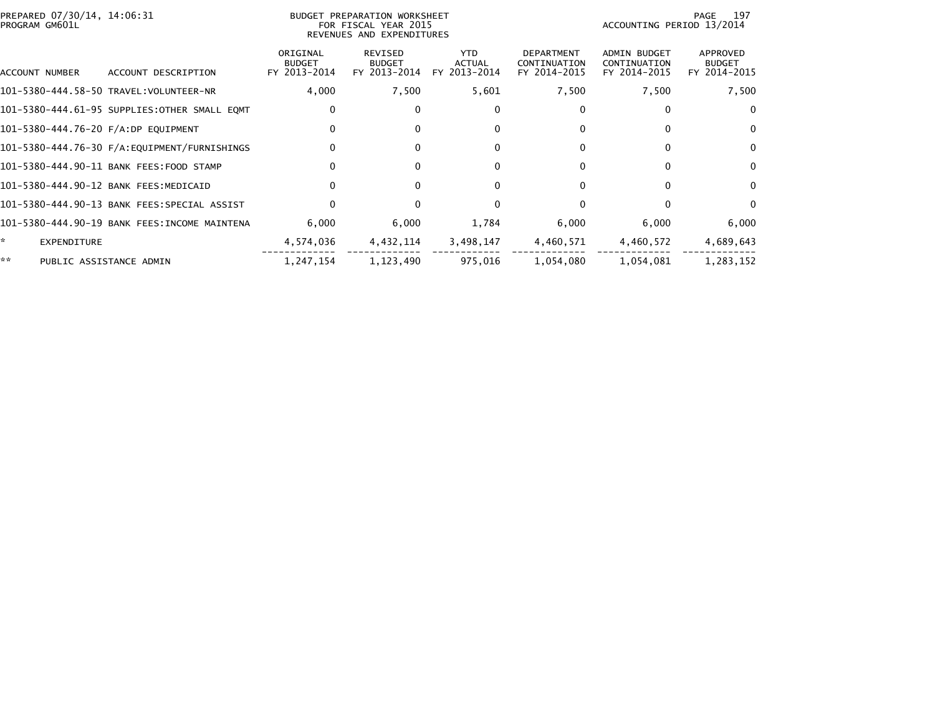| PREPARED 07/30/14, 14:06:31                  |                                           |                                          |                                       |                                                                                   |                                                     | 197<br>PAGE                               |
|----------------------------------------------|-------------------------------------------|------------------------------------------|---------------------------------------|-----------------------------------------------------------------------------------|-----------------------------------------------------|-------------------------------------------|
| ACCOUNT DESCRIPTION                          | ORIGINAL<br><b>BUDGET</b><br>FY 2013-2014 | REVISED<br><b>BUDGET</b><br>FY 2013-2014 | YTD.<br><b>ACTUAL</b><br>FY 2013-2014 | <b>DEPARTMENT</b><br>CONTINUATION<br>FY 2014-2015                                 | <b>ADMIN BUDGET</b><br>CONTINUATION<br>FY 2014-2015 | APPROVED<br><b>BUDGET</b><br>FY 2014-2015 |
| 101-5380-444.58-50 TRAVEL:VOLUNTEER-NR       | 4,000                                     | 7,500                                    | 5,601                                 | 7,500                                                                             | 7,500                                               | 7,500                                     |
| 101-5380-444.61-95 SUPPLIES:OTHER SMALL EQMT | 0                                         |                                          | $\bf{0}$                              | 0                                                                                 | 0                                                   | $\mathbf{0}$                              |
| 101-5380-444.76-20 F/A:DP EQUIPMENT          | $\mathbf{0}$                              |                                          | $\Omega$                              | 0                                                                                 | $\Omega$                                            | $\mathbf{0}$                              |
|                                              | $\Omega$                                  | $\Omega$                                 | $\mathbf{0}$                          | $\Omega$                                                                          | $\Omega$                                            | $\mathbf{0}$                              |
| 101-5380-444.90-11 BANK FEES:FOOD STAMP      | 0                                         |                                          | $\bf{0}$                              | 0                                                                                 | 0                                                   | $\Omega$                                  |
| 101-5380-444.90-12 BANK FEES:MEDICAID        | $\Omega$                                  |                                          | $\Omega$                              | $\Omega$                                                                          | 0                                                   | $\bf{0}$                                  |
| 101-5380-444.90-13 BANK FEES:SPECIAL ASSIST  | $\Omega$                                  | $\Omega$                                 | $\Omega$                              | $\Omega$                                                                          | $\Omega$                                            | $\mathbf{0}$                              |
| 101-5380-444.90-19 BANK FEES:INCOME MAINTENA | 6,000                                     | 6,000                                    | 1,784                                 | 6,000                                                                             | 6,000                                               | 6,000                                     |
|                                              | 4,574,036                                 | 4,432,114                                | 3,498,147                             | 4,460,571                                                                         | 4,460,572                                           | 4,689,643                                 |
| PUBLIC ASSISTANCE ADMIN                      | 1,247,154                                 | 1,123,490                                | 975,016                               | 1,054,080                                                                         | 1,054,081                                           | 1,283,152                                 |
|                                              |                                           |                                          |                                       | BUDGET PREPARATION WORKSHEET<br>FOR FISCAL YEAR 2015<br>REVENUES AND EXPENDITURES |                                                     | ACCOUNTING PERIOD 13/2014                 |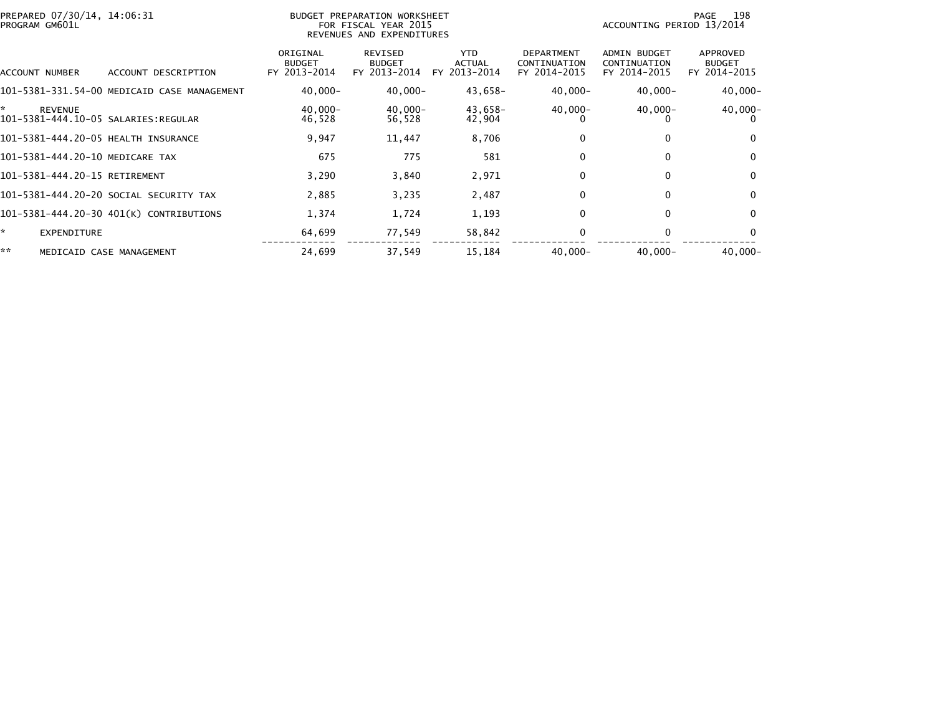| PREPARED 07/30/14, 14:06:31<br>PROGRAM GM601L               |                                             | BUDGET PREPARATION WORKSHEET<br>FOR FISCAL YEAR 2015<br>REVENUES AND EXPENDITURES |                                          |                                             |                                                   | 198<br>PAGE<br>ACCOUNTING PERIOD 13/2014            |                                           |  |
|-------------------------------------------------------------|---------------------------------------------|-----------------------------------------------------------------------------------|------------------------------------------|---------------------------------------------|---------------------------------------------------|-----------------------------------------------------|-------------------------------------------|--|
| ACCOUNT NUMBER                                              | ACCOUNT DESCRIPTION                         | ORIGINAL<br>BUDGET<br>FY 2013-2014                                                | REVISED<br><b>BUDGET</b><br>FY 2013-2014 | <b>YTD</b><br><b>ACTUAL</b><br>FY 2013-2014 | <b>DEPARTMENT</b><br>CONTINUATION<br>FY 2014-2015 | <b>ADMIN BUDGET</b><br>CONTINUATION<br>FY 2014-2015 | APPROVED<br><b>BUDGET</b><br>FY 2014-2015 |  |
|                                                             | 101-5381-331.54-00 MEDICAID CASE MANAGEMENT | $40,000 -$                                                                        | $40,000 -$                               | 43,658-                                     | $40,000 -$                                        | $40,000 -$                                          | $40,000 -$                                |  |
| ×.<br><b>REVENUE</b><br>101-5381-444.10-05 SALARIES:REGULAR |                                             | $40,000 -$<br>46,528                                                              | $40,000 -$<br>56,528                     | 43,658-<br>42,904                           | $40,000 -$                                        | $40,000 -$                                          | $40,000 -$                                |  |
| 101-5381-444.20-05 HEALTH INSURANCE                         |                                             | 9,947                                                                             | 11,447                                   | 8,706                                       |                                                   | $\Omega$                                            | $\mathbf{0}$                              |  |
| 101-5381-444.20-10 MEDICARE TAX                             |                                             | 675                                                                               | 775                                      | 581                                         | 0                                                 | $\Omega$                                            | 0                                         |  |
| 101-5381-444.20-15 RETIREMENT                               |                                             | 3,290                                                                             | 3,840                                    | 2,971                                       | $\Omega$                                          | $\Omega$                                            | 0                                         |  |
|                                                             | 101–5381–444.20–20 SOCIAL SECURITY TAX      | 2,885                                                                             | 3,235                                    | 2,487                                       | 0                                                 | 0                                                   | 0                                         |  |
|                                                             | 101-5381-444.20-30 401(K) CONTRIBUTIONS     | 1,374                                                                             | 1,724                                    | 1,193                                       | 0                                                 | 0                                                   | 0                                         |  |
| ÷.<br><b>EXPENDITURE</b>                                    |                                             | 64,699                                                                            | 77,549                                   | 58,842                                      |                                                   | 0                                                   | $\mathbf{0}$                              |  |
| **                                                          | MEDICAID CASE MANAGEMENT                    | 24,699                                                                            | 37,549                                   | 15,184                                      | $40,000 -$                                        | $40,000 -$                                          | $40,000 -$                                |  |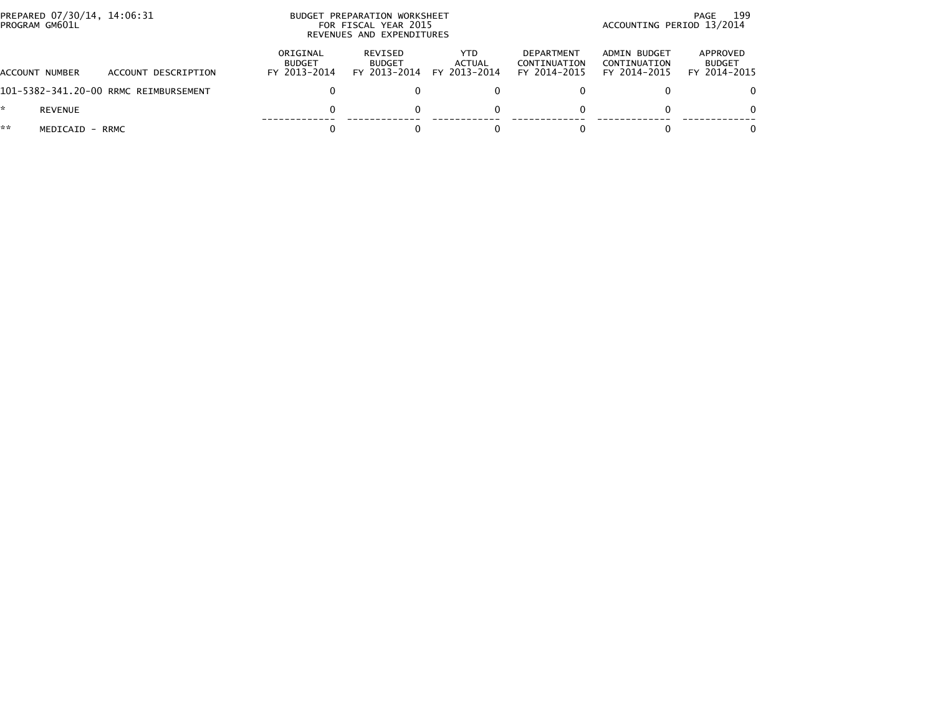| PREPARED 07/30/14, 14:06:31<br>PROGRAM GM601L |                                       | <b>BUDGET</b>                             | PREPARATION WORKSHEET<br>FOR FISCAL YEAR 2015<br>REVENUES AND EXPENDITURES |                                |                                            |                                              | 199<br>PAGE<br>ACCOUNTING PERIOD 13/2014  |  |  |
|-----------------------------------------------|---------------------------------------|-------------------------------------------|----------------------------------------------------------------------------|--------------------------------|--------------------------------------------|----------------------------------------------|-------------------------------------------|--|--|
| <b>ACCOUNT NUMBER</b>                         | ACCOUNT DESCRIPTION                   | ORIGINAL<br><b>BUDGET</b><br>FY 2013-2014 | <b>REVISED</b><br><b>BUDGET</b><br>FY 2013-2014                            | YTD.<br>ACTUAL<br>FY 2013-2014 | DEPARTMENT<br>CONTINUATION<br>FY 2014-2015 | ADMIN BUDGET<br>CONTINUATION<br>FY 2014-2015 | APPROVED<br><b>BUDGET</b><br>FY 2014-2015 |  |  |
|                                               | 101-5382-341.20-00 RRMC REIMBURSEMENT |                                           |                                                                            |                                |                                            |                                              | 0.                                        |  |  |
| *.<br><b>REVENUE</b>                          |                                       |                                           |                                                                            |                                |                                            |                                              | 0                                         |  |  |
| **<br>MEDICAID - RRMC                         |                                       |                                           |                                                                            |                                |                                            |                                              | 0                                         |  |  |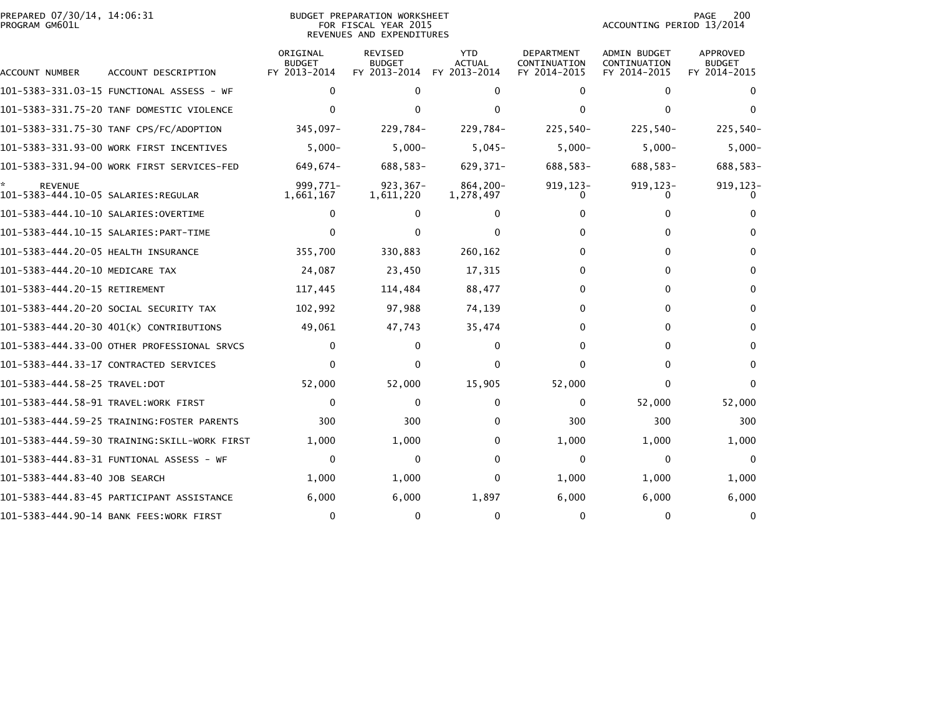| PREPARED 07/30/14, 14:06:31<br>PROGRAM GM601L |                                              |                                           | <b>BUDGET PREPARATION WORKSHEET</b><br>FOR FISCAL YEAR 2015<br>REVENUES AND EXPENDITURES |                                             |                                            | ACCOUNTING PERIOD 13/2014                           | 200<br>PAGE                                      |
|-----------------------------------------------|----------------------------------------------|-------------------------------------------|------------------------------------------------------------------------------------------|---------------------------------------------|--------------------------------------------|-----------------------------------------------------|--------------------------------------------------|
| ACCOUNT NUMBER                                | ACCOUNT DESCRIPTION                          | ORIGINAL<br><b>BUDGET</b><br>FY 2013-2014 | <b>REVISED</b><br><b>BUDGET</b><br>FY 2013-2014                                          | <b>YTD</b><br><b>ACTUAL</b><br>FY 2013-2014 | DEPARTMENT<br>CONTINUATION<br>FY 2014-2015 | <b>ADMIN BUDGET</b><br>CONTINUATION<br>FY 2014-2015 | <b>APPROVED</b><br><b>BUDGET</b><br>FY 2014-2015 |
|                                               |                                              | 0                                         | 0                                                                                        | $\Omega$                                    | 0                                          | $\mathbf{0}$                                        | 0                                                |
|                                               | 101-5383-331.75-20 TANF DOMESTIC VIOLENCE    | $\Omega$                                  | 0                                                                                        | $\Omega$                                    | $\Omega$                                   | $\mathbf{0}$                                        | $\Omega$                                         |
|                                               | 101-5383-331.75-30 TANF CPS/FC/ADOPTION      | 345,097-                                  | 229,784-                                                                                 | 229,784-                                    | $225,540-$                                 | $225,540-$                                          | 225,540-                                         |
|                                               | 101-5383-331.93-00 WORK FIRST INCENTIVES     | $5,000 -$                                 | $5,000 -$                                                                                | $5,045-$                                    | $5,000 -$                                  | $5,000 -$                                           | $5,000 -$                                        |
|                                               | 101-5383-331.94-00 WORK FIRST SERVICES-FED   | 649,674-                                  | 688,583-                                                                                 | 629,371-                                    | 688,583-                                   | 688,583-                                            | 688,583-                                         |
| <b>REVENUE</b>                                |                                              | 999.771-<br>1,661,167                     | $923, 367 -$<br>1,611,220                                                                | 864,200-<br>1,278,497                       | $919, 123 -$                               | $919, 123 -$                                        | $919, 123 -$                                     |
|                                               |                                              | $\mathbf{0}$                              | $\mathbf{0}$                                                                             | 0                                           | 0                                          | 0                                                   |                                                  |
|                                               |                                              | $\Omega$                                  | 0                                                                                        | $\Omega$                                    | 0                                          | 0                                                   | 0                                                |
| 101-5383-444.20-05 HEALTH INSURANCE           |                                              | 355,700                                   | 330,883                                                                                  | 260,162                                     | 0                                          | 0                                                   | 0                                                |
| 101-5383-444.20-10 MEDICARE TAX               |                                              | 24,087                                    | 23,450                                                                                   | 17,315                                      | 0                                          | 0                                                   | 0                                                |
| 101-5383-444.20-15 RETIREMENT                 |                                              | 117,445                                   | 114,484                                                                                  | 88,477                                      | $\Omega$                                   | $\Omega$                                            | $\mathbf{0}$                                     |
|                                               | 101-5383-444.20-20 SOCIAL SECURITY TAX       | 102,992                                   | 97,988                                                                                   | 74,139                                      | $\Omega$                                   | 0                                                   | $\mathbf{0}$                                     |
|                                               | 101-5383-444.20-30 401(K) CONTRIBUTIONS      | 49,061                                    | 47,743                                                                                   | 35,474                                      | 0                                          | 0                                                   | 0                                                |
|                                               | 101-5383-444.33-00 OTHER PROFESSIONAL SRVCS  | 0                                         | $\mathbf{0}$                                                                             | $\Omega$                                    | $\Omega$                                   | 0                                                   | $\mathbf{0}$                                     |
|                                               | 101-5383-444.33-17 CONTRACTED SERVICES       | $\mathbf{0}$                              | $\mathbf{0}$                                                                             | 0                                           | $\Omega$                                   | 0                                                   | $\mathbf{0}$                                     |
|                                               |                                              | 52,000                                    | 52,000                                                                                   | 15,905                                      | 52,000                                     | 0                                                   | <sup>0</sup>                                     |
|                                               | 101-5383-444.58-91 TRAVEL:WORK FIRST         | $\Omega$                                  | $\mathbf{0}$                                                                             | $\Omega$                                    | 0                                          | 52,000                                              | 52,000                                           |
|                                               | 101-5383-444.59-25 TRAINING:FOSTER PARENTS   | 300                                       | 300                                                                                      | 0                                           | 300                                        | 300                                                 | 300                                              |
|                                               | 101–5383–444.59–30 TRAINING:SKILL-WORK FIRST | 1,000                                     | 1,000                                                                                    | 0                                           | 1,000                                      | 1,000                                               | 1,000                                            |
|                                               | 101–5383–444.83–31 FUNTIONAL ASSESS – WF     | 0                                         | 0                                                                                        | $\Omega$                                    | 0                                          | 0                                                   | $\mathbf{0}$                                     |
| 101-5383-444.83-40 JOB SEARCH                 |                                              | 1,000                                     | 1,000                                                                                    | 0                                           | 1,000                                      | 1,000                                               | 1,000                                            |
|                                               | 101–5383–444.83–45 PARTICIPANT ASSISTANCE    | 6,000                                     | 6,000                                                                                    | 1,897                                       | 6,000                                      | 6,000                                               | 6,000                                            |
|                                               | 101-5383-444.90-14 BANK FEES:WORK FIRST      | $\mathbf 0$                               | $\mathbf{0}$                                                                             | $\Omega$                                    | $\Omega$                                   | 0                                                   | 0                                                |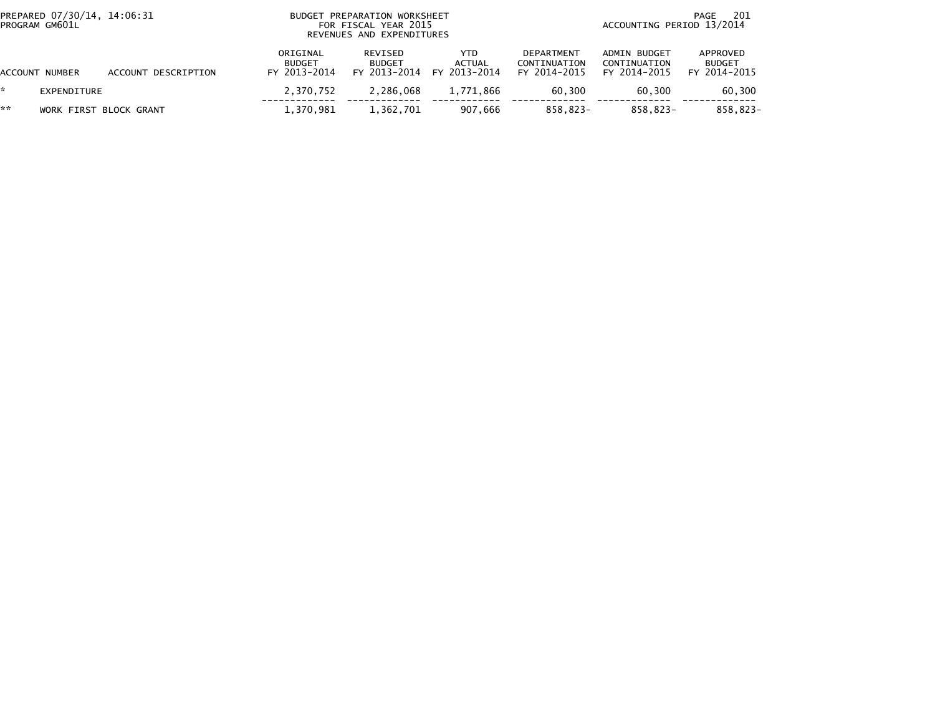| PREPARED 07/30/14, 14:06:31<br>PROGRAM GM601L |                        |                     | BUDGET PREPARATION WORKSHEET<br>FOR FISCAL YEAR 2015<br>REVENUES AND EXPENDITURES | -201<br>PAGE<br>ACCOUNTING PERIOD 13/2014 |                                             |                                                   |                                              |                                           |
|-----------------------------------------------|------------------------|---------------------|-----------------------------------------------------------------------------------|-------------------------------------------|---------------------------------------------|---------------------------------------------------|----------------------------------------------|-------------------------------------------|
|                                               | ACCOUNT NUMBER         | ACCOUNT DESCRIPTION | ORIGINAL<br><b>BUDGET</b><br>FY 2013-2014                                         | REVISED<br><b>BUDGET</b>                  | YTD.<br>ACTUAL<br>FY 2013-2014 FY 2013-2014 | <b>DEPARTMENT</b><br>CONTINUATION<br>FY 2014-2015 | ADMIN BUDGET<br>CONTINUATION<br>FY 2014-2015 | APPROVED<br><b>BUDGET</b><br>FY 2014-2015 |
|                                               | EXPENDITURE            |                     | 2.370.752                                                                         | 2.286.068                                 | 1,771,866                                   | 60.300                                            | 60.300                                       | 60,300                                    |
| **                                            | WORK FIRST BLOCK GRANT |                     | 1.370.981                                                                         | 1,362,701                                 | 907.666                                     | 858.823-                                          | 858,823-                                     | 858.823-                                  |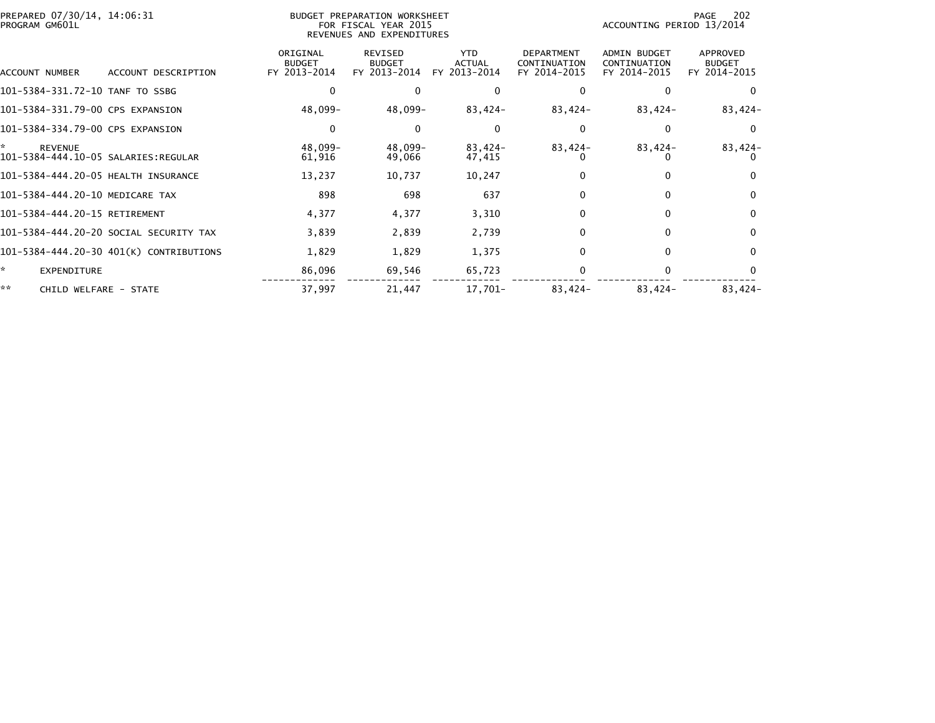| PREPARED 07/30/14, 14:06:31<br>PROGRAM GM601L               |                                           | BUDGET PREPARATION WORKSHEET<br>FOR FISCAL YEAR 2015<br>REVENUES AND EXPENDITURES |                                             |                                                   |                                              | 202<br>PAGE<br>ACCOUNTING PERIOD 13/2014  |  |  |
|-------------------------------------------------------------|-------------------------------------------|-----------------------------------------------------------------------------------|---------------------------------------------|---------------------------------------------------|----------------------------------------------|-------------------------------------------|--|--|
| ACCOUNT DESCRIPTION<br>ACCOUNT NUMBER                       | ORIGINAL<br><b>BUDGET</b><br>FY 2013-2014 | REVISED<br><b>BUDGET</b><br>FY 2013-2014                                          | <b>YTD</b><br><b>ACTUAL</b><br>FY 2013-2014 | <b>DEPARTMENT</b><br>CONTINUATION<br>FY 2014-2015 | ADMIN BUDGET<br>CONTINUATION<br>FY 2014-2015 | APPROVED<br><b>BUDGET</b><br>FY 2014-2015 |  |  |
| 101-5384-331.72-10 TANF TO SSBG                             |                                           | $\Omega$                                                                          | $\Omega$                                    |                                                   |                                              | $\Omega$                                  |  |  |
| 101-5384-331.79-00 CPS EXPANSION                            | 48,099-                                   | 48,099-                                                                           | $83,424-$                                   | 83,424-                                           | 83,424-                                      | $83,424-$                                 |  |  |
| 101-5384-334.79-00 CPS EXPANSION                            | 0                                         | $\Omega$                                                                          | $\Omega$                                    |                                                   | 0                                            | $\Omega$                                  |  |  |
| ÷.<br><b>REVENUE</b><br>101-5384-444.10-05 SALARIES:REGULAR | 48.099-<br>61,916                         | 48,099-<br>49,066                                                                 | 83,424-<br>47,415                           | 83,424-                                           | $83,424-$                                    | 83,424-                                   |  |  |
| 101-5384-444.20-05 HEALTH INSURANCE                         | 13,237                                    | 10,737                                                                            | 10,247                                      |                                                   | 0                                            | 0                                         |  |  |
| 101-5384-444.20-10 MEDICARE TAX                             | 898                                       | 698                                                                               | 637                                         |                                                   | $\Omega$                                     | $\Omega$                                  |  |  |
| 101-5384-444.20-15 RETIREMENT                               | 4,377                                     | 4,377                                                                             | 3,310                                       |                                                   | $\Omega$                                     | $\mathbf 0$                               |  |  |
| 101-5384-444.20-20 SOCIAL SECURITY TAX                      | 3,839                                     | 2,839                                                                             | 2,739                                       | 0                                                 | $\Omega$                                     | $\Omega$                                  |  |  |
| 101-5384-444.20-30 401(K) CONTRIBUTIONS                     | 1,829                                     | 1,829                                                                             | 1,375                                       |                                                   | 0                                            | $\Omega$                                  |  |  |
| *<br>EXPENDITURE                                            | 86,096                                    | 69,546                                                                            | 65,723                                      |                                                   | $\Omega$                                     |                                           |  |  |
| **<br>CHILD WELFARE - STATE                                 | 37,997                                    | 21,447                                                                            | 17,701-                                     | $83,424-$                                         | 83,424-                                      | $83,424-$                                 |  |  |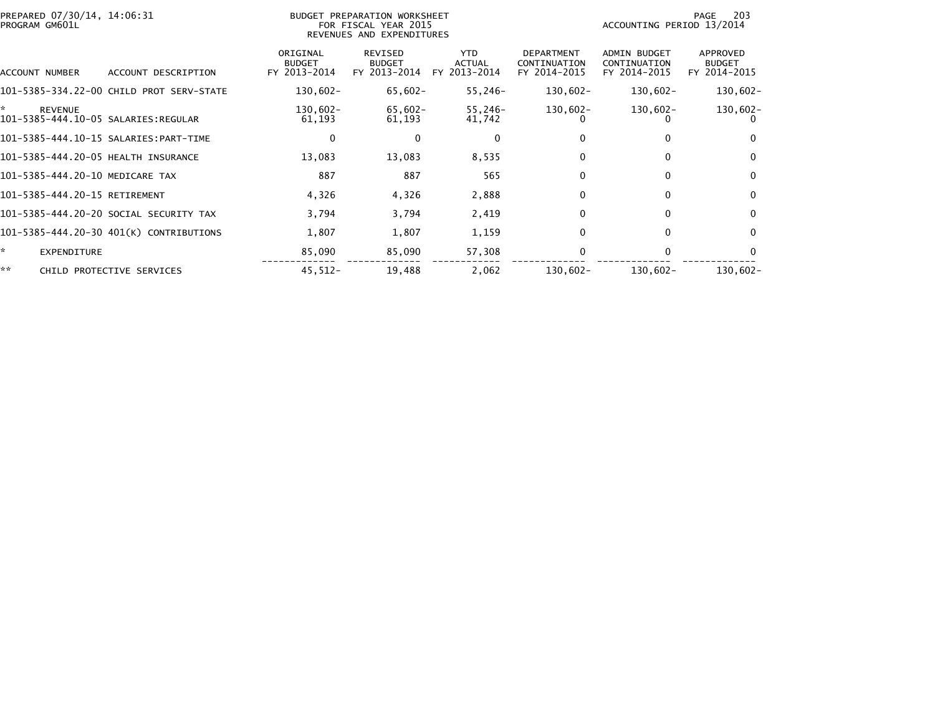| PREPARED 07/30/14, 14:06:31<br>PROGRAM GM601L |                                          |                                           | <b>BUDGET PREPARATION WORKSHEET</b><br>FOR FISCAL YEAR 2015<br>REVENUES AND EXPENDITURES |                                      |                                                   | ACCOUNTING PERIOD 13/2014                    | 203<br>PAGE                               |
|-----------------------------------------------|------------------------------------------|-------------------------------------------|------------------------------------------------------------------------------------------|--------------------------------------|---------------------------------------------------|----------------------------------------------|-------------------------------------------|
| ACCOUNT NUMBER                                | ACCOUNT DESCRIPTION                      | ORIGINAL<br><b>BUDGET</b><br>FY 2013-2014 | REVISED<br><b>BUDGET</b><br>FY 2013-2014                                                 | <b>YTD</b><br>ACTUAL<br>FY 2013-2014 | <b>DEPARTMENT</b><br>CONTINUATION<br>FY 2014-2015 | ADMIN BUDGET<br>CONTINUATION<br>FY 2014-2015 | APPROVED<br><b>BUDGET</b><br>FY 2014-2015 |
|                                               | 101-5385-334.22-00 CHILD PROT SERV-STATE | 130,602-                                  | $65,602 -$                                                                               | 55,246-                              | 130,602-                                          | $130,602 -$                                  | $130,602 -$                               |
| *<br><b>REVENUE</b>                           |                                          | 130,602-<br>61,193                        | 65,602-<br>61,193                                                                        | 55,246-<br>41,742                    | 130,602-                                          | 130,602-                                     | $130,602 -$                               |
|                                               |                                          | $\mathbf 0$                               | $\mathbf{0}$                                                                             | 0                                    |                                                   | 0                                            | $\mathbf{0}$                              |
| 101-5385-444.20-05 HEALTH INSURANCE           |                                          | 13,083                                    | 13,083                                                                                   | 8,535                                |                                                   | $\mathbf{0}$                                 | $\mathbf{0}$                              |
| 101-5385-444.20-10 MEDICARE TAX               |                                          | 887                                       | 887                                                                                      | 565                                  | $\Omega$                                          | $\mathbf{0}$                                 | $\mathbf{0}$                              |
| 101-5385-444.20-15 RETIREMENT                 |                                          | 4,326                                     | 4,326                                                                                    | 2,888                                | 0                                                 | 0                                            | $\mathbf 0$                               |
|                                               | 101-5385-444.20-20 SOCIAL SECURITY TAX   | 3,794                                     | 3,794                                                                                    | 2,419                                | 0                                                 | $\mathbf{0}$                                 | $\mathbf{0}$                              |
|                                               | 101-5385-444.20-30 401(K) CONTRIBUTIONS  | 1,807                                     | 1,807                                                                                    | 1,159                                | $\Omega$                                          | $\mathbf{0}$                                 | $\mathbf{0}$                              |
| ŵ.<br><b>EXPENDITURE</b>                      |                                          | 85,090                                    | 85,090                                                                                   | 57,308                               |                                                   | 0                                            | $\mathbf{0}$                              |
| **                                            | CHILD PROTECTIVE SERVICES                | $45,512-$                                 | 19,488                                                                                   | 2,062                                | $130,602 -$                                       | $130,602 -$                                  | $130,602 -$                               |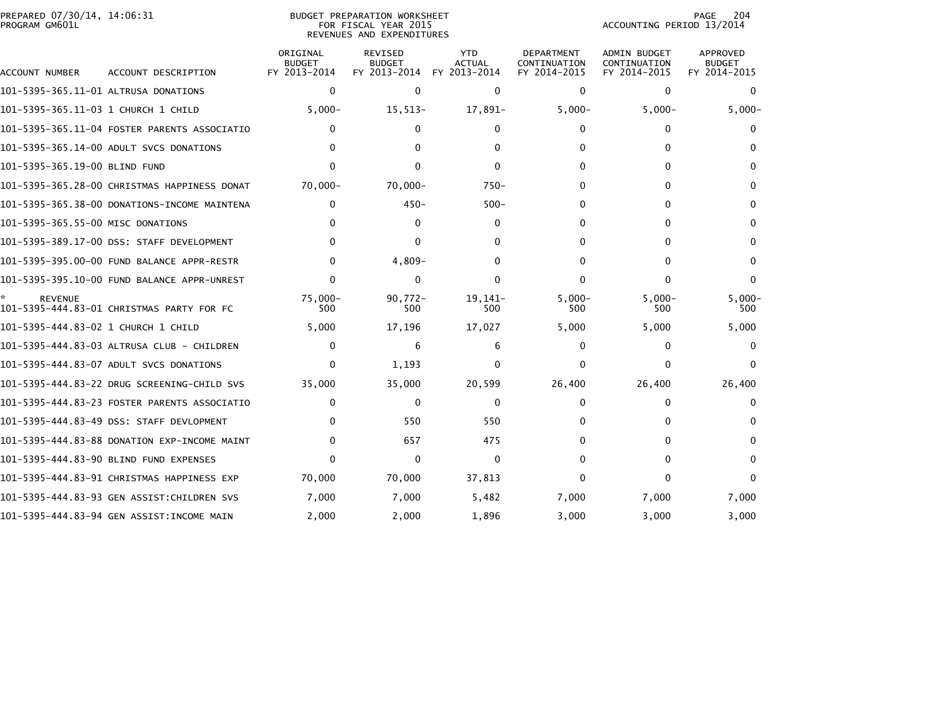|                | PREPARED 07/30/14, 14:06:31 |  |
|----------------|-----------------------------|--|
| PROGRAM GM601L |                             |  |

## PREPARED 07/30/14, 14:06:31 BUDGET PREPARATION WORKSHEET PAGE 204PROGRAM GM601L FOR FISCAL YEAR 2015 ACCOUNTING PERIOD 13/2014 REVENUES AND EXPENDITURES

PAGE 204<br>ACCOUNTING PERIOD 13/2014

| ACCOUNT NUMBER                       | ACCOUNT DESCRIPTION                          | ORIGINAL<br><b>BUDGET</b><br>FY 2013-2014 | <b>REVISED</b><br><b>BUDGET</b><br>FY 2013-2014 | <b>YTD</b><br>ACTUAL<br>FY 2013-2014 | <b>DEPARTMENT</b><br>CONTINUATION<br>FY 2014-2015 | <b>ADMIN BUDGET</b><br>CONTINUATION<br>FY 2014-2015 | <b>APPROVED</b><br><b>BUDGET</b><br>FY 2014-2015 |
|--------------------------------------|----------------------------------------------|-------------------------------------------|-------------------------------------------------|--------------------------------------|---------------------------------------------------|-----------------------------------------------------|--------------------------------------------------|
| 101–5395–365.11–01 ALTRUSA DONATIONS |                                              | $\mathbf 0$                               | $\mathbf{0}$                                    | $\Omega$                             | $\Omega$                                          | $\mathbf{0}$                                        | $\Omega$                                         |
| 101-5395-365.11-03 1 CHURCH 1 CHILD  |                                              | $5,000 -$                                 | $15,513-$                                       | 17,891-                              | $5,000 -$                                         | $5,000 -$                                           | $5,000 -$                                        |
|                                      | 101-5395-365.11-04 FOSTER PARENTS ASSOCIATIO | $\Omega$                                  | 0                                               | 0                                    | 0                                                 | $\Omega$                                            |                                                  |
|                                      | 101-5395-365.14-00 ADULT SVCS DONATIONS      | 0                                         | 0                                               | <sup>0</sup>                         | 0                                                 | 0                                                   |                                                  |
| 101-5395-365.19-00 BLIND FUND        |                                              | $\Omega$                                  | 0                                               | 0                                    | 0                                                 | 0                                                   | 0                                                |
|                                      | 101-5395-365.28-00 CHRISTMAS HAPPINESS DONAT | $70,000 -$                                | $70,000 -$                                      | $750-$                               | 0                                                 | 0                                                   |                                                  |
|                                      | 101-5395-365.38-00 DONATIONS-INCOME MAINTENA | $\mathbf{0}$                              | $450 -$                                         | $500 -$                              | 0                                                 | 0                                                   | 0                                                |
| 101-5395-365.55-00 MISC DONATIONS    |                                              | 0                                         | $\Omega$                                        | $\Omega$                             | 0                                                 | 0                                                   |                                                  |
|                                      | 101-5395-389.17-00 DSS: STAFF DEVELOPMENT    | $\Omega$                                  | 0                                               | <sup>0</sup>                         | 0                                                 | 0                                                   | 0                                                |
|                                      | 101-5395-395.00-00 FUND BALANCE APPR-RESTR   | $\Omega$                                  | $4,809-$                                        | O                                    | 0                                                 | 0                                                   | 0                                                |
|                                      | 101-5395-395.10-00 FUND BALANCE APPR-UNREST  | 0                                         | $\Omega$                                        | $\Omega$                             | 0                                                 | 0                                                   | $\Omega$                                         |
| <b>REVENUE</b>                       | 101-5395-444.83-01 CHRISTMAS PARTY FOR FC    | $75,000 -$<br>500                         | $90,772 -$<br>500                               | 19,141-<br>500                       | $5,000 -$<br>500                                  | $5,000 -$<br>500                                    | $5,000 -$<br>500                                 |
|                                      |                                              | 5,000                                     | 17,196                                          | 17,027                               | 5,000                                             | 5,000                                               | 5,000                                            |
|                                      | 101-5395-444.83-03 ALTRUSA CLUB - CHILDREN   | 0                                         | 6                                               | 6                                    | 0                                                 | 0                                                   |                                                  |
|                                      | 101-5395-444.83-07 ADULT SVCS DONATIONS      | 0                                         | 1,193                                           | 0                                    | 0                                                 | ∩                                                   |                                                  |
|                                      | 101–5395–444.83–22 DRUG SCREENING–CHILD SVS  | 35,000                                    | 35,000                                          | 20,599                               | 26,400                                            | 26,400                                              | 26,400                                           |
|                                      | 101-5395-444.83-23 FOSTER PARENTS ASSOCIATIO | 0                                         | $\mathbf{0}$                                    | $\Omega$                             | 0                                                 | 0                                                   |                                                  |
|                                      | 101-5395-444.83-49 DSS: STAFF DEVLOPMENT     | 0                                         | 550                                             | 550                                  | O.                                                | 0                                                   |                                                  |
|                                      | 101-5395-444.83-88 DONATION EXP-INCOME MAINT | 0                                         | 657                                             | 475                                  | 0                                                 |                                                     |                                                  |
|                                      | 101-5395-444.83-90 BLIND FUND EXPENSES       | $\Omega$                                  | $\Omega$                                        | $\Omega$                             | 0                                                 | 0                                                   | 0                                                |
|                                      | 101-5395-444.83-91 CHRISTMAS HAPPINESS EXP   | 70,000                                    | 70,000                                          | 37,813                               | 0                                                 | O                                                   |                                                  |
|                                      | 101–5395–444.83–93 GEN ASSIST:CHILDREN SVS   | 7,000                                     | 7,000                                           | 5,482                                | 7,000                                             | 7,000                                               | 7,000                                            |
|                                      | 101-5395-444.83-94 GEN ASSIST:INCOME MAIN    | 2,000                                     | 2,000                                           | 1,896                                | 3.000                                             | 3.000                                               | 3.000                                            |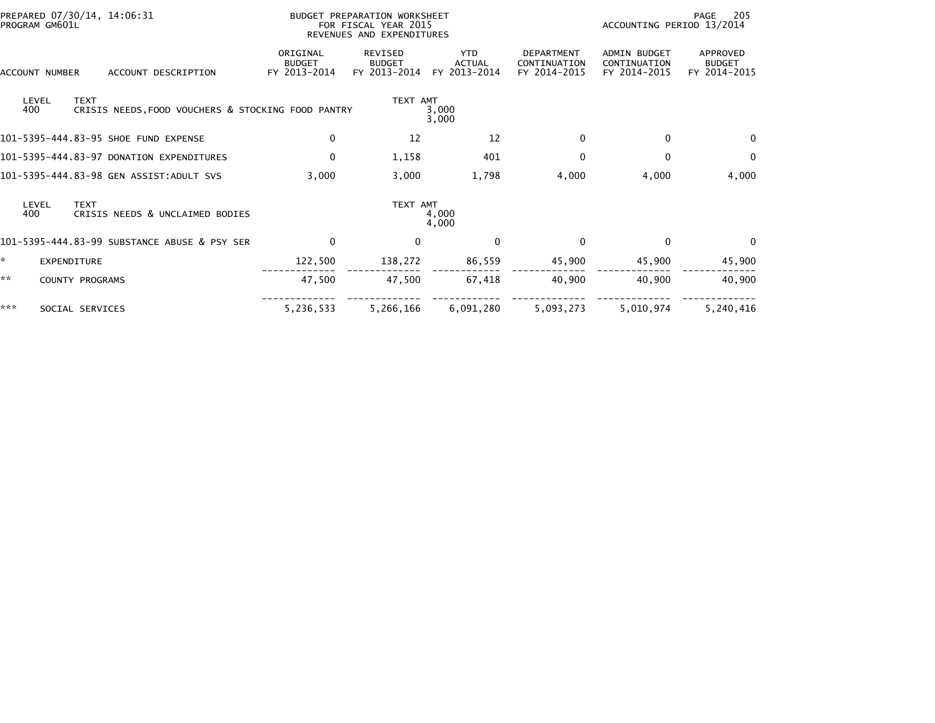| PROGRAM GM601L        | PREPARED 07/30/14, 14:06:31 |                                                    |                                           | BUDGET PREPARATION WORKSHEET<br>FOR FISCAL YEAR 2015<br>REVENUES AND EXPENDITURES |                                             |                                                   | 205<br>PAGE<br>ACCOUNTING PERIOD 13/2014     |                                           |  |
|-----------------------|-----------------------------|----------------------------------------------------|-------------------------------------------|-----------------------------------------------------------------------------------|---------------------------------------------|---------------------------------------------------|----------------------------------------------|-------------------------------------------|--|
| <b>ACCOUNT NUMBER</b> |                             | ACCOUNT DESCRIPTION                                | ORIGINAL<br><b>BUDGET</b><br>FY 2013-2014 | REVISED<br><b>BUDGET</b><br>FY 2013-2014                                          | <b>YTD</b><br><b>ACTUAL</b><br>FY 2013-2014 | <b>DEPARTMENT</b><br>CONTINUATION<br>FY 2014-2015 | ADMIN BUDGET<br>CONTINUATION<br>FY 2014-2015 | APPROVED<br><b>BUDGET</b><br>FY 2014-2015 |  |
| LEVEL<br>400          | <b>TEXT</b>                 | CRISIS NEEDS, FOOD VOUCHERS & STOCKING FOOD PANTRY |                                           | TEXT AMT                                                                          | 3,000<br>3,000                              |                                                   |                                              |                                           |  |
|                       |                             | 101-5395-444.83-95 SHOE FUND EXPENSE               | 0                                         | 12                                                                                | 12                                          | $\mathbf{0}$                                      | $\Omega$                                     | $\Omega$                                  |  |
|                       |                             | 101-5395-444.83-97 DONATION EXPENDITURES           | $\mathbf 0$                               | 1,158                                                                             | 401                                         | $\mathbf{0}$                                      | $\mathbf{0}$                                 | $\Omega$                                  |  |
|                       |                             | 101-5395-444.83-98 GEN ASSIST:ADULT SVS            | 3,000                                     | 3,000                                                                             | 1,798                                       | 4,000                                             | 4,000                                        | 4,000                                     |  |
| LEVEL<br>400          | <b>TEXT</b>                 | CRISIS NEEDS & UNCLAIMED BODIES                    |                                           | TEXT AMT                                                                          | 4,000<br>4,000                              |                                                   |                                              |                                           |  |
|                       |                             | 101-5395-444.83-99 SUBSTANCE ABUSE & PSY SER       | 0                                         | $\mathbf 0$                                                                       | 0                                           | $\Omega$                                          | $\mathbf{0}$                                 | $\mathbf{0}$                              |  |
| ×.                    | <b>EXPENDITURE</b>          |                                                    | 122,500                                   | 138,272                                                                           | 86,559                                      | 45,900                                            | 45,900                                       | 45,900                                    |  |
| **                    | COUNTY PROGRAMS             |                                                    | 47,500                                    | 47,500                                                                            | 67,418                                      | 40,900                                            | 40,900                                       | 40,900                                    |  |
| ***                   | SOCIAL SERVICES             |                                                    | 5,236,533                                 | 5,266,166                                                                         | 6,091,280                                   | 5,093,273                                         | 5,010,974                                    | 5,240,416                                 |  |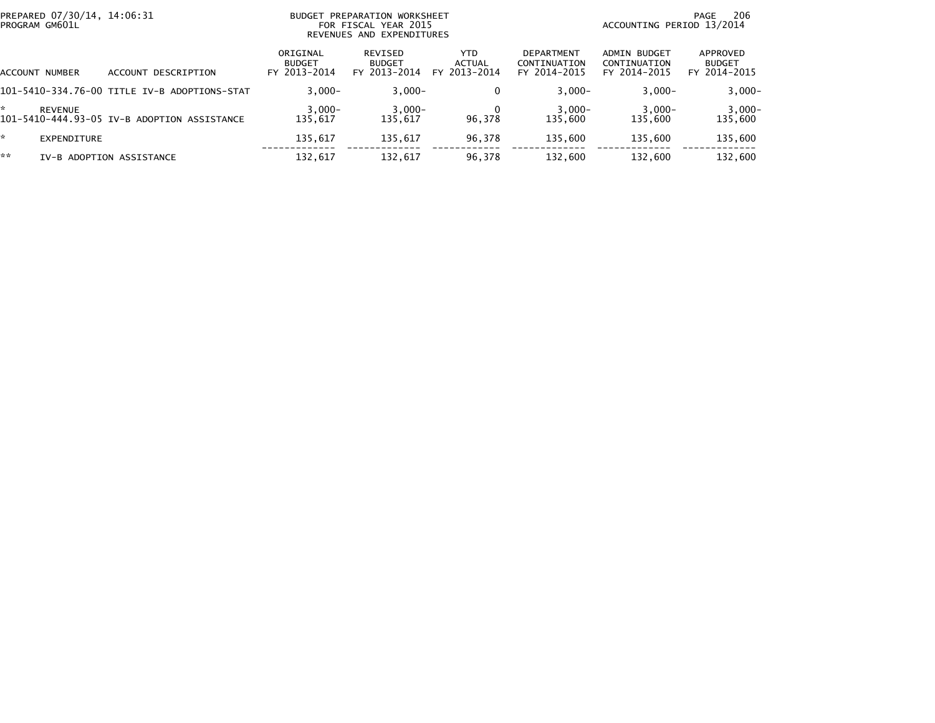| PREPARED 07/30/14, 14:06:31<br>PROGRAM GM601L |                                              | PREPARATION WORKSHEET<br>BUDGET<br>FOR FISCAL YEAR 2015<br>REVENUES AND EXPENDITURES |                                          |                                |                                                   | 206<br>PAGE<br>ACCOUNTING PERIOD 13/2014     |                                           |  |
|-----------------------------------------------|----------------------------------------------|--------------------------------------------------------------------------------------|------------------------------------------|--------------------------------|---------------------------------------------------|----------------------------------------------|-------------------------------------------|--|
| <b>ACCOUNT NUMBER</b>                         | ACCOUNT DESCRIPTION                          | ORIGINAL<br><b>BUDGET</b><br>FY 2013-2014                                            | REVISED<br><b>BUDGET</b><br>FY 2013-2014 | YTD.<br>ACTUAL<br>FY 2013-2014 | <b>DEPARTMENT</b><br>CONTINUATION<br>FY 2014-2015 | ADMIN BUDGET<br>CONTINUATION<br>FY 2014-2015 | APPROVED<br><b>BUDGET</b><br>FY 2014-2015 |  |
|                                               | 101-5410-334.76-00 TITLE IV-B ADOPTIONS-STAT | $3.000 -$                                                                            | $3,000-$                                 | $\Omega$                       | $3.000 -$                                         | $3.000 -$                                    | $3,000-$                                  |  |
| <b>REVENUE</b>                                | 101-5410-444.93-05 IV-B ADOPTION ASSISTANCE  | $3,000-$<br>135.617                                                                  | $3,000-$<br>135.617                      | 96,378                         | $3,000-$<br>135.600                               | $3,000-$<br>135,600                          | $3,000-$<br>135,600                       |  |
| *<br>EXPENDITURE                              |                                              | 135,617                                                                              | 135,617                                  | 96,378                         | 135,600                                           | 135,600                                      | 135,600                                   |  |
| **                                            | IV-B ADOPTION ASSISTANCE                     | 132,617                                                                              | 132,617                                  | 96,378                         | 132,600                                           | 132,600                                      | 132,600                                   |  |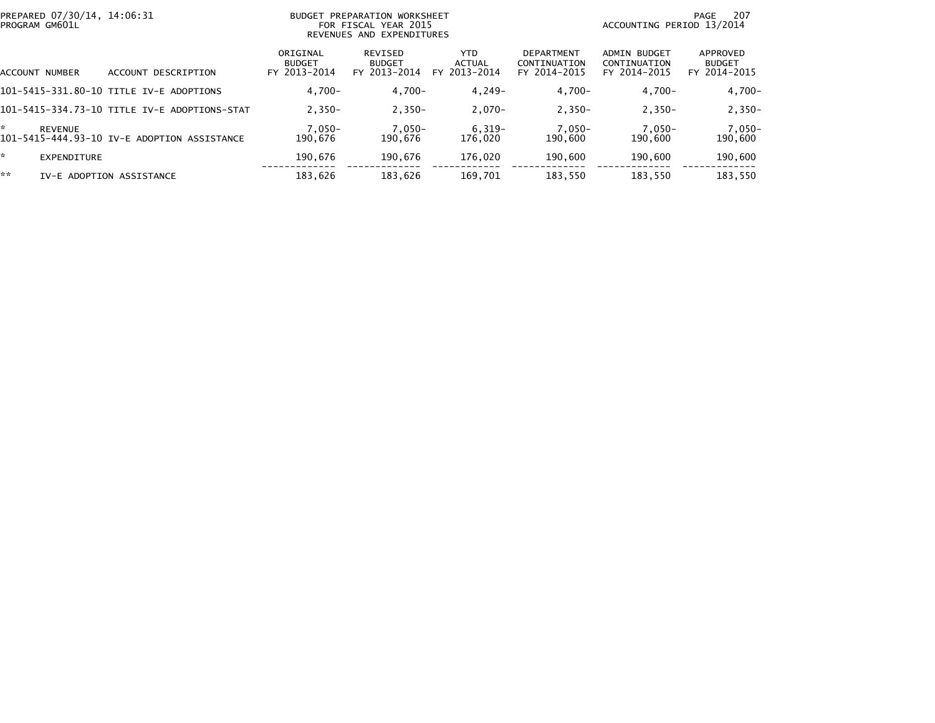|    | PROGRAM GM601L     | PREPARED 07/30/14, 14:06:31<br>PREPARATION WORKSHEET<br><b>BUDGET</b><br>FOR FISCAL YEAR 2015<br>REVENUES AND EXPENDITURES |                                           |                                                 |                                       |                                                   |                                                     | 207<br>PAGE<br>ACCOUNTING PERIOD 13/2014  |
|----|--------------------|----------------------------------------------------------------------------------------------------------------------------|-------------------------------------------|-------------------------------------------------|---------------------------------------|---------------------------------------------------|-----------------------------------------------------|-------------------------------------------|
|    | ACCOUNT NUMBER     | ACCOUNT DESCRIPTION                                                                                                        | ORIGINAL<br><b>BUDGET</b><br>FY 2013-2014 | <b>REVISED</b><br><b>BUDGET</b><br>FY 2013-2014 | YTD.<br><b>ACTUAL</b><br>FY 2013-2014 | <b>DEPARTMENT</b><br>CONTINUATION<br>FY 2014-2015 | <b>ADMIN BUDGET</b><br>CONTINUATION<br>FY 2014-2015 | APPROVED<br><b>BUDGET</b><br>FY 2014-2015 |
|    |                    | 101-5415-331.80-10 TITLE IV-E ADOPTIONS                                                                                    | $4.700 -$                                 | $4,700-$                                        | $4.249 -$                             | $4,700-$                                          | $4,700-$                                            | $4,700-$                                  |
|    |                    | 101-5415-334.73-10 TITLE IV-E ADOPTIONS-STAT                                                                               | $2.350 -$                                 | $2.350 -$                                       | $2.070 -$                             | $2,350-$                                          | $2.350 -$                                           | $2,350-$                                  |
| ÷. | <b>REVENUE</b>     | 101-5415-444.93-10 IV-E ADOPTION ASSISTANCE                                                                                | $7,050-$<br>190.676                       | $7,050-$<br>190.676                             | $6,319-$<br>176,020                   | $7,050-$<br>190,600                               | 7,050-<br>190.600                                   | $7,050-$<br>190,600                       |
| ÷. | <b>EXPENDITURE</b> |                                                                                                                            | 190.676                                   | 190.676                                         | 176.020                               | 190,600                                           | 190,600                                             | 190,600                                   |
| ** |                    | IV-E ADOPTION ASSISTANCE                                                                                                   | 183.626                                   | 183,626                                         | 169,701                               | 183,550                                           | 183,550                                             | 183,550                                   |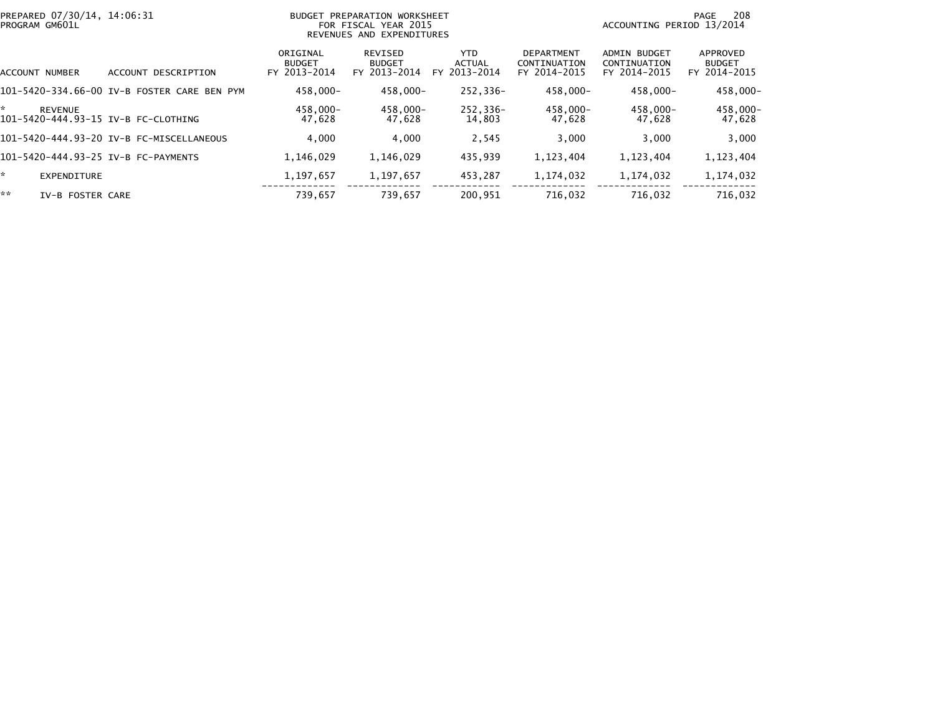| PREPARED 07/30/14, 14:06:31<br>PROGRAM GM601L               | PREPARATION WORKSHEET<br><b>BUDGET</b><br>FOR FISCAL YEAR 2015<br>REVENUES AND EXPENDITURES |                                           |                                          |                                             |                                                   |                                                     | 208<br>PAGE<br>ACCOUNTING PERIOD 13/2014  |
|-------------------------------------------------------------|---------------------------------------------------------------------------------------------|-------------------------------------------|------------------------------------------|---------------------------------------------|---------------------------------------------------|-----------------------------------------------------|-------------------------------------------|
| <b>ACCOUNT NUMBER</b>                                       | ACCOUNT DESCRIPTION                                                                         | ORIGINAL<br><b>BUDGET</b><br>FY 2013-2014 | REVISED<br><b>BUDGET</b><br>FY 2013-2014 | <b>YTD</b><br><b>ACTUAL</b><br>FY 2013-2014 | <b>DEPARTMENT</b><br>CONTINUATION<br>FY 2014-2015 | <b>ADMIN BUDGET</b><br>CONTINUATION<br>FY 2014-2015 | APPROVED<br><b>BUDGET</b><br>FY 2014-2015 |
|                                                             | 101-5420-334.66-00 IV-B FOSTER CARE BEN<br>PYM                                              | 458.000-                                  | $458.000 -$                              | 252.336-                                    | 458.000-                                          | 458.000-                                            | 458,000-                                  |
| *.<br><b>REVENUE</b><br>101-5420-444.93-15 IV-B FC-CLOTHING |                                                                                             | 458.000-<br>47,628                        | $458.000 -$<br>47.628                    | 252,336-<br>14,803                          | 458.000-<br>47,628                                | 458.000-<br>47.628                                  | 458,000-<br>47,628                        |
|                                                             | 101-5420-444.93-20 IV-B FC-MISCELLANEOUS                                                    | 4.000                                     | 4.000                                    | 2,545                                       | 3,000                                             | 3,000                                               | 3,000                                     |
| 101-5420-444.93-25 IV-B FC-PAYMENTS                         |                                                                                             | 1,146,029                                 | 1,146,029                                | 435,939                                     | 1,123,404                                         | 1,123,404                                           | 1,123,404                                 |
| * .<br>EXPENDITURE                                          |                                                                                             | 1,197,657                                 | 1,197,657                                | 453.287                                     | 1,174,032                                         | 1,174,032                                           | 1,174,032                                 |
| **<br>IV-B FOSTER CARE                                      |                                                                                             | 739.657                                   | 739.657                                  | 200.951                                     | 716.032                                           | 716.032                                             | 716.032                                   |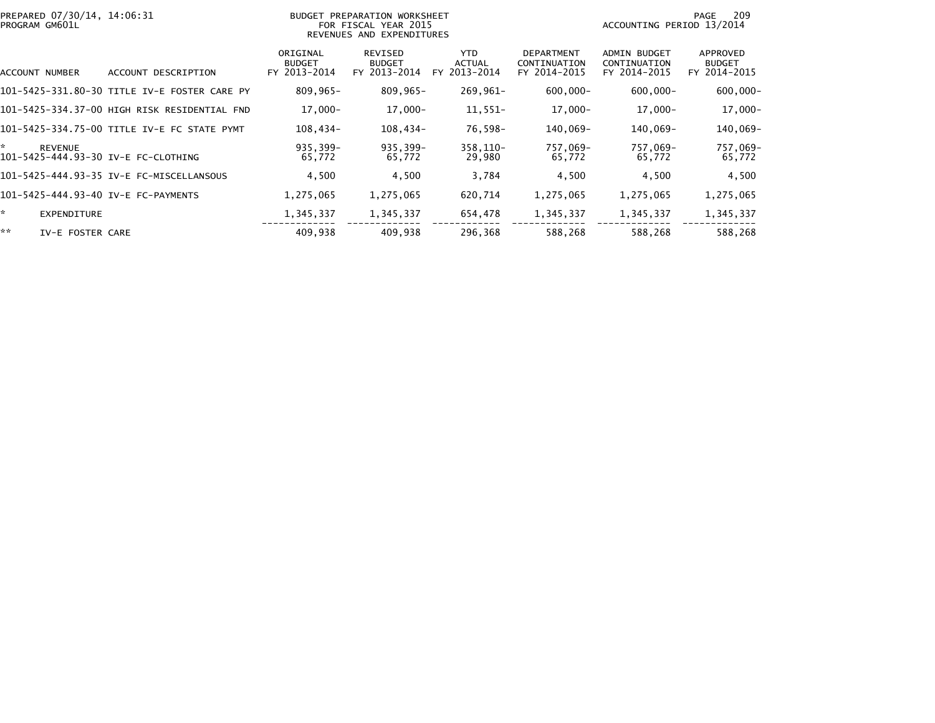| PREPARED 07/30/14, 14:06:31<br>PROGRAM GM601L               |                                              |                                           | BUDGET PREPARATION WORKSHEET<br>FOR FISCAL YEAR 2015<br>REVENUES AND EXPENDITURES | 209<br>PAGE<br>ACCOUNTING PERIOD 13/2014    |                                            |                                                     |                                           |
|-------------------------------------------------------------|----------------------------------------------|-------------------------------------------|-----------------------------------------------------------------------------------|---------------------------------------------|--------------------------------------------|-----------------------------------------------------|-------------------------------------------|
| ACCOUNT NUMBER                                              | ACCOUNT DESCRIPTION                          | ORIGINAL<br><b>BUDGET</b><br>FY 2013-2014 | REVISED<br><b>BUDGET</b><br>FY 2013-2014                                          | <b>YTD</b><br><b>ACTUAL</b><br>FY 2013-2014 | DEPARTMENT<br>CONTINUATION<br>FY 2014-2015 | <b>ADMIN BUDGET</b><br>CONTINUATION<br>FY 2014-2015 | APPROVED<br><b>BUDGET</b><br>FY 2014-2015 |
|                                                             | 101-5425-331.80-30 TITLE IV-E FOSTER CARE PY | $809,965 -$                               | $809,965 -$                                                                       | 269,961-                                    | $600,000 -$                                | $600,000 -$                                         | $600,000 -$                               |
|                                                             | 101–5425–334.37–00 HIGH RISK RESIDENTIAL FND | $17,000 -$                                | $17,000 -$                                                                        | $11,551-$                                   | $17,000 -$                                 | $17,000 -$                                          | 17,000-                                   |
|                                                             | 101-5425-334.75-00 TITLE IV-E FC STATE PYMT  | 108,434-                                  | 108,434-                                                                          | 76,598-                                     | 140,069-                                   | 140,069-                                            | 140,069-                                  |
| ÷.<br><b>REVENUE</b><br>101-5425-444.93-30 IV-E FC-CLOTHING |                                              | 935,399-<br>65,772                        | 935,399-<br>65,772                                                                | 358,110-<br>29,980                          | 757,069-<br>65,772                         | 757,069-<br>65,772                                  | 757,069-<br>65,772                        |
|                                                             | 101-5425-444.93-35 IV-E FC-MISCELLANSOUS     | 4,500                                     | 4,500                                                                             | 3,784                                       | 4,500                                      | 4,500                                               | 4,500                                     |
| 101-5425-444.93-40 IV-E FC-PAYMENTS                         |                                              | 1,275,065                                 | 1,275,065                                                                         | 620,714                                     | 1,275,065                                  | 1,275,065                                           | 1,275,065                                 |
| *.<br><b>EXPENDITURE</b>                                    |                                              | 1,345,337                                 | 1,345,337                                                                         | 654,478                                     | 1,345,337                                  | 1,345,337                                           | 1,345,337                                 |
| **<br>IV-E FOSTER CARE                                      |                                              | 409,938                                   | 409.938                                                                           | 296,368                                     | 588,268                                    | 588,268                                             | 588,268                                   |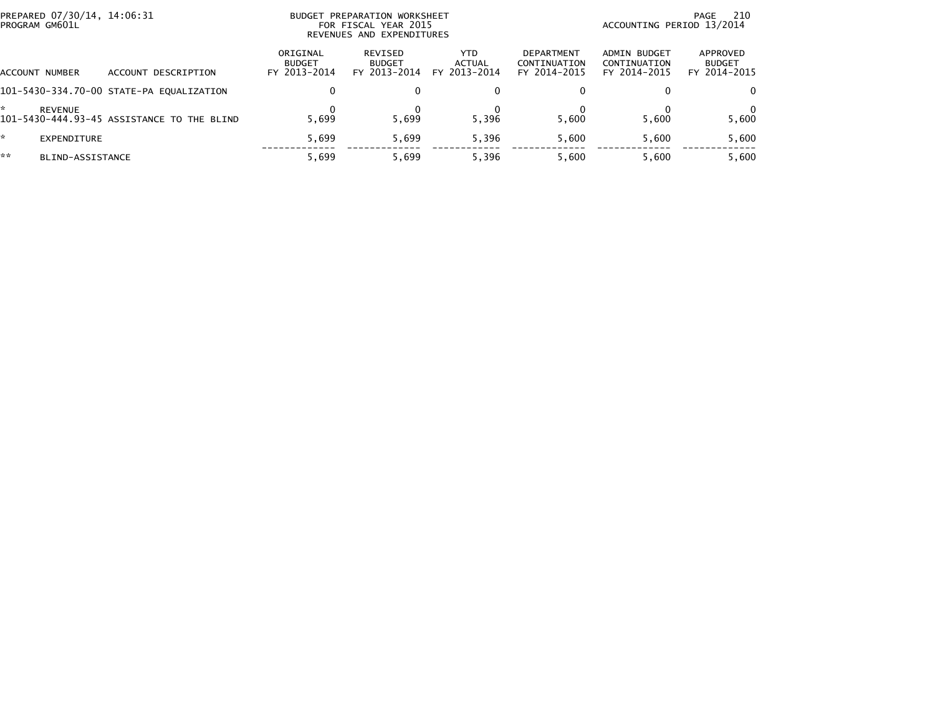| PREPARED 07/30/14, 14:06:31<br>PROGRAM GM601L |                                            |                                           | BUDGET PREPARATION WORKSHEET<br>FOR FISCAL YEAR 2015<br>REVENUES AND EXPENDITURES | -210<br>PAGE<br>ACCOUNTING PERIOD 13/2014 |                                                   |                                              |                                           |
|-----------------------------------------------|--------------------------------------------|-------------------------------------------|-----------------------------------------------------------------------------------|-------------------------------------------|---------------------------------------------------|----------------------------------------------|-------------------------------------------|
| ACCOUNT NUMBER                                | ACCOUNT DESCRIPTION                        | ORIGINAL<br><b>BUDGET</b><br>FY 2013-2014 | REVISED<br><b>BUDGET</b><br>FY 2013-2014                                          | <b>YTD</b><br>ACTUAL<br>FY 2013-2014      | <b>DEPARTMENT</b><br>CONTINUATION<br>FY 2014-2015 | ADMIN BUDGET<br>CONTINUATION<br>FY 2014-2015 | APPROVED<br><b>BUDGET</b><br>FY 2014-2015 |
|                                               | 101-5430-334.70-00 STATE-PA EQUALIZATION   | 0                                         |                                                                                   |                                           |                                                   |                                              | 0                                         |
| <b>REVENUE</b>                                | 101-5430-444.93-45 ASSISTANCE TO THE BLIND | 5.699                                     | 5.699                                                                             | 5.396                                     | 5.600                                             | 5.600                                        | 5,600                                     |
| EXPENDITURE                                   |                                            | 5.699                                     | 5.699                                                                             | 5.396                                     | 5.600                                             | 5.600                                        | 5,600                                     |
| **<br>BLIND-ASSISTANCE                        |                                            | 5.699                                     | 5.699                                                                             | 5,396                                     | 5.600                                             | 5.600                                        | 5,600                                     |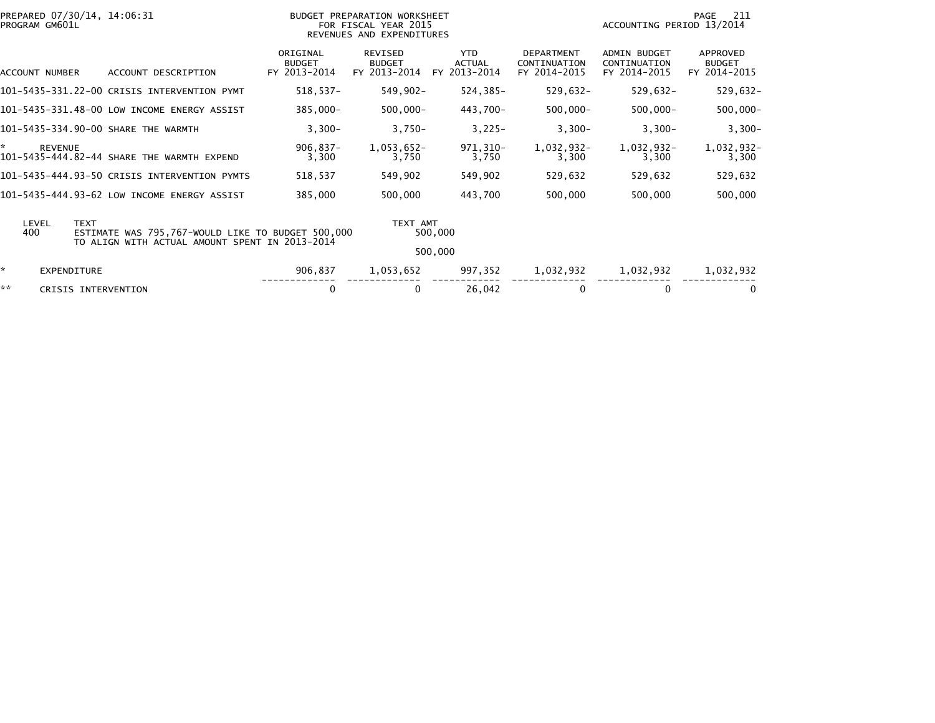|    | PROGRAM GM601L     | PREPARED 07/30/14, 14:06:31                                                                                        |                                           | BUDGET PREPARATION WORKSHEET<br>FOR FISCAL YEAR 2015<br>REVENUES AND EXPENDITURES |                                             |                                                   | ACCOUNTING PERIOD 13/2014                           | 211<br>PAGE                               |
|----|--------------------|--------------------------------------------------------------------------------------------------------------------|-------------------------------------------|-----------------------------------------------------------------------------------|---------------------------------------------|---------------------------------------------------|-----------------------------------------------------|-------------------------------------------|
|    | ACCOUNT NUMBER     | ACCOUNT DESCRIPTION                                                                                                | ORIGINAL<br><b>BUDGET</b><br>FY 2013-2014 | <b>REVISED</b><br><b>BUDGET</b><br>FY 2013-2014                                   | <b>YTD</b><br><b>ACTUAL</b><br>FY 2013-2014 | <b>DEPARTMENT</b><br>CONTINUATION<br>FY 2014-2015 | <b>ADMIN BUDGET</b><br>CONTINUATION<br>FY 2014-2015 | APPROVED<br><b>BUDGET</b><br>FY 2014-2015 |
|    |                    | 101-5435-331.22-00 CRISIS INTERVENTION PYMT                                                                        | $518,537-$                                | 549,902-                                                                          | 524,385-                                    | 529,632-                                          | $529,632 -$                                         | $529,632-$                                |
|    |                    | 101-5435-331.48-00 LOW INCOME ENERGY ASSIST                                                                        | 385,000-                                  | $500,000 -$                                                                       | 443,700-                                    | $500,000 -$                                       | $500,000 -$                                         | $500,000 -$                               |
|    |                    | 101-5435-334.90-00 SHARE THE WARMTH                                                                                | $3,300-$                                  | $3,750-$                                                                          | $3,225-$                                    | $3,300-$                                          | $3,300-$                                            | $3,300-$                                  |
| ×. | <b>REVENUE</b>     | 101-5435-444.82-44 SHARE THE WARMTH EXPEND                                                                         | $906,837 -$<br>3,300                      | $1,053,652-$<br>3,750                                                             | 971,310-<br>3,750                           | 1,032,932-<br>3,300                               | 1,032,932-<br>3,300                                 | 1,032,932-<br>3,300                       |
|    |                    | 101-5435-444.93-50 CRISIS INTERVENTION PYMTS                                                                       | 518,537                                   | 549,902                                                                           | 549,902                                     | 529,632                                           | 529,632                                             | 529,632                                   |
|    |                    | 101-5435-444.93-62 LOW INCOME ENERGY ASSIST                                                                        | 385,000                                   | 500,000                                                                           | 443,700                                     | 500,000                                           | 500,000                                             | 500,000                                   |
|    | LEVEL<br>400       | <b>TEXT</b><br>ESTIMATE WAS 795,767-WOULD LIKE TO BUDGET 500,000<br>TO ALIGN WITH ACTUAL AMOUNT SPENT IN 2013-2014 |                                           | TEXT AMT                                                                          | 500,000<br>500,000                          |                                                   |                                                     |                                           |
| *  | <b>EXPENDITURE</b> |                                                                                                                    | 906,837                                   | 1,053,652                                                                         | 997,352                                     | 1,032,932                                         | 1,032,932                                           | 1,032,932                                 |
| ** |                    | CRISIS INTERVENTION                                                                                                | 0                                         | 0                                                                                 | 26,042                                      |                                                   | 0                                                   | 0                                         |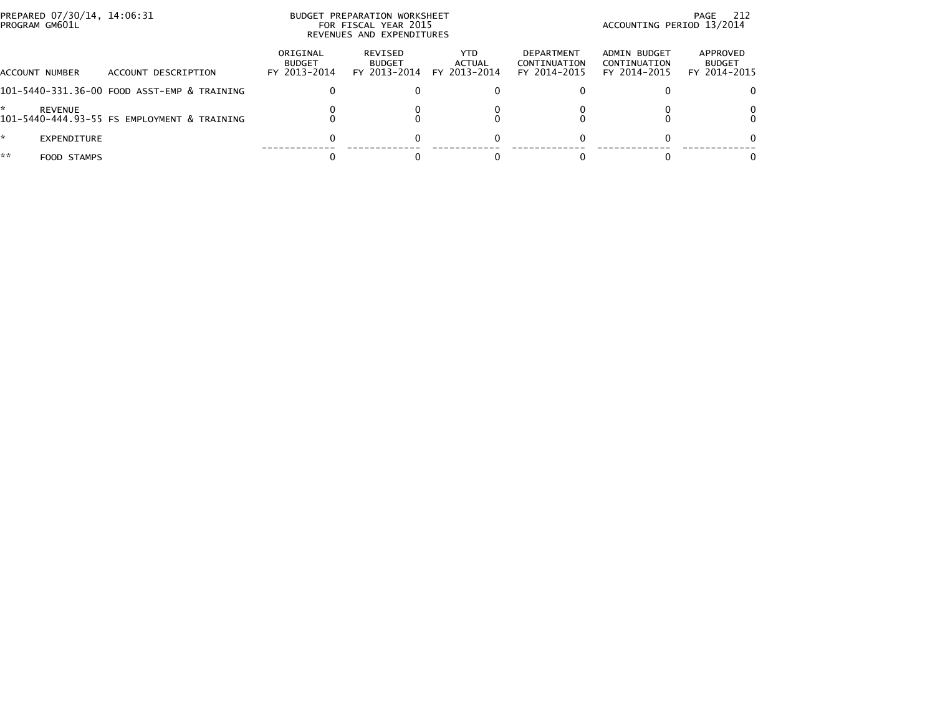| PREPARED 07/30/14, 14:06:31<br>PROGRAM GM601L |                                             |                                           | BUDGET PREPARATION WORKSHEET<br>FOR FISCAL YEAR 2015<br>REVENUES AND EXPENDITURES | ACCOUNTING PERIOD 13/2014      | PAGE 212                                   |                                              |                                           |
|-----------------------------------------------|---------------------------------------------|-------------------------------------------|-----------------------------------------------------------------------------------|--------------------------------|--------------------------------------------|----------------------------------------------|-------------------------------------------|
| <b>ACCOUNT NUMBER</b>                         | ACCOUNT DESCRIPTION                         | ORIGINAL<br><b>BUDGET</b><br>FY 2013-2014 | REVISED<br><b>BUDGET</b><br>FY 2013-2014                                          | YTD.<br>ACTUAL<br>FY 2013-2014 | DEPARTMENT<br>CONTINUATION<br>FY 2014-2015 | ADMIN BUDGET<br>CONTINUATION<br>FY 2014-2015 | APPROVED<br><b>BUDGET</b><br>FY 2014-2015 |
|                                               | 101-5440-331.36-00 FOOD ASST-EMP & TRAINING | 0                                         |                                                                                   |                                |                                            |                                              |                                           |
| <b>REVENUE</b>                                | 101-5440-444.93-55 FS EMPLOYMENT & TRAINING |                                           |                                                                                   |                                |                                            |                                              |                                           |
| *.<br>EXPENDITURE                             |                                             | 0                                         |                                                                                   |                                |                                            |                                              |                                           |
| **<br>FOOD STAMPS                             |                                             |                                           |                                                                                   |                                |                                            |                                              |                                           |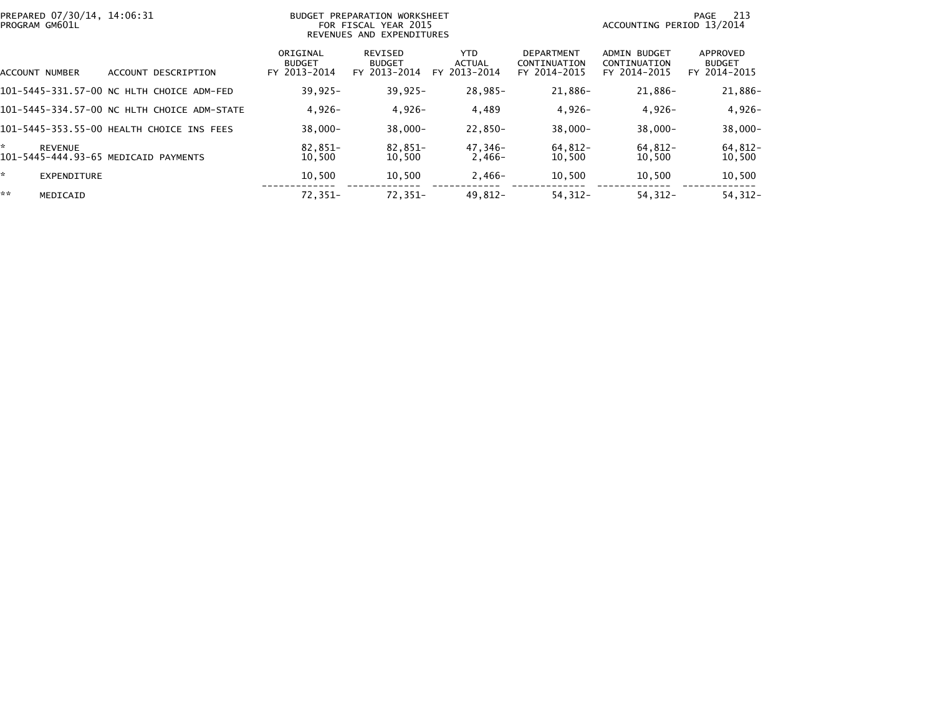| PREPARED 07/30/14, 14:06:31<br>BUDGET PREPARATION WORKSHEET<br>PROGRAM GM601L<br>FOR FISCAL YEAR 2015<br>REVENUES AND EXPENDITURES |                                             |                                           |                                          |                                      |                                                   | 213<br>PAGE<br>ACCOUNTING PERIOD 13/2014     |                                           |  |
|------------------------------------------------------------------------------------------------------------------------------------|---------------------------------------------|-------------------------------------------|------------------------------------------|--------------------------------------|---------------------------------------------------|----------------------------------------------|-------------------------------------------|--|
| ACCOUNT NUMBER                                                                                                                     | ACCOUNT DESCRIPTION                         | ORIGINAL<br><b>BUDGET</b><br>FY 2013-2014 | REVISED<br><b>BUDGET</b><br>FY 2013-2014 | <b>YTD</b><br>ACTUAL<br>FY 2013-2014 | <b>DEPARTMENT</b><br>CONTINUATION<br>FY 2014-2015 | ADMIN BUDGET<br>CONTINUATION<br>FY 2014-2015 | APPROVED<br><b>BUDGET</b><br>FY 2014-2015 |  |
|                                                                                                                                    | 101-5445-331.57-00 NC HLTH CHOICE ADM-FED   | $39,925 -$                                | $39,925 -$                               | 28,985-                              | 21,886-                                           | 21,886-                                      | 21,886-                                   |  |
|                                                                                                                                    | 101-5445-334.57-00 NC HLTH CHOICE ADM-STATE | $4,926-$                                  | $4,926-$                                 | 4,489                                | $4,926-$                                          | $4,926-$                                     | $4,926-$                                  |  |
|                                                                                                                                    | 101-5445-353.55-00 HEALTH CHOICE INS FEES   | $38,000 -$                                | $38,000 -$                               | 22,850-                              | $38,000 -$                                        | $38,000 -$                                   | $38,000 -$                                |  |
| ÷<br><b>REVENUE</b>                                                                                                                | 101-5445-444.93-65 MEDICAID PAYMENTS        | $82.851-$<br>10,500                       | 82.851-<br>10,500                        | 47.346-<br>$2,466-$                  | 64.812-<br>10,500                                 | $64.812 -$<br>10,500                         | 64,812-<br>10,500                         |  |
| ×.<br><b>EXPENDITURE</b>                                                                                                           |                                             | 10,500                                    | 10,500                                   | $2,466-$                             | 10,500                                            | 10,500                                       | 10,500                                    |  |
| **<br>MEDICAID                                                                                                                     |                                             | 72,351-                                   | 72.351-                                  | $49.812 -$                           | $54.312 -$                                        | $54.312 -$                                   | $54, 312 -$                               |  |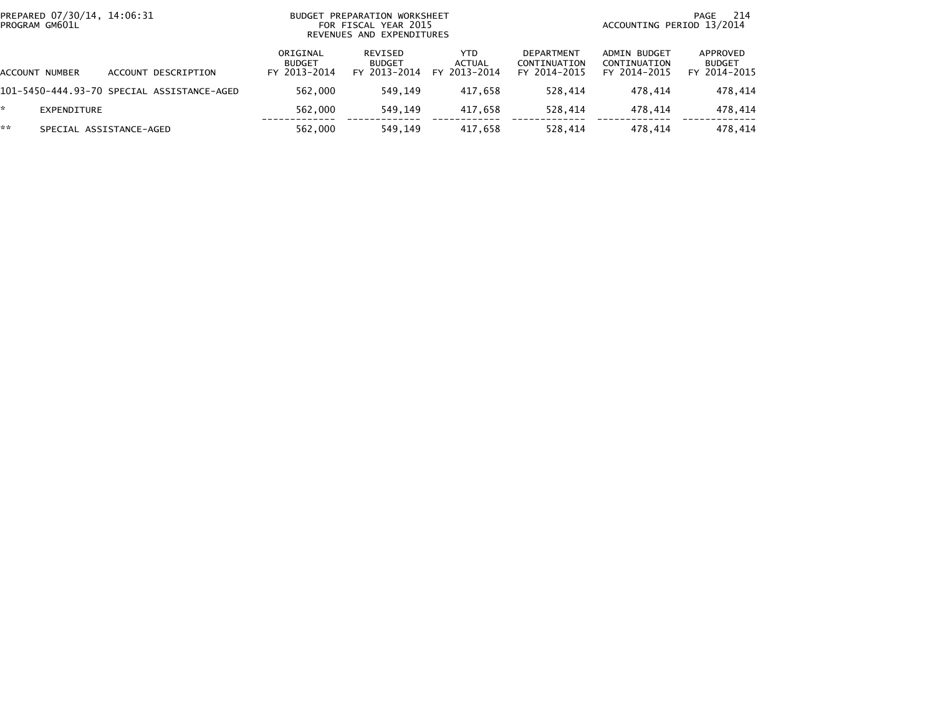|    | PREPARED 07/30/14, 14:06:31<br>PROGRAM GM601L |                                            | BUDGET PREPARATION WORKSHEET<br>FOR FISCAL YEAR 2015<br>REVENUES AND EXPENDITURES |                                          |                                       |                                                   | -214<br>PAGE<br>ACCOUNTING PERIOD 13/2014    |                                           |  |
|----|-----------------------------------------------|--------------------------------------------|-----------------------------------------------------------------------------------|------------------------------------------|---------------------------------------|---------------------------------------------------|----------------------------------------------|-------------------------------------------|--|
|    | ACCOUNT NUMBER                                | ACCOUNT DESCRIPTION                        | ORIGINAL<br><b>BUDGET</b><br>FY 2013-2014                                         | REVISED<br><b>BUDGET</b><br>FY 2013-2014 | YTD.<br><b>ACTUAL</b><br>FY 2013-2014 | <b>DEPARTMENT</b><br>CONTINUATION<br>FY 2014-2015 | ADMIN BUDGET<br>CONTINUATION<br>FY 2014-2015 | APPROVED<br><b>BUDGET</b><br>FY 2014-2015 |  |
|    |                                               | 101-5450-444.93-70 SPECIAL ASSISTANCE-AGED | 562,000                                                                           | 549.149                                  | 417.658                               | 528.414                                           | 478.414                                      | 478,414                                   |  |
| *. | EXPENDITURE                                   |                                            | 562,000                                                                           | 549,149                                  | 417.658                               | 528.414                                           | 478.414                                      | 478,414                                   |  |
| ** |                                               | SPECIAL ASSISTANCE-AGED                    | 562,000                                                                           | 549.149                                  | 417.658                               | 528.414                                           | 478.414                                      | 478.414                                   |  |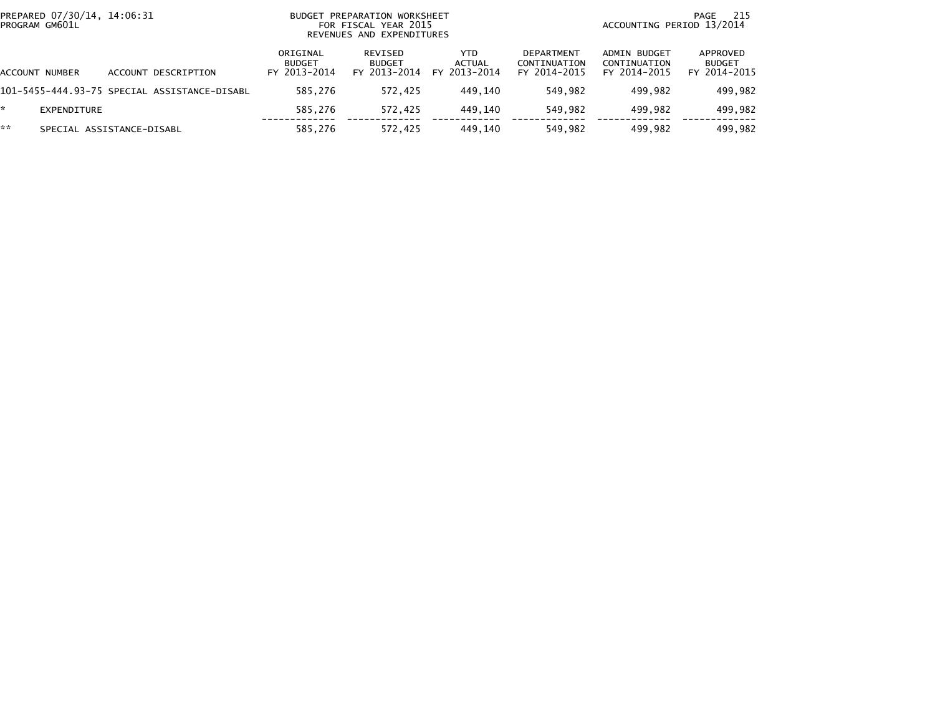| PROGRAM GM601L | PREPARED 07/30/14, 14:06:31 |                                              |                                           | BUDGET PREPARATION WORKSHEET<br>FOR FISCAL YEAR 2015<br>REVENUES AND EXPENDITURES |                                      |                                                   | 215<br>PAGE<br>ACCOUNTING PERIOD 13/2014     |                                           |  |
|----------------|-----------------------------|----------------------------------------------|-------------------------------------------|-----------------------------------------------------------------------------------|--------------------------------------|---------------------------------------------------|----------------------------------------------|-------------------------------------------|--|
| ACCOUNT NUMBER |                             | ACCOUNT DESCRIPTION                          | ORIGINAL<br><b>BUDGET</b><br>FY 2013-2014 | REVISED<br><b>BUDGET</b><br>FY 2013-2014                                          | <b>YTD</b><br>ACTUAL<br>FY 2013-2014 | <b>DEPARTMENT</b><br>CONTINUATION<br>FY 2014-2015 | ADMIN BUDGET<br>CONTINUATION<br>FY 2014-2015 | APPROVED<br><b>BUDGET</b><br>FY 2014-2015 |  |
|                |                             | 101–5455–444.93–75 SPECIAL ASSISTANCE–DISABL | 585.276                                   | 572,425                                                                           | 449.140                              | 549.982                                           | 499.982                                      | 499,982                                   |  |
| *.             | EXPENDITURE                 |                                              | 585.276                                   | 572,425                                                                           | 449.140                              | 549,982                                           | 499.982                                      | 499,982                                   |  |
| **             | SPECIAL ASSISTANCE-DISABL   |                                              | 585.276                                   | 572.425                                                                           | 449.140                              | 549,982                                           | 499.982                                      | 499.982                                   |  |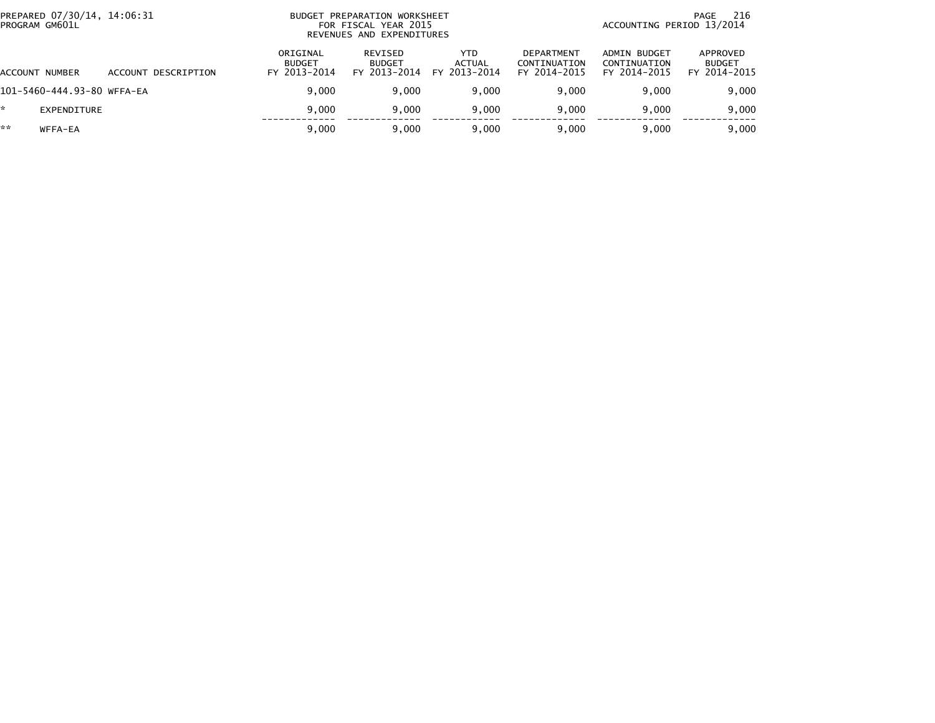|    | PREPARED 07/30/14, 14:06:31<br>BUDGET PREPARATION WORKSHEET<br>PROGRAM GM601L<br>FOR FISCAL YEAR 2015<br>REVENUES AND EXPENDITURES |                     |                                           |                                          |                                      | 216<br>PAGE<br>ACCOUNTING PERIOD 13/2014          |                                              |                                           |
|----|------------------------------------------------------------------------------------------------------------------------------------|---------------------|-------------------------------------------|------------------------------------------|--------------------------------------|---------------------------------------------------|----------------------------------------------|-------------------------------------------|
|    | ACCOUNT NUMBER                                                                                                                     | ACCOUNT DESCRIPTION | ORIGINAL<br><b>BUDGET</b><br>FY 2013-2014 | REVISED<br><b>BUDGET</b><br>FY 2013-2014 | <b>YTD</b><br>ACTUAL<br>FY 2013-2014 | <b>DEPARTMENT</b><br>CONTINUATION<br>FY 2014-2015 | ADMIN BUDGET<br>CONTINUATION<br>FY 2014-2015 | APPROVED<br><b>BUDGET</b><br>FY 2014-2015 |
|    | 101-5460-444.93-80 WFFA-EA                                                                                                         |                     | 9.000                                     | 9.000                                    | 9.000                                | 9.000                                             | 9.000                                        | 9,000                                     |
| *  | EXPENDITURE                                                                                                                        |                     | 9.000                                     | 9.000                                    | 9.000                                | 9.000                                             | 9.000                                        | 9,000                                     |
| ** | WFFA-EA                                                                                                                            |                     | 9.000                                     | 9,000                                    | 9,000                                | 9.000                                             | 9.000                                        | 9,000                                     |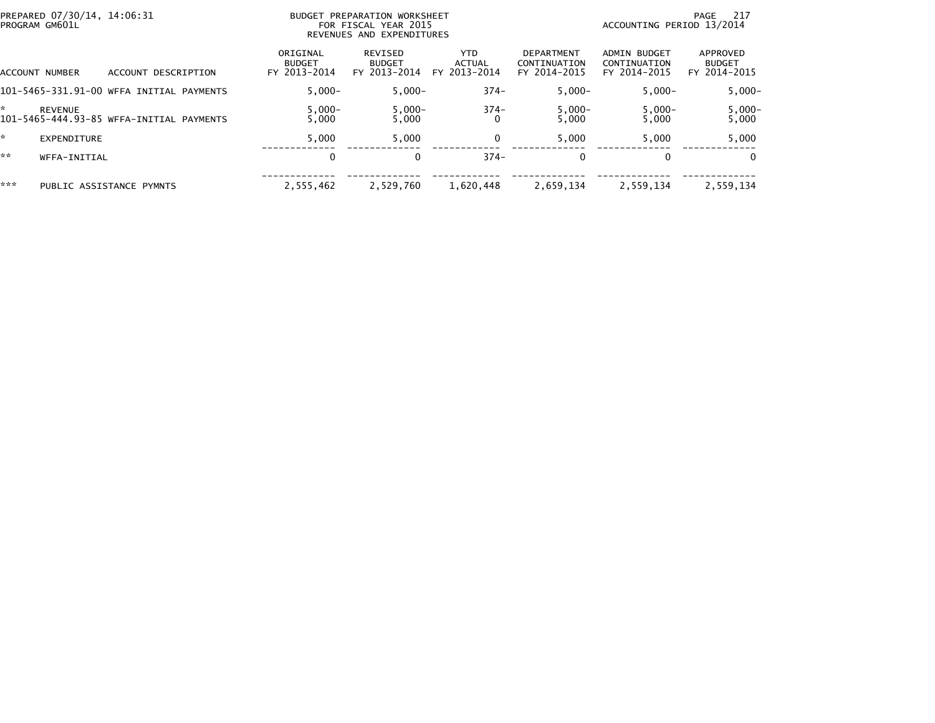| PREPARED 07/30/14, 14:06:31<br>PROGRAM GM601L              | BUDGET                                    | PREPARATION WORKSHEET<br>FOR FISCAL YEAR 2015<br>REVENUES AND EXPENDITURES |                                       | -217<br>PAGE<br>ACCOUNTING PERIOD 13/2014  |                                                     |                                           |
|------------------------------------------------------------|-------------------------------------------|----------------------------------------------------------------------------|---------------------------------------|--------------------------------------------|-----------------------------------------------------|-------------------------------------------|
| ACCOUNT DESCRIPTION<br>ACCOUNT NUMBER                      | ORIGINAL<br><b>BUDGET</b><br>FY 2013-2014 | REVISED<br><b>BUDGET</b><br>FY 2013-2014                                   | YTD.<br><b>ACTUAL</b><br>FY 2013-2014 | DEPARTMENT<br>CONTINUATION<br>FY 2014-2015 | <b>ADMIN BUDGET</b><br>CONTINUATION<br>FY 2014-2015 | APPROVED<br><b>BUDGET</b><br>FY 2014-2015 |
| 101-5465-331.91-00 WFFA INITIAL PAYMENTS                   | $5.000 -$                                 | $5.000 -$                                                                  | $374-$                                | $5,000 -$                                  | $5.000 -$                                           | $5,000 -$                                 |
| <b>REVENUE</b><br>101-5465-444.93-85 WFFA-INITIAL PAYMENTS | $5,000 -$<br>5.000                        | $5,000 -$<br>5.000                                                         | $374-$                                | $5,000-$<br>5.000                          | $5,000 -$<br>5.000                                  | $5,000-$<br>5,000                         |
| EXPENDITURE                                                | 5.000                                     | 5,000                                                                      | 0                                     | 5,000                                      | 5,000                                               | 5,000                                     |
| **<br>WFFA-INITIAL                                         | 0                                         |                                                                            | $374-$                                | 0                                          | $\Omega$                                            | $\Omega$                                  |
| ***<br>PUBLIC ASSISTANCE PYMNTS                            | 2,555,462                                 | 2,529,760                                                                  | 1,620,448                             | 2,659,134                                  | 2,559,134                                           | 2.559.134                                 |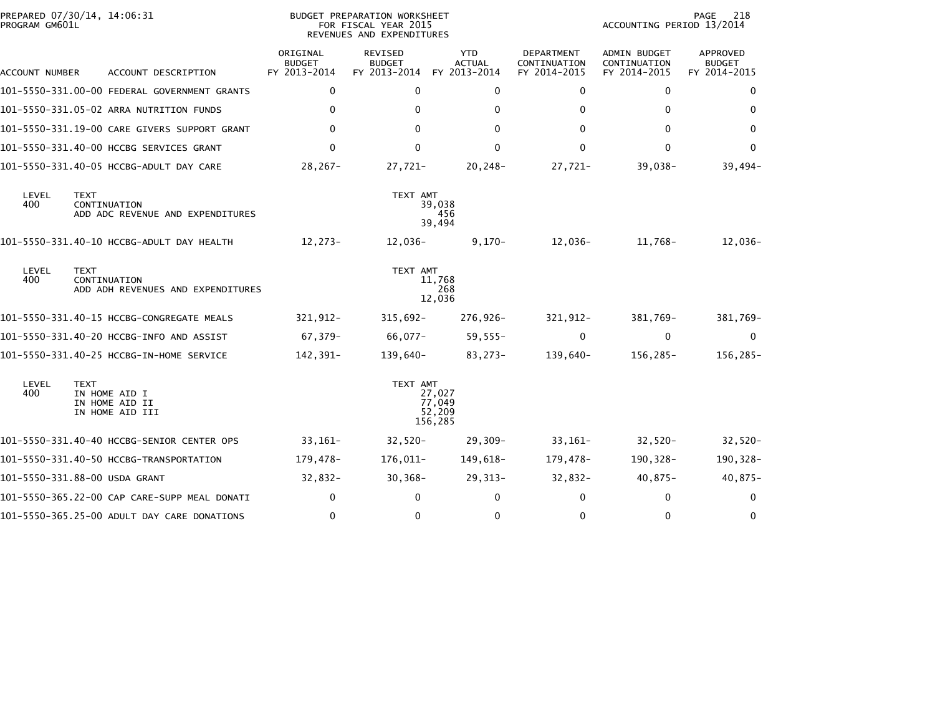| PROGRAM GM601L | PREPARED 07/30/14, 14:06:31                                       |                                           | BUDGET PREPARATION WORKSHEET<br>FOR FISCAL YEAR 2015<br>REVENUES AND EXPENDITURES | PAGE<br>218<br>ACCOUNTING PERIOD 13/2014    |                                            |                                              |                                           |
|----------------|-------------------------------------------------------------------|-------------------------------------------|-----------------------------------------------------------------------------------|---------------------------------------------|--------------------------------------------|----------------------------------------------|-------------------------------------------|
| ACCOUNT NUMBER | ACCOUNT DESCRIPTION                                               | ORIGINAL<br><b>BUDGET</b><br>FY 2013-2014 | REVISED<br><b>BUDGET</b><br>FY 2013-2014                                          | <b>YTD</b><br><b>ACTUAL</b><br>FY 2013-2014 | DEPARTMENT<br>CONTINUATION<br>FY 2014-2015 | ADMIN BUDGET<br>CONTINUATION<br>FY 2014-2015 | APPROVED<br><b>BUDGET</b><br>FY 2014-2015 |
|                | 101-5550-331.00-00 FEDERAL GOVERNMENT GRANTS                      | 0                                         | 0                                                                                 | 0                                           | 0                                          | $\mathbf{0}$                                 | 0                                         |
|                | 101-5550-331.05-02 ARRA NUTRITION FUNDS                           | 0                                         | $\mathbf{0}$                                                                      | $\mathbf 0$                                 | $\Omega$                                   | $\mathbf{0}$                                 | 0                                         |
|                | 101-5550-331.19-00 CARE GIVERS SUPPORT GRANT                      | $\mathbf{0}$                              | $\Omega$                                                                          | $\mathbf{0}$                                | $\Omega$                                   | $\Omega$                                     | $\Omega$                                  |
|                | 101-5550-331.40-00 HCCBG SERVICES GRANT                           | $\mathbf 0$                               | $\mathbf 0$                                                                       | $\mathbf 0$                                 | 0                                          | $\mathbf 0$                                  | 0                                         |
|                | 101-5550-331.40-05 HCCBG-ADULT DAY CARE                           | 28,267-                                   | 27,721-                                                                           | 20,248-                                     | $27,721-$                                  | $39,038-$                                    | $39,494-$                                 |
| LEVEL<br>400   | <b>TEXT</b><br>CONTINUATION<br>ADD ADC REVENUE AND EXPENDITURES   |                                           | TEXT AMT                                                                          | 39,038<br>456<br>39,494                     |                                            |                                              |                                           |
|                |                                                                   | 12,273-                                   | 12,036-                                                                           | $9,170-$                                    | 12,036-                                    | 11,768-                                      | 12,036-                                   |
| LEVEL<br>400   | <b>TEXT</b><br>CONTINUATION<br>ADD ADH REVENUES AND EXPENDITURES  |                                           | TEXT AMT                                                                          | 11,768<br>268<br>12,036                     |                                            |                                              |                                           |
|                |                                                                   | 321,912-                                  | $315,692 -$                                                                       | 276,926-                                    | $321,912-$                                 | 381,769-                                     | 381,769-                                  |
|                | 101-5550-331.40-20 HCCBG-INFO AND ASSIST                          | 67,379-                                   | 66,077-                                                                           | $59,555 -$                                  | $\mathbf{0}$                               | $\mathbf 0$                                  | $\mathbf 0$                               |
|                |                                                                   | 142,391-                                  | 139,640-                                                                          | 83,273-                                     | 139,640-                                   | 156,285-                                     | $156, 285 -$                              |
| LEVEL<br>400   | <b>TEXT</b><br>IN HOME AID I<br>IN HOME AID II<br>IN HOME AID III |                                           | TEXT AMT                                                                          | 27,027<br>77,049<br>52,209<br>156,285       |                                            |                                              |                                           |
|                |                                                                   | $33,161-$                                 | $32,520-$                                                                         | $29,309-$                                   | $33,161-$                                  | $32,520-$                                    | $32,520-$                                 |
|                |                                                                   | 179,478-                                  | 176,011-                                                                          | 149,618-                                    | 179,478-                                   | 190,328-                                     | 190,328-                                  |
|                | 101-5550-331.88-00 USDA GRANT                                     | $32,832-$                                 | $30,368-$                                                                         | $29,313-$                                   | $32,832-$                                  | $40,875-$                                    | $40,875-$                                 |
|                | 101-5550-365.22-00 CAP CARE-SUPP MEAL DONATI                      | 0                                         | $\Omega$                                                                          | $\mathbf 0$                                 | 0                                          | 0                                            | 0                                         |
|                | 101-5550-365.25-00 ADULT DAY CARE DONATIONS                       | $\mathbf 0$                               | $\mathbf{0}$                                                                      | $\mathbf 0$                                 | $\Omega$                                   | $\mathbf{0}$                                 | 0                                         |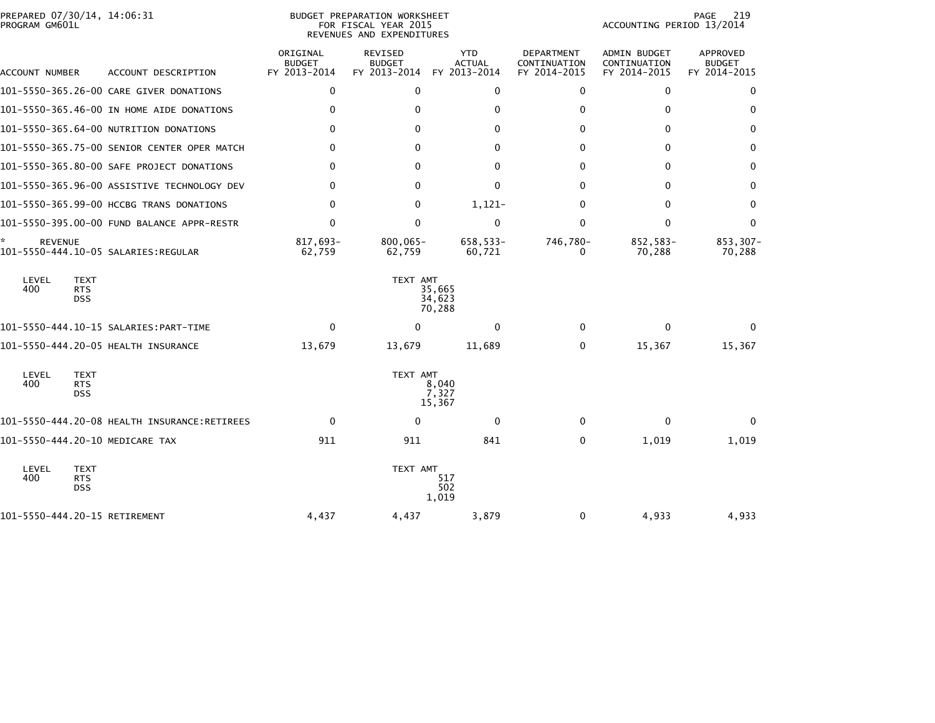| PREPARED 07/30/14, 14:06:31 |                                              |                                           | BUDGET PREPARATION WORKSHEET                      |                                             |                                                   |                                                     | 219<br>PAGE                                      |
|-----------------------------|----------------------------------------------|-------------------------------------------|---------------------------------------------------|---------------------------------------------|---------------------------------------------------|-----------------------------------------------------|--------------------------------------------------|
| PROGRAM GM601L              |                                              |                                           | FOR FISCAL YEAR 2015<br>REVENUES AND EXPENDITURES |                                             |                                                   | ACCOUNTING PERIOD 13/2014                           |                                                  |
| ACCOUNT NUMBER              | ACCOUNT DESCRIPTION                          | ORIGINAL<br><b>BUDGET</b><br>FY 2013-2014 | <b>REVISED</b><br><b>BUDGET</b><br>FY 2013-2014   | <b>YTD</b><br><b>ACTUAL</b><br>FY 2013-2014 | <b>DEPARTMENT</b><br>CONTINUATION<br>FY 2014-2015 | <b>ADMIN BUDGET</b><br>CONTINUATION<br>FY 2014-2015 | <b>APPROVED</b><br><b>BUDGET</b><br>FY 2014-2015 |
|                             | 101-5550-365.26-00 CARE GIVER DONATIONS      | $\mathbf 0$                               | $\Omega$                                          | $\mathbf 0$                                 | $\mathbf{0}$                                      | $\mathbf{0}$                                        | 0                                                |
|                             | 101-5550-365.46-00 IN HOME AIDE DONATIONS    | 0                                         | 0                                                 | 0                                           | 0                                                 | $\mathbf{0}$                                        | 0                                                |
|                             | 101-5550-365.64-00 NUTRITION DONATIONS       | 0                                         | 0                                                 | 0                                           | 0                                                 | $\mathbf 0$                                         | 0                                                |
|                             | 101-5550-365.75-00 SENIOR CENTER OPER MATCH  | $\Omega$                                  | 0                                                 | $\mathbf{0}$                                | $\Omega$                                          | $\mathbf{0}$                                        | 0                                                |
|                             | 101-5550-365.80-00 SAFE PROJECT DONATIONS    | $\Omega$                                  | $\Omega$                                          | $\mathbf{0}$                                | $\Omega$                                          | $\mathbf{0}$                                        | $\mathbf{0}$                                     |
|                             | 101-5550-365.96-00 ASSISTIVE TECHNOLOGY DEV  | 0                                         | $\Omega$                                          | 0                                           | $\mathbf{0}$                                      | $\mathbf{0}$                                        | 0                                                |
|                             | 101-5550-365.99-00 HCCBG TRANS DONATIONS     | $\Omega$                                  | $\Omega$                                          | $1,121-$                                    | $\mathbf{0}$                                      | $\mathbf{0}$                                        | $\mathbf{0}$                                     |
|                             | 101-5550-395.00-00 FUND BALANCE APPR-RESTR   | 0                                         | $\Omega$                                          | 0                                           | $\Omega$                                          | $\mathbf{0}$                                        | $\mathbf{0}$                                     |
| ÷.<br><b>REVENUE</b>        | 101-5550-444.10-05 SALARIES:REGULAR          | 817.693-<br>62,759                        | $800.065 -$<br>62,759                             | 658,533-<br>60,721                          | 746,780-<br>0                                     | 852,583-<br>70,288                                  | 853,307-<br>70,288                               |
| LEVEL<br>400                | <b>TEXT</b><br><b>RTS</b><br><b>DSS</b>      |                                           | TEXT AMT                                          | 35,665<br>34,623<br>70,288                  |                                                   |                                                     |                                                  |
|                             |                                              | $\mathbf{0}$                              | $\Omega$                                          | $\mathbf{0}$                                | $\Omega$                                          | $\mathbf{0}$                                        | $\Omega$                                         |
|                             |                                              | 13,679                                    | 13,679                                            | 11,689                                      | 0                                                 | 15,367                                              | 15,367                                           |
| LEVEL<br>400                | <b>TEXT</b><br><b>RTS</b><br><b>DSS</b>      |                                           | TEXT AMT                                          | 8,040<br>7,327<br>15,367                    |                                                   |                                                     |                                                  |
|                             | 101-5550-444.20-08 HEALTH INSURANCE:RETIREES | $\mathbf 0$                               | $\Omega$                                          | $\mathbf 0$                                 | $\mathbf{0}$                                      | $\mathbf 0$                                         | $\Omega$                                         |
|                             | 101-5550-444.20-10 MEDICARE TAX              | 911                                       | 911                                               | 841                                         | $\Omega$                                          | 1,019                                               | 1,019                                            |
| LEVEL<br>400                | <b>TEXT</b><br><b>RTS</b><br><b>DSS</b>      |                                           | TEXT AMT                                          | 517<br>502<br>1,019                         |                                                   |                                                     |                                                  |
|                             | 101-5550-444.20-15 RETIREMENT                | 4,437                                     | 4,437                                             | 3,879                                       | 0                                                 | 4,933                                               | 4,933                                            |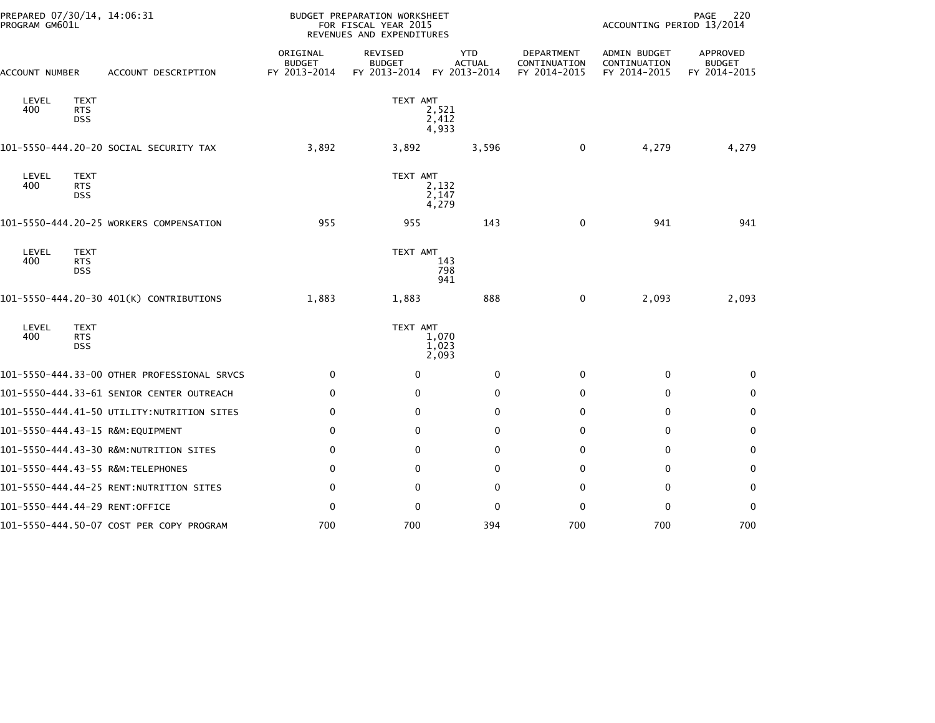| PREPARED 07/30/14, 14:06:31<br>PROGRAM GM601L |                                         |                                             |                                           | <b>BUDGET PREPARATION WORKSHEET</b><br>FOR FISCAL YEAR 2015<br>REVENUES AND EXPENDITURES | 220<br>PAGE<br>ACCOUNTING PERIOD 13/2014    |                                            |                                              |                                           |
|-----------------------------------------------|-----------------------------------------|---------------------------------------------|-------------------------------------------|------------------------------------------------------------------------------------------|---------------------------------------------|--------------------------------------------|----------------------------------------------|-------------------------------------------|
| ACCOUNT NUMBER                                |                                         | ACCOUNT DESCRIPTION                         | ORIGINAL<br><b>BUDGET</b><br>FY 2013-2014 | REVISED<br><b>BUDGET</b><br>FY 2013-2014                                                 | <b>YTD</b><br><b>ACTUAL</b><br>FY 2013-2014 | DEPARTMENT<br>CONTINUATION<br>FY 2014-2015 | ADMIN BUDGET<br>CONTINUATION<br>FY 2014-2015 | APPROVED<br><b>BUDGET</b><br>FY 2014-2015 |
| LEVEL<br>400                                  | <b>TEXT</b><br><b>RTS</b><br><b>DSS</b> |                                             |                                           | TEXT AMT                                                                                 | 2,521<br>2,412<br>4,933                     |                                            |                                              |                                           |
|                                               |                                         | 101-5550-444.20-20 SOCIAL SECURITY TAX      | 3,892                                     | 3,892                                                                                    | 3,596                                       | $\mathbf 0$                                | 4,279                                        | 4,279                                     |
| LEVEL<br>400                                  | <b>TEXT</b><br><b>RTS</b><br><b>DSS</b> |                                             |                                           | TEXT AMT                                                                                 | 2,132<br>2,147<br>4,279                     |                                            |                                              |                                           |
|                                               |                                         | 101-5550-444.20-25 WORKERS COMPENSATION     | 955                                       | 955                                                                                      | 143                                         | 0                                          | 941                                          | 941                                       |
| LEVEL<br>400                                  | <b>TEXT</b><br><b>RTS</b><br><b>DSS</b> |                                             |                                           | TEXT AMT                                                                                 | 143<br>798<br>941                           |                                            |                                              |                                           |
|                                               |                                         | 101-5550-444.20-30 401(K) CONTRIBUTIONS     | 1,883                                     | 1,883                                                                                    | 888                                         | 0                                          | 2,093                                        | 2,093                                     |
| LEVEL<br>400                                  | <b>TEXT</b><br><b>RTS</b><br><b>DSS</b> |                                             |                                           | TEXT AMT                                                                                 | 1,070<br>1,023<br>2,093                     |                                            |                                              |                                           |
|                                               |                                         | 101-5550-444.33-00 OTHER PROFESSIONAL SRVCS | 0                                         | $\mathbf 0$                                                                              | 0                                           | 0                                          | 0                                            | 0                                         |
|                                               |                                         | 101-5550-444.33-61 SENIOR CENTER OUTREACH   | 0                                         | 0                                                                                        | $\mathbf{0}$                                | $\Omega$                                   | 0                                            | 0                                         |
|                                               |                                         | 101-5550-444.41-50 UTILITY:NUTRITION SITES  | 0                                         | $\Omega$                                                                                 | $\Omega$                                    | $\Omega$                                   | $\mathbf{0}$                                 | 0                                         |
|                                               |                                         | 101-5550-444.43-15 R&M:EQUIPMENT            | 0                                         | 0                                                                                        | 0                                           | 0                                          | 0                                            | $\mathbf 0$                               |
|                                               |                                         | 101-5550-444.43-30 R&M:NUTRITION SITES      | 0                                         | $\Omega$                                                                                 | $\mathbf{0}$                                | $\Omega$                                   | 0                                            | 0                                         |
|                                               |                                         | 101-5550-444.43-55 R&M:TELEPHONES           | $\mathbf 0$                               | 0                                                                                        | 0                                           | $\Omega$                                   | 0                                            | 0                                         |
|                                               |                                         |                                             | 0                                         | $\Omega$                                                                                 | $\Omega$                                    | $\Omega$                                   | $\mathbf{0}$                                 | $\mathbf{0}$                              |
|                                               |                                         | 101-5550-444.44-29 RENT:OFFICE              | $\mathbf 0$                               | $\mathbf 0$                                                                              | $\mathbf 0$                                 | $\Omega$                                   | $\Omega$                                     | $\mathbf{0}$                              |
|                                               |                                         | 101-5550-444.50-07 COST PER COPY PROGRAM    | 700                                       | 700                                                                                      | 394                                         | 700                                        | 700                                          | 700                                       |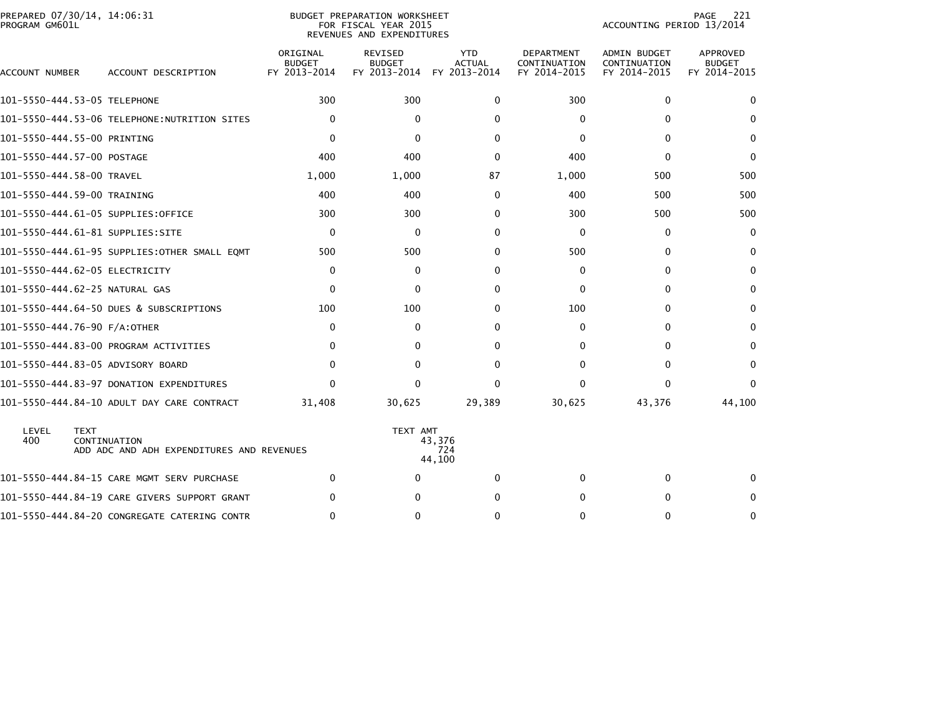| PROGRAM GM601L | PREPARED 07/30/14, 14:06:31                                              |                                           | BUDGET PREPARATION WORKSHEET<br>FOR FISCAL YEAR 2015<br>REVENUES AND EXPENDITURES | 221<br>PAGE<br>ACCOUNTING PERIOD 13/2014    |                                                   |                                                     |                                           |
|----------------|--------------------------------------------------------------------------|-------------------------------------------|-----------------------------------------------------------------------------------|---------------------------------------------|---------------------------------------------------|-----------------------------------------------------|-------------------------------------------|
| ACCOUNT NUMBER | ACCOUNT DESCRIPTION                                                      | ORIGINAL<br><b>BUDGET</b><br>FY 2013-2014 | <b>REVISED</b><br><b>BUDGET</b><br>FY 2013-2014                                   | <b>YTD</b><br><b>ACTUAL</b><br>FY 2013-2014 | <b>DEPARTMENT</b><br>CONTINUATION<br>FY 2014-2015 | <b>ADMIN BUDGET</b><br>CONTINUATION<br>FY 2014-2015 | APPROVED<br><b>BUDGET</b><br>FY 2014-2015 |
|                | 101-5550-444.53-05 TELEPHONE                                             | 300                                       | 300                                                                               | $\Omega$                                    | 300                                               | $\mathbf{0}$                                        | $\mathbf{0}$                              |
|                | 101-5550-444.53-06 TELEPHONE:NUTRITION SITES                             | $\mathbf 0$                               | $\mathbf{0}$                                                                      | $\Omega$                                    | $\mathbf{0}$                                      | 0                                                   | $\mathbf{0}$                              |
|                | 101-5550-444.55-00 PRINTING                                              | $\Omega$                                  | $\mathbf{0}$                                                                      | $\Omega$                                    | $\Omega$                                          | 0                                                   | $\mathbf{0}$                              |
|                | 101-5550-444.57-00 POSTAGE                                               | 400                                       | 400                                                                               | 0                                           | 400                                               | 0                                                   | $\mathbf 0$                               |
|                | 101-5550-444.58-00 TRAVEL                                                | 1,000                                     | 1,000                                                                             | 87                                          | 1,000                                             | 500                                                 | 500                                       |
|                | 101-5550-444.59-00 TRAINING                                              | 400                                       | 400                                                                               | $\Omega$                                    | 400                                               | 500                                                 | 500                                       |
|                | 101–5550–444.61–05 SUPPLIES:OFFICE                                       | 300                                       | 300                                                                               | $\Omega$                                    | 300                                               | 500                                                 | 500                                       |
|                |                                                                          | 0                                         | $\mathbf{0}$                                                                      | $\Omega$                                    | $\Omega$                                          | 0                                                   | $\mathbf{0}$                              |
|                | 101-5550-444.61-95 SUPPLIES:OTHER SMALL EQMT                             | 500                                       | 500                                                                               | $\Omega$                                    | 500                                               | 0                                                   | $\mathbf{0}$                              |
|                | 101-5550-444.62-05 ELECTRICITY                                           | 0                                         | 0                                                                                 | 0                                           | 0                                                 | 0                                                   | $\mathbf{0}$                              |
|                | 101-5550-444.62-25 NATURAL GAS                                           | 0                                         | $\mathbf{0}$                                                                      | 0                                           | 0                                                 | 0                                                   | 0                                         |
|                | 101-5550-444.64-50 DUES & SUBSCRIPTIONS                                  | 100                                       | 100                                                                               | $\Omega$                                    | 100                                               | 0                                                   | 0                                         |
|                | 101-5550-444.76-90 F/A:OTHER                                             | 0                                         | $\mathbf{0}$                                                                      | $\Omega$                                    | $\Omega$                                          | 0                                                   | 0                                         |
|                | 101-5550-444.83-00 PROGRAM ACTIVITIES                                    | 0                                         | 0                                                                                 | 0                                           | 0                                                 | 0                                                   | 0                                         |
|                | 101-5550-444.83-05 ADVISORY BOARD                                        | $\mathbf{0}$                              | 0                                                                                 | $\Omega$                                    | $\Omega$                                          | $\mathbf{0}$                                        | $\mathbf{0}$                              |
|                | 101-5550-444.83-97 DONATION EXPENDITURES                                 | $\mathbf{0}$                              | 0                                                                                 | $\Omega$                                    | $\Omega$                                          | $\mathbf{0}$                                        | $\mathbf{0}$                              |
|                | 101-5550-444.84-10 ADULT DAY CARE CONTRACT                               | 31,408                                    | 30,625                                                                            | 29,389                                      | 30,625                                            | 43,376                                              | 44,100                                    |
| LEVEL<br>400   | <b>TEXT</b><br>CONTINUATION<br>ADD ADC AND ADH EXPENDITURES AND REVENUES |                                           | TEXT AMT                                                                          | 43,376<br>724<br>44,100                     |                                                   |                                                     |                                           |
|                | 101-5550-444.84-15 CARE MGMT SERV PURCHASE                               | $\mathbf{0}$                              | $\Omega$                                                                          | $\Omega$                                    | $\Omega$                                          | $\mathbf{0}$                                        | 0                                         |
|                | 101-5550-444.84-19 CARE GIVERS SUPPORT GRANT                             | 0                                         | 0                                                                                 | 0                                           | 0                                                 | 0                                                   | 0                                         |
|                | 101-5550-444.84-20 CONGREGATE CATERING CONTR                             | 0                                         | 0                                                                                 | $\mathbf{0}$                                | $\Omega$                                          | $\mathbf{0}$                                        | $\Omega$                                  |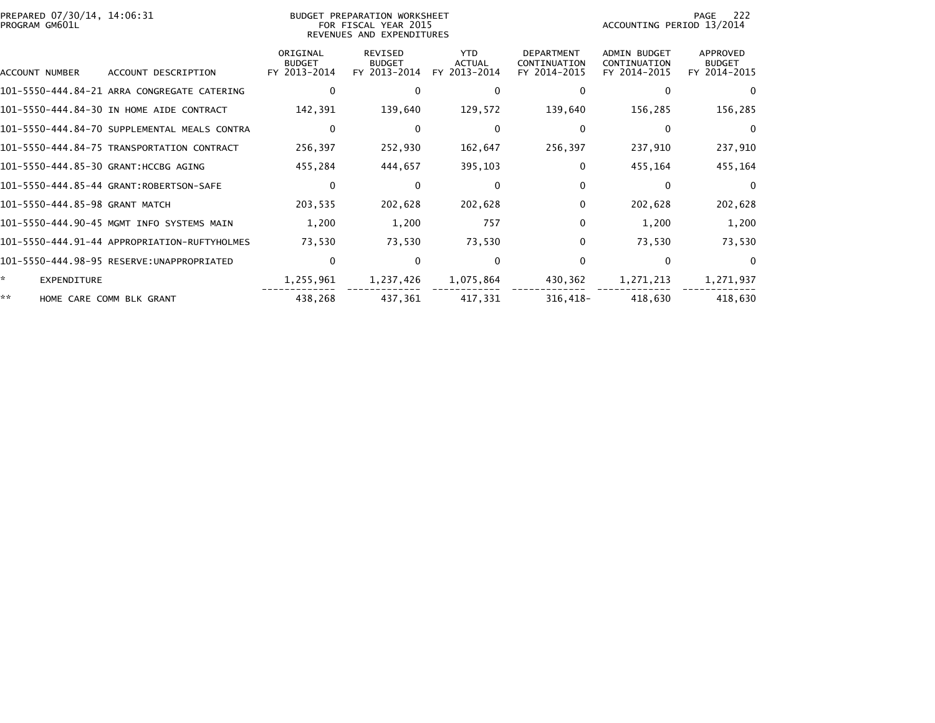| PREPARED 07/30/14, 14:06:31<br>PROGRAM GM601L |                                              |                                           | BUDGET PREPARATION WORKSHEET<br>FOR FISCAL YEAR 2015<br>REVENUES AND EXPENDITURES | -222<br>PAGE<br>ACCOUNTING PERIOD 13/2014   |                                                   |                                                     |                                           |
|-----------------------------------------------|----------------------------------------------|-------------------------------------------|-----------------------------------------------------------------------------------|---------------------------------------------|---------------------------------------------------|-----------------------------------------------------|-------------------------------------------|
| ACCOUNT NUMBER                                | ACCOUNT DESCRIPTION                          | ORIGINAL<br><b>BUDGET</b><br>FY 2013-2014 | <b>REVISED</b><br><b>BUDGET</b><br>FY 2013-2014                                   | <b>YTD</b><br><b>ACTUAL</b><br>FY 2013-2014 | <b>DEPARTMENT</b><br>CONTINUATION<br>FY 2014-2015 | <b>ADMIN BUDGET</b><br>CONTINUATION<br>FY 2014-2015 | APPROVED<br><b>BUDGET</b><br>FY 2014-2015 |
|                                               | 101-5550-444.84-21 ARRA CONGREGATE CATERING  | 0                                         | $\Omega$                                                                          | 0                                           | 0                                                 | 0                                                   | $\Omega$                                  |
|                                               | 101-5550-444.84-30 IN HOME AIDE CONTRACT     | 142,391                                   | 139,640                                                                           | 129,572                                     | 139,640                                           | 156,285                                             | 156,285                                   |
|                                               | 101-5550-444.84-70 SUPPLEMENTAL MEALS CONTRA | $\mathbf 0$                               | $\mathbf{0}$                                                                      | $\Omega$                                    | $\Omega$                                          | $\Omega$                                            | $\Omega$                                  |
|                                               | 101-5550-444.84-75 TRANSPORTATION CONTRACT   | 256,397                                   | 252,930                                                                           | 162,647                                     | 256,397                                           | 237,910                                             | 237,910                                   |
| 101-5550-444.85-30 GRANT:HCCBG AGING          |                                              | 455,284                                   | 444,657                                                                           | 395,103                                     | 0                                                 | 455,164                                             | 455,164                                   |
|                                               | 101-5550-444.85-44 GRANT:ROBERTSON-SAFE      | 0                                         | $\bf{0}$                                                                          | $\Omega$                                    | $\Omega$                                          | $\Omega$                                            | $\Omega$                                  |
| 101-5550-444.85-98 GRANT MATCH                |                                              | 203,535                                   | 202,628                                                                           | 202,628                                     | 0                                                 | 202,628                                             | 202,628                                   |
|                                               | 101-5550-444.90-45 MGMT INFO SYSTEMS MAIN    | 1,200                                     | 1,200                                                                             | 757                                         | $\Omega$                                          | 1,200                                               | 1,200                                     |
|                                               | 101-5550-444.91-44 APPROPRIATION-RUFTYHOLMES | 73,530                                    | 73,530                                                                            | 73,530                                      | 0                                                 | 73,530                                              | 73,530                                    |
|                                               | 101-5550-444.98-95 RESERVE:UNAPPROPRIATED    | 0                                         | $\bf{0}$                                                                          | 0                                           | 0                                                 | $\mathbf{0}$                                        | $\Omega$                                  |
| *.<br><b>EXPENDITURE</b>                      |                                              | 1,255,961                                 | 1,237,426                                                                         | 1,075,864                                   | 430,362                                           | 1,271,213                                           | 1,271,937                                 |
| **                                            | HOME CARE COMM BLK GRANT                     | 438,268                                   | 437,361                                                                           | 417,331                                     | $316,418-$                                        | 418,630                                             | 418,630                                   |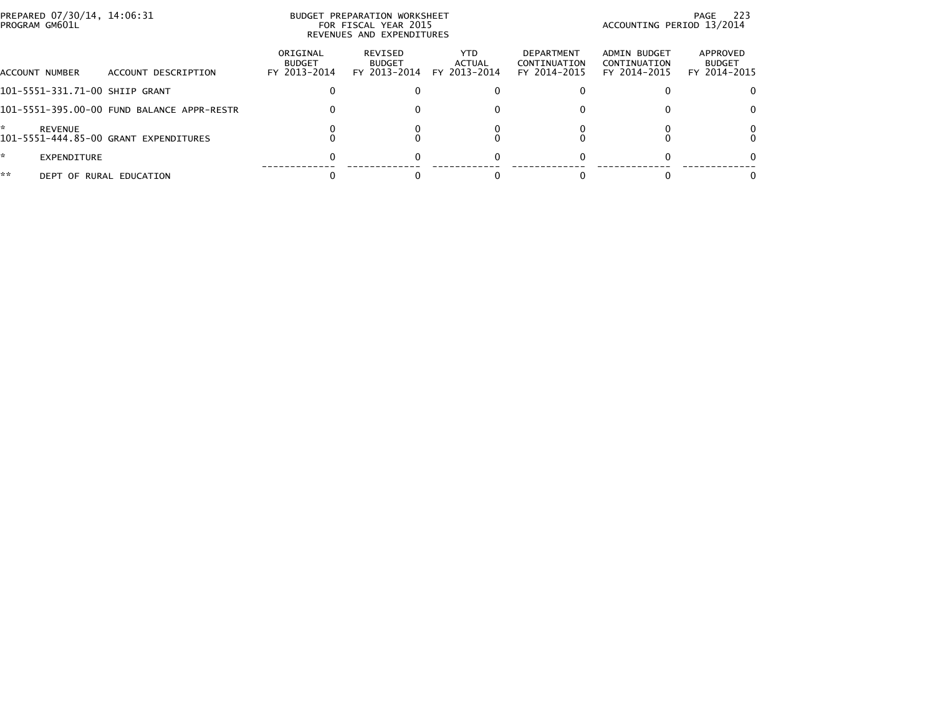|    | PREPARED 07/30/14, 14:06:31<br>PROGRAM GM601L |                                            |                                           | BUDGET PREPARATION WORKSHEET<br>FOR FISCAL YEAR 2015<br>REVENUES AND EXPENDITURES |                                |                                                   | ACCOUNTING PERIOD 13/2014                    | - 223<br>PAGE                             |
|----|-----------------------------------------------|--------------------------------------------|-------------------------------------------|-----------------------------------------------------------------------------------|--------------------------------|---------------------------------------------------|----------------------------------------------|-------------------------------------------|
|    | ACCOUNT NUMBER                                | ACCOUNT DESCRIPTION                        | ORIGINAL<br><b>BUDGET</b><br>FY 2013-2014 | REVISED<br><b>BUDGET</b><br>FY 2013-2014                                          | YTD.<br>ACTUAL<br>FY 2013-2014 | <b>DEPARTMENT</b><br>CONTINUATION<br>FY 2014-2015 | ADMIN BUDGET<br>CONTINUATION<br>FY 2014-2015 | APPROVED<br><b>BUDGET</b><br>FY 2014-2015 |
|    |                                               | 101-5551-331.71-00 SHIIP GRANT             |                                           |                                                                                   |                                |                                                   |                                              | $\Omega$                                  |
|    |                                               | 101-5551-395.00-00 FUND BALANCE APPR-RESTR | 0                                         |                                                                                   |                                |                                                   |                                              | 0                                         |
| ÷  | <b>REVENUE</b>                                | 101-5551-444.85-00 GRANT EXPENDITURES      |                                           |                                                                                   |                                |                                                   |                                              | 0                                         |
| ÷. | EXPENDITURE                                   |                                            |                                           |                                                                                   |                                |                                                   |                                              | 0                                         |
| ** |                                               | DEPT OF RURAL EDUCATION                    |                                           |                                                                                   |                                |                                                   |                                              | 0                                         |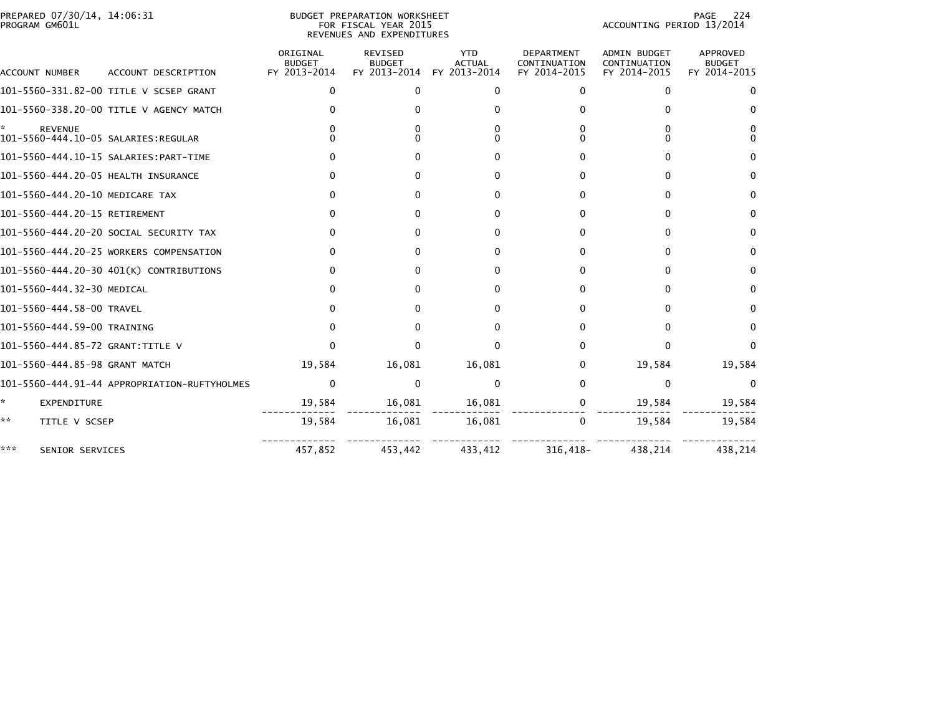| PREPARED 07/30/14, 14:06:31<br>PROGRAM GM601L |                                              |                                           | BUDGET PREPARATION WORKSHEET<br>FOR FISCAL YEAR 2015<br>REVENUES AND EXPENDITURES | 224<br>PAGE<br>ACCOUNTING PERIOD 13/2014    |                                                   |                                                     |                                           |
|-----------------------------------------------|----------------------------------------------|-------------------------------------------|-----------------------------------------------------------------------------------|---------------------------------------------|---------------------------------------------------|-----------------------------------------------------|-------------------------------------------|
| <b>ACCOUNT NUMBER</b>                         | ACCOUNT DESCRIPTION                          | ORIGINAL<br><b>BUDGET</b><br>FY 2013-2014 | REVISED<br><b>BUDGET</b><br>FY 2013-2014                                          | <b>YTD</b><br><b>ACTUAL</b><br>FY 2013-2014 | <b>DEPARTMENT</b><br>CONTINUATION<br>FY 2014-2015 | <b>ADMIN BUDGET</b><br>CONTINUATION<br>FY 2014-2015 | APPROVED<br><b>BUDGET</b><br>FY 2014-2015 |
|                                               | 101-5560-331.82-00 TITLE V SCSEP GRANT       | $\mathbf{0}$                              | $\Omega$                                                                          | 0                                           | 0                                                 | $\mathbf{0}$                                        | 0                                         |
|                                               | 101-5560-338.20-00 TITLE V AGENCY MATCH      |                                           |                                                                                   | 0                                           |                                                   | $\Omega$                                            | $\Omega$                                  |
| <b>REVENUE</b>                                |                                              |                                           | 0                                                                                 | $\Omega$<br>$\Omega$                        |                                                   | O                                                   | 0<br><sup>0</sup>                         |
|                                               |                                              |                                           | 0                                                                                 | 0                                           | 0                                                 | 0                                                   | 0                                         |
| 101-5560-444.20-05 HEALTH INSURANCE           |                                              |                                           | 0                                                                                 | 0                                           | 0                                                 | 0                                                   | 0                                         |
| 101-5560-444.20-10 MEDICARE TAX               |                                              | 0                                         | 0                                                                                 | $\mathbf{0}$                                | 0                                                 | 0                                                   | $\bf{0}$                                  |
| 101-5560-444.20-15 RETIREMENT                 |                                              |                                           | 0                                                                                 | $\Omega$                                    | U                                                 | 0                                                   | $\Omega$                                  |
|                                               | 101-5560-444.20-20 SOCIAL SECURITY TAX       | 0                                         | 0                                                                                 | 0                                           | 0                                                 | 0                                                   | $\Omega$                                  |
|                                               | 101-5560-444.20-25 WORKERS COMPENSATION      |                                           | 0                                                                                 | 0                                           | o                                                 | 0                                                   | $\bf{0}$                                  |
|                                               | 101-5560-444.20-30 401(K) CONTRIBUTIONS      |                                           | 0                                                                                 | 0                                           | 0                                                 | 0                                                   | 0                                         |
| 101-5560-444.32-30 MEDICAL                    |                                              |                                           | 0                                                                                 | 0                                           | 0                                                 | 0                                                   | $\bf{0}$                                  |
| 101-5560-444.58-00 TRAVEL                     |                                              |                                           | 0                                                                                 | 0                                           | o                                                 | O                                                   | 0                                         |
| 101-5560-444.59-00 TRAINING                   |                                              | $\Omega$                                  | 0                                                                                 | 0                                           | 0                                                 | 0                                                   | $\Omega$                                  |
| 101-5560-444.85-72 GRANT:TITLE V              |                                              | <sup>0</sup>                              | 0                                                                                 | $\Omega$                                    | <sup>0</sup>                                      | $\Omega$                                            | $\Omega$                                  |
| 101-5560-444.85-98 GRANT MATCH                |                                              | 19,584                                    | 16,081                                                                            | 16,081                                      | 0                                                 | 19,584                                              | 19,584                                    |
|                                               | 101-5560-444.91-44 APPROPRIATION-RUFTYHOLMES | 0                                         | $\Omega$                                                                          | 0                                           | 0                                                 | $\mathbf{0}$                                        | 0                                         |
| *<br>EXPENDITURE                              |                                              | 19,584                                    | 16,081                                                                            | 16,081                                      | 0                                                 | 19,584                                              | 19,584                                    |
| **<br>TITLE V SCSEP                           |                                              | 19,584                                    | 16,081                                                                            | 16,081                                      | 0                                                 | 19,584                                              | 19,584                                    |
| ***<br>SENIOR SERVICES                        |                                              | 457,852                                   | 453,442                                                                           | 433,412                                     | $316,418-$                                        | 438,214                                             | 438,214                                   |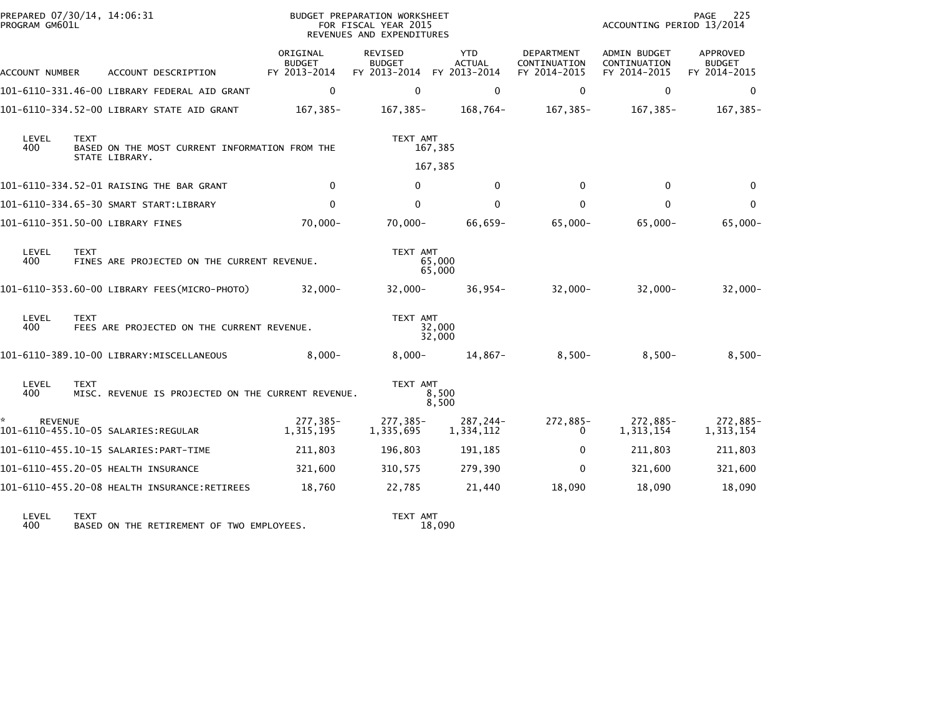| PREPARED 07/30/14, 14:06:31<br>PROGRAM GM601L |             |                                                                  |                                           | BUDGET PREPARATION WORKSHEET<br>FOR FISCAL YEAR 2015<br>REVENUES AND EXPENDITURES |                                             | 225<br>PAGE<br>ACCOUNTING PERIOD 13/2014          |                                              |                                           |
|-----------------------------------------------|-------------|------------------------------------------------------------------|-------------------------------------------|-----------------------------------------------------------------------------------|---------------------------------------------|---------------------------------------------------|----------------------------------------------|-------------------------------------------|
| ACCOUNT NUMBER                                |             | ACCOUNT DESCRIPTION                                              | ORIGINAL<br><b>BUDGET</b><br>FY 2013-2014 | REVISED<br><b>BUDGET</b><br>FY 2013-2014                                          | <b>YTD</b><br><b>ACTUAL</b><br>FY 2013-2014 | <b>DEPARTMENT</b><br>CONTINUATION<br>FY 2014-2015 | ADMIN BUDGET<br>CONTINUATION<br>FY 2014-2015 | APPROVED<br><b>BUDGET</b><br>FY 2014-2015 |
|                                               |             | 101-6110-331.46-00 LIBRARY FEDERAL AID GRANT                     | $\Omega$                                  | $\Omega$                                                                          | $\Omega$                                    | $\mathbf{0}$                                      | $\Omega$                                     | $\mathbf{0}$                              |
|                                               |             | 101-6110-334.52-00 LIBRARY STATE AID GRANT                       | 167,385-                                  | 167,385-                                                                          | 168,764-                                    | 167,385-                                          | 167,385-                                     | $167, 385 -$                              |
| LEVEL<br>400                                  | <b>TEXT</b> | BASED ON THE MOST CURRENT INFORMATION FROM THE<br>STATE LIBRARY. |                                           | TEXT AMT                                                                          | 167,385                                     |                                                   |                                              |                                           |
|                                               |             |                                                                  |                                           |                                                                                   | 167,385                                     |                                                   |                                              |                                           |
|                                               |             | 101-6110-334.52-01 RAISING THE BAR GRANT                         | $\mathbf 0$                               | $\mathbf{0}$                                                                      | $\mathbf{0}$                                | $\mathbf{0}$                                      | 0                                            | $\Omega$                                  |
|                                               |             | 101-6110-334.65-30 SMART START:LIBRARY                           | $\mathbf 0$                               | $\mathbf{0}$                                                                      | $\Omega$                                    | 0                                                 | $\mathbf{0}$                                 | $\Omega$                                  |
|                                               |             | 101-6110-351.50-00 LIBRARY FINES                                 | $70,000 -$                                | $70,000 -$                                                                        | 66,659-                                     | $65,000 -$                                        | $65,000 -$                                   | $65,000 -$                                |
| LEVEL<br>400                                  | <b>TEXT</b> | FINES ARE PROJECTED ON THE CURRENT REVENUE.                      |                                           | TEXT AMT                                                                          | 65,000<br>65,000                            |                                                   |                                              |                                           |
|                                               |             | 101-6110-353.60-00 LIBRARY FEES(MICRO-PHOTO)                     | $32.000 -$                                | $32,000 -$                                                                        | $36,954-$                                   | $32,000 -$                                        | $32,000 -$                                   | $32,000 -$                                |
| LEVEL<br>400                                  | <b>TEXT</b> | FEES ARE PROJECTED ON THE CURRENT REVENUE.                       |                                           | TEXT AMT                                                                          | 32,000<br>32,000                            |                                                   |                                              |                                           |
|                                               |             | 101-6110-389.10-00 LIBRARY:MISCELLANEOUS                         | $8,000 -$                                 | $8,000 -$                                                                         | 14,867-                                     | $8,500-$                                          | $8,500-$                                     | $8,500-$                                  |
| LEVEL<br>400                                  | <b>TEXT</b> | MISC. REVENUE IS PROJECTED ON THE CURRENT REVENUE.               |                                           | TEXT AMT                                                                          | 8,500<br>8,500                              |                                                   |                                              |                                           |
| <b>REVENUE</b>                                |             | 101-6110-455.10-05 SALARIES:REGULAR                              | 277,385-<br>1,315,195                     | 277,385-<br>1,335,695                                                             | 287,244-<br>1,334,112                       | 272,885-<br>0                                     | 272,885-<br>1,313,154                        | 272,885-<br>1,313,154                     |
|                                               |             | 101-6110-455.10-15 SALARIES:PART-TIME                            | 211,803                                   | 196,803                                                                           | 191,185                                     | $\mathbf{0}$                                      | 211,803                                      | 211,803                                   |
|                                               |             | 101-6110-455.20-05 HEALTH INSURANCE                              | 321,600                                   | 310,575                                                                           | 279,390                                     | $\mathbf{0}$                                      | 321,600                                      | 321,600                                   |
|                                               |             | 101-6110-455.20-08 HEALTH INSURANCE:RETIREES                     | 18,760                                    | 22,785                                                                            | 21,440                                      | 18,090                                            | 18,090                                       | 18,090                                    |
| $L$ CMC $L$                                   | <b>TEVT</b> |                                                                  |                                           | TEVT AMT                                                                          |                                             |                                                   |                                              |                                           |

LEVEL TEXT TEXT AMT 400 BASED ON THE RETIREMENT OF TWO EMPLOYEES. 18,090

TEXT AMT<br>18,090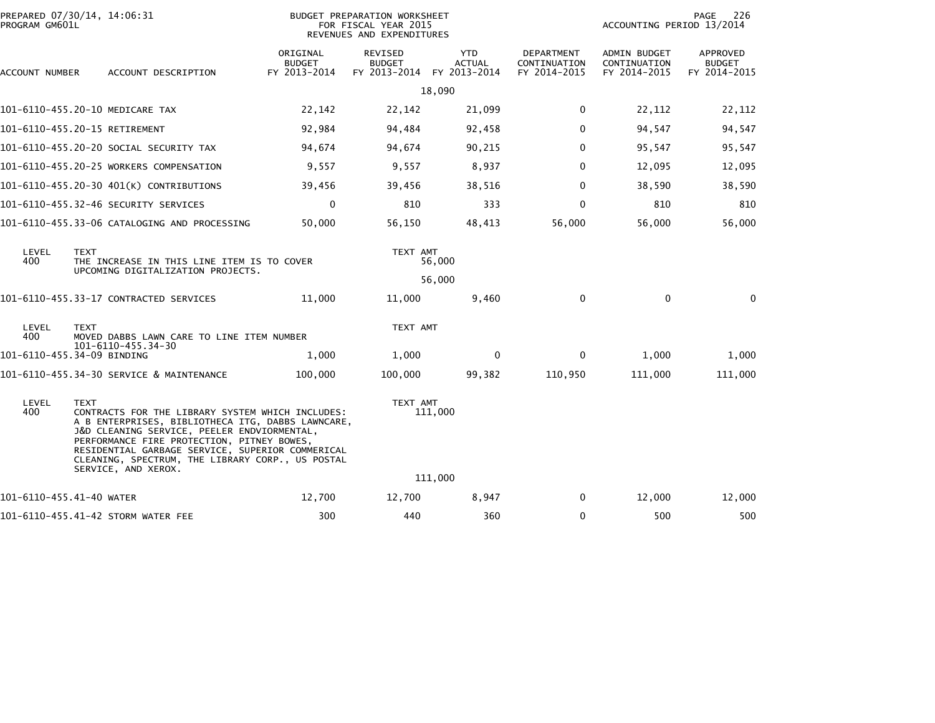| PROGRAM GM601L           | PREPARED 07/30/14, 14:06:31                                                                                                                                                                                                                                                                                                                      |                                           | BUDGET PREPARATION WORKSHEET<br>FOR FISCAL YEAR 2015<br>REVENUES AND EXPENDITURES |                             | 226<br>PAGE<br>ACCOUNTING PERIOD 13/2014   |                                              |                                           |
|--------------------------|--------------------------------------------------------------------------------------------------------------------------------------------------------------------------------------------------------------------------------------------------------------------------------------------------------------------------------------------------|-------------------------------------------|-----------------------------------------------------------------------------------|-----------------------------|--------------------------------------------|----------------------------------------------|-------------------------------------------|
| ACCOUNT NUMBER           | ACCOUNT DESCRIPTION                                                                                                                                                                                                                                                                                                                              | ORIGINAL<br><b>BUDGET</b><br>FY 2013-2014 | <b>REVISED</b><br><b>BUDGET</b><br>FY 2013-2014 FY 2013-2014                      | <b>YTD</b><br><b>ACTUAL</b> | DEPARTMENT<br>CONTINUATION<br>FY 2014-2015 | ADMIN BUDGET<br>CONTINUATION<br>FY 2014-2015 | APPROVED<br><b>BUDGET</b><br>FY 2014-2015 |
|                          |                                                                                                                                                                                                                                                                                                                                                  |                                           |                                                                                   | 18,090                      |                                            |                                              |                                           |
|                          | 101-6110-455.20-10 MEDICARE TAX                                                                                                                                                                                                                                                                                                                  | 22,142                                    | 22,142                                                                            | 21,099                      | 0                                          | 22,112                                       | 22,112                                    |
|                          | 101-6110-455.20-15 RETIREMENT                                                                                                                                                                                                                                                                                                                    | 92,984                                    | 94,484                                                                            | 92,458                      | 0                                          | 94,547                                       | 94,547                                    |
|                          | 101-6110-455.20-20 SOCIAL SECURITY TAX                                                                                                                                                                                                                                                                                                           | 94,674                                    | 94,674                                                                            | 90,215                      | 0                                          | 95,547                                       | 95,547                                    |
|                          | 101-6110-455.20-25 WORKERS COMPENSATION                                                                                                                                                                                                                                                                                                          | 9,557                                     | 9,557                                                                             | 8,937                       | 0                                          | 12,095                                       | 12,095                                    |
|                          | 101-6110-455.20-30 401(K) CONTRIBUTIONS                                                                                                                                                                                                                                                                                                          | 39,456                                    | 39,456                                                                            | 38,516                      | $\Omega$                                   | 38,590                                       | 38,590                                    |
|                          |                                                                                                                                                                                                                                                                                                                                                  | $\mathbf 0$                               | 810                                                                               | 333                         | 0                                          | 810                                          | 810                                       |
|                          | 101-6110-455.33-06 CATALOGING AND PROCESSING                                                                                                                                                                                                                                                                                                     | 50,000                                    | 56,150                                                                            | 48,413                      | 56,000                                     | 56,000                                       | 56,000                                    |
| LEVEL<br>400             | <b>TEXT</b><br>THE INCREASE IN THIS LINE ITEM IS TO COVER<br>UPCOMING DIGITALIZATION PROJECTS.                                                                                                                                                                                                                                                   |                                           | TEXT AMT                                                                          | 56,000                      |                                            |                                              |                                           |
|                          |                                                                                                                                                                                                                                                                                                                                                  |                                           |                                                                                   | 56,000                      |                                            |                                              |                                           |
|                          | 101-6110-455.33-17 CONTRACTED SERVICES                                                                                                                                                                                                                                                                                                           | 11,000                                    | 11,000                                                                            | 9,460                       | $\mathbf 0$                                | $\mathbf{0}$                                 | $\mathbf{0}$                              |
| LEVEL<br>400             | <b>TEXT</b><br>MOVED DABBS LAWN CARE TO LINE ITEM NUMBER<br>101-6110-455.34-30                                                                                                                                                                                                                                                                   |                                           | TEXT AMT                                                                          |                             |                                            |                                              |                                           |
|                          | 101-6110-455.34-09 BINDING                                                                                                                                                                                                                                                                                                                       | 1,000                                     | 1,000                                                                             | $\mathbf{0}$                | 0                                          | 1,000                                        | 1,000                                     |
|                          | 101-6110-455.34-30 SERVICE & MAINTENANCE                                                                                                                                                                                                                                                                                                         | 100,000                                   | 100,000                                                                           | 99,382                      | 110,950                                    | 111,000                                      | 111,000                                   |
| LEVEL<br>400             | <b>TEXT</b><br>CONTRACTS FOR THE LIBRARY SYSTEM WHICH INCLUDES:<br>A B ENTERPRISES, BIBLIOTHECA ITG, DABBS LAWNCARE,<br>J&D CLEANING SERVICE, PEELER ENDVIORMENTAL,<br>PERFORMANCE FIRE PROTECTION, PITNEY BOWES,<br>RESIDENTIAL GARBAGE SERVICE, SUPERIOR COMMERICAL<br>CLEANING, SPECTRUM, THE LIBRARY CORP., US POSTAL<br>SERVICE, AND XEROX. |                                           | TEXT AMT                                                                          | 111,000                     |                                            |                                              |                                           |
|                          |                                                                                                                                                                                                                                                                                                                                                  |                                           |                                                                                   | 111,000                     |                                            |                                              |                                           |
| 101-6110-455.41-40 WATER |                                                                                                                                                                                                                                                                                                                                                  | 12,700                                    | 12,700                                                                            | 8,947                       | 0                                          | 12,000                                       | 12,000                                    |
|                          | 101-6110-455.41-42 STORM WATER FEE                                                                                                                                                                                                                                                                                                               | 300                                       | 440                                                                               | 360                         | 0                                          | 500                                          | 500                                       |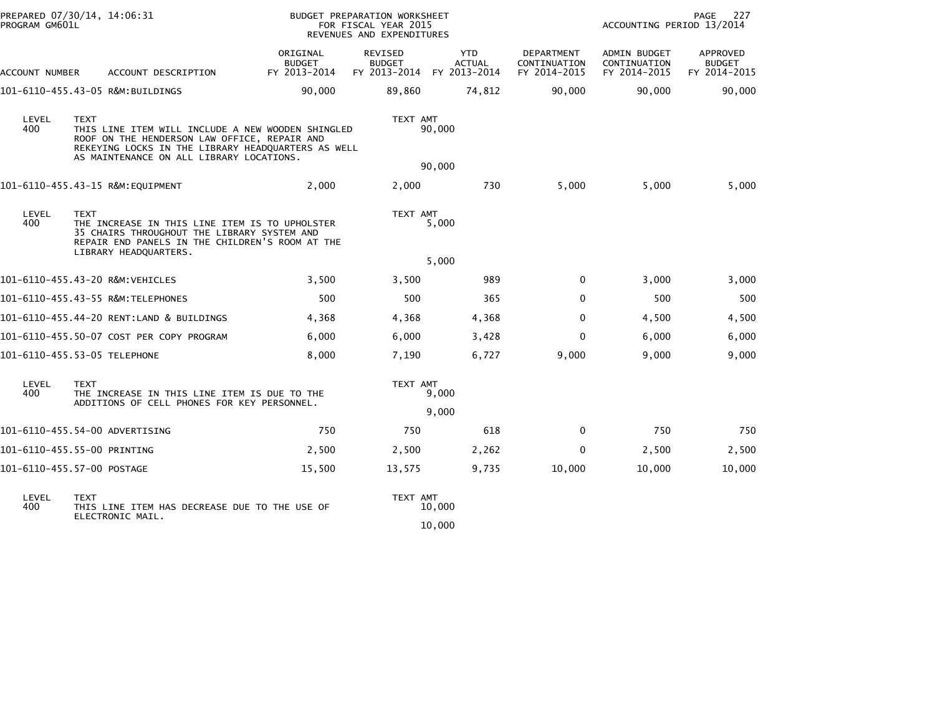| PROGRAM GM601L | PREPARED 07/30/14, 14:06:31                                                                                                                                                                                        |                                           | BUDGET PREPARATION WORKSHEET<br>FOR FISCAL YEAR 2015<br>REVENUES AND EXPENDITURES |                                             |                                            | ACCOUNTING PERIOD 13/2014                    | PAGE<br>227                               |  |
|----------------|--------------------------------------------------------------------------------------------------------------------------------------------------------------------------------------------------------------------|-------------------------------------------|-----------------------------------------------------------------------------------|---------------------------------------------|--------------------------------------------|----------------------------------------------|-------------------------------------------|--|
| ACCOUNT NUMBER | ACCOUNT DESCRIPTION                                                                                                                                                                                                | ORIGINAL<br><b>BUDGET</b><br>FY 2013-2014 | REVISED<br><b>BUDGET</b><br>FY 2013-2014                                          | <b>YTD</b><br><b>ACTUAL</b><br>FY 2013-2014 | DEPARTMENT<br>CONTINUATION<br>FY 2014-2015 | ADMIN BUDGET<br>CONTINUATION<br>FY 2014-2015 | APPROVED<br><b>BUDGET</b><br>FY 2014-2015 |  |
|                | 101-6110-455.43-05 R&M:BUILDINGS                                                                                                                                                                                   | 90,000                                    | 89,860                                                                            | 74,812                                      | 90,000                                     | 90,000                                       | 90,000                                    |  |
| LEVEL<br>400   | <b>TEXT</b><br>THIS LINE ITEM WILL INCLUDE A NEW WOODEN SHINGLED<br>ROOF ON THE HENDERSON LAW OFFICE, REPAIR AND<br>REKEYING LOCKS IN THE LIBRARY HEADQUARTERS AS WELL<br>AS MAINTENANCE ON ALL LIBRARY LOCATIONS. |                                           | TEXT AMT                                                                          | 90,000                                      |                                            |                                              |                                           |  |
|                |                                                                                                                                                                                                                    |                                           |                                                                                   | 90,000                                      |                                            |                                              |                                           |  |
|                | 101-6110-455.43-15 R&M:EQUIPMENT                                                                                                                                                                                   | 2,000                                     | 2,000                                                                             | 730                                         | 5,000                                      | 5,000                                        | 5,000                                     |  |
| LEVEL<br>400   | TEXT<br>THE INCREASE IN THIS LINE ITEM IS TO UPHOLSTER<br>35 CHAIRS THROUGHOUT THE LIBRARY SYSTEM AND<br>REPAIR END PANELS IN THE CHILDREN'S ROOM AT THE                                                           |                                           | TEXT AMT                                                                          | 5,000                                       |                                            |                                              |                                           |  |
|                | LIBRARY HEADQUARTERS.                                                                                                                                                                                              |                                           |                                                                                   | 5,000                                       |                                            |                                              |                                           |  |
|                | 101-6110-455.43-20 R&M:VEHICLES                                                                                                                                                                                    | 3,500                                     | 3,500                                                                             | 989                                         | 0                                          | 3,000                                        | 3,000                                     |  |
|                | 101-6110-455.43-55 R&M:TELEPHONES                                                                                                                                                                                  | 500                                       | 500                                                                               | 365                                         | $\Omega$                                   | 500                                          | 500                                       |  |
|                | 101-6110-455.44-20 RENT:LAND & BUILDINGS                                                                                                                                                                           | 4,368                                     | 4,368                                                                             | 4,368                                       | $\Omega$                                   | 4,500                                        | 4,500                                     |  |
|                | 101-6110-455.50-07 COST PER COPY PROGRAM                                                                                                                                                                           | 6,000                                     | 6,000                                                                             | 3,428                                       | $\Omega$                                   | 6,000                                        | 6,000                                     |  |
|                | 101-6110-455.53-05 TELEPHONE                                                                                                                                                                                       | 8,000                                     | 7,190                                                                             | 6,727                                       | 9,000                                      | 9,000                                        | 9,000                                     |  |
| LEVEL<br>400   | <b>TEXT</b><br>THE INCREASE IN THIS LINE ITEM IS DUE TO THE<br>ADDITIONS OF CELL PHONES FOR KEY PERSONNEL.                                                                                                         |                                           | TEXT AMT                                                                          | 9,000                                       |                                            |                                              |                                           |  |
|                |                                                                                                                                                                                                                    |                                           |                                                                                   | 9,000                                       |                                            |                                              |                                           |  |
|                | 101-6110-455.54-00 ADVERTISING                                                                                                                                                                                     | 750                                       | 750                                                                               | 618                                         | $\mathbf 0$                                | 750                                          | 750                                       |  |
|                | 101-6110-455.55-00 PRINTING                                                                                                                                                                                        | 2,500                                     | 2,500                                                                             | 2,262                                       | 0                                          | 2,500                                        | 2,500                                     |  |
|                | 101-6110-455.57-00 POSTAGE                                                                                                                                                                                         | 15,500                                    | 13,575                                                                            | 9,735                                       | 10,000                                     | 10,000                                       | 10,000                                    |  |
| LEVEL<br>400   | <b>TEXT</b><br>THIS LINE ITEM HAS DECREASE DUE TO THE USE OF<br>ELECTRONIC MAIL.                                                                                                                                   |                                           | TEXT AMT                                                                          | 10,000                                      |                                            |                                              |                                           |  |

 $10,000$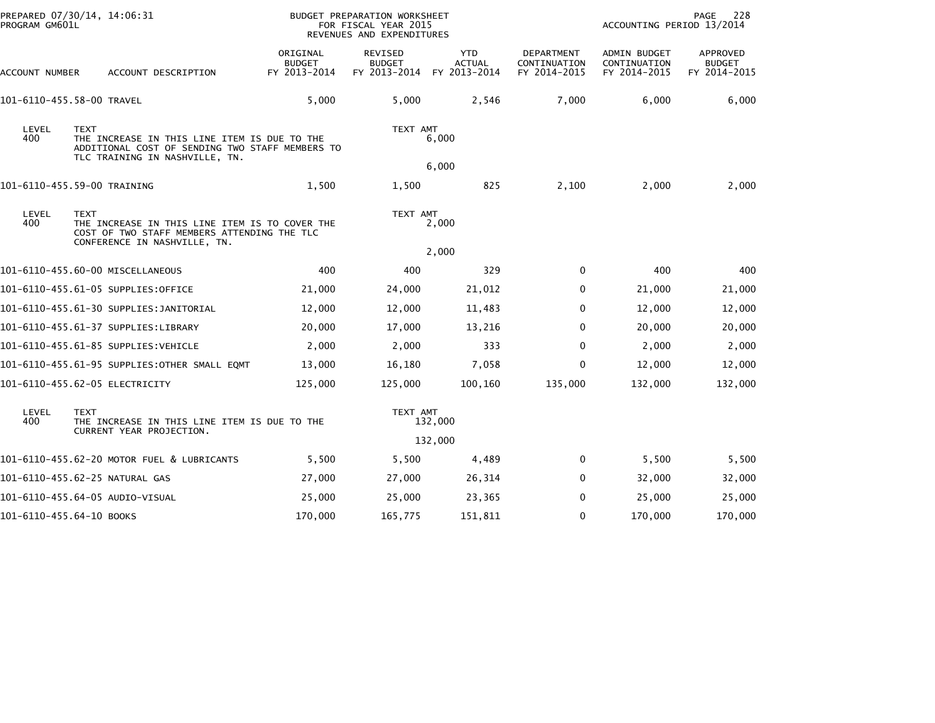| PREPARED 07/30/14, 14:06:31<br>PROGRAM GM601L |                                                                                                                                                  |                                           | BUDGET PREPARATION WORKSHEET<br>FOR FISCAL YEAR 2015<br>REVENUES AND EXPENDITURES |                                             |                                            | ACCOUNTING PERIOD 13/2014                    | PAGE<br>228                               |
|-----------------------------------------------|--------------------------------------------------------------------------------------------------------------------------------------------------|-------------------------------------------|-----------------------------------------------------------------------------------|---------------------------------------------|--------------------------------------------|----------------------------------------------|-------------------------------------------|
| ACCOUNT NUMBER                                | ACCOUNT DESCRIPTION                                                                                                                              | ORIGINAL<br><b>BUDGET</b><br>FY 2013-2014 | <b>REVISED</b><br><b>BUDGET</b><br>FY 2013-2014                                   | <b>YTD</b><br><b>ACTUAL</b><br>FY 2013-2014 | DEPARTMENT<br>CONTINUATION<br>FY 2014-2015 | ADMIN BUDGET<br>CONTINUATION<br>FY 2014-2015 | APPROVED<br><b>BUDGET</b><br>FY 2014-2015 |
|                                               | 101-6110-455.58-00 TRAVEL                                                                                                                        | 5,000                                     | 5,000                                                                             | 2,546                                       | 7,000                                      | 6,000                                        | 6,000                                     |
| LEVEL<br>400                                  | <b>TEXT</b><br>THE INCREASE IN THIS LINE ITEM IS DUE TO THE<br>ADDITIONAL COST OF SENDING TWO STAFF MEMBERS TO<br>TLC TRAINING IN NASHVILLE, TN. |                                           | TEXT AMT                                                                          | 6,000                                       |                                            |                                              |                                           |
|                                               |                                                                                                                                                  |                                           |                                                                                   | 6,000                                       |                                            |                                              |                                           |
|                                               | 101-6110-455.59-00 TRAINING                                                                                                                      | 1,500                                     | 1,500                                                                             | 825                                         | 2,100                                      | 2,000                                        | 2,000                                     |
| LEVEL<br>400                                  | <b>TEXT</b><br>THE INCREASE IN THIS LINE ITEM IS TO COVER THE<br>COST OF TWO STAFF MEMBERS ATTENDING THE TLC<br>CONFERENCE IN NASHVILLE, TN.     |                                           | TEXT AMT                                                                          | 2,000                                       |                                            |                                              |                                           |
|                                               |                                                                                                                                                  |                                           |                                                                                   | 2,000                                       |                                            |                                              |                                           |
|                                               | 101-6110-455.60-00 MISCELLANEOUS                                                                                                                 | 400                                       | 400                                                                               | 329                                         | 0                                          | 400                                          | 400                                       |
|                                               | 101-6110-455.61-05 SUPPLIES:OFFICE                                                                                                               | 21,000                                    | 24,000                                                                            | 21,012                                      | 0                                          | 21,000                                       | 21,000                                    |
|                                               | 101-6110-455.61-30 SUPPLIES:JANITORIAL                                                                                                           | 12,000                                    | 12,000                                                                            | 11,483                                      | $\Omega$                                   | 12,000                                       | 12,000                                    |
|                                               | 101-6110-455.61-37 SUPPLIES:LIBRARY                                                                                                              | 20,000                                    | 17,000                                                                            | 13,216                                      | $\Omega$                                   | 20,000                                       | 20,000                                    |
|                                               | 101-6110-455.61-85 SUPPLIES:VEHICLE                                                                                                              | 2,000                                     | 2,000                                                                             | 333                                         | $\Omega$                                   | 2,000                                        | 2,000                                     |
|                                               | 101-6110-455.61-95 SUPPLIES:OTHER SMALL EQMT                                                                                                     | 13,000                                    | 16,180                                                                            | 7,058                                       | 0                                          | 12,000                                       | 12,000                                    |
|                                               | 101-6110-455.62-05 ELECTRICITY                                                                                                                   | 125,000                                   | 125,000                                                                           | 100,160                                     | 135,000                                    | 132,000                                      | 132,000                                   |
| LEVEL<br>400                                  | <b>TEXT</b><br>THE INCREASE IN THIS LINE ITEM IS DUE TO THE<br>CURRENT YEAR PROJECTION.                                                          |                                           | TEXT AMT                                                                          | 132,000                                     |                                            |                                              |                                           |
|                                               |                                                                                                                                                  |                                           |                                                                                   | 132,000                                     |                                            |                                              |                                           |
|                                               | 101-6110-455.62-20 MOTOR FUEL & LUBRICANTS                                                                                                       | 5,500                                     | 5,500                                                                             | 4,489                                       | 0                                          | 5,500                                        | 5,500                                     |
|                                               | 101-6110-455.62-25 NATURAL GAS                                                                                                                   | 27,000                                    | 27,000                                                                            | 26,314                                      | $\Omega$                                   | 32,000                                       | 32,000                                    |
|                                               | 101-6110-455.64-05 AUDIO-VISUAL                                                                                                                  | 25,000                                    | 25,000                                                                            | 23,365                                      | $\Omega$                                   | 25,000                                       | 25,000                                    |
| 101-6110-455.64-10 BOOKS                      |                                                                                                                                                  | 170,000                                   | 165,775                                                                           | 151,811                                     | 0                                          | 170,000                                      | 170,000                                   |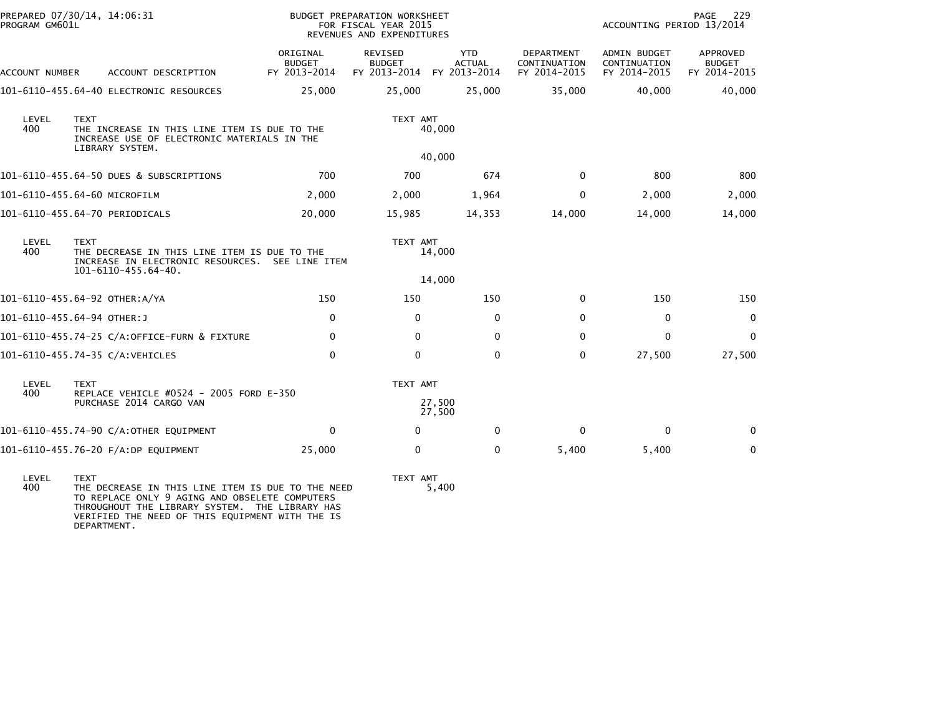| PROGRAM GM601L                                                                                                                                | PREPARED 07/30/14, 14:06:31                                                                                    |                                           | <b>BUDGET PREPARATION WORKSHEET</b><br>FOR FISCAL YEAR 2015<br>REVENUES AND EXPENDITURES |                                             |                                                   | ACCOUNTING PERIOD 13/2014                           | PAGE<br>229                               |
|-----------------------------------------------------------------------------------------------------------------------------------------------|----------------------------------------------------------------------------------------------------------------|-------------------------------------------|------------------------------------------------------------------------------------------|---------------------------------------------|---------------------------------------------------|-----------------------------------------------------|-------------------------------------------|
| ACCOUNT NUMBER                                                                                                                                | ACCOUNT DESCRIPTION                                                                                            | ORIGINAL<br><b>BUDGET</b><br>FY 2013-2014 | <b>REVISED</b><br><b>BUDGET</b><br>FY 2013-2014                                          | <b>YTD</b><br><b>ACTUAL</b><br>FY 2013-2014 | <b>DEPARTMENT</b><br>CONTINUATION<br>FY 2014-2015 | <b>ADMIN BUDGET</b><br>CONTINUATION<br>FY 2014-2015 | APPROVED<br><b>BUDGET</b><br>FY 2014-2015 |
|                                                                                                                                               | 101-6110-455.64-40 ELECTRONIC RESOURCES                                                                        | 25,000                                    | 25,000                                                                                   | 25,000                                      | 35,000                                            | 40,000                                              | 40,000                                    |
| LEVEL<br><b>TEXT</b><br>400<br>THE INCREASE IN THIS LINE ITEM IS DUE TO THE<br>INCREASE USE OF ELECTRONIC MATERIALS IN THE<br>LIBRARY SYSTEM. |                                                                                                                | TEXT AMT<br>40,000                        |                                                                                          |                                             |                                                   |                                                     |                                           |
|                                                                                                                                               |                                                                                                                |                                           |                                                                                          | 40,000                                      |                                                   |                                                     |                                           |
|                                                                                                                                               | 101-6110-455.64-50 DUES & SUBSCRIPTIONS                                                                        | 700                                       | 700                                                                                      | 674                                         | $\Omega$                                          | 800                                                 | 800                                       |
|                                                                                                                                               | 101-6110-455.64-60 MICROFILM                                                                                   | 2,000                                     | 2,000                                                                                    | 1,964                                       | 0                                                 | 2,000                                               | 2,000                                     |
|                                                                                                                                               | 101-6110-455.64-70 PERIODICALS                                                                                 | 20,000                                    | 15,985                                                                                   | 14,353                                      | 14,000                                            | 14,000                                              | 14,000                                    |
| LEVEL<br>400                                                                                                                                  | <b>TEXT</b><br>THE DECREASE IN THIS LINE ITEM IS DUE TO THE<br>INCREASE IN ELECTRONIC RESOURCES. SEE LINE ITEM |                                           | TEXT AMT                                                                                 | 14,000                                      |                                                   |                                                     |                                           |
|                                                                                                                                               | 101-6110-455.64-40.                                                                                            |                                           |                                                                                          | 14,000                                      |                                                   |                                                     |                                           |
|                                                                                                                                               | 101-6110-455.64-92 OTHER:A/YA                                                                                  | 150                                       | 150                                                                                      | 150                                         | $\mathbf{0}$                                      | 150                                                 | 150                                       |
|                                                                                                                                               | 101-6110-455.64-94 OTHER:J                                                                                     | 0                                         | $\mathbf{0}$                                                                             | $\mathbf{0}$                                | $\Omega$                                          | 0                                                   | $\mathbf 0$                               |
|                                                                                                                                               | 101-6110-455.74-25 C/A:OFFICE-FURN & FIXTURE                                                                   | $\mathbf{0}$                              | $\Omega$                                                                                 | $\Omega$                                    | $\Omega$                                          | $\mathbf{0}$                                        | $\mathbf 0$                               |
|                                                                                                                                               | 101-6110-455.74-35 C/A:VEHICLES                                                                                | $\Omega$                                  | $\mathbf{0}$                                                                             | $\mathbf{0}$                                | $\Omega$                                          | 27,500                                              | 27,500                                    |
| LEVEL<br>400                                                                                                                                  | <b>TEXT</b><br>REPLACE VEHICLE #0524 - 2005 FORD E-350                                                         |                                           | TEXT AMT                                                                                 |                                             |                                                   |                                                     |                                           |
|                                                                                                                                               | PURCHASE 2014 CARGO VAN                                                                                        |                                           |                                                                                          | 27,500<br>27,500                            |                                                   |                                                     |                                           |
|                                                                                                                                               | 101-6110-455.74-90 C/A:OTHER EQUIPMENT                                                                         | $\Omega$                                  | $\Omega$                                                                                 | $\mathbf{0}$                                | 0                                                 | 0                                                   | $\Omega$                                  |
|                                                                                                                                               | 101-6110-455.76-20 F/A:DP EQUIPMENT                                                                            | 25,000                                    | 0                                                                                        | 0                                           | 5,400                                             | 5,400                                               | $\mathbf 0$                               |
|                                                                                                                                               |                                                                                                                |                                           |                                                                                          |                                             |                                                   |                                                     |                                           |

LEVEL TEXT TEXT AMT 400 THE DECREASE IN THIS LINE ITEM IS DUE TO THE NEED 5,400 TO REPLACE ONLY 9 AGING AND OBSELETE COMPUTERS THROUGHOUT THE LIBRARY SYSTEM. THE LIBRARY HAS VERIFIED THE NEED OF THIS EQUIPMENT WITH THE IS DEPARTMENT.

TEXT AMT<br>5,400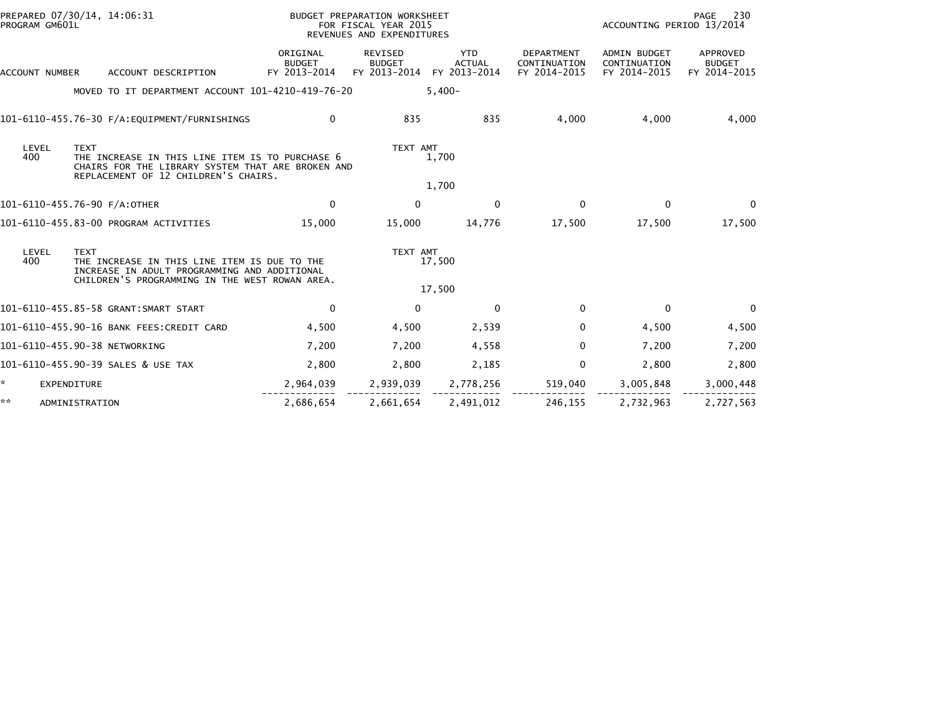| PREPARED 07/30/14, 14:06:31<br>PROGRAM GM601L |                                                                                                                                                               |                                           | BUDGET PREPARATION WORKSHEET<br>FOR FISCAL YEAR 2015<br>REVENUES AND EXPENDITURES |                                             |                                            | ACCOUNTING PERIOD 13/2014                    | 230<br>PAGE                               |
|-----------------------------------------------|---------------------------------------------------------------------------------------------------------------------------------------------------------------|-------------------------------------------|-----------------------------------------------------------------------------------|---------------------------------------------|--------------------------------------------|----------------------------------------------|-------------------------------------------|
| ACCOUNT NUMBER                                | ACCOUNT DESCRIPTION                                                                                                                                           | ORIGINAL<br><b>BUDGET</b><br>FY 2013-2014 | REVISED<br><b>BUDGET</b><br>FY 2013-2014                                          | <b>YTD</b><br><b>ACTUAL</b><br>FY 2013-2014 | DEPARTMENT<br>CONTINUATION<br>FY 2014-2015 | ADMIN BUDGET<br>CONTINUATION<br>FY 2014-2015 | APPROVED<br><b>BUDGET</b><br>FY 2014-2015 |
|                                               | MOVED TO IT DEPARTMENT ACCOUNT 101-4210-419-76-20                                                                                                             |                                           |                                                                                   | $5,400-$                                    |                                            |                                              |                                           |
|                                               |                                                                                                                                                               | $\mathbf{0}$                              | 835                                                                               | 835                                         | 4,000                                      | 4,000                                        | 4,000                                     |
| LEVEL<br>400                                  | <b>TEXT</b><br>THE INCREASE IN THIS LINE ITEM IS TO PURCHASE 6<br>CHAIRS FOR THE LIBRARY SYSTEM THAT ARE BROKEN AND<br>REPLACEMENT OF 12 CHILDREN'S CHAIRS.   |                                           | TEXT AMT                                                                          | 1,700                                       |                                            |                                              |                                           |
|                                               |                                                                                                                                                               |                                           |                                                                                   | 1,700                                       |                                            |                                              |                                           |
| 101-6110-455.76-90 F/A:OTHER                  |                                                                                                                                                               | 0                                         | $\mathbf{0}$                                                                      | $\mathbf{0}$                                | $\mathbf{0}$                               | $\mathbf{0}$                                 | $\Omega$                                  |
|                                               | 101-6110-455.83-00 PROGRAM ACTIVITIES                                                                                                                         | 15,000                                    | 15,000                                                                            | 14,776                                      | 17,500                                     | 17,500                                       | 17,500                                    |
| LEVEL<br>400                                  | <b>TEXT</b><br>THE INCREASE IN THIS LINE ITEM IS DUE TO THE<br>INCREASE IN ADULT PROGRAMMING AND ADDITIONAL<br>CHILDREN'S PROGRAMMING IN THE WEST ROWAN AREA. |                                           | TEXT AMT                                                                          | 17,500                                      |                                            |                                              |                                           |
|                                               |                                                                                                                                                               |                                           |                                                                                   | 17,500                                      |                                            |                                              |                                           |
|                                               | 101-6110-455.85-58 GRANT:SMART START                                                                                                                          | $\Omega$                                  | $\Omega$                                                                          | $\Omega$                                    | $\Omega$                                   | $\mathbf{0}$                                 | $\Omega$                                  |
|                                               | 101-6110-455.90-16 BANK FEES:CREDIT CARD                                                                                                                      | 4,500                                     | 4,500                                                                             | 2,539                                       | 0                                          | 4,500                                        | 4,500                                     |
| 101-6110-455.90-38 NETWORKING                 |                                                                                                                                                               | 7,200                                     | 7,200                                                                             | 4,558                                       | $\Omega$                                   | 7,200                                        | 7,200                                     |
|                                               | 101-6110-455.90-39 SALES & USE TAX                                                                                                                            | 2,800                                     | 2.800                                                                             | 2,185                                       | 0                                          | 2,800                                        | 2,800                                     |
| *.<br><b>EXPENDITURE</b>                      |                                                                                                                                                               | 2,964,039                                 | 2,939,039                                                                         | 2,778,256                                   | 519,040                                    | 3,005,848                                    | 3,000,448                                 |
| **<br>ADMINISTRATION                          |                                                                                                                                                               | 2,686,654                                 | 2,661,654                                                                         | 2,491,012                                   | 246,155                                    | 2,732,963                                    | 2,727,563                                 |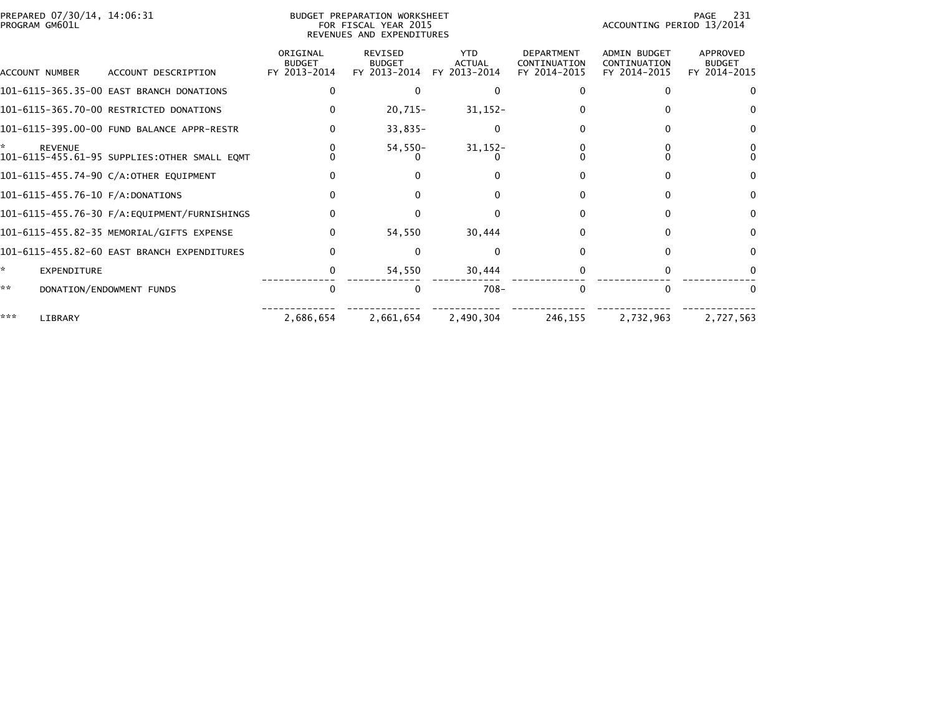|     | PREPARED 07/30/14, 14:06:31<br>PROGRAM GM601L |                                              |                                           | <b>BUDGET PREPARATION WORKSHEET</b><br>FOR FISCAL YEAR 2015<br>REVENUES AND EXPENDITURES |                                             |                                                   | ACCOUNTING PERIOD 13/2014                           | 231<br>PAGE                               |
|-----|-----------------------------------------------|----------------------------------------------|-------------------------------------------|------------------------------------------------------------------------------------------|---------------------------------------------|---------------------------------------------------|-----------------------------------------------------|-------------------------------------------|
|     | ACCOUNT NUMBER                                | ACCOUNT DESCRIPTION                          | ORIGINAL<br><b>BUDGET</b><br>FY 2013-2014 | <b>REVISED</b><br><b>BUDGET</b><br>FY 2013-2014                                          | <b>YTD</b><br><b>ACTUAL</b><br>FY 2013-2014 | <b>DEPARTMENT</b><br>CONTINUATION<br>FY 2014-2015 | <b>ADMIN BUDGET</b><br>CONTINUATION<br>FY 2014-2015 | APPROVED<br><b>BUDGET</b><br>FY 2014-2015 |
|     |                                               | 101-6115-365.35-00 EAST BRANCH DONATIONS     | 0                                         | $\Omega$                                                                                 | $\Omega$                                    |                                                   |                                                     |                                           |
|     |                                               | 101-6115-365.70-00 RESTRICTED DONATIONS      |                                           | $20,715-$                                                                                | $31, 152 -$                                 |                                                   |                                                     |                                           |
|     |                                               | 101-6115-395.00-00 FUND BALANCE APPR-RESTR   |                                           | $33,835-$                                                                                | $\mathbf 0$                                 |                                                   | 0                                                   |                                           |
|     | <b>REVENUE</b>                                | 101-6115-455.61-95 SUPPLIES:OTHER SMALL EQMT |                                           | $54,550-$                                                                                | $31,152-$                                   |                                                   |                                                     |                                           |
|     |                                               | 101-6115-455.74-90 C/A:OTHER EQUIPMENT       |                                           |                                                                                          |                                             |                                                   |                                                     | 0                                         |
|     |                                               | 101-6115-455.76-10 F/A:DONATIONS             |                                           |                                                                                          |                                             |                                                   | 0                                                   | 0                                         |
|     |                                               |                                              |                                           | 0                                                                                        | $\Omega$                                    |                                                   | $\Omega$                                            | 0                                         |
|     |                                               | 101-6115-455.82-35 MEMORIAL/GIFTS EXPENSE    | O                                         | 54,550                                                                                   | 30,444                                      |                                                   | $\Omega$                                            | 0                                         |
|     |                                               | 101-6115-455.82-60 EAST BRANCH EXPENDITURES  |                                           |                                                                                          | $\Omega$                                    |                                                   |                                                     | 0                                         |
| ×.  | EXPENDITURE                                   |                                              |                                           | 54,550                                                                                   | 30,444                                      |                                                   |                                                     |                                           |
| **  |                                               | DONATION/ENDOWMENT FUNDS                     | $\Omega$                                  | $\Omega$                                                                                 | $708 -$                                     | $\Omega$                                          | $\Omega$                                            | 0                                         |
| *** | LIBRARY                                       |                                              | 2,686,654                                 | 2,661,654                                                                                | 2,490,304                                   | 246,155                                           | 2,732,963                                           | 2,727,563                                 |
|     |                                               |                                              |                                           |                                                                                          |                                             |                                                   |                                                     |                                           |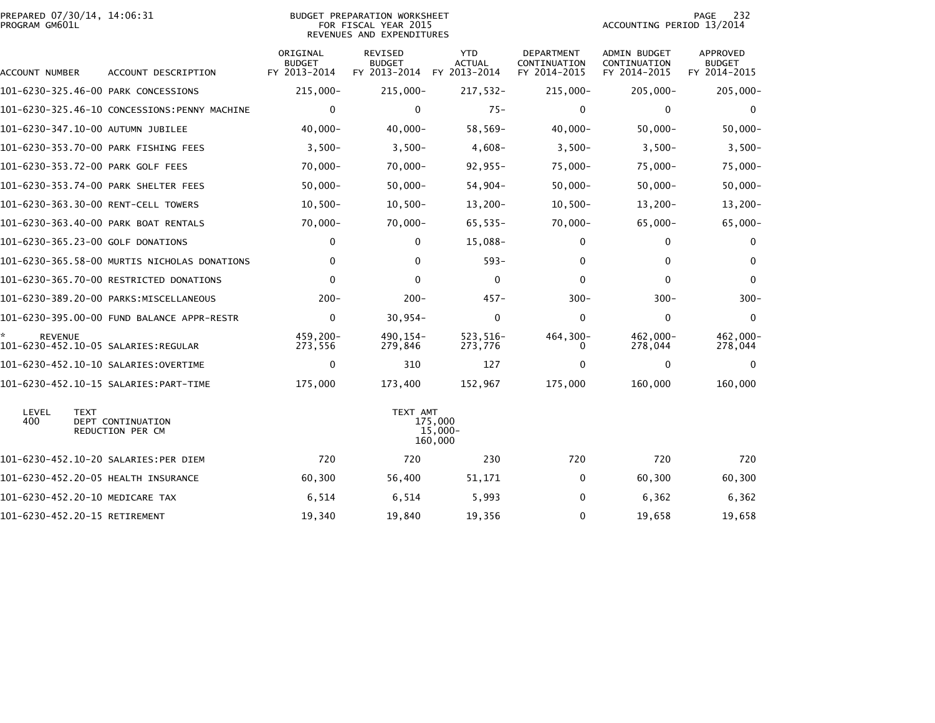| PREPARED 07/30/14, 14:06:31<br>PROGRAM GM601L |                                              |                                           | <b>BUDGET PREPARATION WORKSHEET</b><br>FOR FISCAL YEAR 2015<br>REVENUES AND EXPENDITURES |                                             |                                            | ACCOUNTING PERIOD 13/2014                    | 232<br>PAGE                                      |
|-----------------------------------------------|----------------------------------------------|-------------------------------------------|------------------------------------------------------------------------------------------|---------------------------------------------|--------------------------------------------|----------------------------------------------|--------------------------------------------------|
| ACCOUNT NUMBER                                | ACCOUNT DESCRIPTION                          | ORIGINAL<br><b>BUDGET</b><br>FY 2013-2014 | <b>REVISED</b><br><b>BUDGET</b><br>FY 2013-2014                                          | <b>YTD</b><br><b>ACTUAL</b><br>FY 2013-2014 | DEPARTMENT<br>CONTINUATION<br>FY 2014-2015 | ADMIN BUDGET<br>CONTINUATION<br>FY 2014-2015 | <b>APPROVED</b><br><b>BUDGET</b><br>FY 2014-2015 |
|                                               | 101-6230-325.46-00 PARK CONCESSIONS          | 215,000-                                  | $215,000 -$                                                                              | $217,532-$                                  | $215,000 -$                                | $205,000 -$                                  | $205,000 -$                                      |
|                                               | 101-6230-325.46-10 CONCESSIONS:PENNY MACHINE | $\mathbf 0$                               | $\mathbf 0$                                                                              | $75 -$                                      | 0                                          | $\mathbf 0$                                  | 0                                                |
|                                               | 101-6230-347.10-00 AUTUMN JUBILEE            | $40,000 -$                                | $40,000 -$                                                                               | $58,569-$                                   | $40,000 -$                                 | $50,000 -$                                   | $50,000 -$                                       |
|                                               | 101-6230-353.70-00 PARK FISHING FEES         | $3,500-$                                  | $3,500-$                                                                                 | $4,608-$                                    | $3,500-$                                   | $3,500-$                                     | $3,500-$                                         |
|                                               | 101-6230-353.72-00 PARK GOLF FEES            | $70,000 -$                                | $70,000 -$                                                                               | $92, 955 -$                                 | $75,000 -$                                 | $75,000 -$                                   | $75,000-$                                        |
|                                               | 101-6230-353.74-00 PARK SHELTER FEES         | $50,000 -$                                | $50,000 -$                                                                               | $54,904-$                                   | $50,000 -$                                 | $50,000 -$                                   | $50,000 -$                                       |
|                                               | 101-6230-363.30-00 RENT-CELL TOWERS          | $10,500 -$                                | $10,500 -$                                                                               | $13,200-$                                   | $10,500 -$                                 | $13,200-$                                    | $13,200 -$                                       |
|                                               | 101-6230-363.40-00 PARK BOAT RENTALS         | $70,000 -$                                | $70,000 -$                                                                               | $65,535-$                                   | $70,000 -$                                 | $65,000 -$                                   | $65,000 -$                                       |
|                                               | 101-6230-365.23-00 GOLF DONATIONS            | 0                                         | $\Omega$                                                                                 | 15,088-                                     | $\Omega$                                   | 0                                            | 0                                                |
|                                               | 101-6230-365.58-00 MURTIS NICHOLAS DONATIONS | $\mathbf{0}$                              | $\mathbf{0}$                                                                             | $593 -$                                     | 0                                          | $\mathbf{0}$                                 | 0                                                |
|                                               | 101-6230-365.70-00 RESTRICTED DONATIONS      | $\mathbf 0$                               | $\mathbf{0}$                                                                             | $\mathbf{0}$                                | $\Omega$                                   | $\mathbf{0}$                                 | $\mathbf 0$                                      |
|                                               | 101-6230-389.20-00 PARKS:MISCELLANEOUS       | $200 -$                                   | $200 -$                                                                                  | $457 -$                                     | $300 -$                                    | 300-                                         | $300 -$                                          |
|                                               | 101-6230-395.00-00 FUND BALANCE APPR-RESTR   | $\mathbf 0$                               | $30,954-$                                                                                | $\mathbf{0}$                                | $\Omega$                                   | $\mathbf 0$                                  | $\mathbf{0}$                                     |
| <b>REVENUE</b>                                |                                              | $459.200 -$<br>273,556                    | 490.154-<br>279,846                                                                      | $523, 516 -$<br>273,776                     | 464,300-<br>0                              | 462,000-<br>278,044                          | 462,000-<br>278,044                              |
|                                               | 101-6230-452.10-10 SALARIES: OVERTIME        | $\mathbf 0$                               | 310                                                                                      | 127                                         | 0                                          | $\mathbf 0$                                  | $\mathbf{0}$                                     |
|                                               |                                              | 175,000                                   | 173,400                                                                                  | 152,967                                     | 175,000                                    | 160,000                                      | 160,000                                          |
| LEVEL<br><b>TEXT</b><br>400                   | DEPT CONTINUATION<br>REDUCTION PER CM        |                                           | TEXT AMT                                                                                 | 175,000<br>15,000-<br>160,000               |                                            |                                              |                                                  |
|                                               | 101-6230-452.10-20 SALARIES:PER DIEM         | 720                                       | 720                                                                                      | 230                                         | 720                                        | 720                                          | 720                                              |
|                                               | 101-6230-452.20-05 HEALTH INSURANCE          | 60,300                                    | 56,400                                                                                   | 51,171                                      | 0                                          | 60,300                                       | 60,300                                           |
| 101-6230-452.20-10 MEDICARE TAX               |                                              | 6,514                                     | 6,514                                                                                    | 5,993                                       | 0                                          | 6,362                                        | 6,362                                            |
| 101-6230-452.20-15 RETIREMENT                 |                                              | 19,340                                    | 19,840                                                                                   | 19,356                                      | 0                                          | 19,658                                       | 19,658                                           |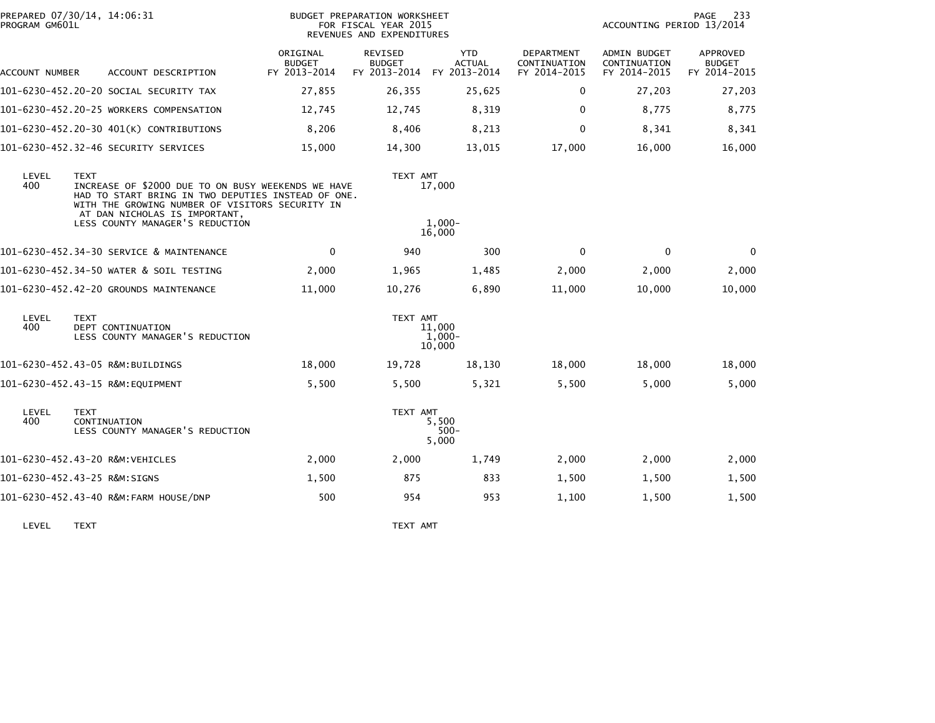| PROGRAM GM601L | PREPARED 07/30/14, 14:06:31                                                                                                                                                                                                                    |                                           | BUDGET PREPARATION WORKSHEET<br>FOR FISCAL YEAR 2015<br>REVENUES AND EXPENDITURES |                                             |                                            | ACCOUNTING PERIOD 13/2014                           | 233<br>PAGE                               |
|----------------|------------------------------------------------------------------------------------------------------------------------------------------------------------------------------------------------------------------------------------------------|-------------------------------------------|-----------------------------------------------------------------------------------|---------------------------------------------|--------------------------------------------|-----------------------------------------------------|-------------------------------------------|
| ACCOUNT NUMBER | ACCOUNT DESCRIPTION                                                                                                                                                                                                                            | ORIGINAL<br><b>BUDGET</b><br>FY 2013-2014 | REVISED<br><b>BUDGET</b><br>FY 2013-2014                                          | <b>YTD</b><br><b>ACTUAL</b><br>FY 2013-2014 | DEPARTMENT<br>CONTINUATION<br>FY 2014-2015 | <b>ADMIN BUDGET</b><br>CONTINUATION<br>FY 2014-2015 | APPROVED<br><b>BUDGET</b><br>FY 2014-2015 |
|                | 101-6230-452.20-20 SOCIAL SECURITY TAX                                                                                                                                                                                                         | 27,855                                    | 26,355                                                                            | 25,625                                      | 0                                          | 27,203                                              | 27,203                                    |
|                | 101-6230-452.20-25 WORKERS COMPENSATION                                                                                                                                                                                                        | 12,745                                    | 12,745                                                                            | 8,319                                       | $\Omega$                                   | 8,775                                               | 8,775                                     |
|                | 101-6230-452.20-30 401(K) CONTRIBUTIONS                                                                                                                                                                                                        | 8,206                                     | 8,406                                                                             | 8,213                                       | $\mathbf{0}$                               | 8,341                                               | 8,341                                     |
|                | 101-6230-452.32-46 SECURITY SERVICES                                                                                                                                                                                                           | 15,000                                    | 14,300                                                                            | 13,015                                      | 17,000                                     | 16,000                                              | 16,000                                    |
| LEVEL<br>400   | <b>TEXT</b><br>INCREASE OF \$2000 DUE TO ON BUSY WEEKENDS WE HAVE<br>HAD TO START BRING IN TWO DEPUTIES INSTEAD OF ONE.<br>WITH THE GROWING NUMBER OF VISITORS SECURITY IN<br>AT DAN NICHOLAS IS IMPORTANT,<br>LESS COUNTY MANAGER'S REDUCTION |                                           | TEXT AMT                                                                          | 17,000<br>$1.000 -$                         |                                            |                                                     |                                           |
|                |                                                                                                                                                                                                                                                |                                           |                                                                                   | 16,000                                      |                                            |                                                     |                                           |
|                | 101-6230-452.34-30 SERVICE & MAINTENANCE                                                                                                                                                                                                       | $\mathbf{0}$                              | 940                                                                               | 300                                         | $\Omega$                                   | $\Omega$                                            | 0                                         |
|                | 101-6230-452.34-50 WATER & SOIL TESTING                                                                                                                                                                                                        | 2,000                                     | 1,965                                                                             | 1,485                                       | 2,000                                      | 2,000                                               | 2,000                                     |
|                | 101-6230-452.42-20 GROUNDS MAINTENANCE                                                                                                                                                                                                         | 11,000                                    | 10,276                                                                            | 6,890                                       | 11,000                                     | 10,000                                              | 10,000                                    |
| LEVEL<br>400   | <b>TEXT</b><br>DEPT CONTINUATION<br>LESS COUNTY MANAGER'S REDUCTION                                                                                                                                                                            |                                           | TEXT AMT                                                                          | 11,000<br>$1.000 -$<br>10,000               |                                            |                                                     |                                           |
|                | 101-6230-452.43-05 R&M:BUILDINGS                                                                                                                                                                                                               | 18,000                                    | 19,728                                                                            | 18,130                                      | 18,000                                     | 18,000                                              | 18,000                                    |
|                | 101-6230-452.43-15 R&M:EQUIPMENT                                                                                                                                                                                                               | 5,500                                     | 5,500                                                                             | 5,321                                       | 5,500                                      | 5,000                                               | 5,000                                     |
| LEVEL<br>400   | <b>TEXT</b><br>CONTINUATION<br>LESS COUNTY MANAGER'S REDUCTION                                                                                                                                                                                 |                                           | TEXT AMT                                                                          | 5,500<br>$500 -$<br>5,000                   |                                            |                                                     |                                           |
|                | 101-6230-452.43-20 R&M:VEHICLES                                                                                                                                                                                                                | 2,000                                     | 2,000                                                                             | 1,749                                       | 2,000                                      | 2,000                                               | 2,000                                     |
|                | 101-6230-452.43-25 R&M:SIGNS                                                                                                                                                                                                                   | 1,500                                     | 875                                                                               | 833                                         | 1,500                                      | 1,500                                               | 1,500                                     |
|                | 101-6230-452.43-40 R&M:FARM HOUSE/DNP                                                                                                                                                                                                          | 500                                       | 954                                                                               | 953                                         | 1,100                                      | 1,500                                               | 1,500                                     |
|                |                                                                                                                                                                                                                                                |                                           |                                                                                   |                                             |                                            |                                                     |                                           |

LEVEL TEXT TEXT AMT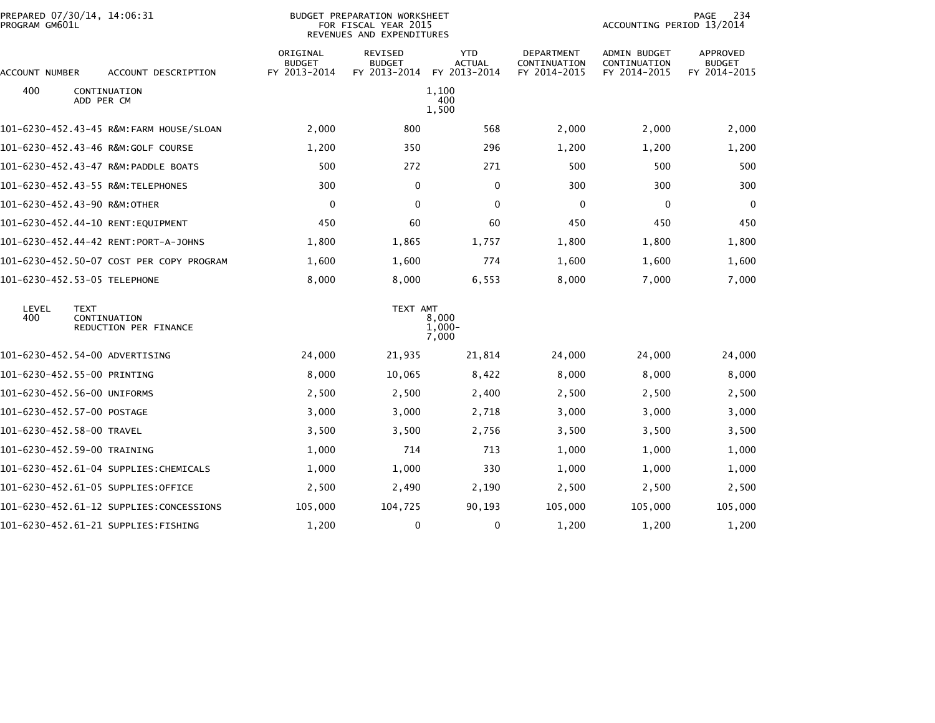| PREPARED 07/30/14, 14:06:31<br>PROGRAM GM601L |                                          | <b>BUDGET PREPARATION WORKSHEET</b><br>FOR FISCAL YEAR 2015<br>REVENUES AND EXPENDITURES |                                          |                                             |                                            | 234<br>PAGE<br>ACCOUNTING PERIOD 13/2014            |                                           |
|-----------------------------------------------|------------------------------------------|------------------------------------------------------------------------------------------|------------------------------------------|---------------------------------------------|--------------------------------------------|-----------------------------------------------------|-------------------------------------------|
| ACCOUNT NUMBER                                | ACCOUNT DESCRIPTION                      | ORIGINAL<br><b>BUDGET</b><br>FY 2013-2014                                                | REVISED<br><b>BUDGET</b><br>FY 2013-2014 | <b>YTD</b><br><b>ACTUAL</b><br>FY 2013-2014 | DEPARTMENT<br>CONTINUATION<br>FY 2014-2015 | <b>ADMIN BUDGET</b><br>CONTINUATION<br>FY 2014-2015 | APPROVED<br><b>BUDGET</b><br>FY 2014-2015 |
| 400<br>ADD PER CM                             | CONTINUATION                             |                                                                                          |                                          | 1,100<br>400<br>1,500                       |                                            |                                                     |                                           |
|                                               | 101-6230-452.43-45 R&M:FARM HOUSE/SLOAN  | 2,000                                                                                    | 800                                      | 568                                         | 2,000                                      | 2,000                                               | 2,000                                     |
|                                               |                                          | 1,200                                                                                    | 350                                      | 296                                         | 1,200                                      | 1,200                                               | 1,200                                     |
|                                               |                                          | 500                                                                                      | 272                                      | 271                                         | 500                                        | 500                                                 | 500                                       |
| 101-6230-452.43-55 R&M:TELEPHONES             |                                          | 300                                                                                      | 0                                        | 0                                           | 300                                        | 300                                                 | 300                                       |
| 101-6230-452.43-90 R&M:OTHER                  |                                          | 0                                                                                        | 0                                        | 0                                           | 0                                          | 0                                                   | 0                                         |
| 101-6230-452.44-10 RENT:EQUIPMENT             |                                          | 450                                                                                      | 60                                       | 60                                          | 450                                        | 450                                                 | 450                                       |
|                                               | 101-6230-452.44-42 RENT:PORT-A-JOHNS     | 1,800                                                                                    | 1,865                                    | 1,757                                       | 1,800                                      | 1,800                                               | 1,800                                     |
|                                               | 101-6230-452.50-07 COST PER COPY PROGRAM | 1,600                                                                                    | 1,600                                    | 774                                         | 1,600                                      | 1,600                                               | 1,600                                     |
| 101-6230-452.53-05 TELEPHONE                  |                                          | 8,000                                                                                    | 8,000                                    | 6,553                                       | 8,000                                      | 7,000                                               | 7,000                                     |
| LEVEL<br><b>TEXT</b><br>400                   | CONTINUATION<br>REDUCTION PER FINANCE    |                                                                                          | TEXT AMT                                 | 8,000<br>$1,000-$<br>7,000                  |                                            |                                                     |                                           |
| 101-6230-452.54-00 ADVERTISING                |                                          | 24,000                                                                                   | 21,935                                   | 21,814                                      | 24,000                                     | 24,000                                              | 24,000                                    |
| 101-6230-452.55-00 PRINTING                   |                                          | 8,000                                                                                    | 10,065                                   | 8,422                                       | 8,000                                      | 8,000                                               | 8,000                                     |
| 101-6230-452.56-00 UNIFORMS                   |                                          | 2,500                                                                                    | 2,500                                    | 2,400                                       | 2,500                                      | 2,500                                               | 2,500                                     |
| 101-6230-452.57-00 POSTAGE                    |                                          | 3,000                                                                                    | 3,000                                    | 2,718                                       | 3,000                                      | 3,000                                               | 3,000                                     |
| 101-6230-452.58-00 TRAVEL                     |                                          | 3,500                                                                                    | 3,500                                    | 2,756                                       | 3,500                                      | 3,500                                               | 3,500                                     |
| 101-6230-452.59-00 TRAINING                   |                                          | 1,000                                                                                    | 714                                      | 713                                         | 1,000                                      | 1,000                                               | 1,000                                     |
|                                               | 101-6230-452.61-04 SUPPLIES:CHEMICALS    | 1,000                                                                                    | 1,000                                    | 330                                         | 1,000                                      | 1,000                                               | 1,000                                     |
| 101-6230-452.61-05 SUPPLIES:OFFICE            |                                          | 2,500                                                                                    | 2,490                                    | 2,190                                       | 2,500                                      | 2,500                                               | 2,500                                     |
|                                               |                                          | 105,000                                                                                  | 104,725                                  | 90,193                                      | 105,000                                    | 105,000                                             | 105,000                                   |
| 101-6230-452.61-21 SUPPLIES:FISHING           |                                          | 1,200                                                                                    | 0                                        | 0                                           | 1,200                                      | 1,200                                               | 1,200                                     |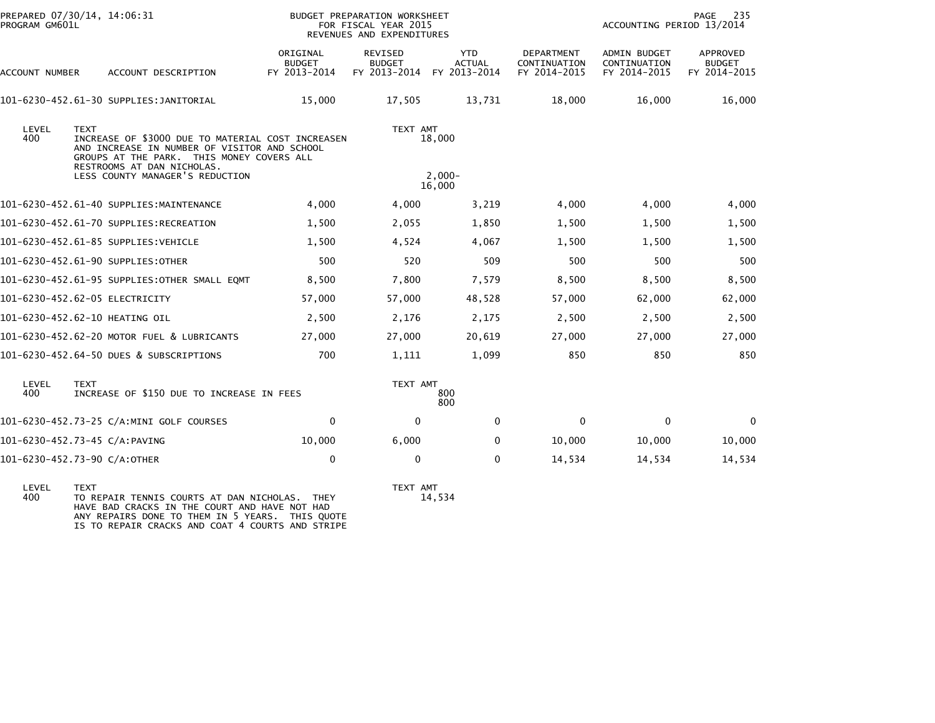| PROGRAM GM601L | PREPARED 07/30/14, 14:06:31                                                                                                                                                                 |                                           | BUDGET PREPARATION WORKSHEET<br>FOR FISCAL YEAR 2015<br>REVENUES AND EXPENDITURES |                                             |                                            | ACCOUNTING PERIOD 13/2014                    | 235<br>PAGE                               |
|----------------|---------------------------------------------------------------------------------------------------------------------------------------------------------------------------------------------|-------------------------------------------|-----------------------------------------------------------------------------------|---------------------------------------------|--------------------------------------------|----------------------------------------------|-------------------------------------------|
| ACCOUNT NUMBER | ACCOUNT DESCRIPTION                                                                                                                                                                         | ORIGINAL<br><b>BUDGET</b><br>FY 2013-2014 | REVISED<br><b>BUDGET</b><br>FY 2013-2014                                          | <b>YTD</b><br><b>ACTUAL</b><br>FY 2013-2014 | DEPARTMENT<br>CONTINUATION<br>FY 2014-2015 | ADMIN BUDGET<br>CONTINUATION<br>FY 2014-2015 | APPROVED<br><b>BUDGET</b><br>FY 2014-2015 |
|                | 101-6230-452.61-30 SUPPLIES: JANITORIAL                                                                                                                                                     | 15,000                                    | 17.505                                                                            | 13,731                                      | 18,000                                     | 16,000                                       | 16,000                                    |
| LEVEL<br>400   | <b>TEXT</b><br>INCREASE OF \$3000 DUE TO MATERIAL COST INCREASEN<br>AND INCREASE IN NUMBER OF VISITOR AND SCHOOL<br>GROUPS AT THE PARK. THIS MONEY COVERS ALL<br>RESTROOMS AT DAN NICHOLAS. |                                           | TEXT AMT                                                                          | 18,000                                      |                                            |                                              |                                           |
|                | LESS COUNTY MANAGER'S REDUCTION                                                                                                                                                             |                                           |                                                                                   | $2.000 -$<br>16,000                         |                                            |                                              |                                           |
|                | 101-6230-452.61-40 SUPPLIES:MAINTENANCE                                                                                                                                                     | 4,000                                     | 4,000                                                                             | 3,219                                       | 4,000                                      | 4,000                                        | 4,000                                     |
|                | 101-6230-452.61-70 SUPPLIES:RECREATION                                                                                                                                                      | 1,500                                     | 2,055                                                                             | 1,850                                       | 1,500                                      | 1,500                                        | 1,500                                     |
|                | 101-6230-452.61-85 SUPPLIES:VEHICLE                                                                                                                                                         | 1,500                                     | 4,524                                                                             | 4,067                                       | 1,500                                      | 1,500                                        | 1,500                                     |
|                | 101-6230-452.61-90 SUPPLIES:OTHER                                                                                                                                                           | 500                                       | 520                                                                               | 509                                         | 500                                        | 500                                          | 500                                       |
|                | 101-6230-452.61-95 SUPPLIES:OTHER SMALL EQMT                                                                                                                                                | 8,500                                     | 7,800                                                                             | 7,579                                       | 8,500                                      | 8,500                                        | 8,500                                     |
|                | 101-6230-452.62-05 ELECTRICITY                                                                                                                                                              | 57,000                                    | 57,000                                                                            | 48,528                                      | 57,000                                     | 62,000                                       | 62,000                                    |
|                | 101-6230-452.62-10 HEATING OIL                                                                                                                                                              | 2,500                                     | 2,176                                                                             | 2,175                                       | 2,500                                      | 2,500                                        | 2,500                                     |
|                | 101-6230-452.62-20 MOTOR FUEL & LUBRICANTS                                                                                                                                                  | 27,000                                    | 27,000                                                                            | 20,619                                      | 27,000                                     | 27,000                                       | 27,000                                    |
|                | 101-6230-452.64-50 DUES & SUBSCRIPTIONS                                                                                                                                                     | 700                                       | 1,111                                                                             | 1,099                                       | 850                                        | 850                                          | 850                                       |
| LEVEL<br>400   | <b>TEXT</b><br>INCREASE OF \$150 DUE TO INCREASE IN FEES                                                                                                                                    |                                           | TEXT AMT                                                                          | 800<br>800                                  |                                            |                                              |                                           |
|                | 101-6230-452.73-25 C/A:MINI GOLF COURSES                                                                                                                                                    | $\mathbf 0$                               | 0                                                                                 | $\mathbf{0}$                                | 0                                          | $\mathbf 0$                                  | $\mathbf 0$                               |
|                | 101-6230-452.73-45 C/A:PAVING                                                                                                                                                               | 10,000                                    | 6,000                                                                             | 0                                           | 10,000                                     | 10,000                                       | 10,000                                    |
|                | 101-6230-452.73-90 C/A:OTHER                                                                                                                                                                | 0                                         | 0                                                                                 | $\mathbf{0}$                                | 14,534                                     | 14,534                                       | 14,534                                    |
|                |                                                                                                                                                                                             |                                           |                                                                                   |                                             |                                            |                                              |                                           |

LEVEL TEXT TEXT AMT 400 TO REPAIR TENNIS COURTS AT DAN NICHOLAS. THEY 14,534 HAVE BAD CRACKS IN THE COURT AND HAVE NOT HAD ANY REPAIRS DONE TO THEM IN 5 YEARS. THIS QUOTE IS TO REPAIR CRACKS AND COAT 4 COURTS AND STRIPE

TEXT AMT<br>14,534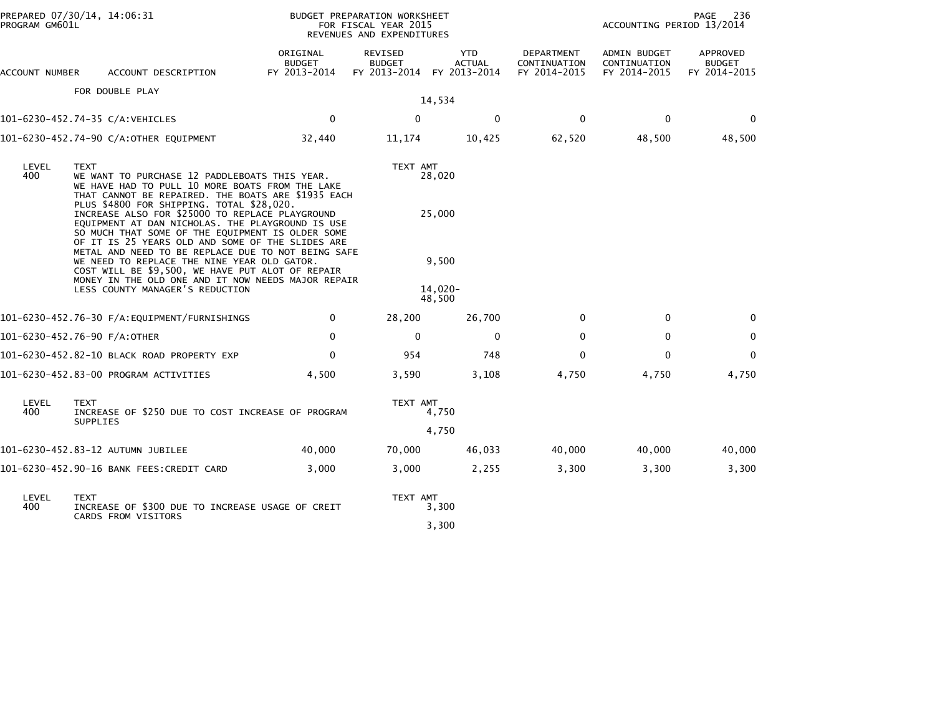| PREPARED 07/30/14, 14:06:31<br>PROGRAM GM601L |                                                                                                                                                                                                                                                                                                                  |                                           | BUDGET PREPARATION WORKSHEET<br>FOR FISCAL YEAR 2015<br>REVENUES AND EXPENDITURES |                                             |                                            | 236<br>PAGE<br>ACCOUNTING PERIOD 13/2014     |                                                  |
|-----------------------------------------------|------------------------------------------------------------------------------------------------------------------------------------------------------------------------------------------------------------------------------------------------------------------------------------------------------------------|-------------------------------------------|-----------------------------------------------------------------------------------|---------------------------------------------|--------------------------------------------|----------------------------------------------|--------------------------------------------------|
| ACCOUNT NUMBER                                | ACCOUNT DESCRIPTION                                                                                                                                                                                                                                                                                              | ORIGINAL<br><b>BUDGET</b><br>FY 2013-2014 | REVISED<br><b>BUDGET</b><br>FY 2013-2014                                          | <b>YTD</b><br><b>ACTUAL</b><br>FY 2013-2014 | DEPARTMENT<br>CONTINUATION<br>FY 2014-2015 | ADMIN BUDGET<br>CONTINUATION<br>FY 2014-2015 | <b>APPROVED</b><br><b>BUDGET</b><br>FY 2014-2015 |
|                                               | FOR DOUBLE PLAY                                                                                                                                                                                                                                                                                                  |                                           |                                                                                   | 14,534                                      |                                            |                                              |                                                  |
|                                               | 101-6230-452.74-35 C/A:VEHICLES                                                                                                                                                                                                                                                                                  | $\mathbf 0$                               | $\mathbf 0$                                                                       | 0                                           | $\mathbf 0$                                | $\mathbf 0$                                  | $\mathbf 0$                                      |
|                                               | 101-6230-452.74-90 C/A:OTHER EQUIPMENT                                                                                                                                                                                                                                                                           | 32,440                                    | 11,174                                                                            | 10,425                                      | 62,520                                     | 48,500                                       | 48,500                                           |
| LEVEL<br>400                                  | <b>TEXT</b><br>WE WANT TO PURCHASE 12 PADDLEBOATS THIS YEAR.<br>WE HAVE HAD TO PULL 10 MORE BOATS FROM THE LAKE<br>THAT CANNOT BE REPAIRED. THE BOATS ARE \$1935 EACH<br>PLUS \$4800 FOR SHIPPING. TOTAL \$28,020.                                                                                               |                                           | TEXT AMT                                                                          | 28,020                                      |                                            |                                              |                                                  |
|                                               | INCREASE ALSO FOR \$25000 TO REPLACE PLAYGROUND<br>EQUIPMENT AT DAN NICHOLAS. THE PLAYGROUND IS USE<br>SO MUCH THAT SOME OF THE EQUIPMENT IS OLDER SOME<br>OF IT IS 25 YEARS OLD AND SOME OF THE SLIDES ARE<br>METAL AND NEED TO BE REPLACE DUE TO NOT BEING SAFE<br>WE NEED TO REPLACE THE NINE YEAR OLD GATOR. |                                           |                                                                                   | 25,000<br>9,500                             |                                            |                                              |                                                  |
|                                               | COST WILL BE \$9,500, WE HAVE PUT ALOT OF REPAIR<br>MONEY IN THE OLD ONE AND IT NOW NEEDS MAJOR REPAIR<br>LESS COUNTY MANAGER'S REDUCTION                                                                                                                                                                        |                                           |                                                                                   | $14,020-$<br>48,500                         |                                            |                                              |                                                  |
|                                               | 101-6230-452.76-30 F/A:EQUIPMENT/FURNISHINGS                                                                                                                                                                                                                                                                     | 0                                         | 28,200                                                                            | 26,700                                      | 0                                          | 0                                            | $\Omega$                                         |
|                                               | 101-6230-452.76-90 F/A:OTHER                                                                                                                                                                                                                                                                                     | $\mathbf{0}$                              | $\mathbf{0}$                                                                      | $\mathbf{0}$                                | $\mathbf{0}$                               | $\mathbf 0$                                  | $\mathbf 0$                                      |
|                                               | 101-6230-452.82-10 BLACK ROAD PROPERTY EXP                                                                                                                                                                                                                                                                       | $\mathbf{0}$                              | 954                                                                               | 748                                         | $\Omega$                                   | $\mathbf{0}$                                 | $\mathbf{0}$                                     |
|                                               | 101-6230-452.83-00 PROGRAM ACTIVITIES                                                                                                                                                                                                                                                                            | 4,500                                     | 3,590                                                                             | 3,108                                       | 4,750                                      | 4,750                                        | 4,750                                            |
| LEVEL<br>400                                  | <b>TEXT</b><br>INCREASE OF \$250 DUE TO COST INCREASE OF PROGRAM<br><b>SUPPLIES</b>                                                                                                                                                                                                                              |                                           | TEXT AMT                                                                          | 4,750                                       |                                            |                                              |                                                  |
|                                               |                                                                                                                                                                                                                                                                                                                  |                                           |                                                                                   | 4,750                                       |                                            |                                              |                                                  |
|                                               | 101-6230-452.83-12 AUTUMN JUBILEE                                                                                                                                                                                                                                                                                | 40,000                                    | 70,000                                                                            | 46,033                                      | 40,000                                     | 40,000                                       | 40,000                                           |
|                                               | 101-6230-452.90-16 BANK FEES:CREDIT CARD                                                                                                                                                                                                                                                                         | 3,000                                     | 3,000                                                                             | 2,255                                       | 3,300                                      | 3,300                                        | 3,300                                            |
| LEVEL<br>400                                  | <b>TEXT</b><br>INCREASE OF \$300 DUE TO INCREASE USAGE OF CREIT<br>CARDS FROM VISITORS                                                                                                                                                                                                                           |                                           | TEXT AMT                                                                          | 3,300                                       |                                            |                                              |                                                  |
|                                               |                                                                                                                                                                                                                                                                                                                  |                                           |                                                                                   | 3,300                                       |                                            |                                              |                                                  |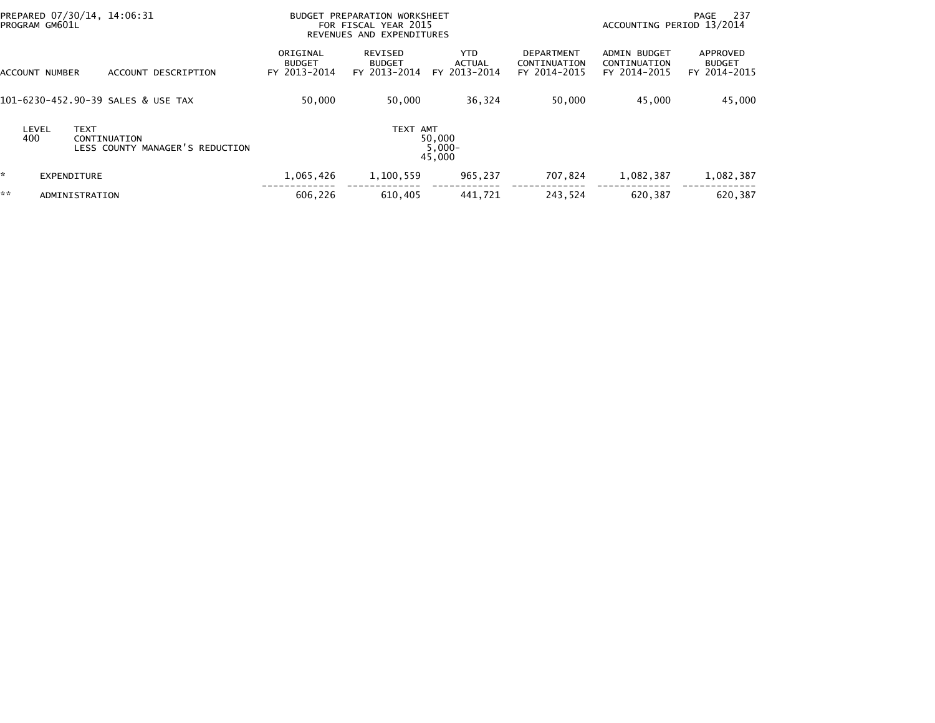| PREPARED 07/30/14, 14:06:31<br>PROGRAM GM601L                                  | BUDGET PREPARATION WORKSHEET<br>FOR FISCAL YEAR 2015<br>REVENUES AND EXPENDITURES |                                          |                                             | ACCOUNTING PERIOD 13/2014                         | -237<br>PAGE                                        |                                           |
|--------------------------------------------------------------------------------|-----------------------------------------------------------------------------------|------------------------------------------|---------------------------------------------|---------------------------------------------------|-----------------------------------------------------|-------------------------------------------|
| ACCOUNT DESCRIPTION<br>ACCOUNT NUMBER                                          | ORIGINAL<br><b>BUDGET</b><br>FY 2013-2014                                         | REVISED<br><b>BUDGET</b><br>FY 2013-2014 | <b>YTD</b><br><b>ACTUAL</b><br>FY 2013-2014 | <b>DEPARTMENT</b><br>CONTINUATION<br>FY 2014-2015 | <b>ADMIN BUDGET</b><br>CONTINUATION<br>FY 2014-2015 | APPROVED<br><b>BUDGET</b><br>FY 2014-2015 |
| 101-6230-452.90-39 SALES & USE TAX                                             | 50,000                                                                            | 50,000                                   | 36,324                                      | 50,000                                            | 45,000                                              | 45,000                                    |
| LEVEL<br><b>TEXT</b><br>400<br>CONTINUATION<br>LESS COUNTY MANAGER'S REDUCTION |                                                                                   | TEXT AMT                                 | 50,000<br>$5,000 -$<br>45,000               |                                                   |                                                     |                                           |
| <b>EXPENDITURE</b>                                                             | 1,065,426                                                                         | 1,100,559                                | 965,237                                     | 707,824                                           | 1,082,387                                           | 1,082,387                                 |
| **<br>ADMINISTRATION                                                           | 606.226                                                                           | 610,405                                  | 441.721                                     | 243.524                                           | 620,387                                             | 620,387                                   |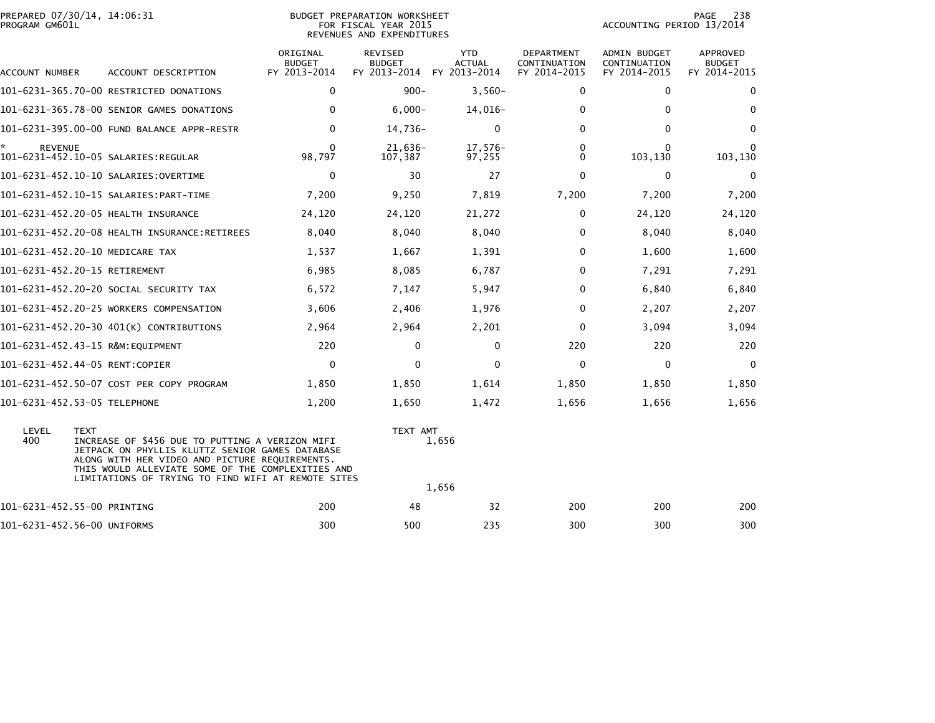| PROGRAM GM601L       | PREPARED 07/30/14, 14:06:31                                                                                                                                                                                                                                                    | BUDGET PREPARATION WORKSHEET<br>FOR FISCAL YEAR 2015<br>REVENUES AND EXPENDITURES |                                                       |                             |                                            |                                              |                                           |  |
|----------------------|--------------------------------------------------------------------------------------------------------------------------------------------------------------------------------------------------------------------------------------------------------------------------------|-----------------------------------------------------------------------------------|-------------------------------------------------------|-----------------------------|--------------------------------------------|----------------------------------------------|-------------------------------------------|--|
| ACCOUNT NUMBER       | ACCOUNT DESCRIPTION                                                                                                                                                                                                                                                            | ORIGINAL<br><b>BUDGET</b><br>FY 2013-2014                                         | REVISED<br><b>BUDGET</b><br>FY 2013-2014 FY 2013-2014 | <b>YTD</b><br><b>ACTUAL</b> | DEPARTMENT<br>CONTINUATION<br>FY 2014-2015 | ADMIN BUDGET<br>CONTINUATION<br>FY 2014-2015 | APPROVED<br><b>BUDGET</b><br>FY 2014-2015 |  |
|                      | 101-6231-365.70-00 RESTRICTED DONATIONS                                                                                                                                                                                                                                        | 0                                                                                 | $900 -$                                               | $3,560-$                    | 0                                          | 0                                            | 0                                         |  |
|                      | 101-6231-365.78-00 SENIOR GAMES DONATIONS                                                                                                                                                                                                                                      | $\mathbf{0}$                                                                      | $6,000 -$                                             | $14,016-$                   | 0                                          | $\mathbf{0}$                                 | $\mathbf{0}$                              |  |
|                      | 101-6231-395.00-00 FUND BALANCE APPR-RESTR                                                                                                                                                                                                                                     | $\Omega$                                                                          | 14,736-                                               | $\mathbf{0}$                | 0                                          | $\mathbf{0}$                                 | $\mathbf{0}$                              |  |
| ×.<br><b>REVENUE</b> | 101-6231-452.10-05 SALARIES:REGULAR                                                                                                                                                                                                                                            | $\mathbf{0}$<br>98,797                                                            | 21,636-<br>107,387                                    | $17,576-$<br>97,255         | 0<br>0                                     | $\mathbf{0}$<br>103,130                      | 0<br>103,130                              |  |
|                      |                                                                                                                                                                                                                                                                                | 0                                                                                 | 30                                                    | 27                          | 0                                          | 0                                            | 0                                         |  |
|                      |                                                                                                                                                                                                                                                                                | 7,200                                                                             | 9,250                                                 | 7,819                       | 7,200                                      | 7,200                                        | 7,200                                     |  |
|                      | 101-6231-452.20-05 HEALTH INSURANCE                                                                                                                                                                                                                                            | 24,120                                                                            | 24,120                                                | 21,272                      | 0                                          | 24,120                                       | 24,120                                    |  |
|                      |                                                                                                                                                                                                                                                                                | 8,040                                                                             | 8,040                                                 | 8,040                       | 0                                          | 8,040                                        | 8,040                                     |  |
|                      | 101-6231-452.20-10 MEDICARE TAX                                                                                                                                                                                                                                                | 1,537                                                                             | 1,667                                                 | 1,391                       | 0                                          | 1,600                                        | 1,600                                     |  |
|                      | 101-6231-452.20-15 RETIREMENT                                                                                                                                                                                                                                                  | 6,985                                                                             | 8,085                                                 | 6,787                       | 0                                          | 7,291                                        | 7,291                                     |  |
|                      | 101-6231-452.20-20 SOCIAL SECURITY TAX                                                                                                                                                                                                                                         | 6,572                                                                             | 7,147                                                 | 5,947                       | 0                                          | 6,840                                        | 6,840                                     |  |
|                      | 101-6231-452.20-25 WORKERS COMPENSATION                                                                                                                                                                                                                                        | 3,606                                                                             | 2,406                                                 | 1,976                       | 0                                          | 2,207                                        | 2,207                                     |  |
|                      | 101-6231-452.20-30 401(K) CONTRIBUTIONS                                                                                                                                                                                                                                        | 2,964                                                                             | 2,964                                                 | 2,201                       | 0                                          | 3,094                                        | 3,094                                     |  |
|                      | 101-6231-452.43-15 R&M:EQUIPMENT                                                                                                                                                                                                                                               | 220                                                                               | 0                                                     | 0                           | 220                                        | 220                                          | 220                                       |  |
|                      | 101-6231-452.44-05 RENT:COPIER                                                                                                                                                                                                                                                 | $\mathbf 0$                                                                       | $\mathbf{0}$                                          | $\mathbf{0}$                | $\mathbf{0}$                               | $\mathbf 0$                                  | $\mathbf{0}$                              |  |
|                      | 101-6231-452.50-07 COST PER COPY PROGRAM                                                                                                                                                                                                                                       | 1.850                                                                             | 1,850                                                 | 1,614                       | 1,850                                      | 1,850                                        | 1,850                                     |  |
|                      | 101-6231-452.53-05 TELEPHONE                                                                                                                                                                                                                                                   | 1,200                                                                             | 1,650                                                 | 1,472                       | 1,656                                      | 1,656                                        | 1,656                                     |  |
| LEVEL<br>400         | <b>TEXT</b><br>INCREASE OF \$456 DUE TO PUTTING A VERIZON MIFI<br>JETPACK ON PHYLLIS KLUTTZ SENIOR GAMES DATABASE<br>ALONG WITH HER VIDEO AND PICTURE REQUIREMENTS.<br>THIS WOULD ALLEVIATE SOME OF THE COMPLEXITIES AND<br>LIMITATIONS OF TRYING TO FIND WIFI AT REMOTE SITES |                                                                                   | TEXT AMT                                              | 1,656                       |                                            |                                              |                                           |  |
|                      |                                                                                                                                                                                                                                                                                | 200                                                                               |                                                       | 1,656                       | 200                                        | 200                                          |                                           |  |
|                      | 101-6231-452.55-00 PRINTING                                                                                                                                                                                                                                                    |                                                                                   | 48                                                    | 32                          |                                            |                                              | 200                                       |  |
|                      | 101-6231-452.56-00 UNIFORMS                                                                                                                                                                                                                                                    | 300                                                                               | 500                                                   | 235                         | 300                                        | 300                                          | 300                                       |  |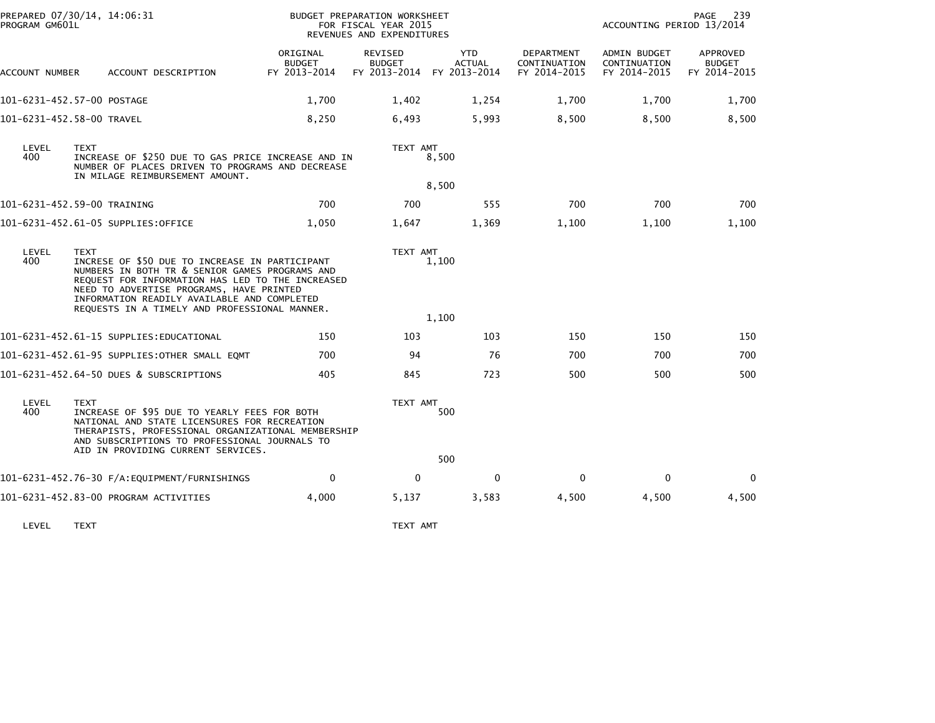| PROGRAM GM601L | PREPARED 07/30/14, 14:06:31                                                                                                                                                                                                                                                                                     |                                           | BUDGET PREPARATION WORKSHEET<br>FOR FISCAL YEAR 2015<br>REVENUES AND EXPENDITURES |                             |                                            | ACCOUNTING PERIOD 13/2014                    | 239<br>PAGE                               |
|----------------|-----------------------------------------------------------------------------------------------------------------------------------------------------------------------------------------------------------------------------------------------------------------------------------------------------------------|-------------------------------------------|-----------------------------------------------------------------------------------|-----------------------------|--------------------------------------------|----------------------------------------------|-------------------------------------------|
| ACCOUNT NUMBER | ACCOUNT DESCRIPTION                                                                                                                                                                                                                                                                                             | ORIGINAL<br><b>BUDGET</b><br>FY 2013-2014 | REVISED<br><b>BUDGET</b><br>FY 2013-2014 FY 2013-2014                             | <b>YTD</b><br><b>ACTUAL</b> | DEPARTMENT<br>CONTINUATION<br>FY 2014-2015 | ADMIN BUDGET<br>CONTINUATION<br>FY 2014-2015 | APPROVED<br><b>BUDGET</b><br>FY 2014-2015 |
|                | 101-6231-452.57-00 POSTAGE                                                                                                                                                                                                                                                                                      | 1,700                                     | 1,402                                                                             | 1,254                       | 1,700                                      | 1,700                                        | 1,700                                     |
|                | 101-6231-452.58-00 TRAVEL                                                                                                                                                                                                                                                                                       | 8,250                                     | 6,493                                                                             | 5,993                       | 8,500                                      | 8,500                                        | 8,500                                     |
| LEVEL<br>400   | <b>TEXT</b><br>INCREASE OF \$250 DUE TO GAS PRICE INCREASE AND IN<br>NUMBER OF PLACES DRIVEN TO PROGRAMS AND DECREASE<br>IN MILAGE REIMBURSEMENT AMOUNT.                                                                                                                                                        |                                           | TEXT AMT                                                                          | 8,500<br>8,500              |                                            |                                              |                                           |
|                | 101-6231-452.59-00 TRAINING                                                                                                                                                                                                                                                                                     | 700                                       | 700                                                                               | 555                         | 700                                        | 700                                          | 700                                       |
|                | 101-6231-452.61-05 SUPPLIES:OFFICE                                                                                                                                                                                                                                                                              | 1,050                                     | 1,647                                                                             | 1,369                       | 1,100                                      | 1,100                                        | 1,100                                     |
| LEVEL<br>400   | <b>TEXT</b><br>INCRESE OF \$50 DUE TO INCREASE IN PARTICIPANT<br>NUMBERS IN BOTH TR & SENIOR GAMES PROGRAMS AND<br>REQUEST FOR INFORMATION HAS LED TO THE INCREASED<br>NEED TO ADVERTISE PROGRAMS, HAVE PRINTED<br>INFORMATION READILY AVAILABLE AND COMPLETED<br>REQUESTS IN A TIMELY AND PROFESSIONAL MANNER. |                                           | TEXT AMT                                                                          | 1,100<br>1,100              |                                            |                                              |                                           |
|                | 101-6231-452.61-15 SUPPLIES:EDUCATIONAL                                                                                                                                                                                                                                                                         | 150                                       | 103                                                                               | 103                         | 150                                        | 150                                          | 150                                       |
|                | 101-6231-452.61-95 SUPPLIES:OTHER SMALL EQMT                                                                                                                                                                                                                                                                    | 700                                       | 94                                                                                | 76                          | 700                                        | 700                                          | 700                                       |
|                | 101-6231-452.64-50 DUES & SUBSCRIPTIONS                                                                                                                                                                                                                                                                         | 405                                       | 845                                                                               | 723                         | 500                                        | 500                                          | 500                                       |
| LEVEL<br>400   | <b>TEXT</b><br>INCREASE OF \$95 DUE TO YEARLY FEES FOR BOTH<br>NATIONAL AND STATE LICENSURES FOR RECREATION<br>THERAPISTS, PROFESSIONAL ORGANIZATIONAL MEMBERSHIP<br>AND SUBSCRIPTIONS TO PROFESSIONAL JOURNALS TO<br>AID IN PROVIDING CURRENT SERVICES.                                                        |                                           | TEXT AMT                                                                          | 500                         |                                            |                                              |                                           |
|                |                                                                                                                                                                                                                                                                                                                 |                                           |                                                                                   | 500                         |                                            |                                              |                                           |
|                | 101-6231-452.76-30 F/A:EQUIPMENT/FURNISHINGS                                                                                                                                                                                                                                                                    | $\Omega$                                  | $\mathbf{0}$                                                                      | $\mathbf{0}$                | $\Omega$                                   | $\mathbf{0}$                                 | 0                                         |
|                | 101-6231-452.83-00 PROGRAM ACTIVITIES                                                                                                                                                                                                                                                                           | 4,000                                     | 5,137                                                                             | 3,583                       | 4,500                                      | 4,500                                        | 4,500                                     |

LEVEL TEXT TEXT AMT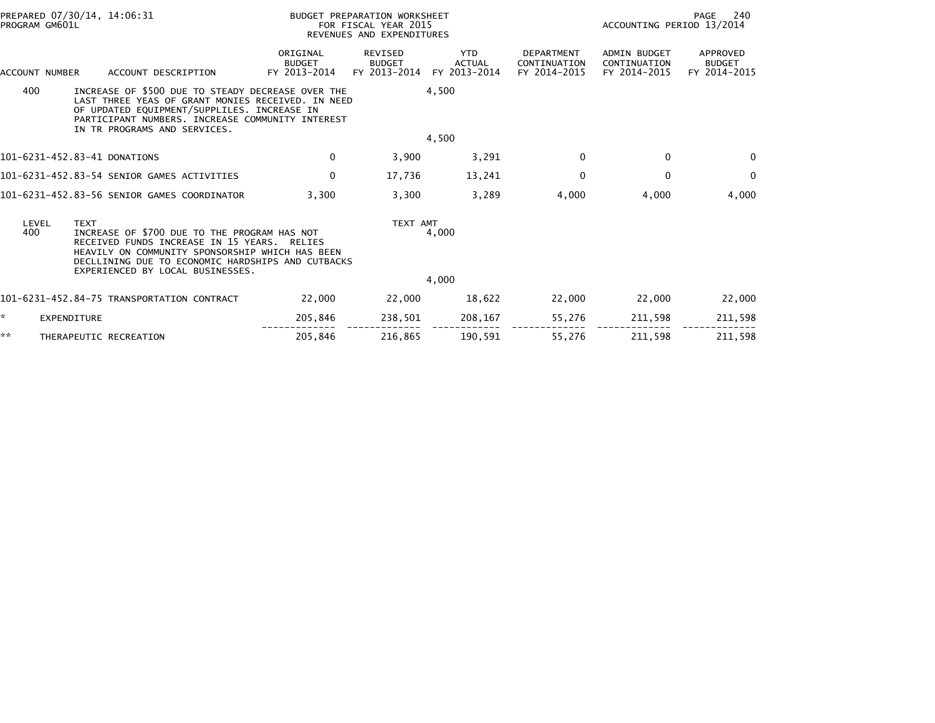| PROGRAM GM601L | PREPARED 07/30/14, 14:06:31                                                                                                                                                                                                                     |                                           | BUDGET PREPARATION WORKSHEET<br>FOR FISCAL YEAR 2015<br>REVENUES AND EXPENDITURES |                                             | 240<br>PAGE<br>ACCOUNTING PERIOD 13/2014          |                                                     |                                           |
|----------------|-------------------------------------------------------------------------------------------------------------------------------------------------------------------------------------------------------------------------------------------------|-------------------------------------------|-----------------------------------------------------------------------------------|---------------------------------------------|---------------------------------------------------|-----------------------------------------------------|-------------------------------------------|
| ACCOUNT NUMBER | ACCOUNT DESCRIPTION                                                                                                                                                                                                                             | ORIGINAL<br><b>BUDGET</b><br>FY 2013-2014 | <b>REVISED</b><br><b>BUDGET</b><br>FY 2013-2014                                   | <b>YTD</b><br><b>ACTUAL</b><br>FY 2013-2014 | <b>DEPARTMENT</b><br>CONTINUATION<br>FY 2014-2015 | <b>ADMIN BUDGET</b><br>CONTINUATION<br>FY 2014-2015 | APPROVED<br><b>BUDGET</b><br>FY 2014-2015 |
| 400            | INCREASE OF \$500 DUE TO STEADY DECREASE OVER THE<br>LAST THREE YEAS OF GRANT MONIES RECEIVED. IN NEED<br>OF UPDATED EQUIPMENT/SUPPLILES. INCREASE IN<br>PARTICIPANT NUMBERS. INCREASE COMMUNITY INTEREST<br>IN TR PROGRAMS AND SERVICES.       |                                           |                                                                                   | 4,500                                       |                                                   |                                                     |                                           |
|                |                                                                                                                                                                                                                                                 |                                           |                                                                                   | 4,500                                       |                                                   |                                                     |                                           |
|                | 101-6231-452.83-41 DONATIONS                                                                                                                                                                                                                    | $\mathbf 0$                               | 3,900                                                                             | 3,291                                       | 0                                                 | 0                                                   | $\mathbf{0}$                              |
|                | 101-6231-452.83-54 SENIOR GAMES ACTIVITIES                                                                                                                                                                                                      | $\mathbf 0$                               | 17,736                                                                            | 13,241                                      | $\mathbf{0}$                                      | $\mathbf{0}$                                        | $\mathbf{0}$                              |
|                | 101-6231-452.83-56 SENIOR GAMES COORDINATOR                                                                                                                                                                                                     | 3.300                                     | 3,300                                                                             | 3,289                                       | 4,000                                             | 4,000                                               | 4,000                                     |
| LEVEL<br>400   | <b>TEXT</b><br>INCREASE OF \$700 DUE TO THE PROGRAM HAS NOT<br>RECEIVED FUNDS INCREASE IN 15 YEARS.<br>HEAVILY ON COMMUNITY SPONSORSHIP WHICH HAS BEEN<br>DECLLINING DUE TO ECONOMIC HARDSHIPS AND CUTBACKS<br>EXPERIENCED BY LOCAL BUSINESSES. | RELIES                                    | TEXT AMT                                                                          | 4,000                                       |                                                   |                                                     |                                           |
|                |                                                                                                                                                                                                                                                 |                                           |                                                                                   | 4,000                                       |                                                   |                                                     |                                           |
|                | 101-6231-452.84-75 TRANSPORTATION CONTRACT                                                                                                                                                                                                      | 22,000                                    | 22,000                                                                            | 18,622                                      | 22,000                                            | 22,000                                              | 22,000                                    |
| ×.             | EXPENDITURE                                                                                                                                                                                                                                     | 205,846                                   | 238,501                                                                           | 208,167                                     | 55,276                                            | 211,598                                             | 211,598                                   |
| **             | THERAPEUTIC RECREATION                                                                                                                                                                                                                          | 205,846                                   | 216,865                                                                           | 190,591                                     | 55,276                                            | 211,598                                             | 211,598                                   |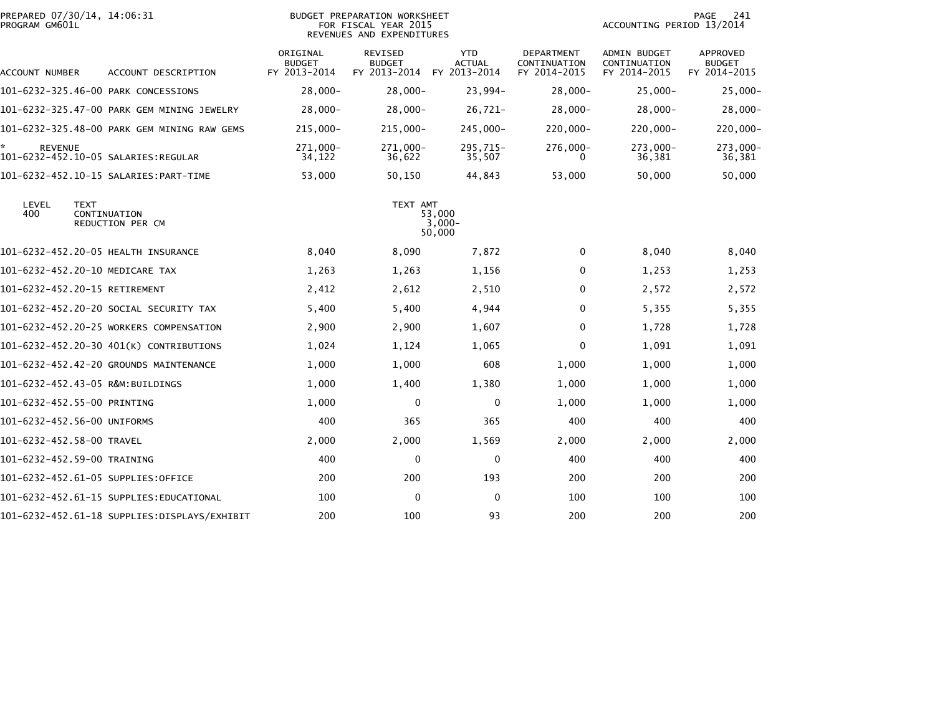| PREPARED 07/30/14, 14:06:31<br>PROGRAM GM601L                   |                                           | BUDGET PREPARATION WORKSHEET<br>FOR FISCAL YEAR 2015<br>REVENUES AND EXPENDITURES |                                             |                                                   | ACCOUNTING PERIOD 13/2014                    | 241<br>PAGE                               |
|-----------------------------------------------------------------|-------------------------------------------|-----------------------------------------------------------------------------------|---------------------------------------------|---------------------------------------------------|----------------------------------------------|-------------------------------------------|
| ACCOUNT DESCRIPTION<br>ACCOUNT NUMBER                           | ORIGINAL<br><b>BUDGET</b><br>FY 2013-2014 | <b>REVISED</b><br><b>BUDGET</b><br>FY 2013-2014                                   | <b>YTD</b><br><b>ACTUAL</b><br>FY 2013-2014 | <b>DEPARTMENT</b><br>CONTINUATION<br>FY 2014-2015 | ADMIN BUDGET<br>CONTINUATION<br>FY 2014-2015 | APPROVED<br><b>BUDGET</b><br>FY 2014-2015 |
| 101-6232-325.46-00 PARK CONCESSIONS                             | $28,000-$                                 | $28,000-$                                                                         | 23,994-                                     | $28,000-$                                         | $25,000 -$                                   | $25,000 -$                                |
| 101-6232-325.47-00 PARK GEM MINING JEWELRY                      | $28,000 -$                                | $28,000-$                                                                         | $26,721-$                                   | $28,000-$                                         | $28,000 -$                                   | $28,000 -$                                |
| 101-6232-325.48-00 PARK GEM MINING RAW GEMS                     | 215,000-                                  | $215,000 -$                                                                       | 245,000-                                    | $220,000 -$                                       | 220,000-                                     | $220,000 -$                               |
| <b>REVENUE</b>                                                  | 271,000-<br>34,122                        | 271,000-<br>36,622                                                                | 295,715-<br>35,507                          | 276,000-<br>0                                     | 273,000-<br>36,381                           | 273,000-<br>36,381                        |
|                                                                 | 53,000                                    | 50,150                                                                            | 44,843                                      | 53,000                                            | 50,000                                       | 50,000                                    |
| LEVEL<br><b>TEXT</b><br>400<br>CONTINUATION<br>REDUCTION PER CM |                                           | TEXT AMT                                                                          | 53,000<br>3,000-<br>50,000                  |                                                   |                                              |                                           |
| 101-6232-452.20-05 HEALTH INSURANCE                             | 8,040                                     | 8,090                                                                             | 7,872                                       | 0                                                 | 8,040                                        | 8,040                                     |
| 101-6232-452.20-10 MEDICARE TAX                                 | 1,263                                     | 1,263                                                                             | 1,156                                       | $\mathbf{0}$                                      | 1,253                                        | 1,253                                     |
| 101-6232-452.20-15 RETIREMENT                                   | 2,412                                     | 2,612                                                                             | 2,510                                       | 0                                                 | 2,572                                        | 2,572                                     |
| 101-6232-452.20-20 SOCIAL SECURITY TAX                          | 5,400                                     | 5,400                                                                             | 4,944                                       | $\mathbf{0}$                                      | 5,355                                        | 5,355                                     |
| 101-6232-452.20-25 WORKERS COMPENSATION                         | 2,900                                     | 2,900                                                                             | 1,607                                       | $\mathbf 0$                                       | 1,728                                        | 1,728                                     |
| 101-6232-452.20-30 401(K) CONTRIBUTIONS                         | 1,024                                     | 1,124                                                                             | 1,065                                       | 0                                                 | 1,091                                        | 1,091                                     |
| 101-6232-452.42-20 GROUNDS MAINTENANCE                          | 1,000                                     | 1,000                                                                             | 608                                         | 1,000                                             | 1,000                                        | 1,000                                     |
| 101-6232-452.43-05 R&M:BUILDINGS                                | 1,000                                     | 1,400                                                                             | 1,380                                       | 1,000                                             | 1,000                                        | 1,000                                     |
| 101-6232-452.55-00 PRINTING                                     | 1,000                                     | $\mathbf 0$                                                                       | $\mathbf{0}$                                | 1,000                                             | 1,000                                        | 1,000                                     |
| 101-6232-452.56-00 UNIFORMS                                     | 400                                       | 365                                                                               | 365                                         | 400                                               | 400                                          | 400                                       |
| 101-6232-452.58-00 TRAVEL                                       | 2,000                                     | 2,000                                                                             | 1,569                                       | 2,000                                             | 2,000                                        | 2,000                                     |
| 101-6232-452.59-00 TRAINING                                     | 400                                       | 0                                                                                 | $\mathbf{0}$                                | 400                                               | 400                                          | 400                                       |
| 101–6232–452.61–05 SUPPLIES:OFFICE                              | 200                                       | 200                                                                               | 193                                         | 200                                               | 200                                          | 200                                       |
| 101-6232-452.61-15 SUPPLIES:EDUCATIONAL                         | 100                                       | $\mathbf{0}$                                                                      | $\mathbf{0}$                                | 100                                               | 100                                          | 100                                       |
|                                                                 | 200                                       | 100                                                                               | 93                                          | 200                                               | 200                                          | 200                                       |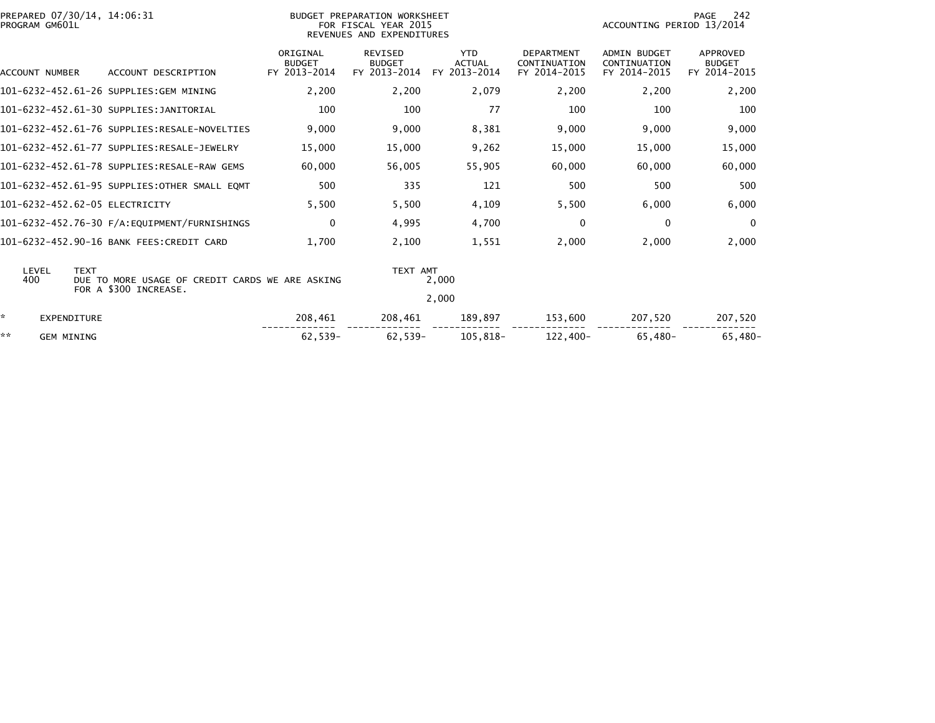|    | PROGRAM GM601L    | PREPARED 07/30/14, 14:06:31                                                             |                                           | BUDGET PREPARATION WORKSHEET<br>FOR FISCAL YEAR 2015 |                                             |                                                   | ACCOUNTING PERIOD 13/2014                           | PAGE<br>- 242                                    |
|----|-------------------|-----------------------------------------------------------------------------------------|-------------------------------------------|------------------------------------------------------|---------------------------------------------|---------------------------------------------------|-----------------------------------------------------|--------------------------------------------------|
|    |                   |                                                                                         |                                           | REVENUES AND EXPENDITURES                            |                                             |                                                   |                                                     |                                                  |
|    | ACCOUNT NUMBER    | ACCOUNT DESCRIPTION                                                                     | ORIGINAL<br><b>BUDGET</b><br>FY 2013-2014 | <b>REVISED</b><br><b>BUDGET</b><br>FY 2013-2014      | <b>YTD</b><br><b>ACTUAL</b><br>FY 2013-2014 | <b>DEPARTMENT</b><br>CONTINUATION<br>FY 2014-2015 | <b>ADMIN BUDGET</b><br>CONTINUATION<br>FY 2014-2015 | <b>APPROVED</b><br><b>BUDGET</b><br>FY 2014-2015 |
|    |                   | 101-6232-452.61-26 SUPPLIES:GEM MINING                                                  | 2,200                                     | 2,200                                                | 2,079                                       | 2,200                                             | 2,200                                               | 2,200                                            |
|    |                   | 101-6232-452.61-30 SUPPLIES:JANITORIAL                                                  | 100                                       | 100                                                  | 77                                          | 100                                               | 100                                                 | 100                                              |
|    |                   | 101-6232-452.61-76 SUPPLIES:RESALE-NOVELTIES                                            | 9.000                                     | 9.000                                                | 8,381                                       | 9.000                                             | 9,000                                               | 9,000                                            |
|    |                   | 101-6232-452.61-77 SUPPLIES:RESALE-JEWELRY                                              | 15,000                                    | 15,000                                               | 9,262                                       | 15,000                                            | 15,000                                              | 15,000                                           |
|    |                   | 101-6232-452.61-78 SUPPLIES:RESALE-RAW GEMS                                             | 60.000                                    | 56,005                                               | 55,905                                      | 60,000                                            | 60,000                                              | 60,000                                           |
|    |                   | 101-6232-452.61-95 SUPPLIES:OTHER SMALL EOMT                                            | 500                                       | 335                                                  | 121                                         | 500                                               | 500                                                 | 500                                              |
|    |                   | 101-6232-452.62-05 ELECTRICITY                                                          | 5,500                                     | 5,500                                                | 4,109                                       | 5,500                                             | 6,000                                               | 6,000                                            |
|    |                   |                                                                                         | $\mathbf 0$                               | 4,995                                                | 4,700                                       | $\Omega$                                          | 0                                                   | $\overline{0}$                                   |
|    |                   | 101-6232-452.90-16 BANK FEES:CREDIT CARD                                                | 1.700                                     | 2,100                                                | 1.551                                       | 2,000                                             | 2,000                                               | 2,000                                            |
|    | LEVEL<br>400      | <b>TEXT</b><br>DUE TO MORE USAGE OF CREDIT CARDS WE ARE ASKING<br>FOR A \$300 INCREASE. |                                           | TEXT AMT                                             | 2,000                                       |                                                   |                                                     |                                                  |
|    |                   |                                                                                         |                                           |                                                      | 2,000                                       |                                                   |                                                     |                                                  |
| ÷. | EXPENDITURE       |                                                                                         | 208,461                                   | 208,461                                              | 189,897                                     | 153,600                                           | 207,520                                             | 207,520                                          |
| ** | <b>GEM MINING</b> |                                                                                         | 62,539-                                   | $62,539-$                                            | 105.818-                                    | 122,400-                                          | 65.480-                                             | $65,480-$                                        |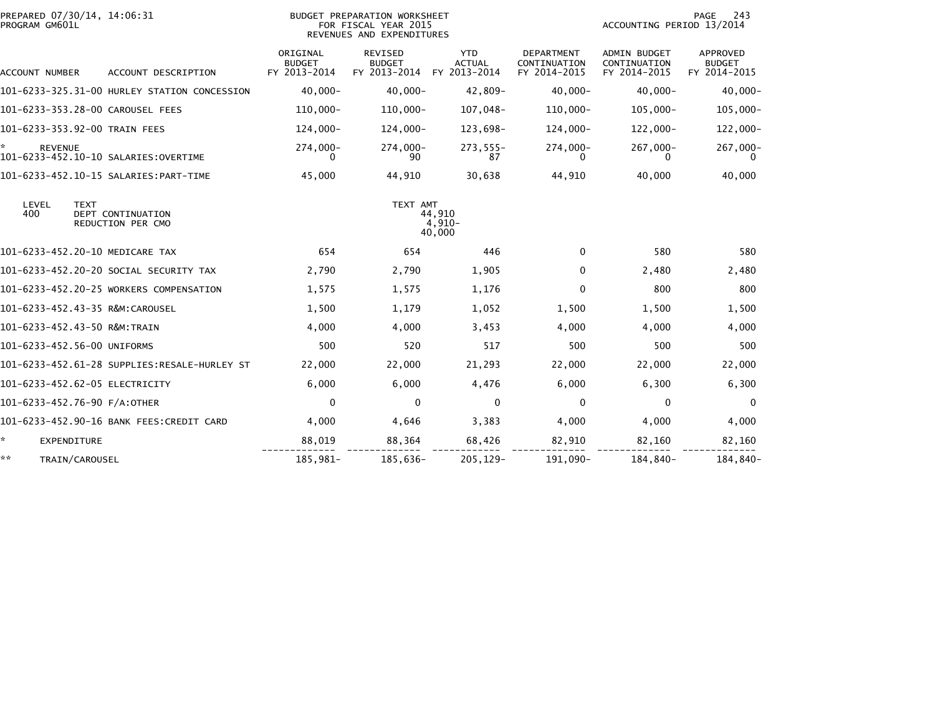| PREPARED 07/30/14, 14:06:31<br>PROGRAM GM601L                  |                                           | BUDGET PREPARATION WORKSHEET<br>FOR FISCAL YEAR 2015<br>REVENUES AND EXPENDITURES |                                             |                                            | ACCOUNTING PERIOD 13/2014                    | PAGE<br>243                                      |
|----------------------------------------------------------------|-------------------------------------------|-----------------------------------------------------------------------------------|---------------------------------------------|--------------------------------------------|----------------------------------------------|--------------------------------------------------|
| ACCOUNT DESCRIPTION<br>ACCOUNT NUMBER                          | ORIGINAL<br><b>BUDGET</b><br>FY 2013-2014 | REVISED<br><b>BUDGET</b><br>FY 2013-2014                                          | <b>YTD</b><br><b>ACTUAL</b><br>FY 2013-2014 | DEPARTMENT<br>CONTINUATION<br>FY 2014-2015 | ADMIN BUDGET<br>CONTINUATION<br>FY 2014-2015 | <b>APPROVED</b><br><b>BUDGET</b><br>FY 2014-2015 |
| 101-6233-325.31-00 HURLEY STATION CONCESSION                   | $40.000 -$                                | $40,000 -$                                                                        | 42,809-                                     | $40,000 -$                                 | $40,000 -$                                   | $40,000 -$                                       |
| 101-6233-353.28-00 CAROUSEL FEES                               | $110,000 -$                               | $110,000 -$                                                                       | 107,048-                                    | 110,000-                                   | $105,000 -$                                  | $105,000 -$                                      |
| 101-6233-353.92-00 TRAIN FEES                                  | 124,000-                                  | $124,000 -$                                                                       | 123,698-                                    | 124,000-                                   | $122,000 -$                                  | $122,000 -$                                      |
| <b>REVENUE</b><br>101-6233-452.10-10 SALARIES:OVERTIME         | 274,000-<br>0                             | $274,000 -$<br>90                                                                 | $273,555 -$<br>87                           | 274,000-<br>0                              | 267,000-<br>0                                | 267,000-                                         |
|                                                                | 45,000                                    | 44,910                                                                            | 30,638                                      | 44,910                                     | 40,000                                       | 40,000                                           |
| LEVEL<br>TEXT<br>400<br>DEPT CONTINUATION<br>REDUCTION PER CMO |                                           | TEXT AMT                                                                          | 44,910<br>4,910-<br>40,000                  |                                            |                                              |                                                  |
| 101-6233-452.20-10 MEDICARE TAX                                | 654                                       | 654                                                                               | 446                                         | 0                                          | 580                                          | 580                                              |
| 101-6233-452.20-20 SOCIAL SECURITY TAX                         | 2,790                                     | 2,790                                                                             | 1,905                                       | 0                                          | 2,480                                        | 2,480                                            |
| 101-6233-452.20-25 WORKERS COMPENSATION                        | 1,575                                     | 1,575                                                                             | 1,176                                       | 0                                          | 800                                          | 800                                              |
| 101-6233-452.43-35 R&M:CAROUSEL                                | 1,500                                     | 1,179                                                                             | 1,052                                       | 1,500                                      | 1,500                                        | 1,500                                            |
| 101-6233-452.43-50 R&M:TRAIN                                   | 4,000                                     | 4,000                                                                             | 3,453                                       | 4,000                                      | 4,000                                        | 4,000                                            |
| 101-6233-452.56-00 UNIFORMS                                    | 500                                       | 520                                                                               | 517                                         | 500                                        | 500                                          | 500                                              |
| 101-6233-452.61-28 SUPPLIES:RESALE-HURLEY ST                   | 22,000                                    | 22,000                                                                            | 21,293                                      | 22,000                                     | 22,000                                       | 22,000                                           |
| 101-6233-452.62-05 ELECTRICITY                                 | 6,000                                     | 6,000                                                                             | 4,476                                       | 6,000                                      | 6,300                                        | 6,300                                            |
| 101-6233-452.76-90 F/A:OTHER                                   | $\mathbf 0$                               | 0                                                                                 | 0                                           | 0                                          | 0                                            | $\mathbf 0$                                      |
| 101-6233-452.90-16 BANK FEES:CREDIT CARD                       | 4,000                                     | 4,646                                                                             | 3,383                                       | 4,000                                      | 4,000                                        | 4,000                                            |
| ÷.<br><b>EXPENDITURE</b>                                       | 88,019                                    | 88,364                                                                            | 68,426                                      | 82,910                                     | 82,160                                       | 82,160                                           |
| **<br>TRAIN/CAROUSEL                                           | 185,981-                                  | 185,636-                                                                          | 205, 129-                                   | 191.090-                                   | 184,840-                                     | 184,840-                                         |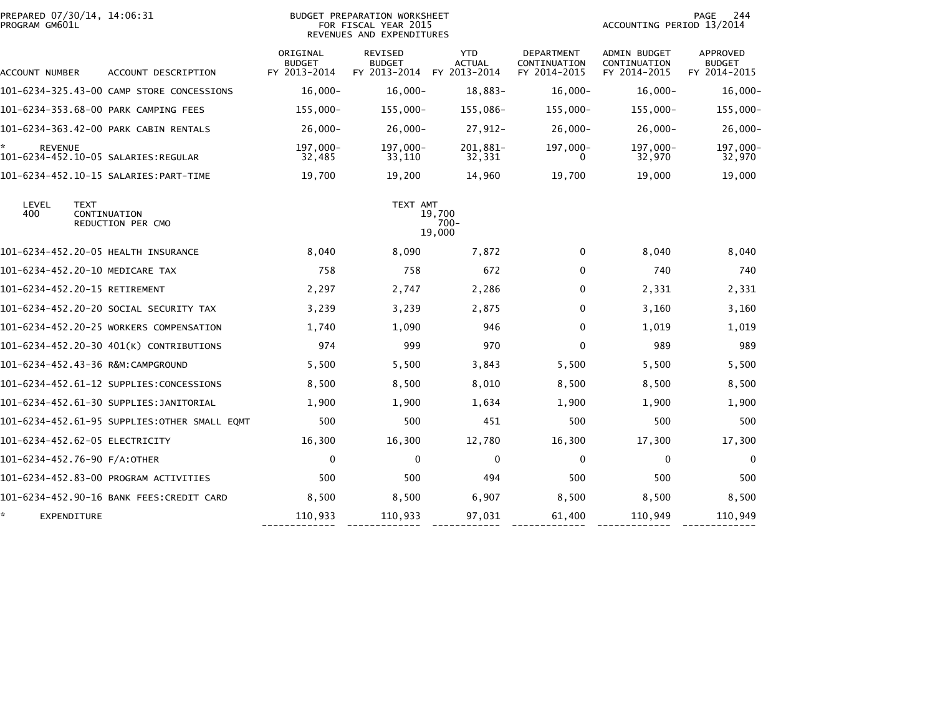| PREPARED 07/30/14, 14:06:31<br>PROGRAM GM601L |                                                  |                                           | <b>BUDGET PREPARATION WORKSHEET</b><br>FOR FISCAL YEAR 2015<br>REVENUES AND EXPENDITURES |                                             |                                                   | ACCOUNTING PERIOD 13/2014                           | 244<br>PAGE                               |
|-----------------------------------------------|--------------------------------------------------|-------------------------------------------|------------------------------------------------------------------------------------------|---------------------------------------------|---------------------------------------------------|-----------------------------------------------------|-------------------------------------------|
| ACCOUNT NUMBER                                | ACCOUNT DESCRIPTION                              | ORIGINAL<br><b>BUDGET</b><br>FY 2013-2014 | REVISED<br><b>BUDGET</b><br>FY 2013-2014                                                 | <b>YTD</b><br><b>ACTUAL</b><br>FY 2013-2014 | <b>DEPARTMENT</b><br>CONTINUATION<br>FY 2014-2015 | <b>ADMIN BUDGET</b><br>CONTINUATION<br>FY 2014-2015 | APPROVED<br><b>BUDGET</b><br>FY 2014-2015 |
|                                               | 101-6234-325.43-00 CAMP STORE CONCESSIONS        | $16,000 -$                                | $16.000 -$                                                                               | 18,883-                                     | $16,000 -$                                        | $16,000 -$                                          | 16,000-                                   |
|                                               | 101-6234-353.68-00 PARK CAMPING FEES             | $155,000 -$                               | $155,000 -$                                                                              | 155,086-                                    | $155,000 -$                                       | 155,000-                                            | $155,000 -$                               |
|                                               | 101-6234-363.42-00 PARK CABIN RENTALS            | $26,000 -$                                | $26.000 -$                                                                               | $27,912-$                                   | $26.000 -$                                        | $26,000 -$                                          | $26,000 -$                                |
| ×.<br><b>REVENUE</b>                          | 101-6234-452.10-05 SALARIES:REGULAR              | 197,000-<br>32,485                        | 197,000-<br>33,110                                                                       | 201,881-<br>32,331                          | 197,000-<br>$\Omega$                              | 197,000-<br>32,970                                  | 197,000-<br>32,970                        |
|                                               |                                                  | 19,700                                    | 19,200                                                                                   | 14,960                                      | 19,700                                            | 19,000                                              | 19,000                                    |
| LEVEL<br>400                                  | <b>TEXT</b><br>CONTINUATION<br>REDUCTION PER CMO |                                           | TEXT AMT                                                                                 | 19,700<br>$700 -$<br>19,000                 |                                                   |                                                     |                                           |
|                                               | 101-6234-452.20-05 HEALTH INSURANCE              | 8,040                                     | 8,090                                                                                    | 7,872                                       | 0                                                 | 8,040                                               | 8,040                                     |
|                                               | 101-6234-452.20-10 MEDICARE TAX                  | 758                                       | 758                                                                                      | 672                                         | $\Omega$                                          | 740                                                 | 740                                       |
| 101-6234-452.20-15 RETIREMENT                 |                                                  | 2,297                                     | 2,747                                                                                    | 2,286                                       | $\Omega$                                          | 2,331                                               | 2,331                                     |
|                                               | 101-6234-452.20-20 SOCIAL SECURITY TAX           | 3,239                                     | 3,239                                                                                    | 2,875                                       | 0                                                 | 3,160                                               | 3,160                                     |
|                                               | 101-6234-452.20-25 WORKERS COMPENSATION          | 1,740                                     | 1,090                                                                                    | 946                                         | $\mathbf{0}$                                      | 1,019                                               | 1,019                                     |
|                                               | 101-6234-452.20-30 401(K) CONTRIBUTIONS          | 974                                       | 999                                                                                      | 970                                         | $\Omega$                                          | 989                                                 | 989                                       |
|                                               | 101-6234-452.43-36 R&M:CAMPGROUND                | 5,500                                     | 5,500                                                                                    | 3,843                                       | 5,500                                             | 5,500                                               | 5,500                                     |
|                                               |                                                  | 8,500                                     | 8,500                                                                                    | 8,010                                       | 8,500                                             | 8,500                                               | 8,500                                     |
|                                               |                                                  | 1,900                                     | 1,900                                                                                    | 1,634                                       | 1,900                                             | 1,900                                               | 1,900                                     |
|                                               | 101-6234-452.61-95 SUPPLIES:OTHER SMALL EQMT     | 500                                       | 500                                                                                      | 451                                         | 500                                               | 500                                                 | 500                                       |
|                                               | 101-6234-452.62-05 ELECTRICITY                   | 16,300                                    | 16,300                                                                                   | 12,780                                      | 16,300                                            | 17,300                                              | 17,300                                    |
| 101-6234-452.76-90 F/A:OTHER                  |                                                  | 0                                         | $\mathbf{0}$                                                                             | $\mathbf{0}$                                | $\mathbf{0}$                                      | 0                                                   | $\Omega$                                  |
|                                               | 101-6234-452.83-00 PROGRAM ACTIVITIES            | 500                                       | 500                                                                                      | 494                                         | 500                                               | 500                                                 | 500                                       |
|                                               | 101-6234-452.90-16 BANK FEES:CREDIT CARD         | 8,500                                     | 8,500                                                                                    | 6,907                                       | 8,500                                             | 8,500                                               | 8,500                                     |
| *<br>EXPENDITURE                              |                                                  | 110,933                                   | 110,933                                                                                  | 97,031                                      | 61,400                                            | 110,949                                             | 110,949                                   |
|                                               |                                                  |                                           |                                                                                          |                                             |                                                   |                                                     |                                           |

------------- ------------- ------------ ------------- ------------- -------------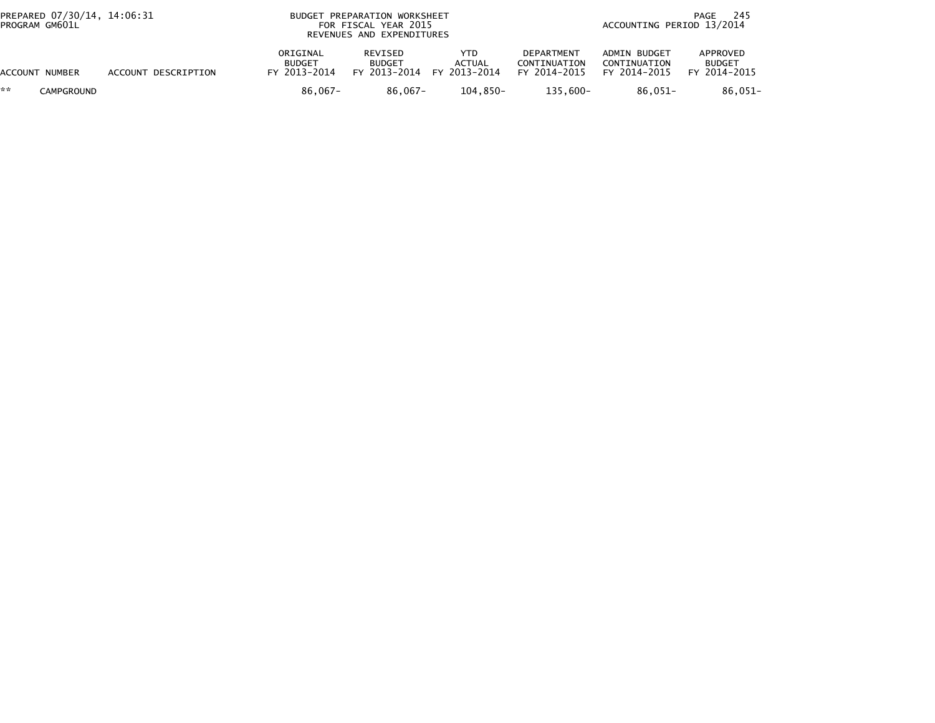| PREPARED 07/30/14, 14:06:31<br>PROGRAM GM601L |                     |                                           | BUDGET PREPARATION WORKSHEET<br>FOR FISCAL YEAR 2015<br>REVENUES AND EXPENDITURES |                                       |                                                   |                                              | 245<br>PAGE<br>ACCOUNTING PERIOD 13/2014  |  |  |  |
|-----------------------------------------------|---------------------|-------------------------------------------|-----------------------------------------------------------------------------------|---------------------------------------|---------------------------------------------------|----------------------------------------------|-------------------------------------------|--|--|--|
| ACCOUNT NUMBER                                | ACCOUNT DESCRIPTION | ORIGINAL<br><b>BUDGET</b><br>FY 2013-2014 | REVISED<br><b>BUDGET</b><br>FY 2013-2014                                          | YTD.<br><b>ACTUAL</b><br>FY 2013-2014 | <b>DEPARTMENT</b><br>CONTINUATION<br>FY 2014-2015 | ADMIN BUDGET<br>CONTINUATION<br>FY 2014-2015 | APPROVED<br><b>BUDGET</b><br>FY 2014-2015 |  |  |  |
| **<br><b>CAMPGROUND</b>                       |                     | 86.067-                                   | $86.067 -$                                                                        | $104.850 -$                           | $135.600 -$                                       | 86.051-                                      | $86.051 -$                                |  |  |  |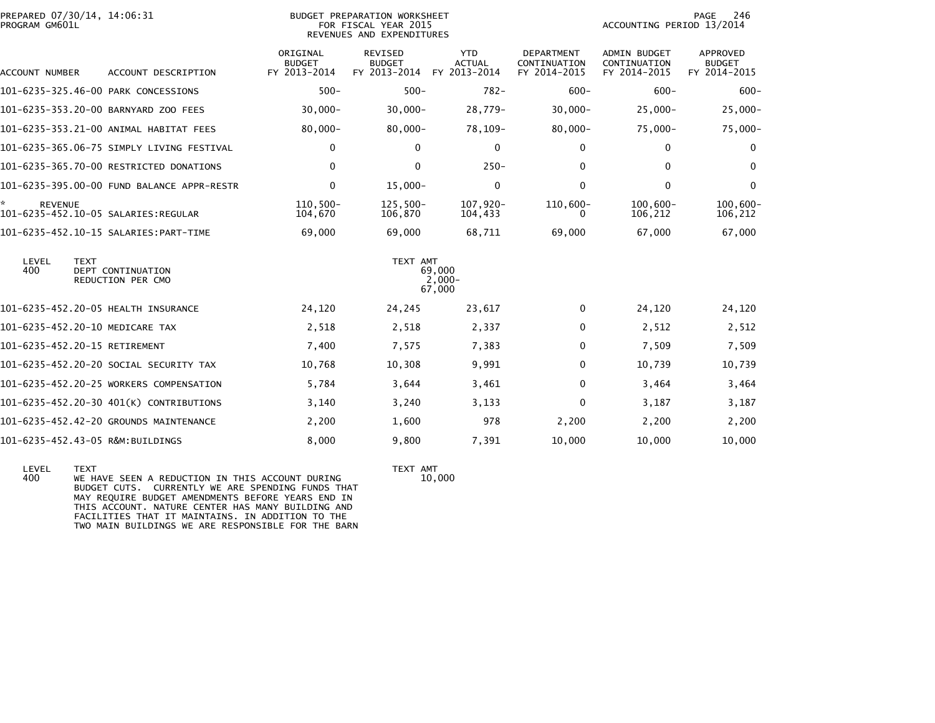| PREPARED 07/30/14, 14:06:31<br>PROGRAM GM601L                         |                                           | <b>BUDGET PREPARATION WORKSHEET</b><br>FOR FISCAL YEAR 2015<br>REVENUES AND EXPENDITURES | PAGE<br>246<br>ACCOUNTING PERIOD 13/2014    |                                            |                                              |                                           |
|-----------------------------------------------------------------------|-------------------------------------------|------------------------------------------------------------------------------------------|---------------------------------------------|--------------------------------------------|----------------------------------------------|-------------------------------------------|
| ACCOUNT DESCRIPTION<br>ACCOUNT NUMBER                                 | ORIGINAL<br><b>BUDGET</b><br>FY 2013-2014 | REVISED<br><b>BUDGET</b><br>FY 2013-2014                                                 | <b>YTD</b><br><b>ACTUAL</b><br>FY 2013-2014 | DEPARTMENT<br>CONTINUATION<br>FY 2014-2015 | ADMIN BUDGET<br>CONTINUATION<br>FY 2014-2015 | APPROVED<br><b>BUDGET</b><br>FY 2014-2015 |
| 101-6235-325.46-00 PARK CONCESSIONS                                   | $500 -$                                   | $500 -$                                                                                  | $782 -$                                     | $600 -$                                    | $600 -$                                      | $600 -$                                   |
| 101-6235-353.20-00 BARNYARD ZOO FEES                                  | $30,000 -$                                | $30,000 -$                                                                               | 28,779-                                     | $30,000 -$                                 | $25,000 -$                                   | $25,000 -$                                |
| 101-6235-353.21-00 ANIMAL HABITAT FEES                                | $80,000 -$                                | $80,000 -$                                                                               | 78,109-                                     | $80,000 -$                                 | $75,000 -$                                   | 75,000-                                   |
| 101–6235–365.06–75 SIMPLY LIVING FESTIVAL                             | $\mathbf 0$                               | $\mathbf{0}$                                                                             | $\mathbf 0$                                 | 0                                          | 0                                            | $\mathbf 0$                               |
| 101-6235-365.70-00 RESTRICTED DONATIONS                               | $\mathbf{0}$                              | $\mathbf{0}$                                                                             | $250 -$                                     | 0                                          | $\mathbf{0}$                                 | $\mathbf{0}$                              |
| 101-6235-395.00-00 FUND BALANCE APPR-RESTR                            | $\mathbf 0$                               | $15,000 -$                                                                               | $\mathbf 0$                                 | 0                                          | $\mathbf 0$                                  | $\mathbf 0$                               |
| ×.<br><b>REVENUE</b>                                                  | $110.500 -$<br>104,670                    | $125,500-$<br>106,870                                                                    | 107,920-<br>104,433                         | $110,600 -$<br>0                           | $100,600 -$<br>106,212                       | $100,600 -$<br>106,212                    |
|                                                                       | 69,000                                    | 69,000                                                                                   | 68,711                                      | 69,000                                     | 67,000                                       | 67,000                                    |
| LEVEL<br><b>TEXT</b><br>400<br>DEPT CONTINUATION<br>REDUCTION PER CMO |                                           | TEXT AMT                                                                                 | 69,000<br>$2,000-$<br>67,000                |                                            |                                              |                                           |
| 101-6235-452.20-05 HEALTH INSURANCE                                   | 24,120                                    | 24,245                                                                                   | 23,617                                      | 0                                          | 24,120                                       | 24,120                                    |
| 101-6235-452.20-10 MEDICARE TAX                                       | 2,518                                     | 2,518                                                                                    | 2,337                                       | 0                                          | 2,512                                        | 2,512                                     |
| 101-6235-452.20-15 RETIREMENT                                         | 7,400                                     | 7,575                                                                                    | 7,383                                       | 0                                          | 7,509                                        | 7,509                                     |
| 101-6235-452.20-20 SOCIAL SECURITY TAX                                | 10,768                                    | 10,308                                                                                   | 9,991                                       | 0                                          | 10.739                                       | 10,739                                    |
| 101-6235-452.20-25 WORKERS COMPENSATION                               | 5,784                                     | 3,644                                                                                    | 3,461                                       | 0                                          | 3,464                                        | 3,464                                     |
| 101-6235-452.20-30 401(K) CONTRIBUTIONS                               | 3,140                                     | 3,240                                                                                    | 3,133                                       | 0                                          | 3,187                                        | 3,187                                     |
| 101-6235-452.42-20 GROUNDS MAINTENANCE                                | 2,200                                     | 1,600                                                                                    | 978                                         | 2,200                                      | 2,200                                        | 2,200                                     |
| 101-6235-452.43-05 R&M:BUILDINGS                                      | 8.000                                     | 9.800                                                                                    | 7,391                                       | 10.000                                     | 10.000                                       | 10.000                                    |

LEVEL TEXT AMT<br>400 WE HAVE SEEN A REDUCTION IN THIS ACCOUNT DURING TEXT AMT<br>BUDGET CUTS. CURRENTLY WE ARE SPENDING FUNDS THAT<br>MAY REQUIRE BUDGET AMENDMENTS BEFORE YEARS END IN<br>THIS ACCOUNT. NATURE CENTER HAS MANY BUILDING

TEXT AMT<br>10,000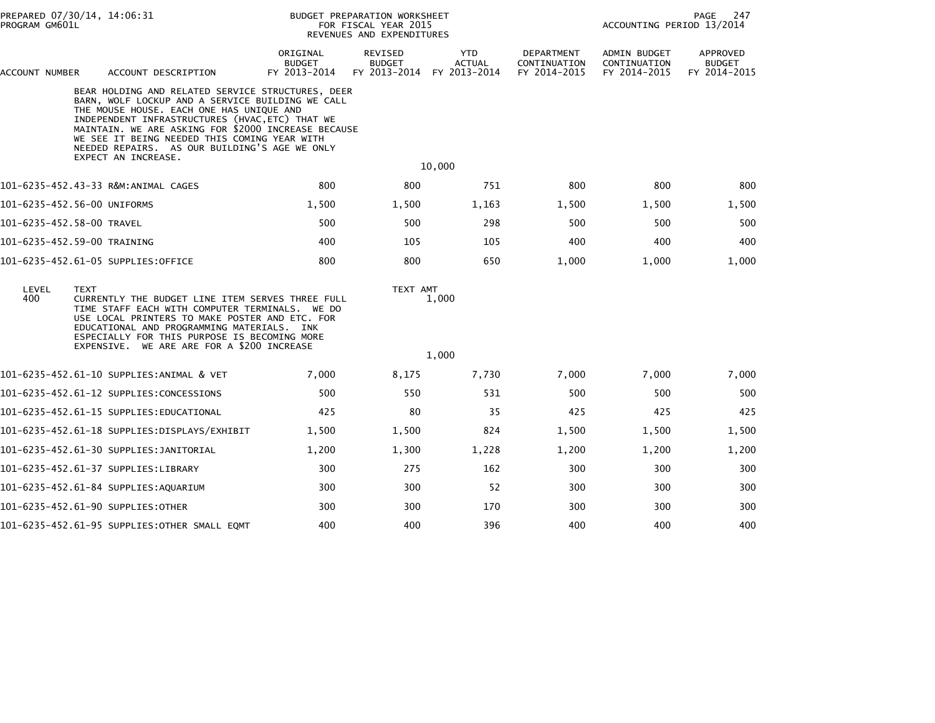| PROGRAM GM601L            | PREPARED 07/30/14, 14:06:31                                                                                                                                                                                                                                                                                                                                                         | <b>BUDGET PREPARATION WORKSHEET</b><br>FOR FISCAL YEAR 2015<br>REVENUES AND EXPENDITURES |                                          |                                             |                                            | PAGE<br>247<br>ACCOUNTING PERIOD 13/2014     |                                           |  |
|---------------------------|-------------------------------------------------------------------------------------------------------------------------------------------------------------------------------------------------------------------------------------------------------------------------------------------------------------------------------------------------------------------------------------|------------------------------------------------------------------------------------------|------------------------------------------|---------------------------------------------|--------------------------------------------|----------------------------------------------|-------------------------------------------|--|
| ACCOUNT NUMBER            | ACCOUNT DESCRIPTION                                                                                                                                                                                                                                                                                                                                                                 | ORIGINAL<br><b>BUDGET</b><br>FY 2013-2014                                                | REVISED<br><b>BUDGET</b><br>FY 2013-2014 | <b>YTD</b><br><b>ACTUAL</b><br>FY 2013-2014 | DEPARTMENT<br>CONTINUATION<br>FY 2014-2015 | ADMIN BUDGET<br>CONTINUATION<br>FY 2014-2015 | APPROVED<br><b>BUDGET</b><br>FY 2014-2015 |  |
|                           | BEAR HOLDING AND RELATED SERVICE STRUCTURES, DEER<br>BARN, WOLF LOCKUP AND A SERVICE BUILDING WE CALL<br>THE MOUSE HOUSE. EACH ONE HAS UNIQUE AND<br>INDEPENDENT INFRASTRUCTURES (HVAC, ETC) THAT WE<br>MAINTAIN. WE ARE ASKING FOR \$2000 INCREASE BECAUSE<br>WE SEE IT BEING NEEDED THIS COMING YEAR WITH<br>NEEDED REPAIRS. AS OUR BUILDING'S AGE WE ONLY<br>EXPECT AN INCREASE. |                                                                                          |                                          |                                             |                                            |                                              |                                           |  |
|                           |                                                                                                                                                                                                                                                                                                                                                                                     |                                                                                          |                                          | 10,000                                      |                                            |                                              |                                           |  |
|                           | 101-6235-452.43-33 R&M:ANIMAL CAGES                                                                                                                                                                                                                                                                                                                                                 | 800                                                                                      | 800                                      | 751                                         | 800                                        | 800                                          | 800                                       |  |
|                           | 101-6235-452.56-00 UNIFORMS                                                                                                                                                                                                                                                                                                                                                         | 1,500                                                                                    | 1,500                                    | 1,163                                       | 1,500                                      | 1,500                                        | 1,500                                     |  |
| 101-6235-452.58-00 TRAVEL |                                                                                                                                                                                                                                                                                                                                                                                     | 500                                                                                      | 500                                      | 298                                         | 500                                        | 500                                          | 500                                       |  |
|                           | 101-6235-452.59-00 TRAINING                                                                                                                                                                                                                                                                                                                                                         | 400                                                                                      | 105                                      | 105                                         | 400                                        | 400                                          | 400                                       |  |
|                           | 101-6235-452.61-05 SUPPLIES:OFFICE                                                                                                                                                                                                                                                                                                                                                  | 800                                                                                      | 800                                      | 650                                         | 1,000                                      | 1,000                                        | 1,000                                     |  |
| LEVEL<br>400              | <b>TEXT</b><br>CURRENTLY THE BUDGET LINE ITEM SERVES THREE FULL<br>TIME STAFF EACH WITH COMPUTER TERMINALS. WE DO<br>USE LOCAL PRINTERS TO MAKE POSTER AND ETC. FOR<br>EDUCATIONAL AND PROGRAMMING MATERIALS. INK<br>ESPECIALLY FOR THIS PURPOSE IS BECOMING MORE<br>EXPENSIVE. WE ARE ARE FOR A \$200 INCREASE                                                                     |                                                                                          | TEXT AMT                                 | 1,000                                       |                                            |                                              |                                           |  |
|                           |                                                                                                                                                                                                                                                                                                                                                                                     |                                                                                          |                                          | 1,000                                       |                                            |                                              |                                           |  |
|                           | 101-6235-452.61-10 SUPPLIES:ANIMAL & VET                                                                                                                                                                                                                                                                                                                                            | 7,000                                                                                    | 8,175                                    | 7,730                                       | 7,000                                      | 7,000                                        | 7,000                                     |  |
|                           | 101-6235-452.61-12 SUPPLIES:CONCESSIONS                                                                                                                                                                                                                                                                                                                                             | 500                                                                                      | 550                                      | 531                                         | 500                                        | 500                                          | 500                                       |  |
|                           | 101-6235-452.61-15 SUPPLIES:EDUCATIONAL                                                                                                                                                                                                                                                                                                                                             | 425                                                                                      | 80                                       | 35                                          | 425                                        | 425                                          | 425                                       |  |
|                           |                                                                                                                                                                                                                                                                                                                                                                                     | 1,500                                                                                    | 1,500                                    | 824                                         | 1,500                                      | 1,500                                        | 1,500                                     |  |
|                           | 101-6235-452.61-30 SUPPLIES:JANITORIAL                                                                                                                                                                                                                                                                                                                                              | 1,200                                                                                    | 1,300                                    | 1,228                                       | 1,200                                      | 1,200                                        | 1,200                                     |  |
|                           | 101-6235-452.61-37 SUPPLIES:LIBRARY                                                                                                                                                                                                                                                                                                                                                 | 300                                                                                      | 275                                      | 162                                         | 300                                        | 300                                          | 300                                       |  |
|                           | 101-6235-452.61-84 SUPPLIES:AQUARIUM                                                                                                                                                                                                                                                                                                                                                | 300                                                                                      | 300                                      | 52                                          | 300                                        | 300                                          | 300                                       |  |
|                           | 101-6235-452.61-90 SUPPLIES:OTHER                                                                                                                                                                                                                                                                                                                                                   | 300                                                                                      | 300                                      | 170                                         | 300                                        | 300                                          | 300                                       |  |
|                           | 101-6235-452.61-95 SUPPLIES:OTHER SMALL EQMT                                                                                                                                                                                                                                                                                                                                        | 400                                                                                      | 400                                      | 396                                         | 400                                        | 400                                          | 400                                       |  |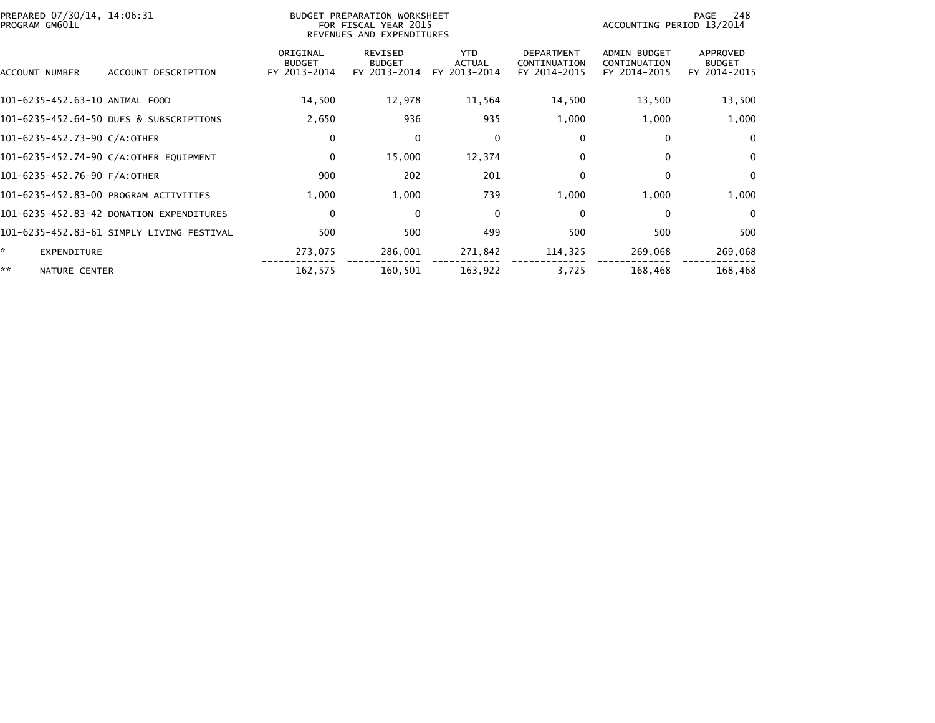| PREPARED 07/30/14, 14:06:31<br>PROGRAM GM601L |                                           |                                           | BUDGET PREPARATION WORKSHEET<br>FOR FISCAL YEAR 2015<br>REVENUES AND EXPENDITURES | 248<br>PAGE<br>ACCOUNTING PERIOD 13/2014    |                                                   |                                              |                                           |
|-----------------------------------------------|-------------------------------------------|-------------------------------------------|-----------------------------------------------------------------------------------|---------------------------------------------|---------------------------------------------------|----------------------------------------------|-------------------------------------------|
| ACCOUNT NUMBER                                | ACCOUNT DESCRIPTION                       | ORIGINAL<br><b>BUDGET</b><br>FY 2013-2014 | <b>REVISED</b><br><b>BUDGET</b><br>FY 2013-2014                                   | <b>YTD</b><br><b>ACTUAL</b><br>FY 2013-2014 | <b>DEPARTMENT</b><br>CONTINUATION<br>FY 2014-2015 | ADMIN BUDGET<br>CONTINUATION<br>FY 2014-2015 | APPROVED<br><b>BUDGET</b><br>FY 2014-2015 |
| 101-6235-452.63-10 ANIMAL FOOD                |                                           | 14,500                                    | 12,978                                                                            | 11,564                                      | 14,500                                            | 13,500                                       | 13,500                                    |
|                                               | 101-6235-452.64-50 DUES & SUBSCRIPTIONS   | 2,650                                     | 936                                                                               | 935                                         | 1,000                                             | 1,000                                        | 1,000                                     |
| 101-6235-452.73-90 C/A:OTHER                  |                                           | 0                                         | $\Omega$                                                                          | $\mathbf 0$                                 | 0                                                 | $\mathbf{0}$                                 | $\Omega$                                  |
|                                               | 101-6235-452.74-90 C/A:OTHER EQUIPMENT    | $\mathbf 0$                               | 15,000                                                                            | 12,374                                      | 0                                                 | $\mathbf{0}$                                 | $\mathbf 0$                               |
| 101-6235-452.76-90 F/A:OTHER                  |                                           | 900                                       | 202                                                                               | 201                                         | $\Omega$                                          | $\mathbf{0}$                                 | $\Omega$                                  |
|                                               | 101-6235-452.83-00 PROGRAM ACTIVITIES     | 1,000                                     | 1,000                                                                             | 739                                         | 1,000                                             | 1,000                                        | 1,000                                     |
|                                               | 101-6235-452.83-42 DONATION EXPENDITURES  | 0                                         | $\Omega$                                                                          | $\mathbf 0$                                 | $\Omega$                                          | $\Omega$                                     | $\overline{0}$                            |
|                                               | 101-6235-452.83-61 SIMPLY LIVING FESTIVAL | 500                                       | 500                                                                               | 499                                         | 500                                               | 500                                          | 500                                       |
| <b>EXPENDITURE</b>                            |                                           | 273,075                                   | 286,001                                                                           | 271,842                                     | 114,325                                           | 269,068                                      | 269,068                                   |
| **<br>NATURE CENTER                           |                                           | 162,575                                   | 160,501                                                                           | 163,922                                     | 3,725                                             | 168,468                                      | 168,468                                   |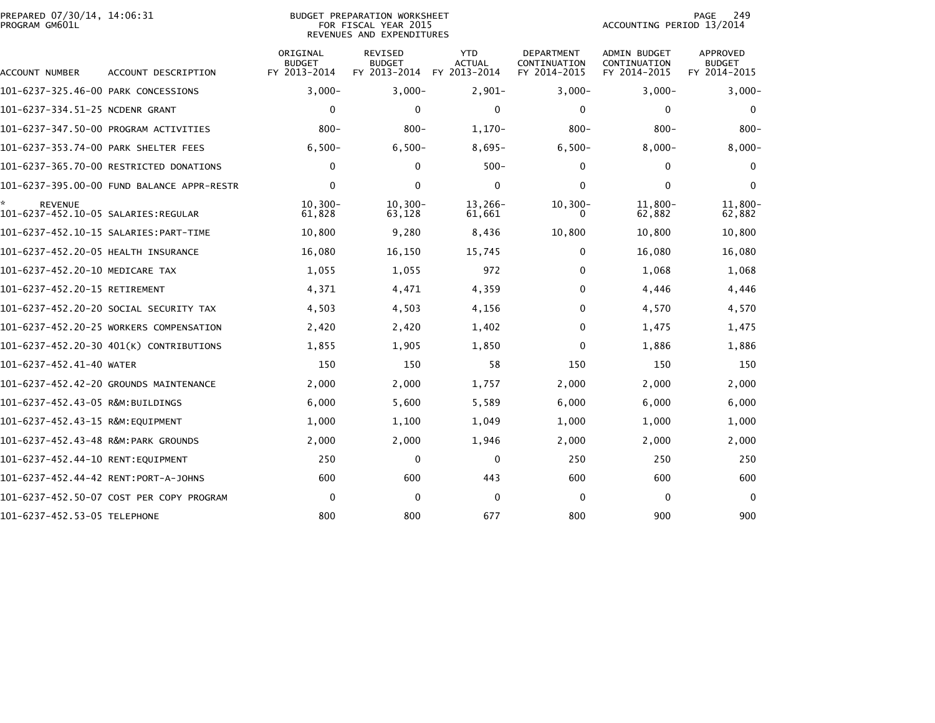| PREPARED 07/30/14, 14:06:31<br>PROGRAM GM601L |                                            |                                           | <b>BUDGET PREPARATION WORKSHEET</b><br>FOR FISCAL YEAR 2015<br>REVENUES AND EXPENDITURES | 249<br>PAGE<br>ACCOUNTING PERIOD 13/2014    |                                                   |                                                     |                                                  |
|-----------------------------------------------|--------------------------------------------|-------------------------------------------|------------------------------------------------------------------------------------------|---------------------------------------------|---------------------------------------------------|-----------------------------------------------------|--------------------------------------------------|
| ACCOUNT NUMBER                                | ACCOUNT DESCRIPTION                        | ORIGINAL<br><b>BUDGET</b><br>FY 2013-2014 | <b>REVISED</b><br><b>BUDGET</b><br>FY 2013-2014                                          | <b>YTD</b><br><b>ACTUAL</b><br>FY 2013-2014 | <b>DEPARTMENT</b><br>CONTINUATION<br>FY 2014-2015 | <b>ADMIN BUDGET</b><br>CONTINUATION<br>FY 2014-2015 | <b>APPROVED</b><br><b>BUDGET</b><br>FY 2014-2015 |
| 101-6237-325.46-00 PARK CONCESSIONS           |                                            | $3,000-$                                  | $3,000 -$                                                                                | $2,901-$                                    | $3,000 -$                                         | $3,000 -$                                           | $3,000 -$                                        |
| 101-6237-334.51-25 NCDENR GRANT               |                                            | $\mathbf 0$                               | $\mathbf{0}$                                                                             | $\mathbf{0}$                                | $\Omega$                                          | $\mathbf{0}$                                        | $\Omega$                                         |
|                                               | 101-6237-347.50-00 PROGRAM ACTIVITIES      | $800 -$                                   | $800 -$                                                                                  | $1,170-$                                    | $800 -$                                           | $800 -$                                             | $800 -$                                          |
| 101-6237-353.74-00 PARK SHELTER FEES          |                                            | $6,500-$                                  | $6,500-$                                                                                 | $8,695-$                                    | $6,500-$                                          | $8,000 -$                                           | $8,000 -$                                        |
|                                               | 101-6237-365.70-00 RESTRICTED DONATIONS    | 0                                         | $\mathbf{0}$                                                                             | $500 -$                                     | $\Omega$                                          | 0                                                   | $\bf{0}$                                         |
|                                               | 101-6237-395.00-00 FUND BALANCE APPR-RESTR | $\mathbf 0$                               | $\mathbf{0}$                                                                             | $\mathbf{0}$                                | $\Omega$                                          | $\mathbf{0}$                                        | $\Omega$                                         |
| *<br><b>REVENUE</b>                           |                                            | $10, 300 -$<br>61,828                     | $10, 300 -$<br>63,128                                                                    | 13,266-<br>61,661                           | $10, 300 -$<br>0                                  | $11,800 -$<br>62,882                                | 11,800-<br>62,882                                |
|                                               |                                            | 10,800                                    | 9,280                                                                                    | 8,436                                       | 10,800                                            | 10,800                                              | 10,800                                           |
| 101-6237-452.20-05 HEALTH INSURANCE           |                                            | 16,080                                    | 16,150                                                                                   | 15,745                                      | $\Omega$                                          | 16,080                                              | 16,080                                           |
| 101-6237-452.20-10 MEDICARE TAX               |                                            | 1,055                                     | 1,055                                                                                    | 972                                         | 0                                                 | 1,068                                               | 1,068                                            |
| 101-6237-452.20-15 RETIREMENT                 |                                            | 4,371                                     | 4,471                                                                                    | 4,359                                       | 0                                                 | 4,446                                               | 4,446                                            |
|                                               | 101-6237-452.20-20 SOCIAL SECURITY TAX     | 4,503                                     | 4,503                                                                                    | 4,156                                       | $\Omega$                                          | 4,570                                               | 4,570                                            |
|                                               | 101-6237-452.20-25 WORKERS COMPENSATION    | 2,420                                     | 2,420                                                                                    | 1,402                                       | 0                                                 | 1,475                                               | 1,475                                            |
|                                               | 101-6237-452.20-30 401(K) CONTRIBUTIONS    | 1,855                                     | 1,905                                                                                    | 1,850                                       | $\Omega$                                          | 1,886                                               | 1,886                                            |
| 101-6237-452.41-40 WATER                      |                                            | 150                                       | 150                                                                                      | 58                                          | 150                                               | 150                                                 | 150                                              |
|                                               | 101-6237-452.42-20 GROUNDS MAINTENANCE     | 2,000                                     | 2,000                                                                                    | 1,757                                       | 2,000                                             | 2,000                                               | 2,000                                            |
| 101-6237-452.43-05 R&M:BUILDINGS              |                                            | 6,000                                     | 5,600                                                                                    | 5,589                                       | 6,000                                             | 6,000                                               | 6,000                                            |
| 101-6237-452.43-15 R&M:EOUIPMENT              |                                            | 1,000                                     | 1,100                                                                                    | 1,049                                       | 1,000                                             | 1,000                                               | 1,000                                            |
| 101-6237-452.43-48 R&M:PARK GROUNDS           |                                            | 2,000                                     | 2,000                                                                                    | 1,946                                       | 2,000                                             | 2,000                                               | 2,000                                            |
| 101-6237-452.44-10 RENT:EQUIPMENT             |                                            | 250                                       | 0                                                                                        | 0                                           | 250                                               | 250                                                 | 250                                              |
| 101-6237-452.44-42 RENT:PORT-A-JOHNS          |                                            | 600                                       | 600                                                                                      | 443                                         | 600                                               | 600                                                 | 600                                              |
|                                               | 101-6237-452.50-07 COST PER COPY PROGRAM   | 0                                         | $\mathbf{0}$                                                                             | $\Omega$                                    | 0                                                 | $\mathbf{0}$                                        | $\Omega$                                         |
| 101-6237-452.53-05 TELEPHONE                  |                                            | 800                                       | 800                                                                                      | 677                                         | 800                                               | 900                                                 | 900                                              |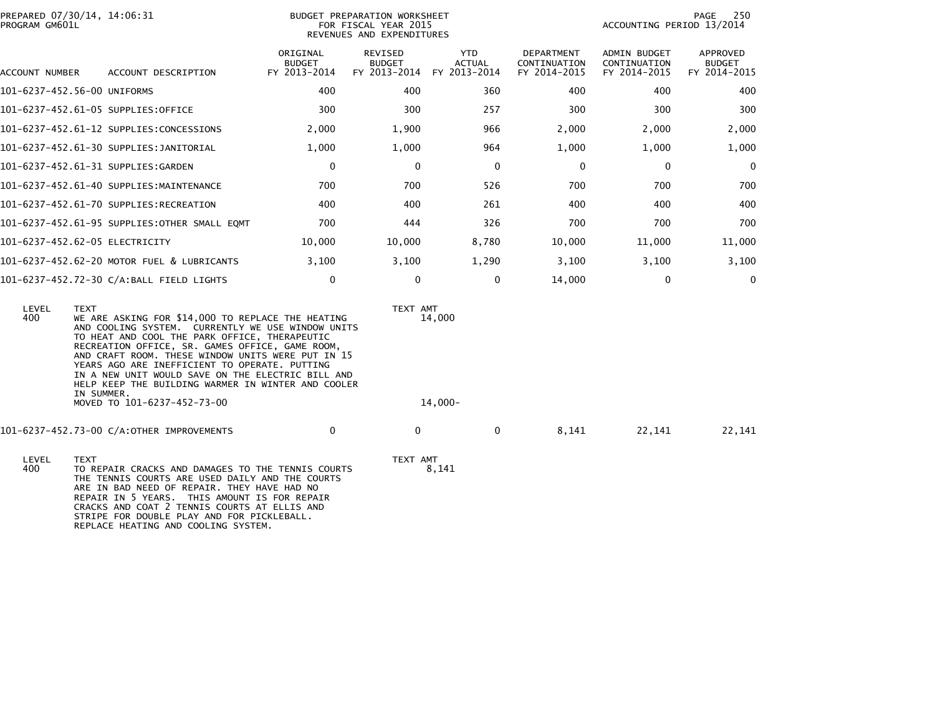| PREPARED 07/30/14, 14:06:31<br>PROGRAM GM601L |                                              | <b>BUDGET PREPARATION WORKSHEET</b><br>FOR FISCAL YEAR 2015<br>REVENUES AND EXPENDITURES |                                                 | 250<br>PAGE<br>ACCOUNTING PERIOD 13/2014    |                                                   |                                                     |                                           |
|-----------------------------------------------|----------------------------------------------|------------------------------------------------------------------------------------------|-------------------------------------------------|---------------------------------------------|---------------------------------------------------|-----------------------------------------------------|-------------------------------------------|
| ACCOUNT NUMBER                                | ACCOUNT DESCRIPTION                          | ORIGINAL<br><b>BUDGET</b><br>FY 2013-2014                                                | <b>REVISED</b><br><b>BUDGET</b><br>FY 2013-2014 | <b>YTD</b><br><b>ACTUAL</b><br>FY 2013-2014 | <b>DEPARTMENT</b><br>CONTINUATION<br>FY 2014-2015 | <b>ADMIN BUDGET</b><br>CONTINUATION<br>FY 2014-2015 | APPROVED<br><b>BUDGET</b><br>FY 2014-2015 |
| 101-6237-452.56-00 UNIFORMS                   |                                              | 400                                                                                      | 400                                             | 360                                         | 400                                               | 400                                                 | 400                                       |
| 101-6237-452.61-05 SUPPLIES:OFFICE            |                                              | 300                                                                                      | 300                                             | 257                                         | 300                                               | 300                                                 | 300                                       |
|                                               | 101-6237-452.61-12 SUPPLIES:CONCESSIONS      | 2,000                                                                                    | 1,900                                           | 966                                         | 2,000                                             | 2,000                                               | 2,000                                     |
|                                               | 101-6237-452.61-30 SUPPLIES:JANITORIAL       | 1,000                                                                                    | 1,000                                           | 964                                         | 1,000                                             | 1,000                                               | 1,000                                     |
| 101-6237-452.61-31 SUPPLIES:GARDEN            |                                              | 0                                                                                        | 0                                               | 0                                           | 0                                                 | 0                                                   | $\overline{0}$                            |
|                                               | 101-6237-452.61-40 SUPPLIES:MAINTENANCE      | 700                                                                                      | 700                                             | 526                                         | 700                                               | 700                                                 | 700                                       |
|                                               | 101-6237-452.61-70 SUPPLIES:RECREATION       | 400                                                                                      | 400                                             | 261                                         | 400                                               | 400                                                 | 400                                       |
|                                               | 101-6237-452.61-95 SUPPLIES:OTHER SMALL EQMT | 700                                                                                      | 444                                             | 326                                         | 700                                               | 700                                                 | 700                                       |
| 101-6237-452.62-05 ELECTRICITY                |                                              | 10,000                                                                                   | 10,000                                          | 8,780                                       | 10,000                                            | 11,000                                              | 11,000                                    |
|                                               | 101-6237-452.62-20 MOTOR FUEL & LUBRICANTS   | 3,100                                                                                    | 3,100                                           | 1,290                                       | 3,100                                             | 3,100                                               | 3,100                                     |
|                                               | 101-6237-452.72-30 C/A:BALL FIELD LIGHTS     | 0                                                                                        | $\mathbf{0}$                                    | $\mathbf{0}$                                | 14,000                                            | 0                                                   | $\Omega$                                  |
|                                               |                                              |                                                                                          |                                                 |                                             |                                                   |                                                     |                                           |

| LEVEL<br>400 | <b>TEXT</b><br>WE ARE ASKING FOR \$14,000 TO REPLACE THE HEATING<br>AND COOLING SYSTEM. CURRENTLY WE USE WINDOW UNITS<br>TO HEAT AND COOL THE PARK OFFICE, THERAPEUTIC<br>RECREATION OFFICE, SR. GAMES OFFICE, GAME ROOM,<br>AND CRAFT ROOM. THESE WINDOW UNITS WERE PUT IN 15<br>YEARS AGO ARE INEFFICIENT TO OPERATE. PUTTING<br>IN A NEW UNIT WOULD SAVE ON THE ELECTRIC BILL AND<br>HELP KEEP THE BUILDING WARMER IN WINTER AND COOLER<br>IN SUMMER. |          | TEXT AMT | 14.000     |   |       |        |        |
|--------------|----------------------------------------------------------------------------------------------------------------------------------------------------------------------------------------------------------------------------------------------------------------------------------------------------------------------------------------------------------------------------------------------------------------------------------------------------------|----------|----------|------------|---|-------|--------|--------|
|              | MOVED TO 101-6237-452-73-00                                                                                                                                                                                                                                                                                                                                                                                                                              |          |          | $14.000 -$ |   |       |        |        |
|              | 101-6237-452.73-00 C/A:OTHER IMPROVEMENTS                                                                                                                                                                                                                                                                                                                                                                                                                | $\Omega$ | 0        |            | 0 | 8.141 | 22,141 | 22.141 |
| LEVEL<br>400 | <b>TEXT</b><br>TO REPAIR CRACKS AND DAMAGES TO THE TENNIS COURTS                                                                                                                                                                                                                                                                                                                                                                                         |          | TEXT AMT | 8,141      |   |       |        |        |

 400 TO REPAIR CRACKS AND DAMAGES TO THE TENNIS COURTS 8,141 THE TENNIS COURTS ARE USED DAILY AND THE COURTS ARE IN BAD NEED OF REPAIR. THEY HAVE HAD NO REPAIR IN 5 YEARS. THIS AMOUNT IS FOR REPAIR CRACKS AND COAT 2 TENNIS COURTS AT ELLIS ANDSTRIPE FOR DOUBLE PLAY AND FOR PICKLEBALL. REPLACE HEATING AND COOLING SYSTEM.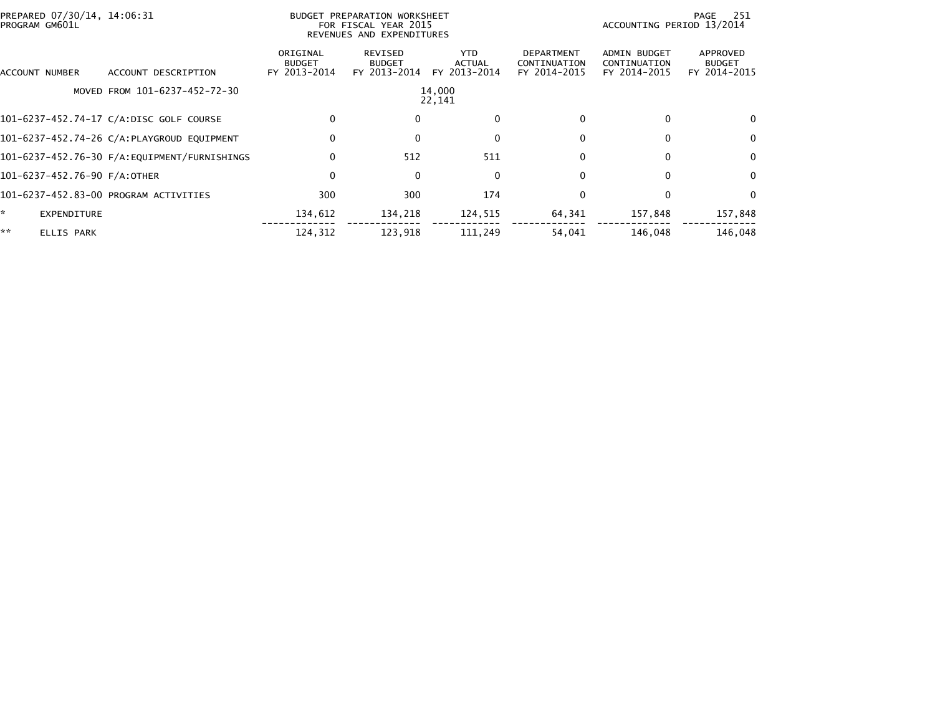| PREPARED 07/30/14, 14:06:31<br>PROGRAM GM601L |                                               |                                           | BUDGET PREPARATION WORKSHEET<br>FOR FISCAL YEAR 2015<br>REVENUES AND EXPENDITURES | -251<br>PAGE<br>ACCOUNTING PERIOD 13/2014 |                                                   |                                                     |                                           |
|-----------------------------------------------|-----------------------------------------------|-------------------------------------------|-----------------------------------------------------------------------------------|-------------------------------------------|---------------------------------------------------|-----------------------------------------------------|-------------------------------------------|
| ACCOUNT NUMBER                                | ACCOUNT DESCRIPTION                           | ORIGINAL<br><b>BUDGET</b><br>FY 2013-2014 | REVISED<br><b>BUDGET</b><br>FY 2013-2014                                          | YTD.<br><b>ACTUAL</b><br>FY 2013-2014     | <b>DEPARTMENT</b><br>CONTINUATION<br>FY 2014-2015 | <b>ADMIN BUDGET</b><br>CONTINUATION<br>FY 2014-2015 | APPROVED<br><b>BUDGET</b><br>FY 2014-2015 |
|                                               | MOVED FROM 101-6237-452-72-30                 |                                           |                                                                                   | 14,000<br>22,141                          |                                                   |                                                     |                                           |
|                                               | 101-6237-452.74-17 C/A:DISC GOLF COURSE       | $\Omega$                                  |                                                                                   | $\mathbf{0}$                              |                                                   | 0                                                   | 0                                         |
|                                               | 101-6237-452.74-26 C/A:PLAYGROUD EQUIPMENT    | $\mathbf 0$                               |                                                                                   | 0                                         | 0                                                 | 0                                                   | 0                                         |
|                                               | 101-6237-452.76-30 F/A: EQUIPMENT/FURNISHINGS | $\Omega$                                  | 512                                                                               | 511                                       | $\Omega$                                          | 0                                                   | 0                                         |
| 101-6237-452.76-90 F/A:OTHER                  |                                               | $\mathbf 0$                               | $\mathbf{0}$                                                                      | $\mathbf 0$                               | $\Omega$                                          | $\Omega$                                            | $\Omega$                                  |
|                                               | 101-6237-452.83-00 PROGRAM ACTIVITIES         | 300                                       | 300                                                                               | 174                                       | $\Omega$                                          | 0                                                   | $\Omega$                                  |
| $\mathbf{A}$<br><b>EXPENDITURE</b>            |                                               | 134,612                                   | 134,218                                                                           | 124,515                                   | 64,341                                            | 157,848                                             | 157,848                                   |
| **<br><b>ELLIS PARK</b>                       |                                               | 124,312                                   | 123,918                                                                           | 111,249                                   | 54,041                                            | 146.048                                             | 146,048                                   |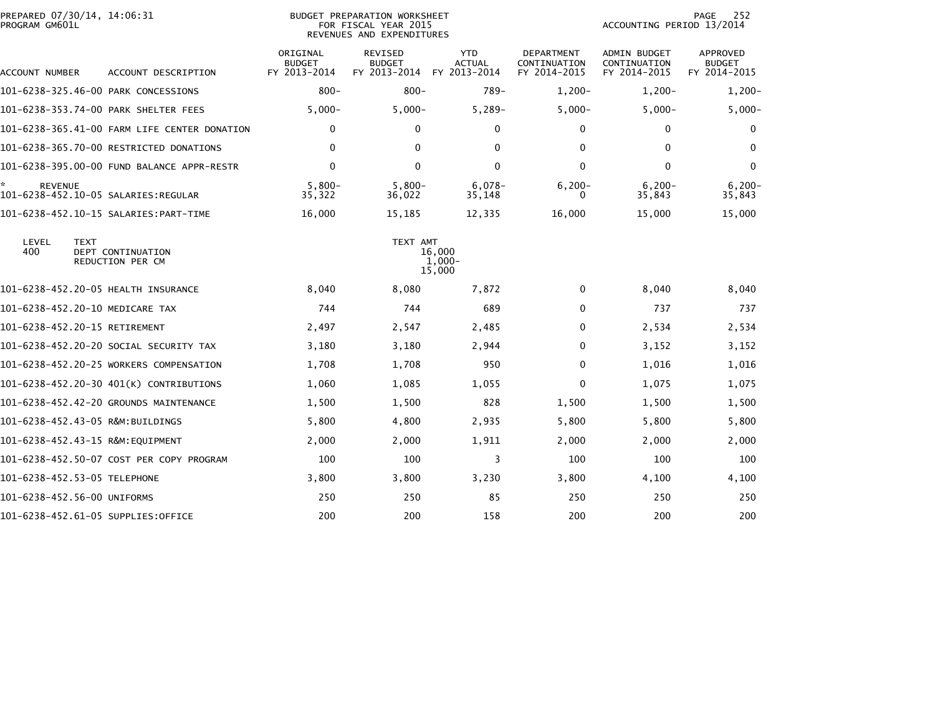| PREPARED 07/30/14, 14:06:31<br>PROGRAM GM601L |                                              | <b>BUDGET PREPARATION WORKSHEET</b><br>FOR FISCAL YEAR 2015<br>REVENUES AND EXPENDITURES |                                                 |                                             |                                                   | 252<br>PAGE<br>ACCOUNTING PERIOD 13/2014            |                                           |
|-----------------------------------------------|----------------------------------------------|------------------------------------------------------------------------------------------|-------------------------------------------------|---------------------------------------------|---------------------------------------------------|-----------------------------------------------------|-------------------------------------------|
| ACCOUNT NUMBER                                | ACCOUNT DESCRIPTION                          | ORIGINAL<br><b>BUDGET</b><br>FY 2013-2014                                                | <b>REVISED</b><br><b>BUDGET</b><br>FY 2013-2014 | <b>YTD</b><br><b>ACTUAL</b><br>FY 2013-2014 | <b>DEPARTMENT</b><br>CONTINUATION<br>FY 2014-2015 | <b>ADMIN BUDGET</b><br>CONTINUATION<br>FY 2014-2015 | APPROVED<br><b>BUDGET</b><br>FY 2014-2015 |
| 101-6238-325.46-00 PARK CONCESSIONS           |                                              | $800 -$                                                                                  | $800 -$                                         | $789-$                                      | $1,200-$                                          | $1,200-$                                            | $1,200-$                                  |
| 101-6238-353.74-00 PARK SHELTER FEES          |                                              | $5,000-$                                                                                 | $5,000 -$                                       | $5,289-$                                    | $5,000-$                                          | $5,000-$                                            | $5,000 -$                                 |
|                                               | 101-6238-365.41-00 FARM LIFE CENTER DONATION | $\mathbf 0$                                                                              | $\Omega$                                        | $\Omega$                                    | 0                                                 | $\Omega$                                            | $\bf{0}$                                  |
|                                               | 101-6238-365.70-00 RESTRICTED DONATIONS      | 0                                                                                        | $\Omega$                                        | $\Omega$                                    | 0                                                 | 0                                                   | $\Omega$                                  |
|                                               | 101-6238-395.00-00 FUND BALANCE APPR-RESTR   | $\mathbf 0$                                                                              | $\Omega$                                        | $\mathbf{0}$                                | $\Omega$                                          | $\mathbf{0}$                                        | $\mathbf{0}$                              |
| <b>REVENUE</b>                                |                                              | $5,800-$<br>35,322                                                                       | $5,800-$<br>36,022                              | $6,078-$<br>35,148                          | $6, 200 -$<br>0                                   | $6, 200 -$<br>35,843                                | $6, 200 -$<br>35,843                      |
|                                               | 101-6238-452.10-15 SALARIES: PART-TIME       | 16,000                                                                                   | 15,185                                          | 12,335                                      | 16,000                                            | 15,000                                              | 15,000                                    |
| LEVEL<br><b>TEXT</b><br>400                   | DEPT CONTINUATION<br>REDUCTION PER CM        |                                                                                          | TEXT AMT                                        | 16,000<br>$1,000-$<br>15,000                |                                                   |                                                     |                                           |
| 101-6238-452.20-05 HEALTH INSURANCE           |                                              | 8,040                                                                                    | 8,080                                           | 7,872                                       | 0                                                 | 8,040                                               | 8,040                                     |
| 101-6238-452.20-10 MEDICARE TAX               |                                              | 744                                                                                      | 744                                             | 689                                         | $\Omega$                                          | 737                                                 | 737                                       |
| 101-6238-452.20-15 RETIREMENT                 |                                              | 2,497                                                                                    | 2,547                                           | 2,485                                       | $\Omega$                                          | 2,534                                               | 2,534                                     |
|                                               | 101-6238-452.20-20 SOCIAL SECURITY TAX       | 3,180                                                                                    | 3,180                                           | 2,944                                       | 0                                                 | 3,152                                               | 3,152                                     |
|                                               | 101-6238-452.20-25 WORKERS COMPENSATION      | 1,708                                                                                    | 1,708                                           | 950                                         | 0                                                 | 1,016                                               | 1,016                                     |
|                                               | 101-6238-452.20-30 401(K) CONTRIBUTIONS      | 1,060                                                                                    | 1,085                                           | 1,055                                       | $\Omega$                                          | 1,075                                               | 1,075                                     |
|                                               | 101-6238-452.42-20 GROUNDS MAINTENANCE       | 1,500                                                                                    | 1,500                                           | 828                                         | 1,500                                             | 1,500                                               | 1,500                                     |
| 101-6238-452.43-05 R&M:BUILDINGS              |                                              | 5,800                                                                                    | 4,800                                           | 2,935                                       | 5,800                                             | 5,800                                               | 5,800                                     |
|                                               |                                              | 2,000                                                                                    | 2,000                                           | 1,911                                       | 2,000                                             | 2,000                                               | 2,000                                     |
|                                               | 101-6238-452.50-07 COST PER COPY PROGRAM     | 100                                                                                      | 100                                             | 3                                           | 100                                               | 100                                                 | 100                                       |
| 101-6238-452.53-05 TELEPHONE                  |                                              | 3,800                                                                                    | 3,800                                           | 3,230                                       | 3,800                                             | 4,100                                               | 4,100                                     |
| 101-6238-452.56-00 UNIFORMS                   |                                              | 250                                                                                      | 250                                             | 85                                          | 250                                               | 250                                                 | 250                                       |
| 101-6238-452.61-05 SUPPLIES:OFFICE            |                                              | 200                                                                                      | 200                                             | 158                                         | 200                                               | 200                                                 | 200                                       |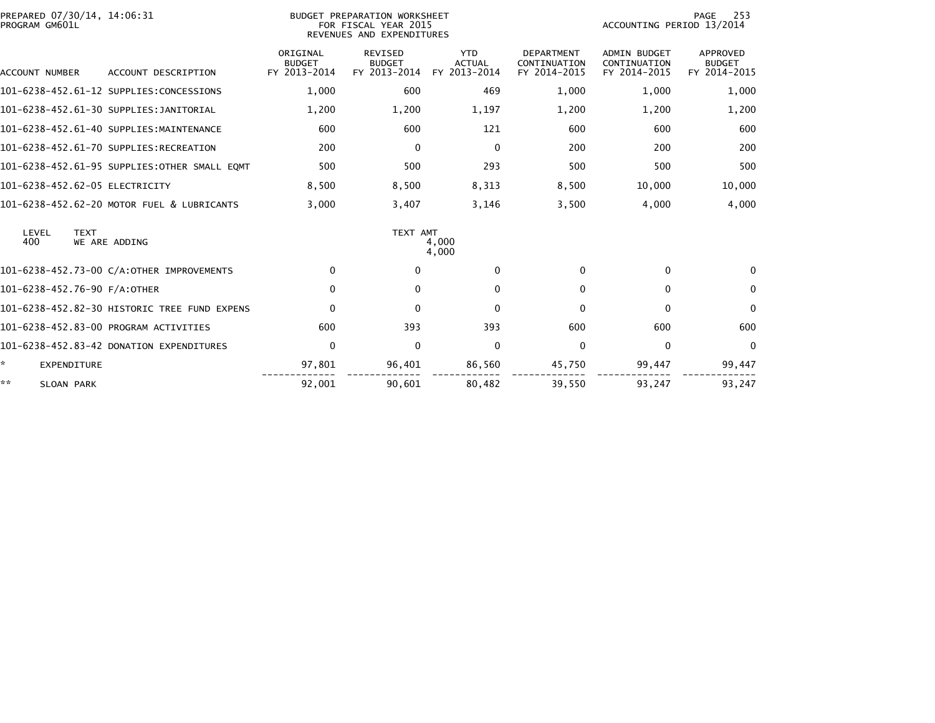| PREPARED 07/30/14, 14:06:31<br>PROGRAM GM601L |                                           | <b>BUDGET PREPARATION WORKSHEET</b><br>FOR FISCAL YEAR 2015<br>REVENUES AND EXPENDITURES | 253<br>PAGE<br>ACCOUNTING PERIOD 13/2014    |                                                   |                                                     |                                                  |
|-----------------------------------------------|-------------------------------------------|------------------------------------------------------------------------------------------|---------------------------------------------|---------------------------------------------------|-----------------------------------------------------|--------------------------------------------------|
| <b>ACCOUNT NUMBER</b><br>ACCOUNT DESCRIPTION  | ORIGINAL<br><b>BUDGET</b><br>FY 2013-2014 | <b>REVISED</b><br><b>BUDGET</b><br>FY 2013-2014                                          | <b>YTD</b><br><b>ACTUAL</b><br>FY 2013-2014 | <b>DEPARTMENT</b><br>CONTINUATION<br>FY 2014-2015 | <b>ADMIN BUDGET</b><br>CONTINUATION<br>FY 2014-2015 | <b>APPROVED</b><br><b>BUDGET</b><br>FY 2014-2015 |
| 101-6238-452.61-12 SUPPLIES:CONCESSIONS       | 1,000                                     | 600                                                                                      | 469                                         | 1,000                                             | 1,000                                               | 1,000                                            |
| 101-6238-452.61-30 SUPPLIES:JANITORIAL        | 1,200                                     | 1,200                                                                                    | 1,197                                       | 1,200                                             | 1,200                                               | 1,200                                            |
| 101-6238-452.61-40 SUPPLIES:MAINTENANCE       | 600                                       | 600                                                                                      | 121                                         | 600                                               | 600                                                 | 600                                              |
| 101-6238-452.61-70 SUPPLIES:RECREATION        | 200                                       | $\mathbf{0}$                                                                             | $\mathbf 0$                                 | 200                                               | 200                                                 | 200                                              |
| 101-6238-452.61-95 SUPPLIES:OTHER SMALL EOMT  | 500                                       | 500                                                                                      | 293                                         | 500                                               | 500                                                 | 500                                              |
| 101-6238-452.62-05 ELECTRICITY                | 8,500                                     | 8,500                                                                                    | 8,313                                       | 8,500                                             | 10,000                                              | 10,000                                           |
| 101-6238-452.62-20 MOTOR FUEL & LUBRICANTS    | 3.000                                     | 3,407                                                                                    | 3,146                                       | 3,500                                             | 4.000                                               | 4,000                                            |
| LEVEL<br><b>TEXT</b><br>400<br>WE ARE ADDING  |                                           | TEXT AMT                                                                                 | 4,000<br>4.000                              |                                                   |                                                     |                                                  |
| 101-6238-452.73-00 C/A:OTHER IMPROVEMENTS     | $\Omega$                                  | $\bf{0}$                                                                                 | $\mathbf{0}$                                | $\Omega$                                          | $\mathbf{0}$                                        | $\Omega$                                         |
| 101-6238-452.76-90 F/A:OTHER                  | $\mathbf{0}$                              | 0                                                                                        | $\mathbf{0}$                                | $\Omega$                                          | $\mathbf{0}$                                        | $\mathbf{0}$                                     |
| 101-6238-452.82-30 HISTORIC TREE FUND EXPENS  | $\mathbf 0$                               | $\mathbf{0}$                                                                             | $\mathbf 0$                                 | 0                                                 | $\mathbf 0$                                         | $\mathbf{0}$                                     |
| 101-6238-452.83-00 PROGRAM ACTIVITIES         | 600                                       | 393                                                                                      | 393                                         | 600                                               | 600                                                 | 600                                              |
| 101-6238-452.83-42 DONATION EXPENDITURES      | $\mathbf 0$                               | $\mathbf{0}$                                                                             | $\mathbf{0}$                                | $\Omega$                                          | $\mathbf{0}$                                        | $\Omega$                                         |
| *<br><b>EXPENDITURE</b>                       | 97,801                                    | 96,401                                                                                   | 86,560                                      | 45,750                                            | 99,447                                              | 99,447                                           |
| **<br><b>SLOAN PARK</b>                       | 92.001                                    | 90.601                                                                                   | 80.482                                      | 39,550                                            | 93.247                                              | 93.247                                           |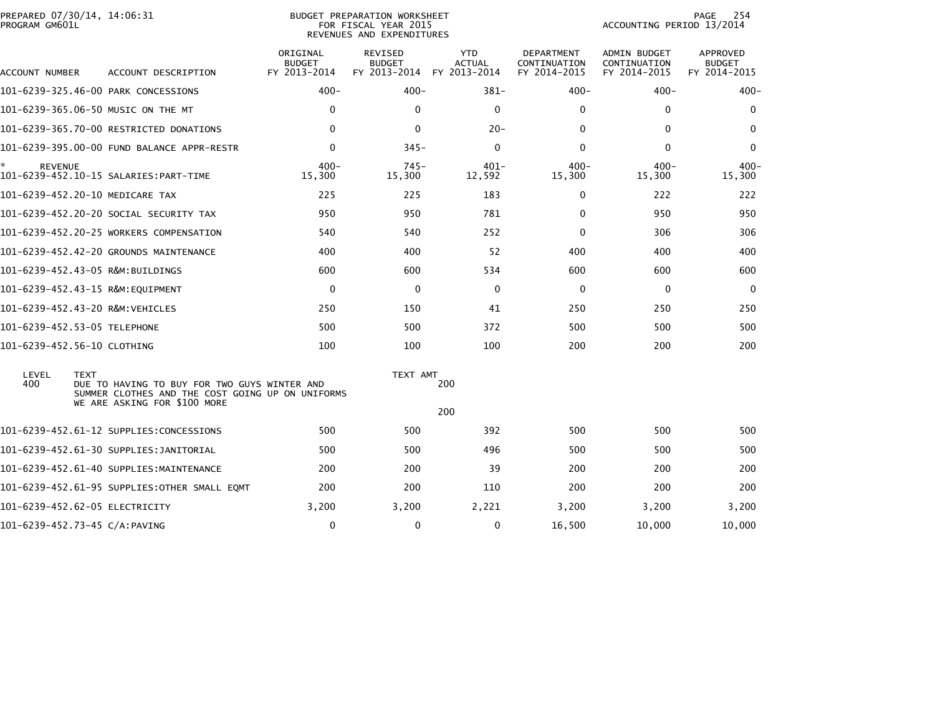| PROGRAM GM601L       | PREPARED 07/30/14, 14:06:31                                                                                                                     |                                           | BUDGET PREPARATION WORKSHEET<br>FOR FISCAL YEAR 2015<br>REVENUES AND EXPENDITURES | 254<br>PAGE<br>ACCOUNTING PERIOD 13/2014 |                                            |                                              |                                           |
|----------------------|-------------------------------------------------------------------------------------------------------------------------------------------------|-------------------------------------------|-----------------------------------------------------------------------------------|------------------------------------------|--------------------------------------------|----------------------------------------------|-------------------------------------------|
| ACCOUNT NUMBER       | ACCOUNT DESCRIPTION                                                                                                                             | ORIGINAL<br><b>BUDGET</b><br>FY 2013-2014 | REVISED<br><b>BUDGET</b><br>FY 2013-2014 FY 2013-2014                             | <b>YTD</b><br><b>ACTUAL</b>              | DEPARTMENT<br>CONTINUATION<br>FY 2014-2015 | ADMIN BUDGET<br>CONTINUATION<br>FY 2014-2015 | APPROVED<br><b>BUDGET</b><br>FY 2014-2015 |
|                      | 101-6239-325.46-00 PARK CONCESSIONS                                                                                                             | $400 -$                                   | $400 -$                                                                           | $381 -$                                  | $400 -$                                    | $400 -$                                      | $400 -$                                   |
|                      | 101-6239-365.06-50 MUSIC ON THE MT                                                                                                              | 0                                         | $\mathbf{0}$                                                                      | $\mathbf 0$                              | $\Omega$                                   | 0                                            | 0                                         |
|                      | 101-6239-365.70-00 RESTRICTED DONATIONS                                                                                                         | $\mathbf{0}$                              | $\Omega$                                                                          | $20 -$                                   | $\Omega$                                   | $\mathbf{0}$                                 | $\Omega$                                  |
|                      | 101-6239-395.00-00 FUND BALANCE APPR-RESTR                                                                                                      | $\Omega$                                  | $345 -$                                                                           | $\Omega$                                 | $\mathbf{0}$                               | $\Omega$                                     | $\Omega$                                  |
| ÷.<br><b>REVENUE</b> | 101-6239-452.10-15 SALARIES:PART-TIME                                                                                                           | $400 -$<br>15,300                         | $745 -$<br>15,300                                                                 | $401 -$<br>12,592                        | $400 -$<br>15,300                          | $400 -$<br>15,300                            | $400 -$<br>15,300                         |
|                      | 101-6239-452.20-10 MEDICARE TAX                                                                                                                 | 225                                       | 225                                                                               | 183                                      | 0                                          | 222                                          | 222                                       |
|                      | 101–6239–452.20–20 SOCIAL SECURITY TAX                                                                                                          | 950                                       | 950                                                                               | 781                                      | 0                                          | 950                                          | 950                                       |
|                      | 101-6239-452.20-25 WORKERS COMPENSATION                                                                                                         | 540                                       | 540                                                                               | 252                                      | $\Omega$                                   | 306                                          | 306                                       |
|                      | 101-6239-452.42-20 GROUNDS MAINTENANCE                                                                                                          | 400                                       | 400                                                                               | 52                                       | 400                                        | 400                                          | 400                                       |
|                      | 101-6239-452.43-05 R&M:BUILDINGS                                                                                                                | 600                                       | 600                                                                               | 534                                      | 600                                        | 600                                          | 600                                       |
|                      |                                                                                                                                                 | $\mathbf 0$                               | $\mathbf{0}$                                                                      | 0                                        | $\Omega$                                   | 0                                            | $\Omega$                                  |
|                      | 101-6239-452.43-20 R&M:VEHICLES                                                                                                                 | 250                                       | 150                                                                               | 41                                       | 250                                        | 250                                          | 250                                       |
|                      | 101-6239-452.53-05 TELEPHONE                                                                                                                    | 500                                       | 500                                                                               | 372                                      | 500                                        | 500                                          | 500                                       |
|                      | 101-6239-452.56-10 CLOTHING                                                                                                                     | 100                                       | 100                                                                               | 100                                      | 200                                        | 200                                          | 200                                       |
| LEVEL<br>400         | <b>TEXT</b><br>DUE TO HAVING TO BUY FOR TWO GUYS WINTER AND<br>SUMMER CLOTHES AND THE COST GOING UP ON UNIFORMS<br>WE ARE ASKING FOR \$100 MORE |                                           | TEXT AMT                                                                          | 200<br>200                               |                                            |                                              |                                           |
|                      | 101-6239-452.61-12 SUPPLIES:CONCESSIONS                                                                                                         | 500                                       | 500                                                                               | 392                                      | 500                                        | 500                                          | 500                                       |
|                      | 101-6239-452.61-30 SUPPLIES:JANITORIAL                                                                                                          | 500                                       | 500                                                                               | 496                                      | 500                                        | 500                                          | 500                                       |
|                      | 101-6239-452.61-40 SUPPLIES:MAINTENANCE                                                                                                         | 200                                       | 200                                                                               | 39                                       | 200                                        | 200                                          | 200                                       |
|                      | 101-6239-452.61-95 SUPPLIES:OTHER SMALL EQMT                                                                                                    | 200                                       | 200                                                                               | 110                                      | 200                                        | 200                                          | 200                                       |
|                      | 101-6239-452.62-05 ELECTRICITY                                                                                                                  | 3,200                                     | 3,200                                                                             | 2,221                                    | 3,200                                      | 3,200                                        | 3,200                                     |
|                      | 101-6239-452.73-45 C/A:PAVING                                                                                                                   | 0                                         | 0                                                                                 | 0                                        | 16,500                                     | 10,000                                       | 10,000                                    |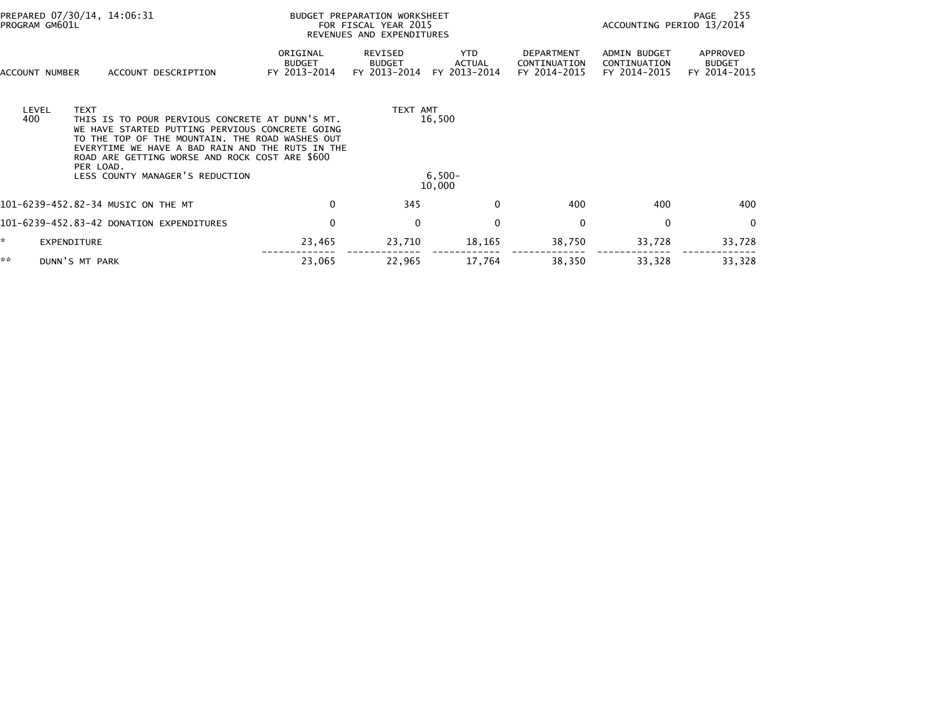| PREPARED 07/30/14, 14:06:31<br>PROGRAM GM601L |                          |                                                                                                                                                                                                                                                             |                                           | BUDGET PREPARATION WORKSHEET<br>FOR FISCAL YEAR 2015<br>REVENUES AND EXPENDITURES | 255<br>PAGE<br>ACCOUNTING PERIOD 13/2014 |                                            |                                              |                                           |
|-----------------------------------------------|--------------------------|-------------------------------------------------------------------------------------------------------------------------------------------------------------------------------------------------------------------------------------------------------------|-------------------------------------------|-----------------------------------------------------------------------------------|------------------------------------------|--------------------------------------------|----------------------------------------------|-------------------------------------------|
| ACCOUNT NUMBER                                |                          | ACCOUNT DESCRIPTION                                                                                                                                                                                                                                         | ORIGINAL<br><b>BUDGET</b><br>FY 2013-2014 | REVISED<br><b>BUDGET</b><br>FY 2013-2014                                          | YTD.<br>ACTUAL<br>FY 2013-2014           | DEPARTMENT<br>CONTINUATION<br>FY 2014-2015 | ADMIN BUDGET<br>CONTINUATION<br>FY 2014-2015 | APPROVED<br><b>BUDGET</b><br>FY 2014-2015 |
| LEVEL<br>400                                  | <b>TEXT</b><br>PER LOAD. | THIS IS TO POUR PERVIOUS CONCRETE AT DUNN'S MT.<br>WE HAVE STARTED PUTTING PERVIOUS CONCRETE GOING<br>TO THE TOP OF THE MOUNTAIN. THE ROAD WASHES OUT<br>EVERYTIME WE HAVE A BAD RAIN AND THE RUTS IN THE<br>ROAD ARE GETTING WORSE AND ROCK COST ARE \$600 |                                           | TEXT AMT                                                                          | 16,500                                   |                                            |                                              |                                           |
|                                               |                          | LESS COUNTY MANAGER'S REDUCTION                                                                                                                                                                                                                             |                                           |                                                                                   | $6,500-$<br>10,000                       |                                            |                                              |                                           |
|                                               |                          | 101-6239-452.82-34 MUSIC ON THE MT                                                                                                                                                                                                                          | 0                                         | 345                                                                               | 0                                        | 400                                        | 400                                          | 400                                       |
|                                               |                          | 101-6239-452.83-42 DONATION EXPENDITURES                                                                                                                                                                                                                    | $\mathbf 0$                               | $\mathbf 0$                                                                       | $\mathbf 0$                              | $\Omega$                                   | $\mathbf{0}$                                 | $\mathbf{0}$                              |
| ☆.                                            | EXPENDITURE              |                                                                                                                                                                                                                                                             | 23,465                                    | 23,710                                                                            | 18,165                                   | 38,750                                     | 33,728                                       | 33,728                                    |
| **                                            | DUNN'S MT PARK           |                                                                                                                                                                                                                                                             | 23,065                                    | 22,965                                                                            | 17,764                                   | 38,350                                     | 33,328                                       | 33,328                                    |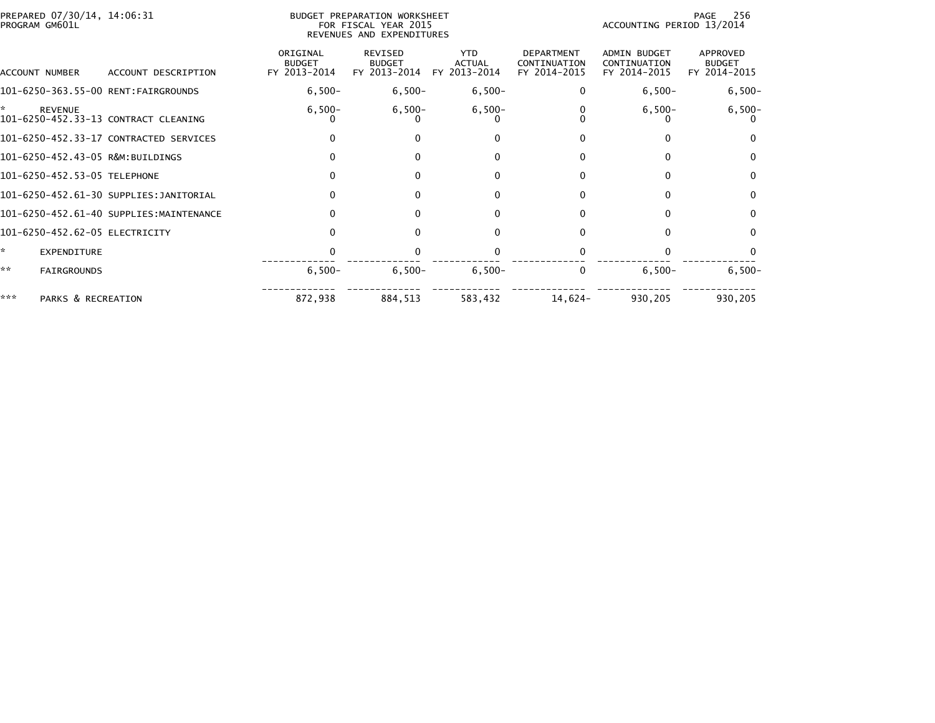|     | PREPARED 07/30/14, 14:06:31<br>PROGRAM GM601L |                                         |                                           | <b>BUDGET PREPARATION WORKSHEET</b><br>FOR FISCAL YEAR 2015<br>REVENUES AND EXPENDITURES | 256<br>PAGE<br>ACCOUNTING PERIOD 13/2014 |                                                   |                                                     |                                           |
|-----|-----------------------------------------------|-----------------------------------------|-------------------------------------------|------------------------------------------------------------------------------------------|------------------------------------------|---------------------------------------------------|-----------------------------------------------------|-------------------------------------------|
|     | ACCOUNT NUMBER                                | ACCOUNT DESCRIPTION                     | ORIGINAL<br><b>BUDGET</b><br>FY 2013-2014 | <b>REVISED</b><br><b>BUDGET</b><br>FY 2013-2014                                          | <b>YTD</b><br>ACTUAL<br>FY 2013-2014     | <b>DEPARTMENT</b><br>CONTINUATION<br>FY 2014-2015 | <b>ADMIN BUDGET</b><br>CONTINUATION<br>FY 2014-2015 | APPROVED<br><b>BUDGET</b><br>FY 2014-2015 |
|     |                                               | 101-6250-363.55-00 RENT:FAIRGROUNDS     | $6,500-$                                  | $6,500-$                                                                                 | $6,500-$                                 | 0                                                 | $6,500-$                                            | $6,500-$                                  |
|     | <b>REVENUE</b>                                | 101-6250-452.33-13 CONTRACT CLEANING    | $6,500-$                                  | $6,500-$                                                                                 | $6,500-$                                 |                                                   | $6,500-$                                            | $6,500-$                                  |
|     |                                               | 101-6250-452.33-17 CONTRACTED SERVICES  |                                           | $\Omega$                                                                                 | $\Omega$                                 |                                                   | 0                                                   | $\Omega$                                  |
|     |                                               | 101-6250-452.43-05 R&M:BUILDINGS        |                                           | 0                                                                                        |                                          |                                                   | 0                                                   | $\Omega$                                  |
|     | 101-6250-452.53-05 TELEPHONE                  |                                         |                                           | $\Omega$                                                                                 | $\Omega$                                 |                                                   | 0                                                   | $\mathbf{0}$                              |
|     |                                               | 101-6250-452.61-30 SUPPLIES:JANITORIAL  |                                           | 0                                                                                        | $\Omega$                                 |                                                   | 0                                                   | $\mathbf{0}$                              |
|     |                                               | 101-6250-452.61-40 SUPPLIES:MAINTENANCE |                                           | 0                                                                                        | 0                                        | 0                                                 | 0                                                   | $\mathbf{0}$                              |
|     | 101-6250-452.62-05 ELECTRICITY                |                                         |                                           | 0                                                                                        |                                          |                                                   | 0                                                   | $\Omega$                                  |
| ÷.  | EXPENDITURE                                   |                                         |                                           |                                                                                          |                                          |                                                   |                                                     |                                           |
| **  | <b>FAIRGROUNDS</b>                            |                                         | $6,500-$                                  | $6,500-$                                                                                 | $6,500-$                                 | 0                                                 | $6,500-$                                            | $6,500-$                                  |
| *** | PARKS & RECREATION                            |                                         | 872,938                                   | 884,513                                                                                  | 583,432                                  | $14,624-$                                         | 930,205                                             | 930,205                                   |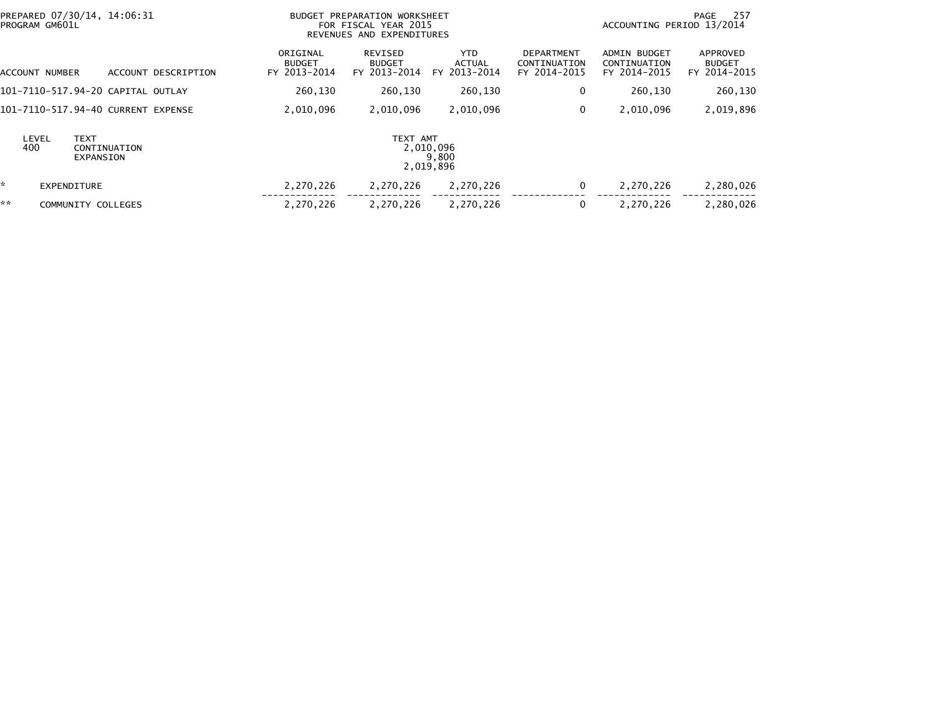| PREPARED 07/30/14, 14:06:31<br>PROGRAM GM601L            |                                           | BUDGET PREPARATION WORKSHEET<br>FOR FISCAL YEAR 2015<br>REVENUES AND EXPENDITURES |                                       |                                                   |                                                     | 257<br>PAGE<br>ACCOUNTING PERIOD 13/2014  |  |  |
|----------------------------------------------------------|-------------------------------------------|-----------------------------------------------------------------------------------|---------------------------------------|---------------------------------------------------|-----------------------------------------------------|-------------------------------------------|--|--|
| ACCOUNT NUMBER<br>ACCOUNT DESCRIPTION                    | ORIGINAL<br><b>BUDGET</b><br>FY 2013-2014 | REVISED<br><b>BUDGET</b><br>FY 2013-2014                                          | YTD.<br><b>ACTUAL</b><br>FY 2013-2014 | <b>DEPARTMENT</b><br>CONTINUATION<br>FY 2014-2015 | <b>ADMIN BUDGET</b><br>CONTINUATION<br>FY 2014-2015 | APPROVED<br><b>BUDGET</b><br>FY 2014-2015 |  |  |
| 101–7110–517.94–20 CAPITAL OUTLAY                        | 260.130                                   | 260,130                                                                           | 260,130                               | 0                                                 | 260,130                                             | 260,130                                   |  |  |
| 101-7110-517.94-40 CURRENT EXPENSE                       | 2,010,096                                 | 2,010,096                                                                         | 2,010,096                             | 0                                                 | 2,010,096                                           | 2,019,896                                 |  |  |
| <b>TEXT</b><br>LEVEL<br>400<br>CONTINUATION<br>EXPANSION |                                           | TEXT AMT<br>2,010,096<br>2,019,896                                                | 9,800                                 |                                                   |                                                     |                                           |  |  |
| *<br><b>EXPENDITURE</b>                                  | 2,270,226                                 | 2,270,226                                                                         | 2,270,226                             | 0                                                 | 2,270,226                                           | 2,280,026                                 |  |  |
| **<br>COMMUNITY COLLEGES                                 | 2,270,226                                 | 2,270,226                                                                         | 2,270,226                             | 0                                                 | 2,270,226                                           | 2,280,026                                 |  |  |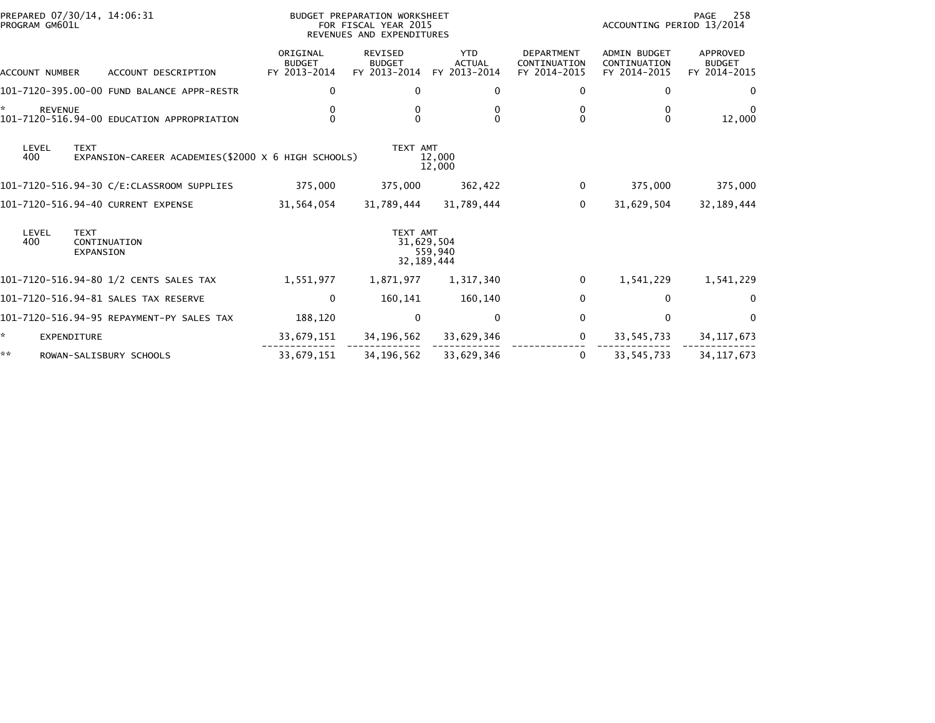| PREPARED 07/30/14, 14:06:31<br>PROGRAM GM601L                                      | BUDGET PREPARATION WORKSHEET<br>FOR FISCAL YEAR 2015<br>REVENUES AND EXPENDITURES |                                                 |                                             |                                                   | PAGE<br>258<br>ACCOUNTING PERIOD 13/2014            |                                           |  |
|------------------------------------------------------------------------------------|-----------------------------------------------------------------------------------|-------------------------------------------------|---------------------------------------------|---------------------------------------------------|-----------------------------------------------------|-------------------------------------------|--|
| ACCOUNT DESCRIPTION<br>ACCOUNT NUMBER                                              | ORIGINAL<br><b>BUDGET</b><br>FY 2013-2014                                         | <b>REVISED</b><br><b>BUDGET</b><br>FY 2013-2014 | <b>YTD</b><br><b>ACTUAL</b><br>FY 2013-2014 | <b>DEPARTMENT</b><br>CONTINUATION<br>FY 2014-2015 | <b>ADMIN BUDGET</b><br>CONTINUATION<br>FY 2014-2015 | APPROVED<br><b>BUDGET</b><br>FY 2014-2015 |  |
| 101-7120-395.00-00 FUND BALANCE APPR-RESTR                                         | 0                                                                                 | 0                                               | 0                                           | 0                                                 | 0                                                   | 0                                         |  |
| *<br><b>REVENUE</b><br>101-7120-516.94-00 EDUCATION APPROPRIATION                  | 0<br>$\Omega$                                                                     | 0<br>0                                          | 0<br>$\Omega$                               | 0<br>$\Omega$                                     | 0<br>$\mathbf{0}$                                   | 12,000                                    |  |
| LEVEL<br><b>TEXT</b><br>EXPANSION-CAREER ACADEMIES(\$2000 X 6 HIGH SCHOOLS)<br>400 |                                                                                   | TEXT AMT                                        | 12,000<br>12,000                            |                                                   |                                                     |                                           |  |
| 101-7120-516.94-30 C/E:CLASSROOM SUPPLIES                                          | 375,000                                                                           | 375,000                                         | 362,422                                     | $\mathbf 0$                                       | 375,000                                             | 375,000                                   |  |
| 101-7120-516.94-40 CURRENT EXPENSE                                                 | 31,564,054                                                                        | 31,789,444                                      | 31,789,444                                  | $\mathbf 0$                                       | 31,629,504                                          | 32, 189, 444                              |  |
| LEVEL<br><b>TEXT</b><br>400<br>CONTINUATION<br><b>EXPANSION</b>                    |                                                                                   | TEXT AMT<br>31,629,504<br>32, 189, 444          | 559,940                                     |                                                   |                                                     |                                           |  |
| 101–7120–516.94–80 1/2 CENTS SALES TAX                                             | 1,551,977                                                                         | 1,871,977                                       | 1,317,340                                   | $\mathbf 0$                                       | 1,541,229                                           | 1,541,229                                 |  |
| 101-7120-516.94-81 SALES TAX RESERVE                                               | 0                                                                                 | 160,141                                         | 160,140                                     | 0                                                 | $\mathbf 0$                                         | 0                                         |  |
| 101-7120-516.94-95 REPAYMENT-PY SALES TAX                                          | 188,120                                                                           | $\mathbf 0$                                     | 0                                           | 0                                                 | $\mathbf 0$                                         | 0                                         |  |
| ÷.<br>EXPENDITURE                                                                  | 33,679,151                                                                        | 34,196,562                                      | 33,629,346                                  | $\mathbf 0$                                       | 33,545,733                                          | 34, 117, 673                              |  |
| **<br>ROWAN-SALISBURY SCHOOLS                                                      | 33,679,151                                                                        | 34, 196, 562                                    | 33,629,346                                  | 0                                                 | 33,545,733                                          | 34, 117, 673                              |  |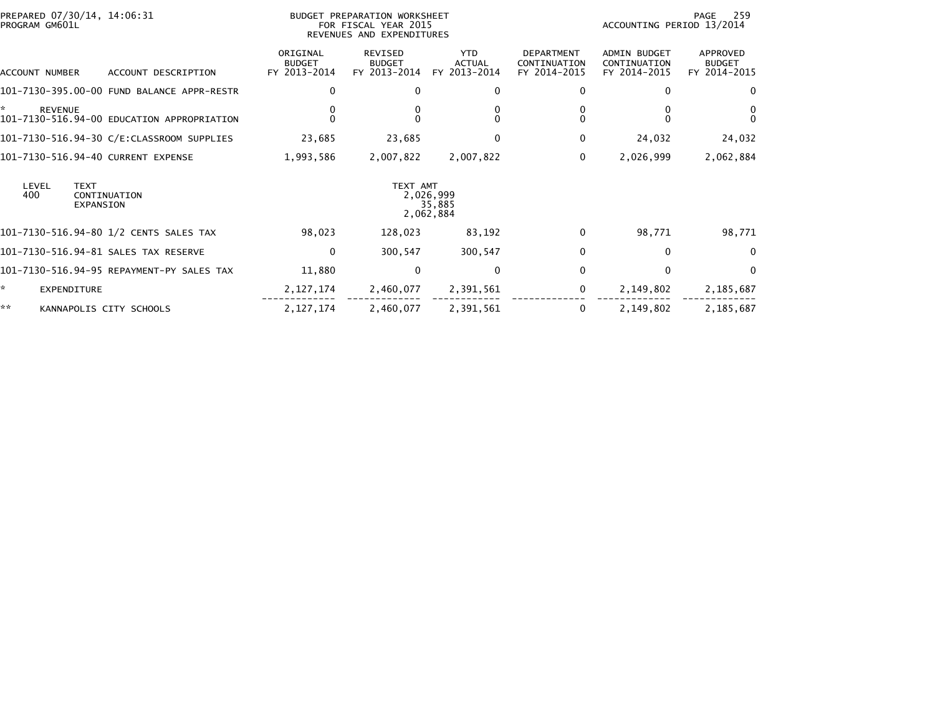| PREPARED 07/30/14, 14:06:31<br>PROGRAM GM601L                     | BUDGET PREPARATION WORKSHEET<br>FOR FISCAL YEAR 2015<br>REVENUES AND EXPENDITURES |                                          |                                             |                                                   | 259<br>PAGE<br>ACCOUNTING PERIOD 13/2014            |                                           |  |
|-------------------------------------------------------------------|-----------------------------------------------------------------------------------|------------------------------------------|---------------------------------------------|---------------------------------------------------|-----------------------------------------------------|-------------------------------------------|--|
| ACCOUNT DESCRIPTION<br>ACCOUNT NUMBER                             | ORIGINAL<br><b>BUDGET</b><br>FY 2013-2014                                         | REVISED<br><b>BUDGET</b><br>FY 2013-2014 | <b>YTD</b><br><b>ACTUAL</b><br>FY 2013-2014 | <b>DEPARTMENT</b><br>CONTINUATION<br>FY 2014-2015 | <b>ADMIN BUDGET</b><br>CONTINUATION<br>FY 2014-2015 | APPROVED<br><b>BUDGET</b><br>FY 2014-2015 |  |
| 101-7130-395.00-00 FUND BALANCE APPR-RESTR                        | $\Omega$                                                                          | $\bf{0}$                                 | 0                                           | 0                                                 | 0                                                   | $\Omega$                                  |  |
| *<br><b>REVENUE</b><br>101-7130-516.94-00 EDUCATION APPROPRIATION | $\Omega$                                                                          |                                          | $\Omega$                                    |                                                   |                                                     | 0<br>$\Omega$                             |  |
| 101-7130-516.94-30 C/E:CLASSROOM SUPPLIES                         | 23,685                                                                            | 23,685                                   | 0                                           | 0                                                 | 24,032                                              | 24,032                                    |  |
| 101-7130-516.94-40 CURRENT EXPENSE                                | 1,993,586                                                                         | 2,007,822                                | 2,007,822                                   | 0                                                 | 2,026,999                                           | 2,062,884                                 |  |
| LEVEL<br><b>TEXT</b><br>400<br>CONTINUATION<br><b>EXPANSION</b>   |                                                                                   | TEXT AMT                                 | 2,026,999<br>35,885<br>2,062,884            |                                                   |                                                     |                                           |  |
| 101-7130-516.94-80 1/2 CENTS SALES TAX                            | 98,023                                                                            | 128,023                                  | 83,192                                      | 0                                                 | 98,771                                              | 98,771                                    |  |
| 101-7130-516.94-81 SALES TAX RESERVE                              | 0                                                                                 | 300,547                                  | 300,547                                     | 0                                                 | $\bf{0}$                                            | $\Omega$                                  |  |
| 101-7130-516.94-95 REPAYMENT-PY SALES TAX                         | 11,880                                                                            | $\mathbf{0}$                             | $\Omega$                                    | $\Omega$                                          | $\mathbf{0}$                                        | $\Omega$                                  |  |
| ×.<br>EXPENDITURE                                                 | 2, 127, 174                                                                       | 2,460,077                                | 2,391,561                                   | 0                                                 | 2,149,802                                           | 2,185,687                                 |  |
| **<br>KANNAPOLIS CITY SCHOOLS                                     | 2, 127, 174                                                                       | 2,460,077                                | 2,391,561                                   | 0                                                 | 2,149,802                                           | 2,185,687                                 |  |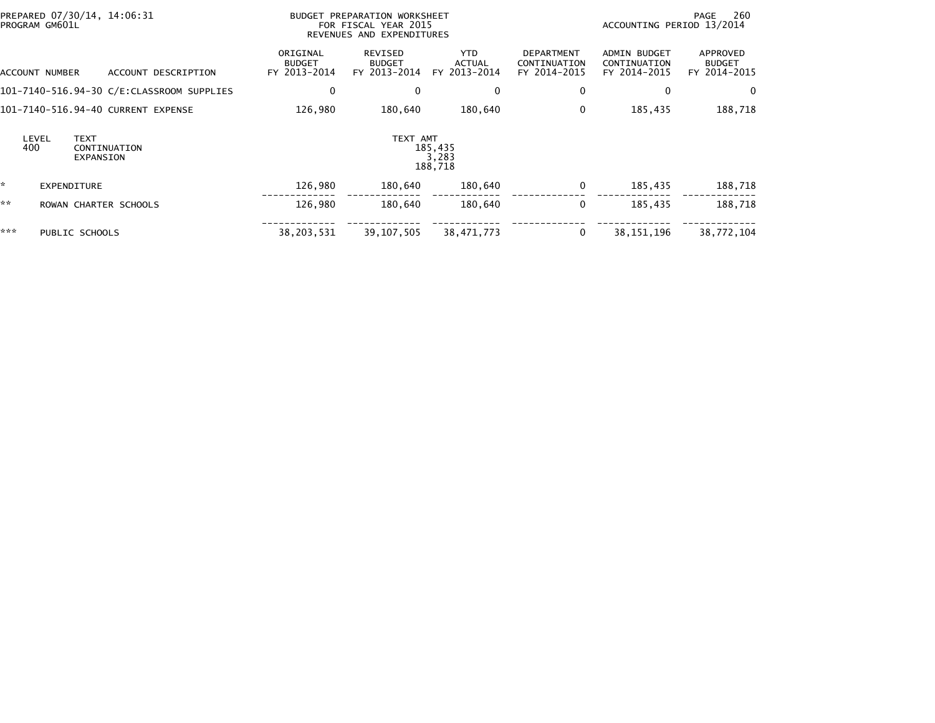|     | PROGRAM GM601L | PREPARED 07/30/14, 14:06:31              | BUDGET PREPARATION WORKSHEET<br>FOR FISCAL YEAR 2015<br>REVENUES AND EXPENDITURES |                                          |                                             |                                                   | 260<br>PAGE<br>ACCOUNTING PERIOD 13/2014            |                                           |  |
|-----|----------------|------------------------------------------|-----------------------------------------------------------------------------------|------------------------------------------|---------------------------------------------|---------------------------------------------------|-----------------------------------------------------|-------------------------------------------|--|
|     | ACCOUNT NUMBER | ACCOUNT DESCRIPTION                      | ORIGINAL<br><b>BUDGET</b><br>FY 2013-2014                                         | REVISED<br><b>BUDGET</b><br>FY 2013-2014 | <b>YTD</b><br><b>ACTUAL</b><br>FY 2013-2014 | <b>DEPARTMENT</b><br>CONTINUATION<br>FY 2014-2015 | <b>ADMIN BUDGET</b><br>CONTINUATION<br>FY 2014-2015 | APPROVED<br><b>BUDGET</b><br>FY 2014-2015 |  |
|     |                |                                          | 0                                                                                 | $\mathbf{0}$                             | $\Omega$                                    | 0                                                 | 0                                                   | 0                                         |  |
|     |                | 101-7140-516.94-40 CURRENT EXPENSE       | 126,980                                                                           | 180,640                                  | 180,640                                     | 0                                                 | 185,435                                             | 188,718                                   |  |
| 400 | LEVEL          | <b>TEXT</b><br>CONTINUATION<br>EXPANSION |                                                                                   | TEXT AMT                                 | 185,435<br>3,283<br>188,718                 |                                                   |                                                     |                                           |  |
| *   |                | EXPENDITURE                              | 126,980                                                                           | 180,640                                  | 180,640                                     | 0                                                 | 185,435                                             | 188,718                                   |  |
| **  |                | ROWAN CHARTER SCHOOLS                    | 126,980                                                                           | 180.640                                  | 180.640                                     | 0                                                 | 185.435                                             | 188,718                                   |  |
| *** |                | PUBLIC SCHOOLS                           | 38,203,531                                                                        | 39, 107, 505                             | 38,471,773                                  | 0                                                 | 38, 151, 196                                        | 38,772,104                                |  |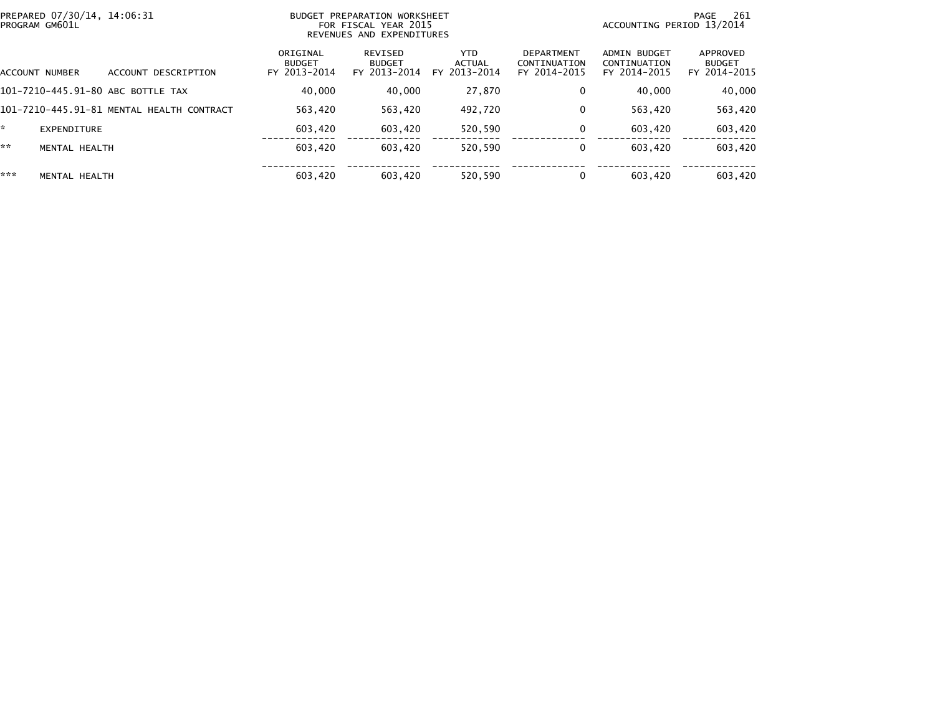| PROGRAM GM601L | PREPARED 07/30/14, 14:06:31 |                                           | PREPARATION WORKSHEET<br><b>BUDGET</b><br>FOR FISCAL YEAR 2015<br>REVENUES AND EXPENDITURES |                                          |                                             |                                                   |                                                     | -261<br>PAGE<br>ACCOUNTING PERIOD 13/2014 |  |  |
|----------------|-----------------------------|-------------------------------------------|---------------------------------------------------------------------------------------------|------------------------------------------|---------------------------------------------|---------------------------------------------------|-----------------------------------------------------|-------------------------------------------|--|--|
| ACCOUNT NUMBER |                             | ACCOUNT DESCRIPTION                       | ORIGINAL<br><b>BUDGET</b><br>FY 2013-2014                                                   | REVISED<br><b>BUDGET</b><br>FY 2013-2014 | <b>YTD</b><br><b>ACTUAL</b><br>FY 2013-2014 | <b>DEPARTMENT</b><br>CONTINUATION<br>FY 2014-2015 | <b>ADMIN BUDGET</b><br>CONTINUATION<br>FY 2014-2015 | APPROVED<br><b>BUDGET</b><br>FY 2014-2015 |  |  |
|                |                             | 101-7210-445.91-80 ABC BOTTLE TAX         | 40,000                                                                                      | 40,000                                   | 27,870                                      |                                                   | 40,000                                              | 40,000                                    |  |  |
|                |                             | 101-7210-445.91-81 MENTAL HEALTH CONTRACT | 563.420                                                                                     | 563,420                                  | 492,720                                     |                                                   | 563.420                                             | 563,420                                   |  |  |
| ÷.             | EXPENDITURE                 |                                           | 603,420                                                                                     | 603,420                                  | 520,590                                     |                                                   | 603.420                                             | 603,420                                   |  |  |
| **             | MENTAL HEALTH               |                                           | 603.420                                                                                     | 603.420                                  | 520.590                                     |                                                   | 603.420                                             | 603,420                                   |  |  |
| ***            | MENTAL HEALTH               |                                           | 603.420                                                                                     | 603.420                                  | 520.590                                     |                                                   | 603.420                                             | 603.420                                   |  |  |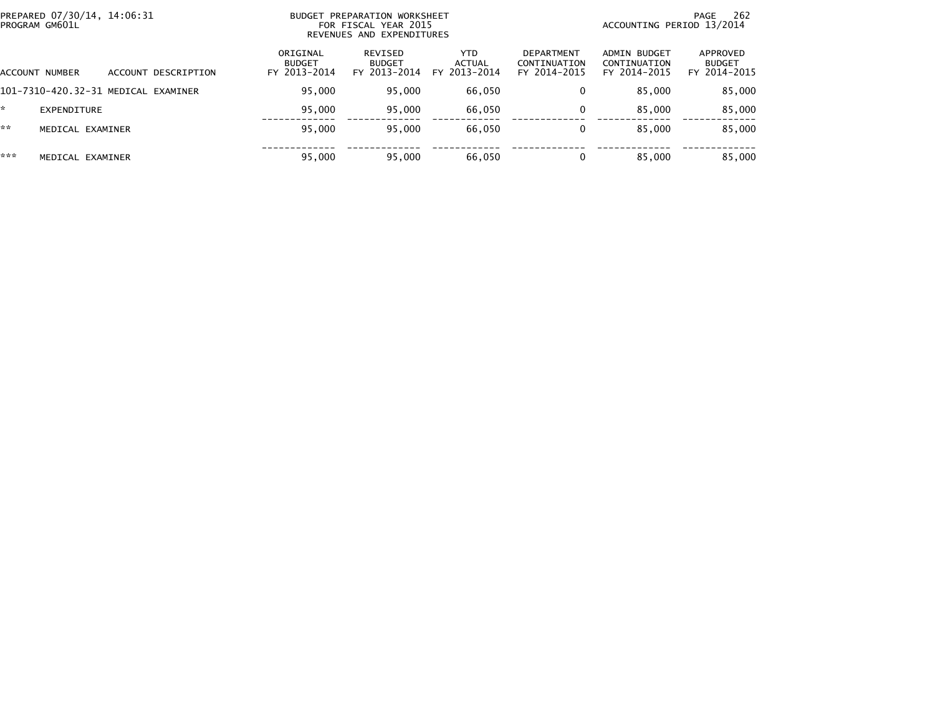| PREPARED 07/30/14, 14:06:31<br>BUDGET PREPARATION WORKSHEET<br>PROGRAM GM601L<br>FOR FISCAL YEAR 2015<br>REVENUES AND EXPENDITURES |                     |                                           |                                          |                                |                                            | 262<br>PAGE<br>ACCOUNTING PERIOD 13/2014     |                                           |  |
|------------------------------------------------------------------------------------------------------------------------------------|---------------------|-------------------------------------------|------------------------------------------|--------------------------------|--------------------------------------------|----------------------------------------------|-------------------------------------------|--|
| ACCOUNT NUMBER                                                                                                                     | ACCOUNT DESCRIPTION | ORIGINAL<br><b>BUDGET</b><br>FY 2013-2014 | REVISED<br><b>BUDGET</b><br>FY 2013-2014 | YTD.<br>ACTUAL<br>FY 2013-2014 | DEPARTMENT<br>CONTINUATION<br>FY 2014-2015 | ADMIN BUDGET<br>CONTINUATION<br>FY 2014-2015 | APPROVED<br><b>BUDGET</b><br>FY 2014-2015 |  |
| 101-7310-420.32-31 MEDICAL EXAMINER                                                                                                |                     | 95.000                                    | 95,000                                   | 66,050                         |                                            | 85.000                                       | 85,000                                    |  |
| EXPENDITURE                                                                                                                        |                     | 95.000                                    | 95.000                                   | 66,050                         |                                            | 85,000                                       | 85,000                                    |  |
| **<br>MEDICAL EXAMINER                                                                                                             |                     | 95,000                                    | 95,000                                   | 66,050                         |                                            | 85.000                                       | 85,000                                    |  |
| ***<br>MEDICAL EXAMINER                                                                                                            |                     | 95,000                                    | 95,000                                   | 66,050                         |                                            | 85,000                                       | 85,000                                    |  |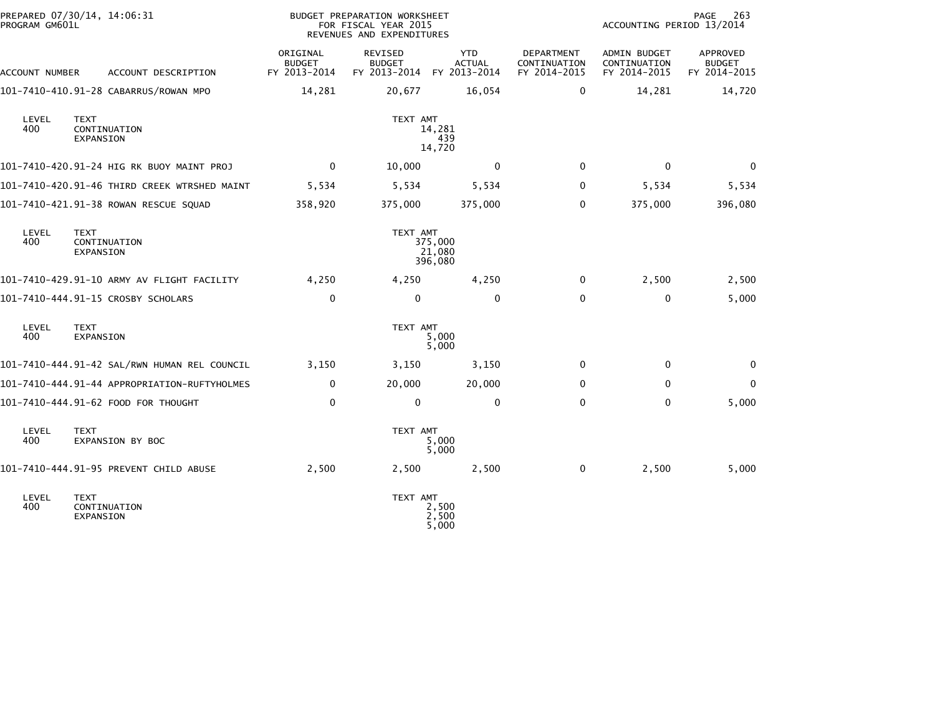| PROGRAM GM601L | PREPARED 07/30/14, 14:06:31                  |                                           |                                                 |                                             | BUDGET PREPARATION WORKSHEET<br>FOR FISCAL YEAR 2015<br>REVENUES AND EXPENDITURES |                                              |                                           |  |
|----------------|----------------------------------------------|-------------------------------------------|-------------------------------------------------|---------------------------------------------|-----------------------------------------------------------------------------------|----------------------------------------------|-------------------------------------------|--|
| ACCOUNT NUMBER | ACCOUNT DESCRIPTION                          | ORIGINAL<br><b>BUDGET</b><br>FY 2013-2014 | <b>REVISED</b><br><b>BUDGET</b><br>FY 2013-2014 | <b>YTD</b><br><b>ACTUAL</b><br>FY 2013-2014 | DEPARTMENT<br>CONTINUATION<br>FY 2014-2015                                        | ADMIN BUDGET<br>CONTINUATION<br>FY 2014-2015 | APPROVED<br><b>BUDGET</b><br>FY 2014-2015 |  |
|                | 101-7410-410.91-28 CABARRUS/ROWAN MPO        | 14,281                                    | 20,677                                          | 16,054                                      | 0                                                                                 | 14,281                                       | 14,720                                    |  |
| LEVEL<br>400   | TEXT<br>CONTINUATION<br>EXPANSION            |                                           | TEXT AMT                                        | 14,281<br>439<br>14,720                     |                                                                                   |                                              |                                           |  |
|                | 101-7410-420.91-24 HIG RK BUOY MAINT PROJ    | $\mathbf 0$                               | 10,000                                          | 0                                           | $\mathbf{0}$                                                                      | $\mathbf 0$                                  | $\mathbf 0$                               |  |
|                | 101-7410-420.91-46 THIRD CREEK WTRSHED MAINT | 5,534                                     | 5,534                                           | 5,534                                       | $\Omega$                                                                          | 5,534                                        | 5,534                                     |  |
|                | 101-7410-421.91-38 ROWAN RESCUE SQUAD        | 358,920                                   | 375,000                                         | 375,000                                     | $\Omega$                                                                          | 375,000                                      | 396,080                                   |  |
| LEVEL<br>400   | <b>TEXT</b><br>CONTINUATION<br>EXPANSION     |                                           | TEXT AMT                                        | 375,000<br>21,080<br>396,080                |                                                                                   |                                              |                                           |  |
|                | 101-7410-429.91-10 ARMY AV FLIGHT FACILITY   | 4,250                                     | 4,250                                           | 4,250                                       | 0                                                                                 | 2,500                                        | 2,500                                     |  |
|                | 101-7410-444.91-15 CROSBY SCHOLARS           | $\mathbf 0$                               | 0                                               | $\mathbf 0$                                 | $\Omega$                                                                          | 0                                            | 5,000                                     |  |
| LEVEL<br>400   | <b>TEXT</b><br>EXPANSION                     |                                           | TEXT AMT                                        | 5,000<br>5,000                              |                                                                                   |                                              |                                           |  |
|                | 101-7410-444.91-42 SAL/RWN HUMAN REL COUNCIL | 3,150                                     | 3,150                                           | 3,150                                       | $\Omega$                                                                          | 0                                            | 0                                         |  |
|                | 101-7410-444.91-44 APPROPRIATION-RUFTYHOLMES | 0                                         | 20,000                                          | 20,000                                      | 0                                                                                 | $\mathbf{0}$                                 | $\Omega$                                  |  |
|                | 101-7410-444.91-62 FOOD FOR THOUGHT          | $\mathbf 0$                               | $\mathbf 0$                                     | $\mathbf{0}$                                | $\Omega$                                                                          | $\mathbf{0}$                                 | 5,000                                     |  |
| LEVEL<br>400   | <b>TEXT</b><br>EXPANSION BY BOC              |                                           | TEXT AMT                                        | 5,000<br>5,000                              |                                                                                   |                                              |                                           |  |
|                | 101-7410-444.91-95 PREVENT CHILD ABUSE       | 2,500                                     | 2,500                                           | 2,500                                       | $\mathbf 0$                                                                       | 2,500                                        | 5,000                                     |  |
| LEVEL<br>400   | <b>TEXT</b><br>CONTINUATION<br>EXPANSION     |                                           | TEXT AMT                                        | 2,500<br>2,500<br>5,000                     |                                                                                   |                                              |                                           |  |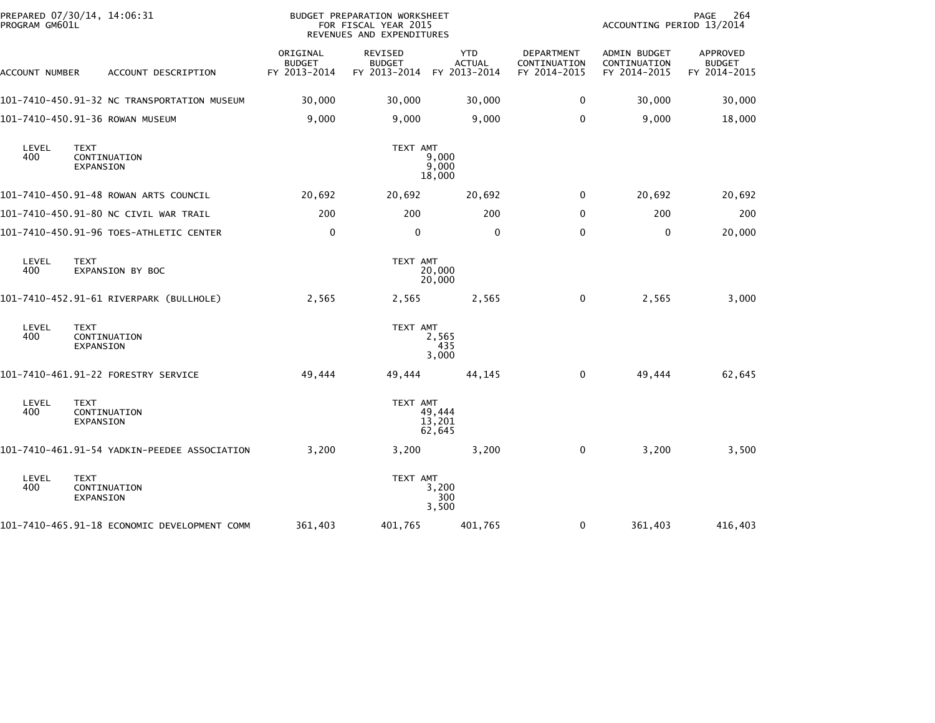| PREPARED 07/30/14, 14:06:31<br>PROGRAM GM601L |                                              |                                           | <b>BUDGET PREPARATION WORKSHEET</b><br>PAGE<br>ACCOUNTING PERIOD 13/2014<br>FOR FISCAL YEAR 2015<br>REVENUES AND EXPENDITURES |                                             |                                            |                                                     | 264                                       |
|-----------------------------------------------|----------------------------------------------|-------------------------------------------|-------------------------------------------------------------------------------------------------------------------------------|---------------------------------------------|--------------------------------------------|-----------------------------------------------------|-------------------------------------------|
| ACCOUNT NUMBER                                | ACCOUNT DESCRIPTION                          | ORIGINAL<br><b>BUDGET</b><br>FY 2013-2014 | REVISED<br><b>BUDGET</b><br>FY 2013-2014                                                                                      | <b>YTD</b><br><b>ACTUAL</b><br>FY 2013-2014 | DEPARTMENT<br>CONTINUATION<br>FY 2014-2015 | <b>ADMIN BUDGET</b><br>CONTINUATION<br>FY 2014-2015 | APPROVED<br><b>BUDGET</b><br>FY 2014-2015 |
|                                               | 101-7410-450.91-32 NC TRANSPORTATION MUSEUM  | 30,000                                    | 30,000                                                                                                                        | 30,000                                      | 0                                          | 30,000                                              | 30,000                                    |
|                                               | 101-7410-450.91-36 ROWAN MUSEUM              | 9,000                                     | 9,000                                                                                                                         | 9,000                                       | $\mathbf 0$                                | 9,000                                               | 18,000                                    |
| LEVEL<br>400                                  | TEXT<br>CONTINUATION<br>EXPANSION            |                                           | TEXT AMT                                                                                                                      | 9,000<br>9,000<br>18,000                    |                                            |                                                     |                                           |
|                                               | 101-7410-450.91-48 ROWAN ARTS COUNCIL        | 20,692                                    | 20,692                                                                                                                        | 20,692                                      | 0                                          | 20,692                                              | 20,692                                    |
|                                               | 101-7410-450.91-80 NC CIVIL WAR TRAIL        | 200                                       | 200                                                                                                                           | 200                                         | 0                                          | 200                                                 | 200                                       |
|                                               | 101-7410-450.91-96 TOES-ATHLETIC CENTER      | $\mathbf 0$                               | 0                                                                                                                             | 0                                           | $\Omega$                                   | $\mathbf 0$                                         | 20,000                                    |
| LEVEL<br>400                                  | <b>TEXT</b><br>EXPANSION BY BOC              |                                           | TEXT AMT                                                                                                                      | 20,000<br>20,000                            |                                            |                                                     |                                           |
|                                               | 101-7410-452.91-61 RIVERPARK (BULLHOLE)      | 2,565                                     | 2,565                                                                                                                         | 2,565                                       | 0                                          | 2,565                                               | 3,000                                     |
| LEVEL<br>400                                  | <b>TEXT</b><br>CONTINUATION<br>EXPANSION     |                                           | TEXT AMT                                                                                                                      | 2,565<br>435<br>3,000                       |                                            |                                                     |                                           |
|                                               | 101-7410-461.91-22 FORESTRY SERVICE          | 49,444                                    | 49,444                                                                                                                        | 44,145                                      | $\mathbf 0$                                | 49,444                                              | 62,645                                    |
| LEVEL<br>400                                  | <b>TEXT</b><br>CONTINUATION<br>EXPANSION     |                                           | TEXT AMT                                                                                                                      | 49,444<br>13,201<br>62,645                  |                                            |                                                     |                                           |
|                                               | 101-7410-461.91-54 YADKIN-PEEDEE ASSOCIATION | 3,200                                     | 3,200                                                                                                                         | 3,200                                       | 0                                          | 3,200                                               | 3,500                                     |
| LEVEL<br>400                                  | <b>TEXT</b><br>CONTINUATION<br>EXPANSION     |                                           | TEXT AMT                                                                                                                      | 3,200<br>300<br>3,500                       |                                            |                                                     |                                           |
|                                               | 101-7410-465.91-18 ECONOMIC DEVELOPMENT COMM | 361,403                                   | 401,765                                                                                                                       | 401,765                                     | 0                                          | 361,403                                             | 416,403                                   |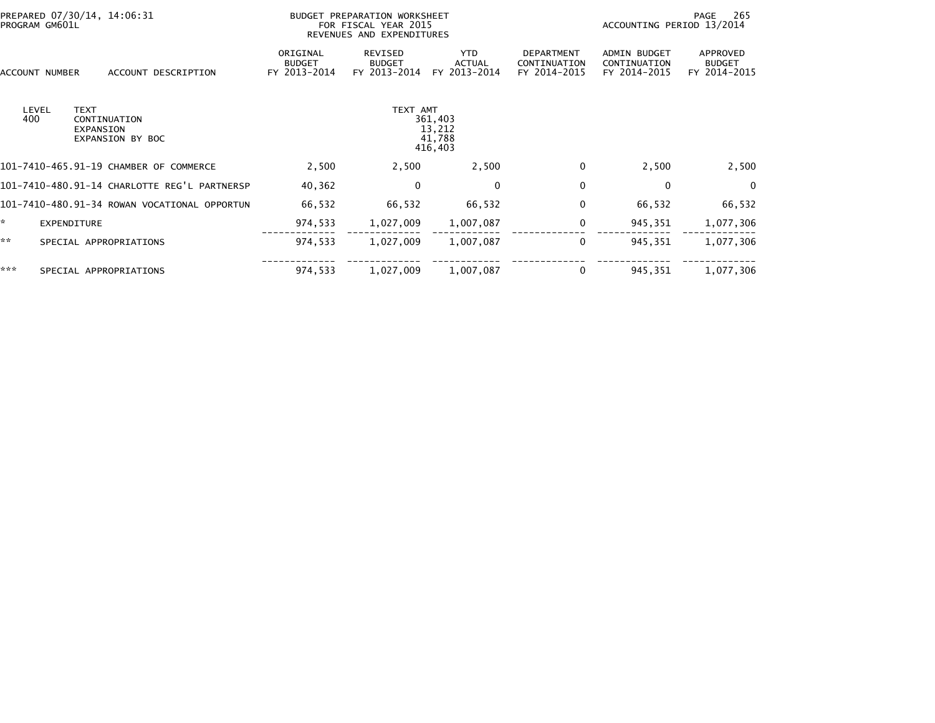| PREPARED 07/30/14, 14:06:31<br>PROGRAM GM601L |                                                              | BUDGET PREPARATION WORKSHEET<br>FOR FISCAL YEAR 2015<br>REVENUES AND EXPENDITURES |                                                    |                                             |                                                   | 265<br>PAGE<br>ACCOUNTING PERIOD 13/2014            |                                           |  |
|-----------------------------------------------|--------------------------------------------------------------|-----------------------------------------------------------------------------------|----------------------------------------------------|---------------------------------------------|---------------------------------------------------|-----------------------------------------------------|-------------------------------------------|--|
| ACCOUNT NUMBER                                | ACCOUNT DESCRIPTION                                          | ORIGINAL<br><b>BUDGET</b><br>FY 2013-2014                                         | REVISED<br><b>BUDGET</b><br>FY 2013-2014           | <b>YTD</b><br><b>ACTUAL</b><br>FY 2013-2014 | <b>DEPARTMENT</b><br>CONTINUATION<br>FY 2014-2015 | <b>ADMIN BUDGET</b><br>CONTINUATION<br>FY 2014-2015 | APPROVED<br><b>BUDGET</b><br>FY 2014-2015 |  |
| LEVEL<br>400                                  | <b>TEXT</b><br>CONTINUATION<br>EXPANSION<br>EXPANSION BY BOC |                                                                                   | TEXT AMT<br>361,403<br>13,212<br>41,788<br>416,403 |                                             |                                                   |                                                     |                                           |  |
|                                               | 101-7410-465.91-19 CHAMBER OF COMMERCE                       | 2,500                                                                             | 2,500                                              | 2,500                                       | $\Omega$                                          | 2,500                                               | 2,500                                     |  |
|                                               | 101-7410-480.91-14 CHARLOTTE REG'L PARTNERSP                 | 40,362                                                                            | $\mathbf{0}$                                       | 0                                           | $\mathbf{0}$                                      | 0                                                   | $\mathbf{0}$                              |  |
|                                               | 101-7410-480.91-34 ROWAN VOCATIONAL OPPORTUN                 | 66,532                                                                            | 66,532                                             | 66,532                                      | 0                                                 | 66,532                                              | 66,532                                    |  |
| *.                                            | EXPENDITURE                                                  | 974,533                                                                           | 1,027,009                                          | 1,007,087                                   | 0                                                 | 945,351                                             | 1,077,306                                 |  |
| **                                            | SPECIAL APPROPRIATIONS                                       | 974,533                                                                           | 1,027,009                                          | 1,007,087                                   | $\bf{0}$                                          | 945,351                                             | 1,077,306                                 |  |
| ***                                           | SPECIAL APPROPRIATIONS                                       | 974,533                                                                           | 1,027,009                                          | 1,007,087                                   | 0                                                 | 945,351                                             | 1,077,306                                 |  |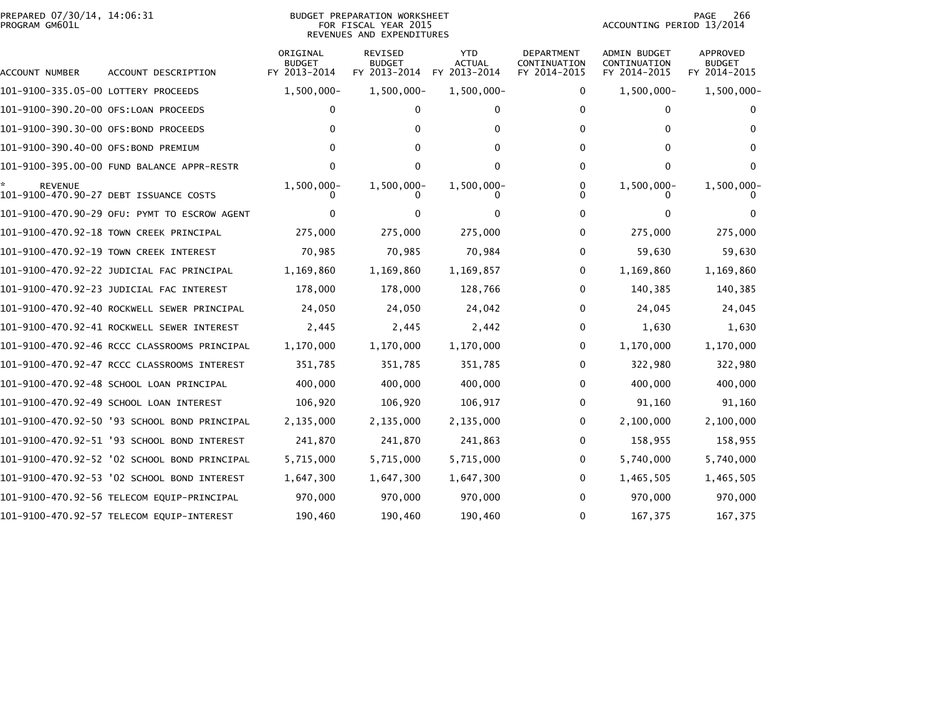## PREPARED 07/30/14, 14:06:31<br>PROGRAM GM601L

## BUDGET PREPARATION WORKSHEET<br>FOR FISCAL YEAR 2015 REVENUES AND EXPENDITURES

PAGE 266<br>ACCOUNTING PERIOD 13/2014

| ACCOUNT NUMBER                       | ACCOUNT DESCRIPTION                          | ORIGINAL<br><b>BUDGET</b><br>FY 2013-2014 | REVISED<br><b>BUDGET</b><br>FY 2013-2014 | <b>YTD</b><br>ACTUAL<br>FY 2013-2014 | <b>DEPARTMENT</b><br>CONTINUATION<br>FY 2014-2015 | ADMIN BUDGET<br>CONTINUATION<br>FY 2014-2015 | APPROVED<br><b>BUDGET</b><br>FY 2014-2015 |
|--------------------------------------|----------------------------------------------|-------------------------------------------|------------------------------------------|--------------------------------------|---------------------------------------------------|----------------------------------------------|-------------------------------------------|
| 101-9100-335.05-00 LOTTERY PROCEEDS  |                                              | $1,500,000 -$                             | $1,500,000 -$                            | $1,500,000 -$                        | 0                                                 | $1,500,000 -$                                | 1,500,000-                                |
| 101-9100-390.20-00 OFS:LOAN PROCEEDS |                                              | 0                                         | 0                                        | 0                                    | 0                                                 | 0                                            | 0                                         |
| 101-9100-390.30-00 OFS:BOND PROCEEDS |                                              | 0                                         | 0                                        | 0                                    | 0                                                 | $\mathbf{0}$                                 | 0                                         |
| 101-9100-390.40-00 OFS:BOND PREMIUM  |                                              | o                                         | 0                                        | 0                                    | 0                                                 | 0                                            |                                           |
|                                      | 101-9100-395.00-00 FUND BALANCE APPR-RESTR   | U                                         | 0                                        | 0                                    | 0                                                 | 0                                            | 0                                         |
| <b>REVENUE</b>                       | 101-9100-470.90-27 DEBT ISSUANCE COSTS       | $1,500,000 -$                             | 1,500,000-                               | 1,500,000-                           | 0                                                 | 1,500,000-                                   | 1,500,000                                 |
|                                      | 101-9100-470.90-29 OFU: PYMT TO ESCROW AGENT | o                                         |                                          |                                      | 0                                                 | 0                                            |                                           |
|                                      | 101-9100-470.92-18 TOWN CREEK PRINCIPAL      | 275,000                                   | 275,000                                  | 275,000                              | 0                                                 | 275,000                                      | 275,000                                   |
|                                      | 101-9100-470.92-19 TOWN CREEK INTEREST       | 70,985                                    | 70,985                                   | 70,984                               | 0                                                 | 59,630                                       | 59,630                                    |
|                                      | 101-9100-470.92-22 JUDICIAL FAC PRINCIPAL    | 1,169,860                                 | 1,169,860                                | 1,169,857                            | 0                                                 | 1,169,860                                    | 1,169,860                                 |
|                                      | 101-9100-470.92-23 JUDICIAL FAC INTEREST     | 178,000                                   | 178,000                                  | 128,766                              | 0                                                 | 140,385                                      | 140,385                                   |
|                                      | 101–9100–470.92–40 ROCKWELL SEWER PRINCIPAL  | 24,050                                    | 24,050                                   | 24,042                               | 0                                                 | 24,045                                       | 24,045                                    |
|                                      | 101-9100-470.92-41 ROCKWELL SEWER INTEREST   | 2,445                                     | 2,445                                    | 2,442                                | 0                                                 | 1,630                                        | 1,630                                     |
|                                      | 101-9100-470.92-46 RCCC CLASSROOMS PRINCIPAL | 1,170,000                                 | 1,170,000                                | 1,170,000                            | 0                                                 | 1,170,000                                    | 1,170,000                                 |
|                                      | 101-9100-470.92-47 RCCC CLASSROOMS INTEREST  | 351,785                                   | 351,785                                  | 351,785                              | 0                                                 | 322,980                                      | 322,980                                   |
|                                      | 101-9100-470.92-48 SCHOOL LOAN PRINCIPAL     | 400,000                                   | 400,000                                  | 400,000                              | 0                                                 | 400,000                                      | 400,000                                   |
|                                      | 101-9100-470.92-49 SCHOOL LOAN INTEREST      | 106,920                                   | 106,920                                  | 106,917                              | 0                                                 | 91,160                                       | 91,160                                    |
|                                      | 101-9100-470.92-50 '93 SCHOOL BOND PRINCIPAL | 2,135,000                                 | 2,135,000                                | 2,135,000                            | 0                                                 | 2,100,000                                    | 2,100,000                                 |
|                                      | 101-9100-470.92-51 '93 SCHOOL BOND INTEREST  | 241,870                                   | 241,870                                  | 241,863                              | 0                                                 | 158,955                                      | 158,955                                   |
|                                      | 101-9100-470.92-52 '02 SCHOOL BOND PRINCIPAL | 5,715,000                                 | 5,715,000                                | 5,715,000                            | 0                                                 | 5,740,000                                    | 5,740,000                                 |
|                                      | 101-9100-470.92-53 '02 SCHOOL BOND INTEREST  | 1,647,300                                 | 1,647,300                                | 1,647,300                            | 0                                                 | 1,465,505                                    | 1,465,505                                 |
|                                      | 101-9100-470.92-56 TELECOM EQUIP-PRINCIPAL   | 970,000                                   | 970,000                                  | 970,000                              | 0                                                 | 970,000                                      | 970,000                                   |
|                                      | 101-9100-470.92-57 TELECOM EQUIP-INTEREST    | 190,460                                   | 190,460                                  | 190,460                              | 0                                                 | 167,375                                      | 167,375                                   |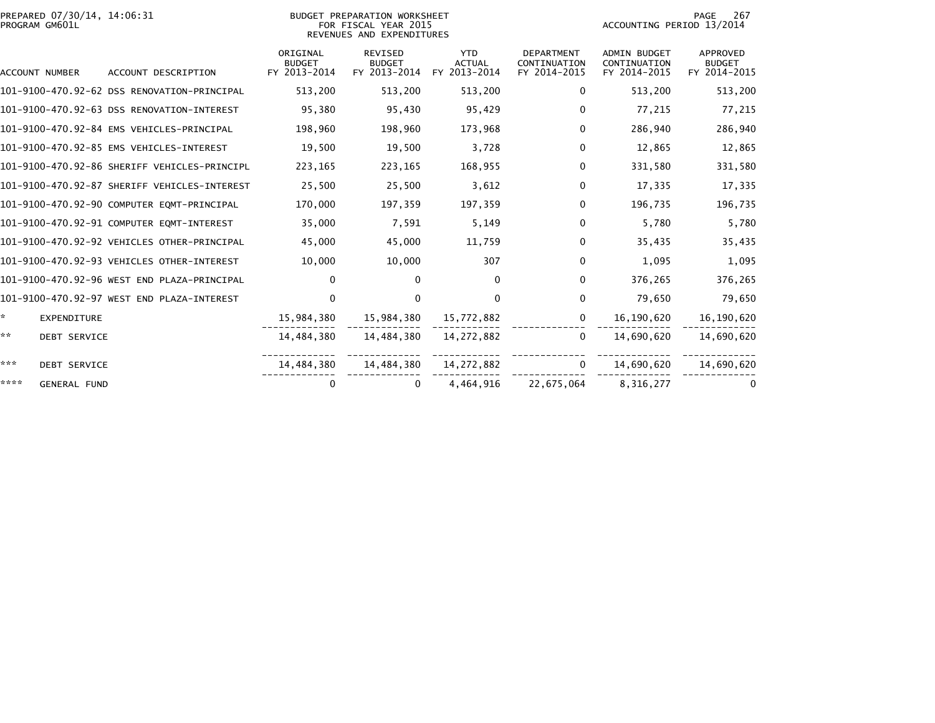| PREPARED 07/30/14, 14:06:31<br>PROGRAM GM601L |                                              |                                           | BUDGET PREPARATION WORKSHEET<br>FOR FISCAL YEAR 2015<br>REVENUES AND EXPENDITURES |                                             |                                                   | ACCOUNTING PERIOD 13/2014                           | PAGE<br>267                               |
|-----------------------------------------------|----------------------------------------------|-------------------------------------------|-----------------------------------------------------------------------------------|---------------------------------------------|---------------------------------------------------|-----------------------------------------------------|-------------------------------------------|
| ACCOUNT NUMBER                                | ACCOUNT DESCRIPTION                          | ORIGINAL<br><b>BUDGET</b><br>FY 2013-2014 | <b>REVISED</b><br><b>BUDGET</b><br>FY 2013-2014                                   | <b>YTD</b><br><b>ACTUAL</b><br>FY 2013-2014 | <b>DEPARTMENT</b><br>CONTINUATION<br>FY 2014-2015 | <b>ADMIN BUDGET</b><br>CONTINUATION<br>FY 2014-2015 | APPROVED<br><b>BUDGET</b><br>FY 2014-2015 |
|                                               | 101-9100-470.92-62 DSS RENOVATION-PRINCIPAL  | 513,200                                   | 513,200                                                                           | 513,200                                     | 0                                                 | 513,200                                             | 513,200                                   |
|                                               | 101-9100-470.92-63 DSS RENOVATION-INTEREST   | 95,380                                    | 95,430                                                                            | 95,429                                      | 0                                                 | 77,215                                              | 77,215                                    |
|                                               | 101-9100-470.92-84 EMS VEHICLES-PRINCIPAL    | 198,960                                   | 198,960                                                                           | 173,968                                     | $\mathbf{0}$                                      | 286,940                                             | 286,940                                   |
|                                               | 101-9100-470.92-85 EMS VEHICLES-INTEREST     | 19,500                                    | 19,500                                                                            | 3,728                                       | $\mathbf 0$                                       | 12,865                                              | 12,865                                    |
|                                               | 101-9100-470.92-86 SHERIFF VEHICLES-PRINCIPL | 223,165                                   | 223,165                                                                           | 168,955                                     | $\mathbf 0$                                       | 331,580                                             | 331,580                                   |
|                                               | 101-9100-470.92-87 SHERIFF VEHICLES-INTEREST | 25,500                                    | 25,500                                                                            | 3,612                                       | $\mathbf 0$                                       | 17,335                                              | 17,335                                    |
|                                               | 101-9100-470.92-90 COMPUTER EQMT-PRINCIPAL   | 170,000                                   | 197,359                                                                           | 197,359                                     | $\mathbf 0$                                       | 196,735                                             | 196,735                                   |
|                                               | 101-9100-470.92-91 COMPUTER EQMT-INTEREST    | 35,000                                    | 7,591                                                                             | 5,149                                       | 0                                                 | 5,780                                               | 5,780                                     |
|                                               | 101-9100-470.92-92 VEHICLES OTHER-PRINCIPAL  | 45,000                                    | 45,000                                                                            | 11,759                                      | 0                                                 | 35,435                                              | 35,435                                    |
|                                               | 101-9100-470.92-93 VEHICLES OTHER-INTEREST   | 10,000                                    | 10,000                                                                            | 307                                         | 0                                                 | 1,095                                               | 1,095                                     |
|                                               | 101-9100-470.92-96 WEST END PLAZA-PRINCIPAL  | $\Omega$                                  | 0                                                                                 | $\Omega$                                    | $\mathbf{0}$                                      | 376,265                                             | 376,265                                   |
|                                               | 101-9100-470.92-97 WEST END PLAZA-INTEREST   | $\Omega$                                  | $\mathbf{0}$                                                                      | $\Omega$                                    | $\mathbf 0$                                       | 79,650                                              | 79,650                                    |
| ÷.<br><b>EXPENDITURE</b>                      |                                              | 15,984,380                                | 15,984,380                                                                        | 15,772,882                                  | $\mathbf{0}$                                      | 16,190,620                                          | 16,190,620                                |
| **<br><b>DEBT SERVICE</b>                     |                                              | 14,484,380                                | 14,484,380                                                                        | 14, 272, 882                                | $\Omega$                                          | 14,690,620                                          | 14,690,620                                |
| ***<br><b>DEBT SERVICE</b>                    |                                              | 14,484,380                                | 14,484,380                                                                        | 14,272,882                                  | $\Omega$                                          | 14,690,620                                          | 14,690,620                                |
| ****<br><b>GENERAL FUND</b>                   |                                              | 0                                         | 0                                                                                 | 4,464,916                                   | 22,675,064                                        | 8,316,277                                           | 0                                         |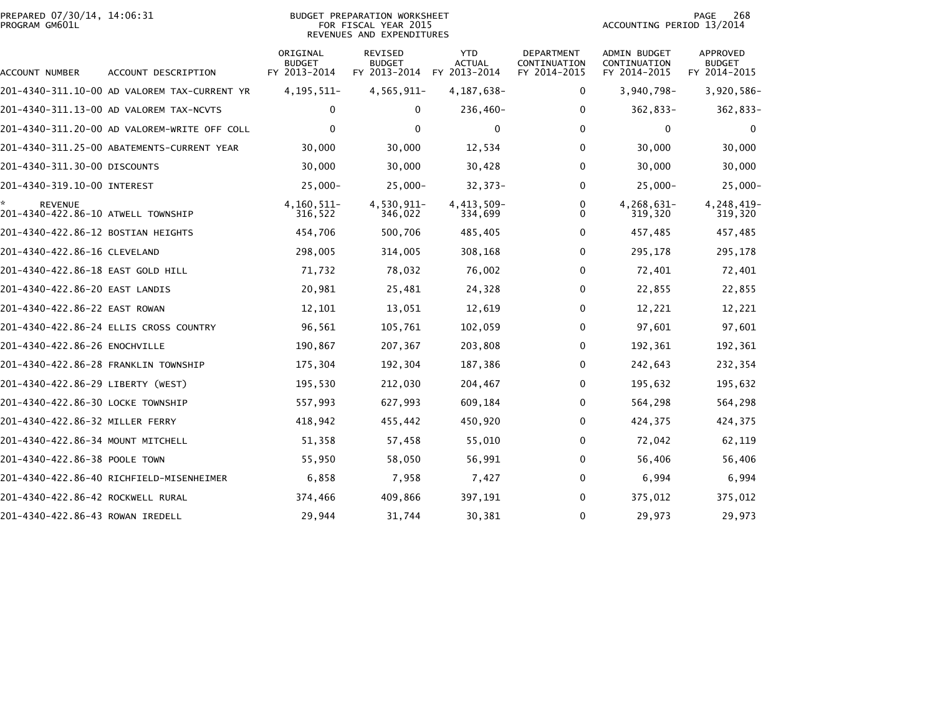|                | PREPARED 07/30/14, 14:06:31 |  |
|----------------|-----------------------------|--|
| PROGRAM GM601L |                             |  |

## BUDGET PREPARATION WORKSHEET PROGRAM GM601L FOR FISCAL YEAR 2015 ACCOUNTING PERIOD 13/2014 REVENUES AND EXPENDITURES

PAGE 268<br>ACCOUNTING PERIOD 13/2014

| ACCOUNT NUMBER                                       | ACCOUNT DESCRIPTION                          | ORIGINAL<br><b>BUDGET</b><br>FY 2013-2014 | REVISED<br><b>BUDGET</b><br>FY 2013-2014 | <b>YTD</b><br><b>ACTUAL</b><br>FY 2013-2014 | <b>DEPARTMENT</b><br>CONTINUATION<br>FY 2014-2015 | <b>ADMIN BUDGET</b><br>CONTINUATION<br>FY 2014-2015 | <b>APPROVED</b><br>BUDGET<br>FY 2014-2015 |
|------------------------------------------------------|----------------------------------------------|-------------------------------------------|------------------------------------------|---------------------------------------------|---------------------------------------------------|-----------------------------------------------------|-------------------------------------------|
|                                                      | 201-4340-311.10-00 AD VALOREM TAX-CURRENT YR | 4, 195, 511-                              | 4,565,911-                               | 4, 187, 638-                                | 0                                                 | $3,940,798-$                                        | 3,920,586-                                |
|                                                      | 201-4340-311.13-00 AD VALOREM TAX-NCVTS      | 0                                         | 0                                        | 236,460-                                    | 0                                                 | 362,833-                                            | 362,833-                                  |
|                                                      | 201–4340–311.20–00 AD VALOREM-WRITE OFF COLL | 0                                         | $\Omega$                                 | $\mathbf{0}$                                | 0                                                 | $\mathbf{0}$                                        | 0                                         |
|                                                      | 201-4340-311.25-00 ABATEMENTS-CURRENT YEAR   | 30,000                                    | 30,000                                   | 12,534                                      | 0                                                 | 30,000                                              | 30,000                                    |
| 201–4340–311.30–00 DISCOUNTS                         |                                              | 30,000                                    | 30,000                                   | 30,428                                      | 0                                                 | 30,000                                              | 30,000                                    |
| 201-4340-319.10-00 INTEREST                          |                                              | $25,000 -$                                | $25,000 -$                               | $32,373-$                                   | 0                                                 | $25,000 -$                                          | $25,000 -$                                |
| <b>REVENUE</b><br>201-4340-422.86-10 ATWELL TOWNSHIP |                                              | 4, 160, 511-<br>316,522                   | 4,530,911-<br>346,022                    | 4,413,509-<br>334,699                       | 0<br>0                                            | 4,268,631-<br>319,320                               | 4,248,419-<br>319,320                     |
| 201-4340-422.86-12 BOSTIAN HEIGHTS                   |                                              | 454,706                                   | 500,706                                  | 485,405                                     | 0                                                 | 457,485                                             | 457,485                                   |
| 201-4340-422.86-16 CLEVELAND                         |                                              | 298,005                                   | 314,005                                  | 308,168                                     | 0                                                 | 295,178                                             | 295,178                                   |
| 201-4340-422.86-18 EAST GOLD HILL                    |                                              | 71,732                                    | 78,032                                   | 76,002                                      | 0                                                 | 72,401                                              | 72,401                                    |
| 201-4340-422.86-20 EAST LANDIS                       |                                              | 20,981                                    | 25,481                                   | 24,328                                      | 0                                                 | 22,855                                              | 22,855                                    |
| 201-4340-422.86-22 EAST ROWAN                        |                                              | 12,101                                    | 13,051                                   | 12,619                                      | 0                                                 | 12,221                                              | 12,221                                    |
|                                                      | 201-4340-422.86-24 ELLIS CROSS COUNTRY       | 96,561                                    | 105,761                                  | 102,059                                     | 0                                                 | 97,601                                              | 97,601                                    |
| 201-4340-422.86-26 ENOCHVILLE                        |                                              | 190,867                                   | 207,367                                  | 203,808                                     | 0                                                 | 192,361                                             | 192,361                                   |
| 201-4340-422.86-28 FRANKLIN TOWNSHIP                 |                                              | 175,304                                   | 192,304                                  | 187,386                                     | 0                                                 | 242,643                                             | 232,354                                   |
| 201-4340-422.86-29 LIBERTY (WEST)                    |                                              | 195,530                                   | 212,030                                  | 204,467                                     | 0                                                 | 195,632                                             | 195,632                                   |
| 201-4340-422.86-30 LOCKE TOWNSHIP                    |                                              | 557,993                                   | 627,993                                  | 609,184                                     | 0                                                 | 564,298                                             | 564,298                                   |
| 201-4340-422.86-32 MILLER FERRY                      |                                              | 418,942                                   | 455,442                                  | 450,920                                     | 0                                                 | 424,375                                             | 424,375                                   |
| 201-4340-422.86-34 MOUNT MITCHELL                    |                                              | 51,358                                    | 57,458                                   | 55,010                                      | 0                                                 | 72,042                                              | 62,119                                    |
| 201-4340-422.86-38 POOLE TOWN                        |                                              | 55,950                                    | 58,050                                   | 56,991                                      | 0                                                 | 56,406                                              | 56,406                                    |
|                                                      | 201-4340-422.86-40 RICHFIELD-MISENHEIMER     | 6,858                                     | 7,958                                    | 7,427                                       | 0                                                 | 6,994                                               | 6,994                                     |
| 201-4340-422.86-42 ROCKWELL RURAL                    |                                              | 374,466                                   | 409,866                                  | 397,191                                     | 0                                                 | 375,012                                             | 375,012                                   |
| 201-4340-422.86-43 ROWAN IREDELL                     |                                              | 29,944                                    | 31,744                                   | 30,381                                      | 0                                                 | 29,973                                              | 29,973                                    |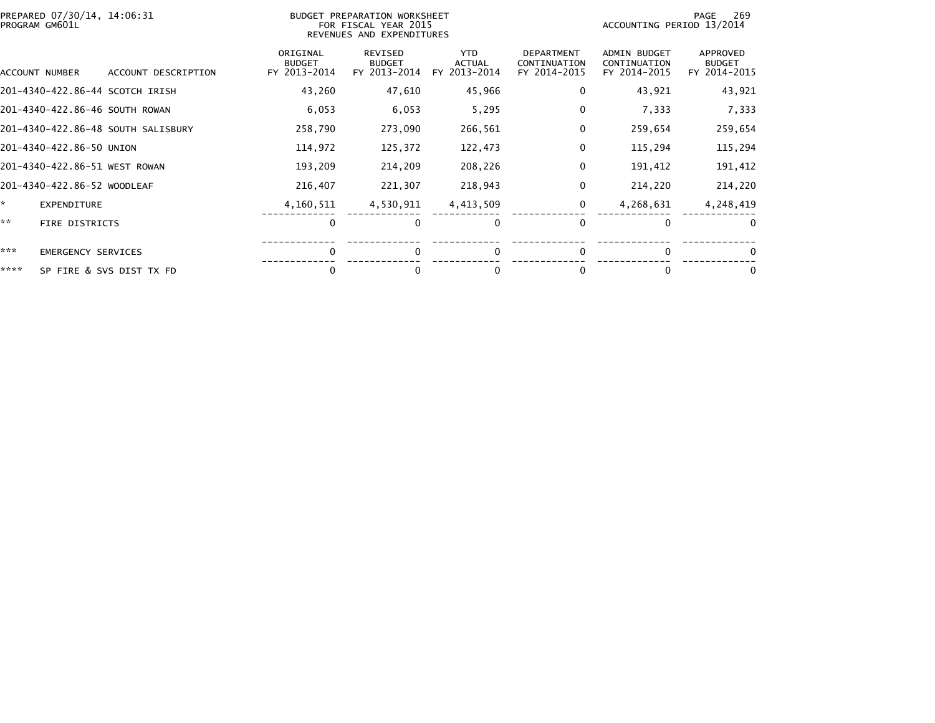|      | PREPARED 07/30/14, 14:06:31<br>BUDGET PREPARATION WORKSHEET<br>FOR FISCAL YEAR 2015<br>PROGRAM GM601L<br>REVENUES AND EXPENDITURES |                                    |                                           |                                          |                                             |                                                   | 269<br>PAGE<br>ACCOUNTING PERIOD 13/2014            |                                           |  |
|------|------------------------------------------------------------------------------------------------------------------------------------|------------------------------------|-------------------------------------------|------------------------------------------|---------------------------------------------|---------------------------------------------------|-----------------------------------------------------|-------------------------------------------|--|
|      | ACCOUNT NUMBER                                                                                                                     | ACCOUNT DESCRIPTION                | ORIGINAL<br><b>BUDGET</b><br>FY 2013-2014 | REVISED<br><b>BUDGET</b><br>FY 2013-2014 | <b>YTD</b><br><b>ACTUAL</b><br>FY 2013-2014 | <b>DEPARTMENT</b><br>CONTINUATION<br>FY 2014-2015 | <b>ADMIN BUDGET</b><br>CONTINUATION<br>FY 2014-2015 | APPROVED<br><b>BUDGET</b><br>FY 2014-2015 |  |
|      |                                                                                                                                    | 201-4340-422.86-44 SCOTCH IRISH    | 43,260                                    | 47,610                                   | 45,966                                      | 0                                                 | 43,921                                              | 43,921                                    |  |
|      | 201-4340-422.86-46 SOUTH ROWAN                                                                                                     |                                    | 6,053                                     | 6,053                                    | 5,295                                       | 0                                                 | 7,333                                               | 7,333                                     |  |
|      |                                                                                                                                    | 201-4340-422.86-48 SOUTH SALISBURY | 258,790                                   | 273,090                                  | 266,561                                     | 0                                                 | 259,654                                             | 259,654                                   |  |
|      | 201-4340-422.86-50 UNION                                                                                                           |                                    | 114,972                                   | 125,372                                  | 122,473                                     | 0                                                 | 115,294                                             | 115,294                                   |  |
|      | 201-4340-422.86-51 WEST ROWAN                                                                                                      |                                    | 193,209                                   | 214,209                                  | 208,226                                     | 0                                                 | 191,412                                             | 191,412                                   |  |
|      | 201-4340-422.86-52 WOODLEAF                                                                                                        |                                    | 216,407                                   | 221,307                                  | 218,943                                     | 0                                                 | 214,220                                             | 214,220                                   |  |
| ×.   | <b>EXPENDITURE</b>                                                                                                                 |                                    | 4,160,511                                 | 4,530,911                                | 4,413,509                                   | 0                                                 | 4,268,631                                           | 4,248,419                                 |  |
| **   | <b>FIRE DISTRICTS</b>                                                                                                              |                                    | $\Omega$                                  | $\Omega$                                 | $\Omega$                                    | $\Omega$                                          | $\Omega$                                            | $\Omega$                                  |  |
| ***  | <b>EMERGENCY SERVICES</b>                                                                                                          |                                    | $\Omega$                                  | $\Omega$                                 |                                             | $\mathbf{0}$                                      | $\Omega$                                            | 0                                         |  |
| **** |                                                                                                                                    | SP FIRE & SVS DIST TX FD           | 0                                         | 0                                        |                                             | 0                                                 |                                                     | 0                                         |  |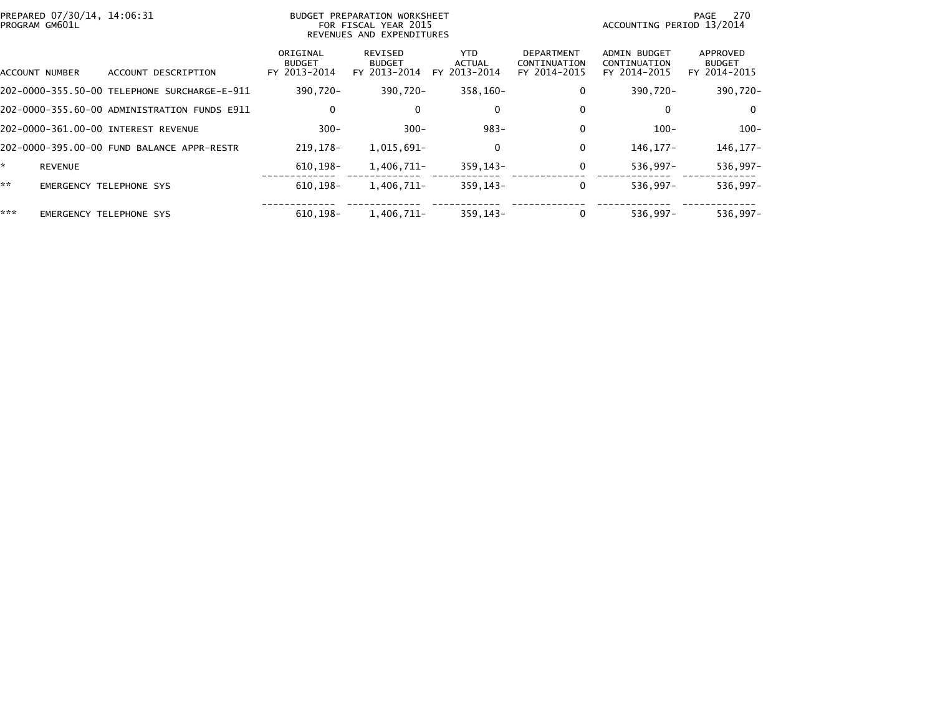|     | PREPARED 07/30/14, 14:06:31<br>PROGRAM GM601L |                                              | BUDGET PREPARATION WORKSHEET<br>FOR FISCAL YEAR 2015<br>REVENUES AND EXPENDITURES |                                          |                                       | 270<br>PAGE<br>ACCOUNTING PERIOD 13/2014          |                                                     |                                           |
|-----|-----------------------------------------------|----------------------------------------------|-----------------------------------------------------------------------------------|------------------------------------------|---------------------------------------|---------------------------------------------------|-----------------------------------------------------|-------------------------------------------|
|     | ACCOUNT NUMBER                                | ACCOUNT DESCRIPTION                          | ORIGINAL<br><b>BUDGET</b><br>FY 2013-2014                                         | REVISED<br><b>BUDGET</b><br>FY 2013-2014 | YTD.<br><b>ACTUAL</b><br>FY 2013-2014 | <b>DEPARTMENT</b><br>CONTINUATION<br>FY 2014-2015 | <b>ADMIN BUDGET</b><br>CONTINUATION<br>FY 2014-2015 | APPROVED<br><b>BUDGET</b><br>FY 2014-2015 |
|     |                                               |                                              | 390,720-                                                                          | 390,720-                                 | 358,160-                              | 0                                                 | 390,720-                                            | 390,720-                                  |
|     |                                               | 202-0000-355.60-00 ADMINISTRATION FUNDS E911 | 0                                                                                 | 0                                        | 0                                     |                                                   | 0                                                   | 0                                         |
|     |                                               | 202-0000-361.00-00 INTEREST REVENUE          | $300 -$                                                                           | $300 -$                                  | $983 -$                               |                                                   | $100 -$                                             | $100 -$                                   |
|     |                                               | 202-0000-395.00-00 FUND BALANCE APPR-RESTR   | 219,178-                                                                          | 1,015,691-                               | 0                                     | 0                                                 | 146, 177-                                           | 146, 177-                                 |
|     | <b>REVENUE</b>                                |                                              | 610,198-                                                                          | 1,406,711-                               | 359,143-                              | 0                                                 | 536,997-                                            | 536,997-                                  |
| **  |                                               | <b>EMERGENCY TELEPHONE SYS</b>               | $610, 198 -$                                                                      | 1,406,711-                               | $359, 143 -$                          |                                                   | 536,997-                                            | 536,997-                                  |
| *** |                                               | <b>EMERGENCY TELEPHONE SYS</b>               | 610.198-                                                                          | 1,406,711-                               | $359, 143 -$                          |                                                   | 536,997-                                            | 536,997-                                  |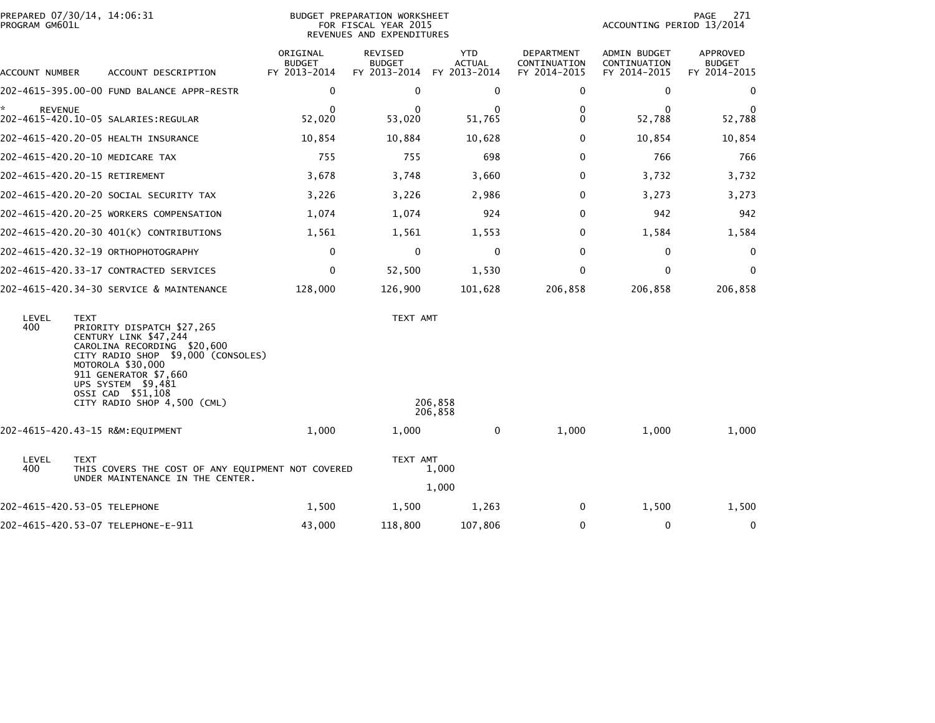| PROGRAM GM601L       | PREPARED 07/30/14, 14:06:31                                                                                                                                                                                                                                     | BUDGET PREPARATION WORKSHEET<br>FOR FISCAL YEAR 2015<br>REVENUES AND EXPENDITURES |                                          |                                             |                                            | 271<br>PAGE<br>ACCOUNTING PERIOD 13/2014     |                                           |  |
|----------------------|-----------------------------------------------------------------------------------------------------------------------------------------------------------------------------------------------------------------------------------------------------------------|-----------------------------------------------------------------------------------|------------------------------------------|---------------------------------------------|--------------------------------------------|----------------------------------------------|-------------------------------------------|--|
| ACCOUNT NUMBER       | ACCOUNT DESCRIPTION                                                                                                                                                                                                                                             | ORIGINAL<br><b>BUDGET</b><br>FY 2013-2014                                         | REVISED<br><b>BUDGET</b><br>FY 2013-2014 | <b>YTD</b><br><b>ACTUAL</b><br>FY 2013-2014 | DEPARTMENT<br>CONTINUATION<br>FY 2014-2015 | ADMIN BUDGET<br>CONTINUATION<br>FY 2014-2015 | APPROVED<br><b>BUDGET</b><br>FY 2014-2015 |  |
|                      | 202-4615-395.00-00 FUND BALANCE APPR-RESTR                                                                                                                                                                                                                      | 0                                                                                 | $\mathbf 0$                              | 0                                           | 0                                          | 0                                            | 0                                         |  |
| ŵ.<br><b>REVENUE</b> | 202-4615-420.10-05 SALARIES:REGULAR                                                                                                                                                                                                                             | $\mathbf{0}$<br>52,020                                                            | $\Omega$<br>53,020                       | $\Omega$<br>51,765                          | 0<br>0                                     | $\Omega$<br>52,788                           | $\Omega$<br>52,788                        |  |
|                      | 202-4615-420.20-05 HEALTH INSURANCE                                                                                                                                                                                                                             | 10,854                                                                            | 10,884                                   | 10,628                                      | 0                                          | 10,854                                       | 10,854                                    |  |
|                      | 202-4615-420.20-10 MEDICARE TAX                                                                                                                                                                                                                                 | 755                                                                               | 755                                      | 698                                         | $\Omega$                                   | 766                                          | 766                                       |  |
|                      | 202-4615-420.20-15 RETIREMENT                                                                                                                                                                                                                                   | 3,678                                                                             | 3,748                                    | 3,660                                       | 0                                          | 3,732                                        | 3,732                                     |  |
|                      | 202–4615–420.20–20 SOCIAL SECURITY TAX                                                                                                                                                                                                                          | 3,226                                                                             | 3,226                                    | 2,986                                       | 0                                          | 3,273                                        | 3,273                                     |  |
|                      | 202-4615-420.20-25 WORKERS COMPENSATION                                                                                                                                                                                                                         | 1,074                                                                             | 1,074                                    | 924                                         | $\Omega$                                   | 942                                          | 942                                       |  |
|                      | 202-4615-420.20-30 401(K) CONTRIBUTIONS                                                                                                                                                                                                                         | 1,561                                                                             | 1,561                                    | 1,553                                       | 0                                          | 1,584                                        | 1,584                                     |  |
|                      | 202-4615-420.32-19 ORTHOPHOTOGRAPHY                                                                                                                                                                                                                             | $\mathbf 0$                                                                       | $\mathbf 0$                              | $\mathbf 0$                                 | 0                                          | 0                                            | 0                                         |  |
|                      | 202-4615-420.33-17 CONTRACTED SERVICES                                                                                                                                                                                                                          | 0                                                                                 | 52,500                                   | 1,530                                       | $\Omega$                                   | $\mathbf 0$                                  | $\mathbf 0$                               |  |
|                      | 202-4615-420.34-30 SERVICE & MAINTENANCE                                                                                                                                                                                                                        | 128,000                                                                           | 126,900                                  | 101,628                                     | 206,858                                    | 206,858                                      | 206,858                                   |  |
| LEVEL<br>400         | <b>TEXT</b><br>PRIORITY DISPATCH \$27,265<br>CENTURY LINK \$47,244<br>CAROLINA RECORDING \$20,600<br>CITY RADIO SHOP \$9,000 (CONSOLES)<br>MOTOROLA \$30,000<br>911 GENERATOR \$7,660<br>UPS SYSTEM \$9,481<br>OSSI CAD \$51,108<br>CITY RADIO SHOP 4,500 (CML) |                                                                                   | TEXT AMT                                 | 206,858<br>206,858                          |                                            |                                              |                                           |  |
|                      | 202-4615-420.43-15 R&M:EQUIPMENT                                                                                                                                                                                                                                | 1.000                                                                             | 1,000                                    | $\bf{0}$                                    | 1,000                                      | 1,000                                        | 1,000                                     |  |
| LEVEL<br>400         | <b>TEXT</b><br>THIS COVERS THE COST OF ANY EQUIPMENT NOT COVERED<br>UNDER MAINTENANCE IN THE CENTER.                                                                                                                                                            | TEXT AMT<br>1,000<br>1,000                                                        |                                          |                                             |                                            |                                              |                                           |  |
|                      | 202-4615-420.53-05 TELEPHONE                                                                                                                                                                                                                                    | 1,500                                                                             | 1,500                                    | 1,263                                       | 0                                          | 1,500                                        | 1,500                                     |  |
|                      | 202-4615-420.53-07 TELEPHONE-E-911                                                                                                                                                                                                                              | 43,000                                                                            | 118,800                                  | 107,806                                     | 0                                          | 0                                            | 0                                         |  |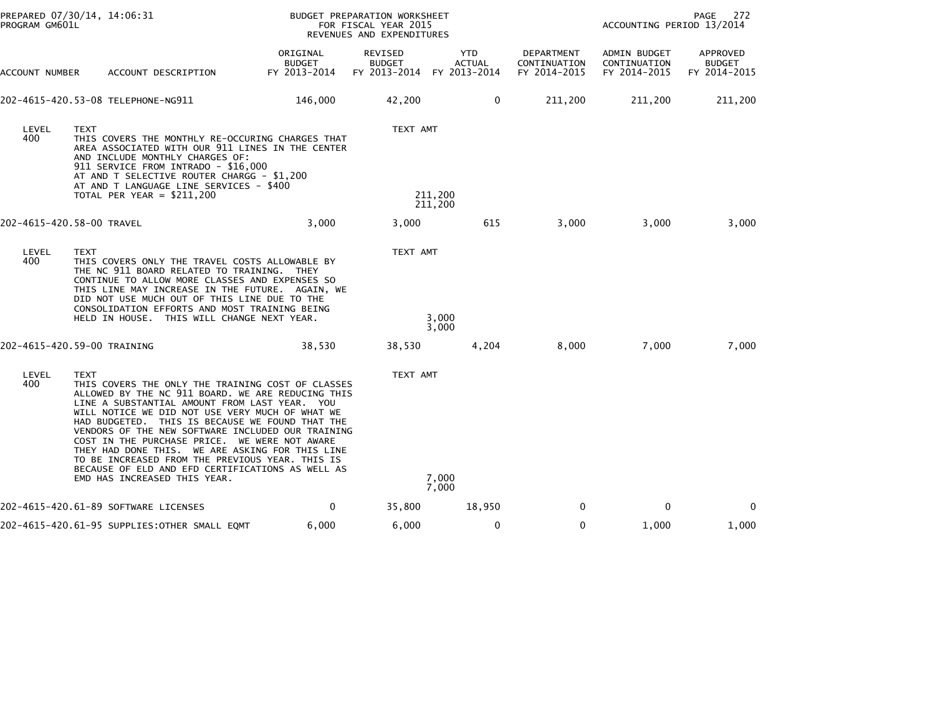| PROGRAM GM601L            | PREPARED 07/30/14, 14:06:31                                                                                                                                                                                                                                                                                                                                                                                                                                                                                                                                                  |                                    | BUDGET PREPARATION WORKSHEET<br>FOR FISCAL YEAR 2015<br>REVENUES AND EXPENDITURES |                    |                                            |                                              | PAGE<br>272<br>ACCOUNTING PERIOD 13/2014  |  |  |
|---------------------------|------------------------------------------------------------------------------------------------------------------------------------------------------------------------------------------------------------------------------------------------------------------------------------------------------------------------------------------------------------------------------------------------------------------------------------------------------------------------------------------------------------------------------------------------------------------------------|------------------------------------|-----------------------------------------------------------------------------------|--------------------|--------------------------------------------|----------------------------------------------|-------------------------------------------|--|--|
| ACCOUNT NUMBER            | ACCOUNT DESCRIPTION                                                                                                                                                                                                                                                                                                                                                                                                                                                                                                                                                          | ORIGINAL<br>BUDGET<br>FY 2013-2014 | REVISED<br><b>BUDGET</b><br>FY 2013-2014 FY 2013-2014                             | YTD<br>ACTUAL      | DEPARTMENT<br>CONTINUATION<br>FY 2014-2015 | ADMIN BUDGET<br>CONTINUATION<br>FY 2014-2015 | APPROVED<br><b>BUDGET</b><br>FY 2014-2015 |  |  |
|                           | 202-4615-420.53-08 TELEPHONE-NG911                                                                                                                                                                                                                                                                                                                                                                                                                                                                                                                                           | 146,000                            | 42,200                                                                            | $\mathbf{0}$       | 211,200                                    | 211,200                                      | 211,200                                   |  |  |
| LEVEL<br>400              | <b>TEXT</b><br>THIS COVERS THE MONTHLY RE-OCCURING CHARGES THAT<br>AREA ASSOCIATED WITH OUR 911 LINES IN THE CENTER<br>AND INCLUDE MONTHLY CHARGES OF:<br>911 SERVICE FROM INTRADO - \$16,000<br>AT AND T SELECTIVE ROUTER CHARGG - \$1,200<br>AT AND T LANGUAGE LINE SERVICES - \$400<br>TOTAL PER YEAR = $$211,200$                                                                                                                                                                                                                                                        |                                    | TEXT AMT                                                                          | 211,200<br>211,200 |                                            |                                              |                                           |  |  |
| 202-4615-420.58-00 TRAVEL |                                                                                                                                                                                                                                                                                                                                                                                                                                                                                                                                                                              | 3,000                              | 3,000                                                                             | 615                | 3,000                                      | 3,000                                        | 3,000                                     |  |  |
| LEVEL<br>400              | <b>TEXT</b><br>THIS COVERS ONLY THE TRAVEL COSTS ALLOWABLE BY<br>THE NC 911 BOARD RELATED TO TRAINING. THEY<br>CONTINUE TO ALLOW MORE CLASSES AND EXPENSES SO<br>THIS LINE MAY INCREASE IN THE FUTURE. AGAIN, WE<br>DID NOT USE MUCH OUT OF THIS LINE DUE TO THE<br>CONSOLIDATION EFFORTS AND MOST TRAINING BEING<br>HELD IN HOUSE. THIS WILL CHANGE NEXT YEAR.                                                                                                                                                                                                              |                                    | TEXT AMT                                                                          | 3,000<br>3,000     |                                            |                                              |                                           |  |  |
|                           | 202-4615-420.59-00 TRAINING                                                                                                                                                                                                                                                                                                                                                                                                                                                                                                                                                  | 38,530                             | 38,530                                                                            | 4,204              | 8,000                                      | 7,000                                        | 7,000                                     |  |  |
| LEVEL<br>400              | <b>TEXT</b><br>THIS COVERS THE ONLY THE TRAINING COST OF CLASSES<br>ALLOWED BY THE NC 911 BOARD. WE ARE REDUCING THIS<br>LINE A SUBSTANTIAL AMOUNT FROM LAST YEAR. YOU<br>WILL NOTICE WE DID NOT USE VERY MUCH OF WHAT WE<br>HAD BUDGETED. THIS IS BECAUSE WE FOUND THAT THE<br>VENDORS OF THE NEW SOFTWARE INCLUDED OUR TRAINING<br>COST IN THE PURCHASE PRICE. WE WERE NOT AWARE<br>THEY HAD DONE THIS. WE ARE ASKING FOR THIS LINE<br>TO BE INCREASED FROM THE PREVIOUS YEAR. THIS IS<br>BECAUSE OF ELD AND EFD CERTIFICATIONS AS WELL AS<br>EMD HAS INCREASED THIS YEAR. |                                    | TEXT AMT                                                                          | 7,000<br>7,000     |                                            |                                              |                                           |  |  |
|                           | 202-4615-420.61-89 SOFTWARE LICENSES                                                                                                                                                                                                                                                                                                                                                                                                                                                                                                                                         | 0                                  | 35,800                                                                            | 18,950             | 0                                          | 0                                            | 0                                         |  |  |
|                           | 202-4615-420.61-95 SUPPLIES:OTHER SMALL EQMT                                                                                                                                                                                                                                                                                                                                                                                                                                                                                                                                 | 6,000                              | 6,000                                                                             | 0                  | $\mathbf{0}$                               | 1,000                                        | 1,000                                     |  |  |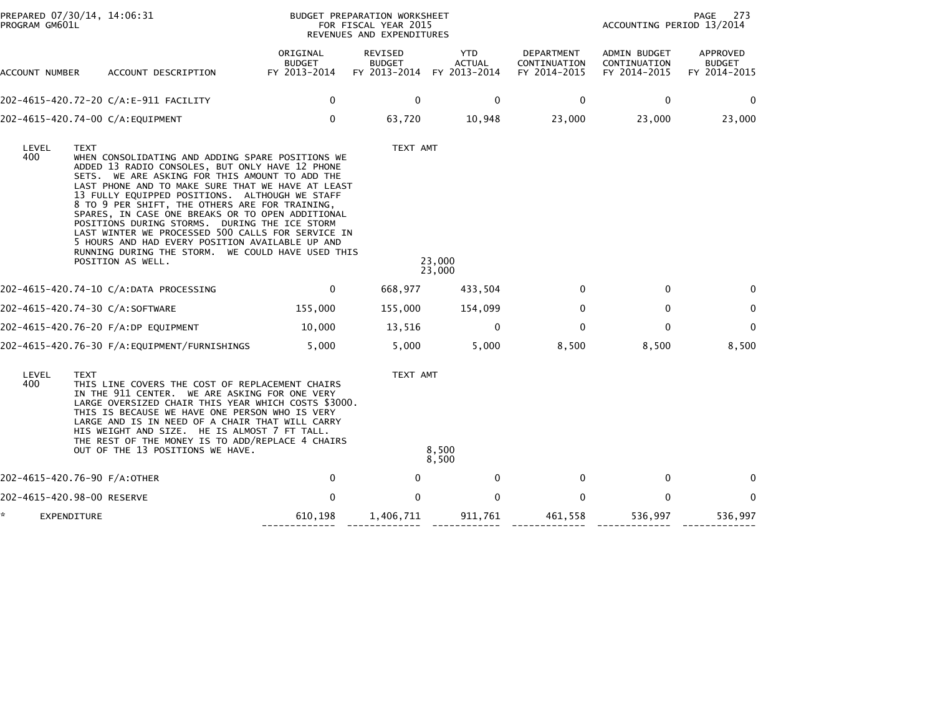| PROGRAM GM601L   | PREPARED 07/30/14, 14:06:31                                                                                                                                                                                                                                                                                                                                                                                                                                                                                                                                                                                   |                                           | BUDGET PREPARATION WORKSHEET<br>FOR FISCAL YEAR 2015<br>REVENUES AND EXPENDITURES |                                             |                                            |                                              | PAGE<br>273<br>ACCOUNTING PERIOD 13/2014  |  |
|------------------|---------------------------------------------------------------------------------------------------------------------------------------------------------------------------------------------------------------------------------------------------------------------------------------------------------------------------------------------------------------------------------------------------------------------------------------------------------------------------------------------------------------------------------------------------------------------------------------------------------------|-------------------------------------------|-----------------------------------------------------------------------------------|---------------------------------------------|--------------------------------------------|----------------------------------------------|-------------------------------------------|--|
| ACCOUNT NUMBER   | ACCOUNT DESCRIPTION                                                                                                                                                                                                                                                                                                                                                                                                                                                                                                                                                                                           | ORIGINAL<br><b>BUDGET</b><br>FY 2013-2014 | <b>REVISED</b><br><b>BUDGET</b><br>FY 2013-2014                                   | <b>YTD</b><br><b>ACTUAL</b><br>FY 2013-2014 | DEPARTMENT<br>CONTINUATION<br>FY 2014-2015 | ADMIN BUDGET<br>CONTINUATION<br>FY 2014-2015 | APPROVED<br><b>BUDGET</b><br>FY 2014-2015 |  |
|                  | 202-4615-420.72-20 C/A:E-911 FACILITY                                                                                                                                                                                                                                                                                                                                                                                                                                                                                                                                                                         | $\mathbf 0$                               | $\mathbf 0$                                                                       | $\mathbf 0$                                 | 0                                          | $\mathbf 0$                                  | 0                                         |  |
|                  | 202-4615-420.74-00 C/A:EQUIPMENT                                                                                                                                                                                                                                                                                                                                                                                                                                                                                                                                                                              | 0                                         | 63,720                                                                            | 10,948                                      | 23,000                                     | 23,000                                       | 23,000                                    |  |
| LEVEL<br>400     | TEXT<br>WHEN CONSOLIDATING AND ADDING SPARE POSITIONS WE<br>ADDED 13 RADIO CONSOLES, BUT ONLY HAVE 12 PHONE<br>SETS. WE ARE ASKING FOR THIS AMOUNT TO ADD THE<br>LAST PHONE AND TO MAKE SURE THAT WE HAVE AT LEAST<br>13 FULLY EQUIPPED POSITIONS. ALTHOUGH WE STAFF<br>8 TO 9 PER SHIFT, THE OTHERS ARE FOR TRAINING,<br>SPARES, IN CASE ONE BREAKS OR TO OPEN ADDITIONAL<br>POSITIONS DURING STORMS. DURING THE ICE STORM<br>LAST WINTER WE PROCESSED 500 CALLS FOR SERVICE IN<br>5 HOURS AND HAD EVERY POSITION AVAILABLE UP AND<br>RUNNING DURING THE STORM. WE COULD HAVE USED THIS<br>POSITION AS WELL. |                                           | TEXT AMT                                                                          | 23,000<br>23,000                            |                                            |                                              |                                           |  |
|                  | 202-4615-420.74-10 C/A:DATA PROCESSING                                                                                                                                                                                                                                                                                                                                                                                                                                                                                                                                                                        | 0                                         | 668,977                                                                           | 433,504                                     | 0                                          | 0                                            | 0                                         |  |
|                  | 202-4615-420.74-30 C/A:SOFTWARE                                                                                                                                                                                                                                                                                                                                                                                                                                                                                                                                                                               | 155,000                                   | 155,000                                                                           | 154,099                                     | $\mathbf{0}$                               | 0                                            | 0                                         |  |
|                  | 202-4615-420.76-20 F/A:DP EQUIPMENT                                                                                                                                                                                                                                                                                                                                                                                                                                                                                                                                                                           | 10,000                                    | 13,516                                                                            | 0                                           | $\mathbf{0}$                               | $\Omega$                                     | $\mathbf{0}$                              |  |
|                  |                                                                                                                                                                                                                                                                                                                                                                                                                                                                                                                                                                                                               | 5,000                                     | 5,000                                                                             | 5,000                                       | 8,500                                      | 8,500                                        | 8,500                                     |  |
| LEVEL<br>400     | <b>TEXT</b><br>TEXT AMT<br>THIS LINE COVERS THE COST OF REPLACEMENT CHAIRS<br>IN THE 911 CENTER. WE ARE ASKING FOR ONE VERY<br>LARGE OVERSIZED CHAIR THIS YEAR WHICH COSTS \$3000.<br>THIS IS BECAUSE WE HAVE ONE PERSON WHO IS VERY<br>LARGE AND IS IN NEED OF A CHAIR THAT WILL CARRY<br>HIS WEIGHT AND SIZE. HE IS ALMOST 7 FT TALL.<br>THE REST OF THE MONEY IS TO ADD/REPLACE 4 CHAIRS<br>8,500<br>OUT OF THE 13 POSITIONS WE HAVE.<br>8,500                                                                                                                                                             |                                           |                                                                                   |                                             |                                            |                                              |                                           |  |
|                  | 202-4615-420.76-90 F/A:OTHER                                                                                                                                                                                                                                                                                                                                                                                                                                                                                                                                                                                  | 0                                         | 0                                                                                 | $\mathbf 0$                                 | 0                                          | $\mathbf 0$                                  | 0                                         |  |
|                  | 202-4615-420.98-00 RESERVE                                                                                                                                                                                                                                                                                                                                                                                                                                                                                                                                                                                    | $\Omega$                                  | $\Omega$                                                                          | $\mathbf{0}$                                | $\mathbf{0}$                               | $\Omega$                                     | $\mathbf{0}$                              |  |
| *<br>EXPENDITURE |                                                                                                                                                                                                                                                                                                                                                                                                                                                                                                                                                                                                               | 610,198                                   | 1,406,711                                                                         | 911,761                                     | 461,558                                    | 536,997                                      | 536,997                                   |  |

------------- ------------- ------------ ------------- ------------- -------------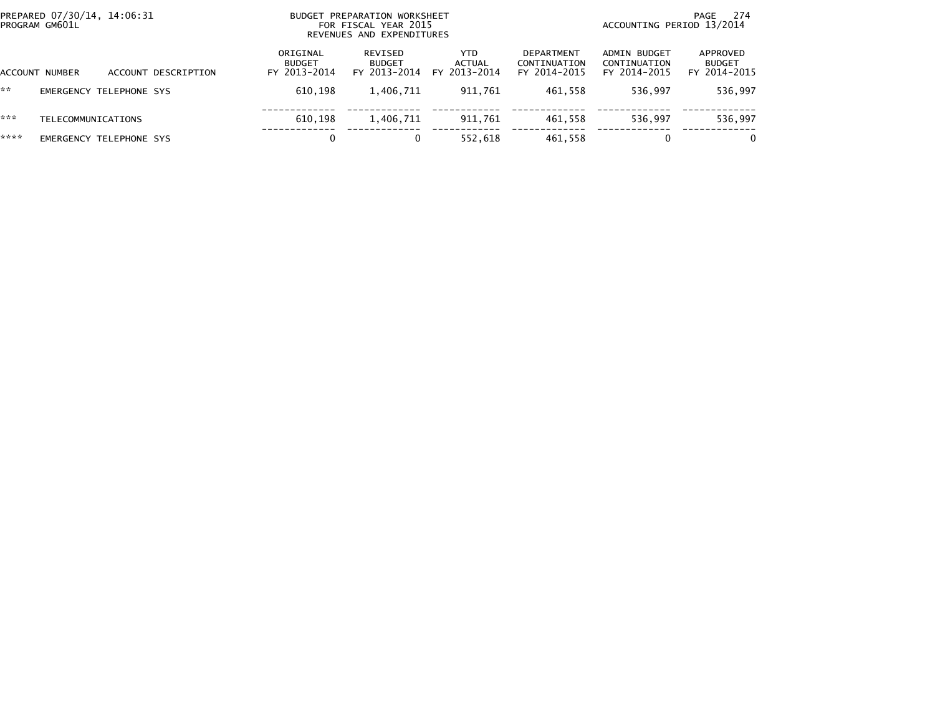| PREPARED 07/30/14, 14:06:31<br>PROGRAM GM601L |                    |                         | BUDGET PREPARATION WORKSHEET<br>FOR FISCAL YEAR 2015<br>REVENUES AND EXPENDITURES |                                           |                                          |                                      | 274<br>PAGE<br>ACCOUNTING PERIOD 13/2014          |                                              |                                           |
|-----------------------------------------------|--------------------|-------------------------|-----------------------------------------------------------------------------------|-------------------------------------------|------------------------------------------|--------------------------------------|---------------------------------------------------|----------------------------------------------|-------------------------------------------|
|                                               | ACCOUNT NUMBER     |                         | ACCOUNT DESCRIPTION                                                               | ORIGINAL<br><b>BUDGET</b><br>FY 2013-2014 | REVISED<br><b>BUDGET</b><br>FY 2013-2014 | <b>YTD</b><br>ACTUAL<br>FY 2013-2014 | <b>DEPARTMENT</b><br>CONTINUATION<br>FY 2014-2015 | ADMIN BUDGET<br>CONTINUATION<br>FY 2014-2015 | APPROVED<br><b>BUDGET</b><br>FY 2014-2015 |
| **                                            |                    | EMERGENCY TELEPHONE SYS |                                                                                   | 610.198                                   | 1,406,711                                | 911.761                              | 461.558                                           | 536.997                                      | 536,997                                   |
| ***                                           | TELECOMMUNICATIONS |                         |                                                                                   | 610.198                                   | 1,406,711                                | 911,761                              | 461,558                                           | 536.997                                      | 536,997                                   |
| ****                                          |                    | EMERGENCY TELEPHONE SYS |                                                                                   | 0                                         |                                          | 552,618                              | 461,558                                           | 0                                            | $\mathbf{0}$                              |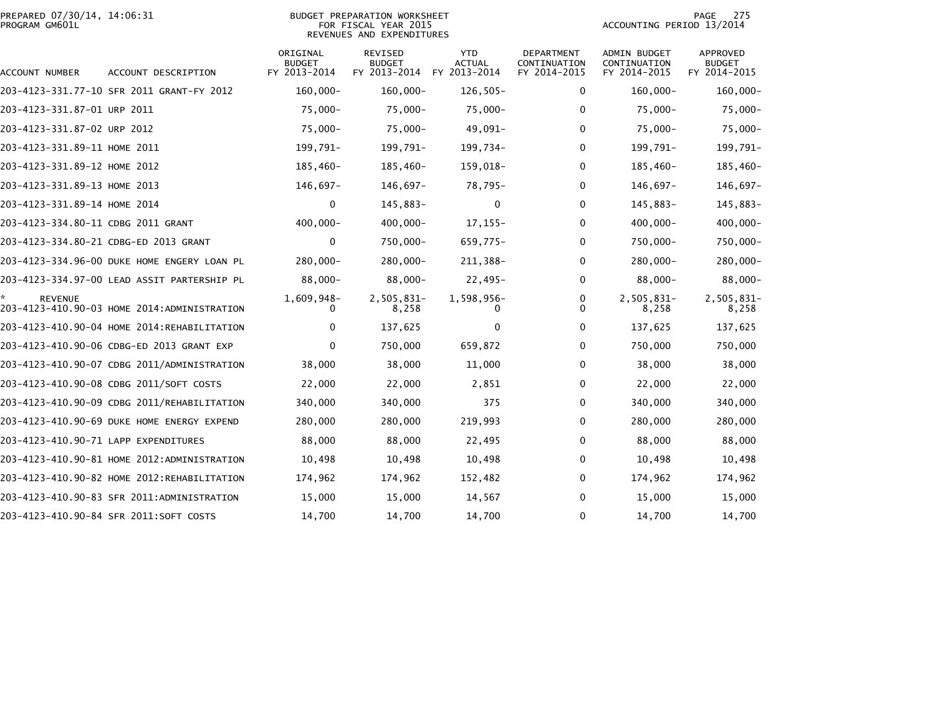|                | PREPARED 07/30/14, 14:06:31 |  |
|----------------|-----------------------------|--|
| PROGRAM GM601L |                             |  |

## PREPARED 07/30/14, 14:06:31 BUDGET PREPARATION WORKSHEET PAGE 275PROGRAM GM601L FOR FISCAL YEAR 2015 ACCOUNTING PERIOD 13/2014 REVENUES AND EXPENDITURES

PAGE 275<br>ACCOUNTING PERIOD 13/2014

| ACCOUNT NUMBER                       | ACCOUNT DESCRIPTION                         | ORIGINAL<br><b>BUDGET</b><br>FY 2013-2014 | REVISED<br><b>BUDGET</b><br>FY 2013-2014 | <b>YTD</b><br><b>ACTUAL</b><br>FY 2013-2014 | DEPARTMENT<br>CONTINUATION<br>FY 2014-2015 | <b>ADMIN BUDGET</b><br>CONTINUATION<br>FY 2014-2015 | APPROVED<br><b>BUDGET</b><br>FY 2014-2015 |
|--------------------------------------|---------------------------------------------|-------------------------------------------|------------------------------------------|---------------------------------------------|--------------------------------------------|-----------------------------------------------------|-------------------------------------------|
|                                      | 203-4123-331.77-10 SFR 2011 GRANT-FY 2012   | $160,000 -$                               | $160,000 -$                              | $126,505-$                                  | 0                                          | $160,000 -$                                         | 160,000-                                  |
| 203-4123-331.87-01 URP 2011          |                                             | $75,000 -$                                | 75,000-                                  | $75,000 -$                                  | $\mathbf{0}$                               | $75,000 -$                                          | 75,000-                                   |
| 203-4123-331.87-02 URP 2012          |                                             | $75,000 -$                                | 75,000-                                  | 49,091-                                     | 0                                          | $75,000 -$                                          | 75,000-                                   |
| 203-4123-331.89-11 HOME 2011         |                                             | 199,791-                                  | 199,791-                                 | 199,734-                                    | 0                                          | 199,791-                                            | 199,791-                                  |
| 203-4123-331.89-12 HOME 2012         |                                             | 185,460-                                  | 185,460-                                 | 159,018-                                    | 0                                          | $185,460-$                                          | 185,460-                                  |
| 203-4123-331.89-13 HOME 2013         |                                             | 146,697-                                  | 146,697-                                 | 78,795-                                     | 0                                          | 146,697-                                            | 146,697-                                  |
| 203-4123-331.89-14 HOME 2014         |                                             | 0                                         | 145,883-                                 | 0                                           | 0                                          | 145,883-                                            | 145,883-                                  |
| 203-4123-334.80-11 CDBG 2011 GRANT   |                                             | 400,000-                                  | $400,000 -$                              | $17, 155 -$                                 | 0                                          | $400,000 -$                                         | $400,000 -$                               |
|                                      | 203-4123-334.80-21 CDBG-ED 2013 GRANT       | $\mathbf{0}$                              | 750,000-                                 | 659,775-                                    | $\mathbf{0}$                               | 750,000-                                            | 750,000-                                  |
|                                      | 203-4123-334.96-00 DUKE HOME ENGERY LOAN PL | 280,000-                                  | 280,000-                                 | 211,388-                                    | 0                                          | 280,000-                                            | 280,000-                                  |
|                                      | 203-4123-334.97-00 LEAD ASSIT PARTERSHIP PL | $88,000 -$                                | $88,000 -$                               | $22,495-$                                   | 0                                          | $88,000 -$                                          | 88,000-                                   |
| <b>REVENUE</b>                       | 203-4123-410.90-03 HOME 2014:ADMINISTRATION | 1,609,948-                                | 2,505,831-<br>8,258                      | 1,598,956-                                  | 0<br>0                                     | 2,505,831-<br>8,258                                 | 2,505,831-<br>8,258                       |
|                                      | 203-4123-410.90-04 HOME 2014:REHABILITATION | 0                                         | 137,625                                  | 0                                           | $\Omega$                                   | 137,625                                             | 137,625                                   |
|                                      | 203-4123-410.90-06 CDBG-ED 2013 GRANT EXP   | $\Omega$                                  | 750,000                                  | 659,872                                     | 0                                          | 750,000                                             | 750,000                                   |
|                                      | 203-4123-410.90-07 CDBG 2011/ADMINISTRATION | 38,000                                    | 38,000                                   | 11,000                                      | 0                                          | 38,000                                              | 38,000                                    |
|                                      | 203-4123-410.90-08 CDBG 2011/SOFT COSTS     | 22,000                                    | 22,000                                   | 2,851                                       | 0                                          | 22,000                                              | 22,000                                    |
|                                      | 203-4123-410.90-09 CDBG 2011/REHABILITATION | 340,000                                   | 340,000                                  | 375                                         | 0                                          | 340,000                                             | 340,000                                   |
|                                      | 203-4123-410.90-69 DUKE HOME ENERGY EXPEND  | 280,000                                   | 280,000                                  | 219,993                                     | 0                                          | 280,000                                             | 280,000                                   |
| 203-4123-410.90-71 LAPP EXPENDITURES |                                             | 88,000                                    | 88,000                                   | 22,495                                      | 0                                          | 88,000                                              | 88,000                                    |
|                                      | 203-4123-410.90-81 HOME 2012:ADMINISTRATION | 10,498                                    | 10,498                                   | 10,498                                      | 0                                          | 10,498                                              | 10,498                                    |
|                                      | 203-4123-410.90-82 HOME 2012:REHABILITATION | 174,962                                   | 174,962                                  | 152,482                                     | $\Omega$                                   | 174,962                                             | 174,962                                   |
|                                      | 203-4123-410.90-83 SFR 2011:ADMINISTRATION  | 15,000                                    | 15,000                                   | 14,567                                      | 0                                          | 15,000                                              | 15,000                                    |
|                                      | 203-4123-410.90-84 SFR 2011:SOFT COSTS      | 14,700                                    | 14,700                                   | 14,700                                      | 0                                          | 14,700                                              | 14,700                                    |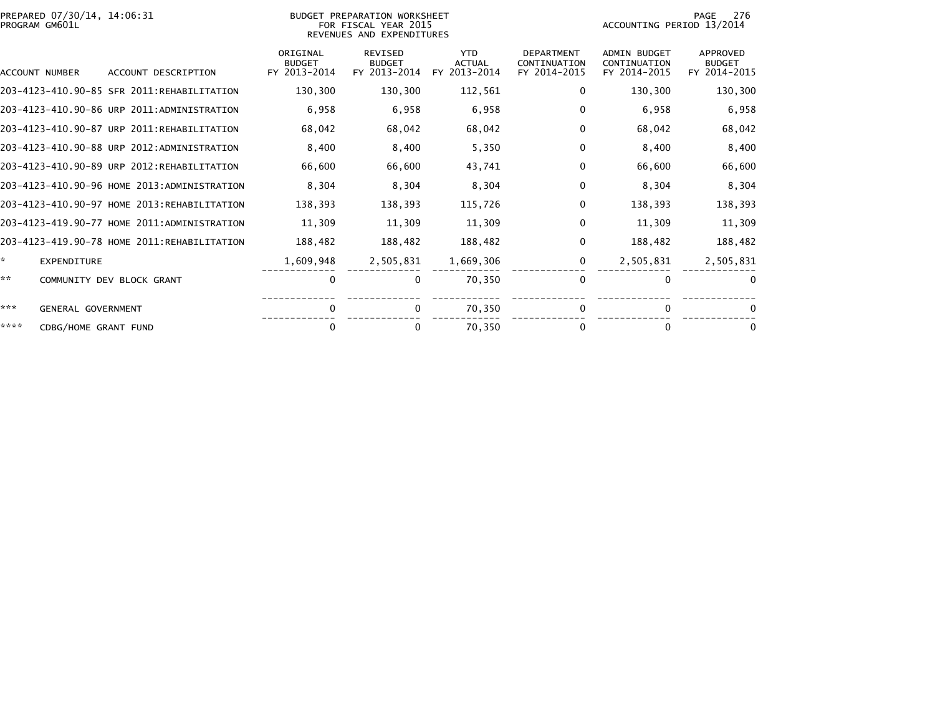| PREPARED 07/30/14, 14:06:31<br>PROGRAM GM601L |                                             |                                           | BUDGET PREPARATION WORKSHEET<br>FOR FISCAL YEAR 2015<br>REVENUES AND EXPENDITURES | 276<br>PAGE<br>ACCOUNTING PERIOD 13/2014    |                                                   |                                                     |                                           |
|-----------------------------------------------|---------------------------------------------|-------------------------------------------|-----------------------------------------------------------------------------------|---------------------------------------------|---------------------------------------------------|-----------------------------------------------------|-------------------------------------------|
| <b>ACCOUNT NUMBER</b>                         | ACCOUNT DESCRIPTION                         | ORIGINAL<br><b>BUDGET</b><br>FY 2013-2014 | <b>REVISED</b><br><b>BUDGET</b><br>FY 2013-2014                                   | <b>YTD</b><br><b>ACTUAL</b><br>FY 2013-2014 | <b>DEPARTMENT</b><br>CONTINUATION<br>FY 2014-2015 | <b>ADMIN BUDGET</b><br>CONTINUATION<br>FY 2014-2015 | APPROVED<br><b>BUDGET</b><br>FY 2014-2015 |
|                                               | 203-4123-410.90-85 SFR 2011:REHABILITATION  | 130,300                                   | 130,300                                                                           | 112,561                                     | 0                                                 | 130,300                                             | 130,300                                   |
|                                               | 203-4123-410.90-86 URP 2011:ADMINISTRATION  | 6,958                                     | 6,958                                                                             | 6,958                                       | $\Omega$                                          | 6,958                                               | 6,958                                     |
|                                               | 203-4123-410.90-87 URP 2011:REHABILITATION  | 68,042                                    | 68,042                                                                            | 68,042                                      | $\mathbf 0$                                       | 68,042                                              | 68,042                                    |
|                                               | 203-4123-410.90-88 URP 2012:ADMINISTRATION  | 8,400                                     | 8,400                                                                             | 5,350                                       | 0                                                 | 8,400                                               | 8,400                                     |
|                                               | 203-4123-410.90-89 URP 2012:REHABILITATION  | 66,600                                    | 66,600                                                                            | 43,741                                      | $\mathbf{0}$                                      | 66,600                                              | 66,600                                    |
|                                               | 203-4123-410.90-96 HOME 2013:ADMINISTRATION | 8,304                                     | 8,304                                                                             | 8,304                                       | 0                                                 | 8,304                                               | 8,304                                     |
|                                               | 203-4123-410.90-97 HOME 2013:REHABILITATION | 138,393                                   | 138,393                                                                           | 115,726                                     | 0                                                 | 138,393                                             | 138,393                                   |
|                                               | 203-4123-419.90-77 HOME 2011:ADMINISTRATION | 11,309                                    | 11,309                                                                            | 11.309                                      | 0                                                 | 11,309                                              | 11,309                                    |
|                                               | 203-4123-419.90-78 HOME 2011:REHABILITATION | 188,482                                   | 188,482                                                                           | 188,482                                     | 0                                                 | 188,482                                             | 188,482                                   |
| *.<br><b>EXPENDITURE</b>                      |                                             | 1,609,948                                 | 2,505,831                                                                         | 1,669,306                                   | 0                                                 | 2,505,831                                           | 2,505,831                                 |
| **                                            | COMMUNITY DEV BLOCK GRANT                   | 0                                         | 0                                                                                 | 70.350                                      | $\mathbf{0}$                                      | $\Omega$                                            | $\Omega$                                  |
| ***<br>GENERAL GOVERNMENT                     |                                             | $\Omega$                                  | 0                                                                                 | 70,350                                      | $\Omega$                                          | $\Omega$                                            | $\mathbf{0}$                              |
| ****<br>CDBG/HOME GRANT FUND                  |                                             | 0                                         | 0                                                                                 | 70.350                                      | 0                                                 | 0                                                   | 0                                         |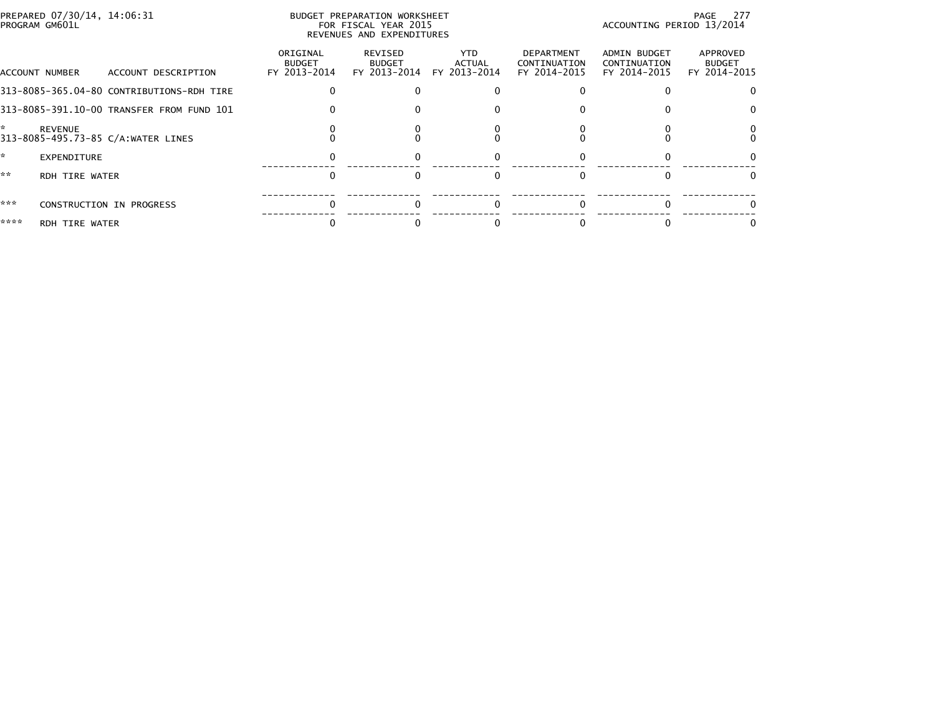| PREPARED 07/30/14, 14:06:31<br>PROGRAM GM601L |                       |                                           |                                           | BUDGET PREPARATION WORKSHEET<br>FOR FISCAL YEAR 2015<br>REVENUES AND EXPENDITURES | PAGE 277<br>ACCOUNTING PERIOD 13/2014       |                                                   |                                                     |                                           |
|-----------------------------------------------|-----------------------|-------------------------------------------|-------------------------------------------|-----------------------------------------------------------------------------------|---------------------------------------------|---------------------------------------------------|-----------------------------------------------------|-------------------------------------------|
|                                               | ACCOUNT NUMBER        | ACCOUNT DESCRIPTION                       | ORIGINAL<br><b>BUDGET</b><br>FY 2013-2014 | REVISED<br><b>BUDGET</b>                                                          | YTD.<br>ACTUAL<br>FY 2013-2014 FY 2013-2014 | <b>DEPARTMENT</b><br>CONTINUATION<br>FY 2014-2015 | <b>ADMIN BUDGET</b><br>CONTINUATION<br>FY 2014-2015 | APPROVED<br><b>BUDGET</b><br>FY 2014-2015 |
|                                               |                       | 313-8085-365.04-80 CONTRIBUTIONS-RDH TIRE |                                           |                                                                                   |                                             |                                                   |                                                     |                                           |
|                                               |                       | 313-8085-391.10-00 TRANSFER FROM FUND 101 |                                           |                                                                                   |                                             |                                                   |                                                     |                                           |
|                                               | <b>REVENUE</b>        | 313-8085-495.73-85 C/A:WATER LINES        |                                           |                                                                                   |                                             |                                                   |                                                     |                                           |
|                                               | <b>EXPENDITURE</b>    |                                           |                                           |                                                                                   |                                             |                                                   |                                                     |                                           |
| **                                            | <b>RDH TIRE WATER</b> |                                           |                                           |                                                                                   |                                             |                                                   |                                                     |                                           |
| ***                                           |                       | CONSTRUCTION IN PROGRESS                  |                                           |                                                                                   |                                             |                                                   |                                                     |                                           |
| ****                                          | RDH TIRE WATER        |                                           |                                           |                                                                                   |                                             |                                                   |                                                     |                                           |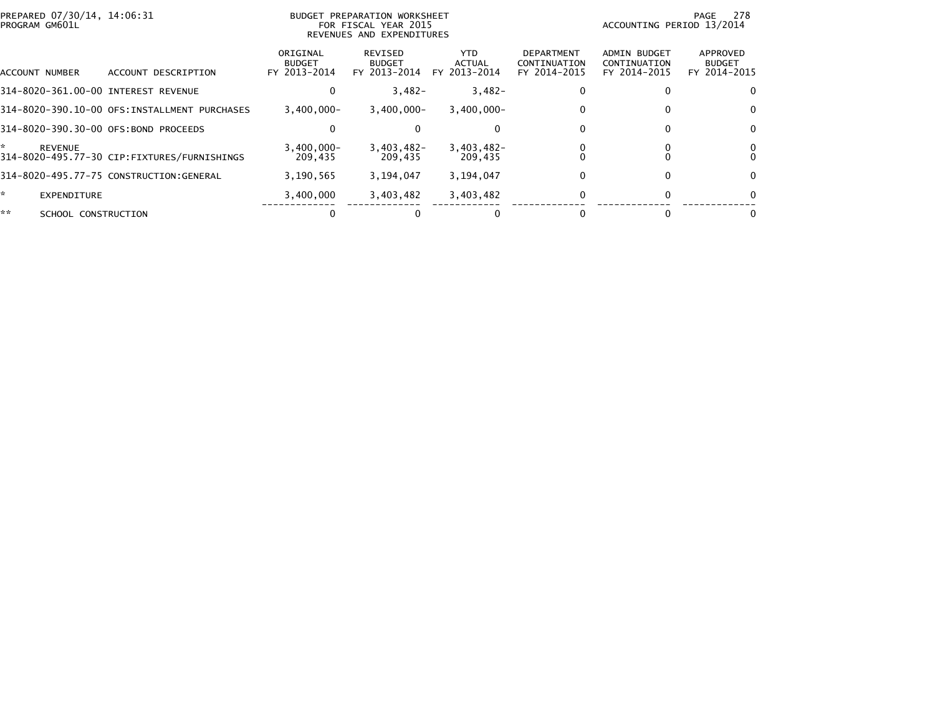| PREPARED 07/30/14, 14:06:31<br>PROGRAM GM601L |                                               |                                           | BUDGET PREPARATION WORKSHEET<br>FOR FISCAL YEAR 2015<br>REVENUES AND EXPENDITURES |                                      |                                                   | ACCOUNTING PERIOD 13/2014                           | 278<br>PAGE                               |
|-----------------------------------------------|-----------------------------------------------|-------------------------------------------|-----------------------------------------------------------------------------------|--------------------------------------|---------------------------------------------------|-----------------------------------------------------|-------------------------------------------|
| ACCOUNT NUMBER                                | ACCOUNT DESCRIPTION                           | ORIGINAL<br><b>BUDGET</b><br>FY 2013-2014 | REVISED<br><b>BUDGET</b><br>FY 2013-2014                                          | <b>YTD</b><br>ACTUAL<br>FY 2013-2014 | <b>DEPARTMENT</b><br>CONTINUATION<br>FY 2014-2015 | <b>ADMIN BUDGET</b><br>CONTINUATION<br>FY 2014-2015 | APPROVED<br><b>BUDGET</b><br>FY 2014-2015 |
| 314-8020-361.00-00 INTEREST REVENUE           |                                               | 0                                         | $3,482-$                                                                          | $3,482-$                             |                                                   |                                                     |                                           |
|                                               | 314-8020-390.10-00 OFS: INSTALLMENT PURCHASES | $3,400,000 -$                             | $3,400,000 -$                                                                     | $3,400,000 -$                        |                                                   | 0                                                   | $\Omega$                                  |
| 314-8020-390.30-00 OFS:BOND PROCEEDS          |                                               | 0                                         |                                                                                   | $\Omega$                             |                                                   | 0                                                   | $\Omega$                                  |
| *<br><b>REVENUE</b>                           | 314-8020-495.77-30 CIP:FIXTURES/FURNISHINGS   | $3.400.000 -$<br>209.435                  | $3.403.482 -$<br>209,435                                                          | 3,403,482-<br>209.435                |                                                   |                                                     |                                           |
|                                               | 314-8020-495.77-75 CONSTRUCTION:GENERAL       | 3,190,565                                 | 3,194,047                                                                         | 3,194,047                            |                                                   | 0                                                   | $\Omega$                                  |
| *.<br>EXPENDITURE                             |                                               | 3.400.000                                 | 3,403,482                                                                         | 3,403,482                            |                                                   | $\Omega$                                            | $\Omega$                                  |
| **<br>SCHOOL CONSTRUCTION                     |                                               |                                           |                                                                                   |                                      |                                                   |                                                     |                                           |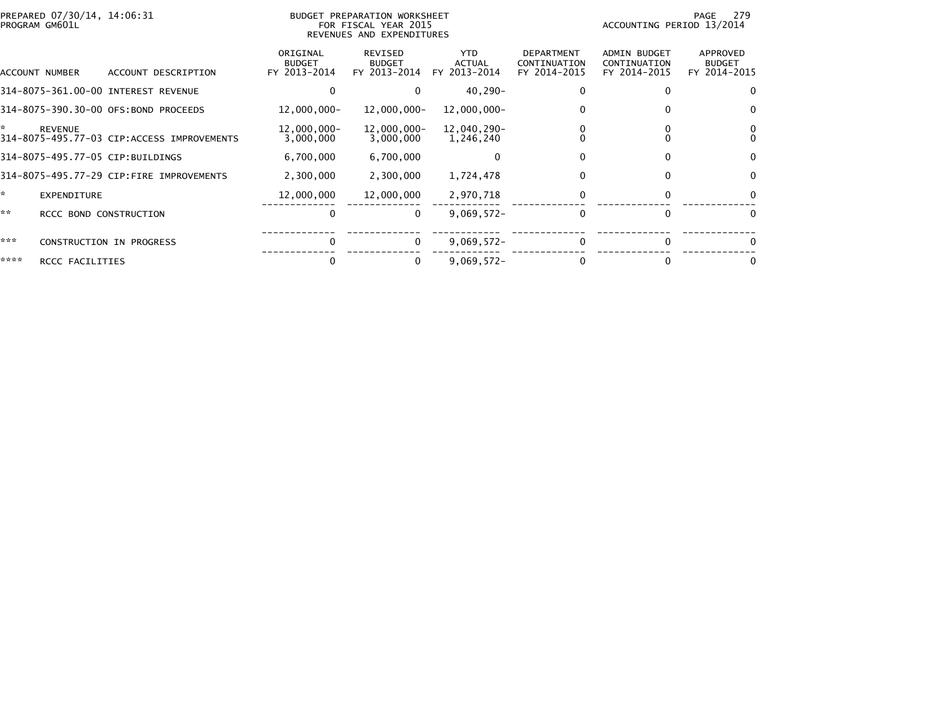|      | PREPARED 07/30/14, 14:06:31<br>PROGRAM GM601L |                                            |                                           | BUDGET PREPARATION WORKSHEET<br>FOR FISCAL YEAR 2015<br>REVENUES AND EXPENDITURES |                                      |                                                   | ACCOUNTING PERIOD 13/2014                           | - 279<br>PAGE                                    |
|------|-----------------------------------------------|--------------------------------------------|-------------------------------------------|-----------------------------------------------------------------------------------|--------------------------------------|---------------------------------------------------|-----------------------------------------------------|--------------------------------------------------|
|      | ACCOUNT NUMBER                                | ACCOUNT DESCRIPTION                        | ORIGINAL<br><b>BUDGET</b><br>FY 2013-2014 | <b>REVISED</b><br><b>BUDGET</b><br>FY 2013-2014                                   | <b>YTD</b><br>ACTUAL<br>FY 2013-2014 | <b>DEPARTMENT</b><br>CONTINUATION<br>FY 2014-2015 | <b>ADMIN BUDGET</b><br>CONTINUATION<br>FY 2014-2015 | <b>APPROVED</b><br><b>BUDGET</b><br>FY 2014-2015 |
|      |                                               | 314-8075-361.00-00 INTEREST REVENUE        |                                           |                                                                                   | 40,290-                              |                                                   |                                                     | 0                                                |
|      |                                               | 314-8075-390.30-00 OFS:BOND PROCEEDS       | 12,000,000-                               | $12,000,000 -$                                                                    | 12,000,000-                          |                                                   |                                                     | $\bf{0}$                                         |
| ÷.   | <b>REVENUE</b>                                | 314-8075-495.77-03 CIP:ACCESS IMPROVEMENTS | 12,000,000-<br>3,000,000                  | 12,000,000-<br>3,000,000                                                          | 12,040,290-<br>1,246,240             |                                                   |                                                     |                                                  |
|      |                                               | 314-8075-495.77-05 CIP:BUILDINGS           | 6,700,000                                 | 6,700,000                                                                         |                                      |                                                   |                                                     | $\Omega$                                         |
|      |                                               | 314-8075-495.77-29 CIP:FIRE IMPROVEMENTS   | 2,300,000                                 | 2,300,000                                                                         | 1,724,478                            | 0                                                 | 0                                                   | $\mathbf{0}$                                     |
| ×.   | <b>EXPENDITURE</b>                            |                                            | 12,000,000                                | 12,000,000                                                                        | 2,970,718                            |                                                   |                                                     | $\Omega$                                         |
| **   | RCCC BOND CONSTRUCTION                        |                                            | 0                                         | $\Omega$                                                                          | $9,069,572 -$                        |                                                   |                                                     | $\Omega$                                         |
| ***  |                                               | <b>CONSTRUCTION IN PROGRESS</b>            |                                           | $\Omega$                                                                          | $9,069,572 -$                        |                                                   |                                                     |                                                  |
| **** | RCCC FACILITIES                               |                                            | 0                                         | 0                                                                                 | $9,069,572 -$                        |                                                   |                                                     |                                                  |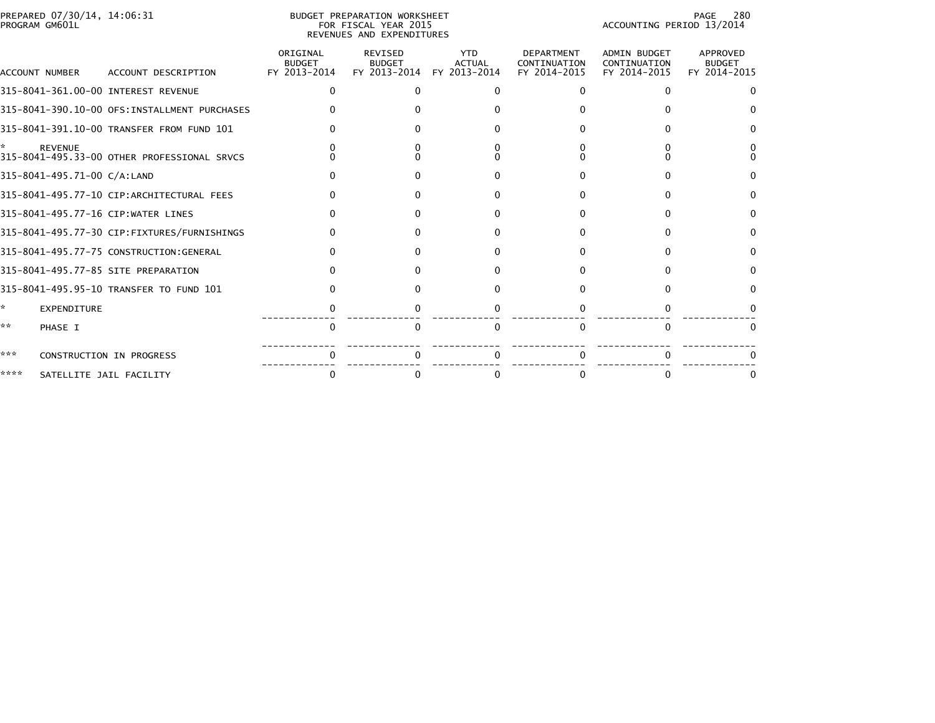|      | PREPARED 07/30/14, 14:06:31<br>PROGRAM GM601L |                                              |                                           | BUDGET PREPARATION WORKSHEET<br>FOR FISCAL YEAR 2015<br>REVENUES AND EXPENDITURES | 280<br>PAGE<br>ACCOUNTING PERIOD 13/2014    |                                                   |                                                     |                                           |
|------|-----------------------------------------------|----------------------------------------------|-------------------------------------------|-----------------------------------------------------------------------------------|---------------------------------------------|---------------------------------------------------|-----------------------------------------------------|-------------------------------------------|
|      | ACCOUNT NUMBER                                | ACCOUNT DESCRIPTION                          | ORIGINAL<br><b>BUDGET</b><br>FY 2013-2014 | REVISED<br><b>BUDGET</b><br>FY 2013-2014                                          | <b>YTD</b><br><b>ACTUAL</b><br>FY 2013-2014 | <b>DEPARTMENT</b><br>CONTINUATION<br>FY 2014-2015 | <b>ADMIN BUDGET</b><br>CONTINUATION<br>FY 2014-2015 | APPROVED<br><b>BUDGET</b><br>FY 2014-2015 |
|      |                                               | 315-8041-361.00-00 INTEREST REVENUE          |                                           |                                                                                   |                                             | <sup>n</sup>                                      | n                                                   | $\Omega$                                  |
|      |                                               | 315-8041-390.10-00 OFS:INSTALLMENT PURCHASES |                                           |                                                                                   |                                             |                                                   |                                                     |                                           |
|      |                                               | 315-8041-391.10-00 TRANSFER FROM FUND 101    |                                           |                                                                                   |                                             |                                                   |                                                     |                                           |
|      | <b>REVENUE</b>                                | 315-8041-495.33-00 OTHER PROFESSIONAL SRVCS  |                                           |                                                                                   |                                             |                                                   |                                                     |                                           |
|      | 315-8041-495.71-00 C/A:LAND                   |                                              |                                           |                                                                                   |                                             |                                                   |                                                     |                                           |
|      |                                               | 315-8041-495.77-10 CIP:ARCHITECTURAL FEES    |                                           |                                                                                   |                                             |                                                   |                                                     | n                                         |
|      |                                               | 315-8041-495.77-16 CIP:WATER LINES           |                                           |                                                                                   |                                             |                                                   |                                                     | $^{\circ}$                                |
|      |                                               | 315-8041-495.77-30 CIP:FIXTURES/FURNISHINGS  |                                           |                                                                                   |                                             |                                                   |                                                     | $\Omega$                                  |
|      |                                               | 315-8041-495.77-75 CONSTRUCTION:GENERAL      |                                           |                                                                                   |                                             |                                                   |                                                     | $\Omega$                                  |
|      |                                               | 315-8041-495.77-85 SITE PREPARATION          |                                           |                                                                                   |                                             |                                                   |                                                     | $\Omega$                                  |
|      |                                               | 315-8041-495.95-10 TRANSFER TO FUND 101      |                                           |                                                                                   |                                             |                                                   |                                                     | 0                                         |
| ☆    | <b>EXPENDITURE</b>                            |                                              |                                           |                                                                                   |                                             |                                                   |                                                     |                                           |
| **   | PHASE I                                       |                                              | <sup>0</sup>                              |                                                                                   | ∩                                           | <sup>n</sup>                                      | $\Omega$                                            | $\Omega$                                  |
| ***  |                                               | CONSTRUCTION IN PROGRESS                     |                                           |                                                                                   |                                             |                                                   |                                                     |                                           |
| **** |                                               | SATELLITE JAIL FACILITY                      |                                           |                                                                                   |                                             |                                                   |                                                     |                                           |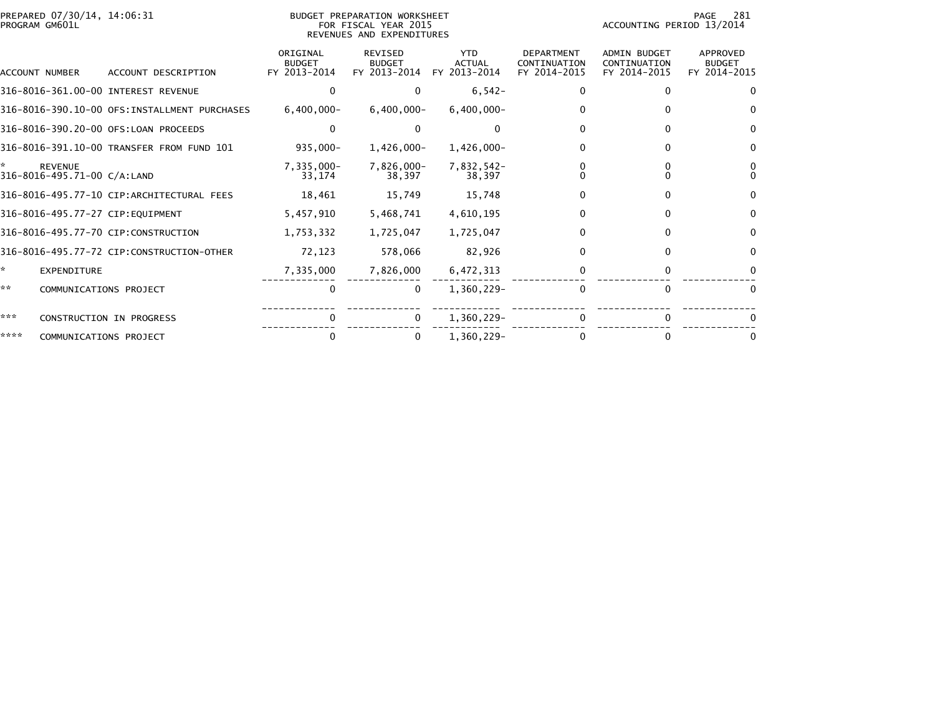| PREPARED 07/30/14, 14:06:31<br>PROGRAM GM601L      |                                               |                                           | BUDGET PREPARATION WORKSHEET<br>FOR FISCAL YEAR 2015<br>REVENUES AND EXPENDITURES | PAGE<br>281<br>ACCOUNTING PERIOD 13/2014    |                                                   |                                                     |                                           |
|----------------------------------------------------|-----------------------------------------------|-------------------------------------------|-----------------------------------------------------------------------------------|---------------------------------------------|---------------------------------------------------|-----------------------------------------------------|-------------------------------------------|
| <b>ACCOUNT NUMBER</b>                              | ACCOUNT DESCRIPTION                           | ORIGINAL<br><b>BUDGET</b><br>FY 2013-2014 | <b>REVISED</b><br><b>BUDGET</b><br>FY 2013-2014                                   | <b>YTD</b><br><b>ACTUAL</b><br>FY 2013-2014 | <b>DEPARTMENT</b><br>CONTINUATION<br>FY 2014-2015 | <b>ADMIN BUDGET</b><br>CONTINUATION<br>FY 2014-2015 | APPROVED<br><b>BUDGET</b><br>FY 2014-2015 |
|                                                    | 316-8016-361.00-00 INTEREST REVENUE           | $\Omega$                                  | $\Omega$                                                                          | $6,542-$                                    | 0                                                 | 0                                                   | 0                                         |
|                                                    | 316-8016-390.10-00 OFS: INSTALLMENT PURCHASES | $6,400,000 -$                             | $6,400,000 -$                                                                     | $6,400,000 -$                               | 0                                                 | 0                                                   | $\Omega$                                  |
|                                                    | 316-8016-390.20-00 OFS:LOAN PROCEEDS          | 0                                         |                                                                                   |                                             |                                                   |                                                     | $\mathbf{0}$                              |
|                                                    | 316-8016-391.10-00 TRANSFER FROM FUND 101     | $935,000 -$                               | $1,426,000 -$                                                                     | $1,426,000 -$                               | 0                                                 | 0                                                   | $\Omega$                                  |
| *<br><b>REVENUE</b><br>316-8016-495.71-00 C/A:LAND |                                               | $7,335,000 -$<br>33,174                   | 7,826,000-<br>38,397                                                              | 7,832,542-<br>38,397                        |                                                   |                                                     | 0<br>$\Omega$                             |
|                                                    | 316-8016-495.77-10 CIP:ARCHITECTURAL FEES     | 18,461                                    | 15,749                                                                            | 15,748                                      | 0                                                 | 0                                                   | $\bf{0}$                                  |
| 316-8016-495.77-27 CIP:EOUIPMENT                   |                                               | 5,457,910                                 | 5,468,741                                                                         | 4,610,195                                   | 0                                                 | 0                                                   | $\Omega$                                  |
|                                                    | 316-8016-495.77-70 CIP:CONSTRUCTION           | 1,753,332                                 | 1,725,047                                                                         | 1,725,047                                   | 0                                                 | 0                                                   | $\Omega$                                  |
|                                                    | 316-8016-495.77-72 CIP:CONSTRUCTION-OTHER     | 72,123                                    | 578,066                                                                           | 82,926                                      | 0                                                 | 0                                                   | $\Omega$                                  |
| *<br><b>EXPENDITURE</b>                            |                                               | 7,335,000                                 | 7,826,000                                                                         | 6,472,313                                   |                                                   |                                                     |                                           |
| **                                                 | COMMUNICATIONS PROJECT                        | 0                                         | 0                                                                                 | 1,360,229-                                  | 0                                                 | $\Omega$                                            | $\Omega$                                  |
| ***                                                | CONSTRUCTION IN PROGRESS                      | 0                                         | $\Omega$                                                                          | 1,360,229-                                  |                                                   |                                                     |                                           |
| ****                                               | COMMUNICATIONS PROJECT                        | 0                                         | 0                                                                                 | 1.360.229-                                  |                                                   | 0                                                   |                                           |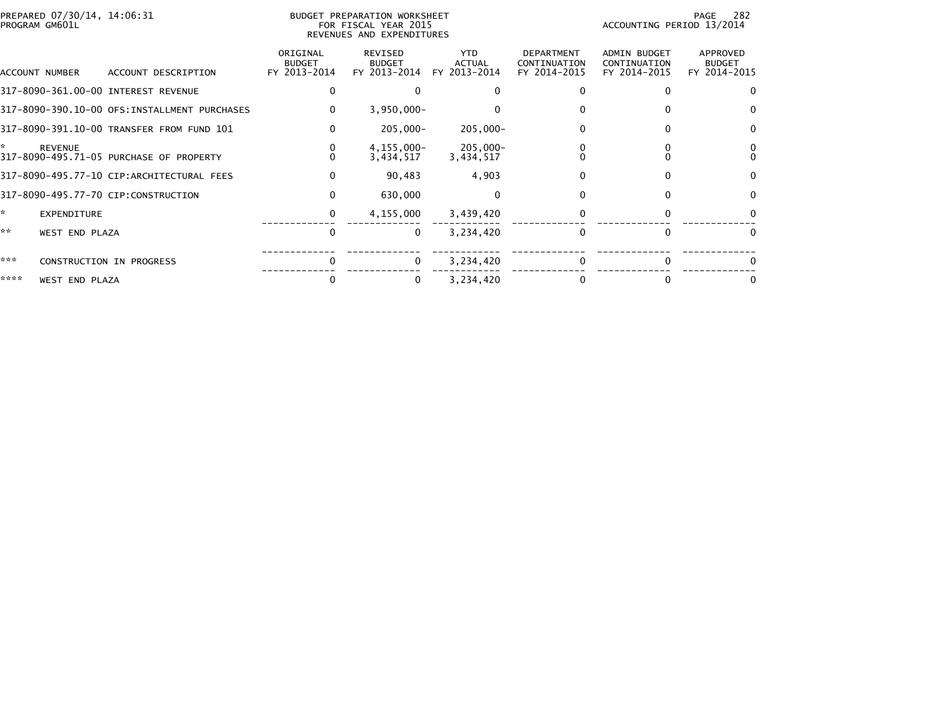| PREPARED 07/30/14, 14:06:31<br>PROGRAM GM601L                   |                                           | BUDGET PREPARATION WORKSHEET<br>FOR FISCAL YEAR 2015<br>REVENUES AND EXPENDITURES |                                      |                                                   | ACCOUNTING PERIOD 13/2014                    | 282<br>PAGE                               |
|-----------------------------------------------------------------|-------------------------------------------|-----------------------------------------------------------------------------------|--------------------------------------|---------------------------------------------------|----------------------------------------------|-------------------------------------------|
| ACCOUNT NUMBER<br>ACCOUNT DESCRIPTION                           | ORIGINAL<br><b>BUDGET</b><br>FY 2013-2014 | REVISED<br><b>BUDGET</b><br>FY 2013-2014                                          | <b>YTD</b><br>ACTUAL<br>FY 2013-2014 | <b>DEPARTMENT</b><br>CONTINUATION<br>FY 2014-2015 | ADMIN BUDGET<br>CONTINUATION<br>FY 2014-2015 | APPROVED<br><b>BUDGET</b><br>FY 2014-2015 |
| 317-8090-361.00-00 INTEREST REVENUE                             | 0                                         |                                                                                   |                                      |                                                   |                                              | 0                                         |
| 317-8090-390.10-00 OFS: INSTALLMENT PURCHASES                   | $\Omega$                                  | $3,950,000 -$                                                                     |                                      |                                                   |                                              | $\Omega$                                  |
| 317-8090-391.10-00 TRANSFER FROM FUND 101                       | $\bf{0}$                                  | 205,000-                                                                          | 205.000-                             |                                                   | 0                                            | $\Omega$                                  |
| ×.<br><b>REVENUE</b><br>317-8090-495.71-05 PURCHASE OF PROPERTY | 0                                         | 4,155,000-<br>3,434,517                                                           | 205,000-<br>3,434,517                |                                                   |                                              | $\Omega$                                  |
| 317-8090-495.77-10 CIP:ARCHITECTURAL FEES                       | $\mathbf{0}$                              | 90,483                                                                            | 4,903                                |                                                   |                                              | $\mathbf{0}$                              |
| 317-8090-495.77-70 CIP:CONSTRUCTION                             | $\Omega$                                  | 630,000                                                                           | $\Omega$                             | 0                                                 | 0                                            | $\Omega$                                  |
| ☆.<br>EXPENDITURE                                               | 0                                         | 4,155,000                                                                         | 3,439,420                            |                                                   |                                              | 0                                         |
| **<br><b>WEST END PLAZA</b>                                     | $\Omega$                                  | $\Omega$                                                                          | 3,234,420                            | $\Omega$                                          |                                              | $\Omega$                                  |
| ***<br>CONSTRUCTION IN PROGRESS                                 | $\Omega$                                  | $\Omega$                                                                          | 3,234,420                            | $\Omega$                                          |                                              | 0                                         |
| ****<br><b>WEST END PLAZA</b>                                   | 0                                         | 0                                                                                 | 3,234,420                            |                                                   |                                              |                                           |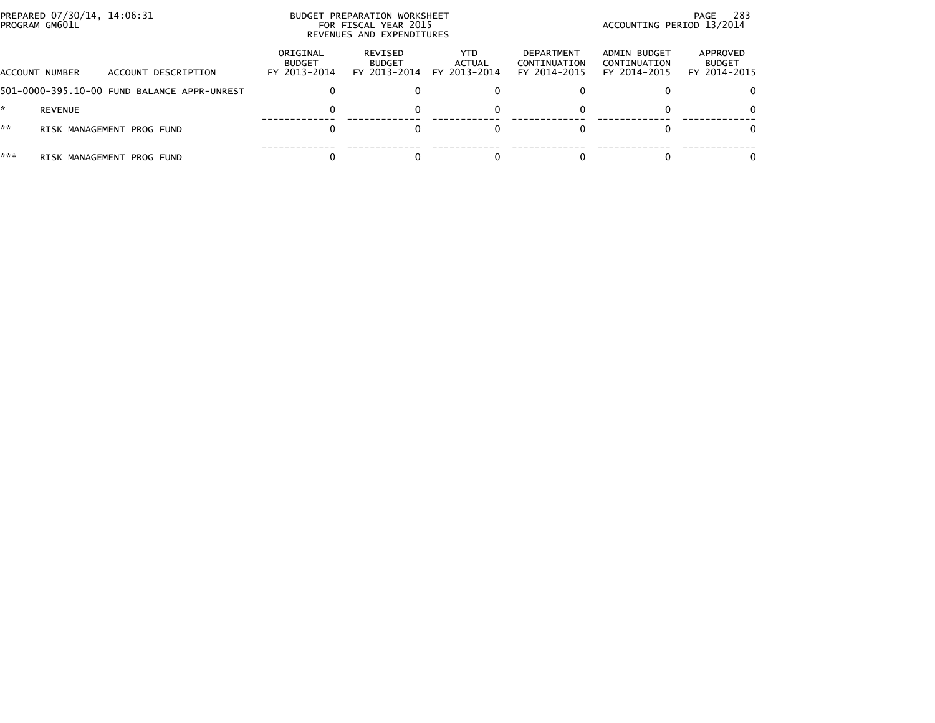|     | PREPARED 07/30/14, 14:06:31<br>PROGRAM GM601L |                                             |                                           | BUDGET PREPARATION WORKSHEET<br>FOR FISCAL YEAR 2015<br>REVENUES AND EXPENDITURES | -283<br>PAGE<br>ACCOUNTING PERIOD 13/2014 |                                            |                                              |                                           |
|-----|-----------------------------------------------|---------------------------------------------|-------------------------------------------|-----------------------------------------------------------------------------------|-------------------------------------------|--------------------------------------------|----------------------------------------------|-------------------------------------------|
|     | ACCOUNT NUMBER                                | ACCOUNT DESCRIPTION                         | ORIGINAL<br><b>BUDGET</b><br>FY 2013-2014 | REVISED<br><b>BUDGET</b><br>FY 2013-2014                                          | YTD.<br>ACTUAL<br>FY 2013-2014            | DEPARTMENT<br>CONTINUATION<br>FY 2014-2015 | ADMIN BUDGET<br>CONTINUATION<br>FY 2014-2015 | APPROVED<br><b>BUDGET</b><br>FY 2014-2015 |
|     |                                               | 501-0000-395.10-00 FUND BALANCE APPR-UNREST | 0                                         |                                                                                   |                                           |                                            |                                              |                                           |
|     | REVENUE                                       |                                             | 0                                         |                                                                                   |                                           |                                            |                                              | 0                                         |
| **  |                                               | RISK MANAGEMENT PROG FUND                   |                                           |                                                                                   |                                           |                                            |                                              | 0                                         |
| *** |                                               | RISK MANAGEMENT PROG FUND                   |                                           |                                                                                   |                                           |                                            |                                              |                                           |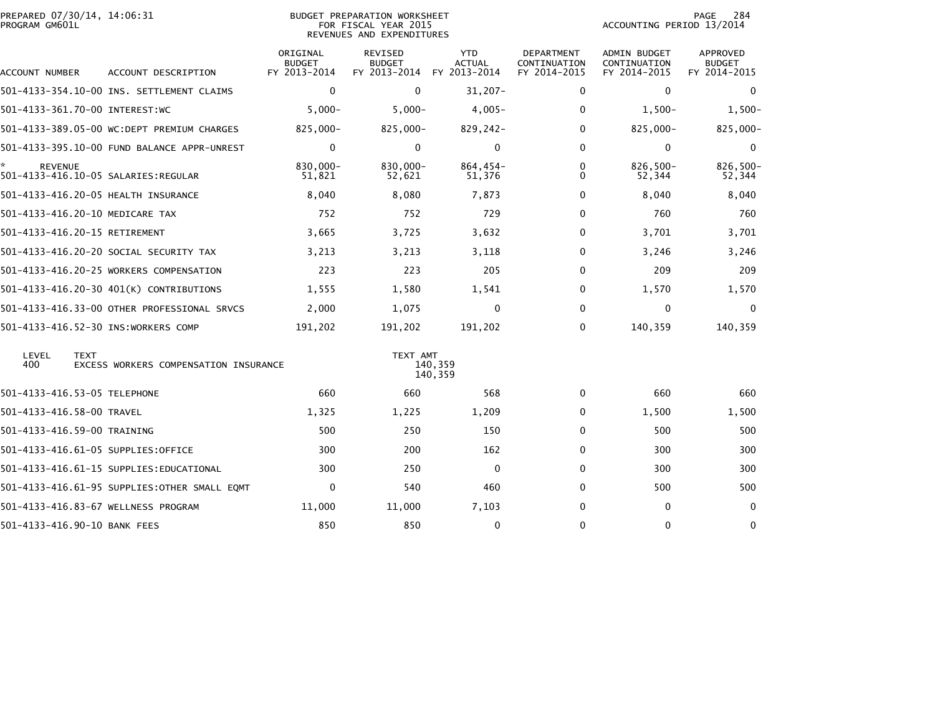| PREPARED 07/30/14, 14:06:31<br>PROGRAM GM601L |                                               |                                           | <b>BUDGET PREPARATION WORKSHEET</b><br>FOR FISCAL YEAR 2015<br>REVENUES AND EXPENDITURES | 284<br>PAGE<br>ACCOUNTING PERIOD 13/2014    |                                                   |                                                     |                                           |
|-----------------------------------------------|-----------------------------------------------|-------------------------------------------|------------------------------------------------------------------------------------------|---------------------------------------------|---------------------------------------------------|-----------------------------------------------------|-------------------------------------------|
| ACCOUNT NUMBER                                | ACCOUNT DESCRIPTION                           | ORIGINAL<br><b>BUDGET</b><br>FY 2013-2014 | <b>REVISED</b><br><b>BUDGET</b><br>FY 2013-2014                                          | <b>YTD</b><br><b>ACTUAL</b><br>FY 2013-2014 | <b>DEPARTMENT</b><br>CONTINUATION<br>FY 2014-2015 | <b>ADMIN BUDGET</b><br>CONTINUATION<br>FY 2014-2015 | APPROVED<br><b>BUDGET</b><br>FY 2014-2015 |
|                                               | 501-4133-354.10-00 INS. SETTLEMENT CLAIMS     | $\mathbf{0}$                              | $\Omega$                                                                                 | 31,207-                                     | 0                                                 | $\mathbf{0}$                                        | $\Omega$                                  |
| 501-4133-361.70-00 INTEREST:WC                |                                               | $5,000 -$                                 | $5,000 -$                                                                                | $4,005-$                                    | 0                                                 | $1,500-$                                            | $1,500-$                                  |
|                                               | 501-4133-389.05-00 WC:DEPT PREMIUM CHARGES    | 825,000-                                  | 825,000-                                                                                 | 829,242-                                    | $\Omega$                                          | 825,000-                                            | 825,000-                                  |
|                                               | 501-4133-395.10-00 FUND BALANCE APPR-UNREST   | $\mathbf 0$                               | $\mathbf{0}$                                                                             | $\mathbf{0}$                                | $\mathbf{0}$                                      | 0                                                   | 0                                         |
| <b>REVENUE</b>                                | 501-4133-416.10-05 SALARIES: REGULAR          | 830,000-<br>51,821                        | 830,000-<br>52,621                                                                       | $864,454-$<br>51,376                        | 0<br>0                                            | 826,500-<br>52,344                                  | 826,500-<br>52,344                        |
|                                               | 501-4133-416.20-05 HEALTH INSURANCE           | 8,040                                     | 8,080                                                                                    | 7,873                                       | 0                                                 | 8,040                                               | 8,040                                     |
| 501-4133-416.20-10 MEDICARE TAX               |                                               | 752                                       | 752                                                                                      | 729                                         | 0                                                 | 760                                                 | 760                                       |
| 501-4133-416.20-15 RETIREMENT                 |                                               | 3,665                                     | 3,725                                                                                    | 3,632                                       | $\mathbf{0}$                                      | 3,701                                               | 3,701                                     |
|                                               | 501-4133-416.20-20 SOCIAL SECURITY TAX        | 3,213                                     | 3,213                                                                                    | 3,118                                       | 0                                                 | 3,246                                               | 3,246                                     |
|                                               | 501-4133-416.20-25 WORKERS COMPENSATION       | 223                                       | 223                                                                                      | 205                                         | $\mathbf{0}$                                      | 209                                                 | 209                                       |
|                                               | 501-4133-416.20-30 401(K) CONTRIBUTIONS       | 1,555                                     | 1,580                                                                                    | 1,541                                       | 0                                                 | 1,570                                               | 1,570                                     |
|                                               | 501-4133-416.33-00 OTHER PROFESSIONAL SRVCS   | 2,000                                     | 1,075                                                                                    | $\Omega$                                    | $\mathbf{0}$                                      | $\Omega$                                            | $\Omega$                                  |
|                                               | 501-4133-416.52-30 INS:WORKERS COMP           | 191,202                                   | 191,202                                                                                  | 191,202                                     | 0                                                 | 140,359                                             | 140,359                                   |
| LEVEL<br><b>TEXT</b><br>400                   | EXCESS WORKERS COMPENSATION INSURANCE         |                                           | TEXT AMT                                                                                 | 140,359<br>140,359                          |                                                   |                                                     |                                           |
| 501-4133-416.53-05 TELEPHONE                  |                                               | 660                                       | 660                                                                                      | 568                                         | 0                                                 | 660                                                 | 660                                       |
| 501-4133-416.58-00 TRAVEL                     |                                               | 1,325                                     | 1,225                                                                                    | 1,209                                       | 0                                                 | 1,500                                               | 1,500                                     |
| 501-4133-416.59-00 TRAINING                   |                                               | 500                                       | 250                                                                                      | 150                                         | 0                                                 | 500                                                 | 500                                       |
|                                               | 501-4133-416.61-05 SUPPLIES:OFFICE            | 300                                       | 200                                                                                      | 162                                         | 0                                                 | 300                                                 | 300                                       |
|                                               | 501-4133-416.61-15 SUPPLIES:EDUCATIONAL       | 300                                       | 250                                                                                      | $\mathbf{0}$                                | 0                                                 | 300                                                 | 300                                       |
|                                               | 501-4133-416.61-95 SUPPLIES: OTHER SMALL EOMT | 0                                         | 540                                                                                      | 460                                         | 0                                                 | 500                                                 | 500                                       |
|                                               | 501-4133-416.83-67 WELLNESS PROGRAM           | 11,000                                    | 11,000                                                                                   | 7,103                                       | 0                                                 | 0                                                   | $\Omega$                                  |
| 501-4133-416.90-10 BANK FEES                  |                                               | 850                                       | 850                                                                                      | 0                                           | $\mathbf{0}$                                      | $\mathbf{0}$                                        | $\mathbf{0}$                              |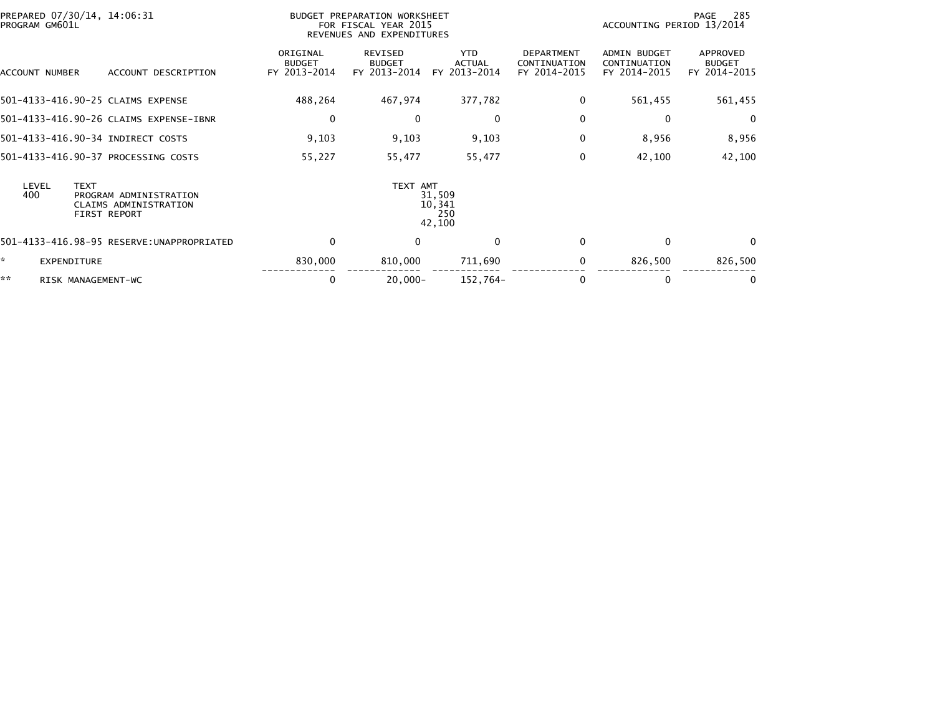| PREPARED 07/30/14, 14:06:31<br>PROGRAM GM601L |                                                                 |                                           | BUDGET PREPARATION WORKSHEET<br>FOR FISCAL YEAR 2015<br>REVENUES AND EXPENDITURES |                                      |                                                   | -285<br>PAGE<br>ACCOUNTING PERIOD 13/2014           |                                           |  |
|-----------------------------------------------|-----------------------------------------------------------------|-------------------------------------------|-----------------------------------------------------------------------------------|--------------------------------------|---------------------------------------------------|-----------------------------------------------------|-------------------------------------------|--|
| ACCOUNT NUMBER                                | ACCOUNT DESCRIPTION                                             | ORIGINAL<br><b>BUDGET</b><br>FY 2013-2014 | REVISED<br><b>BUDGET</b><br>FY 2013-2014                                          | <b>YTD</b><br>ACTUAL<br>FY 2013-2014 | <b>DEPARTMENT</b><br>CONTINUATION<br>FY 2014-2015 | <b>ADMIN BUDGET</b><br>CONTINUATION<br>FY 2014-2015 | APPROVED<br><b>BUDGET</b><br>FY 2014-2015 |  |
| 501-4133-416.90-25 CLAIMS EXPENSE             |                                                                 | 488,264                                   | 467,974                                                                           | 377,782                              | 0                                                 | 561,455                                             | 561,455                                   |  |
|                                               | 501-4133-416.90-26 CLAIMS EXPENSE-IBNR                          | 0                                         | $\mathbf{0}$                                                                      | 0                                    | $\Omega$                                          | $\mathbf{0}$                                        | $\Omega$                                  |  |
| 501-4133-416.90-34 INDIRECT COSTS             |                                                                 | 9,103                                     | 9,103                                                                             | 9,103                                | 0                                                 | 8,956                                               | 8,956                                     |  |
|                                               | 501-4133-416.90-37 PROCESSING COSTS                             | 55,227                                    | 55,477                                                                            | 55,477                               | 0                                                 | 42,100                                              | 42,100                                    |  |
| LEVEL<br><b>TEXT</b><br>400                   | PROGRAM ADMINISTRATION<br>CLAIMS ADMINISTRATION<br>FIRST REPORT |                                           | TEXT AMT                                                                          | 31,509<br>10,341<br>250<br>42,100    |                                                   |                                                     |                                           |  |
|                                               | 501-4133-416.98-95 RESERVE:UNAPPROPRIATED                       | $\mathbf 0$                               | $\mathbf{0}$                                                                      | $\Omega$                             | $\Omega$                                          | $\mathbf{0}$                                        | $\Omega$                                  |  |
| *<br><b>EXPENDITURE</b>                       |                                                                 | 830,000                                   | 810,000                                                                           | 711,690                              | 0                                                 | 826,500                                             | 826,500                                   |  |
| **<br>RISK MANAGEMENT-WC                      |                                                                 | 0                                         | $20,000 -$                                                                        | 152,764-                             | 0                                                 | 0                                                   | 0                                         |  |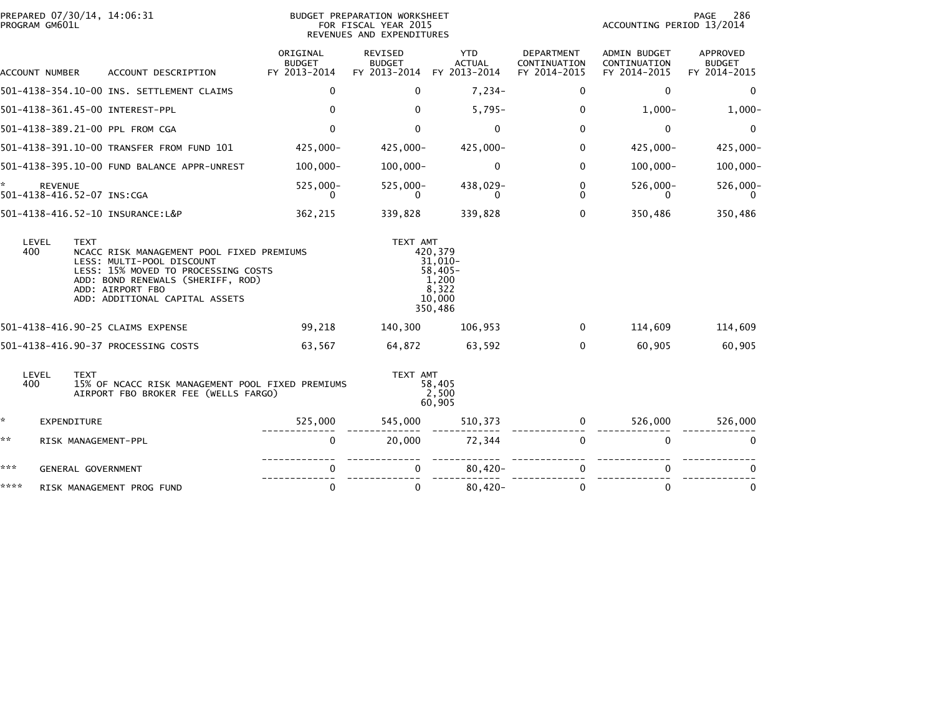| PROGRAM GM601L | PREPARED 07/30/14, 14:06:31                  |                                                                                                                                                                                                          |                                           | BUDGET PREPARATION WORKSHEET<br>FOR FISCAL YEAR 2015<br>REVENUES AND EXPENDITURES |                                                                        |                                            | ACCOUNTING PERIOD 13/2014                    | 286<br>PAGE                               |
|----------------|----------------------------------------------|----------------------------------------------------------------------------------------------------------------------------------------------------------------------------------------------------------|-------------------------------------------|-----------------------------------------------------------------------------------|------------------------------------------------------------------------|--------------------------------------------|----------------------------------------------|-------------------------------------------|
| ACCOUNT NUMBER |                                              | ACCOUNT DESCRIPTION                                                                                                                                                                                      | ORIGINAL<br><b>BUDGET</b><br>FY 2013-2014 | REVISED<br><b>BUDGET</b><br>FY 2013-2014                                          | <b>YTD</b><br><b>ACTUAL</b><br>FY 2013-2014                            | DEPARTMENT<br>CONTINUATION<br>FY 2014-2015 | ADMIN BUDGET<br>CONTINUATION<br>FY 2014-2015 | APPROVED<br><b>BUDGET</b><br>FY 2014-2015 |
|                |                                              | 501-4138-354.10-00 INS. SETTLEMENT CLAIMS                                                                                                                                                                | $\mathbf{0}$                              | $\Omega$                                                                          | $7,234-$                                                               | $\Omega$                                   | 0                                            | 0                                         |
|                |                                              | 501-4138-361.45-00 INTEREST-PPL                                                                                                                                                                          | $\mathbf{0}$                              | $\Omega$                                                                          | $5,795-$                                                               | $\mathbf{0}$                               | $1,000-$                                     | $1,000-$                                  |
|                |                                              | 501-4138-389.21-00 PPL FROM CGA                                                                                                                                                                          | $\mathbf{0}$                              | 0                                                                                 | $\mathbf{0}$                                                           | $\mathbf{0}$                               | 0                                            | $\Omega$                                  |
|                |                                              | 501-4138-391.10-00 TRANSFER FROM FUND 101                                                                                                                                                                | 425,000-                                  | $425,000 -$                                                                       | 425,000-                                                               | 0                                          | $425,000 -$                                  | $425,000 -$                               |
|                |                                              | 501-4138-395.10-00 FUND BALANCE APPR-UNREST                                                                                                                                                              | $100,000 -$                               | $100,000 -$                                                                       | 0                                                                      | $\mathbf{0}$                               | $100,000 -$                                  | $100,000 -$                               |
|                | <b>REVENUE</b><br>501-4138-416.52-07 INS:CGA |                                                                                                                                                                                                          | 525,000-<br>$\Omega$                      | $525,000 -$<br>0                                                                  | 438,029-<br>0                                                          | $\mathbf 0$<br>$\Omega$                    | $526,000 -$<br>0                             | 526,000-<br>$\Omega$                      |
|                |                                              | 501-4138-416.52-10 INSURANCE:L&P                                                                                                                                                                         | 362,215                                   | 339,828                                                                           | 339,828                                                                | $\Omega$                                   | 350,486                                      | 350,486                                   |
| LEVEL<br>400   | <b>TEXT</b>                                  | NCACC RISK MANAGEMENT POOL FIXED PREMIUMS<br>LESS: MULTI-POOL DISCOUNT<br>LESS: 15% MOVED TO PROCESSING COSTS<br>ADD: BOND RENEWALS (SHERIFF, ROD)<br>ADD: AIRPORT FBO<br>ADD: ADDITIONAL CAPITAL ASSETS |                                           | TEXT AMT                                                                          | 420,379<br>31,010-<br>$58,405-$<br>1,200<br>8.322<br>10,000<br>350,486 |                                            |                                              |                                           |
|                |                                              | 501-4138-416.90-25 CLAIMS EXPENSE                                                                                                                                                                        | 99,218                                    | 140,300                                                                           | 106,953                                                                | $\Omega$                                   | 114,609                                      | 114,609                                   |
|                |                                              | 501-4138-416.90-37 PROCESSING COSTS                                                                                                                                                                      | 63,567                                    | 64,872                                                                            | 63,592                                                                 | $\Omega$                                   | 60,905                                       | 60,905                                    |
| LEVEL<br>400   | <b>TEXT</b>                                  | 15% OF NCACC RISK MANAGEMENT POOL FIXED PREMIUMS<br>AIRPORT FBO BROKER FEE (WELLS FARGO)                                                                                                                 |                                           | TEXT AMT                                                                          | 58,405<br>2,500<br>60,905                                              |                                            |                                              |                                           |
| ☆.             | EXPENDITURE                                  |                                                                                                                                                                                                          | 525,000                                   | 545,000                                                                           | 510,373                                                                | 0                                          | 526,000                                      | 526,000                                   |
| **             | RISK MANAGEMENT-PPL                          |                                                                                                                                                                                                          | $\mathbf 0$                               | 20,000                                                                            | 72,344                                                                 | $\Omega$                                   | $\mathbf{0}$                                 | $\Omega$                                  |
| ***            | GENERAL GOVERNMENT                           |                                                                                                                                                                                                          | 0                                         |                                                                                   | $80,420 -$                                                             | $\Omega$                                   | 0                                            |                                           |
| ****           |                                              | RISK MANAGEMENT PROG FUND                                                                                                                                                                                | $\mathbf 0$                               | $\Omega$                                                                          | $80,420 -$                                                             | $\mathbf{0}$                               | $\mathbf{0}$                                 | $\mathbf{0}$                              |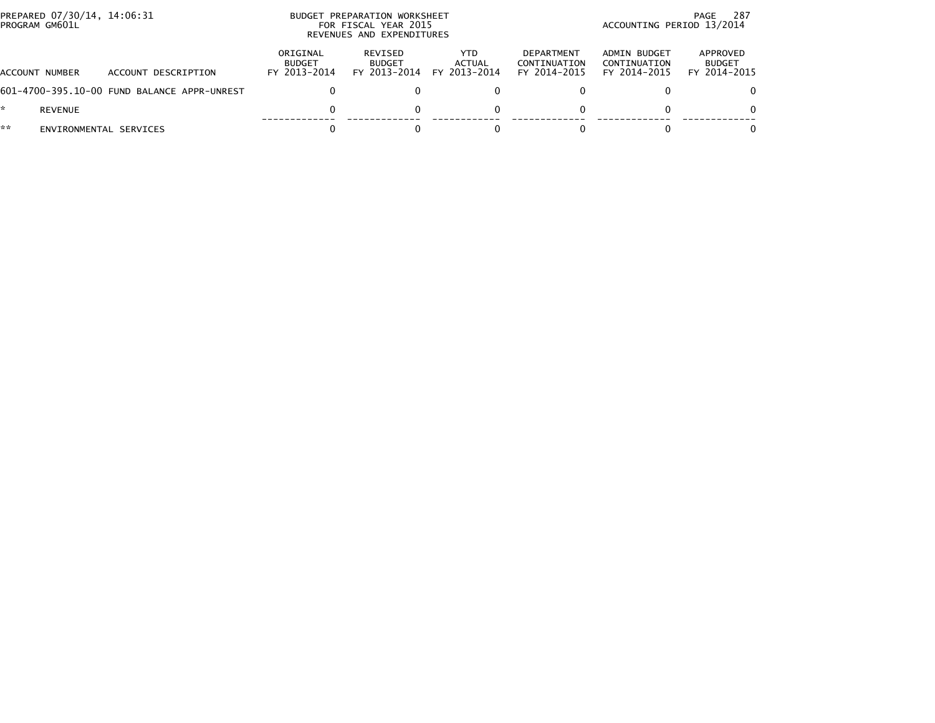| PREPARED 07/30/14, 14:06:31<br>PROGRAM GM601L |                                             | BUDGET PREPARATION WORKSHEET<br>FOR FISCAL YEAR 2015<br>REVENUES AND EXPENDITURES |                                          |                               |                                            | 287<br>PAGE<br>ACCOUNTING PERIOD 13/2014     |                                           |  |
|-----------------------------------------------|---------------------------------------------|-----------------------------------------------------------------------------------|------------------------------------------|-------------------------------|--------------------------------------------|----------------------------------------------|-------------------------------------------|--|
| <b>ACCOUNT NUMBER</b>                         | ACCOUNT DESCRIPTION                         | ORIGINAL<br><b>BUDGET</b><br>FY 2013-2014                                         | REVISED<br><b>BUDGET</b><br>FY 2013-2014 | YTD<br>ACTUAL<br>FY 2013-2014 | DEPARTMENT<br>CONTINUATION<br>FY 2014-2015 | ADMIN BUDGET<br>CONTINUATION<br>FY 2014-2015 | APPROVED<br><b>BUDGET</b><br>FY 2014-2015 |  |
|                                               | 601-4700-395.10-00 FUND BALANCE APPR-UNREST |                                                                                   |                                          |                               |                                            |                                              | 0                                         |  |
| *.<br>REVENUE                                 |                                             |                                                                                   |                                          |                               |                                            |                                              | 0                                         |  |
| **                                            | ENVIRONMENTAL SERVICES                      |                                                                                   |                                          |                               |                                            |                                              | 0                                         |  |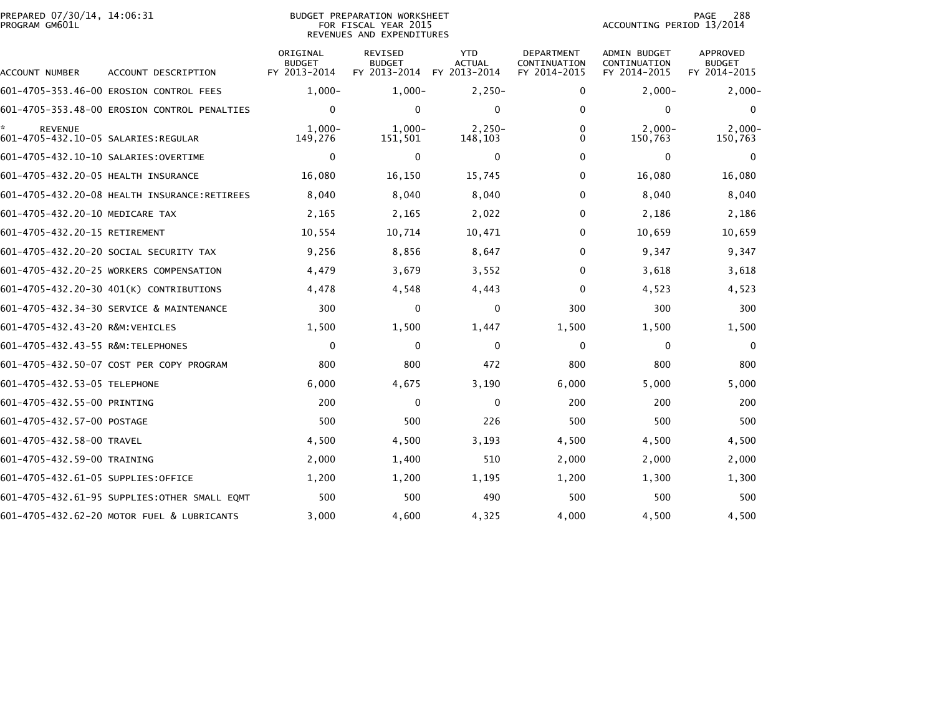| PREPARED 07/30/14, 14:06:31<br>PROGRAM GM601L |                                               |                                           | <b>BUDGET PREPARATION WORKSHEET</b><br>FOR FISCAL YEAR 2015<br>REVENUES AND EXPENDITURES | 288<br>PAGE<br>ACCOUNTING PERIOD 13/2014    |                                            |                                              |                                                  |
|-----------------------------------------------|-----------------------------------------------|-------------------------------------------|------------------------------------------------------------------------------------------|---------------------------------------------|--------------------------------------------|----------------------------------------------|--------------------------------------------------|
| ACCOUNT NUMBER                                | ACCOUNT DESCRIPTION                           | ORIGINAL<br><b>BUDGET</b><br>FY 2013-2014 | <b>REVISED</b><br><b>BUDGET</b><br>FY 2013-2014                                          | <b>YTD</b><br><b>ACTUAL</b><br>FY 2013-2014 | DEPARTMENT<br>CONTINUATION<br>FY 2014-2015 | ADMIN BUDGET<br>CONTINUATION<br>FY 2014-2015 | <b>APPROVED</b><br><b>BUDGET</b><br>FY 2014-2015 |
|                                               | 601-4705-353.46-00 EROSION CONTROL FEES       | $1,000-$                                  | $1,000-$                                                                                 | $2,250-$                                    | 0                                          | $2,000-$                                     | $2,000-$                                         |
|                                               | 601-4705-353.48-00 EROSION CONTROL PENALTIES  | 0                                         | $\mathbf{0}$                                                                             | $\mathbf{0}$                                | $\Omega$                                   | $\mathbf{0}$                                 | $\Omega$                                         |
| <b>REVENUE</b>                                |                                               | $1,000-$<br>149,276                       | $1,000-$<br>151,501                                                                      | $2,250-$<br>148,103                         | 0<br>0                                     | $2,000-$<br>150,763                          | $2,000 -$<br>150,763                             |
| 601-4705-432.10-10 SALARIES:OVERTIME          |                                               | 0                                         | 0                                                                                        | 0                                           | 0                                          | 0                                            | 0                                                |
| 601-4705-432.20-05 HEALTH INSURANCE           |                                               | 16,080                                    | 16,150                                                                                   | 15,745                                      | 0                                          | 16,080                                       | 16,080                                           |
|                                               | 601-4705-432.20-08 HEALTH INSURANCE:RETIREES  | 8,040                                     | 8,040                                                                                    | 8,040                                       | 0                                          | 8,040                                        | 8,040                                            |
| 601-4705-432.20-10 MEDICARE TAX               |                                               | 2,165                                     | 2,165                                                                                    | 2,022                                       | 0                                          | 2,186                                        | 2,186                                            |
| 601-4705-432.20-15 RETIREMENT                 |                                               | 10,554                                    | 10,714                                                                                   | 10,471                                      | $\Omega$                                   | 10,659                                       | 10,659                                           |
|                                               | 601–4705–432.20–20 SOCIAL SECURITY TAX        | 9,256                                     | 8,856                                                                                    | 8,647                                       | 0                                          | 9,347                                        | 9,347                                            |
|                                               | 601-4705-432.20-25 WORKERS COMPENSATION       | 4,479                                     | 3,679                                                                                    | 3,552                                       | $\Omega$                                   | 3,618                                        | 3,618                                            |
|                                               | 601-4705-432.20-30 401(K) CONTRIBUTIONS       | 4,478                                     | 4,548                                                                                    | 4,443                                       | $\Omega$                                   | 4,523                                        | 4,523                                            |
|                                               | 601-4705-432.34-30 SERVICE & MAINTENANCE      | 300                                       | 0                                                                                        | 0                                           | 300                                        | 300                                          | 300                                              |
| 601-4705-432.43-20 R&M:VEHICLES               |                                               | 1,500                                     | 1,500                                                                                    | 1,447                                       | 1,500                                      | 1,500                                        | 1,500                                            |
| 601-4705-432.43-55 R&M:TELEPHONES             |                                               | $\mathbf 0$                               | $\Omega$                                                                                 | $\Omega$                                    | 0                                          | 0                                            | $\Omega$                                         |
|                                               | 601-4705-432.50-07 COST PER COPY PROGRAM      | 800                                       | 800                                                                                      | 472                                         | 800                                        | 800                                          | 800                                              |
| 601-4705-432.53-05 TELEPHONE                  |                                               | 6,000                                     | 4,675                                                                                    | 3,190                                       | 6,000                                      | 5,000                                        | 5,000                                            |
| 601-4705-432.55-00 PRINTING                   |                                               | 200                                       | $\mathbf{0}$                                                                             | 0                                           | 200                                        | 200                                          | 200                                              |
| 601-4705-432.57-00 POSTAGE                    |                                               | 500                                       | 500                                                                                      | 226                                         | 500                                        | 500                                          | 500                                              |
| 601-4705-432.58-00 TRAVEL                     |                                               | 4,500                                     | 4,500                                                                                    | 3,193                                       | 4,500                                      | 4,500                                        | 4,500                                            |
| 601-4705-432.59-00 TRAINING                   |                                               | 2,000                                     | 1,400                                                                                    | 510                                         | 2,000                                      | 2,000                                        | 2,000                                            |
| 601-4705-432.61-05 SUPPLIES:OFFICE            |                                               | 1,200                                     | 1,200                                                                                    | 1,195                                       | 1,200                                      | 1,300                                        | 1,300                                            |
|                                               | 601-4705-432.61-95 SUPPLIES: OTHER SMALL EQMT | 500                                       | 500                                                                                      | 490                                         | 500                                        | 500                                          | 500                                              |
|                                               | 601-4705-432.62-20 MOTOR FUEL & LUBRICANTS    | 3,000                                     | 4,600                                                                                    | 4,325                                       | 4,000                                      | 4,500                                        | 4,500                                            |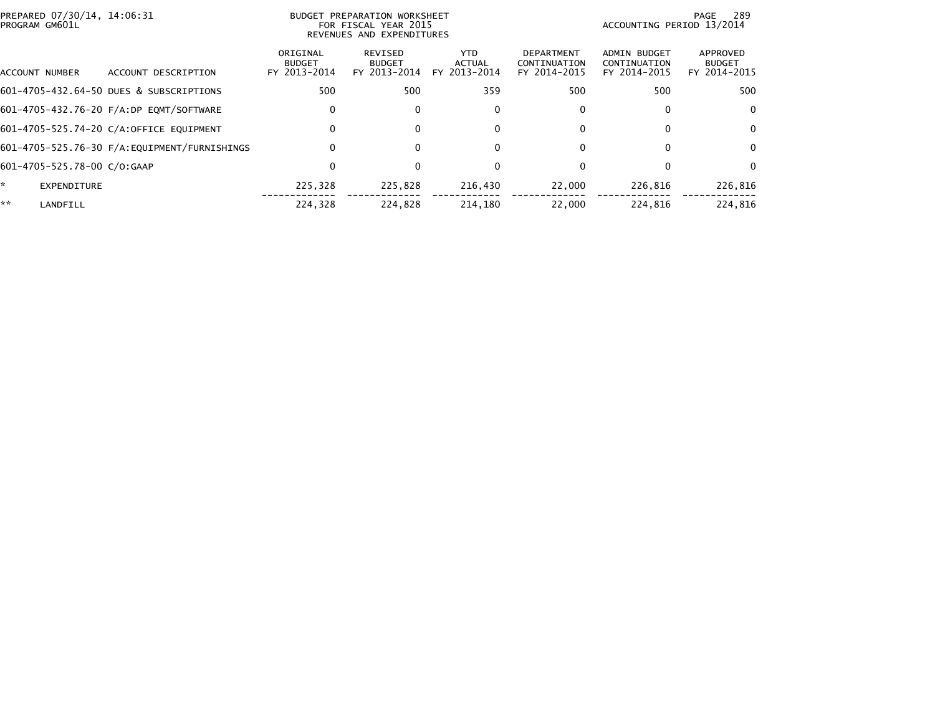| PREPARED 07/30/14, 14:06:31<br>PROGRAM GM601L |                                         |                                           | BUDGET PREPARATION WORKSHEET<br>FOR FISCAL YEAR 2015<br>REVENUES AND EXPENDITURES | 289<br>PAGE<br>ACCOUNTING PERIOD 13/2014 |                                                   |                                              |                                           |
|-----------------------------------------------|-----------------------------------------|-------------------------------------------|-----------------------------------------------------------------------------------|------------------------------------------|---------------------------------------------------|----------------------------------------------|-------------------------------------------|
| ACCOUNT NUMBER                                | ACCOUNT DESCRIPTION                     | ORIGINAL<br><b>BUDGET</b><br>FY 2013-2014 | <b>REVISED</b><br><b>BUDGET</b><br>FY 2013-2014                                   | YTD.<br><b>ACTUAL</b><br>FY 2013-2014    | <b>DEPARTMENT</b><br>CONTINUATION<br>FY 2014-2015 | ADMIN BUDGET<br>CONTINUATION<br>FY 2014-2015 | APPROVED<br><b>BUDGET</b><br>FY 2014-2015 |
|                                               | 601-4705-432.64-50 DUES & SUBSCRIPTIONS | 500                                       | 500                                                                               | 359                                      | 500                                               | 500                                          | 500                                       |
|                                               | 601-4705-432.76-20 F/A:DP EQMT/SOFTWARE | 0                                         | $\Omega$                                                                          | 0                                        | 0                                                 | 0                                            | $\Omega$                                  |
|                                               | 601-4705-525.74-20 C/A:OFFICE EQUIPMENT | 0                                         | $\Omega$                                                                          | $\mathbf{0}$                             | 0                                                 | 0                                            | $\Omega$                                  |
|                                               |                                         | $\Omega$                                  |                                                                                   | $\mathbf{0}$                             | 0                                                 | 0                                            | $\Omega$                                  |
| 601-4705-525.78-00 C/O:GAAP                   |                                         | 0                                         | $\Omega$                                                                          | 0                                        | 0                                                 |                                              | $\Omega$                                  |
| *<br>EXPENDITURE                              |                                         | 225.328                                   | 225,828                                                                           | 216,430                                  | 22,000                                            | 226,816                                      | 226,816                                   |
| **<br>LANDFILL                                |                                         | 224.328                                   | 224.828                                                                           | 214,180                                  | 22,000                                            | 224.816                                      | 224.816                                   |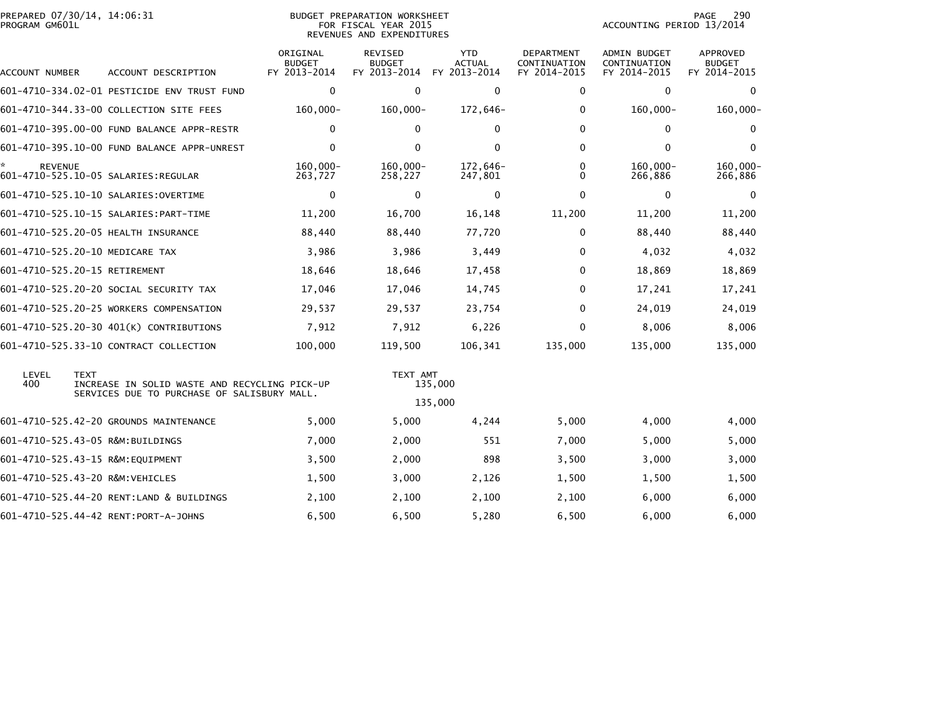| PREPARED 07/30/14, 14:06:31<br>PROGRAM GM601L |                                                                                                             |                                           | BUDGET PREPARATION WORKSHEET<br>FOR FISCAL YEAR 2015<br>REVENUES AND EXPENDITURES |                                      | 290<br>PAGE<br>ACCOUNTING PERIOD 13/2014   |                                                     |                                           |  |
|-----------------------------------------------|-------------------------------------------------------------------------------------------------------------|-------------------------------------------|-----------------------------------------------------------------------------------|--------------------------------------|--------------------------------------------|-----------------------------------------------------|-------------------------------------------|--|
| ACCOUNT NUMBER                                | ACCOUNT DESCRIPTION                                                                                         | ORIGINAL<br><b>BUDGET</b><br>FY 2013-2014 | <b>REVISED</b><br><b>BUDGET</b><br>FY 2013-2014                                   | <b>YTD</b><br>ACTUAL<br>FY 2013-2014 | DEPARTMENT<br>CONTINUATION<br>FY 2014-2015 | <b>ADMIN BUDGET</b><br>CONTINUATION<br>FY 2014-2015 | APPROVED<br><b>BUDGET</b><br>FY 2014-2015 |  |
|                                               | 601-4710-334.02-01 PESTICIDE ENV TRUST FUND                                                                 | $\mathbf 0$                               | $\mathbf{0}$                                                                      | $\mathbf 0$                          | 0                                          | $\Omega$                                            | $\Omega$                                  |  |
|                                               | 601-4710-344.33-00 COLLECTION SITE FEES                                                                     | $160,000 -$                               | $160,000 -$                                                                       | 172,646-                             | 0                                          | $160,000 -$                                         | $160,000 -$                               |  |
|                                               | 601-4710-395.00-00 FUND BALANCE APPR-RESTR                                                                  | $\mathbf 0$                               | $\mathbf{0}$                                                                      | 0                                    | 0                                          | $\mathbf{0}$                                        | $\bf{0}$                                  |  |
|                                               | 601-4710-395.10-00 FUND BALANCE APPR-UNREST                                                                 | $\Omega$                                  | $\mathbf{0}$                                                                      | $\mathbf{0}$                         | $\mathbf{0}$                               | $\Omega$                                            | $\mathbf{0}$                              |  |
| ☆<br><b>REVENUE</b>                           | 601-4710-525.10-05 SALARIES:REGULAR                                                                         | 160.000-<br>263,727                       | $160,000 -$<br>258,227                                                            | 172,646-<br>247,801                  | 0<br>0                                     | $160.000 -$<br>266,886                              | $160.000 -$<br>266,886                    |  |
|                                               | 601-4710-525.10-10 SALARIES:OVERTIME                                                                        | $\Omega$                                  | $\mathbf{0}$                                                                      | 0                                    | $\mathbf{0}$                               | $\Omega$                                            | $\bf{0}$                                  |  |
|                                               |                                                                                                             | 11,200                                    | 16,700                                                                            | 16,148                               | 11,200                                     | 11,200                                              | 11,200                                    |  |
|                                               | 601-4710-525.20-05 HEALTH INSURANCE                                                                         | 88,440                                    | 88,440                                                                            | 77,720                               | 0                                          | 88,440                                              | 88,440                                    |  |
|                                               | 601-4710-525.20-10 MEDICARE TAX                                                                             | 3,986                                     | 3,986                                                                             | 3,449                                | 0                                          | 4,032                                               | 4,032                                     |  |
|                                               | 601-4710-525.20-15 RETIREMENT                                                                               | 18,646                                    | 18,646                                                                            | 17,458                               | $\mathbf{0}$                               | 18,869                                              | 18,869                                    |  |
|                                               | 601-4710-525.20-20 SOCIAL SECURITY TAX                                                                      | 17,046                                    | 17,046                                                                            | 14,745                               | $\mathbf{0}$                               | 17,241                                              | 17,241                                    |  |
|                                               | 601-4710-525.20-25 WORKERS COMPENSATION                                                                     | 29,537                                    | 29,537                                                                            | 23,754                               | $\mathbf{0}$                               | 24,019                                              | 24,019                                    |  |
|                                               | 601-4710-525.20-30 401(K) CONTRIBUTIONS                                                                     | 7,912                                     | 7,912                                                                             | 6,226                                | $\mathbf{0}$                               | 8,006                                               | 8,006                                     |  |
|                                               | 601-4710-525.33-10 CONTRACT COLLECTION                                                                      | 100,000                                   | 119,500                                                                           | 106,341                              | 135,000                                    | 135,000                                             | 135,000                                   |  |
| LEVEL<br>400                                  | <b>TEXT</b><br>INCREASE IN SOLID WASTE AND RECYCLING PICK-UP<br>SERVICES DUE TO PURCHASE OF SALISBURY MALL. |                                           | TEXT AMT                                                                          | 135,000<br>135,000                   |                                            |                                                     |                                           |  |
|                                               | 601-4710-525.42-20 GROUNDS MAINTENANCE                                                                      | 5,000                                     | 5,000                                                                             | 4,244                                | 5,000                                      | 4,000                                               | 4,000                                     |  |
|                                               | 601-4710-525.43-05 R&M:BUILDINGS                                                                            | 7,000                                     | 2,000                                                                             | 551                                  | 7,000                                      | 5,000                                               | 5,000                                     |  |
|                                               | 601-4710-525.43-15 R&M:EQUIPMENT                                                                            | 3,500                                     | 2,000                                                                             | 898                                  | 3,500                                      | 3,000                                               | 3,000                                     |  |
|                                               | 601-4710-525.43-20 R&M:VEHICLES                                                                             | 1,500                                     | 3,000                                                                             | 2,126                                | 1,500                                      | 1,500                                               | 1,500                                     |  |
|                                               | 601-4710-525.44-20 RENT:LAND & BUILDINGS                                                                    | 2,100                                     | 2,100                                                                             | 2,100                                | 2,100                                      | 6,000                                               | 6,000                                     |  |
|                                               | 601-4710-525.44-42 RENT:PORT-A-JOHNS                                                                        | 6,500                                     | 6,500                                                                             | 5,280                                | 6,500                                      | 6,000                                               | 6,000                                     |  |
|                                               |                                                                                                             |                                           |                                                                                   |                                      |                                            |                                                     |                                           |  |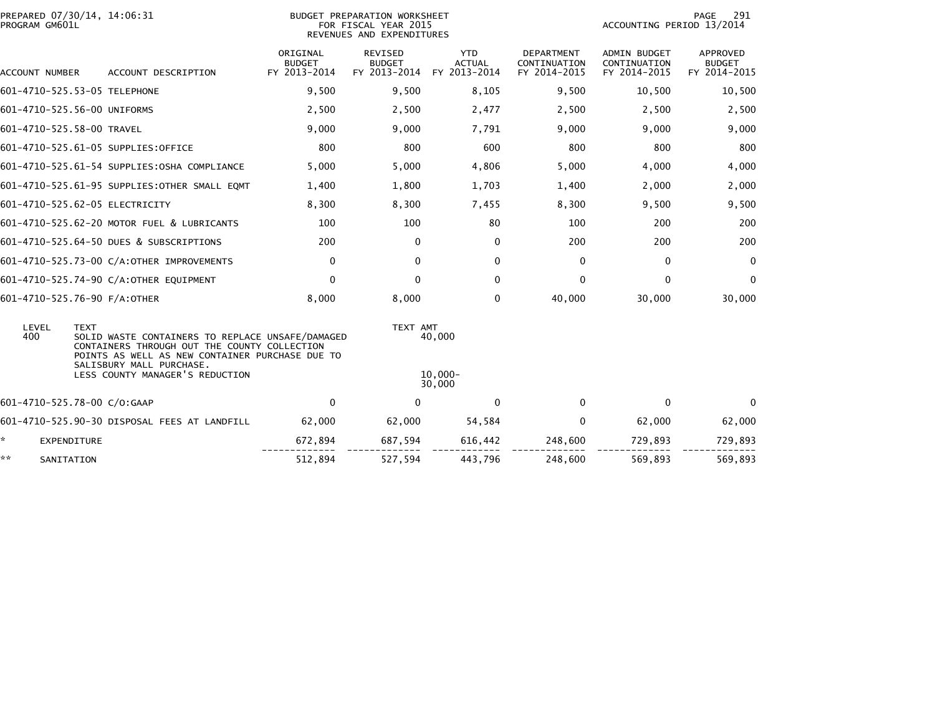| PROGRAM GM601L            | PREPARED 07/30/14, 14:06:31                                                                                                                                        | BUDGET PREPARATION WORKSHEET<br>FOR FISCAL YEAR 2015<br>REVENUES AND EXPENDITURES |                                          |                                      |                                                   |                                              | PAGE<br>291<br>ACCOUNTING PERIOD 13/2014  |  |
|---------------------------|--------------------------------------------------------------------------------------------------------------------------------------------------------------------|-----------------------------------------------------------------------------------|------------------------------------------|--------------------------------------|---------------------------------------------------|----------------------------------------------|-------------------------------------------|--|
| ACCOUNT NUMBER            | ACCOUNT DESCRIPTION                                                                                                                                                | ORIGINAL<br><b>BUDGET</b><br>FY 2013-2014                                         | REVISED<br><b>BUDGET</b><br>FY 2013-2014 | <b>YTD</b><br>ACTUAL<br>FY 2013-2014 | <b>DEPARTMENT</b><br>CONTINUATION<br>FY 2014-2015 | ADMIN BUDGET<br>CONTINUATION<br>FY 2014-2015 | APPROVED<br><b>BUDGET</b><br>FY 2014-2015 |  |
|                           | 601-4710-525.53-05 TELEPHONE                                                                                                                                       | 9,500                                                                             | 9,500                                    | 8,105                                | 9,500                                             | 10,500                                       | 10,500                                    |  |
|                           | 601-4710-525.56-00 UNIFORMS                                                                                                                                        | 2,500                                                                             | 2,500                                    | 2,477                                | 2,500                                             | 2,500                                        | 2,500                                     |  |
| 601-4710-525.58-00 TRAVEL |                                                                                                                                                                    | 9,000                                                                             | 9,000                                    | 7,791                                | 9,000                                             | 9,000                                        | 9,000                                     |  |
|                           | 601-4710-525.61-05 SUPPLIES:OFFICE                                                                                                                                 | 800                                                                               | 800                                      | 600                                  | 800                                               | 800                                          | 800                                       |  |
|                           | 601-4710-525.61-54 SUPPLIES: OSHA COMPLIANCE                                                                                                                       | 5,000                                                                             | 5,000                                    | 4,806                                | 5,000                                             | 4,000                                        | 4,000                                     |  |
|                           | 601-4710-525.61-95 SUPPLIES: OTHER SMALL EQMT                                                                                                                      | 1,400                                                                             | 1,800                                    | 1,703                                | 1,400                                             | 2,000                                        | 2,000                                     |  |
|                           | 601-4710-525.62-05 ELECTRICITY                                                                                                                                     | 8,300                                                                             | 8,300                                    | 7,455                                | 8,300                                             | 9,500                                        | 9,500                                     |  |
|                           | 601-4710-525.62-20 MOTOR FUEL & LUBRICANTS                                                                                                                         | 100                                                                               | 100                                      | 80                                   | 100                                               | 200                                          | 200                                       |  |
|                           | 601-4710-525.64-50 DUES & SUBSCRIPTIONS                                                                                                                            | 200                                                                               | $\mathbf{0}$                             | 0                                    | 200                                               | 200                                          | 200                                       |  |
|                           | 601-4710-525.73-00 C/A:OTHER IMPROVEMENTS                                                                                                                          | 0                                                                                 | $\Omega$                                 | $\mathbf{0}$                         | $\mathbf{0}$                                      | $\Omega$                                     | $\mathbf{0}$                              |  |
|                           | 601-4710-525.74-90 C/A:OTHER EQUIPMENT                                                                                                                             | $\Omega$                                                                          | $\mathbf{0}$                             | $\mathbf{0}$                         | $\mathbf{0}$                                      | $\Omega$                                     | $\mathbf{0}$                              |  |
|                           | 601-4710-525.76-90 F/A:OTHER                                                                                                                                       | 8,000                                                                             | 8,000                                    | 0                                    | 40,000                                            | 30,000                                       | 30,000                                    |  |
| LEVEL<br>400              | <b>TEXT</b><br>SOLID WASTE CONTAINERS TO REPLACE UNSAFE/DAMAGED<br>CONTAINERS THROUGH OUT THE COUNTY COLLECTION<br>POINTS AS WELL AS NEW CONTAINER PURCHASE DUE TO |                                                                                   | TEXT AMT                                 | 40,000                               |                                                   |                                              |                                           |  |
|                           | SALISBURY MALL PURCHASE.<br>LESS COUNTY MANAGER'S REDUCTION                                                                                                        |                                                                                   |                                          | $10.000 -$<br>30,000                 |                                                   |                                              |                                           |  |
|                           | 601-4710-525.78-00 C/O:GAAP                                                                                                                                        | 0                                                                                 | 0                                        | $\mathbf 0$                          | 0                                                 | $\Omega$                                     | $\Omega$                                  |  |
|                           | 601-4710-525.90-30 DISPOSAL FEES AT LANDFILL                                                                                                                       | 62,000                                                                            | 62,000                                   | 54,584                               | 0                                                 | 62,000                                       | 62,000                                    |  |
| ÷.<br>EXPENDITURE         |                                                                                                                                                                    | 672,894                                                                           | 687,594                                  | 616,442                              | 248,600                                           | 729,893                                      | 729,893                                   |  |
| **<br>SANITATION          |                                                                                                                                                                    | 512,894                                                                           | 527,594                                  | 443,796                              | 248,600                                           | 569,893                                      | 569.893                                   |  |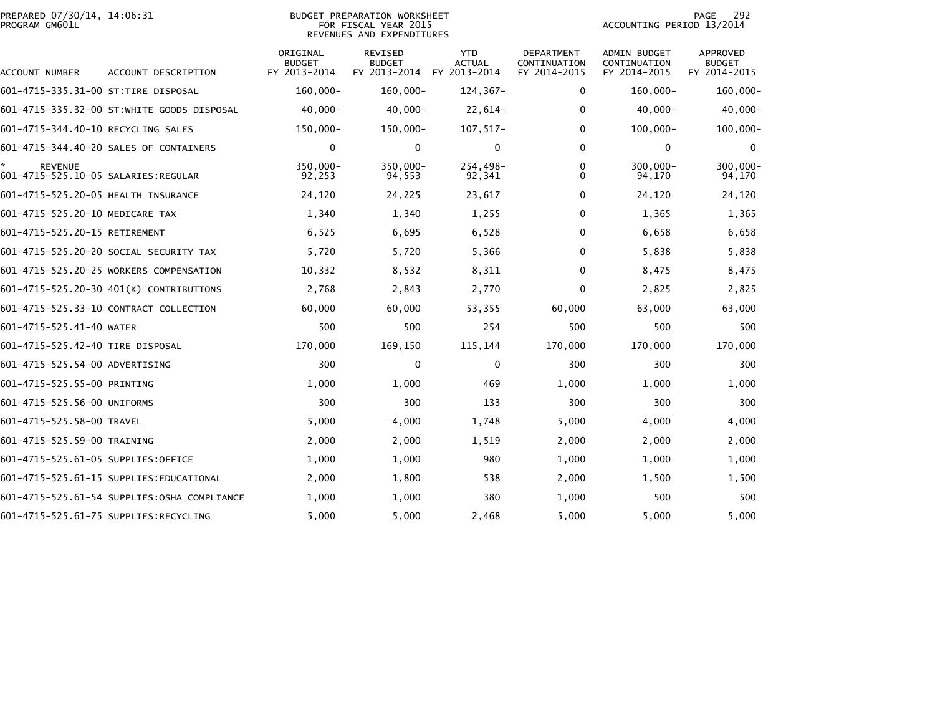| PREPARED 07/30/14, 14:06:31<br>PROGRAM GM601L |                                             | 292<br>PAGE<br>ACCOUNTING PERIOD 13/2014  |                                                 |                                             |                                            |                                              |                                                  |
|-----------------------------------------------|---------------------------------------------|-------------------------------------------|-------------------------------------------------|---------------------------------------------|--------------------------------------------|----------------------------------------------|--------------------------------------------------|
| ACCOUNT NUMBER                                | ACCOUNT DESCRIPTION                         | ORIGINAL<br><b>BUDGET</b><br>FY 2013-2014 | <b>REVISED</b><br><b>BUDGET</b><br>FY 2013-2014 | <b>YTD</b><br><b>ACTUAL</b><br>FY 2013-2014 | DEPARTMENT<br>CONTINUATION<br>FY 2014-2015 | ADMIN BUDGET<br>CONTINUATION<br>FY 2014-2015 | <b>APPROVED</b><br><b>BUDGET</b><br>FY 2014-2015 |
| 601-4715-335.31-00 ST:TIRE DISPOSAL           |                                             | $160,000 -$                               | $160,000 -$                                     | $124, 367 -$                                | 0                                          | $160,000 -$                                  | $160,000 -$                                      |
|                                               | 601–4715–335.32–00 ST:WHITE GOODS DISPOSAL  | $40,000 -$                                | $40,000 -$                                      | $22,614-$                                   | 0                                          | $40,000 -$                                   | $40,000-$                                        |
| 601-4715-344.40-10 RECYCLING SALES            |                                             | 150,000-                                  | 150,000-                                        | $107, 517 -$                                | $\Omega$                                   | $100,000 -$                                  | $100,000 -$                                      |
|                                               | 601-4715-344.40-20 SALES OF CONTAINERS      | 0                                         | 0                                               | 0                                           | $\Omega$                                   | 0                                            | 0                                                |
| <b>REVENUE</b>                                |                                             | $350,000 -$<br>92,253                     | 350,000-<br>94,553                              | 254,498-<br>92,341                          | 0<br>0                                     | $300,000 -$<br>94,170                        | $300,000 -$<br>94,170                            |
| 601-4715-525.20-05 HEALTH INSURANCE           |                                             | 24,120                                    | 24,225                                          | 23,617                                      | 0                                          | 24,120                                       | 24,120                                           |
| 601-4715-525.20-10 MEDICARE TAX               |                                             | 1,340                                     | 1,340                                           | 1,255                                       | 0                                          | 1,365                                        | 1,365                                            |
| 601-4715-525.20-15 RETIREMENT                 |                                             | 6,525                                     | 6,695                                           | 6,528                                       | $\Omega$                                   | 6,658                                        | 6,658                                            |
|                                               | 601-4715-525.20-20 SOCIAL SECURITY TAX      | 5,720                                     | 5,720                                           | 5,366                                       | $\Omega$                                   | 5,838                                        | 5,838                                            |
|                                               | 601-4715-525.20-25 WORKERS COMPENSATION     | 10,332                                    | 8,532                                           | 8,311                                       | $\Omega$                                   | 8,475                                        | 8,475                                            |
|                                               | 601-4715-525.20-30 401(K) CONTRIBUTIONS     | 2,768                                     | 2,843                                           | 2,770                                       | 0                                          | 2,825                                        | 2,825                                            |
|                                               | 601-4715-525.33-10 CONTRACT COLLECTION      | 60,000                                    | 60,000                                          | 53,355                                      | 60,000                                     | 63,000                                       | 63,000                                           |
| 601-4715-525.41-40 WATER                      |                                             | 500                                       | 500                                             | 254                                         | 500                                        | 500                                          | 500                                              |
| 601-4715-525.42-40 TIRE DISPOSAL              |                                             | 170,000                                   | 169,150                                         | 115,144                                     | 170,000                                    | 170,000                                      | 170,000                                          |
| 601-4715-525.54-00 ADVERTISING                |                                             | 300                                       | $\mathbf 0$                                     | 0                                           | 300                                        | 300                                          | 300                                              |
| 601-4715-525.55-00 PRINTING                   |                                             | 1,000                                     | 1,000                                           | 469                                         | 1,000                                      | 1,000                                        | 1,000                                            |
| 601-4715-525.56-00 UNIFORMS                   |                                             | 300                                       | 300                                             | 133                                         | 300                                        | 300                                          | 300                                              |
| 601-4715-525.58-00 TRAVEL                     |                                             | 5,000                                     | 4,000                                           | 1,748                                       | 5,000                                      | 4,000                                        | 4,000                                            |
| 601-4715-525.59-00 TRAINING                   |                                             | 2,000                                     | 2,000                                           | 1,519                                       | 2,000                                      | 2,000                                        | 2,000                                            |
| 601-4715-525.61-05 SUPPLIES:OFFICE            |                                             | 1,000                                     | 1,000                                           | 980                                         | 1,000                                      | 1,000                                        | 1,000                                            |
|                                               | 601-4715-525.61-15 SUPPLIES:EDUCATIONAL     | 2,000                                     | 1,800                                           | 538                                         | 2,000                                      | 1,500                                        | 1,500                                            |
|                                               | 601-4715-525.61-54 SUPPLIES:OSHA COMPLIANCE | 1,000                                     | 1,000                                           | 380                                         | 1,000                                      | 500                                          | 500                                              |
|                                               | 601-4715-525.61-75 SUPPLIES:RECYCLING       | 5,000                                     | 5,000                                           | 2,468                                       | 5,000                                      | 5,000                                        | 5,000                                            |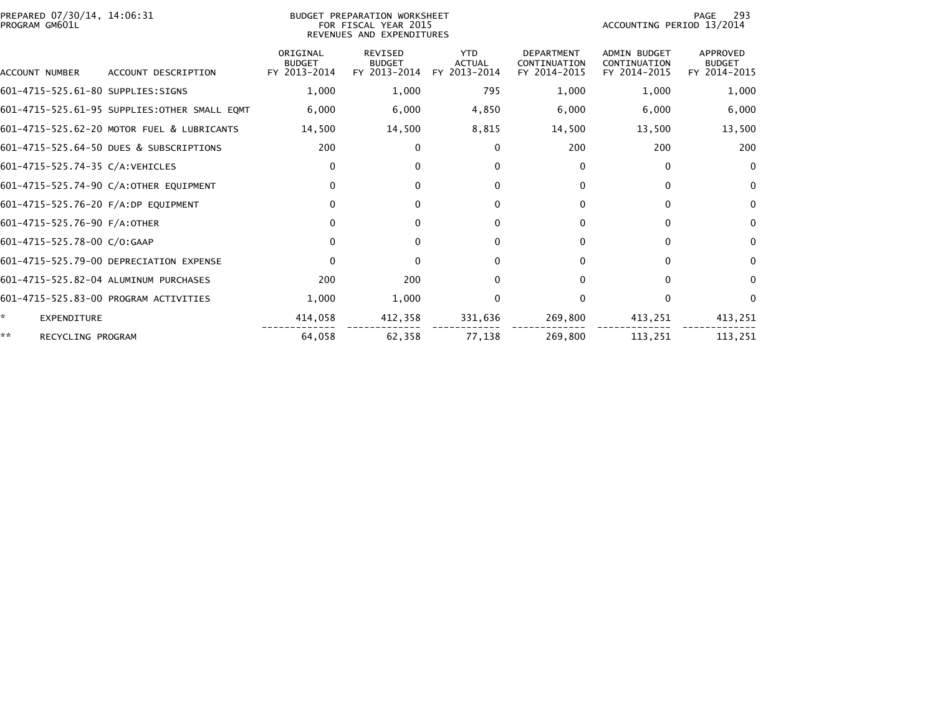| PREPARED 07/30/14, 14:06:31<br>PROGRAM GM601L |                                               |                                           | BUDGET PREPARATION WORKSHEET<br>FOR FISCAL YEAR 2015<br>REVENUES AND EXPENDITURES | -293<br>PAGE<br>ACCOUNTING PERIOD 13/2014   |                                                   |                                                     |                                           |
|-----------------------------------------------|-----------------------------------------------|-------------------------------------------|-----------------------------------------------------------------------------------|---------------------------------------------|---------------------------------------------------|-----------------------------------------------------|-------------------------------------------|
| <b>ACCOUNT NUMBER</b>                         | ACCOUNT DESCRIPTION                           | ORIGINAL<br><b>BUDGET</b><br>FY 2013-2014 | <b>REVISED</b><br><b>BUDGET</b><br>FY 2013-2014                                   | <b>YTD</b><br><b>ACTUAL</b><br>FY 2013-2014 | <b>DEPARTMENT</b><br>CONTINUATION<br>FY 2014-2015 | <b>ADMIN BUDGET</b><br>CONTINUATION<br>FY 2014-2015 | APPROVED<br><b>BUDGET</b><br>FY 2014-2015 |
|                                               |                                               |                                           |                                                                                   |                                             |                                                   |                                                     |                                           |
| 601-4715-525.61-80 SUPPLIES:SIGNS             |                                               | 1,000                                     | 1,000                                                                             | 795                                         | 1,000                                             | 1,000                                               | 1,000                                     |
|                                               | 601-4715-525.61-95 SUPPLIES: OTHER SMALL EQMT | 6,000                                     | 6,000                                                                             | 4,850                                       | 6,000                                             | 6,000                                               | 6,000                                     |
|                                               | 601-4715-525.62-20 MOTOR FUEL & LUBRICANTS    | 14,500                                    | 14,500                                                                            | 8,815                                       | 14,500                                            | 13,500                                              | 13,500                                    |
|                                               | 601-4715-525.64-50 DUES & SUBSCRIPTIONS       | 200                                       | $\mathbf{0}$                                                                      | 0                                           | 200                                               | 200                                                 | 200                                       |
| 601-4715-525.74-35 C/A:VEHICLES               |                                               | 0                                         | $\Omega$                                                                          | $\Omega$                                    | 0                                                 | $\mathbf{0}$                                        | $\mathbf{0}$                              |
|                                               | 601-4715-525.74-90 C/A:OTHER EQUIPMENT        | $\mathbf{0}$                              | $\Omega$                                                                          | $\mathbf{0}$                                | 0                                                 | $\Omega$                                            | $\mathbf{0}$                              |
| 601-4715-525.76-20 F/A:DP EQUIPMENT           |                                               | $\mathbf{0}$                              | $\Omega$                                                                          | $\Omega$                                    | 0                                                 | $\Omega$                                            | $\mathbf{0}$                              |
| 601-4715-525.76-90 F/A:OTHER                  |                                               | $\Omega$                                  | $\Omega$                                                                          | $\mathbf{0}$                                | 0                                                 | $\Omega$                                            | $\mathbf{0}$                              |
| 601-4715-525.78-00 C/O:GAAP                   |                                               | $\mathbf{0}$                              | $\Omega$                                                                          | $\Omega$                                    | 0                                                 | $\Omega$                                            | $\mathbf{0}$                              |
|                                               | 601-4715-525.79-00 DEPRECIATION EXPENSE       | $\mathbf{0}$                              | $\Omega$                                                                          | $\Omega$                                    | 0                                                 | $\Omega$                                            | $\mathbf{0}$                              |
|                                               | 601-4715-525.82-04 ALUMINUM PURCHASES         | 200                                       | 200                                                                               | $\Omega$                                    | 0                                                 | $\Omega$                                            | 0                                         |
|                                               | 601-4715-525.83-00 PROGRAM ACTIVITIES         | 1,000                                     | 1,000                                                                             | $\Omega$                                    | 0                                                 | $\Omega$                                            | $\Omega$                                  |
| ÷.<br><b>EXPENDITURE</b>                      |                                               | 414,058                                   | 412,358                                                                           | 331,636                                     | 269,800                                           | 413,251                                             | 413,251                                   |
| **<br>RECYCLING PROGRAM                       |                                               | 64.058                                    | 62.358                                                                            | 77,138                                      | 269.800                                           | 113.251                                             | 113.251                                   |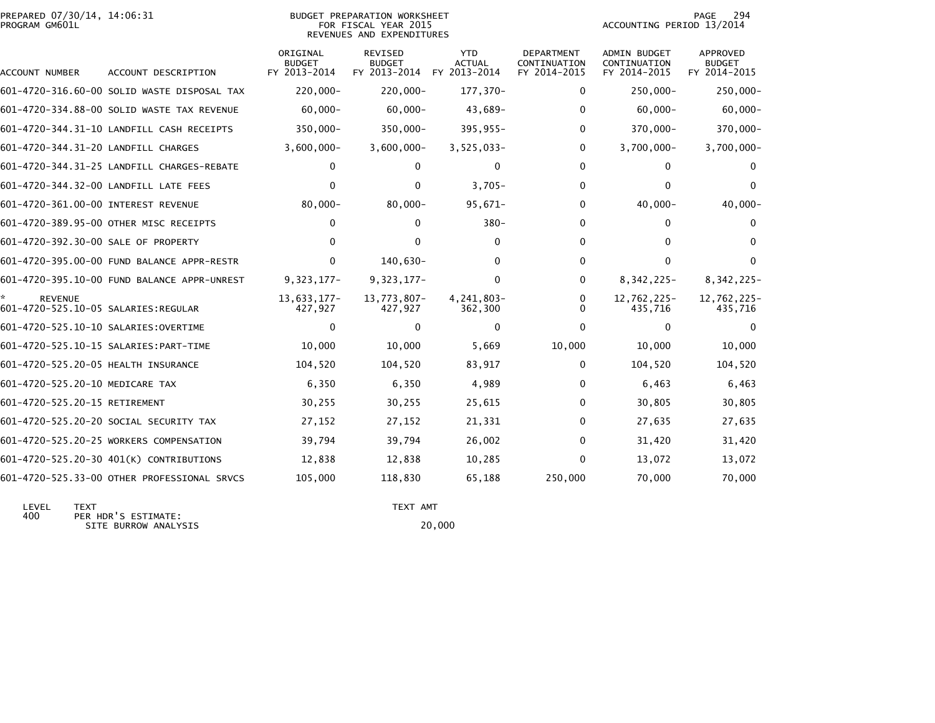| PREPARED 07/30/14, 14:06:31<br>PROGRAM GM601L         |                                             |                           | BUDGET PREPARATION WORKSHEET<br>FOR FISCAL YEAR 2015<br>REVENUES AND EXPENDITURES | 294<br>PAGE<br>ACCOUNTING PERIOD 13/2014 |                            |                                     |                                  |
|-------------------------------------------------------|---------------------------------------------|---------------------------|-----------------------------------------------------------------------------------|------------------------------------------|----------------------------|-------------------------------------|----------------------------------|
|                                                       |                                             | ORIGINAL<br><b>BUDGET</b> | <b>REVISED</b><br><b>BUDGET</b>                                                   | <b>YTD</b><br><b>ACTUAL</b>              | DEPARTMENT<br>CONTINUATION | <b>ADMIN BUDGET</b><br>CONTINUATION | <b>APPROVED</b><br><b>BUDGET</b> |
| ACCOUNT NUMBER                                        | ACCOUNT DESCRIPTION                         | FY 2013-2014              | FY 2013-2014                                                                      | FY 2013-2014                             | FY 2014-2015               | FY 2014-2015                        | FY 2014-2015                     |
|                                                       | 601–4720–316.60–00 SOLID WASTE DISPOSAL TAX | $220,000 -$               | $220,000 -$                                                                       | 177,370-                                 | 0                          | $250,000 -$                         | $250,000 -$                      |
|                                                       | 601-4720-334.88-00 SOLID WASTE TAX REVENUE  | $60,000 -$                | $60,000 -$                                                                        | 43,689-                                  | 0                          | $60,000 -$                          | $60,000 -$                       |
|                                                       | 601-4720-344.31-10 LANDFILL CASH RECEIPTS   | 350,000-                  | $350,000 -$                                                                       | 395,955-                                 | 0                          | 370,000-                            | 370,000-                         |
| 601-4720-344.31-20 LANDFILL CHARGES                   |                                             | $3,600,000 -$             | $3,600,000 -$                                                                     | $3,525,033-$                             | 0                          | $3,700,000 -$                       | $3,700,000 -$                    |
|                                                       | 601-4720-344.31-25 LANDFILL CHARGES-REBATE  | 0                         | $\Omega$                                                                          | 0                                        | 0                          | 0                                   | $\Omega$                         |
|                                                       | 601-4720-344.32-00 LANDFILL LATE FEES       | <sup>0</sup>              | $\Omega$                                                                          | $3,705-$                                 | 0                          | $\mathbf{0}$                        | $\Omega$                         |
| 601-4720-361.00-00 INTEREST REVENUE                   |                                             | $80,000 -$                | $80.000 -$                                                                        | $95,671-$                                | 0                          | $40.000 -$                          | $40,000 -$                       |
|                                                       | 601-4720-389.95-00 OTHER MISC RECEIPTS      | 0                         | 0                                                                                 | $380 -$                                  | $\Omega$                   | 0                                   | 0                                |
| 601-4720-392.30-00 SALE OF PROPERTY                   |                                             | 0                         | 0                                                                                 | $\Omega$                                 | 0                          | $\Omega$                            | $\Omega$                         |
|                                                       | 601-4720-395.00-00 FUND BALANCE APPR-RESTR  | 0                         | 140,630-                                                                          | 0                                        | 0                          | $\mathbf{0}$                        | $\Omega$                         |
|                                                       | 601-4720-395.10-00 FUND BALANCE APPR-UNREST | $9,323,177-$              | $9,323,177-$                                                                      | $\Omega$                                 | 0                          | 8,342,225-                          | 8,342,225-                       |
| <b>REVENUE</b><br>601-4720-525.10-05 SALARIES:REGULAR |                                             | 13,633,177-<br>427,927    | 13,773,807-<br>427,927                                                            | 4.241.803-<br>362,300                    | 0<br><sup>0</sup>          | 12,762,225-<br>435,716              | 12,762,225-<br>435,716           |
| 601-4720-525.10-10 SALARIES: OVERTIME                 |                                             | 0                         | $\Omega$                                                                          | $\Omega$                                 | 0                          | $\mathbf{0}$                        | 0                                |
|                                                       | 601-4720-525.10-15 SALARIES: PART-TIME      | 10,000                    | 10,000                                                                            | 5,669                                    | 10,000                     | 10,000                              | 10,000                           |
| 601-4720-525.20-05 HEALTH INSURANCE                   |                                             | 104,520                   | 104,520                                                                           | 83,917                                   | 0                          | 104,520                             | 104,520                          |
| 601-4720-525.20-10 MEDICARE TAX                       |                                             | 6,350                     | 6,350                                                                             | 4,989                                    | 0                          | 6,463                               | 6,463                            |
| 601-4720-525.20-15 RETIREMENT                         |                                             | 30,255                    | 30,255                                                                            | 25,615                                   | 0                          | 30,805                              | 30,805                           |
|                                                       | 601-4720-525.20-20 SOCIAL SECURITY TAX      | 27,152                    | 27,152                                                                            | 21,331                                   | 0                          | 27,635                              | 27,635                           |
|                                                       | 601-4720-525.20-25 WORKERS COMPENSATION     | 39,794                    | 39,794                                                                            | 26,002                                   | 0                          | 31,420                              | 31,420                           |
|                                                       | 601-4720-525.20-30 401(K) CONTRIBUTIONS     | 12,838                    | 12,838                                                                            | 10,285                                   | 0                          | 13,072                              | 13,072                           |
|                                                       | 601-4720-525.33-00 OTHER PROFESSIONAL SRVCS | 105,000                   | 118,830                                                                           | 65,188                                   | 250,000                    | 70.000                              | 70,000                           |

| LEVEL | <b>TFXT</b>          | TEXT AMT |
|-------|----------------------|----------|
| 400   | PER HDR'S ESTIMATE:  |          |
|       | SITE BURROW ANALYSIS | 20,000   |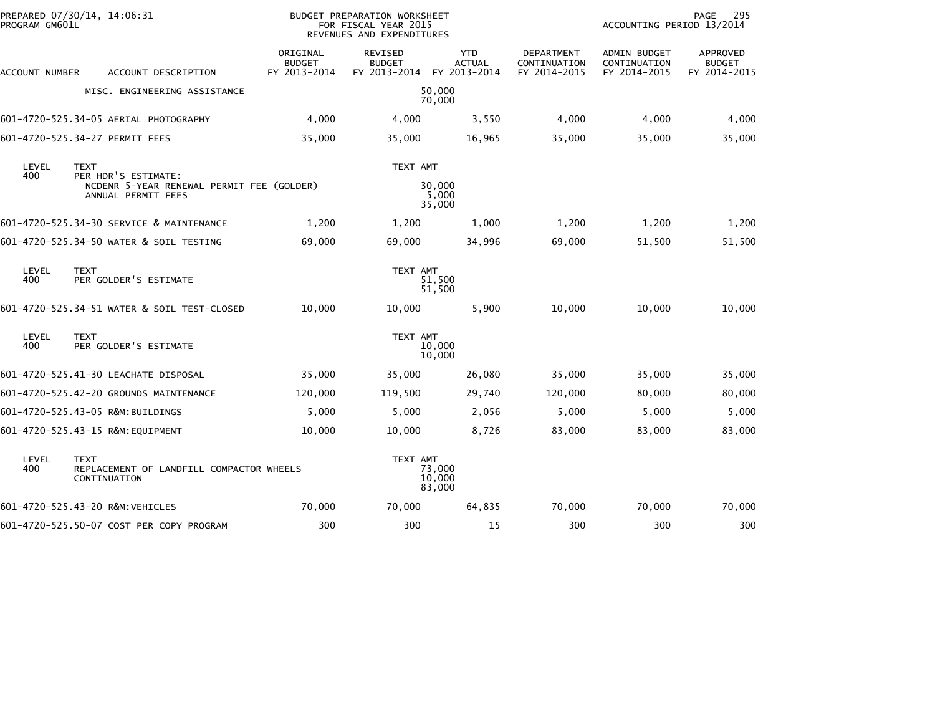| PROGRAM GM601L | PREPARED 07/30/14, 14:06:31                                                            |                                           | BUDGET PREPARATION WORKSHEET<br>FOR FISCAL YEAR 2015<br>REVENUES AND EXPENDITURES |                                             | PAGE<br>295<br>ACCOUNTING PERIOD 13/2014   |                                              |                                           |
|----------------|----------------------------------------------------------------------------------------|-------------------------------------------|-----------------------------------------------------------------------------------|---------------------------------------------|--------------------------------------------|----------------------------------------------|-------------------------------------------|
| ACCOUNT NUMBER | ACCOUNT DESCRIPTION                                                                    | ORIGINAL<br><b>BUDGET</b><br>FY 2013-2014 | REVISED<br><b>BUDGET</b><br>FY 2013-2014                                          | <b>YTD</b><br><b>ACTUAL</b><br>FY 2013-2014 | DEPARTMENT<br>CONTINUATION<br>FY 2014-2015 | ADMIN BUDGET<br>CONTINUATION<br>FY 2014-2015 | APPROVED<br><b>BUDGET</b><br>FY 2014-2015 |
|                | MISC. ENGINEERING ASSISTANCE                                                           |                                           |                                                                                   | 50,000<br>70,000                            |                                            |                                              |                                           |
|                | 601-4720-525.34-05 AERIAL PHOTOGRAPHY                                                  | 4,000                                     | 4,000                                                                             | 3,550                                       | 4,000                                      | 4,000                                        | 4,000                                     |
|                | 601-4720-525.34-27 PERMIT FEES                                                         | 35,000                                    | 35,000                                                                            | 16,965                                      | 35,000                                     | 35,000                                       | 35,000                                    |
| LEVEL          | <b>TEXT</b>                                                                            |                                           | TEXT AMT                                                                          |                                             |                                            |                                              |                                           |
| 400            | PER HDR'S ESTIMATE:<br>NCDENR 5-YEAR RENEWAL PERMIT FEE (GOLDER)<br>ANNUAL PERMIT FEES |                                           |                                                                                   | 30,000<br>5,000<br>35,000                   |                                            |                                              |                                           |
|                | 601-4720-525.34-30 SERVICE & MAINTENANCE                                               | 1,200                                     | 1,200                                                                             | 1,000                                       | 1,200                                      | 1,200                                        | 1,200                                     |
|                | 601-4720-525.34-50 WATER & SOIL TESTING                                                | 69,000                                    | 69,000                                                                            | 34,996                                      | 69,000                                     | 51,500                                       | 51,500                                    |
| LEVEL<br>400   | <b>TEXT</b><br>PER GOLDER'S ESTIMATE                                                   |                                           | TEXT AMT                                                                          | 51,500<br>51,500                            |                                            |                                              |                                           |
|                | 601-4720-525.34-51 WATER & SOIL TEST-CLOSED                                            | 10,000                                    | 10,000                                                                            | 5,900                                       | 10,000                                     | 10,000                                       | 10,000                                    |
| LEVEL<br>400   | <b>TEXT</b><br>PER GOLDER'S ESTIMATE                                                   |                                           | TEXT AMT                                                                          | 10,000<br>10,000                            |                                            |                                              |                                           |
|                | 601-4720-525.41-30 LEACHATE DISPOSAL                                                   | 35,000                                    | 35,000                                                                            | 26,080                                      | 35,000                                     | 35,000                                       | 35,000                                    |
|                | 601-4720-525.42-20 GROUNDS MAINTENANCE                                                 | 120,000                                   | 119,500                                                                           | 29,740                                      | 120,000                                    | 80,000                                       | 80,000                                    |
|                | 601-4720-525.43-05 R&M:BUILDINGS                                                       | 5,000                                     | 5,000                                                                             | 2,056                                       | 5,000                                      | 5,000                                        | 5,000                                     |
|                | 601-4720-525.43-15 R&M:EQUIPMENT                                                       | 10,000                                    | 10,000                                                                            | 8,726                                       | 83,000                                     | 83,000                                       | 83,000                                    |
| LEVEL<br>400   | <b>TEXT</b><br>REPLACEMENT OF LANDFILL COMPACTOR WHEELS<br>CONTINUATION                |                                           | TEXT AMT                                                                          | 73,000<br>10,000<br>83,000                  |                                            |                                              |                                           |
|                | 601-4720-525.43-20 R&M:VEHICLES                                                        | 70,000                                    | 70,000                                                                            | 64,835                                      | 70,000                                     | 70,000                                       | 70,000                                    |
|                | 601-4720-525.50-07 COST PER COPY PROGRAM                                               | 300                                       | 300                                                                               | 15                                          | 300                                        | 300                                          | 300                                       |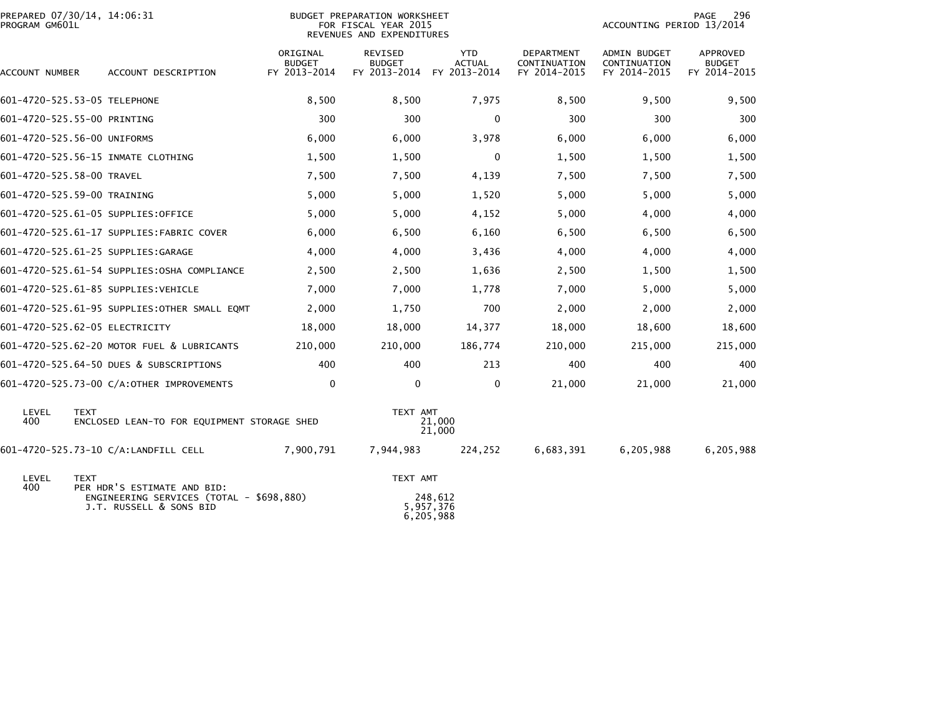| PROGRAM GM601L            | PREPARED 07/30/14, 14:06:31                                         |                                           | <b>BUDGET PREPARATION WORKSHEET</b><br>FOR FISCAL YEAR 2015<br>REVENUES AND EXPENDITURES | 296<br>PAGE<br>ACCOUNTING PERIOD 13/2014    |                                            |                                              |                                           |
|---------------------------|---------------------------------------------------------------------|-------------------------------------------|------------------------------------------------------------------------------------------|---------------------------------------------|--------------------------------------------|----------------------------------------------|-------------------------------------------|
| ACCOUNT NUMBER            | ACCOUNT DESCRIPTION                                                 | ORIGINAL<br><b>BUDGET</b><br>FY 2013-2014 | REVISED<br><b>BUDGET</b><br>FY 2013-2014                                                 | <b>YTD</b><br><b>ACTUAL</b><br>FY 2013-2014 | DEPARTMENT<br>CONTINUATION<br>FY 2014-2015 | ADMIN BUDGET<br>CONTINUATION<br>FY 2014-2015 | APPROVED<br><b>BUDGET</b><br>FY 2014-2015 |
|                           | 601-4720-525.53-05 TELEPHONE                                        | 8,500                                     | 8,500                                                                                    | 7,975                                       | 8,500                                      | 9,500                                        | 9,500                                     |
|                           | 601-4720-525.55-00 PRINTING                                         | 300                                       | 300                                                                                      | 0                                           | 300                                        | 300                                          | 300                                       |
|                           | 601-4720-525.56-00 UNIFORMS                                         | 6,000                                     | 6,000                                                                                    | 3,978                                       | 6,000                                      | 6,000                                        | 6,000                                     |
|                           | 601-4720-525.56-15 INMATE CLOTHING                                  | 1,500                                     | 1,500                                                                                    | $\mathbf{0}$                                | 1,500                                      | 1,500                                        | 1,500                                     |
| 601-4720-525.58-00 TRAVEL |                                                                     | 7,500                                     | 7,500                                                                                    | 4,139                                       | 7,500                                      | 7,500                                        | 7,500                                     |
|                           | 601-4720-525.59-00 TRAINING                                         | 5,000                                     | 5,000                                                                                    | 1,520                                       | 5,000                                      | 5,000                                        | 5,000                                     |
|                           | 601-4720-525.61-05 SUPPLIES:OFFICE                                  | 5,000                                     | 5,000                                                                                    | 4,152                                       | 5,000                                      | 4,000                                        | 4,000                                     |
|                           | 601-4720-525.61-17 SUPPLIES:FABRIC COVER                            | 6,000                                     | 6,500                                                                                    | 6,160                                       | 6,500                                      | 6,500                                        | 6,500                                     |
|                           | 601-4720-525.61-25 SUPPLIES:GARAGE                                  | 4,000                                     | 4,000                                                                                    | 3,436                                       | 4,000                                      | 4,000                                        | 4,000                                     |
|                           | 601-4720-525.61-54 SUPPLIES:OSHA COMPLIANCE                         | 2,500                                     | 2,500                                                                                    | 1,636                                       | 2,500                                      | 1,500                                        | 1,500                                     |
|                           | 601-4720-525.61-85 SUPPLIES:VEHICLE                                 | 7,000                                     | 7,000                                                                                    | 1,778                                       | 7,000                                      | 5,000                                        | 5,000                                     |
|                           | 601-4720-525.61-95 SUPPLIES: OTHER SMALL EQMT                       | 2,000                                     | 1,750                                                                                    | 700                                         | 2,000                                      | 2,000                                        | 2,000                                     |
|                           | 601-4720-525.62-05 ELECTRICITY                                      | 18,000                                    | 18,000                                                                                   | 14,377                                      | 18,000                                     | 18,600                                       | 18,600                                    |
|                           | 601-4720-525.62-20 MOTOR FUEL & LUBRICANTS                          | 210,000                                   | 210,000                                                                                  | 186,774                                     | 210,000                                    | 215,000                                      | 215,000                                   |
|                           | 601-4720-525.64-50 DUES & SUBSCRIPTIONS                             | 400                                       | 400                                                                                      | 213                                         | 400                                        | 400                                          | 400                                       |
|                           | 601-4720-525.73-00 C/A:OTHER IMPROVEMENTS                           | $\mathbf 0$                               | 0                                                                                        | 0                                           | 21,000                                     | 21,000                                       | 21,000                                    |
| LEVEL<br>400              | <b>TEXT</b><br>ENCLOSED LEAN-TO FOR EQUIPMENT STORAGE SHED          |                                           | TEXT AMT                                                                                 | 21,000<br>21,000                            |                                            |                                              |                                           |
|                           | 601-4720-525.73-10 C/A:LANDFILL CELL                                | 7,900,791                                 | 7,944,983                                                                                | 224,252                                     | 6,683,391                                  | 6,205,988                                    | 6,205,988                                 |
| LEVEL<br>400              | <b>TEXT</b><br>PER HDR'S ESTIMATE AND BID:                          |                                           | TEXT AMT                                                                                 |                                             |                                            |                                              |                                           |
|                           | ENGINEERING SERVICES (TOTAL - \$698,880)<br>J.T. RUSSELL & SONS BID |                                           |                                                                                          | 248,612<br>5,957,376<br>6,205,988           |                                            |                                              |                                           |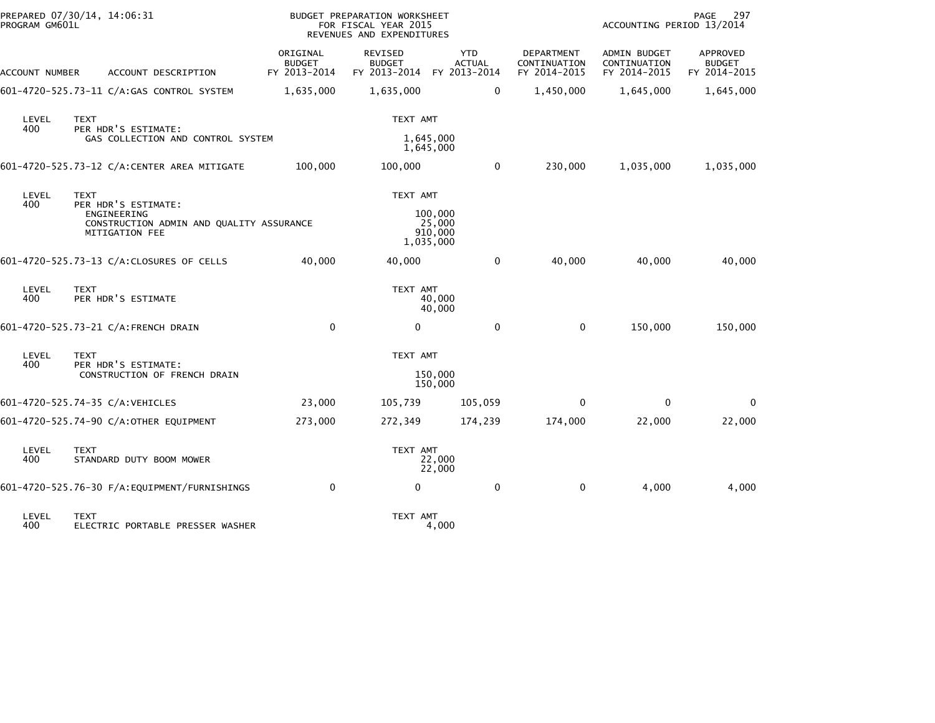| PROGRAM GM601L | PREPARED 07/30/14, 14:06:31                                                                      |                                           | BUDGET PREPARATION WORKSHEET<br>FOR FISCAL YEAR 2015<br>REVENUES AND EXPENDITURES |                                             |                                                   |                                                     | PAGE<br>297<br>ACCOUNTING PERIOD 13/2014  |  |  |
|----------------|--------------------------------------------------------------------------------------------------|-------------------------------------------|-----------------------------------------------------------------------------------|---------------------------------------------|---------------------------------------------------|-----------------------------------------------------|-------------------------------------------|--|--|
| ACCOUNT NUMBER | ACCOUNT DESCRIPTION                                                                              | ORIGINAL<br><b>BUDGET</b><br>FY 2013-2014 | <b>REVISED</b><br><b>BUDGET</b><br>FY 2013-2014                                   | <b>YTD</b><br><b>ACTUAL</b><br>FY 2013-2014 | <b>DEPARTMENT</b><br>CONTINUATION<br>FY 2014-2015 | <b>ADMIN BUDGET</b><br>CONTINUATION<br>FY 2014-2015 | APPROVED<br><b>BUDGET</b><br>FY 2014-2015 |  |  |
|                | 601-4720-525.73-11 C/A:GAS CONTROL SYSTEM                                                        | 1,635,000                                 | 1,635,000                                                                         | 0                                           | 1,450,000                                         | 1,645,000                                           | 1,645,000                                 |  |  |
| LEVEL<br>400   | <b>TEXT</b><br>PER HDR'S ESTIMATE:                                                               |                                           | TEXT AMT                                                                          |                                             |                                                   |                                                     |                                           |  |  |
|                | GAS COLLECTION AND CONTROL SYSTEM                                                                |                                           |                                                                                   | 1,645,000<br>1,645,000                      |                                                   |                                                     |                                           |  |  |
|                | 601-4720-525.73-12 C/A:CENTER AREA MITIGATE                                                      | 100,000                                   | 100,000                                                                           | 0                                           | 230,000                                           | 1,035,000                                           | 1,035,000                                 |  |  |
| LEVEL<br>400   | <b>TEXT</b>                                                                                      |                                           | TEXT AMT                                                                          |                                             |                                                   |                                                     |                                           |  |  |
|                | PER HDR'S ESTIMATE:<br>ENGINEERING<br>CONSTRUCTION ADMIN AND QUALITY ASSURANCE<br>MITIGATION FEE |                                           |                                                                                   | 100,000<br>25,000<br>910,000<br>1,035,000   |                                                   |                                                     |                                           |  |  |
|                | 601-4720-525.73-13 C/A:CLOSURES OF CELLS                                                         | 40,000                                    | 40,000                                                                            | $\mathbf 0$                                 | 40,000                                            | 40,000                                              | 40,000                                    |  |  |
| LEVEL<br>400   | <b>TEXT</b><br>PER HDR'S ESTIMATE                                                                |                                           | TEXT AMT                                                                          | 40,000<br>40,000                            |                                                   |                                                     |                                           |  |  |
|                | 601-4720-525.73-21 C/A:FRENCH DRAIN                                                              | $\mathbf 0$                               | 0                                                                                 | 0                                           | $\mathbf 0$                                       | 150,000                                             | 150,000                                   |  |  |
| LEVEL<br>400   | <b>TEXT</b>                                                                                      |                                           | TEXT AMT                                                                          |                                             |                                                   |                                                     |                                           |  |  |
|                | PER HDR'S ESTIMATE:<br>CONSTRUCTION OF FRENCH DRAIN                                              |                                           |                                                                                   | 150,000<br>150,000                          |                                                   |                                                     |                                           |  |  |
|                | 601-4720-525.74-35 C/A:VEHICLES                                                                  | 23,000                                    | 105,739                                                                           | 105,059                                     | 0                                                 | $\Omega$                                            | 0                                         |  |  |
|                | 601-4720-525.74-90 C/A:OTHER EQUIPMENT                                                           | 273,000                                   | 272,349                                                                           | 174,239                                     | 174,000                                           | 22,000                                              | 22,000                                    |  |  |
| LEVEL<br>400   | <b>TEXT</b><br>STANDARD DUTY BOOM MOWER                                                          |                                           | TEXT AMT                                                                          | 22,000<br>22,000                            |                                                   |                                                     |                                           |  |  |
|                |                                                                                                  | $\Omega$                                  | $\Omega$                                                                          | $\mathbf 0$                                 | $\mathbf 0$                                       | 4,000                                               | 4,000                                     |  |  |
| LEVEL<br>400   | <b>TEXT</b><br>ELECTRIC PORTABLE PRESSER WASHER                                                  |                                           | TEXT AMT                                                                          | 4,000                                       |                                                   |                                                     |                                           |  |  |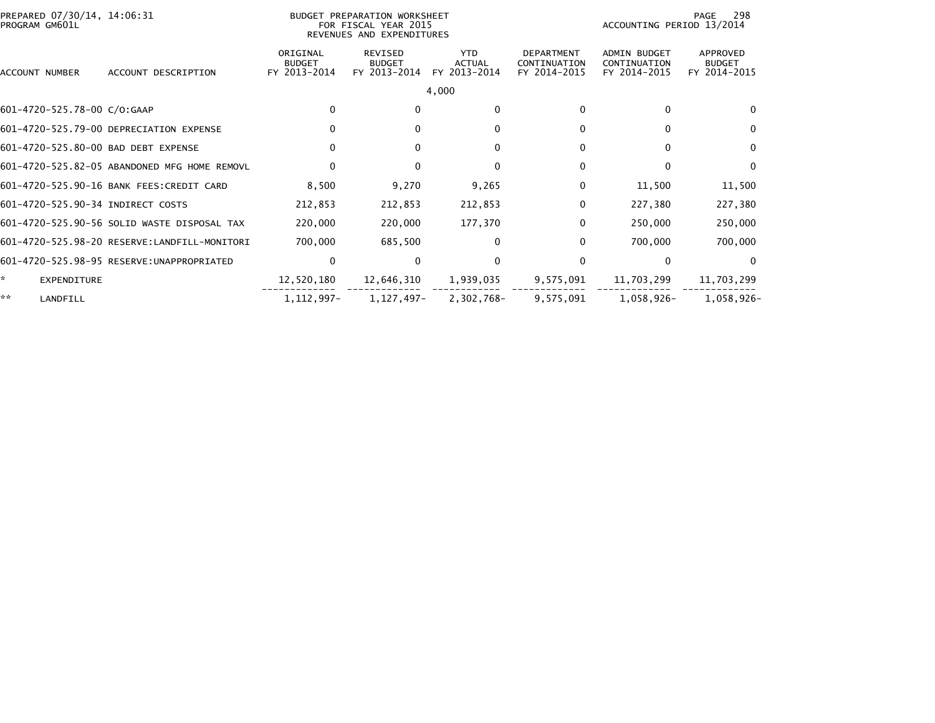| PROGRAM GM601L                      | PREPARED 07/30/14, 14:06:31<br>BUDGET PREPARATION WORKSHEET<br>FOR FISCAL YEAR 2015<br>REVENUES AND EXPENDITURES |                                           |                                                 |                                             |                                                   |                                                     | 298<br>PAGE<br>ACCOUNTING PERIOD 13/2014  |  |  |
|-------------------------------------|------------------------------------------------------------------------------------------------------------------|-------------------------------------------|-------------------------------------------------|---------------------------------------------|---------------------------------------------------|-----------------------------------------------------|-------------------------------------------|--|--|
| <b>ACCOUNT NUMBER</b>               | ACCOUNT DESCRIPTION                                                                                              | ORIGINAL<br><b>BUDGET</b><br>FY 2013-2014 | <b>REVISED</b><br><b>BUDGET</b><br>FY 2013-2014 | <b>YTD</b><br><b>ACTUAL</b><br>FY 2013-2014 | <b>DEPARTMENT</b><br>CONTINUATION<br>FY 2014-2015 | <b>ADMIN BUDGET</b><br>CONTINUATION<br>FY 2014-2015 | APPROVED<br><b>BUDGET</b><br>FY 2014-2015 |  |  |
|                                     |                                                                                                                  |                                           |                                                 | 4,000                                       |                                                   |                                                     |                                           |  |  |
| 601-4720-525.78-00 C/O:GAAP         |                                                                                                                  | $\mathbf{0}$                              | $\Omega$                                        | $\Omega$                                    | $\Omega$                                          | $\mathbf{0}$                                        | $\Omega$                                  |  |  |
|                                     | 601-4720-525.79-00 DEPRECIATION EXPENSE                                                                          | $\Omega$                                  | $\Omega$                                        | $\Omega$                                    |                                                   | $\Omega$                                            | $\mathbf{0}$                              |  |  |
| 601-4720-525.80-00 BAD DEBT EXPENSE |                                                                                                                  | 0                                         | $\mathbf{0}$                                    | 0                                           | 0                                                 | 0                                                   | 0                                         |  |  |
|                                     | 601-4720-525.82-05 ABANDONED MFG HOME REMOVL                                                                     | $\Omega$                                  | $\Omega$                                        | $\Omega$                                    |                                                   | $\Omega$                                            | $\Omega$                                  |  |  |
|                                     | 601-4720-525.90-16 BANK FEES:CREDIT CARD                                                                         | 8,500                                     | 9,270                                           | 9,265                                       |                                                   | 11,500                                              | 11,500                                    |  |  |
| 601-4720-525.90-34 INDIRECT COSTS   |                                                                                                                  | 212,853                                   | 212,853                                         | 212,853                                     | $\Omega$                                          | 227,380                                             | 227,380                                   |  |  |
|                                     | 601-4720-525.90-56 SOLID WASTE DISPOSAL TAX                                                                      | 220,000                                   | 220,000                                         | 177,370                                     | $\Omega$                                          | 250,000                                             | 250,000                                   |  |  |
|                                     |                                                                                                                  | 700,000                                   | 685,500                                         | 0                                           |                                                   | 700,000                                             | 700,000                                   |  |  |
|                                     | 601-4720-525.98-95 RESERVE: UNAPPROPRIATED                                                                       | $\Omega$                                  | $\Omega$                                        | $\Omega$                                    | $\Omega$                                          | $\Omega$                                            | $\Omega$                                  |  |  |
| *.<br>EXPENDITURE                   |                                                                                                                  | 12,520,180                                | 12,646,310                                      | 1,939,035                                   | 9,575,091                                         | 11,703,299                                          | 11,703,299                                |  |  |
| **<br>LANDFILL                      |                                                                                                                  | 1, 112, 997-                              | 1,127,497-                                      | 2,302,768-                                  | 9,575,091                                         | 1,058,926-                                          | 1,058,926-                                |  |  |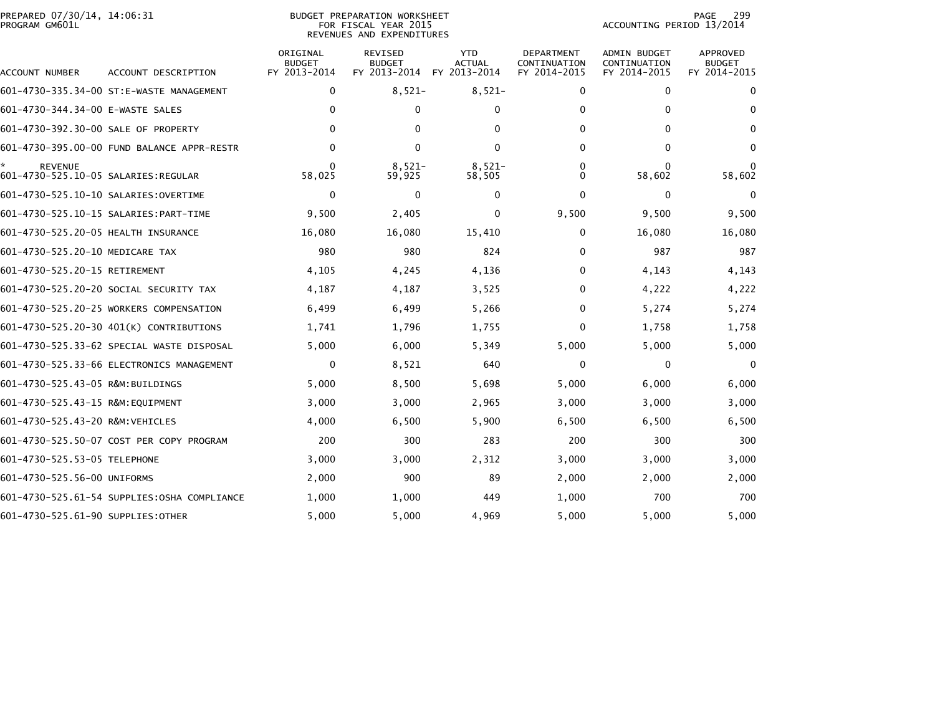| PREPARED 07/30/14, 14:06:31<br>PROGRAM GM601L |                                             |                                           | <b>BUDGET PREPARATION WORKSHEET</b><br>FOR FISCAL YEAR 2015<br>REVENUES AND EXPENDITURES | 299<br>PAGE<br>ACCOUNTING PERIOD 13/2014    |                                            |                                              |                                           |
|-----------------------------------------------|---------------------------------------------|-------------------------------------------|------------------------------------------------------------------------------------------|---------------------------------------------|--------------------------------------------|----------------------------------------------|-------------------------------------------|
| ACCOUNT NUMBER                                | ACCOUNT DESCRIPTION                         | ORIGINAL<br><b>BUDGET</b><br>FY 2013-2014 | <b>REVISED</b><br><b>BUDGET</b><br>FY 2013-2014                                          | <b>YTD</b><br><b>ACTUAL</b><br>FY 2013-2014 | DEPARTMENT<br>CONTINUATION<br>FY 2014-2015 | ADMIN BUDGET<br>CONTINUATION<br>FY 2014-2015 | APPROVED<br><b>BUDGET</b><br>FY 2014-2015 |
|                                               | 601-4730-335.34-00 ST:E-WASTE MANAGEMENT    | 0                                         | $8,521-$                                                                                 | $8,521-$                                    | 0                                          | 0                                            | 0                                         |
| 601-4730-344.34-00 E-WASTE SALES              |                                             | $\Omega$                                  | 0                                                                                        | $\Omega$                                    | 0                                          | 0                                            | 0                                         |
| 601-4730-392.30-00 SALE OF PROPERTY           |                                             | $\Omega$                                  | 0                                                                                        | 0                                           | $\Omega$                                   | 0                                            | 0                                         |
|                                               | 601-4730-395.00-00 FUND BALANCE APPR-RESTR  | 0                                         | 0                                                                                        | $\Omega$                                    | 0                                          | 0                                            | 0                                         |
| <b>REVENUE</b>                                |                                             | 58,025                                    | $8,521-$<br>59,925                                                                       | $8,521-$<br>58,505                          | 0<br>0                                     | $\Omega$<br>58,602                           | 58,602                                    |
|                                               |                                             | 0                                         | $\mathbf{0}$                                                                             | $\Omega$                                    | $\mathbf{0}$                               | 0                                            | $\Omega$                                  |
|                                               |                                             | 9,500                                     | 2,405                                                                                    | 0                                           | 9,500                                      | 9,500                                        | 9,500                                     |
| 601-4730-525.20-05 HEALTH INSURANCE           |                                             | 16,080                                    | 16,080                                                                                   | 15,410                                      | 0                                          | 16,080                                       | 16,080                                    |
| 601-4730-525.20-10 MEDICARE TAX               |                                             | 980                                       | 980                                                                                      | 824                                         | $\Omega$                                   | 987                                          | 987                                       |
| 601-4730-525.20-15 RETIREMENT                 |                                             | 4,105                                     | 4,245                                                                                    | 4,136                                       | 0                                          | 4,143                                        | 4,143                                     |
|                                               | 601-4730-525.20-20 SOCIAL SECURITY TAX      | 4,187                                     | 4,187                                                                                    | 3,525                                       | $\Omega$                                   | 4,222                                        | 4,222                                     |
|                                               | 601-4730-525.20-25 WORKERS COMPENSATION     | 6,499                                     | 6,499                                                                                    | 5,266                                       | $\Omega$                                   | 5,274                                        | 5,274                                     |
|                                               | 601-4730-525.20-30 401(K) CONTRIBUTIONS     | 1,741                                     | 1,796                                                                                    | 1,755                                       | $\Omega$                                   | 1,758                                        | 1,758                                     |
|                                               | 601-4730-525.33-62 SPECIAL WASTE DISPOSAL   | 5,000                                     | 6,000                                                                                    | 5,349                                       | 5,000                                      | 5,000                                        | 5,000                                     |
|                                               | 601-4730-525.33-66 ELECTRONICS MANAGEMENT   | 0                                         | 8,521                                                                                    | 640                                         | 0                                          | 0                                            | 0                                         |
| 601-4730-525.43-05 R&M:BUILDINGS              |                                             | 5,000                                     | 8,500                                                                                    | 5,698                                       | 5,000                                      | 6,000                                        | 6,000                                     |
| 601-4730-525.43-15 R&M:EQUIPMENT              |                                             | 3,000                                     | 3,000                                                                                    | 2,965                                       | 3,000                                      | 3,000                                        | 3,000                                     |
| 601-4730-525.43-20 R&M:VEHICLES               |                                             | 4,000                                     | 6,500                                                                                    | 5,900                                       | 6,500                                      | 6,500                                        | 6,500                                     |
|                                               | 601-4730-525.50-07 COST PER COPY PROGRAM    | 200                                       | 300                                                                                      | 283                                         | 200                                        | 300                                          | 300                                       |
| 601-4730-525.53-05 TELEPHONE                  |                                             | 3,000                                     | 3,000                                                                                    | 2,312                                       | 3,000                                      | 3,000                                        | 3,000                                     |
| 601-4730-525.56-00 UNIFORMS                   |                                             | 2,000                                     | 900                                                                                      | 89                                          | 2,000                                      | 2,000                                        | 2,000                                     |
|                                               | 601-4730-525.61-54 SUPPLIES:OSHA COMPLIANCE | 1,000                                     | 1,000                                                                                    | 449                                         | 1,000                                      | 700                                          | 700                                       |
| 601-4730-525.61-90 SUPPLIES: OTHER            |                                             | 5,000                                     | 5,000                                                                                    | 4,969                                       | 5,000                                      | 5,000                                        | 5,000                                     |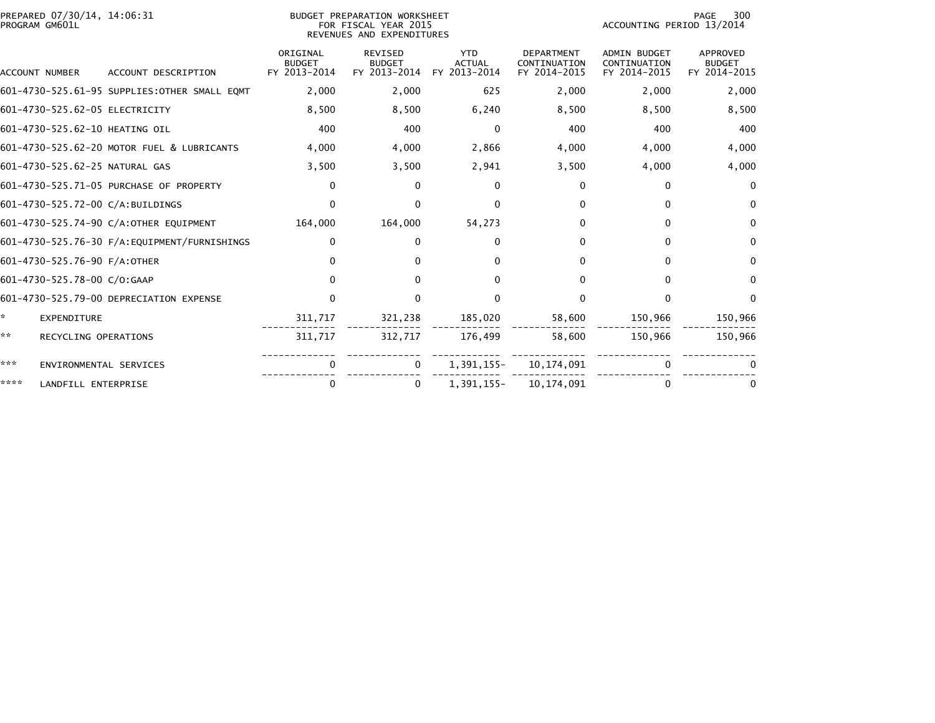| PREPARED 07/30/14, 14:06:31<br>PROGRAM GM601L |                                               |                                           | BUDGET PREPARATION WORKSHEET<br>FOR FISCAL YEAR 2015<br>REVENUES AND EXPENDITURES |                                             |                                                   |                                                     | 300<br>PAGE<br>ACCOUNTING PERIOD 13/2014  |  |  |
|-----------------------------------------------|-----------------------------------------------|-------------------------------------------|-----------------------------------------------------------------------------------|---------------------------------------------|---------------------------------------------------|-----------------------------------------------------|-------------------------------------------|--|--|
| <b>ACCOUNT NUMBER</b>                         | ACCOUNT DESCRIPTION                           | ORIGINAL<br><b>BUDGET</b><br>FY 2013-2014 | <b>REVISED</b><br><b>BUDGET</b><br>FY 2013-2014                                   | <b>YTD</b><br><b>ACTUAL</b><br>FY 2013-2014 | <b>DEPARTMENT</b><br>CONTINUATION<br>FY 2014-2015 | <b>ADMIN BUDGET</b><br>CONTINUATION<br>FY 2014-2015 | APPROVED<br><b>BUDGET</b><br>FY 2014-2015 |  |  |
|                                               | 601-4730-525.61-95 SUPPLIES: OTHER SMALL EQMT | 2,000                                     | 2,000                                                                             | 625                                         | 2,000                                             | 2,000                                               | 2,000                                     |  |  |
| 601-4730-525.62-05 ELECTRICITY                |                                               | 8,500                                     | 8,500                                                                             | 6,240                                       | 8,500                                             | 8,500                                               | 8,500                                     |  |  |
| 601-4730-525.62-10 HEATING OIL                |                                               | 400                                       | 400                                                                               | $\mathbf{0}$                                | 400                                               | 400                                                 | 400                                       |  |  |
|                                               | 601-4730-525.62-20 MOTOR FUEL & LUBRICANTS    | 4,000                                     | 4,000                                                                             | 2,866                                       | 4,000                                             | 4,000                                               | 4,000                                     |  |  |
| 601-4730-525.62-25 NATURAL GAS                |                                               | 3,500                                     | 3,500                                                                             | 2,941                                       | 3,500                                             | 4,000                                               | 4,000                                     |  |  |
|                                               | 601-4730-525.71-05 PURCHASE OF PROPERTY       | $\mathbf{0}$                              | 0                                                                                 | $\Omega$                                    | 0                                                 | 0                                                   | $\Omega$                                  |  |  |
| 601-4730-525.72-00 C/A:BUILDINGS              |                                               | $\Omega$                                  | 0                                                                                 | $\mathbf{0}$                                | $\Omega$                                          | 0                                                   | 0                                         |  |  |
|                                               | 601-4730-525.74-90 C/A:OTHER EQUIPMENT        | 164,000                                   | 164,000                                                                           | 54,273                                      | 0                                                 | 0                                                   | 0                                         |  |  |
|                                               |                                               | $\Omega$                                  | 0                                                                                 | $\Omega$                                    | 0                                                 | 0                                                   | $\Omega$                                  |  |  |
| 601-4730-525.76-90 F/A:OTHER                  |                                               | <sup>0</sup>                              | 0                                                                                 | 0                                           | $\Omega$                                          | 0                                                   | 0                                         |  |  |
| 601-4730-525.78-00 C/O:GAAP                   |                                               | <sup>0</sup>                              | <sup>0</sup>                                                                      | 0                                           | $\Omega$                                          | 0                                                   | 0                                         |  |  |
|                                               | 601-4730-525.79-00 DEPRECIATION EXPENSE       | 0                                         | 0                                                                                 | $\Omega$                                    | 0                                                 | 0                                                   | 0                                         |  |  |
| *<br>EXPENDITURE                              |                                               | 311,717                                   | 321,238                                                                           | 185,020                                     | 58,600                                            | 150,966                                             | 150,966                                   |  |  |
| **<br>RECYCLING OPERATIONS                    |                                               | 311,717                                   | 312,717                                                                           | 176,499                                     | 58,600                                            | 150,966                                             | 150,966                                   |  |  |
| ***<br>ENVIRONMENTAL SERVICES                 |                                               | 0                                         | 0                                                                                 | 1,391,155-                                  | 10, 174, 091                                      |                                                     |                                           |  |  |
| ****<br>LANDFILL ENTERPRISE                   |                                               | 0                                         | 0                                                                                 | 1,391,155-                                  | 10,174,091                                        | 0                                                   |                                           |  |  |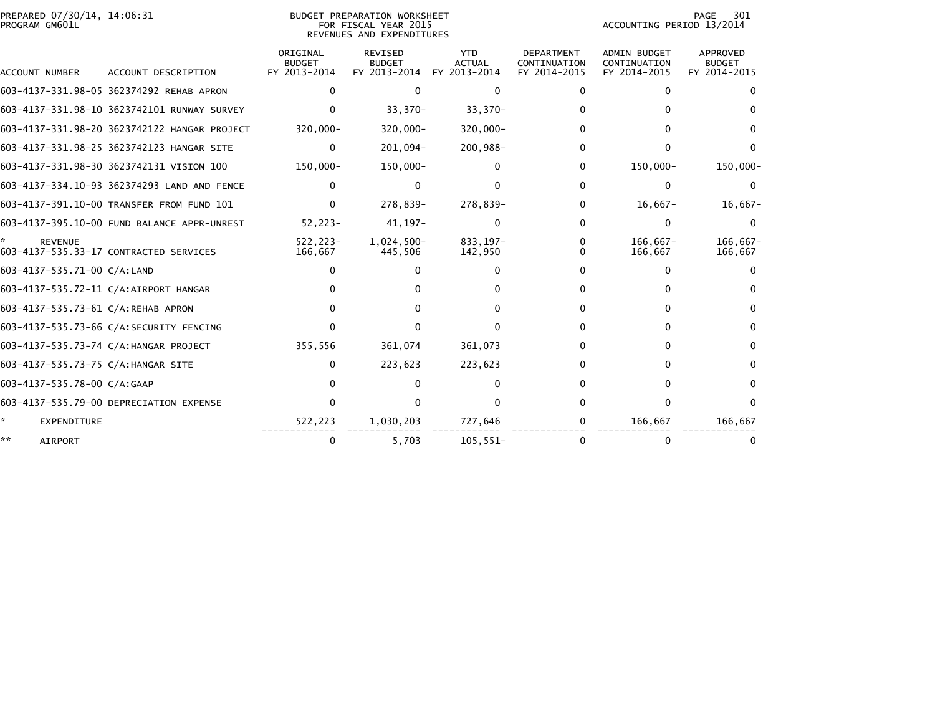| PREPARED 07/30/14, 14:06:31<br>PROGRAM GM601L | <b>BUDGET PREPARATION WORKSHEET</b><br>FOR FISCAL YEAR 2015<br>REVENUES AND EXPENDITURES |                                           |                                                 |                                             |                                                   | PAGE<br>301<br>ACCOUNTING PERIOD 13/2014            |                                           |  |
|-----------------------------------------------|------------------------------------------------------------------------------------------|-------------------------------------------|-------------------------------------------------|---------------------------------------------|---------------------------------------------------|-----------------------------------------------------|-------------------------------------------|--|
| ACCOUNT NUMBER                                | ACCOUNT DESCRIPTION                                                                      | ORIGINAL<br><b>BUDGET</b><br>FY 2013-2014 | <b>REVISED</b><br><b>BUDGET</b><br>FY 2013-2014 | <b>YTD</b><br><b>ACTUAL</b><br>FY 2013-2014 | <b>DEPARTMENT</b><br>CONTINUATION<br>FY 2014-2015 | <b>ADMIN BUDGET</b><br>CONTINUATION<br>FY 2014-2015 | APPROVED<br><b>BUDGET</b><br>FY 2014-2015 |  |
|                                               | 603-4137-331.98-05 362374292 REHAB APRON                                                 | 0                                         | 0                                               | $\Omega$                                    | 0                                                 | 0                                                   |                                           |  |
|                                               | 603-4137-331.98-10 3623742101 RUNWAY SURVEY                                              | $\Omega$                                  | $33,370-$                                       | $33,370-$                                   | 0                                                 | 0                                                   |                                           |  |
|                                               | 603-4137-331.98-20 3623742122 HANGAR PROJECT                                             | 320,000-                                  | $320,000 -$                                     | $320,000 -$                                 | 0                                                 | 0                                                   | <sup>0</sup>                              |  |
|                                               | 603-4137-331.98-25 3623742123 HANGAR SITE                                                | $\mathbf{0}$                              | $201,094-$                                      | 200,988-                                    | 0                                                 | $\Omega$                                            | ∩                                         |  |
|                                               | 603-4137-331.98-30 3623742131 VISION 100                                                 | 150,000-                                  | 150,000-                                        | 0                                           | 0                                                 | 150,000-                                            | $150,000 -$                               |  |
|                                               | 603-4137-334.10-93 362374293 LAND AND FENCE                                              | 0                                         | 0                                               | 0                                           | 0                                                 | 0                                                   |                                           |  |
|                                               | 603-4137-391.10-00 TRANSFER FROM FUND 101                                                | $\Omega$                                  | 278,839-                                        | 278,839-                                    | 0                                                 | $16,667-$                                           | $16,667-$                                 |  |
|                                               | 603-4137-395.10-00 FUND BALANCE APPR-UNREST                                              | $52,223-$                                 | $41, 197 -$                                     | 0                                           | $\Omega$                                          | $\Omega$                                            | $\Omega$                                  |  |
| <b>REVENUE</b>                                | 603-4137-535.33-17 CONTRACTED SERVICES                                                   | $522.223 -$<br>166,667                    | $1,024,500-$<br>445,506                         | 833.197-<br>142,950                         | 0                                                 | $166.667 -$<br>166,667                              | 166.667-<br>166,667                       |  |
| 603-4137-535.71-00 C/A:LAND                   |                                                                                          |                                           | 0                                               | $\Omega$                                    | 0                                                 | 0                                                   |                                           |  |
|                                               | 603-4137-535.72-11 C/A:AIRPORT HANGAR                                                    |                                           | 0                                               |                                             | 0                                                 | 0                                                   |                                           |  |
| 603-4137-535.73-61 C/A:REHAB APRON            |                                                                                          |                                           | O.                                              |                                             | 0                                                 | 0                                                   | <sup>0</sup>                              |  |
|                                               | 603-4137-535.73-66 C/A:SECURITY FENCING                                                  |                                           | 0                                               |                                             | 0                                                 | 0                                                   | 0                                         |  |
|                                               | 603-4137-535.73-74 C/A:HANGAR PROJECT                                                    | 355,556                                   | 361,074                                         | 361,073                                     | 0                                                 | 0                                                   |                                           |  |
| 603-4137-535.73-75 C/A:HANGAR SITE            |                                                                                          | 0                                         | 223,623                                         | 223,623                                     | 0                                                 | 0                                                   | 0                                         |  |
| 603-4137-535.78-00 C/A:GAAP                   |                                                                                          |                                           | 0                                               | 0                                           | 0                                                 | 0                                                   | <sup>0</sup>                              |  |
|                                               | 603-4137-535.79-00 DEPRECIATION EXPENSE                                                  | 0                                         | <sup>n</sup>                                    |                                             |                                                   | $\Omega$                                            | n                                         |  |
| *.<br><b>EXPENDITURE</b>                      |                                                                                          | 522,223                                   | 1,030,203                                       | 727,646                                     | 0                                                 | 166,667                                             | 166,667                                   |  |
| **<br><b>AIRPORT</b>                          |                                                                                          | 0                                         | 5,703                                           | $105,551-$                                  | 0                                                 |                                                     |                                           |  |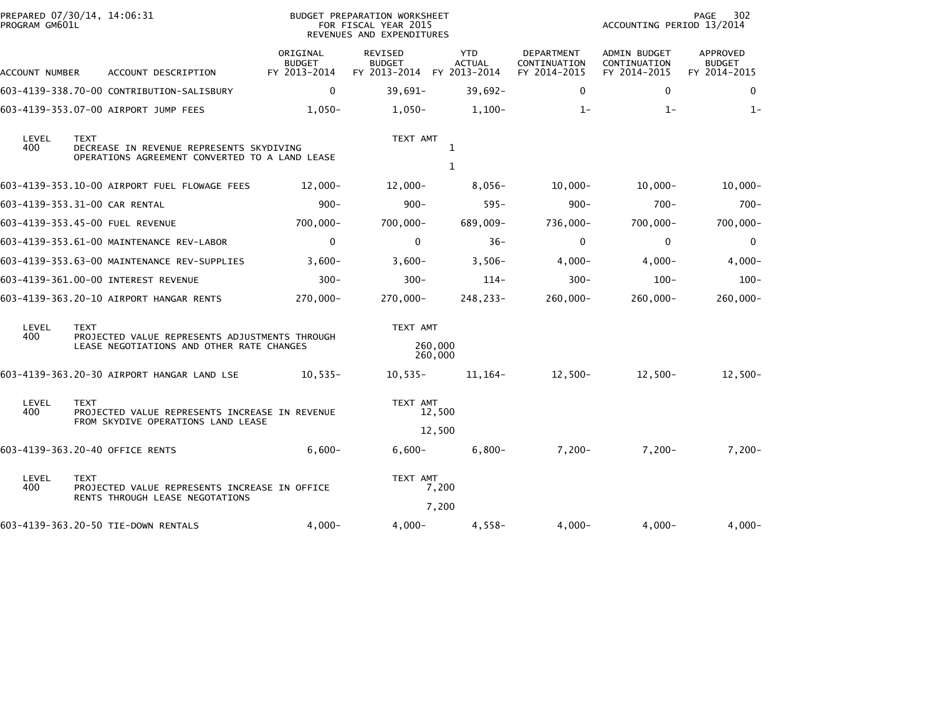| PROGRAM GM601L                                                                                                            | PREPARED 07/30/14, 14:06:31                                                                     |                                           | BUDGET PREPARATION WORKSHEET<br>FOR FISCAL YEAR 2015<br>REVENUES AND EXPENDITURES |                             |                                            | PAGE<br>302<br>ACCOUNTING PERIOD 13/2014     |                                           |  |
|---------------------------------------------------------------------------------------------------------------------------|-------------------------------------------------------------------------------------------------|-------------------------------------------|-----------------------------------------------------------------------------------|-----------------------------|--------------------------------------------|----------------------------------------------|-------------------------------------------|--|
| ACCOUNT NUMBER                                                                                                            | ACCOUNT DESCRIPTION                                                                             | ORIGINAL<br><b>BUDGET</b><br>FY 2013-2014 | REVISED<br><b>BUDGET</b><br>FY 2013-2014 FY 2013-2014                             | <b>YTD</b><br><b>ACTUAL</b> | DEPARTMENT<br>CONTINUATION<br>FY 2014-2015 | ADMIN BUDGET<br>CONTINUATION<br>FY 2014-2015 | APPROVED<br><b>BUDGET</b><br>FY 2014-2015 |  |
|                                                                                                                           | 603-4139-338.70-00 CONTRIBUTION-SALISBURY                                                       | $\mathbf 0$                               | $39,691-$                                                                         | $39,692 -$                  | $\mathbf{0}$                               | $\mathbf{0}$                                 | 0                                         |  |
|                                                                                                                           | 603-4139-353.07-00 AIRPORT JUMP FEES                                                            | $1.050 -$                                 | $1.050 -$                                                                         | $1,100-$                    | $1 -$                                      | $1 -$                                        | $1 -$                                     |  |
| LEVEL<br><b>TEXT</b><br>400<br>DECREASE IN REVENUE REPRESENTS SKYDIVING<br>OPERATIONS AGREEMENT CONVERTED TO A LAND LEASE |                                                                                                 | TEXT AMT<br>1                             |                                                                                   |                             |                                            |                                              |                                           |  |
|                                                                                                                           |                                                                                                 |                                           |                                                                                   | 1                           |                                            |                                              |                                           |  |
|                                                                                                                           | 603-4139-353.10-00 AIRPORT FUEL FLOWAGE FEES                                                    | $12,000 -$                                | $12,000 -$                                                                        | $8,056-$                    | $10,000 -$                                 | $10.000 -$                                   | $10,000 -$                                |  |
|                                                                                                                           | 603-4139-353.31-00 CAR RENTAL                                                                   | $900 -$                                   | $900 -$                                                                           | $595 -$                     | $900 -$                                    | $700 -$                                      | $700 -$                                   |  |
|                                                                                                                           | 603-4139-353.45-00 FUEL REVENUE                                                                 | $700,000 -$                               | 700,000-                                                                          | 689,009-                    | 736,000-                                   | $700,000 -$                                  | $700,000 -$                               |  |
|                                                                                                                           | 603-4139-353.61-00 MAINTENANCE REV-LABOR                                                        | $\mathbf 0$                               | $\mathbf 0$                                                                       | $36 -$                      | $\mathbf 0$                                | 0                                            | 0                                         |  |
|                                                                                                                           | 603-4139-353.63-00 MAINTENANCE REV-SUPPLIES                                                     | $3,600-$                                  | $3,600-$                                                                          | $3,506-$                    | $4,000-$                                   | $4,000-$                                     | $4,000-$                                  |  |
|                                                                                                                           | 603-4139-361.00-00 INTEREST REVENUE                                                             | $300 -$                                   | $300 -$                                                                           | $114-$                      | $300 -$                                    | $100 -$                                      | $100 -$                                   |  |
|                                                                                                                           | 603-4139-363.20-10 AIRPORT HANGAR RENTS                                                         | 270,000-                                  | 270,000-                                                                          | 248,233-                    | 260,000-                                   | 260,000-                                     | $260,000 -$                               |  |
| LEVEL                                                                                                                     | <b>TEXT</b>                                                                                     |                                           |                                                                                   | TEXT AMT                    |                                            |                                              |                                           |  |
| 400                                                                                                                       | PROJECTED VALUE REPRESENTS ADJUSTMENTS THROUGH<br>LEASE NEGOTIATIONS AND OTHER RATE CHANGES     |                                           |                                                                                   | 260,000<br>260,000          |                                            |                                              |                                           |  |
|                                                                                                                           | 603-4139-363.20-30 AIRPORT HANGAR LAND LSE                                                      | $10,535-$                                 | $10,535-$                                                                         | 11,164–                     | $12,500-$                                  | $12,500-$                                    | $12,500-$                                 |  |
| LEVEL<br><b>TEXT</b><br>400<br>PROJECTED VALUE REPRESENTS INCREASE IN REVENUE<br>FROM SKYDIVE OPERATIONS LAND LEASE       |                                                                                                 |                                           | TEXT AMT<br>12,500                                                                |                             |                                            |                                              |                                           |  |
|                                                                                                                           |                                                                                                 |                                           |                                                                                   | 12,500                      |                                            |                                              |                                           |  |
|                                                                                                                           | 603-4139-363.20-40 OFFICE RENTS                                                                 | $6,600-$                                  | $6,600 -$                                                                         | $6,800-$                    | $7,200-$                                   | $7,200-$                                     | $7,200-$                                  |  |
| LEVEL<br>400                                                                                                              | <b>TEXT</b><br>PROJECTED VALUE REPRESENTS INCREASE IN OFFICE<br>RENTS THROUGH LEASE NEGOTATIONS |                                           | TEXT AMT                                                                          | 7,200                       |                                            |                                              |                                           |  |
|                                                                                                                           |                                                                                                 |                                           |                                                                                   | 7,200                       |                                            |                                              |                                           |  |
|                                                                                                                           | 603-4139-363.20-50 TIE-DOWN RENTALS                                                             | $4,000-$                                  | 4,000-                                                                            | 4,558-                      | $4,000-$                                   | 4,000-                                       | $4,000-$                                  |  |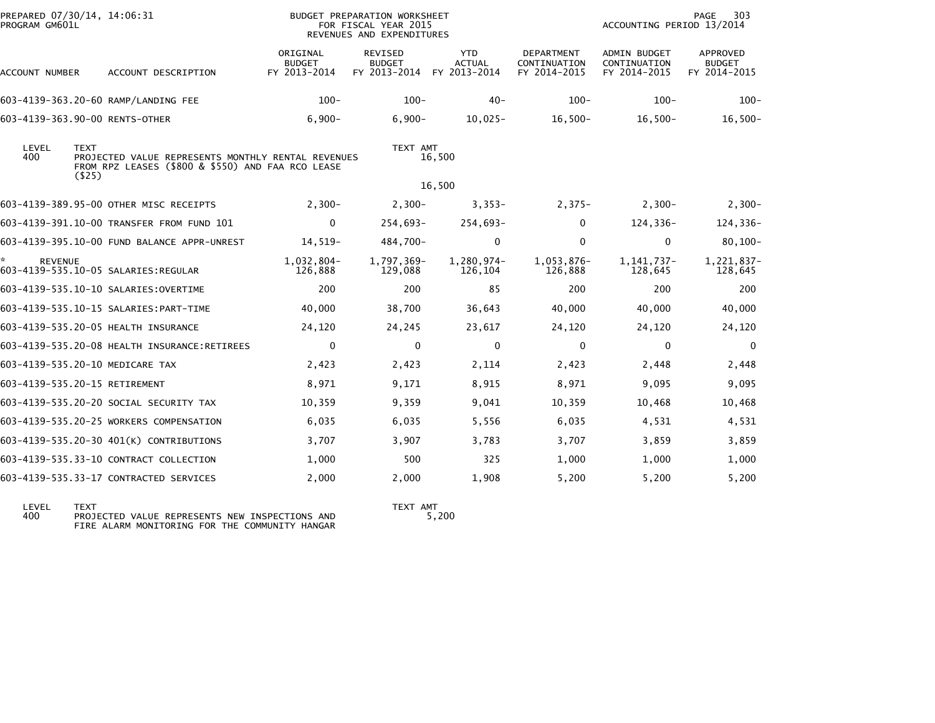| PREPARED 07/30/14, 14:06:31<br>PROGRAM GM601L         |                                                                                                         |                                           | BUDGET PREPARATION WORKSHEET<br>FOR FISCAL YEAR 2015<br>REVENUES AND EXPENDITURES |                                             |                                            | ACCOUNTING PERIOD 13/2014                    | 303<br>PAGE                                      |
|-------------------------------------------------------|---------------------------------------------------------------------------------------------------------|-------------------------------------------|-----------------------------------------------------------------------------------|---------------------------------------------|--------------------------------------------|----------------------------------------------|--------------------------------------------------|
| ACCOUNT NUMBER                                        | ACCOUNT DESCRIPTION                                                                                     | ORIGINAL<br><b>BUDGET</b><br>FY 2013-2014 | <b>REVISED</b><br><b>BUDGET</b><br>FY 2013-2014                                   | <b>YTD</b><br><b>ACTUAL</b><br>FY 2013-2014 | DEPARTMENT<br>CONTINUATION<br>FY 2014-2015 | ADMIN BUDGET<br>CONTINUATION<br>FY 2014-2015 | <b>APPROVED</b><br><b>BUDGET</b><br>FY 2014-2015 |
| 603-4139-363.20-60 RAMP/LANDING FEE                   |                                                                                                         | $100 -$                                   | $100 -$                                                                           | $40 -$                                      | $100 -$                                    | $100 -$                                      | $100 -$                                          |
| 603-4139-363.90-00 RENTS-OTHER                        |                                                                                                         | $6,900-$                                  | $6,900-$                                                                          | $10,025-$                                   | $16,500-$                                  | $16,500-$                                    | $16,500-$                                        |
| LEVEL<br><b>TEXT</b><br>400                           | PROJECTED VALUE REPRESENTS MONTHLY RENTAL REVENUES<br>FROM RPZ LEASES (\$800 & \$550) AND FAA RCO LEASE |                                           | TEXT AMT                                                                          | 16,500                                      |                                            |                                              |                                                  |
| $($ \$25)                                             |                                                                                                         |                                           |                                                                                   | 16,500                                      |                                            |                                              |                                                  |
| 603-4139-389.95-00 OTHER MISC RECEIPTS                |                                                                                                         | $2,300-$                                  | $2,300-$                                                                          | $3,353-$                                    | $2,375-$                                   | $2,300-$                                     | $2,300-$                                         |
|                                                       | 603-4139-391.10-00 TRANSFER FROM FUND 101                                                               | 0                                         | $254,693-$                                                                        | 254,693-                                    | 0                                          | 124,336-                                     | 124,336-                                         |
|                                                       | 603-4139-395.10-00 FUND BALANCE APPR-UNREST                                                             | $14,519-$                                 | 484,700-                                                                          | $\mathbf 0$                                 | $\Omega$                                   | $\mathbf 0$                                  | $80,100 -$                                       |
| <b>REVENUE</b><br>603-4139-535.10-05 SALARIES:REGULAR |                                                                                                         | 1,032,804-<br>126,888                     | 1,797,369-<br>129,088                                                             | 1,280,974-<br>126,104                       | 1,053,876-<br>126,888                      | 1, 141, 737-<br>128,645                      | 1,221,837-<br>128,645                            |
| 603-4139-535.10-10 SALARIES: OVERTIME                 |                                                                                                         | 200                                       | 200                                                                               | 85                                          | 200                                        | 200                                          | 200                                              |
| 603-4139-535.10-15 SALARIES: PART-TIME                |                                                                                                         | 40,000                                    | 38,700                                                                            | 36,643                                      | 40,000                                     | 40,000                                       | 40,000                                           |
| 603-4139-535.20-05 HEALTH INSURANCE                   |                                                                                                         | 24,120                                    | 24,245                                                                            | 23,617                                      | 24,120                                     | 24,120                                       | 24,120                                           |
|                                                       | 603-4139-535.20-08 HEALTH INSURANCE:RETIREES                                                            | $\mathbf{0}$                              | $\Omega$                                                                          | $\Omega$                                    | $\Omega$                                   | $\mathbf{0}$                                 | $\Omega$                                         |
| 603-4139-535.20-10 MEDICARE TAX                       |                                                                                                         | 2,423                                     | 2,423                                                                             | 2,114                                       | 2,423                                      | 2,448                                        | 2,448                                            |
| 603-4139-535.20-15 RETIREMENT                         |                                                                                                         | 8,971                                     | 9,171                                                                             | 8,915                                       | 8,971                                      | 9,095                                        | 9,095                                            |
| 603-4139-535.20-20 SOCIAL SECURITY TAX                |                                                                                                         | 10,359                                    | 9,359                                                                             | 9,041                                       | 10,359                                     | 10,468                                       | 10,468                                           |
|                                                       | 603-4139-535.20-25 WORKERS COMPENSATION                                                                 | 6,035                                     | 6,035                                                                             | 5,556                                       | 6,035                                      | 4,531                                        | 4,531                                            |
|                                                       | 603-4139-535.20-30 401(K) CONTRIBUTIONS                                                                 | 3,707                                     | 3,907                                                                             | 3,783                                       | 3,707                                      | 3,859                                        | 3,859                                            |
| 603-4139-535.33-10 CONTRACT COLLECTION                |                                                                                                         | 1,000                                     | 500                                                                               | 325                                         | 1,000                                      | 1,000                                        | 1,000                                            |
| 603-4139-535.33-17 CONTRACTED SERVICES                |                                                                                                         | 2,000                                     | 2,000                                                                             | 1,908                                       | 5,200                                      | 5,200                                        | 5,200                                            |

LEVEL TEXT TEXT AMT 400 PROJECTED VALUE REPRESENTS NEW INSPECTIONS AND 5,200 FIRE ALARM MONITORING FOR THE COMMUNITY HANGAR

TEXT AMT<br>5,200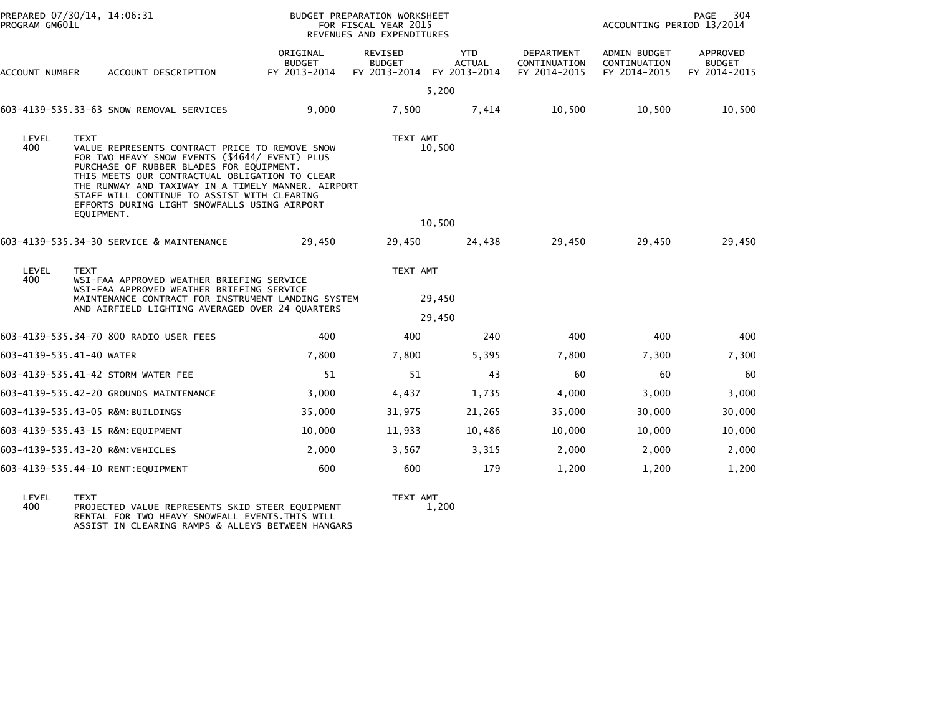| PREPARED 07/30/14, 14:06:31<br>PROGRAM GM601L |                                                                                                                                                                                                                                                                                                                                                                                  | BUDGET PREPARATION WORKSHEET<br>FOR FISCAL YEAR 2015<br>REVENUES AND EXPENDITURES |                                          |                                             |                                            | PAGE<br>304<br>ACCOUNTING PERIOD 13/2014     |                                           |
|-----------------------------------------------|----------------------------------------------------------------------------------------------------------------------------------------------------------------------------------------------------------------------------------------------------------------------------------------------------------------------------------------------------------------------------------|-----------------------------------------------------------------------------------|------------------------------------------|---------------------------------------------|--------------------------------------------|----------------------------------------------|-------------------------------------------|
| ACCOUNT NUMBER                                | ACCOUNT DESCRIPTION                                                                                                                                                                                                                                                                                                                                                              | ORIGINAL<br><b>BUDGET</b><br>FY 2013-2014                                         | REVISED<br><b>BUDGET</b><br>FY 2013-2014 | <b>YTD</b><br><b>ACTUAL</b><br>FY 2013-2014 | DEPARTMENT<br>CONTINUATION<br>FY 2014-2015 | ADMIN BUDGET<br>CONTINUATION<br>FY 2014-2015 | APPROVED<br><b>BUDGET</b><br>FY 2014-2015 |
|                                               |                                                                                                                                                                                                                                                                                                                                                                                  |                                                                                   |                                          | 5,200                                       |                                            |                                              |                                           |
|                                               | 603-4139-535.33-63 SNOW REMOVAL SERVICES                                                                                                                                                                                                                                                                                                                                         | 9,000                                                                             | 7,500                                    | 7,414                                       | 10,500                                     | 10,500                                       | 10,500                                    |
| LEVEL<br>400                                  | <b>TEXT</b><br>VALUE REPRESENTS CONTRACT PRICE TO REMOVE SNOW<br>FOR TWO HEAVY SNOW EVENTS (\$4644/ EVENT) PLUS<br>PURCHASE OF RUBBER BLADES FOR EQUIPMENT.<br>THIS MEETS OUR CONTRACTUAL OBLIGATION TO CLEAR<br>THE RUNWAY AND TAXIWAY IN A TIMELY MANNER. AIRPORT<br>STAFF WILL CONTINUE TO ASSIST WITH CLEARING<br>EFFORTS DURING LIGHT SNOWFALLS USING AIRPORT<br>EOUIPMENT. |                                                                                   | TEXT AMT                                 | 10,500                                      |                                            |                                              |                                           |
|                                               |                                                                                                                                                                                                                                                                                                                                                                                  |                                                                                   | 10,500                                   |                                             |                                            |                                              |                                           |
|                                               | 603-4139-535.34-30 SERVICE & MAINTENANCE                                                                                                                                                                                                                                                                                                                                         | 29,450                                                                            | 29,450                                   | 24,438                                      | 29,450                                     | 29,450                                       | 29,450                                    |
| LEVEL<br>400                                  | <b>TEXT</b><br>WSI-FAA APPROVED WEATHER BRIEFING SERVICE<br>WSI-FAA APPROVED WEATHER BRIEFING SERVICE                                                                                                                                                                                                                                                                            |                                                                                   | TEXT AMT<br>29,450                       |                                             |                                            |                                              |                                           |
|                                               | MAINTENANCE CONTRACT FOR INSTRUMENT LANDING SYSTEM                                                                                                                                                                                                                                                                                                                               |                                                                                   |                                          |                                             |                                            |                                              |                                           |
|                                               | AND AIRFIELD LIGHTING AVERAGED OVER 24 QUARTERS                                                                                                                                                                                                                                                                                                                                  |                                                                                   | 29,450                                   |                                             |                                            |                                              |                                           |
|                                               | 603-4139-535.34-70 800 RADIO USER FEES                                                                                                                                                                                                                                                                                                                                           | 400                                                                               | 400                                      | 240                                         | 400                                        | 400                                          | 400                                       |
| 603-4139-535.41-40 WATER                      |                                                                                                                                                                                                                                                                                                                                                                                  | 7,800                                                                             | 7,800                                    | 5,395                                       | 7,800                                      | 7,300                                        | 7,300                                     |
|                                               | 603-4139-535.41-42 STORM WATER FEE                                                                                                                                                                                                                                                                                                                                               | 51                                                                                | 51                                       | 43                                          | 60                                         | 60                                           | 60                                        |
|                                               | 603-4139-535.42-20 GROUNDS MAINTENANCE                                                                                                                                                                                                                                                                                                                                           | 3,000                                                                             | 4,437                                    | 1,735                                       | 4,000                                      | 3,000                                        | 3,000                                     |
|                                               | 603-4139-535.43-05 R&M:BUILDINGS                                                                                                                                                                                                                                                                                                                                                 | 35,000                                                                            | 31,975                                   | 21,265                                      | 35,000                                     | 30,000                                       | 30,000                                    |
|                                               | 603-4139-535.43-15 R&M:EQUIPMENT                                                                                                                                                                                                                                                                                                                                                 | 10,000                                                                            | 11,933                                   | 10,486                                      | 10,000                                     | 10,000                                       | 10,000                                    |
|                                               | 603-4139-535.43-20 R&M: VEHICLES                                                                                                                                                                                                                                                                                                                                                 | 2,000                                                                             | 3,567                                    | 3,315                                       | 2,000                                      | 2,000                                        | 2,000                                     |
|                                               | 603-4139-535.44-10 RENT: EQUIPMENT                                                                                                                                                                                                                                                                                                                                               | 600                                                                               | 600                                      | 179                                         | 1,200                                      | 1,200                                        | 1,200                                     |
|                                               |                                                                                                                                                                                                                                                                                                                                                                                  |                                                                                   |                                          |                                             |                                            |                                              |                                           |

TEXT AMT<br>1,200

LEVEL TEXT TEXT AMT 400 PROJECTED VALUE REPRESENTS SKID STEER EQUIPMENT 1,200 RENTAL FOR TWO HEAVY SNOWFALL EVENTS.THIS WILL ASSIST IN CLEARING RAMPS & ALLEYS BETWEEN HANGARS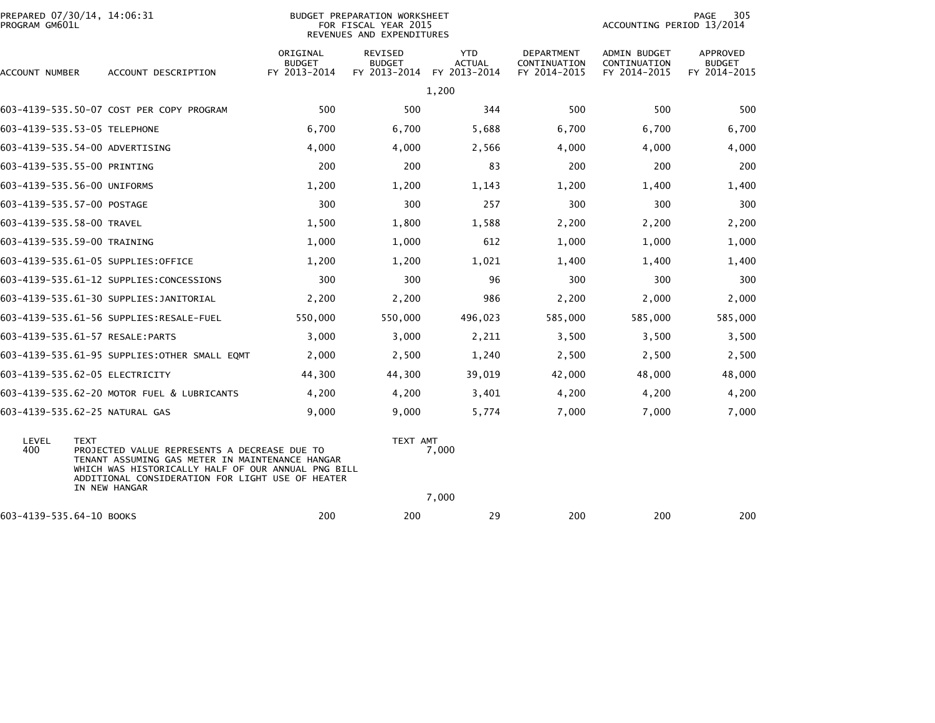| PROGRAM GM601L           | PREPARED 07/30/14, 14:06:31                                                                                                                                                                                                               |                                           | BUDGET PREPARATION WORKSHEET<br>FOR FISCAL YEAR 2015<br>REVENUES AND EXPENDITURES |                                             |                                            | ACCOUNTING PERIOD 13/2014                           | 305<br>PAGE                        |
|--------------------------|-------------------------------------------------------------------------------------------------------------------------------------------------------------------------------------------------------------------------------------------|-------------------------------------------|-----------------------------------------------------------------------------------|---------------------------------------------|--------------------------------------------|-----------------------------------------------------|------------------------------------|
| ACCOUNT NUMBER           | ACCOUNT DESCRIPTION                                                                                                                                                                                                                       | ORIGINAL<br><b>BUDGET</b><br>FY 2013-2014 | <b>REVISED</b><br><b>BUDGET</b><br>FY 2013-2014                                   | <b>YTD</b><br><b>ACTUAL</b><br>FY 2013-2014 | DEPARTMENT<br>CONTINUATION<br>FY 2014-2015 | <b>ADMIN BUDGET</b><br>CONTINUATION<br>FY 2014-2015 | APPROVED<br>BUDGET<br>FY 2014-2015 |
|                          |                                                                                                                                                                                                                                           |                                           |                                                                                   | 1,200                                       |                                            |                                                     |                                    |
|                          | 603-4139-535.50-07 COST PER COPY PROGRAM                                                                                                                                                                                                  | 500                                       | 500                                                                               | 344                                         | 500                                        | 500                                                 | 500                                |
|                          | 603-4139-535.53-05 TELEPHONE                                                                                                                                                                                                              | 6,700                                     | 6,700                                                                             | 5,688                                       | 6,700                                      | 6,700                                               | 6,700                              |
|                          | 603-4139-535.54-00 ADVERTISING                                                                                                                                                                                                            | 4,000                                     | 4,000                                                                             | 2,566                                       | 4,000                                      | 4,000                                               | 4,000                              |
|                          | 603-4139-535.55-00 PRINTING                                                                                                                                                                                                               | 200                                       | 200                                                                               | 83                                          | 200                                        | 200                                                 | 200                                |
|                          | 603-4139-535.56-00 UNIFORMS                                                                                                                                                                                                               | 1,200                                     | 1,200                                                                             | 1,143                                       | 1,200                                      | 1,400                                               | 1,400                              |
|                          | 603-4139-535.57-00 POSTAGE                                                                                                                                                                                                                | 300                                       | 300                                                                               | 257                                         | 300                                        | 300                                                 | 300                                |
|                          | 603-4139-535.58-00 TRAVEL                                                                                                                                                                                                                 | 1,500                                     | 1,800                                                                             | 1,588                                       | 2,200                                      | 2,200                                               | 2,200                              |
|                          | 603-4139-535.59-00 TRAINING                                                                                                                                                                                                               | 1,000                                     | 1,000                                                                             | 612                                         | 1,000                                      | 1,000                                               | 1,000                              |
|                          | 603-4139-535.61-05 SUPPLIES:OFFICE                                                                                                                                                                                                        | 1,200                                     | 1,200                                                                             | 1,021                                       | 1,400                                      | 1,400                                               | 1,400                              |
|                          | 603-4139-535.61-12 SUPPLIES:CONCESSIONS                                                                                                                                                                                                   | 300                                       | 300                                                                               | 96                                          | 300                                        | 300                                                 | 300                                |
|                          | 603-4139-535.61-30 SUPPLIES:JANITORIAL                                                                                                                                                                                                    | 2,200                                     | 2,200                                                                             | 986                                         | 2,200                                      | 2,000                                               | 2,000                              |
|                          |                                                                                                                                                                                                                                           | 550,000                                   | 550,000                                                                           | 496,023                                     | 585,000                                    | 585,000                                             | 585,000                            |
|                          | 603-4139-535.61-57 RESALE: PARTS                                                                                                                                                                                                          | 3,000                                     | 3,000                                                                             | 2,211                                       | 3,500                                      | 3,500                                               | 3,500                              |
|                          | 603-4139-535.61-95 SUPPLIES:OTHER SMALL EQMT                                                                                                                                                                                              | 2,000                                     | 2,500                                                                             | 1,240                                       | 2,500                                      | 2,500                                               | 2,500                              |
|                          | 603-4139-535.62-05 ELECTRICITY                                                                                                                                                                                                            | 44,300                                    | 44,300                                                                            | 39,019                                      | 42,000                                     | 48,000                                              | 48,000                             |
|                          | 603-4139-535.62-20 MOTOR FUEL & LUBRICANTS                                                                                                                                                                                                | 4,200                                     | 4,200                                                                             | 3,401                                       | 4,200                                      | 4,200                                               | 4,200                              |
|                          | 603-4139-535.62-25 NATURAL GAS                                                                                                                                                                                                            | 9,000                                     | 9,000                                                                             | 5,774                                       | 7,000                                      | 7,000                                               | 7,000                              |
| LEVEL<br>400             | <b>TEXT</b><br>PROJECTED VALUE REPRESENTS A DECREASE DUE TO<br>TENANT ASSUMING GAS METER IN MAINTENANCE HANGAR<br>WHICH WAS HISTORICALLY HALF OF OUR ANNUAL PNG BILL<br>ADDITIONAL CONSIDERATION FOR LIGHT USE OF HEATER<br>IN NEW HANGAR |                                           | TEXT AMT                                                                          | 7,000                                       |                                            |                                                     |                                    |
|                          |                                                                                                                                                                                                                                           |                                           |                                                                                   | 7,000                                       |                                            |                                                     |                                    |
| 603-4139-535.64-10 BOOKS |                                                                                                                                                                                                                                           | 200                                       | 200                                                                               | 29                                          | 200                                        | 200                                                 | 200                                |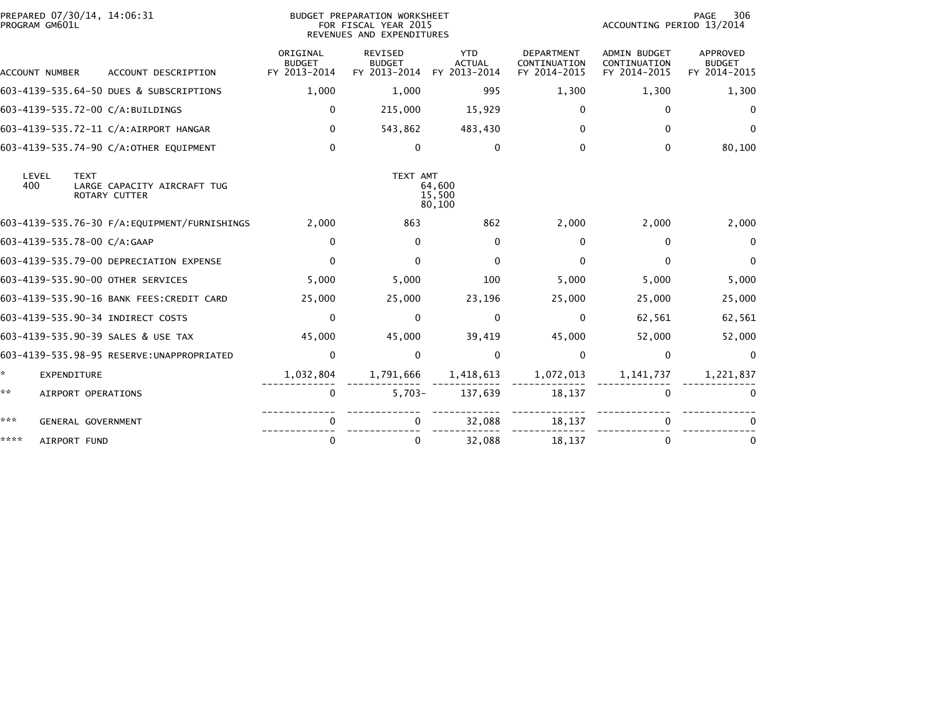| PREPARED 07/30/14, 14:06:31<br>PROGRAM GM601L |                             |                                              | <b>BUDGET PREPARATION WORKSHEET</b><br>FOR FISCAL YEAR 2015<br>REVENUES AND EXPENDITURES |                                                 |                                             |                                                   | 306<br>PAGE<br>ACCOUNTING PERIOD 13/2014            |                                                  |  |
|-----------------------------------------------|-----------------------------|----------------------------------------------|------------------------------------------------------------------------------------------|-------------------------------------------------|---------------------------------------------|---------------------------------------------------|-----------------------------------------------------|--------------------------------------------------|--|
|                                               | <b>ACCOUNT NUMBER</b>       | ACCOUNT DESCRIPTION                          | ORIGINAL<br><b>BUDGET</b><br>FY 2013-2014                                                | <b>REVISED</b><br><b>BUDGET</b><br>FY 2013-2014 | <b>YTD</b><br><b>ACTUAL</b><br>FY 2013-2014 | <b>DEPARTMENT</b><br>CONTINUATION<br>FY 2014-2015 | <b>ADMIN BUDGET</b><br>CONTINUATION<br>FY 2014-2015 | <b>APPROVED</b><br><b>BUDGET</b><br>FY 2014-2015 |  |
|                                               |                             | 603-4139-535.64-50 DUES & SUBSCRIPTIONS      | 1,000                                                                                    | 1,000                                           | 995                                         | 1,300                                             | 1,300                                               | 1,300                                            |  |
|                                               |                             | 603-4139-535.72-00 C/A:BUILDINGS             | $\Omega$                                                                                 | 215,000                                         | 15,929                                      | 0                                                 | $\Omega$                                            | $\Omega$                                         |  |
|                                               |                             | 603-4139-535.72-11 C/A:AIRPORT HANGAR        | $\mathbf{0}$                                                                             | 543,862                                         | 483,430                                     | $\Omega$                                          | $\Omega$                                            | $\Omega$                                         |  |
|                                               |                             | 603-4139-535.74-90 C/A:OTHER EQUIPMENT       | $\mathbf{0}$                                                                             | $\Omega$                                        | $\mathbf{0}$                                | 0                                                 | $\Omega$                                            | 80,100                                           |  |
| 400                                           | LEVEL<br><b>TEXT</b>        | LARGE CAPACITY AIRCRAFT TUG<br>ROTARY CUTTER |                                                                                          | TEXT AMT<br>64,600<br>15,500<br>80,100          |                                             |                                                   |                                                     |                                                  |  |
|                                               |                             | 603-4139-535.76-30 F/A:EQUIPMENT/FURNISHINGS | 2,000                                                                                    | 863                                             | 862                                         | 2,000                                             | 2,000                                               | 2,000                                            |  |
|                                               | 603-4139-535.78-00 C/A:GAAP |                                              | 0                                                                                        | $\Omega$                                        | $\mathbf{0}$                                | 0                                                 | 0                                                   | $\Omega$                                         |  |
|                                               |                             | 603-4139-535.79-00 DEPRECIATION EXPENSE      | $\Omega$                                                                                 | 0                                               | $\Omega$                                    | 0                                                 | $\Omega$                                            | $\Omega$                                         |  |
|                                               |                             | 603-4139-535.90-00 OTHER SERVICES            | 5,000                                                                                    | 5,000                                           | 100                                         | 5,000                                             | 5,000                                               | 5,000                                            |  |
|                                               |                             | 603-4139-535.90-16 BANK FEES: CREDIT CARD    | 25,000                                                                                   | 25,000                                          | 23,196                                      | 25,000                                            | 25,000                                              | 25,000                                           |  |
|                                               |                             | 603-4139-535.90-34 INDIRECT COSTS            | $\Omega$                                                                                 | $\Omega$                                        | $\mathbf{0}$                                | $\Omega$                                          | 62,561                                              | 62,561                                           |  |
|                                               |                             | 603-4139-535.90-39 SALES & USE TAX           | 45,000                                                                                   | 45,000                                          | 39,419                                      | 45,000                                            | 52,000                                              | 52,000                                           |  |
|                                               |                             | 603-4139-535.98-95 RESERVE: UNAPPROPRIATED   | $\mathbf 0$                                                                              | $\mathbf{0}$                                    | $\mathbf{0}$                                | 0                                                 | $\mathbf 0$                                         | 0                                                |  |
| ×.                                            | <b>EXPENDITURE</b>          |                                              | 1,032,804                                                                                | 1,791,666                                       | 1,418,613                                   | 1,072,013                                         | 1, 141, 737                                         | 1,221,837                                        |  |
| **                                            | AIRPORT OPERATIONS          |                                              | 0                                                                                        | $5,703-$                                        | 137,639                                     | 18,137                                            | $\mathbf{0}$                                        | $\Omega$                                         |  |
| ***                                           | <b>GENERAL GOVERNMENT</b>   |                                              | 0                                                                                        |                                                 | 32,088                                      | 18,137                                            | 0                                                   |                                                  |  |
| ****                                          | AIRPORT FUND                |                                              | 0                                                                                        | 0                                               | 32,088                                      | 18,137                                            | $\mathbf{0}$                                        | 0                                                |  |